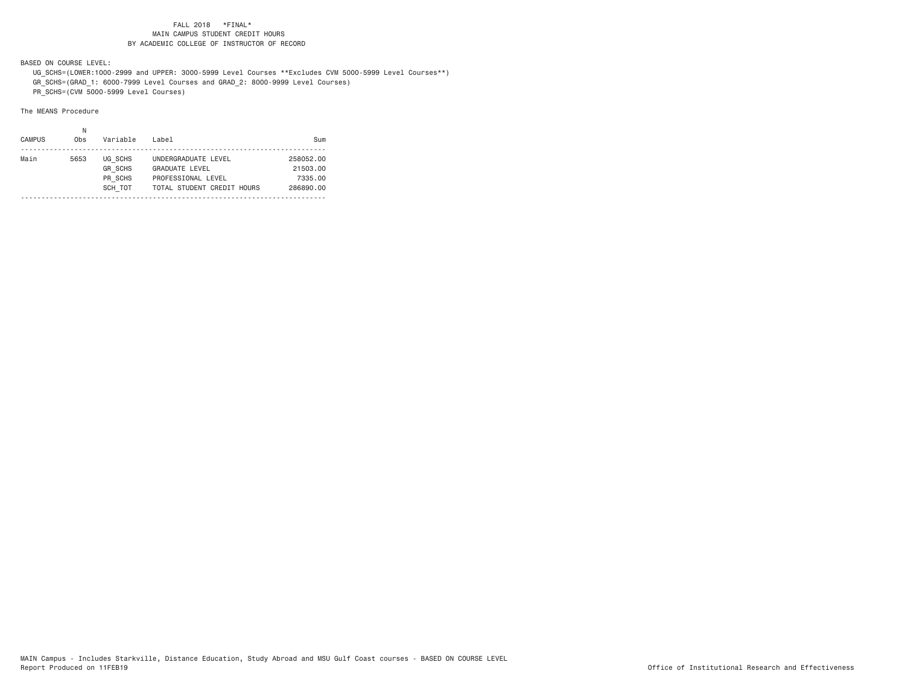BASED ON COURSE LEVEL:

 UG\_SCHS=(LOWER:1000-2999 and UPPER: 3000-5999 Level Courses \*\*Excludes CVM 5000-5999 Level Courses\*\*) GR\_SCHS=(GRAD\_1: 6000-7999 Level Courses and GRAD\_2: 8000-9999 Level Courses)

PR\_SCHS=(CVM 5000-5999 Level Courses)

| <b>CAMPUS</b> | 0 <sub>bs</sub> | Variable                                        | Label                                                                                            | Sum                                           |
|---------------|-----------------|-------------------------------------------------|--------------------------------------------------------------------------------------------------|-----------------------------------------------|
| Main          | 5653            | UG SCHS<br><b>GR SCHS</b><br>PR SCHS<br>SCH TOT | UNDERGRADUATE LEVEL<br><b>GRADUATE LEVEL</b><br>PROFESSIONAL LEVEL<br>TOTAL STUDENT CREDIT HOURS | 258052.00<br>21503.00<br>7335.00<br>286890.00 |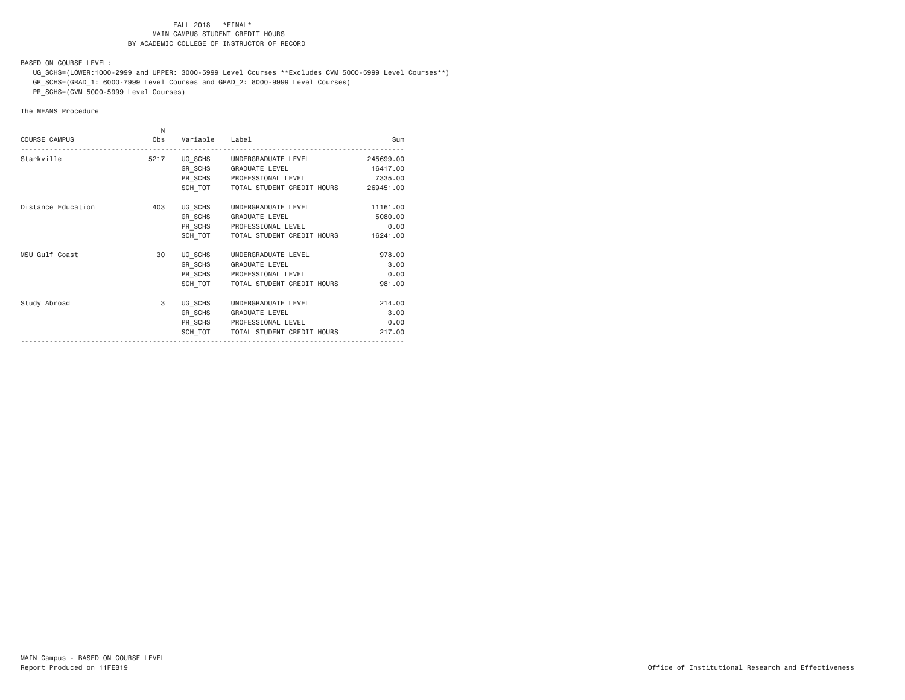BASED ON COURSE LEVEL:

 UG\_SCHS=(LOWER:1000-2999 and UPPER: 3000-5999 Level Courses \*\*Excludes CVM 5000-5999 Level Courses\*\*) GR\_SCHS=(GRAD\_1: 6000-7999 Level Courses and GRAD\_2: 8000-9999 Level Courses)

PR\_SCHS=(CVM 5000-5999 Level Courses)

| <b>COURSE CAMPUS</b> | N<br>Obs | Variable | Label                                | Sum       |
|----------------------|----------|----------|--------------------------------------|-----------|
| Starkville           | 5217     |          | UG SCHS UNDERGRADUATE LEVEL          | 245699.00 |
|                      |          |          | GR SCHS GRADUATE LEVEL               | 16417.00  |
|                      |          |          | PR SCHS PROFESSIONAL LEVEL           | 7335.00   |
|                      |          |          | SCH TOT   TOTAL STUDENT CREDIT HOURS | 269451.00 |
| Distance Education   | 403      |          | UG SCHS UNDERGRADUATE LEVEL          | 11161.00  |
|                      |          |          | GR SCHS GRADUATE LEVEL               | 5080.00   |
|                      |          |          | PR SCHS PROFESSIONAL LEVEL           | 0.00      |
|                      |          | SCH TOT  | TOTAL STUDENT CREDIT HOURS           | 16241.00  |
| MSU Gulf Coast       | 30       | UG_SCHS  | UNDERGRADUATE LEVEL                  | 978.00    |
|                      |          |          | GR SCHS GRADUATE LEVEL               | 3.00      |
|                      |          |          | PR SCHS PROFESSIONAL LEVEL           | 0.00      |
|                      |          | SCH TOT  | TOTAL STUDENT CREDIT HOURS           | 981.00    |
| Study Abroad         | 3        | UG SCHS  | UNDERGRADUATE LEVEL                  | 214.00    |
|                      |          |          | GR SCHS GRADUATE LEVEL               | 3.00      |
|                      |          |          | PR SCHS PROFESSIONAL LEVEL           | 0.00      |
|                      |          | SCH TOT  | TOTAL STUDENT CREDIT HOURS           | 217,00    |
|                      |          |          |                                      |           |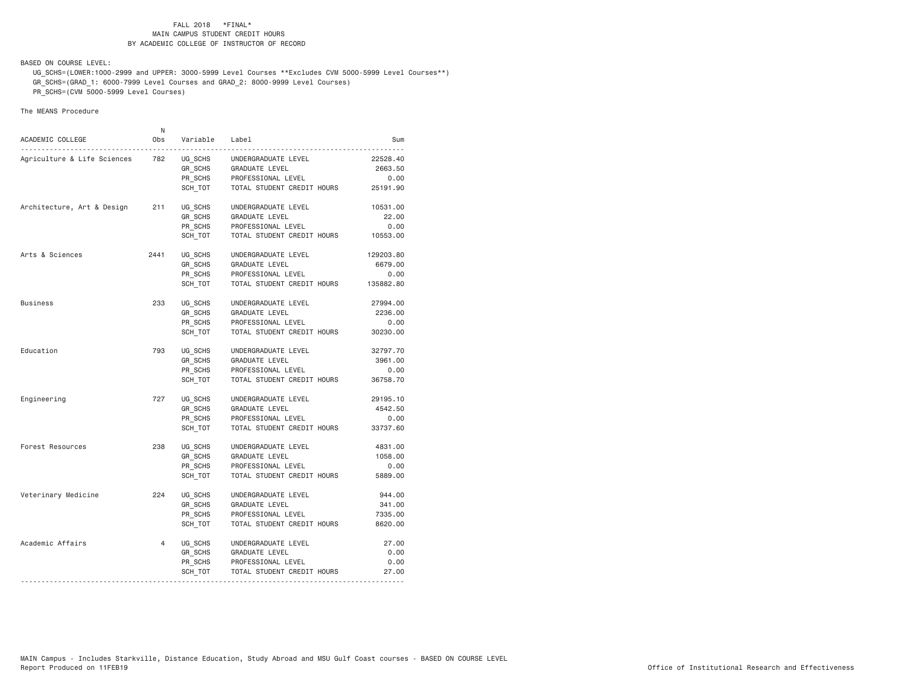BASED ON COURSE LEVEL:

 UG\_SCHS=(LOWER:1000-2999 and UPPER: 3000-5999 Level Courses \*\*Excludes CVM 5000-5999 Level Courses\*\*) GR\_SCHS=(GRAD\_1: 6000-7999 Level Courses and GRAD\_2: 8000-9999 Level Courses)

PR\_SCHS=(CVM 5000-5999 Level Courses)

| ACADEMIC COLLEGE<br><u>.</u> | N<br>0bs       | Variable                      | Label                                                       | Sum                         |
|------------------------------|----------------|-------------------------------|-------------------------------------------------------------|-----------------------------|
| Agriculture & Life Sciences  | 782            | UG SCHS<br>GR SCHS<br>PR SCHS | UNDERGRADUATE LEVEL<br>GRADUATE LEVEL<br>PROFESSIONAL LEVEL | 22528,40<br>2663.50<br>0.00 |
|                              |                | SCH_TOT                       | TOTAL STUDENT CREDIT HOURS                                  | 25191.90                    |
| Architecture, Art & Design   | 211            | UG_SCHS                       | UNDERGRADUATE LEVEL                                         | 10531.00                    |
|                              |                | GR SCHS                       | <b>GRADUATE LEVEL</b>                                       | 22.00                       |
|                              |                | PR SCHS<br>SCH TOT            | PROFESSIONAL LEVEL<br>TOTAL STUDENT CREDIT HOURS            | 0.00<br>10553.00            |
| Arts & Sciences              | 2441           | UG SCHS                       | UNDERGRADUATE LEVEL                                         | 129203.80                   |
|                              |                | GR SCHS                       | GRADUATE LEVEL                                              | 6679.00                     |
|                              |                | PR SCHS                       | PROFESSIONAL LEVEL                                          | 0.00                        |
|                              |                | SCH TOT                       | TOTAL STUDENT CREDIT HOURS                                  | 135882.80                   |
| <b>Business</b>              | 233            | UG SCHS                       | UNDERGRADUATE LEVEL                                         | 27994.00                    |
|                              |                | GR_SCHS                       | GRADUATE LEVEL                                              | 2236.00                     |
|                              |                | PR SCHS                       | PROFESSIONAL LEVEL                                          | 0.00                        |
|                              |                | SCH TOT                       | TOTAL STUDENT CREDIT HOURS                                  | 30230.00                    |
| Education                    | 793            | UG SCHS                       | UNDERGRADUATE LEVEL                                         | 32797.70                    |
|                              |                | GR SCHS                       | <b>GRADUATE LEVEL</b>                                       | 3961.00                     |
|                              |                | PR SCHS                       | PROFESSIONAL LEVEL                                          | 0.00                        |
|                              |                | SCH TOT                       | TOTAL STUDENT CREDIT HOURS                                  | 36758.70                    |
| Engineering                  | 727            | UG SCHS                       | UNDERGRADUATE LEVEL                                         | 29195.10                    |
|                              |                | GR SCHS                       | GRADUATE LEVEL                                              | 4542.50                     |
|                              |                | PR_SCHS                       | PROFESSIONAL LEVEL                                          | 0.00                        |
|                              |                | SCH TOT                       | TOTAL STUDENT CREDIT HOURS                                  | 33737.60                    |
| Forest Resources             | 238            | UG SCHS                       | UNDERGRADUATE LEVEL                                         | 4831.00                     |
|                              |                | GR SCHS                       | GRADUATE LEVEL                                              | 1058.00                     |
|                              |                | PR SCHS                       | PROFESSIONAL LEVEL                                          | 0.00                        |
|                              |                | SCH TOT                       | TOTAL STUDENT CREDIT HOURS                                  | 5889.00                     |
| Veterinary Medicine          | 224            | UG SCHS                       | UNDERGRADUATE LEVEL                                         | 944.00                      |
|                              |                | GR SCHS                       | <b>GRADUATE LEVEL</b>                                       | 341.00                      |
|                              |                | PR SCHS                       | PROFESSIONAL LEVEL                                          | 7335.00                     |
|                              |                | SCH TOT                       | TOTAL STUDENT CREDIT HOURS                                  | 8620.00                     |
| Academic Affairs             | $\overline{4}$ | UG_SCHS                       | UNDERGRADUATE LEVEL                                         | 27.00                       |
|                              |                | GR SCHS                       | GRADUATE LEVEL                                              | 0.00                        |
|                              |                | PR SCHS                       | PROFESSIONAL LEVEL                                          | 0.00                        |
|                              |                | SCH_TOT                       | TOTAL STUDENT CREDIT HOURS                                  | 27.00                       |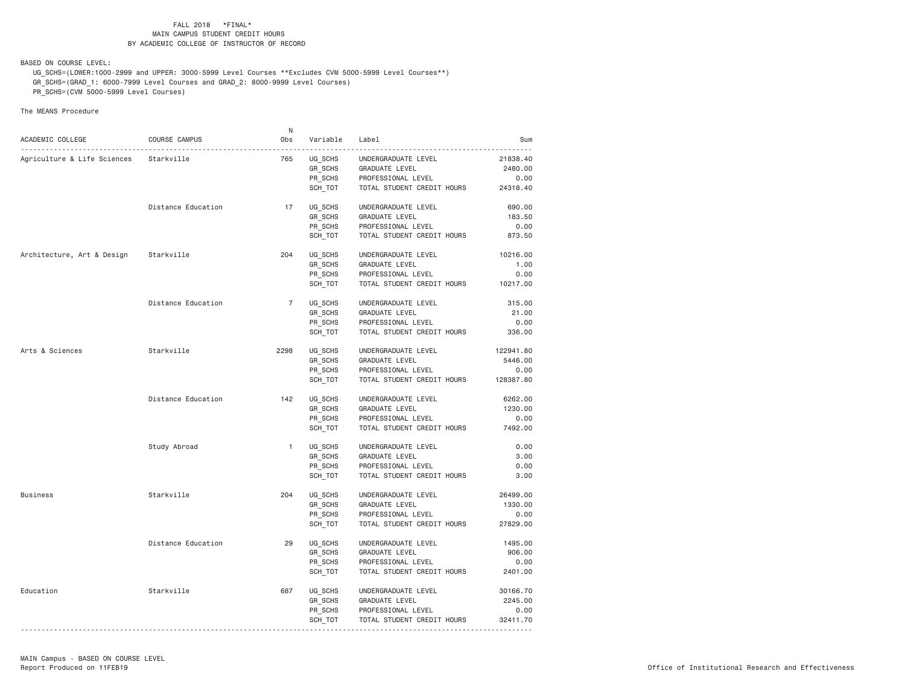BASED ON COURSE LEVEL:

 UG\_SCHS=(LOWER:1000-2999 and UPPER: 3000-5999 Level Courses \*\*Excludes CVM 5000-5999 Level Courses\*\*) GR\_SCHS=(GRAD\_1: 6000-7999 Level Courses and GRAD\_2: 8000-9999 Level Courses)

PR\_SCHS=(CVM 5000-5999 Level Courses)

|                                       |                    | N              |                                 |                                      |           |
|---------------------------------------|--------------------|----------------|---------------------------------|--------------------------------------|-----------|
| ACADEMIC COLLEGE                      | COURSE CAMPUS      | Obs            | Variable                        | Label                                | Sum       |
|                                       | .                  |                |                                 |                                      |           |
| Agriculture & Life Sciences           | Starkville         | 765            | UG_SCHS<br>$GR$ <sub>SCHS</sub> | UNDERGRADUATE LEVEL                  | 21838.40  |
|                                       |                    |                |                                 | GRADUATE LEVEL                       | 2480.00   |
|                                       |                    |                | PR_SCHS<br>SCH_TOT              | PROFESSIONAL LEVEL                   | 0.00      |
|                                       |                    |                |                                 | TOTAL STUDENT CREDIT HOURS           | 24318.40  |
|                                       | Distance Education | 17             | UG_SCHS                         | UNDERGRADUATE LEVEL                  | 690.00    |
|                                       |                    |                | GR_SCHS                         | GRADUATE LEVEL                       | 183.50    |
|                                       |                    |                | PR SCHS                         | PROFESSIONAL LEVEL                   | 0.00      |
|                                       |                    |                | SCH TOT                         | TOTAL STUDENT CREDIT HOURS           | 873.50    |
| Architecture, Art & Design Starkville |                    | 204            | UG_SCHS                         | UNDERGRADUATE LEVEL                  | 10216.00  |
|                                       |                    |                | GR_SCHS                         | GRADUATE LEVEL                       | 1.00      |
|                                       |                    |                |                                 |                                      |           |
|                                       |                    |                | PR_SCHS                         | PROFESSIONAL LEVEL                   | 0.00      |
|                                       |                    |                | SCH TOT                         | TOTAL STUDENT CREDIT HOURS           | 10217.00  |
|                                       | Distance Education | $\overline{7}$ | UG_SCHS                         | UNDERGRADUATE LEVEL                  | 315.00    |
|                                       |                    |                | GR SCHS                         | GRADUATE LEVEL                       | 21.00     |
|                                       |                    |                | PR_SCHS                         | PROFESSIONAL LEVEL                   | 0.00      |
|                                       |                    |                | SCH_TOT                         | TOTAL STUDENT CREDIT HOURS           | 336.00    |
| Arts & Sciences                       | Starkville         | 2298           | UG SCHS                         | UNDERGRADUATE LEVEL                  | 122941.80 |
|                                       |                    |                | GR SCHS                         | GRADUATE LEVEL                       | 5446.00   |
|                                       |                    |                | PR SCHS                         | PROFESSIONAL LEVEL                   | 0.00      |
|                                       |                    |                | SCH TOT                         | TOTAL STUDENT CREDIT HOURS 128387.80 |           |
|                                       |                    |                |                                 |                                      |           |
|                                       | Distance Education | 142            | UG SCHS                         | UNDERGRADUATE LEVEL                  | 6262.00   |
|                                       |                    |                | GR_SCHS                         | GRADUATE LEVEL                       | 1230.00   |
|                                       |                    |                | PR SCHS                         | PROFESSIONAL LEVEL                   | 0.00      |
|                                       |                    |                | SCH TOT                         | TOTAL STUDENT CREDIT HOURS           | 7492.00   |
|                                       | Study Abroad       | $\mathbf{1}$   | UG SCHS                         | UNDERGRADUATE LEVEL                  | 0.00      |
|                                       |                    |                | GR_SCHS                         | GRADUATE LEVEL                       | 3.00      |
|                                       |                    |                | PR SCHS                         | PROFESSIONAL LEVEL                   | 0.00      |
|                                       |                    |                | SCH TOT                         | TOTAL STUDENT CREDIT HOURS           | 3.00      |
|                                       | Starkville         | 204            | UG SCHS                         |                                      | 26499.00  |
| Business                              |                    |                |                                 | UNDERGRADUATE LEVEL                  |           |
|                                       |                    |                | GR_SCHS                         | GRADUATE LEVEL                       | 1330.00   |
|                                       |                    |                | PR SCHS                         | PROFESSIONAL LEVEL                   | 0.00      |
|                                       |                    |                | SCH_TOT                         | TOTAL STUDENT CREDIT HOURS           | 27829.00  |
|                                       | Distance Education | 29             | UG SCHS                         | UNDERGRADUATE LEVEL                  | 1495.00   |
|                                       |                    |                | GR_SCHS                         | GRADUATE LEVEL                       | 906.00    |
|                                       |                    |                | PR_SCHS                         | PROFESSIONAL LEVEL                   | 0.00      |
|                                       |                    |                | SCH_TOT                         | TOTAL STUDENT CREDIT HOURS           | 2401.00   |
| Education                             | Starkville         | 687            | UG_SCHS                         | UNDERGRADUATE LEVEL                  | 30166.70  |
|                                       |                    |                | GR_SCHS                         | GRADUATE LEVEL                       | 2245.00   |
|                                       |                    |                | PR SCHS                         | PROFESSIONAL LEVEL                   | 0.00      |
|                                       |                    |                | SCH_TOT                         | TOTAL STUDENT CREDIT HOURS           | 32411.70  |
|                                       |                    |                |                                 |                                      |           |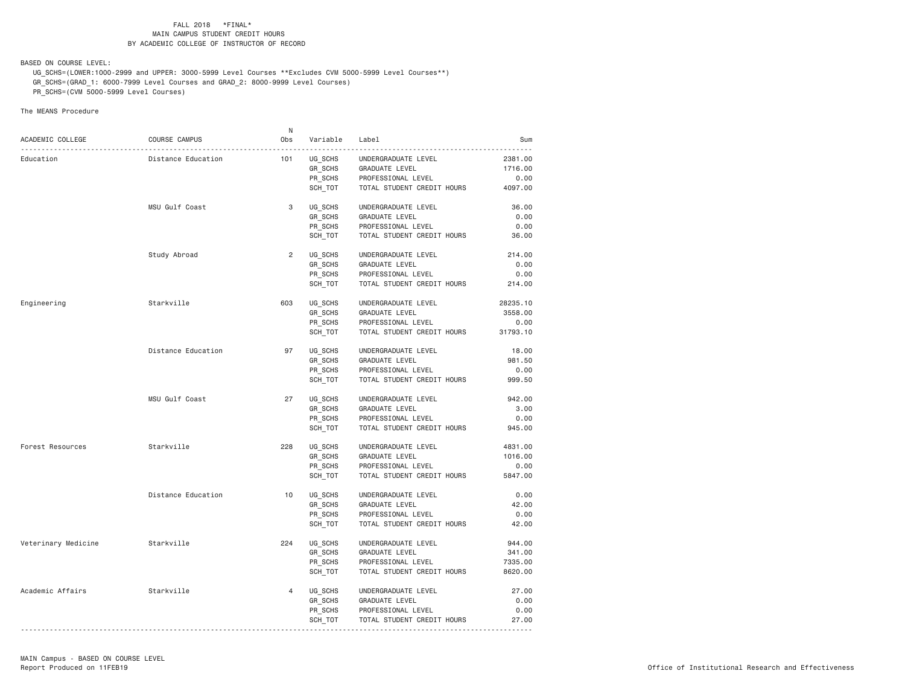BASED ON COURSE LEVEL:

 UG\_SCHS=(LOWER:1000-2999 and UPPER: 3000-5999 Level Courses \*\*Excludes CVM 5000-5999 Level Courses\*\*) GR\_SCHS=(GRAD\_1: 6000-7999 Level Courses and GRAD\_2: 8000-9999 Level Courses)

PR\_SCHS=(CVM 5000-5999 Level Courses)

|                     |                    | N.             |                    |                                                  |                     |
|---------------------|--------------------|----------------|--------------------|--------------------------------------------------|---------------------|
| ACADEMIC COLLEGE    | COURSE CAMPUS      | Obs            | Variable           | Label                                            | Sum                 |
| Education           | Distance Education | 101            | UG SCHS            | UNDERGRADUATE LEVEL                              | .<br>2381.00        |
|                     |                    |                | GR_SCHS            | GRADUATE LEVEL                                   | 1716.00             |
|                     |                    |                | PR SCHS            | PROFESSIONAL LEVEL                               | 0.00                |
|                     |                    |                | SCH TOT            | TOTAL STUDENT CREDIT HOURS                       | 4097.00             |
|                     |                    |                |                    |                                                  |                     |
|                     | MSU Gulf Coast     | 3              | UG SCHS            | UNDERGRADUATE LEVEL                              | 36.00               |
|                     |                    |                | GR SCHS            | GRADUATE LEVEL                                   | 0.00                |
|                     |                    |                | PR_SCHS            | PROFESSIONAL LEVEL                               | 0.00                |
|                     |                    |                | SCH TOT            | TOTAL STUDENT CREDIT HOURS                       | 36.00               |
|                     | Study Abroad       | $\overline{2}$ | UG SCHS            | UNDERGRADUATE LEVEL                              | 214.00              |
|                     |                    |                | GR SCHS            | GRADUATE LEVEL                                   | 0.00                |
|                     |                    |                | PR SCHS            | PROFESSIONAL LEVEL                               | 0.00                |
|                     |                    |                | SCH TOT            | TOTAL STUDENT CREDIT HOURS                       | 214.00              |
|                     |                    |                |                    |                                                  |                     |
| Engineering         | Starkville         | 603            | UG SCHS            | UNDERGRADUATE LEVEL                              | 28235.10<br>3558.00 |
|                     |                    |                | GR_SCHS<br>PR SCHS | GRADUATE LEVEL<br>PROFESSIONAL LEVEL             | 0.00                |
|                     |                    |                | SCH_TOT            | TOTAL STUDENT CREDIT HOURS                       | 31793.10            |
|                     |                    |                |                    |                                                  |                     |
|                     | Distance Education | 97             | UG SCHS            | UNDERGRADUATE LEVEL                              | 18.00               |
|                     |                    |                | GR_SCHS            | <b>GRADUATE LEVEL</b>                            | 981.50              |
|                     |                    |                | PR SCHS            | PROFESSIONAL LEVEL                               | 0.00                |
|                     |                    |                | SCH_TOT            | TOTAL STUDENT CREDIT HOURS                       | 999.50              |
|                     | MSU Gulf Coast     | 27             | UG_SCHS            | UNDERGRADUATE LEVEL                              | 942.00              |
|                     |                    |                | GR_SCHS            | GRADUATE LEVEL                                   | 3.00                |
|                     |                    |                | PR_SCHS            | PROFESSIONAL LEVEL                               | 0.00                |
|                     |                    |                | SCH_TOT            | TOTAL STUDENT CREDIT HOURS                       | 945.00              |
|                     |                    |                |                    |                                                  |                     |
| Forest Resources    | Starkville         | 228            | UG_SCHS            | UNDERGRADUATE LEVEL                              | 4831.00             |
|                     |                    |                | GR SCHS            | GRADUATE LEVEL                                   | 1016.00             |
|                     |                    |                | PR SCHS<br>SCH TOT | PROFESSIONAL LEVEL<br>TOTAL STUDENT CREDIT HOURS | 0.00<br>5847.00     |
|                     |                    |                |                    |                                                  |                     |
|                     | Distance Education | 10             | UG SCHS            | UNDERGRADUATE LEVEL                              | 0.00                |
|                     |                    |                | GR_SCHS            | <b>GRADUATE LEVEL</b>                            | 42.00               |
|                     |                    |                | PR_SCHS            | PROFESSIONAL LEVEL                               | 0.00                |
|                     |                    |                | SCH TOT            | TOTAL STUDENT CREDIT HOURS                       | 42.00               |
| Veterinary Medicine | Starkville         | 224            | UG SCHS            | UNDERGRADUATE LEVEL                              | 944.00              |
|                     |                    |                | GR_SCHS            | GRADUATE LEVEL                                   | 341.00              |
|                     |                    |                | PR SCHS            | PROFESSIONAL LEVEL                               | 7335.00             |
|                     |                    |                | SCH_TOT            | TOTAL STUDENT CREDIT HOURS                       | 8620.00             |
| Academic Affairs    | Starkville         | $\overline{4}$ | UG_SCHS            | UNDERGRADUATE LEVEL                              | 27.00               |
|                     |                    |                | GR SCHS            | GRADUATE LEVEL                                   | 0.00                |
|                     |                    |                | PR SCHS            | PROFESSIONAL LEVEL                               | 0.00                |
|                     |                    |                | SCH_TOT            | TOTAL STUDENT CREDIT HOURS                       | 27.00               |
|                     |                    |                |                    |                                                  |                     |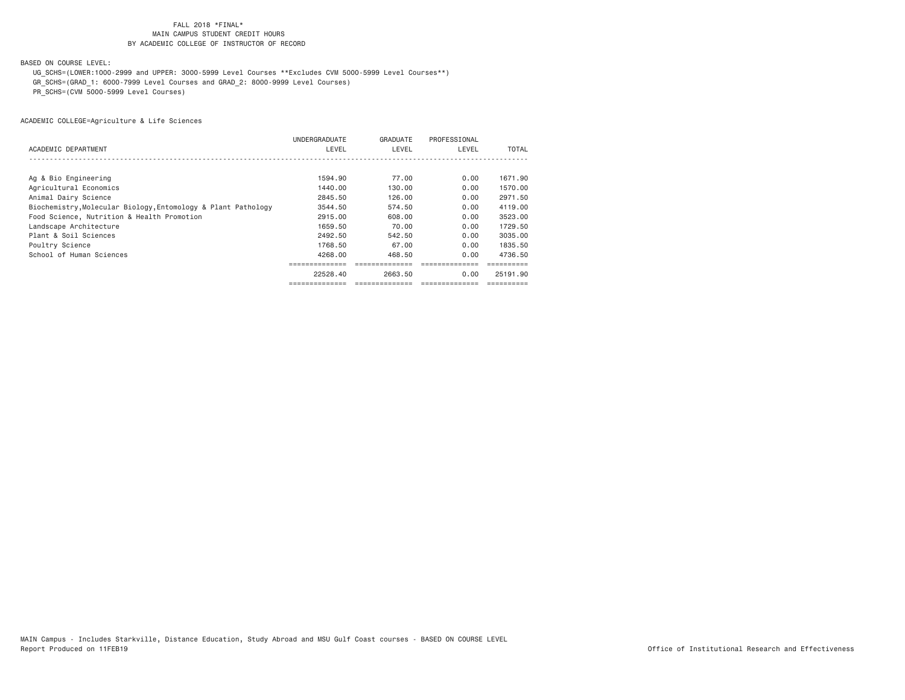BASED ON COURSE LEVEL:

UG\_SCHS=(LOWER:1000-2999 and UPPER: 3000-5999 Level Courses \*\*Excludes CVM 5000-5999 Level Courses\*\*)

GR\_SCHS=(GRAD\_1: 6000-7999 Level Courses and GRAD\_2: 8000-9999 Level Courses)

PR\_SCHS=(CVM 5000-5999 Level Courses)

|                                                               | UNDERGRADUATE | GRADUATE | PROFESSIONAL |          |
|---------------------------------------------------------------|---------------|----------|--------------|----------|
| ACADEMIC DEPARTMENT                                           | LEVEL         | LEVEL    | LEVEL        | TOTAL    |
|                                                               |               |          |              |          |
|                                                               |               |          |              |          |
| Ag & Bio Engineering                                          | 1594.90       | 77.00    | 0.00         | 1671.90  |
| Agricultural Economics                                        | 1440.00       | 130.00   | 0.00         | 1570.00  |
| Animal Dairy Science                                          | 2845.50       | 126.00   | 0.00         | 2971.50  |
| Biochemistry, Molecular Biology, Entomology & Plant Pathology | 3544.50       | 574.50   | 0.00         | 4119.00  |
| Food Science, Nutrition & Health Promotion                    | 2915,00       | 608,00   | 0.00         | 3523.00  |
| Landscape Architecture                                        | 1659.50       | 70.00    | 0.00         | 1729.50  |
| Plant & Soil Sciences                                         | 2492.50       | 542.50   | 0.00         | 3035.00  |
| Poultry Science                                               | 1768.50       | 67.00    | 0.00         | 1835.50  |
| School of Human Sciences                                      | 4268.00       | 468.50   | 0.00         | 4736.50  |
|                                                               |               |          |              |          |
|                                                               | 22528.40      | 2663.50  | 0.00         | 25191.90 |
|                                                               |               |          |              |          |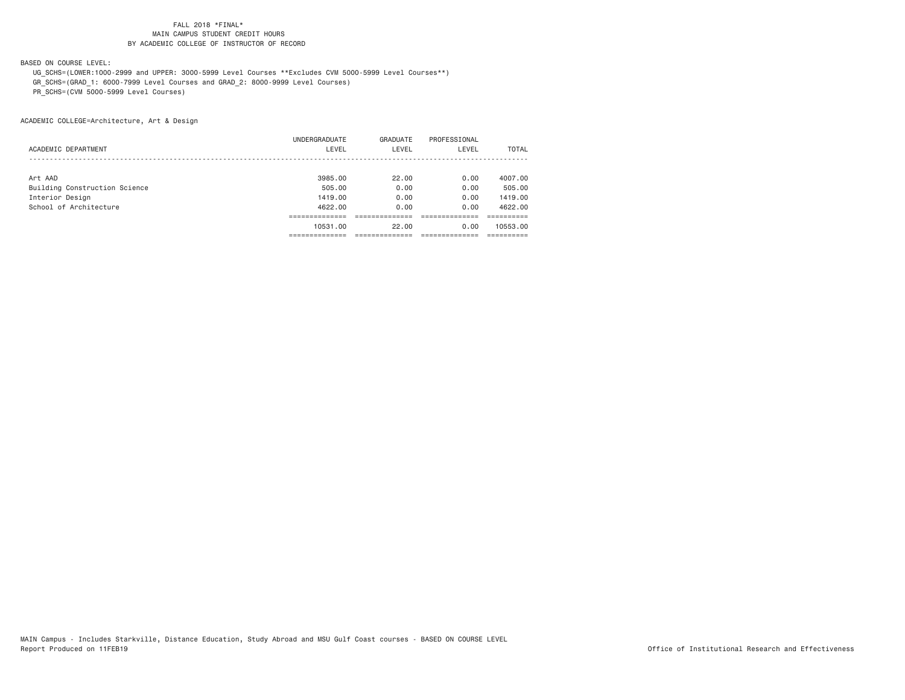BASED ON COURSE LEVEL:

 UG\_SCHS=(LOWER:1000-2999 and UPPER: 3000-5999 Level Courses \*\*Excludes CVM 5000-5999 Level Courses\*\*) GR\_SCHS=(GRAD\_1: 6000-7999 Level Courses and GRAD\_2: 8000-9999 Level Courses)

PR\_SCHS=(CVM 5000-5999 Level Courses)

ACADEMIC COLLEGE=Architecture, Art & Design

|                               | UNDERGRADUATE | GRADUATE | PROFESSIONAL |              |
|-------------------------------|---------------|----------|--------------|--------------|
| ACADEMIC DEPARTMENT           | LEVEL         | LEVEL    | LEVEL        | <b>TOTAL</b> |
|                               |               |          |              |              |
| Art AAD                       | 3985,00       | 22.00    | 0.00         | 4007.00      |
| Building Construction Science | 505.00        | 0.00     | 0.00         | 505,00       |
| Interior Design               | 1419.00       | 0.00     | 0.00         | 1419.00      |
| School of Architecture        | 4622.00       | 0.00     | 0.00         | 4622.00      |
|                               |               |          |              |              |
|                               | 10531.00      | 22.00    | 0.00         | 10553.00     |
|                               |               |          |              |              |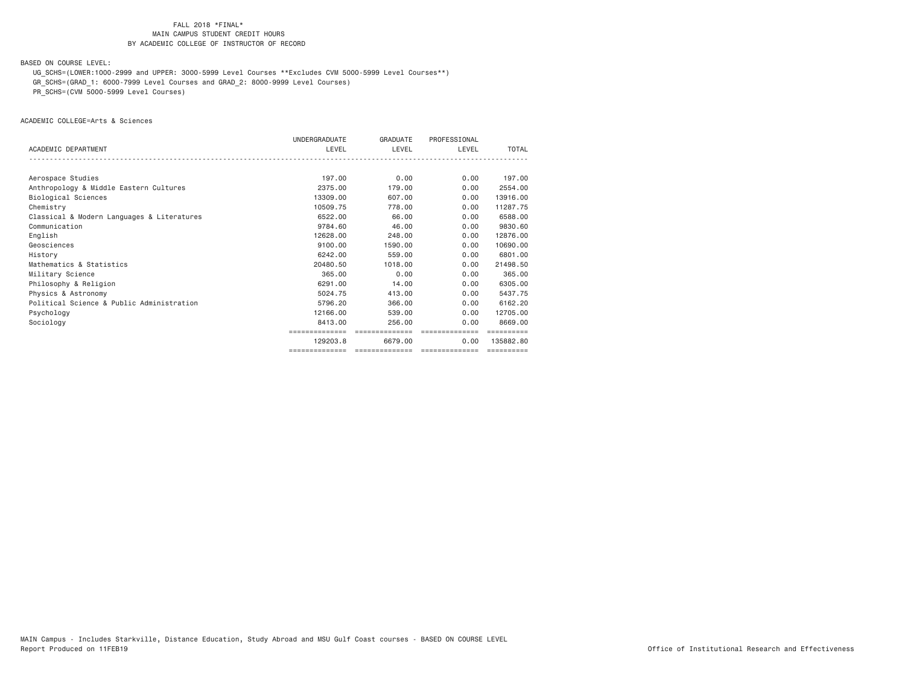BASED ON COURSE LEVEL:

UG\_SCHS=(LOWER:1000-2999 and UPPER: 3000-5999 Level Courses \*\*Excludes CVM 5000-5999 Level Courses\*\*)

GR\_SCHS=(GRAD\_1: 6000-7999 Level Courses and GRAD\_2: 8000-9999 Level Courses)

PR\_SCHS=(CVM 5000-5999 Level Courses)

ACADEMIC COLLEGE=Arts & Sciences

|                                            | UNDERGRADUATE  | GRADUATE       | PROFESSIONAL                      |            |
|--------------------------------------------|----------------|----------------|-----------------------------------|------------|
| ACADEMIC DEPARTMENT                        | LEVEL          | LEVEL          | LEVEL                             | TOTAL      |
|                                            |                |                |                                   |            |
| Aerospace Studies                          | 197.00         | 0.00           | 0.00                              | 197.00     |
| Anthropology & Middle Eastern Cultures     | 2375,00        | 179.00         | 0.00                              | 2554.00    |
| Biological Sciences                        | 13309.00       | 607.00         | 0.00                              | 13916,00   |
| Chemistry                                  | 10509.75       | 778.00         | 0.00                              | 11287.75   |
| Classical & Modern Languages & Literatures | 6522.00        | 66.00          | 0.00                              | 6588.00    |
| Communication                              | 9784.60        | 46.00          | 0.00                              | 9830.60    |
| English                                    | 12628,00       | 248,00         | 0.00                              | 12876.00   |
| Geosciences                                | 9100.00        | 1590.00        | 0.00                              | 10690,00   |
| History                                    | 6242.00        | 559.00         | 0.00                              | 6801,00    |
| Mathematics & Statistics                   | 20480.50       | 1018,00        | 0.00                              | 21498.50   |
| Military Science                           | 365,00         | 0.00           | 0.00                              | 365,00     |
| Philosophy & Religion                      | 6291,00        | 14,00          | 0.00                              | 6305,00    |
| Physics & Astronomy                        | 5024.75        | 413,00         | 0.00                              | 5437.75    |
| Political Science & Public Administration  | 5796.20        | 366,00         | 0.00                              | 6162.20    |
| Psychology                                 | 12166.00       | 539,00         | 0.00                              | 12705.00   |
| Sociology                                  | 8413,00        | 256,00         | 0.00                              | 8669.00    |
|                                            | ------------   | ============== | ==============                    |            |
|                                            | 129203.8       | 6679.00        | 0.00                              | 135882.80  |
|                                            | ============== |                | ================================= | ========== |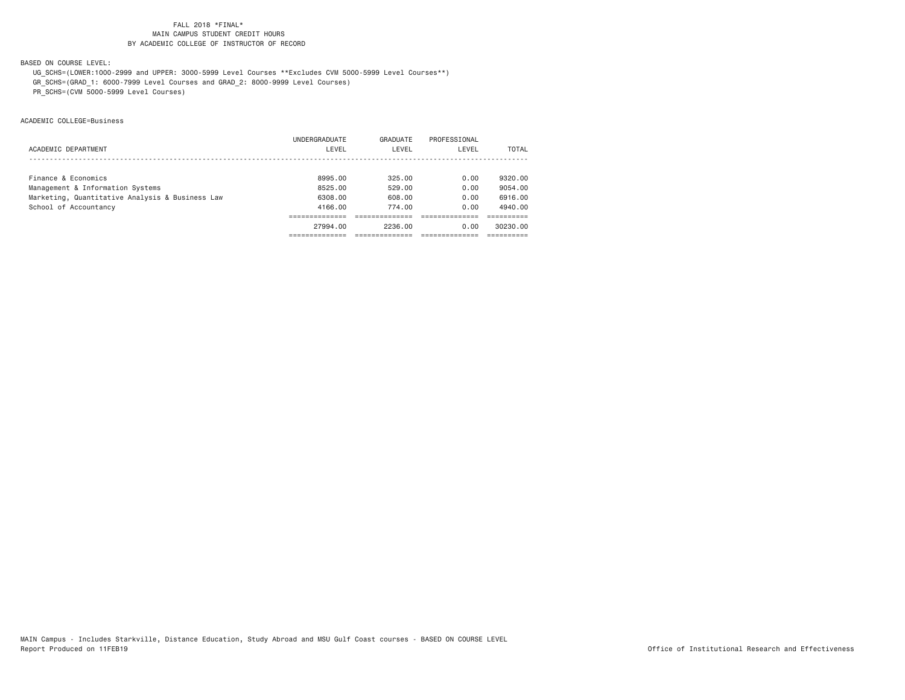BASED ON COURSE LEVEL:

UG\_SCHS=(LOWER:1000-2999 and UPPER: 3000-5999 Level Courses \*\*Excludes CVM 5000-5999 Level Courses\*\*)

GR\_SCHS=(GRAD\_1: 6000-7999 Level Courses and GRAD\_2: 8000-9999 Level Courses)

PR\_SCHS=(CVM 5000-5999 Level Courses)

ACADEMIC COLLEGE=Business

|                                                 | UNDERGRADUATE | GRADUATE | PROFESSIONAL |          |
|-------------------------------------------------|---------------|----------|--------------|----------|
| ACADEMIC DEPARTMENT                             | LEVEL         | LEVEL    | LEVEL        | TOTAL    |
|                                                 |               |          |              |          |
| Finance & Economics                             | 8995.00       | 325.00   | 0.00         | 9320.00  |
| Management & Information Systems                | 8525.00       | 529.00   | 0.00         | 9054,00  |
| Marketing, Quantitative Analysis & Business Law | 6308,00       | 608.00   | 0.00         | 6916.00  |
| School of Accountancy                           | 4166.00       | 774.00   | 0.00         | 4940.00  |
|                                                 |               |          |              |          |
|                                                 | 27994.00      | 2236.00  | 0.00         | 30230.00 |
|                                                 |               |          |              |          |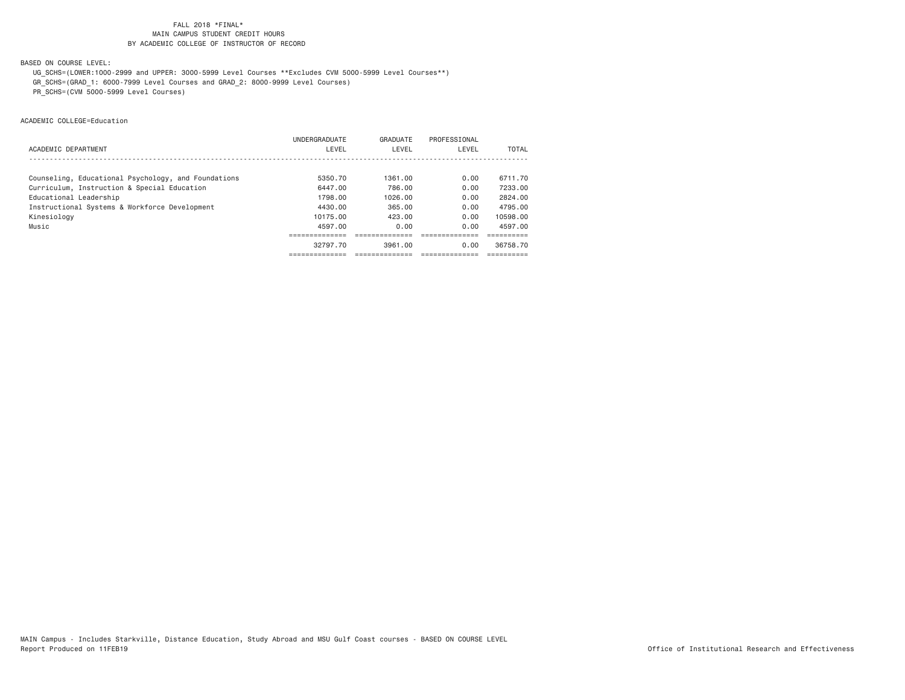BASED ON COURSE LEVEL:

UG\_SCHS=(LOWER:1000-2999 and UPPER: 3000-5999 Level Courses \*\*Excludes CVM 5000-5999 Level Courses\*\*)

GR\_SCHS=(GRAD\_1: 6000-7999 Level Courses and GRAD\_2: 8000-9999 Level Courses)

PR\_SCHS=(CVM 5000-5999 Level Courses)

ACADEMIC COLLEGE=Education

|                                                     | <b>UNDERGRADUATE</b> | GRADUATE | PROFESSIONAL |          |
|-----------------------------------------------------|----------------------|----------|--------------|----------|
| ACADEMIC DEPARTMENT                                 | LEVEL                | LEVEL    | LEVEL        | TOTAL    |
|                                                     |                      |          |              |          |
| Counseling, Educational Psychology, and Foundations | 5350.70              | 1361.00  | 0.00         | 6711.70  |
| Curriculum, Instruction & Special Education         | 6447.00              | 786.00   | 0.00         | 7233.00  |
| Educational Leadership                              | 1798.00              | 1026.00  | 0.00         | 2824.00  |
| Instructional Systems & Workforce Development       | 4430.00              | 365.00   | 0.00         | 4795.00  |
| Kinesiology                                         | 10175.00             | 423.00   | 0.00         | 10598.00 |
| Music                                               | 4597.00              | 0.00     | 0.00         | 4597.00  |
|                                                     |                      |          |              |          |
|                                                     | 32797.70             | 3961.00  | 0.00         | 36758.70 |
|                                                     |                      |          |              |          |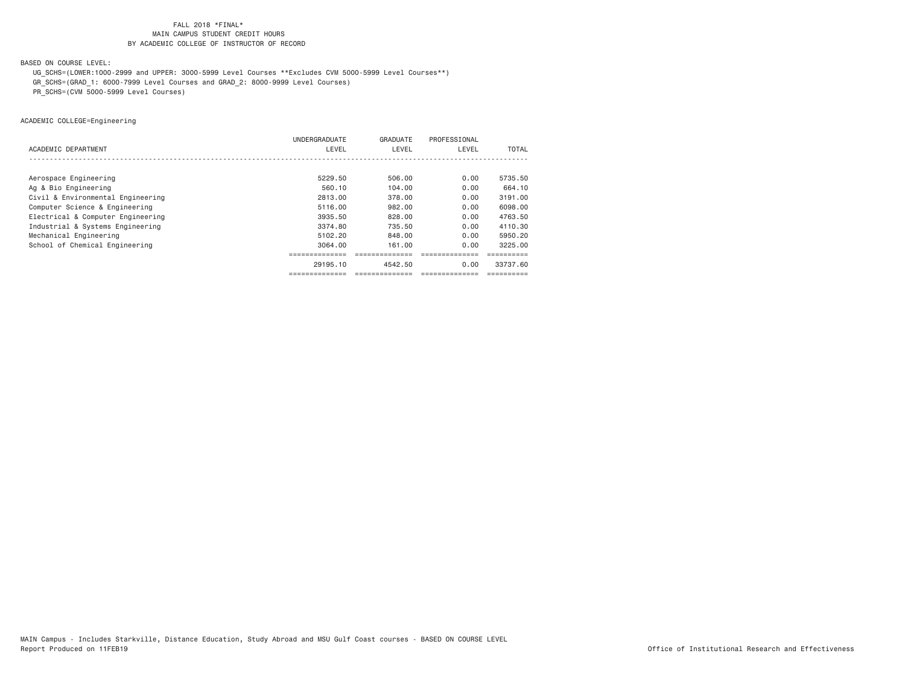BASED ON COURSE LEVEL:

UG\_SCHS=(LOWER:1000-2999 and UPPER: 3000-5999 Level Courses \*\*Excludes CVM 5000-5999 Level Courses\*\*)

GR\_SCHS=(GRAD\_1: 6000-7999 Level Courses and GRAD\_2: 8000-9999 Level Courses)

PR\_SCHS=(CVM 5000-5999 Level Courses)

ACADEMIC COLLEGE=Engineering

|                                   | UNDERGRADUATE | GRADUATE | PROFESSIONAL |          |
|-----------------------------------|---------------|----------|--------------|----------|
| ACADEMIC DEPARTMENT               | LEVEL         | LEVEL    | LEVEL        | TOTAL    |
|                                   |               |          |              |          |
| Aerospace Engineering             | 5229.50       | 506.00   | 0.00         | 5735.50  |
| Ag & Bio Engineering              | 560.10        | 104.00   | 0.00         | 664.10   |
| Civil & Environmental Engineering | 2813.00       | 378.00   | 0.00         | 3191.00  |
| Computer Science & Engineering    | 5116.00       | 982.00   | 0.00         | 6098,00  |
| Electrical & Computer Engineering | 3935.50       | 828,00   | 0.00         | 4763.50  |
| Industrial & Systems Engineering  | 3374.80       | 735.50   | 0.00         | 4110.30  |
| Mechanical Engineering            | 5102.20       | 848.00   | 0.00         | 5950.20  |
| School of Chemical Engineering    | 3064.00       | 161.00   | 0.00         | 3225.00  |
|                                   |               |          |              |          |
|                                   | 29195.10      | 4542.50  | 0.00         | 33737.60 |
|                                   |               |          |              |          |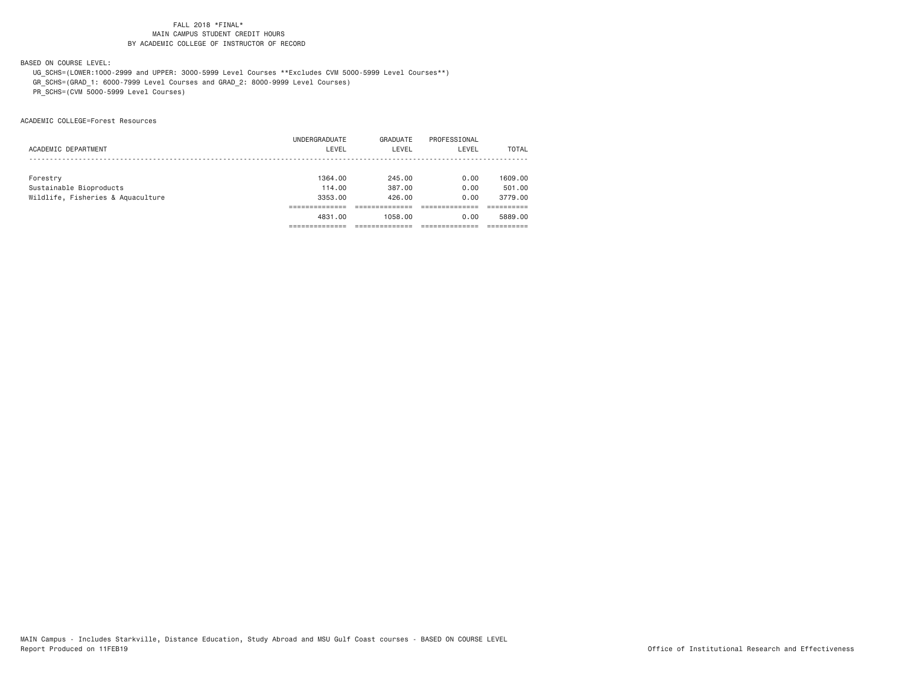BASED ON COURSE LEVEL:

 UG\_SCHS=(LOWER:1000-2999 and UPPER: 3000-5999 Level Courses \*\*Excludes CVM 5000-5999 Level Courses\*\*) GR\_SCHS=(GRAD\_1: 6000-7999 Level Courses and GRAD\_2: 8000-9999 Level Courses)

PR\_SCHS=(CVM 5000-5999 Level Courses)

ACADEMIC COLLEGE=Forest Resources

|                                   | UNDERGRADUATE | GRADUATE | PROFESSIONAL |         |
|-----------------------------------|---------------|----------|--------------|---------|
| ACADEMIC DEPARTMENT               | LEVEL         | LEVEL    | LEVEL        | TOTAL   |
|                                   |               |          |              |         |
|                                   | 1364.00       | 245.00   | 0.00         | 1609.00 |
| Forestry                          |               |          |              |         |
| Sustainable Bioproducts           | 114,00        | 387,00   | 0.00         | 501.00  |
| Wildlife, Fisheries & Aquaculture | 3353.00       | 426.00   | 0.00         | 3779.00 |
|                                   |               |          |              |         |
|                                   | 4831.00       | 1058.00  | 0.00         | 5889.00 |
|                                   |               |          |              |         |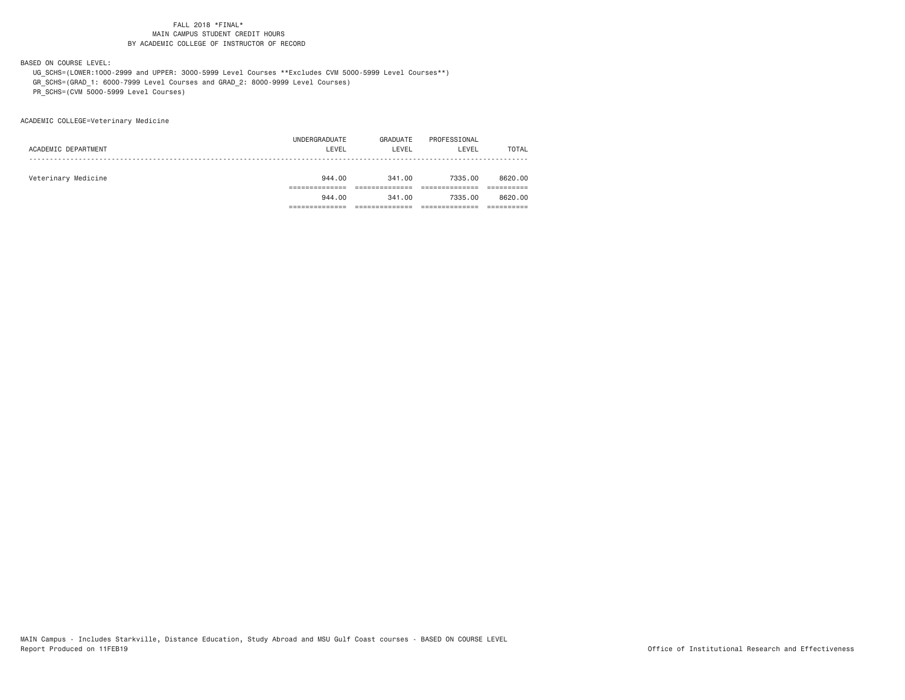BASED ON COURSE LEVEL:

 UG\_SCHS=(LOWER:1000-2999 and UPPER: 3000-5999 Level Courses \*\*Excludes CVM 5000-5999 Level Courses\*\*) GR\_SCHS=(GRAD\_1: 6000-7999 Level Courses and GRAD\_2: 8000-9999 Level Courses)

PR\_SCHS=(CVM 5000-5999 Level Courses)

ACADEMIC COLLEGE=Veterinary Medicine

|                     | 944.00        | 341.00   | 7335.00      | 8620.00 |
|---------------------|---------------|----------|--------------|---------|
|                     |               |          |              |         |
| Veterinary Medicine | 944.00        | 341,00   | 7335.00      | 8620.00 |
|                     |               |          |              |         |
| ACADEMIC DEPARTMENT | LEVEL         | LEVEL    | LEVEL        | TOTAL   |
|                     | UNDERGRADUATE | GRADUATE | PROFESSIONAL |         |
|                     |               |          |              |         |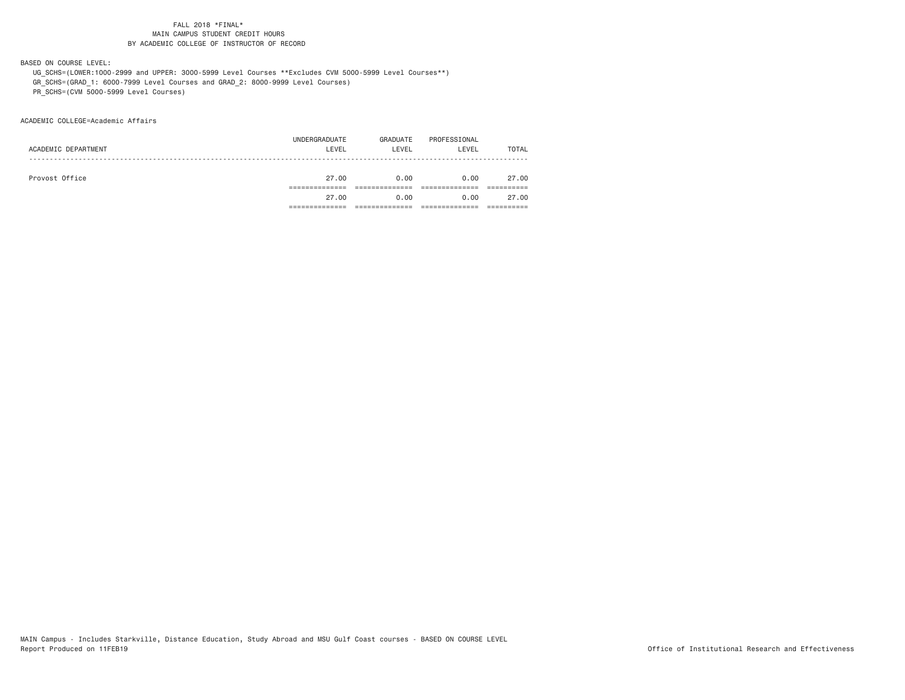BASED ON COURSE LEVEL:

 UG\_SCHS=(LOWER:1000-2999 and UPPER: 3000-5999 Level Courses \*\*Excludes CVM 5000-5999 Level Courses\*\*) GR\_SCHS=(GRAD\_1: 6000-7999 Level Courses and GRAD\_2: 8000-9999 Level Courses)

PR\_SCHS=(CVM 5000-5999 Level Courses)

ACADEMIC COLLEGE=Academic Affairs

|                | 27.00               | 0.00     | 0.00         | 27.00        |
|----------------|---------------------|----------|--------------|--------------|
|                |                     |          |              |              |
| Provost Office | 27.00               | 0.00     | 0.00         | 27.00        |
|                |                     |          |              |              |
|                |                     |          |              | <b>TOTAL</b> |
|                | UNDERGRADUATE       | GRADUATE | PROFESSIONAL |              |
|                | ACADEMIC DEPARTMENT | LEVEL    | LEVEL        | LEVEL        |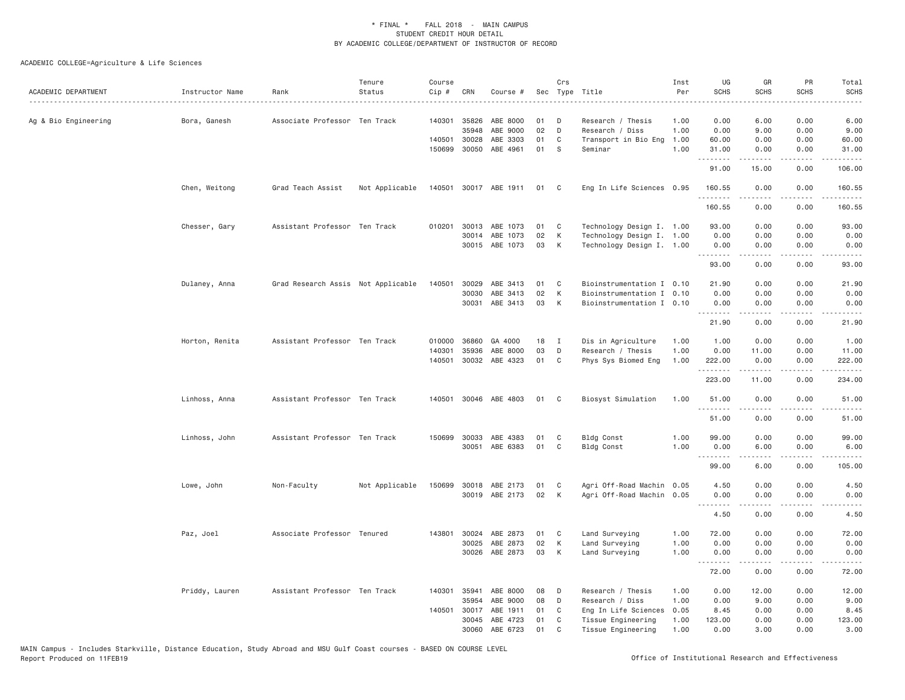| ACADEMIC DEPARTMENT  | Instructor Name | Rank<br>.                          | Tenure<br>Status | Course<br>Cip # | CRN          | Course #              |    | Crs            | Sec Type Title            | Inst<br>Per | UG<br><b>SCHS</b> | GR<br><b>SCHS</b>                                                                                                                                            | <b>PR</b><br><b>SCHS</b> | Total<br><b>SCHS</b><br>.                                                                                                                                                                 |
|----------------------|-----------------|------------------------------------|------------------|-----------------|--------------|-----------------------|----|----------------|---------------------------|-------------|-------------------|--------------------------------------------------------------------------------------------------------------------------------------------------------------|--------------------------|-------------------------------------------------------------------------------------------------------------------------------------------------------------------------------------------|
| Ag & Bio Engineering | Bora, Ganesh    | Associate Professor Ten Track      |                  |                 | 140301 35826 | ABE 8000              | 01 | D              | Research / Thesis         | 1.00        | 0.00              | 6.00                                                                                                                                                         | 0.00                     | 6.00                                                                                                                                                                                      |
|                      |                 |                                    |                  |                 | 35948        | ABE 9000              | 02 | D              | Research / Diss           | 1.00        | 0.00              | 9.00                                                                                                                                                         | 0.00                     | 9.00                                                                                                                                                                                      |
|                      |                 |                                    |                  |                 | 140501 30028 | ABE 3303              | 01 | C              | Transport in Bio Eng      | 1.00        | 60.00             | 0.00                                                                                                                                                         | 0.00                     | 60.00                                                                                                                                                                                     |
|                      |                 |                                    |                  |                 | 150699 30050 | ABE 4961              | 01 | S              | Seminar                   | 1,00        | 31.00<br>.        | 0.00                                                                                                                                                         | 0.00                     | 31.00                                                                                                                                                                                     |
|                      |                 |                                    |                  |                 |              |                       |    |                |                           |             | 91.00             | 15.00                                                                                                                                                        | 0.00                     | 106.00                                                                                                                                                                                    |
|                      | Chen, Weitong   | Grad Teach Assist                  | Not Applicable   |                 |              | 140501 30017 ABE 1911 | 01 | C <sub>c</sub> | Eng In Life Sciences 0.95 |             | 160.55<br>.       | 0.00<br>$- - - - -$                                                                                                                                          | 0.00<br>.                | 160.55<br>$\frac{1}{2} \left( \frac{1}{2} \right) \left( \frac{1}{2} \right) \left( \frac{1}{2} \right) \left( \frac{1}{2} \right) \left( \frac{1}{2} \right) \left( \frac{1}{2} \right)$ |
|                      |                 |                                    |                  |                 |              |                       |    |                |                           |             | 160.55            | 0.00                                                                                                                                                         | 0.00                     | 160.55                                                                                                                                                                                    |
|                      | Chesser, Gary   | Assistant Professor Ten Track      |                  |                 |              | 010201 30013 ABE 1073 | 01 | C              | Technology Design I. 1.00 |             | 93.00             | 0.00                                                                                                                                                         | 0.00                     | 93.00                                                                                                                                                                                     |
|                      |                 |                                    |                  |                 |              | 30014 ABE 1073        | 02 | К              | Technology Design I. 1.00 |             | 0.00              | 0.00                                                                                                                                                         | 0.00                     | 0.00                                                                                                                                                                                      |
|                      |                 |                                    |                  |                 |              | 30015 ABE 1073        | 03 | K              | Technology Design I. 1.00 |             | 0.00<br>.         | 0.00<br>.                                                                                                                                                    | 0.00<br>.                | 0.00<br>$- - - - -$                                                                                                                                                                       |
|                      |                 |                                    |                  |                 |              |                       |    |                |                           |             | 93.00             | 0.00                                                                                                                                                         | 0.00                     | 93.00                                                                                                                                                                                     |
|                      | Dulaney, Anna   | Grad Research Assis Not Applicable |                  | 140501          | 30029        | ABE 3413              | 01 | C              | Bioinstrumentation I 0.10 |             | 21.90             | 0.00                                                                                                                                                         | 0.00                     | 21.90                                                                                                                                                                                     |
|                      |                 |                                    |                  |                 | 30030        | ABE 3413              | 02 | К              | Bioinstrumentation I 0.10 |             | 0.00              | 0.00                                                                                                                                                         | 0.00                     | 0.00                                                                                                                                                                                      |
|                      |                 |                                    |                  |                 |              | 30031 ABE 3413        | 03 | К              | Bioinstrumentation I 0.10 |             | 0.00              | 0.00                                                                                                                                                         | 0.00                     | 0.00                                                                                                                                                                                      |
|                      |                 |                                    |                  |                 |              |                       |    |                |                           |             | 21.90             | $\frac{1}{2} \left( \frac{1}{2} \right) \left( \frac{1}{2} \right) \left( \frac{1}{2} \right) \left( \frac{1}{2} \right) \left( \frac{1}{2} \right)$<br>0.00 | .<br>0.00                | .<br>21.90                                                                                                                                                                                |
|                      | Horton, Renita  | Assistant Professor Ten Track      |                  |                 | 010000 36860 | GA 4000               | 18 | $\mathbf I$    | Dis in Agriculture        | 1.00        | 1.00              | 0.00                                                                                                                                                         | 0.00                     | 1.00                                                                                                                                                                                      |
|                      |                 |                                    |                  | 140301          | 35936        | ABE 8000              | 03 | D              | Research / Thesis         | 1.00        | 0.00              | 11.00                                                                                                                                                        | 0.00                     | 11.00                                                                                                                                                                                     |
|                      |                 |                                    |                  |                 | 140501 30032 | ABE 4323              | 01 | C              | Phys Sys Biomed Eng       | 1.00        | 222.00            | 0.00                                                                                                                                                         | 0.00                     | 222.00                                                                                                                                                                                    |
|                      |                 |                                    |                  |                 |              |                       |    |                |                           |             | .<br>223.00       | .<br>11.00                                                                                                                                                   | .<br>0.00                | $\frac{1}{2} \left( \frac{1}{2} \right) \left( \frac{1}{2} \right) \left( \frac{1}{2} \right) \left( \frac{1}{2} \right) \left( \frac{1}{2} \right) \left( \frac{1}{2} \right)$<br>234.00 |
|                      | Linhoss, Anna   | Assistant Professor Ten Track      |                  |                 |              | 140501 30046 ABE 4803 | 01 | C              | Biosyst Simulation        | 1.00        | 51.00             | 0.00                                                                                                                                                         | 0.00                     | 51.00                                                                                                                                                                                     |
|                      |                 |                                    |                  |                 |              |                       |    |                |                           |             | .<br>51.00        | .<br>0.00                                                                                                                                                    | ----<br>0.00             | 51.00                                                                                                                                                                                     |
|                      | Linhoss, John   | Assistant Professor Ten Track      |                  |                 | 150699 30033 | ABE 4383              | 01 | C              | <b>Bldg Const</b>         | 1.00        | 99.00             | 0.00                                                                                                                                                         | 0.00                     | 99.00                                                                                                                                                                                     |
|                      |                 |                                    |                  |                 | 30051        | ABE 6383              | 01 | C              | <b>Bldg Const</b>         | 1.00        | 0.00              | 6.00                                                                                                                                                         | 0.00                     | 6.00                                                                                                                                                                                      |
|                      |                 |                                    |                  |                 |              |                       |    |                |                           |             | .                 | .                                                                                                                                                            | د د د د                  | .                                                                                                                                                                                         |
|                      |                 |                                    |                  |                 |              |                       |    |                |                           |             | 99.00             | 6.00                                                                                                                                                         | 0.00                     | 105.00                                                                                                                                                                                    |
|                      | Lowe, John      | Non-Faculty                        | Not Applicable   | 150699          |              | 30018 ABE 2173        | 01 | C              | Agri Off-Road Machin      | 0.05        | 4.50              | 0.00                                                                                                                                                         | 0.00                     | 4.50                                                                                                                                                                                      |
|                      |                 |                                    |                  |                 |              | 30019 ABE 2173        | 02 | K              | Agri Off-Road Machin      | 0.05        | 0.00              | 0.00                                                                                                                                                         | 0.00                     | 0.00                                                                                                                                                                                      |
|                      |                 |                                    |                  |                 |              |                       |    |                |                           |             | 4.50              | 0.00                                                                                                                                                         | 0.00                     | 4.50                                                                                                                                                                                      |
|                      | Paz, Joel       | Associate Professor Tenured        |                  |                 | 143801 30024 | ABE 2873              | 01 | C              | Land Surveying            | 1.00        | 72.00             | 0.00                                                                                                                                                         | 0.00                     | 72.00                                                                                                                                                                                     |
|                      |                 |                                    |                  |                 | 30025        | ABE 2873              | 02 | К              | Land Surveying            | 1.00        | 0.00              | 0.00                                                                                                                                                         | 0.00                     | 0.00                                                                                                                                                                                      |
|                      |                 |                                    |                  |                 | 30026        | ABE 2873              | 03 | К              | Land Surveying            | 1.00        | 0.00              | 0.00                                                                                                                                                         | 0.00                     | 0.00                                                                                                                                                                                      |
|                      |                 |                                    |                  |                 |              |                       |    |                |                           |             | .<br>72.00        | 0.00                                                                                                                                                         | 0.00                     | 72.00                                                                                                                                                                                     |
|                      | Priddy, Lauren  | Assistant Professor Ten Track      |                  |                 | 140301 35941 | ABE 8000              | 08 | D              | Research / Thesis         | 1.00        | 0.00              | 12.00                                                                                                                                                        | 0.00                     | 12.00                                                                                                                                                                                     |
|                      |                 |                                    |                  |                 | 35954        | ABE 9000              | 08 | D              | Research / Diss           | 1.00        | 0.00              | 9.00                                                                                                                                                         | 0.00                     | 9.00                                                                                                                                                                                      |
|                      |                 |                                    |                  | 140501          | 30017        | ABE 1911              | 01 | C              | Eng In Life Sciences      | 0.05        | 8.45              | 0.00                                                                                                                                                         | 0.00                     | 8.45                                                                                                                                                                                      |
|                      |                 |                                    |                  |                 | 30045        | ABE 4723              | 01 | C              | Tissue Engineering        | 1.00        | 123.00            | 0.00                                                                                                                                                         | 0.00                     | 123.00                                                                                                                                                                                    |
|                      |                 |                                    |                  |                 | 30060        | ABE 6723              | 01 | C              | Tissue Engineering        | 1.00        | 0.00              | 3,00                                                                                                                                                         | 0.00                     | 3.00                                                                                                                                                                                      |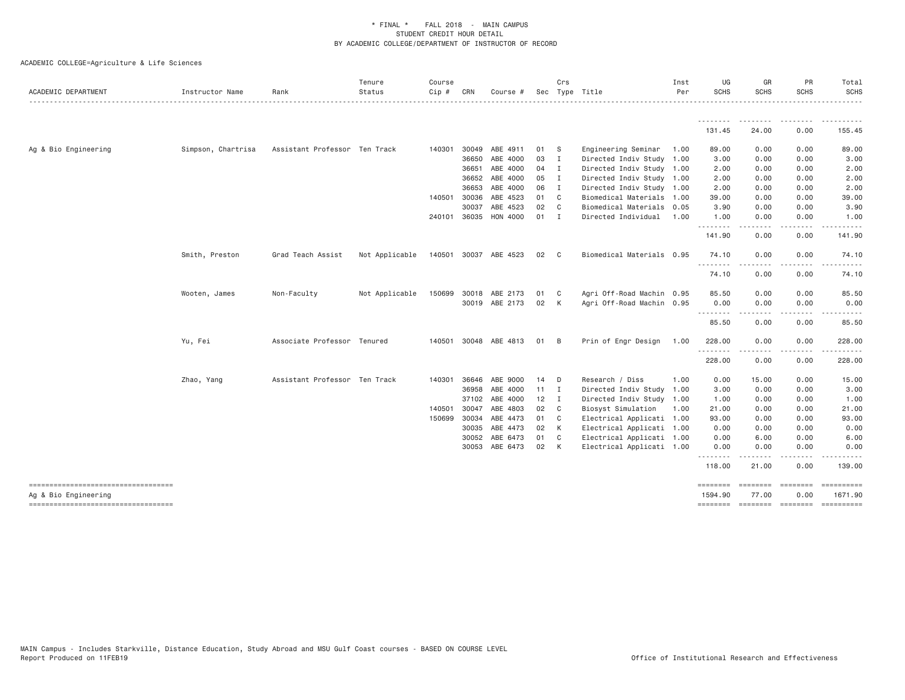| ACADEMIC DEPARTMENT                                        | Instructor Name    | Rank                          | Tenure<br>Status | Course<br>Cip # | CRN          | Course #              |                 | Crs            | Sec Type Title            | Inst<br>Per | UG<br><b>SCHS</b>   | GR<br>SCHS                                                                                                                                                   | PR<br><b>SCHS</b>                                                                                                                 | Total<br><b>SCHS</b>  |
|------------------------------------------------------------|--------------------|-------------------------------|------------------|-----------------|--------------|-----------------------|-----------------|----------------|---------------------------|-------------|---------------------|--------------------------------------------------------------------------------------------------------------------------------------------------------------|-----------------------------------------------------------------------------------------------------------------------------------|-----------------------|
|                                                            |                    |                               |                  |                 |              |                       |                 |                |                           |             | .                   | ------                                                                                                                                                       |                                                                                                                                   | . <u>.</u>            |
|                                                            |                    |                               |                  |                 |              |                       |                 |                |                           |             | 131.45              | 24.00                                                                                                                                                        | 0.00                                                                                                                              | 155.45                |
| Ag & Bio Engineering                                       | Simpson, Chartrisa | Assistant Professor Ten Track |                  | 140301          | 30049        | ABE 4911              | 01              | $^{\circ}$ S   | Engineering Seminar       | 1.00        | 89.00               | 0.00                                                                                                                                                         | 0.00                                                                                                                              | 89.00                 |
|                                                            |                    |                               |                  |                 | 36650        | ABE 4000              | 03              | $\blacksquare$ | Directed Indiv Study 1.00 |             | 3.00                | 0.00                                                                                                                                                         | 0.00                                                                                                                              | 3.00                  |
|                                                            |                    |                               |                  |                 | 36651        | ABE 4000              | 04 I            |                | Directed Indiv Study 1.00 |             | 2.00                | 0.00                                                                                                                                                         | 0.00                                                                                                                              | 2.00                  |
|                                                            |                    |                               |                  |                 | 36652        | ABE 4000              | 05              | $\blacksquare$ | Directed Indiv Study 1.00 |             | 2.00                | 0.00                                                                                                                                                         | 0.00                                                                                                                              | 2.00                  |
|                                                            |                    |                               |                  |                 | 36653        | ABE 4000              | 06              | $\blacksquare$ | Directed Indiv Study 1.00 |             | 2.00                | 0.00                                                                                                                                                         | 0.00                                                                                                                              | 2.00                  |
|                                                            |                    |                               |                  | 140501 30036    |              | ABE 4523              | 01 C            |                | Biomedical Materials 1.00 |             | 39.00               | 0.00                                                                                                                                                         | 0.00                                                                                                                              | 39.00                 |
|                                                            |                    |                               |                  |                 | 30037        | ABE 4523              | 02 C            |                | Biomedical Materials 0.05 |             | 3.90                | 0.00                                                                                                                                                         | 0.00                                                                                                                              | 3.90                  |
|                                                            |                    |                               |                  | 240101 36035    |              | HON 4000              | 01 I            |                | Directed Individual       | 1.00        | 1.00<br>.           | 0.00<br>$\frac{1}{2} \left( \frac{1}{2} \right) \left( \frac{1}{2} \right) \left( \frac{1}{2} \right) \left( \frac{1}{2} \right) \left( \frac{1}{2} \right)$ | 0.00<br>$\frac{1}{2} \left( \frac{1}{2} \right) \left( \frac{1}{2} \right) \left( \frac{1}{2} \right) \left( \frac{1}{2} \right)$ | 1.00                  |
|                                                            |                    |                               |                  |                 |              |                       |                 |                |                           |             | 141.90              | 0.00                                                                                                                                                         | 0.00                                                                                                                              | 141.90                |
|                                                            | Smith, Preston     | Grad Teach Assist             | Not Applicable   |                 |              | 140501 30037 ABE 4523 | 02              | $\mathbf{C}$   | Biomedical Materials 0.95 |             | 74.10               | 0.00                                                                                                                                                         | 0.00                                                                                                                              | 74.10                 |
|                                                            |                    |                               |                  |                 |              |                       |                 |                |                           |             | .<br>74.10          | 0.00                                                                                                                                                         | .<br>0.00                                                                                                                         | 74.10                 |
|                                                            | Wooten, James      | Non-Faculty                   | Not Applicable   |                 | 150699 30018 | ABE 2173              | 01              | C <sub>1</sub> | Agri Off-Road Machin 0.95 |             | 85.50               | 0.00                                                                                                                                                         | 0.00                                                                                                                              | 85.50                 |
|                                                            |                    |                               |                  |                 |              | 30019 ABE 2173        | 02              | K              | Agri Off-Road Machin 0.95 |             | 0.00                | 0.00                                                                                                                                                         | 0.00                                                                                                                              | 0.00                  |
|                                                            |                    |                               |                  |                 |              |                       |                 |                |                           |             | ---------<br>85.50  | <u>.</u><br>0.00                                                                                                                                             | .<br>0.00                                                                                                                         | 85.50                 |
|                                                            | Yu, Fei            | Associate Professor Tenured   |                  |                 |              | 140501 30048 ABE 4813 | 01              | $\overline{B}$ | Prin of Engr Design       | 1.00        | 228.00              | 0.00                                                                                                                                                         | 0.00                                                                                                                              | 228.00                |
|                                                            |                    |                               |                  |                 |              |                       |                 |                |                           |             | <u>.</u><br>228.00  | 0.00                                                                                                                                                         | 0.00                                                                                                                              | 228.00                |
|                                                            | Zhao, Yang         | Assistant Professor Ten Track |                  | 140301          | 36646        | ABE 9000              | 14              | $\mathsf{D}$   | Research / Diss           | 1.00        | 0.00                | 15.00                                                                                                                                                        | 0.00                                                                                                                              | 15.00                 |
|                                                            |                    |                               |                  |                 | 36958        | ABE 4000              | $11 \quad I$    |                | Directed Indiv Study 1.00 |             | 3.00                | 0.00                                                                                                                                                         | 0.00                                                                                                                              | 3.00                  |
|                                                            |                    |                               |                  |                 | 37102        | ABE 4000              | 12 <sup>2</sup> | $\blacksquare$ | Directed Indiv Study 1.00 |             | 1.00                | 0.00                                                                                                                                                         | 0.00                                                                                                                              | 1.00                  |
|                                                            |                    |                               |                  | 140501          | 30047        | ABE 4803              | 02              | $\overline{C}$ | Biosyst Simulation        | 1.00        | 21.00               | 0.00                                                                                                                                                         | 0.00                                                                                                                              | 21.00                 |
|                                                            |                    |                               |                  | 150699 30034    |              | ABE 4473              | 01              | $\mathbf{C}$   | Electrical Applicati 1.00 |             | 93.00               | 0.00                                                                                                                                                         | 0.00                                                                                                                              | 93.00                 |
|                                                            |                    |                               |                  |                 | 30035        | ABE 4473              | 02              | $\mathsf{K}$   | Electrical Applicati 1.00 |             | 0.00                | 0.00                                                                                                                                                         | 0.00                                                                                                                              | 0.00                  |
|                                                            |                    |                               |                  |                 | 30052        | ABE 6473              | 01              | C              | Electrical Applicati 1.00 |             | 0.00                | 6.00                                                                                                                                                         | 0.00                                                                                                                              | 6.00                  |
|                                                            |                    |                               |                  |                 |              | 30053 ABE 6473        | 02              | K              | Electrical Applicati 1.00 |             | 0.00<br>.           | 0.00<br>-----                                                                                                                                                | 0.00<br>$\cdots$                                                                                                                  | 0.00<br>.             |
|                                                            |                    |                               |                  |                 |              |                       |                 |                |                           |             | 118,00              | 21.00                                                                                                                                                        | 0.00                                                                                                                              | 139.00                |
| ----------------------------------<br>Ag & Bio Engineering |                    |                               |                  |                 |              |                       |                 |                |                           |             | ========<br>1594.90 | ========<br>77.00                                                                                                                                            | ========<br>0.00                                                                                                                  | ==========<br>1671.90 |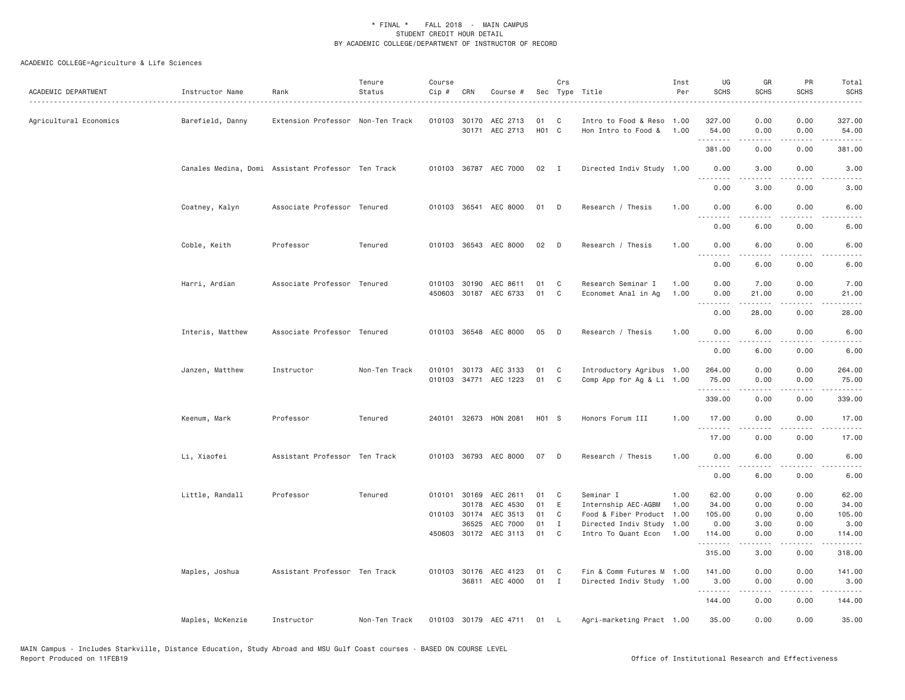| ACADEMIC DEPARTMENT    | Instructor Name  | Rank                                               | Tenure<br>Status | Course<br>Cip # | CRN          | Course #                   |                         | Crs            | Sec Type Title                              | Inst<br>Per  | UG<br><b>SCHS</b> | GR<br><b>SCHS</b>                                                                                                                                                                       | PR<br><b>SCHS</b> | Total<br><b>SCHS</b><br>$\frac{1}{2}$                                                                                                                          |
|------------------------|------------------|----------------------------------------------------|------------------|-----------------|--------------|----------------------------|-------------------------|----------------|---------------------------------------------|--------------|-------------------|-----------------------------------------------------------------------------------------------------------------------------------------------------------------------------------------|-------------------|----------------------------------------------------------------------------------------------------------------------------------------------------------------|
| Agricultural Economics | Barefield, Danny | Extension Professor Non-Ten Track                  |                  |                 | 010103 30170 | AEC 2713<br>30171 AEC 2713 | 01<br>H <sub>01</sub> C | C              | Intro to Food & Reso<br>Hon Intro to Food & | 1.00<br>1.00 | 327.00<br>54.00   | 0.00<br>0.00                                                                                                                                                                            | 0.00<br>0.00      | 327.00<br>54.00                                                                                                                                                |
|                        |                  |                                                    |                  |                 |              |                            |                         |                |                                             |              | .<br>381.00       | $\frac{1}{2} \left( \frac{1}{2} \right) \left( \frac{1}{2} \right) \left( \frac{1}{2} \right) \left( \frac{1}{2} \right) \left( \frac{1}{2} \right) \left( \frac{1}{2} \right)$<br>0.00 | .<br>0.00         | $\frac{1}{2} \left( \frac{1}{2} \right) \left( \frac{1}{2} \right) \left( \frac{1}{2} \right) \left( \frac{1}{2} \right) \left( \frac{1}{2} \right)$<br>381.00 |
|                        |                  | Canales Medina, Domi Assistant Professor Ten Track |                  |                 |              | 010103 36787 AEC 7000      | 02 I                    |                | Directed Indiv Study 1.00                   |              | 0.00              | 3.00                                                                                                                                                                                    | 0.00              | 3.00                                                                                                                                                           |
|                        |                  |                                                    |                  |                 |              |                            |                         |                |                                             |              | .<br>0.00         | .<br>3.00                                                                                                                                                                               | .<br>0.00         | $\sim$ $\sim$ $\sim$ $\sim$<br>3.00                                                                                                                            |
|                        | Coatney, Kalyn   | Associate Professor Tenured                        |                  |                 |              | 010103 36541 AEC 8000      | 01                      | D              | Research / Thesis                           | 1.00         | 0.00              | 6.00                                                                                                                                                                                    | 0.00              | 6.00                                                                                                                                                           |
|                        |                  |                                                    |                  |                 |              |                            |                         |                |                                             |              | .<br>0.00         | .<br>6.00                                                                                                                                                                               | $- - - -$<br>0.00 | $\frac{1}{2}$<br>6.00                                                                                                                                          |
|                        | Coble, Keith     | Professor                                          | Tenured          |                 |              | 010103 36543 AEC 8000      | 02                      | $\Box$         | Research / Thesis                           | 1.00         | 0.00<br><u>.</u>  | 6.00                                                                                                                                                                                    | 0.00              | 6.00                                                                                                                                                           |
|                        |                  |                                                    |                  |                 |              |                            |                         |                |                                             |              | 0.00              | 6.00                                                                                                                                                                                    | 0.00              | 6.00                                                                                                                                                           |
|                        | Harri, Ardian    | Associate Professor Tenured                        |                  |                 | 010103 30190 | AEC 8611                   | 01                      | C              | Research Seminar I                          | 1,00         | 0.00              | 7.00                                                                                                                                                                                    | 0.00              | 7.00                                                                                                                                                           |
|                        |                  |                                                    |                  |                 |              | 450603 30187 AEC 6733      | 01                      | C              | Economet Anal in Ag                         | 1.00         | 0.00              | 21.00                                                                                                                                                                                   | 0.00              | 21.00                                                                                                                                                          |
|                        |                  |                                                    |                  |                 |              |                            |                         |                |                                             |              | .<br>0.00         | .<br>28.00                                                                                                                                                                              | .<br>0.00         | .<br>28.00                                                                                                                                                     |
|                        | Interis, Matthew | Associate Professor Tenured                        |                  |                 |              | 010103 36548 AEC 8000      | 05                      | D              | Research / Thesis                           | 1.00         | 0.00              | 6.00                                                                                                                                                                                    | 0.00              | 6.00                                                                                                                                                           |
|                        |                  |                                                    |                  |                 |              |                            |                         |                |                                             |              | .<br>0.00         | $- - - - -$<br>6.00                                                                                                                                                                     | .<br>0.00         | .<br>6.00                                                                                                                                                      |
|                        | Janzen, Matthew  | Instructor                                         | Non-Ten Track    |                 |              | 010101 30173 AEC 3133      | 01                      | C              | Introductory Agribus 1.00                   |              | 264.00            | 0.00                                                                                                                                                                                    | 0.00              | 264.00                                                                                                                                                         |
|                        |                  |                                                    |                  |                 |              | 010103 34771 AEC 1223      | 01                      | C              | Comp App for Ag & Li 1.00                   |              | 75.00<br>.        | 0.00<br>.                                                                                                                                                                               | 0.00<br>.         | 75.00<br>.                                                                                                                                                     |
|                        |                  |                                                    |                  |                 |              |                            |                         |                |                                             |              | 339.00            | 0.00                                                                                                                                                                                    | 0.00              | 339.00                                                                                                                                                         |
|                        | Keenum, Mark     | Professor                                          | Tenured          |                 |              | 240101 32673 HON 2081      | H01 S                   |                | Honors Forum III                            | 1.00         | 17.00<br><u>.</u> | 0.00                                                                                                                                                                                    | 0.00<br>.         | 17.00                                                                                                                                                          |
|                        |                  |                                                    |                  |                 |              |                            |                         |                |                                             |              | 17.00             | 0.00                                                                                                                                                                                    | 0.00              | 17.00                                                                                                                                                          |
|                        | Li, Xiaofei      | Assistant Professor Ten Track                      |                  |                 |              | 010103 36793 AEC 8000      | 07                      | D              | Research / Thesis                           | 1.00         | 0.00<br>.         | 6.00                                                                                                                                                                                    | 0.00<br>.         | 6.00                                                                                                                                                           |
|                        |                  |                                                    |                  |                 |              |                            |                         |                |                                             |              | 0.00              | $\frac{1}{2} \left( \frac{1}{2} \right) \left( \frac{1}{2} \right) \left( \frac{1}{2} \right) \left( \frac{1}{2} \right) \left( \frac{1}{2} \right)$<br>6.00                            | 0.00              | .<br>6.00                                                                                                                                                      |
|                        | Little, Randall  | Professor                                          | Tenured          |                 | 010101 30169 | AEC 2611                   | 01                      | C              | Seminar I                                   | 1.00         | 62.00             | 0.00                                                                                                                                                                                    | 0.00              | 62.00                                                                                                                                                          |
|                        |                  |                                                    |                  |                 | 30178        | AEC 4530                   | 01                      | E              | Internship AEC-AGBM                         | 1.00         | 34.00             | 0.00                                                                                                                                                                                    | 0.00              | 34.00                                                                                                                                                          |
|                        |                  |                                                    |                  |                 | 010103 30174 | AEC 3513                   | 01                      | C              | Food & Fiber Product                        | 1.00         | 105.00            | 0.00                                                                                                                                                                                    | 0.00              | 105.00                                                                                                                                                         |
|                        |                  |                                                    |                  |                 | 36525        | AEC 7000                   | 01                      | $\mathbf I$    | Directed Indiv Study                        | 1.00         | 0.00              | 3.00                                                                                                                                                                                    | 0.00              | 3.00                                                                                                                                                           |
|                        |                  |                                                    |                  |                 |              | 450603 30172 AEC 3113      | 01                      | C <sub>1</sub> | Intro To Quant Econ                         | 1.00         | 114.00<br>.       | 0.00                                                                                                                                                                                    | 0.00              | 114.00<br>$- - - - -$                                                                                                                                          |
|                        |                  |                                                    |                  |                 |              |                            |                         |                |                                             |              | 315.00            | 3.00                                                                                                                                                                                    | 0.00              | 318.00                                                                                                                                                         |
|                        | Maples, Joshua   | Assistant Professor Ten Track                      |                  |                 |              | 010103 30176 AEC 4123      | 01                      | C              | Fin & Comm Futures M 1.00                   |              | 141.00            | 0.00                                                                                                                                                                                    | 0.00              | 141.00                                                                                                                                                         |
|                        |                  |                                                    |                  |                 |              | 36811 AEC 4000             | $01$ I                  |                | Directed Indiv Study 1.00                   |              | 3.00<br>.         | 0.00<br>$- - - - -$                                                                                                                                                                     | 0.00<br>.         | 3.00<br>. <b>.</b>                                                                                                                                             |
|                        |                  |                                                    |                  |                 |              |                            |                         |                |                                             |              | 144.00            | 0.00                                                                                                                                                                                    | 0.00              | 144.00                                                                                                                                                         |
|                        | Maples, McKenzie | Instructor                                         | Non-Ten Track    |                 |              | 010103 30179 AEC 4711      | 01                      | <b>L</b>       | Agri-marketing Pract 1.00                   |              | 35.00             | 0.00                                                                                                                                                                                    | 0.00              | 35.00                                                                                                                                                          |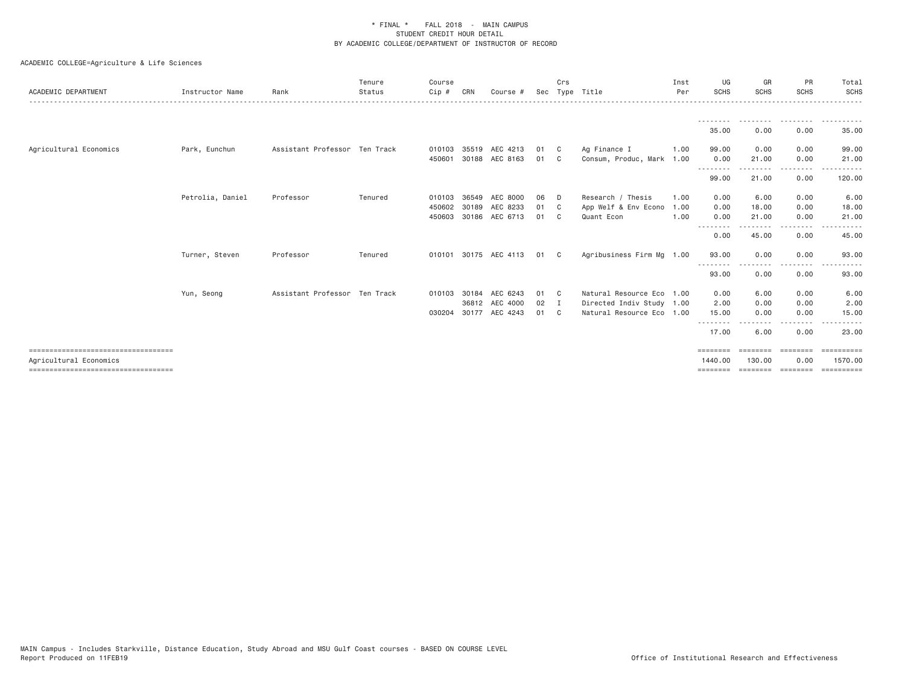| ACADEMIC DEPARTMENT                   | Instructor Name  | Rank                          | Tenure<br>Status | Course<br>Cip# | CRN   | Course #              |    | Crs<br>Sec Type Title |                           | Inst<br>Per | UG<br><b>SCHS</b>        | GR<br><b>SCHS</b>    | PR<br><b>SCHS</b> | Total<br><b>SCHS</b> |
|---------------------------------------|------------------|-------------------------------|------------------|----------------|-------|-----------------------|----|-----------------------|---------------------------|-------------|--------------------------|----------------------|-------------------|----------------------|
|                                       |                  |                               |                  |                |       |                       |    |                       |                           |             | ---------                | .                    | .                 | .                    |
|                                       |                  |                               |                  |                |       |                       |    |                       |                           |             | 35.00                    | 0.00                 | 0.00              | 35.00                |
| Agricultural Economics                | Park, Eunchun    | Assistant Professor Ten Track |                  | 010103         |       | 35519 AEC 4213        | 01 | $\mathbf{C}$          | Ag Finance I              | 1.00        | 99.00                    | 0.00                 | 0.00              | 99.00                |
|                                       |                  |                               |                  | 450601         | 30188 | AEC 8163              | 01 | C.                    | Consum, Produc, Mark 1.00 |             | 0.00<br>.                | 21.00<br>--------    | 0.00<br>-----     | 21.00                |
|                                       |                  |                               |                  |                |       |                       |    |                       |                           |             | 99.00                    | 21.00                | 0.00              | 120.00               |
|                                       | Petrolia, Daniel | Professor                     | Tenured          | 010103         | 36549 | AEC 8000              | 06 | D.                    | Research / Thesis         | 1.00        | 0.00                     | 6.00                 | 0.00              | 6.00                 |
|                                       |                  |                               |                  | 450602         | 30189 | AEC 8233              | 01 | C C                   | App Welf & Env Econo      | 1.00        | 0.00                     | 18.00                | 0.00              | 18.00                |
|                                       |                  |                               |                  |                |       | 450603 30186 AEC 6713 | 01 | C <sub>c</sub>        | Quant Econ                | 1.00        | 0.00                     | 21.00                | 0.00              | 21.00                |
|                                       |                  |                               |                  |                |       |                       |    |                       |                           |             | .<br>0.00                | $- - - - -$<br>45.00 | $   -$<br>0.00    | 45.00                |
|                                       | Turner, Steven   | Professor                     | Tenured          |                |       | 010101 30175 AEC 4113 | 01 | $\mathbf{C}$          | Agribusiness Firm Mg 1.00 |             | 93.00                    | 0.00                 | 0.00              | 93.00                |
|                                       |                  |                               |                  |                |       |                       |    |                       |                           |             | .<br>93.00               | 0.00                 | ----<br>0.00      | 93.00                |
|                                       | Yun, Seong       | Assistant Professor Ten Track |                  | 010103         | 30184 | AEC 6243              | 01 | C <sub>c</sub>        | Natural Resource Eco 1.00 |             | 0.00                     | 6.00                 | 0.00              | 6.00                 |
|                                       |                  |                               |                  |                |       | 36812 AEC 4000        | 02 | $\blacksquare$        | Directed Indiv Study 1.00 |             | 2.00                     | 0.00                 | 0.00              | 2.00                 |
|                                       |                  |                               |                  |                |       | 030204 30177 AEC 4243 | 01 | $\mathbb{C}$          | Natural Resource Eco 1.00 |             | 15.00                    | 0.00                 | 0.00              | 15.00                |
|                                       |                  |                               |                  |                |       |                       |    |                       |                           |             | - - - - - - - -<br>17.00 | 6.00                 | - - - -<br>0.00   | 23.00                |
| ====================================  |                  |                               |                  |                |       |                       |    |                       |                           |             |                          |                      |                   | =========            |
| Agricultural Economics                |                  |                               |                  |                |       |                       |    |                       |                           |             | 1440.00                  | 130,00               | 0.00              | 1570.00              |
| ===================================== |                  |                               |                  |                |       |                       |    |                       |                           |             | ========                 | ========             | ========          | ==========           |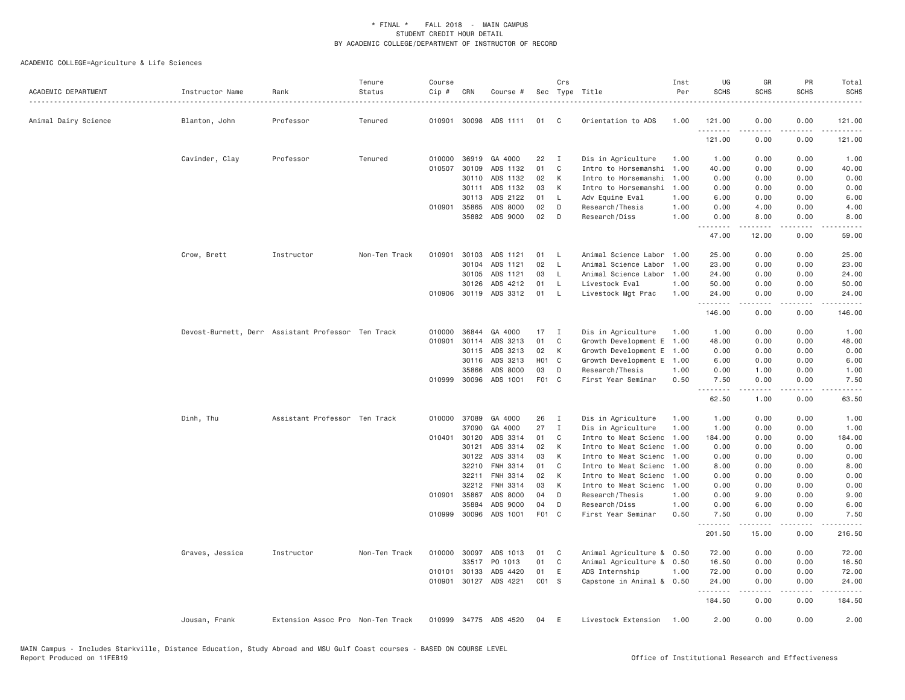| ACADEMIC DEPARTMENT  | Instructor Name | Rank                                               | Tenure<br>Status | Course<br>Cip # | CRN            | Course #              |                   | Crs          | Sec Type Title                               | Inst<br>Per  | UG<br><b>SCHS</b> | GR<br><b>SCHS</b>   | PR<br><b>SCHS</b>                           | Total<br><b>SCHS</b>                                                                                                              |
|----------------------|-----------------|----------------------------------------------------|------------------|-----------------|----------------|-----------------------|-------------------|--------------|----------------------------------------------|--------------|-------------------|---------------------|---------------------------------------------|-----------------------------------------------------------------------------------------------------------------------------------|
| Animal Dairy Science | Blanton, John   | Professor                                          | Tenured          |                 |                | 010901 30098 ADS 1111 | 01                | C            | Orientation to ADS                           | 1,00         | 121.00            | 0.00                | 0.00                                        | 121.00                                                                                                                            |
|                      |                 |                                                    |                  |                 |                |                       |                   |              |                                              |              | .<br>121.00       | 0.00                | 0.00                                        | <b>.</b><br>121.00                                                                                                                |
|                      | Cavinder, Clay  | Professor                                          | Tenured          | 010000          | 36919          | GA 4000               | 22                | I            | Dis in Agriculture                           | 1.00         | 1.00              | 0.00                | 0.00                                        | 1.00                                                                                                                              |
|                      |                 |                                                    |                  | 010507          | 30109          | ADS 1132              | 01                | C            | Intro to Horsemanshi                         | 1.00         | 40.00             | 0.00                | 0.00                                        | 40.00                                                                                                                             |
|                      |                 |                                                    |                  |                 | 30110          | ADS 1132              | 02                | К            | Intro to Horsemanshi                         | 1.00         | 0.00              | 0.00                | 0.00                                        | 0.00                                                                                                                              |
|                      |                 |                                                    |                  |                 | 30111          | ADS 1132              | 03                | К            | Intro to Horsemanshi                         | 1.00         | 0.00              | 0.00                | 0.00                                        | 0.00                                                                                                                              |
|                      |                 |                                                    |                  |                 | 30113          | ADS 2122              | 01                | L            | Adv Equine Eval                              | 1.00         | 6.00              | 0.00                | 0.00                                        | 6.00                                                                                                                              |
|                      |                 |                                                    |                  |                 | 010901 35865   | ADS 8000              | 02                | D            | Research/Thesis                              | 1.00         | 0.00              | 4.00                | 0.00                                        | 4.00                                                                                                                              |
|                      |                 |                                                    |                  |                 |                | 35882 ADS 9000        | 02                | D            | Research/Diss                                | 1,00         | 0.00<br>.         | 8.00<br>-----       | 0.00<br>.                                   | 8.00                                                                                                                              |
|                      |                 |                                                    |                  |                 |                |                       |                   |              |                                              |              | 47.00             | 12.00               | 0.00                                        | 59.00                                                                                                                             |
|                      | Crow, Brett     | Instructor                                         | Non-Ten Track    | 010901          | 30103          | ADS 1121              | 01                | <b>L</b>     | Animal Science Labor                         | 1.00         | 25.00             | 0.00                | 0.00                                        | 25.00                                                                                                                             |
|                      |                 |                                                    |                  |                 | 30104          | ADS 1121              | 02                | $\mathsf{L}$ | Animal Science Labor                         | 1.00         | 23.00             | 0.00                | 0.00                                        | 23.00                                                                                                                             |
|                      |                 |                                                    |                  |                 | 30105          | ADS 1121              | 03                | L.           | Animal Science Labor                         | 1.00         | 24.00             | 0.00                | 0.00                                        | 24.00                                                                                                                             |
|                      |                 |                                                    |                  |                 | 30126          | ADS 4212              | 01                | - L          | Livestock Eval                               | 1.00         | 50.00             | 0.00                | 0.00                                        | 50.00                                                                                                                             |
|                      |                 |                                                    |                  |                 |                | 010906 30119 ADS 3312 | 01                | $\mathsf{L}$ | Livestock Mgt Prac                           | 1.00         | 24.00             | 0.00<br>.           | 0.00<br>د د د د                             | 24.00                                                                                                                             |
|                      |                 |                                                    |                  |                 |                |                       |                   |              |                                              |              | 146.00            | 0.00                | 0.00                                        | 146.00                                                                                                                            |
|                      |                 | Devost-Burnett, Derr Assistant Professor Ten Track |                  | 010000          | 36844          | GA 4000               | 17                | $\mathbf I$  | Dis in Agriculture                           | 1.00         | 1.00              | 0.00                | 0.00                                        | 1.00                                                                                                                              |
|                      |                 |                                                    |                  | 010901          | 30114          | ADS 3213              | 01                | C            | Growth Development E                         | 1.00         | 48.00             | 0.00                | 0.00                                        | 48.00                                                                                                                             |
|                      |                 |                                                    |                  |                 | 30115          | ADS 3213              | 02                | К            | Growth Development E                         | 1.00         | 0.00              | 0.00                | 0.00                                        | 0.00                                                                                                                              |
|                      |                 |                                                    |                  |                 | 30116          | ADS 3213              | H <sub>01</sub> C |              | Growth Development E                         | 1.00         | 6.00              | 0.00                | 0.00                                        | 6.00                                                                                                                              |
|                      |                 |                                                    |                  |                 | 35866          | ADS 8000              | 03                | D            | Research/Thesis                              | 1.00         | 0.00              | 1.00                | 0.00                                        | 1.00                                                                                                                              |
|                      |                 |                                                    |                  |                 | 010999 30096   | ADS 1001              | F01 C             |              | First Year Seminar                           | 0.50         | 7.50<br>.         | 0.00<br>$- - - - -$ | 0.00<br>$\omega$ $\omega$ $\omega$ $\omega$ | 7.50<br>$\frac{1}{2} \left( \frac{1}{2} \right) \left( \frac{1}{2} \right) \left( \frac{1}{2} \right) \left( \frac{1}{2} \right)$ |
|                      |                 |                                                    |                  |                 |                |                       |                   |              |                                              |              | 62.50             | 1.00                | 0.00                                        | 63.50                                                                                                                             |
|                      | Dinh, Thu       | Assistant Professor Ten Track                      |                  | 010000          | 37089          | GA 4000               | 26                | Ι.           | Dis in Agriculture                           | 1.00         | 1.00              | 0.00                | 0.00                                        | 1.00                                                                                                                              |
|                      |                 |                                                    |                  |                 | 37090          | GA 4000               | 27                | Ι.           | Dis in Agriculture                           | 1,00         | 1.00              | 0.00                | 0.00                                        | 1.00                                                                                                                              |
|                      |                 |                                                    |                  |                 | 010401 30120   | ADS 3314              | 01                | C            | Intro to Meat Scienc                         | 1.00         | 184.00            | 0.00                | 0.00                                        | 184.00                                                                                                                            |
|                      |                 |                                                    |                  |                 | 30121          | ADS 3314              | 02                | К            | Intro to Meat Scienc                         | 1.00<br>1,00 | 0.00              | 0.00                | 0.00                                        | 0.00                                                                                                                              |
|                      |                 |                                                    |                  |                 | 30122          | ADS 3314              | 03                | К            | Intro to Meat Scienc                         |              | 0.00              | 0.00                | 0.00                                        | 0.00                                                                                                                              |
|                      |                 |                                                    |                  |                 | 32210<br>32211 | FNH 3314<br>FNH 3314  | 01<br>02          | C<br>K       | Intro to Meat Scienc                         | 1.00<br>1.00 | 8.00              | 0.00                | 0.00                                        | 8.00                                                                                                                              |
|                      |                 |                                                    |                  |                 | 32212          | FNH 3314              | 03                | K            | Intro to Meat Scienc<br>Intro to Meat Scienc | 1,00         | 0.00<br>0.00      | 0.00<br>0.00        | 0.00<br>0.00                                | 0.00<br>0.00                                                                                                                      |
|                      |                 |                                                    |                  |                 | 010901 35867   |                       | 04                | D            |                                              | 1.00         |                   | 9.00                | 0.00                                        |                                                                                                                                   |
|                      |                 |                                                    |                  |                 | 35884          | ADS 8000<br>ADS 9000  | 04                | D            | Research/Thesis<br>Research/Diss             | 1.00         | 0.00<br>0.00      | 6.00                | 0.00                                        | 9.00<br>6.00                                                                                                                      |
|                      |                 |                                                    |                  |                 | 010999 30096   | ADS 1001              | F01 C             |              | First Year Seminar                           | 0.50         | 7.50              | 0.00                | 0.00                                        | 7.50                                                                                                                              |
|                      |                 |                                                    |                  |                 |                |                       |                   |              |                                              |              | .<br>201.50       | -----<br>15.00      | $\frac{1}{2}$<br>0.00                       | 216.50                                                                                                                            |
|                      | Graves, Jessica | Instructor                                         | Non-Ten Track    |                 | 010000 30097   | ADS 1013              | 01                | C            | Animal Agriculture & 0.50                    |              | 72.00             | 0.00                | 0.00                                        | 72.00                                                                                                                             |
|                      |                 |                                                    |                  |                 | 33517          | PO 1013               | 01                | C            | Animal Agriculture & 0.50                    |              | 16.50             | 0.00                | 0.00                                        | 16.50                                                                                                                             |
|                      |                 |                                                    |                  | 010101          | 30133          | ADS 4420              | 01                | E            | ADS Internship                               | 1.00         | 72.00             | 0.00                | 0.00                                        | 72.00                                                                                                                             |
|                      |                 |                                                    |                  |                 |                | 010901 30127 ADS 4221 | CO1 S             |              | Capstone in Animal & 0.50                    |              | 24.00<br><u>.</u> | 0.00<br>-----       | 0.00<br>.                                   | 24.00<br>.                                                                                                                        |
|                      |                 |                                                    |                  |                 |                |                       |                   |              |                                              |              | 184.50            | 0.00                | 0.00                                        | 184.50                                                                                                                            |
|                      | Jousan, Frank   | Extension Assoc Pro Non-Ten Track                  |                  |                 |                | 010999 34775 ADS 4520 | 04                | E            | Livestock Extension                          | 1.00         | 2.00              | 0.00                | 0.00                                        | 2.00                                                                                                                              |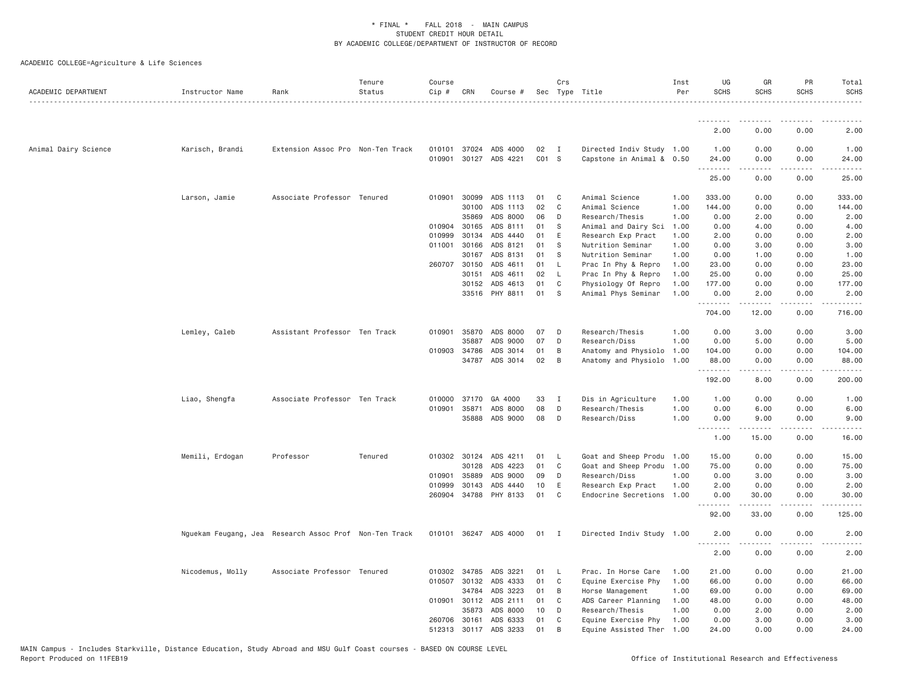| ACADEMIC DEPARTMENT  | Instructor Name  | Rank                                                   | Tenure<br>Status | Course<br>Cip # | CRN          | Course #                          |             | Crs          | Sec Type Title                                         | Inst<br>Per | UG<br><b>SCHS</b>                   | GR<br><b>SCHS</b> | PR<br><b>SCHS</b>                           | Total<br><b>SCHS</b> |
|----------------------|------------------|--------------------------------------------------------|------------------|-----------------|--------------|-----------------------------------|-------------|--------------|--------------------------------------------------------|-------------|-------------------------------------|-------------------|---------------------------------------------|----------------------|
|                      |                  |                                                        |                  |                 |              |                                   |             |              |                                                        |             | --------                            | .                 |                                             |                      |
|                      |                  |                                                        |                  |                 |              |                                   |             |              |                                                        |             | 2.00                                | 0.00              | 0.00                                        | 2.00                 |
| Animal Dairy Science | Karisch, Brandi  | Extension Assoc Pro Non-Ten Track                      |                  |                 | 010101 37024 | ADS 4000<br>010901 30127 ADS 4221 | 02<br>CO1 S | I            | Directed Indiv Study 1.00<br>Capstone in Animal & 0.50 |             | 1.00<br>24.00<br>.                  | 0.00<br>0.00      | 0.00<br>0.00<br>$\sim$ $\sim$ $\sim$ $\sim$ | 1.00<br>24.00        |
|                      |                  |                                                        |                  |                 |              |                                   |             |              |                                                        |             | 25.00                               | 0.00              | 0.00                                        | 25.00                |
|                      | Larson, Jamie    | Associate Professor Tenured                            |                  |                 | 010901 30099 | ADS 1113                          | 01          | C            | Animal Science                                         | 1.00        | 333.00                              | 0.00              | 0.00                                        | 333.00               |
|                      |                  |                                                        |                  |                 | 30100        | ADS 1113                          | 02          | C            | Animal Science                                         | 1.00        | 144.00                              | 0.00              | 0.00                                        | 144.00               |
|                      |                  |                                                        |                  |                 | 35869        | ADS 8000                          | 06          | D            | Research/Thesis                                        | 1.00        | 0.00                                | 2.00              | 0.00                                        | 2.00                 |
|                      |                  |                                                        |                  | 010904          | 30165        | ADS 8111                          | 01          | S            | Animal and Dairy Sci                                   | 1.00        | 0.00                                | 4.00              | 0.00                                        | 4.00                 |
|                      |                  |                                                        |                  | 010999          | 30134        | ADS 4440                          | 01          | E            | Research Exp Pract                                     | 1.00        | 2.00                                | 0.00              | 0.00                                        | 2.00                 |
|                      |                  |                                                        |                  | 011001          | 30166        | ADS 8121                          | 01          | -S           | Nutrition Seminar                                      | 1.00        | 0.00                                | 3.00              | 0.00                                        | 3.00                 |
|                      |                  |                                                        |                  |                 | 30167        | ADS 8131                          | 01          | -S           | Nutrition Seminar                                      | 1.00        | 0.00                                | 1.00              | 0.00                                        | 1.00                 |
|                      |                  |                                                        |                  |                 | 260707 30150 | ADS 4611                          | 01          | - L          | Prac In Phy & Repro                                    | 1.00        | 23.00                               | 0.00              | 0.00                                        | 23.00                |
|                      |                  |                                                        |                  |                 | 30151        | ADS 4611                          | 02          | <b>L</b>     | Prac In Phy & Repro                                    | 1.00        | 25.00                               | 0.00              | 0.00                                        | 25.00                |
|                      |                  |                                                        |                  |                 | 30152        | ADS 4613                          | 01<br>01    | C            | Physiology Of Repro                                    | 1.00        | 177.00                              | 0.00              | 0.00                                        | 177.00               |
|                      |                  |                                                        |                  |                 |              | 33516 PHY 8811                    |             | S            | Animal Phys Seminar                                    | 1.00        | 0.00<br>.                           | 2.00<br>-----     | 0.00<br>$\frac{1}{2}$                       | 2.00<br>.            |
|                      |                  |                                                        |                  |                 |              |                                   |             |              |                                                        |             | 704.00                              | 12.00             | 0.00                                        | 716.00               |
|                      | Lemley, Caleb    | Assistant Professor Ten Track                          |                  | 010901          | 35870        | ADS 8000                          | 07          | D            | Research/Thesis                                        | 1.00        | 0.00                                | 3.00              | 0.00                                        | 3.00                 |
|                      |                  |                                                        |                  |                 | 35887        | ADS 9000                          | 07          | D            | Research/Diss                                          | 1.00        | 0.00                                | 5.00              | 0.00                                        | 5.00                 |
|                      |                  |                                                        |                  |                 | 010903 34786 | ADS 3014                          | 01          | B            | Anatomy and Physiolo                                   | 1.00        | 104.00                              | 0.00              | 0.00                                        | 104.00               |
|                      |                  |                                                        |                  |                 | 34787        | ADS 3014                          | 02          | B            | Anatomy and Physiolo                                   | 1.00        | 88.00<br>.                          | 0.00<br>.         | 0.00<br>$\sim$ $\sim$ $\sim$                | 88.00<br>.           |
|                      |                  |                                                        |                  |                 |              |                                   |             |              |                                                        |             | 192.00                              | 8.00              | 0.00                                        | 200.00               |
|                      | Liao, Shengfa    | Associate Professor Ten Track                          |                  |                 | 010000 37170 | GA 4000                           | 33          | I            | Dis in Agriculture                                     | 1.00        | 1.00                                | 0.00              | 0.00                                        | 1,00                 |
|                      |                  |                                                        |                  | 010901          | 35871        | ADS 8000                          | 08          | D            | Research/Thesis                                        | 1.00        | 0.00                                | 6.00              | 0.00                                        | 6.00                 |
|                      |                  |                                                        |                  |                 | 35888        | ADS 9000                          | 08          | D            | Research/Diss                                          | 1.00        | 0.00<br>.                           | 9.00              | 0.00                                        | 9.00                 |
|                      |                  |                                                        |                  |                 |              |                                   |             |              |                                                        |             | 1.00                                | 15.00             | 0.00                                        | 16.00                |
|                      | Memili, Erdogan  | Professor                                              | Tenured          |                 | 010302 30124 | ADS 4211                          | 01          | - L          | Goat and Sheep Produ 1.00                              |             | 15.00                               | 0.00              | 0.00                                        | 15.00                |
|                      |                  |                                                        |                  |                 | 30128        | ADS 4223                          | 01          | C            | Goat and Sheep Produ                                   | 1.00        | 75.00                               | 0.00              | 0.00                                        | 75.00                |
|                      |                  |                                                        |                  |                 | 010901 35889 | ADS 9000                          | 09          | D            | Research/Diss                                          | 1.00        | 0.00                                | 3.00              | 0.00                                        | 3.00                 |
|                      |                  |                                                        |                  |                 | 010999 30143 | ADS 4440                          | 10          | E            | Research Exp Pract                                     | 1.00        | 2.00                                | 0.00              | 0.00                                        | 2.00                 |
|                      |                  |                                                        |                  |                 | 260904 34788 | PHY 8133                          | 01          | C            | Endocrine Secretions                                   | 1.00        | 0.00<br>.                           | 30.00<br>.        | 0.00<br>$\frac{1}{2}$                       | 30.00<br>.           |
|                      |                  |                                                        |                  |                 |              |                                   |             |              |                                                        |             | 92.00                               | 33.00             | 0.00                                        | 125.00               |
|                      |                  | Nguekam Feugang, Jea Research Assoc Prof Non-Ten Track |                  |                 |              | 010101 36247 ADS 4000             | 01          | I            | Directed Indiv Study 1.00                              |             | 2.00                                | 0.00              | 0.00                                        | 2.00                 |
|                      |                  |                                                        |                  |                 |              |                                   |             |              |                                                        |             | $\sim$ $\sim$ $\sim$ $\sim$<br>2.00 | 0.00              | 0.00                                        | 2.00                 |
|                      | Nicodemus, Molly | Associate Professor Tenured                            |                  |                 | 010302 34785 | ADS 3221                          | 01          | $\mathsf{L}$ | Prac. In Horse Care                                    | 1.00        | 21.00                               | 0.00              | 0.00                                        | 21.00                |
|                      |                  |                                                        |                  |                 | 010507 30132 | ADS 4333                          | 01          | C            | Equine Exercise Phy                                    | 1.00        | 66.00                               | 0.00              | 0.00                                        | 66.00                |
|                      |                  |                                                        |                  |                 | 34784        | ADS 3223                          | 01          | B            | Horse Management                                       | 1.00        | 69.00                               | 0.00              | 0.00                                        | 69.00                |
|                      |                  |                                                        |                  |                 | 010901 30112 | ADS 2111                          | 01          | C            | ADS Career Planning                                    | 1.00        | 48.00                               | 0.00              | 0.00                                        | 48.00                |
|                      |                  |                                                        |                  |                 | 35873        | ADS 8000                          | 10          | D            | Research/Thesis                                        | 1.00        | 0.00                                | 2.00              | 0.00                                        | 2.00                 |
|                      |                  |                                                        |                  |                 | 260706 30161 | ADS 6333                          | 01          | C            | Equine Exercise Phy                                    | 1.00        | 0.00                                | 3.00              | 0.00                                        | 3.00                 |
|                      |                  |                                                        |                  |                 |              | 512313 30117 ADS 3233             | 01          | B            | Equine Assisted Ther                                   | 1.00        | 24.00                               | 0.00              | 0.00                                        | 24.00                |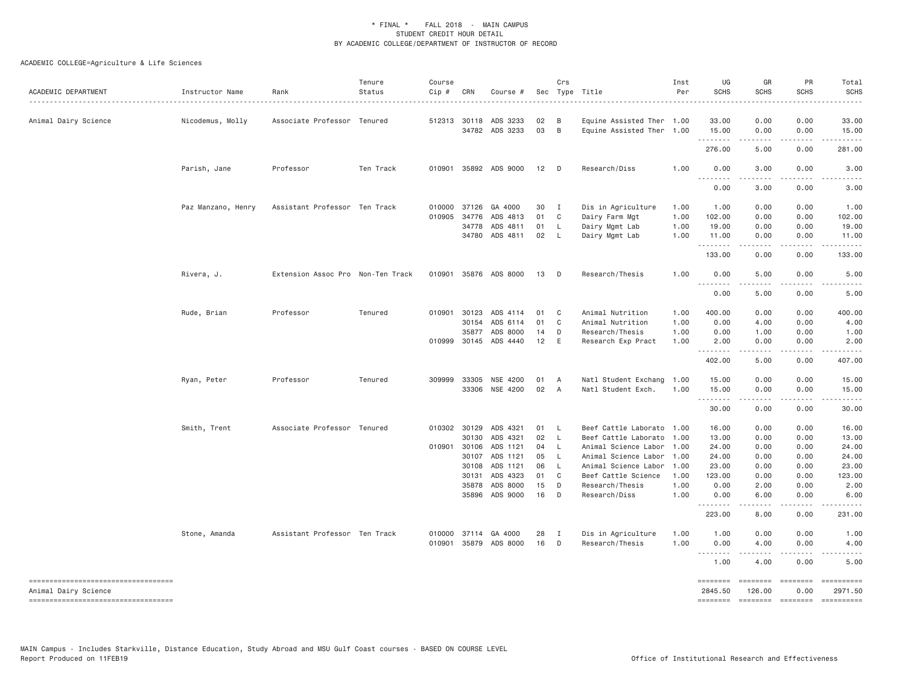| ACADEMIC DEPARTMENT                 | Instructor Name    | Rank                              | Tenure<br>Status | Course<br>Cip # | CRN          | Course #                   |          | Crs            | Sec Type Title                                         | Inst<br>Per | UG<br><b>SCHS</b>     | GR<br><b>SCHS</b>     | PR<br><b>SCHS</b> | Total<br><b>SCHS</b>                                                                                                                                                                                                                                                                                                                                                                                                               |
|-------------------------------------|--------------------|-----------------------------------|------------------|-----------------|--------------|----------------------------|----------|----------------|--------------------------------------------------------|-------------|-----------------------|-----------------------|-------------------|------------------------------------------------------------------------------------------------------------------------------------------------------------------------------------------------------------------------------------------------------------------------------------------------------------------------------------------------------------------------------------------------------------------------------------|
| Animal Dairy Science                | Nicodemus, Molly   | Associate Professor Tenured       |                  |                 | 512313 30118 | ADS 3233<br>34782 ADS 3233 | 02<br>03 | B<br>B         | Equine Assisted Ther 1.00<br>Equine Assisted Ther 1.00 |             | 33.00<br>15.00        | 0.00<br>0.00          | 0.00<br>0.00      | 33.00<br>15.00                                                                                                                                                                                                                                                                                                                                                                                                                     |
|                                     |                    |                                   |                  |                 |              |                            |          |                |                                                        |             | .<br>276.00           | .<br>5.00             | .<br>0.00         | .<br>281.00                                                                                                                                                                                                                                                                                                                                                                                                                        |
|                                     | Parish, Jane       | Professor                         | Ten Track        |                 |              | 010901 35892 ADS 9000      | 12       | $\Box$         | Research/Diss                                          | 1.00        | 0.00<br>1.1.1.1.1.1.1 | 3.00                  | 0.00              | 3.00                                                                                                                                                                                                                                                                                                                                                                                                                               |
|                                     |                    |                                   |                  |                 |              |                            |          |                |                                                        |             | 0.00                  | -----<br>3.00         | .<br>0.00         | 3.00                                                                                                                                                                                                                                                                                                                                                                                                                               |
|                                     | Paz Manzano, Henry | Assistant Professor Ten Track     |                  | 010000          | 37126        | GA 4000                    | 30       | $\mathbf{I}$   | Dis in Agriculture                                     | 1.00        | 1.00                  | 0.00                  | 0.00              | 1.00                                                                                                                                                                                                                                                                                                                                                                                                                               |
|                                     |                    |                                   |                  | 010905          | 34776        | ADS 4813                   | 01       | $\mathbf{C}$   | Dairy Farm Mgt                                         | 1.00        | 102.00                | 0.00                  | 0.00              | 102.00                                                                                                                                                                                                                                                                                                                                                                                                                             |
|                                     |                    |                                   |                  |                 | 34778        | ADS 4811                   | 01       | - L            | Dairy Mgmt Lab                                         | 1.00        | 19.00                 | 0.00                  | 0.00              | 19.00                                                                                                                                                                                                                                                                                                                                                                                                                              |
|                                     |                    |                                   |                  |                 |              | 34780 ADS 4811             | 02       | - L            | Dairy Mgmt Lab                                         | 1.00        | 11.00<br>.            | 0.00<br>$- - - - - -$ | 0.00<br>.         | 11.00<br>.                                                                                                                                                                                                                                                                                                                                                                                                                         |
|                                     |                    |                                   |                  |                 |              |                            |          |                |                                                        |             | 133.00                | 0.00                  | 0.00              | 133.00                                                                                                                                                                                                                                                                                                                                                                                                                             |
|                                     | Rivera, J.         | Extension Assoc Pro Non-Ten Track |                  |                 |              | 010901 35876 ADS 8000      | 13       | $\Box$         | Research/Thesis                                        | 1.00        | 0.00                  | 5.00                  | 0.00              | 5.00                                                                                                                                                                                                                                                                                                                                                                                                                               |
|                                     |                    |                                   |                  |                 |              |                            |          |                |                                                        |             | 0.00                  | 5.00                  | 0.00              | 5.00                                                                                                                                                                                                                                                                                                                                                                                                                               |
|                                     | Rude, Brian        | Professor                         | Tenured          |                 | 010901 30123 | ADS 4114                   | 01       | C <sub>1</sub> | Animal Nutrition                                       | 1.00        | 400.00                | 0.00                  | 0.00              | 400.00                                                                                                                                                                                                                                                                                                                                                                                                                             |
|                                     |                    |                                   |                  |                 | 30154        | ADS 6114                   | 01       | C              | Animal Nutrition                                       | 1.00        | 0.00                  | 4.00                  | 0.00              | 4.00                                                                                                                                                                                                                                                                                                                                                                                                                               |
|                                     |                    |                                   |                  |                 | 35877        | ADS 8000                   | 14       | D              | Research/Thesis                                        | 1.00        | 0.00                  | 1.00                  | 0.00              | 1.00                                                                                                                                                                                                                                                                                                                                                                                                                               |
|                                     |                    |                                   |                  |                 | 010999 30145 | ADS 4440                   | 12       | E              | Research Exp Pract                                     | 1.00        | 2.00<br>.             | 0.00<br>.             | 0.00<br>.         | 2.00<br>.                                                                                                                                                                                                                                                                                                                                                                                                                          |
|                                     |                    |                                   |                  |                 |              |                            |          |                |                                                        |             | 402.00                | 5.00                  | 0.00              | 407.00                                                                                                                                                                                                                                                                                                                                                                                                                             |
|                                     | Ryan, Peter        | Professor                         | Tenured          | 309999          | 33305        | NSE 4200                   | 01       | A              | Natl Student Exchang                                   | 1.00        | 15.00                 | 0.00                  | 0.00              | 15.00                                                                                                                                                                                                                                                                                                                                                                                                                              |
|                                     |                    |                                   |                  |                 | 33306        | NSE 4200                   | 02       | <b>A</b>       | Natl Student Exch.                                     | 1.00        | 15.00                 | 0.00                  | 0.00              | 15.00                                                                                                                                                                                                                                                                                                                                                                                                                              |
|                                     |                    |                                   |                  |                 |              |                            |          |                |                                                        |             | .<br>30.00            | $\frac{1}{2}$<br>0.00 | 0.00              | .<br>30.00                                                                                                                                                                                                                                                                                                                                                                                                                         |
|                                     | Smith, Trent       | Associate Professor Tenured       |                  |                 | 010302 30129 | ADS 4321                   | 01       | - L            | Beef Cattle Laborato 1.00                              |             | 16.00                 | 0.00                  | 0.00              | 16.00                                                                                                                                                                                                                                                                                                                                                                                                                              |
|                                     |                    |                                   |                  |                 | 30130        | ADS 4321                   | 02       | - L            | Beef Cattle Laborato 1.00                              |             | 13.00                 | 0.00                  | 0.00              | 13.00                                                                                                                                                                                                                                                                                                                                                                                                                              |
|                                     |                    |                                   |                  |                 | 010901 30106 | ADS 1121                   | 04       | <b>L</b>       | Animal Science Labor 1.00                              |             | 24.00                 | 0.00                  | 0.00              | 24.00                                                                                                                                                                                                                                                                                                                                                                                                                              |
|                                     |                    |                                   |                  |                 | 30107        | ADS 1121                   | 05       | - L            | Animal Science Labor 1.00                              |             | 24.00                 | 0.00                  | 0.00              | 24.00                                                                                                                                                                                                                                                                                                                                                                                                                              |
|                                     |                    |                                   |                  |                 | 30108        | ADS 1121                   | 06       | - L            | Animal Science Labor                                   | 1.00        | 23.00                 | 0.00                  | 0.00              | 23.00                                                                                                                                                                                                                                                                                                                                                                                                                              |
|                                     |                    |                                   |                  |                 | 30131        | ADS 4323                   | 01       | C.             | Beef Cattle Science                                    | 1.00        | 123.00                | 0.00                  | 0.00              | 123.00                                                                                                                                                                                                                                                                                                                                                                                                                             |
|                                     |                    |                                   |                  |                 | 35878        | ADS 8000                   | 15       | D              | Research/Thesis                                        | 1.00        | 0.00                  | 2.00                  | 0.00              | 2.00                                                                                                                                                                                                                                                                                                                                                                                                                               |
|                                     |                    |                                   |                  |                 | 35896        | ADS 9000                   | 16       | D              | Research/Diss                                          | 1.00        | 0.00<br>. <b>.</b>    | 6.00<br>-----         | 0.00<br>.         | 6.00                                                                                                                                                                                                                                                                                                                                                                                                                               |
|                                     |                    |                                   |                  |                 |              |                            |          |                |                                                        |             | 223.00                | 8.00                  | 0.00              | 231.00                                                                                                                                                                                                                                                                                                                                                                                                                             |
|                                     | Stone, Amanda      | Assistant Professor Ten Track     |                  |                 | 010000 37114 | GA 4000                    | 28       | I              | Dis in Agriculture                                     | 1.00        | 1.00                  | 0.00                  | 0.00              | 1.00                                                                                                                                                                                                                                                                                                                                                                                                                               |
|                                     |                    |                                   |                  | 010901          | 35879        | ADS 8000                   | 16       | D              | Research/Thesis                                        | 1.00        | 0.00<br>.             | 4.00                  | 0.00              | 4.00                                                                                                                                                                                                                                                                                                                                                                                                                               |
|                                     |                    |                                   |                  |                 |              |                            |          |                |                                                        |             | 1.00                  | 4.00                  | 0.00              | 5.00                                                                                                                                                                                                                                                                                                                                                                                                                               |
| ----------------------------------  |                    |                                   |                  |                 |              |                            |          |                |                                                        |             | $=$ =======           | ========              | ========          | ==========                                                                                                                                                                                                                                                                                                                                                                                                                         |
| Animal Dairy Science                |                    |                                   |                  |                 |              |                            |          |                |                                                        |             | 2845.50               | 126,00                | 0.00              | 2971.50                                                                                                                                                                                                                                                                                                                                                                                                                            |
| ----------------------------------- |                    |                                   |                  |                 |              |                            |          |                |                                                        |             | <b>SEBSEBED</b>       | $=$ ========          | $=$ ========      | $\begin{minipage}{0.03\linewidth} \hspace*{-0.2cm} \textbf{1} & \textbf{2} & \textbf{3} & \textbf{5} & \textbf{6} & \textbf{7} & \textbf{8} \\ \textbf{1} & \textbf{2} & \textbf{3} & \textbf{5} & \textbf{5} & \textbf{7} & \textbf{8} & \textbf{8} \\ \textbf{3} & \textbf{4} & \textbf{5} & \textbf{5} & \textbf{6} & \textbf{7} & \textbf{8} & \textbf{9} & \textbf{1} \\ \textbf{5} & \textbf{5} & \textbf{5} & \textbf{5} &$ |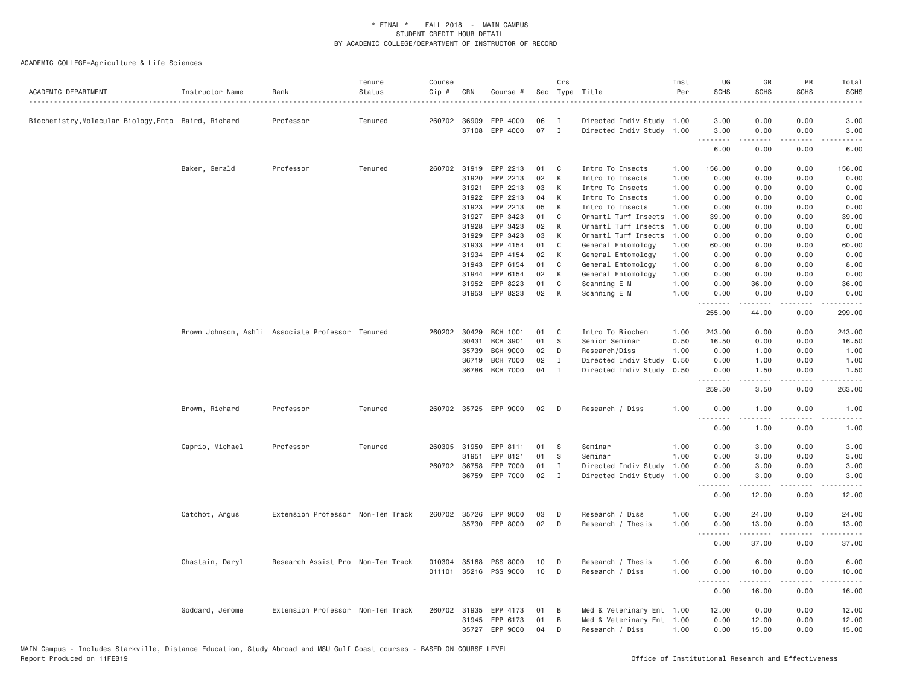| ACADEMIC DEPARTMENT                                  | Instructor Name                                  | Rank                              | Tenure<br>Status | Course<br>Cip # | CRN          | Course #              |    | Crs          | Sec Type Title            | Inst<br>Per | UG<br><b>SCHS</b>  | GR<br><b>SCHS</b>   | PR<br><b>SCHS</b>            | Total<br><b>SCHS</b><br>. |
|------------------------------------------------------|--------------------------------------------------|-----------------------------------|------------------|-----------------|--------------|-----------------------|----|--------------|---------------------------|-------------|--------------------|---------------------|------------------------------|---------------------------|
| Biochemistry, Molecular Biology, Ento Baird, Richard |                                                  | Professor                         | Tenured          |                 | 260702 36909 | EPP 4000              | 06 | $\mathbf{I}$ | Directed Indiv Study 1.00 |             | 3.00               | 0.00                | 0.00                         | 3.00                      |
|                                                      |                                                  |                                   |                  |                 |              | 37108 EPP 4000        | 07 | $\mathbf{I}$ | Directed Indiv Study 1.00 |             | 3.00<br>.          | 0.00<br>.           | 0.00<br>$\sim$ $\sim$ $\sim$ | 3.00<br>.                 |
|                                                      |                                                  |                                   |                  |                 |              |                       |    |              |                           |             | 6.00               | 0.00                | 0.00                         | 6.00                      |
|                                                      | Baker, Gerald                                    | Professor                         | Tenured          | 260702          | 31919        | EPP 2213              | 01 | C            | Intro To Insects          | 1.00        | 156.00             | 0.00                | 0.00                         | 156.00                    |
|                                                      |                                                  |                                   |                  |                 | 31920        | EPP 2213              | 02 | K            | Intro To Insects          | 1.00        | 0.00               | 0.00                | 0.00                         | 0.00                      |
|                                                      |                                                  |                                   |                  |                 | 31921        | EPP 2213              | 03 | К            | Intro To Insects          | 1.00        | 0.00               | 0.00                | 0.00                         | 0.00                      |
|                                                      |                                                  |                                   |                  |                 | 31922        | EPP 2213              | 04 | К            | Intro To Insects          | 1.00        | 0.00               | 0.00                | 0.00                         | 0.00                      |
|                                                      |                                                  |                                   |                  |                 | 31923        | EPP 2213              | 05 | K            | Intro To Insects          | 1.00        | 0.00               | 0.00                | 0.00                         | 0.00                      |
|                                                      |                                                  |                                   |                  |                 | 31927        | EPP 3423              | 01 | C            | Ornamtl Turf Insects      | 1.00        | 39.00              | 0.00                | 0.00                         | 39.00                     |
|                                                      |                                                  |                                   |                  |                 | 31928        | EPP 3423              | 02 | К            | Ornamtl Turf Insects      | 1.00        | 0.00               | 0.00                | 0.00                         | 0.00                      |
|                                                      |                                                  |                                   |                  |                 | 31929        | EPP 3423              | 03 | К            | Ornamtl Turf Insects      | 1.00        | 0.00               | 0.00                | 0.00                         | 0.00                      |
|                                                      |                                                  |                                   |                  |                 | 31933        | EPP 4154              | 01 | C            | General Entomology        | 1.00        | 60.00              | 0.00                | 0.00                         | 60.00                     |
|                                                      |                                                  |                                   |                  |                 | 31934        | EPP 4154              | 02 | К            | General Entomology        | 1.00        | 0.00               | 0.00                | 0.00                         | 0.00                      |
|                                                      |                                                  |                                   |                  |                 | 31943        | EPP 6154              | 01 | C            | General Entomology        | 1.00        | 0.00               | 8.00                | 0.00                         | 8.00                      |
|                                                      |                                                  |                                   |                  |                 | 31944        | EPP 6154              | 02 | К            | General Entomology        | 1.00        | 0.00               | 0.00                | 0.00                         | 0.00                      |
|                                                      |                                                  |                                   |                  |                 | 31952        | EPP 8223              | 01 | C            | Scanning E M              | 1.00        | 0.00               | 36.00               | 0.00                         | 36.00                     |
|                                                      |                                                  |                                   |                  |                 |              | 31953 EPP 8223        | 02 | К            | Scanning E M              | 1.00        | 0.00<br>.          | 0.00<br><b>.</b>    | 0.00<br>لأعاجب               | 0.00<br>.                 |
|                                                      |                                                  |                                   |                  |                 |              |                       |    |              |                           |             | 255.00             | 44.00               | 0.00                         | 299.00                    |
|                                                      | Brown Johnson, Ashli Associate Professor Tenured |                                   |                  |                 | 260202 30429 | <b>BCH 1001</b>       | 01 | C            | Intro To Biochem          | 1.00        | 243.00             | 0.00                | 0.00                         | 243.00                    |
|                                                      |                                                  |                                   |                  |                 | 30431        | <b>BCH 3901</b>       | 01 | S            | Senior Seminar            | 0.50        | 16.50              | 0.00                | 0.00                         | 16.50                     |
|                                                      |                                                  |                                   |                  |                 | 35739        | <b>BCH 9000</b>       | 02 | D            | Research/Diss             | 1.00        | 0.00               | 1.00                | 0.00                         | 1.00                      |
|                                                      |                                                  |                                   |                  |                 | 36719        | <b>BCH 7000</b>       | 02 | $\mathbf{I}$ | Directed Indiv Study      | 0.50        | 0.00               | 1.00                | 0.00                         | 1.00                      |
|                                                      |                                                  |                                   |                  |                 |              | 36786 BCH 7000        | 04 | I            | Directed Indiv Study      | 0.50        | 0.00<br>.          | 1.50                | 0.00<br>$\sim$ $\sim$ $\sim$ | 1.50<br>المستوطن          |
|                                                      |                                                  |                                   |                  |                 |              |                       |    |              |                           |             | 259.50             | 3.50                | 0.00                         | 263.00                    |
|                                                      | Brown, Richard                                   | Professor                         | Tenured          |                 |              | 260702 35725 EPP 9000 | 02 | D            | Research / Diss           | 1.00        | 0.00<br>. <i>.</i> | 1.00<br>$- - - - -$ | 0.00<br>.                    | 1.00<br>$    -$           |
|                                                      |                                                  |                                   |                  |                 |              |                       |    |              |                           |             | 0.00               | 1.00                | 0.00                         | 1.00                      |
|                                                      | Caprio, Michael                                  | Professor                         | Tenured          |                 | 260305 31950 | EPP 8111              | 01 | - S          | Seminar                   | 1.00        | 0.00               | 3.00                | 0.00                         | 3.00                      |
|                                                      |                                                  |                                   |                  |                 | 31951        | EPP 8121              | 01 | S            | Seminar                   | 1.00        | 0.00               | 3.00                | 0.00                         | 3.00                      |
|                                                      |                                                  |                                   |                  | 260702          | 36758        | EPP 7000              | 01 | I            | Directed Indiv Study      | 1.00        | 0.00               | 3.00                | 0.00                         | 3.00                      |
|                                                      |                                                  |                                   |                  |                 |              | 36759 EPP 7000        | 02 | $\mathbf{I}$ | Directed Indiv Study      | 1.00        | 0.00               | 3.00                | 0.00<br>.                    | 3.00                      |
|                                                      |                                                  |                                   |                  |                 |              |                       |    |              |                           |             | .<br>0.00          | .<br>12.00          | 0.00                         | $- - - - -$<br>12.00      |
|                                                      | Catchot, Angus                                   | Extension Professor Non-Ten Track |                  | 260702          | 35726        | EPP 9000              | 03 | D            | Research / Diss           | 1.00        | 0.00               | 24.00               | 0.00                         | 24.00                     |
|                                                      |                                                  |                                   |                  |                 |              | 35730 EPP 8000        | 02 | D            | Research / Thesis         | 1.00        | 0.00               | 13.00               | 0.00                         | 13.00                     |
|                                                      |                                                  |                                   |                  |                 |              |                       |    |              |                           |             | .<br>0.00          | 37.00               | .<br>0.00                    | المتمامين<br>37.00        |
|                                                      | Chastain, Daryl                                  | Research Assist Pro Non-Ten Track |                  | 010304 35168    |              | PSS 8000              | 10 | D            | Research / Thesis         | 1.00        | 0.00               | 6.00                | 0.00                         | 6.00                      |
|                                                      |                                                  |                                   |                  | 011101          |              | 35216 PSS 9000        | 10 | D            | Research / Diss           | 1.00        | 0.00<br>. <b>.</b> | 10.00<br><u>.</u>   | 0.00<br>$- - -$              | 10.00<br>$- - - - -$      |
|                                                      |                                                  |                                   |                  |                 |              |                       |    |              |                           |             | 0.00               | 16.00               | 0.00                         | 16.00                     |
|                                                      | Goddard, Jerome                                  | Extension Professor Non-Ten Track |                  |                 | 260702 31935 | EPP 4173              | 01 | B            | Med & Veterinary Ent 1.00 |             | 12.00              | 0.00                | 0.00                         | 12.00                     |
|                                                      |                                                  |                                   |                  |                 | 31945        | EPP 6173              | 01 | В            | Med & Veterinary Ent 1.00 |             | 0.00               | 12.00               | 0.00                         | 12.00                     |
|                                                      |                                                  |                                   |                  |                 |              | 35727 EPP 9000        | 04 | D            | Research / Diss           | 1.00        | 0.00               | 15.00               | 0.00                         | 15.00                     |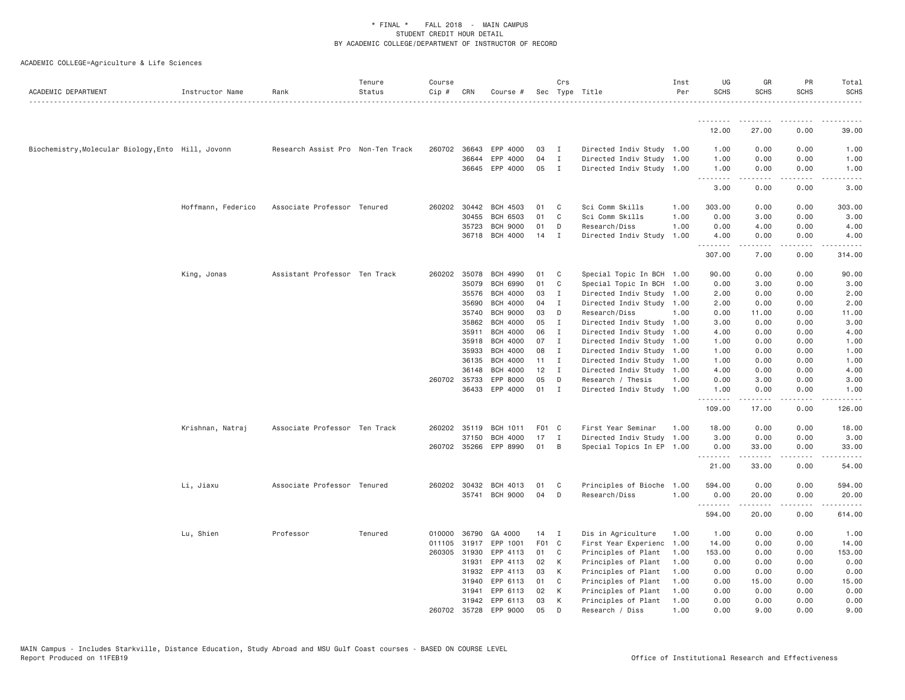| ACADEMIC DEPARTMENT                                | Instructor Name    | Rank                              | Tenure<br>Status | Course<br>$Cip \#$ | CRN   | Course #        |       | Crs          | Sec Type Title            | Inst<br>Per | UG<br><b>SCHS</b> | GR<br><b>SCHS</b>                                                                                                                                            | PR<br><b>SCHS</b>                                                                                                                 | Total<br><b>SCHS</b>                                                                                                                                         |
|----------------------------------------------------|--------------------|-----------------------------------|------------------|--------------------|-------|-----------------|-------|--------------|---------------------------|-------------|-------------------|--------------------------------------------------------------------------------------------------------------------------------------------------------------|-----------------------------------------------------------------------------------------------------------------------------------|--------------------------------------------------------------------------------------------------------------------------------------------------------------|
|                                                    |                    |                                   |                  |                    |       |                 |       |              |                           |             | .                 |                                                                                                                                                              |                                                                                                                                   |                                                                                                                                                              |
|                                                    |                    |                                   |                  |                    |       |                 |       |              |                           |             | 12.00             | 27.00                                                                                                                                                        | 0.00                                                                                                                              | 39.00                                                                                                                                                        |
| Biochemistry, Molecular Biology, Ento Hill, Jovonn |                    | Research Assist Pro Non-Ten Track |                  | 260702 36643       |       | EPP 4000        | 03    | $\mathbf{I}$ | Directed Indiv Study 1.00 |             | 1.00              | 0.00                                                                                                                                                         | 0.00                                                                                                                              | 1.00                                                                                                                                                         |
|                                                    |                    |                                   |                  |                    | 36644 | EPP 4000        | 04    | $\mathbf{I}$ | Directed Indiv Study 1.00 |             | 1.00              | 0.00                                                                                                                                                         | 0.00                                                                                                                              | 1.00                                                                                                                                                         |
|                                                    |                    |                                   |                  |                    | 36645 | EPP 4000        | 05    | $\mathbf{I}$ | Directed Indiv Study 1.00 |             | 1.00<br>.         | 0.00<br>$\frac{1}{2} \left( \frac{1}{2} \right) \left( \frac{1}{2} \right) \left( \frac{1}{2} \right) \left( \frac{1}{2} \right) \left( \frac{1}{2} \right)$ | 0.00<br>.                                                                                                                         | 1.00<br>$\frac{1}{2} \left( \frac{1}{2} \right) \left( \frac{1}{2} \right) \left( \frac{1}{2} \right) \left( \frac{1}{2} \right) \left( \frac{1}{2} \right)$ |
|                                                    |                    |                                   |                  |                    |       |                 |       |              |                           |             | 3.00              | 0.00                                                                                                                                                         | 0.00                                                                                                                              | 3.00                                                                                                                                                         |
|                                                    | Hoffmann, Federico | Associate Professor Tenured       |                  | 260202 30442       |       | <b>BCH 4503</b> | 01    | C            | Sci Comm Skills           | 1.00        | 303.00            | 0.00                                                                                                                                                         | 0.00                                                                                                                              | 303.00                                                                                                                                                       |
|                                                    |                    |                                   |                  |                    | 30455 | <b>BCH 6503</b> | 01    | C            | Sci Comm Skills           | 1.00        | 0.00              | 3.00                                                                                                                                                         | 0.00                                                                                                                              | 3.00                                                                                                                                                         |
|                                                    |                    |                                   |                  |                    | 35723 | <b>BCH 9000</b> | 01    | D            | Research/Diss             | 1.00        | 0.00              | 4.00                                                                                                                                                         | 0.00                                                                                                                              | 4.00                                                                                                                                                         |
|                                                    |                    |                                   |                  |                    |       | 36718 BCH 4000  | 14    | I            | Directed Indiv Study      | 1.00        | 4.00<br><u>.</u>  | 0.00<br>$- - - - -$                                                                                                                                          | 0.00<br>.                                                                                                                         | 4.00<br>$- - - - -$                                                                                                                                          |
|                                                    |                    |                                   |                  |                    |       |                 |       |              |                           |             | 307.00            | 7.00                                                                                                                                                         | 0.00                                                                                                                              | 314.00                                                                                                                                                       |
|                                                    | King, Jonas        | Assistant Professor Ten Track     |                  | 260202 35078       |       | <b>BCH 4990</b> | 01    | C            | Special Topic In BCH 1.00 |             | 90.00             | 0.00                                                                                                                                                         | 0.00                                                                                                                              | 90.00                                                                                                                                                        |
|                                                    |                    |                                   |                  |                    | 35079 | <b>BCH 6990</b> | 01    | C            | Special Topic In BCH 1.00 |             | 0.00              | 3.00                                                                                                                                                         | 0.00                                                                                                                              | 3.00                                                                                                                                                         |
|                                                    |                    |                                   |                  |                    | 35576 | <b>BCH 4000</b> | 03    | $\mathbf I$  | Directed Indiv Study 1.00 |             | 2.00              | 0.00                                                                                                                                                         | 0.00                                                                                                                              | 2.00                                                                                                                                                         |
|                                                    |                    |                                   |                  |                    | 35690 | <b>BCH 4000</b> | 04    | $\mathbf{I}$ | Directed Indiv Study 1.00 |             | 2.00              | 0.00                                                                                                                                                         | 0.00                                                                                                                              | 2.00                                                                                                                                                         |
|                                                    |                    |                                   |                  |                    | 35740 | <b>BCH 9000</b> | 03    | D            | Research/Diss             | 1.00        | 0.00              | 11.00                                                                                                                                                        | 0.00                                                                                                                              | 11.00                                                                                                                                                        |
|                                                    |                    |                                   |                  |                    | 35862 | <b>BCH 4000</b> | 05    | I            | Directed Indiv Study 1.00 |             | 3.00              | 0.00                                                                                                                                                         | 0.00                                                                                                                              | 3.00                                                                                                                                                         |
|                                                    |                    |                                   |                  |                    | 35911 | <b>BCH 4000</b> | 06    | $\mathbf{I}$ | Directed Indiv Study 1.00 |             | 4.00              | 0.00                                                                                                                                                         | 0.00                                                                                                                              | 4.00                                                                                                                                                         |
|                                                    |                    |                                   |                  |                    | 35918 | <b>BCH 4000</b> | 07    | $\mathbf{I}$ | Directed Indiv Study 1.00 |             | 1.00              | 0.00                                                                                                                                                         | 0.00                                                                                                                              | 1.00                                                                                                                                                         |
|                                                    |                    |                                   |                  |                    | 35933 | <b>BCH 4000</b> | 08    | I            | Directed Indiv Study 1.00 |             | 1.00              | 0.00                                                                                                                                                         | 0.00                                                                                                                              | 1.00                                                                                                                                                         |
|                                                    |                    |                                   |                  |                    | 36135 | <b>BCH 4000</b> | 11    | $\mathbf{I}$ | Directed Indiv Study 1.00 |             | 1.00              | 0.00                                                                                                                                                         | 0.00                                                                                                                              | 1.00                                                                                                                                                         |
|                                                    |                    |                                   |                  |                    | 36148 | <b>BCH 4000</b> | 12    | $\mathbf{I}$ | Directed Indiv Study 1.00 |             | 4.00              | 0.00                                                                                                                                                         | 0.00                                                                                                                              | 4.00                                                                                                                                                         |
|                                                    |                    |                                   |                  | 260702 35733       |       | EPP 8000        | 05    | D            | Research / Thesis         | 1.00        | 0.00              | 3.00                                                                                                                                                         | 0.00                                                                                                                              | 3.00                                                                                                                                                         |
|                                                    |                    |                                   |                  |                    | 36433 | EPP 4000        | 01    | $\mathbf{I}$ | Directed Indiv Study 1.00 |             | 1.00<br>.         | 0.00<br>$- - - - -$                                                                                                                                          | 0.00<br>$\frac{1}{2} \left( \frac{1}{2} \right) \left( \frac{1}{2} \right) \left( \frac{1}{2} \right) \left( \frac{1}{2} \right)$ | 1.00<br><u>.</u>                                                                                                                                             |
|                                                    |                    |                                   |                  |                    |       |                 |       |              |                           |             | 109.00            | 17.00                                                                                                                                                        | 0.00                                                                                                                              | 126.00                                                                                                                                                       |
|                                                    | Krishnan, Natraj   | Associate Professor Ten Track     |                  | 260202 35119       |       | <b>BCH 1011</b> | F01 C |              | First Year Seminar        | 1.00        | 18.00             | 0.00                                                                                                                                                         | 0.00                                                                                                                              | 18.00                                                                                                                                                        |
|                                                    |                    |                                   |                  |                    | 37150 | <b>BCH 4000</b> | 17    | I            | Directed Indiv Study      | 1.00        | 3.00              | 0.00                                                                                                                                                         | 0.00                                                                                                                              | 3.00                                                                                                                                                         |
|                                                    |                    |                                   |                  | 260702 35266       |       | EPP 8990        | 01    | B            | Special Topics In EP 1.00 |             | 0.00<br>.         | 33.00<br>.                                                                                                                                                   | 0.00<br>.                                                                                                                         | 33.00<br>.                                                                                                                                                   |
|                                                    |                    |                                   |                  |                    |       |                 |       |              |                           |             | 21.00             | 33.00                                                                                                                                                        | 0.00                                                                                                                              | 54.00                                                                                                                                                        |
|                                                    | Li, Jiaxu          | Associate Professor Tenured       |                  | 260202 30432       |       | BCH 4013        | 01    | C            | Principles of Bioche      | 1.00        | 594.00            | 0.00                                                                                                                                                         | 0.00                                                                                                                              | 594.00                                                                                                                                                       |
|                                                    |                    |                                   |                  |                    |       | 35741 BCH 9000  | 04    | D            | Research/Diss             | 1.00        | 0.00              | 20.00                                                                                                                                                        | 0.00                                                                                                                              | 20.00                                                                                                                                                        |
|                                                    |                    |                                   |                  |                    |       |                 |       |              |                           |             | .<br>594.00       | 20.00                                                                                                                                                        | $\sim$ $\sim$ $\sim$ $\sim$<br>0.00                                                                                               | 614.00                                                                                                                                                       |
|                                                    | Lu, Shien          | Professor                         | Tenured          | 010000             | 36790 | GA 4000         | 14    | $\mathbf{I}$ | Dis in Agriculture        | 1.00        | 1.00              | 0.00                                                                                                                                                         | 0.00                                                                                                                              | 1.00                                                                                                                                                         |
|                                                    |                    |                                   |                  | 011105             | 31917 | EPP 1001        | F01 C |              | First Year Experienc      | 1.00        | 14.00             | 0.00                                                                                                                                                         | 0.00                                                                                                                              | 14.00                                                                                                                                                        |
|                                                    |                    |                                   |                  | 260305 31930       |       | EPP 4113        | 01    | C            | Principles of Plant       | 1.00        | 153.00            | 0.00                                                                                                                                                         | 0.00                                                                                                                              | 153.00                                                                                                                                                       |
|                                                    |                    |                                   |                  |                    | 31931 | EPP 4113        | 02    | К            | Principles of Plant       | 1.00        | 0.00              | 0.00                                                                                                                                                         | 0.00                                                                                                                              | 0.00                                                                                                                                                         |
|                                                    |                    |                                   |                  |                    | 31932 | EPP 4113        | 03    | К            | Principles of Plant       | 1.00        | 0.00              | 0.00                                                                                                                                                         | 0.00                                                                                                                              | 0.00                                                                                                                                                         |
|                                                    |                    |                                   |                  |                    | 31940 | EPP 6113        | 01    | C            | Principles of Plant       | 1.00        | 0.00              | 15.00                                                                                                                                                        | 0.00                                                                                                                              | 15.00                                                                                                                                                        |
|                                                    |                    |                                   |                  |                    | 31941 | EPP 6113        | 02    | K            | Principles of Plant       | 1.00        | 0.00              | 0.00                                                                                                                                                         | 0.00                                                                                                                              | 0.00                                                                                                                                                         |
|                                                    |                    |                                   |                  |                    | 31942 | EPP 6113        | 03    | К            | Principles of Plant       | 1.00        | 0.00              | 0.00                                                                                                                                                         | 0.00                                                                                                                              | 0.00                                                                                                                                                         |
|                                                    |                    |                                   |                  | 260702             | 35728 | EPP 9000        | 05    | D            | Research / Diss           | 1,00        | 0.00              | 9.00                                                                                                                                                         | 0.00                                                                                                                              | 9.00                                                                                                                                                         |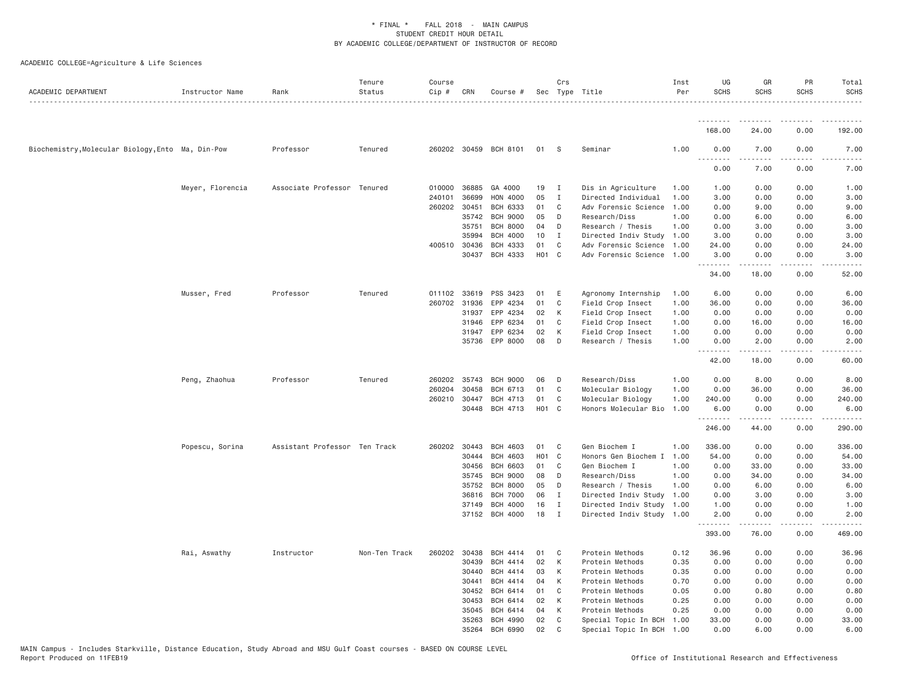| ACADEMIC DEPARTMENT                               | Instructor Name  | Rank                          | Tenure<br>Status | Course<br>Cip # | CRN          | Course #              |                   | Crs          | Sec Type Title            | Inst<br>Per | UG<br><b>SCHS</b> | GR<br><b>SCHS</b>        | PR<br><b>SCHS</b>    | Total<br><b>SCHS</b>          |
|---------------------------------------------------|------------------|-------------------------------|------------------|-----------------|--------------|-----------------------|-------------------|--------------|---------------------------|-------------|-------------------|--------------------------|----------------------|-------------------------------|
|                                                   |                  |                               |                  |                 |              |                       |                   |              |                           |             | .<br>168.00       | <u>.</u><br>24.00        | .<br>0.00            | .<br>192.00                   |
|                                                   |                  |                               |                  |                 |              |                       |                   |              |                           |             |                   |                          |                      |                               |
| Biochemistry, Molecular Biology, Ento Ma, Din-Pow |                  | Professor                     | Tenured          |                 |              | 260202 30459 BCH 8101 | 01                | <b>S</b>     | Seminar                   | 1,00        | 0.00              | 7.00                     | 0.00                 | 7.00                          |
|                                                   |                  |                               |                  |                 |              |                       |                   |              |                           |             | 0.00              | 7.00                     | 0.00                 | 7.00                          |
|                                                   | Meyer, Florencia | Associate Professor Tenured   |                  | 010000          | 36885        | GA 4000               | 19                | $\mathbf{I}$ | Dis in Agriculture        | 1.00        | 1.00              | 0.00                     | 0.00                 | 1.00                          |
|                                                   |                  |                               |                  | 240101          | 36699        | HON 4000              | 05                | $\mathbf I$  | Directed Individual       | 1.00        | 3.00              | 0.00                     | 0.00                 | 3.00                          |
|                                                   |                  |                               |                  | 260202          | 30451        | <b>BCH 6333</b>       | 01                | C            | Adv Forensic Science      | 1.00        | 0.00              | 9.00                     | 0.00                 | 9.00                          |
|                                                   |                  |                               |                  |                 | 35742        | <b>BCH 9000</b>       | 05                | D            | Research/Diss             | 1.00        | 0.00              | 6.00                     | 0.00                 | 6.00                          |
|                                                   |                  |                               |                  |                 | 35751        | <b>BCH 8000</b>       | 04                | D            | Research / Thesis         | 1.00        | 0.00              | 3.00                     | 0.00                 | 3.00                          |
|                                                   |                  |                               |                  |                 | 35994        | <b>BCH 4000</b>       | 10                | Ι.           | Directed Indiv Study 1.00 |             | 3.00              | 0.00                     | 0.00                 | 3.00                          |
|                                                   |                  |                               |                  | 400510          | 30436        | BCH 4333              | 01                | C            | Adv Forensic Science 1.00 |             | 24.00             | 0.00                     | 0.00                 | 24.00                         |
|                                                   |                  |                               |                  |                 | 30437        | BCH 4333              | H <sub>01</sub> C |              | Adv Forensic Science 1.00 |             | 3.00<br>.         | 0.00                     | 0.00                 | 3.00<br>$\frac{1}{2}$         |
|                                                   |                  |                               |                  |                 |              |                       |                   |              |                           |             | 34.00             | 18.00                    | 0.00                 | 52.00                         |
|                                                   | Musser, Fred     | Professor                     | Tenured          | 011102 33619    |              | PSS 3423              | 01                | E            | Agronomy Internship       | 1.00        | 6.00              | 0.00                     | 0.00                 | 6.00                          |
|                                                   |                  |                               |                  |                 | 260702 31936 | EPP 4234              | 01                | $\mathbb C$  | Field Crop Insect         | 1.00        | 36.00             | 0.00                     | 0.00                 | 36.00                         |
|                                                   |                  |                               |                  |                 | 31937        | EPP 4234              | 02                | К            | Field Crop Insect         | 1.00        | 0.00              | 0.00                     | 0.00                 | 0.00                          |
|                                                   |                  |                               |                  |                 | 31946        | EPP 6234              | 01                | C            | Field Crop Insect         | 1.00        | 0.00              | 16.00                    | 0.00                 | 16.00                         |
|                                                   |                  |                               |                  |                 | 31947        | EPP 6234              | 02                | К            | Field Crop Insect         | 1.00        | 0.00              | 0.00                     | 0.00                 | 0.00                          |
|                                                   |                  |                               |                  |                 | 35736        | EPP 8000              | 08                | D            | Research / Thesis         | 1.00        | 0.00              | 2.00                     | 0.00                 | 2.00                          |
|                                                   |                  |                               |                  |                 |              |                       |                   |              |                           |             | .                 | -----                    | $\sim$ - - -         | $\sim$ $\sim$ $\sim$ $\sim$ . |
|                                                   |                  |                               |                  |                 |              |                       |                   |              |                           |             | 42.00             | 18.00                    | 0.00                 | 60.00                         |
|                                                   | Peng, Zhaohua    | Professor                     | Tenured          | 260202          | 35743        | <b>BCH 9000</b>       | 06                | D            | Research/Diss             | 1.00        | 0.00              | 8.00                     | 0.00                 | 8.00                          |
|                                                   |                  |                               |                  | 260204          | 30458        | BCH 6713              | 01                | C            | Molecular Biology         | 1.00        | 0.00              | 36.00                    | 0.00                 | 36.00                         |
|                                                   |                  |                               |                  | 260210          | 30447        | BCH 4713              | 01                | C            | Molecular Biology         | 1.00        | 240.00            | 0.00                     | 0.00                 | 240.00                        |
|                                                   |                  |                               |                  |                 | 30448        | BCH 4713              | H <sub>01</sub> C |              | Honors Molecular Bio      | 1.00        | 6.00              | 0.00                     | 0.00                 | 6.00                          |
|                                                   |                  |                               |                  |                 |              |                       |                   |              |                           |             | .<br>246.00       | .<br>44.00               | $\sim$ - - -<br>0.00 | .<br>290.00                   |
|                                                   | Popescu, Sorina  | Assistant Professor Ten Track |                  | 260202          | 30443        | <b>BCH 4603</b>       | 01                | C            | Gen Biochem I             | 1.00        | 336.00            | 0.00                     | 0.00                 | 336.00                        |
|                                                   |                  |                               |                  |                 | 30444        | <b>BCH 4603</b>       | H <sub>01</sub> C |              | Honors Gen Biochem I      | 1.00        | 54.00             | 0.00                     | 0.00                 | 54.00                         |
|                                                   |                  |                               |                  |                 | 30456        | <b>BCH 6603</b>       | 01                | C            | Gen Biochem I             | 1.00        | 0.00              | 33.00                    | 0.00                 | 33.00                         |
|                                                   |                  |                               |                  |                 | 35745        | <b>BCH 9000</b>       | 08                | D            | Research/Diss             | 1.00        | 0.00              | 34.00                    | 0.00                 | 34.00                         |
|                                                   |                  |                               |                  |                 | 35752        | <b>BCH 8000</b>       | 05                | D            | Research / Thesis         | 1.00        | 0.00              | 6.00                     | 0.00                 | 6.00                          |
|                                                   |                  |                               |                  |                 | 36816        | <b>BCH 7000</b>       | 06                | $\mathbf I$  | Directed Indiv Study      | 1.00        | 0.00              | 3.00                     | 0.00                 | 3.00                          |
|                                                   |                  |                               |                  |                 | 37149        | <b>BCH 4000</b>       | 16                | Ι.           | Directed Indiv Study      | 1.00        | 1.00              | 0.00                     | 0.00                 | 1.00                          |
|                                                   |                  |                               |                  |                 |              | 37152 BCH 4000        | 18                | $\mathbf{I}$ | Directed Indiv Study 1.00 |             | 2.00              | 0.00<br>المتمام والمناور | 0.00<br>.            | 2.00<br>.                     |
|                                                   |                  |                               |                  |                 |              |                       |                   |              |                           |             | .<br>393.00       | 76.00                    | 0.00                 | 469.00                        |
|                                                   | Rai, Aswathy     | Instructor                    | Non-Ten Track    | 260202          | 30438        | <b>BCH 4414</b>       | 01                | C            | Protein Methods           | 0.12        | 36.96             | 0.00                     | 0.00                 | 36.96                         |
|                                                   |                  |                               |                  |                 | 30439        | <b>BCH 4414</b>       | 02                | K            | Protein Methods           | 0.35        | 0.00              | 0.00                     | 0.00                 | 0.00                          |
|                                                   |                  |                               |                  |                 | 30440        | BCH 4414              | 03                | К            | Protein Methods           | 0.35        | 0.00              | 0.00                     | 0.00                 | 0.00                          |
|                                                   |                  |                               |                  |                 | 30441        | BCH 4414              | 04                | К            | Protein Methods           | 0.70        | 0.00              | 0.00                     | 0.00                 | 0.00                          |
|                                                   |                  |                               |                  |                 | 30452        | BCH 6414              | 01                | C            | Protein Methods           | 0.05        | 0.00              | 0.80                     | 0.00                 | 0.80                          |
|                                                   |                  |                               |                  |                 | 30453        | BCH 6414              | 02                | К            | Protein Methods           | 0.25        | 0.00              | 0.00                     | 0.00                 | 0.00                          |
|                                                   |                  |                               |                  |                 | 35045        | <b>BCH 6414</b>       | 04                | K            | Protein Methods           | 0.25        | 0.00              | 0.00                     | 0.00                 | 0.00                          |
|                                                   |                  |                               |                  |                 | 35263        | <b>BCH 4990</b>       | 02                | C            | Special Topic In BCH      | 1.00        | 33.00             | 0.00                     | 0.00                 | 33.00                         |
|                                                   |                  |                               |                  |                 | 35264        | <b>BCH 6990</b>       | 02                | $\mathsf{C}$ | Special Topic In BCH      | 1.00        | 0.00              | 6.00                     | 0.00                 | 6.00                          |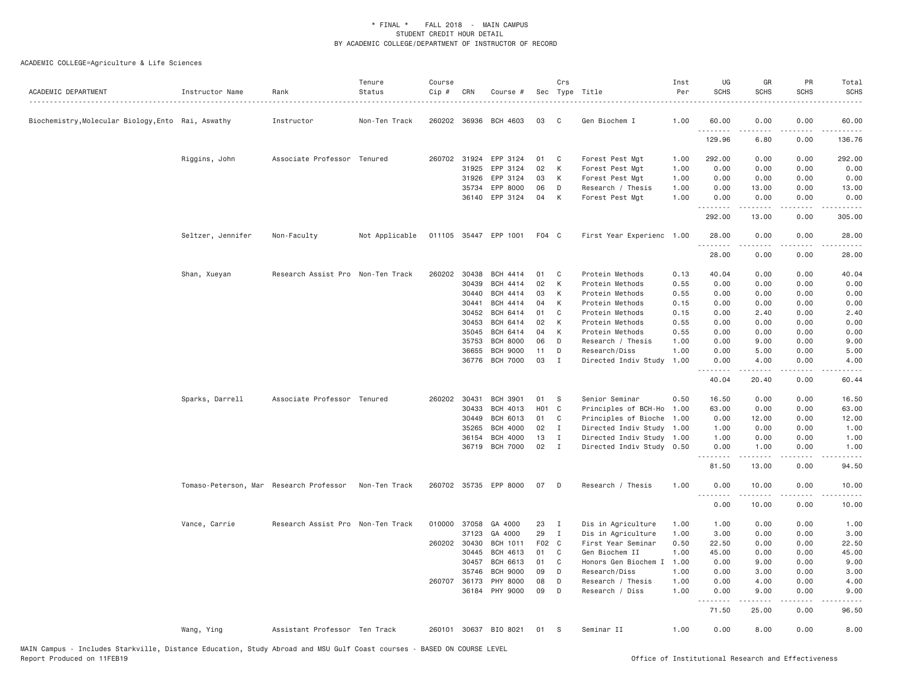| ACADEMIC DEPARTMENT                                | Instructor Name                         | Rank                              | Tenure<br>Status | Course<br>Cip # | CRN          | Course #              |                   | Crs          | Sec Type Title            | Inst<br>Per | UG<br><b>SCHS</b>                    | GR<br><b>SCHS</b>                                                                                                                                             | PR<br><b>SCHS</b> | Total<br><b>SCHS</b> |
|----------------------------------------------------|-----------------------------------------|-----------------------------------|------------------|-----------------|--------------|-----------------------|-------------------|--------------|---------------------------|-------------|--------------------------------------|---------------------------------------------------------------------------------------------------------------------------------------------------------------|-------------------|----------------------|
| Biochemistry, Molecular Biology, Ento Rai, Aswathy |                                         | Instructor                        | Non-Ten Track    |                 | 260202 36936 | BCH 4603              | 03                | C.           | Gen Biochem I             | 1.00        | 60.00<br>.                           | 0.00                                                                                                                                                          | 0.00              | 60.00                |
|                                                    |                                         |                                   |                  |                 |              |                       |                   |              |                           |             | 129.96                               | 6.80                                                                                                                                                          | 0.00              | 136.76               |
|                                                    | Riggins, John                           | Associate Professor Tenured       |                  |                 | 260702 31924 | EPP 3124              | 01                | C            | Forest Pest Mgt           | 1.00        | 292.00                               | 0.00                                                                                                                                                          | 0.00              | 292.00               |
|                                                    |                                         |                                   |                  |                 | 31925        | EPP 3124              | 02                | К            | Forest Pest Mgt           | 1.00        | 0.00                                 | 0.00                                                                                                                                                          | 0.00              | 0.00                 |
|                                                    |                                         |                                   |                  |                 | 31926        | EPP 3124              | 03                | К            | Forest Pest Mgt           | 1.00        | 0.00                                 | 0.00                                                                                                                                                          | 0.00              | 0.00                 |
|                                                    |                                         |                                   |                  |                 | 35734        | EPP 8000              | 06                | D            | Research / Thesis         | 1.00        | 0.00                                 | 13.00                                                                                                                                                         | 0.00              | 13.00                |
|                                                    |                                         |                                   |                  |                 | 36140        | EPP 3124              | 04                | К            | Forest Pest Mgt           | 1.00        | 0.00<br>.                            | 0.00                                                                                                                                                          | 0.00              | 0.00                 |
|                                                    |                                         |                                   |                  |                 |              |                       |                   |              |                           |             | 292.00                               | 13.00                                                                                                                                                         | 0.00              | 305.00               |
|                                                    | Seltzer, Jennifer                       | Non-Faculty                       | Not Applicable   |                 |              | 011105 35447 EPP 1001 | F04 C             |              | First Year Experienc 1.00 |             | 28.00<br>.                           | 0.00                                                                                                                                                          | 0.00<br>$- - - -$ | 28.00                |
|                                                    |                                         |                                   |                  |                 |              |                       |                   |              |                           |             | 28.00                                | 0.00                                                                                                                                                          | 0.00              | 28.00                |
|                                                    | Shan, Xueyan                            | Research Assist Pro Non-Ten Track |                  | 260202          | 30438        | <b>BCH 4414</b>       | 01                | C            | Protein Methods           | 0.13        | 40.04                                | 0.00                                                                                                                                                          | 0.00              | 40.04                |
|                                                    |                                         |                                   |                  |                 | 30439        | <b>BCH 4414</b>       | 02                | К            | Protein Methods           | 0.55        | 0.00                                 | 0.00                                                                                                                                                          | 0.00              | 0.00                 |
|                                                    |                                         |                                   |                  |                 | 30440        | <b>BCH 4414</b>       | 03                | К            | Protein Methods           | 0.55        | 0.00                                 | 0.00                                                                                                                                                          | 0.00              | 0.00                 |
|                                                    |                                         |                                   |                  |                 | 30441        | <b>BCH 4414</b>       | 04                | К            | Protein Methods           | 0.15        | 0.00                                 | 0.00                                                                                                                                                          | 0.00              | 0.00                 |
|                                                    |                                         |                                   |                  |                 | 30452        | BCH 6414              | 01                | C            | Protein Methods           | 0.15        | 0.00                                 | 2.40                                                                                                                                                          | 0.00              | 2.40                 |
|                                                    |                                         |                                   |                  |                 | 30453        | BCH 6414              | 02                | К            | Protein Methods           | 0.55        | 0.00                                 | 0.00                                                                                                                                                          | 0.00              | 0.00                 |
|                                                    |                                         |                                   |                  |                 | 35045        | <b>BCH 6414</b>       | 04                | К            | Protein Methods           | 0.55        | 0.00                                 | 0.00                                                                                                                                                          | 0.00              | 0.00                 |
|                                                    |                                         |                                   |                  |                 | 35753        | <b>BCH 8000</b>       | 06                | D            | Research / Thesis         | 1.00        | 0.00                                 | 9.00                                                                                                                                                          | 0.00              | 9.00                 |
|                                                    |                                         |                                   |                  |                 | 36655        | <b>BCH 9000</b>       | 11                | D            | Research/Diss             | 1.00        | 0.00                                 | 5.00                                                                                                                                                          | 0.00              | 5.00                 |
|                                                    |                                         |                                   |                  |                 | 36776        | <b>BCH 7000</b>       | 03                | I            | Directed Indiv Study      | 1.00        | 0.00                                 | 4.00                                                                                                                                                          | 0.00              | 4.00                 |
|                                                    |                                         |                                   |                  |                 |              |                       |                   |              |                           |             | $\sim$ $\sim$ $\sim$ $\sim$<br>40.04 | 20.40                                                                                                                                                         | .<br>0.00         | 60.44                |
|                                                    | Sparks, Darrell                         | Associate Professor Tenured       |                  | 260202 30431    |              | <b>BCH 3901</b>       | 01                | S            | Senior Seminar            | 0.50        | 16.50                                | 0.00                                                                                                                                                          | 0.00              | 16.50                |
|                                                    |                                         |                                   |                  |                 | 30433        | <b>BCH 4013</b>       | H <sub>01</sub> C |              | Principles of BCH-Ho      | 1.00        | 63.00                                | 0.00                                                                                                                                                          | 0.00              | 63.00                |
|                                                    |                                         |                                   |                  |                 | 30449        | <b>BCH 6013</b>       | 01                | C            | Principles of Bioche      | 1.00        | 0.00                                 | 12.00                                                                                                                                                         | 0.00              | 12.00                |
|                                                    |                                         |                                   |                  |                 | 35265        | <b>BCH 4000</b>       | 02                | $\mathbf{I}$ | Directed Indiv Study      | 1.00        | 1.00                                 | 0.00                                                                                                                                                          | 0.00              | 1.00                 |
|                                                    |                                         |                                   |                  |                 | 36154        | <b>BCH 4000</b>       | 13                | I            | Directed Indiv Study      | 1.00        | 1.00                                 | 0.00                                                                                                                                                          | 0.00              | 1.00                 |
|                                                    |                                         |                                   |                  |                 | 36719        | <b>BCH 7000</b>       | 02                | $\mathbf{I}$ | Directed Indiv Study 0.50 |             | 0.00<br>.                            | 1.00<br>-----                                                                                                                                                 | 0.00<br>$- - - -$ | 1.00                 |
|                                                    |                                         |                                   |                  |                 |              |                       |                   |              |                           |             | 81.50                                | 13.00                                                                                                                                                         | 0.00              | 94.50                |
|                                                    | Tomaso-Peterson, Mar Research Professor |                                   | Non-Ten Track    |                 |              | 260702 35735 EPP 8000 | 07                | D            | Research / Thesis         | 1.00        | 0.00<br>.                            | 10.00<br>$\frac{1}{2} \left( \frac{1}{2} \right) \left( \frac{1}{2} \right) \left( \frac{1}{2} \right) \left( \frac{1}{2} \right) \left( \frac{1}{2} \right)$ | 0.00<br>.         | 10.00                |
|                                                    |                                         |                                   |                  |                 |              |                       |                   |              |                           |             | 0.00                                 | 10.00                                                                                                                                                         | 0.00              | 10.00                |
|                                                    | Vance, Carrie                           | Research Assist Pro Non-Ten Track |                  | 010000 37058    |              | GA 4000               | 23                | $\mathbf{I}$ | Dis in Agriculture        | 1.00        | 1.00                                 | 0.00                                                                                                                                                          | 0.00              | 1.00                 |
|                                                    |                                         |                                   |                  |                 | 37123        | GA 4000               | 29                | I            | Dis in Agriculture        | 1.00        | 3.00                                 | 0.00                                                                                                                                                          | 0.00              | 3.00                 |
|                                                    |                                         |                                   |                  | 260202 30430    |              | <b>BCH 1011</b>       | F02 C             |              | First Year Seminar        | 0.50        | 22.50                                | 0.00                                                                                                                                                          | 0.00              | 22.50                |
|                                                    |                                         |                                   |                  |                 | 30445        | BCH 4613              | 01                | C            | Gen Biochem II            | 1.00        | 45.00                                | 0.00                                                                                                                                                          | 0.00              | 45.00                |
|                                                    |                                         |                                   |                  |                 | 30457        | <b>BCH 6613</b>       | 01                | C            | Honors Gen Biochem I      | 1.00        | 0.00                                 | 9.00                                                                                                                                                          | 0.00              | 9.00                 |
|                                                    |                                         |                                   |                  |                 | 35746        | <b>BCH 9000</b>       | 09                | D            | Research/Diss             | 1.00        | 0.00                                 | 3.00                                                                                                                                                          | 0.00              | 3.00                 |
|                                                    |                                         |                                   |                  | 260707 36173    |              | PHY 8000              | 08                | D            | Research / Thesis         | 1.00        | 0.00                                 | 4.00                                                                                                                                                          | 0.00              | 4.00                 |
|                                                    |                                         |                                   |                  |                 |              | 36184 PHY 9000        | 09                | D            | Research / Diss           | 1.00        | 0.00<br>.                            | 9.00<br>$\frac{1}{2} \left( \frac{1}{2} \right) \left( \frac{1}{2} \right) \left( \frac{1}{2} \right) \left( \frac{1}{2} \right) \left( \frac{1}{2} \right)$  | 0.00<br>.         | 9.00                 |
|                                                    |                                         |                                   |                  |                 |              |                       |                   |              |                           |             | 71.50                                | 25.00                                                                                                                                                         | 0.00              | 96.50                |
|                                                    | Wang, Ying                              | Assistant Professor Ten Track     |                  |                 |              | 260101 30637 BIO 8021 | 01                | - S          | Seminar II                | 1.00        | 0.00                                 | 8.00                                                                                                                                                          | 0.00              | 8.00                 |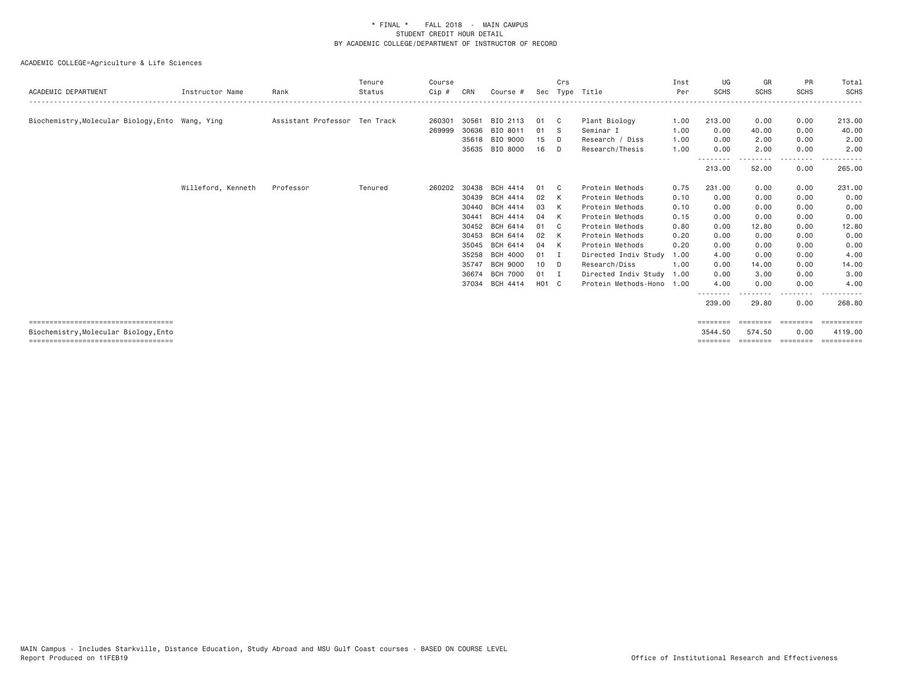| ACADEMIC DEPARTMENT                              | Instructor Name    | Rank                          | Tenure<br>Status | Course<br>Cip # | CRN   | Course #        |       | Crs | Sec Type Title            | Inst<br>Per | UG<br><b>SCHS</b>  | GR<br><b>SCHS</b> | <b>PR</b><br><b>SCHS</b> | Total<br><b>SCHS</b> |
|--------------------------------------------------|--------------------|-------------------------------|------------------|-----------------|-------|-----------------|-------|-----|---------------------------|-------------|--------------------|-------------------|--------------------------|----------------------|
| Biochemistry, Molecular Biology, Ento Wang, Ying |                    | Assistant Professor Ten Track |                  | 260301          | 30561 | BIO 2113        | 01    | C.  | Plant Biology             | 1.00        | 213.00             | 0.00              | 0.00                     | 213.00               |
|                                                  |                    |                               |                  | 269999          | 30636 | BIO 8011        | 01    | - S | Seminar I                 | 1.00        | 0.00               | 40.00             | 0.00                     | 40.00                |
|                                                  |                    |                               |                  |                 |       | 35618 BIO 9000  | 15    | D   | Research / Diss           | 1.00        | 0.00               | 2.00              | 0.00                     | 2.00                 |
|                                                  |                    |                               |                  |                 |       | 35635 BIO 8000  | 16    | D   | Research/Thesis           | 1.00        | 0.00               | 2.00              | 0.00                     | 2.00                 |
|                                                  |                    |                               |                  |                 |       |                 |       |     |                           |             | 213.00             | <u>.</u><br>52.00 | --------<br>0.00         | 265.00               |
|                                                  | Willeford, Kenneth | Professor                     | Tenured          | 260202          | 30438 | BCH 4414        | 01    | C.  | Protein Methods           | 0.75        | 231.00             | 0.00              | 0.00                     | 231.00               |
|                                                  |                    |                               |                  |                 | 30439 | BCH 4414        | 02    | K   | Protein Methods           | 0.10        | 0.00               | 0.00              | 0.00                     | 0.00                 |
|                                                  |                    |                               |                  |                 | 30440 | BCH 4414        | 03    | K   | Protein Methods           | 0.10        | 0.00               | 0.00              | 0.00                     | 0.00                 |
|                                                  |                    |                               |                  |                 | 30441 | <b>BCH 4414</b> | 04    | K   | Protein Methods           | 0.15        | 0.00               | 0.00              | 0.00                     | 0.00                 |
|                                                  |                    |                               |                  |                 | 30452 | BCH 6414        | 01    | C.  | Protein Methods           | 0.80        | 0.00               | 12.80             | 0.00                     | 12.80                |
|                                                  |                    |                               |                  |                 | 30453 | BCH 6414        | 02    |     | Protein Methods           | 0.20        | 0.00               | 0.00              | 0.00                     | 0.00                 |
|                                                  |                    |                               |                  |                 | 35045 | BCH 6414        | 04    | K   | Protein Methods           | 0.20        | 0.00               | 0.00              | 0.00                     | 0.00                 |
|                                                  |                    |                               |                  |                 | 35258 | BCH 4000        | 01    | - 1 | Directed Indiv Study      | 1.00        | 4.00               | 0.00              | 0.00                     | 4.00                 |
|                                                  |                    |                               |                  |                 | 35747 | <b>BCH 9000</b> | 10    | D   | Research/Diss             | 1.00        | 0.00               | 14.00             | 0.00                     | 14.00                |
|                                                  |                    |                               |                  |                 | 36674 | <b>BCH 7000</b> | 01    | I   | Directed Indiv Study      | 1.00        | 0.00               | 3.00              | 0.00                     | 3.00                 |
|                                                  |                    |                               |                  |                 |       | 37034 BCH 4414  | H01 C |     | Protein Methods-Hono 1.00 |             | 4.00               | 0.00<br>.         | 0.00<br>. <u>.</u>       | 4.00                 |
|                                                  |                    |                               |                  |                 |       |                 |       |     |                           |             | --------<br>239.00 | 29.80             | 0.00                     | 268.80               |
| ====================================             |                    |                               |                  |                 |       |                 |       |     |                           |             | ========           | ========          | ========                 | ==========           |
| Biochemistry, Molecular Biology, Ento            |                    |                               |                  |                 |       |                 |       |     |                           |             | 3544.50            | 574.50            | 0.00                     | 4119,00              |
| =====================================            |                    |                               |                  |                 |       |                 |       |     |                           |             | ========           | ========          | <b>CONTRACTOR</b>        | eesseesse            |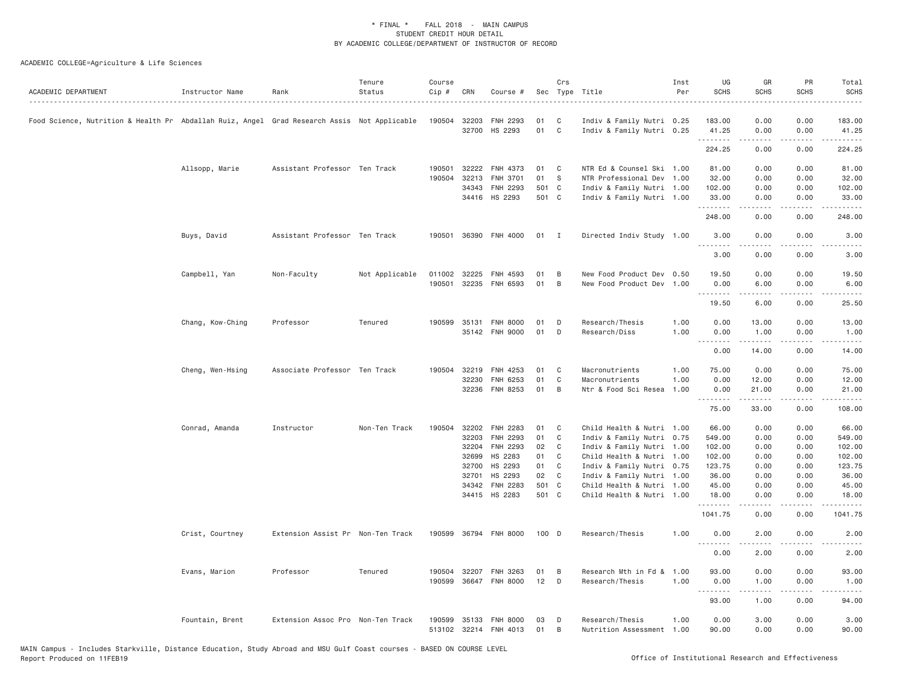| ACADEMIC DEPARTMENT                                                                         | Instructor Name  | Rank                              | Tenure<br>Status | Course<br>Cip # | CRN   | Course #              |         | Crs          | Sec Type Title            | Inst<br>Per | UG<br><b>SCHS</b> | GR<br><b>SCHS</b>   | PR<br><b>SCHS</b> | Total<br><b>SCHS</b><br>$\frac{1}{2} \left( \frac{1}{2} \right) \left( \frac{1}{2} \right) \left( \frac{1}{2} \right) \left( \frac{1}{2} \right) \left( \frac{1}{2} \right)$ |
|---------------------------------------------------------------------------------------------|------------------|-----------------------------------|------------------|-----------------|-------|-----------------------|---------|--------------|---------------------------|-------------|-------------------|---------------------|-------------------|------------------------------------------------------------------------------------------------------------------------------------------------------------------------------|
| Food Science, Nutrition & Health Pr Abdallah Ruiz, Angel Grad Research Assis Not Applicable |                  |                                   |                  | 190504 32203    |       | FNH 2293              | 01      | C            | Indiv & Family Nutri 0.25 |             | 183.00            | 0.00                | 0.00              | 183.00                                                                                                                                                                       |
|                                                                                             |                  |                                   |                  |                 |       | 32700 HS 2293         | 01      | $\mathsf{C}$ | Indiv & Family Nutri 0.25 |             | 41.25<br>.        | 0.00<br>$- - - - -$ | 0.00<br>.         | 41.25<br>.                                                                                                                                                                   |
|                                                                                             |                  |                                   |                  |                 |       |                       |         |              |                           |             | 224.25            | 0.00                | 0.00              | 224.25                                                                                                                                                                       |
|                                                                                             | Allsopp, Marie   | Assistant Professor Ten Track     |                  | 190501          | 32222 | FNH 4373              | 01      | C            | NTR Ed & Counsel Ski 1.00 |             | 81.00             | 0.00                | 0.00              | 81.00                                                                                                                                                                        |
|                                                                                             |                  |                                   |                  | 190504          | 32213 | FNH 3701              | 01      | S            | NTR Professional Dev 1.00 |             | 32.00             | 0.00                | 0.00              | 32.00                                                                                                                                                                        |
|                                                                                             |                  |                                   |                  |                 | 34343 | <b>FNH 2293</b>       | 501 C   |              | Indiv & Family Nutri 1.00 |             | 102.00            | 0.00                | 0.00              | 102.00                                                                                                                                                                       |
|                                                                                             |                  |                                   |                  |                 |       | 34416 HS 2293         | 501 C   |              | Indiv & Family Nutri 1.00 |             | 33.00<br>.        | 0.00<br>.           | 0.00              | 33.00<br>.                                                                                                                                                                   |
|                                                                                             |                  |                                   |                  |                 |       |                       |         |              |                           |             | 248.00            | 0.00                | 0.00              | 248.00                                                                                                                                                                       |
|                                                                                             | Buys, David      | Assistant Professor Ten Track     |                  | 190501          |       | 36390 FNH 4000        | 01      | $\mathbf{I}$ | Directed Indiv Study 1.00 |             | 3.00<br>.         | 0.00                | 0.00              | 3.00                                                                                                                                                                         |
|                                                                                             |                  |                                   |                  |                 |       |                       |         |              |                           |             | 3.00              | 0.00                | 0.00              | 3.00                                                                                                                                                                         |
|                                                                                             | Campbell, Yan    | Non-Faculty                       | Not Applicable   | 011002          | 32225 | FNH 4593              | 01      | B            | New Food Product Dev 0.50 |             | 19.50             | 0.00                | 0.00              | 19.50                                                                                                                                                                        |
|                                                                                             |                  |                                   |                  | 190501          | 32235 | FNH 6593              | 01      | B            | New Food Product Dev 1.00 |             | 0.00              | 6.00                | 0.00              | 6.00                                                                                                                                                                         |
|                                                                                             |                  |                                   |                  |                 |       |                       |         |              |                           |             | .                 | .                   | المتمامين         | $\frac{1}{2} \left( \frac{1}{2} \right) \left( \frac{1}{2} \right) \left( \frac{1}{2} \right) \left( \frac{1}{2} \right)$                                                    |
|                                                                                             |                  |                                   |                  |                 |       |                       |         |              |                           |             | 19.50             | 6.00                | 0.00              | 25.50                                                                                                                                                                        |
|                                                                                             | Chang, Kow-Ching | Professor                         | Tenured          | 190599          | 35131 | <b>FNH 8000</b>       | 01      | D            | Research/Thesis           | 1.00        | 0.00              | 13.00               | 0.00              | 13.00                                                                                                                                                                        |
|                                                                                             |                  |                                   |                  |                 |       | 35142 FNH 9000        | 01      | D            | Research/Diss             | 1.00        | 0.00              | 1.00                | 0.00              | 1.00                                                                                                                                                                         |
|                                                                                             |                  |                                   |                  |                 |       |                       |         |              |                           |             | .<br>0.00         | <b>.</b><br>14.00   | 0.00              | $\sim$ $\sim$ $\sim$ $\sim$<br>14.00                                                                                                                                         |
|                                                                                             | Cheng, Wen-Hsing | Associate Professor Ten Track     |                  | 190504          | 32219 | FNH 4253              | 01      | C            | Macronutrients            | 1.00        | 75.00             | 0.00                | 0.00              | 75.00                                                                                                                                                                        |
|                                                                                             |                  |                                   |                  |                 | 32230 | FNH 6253              | 01      | C            | Macronutrients            | 1.00        | 0.00              | 12.00               | 0.00              | 12.00                                                                                                                                                                        |
|                                                                                             |                  |                                   |                  |                 | 32236 | <b>FNH 8253</b>       | 01      | B            | Ntr & Food Sci Resea      | 1.00        | 0.00<br>.         | 21.00<br>المتمالين  | 0.00<br>.         | 21.00<br>.                                                                                                                                                                   |
|                                                                                             |                  |                                   |                  |                 |       |                       |         |              |                           |             | 75.00             | 33.00               | 0.00              | 108.00                                                                                                                                                                       |
|                                                                                             | Conrad, Amanda   | Instructor                        | Non-Ten Track    | 190504          | 32202 | FNH 2283              | 01      | C            | Child Health & Nutri 1.00 |             | 66.00             | 0.00                | 0.00              | 66.00                                                                                                                                                                        |
|                                                                                             |                  |                                   |                  |                 | 32203 | FNH 2293              | 01      | C            | Indiv & Family Nutri 0.75 |             | 549.00            | 0.00                | 0.00              | 549.00                                                                                                                                                                       |
|                                                                                             |                  |                                   |                  |                 | 32204 | FNH 2293              | 02      | C            | Indiv & Family Nutri 1.00 |             | 102.00            | 0.00                | 0.00              | 102.00                                                                                                                                                                       |
|                                                                                             |                  |                                   |                  |                 | 32699 | HS 2283               | 01      | C            | Child Health & Nutri 1.00 |             | 102.00            | 0.00                | 0.00              | 102.00                                                                                                                                                                       |
|                                                                                             |                  |                                   |                  |                 | 32700 | HS 2293               | 01      | C            | Indiv & Family Nutri 0.75 |             | 123.75            | 0.00                | 0.00              | 123.75                                                                                                                                                                       |
|                                                                                             |                  |                                   |                  |                 | 32701 | HS 2293               | 02      | C            | Indiv & Family Nutri 1.00 |             | 36.00             | 0.00                | 0.00              | 36.00                                                                                                                                                                        |
|                                                                                             |                  |                                   |                  |                 | 34342 | <b>FNH 2283</b>       | 501 C   |              | Child Health & Nutri 1.00 |             | 45.00             | 0.00                | 0.00              | 45.00                                                                                                                                                                        |
|                                                                                             |                  |                                   |                  |                 |       | 34415 HS 2283         | 501 C   |              | Child Health & Nutri 1.00 |             | 18.00<br>.        | 0.00<br>.           | 0.00<br>المتمامين | 18.00<br>.                                                                                                                                                                   |
|                                                                                             |                  |                                   |                  |                 |       |                       |         |              |                           |             | 1041.75           | 0.00                | 0.00              | 1041.75                                                                                                                                                                      |
|                                                                                             | Crist, Courtney  | Extension Assist Pr Non-Ten Track |                  | 190599          |       | 36794 FNH 8000        | $100$ D |              | Research/Thesis           | 1.00        | 0.00<br>.         | 2.00                | 0.00              | 2.00                                                                                                                                                                         |
|                                                                                             |                  |                                   |                  |                 |       |                       |         |              |                           |             | 0.00              | 2.00                | 0.00              | 2.00                                                                                                                                                                         |
|                                                                                             | Evans, Marion    | Professor                         | Tenured          | 190504          | 32207 | FNH 3263              | 01      | B            | Research Mth in Fd &      | 1.00        | 93.00             | 0.00                | 0.00              | 93.00                                                                                                                                                                        |
|                                                                                             |                  |                                   |                  | 190599          |       | 36647 FNH 8000        | 12      | D            | Research/Thesis           | 1.00        | 0.00              | 1.00                | 0.00              | 1.00                                                                                                                                                                         |
|                                                                                             |                  |                                   |                  |                 |       |                       |         |              |                           |             | .                 | .                   |                   |                                                                                                                                                                              |
|                                                                                             |                  |                                   |                  |                 |       |                       |         |              |                           |             | 93.00             | 1.00                | 0.00              | 94.00                                                                                                                                                                        |
|                                                                                             | Fountain, Brent  | Extension Assoc Pro Non-Ten Track |                  | 190599          | 35133 | <b>FNH 8000</b>       | 03      | D            | Research/Thesis           | 1.00        | 0.00              | 3.00                | 0.00              | 3.00                                                                                                                                                                         |
|                                                                                             |                  |                                   |                  |                 |       | 513102 32214 FNH 4013 | 01      | B            | Nutrition Assessment 1.00 |             | 90.00             | 0.00                | 0.00              | 90.00                                                                                                                                                                        |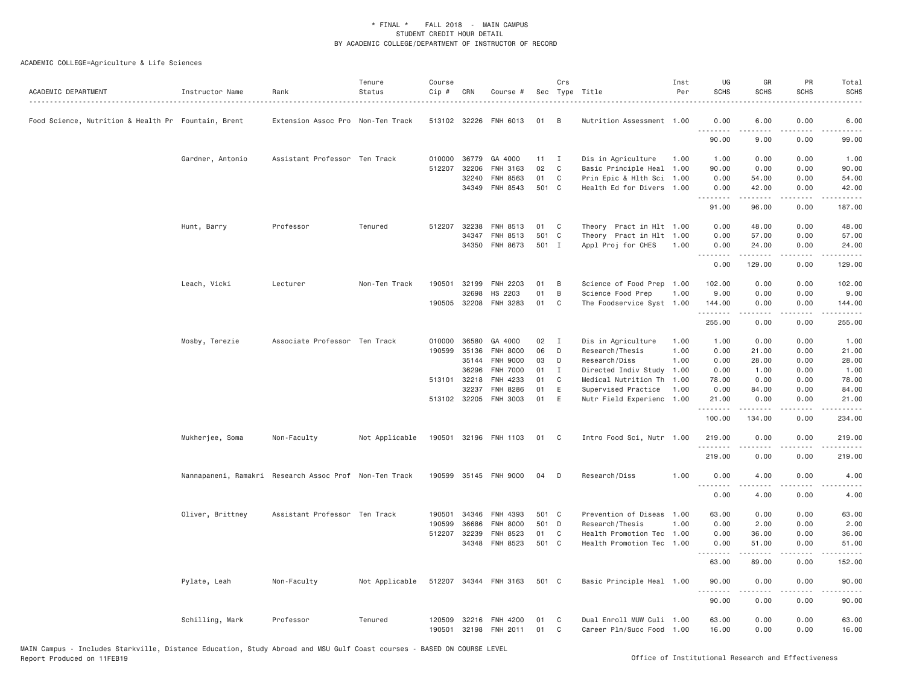| ACADEMIC DEPARTMENT                                 | Instructor Name                                        | Rank                              | Tenure<br>Status | Course<br>Cip # | CRN          | Course #              |       | Crs          | Sec Type Title            | Inst<br>Per | UG<br><b>SCHS</b> | GR<br><b>SCHS</b>                                                                                                                                            | PR<br><b>SCHS</b>            | Total<br><b>SCHS</b>                                                                                                                                           |
|-----------------------------------------------------|--------------------------------------------------------|-----------------------------------|------------------|-----------------|--------------|-----------------------|-------|--------------|---------------------------|-------------|-------------------|--------------------------------------------------------------------------------------------------------------------------------------------------------------|------------------------------|----------------------------------------------------------------------------------------------------------------------------------------------------------------|
| Food Science, Nutrition & Health Pr Fountain, Brent |                                                        | Extension Assoc Pro Non-Ten Track |                  |                 | 513102 32226 | FNH 6013              | 01    | B            | Nutrition Assessment 1.00 |             | 0.00<br>.         | 6.00                                                                                                                                                         | 0.00                         | 6.00                                                                                                                                                           |
|                                                     |                                                        |                                   |                  |                 |              |                       |       |              |                           |             | 90.00             | .<br>9.00                                                                                                                                                    | 0.00                         | 99.00                                                                                                                                                          |
|                                                     | Gardner, Antonio                                       | Assistant Professor Ten Track     |                  |                 | 010000 36779 | GA 4000               | 11    | $\mathbf{I}$ | Dis in Agriculture        | 1.00        | 1.00              | 0.00                                                                                                                                                         | 0.00                         | 1.00                                                                                                                                                           |
|                                                     |                                                        |                                   |                  |                 | 512207 32206 | FNH 3163              | 02    | C            | Basic Principle Heal 1.00 |             | 90.00             | 0.00                                                                                                                                                         | 0.00                         | 90.00                                                                                                                                                          |
|                                                     |                                                        |                                   |                  |                 | 32240        | FNH 8563              | 01    | C            | Prin Epic & Hlth Sci      | 1.00        | 0.00              | 54.00                                                                                                                                                        | 0.00                         | 54.00                                                                                                                                                          |
|                                                     |                                                        |                                   |                  |                 | 34349        | FNH 8543              | 501 C |              | Health Ed for Divers 1.00 |             | 0.00<br>.         | 42.00<br>.                                                                                                                                                   | 0.00<br>.                    | 42.00<br>2.2.2.2.2.                                                                                                                                            |
|                                                     |                                                        |                                   |                  |                 |              |                       |       |              |                           |             | 91.00             | 96.00                                                                                                                                                        | 0.00                         | 187.00                                                                                                                                                         |
|                                                     | Hunt, Barry                                            | Professor                         | Tenured          | 512207          | 32238        | FNH 8513              | 01    | C            | Theory Pract in Hlt 1.00  |             | 0.00              | 48.00                                                                                                                                                        | 0.00                         | 48.00                                                                                                                                                          |
|                                                     |                                                        |                                   |                  |                 | 34347        | FNH 8513              | 501 C |              | Theory Pract in Hlt 1.00  |             | 0.00              | 57.00                                                                                                                                                        | 0.00                         | 57.00                                                                                                                                                          |
|                                                     |                                                        |                                   |                  |                 | 34350        | FNH 8673              | 501 I |              | Appl Proj for CHES        | 1.00        | 0.00<br>.         | 24.00<br>.                                                                                                                                                   | 0.00<br>.                    | 24.00<br>.                                                                                                                                                     |
|                                                     |                                                        |                                   |                  |                 |              |                       |       |              |                           |             | 0.00              | 129.00                                                                                                                                                       | 0.00                         | 129.00                                                                                                                                                         |
|                                                     | Leach, Vicki                                           | Lecturer                          | Non-Ten Track    | 190501          | 32199        | FNH 2203              | 01    | B            | Science of Food Prep      | 1.00        | 102.00            | 0.00                                                                                                                                                         | 0.00                         | 102.00                                                                                                                                                         |
|                                                     |                                                        |                                   |                  |                 | 32698        | HS 2203               | 01    | B            | Science Food Prep         | 1.00        | 9.00              | 0.00                                                                                                                                                         | 0.00                         | 9.00                                                                                                                                                           |
|                                                     |                                                        |                                   |                  |                 |              | 190505 32208 FNH 3283 | 01    | C            | The Foodservice Syst 1.00 |             | 144.00<br>.       | 0.00<br>$\frac{1}{2} \left( \frac{1}{2} \right) \left( \frac{1}{2} \right) \left( \frac{1}{2} \right) \left( \frac{1}{2} \right) \left( \frac{1}{2} \right)$ | 0.00<br>.                    | 144.00<br>$\begin{array}{cccccccccc} \bullet & \bullet & \bullet & \bullet & \bullet & \bullet & \bullet \end{array}$                                          |
|                                                     |                                                        |                                   |                  |                 |              |                       |       |              |                           |             | 255.00            | 0.00                                                                                                                                                         | 0.00                         | 255.00                                                                                                                                                         |
|                                                     | Mosby, Terezie                                         | Associate Professor Ten Track     |                  |                 | 010000 36580 | GA 4000               | 02    | $\mathbf{I}$ | Dis in Agriculture        | 1.00        | 1.00              | 0.00                                                                                                                                                         | 0.00                         | 1.00                                                                                                                                                           |
|                                                     |                                                        |                                   |                  | 190599          | 35136        | <b>FNH 8000</b>       | 06    | D            | Research/Thesis           | 1.00        | 0.00              | 21.00                                                                                                                                                        | 0.00                         | 21.00                                                                                                                                                          |
|                                                     |                                                        |                                   |                  |                 | 35144        | <b>FNH 9000</b>       | 03    | D            | Research/Diss             | 1.00        | 0.00              | 28.00                                                                                                                                                        | 0.00                         | 28.00                                                                                                                                                          |
|                                                     |                                                        |                                   |                  |                 | 36296        | <b>FNH 7000</b>       | 01    | $\mathbf{I}$ | Directed Indiv Study      | 1.00        | 0.00              | 1.00                                                                                                                                                         | 0.00                         | 1.00                                                                                                                                                           |
|                                                     |                                                        |                                   |                  |                 | 513101 32218 | FNH 4233              | 01    | C            | Medical Nutrition Th 1.00 |             | 78.00             | 0.00                                                                                                                                                         | 0.00                         | 78.00                                                                                                                                                          |
|                                                     |                                                        |                                   |                  |                 | 32237        | FNH 8286              | 01    | E            | Supervised Practice       | 1.00        | 0.00              | 84.00                                                                                                                                                        | 0.00                         | 84.00                                                                                                                                                          |
|                                                     |                                                        |                                   |                  |                 | 513102 32205 | FNH 3003              | 01    | E            | Nutr Field Experienc 1.00 |             | 21.00<br>.        | 0.00<br>.                                                                                                                                                    | 0.00<br>.                    | 21.00<br>.                                                                                                                                                     |
|                                                     |                                                        |                                   |                  |                 |              |                       |       |              |                           |             | 100.00            | 134.00                                                                                                                                                       | 0.00                         | 234.00                                                                                                                                                         |
|                                                     | Mukherjee, Soma                                        | Non-Faculty                       | Not Applicable   |                 |              | 190501 32196 FNH 1103 | 01 C  |              | Intro Food Sci, Nutr 1.00 |             | 219.00            | 0.00                                                                                                                                                         | 0.00                         | 219.00                                                                                                                                                         |
|                                                     |                                                        |                                   |                  |                 |              |                       |       |              |                           |             | .<br>219.00       | -----<br>0.00                                                                                                                                                | .<br>0.00                    | $\frac{1}{2} \left( \frac{1}{2} \right) \left( \frac{1}{2} \right) \left( \frac{1}{2} \right) \left( \frac{1}{2} \right) \left( \frac{1}{2} \right)$<br>219.00 |
|                                                     | Nannapaneni, Ramakri Research Assoc Prof Non-Ten Track |                                   |                  |                 |              | 190599 35145 FNH 9000 | 04    | D            | Research/Diss             | 1.00        | 0.00              | 4.00                                                                                                                                                         | 0.00                         | 4.00                                                                                                                                                           |
|                                                     |                                                        |                                   |                  |                 |              |                       |       |              |                           |             | .<br>0.00         | .<br>4.00                                                                                                                                                    | $\sim$ $\sim$ $\sim$<br>0.00 | $\frac{1}{2}$<br>4.00                                                                                                                                          |
|                                                     | Oliver, Brittney                                       | Assistant Professor Ten Track     |                  | 190501          | 34346        | FNH 4393              | 501 C |              | Prevention of Diseas      | 1.00        | 63.00             | 0.00                                                                                                                                                         | 0.00                         | 63.00                                                                                                                                                          |
|                                                     |                                                        |                                   |                  | 190599          | 36686        | <b>FNH 8000</b>       | 501 D |              | Research/Thesis           | 1.00        | 0.00              | 2.00                                                                                                                                                         | 0.00                         | 2.00                                                                                                                                                           |
|                                                     |                                                        |                                   |                  |                 | 512207 32239 | FNH 8523              | 01    | C            | Health Promotion Tec 1.00 |             | 0.00              | 36.00                                                                                                                                                        | 0.00                         | 36.00                                                                                                                                                          |
|                                                     |                                                        |                                   |                  |                 |              | 34348 FNH 8523        | 501 C |              | Health Promotion Tec 1.00 |             | 0.00<br><u>.</u>  | 51.00<br>.                                                                                                                                                   | 0.00<br>.                    | 51.00<br>.                                                                                                                                                     |
|                                                     |                                                        |                                   |                  |                 |              |                       |       |              |                           |             | 63.00             | 89.00                                                                                                                                                        | 0.00                         | 152.00                                                                                                                                                         |
|                                                     | Pylate, Leah                                           | Non-Faculty                       | Not Applicable   | 512207          |              | 34344 FNH 3163        | 501 C |              | Basic Principle Heal 1.00 |             | 90.00<br>.        | 0.00<br>.                                                                                                                                                    | 0.00<br>.                    | 90.00<br>.                                                                                                                                                     |
|                                                     |                                                        |                                   |                  |                 |              |                       |       |              |                           |             | 90.00             | 0.00                                                                                                                                                         | 0.00                         | 90.00                                                                                                                                                          |
|                                                     | Schilling, Mark                                        | Professor                         | Tenured          | 120509          | 32216        | FNH 4200              | 01    | C            | Dual Enroll MUW Culi 1.00 |             | 63.00             | 0.00                                                                                                                                                         | 0.00                         | 63.00                                                                                                                                                          |
|                                                     |                                                        |                                   |                  | 190501          | 32198        | FNH 2011              | 01    | C            | Career Pln/Succ Food 1.00 |             | 16.00             | 0.00                                                                                                                                                         | 0.00                         | 16.00                                                                                                                                                          |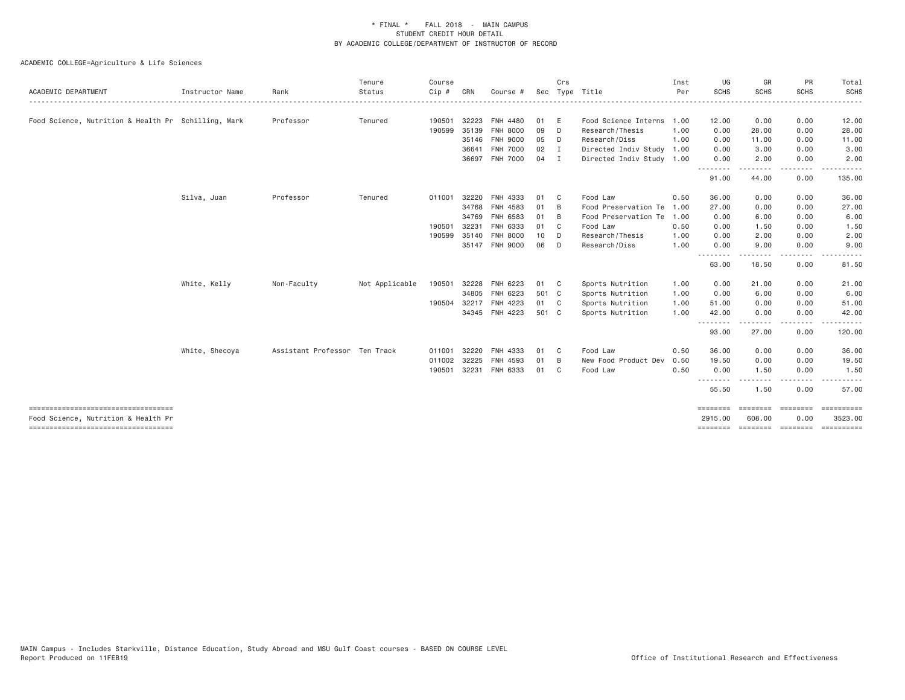| ACADEMIC DEPARTMENT                                                       | Instructor Name | Rank                          | Tenure<br>Status | Course<br>Cip# | CRN   | Course #        | Sec   | Crs            | Type Title                | Inst<br>Per | UG<br>SCHS          | GR<br><b>SCHS</b>        | PR<br><b>SCHS</b>      | Total<br>SCHS         |
|---------------------------------------------------------------------------|-----------------|-------------------------------|------------------|----------------|-------|-----------------|-------|----------------|---------------------------|-------------|---------------------|--------------------------|------------------------|-----------------------|
|                                                                           |                 |                               |                  |                |       |                 |       |                |                           |             |                     |                          |                        |                       |
| Food Science, Nutrition & Health Pr Schilling, Mark                       |                 | Professor                     | Tenured          | 190501         | 32223 | <b>FNH 4480</b> | 01    | E              | Food Science Interns      | 1.00        | 12.00               | 0.00                     | 0.00                   | 12.00                 |
|                                                                           |                 |                               |                  | 190599         | 35139 | <b>FNH 8000</b> | 09    | D              | Research/Thesis           | 1.00        | 0.00                | 28.00                    | 0.00                   | 28.00                 |
|                                                                           |                 |                               |                  |                |       | 35146 FNH 9000  | 05    | D              | Research/Diss             | 1.00        | 0.00                | 11.00                    | 0.00                   | 11.00                 |
|                                                                           |                 |                               |                  |                | 36641 | FNH 7000        | 02    | I.             | Directed Indiv Study      | 1.00        | 0.00                | 3.00                     | 0.00                   | 3.00                  |
|                                                                           |                 |                               |                  |                | 36697 | FNH 7000        | 04    | I              | Directed Indiv Study 1.00 |             | 0.00<br>.           | 2.00                     | 0.00                   | 2.00                  |
|                                                                           |                 |                               |                  |                |       |                 |       |                |                           |             | 91.00               | 44.00                    | 0.00                   | 135.00                |
|                                                                           | Silva, Juan     | Professor                     | Tenured          | 011001         | 32220 | FNH 4333        | 01    | - C            | Food Law                  | 0.50        | 36.00               | 0.00                     | 0.00                   | 36.00                 |
|                                                                           |                 |                               |                  |                | 34768 | FNH 4583        | 01    | B              | Food Preservation Te      | 1.00        | 27.00               | 0.00                     | 0.00                   | 27.00                 |
|                                                                           |                 |                               |                  |                | 34769 | FNH 6583        | 01    | B              | Food Preservation Te      | 1.00        | 0.00                | 6.00                     | 0.00                   | 6.00                  |
|                                                                           |                 |                               |                  | 190501         | 32231 | FNH 6333        | 01    | C              | Food Law                  | 0.50        | 0.00                | 1.50                     | 0.00                   | 1.50                  |
|                                                                           |                 |                               |                  | 190599         | 35140 | <b>FNH 8000</b> | 10    | D              | Research/Thesis           | 1.00        | 0.00                | 2.00                     | 0.00                   | 2.00                  |
|                                                                           |                 |                               |                  |                |       | 35147 FNH 9000  | 06    | D              | Research/Diss             | 1.00        | 0.00                | 9.00                     | 0.00                   | 9.00                  |
|                                                                           |                 |                               |                  |                |       |                 |       |                |                           |             | <u>.</u><br>63.00   | 18.50                    | 0.00                   | 81.50                 |
|                                                                           | White, Kelly    | Non-Faculty                   | Not Applicable   | 190501         | 32228 | FNH 6223        | 01    | $\mathbf{C}$   | Sports Nutrition          | 1.00        | 0.00                | 21.00                    | 0.00                   | 21.00                 |
|                                                                           |                 |                               |                  |                | 34805 | FNH 6223        | 501 C |                | Sports Nutrition          | 1.00        | 0.00                | 6.00                     | 0.00                   | 6.00                  |
|                                                                           |                 |                               |                  | 190504         | 32217 | FNH 4223        | 01    | C <sub>c</sub> | Sports Nutrition          | 1.00        | 51.00               | 0.00                     | 0.00                   | 51.00                 |
|                                                                           |                 |                               |                  |                |       | 34345 FNH 4223  | 501 C |                | Sports Nutrition          | 1,00        | 42.00               | 0.00                     | 0.00                   | 42.00                 |
|                                                                           |                 |                               |                  |                |       |                 |       |                |                           |             | .<br>93.00          | . <u>.</u><br>27.00      | . <b>.</b><br>0.00     | .<br>120.00           |
|                                                                           | White, Shecoya  | Assistant Professor Ten Track |                  | 011001         | 32220 | FNH 4333        | 01    | C              | Food Law                  | 0.50        | 36.00               | 0.00                     | 0.00                   | 36.00                 |
|                                                                           |                 |                               |                  | 011002         | 32225 | FNH 4593        | 01    | B              | New Food Product Dev      | 0.50        | 19.50               | 0.00                     | 0.00                   | 19.50                 |
|                                                                           |                 |                               |                  | 190501         | 32231 | FNH 6333        | 01    | C.             | Food Law                  | 0.50        | 0.00                | 1.50                     | 0.00                   | 1.50                  |
|                                                                           |                 |                               |                  |                |       |                 |       |                |                           |             | <u>.</u>            |                          |                        |                       |
|                                                                           |                 |                               |                  |                |       |                 |       |                |                           |             | 55.50               | 1.50                     | 0.00                   | 57.00                 |
| ----------------------------------<br>Food Science, Nutrition & Health Pr |                 |                               |                  |                |       |                 |       |                |                           |             | ========<br>2915.00 | <b>ESSESSE</b><br>608,00 | <b>EEEEEEE</b><br>0.00 | ==========<br>3523.00 |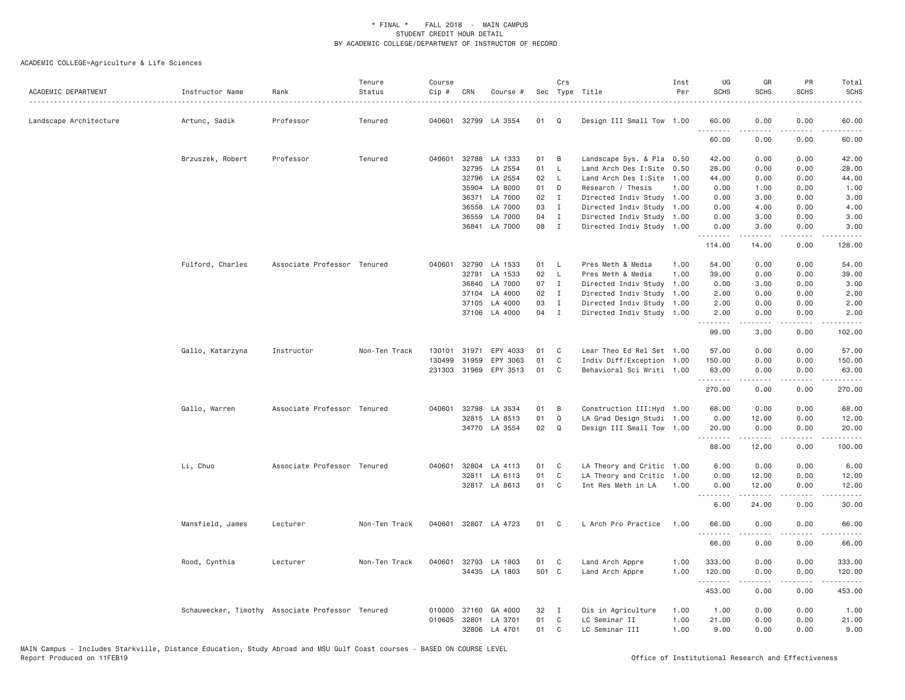| ACADEMIC DEPARTMENT    | Instructor Name                                  | Rank                        | Tenure<br>Status | Course<br>$Cip \#$ | CRN   | Course #              |       | Crs            | Sec Type Title             | Inst<br>Per | UG<br><b>SCHS</b> | GR<br><b>SCHS</b> | PR<br><b>SCHS</b>            | Total<br><b>SCHS</b><br>$\omega$ is $\omega$ in                                                                                                                                           |
|------------------------|--------------------------------------------------|-----------------------------|------------------|--------------------|-------|-----------------------|-------|----------------|----------------------------|-------------|-------------------|-------------------|------------------------------|-------------------------------------------------------------------------------------------------------------------------------------------------------------------------------------------|
| Landscape Architecture | Artunc, Sadik                                    | Professor                   | Tenured          | 040601             |       | 32799 LA 3554         | 01    | Q              | Design III Small Tow 1.00  |             | 60.00<br><u>.</u> | 0.00              | 0.00                         | 60.00<br>.                                                                                                                                                                                |
|                        |                                                  |                             |                  |                    |       |                       |       |                |                            |             | 60.00             | 0.00              | 0.00                         | 60.00                                                                                                                                                                                     |
|                        | Brzuszek, Robert                                 | Professor                   | Tenured          | 040601             | 32788 | LA 1333               | 01    | B              | Landscape Sys. & Pla 0.50  |             | 42.00             | 0.00              | 0.00                         | 42.00                                                                                                                                                                                     |
|                        |                                                  |                             |                  |                    |       | 32795 LA 2554         | 01    | L.             | Land Arch Des I:Site 0.50  |             | 28.00             | 0.00              | 0.00                         | 28.00                                                                                                                                                                                     |
|                        |                                                  |                             |                  |                    | 32796 | LA 2554               | 02    | L.             | Land Arch Des I:Site       | 1.00        | 44.00             | 0.00              | 0.00                         | 44.00                                                                                                                                                                                     |
|                        |                                                  |                             |                  |                    |       | 35904 LA 8000         | 01    | D              | Research / Thesis          | 1.00        | 0.00              | 1.00              | 0.00                         | 1.00                                                                                                                                                                                      |
|                        |                                                  |                             |                  |                    | 36371 | LA 7000               | 02    | $\mathbf{I}$   | Directed Indiv Study 1.00  |             | 0.00              | 3.00              | 0.00                         | 3.00                                                                                                                                                                                      |
|                        |                                                  |                             |                  |                    | 36558 | LA 7000               | 03    | $\mathbf{I}$   | Directed Indiv Study 1.00  |             | 0.00              | 4.00              | 0.00                         | 4.00                                                                                                                                                                                      |
|                        |                                                  |                             |                  |                    | 36559 | LA 7000               | 04    | $\mathbf{I}$   | Directed Indiv Study 1.00  |             | 0.00              | 3.00              | 0.00                         | 3.00                                                                                                                                                                                      |
|                        |                                                  |                             |                  |                    |       | 36841 LA 7000         | 08    | $\mathbf{I}$   | Directed Indiv Study 1.00  |             | 0.00<br>.         | 3.00<br><b>.</b>  | 0.00<br>.                    | 3.00                                                                                                                                                                                      |
|                        |                                                  |                             |                  |                    |       |                       |       |                |                            |             | 114.00            | 14.00             | 0.00                         | 128.00                                                                                                                                                                                    |
|                        | Fulford, Charles                                 | Associate Professor Tenured |                  | 040601             |       | 32790 LA 1533         | 01    | $\mathsf{L}$   | Pres Meth & Media          | 1.00        | 54.00             | 0.00              | 0.00                         | 54.00                                                                                                                                                                                     |
|                        |                                                  |                             |                  |                    |       | 32791 LA 1533         | 02    | $\mathsf{L}$   | Pres Meth & Media          | 1.00        | 39.00             | 0.00              | 0.00                         | 39.00                                                                                                                                                                                     |
|                        |                                                  |                             |                  |                    | 36840 | LA 7000               | 07    | $\mathbf{I}$   | Directed Indiv Study       | 1.00        | 0.00              | 3.00              | 0.00                         | 3.00                                                                                                                                                                                      |
|                        |                                                  |                             |                  |                    |       | 37104 LA 4000         | 02    | $\mathbf{I}$   | Directed Indiv Study 1.00  |             | 2.00              | 0.00              | 0.00                         | 2.00                                                                                                                                                                                      |
|                        |                                                  |                             |                  |                    |       | 37105 LA 4000         | 03    | $\mathbf{I}$   | Directed Indiv Study 1.00  |             | 2.00              | 0.00              | 0.00                         | 2.00                                                                                                                                                                                      |
|                        |                                                  |                             |                  |                    |       | 37106 LA 4000         | 04    | $\mathbf{I}$   | Directed Indiv Study 1.00  |             | 2.00              | 0.00              | 0.00                         | 2.00                                                                                                                                                                                      |
|                        |                                                  |                             |                  |                    |       |                       |       |                |                            |             | .<br>99.00        | .<br>3.00         | .<br>0.00                    | $\frac{1}{2} \left( \frac{1}{2} \right) \left( \frac{1}{2} \right) \left( \frac{1}{2} \right) \left( \frac{1}{2} \right) \left( \frac{1}{2} \right) \left( \frac{1}{2} \right)$<br>102.00 |
|                        | Gallo, Katarzyna                                 | Instructor                  | Non-Ten Track    | 130101             | 31971 | EPY 4033              | 01    | C              | Lear Theo Ed Rel Set 1.00  |             | 57.00             | 0.00              | 0.00                         | 57.00                                                                                                                                                                                     |
|                        |                                                  |                             |                  | 130499             | 31959 | EPY 3063              | 01    | C              | Indiv Diff/Exception 1.00  |             | 150.00            | 0.00              | 0.00                         | 150.00                                                                                                                                                                                    |
|                        |                                                  |                             |                  |                    |       | 231303 31969 EPY 3513 | 01    | C              | Behavioral Sci Writi 1.00  |             | 63.00<br>.        | 0.00<br>-----     | 0.00<br>.                    | 63,00<br>$\frac{1}{2} \left( \frac{1}{2} \right) \left( \frac{1}{2} \right) \left( \frac{1}{2} \right) \left( \frac{1}{2} \right) \left( \frac{1}{2} \right)$                             |
|                        |                                                  |                             |                  |                    |       |                       |       |                |                            |             | 270.00            | 0.00              | 0.00                         | 270.00                                                                                                                                                                                    |
|                        | Gallo, Warren                                    | Associate Professor Tenured |                  | 040601             |       | 32798 LA 3534         | 01    | B              | Construction III: Hyd 1.00 |             | 68.00             | 0.00              | 0.00                         | 68.00                                                                                                                                                                                     |
|                        |                                                  |                             |                  |                    | 32815 | LA 8513               | 01    | Q              | LA Grad Design Studi 1.00  |             | 0.00              | 12.00             | 0.00                         | 12.00                                                                                                                                                                                     |
|                        |                                                  |                             |                  |                    |       | 34770 LA 3554         | 02    | Q              | Design III Small Tow 1.00  |             | 20.00             | 0.00              | 0.00                         | 20.00                                                                                                                                                                                     |
|                        |                                                  |                             |                  |                    |       |                       |       |                |                            |             | .<br>88.00        | .<br>12.00        | .<br>0.00                    | 2.2.2.2.2.<br>100.00                                                                                                                                                                      |
|                        | Li, Chuo                                         | Associate Professor Tenured |                  | 040601             |       | 32804 LA 4113         | 01    | C              | LA Theory and Critic 1.00  |             | 6.00              | 0.00              | 0.00                         | 6.00                                                                                                                                                                                      |
|                        |                                                  |                             |                  |                    |       | 32811 LA 6113         | 01    | $\mathbb C$    | LA Theory and Critic       | 1.00        | 0.00              | 12.00             | 0.00                         | 12.00                                                                                                                                                                                     |
|                        |                                                  |                             |                  |                    |       | 32817 LA 8613         | 01    | C              | Int Res Meth in LA         | 1,00        | 0.00              | 12.00             | 0.00                         | 12.00                                                                                                                                                                                     |
|                        |                                                  |                             |                  |                    |       |                       |       |                |                            |             | 6.00              | .<br>24.00        | $\sim$ $\sim$ $\sim$<br>0.00 | المستبدا<br>30.00                                                                                                                                                                         |
|                        | Mansfield, James                                 | Lecturer                    | Non-Ten Track    |                    |       | 040601 32807 LA 4723  | 01    | C              | L Arch Pro Practice        | 1.00        | 66.00             | 0.00              | 0.00                         | 66.00                                                                                                                                                                                     |
|                        |                                                  |                             |                  |                    |       |                       |       |                |                            |             | <u>.</u><br>66.00 | 0.00              | 0.00                         | .<br>66.00                                                                                                                                                                                |
|                        | Rood, Cynthia                                    | Lecturer                    | Non-Ten Track    | 040601             |       | 32793 LA 1803         | 01    | C              | Land Arch Appre            | 1.00        | 333.00            | 0.00              | 0.00                         | 333.00                                                                                                                                                                                    |
|                        |                                                  |                             |                  |                    |       | 34435 LA 1803         | 501 C |                | Land Arch Appre            | 1.00        | 120.00            | 0.00              | 0.00                         | 120.00                                                                                                                                                                                    |
|                        |                                                  |                             |                  |                    |       |                       |       |                |                            |             | .                 | -----             | .                            | .                                                                                                                                                                                         |
|                        |                                                  |                             |                  |                    |       |                       |       |                |                            |             | 453.00            | 0.00              | 0.00                         | 453.00                                                                                                                                                                                    |
|                        | Schauwecker, Timothy Associate Professor Tenured |                             |                  |                    |       | 010000 37160 GA 4000  | 32    | $\blacksquare$ | Dis in Agriculture         | 1.00        | 1.00              | 0.00              | 0.00                         | 1.00                                                                                                                                                                                      |
|                        |                                                  |                             |                  | 010605             | 32801 | LA 3701               | 01    | C              | LC Seminar II              | 1.00        | 21.00             | 0.00              | 0.00                         | 21.00                                                                                                                                                                                     |
|                        |                                                  |                             |                  |                    |       | 32806 LA 4701         | 01    | C              | LC Seminar III             | 1.00        | 9.00              | 0.00              | 0.00                         | 9.00                                                                                                                                                                                      |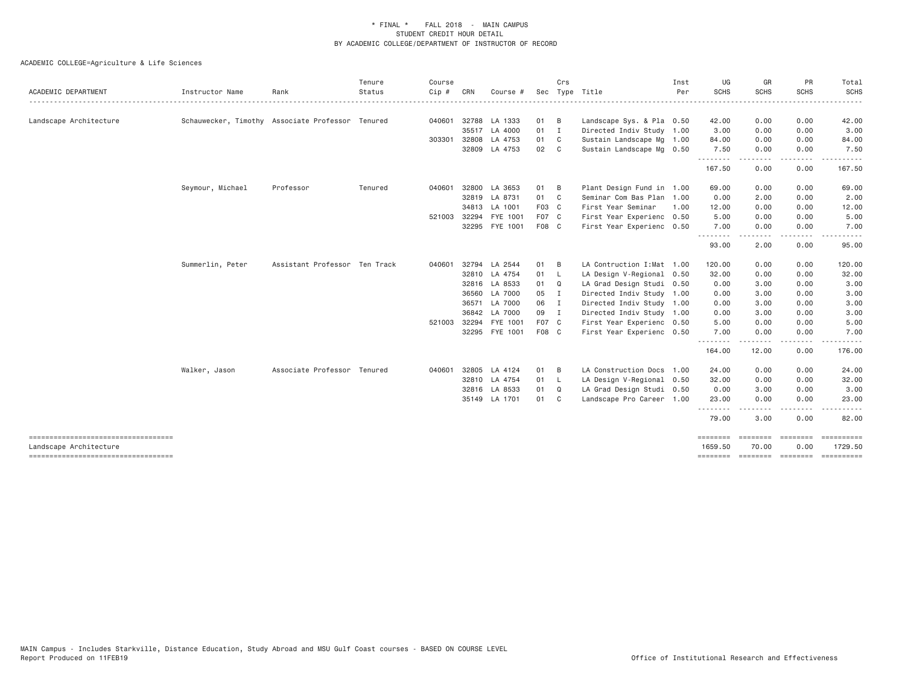| ACADEMIC DEPARTMENT                                            | Instructor Name  | Rank                                             | Tenure<br>Status | Course<br>Cip # | CRN          | Course #       |       | Crs            | Sec Type Title             | Inst<br>Per | UG<br>SCHS          | GR<br><b>SCHS</b>                                                                                                                 | PR<br><b>SCHS</b>                                                                                                                 | Total<br>SCHS         |
|----------------------------------------------------------------|------------------|--------------------------------------------------|------------------|-----------------|--------------|----------------|-------|----------------|----------------------------|-------------|---------------------|-----------------------------------------------------------------------------------------------------------------------------------|-----------------------------------------------------------------------------------------------------------------------------------|-----------------------|
|                                                                |                  |                                                  |                  |                 |              |                |       |                |                            |             |                     |                                                                                                                                   |                                                                                                                                   |                       |
| Landscape Architecture                                         |                  | Schauwecker, Timothy Associate Professor Tenured |                  | 040601          |              | 32788 LA 1333  | 01    | B              | Landscape Sys. & Pla 0.50  |             | 42.00               | 0.00                                                                                                                              | 0.00                                                                                                                              | 42.00                 |
|                                                                |                  |                                                  |                  |                 |              | 35517 LA 4000  | 01 I  |                | Directed Indiv Study 1.00  |             | 3.00                | 0.00                                                                                                                              | 0.00                                                                                                                              | 3.00                  |
|                                                                |                  |                                                  |                  | 303301          |              | 32808 LA 4753  | 01    | $\mathbf{C}$   | Sustain Landscape Mg 1.00  |             | 84.00               | 0.00                                                                                                                              | 0.00                                                                                                                              | 84.00                 |
|                                                                |                  |                                                  |                  |                 |              | 32809 LA 4753  | 02    | $\mathbf{C}$   | Sustain Landscape Mg 0.50  |             | 7.50<br>.           | 0.00<br>$\frac{1}{2} \left( \frac{1}{2} \right) \left( \frac{1}{2} \right) \left( \frac{1}{2} \right) \left( \frac{1}{2} \right)$ | 0.00<br>$\frac{1}{2} \left( \frac{1}{2} \right) \left( \frac{1}{2} \right) \left( \frac{1}{2} \right) \left( \frac{1}{2} \right)$ | 7.50                  |
|                                                                |                  |                                                  |                  |                 |              |                |       |                |                            |             | 167.50              | 0.00                                                                                                                              | 0.00                                                                                                                              | 167.50                |
|                                                                | Seymour, Michael | Professor                                        | Tenured          | 040601          |              | 32800 LA 3653  | 01    | B              | Plant Design Fund in 1.00  |             | 69.00               | 0.00                                                                                                                              | 0.00                                                                                                                              | 69.00                 |
|                                                                |                  |                                                  |                  |                 |              | 32819 LA 8731  | 01 C  |                | Seminar Com Bas Plan 1.00  |             | 0.00                | 2.00                                                                                                                              | 0.00                                                                                                                              | 2.00                  |
|                                                                |                  |                                                  |                  |                 |              | 34813 LA 1001  | F03 C |                | First Year Seminar         | 1.00        | 12.00               | 0.00                                                                                                                              | 0.00                                                                                                                              | 12.00                 |
|                                                                |                  |                                                  |                  |                 | 521003 32294 | FYE 1001       | F07 C |                | First Year Experienc 0.50  |             | 5.00                | 0.00                                                                                                                              | 0.00                                                                                                                              | 5.00                  |
|                                                                |                  |                                                  |                  |                 |              | 32295 FYE 1001 | F08 C |                | First Year Experienc 0.50  |             | 7.00                | 0.00                                                                                                                              | 0.00                                                                                                                              | 7.00                  |
|                                                                |                  |                                                  |                  |                 |              |                |       |                |                            |             | .<br>93.00          | .<br>2.00                                                                                                                         | $\cdots$<br>0.00                                                                                                                  | -----<br>95.00        |
|                                                                | Summerlin, Peter | Assistant Professor Ten Track                    |                  | 040601          |              | 32794 LA 2544  | 01    | B              | LA Contruction I: Mat 1.00 |             | 120.00              | 0.00                                                                                                                              | 0.00                                                                                                                              | 120.00                |
|                                                                |                  |                                                  |                  |                 |              | 32810 LA 4754  | 01 L  |                | LA Design V-Regional 0.50  |             | 32.00               | 0.00                                                                                                                              | 0.00                                                                                                                              | 32.00                 |
|                                                                |                  |                                                  |                  |                 |              | 32816 LA 8533  | 01    | Q              | LA Grad Design Studi 0.50  |             | 0.00                | 3.00                                                                                                                              | 0.00                                                                                                                              | 3.00                  |
|                                                                |                  |                                                  |                  |                 |              | 36560 LA 7000  | 05    | $\blacksquare$ | Directed Indiv Study 1.00  |             | 0.00                | 3.00                                                                                                                              | 0.00                                                                                                                              | 3.00                  |
|                                                                |                  |                                                  |                  |                 |              | 36571 LA 7000  | 06 I  |                | Directed Indiv Study 1.00  |             | 0.00                | 3.00                                                                                                                              | 0.00                                                                                                                              | 3.00                  |
|                                                                |                  |                                                  |                  |                 |              | 36842 LA 7000  | 09 I  |                | Directed Indiv Study 1.00  |             | 0.00                | 3.00                                                                                                                              | 0.00                                                                                                                              | 3.00                  |
|                                                                |                  |                                                  |                  | 521003 32294    |              | FYE 1001       | F07 C |                | First Year Experienc 0.50  |             | 5.00                | 0.00                                                                                                                              | 0.00                                                                                                                              | 5.00                  |
|                                                                |                  |                                                  |                  |                 |              | 32295 FYE 1001 | F08 C |                | First Year Experienc 0.50  |             | 7.00                | 0.00                                                                                                                              | 0.00<br>$\frac{1}{2}$                                                                                                             | 7.00<br>.             |
|                                                                |                  |                                                  |                  |                 |              |                |       |                |                            |             | .<br>164.00         | 12.00                                                                                                                             | 0.00                                                                                                                              | 176.00                |
|                                                                | Walker, Jason    | Associate Professor Tenured                      |                  | 040601          |              | 32805 LA 4124  | 01    | B              | LA Construction Docs 1.00  |             | 24.00               | 0.00                                                                                                                              | 0.00                                                                                                                              | 24.00                 |
|                                                                |                  |                                                  |                  |                 |              | 32810 LA 4754  | 01 L  |                | LA Design V-Regional 0.50  |             | 32.00               | 0.00                                                                                                                              | 0.00                                                                                                                              | 32.00                 |
|                                                                |                  |                                                  |                  |                 |              | 32816 LA 8533  | 01    | Q              | LA Grad Design Studi 0.50  |             | 0.00                | 3.00                                                                                                                              | 0.00                                                                                                                              | 3.00                  |
|                                                                |                  |                                                  |                  |                 |              | 35149 LA 1701  | 01    | C              | Landscape Pro Career 1.00  |             | 23.00               | 0.00                                                                                                                              | 0.00                                                                                                                              | 23.00                 |
|                                                                |                  |                                                  |                  |                 |              |                |       |                |                            |             | <u>.</u><br>79.00   | .<br>3.00                                                                                                                         | .<br>0.00                                                                                                                         | .<br>82.00            |
|                                                                |                  |                                                  |                  |                 |              |                |       |                |                            |             | ========            | <b>ESSESSE</b>                                                                                                                    | ========                                                                                                                          |                       |
| Landscape Architecture<br>------------------------------------ |                  |                                                  |                  |                 |              |                |       |                |                            |             | 1659.50<br>======== | 70.00                                                                                                                             | 0.00<br>economic concerne                                                                                                         | 1729.50<br>========== |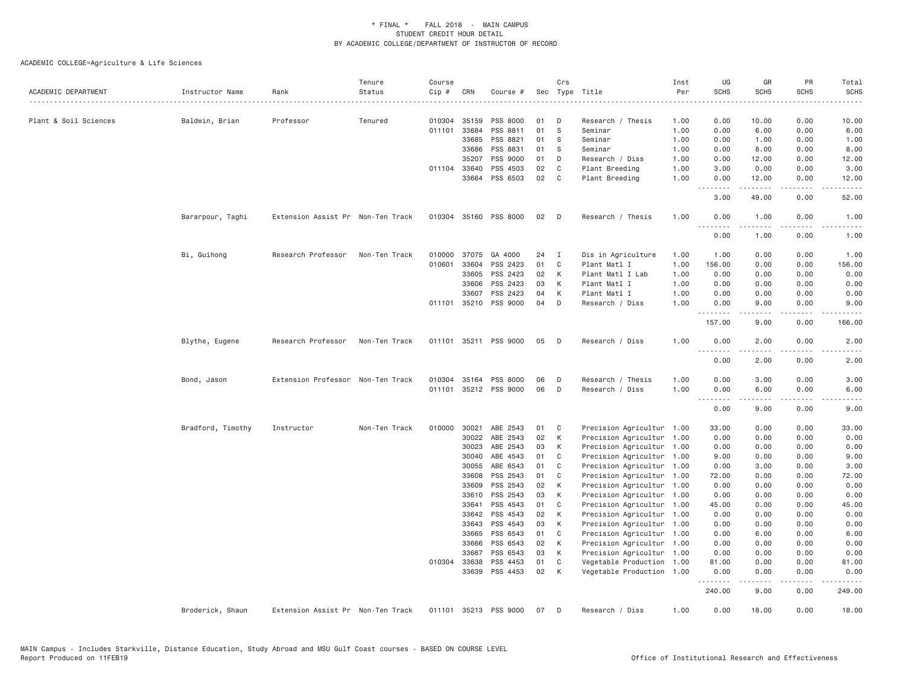| ACADEMIC DEPARTMENT   | Instructor Name   | Rank                              | Tenure<br>Status | Course<br>Cip # | CRN          | Course #              |    | Crs          | Sec Type Title            | Inst<br>Per<br>. | UG<br><b>SCHS</b><br>$- - - - -$ | GR<br>SCHS                               | PR<br><b>SCHS</b><br>.              | Total<br><b>SCHS</b><br>$\frac{1}{2} \left( \frac{1}{2} \right) \left( \frac{1}{2} \right) \left( \frac{1}{2} \right) \left( \frac{1}{2} \right)$ |
|-----------------------|-------------------|-----------------------------------|------------------|-----------------|--------------|-----------------------|----|--------------|---------------------------|------------------|----------------------------------|------------------------------------------|-------------------------------------|---------------------------------------------------------------------------------------------------------------------------------------------------|
| Plant & Soil Sciences | Baldwin, Brian    | Professor                         | Tenured          | 010304          | 35159        | PSS 8000              | 01 | D            | Research / Thesis         | 1.00             | 0.00                             | 10.00                                    | 0.00                                | 10.00                                                                                                                                             |
|                       |                   |                                   |                  | 011101          | 33684        | PSS 8811              | 01 | S            | Seminar                   | 1.00             | 0.00                             | 6.00                                     | 0.00                                | 6.00                                                                                                                                              |
|                       |                   |                                   |                  |                 | 33685        | PSS 8821              | 01 | S            | Seminar                   | 1.00             | 0.00                             | 1.00                                     | 0.00                                | 1.00                                                                                                                                              |
|                       |                   |                                   |                  |                 | 33686        | PSS 8831              | 01 | S            | Seminar                   | 1.00             | 0.00                             | 8.00                                     | 0.00                                | 8.00                                                                                                                                              |
|                       |                   |                                   |                  |                 | 35207        | PSS 9000              | 01 | D            | Research / Diss           | 1.00             | 0.00                             | 12.00                                    | 0.00                                | 12.00                                                                                                                                             |
|                       |                   |                                   |                  |                 | 011104 33640 | PSS 4503              | 02 | C            | Plant Breeding            | 1.00             | 3.00                             | 0.00                                     | 0.00                                | 3.00                                                                                                                                              |
|                       |                   |                                   |                  |                 | 33664        | PSS 6503              | 02 | C            | Plant Breeding            | 1.00             | 0.00                             | 12.00                                    | 0.00                                | 12.00                                                                                                                                             |
|                       |                   |                                   |                  |                 |              |                       |    |              |                           |                  | .<br>3.00                        | .<br>49.00                               | $\sim$ $\sim$ $\sim$ $\sim$<br>0.00 | $\omega$ is $\omega$ in<br>52.00                                                                                                                  |
|                       | Bararpour, Taghi  | Extension Assist Pr Non-Ten Track |                  |                 |              | 010304 35160 PSS 8000 | 02 | $\mathsf{D}$ | Research / Thesis         | 1.00             | 0.00                             | 1.00                                     | 0.00                                | 1.00                                                                                                                                              |
|                       |                   |                                   |                  |                 |              |                       |    |              |                           |                  | .<br>0.00                        | .<br>1.00                                | .<br>0.00                           | المناسبات<br>1.00                                                                                                                                 |
|                       | Bi, Guihong       | Research Professor                | Non-Ten Track    | 010000          | 37075        | GA 4000               | 24 | $\mathbf{I}$ | Dis in Agriculture        | 1.00             | 1.00                             | 0.00                                     | 0.00                                | 1.00                                                                                                                                              |
|                       |                   |                                   |                  | 010601          | 33604        | PSS 2423              | 01 | C            | Plant Matl I              | 1.00             | 156.00                           | 0.00                                     | 0.00                                | 156.00                                                                                                                                            |
|                       |                   |                                   |                  |                 | 33605        | PSS 2423              | 02 | К            | Plant Matl I Lab          | 1.00             | 0.00                             | 0.00                                     | 0.00                                | 0.00                                                                                                                                              |
|                       |                   |                                   |                  |                 | 33606        | PSS 2423              | 03 | К            | Plant Matl I              | 1.00             | 0.00                             | 0.00                                     | 0.00                                | 0.00                                                                                                                                              |
|                       |                   |                                   |                  |                 | 33607        | PSS 2423              | 04 | K            | Plant Matl I              | 1.00             | 0.00                             | 0.00                                     | 0.00                                | 0.00                                                                                                                                              |
|                       |                   |                                   |                  |                 |              | 011101 35210 PSS 9000 | 04 | D            | Research / Diss           | 1.00             | 0.00                             | 9.00                                     | 0.00                                | 9.00                                                                                                                                              |
|                       |                   |                                   |                  |                 |              |                       |    |              |                           |                  | .<br>157.00                      | 9.00                                     | $\sim$ $\sim$ $\sim$ $\sim$<br>0.00 | 166.00                                                                                                                                            |
|                       | Blythe, Eugene    | Research Professor                | Non-Ten Track    |                 |              | 011101 35211 PSS 9000 | 05 | D            | Research / Diss           | 1.00             | 0.00                             | 2.00                                     | 0.00                                | 2.00                                                                                                                                              |
|                       |                   |                                   |                  |                 |              |                       |    |              |                           |                  | .<br>0.00                        | $\omega$ is $\omega$ in $\omega$<br>2.00 | .<br>0.00                           | $- - - - -$<br>2.00                                                                                                                               |
|                       | Bond, Jason       | Extension Professor Non-Ten Track |                  | 010304          | 35164        | PSS 8000              | 06 | D            | Research / Thesis         | 1.00             | 0.00                             | 3.00                                     | 0.00                                | 3.00                                                                                                                                              |
|                       |                   |                                   |                  | 011101          |              | 35212 PSS 9000        | 06 | D            | Research / Diss           | 1.00             | 0.00                             | 6.00                                     | 0.00                                | 6.00                                                                                                                                              |
|                       |                   |                                   |                  |                 |              |                       |    |              |                           |                  | .                                | .                                        | $\sim$ $\sim$ $\sim$ $\sim$         | -----                                                                                                                                             |
|                       |                   |                                   |                  |                 |              |                       |    |              |                           |                  | 0.00                             | 9.00                                     | 0.00                                | 9.00                                                                                                                                              |
|                       | Bradford, Timothy | Instructor                        | Non-Ten Track    | 010000          | 30021        | ABE 2543              | 01 | C            | Precision Agricultur 1.00 |                  | 33.00                            | 0.00                                     | 0.00                                | 33.00                                                                                                                                             |
|                       |                   |                                   |                  |                 | 30022        | ABE 2543              | 02 | K            | Precision Agricultur 1.00 |                  | 0.00                             | 0.00                                     | 0.00                                | 0.00                                                                                                                                              |
|                       |                   |                                   |                  |                 | 30023        | ABE 2543              | 03 | К            | Precision Agricultur 1.00 |                  | 0.00                             | 0.00                                     | 0.00                                | 0.00                                                                                                                                              |
|                       |                   |                                   |                  |                 | 30040        | ABE 4543              | 01 | C            | Precision Agricultur 1.00 |                  | 9.00                             | 0.00                                     | 0.00                                | 9.00                                                                                                                                              |
|                       |                   |                                   |                  |                 | 30055        | ABE 6543              | 01 | C            | Precision Agricultur      | 1.00             | 0.00                             | 3.00                                     | 0.00                                | 3.00                                                                                                                                              |
|                       |                   |                                   |                  |                 | 33608        | PSS 2543              | 01 | C            | Precision Agricultur 1.00 |                  | 72.00                            | 0.00                                     | 0.00                                | 72.00                                                                                                                                             |
|                       |                   |                                   |                  |                 | 33609        | PSS 2543              | 02 | К            | Precision Agricultur 1.00 |                  | 0.00                             | 0.00                                     | 0.00                                | 0.00                                                                                                                                              |
|                       |                   |                                   |                  |                 | 33610        | PSS 2543              | 03 | K            | Precision Agricultur      | 1.00             | 0.00                             | 0.00                                     | 0.00                                | 0.00                                                                                                                                              |
|                       |                   |                                   |                  |                 | 33641        | PSS 4543              | 01 | C            | Precision Agricultur 1.00 |                  | 45.00                            | 0.00                                     | 0.00                                | 45.00                                                                                                                                             |
|                       |                   |                                   |                  |                 | 33642        | PSS 4543              | 02 | К            | Precision Agricultur 1.00 |                  | 0.00                             | 0.00                                     | 0.00                                | 0.00                                                                                                                                              |
|                       |                   |                                   |                  |                 | 33643        | PSS 4543              | 03 | К            | Precision Agricultur      | 1.00             | 0.00                             | 0.00                                     | 0.00                                | 0.00                                                                                                                                              |
|                       |                   |                                   |                  |                 | 33665        | PSS 6543              | 01 | C            | Precision Agricultur 1.00 |                  | 0.00                             | 6.00                                     | 0.00                                | 6.00                                                                                                                                              |
|                       |                   |                                   |                  |                 | 33666        | PSS 6543              | 02 | К            | Precision Agricultur 1.00 |                  | 0.00                             | 0.00                                     | 0.00                                | 0.00                                                                                                                                              |
|                       |                   |                                   |                  |                 | 33667        | PSS 6543              | 03 | К            | Precision Agricultur 1.00 |                  | 0.00                             | 0.00                                     | 0.00                                | 0.00                                                                                                                                              |
|                       |                   |                                   |                  |                 | 010304 33638 | PSS 4453              | 01 | C            | Vegetable Production      | 1.00             | 81.00                            | 0.00                                     | 0.00                                | 81.00                                                                                                                                             |
|                       |                   |                                   |                  |                 |              | 33639 PSS 4453        | 02 | K            | Vegetable Production 1.00 |                  | 0.00                             | 0.00                                     | 0.00                                | 0.00                                                                                                                                              |
|                       |                   |                                   |                  |                 |              |                       |    |              |                           |                  | <b></b><br>240.00                | $- - - - -$<br>9.00                      | .<br>0.00                           | .<br>249.00                                                                                                                                       |
|                       |                   |                                   |                  |                 |              | 35213 PSS 9000        |    |              |                           |                  |                                  |                                          | 0.00                                |                                                                                                                                                   |
|                       | Broderick, Shaun  | Extension Assist Pr Non-Ten Track |                  | 011101          |              |                       | 07 | D            | Research / Diss           | 1.00             | 0.00                             | 18.00                                    |                                     | 18.00                                                                                                                                             |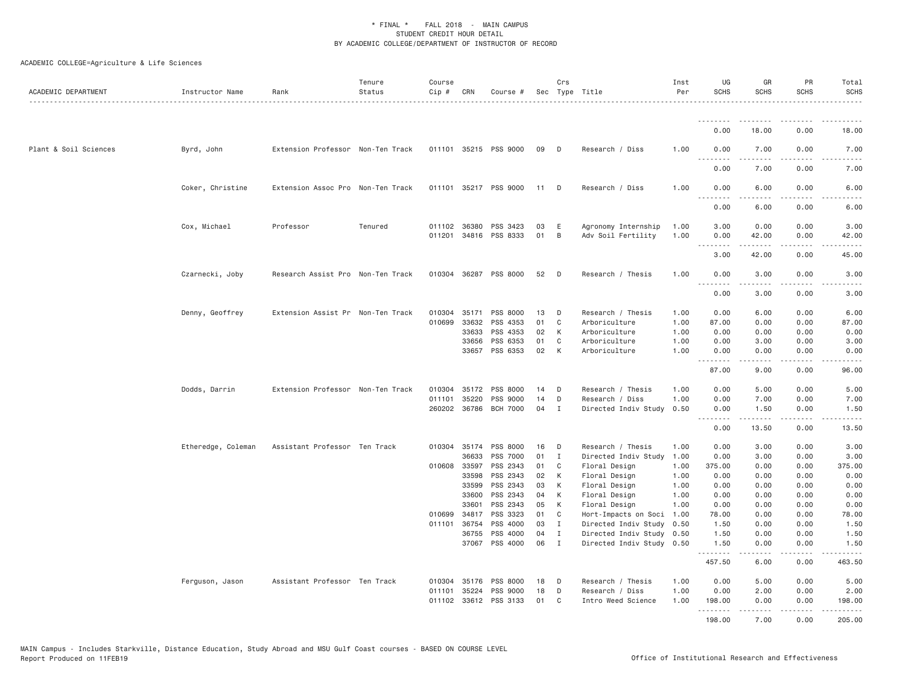| ACADEMIC DEPARTMENT   | Instructor Name    | Rank                              | Tenure<br>Status | Course<br>Cip # | CRN          | Course #              |      | Crs          | Sec Type Title            | Inst<br>Per | UG<br><b>SCHS</b> | GR<br><b>SCHS</b>                                                                                                                                                                       | PR<br><b>SCHS</b> | Total<br><b>SCHS</b>  |
|-----------------------|--------------------|-----------------------------------|------------------|-----------------|--------------|-----------------------|------|--------------|---------------------------|-------------|-------------------|-----------------------------------------------------------------------------------------------------------------------------------------------------------------------------------------|-------------------|-----------------------|
|                       |                    |                                   |                  |                 |              |                       |      |              |                           |             | <u>.</u>          |                                                                                                                                                                                         |                   |                       |
|                       |                    |                                   |                  |                 |              |                       |      |              |                           |             | 0.00              | 18.00                                                                                                                                                                                   | 0.00              | 18.00                 |
| Plant & Soil Sciences | Byrd, John         | Extension Professor Non-Ten Track |                  |                 |              | 011101 35215 PSS 9000 | 09   | D            | Research / Diss           | 1.00        | 0.00<br>.         | 7.00<br>$\frac{1}{2} \left( \frac{1}{2} \right) \left( \frac{1}{2} \right) \left( \frac{1}{2} \right) \left( \frac{1}{2} \right) \left( \frac{1}{2} \right)$                            | 0.00<br>$- - - -$ | 7.00<br>$\frac{1}{2}$ |
|                       |                    |                                   |                  |                 |              |                       |      |              |                           |             | 0.00              | 7.00                                                                                                                                                                                    | 0.00              | 7.00                  |
|                       | Coker, Christine   | Extension Assoc Pro Non-Ten Track |                  |                 |              | 011101 35217 PSS 9000 | 11 D |              | Research / Diss           | 1,00        | 0.00<br>.         | 6.00<br>$- - - - -$                                                                                                                                                                     | 0.00<br>.         | 6.00                  |
|                       |                    |                                   |                  |                 |              |                       |      |              |                           |             | 0.00              | 6.00                                                                                                                                                                                    | 0.00              | 6.00                  |
|                       | Cox, Michael       | Professor                         | Tenured          |                 | 011102 36380 | PSS 3423              | 03   | E            | Agronomy Internship       | 1.00        | 3.00              | 0.00                                                                                                                                                                                    | 0.00              | 3.00                  |
|                       |                    |                                   |                  |                 | 011201 34816 | PSS 8333              | 01   | B            | Adv Soil Fertility        | 1.00        | 0.00<br>.         | 42.00                                                                                                                                                                                   | 0.00              | 42.00                 |
|                       |                    |                                   |                  |                 |              |                       |      |              |                           |             | 3.00              | 42.00                                                                                                                                                                                   | 0.00              | 45.00                 |
|                       | Czarnecki, Joby    | Research Assist Pro Non-Ten Track |                  |                 |              | 010304 36287 PSS 8000 | 52   | D            | Research / Thesis         | 1.00        | 0.00<br>.         | 3.00<br>$\frac{1}{2} \left( \frac{1}{2} \right) \left( \frac{1}{2} \right) \left( \frac{1}{2} \right) \left( \frac{1}{2} \right) \left( \frac{1}{2} \right) \left( \frac{1}{2} \right)$ | 0.00<br>$- - - -$ | 3.00                  |
|                       |                    |                                   |                  |                 |              |                       |      |              |                           |             | 0.00              | 3.00                                                                                                                                                                                    | 0.00              | 3.00                  |
|                       | Denny, Geoffrey    | Extension Assist Pr Non-Ten Track |                  | 010304          | 35171        | PSS 8000              | 13   | D            | Research / Thesis         | 1.00        | 0.00              | 6.00                                                                                                                                                                                    | 0.00              | 6.00                  |
|                       |                    |                                   |                  | 010699          | 33632        | PSS 4353              | 01   | C            | Arboriculture             | 1.00        | 87.00             | 0.00                                                                                                                                                                                    | 0.00              | 87.00                 |
|                       |                    |                                   |                  |                 | 33633        | PSS 4353              | 02   | К            | Arboriculture             | 1.00        | 0.00              | 0.00                                                                                                                                                                                    | 0.00              | 0.00                  |
|                       |                    |                                   |                  |                 | 33656        | PSS 6353              | 01   | C            | Arboriculture             | 1.00        | 0.00              | 3.00                                                                                                                                                                                    | 0.00              | 3.00                  |
|                       |                    |                                   |                  |                 | 33657        | PSS 6353              | 02   | K            | Arboriculture             | 1.00        | 0.00              | 0.00                                                                                                                                                                                    | 0.00              | 0.00                  |
|                       |                    |                                   |                  |                 |              |                       |      |              |                           |             | .<br>87.00        | .<br>9.00                                                                                                                                                                               | .<br>0.00         | .<br>96.00            |
|                       | Dodds, Darrin      | Extension Professor Non-Ten Track |                  | 010304          | 35172        | PSS 8000              | 14   | D            | Research / Thesis         | 1.00        | 0.00              | 5.00                                                                                                                                                                                    | 0.00              | 5.00                  |
|                       |                    |                                   |                  | 011101          | 35220        | PSS 9000              | 14   | D            | Research / Diss           | 1.00        | 0.00              | 7.00                                                                                                                                                                                    | 0.00              | 7.00                  |
|                       |                    |                                   |                  |                 | 260202 36786 | <b>BCH 7000</b>       | 04   | $\mathbf I$  | Directed Indiv Study      | 0.50        | 0.00<br>.         | 1.50<br>.                                                                                                                                                                               | 0.00<br>.         | 1.50<br>.             |
|                       |                    |                                   |                  |                 |              |                       |      |              |                           |             | 0.00              | 13.50                                                                                                                                                                                   | 0.00              | 13.50                 |
|                       | Etheredge, Coleman | Assistant Professor Ten Track     |                  | 010304          | 35174        | PSS 8000              | 16   | D            | Research / Thesis         | 1.00        | 0.00              | 3.00                                                                                                                                                                                    | 0.00              | 3.00                  |
|                       |                    |                                   |                  |                 | 36633        | PSS 7000              | 01   | $\mathbf I$  | Directed Indiv Study      | 1.00        | 0.00              | 3.00                                                                                                                                                                                    | 0.00              | 3.00                  |
|                       |                    |                                   |                  |                 | 010608 33597 | PSS 2343              | 01   | C            | Floral Design             | 1.00        | 375.00            | 0.00                                                                                                                                                                                    | 0.00              | 375.00                |
|                       |                    |                                   |                  |                 | 33598        | PSS 2343              | 02   | К            | Floral Design             | 1.00        | 0.00              | 0.00                                                                                                                                                                                    | 0.00              | 0.00                  |
|                       |                    |                                   |                  |                 | 33599        | PSS 2343              | 03   | К            | Floral Design             | 1.00        | 0.00              | 0.00                                                                                                                                                                                    | 0.00              | 0.00                  |
|                       |                    |                                   |                  |                 | 33600        | PSS 2343              | 04   | К            | Floral Design             | 1.00        | 0.00              | 0.00                                                                                                                                                                                    | 0.00              | 0.00                  |
|                       |                    |                                   |                  |                 | 33601        | PSS 2343              | 05   | К            | Floral Design             | 1.00        | 0.00              | 0.00                                                                                                                                                                                    | 0.00              | 0.00                  |
|                       |                    |                                   |                  | 010699          | 34817        | PSS 3323              | 01   | C            | Hort-Impacts on Soci      | 1.00        | 78.00             | 0.00                                                                                                                                                                                    | 0.00              | 78.00                 |
|                       |                    |                                   |                  |                 | 011101 36754 | PSS 4000              | 03   | I            | Directed Indiv Study      | 0.50        | 1.50              | 0.00                                                                                                                                                                                    | 0.00              | 1.50                  |
|                       |                    |                                   |                  |                 | 36755        | PSS 4000              | 04   | $\mathbf I$  | Directed Indiv Study 0.50 |             | 1.50              | 0.00                                                                                                                                                                                    | 0.00              | 1.50                  |
|                       |                    |                                   |                  |                 | 37067        | PSS 4000              | 06   | $\mathbf{I}$ | Directed Indiv Study      | 0.50        | 1.50<br>.         | 0.00                                                                                                                                                                                    | 0.00              | 1.50                  |
|                       |                    |                                   |                  |                 |              |                       |      |              |                           |             | 457.50            | 6.00                                                                                                                                                                                    | 0.00              | 463.50                |
|                       | Ferguson, Jason    | Assistant Professor Ten Track     |                  |                 | 010304 35176 | <b>PSS 8000</b>       | 18   | D            | Research / Thesis         | 1.00        | 0.00              | 5.00                                                                                                                                                                                    | 0.00              | 5.00                  |
|                       |                    |                                   |                  | 011101          | 35224        | PSS 9000              | 18   | D            | Research / Diss           | 1.00        | 0.00              | 2.00                                                                                                                                                                                    | 0.00              | 2.00                  |
|                       |                    |                                   |                  | 011102          | 33612        | PSS 3133              | 01   | C            | Intro Weed Science        | 1.00        | 198.00<br>.       | 0.00<br>$\frac{1}{2} \left( \frac{1}{2} \right) \left( \frac{1}{2} \right) \left( \frac{1}{2} \right) \left( \frac{1}{2} \right) \left( \frac{1}{2} \right) \left( \frac{1}{2} \right)$ | 0.00<br>.         | 198.00<br>.           |
|                       |                    |                                   |                  |                 |              |                       |      |              |                           |             | 198.00            | 7.00                                                                                                                                                                                    | 0.00              | 205.00                |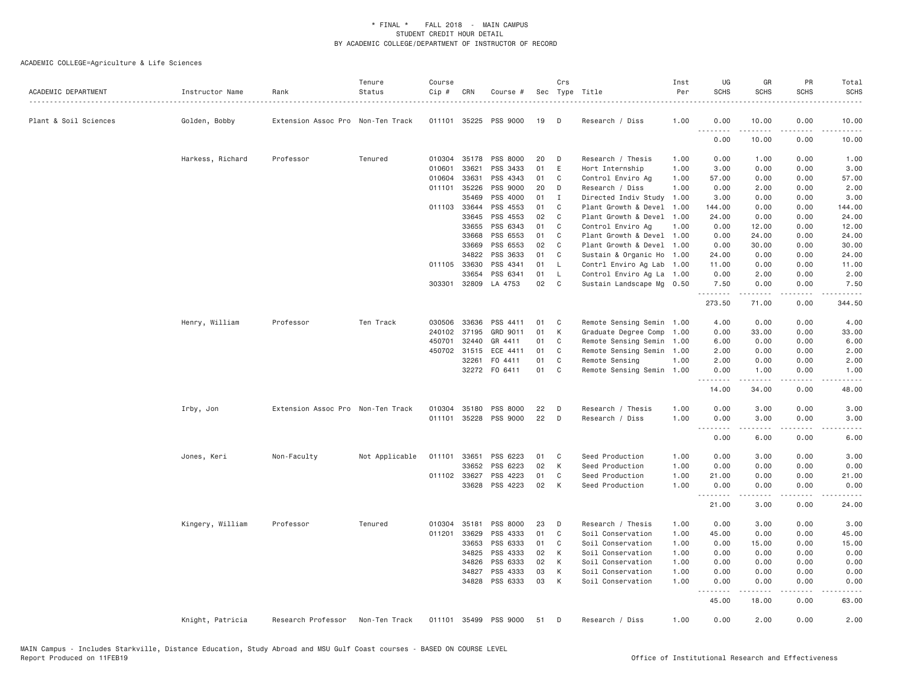| ACADEMIC DEPARTMENT   | Instructor Name  | Rank                              | Tenure<br>Status | Course<br>Cip # | CRN          | Course #              |    | Crs          | Sec Type Title            | Inst<br>Per | UG<br><b>SCHS</b>  | GR<br><b>SCHS</b> | PR<br><b>SCHS</b>                   | Total<br><b>SCHS</b> |
|-----------------------|------------------|-----------------------------------|------------------|-----------------|--------------|-----------------------|----|--------------|---------------------------|-------------|--------------------|-------------------|-------------------------------------|----------------------|
| Plant & Soil Sciences | Golden, Bobby    | Extension Assoc Pro Non-Ten Track |                  |                 |              | 011101 35225 PSS 9000 | 19 | D            | Research / Diss           | 1.00        | 0.00<br>.          | 10.00<br>-----    | 0.00                                | 10.00                |
|                       |                  |                                   |                  |                 |              |                       |    |              |                           |             | 0.00               | 10.00             | 0.00                                | 10.00                |
|                       | Harkess, Richard | Professor                         | Tenured          | 010304          | 35178        | PSS 8000              | 20 | D            | Research / Thesis         | 1.00        | 0.00               | 1.00              | 0.00                                | 1.00                 |
|                       |                  |                                   |                  | 010601          | 33621        | PSS 3433              | 01 | E            | Hort Internship           | 1.00        | 3.00               | 0.00              | 0.00                                | 3.00                 |
|                       |                  |                                   |                  | 010604          | 33631        | PSS 4343              | 01 | C            | Control Enviro Ag         | 1.00        | 57.00              | 0.00              | 0.00                                | 57.00                |
|                       |                  |                                   |                  | 011101          | 35226        | PSS 9000              | 20 | D            | Research / Diss           | 1.00        | 0.00               | 2.00              | 0.00                                | 2.00                 |
|                       |                  |                                   |                  |                 | 35469        | PSS 4000              | 01 | $\mathbf{I}$ | Directed Indiv Study      | 1.00        | 3.00               | 0.00              | 0.00                                | 3.00                 |
|                       |                  |                                   |                  | 011103          | 33644        | PSS 4553              | 01 | C            | Plant Growth & Devel      | 1.00        | 144.00             | 0.00              | 0.00                                | 144.00               |
|                       |                  |                                   |                  |                 | 33645        | PSS 4553              | 02 | C            | Plant Growth & Devel      | 1.00        | 24.00              | 0.00              | 0.00                                | 24.00                |
|                       |                  |                                   |                  |                 | 33655        | PSS 6343              | 01 | C            | Control Enviro Ag         | 1.00        | 0.00               | 12.00             | 0.00                                | 12.00                |
|                       |                  |                                   |                  |                 | 33668        | PSS 6553              | 01 | C            | Plant Growth & Devel 1.00 |             | 0.00               | 24.00             | 0.00                                | 24.00                |
|                       |                  |                                   |                  |                 | 33669        | PSS 6553              | 02 | C            | Plant Growth & Devel 1.00 |             | 0.00               | 30.00             | 0.00                                | 30.00                |
|                       |                  |                                   |                  |                 | 34822        | PSS 3633              | 01 | C            | Sustain & Organic Ho      | 1.00        | 24.00              | 0.00              | 0.00                                | 24.00                |
|                       |                  |                                   |                  | 011105 33630    |              | PSS 4341              | 01 | L            | Contrl Enviro Ag Lab      | 1.00        | 11.00              | 0.00              | 0.00                                | 11.00                |
|                       |                  |                                   |                  |                 | 33654        | PSS 6341              | 01 | L            | Control Enviro Ag La 1.00 |             | 0.00               | 2.00              | 0.00                                | 2.00                 |
|                       |                  |                                   |                  | 303301          | 32809        | LA 4753               | 02 | C            | Sustain Landscape Mg 0.50 |             | 7.50<br><u>.</u>   | 0.00<br><u>.</u>  | 0.00<br>$\sim$ $\sim$ $\sim$ $\sim$ | 7.50<br>.            |
|                       |                  |                                   |                  |                 |              |                       |    |              |                           |             | 273.50             | 71.00             | 0.00                                | 344.50               |
|                       | Henry, William   | Professor                         | Ten Track        |                 | 030506 33636 | PSS 4411              | 01 | C            | Remote Sensing Semin 1.00 |             | 4.00               | 0.00              | 0.00                                | 4.00                 |
|                       |                  |                                   |                  | 240102          | 37195        | GRD 9011              | 01 | К            | Graduate Degree Comp      | 1.00        | 0.00               | 33.00             | 0.00                                | 33.00                |
|                       |                  |                                   |                  | 450701          | 32440        | GR 4411               | 01 | C            | Remote Sensing Semin      | 1.00        | 6.00               | 0.00              | 0.00                                | 6.00                 |
|                       |                  |                                   |                  |                 | 450702 31515 | ECE 4411              | 01 | C            | Remote Sensing Semin      | 1.00        | 2.00               | 0.00              | 0.00                                | 2.00                 |
|                       |                  |                                   |                  |                 | 32261        | FO 4411               | 01 | C            | Remote Sensing            | 1.00        | 2.00               | 0.00              | 0.00                                | 2.00                 |
|                       |                  |                                   |                  |                 |              | 32272 F0 6411         | 01 | C            | Remote Sensing Semin      | 1.00        | 0.00               | 1.00              | 0.00                                | 1.00                 |
|                       |                  |                                   |                  |                 |              |                       |    |              |                           |             | .<br>14.00         | 34.00             | 0.00                                | 48.00                |
|                       |                  | Extension Assoc Pro Non-Ten Track |                  |                 |              | 010304 35180 PSS 8000 | 22 | D            | Research / Thesis         | 1.00        | 0.00               | 3.00              | 0.00                                | 3.00                 |
|                       | Irby, Jon        |                                   |                  |                 |              | 011101 35228 PSS 9000 | 22 | D            | Research / Diss           | 1.00        | 0.00               | 3.00              | 0.00                                | 3.00                 |
|                       |                  |                                   |                  |                 |              |                       |    |              |                           |             | . <i>.</i>         | <b>.</b>          | .                                   | $- - - -$            |
|                       |                  |                                   |                  |                 |              |                       |    |              |                           |             | 0.00               | 6.00              | 0.00                                | 6.00                 |
|                       | Jones, Keri      | Non-Faculty                       | Not Applicable   | 011101          | 33651        | PSS 6223              | 01 | C            | Seed Production           | 1.00        | 0.00               | 3.00              | 0.00                                | 3.00                 |
|                       |                  |                                   |                  |                 | 33652        | PSS 6223              | 02 | K            | Seed Production           | 1.00        | 0.00               | 0.00              | 0.00                                | 0.00                 |
|                       |                  |                                   |                  | 011102 33627    |              | PSS 4223              | 01 | C            | Seed Production           | 1.00        | 21.00              | 0.00              | 0.00                                | 21.00                |
|                       |                  |                                   |                  |                 | 33628        | PSS 4223              | 02 | K            | Seed Production           | 1.00        | 0.00               | 0.00              | 0.00                                | 0.00                 |
|                       |                  |                                   |                  |                 |              |                       |    |              |                           |             | ---------<br>21.00 | -----<br>3.00     | .<br>0.00                           | .<br>24.00           |
|                       | Kingery, William | Professor                         | Tenured          | 010304          | 35181        | PSS 8000              | 23 | D            | Research / Thesis         | 1.00        | 0.00               | 3.00              | 0.00                                | 3.00                 |
|                       |                  |                                   |                  | 011201          | 33629        | PSS 4333              | 01 | C            | Soil Conservation         | 1.00        | 45.00              | 0.00              | 0.00                                | 45.00                |
|                       |                  |                                   |                  |                 | 33653        | PSS 6333              | 01 | C            | Soil Conservation         | 1.00        | 0.00               | 15.00             | 0.00                                | 15.00                |
|                       |                  |                                   |                  |                 | 34825        | PSS 4333              | 02 | К            | Soil Conservation         | 1.00        | 0.00               | 0.00              | 0.00                                | 0.00                 |
|                       |                  |                                   |                  |                 | 34826        | PSS 6333              | 02 | К            | Soil Conservation         | 1.00        | 0.00               | 0.00              | 0.00                                | 0.00                 |
|                       |                  |                                   |                  |                 | 34827        | PSS 4333              | 03 | К            | Soil Conservation         | 1.00        | 0.00               | 0.00              | 0.00                                | 0.00                 |
|                       |                  |                                   |                  |                 | 34828        | PSS 6333              | 03 | К            | Soil Conservation         | 1.00        | 0.00               | 0.00              | 0.00                                | 0.00                 |
|                       |                  |                                   |                  |                 |              |                       |    |              |                           |             | .<br>45.00         | .<br>18.00        | .<br>0.00                           | .<br>63.00           |
|                       | Knight, Patricia | Research Professor                | Non-Ten Track    | 011101          |              | 35499 PSS 9000        | 51 | D            | Research / Diss           | 1.00        | 0.00               | 2.00              | 0.00                                | 2.00                 |
|                       |                  |                                   |                  |                 |              |                       |    |              |                           |             |                    |                   |                                     |                      |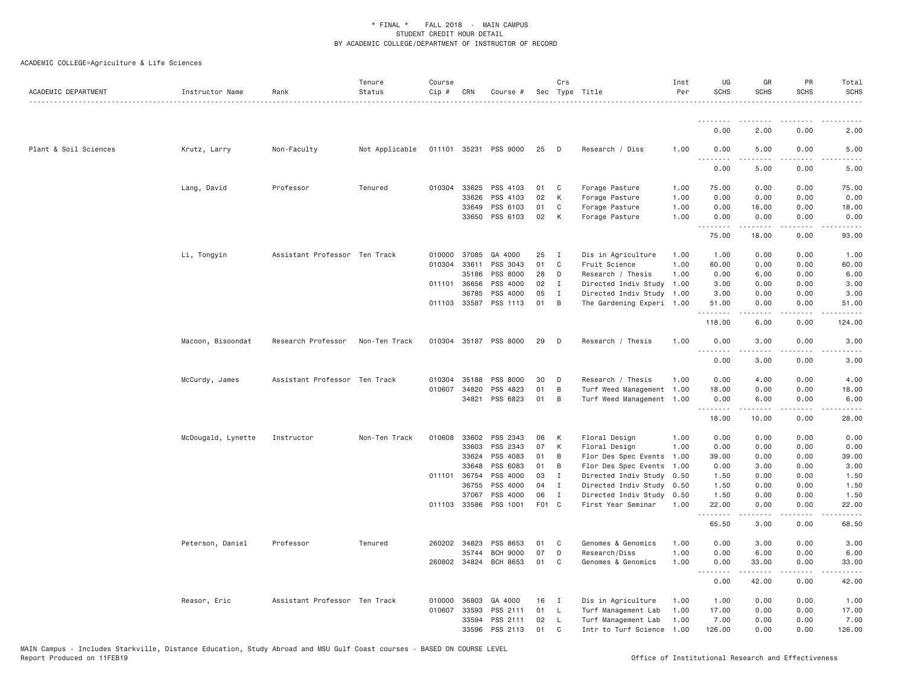| ACADEMIC DEPARTMENT   | Instructor Name    | Rank                          | Tenure<br>Status | Course<br>Cip # | CRN          | Course #              |       | Crs          | Sec Type Title            | Inst<br>Per | UG<br><b>SCHS</b> | GR<br><b>SCHS</b> | PR<br><b>SCHS</b>     | Total<br><b>SCHS</b> |
|-----------------------|--------------------|-------------------------------|------------------|-----------------|--------------|-----------------------|-------|--------------|---------------------------|-------------|-------------------|-------------------|-----------------------|----------------------|
|                       |                    |                               |                  |                 |              |                       |       |              |                           |             | <u>.</u>          |                   |                       |                      |
|                       |                    |                               |                  |                 |              |                       |       |              |                           |             | 0.00              | 2.00              | 0.00                  | 2.00                 |
| Plant & Soil Sciences | Krutz, Larry       | Non-Faculty                   | Not Applicable   |                 |              | 011101 35231 PSS 9000 | 25    | D            | Research / Diss           | 1.00        | 0.00<br>.         | 5.00              | 0.00                  | 5.00                 |
|                       |                    |                               |                  |                 |              |                       |       |              |                           |             | 0.00              | 5.00              | 0.00                  | 5.00                 |
|                       | Lang, David        | Professor                     | Tenured          |                 | 010304 33625 | PSS 4103              | 01    | C            | Forage Pasture            | 1.00        | 75.00             | 0.00              | 0.00                  | 75.00                |
|                       |                    |                               |                  |                 | 33626        | PSS 4103              | 02    | K            | Forage Pasture            | 1.00        | 0.00              | 0.00              | 0.00                  | 0.00                 |
|                       |                    |                               |                  |                 | 33649        | PSS 6103              | 01    | C            | Forage Pasture            | 1.00        | 0.00              | 18.00             | 0.00                  | 18.00                |
|                       |                    |                               |                  |                 | 33650        | PSS 6103              | 02    | K            | Forage Pasture            | 1.00        | 0.00<br>.         | 0.00<br>د د د د د | 0.00<br>.             | 0.00                 |
|                       |                    |                               |                  |                 |              |                       |       |              |                           |             | 75.00             | 18.00             | 0.00                  | 93.00                |
|                       | Li, Tongyin        | Assistant Professor Ten Track |                  | 010000          | 37085        | GA 4000               | 25    | I            | Dis in Agriculture        | 1.00        | 1.00              | 0.00              | 0.00                  | 1.00                 |
|                       |                    |                               |                  |                 | 010304 33611 | PSS 3043              | 01    | $\mathsf{C}$ | Fruit Science             | 1.00        | 60.00             | 0.00              | 0.00                  | 60.00                |
|                       |                    |                               |                  |                 | 35186        | PSS 8000              | 28    | D            | Research / Thesis         | 1.00        | 0.00              | 6.00              | 0.00                  | 6.00                 |
|                       |                    |                               |                  | 011101          | 36656        | PSS 4000              | 02    | I            | Directed Indiv Study      | 1.00        | 3.00              | 0.00              | 0.00                  | 3.00                 |
|                       |                    |                               |                  |                 | 36785        | PSS 4000              | 05    | Ι.           | Directed Indiv Study      | 1.00        | 3.00              | 0.00              | 0.00                  | 3.00                 |
|                       |                    |                               |                  |                 | 011103 33587 | PSS 1113              | 01    | B            | The Gardening Experi 1.00 |             | 51.00<br>.        | 0.00<br>-----     | 0.00<br>.             | 51.00<br>.           |
|                       |                    |                               |                  |                 |              |                       |       |              |                           |             | 118.00            | 6.00              | 0.00                  | 124.00               |
|                       | Macoon, Bisoondat  | Research Professor            | Non-Ten Track    |                 |              | 010304 35187 PSS 8000 | 29    | D            | Research / Thesis         | 1.00        | 0.00<br><u>.</u>  | 3.00<br>.         | 0.00<br>$\frac{1}{2}$ | 3.00<br>$- - - -$    |
|                       |                    |                               |                  |                 |              |                       |       |              |                           |             | 0.00              | 3.00              | 0.00                  | 3.00                 |
|                       | McCurdy, James     | Assistant Professor Ten Track |                  | 010304          | 35188        | PSS 8000              | 30    | D            | Research / Thesis         | 1.00        | 0.00              | 4.00              | 0.00                  | 4.00                 |
|                       |                    |                               |                  | 010607          | 34820        | PSS 4823              | 01    | B            | Turf Weed Management 1.00 |             | 18.00             | 0.00              | 0.00                  | 18.00                |
|                       |                    |                               |                  |                 | 34821        | PSS 6823              | 01    | B            | Turf Weed Management 1.00 |             | 0.00<br>.         | 6.00<br>-----     | 0.00<br>.             | 6.00<br>$\cdots$     |
|                       |                    |                               |                  |                 |              |                       |       |              |                           |             | 18.00             | 10.00             | 0.00                  | 28.00                |
|                       | McDougald, Lynette | Instructor                    | Non-Ten Track    | 010608          | 33602        | PSS 2343              | 06    | К            | Floral Design             | 1.00        | 0.00              | 0.00              | 0.00                  | 0.00                 |
|                       |                    |                               |                  |                 | 33603        | PSS 2343              | 07    | К            | Floral Design             | 1.00        | 0.00              | 0.00              | 0.00                  | 0.00                 |
|                       |                    |                               |                  |                 | 33624        | PSS 4083              | 01    | B            | Flor Des Spec Events      | 1.00        | 39.00             | 0.00              | 0.00                  | 39.00                |
|                       |                    |                               |                  |                 | 33648        | PSS 6083              | 01    | B            | Flor Des Spec Events      | 1.00        | 0.00              | 3.00              | 0.00                  | 3.00                 |
|                       |                    |                               |                  |                 | 011101 36754 | PSS 4000              | 03    | I            | Directed Indiv Study      | 0.50        | 1.50              | 0.00              | 0.00                  | 1.50                 |
|                       |                    |                               |                  |                 | 36755        | PSS 4000              | 04    | I            | Directed Indiv Study      | 0.50        | 1.50              | 0.00              | 0.00                  | 1.50                 |
|                       |                    |                               |                  |                 | 37067        | PSS 4000              | 06    | Ι.           | Directed Indiv Study      | 0.50        | 1.50              | 0.00              | 0.00                  | 1.50                 |
|                       |                    |                               |                  |                 | 011103 33586 | PSS 1001              | F01 C |              | First Year Seminar        | 1.00        | 22.00<br>.        | 0.00<br>2.2.2.2.2 | 0.00<br>.             | 22.00<br>.           |
|                       |                    |                               |                  |                 |              |                       |       |              |                           |             | 65.50             | 3.00              | 0.00                  | 68.50                |
|                       | Peterson, Daniel   | Professor                     | Tenured          |                 | 260202 34823 | PSS 8653              | 01    | C            | Genomes & Genomics        | 1.00        | 0.00              | 3.00              | 0.00                  | 3.00                 |
|                       |                    |                               |                  |                 | 35744        | <b>BCH 9000</b>       | 07    | D            | Research/Diss             | 1.00        | 0.00              | 6.00              | 0.00                  | 6.00                 |
|                       |                    |                               |                  |                 | 260802 34824 | BCH 8653              | 01    | C            | Genomes & Genomics        | 1.00        | 0.00<br><u>.</u>  | 33.00<br>.        | 0.00<br>.             | 33.00<br>.           |
|                       |                    |                               |                  |                 |              |                       |       |              |                           |             | 0.00              | 42.00             | 0.00                  | 42.00                |
|                       | Reasor, Eric       | Assistant Professor Ten Track |                  | 010000          | 36803        | GA 4000               | 16    | I            | Dis in Agriculture        | 1.00        | 1.00              | 0.00              | 0.00                  | 1.00                 |
|                       |                    |                               |                  | 010607          | 33593        | PSS 2111              | 01    | <b>L</b>     | Turf Management Lab       | 1.00        | 17.00             | 0.00              | 0.00                  | 17.00                |
|                       |                    |                               |                  |                 | 33594        | PSS 2111              | 02    | <b>L</b>     | Turf Management Lab       | 1.00        | 7.00              | 0.00              | 0.00                  | 7.00                 |
|                       |                    |                               |                  |                 | 33596        | PSS 2113              | 01    | C            | Intr to Turf Science      | 1.00        | 126.00            | 0.00              | 0.00                  | 126.00               |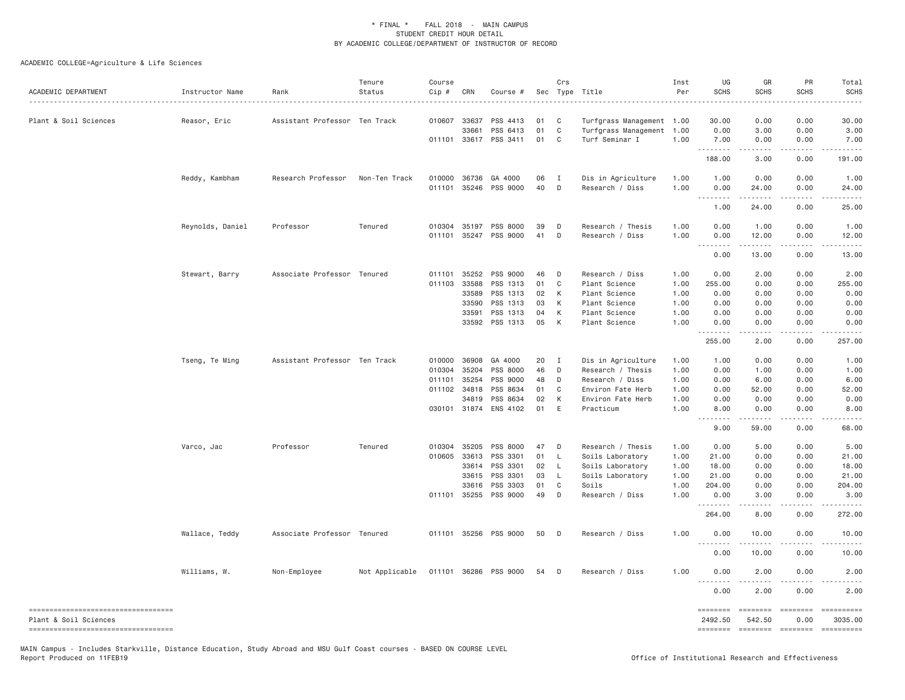ACADEMIC COLLEGE=Agriculture & Life Sciences

| ACADEMIC DEPARTMENT                                         | Instructor Name  | Rank                          | Tenure<br>Status | Course<br>Cip # | CRN                   | Course #                          |          | Crs            | Sec Type Title                 | Inst<br>Per  | UG<br><b>SCHS</b>   | GR<br><b>SCHS</b>   | PR<br><b>SCHS</b>        | Total<br><b>SCHS</b> |
|-------------------------------------------------------------|------------------|-------------------------------|------------------|-----------------|-----------------------|-----------------------------------|----------|----------------|--------------------------------|--------------|---------------------|---------------------|--------------------------|----------------------|
| Plant & Soil Sciences                                       | Reasor, Eric     | Assistant Professor Ten Track |                  | 010607          | 33637                 | PSS 4413                          | 01       | C              | Turfgrass Management 1.00      |              | 30.00               | 0.00                | 0.00                     | 30.00                |
|                                                             |                  |                               |                  |                 | 33661                 | PSS 6413                          | 01       | $\mathbf C$    | Turfgrass Management 1.00      |              | 0.00                | 3.00                | 0.00                     | 3.00                 |
|                                                             |                  |                               |                  |                 |                       | 011101 33617 PSS 3411             | 01       | C              | Turf Seminar I                 | 1.00         | 7.00<br>.           | 0.00<br>$- - - - -$ | 0.00<br>.                | 7.00<br><u>.</u>     |
|                                                             |                  |                               |                  |                 |                       |                                   |          |                |                                |              | 188.00              | 3.00                | 0.00                     | 191.00               |
|                                                             | Reddy, Kambham   | Research Professor            | Non-Ten Track    |                 | 010000 36736          | GA 4000                           | 06       | $\blacksquare$ | Dis in Agriculture             | 1.00         | 1.00                | 0.00                | 0.00                     | 1.00                 |
|                                                             |                  |                               |                  | 011101          | 35246                 | PSS 9000                          | 40       | D              | Research / Diss                | 1.00         | 0.00<br>.           | 24.00               | 0.00                     | 24.00                |
|                                                             |                  |                               |                  |                 |                       |                                   |          |                |                                |              | 1.00                | 24.00               | 0.00                     | 25.00                |
|                                                             | Reynolds, Daniel | Professor                     | Tenured          |                 | 010304 35197          | <b>PSS 8000</b>                   | 39       | D              | Research / Thesis              | 1.00         | 0.00                | 1,00                | 0.00                     | 1.00                 |
|                                                             |                  |                               |                  |                 |                       | 011101 35247 PSS 9000             | 41       | D              | Research / Diss                | 1.00         | 0.00                | 12.00               | 0.00                     | 12.00                |
|                                                             |                  |                               |                  |                 |                       |                                   |          |                |                                |              | .<br>0.00           | .<br>13,00          | .<br>0.00                | .<br>13.00           |
|                                                             | Stewart, Barry   | Associate Professor Tenured   |                  | 011101          | 35252                 | PSS 9000                          | 46       | D              | Research / Diss                | 1.00         | 0.00                | 2.00                | 0.00                     | 2.00                 |
|                                                             |                  |                               |                  | 011103          | 33588                 | PSS 1313                          | 01       | $\mathbf C$    | Plant Science                  | 1.00         | 255.00              | 0.00                | 0.00                     | 255.00               |
|                                                             |                  |                               |                  |                 | 33589                 | PSS 1313                          | 02       | K              | Plant Science                  | 1.00         | 0.00                | 0.00                | 0.00                     | 0.00                 |
|                                                             |                  |                               |                  |                 | 33590                 | PSS 1313                          | 03       | K              | Plant Science                  | 1.00         | 0.00                | 0.00                | 0.00                     | 0.00                 |
|                                                             |                  |                               |                  |                 | 33591                 | PSS 1313                          | 04       | K              | Plant Science                  | 1.00         | 0.00                | 0.00                | 0.00                     | 0.00                 |
|                                                             |                  |                               |                  |                 | 33592                 | PSS 1313                          | 05       | K              | Plant Science                  | 1.00         | 0.00<br>.           | 0.00                | 0.00                     | 0.00                 |
|                                                             |                  |                               |                  |                 |                       |                                   |          |                |                                |              | 255.00              | 2.00                | 0.00                     | 257.00               |
|                                                             | Tseng, Te Ming   | Assistant Professor Ten Track |                  |                 | 010000 36908          | GA 4000                           | 20       | $\mathbf{I}$   | Dis in Agriculture             | 1.00         | 1.00                | 0.00                | 0.00                     | 1.00                 |
|                                                             |                  |                               |                  | 010304          | 35204                 | PSS 8000                          | 46       | D              | Research / Thesis              | 1.00         | 0.00                | 1.00                | 0.00                     | 1.00                 |
|                                                             |                  |                               |                  | 011101          | 35254                 | PSS 9000                          | 48       | D              | Research / Diss                | 1.00         | 0.00                | 6.00                | 0.00                     | 6.00                 |
|                                                             |                  |                               |                  | 011102          | 34818                 | PSS 8634                          | 01       | C              | Environ Fate Herb              | 1.00         | 0.00                | 52.00               | 0.00                     | 52.00                |
|                                                             |                  |                               |                  |                 | 34819                 | PSS 8634<br>030101 31874 ENS 4102 | 02<br>01 | K<br>E         | Environ Fate Herb<br>Practicum | 1.00<br>1.00 | 0.00<br>8.00        | 0.00<br>0.00        | 0.00<br>0.00             | 0.00<br>8.00         |
|                                                             |                  |                               |                  |                 |                       |                                   |          |                |                                |              | <u>.</u>            | .                   | .                        |                      |
|                                                             |                  |                               |                  |                 |                       |                                   |          |                |                                |              | 9.00                | 59.00               | 0.00                     | 68.00                |
|                                                             | Varco, Jac       | Professor                     | Tenured          |                 | 010304 35205          | PSS 8000                          | 47       | D              | Research / Thesis              | 1.00         | 0.00                | 5.00                | 0.00                     | 5.00                 |
|                                                             |                  |                               |                  |                 | 010605 33613          | PSS 3301                          | 01       | - L            | Soils Laboratory               | 1.00         | 21.00               | 0.00                | 0.00                     | 21.00                |
|                                                             |                  |                               |                  |                 | 33614                 | PSS 3301                          | 02       | <b>L</b>       | Soils Laboratory               | 1.00         | 18.00               | 0.00                | 0.00                     | 18.00                |
|                                                             |                  |                               |                  |                 | 33615                 | PSS 3301                          | 03       | - L            | Soils Laboratory               | 1.00         | 21.00               | 0.00                | 0.00                     | 21.00                |
|                                                             |                  |                               |                  |                 | 33616<br>011101 35255 | PSS 3303<br>PSS 9000              | 01<br>49 | C<br>D         | Soils<br>Research / Diss       | 1.00<br>1.00 | 204.00<br>0.00      | 0.00<br>3.00        | 0.00<br>0.00             | 204.00<br>3.00       |
|                                                             |                  |                               |                  |                 |                       |                                   |          |                |                                |              | .<br>264.00         | 8.00                | 0.00                     | 272.00               |
|                                                             | Wallace, Teddy   | Associate Professor Tenured   |                  |                 |                       | 011101 35256 PSS 9000             | 50       | D              | Research / Diss                | 1.00         | 0.00                | 10.00               | 0.00                     | 10.00                |
|                                                             |                  |                               |                  |                 |                       |                                   |          |                |                                |              | <u>.</u>            |                     |                          |                      |
|                                                             | Williams, W.     | Non-Employee                  | Not Applicable   |                 |                       | 011101 36286 PSS 9000             | 54       | $\Box$         | Research / Diss                | 1.00         | 0.00<br>0.00        | 10.00<br>2.00       | 0.00<br>0.00             | 10.00<br>2.00        |
|                                                             |                  |                               |                  |                 |                       |                                   |          |                |                                |              | .<br>0.00           |                     |                          |                      |
|                                                             |                  |                               |                  |                 |                       |                                   |          |                |                                |              |                     | 2.00                | 0.00                     | 2.00                 |
| ----------------------------------<br>Plant & Soil Sciences |                  |                               |                  |                 |                       |                                   |          |                |                                |              | ========<br>2492.50 | 542.50              | ======== =======<br>0.00 | 3035,00              |
| -----------------------------------                         |                  |                               |                  |                 |                       |                                   |          |                |                                |              | ========            |                     | =================        | ==========           |

MAIN Campus - Includes Starkville, Distance Education, Study Abroad and MSU Gulf Coast courses - BASED ON COURSE LEVEL<br>Report Produced on 11FEB19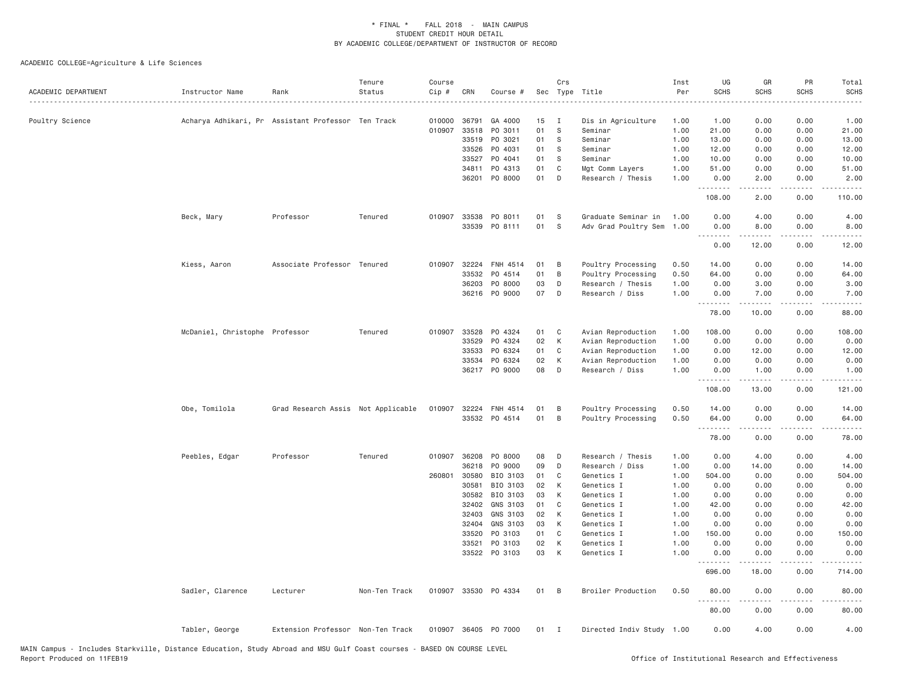| ACADEMIC DEPARTMENT | Instructor Name                | Rank                                               | Tenure<br>Status | Course<br>Cip # | CRN            | Course #             |          | Crs          | Sec Type Title            | Inst<br>Per  | UG<br><b>SCHS</b>                      | GR<br><b>SCHS</b>                                                                                                                                    | PR<br><b>SCHS</b>                   | Total<br><b>SCHS</b>          |
|---------------------|--------------------------------|----------------------------------------------------|------------------|-----------------|----------------|----------------------|----------|--------------|---------------------------|--------------|----------------------------------------|------------------------------------------------------------------------------------------------------------------------------------------------------|-------------------------------------|-------------------------------|
| Poultry Science     |                                | Acharya Adhikari, Pr Assistant Professor Ten Track |                  | 010000          | 36791          | GA 4000              | 15       | $\mathbf{I}$ | Dis in Agriculture        | 1.00         | 1.00                                   | 0.00                                                                                                                                                 | 0.00                                | 1.00                          |
|                     |                                |                                                    |                  | 010907          | 33518          | PO 3011              | 01       | S            | Seminar                   | 1.00         | 21.00                                  | 0.00                                                                                                                                                 | 0.00                                | 21.00                         |
|                     |                                |                                                    |                  |                 | 33519          | PO 3021              | 01       | S            | Seminar                   | 1.00         | 13.00                                  | 0.00                                                                                                                                                 | 0.00                                | 13.00                         |
|                     |                                |                                                    |                  |                 | 33526          | PO 4031              | 01       | S            | Seminar                   | 1.00         | 12.00                                  | 0.00                                                                                                                                                 | 0.00                                | 12.00                         |
|                     |                                |                                                    |                  |                 | 33527          | PO 4041              | 01       | S            | Seminar                   | 1.00         | 10.00                                  | 0.00                                                                                                                                                 | 0.00                                | 10.00                         |
|                     |                                |                                                    |                  |                 | 34811          | PO 4313              | 01       | C            | Mgt Comm Layers           | 1.00         | 51.00                                  | 0.00                                                                                                                                                 | 0.00                                | 51.00                         |
|                     |                                |                                                    |                  |                 | 36201          | PO 8000              | 01       | D            | Research / Thesis         | 1.00         | 0.00<br>.                              | 2.00<br>.                                                                                                                                            | 0.00<br>.                           | 2.00<br>.                     |
|                     |                                |                                                    |                  |                 |                |                      |          |              |                           |              | 108.00                                 | 2.00                                                                                                                                                 | 0.00                                | 110.00                        |
|                     | Beck, Mary                     | Professor                                          | Tenured          | 010907          | 33538          | PO 8011              | 01       | S            | Graduate Seminar in       | 1.00         | 0.00                                   | 4.00                                                                                                                                                 | 0.00                                | 4.00                          |
|                     |                                |                                                    |                  |                 | 33539          | PO 8111              | 01       | S            | Adv Grad Poultry Sem      | 1.00         | 0.00                                   | 8.00                                                                                                                                                 | 0.00                                | 8.00                          |
|                     |                                |                                                    |                  |                 |                |                      |          |              |                           |              | 0.00                                   | 12.00                                                                                                                                                | 0.00                                | 12.00                         |
|                     | Kiess, Aaron                   | Associate Professor Tenured                        |                  | 010907          | 32224          | FNH 4514             | 01       | B            | Poultry Processing        | 0.50         | 14.00                                  | 0.00                                                                                                                                                 | 0.00                                | 14.00                         |
|                     |                                |                                                    |                  |                 | 33532          | PO 4514              | 01       | B            | Poultry Processing        | 0.50         | 64.00                                  | 0.00                                                                                                                                                 | 0.00                                | 64.00                         |
|                     |                                |                                                    |                  |                 | 36203          | PO 8000              | 03       | D            | Research / Thesis         | 1.00         | 0.00                                   | 3.00                                                                                                                                                 | 0.00                                | 3.00                          |
|                     |                                |                                                    |                  |                 |                | 36216 PO 9000        | 07       | D            | Research / Diss           | 1.00         | 0.00<br>.                              | 7.00<br>.                                                                                                                                            | 0.00<br>.                           | 7.00<br>.                     |
|                     |                                |                                                    |                  |                 |                |                      |          |              |                           |              | 78.00                                  | 10.00                                                                                                                                                | 0.00                                | 88.00                         |
|                     | McDaniel, Christophe Professor |                                                    | Tenured          | 010907          | 33528          | PO 4324              | 01       | C            | Avian Reproduction        | 1.00         | 108.00                                 | 0.00                                                                                                                                                 | 0.00                                | 108.00                        |
|                     |                                |                                                    |                  |                 | 33529          | P0 4324              | 02       | К            | Avian Reproduction        | 1.00         | 0.00                                   | 0.00                                                                                                                                                 | 0.00                                | 0.00                          |
|                     |                                |                                                    |                  |                 | 33533          | PO 6324              | 01       | C            | Avian Reproduction        | 1.00         | 0.00                                   | 12.00                                                                                                                                                | 0.00                                | 12.00                         |
|                     |                                |                                                    |                  |                 | 33534          | PO 6324              | 02       | К            | Avian Reproduction        | 1.00         | 0.00                                   | 0.00                                                                                                                                                 | 0.00                                | 0.00                          |
|                     |                                |                                                    |                  |                 |                | 36217 PO 9000        | 08       | D            | Research / Diss           | 1.00         | 0.00<br>.                              | 1.00                                                                                                                                                 | 0.00<br>$\sim$ $\sim$ $\sim$ $\sim$ | 1.00<br>بالمحام               |
|                     |                                |                                                    |                  |                 |                |                      |          |              |                           |              | 108.00                                 | 13.00                                                                                                                                                | 0.00                                | 121.00                        |
|                     | Obe, Tomilola                  | Grad Research Assis Not Applicable                 |                  | 010907          | 32224          | FNH 4514             | 01       | B            | Poultry Processing        | 0.50         | 14.00                                  | 0.00                                                                                                                                                 | 0.00                                | 14.00                         |
|                     |                                |                                                    |                  |                 |                | 33532 PO 4514        | 01       | B            | Poultry Processing        | 0.50         | 64.00                                  | 0.00                                                                                                                                                 | 0.00                                | 64.00                         |
|                     |                                |                                                    |                  |                 |                |                      |          |              |                           |              | <b><i><u><u>.</u></u></i></b><br>78.00 | <b><i><u>.</u></i></b><br>0.00                                                                                                                       | .<br>0.00                           | .<br>78.00                    |
|                     |                                |                                                    |                  |                 |                |                      |          |              |                           |              |                                        |                                                                                                                                                      |                                     |                               |
|                     | Peebles, Edgar                 | Professor                                          | Tenured          | 010907          | 36208          | P0 8000              | 08       | D            | Research / Thesis         | 1.00         | 0.00                                   | 4.00                                                                                                                                                 | 0.00                                | 4.00                          |
|                     |                                |                                                    |                  |                 | 36218          | PO 9000              | 09       | D            | Research / Diss           | 1.00         | 0.00                                   | 14.00                                                                                                                                                | 0.00                                | 14.00                         |
|                     |                                |                                                    |                  | 260801          | 30580          | BIO 3103             | 01       | C            | Genetics I                | 1.00         | 504.00                                 | 0.00                                                                                                                                                 | 0.00                                | 504.00                        |
|                     |                                |                                                    |                  |                 | 30581          | BIO 3103             | 02       | К            | Genetics I                | 1.00         | 0.00                                   | 0.00                                                                                                                                                 | 0.00                                | 0.00                          |
|                     |                                |                                                    |                  |                 | 30582<br>32402 | BIO 3103<br>GNS 3103 | 03<br>01 | К<br>C       | Genetics I<br>Genetics I  | 1.00<br>1.00 | 0.00<br>42.00                          | 0.00<br>0.00                                                                                                                                         | 0.00<br>0.00                        | 0.00<br>42.00                 |
|                     |                                |                                                    |                  |                 | 32403          | GNS 3103             | 02       | К            | Genetics I                | 1.00         | 0.00                                   | 0.00                                                                                                                                                 | 0.00                                | 0.00                          |
|                     |                                |                                                    |                  |                 | 32404          | GNS 3103             | 03       | К            | Genetics I                | 1.00         | 0.00                                   | 0.00                                                                                                                                                 | 0.00                                | 0.00                          |
|                     |                                |                                                    |                  |                 | 33520          | PO 3103              | 01       | C            | Genetics I                | 1.00         | 150.00                                 | 0.00                                                                                                                                                 | 0.00                                | 150.00                        |
|                     |                                |                                                    |                  |                 | 33521          | PO 3103              | 02       | К            | Genetics I                | 1.00         | 0.00                                   | 0.00                                                                                                                                                 | 0.00                                | 0.00                          |
|                     |                                |                                                    |                  |                 |                | 33522 PO 3103        | 03       | K            | Genetics I                | 1.00         | 0.00                                   | 0.00                                                                                                                                                 | 0.00                                | 0.00                          |
|                     |                                |                                                    |                  |                 |                |                      |          |              |                           |              | .                                      | $\frac{1}{2} \left( \frac{1}{2} \right) \left( \frac{1}{2} \right) \left( \frac{1}{2} \right) \left( \frac{1}{2} \right) \left( \frac{1}{2} \right)$ | .                                   | $\alpha$ is a set of $\alpha$ |
|                     |                                |                                                    |                  |                 |                |                      |          |              |                           |              | 696.00                                 | 18,00                                                                                                                                                | 0.00                                | 714.00                        |
|                     | Sadler, Clarence               | Lecturer                                           | Non-Ten Track    |                 |                | 010907 33530 P0 4334 | 01       | B            | Broiler Production        | 0.50         | 80.00<br><u>.</u>                      | 0.00                                                                                                                                                 | 0.00                                | 80.00                         |
|                     |                                |                                                    |                  |                 |                |                      |          |              |                           |              | 80.00                                  | 0.00                                                                                                                                                 | 0.00                                | 80.00                         |
|                     | Tabler, George                 | Extension Professor Non-Ten Track                  |                  |                 |                | 010907 36405 PO 7000 | 01       | $\mathbf{I}$ | Directed Indiv Study 1.00 |              | 0.00                                   | 4.00                                                                                                                                                 | 0.00                                | 4.00                          |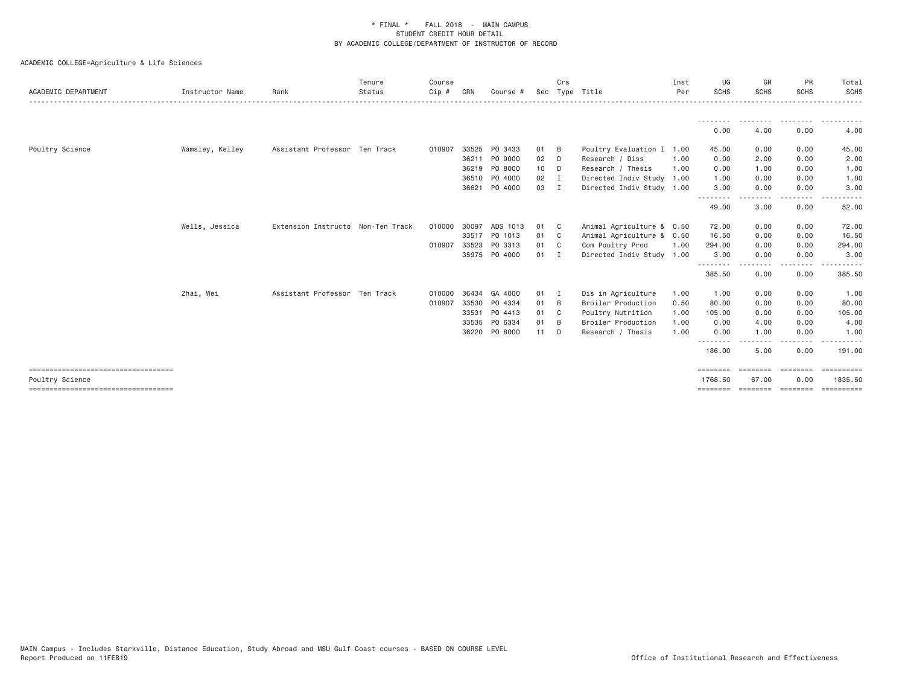| ACADEMIC DEPARTMENT                                     | Instructor Name | Rank                              | Tenure<br>Status | Course<br>Cip # | CRN   | Course #      |        | Crs            | Sec Type Title            | Inst<br>Per | UG<br><b>SCHS</b>  | GR<br><b>SCHS</b>                 | PR<br><b>SCHS</b> | Total<br><b>SCHS</b>   |
|---------------------------------------------------------|-----------------|-----------------------------------|------------------|-----------------|-------|---------------|--------|----------------|---------------------------|-------------|--------------------|-----------------------------------|-------------------|------------------------|
|                                                         |                 |                                   |                  |                 |       |               |        |                |                           |             |                    |                                   |                   |                        |
|                                                         |                 |                                   |                  |                 |       |               |        |                |                           |             | 0.00               | 4.00                              | 0.00              | 4.00                   |
| Poultry Science                                         | Wamsley, Kelley | Assistant Professor Ten Track     |                  | 010907          | 33525 | PO 3433       | 01     | B              | Poultry Evaluation I      | 1.00        | 45.00              | 0.00                              | 0.00              | 45.00                  |
|                                                         |                 |                                   |                  |                 | 36211 | PO 9000       | 02     | D              | Research / Diss           | 1.00        | 0.00               | 2.00                              | 0.00              | 2.00                   |
|                                                         |                 |                                   |                  |                 |       | 36219 PO 8000 | 10     | D.             | Research / Thesis         | 1.00        | 0.00               | 1.00                              | 0.00              | 1.00                   |
|                                                         |                 |                                   |                  |                 |       | 36510 PO 4000 | 02     | $\blacksquare$ | Directed Indiv Study      | 1.00        | 1.00               | 0.00                              | 0.00              | 1.00                   |
|                                                         |                 |                                   |                  |                 | 36621 | P0 4000       | 03     | I              | Directed Indiv Study 1.00 |             | 3.00<br>--------   | 0.00<br>$- - - - -$               | 0.00<br>.         | 3.00                   |
|                                                         |                 |                                   |                  |                 |       |               |        |                |                           |             | 49.00              | 3.00                              | 0.00              | 52.00                  |
|                                                         | Wells, Jessica  | Extension Instructo Non-Ten Track |                  | 010000          | 30097 | ADS 1013      | 01     | - C            | Animal Agriculture & 0.50 |             | 72.00              | 0.00                              | 0.00              | 72.00                  |
|                                                         |                 |                                   |                  |                 |       | 33517 PO 1013 | 01     | C <sub>c</sub> | Animal Agriculture & 0.50 |             | 16.50              | 0.00                              | 0.00              | 16.50                  |
|                                                         |                 |                                   |                  | 010907          | 33523 | PO 3313       | 01     | C <sub>c</sub> | Com Poultry Prod          | 1.00        | 294.00             | 0.00                              | 0.00              | 294.00                 |
|                                                         |                 |                                   |                  |                 |       | 35975 PO 4000 | $01$ I |                | Directed Indiv Study 1.00 |             | 3.00               | 0.00                              | 0.00              | 3.00                   |
|                                                         |                 |                                   |                  |                 |       |               |        |                |                           |             | .<br>385.50        | . <u>.</u> .<br>0.00              | $- - - -$<br>0.00 | . <u>.</u> .<br>385.50 |
|                                                         | Zhai, Wei       | Assistant Professor Ten Track     |                  | 010000          | 36434 | GA 4000       | 01 I   |                | Dis in Agriculture        | 1.00        | 1.00               | 0.00                              | 0.00              | 1.00                   |
|                                                         |                 |                                   |                  | 010907          | 33530 | PO 4334       | 01     | - B            | Broiler Production        | 0.50        | 80.00              | 0.00                              | 0.00              | 80.00                  |
|                                                         |                 |                                   |                  |                 | 33531 | PO 4413       | 01     | $\mathbf{C}$   | Poultry Nutrition         | 1.00        | 105.00             | 0.00                              | 0.00              | 105.00                 |
|                                                         |                 |                                   |                  |                 | 33535 | PO 6334       | 01     | - B            | Broiler Production        | 1.00        | 0.00               | 4.00                              | 0.00              | 4.00                   |
|                                                         |                 |                                   |                  |                 | 36220 | PO 8000       | $11$ D |                | Research / Thesis         | 1.00        | 0.00               | 1.00                              | 0.00<br>.         | 1.00                   |
|                                                         |                 |                                   |                  |                 |       |               |        |                |                           |             | --------<br>186.00 | .<br>5.00                         | 0.00              | .<br>191.00            |
| =====================================                   |                 |                                   |                  |                 |       |               |        |                |                           |             | ========           | ========                          | ========          | ==========             |
| Poultry Science<br>==================================== |                 |                                   |                  |                 |       |               |        |                |                           |             | 1768.50            | 67.00<br>-------- ------- ------- | 0.00              | 1835.50                |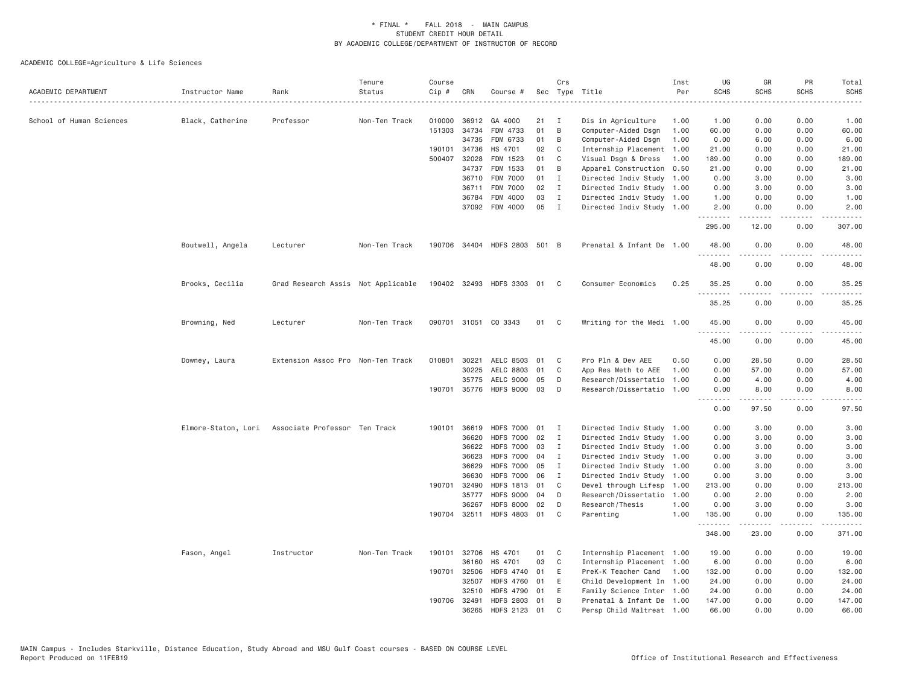| ACADEMIC DEPARTMENT      | Instructor Name     | Rank                               | Tenure<br>Status | Course<br>Cip # | CRN          | Course #                     |    | Crs          | Sec Type Title            | Inst<br>Per | UG<br><b>SCHS</b> | GR<br><b>SCHS</b>                                                                                                                                             | PR<br><b>SCHS</b>            | Total<br><b>SCHS</b>           |
|--------------------------|---------------------|------------------------------------|------------------|-----------------|--------------|------------------------------|----|--------------|---------------------------|-------------|-------------------|---------------------------------------------------------------------------------------------------------------------------------------------------------------|------------------------------|--------------------------------|
|                          |                     |                                    |                  |                 |              |                              |    |              |                           |             |                   |                                                                                                                                                               |                              | .                              |
| School of Human Sciences | Black, Catherine    | Professor                          | Non-Ten Track    | 010000          | 36912        | GA 4000                      | 21 | I            | Dis in Agriculture        | 1.00        | 1.00              | 0.00                                                                                                                                                          | 0.00                         | 1.00                           |
|                          |                     |                                    |                  |                 | 151303 34734 | FDM 4733                     | 01 | B            | Computer-Aided Dsgn       | 1.00        | 60.00             | 0.00                                                                                                                                                          | 0.00                         | 60.00                          |
|                          |                     |                                    |                  |                 | 34735        | FDM 6733                     | 01 | B            | Computer-Aided Dsgn       | 1.00        | 0.00              | 6.00                                                                                                                                                          | 0.00                         | 6.00                           |
|                          |                     |                                    |                  |                 | 190101 34736 | HS 4701                      | 02 | C            | Internship Placement      | 1.00        | 21.00             | 0.00                                                                                                                                                          | 0.00                         | 21.00                          |
|                          |                     |                                    |                  |                 | 500407 32028 | FDM 1523                     | 01 | C            | Visual Dsgn & Dress       | 1.00        | 189.00            | 0.00                                                                                                                                                          | 0.00                         | 189.00                         |
|                          |                     |                                    |                  |                 | 34737        | FDM 1533                     | 01 | B            | Apparel Construction      | 0.50        | 21.00             | 0.00                                                                                                                                                          | 0.00                         | 21.00                          |
|                          |                     |                                    |                  |                 | 36710        | <b>FDM 7000</b>              | 01 | $\mathbf{I}$ | Directed Indiv Study 1.00 |             | 0.00              | 3.00                                                                                                                                                          | 0.00                         | 3.00                           |
|                          |                     |                                    |                  |                 | 36711        | <b>FDM 7000</b>              | 02 | $\mathbf{I}$ | Directed Indiv Study 1.00 |             | 0.00              | 3.00                                                                                                                                                          | 0.00                         | 3.00                           |
|                          |                     |                                    |                  |                 | 36784        | FDM 4000                     | 03 | $\mathbf{I}$ | Directed Indiv Study 1.00 |             | 1.00              | 0.00                                                                                                                                                          | 0.00                         | 1.00                           |
|                          |                     |                                    |                  |                 |              | 37092 FDM 4000               | 05 | $\mathbf{I}$ | Directed Indiv Study 1.00 |             | 2.00              | 0.00                                                                                                                                                          | 0.00                         | 2.00                           |
|                          |                     |                                    |                  |                 |              |                              |    |              |                           |             | .<br>295.00       | $\frac{1}{2} \left( \frac{1}{2} \right) \left( \frac{1}{2} \right) \left( \frac{1}{2} \right) \left( \frac{1}{2} \right) \left( \frac{1}{2} \right)$<br>12.00 | $\sim$ $\sim$ $\sim$<br>0.00 | .<br>307.00                    |
|                          | Boutwell, Angela    | Lecturer                           | Non-Ten Track    |                 |              | 190706 34404 HDFS 2803 501 B |    |              | Prenatal & Infant De 1.00 |             | 48.00             | 0.00                                                                                                                                                          | 0.00                         | 48.00                          |
|                          |                     |                                    |                  |                 |              |                              |    |              |                           |             | 48.00             | 0.00                                                                                                                                                          | د د د د<br>0.00              | .<br>48.00                     |
|                          | Brooks, Cecilia     | Grad Research Assis Not Applicable |                  |                 |              | 190402 32493 HDFS 3303 01    |    | $\mathbf{C}$ | Consumer Economics        | 0.25        | 35.25             | 0.00                                                                                                                                                          | 0.00                         | 35.25                          |
|                          |                     |                                    |                  |                 |              |                              |    |              |                           |             | .<br>35.25        | 0.00                                                                                                                                                          | .<br>0.00                    | .<br>35.25                     |
|                          | Browning, Ned       | Lecturer                           | Non-Ten Track    |                 |              | 090701 31051 CO 3343         | 01 | $\mathbf{C}$ | Writing for the Medi 1.00 |             | 45.00<br>.        | 0.00                                                                                                                                                          | 0.00<br>- - - -              | 45.00                          |
|                          |                     |                                    |                  |                 |              |                              |    |              |                           |             | 45.00             | 0.00                                                                                                                                                          | 0.00                         | 45.00                          |
|                          | Downey, Laura       | Extension Assoc Pro Non-Ten Track  |                  | 010801 30221    |              | AELC 8503 01                 |    | C            | Pro Pln & Dev AEE         | 0.50        | 0.00              | 28.50                                                                                                                                                         | 0.00                         | 28.50                          |
|                          |                     |                                    |                  |                 | 30225        | AELC 8803                    | 01 | C            | App Res Meth to AEE       | 1.00        | 0.00              | 57.00                                                                                                                                                         | 0.00                         | 57.00                          |
|                          |                     |                                    |                  |                 | 35775        | AELC 9000                    | 05 | D            | Research/Dissertatio      | 1.00        | 0.00              | 4.00                                                                                                                                                          | 0.00                         | 4.00                           |
|                          |                     |                                    |                  |                 | 190701 35776 | HDFS 9000 03                 |    | D            | Research/Dissertatio 1.00 |             | 0.00              | 8.00<br>.                                                                                                                                                     | 0.00<br>د د د د              | 8.00<br>$\omega$ is a $\omega$ |
|                          |                     |                                    |                  |                 |              |                              |    |              |                           |             | 0.00              | 97.50                                                                                                                                                         | 0.00                         | 97.50                          |
|                          | Elmore-Staton, Lori | Associate Professor Ten Track      |                  |                 | 190101 36619 | <b>HDFS 7000</b>             | 01 | I            | Directed Indiv Study 1.00 |             | 0.00              | 3.00                                                                                                                                                          | 0.00                         | 3.00                           |
|                          |                     |                                    |                  |                 | 36620        | <b>HDFS 7000</b>             | 02 | I            | Directed Indiv Study 1.00 |             | 0.00              | 3.00                                                                                                                                                          | 0.00                         | 3.00                           |
|                          |                     |                                    |                  |                 | 36622        | <b>HDFS 7000</b>             | 03 | $\mathbf{I}$ | Directed Indiv Study 1.00 |             | 0.00              | 3.00                                                                                                                                                          | 0.00                         | 3.00                           |
|                          |                     |                                    |                  |                 | 36623        | <b>HDFS 7000</b>             | 04 | $\mathbf{I}$ | Directed Indiv Study 1.00 |             | 0.00              | 3.00                                                                                                                                                          | 0.00                         | 3.00                           |
|                          |                     |                                    |                  |                 | 36629        | <b>HDFS 7000</b>             | 05 | Ι.           | Directed Indiv Study 1.00 |             | 0.00              | 3.00                                                                                                                                                          | 0.00                         | 3.00                           |
|                          |                     |                                    |                  |                 | 36630        | <b>HDFS 7000</b>             | 06 | I            | Directed Indiv Study 1.00 |             | 0.00              | 3.00                                                                                                                                                          | 0.00                         | 3.00                           |
|                          |                     |                                    |                  |                 | 190701 32490 | HDFS 1813 01                 |    | C            | Devel through Lifesp      | 1.00        | 213.00            | 0.00                                                                                                                                                          | 0.00                         | 213.00                         |
|                          |                     |                                    |                  |                 | 35777        | <b>HDFS 9000</b>             | 04 | D            | Research/Dissertatio      | 1.00        | 0.00              | 2.00                                                                                                                                                          | 0.00                         | 2.00                           |
|                          |                     |                                    |                  |                 | 36267        | <b>HDFS 8000</b>             | 02 | D            | Research/Thesis           | 1.00        | 0.00              | 3.00                                                                                                                                                          | 0.00                         | 3.00                           |
|                          |                     |                                    |                  |                 |              | 190704 32511 HDFS 4803 01    |    | C            | Parenting                 | 1,00        | 135.00            | 0.00                                                                                                                                                          | 0.00                         | 135.00                         |
|                          |                     |                                    |                  |                 |              |                              |    |              |                           |             | .<br>348.00       | .<br>23.00                                                                                                                                                    | .<br>0.00                    | .<br>371.00                    |
|                          | Fason, Angel        | Instructor                         | Non-Ten Track    |                 | 190101 32706 | HS 4701                      | 01 | C            | Internship Placement 1.00 |             | 19.00             | 0.00                                                                                                                                                          | 0.00                         | 19.00                          |
|                          |                     |                                    |                  |                 | 36160        | HS 4701                      | 03 | C            | Internship Placement 1.00 |             | 6.00              | 0.00                                                                                                                                                          | 0.00                         | 6.00                           |
|                          |                     |                                    |                  |                 | 190701 32506 | HDFS 4740                    | 01 | E            | PreK-K Teacher Cand       | 1.00        | 132.00            | 0.00                                                                                                                                                          | 0.00                         | 132.00                         |
|                          |                     |                                    |                  |                 | 32507        | <b>HDFS 4760</b>             | 01 | E            | Child Development In 1.00 |             | 24.00             | 0.00                                                                                                                                                          | 0.00                         | 24.00                          |
|                          |                     |                                    |                  |                 | 32510        | <b>HDFS 4790</b>             | 01 | E            | Family Science Inter      | 1.00        | 24.00             | 0.00                                                                                                                                                          | 0.00                         | 24.00                          |
|                          |                     |                                    |                  |                 | 190706 32491 | HDFS 2803 01                 |    | B            | Prenatal & Infant De 1.00 |             | 147.00            | 0.00                                                                                                                                                          | 0.00                         | 147.00                         |
|                          |                     |                                    |                  |                 | 36265        | HDFS 2123                    | 01 | $\mathsf{C}$ | Persp Child Maltreat 1.00 |             | 66.00             | 0.00                                                                                                                                                          | 0.00                         | 66,00                          |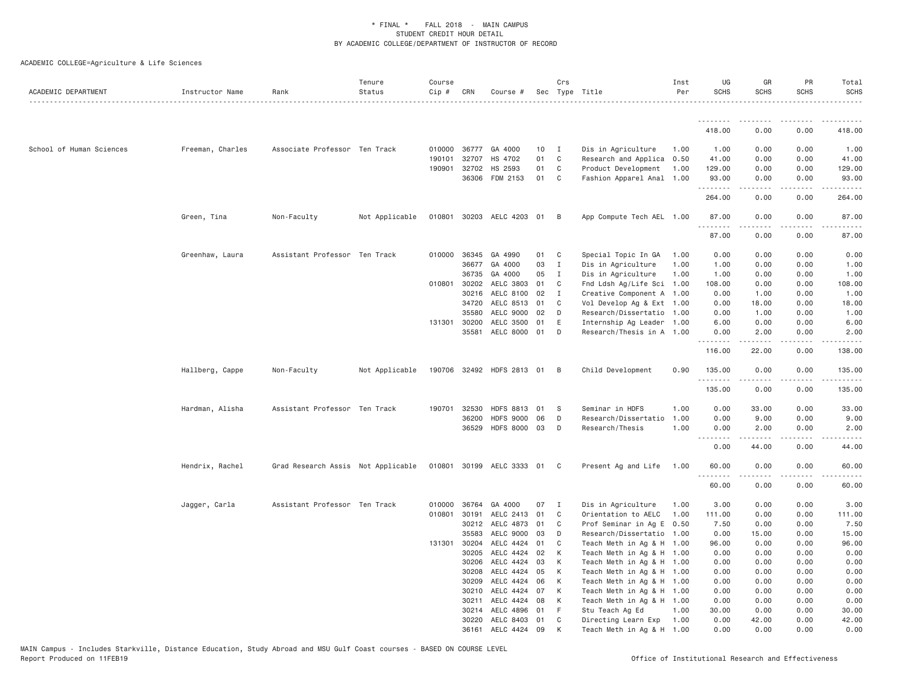| ACADEMIC DEPARTMENT      | Instructor Name  | Rank                               | Tenure<br>Status | Course<br>$Cip$ # | CRN          | Course #                    |    | Crs            | Sec Type Title            | Inst<br>Per | UG<br><b>SCHS</b> | GR<br><b>SCHS</b>                                                                                                                                            | PR<br><b>SCHS</b>                   | Total<br><b>SCHS</b>                                                                                                  |
|--------------------------|------------------|------------------------------------|------------------|-------------------|--------------|-----------------------------|----|----------------|---------------------------|-------------|-------------------|--------------------------------------------------------------------------------------------------------------------------------------------------------------|-------------------------------------|-----------------------------------------------------------------------------------------------------------------------|
|                          |                  |                                    |                  |                   |              |                             |    |                |                           |             | .                 | .                                                                                                                                                            |                                     |                                                                                                                       |
|                          |                  |                                    |                  |                   |              |                             |    |                |                           |             | 418.00            | 0.00                                                                                                                                                         | 0.00                                | 418.00                                                                                                                |
| School of Human Sciences | Freeman, Charles | Associate Professor Ten Track      |                  | 010000            | 36777        | GA 4000                     | 10 | $\blacksquare$ | Dis in Agriculture        | 1.00        | 1.00              | 0.00                                                                                                                                                         | 0.00                                | 1.00                                                                                                                  |
|                          |                  |                                    |                  | 190101            | 32707        | HS 4702                     | 01 | C              | Research and Applica      | 0.50        | 41.00             | 0.00                                                                                                                                                         | 0.00                                | 41.00                                                                                                                 |
|                          |                  |                                    |                  | 190901            | 32702        | HS 2593                     | 01 | $\mathbf{C}$   | Product Development       | 1.00        | 129.00            | 0.00                                                                                                                                                         | 0.00                                | 129.00                                                                                                                |
|                          |                  |                                    |                  |                   | 36306        | FDM 2153                    | 01 | $\mathbf{C}$   | Fashion Apparel Anal 1.00 |             | 93.00<br>.        | 0.00                                                                                                                                                         | 0.00                                | 93.00                                                                                                                 |
|                          |                  |                                    |                  |                   |              |                             |    |                |                           |             | 264.00            | 0.00                                                                                                                                                         | 0.00                                | 264.00                                                                                                                |
|                          | Green, Tina      | Non-Faculty                        | Not Applicable   | 010801            |              | 30203 AELC 4203 01          |    | B              | App Compute Tech AEL 1.00 |             | 87.00<br>.        | 0.00                                                                                                                                                         | 0.00                                | 87.00                                                                                                                 |
|                          |                  |                                    |                  |                   |              |                             |    |                |                           |             | 87.00             | 0.00                                                                                                                                                         | 0.00                                | 87.00                                                                                                                 |
|                          | Greenhaw, Laura  | Assistant Professor Ten Track      |                  |                   | 010000 36345 | GA 4990                     | 01 | C              | Special Topic In GA       | 1.00        | 0.00              | 0.00                                                                                                                                                         | 0.00                                | 0.00                                                                                                                  |
|                          |                  |                                    |                  |                   |              | 36677 GA 4000               | 03 | $\mathbf{I}$   | Dis in Agriculture        | 1.00        | 1.00              | 0.00                                                                                                                                                         | 0.00                                | 1.00                                                                                                                  |
|                          |                  |                                    |                  |                   | 36735        | GA 4000                     | 05 | $\mathbf{I}$   | Dis in Agriculture        | 1.00        | 1.00              | 0.00                                                                                                                                                         | 0.00                                | 1.00                                                                                                                  |
|                          |                  |                                    |                  | 010801            | 30202        | AELC 3803                   | 01 | C              | Fnd Ldsh Ag/Life Sci 1.00 |             | 108.00            | 0.00                                                                                                                                                         | 0.00                                | 108.00                                                                                                                |
|                          |                  |                                    |                  |                   | 30216        | AELC 8100                   | 02 | I              | Creative Component A 1.00 |             | 0.00              | 1.00                                                                                                                                                         | 0.00                                | 1.00                                                                                                                  |
|                          |                  |                                    |                  |                   | 34720        | AELC 8513                   | 01 | C              | Vol Develop Ag & Ext 1.00 |             | 0.00              | 18.00                                                                                                                                                        | 0.00                                | 18.00                                                                                                                 |
|                          |                  |                                    |                  |                   | 35580        | AELC 9000                   | 02 | D              | Research/Dissertatio 1.00 |             | 0.00              | 1.00                                                                                                                                                         | 0.00                                | 1.00                                                                                                                  |
|                          |                  |                                    |                  |                   | 131301 30200 | AELC 3500                   | 01 | E              | Internship Ag Leader 1.00 |             | 6.00              | 0.00                                                                                                                                                         | 0.00                                | 6.00                                                                                                                  |
|                          |                  |                                    |                  |                   |              | 35581 AELC 8000             | 01 | D              | Research/Thesis in A 1.00 |             | 0.00<br>.         | 2.00<br>$- - - - -$                                                                                                                                          | 0.00<br>.                           | 2.00<br>.                                                                                                             |
|                          |                  |                                    |                  |                   |              |                             |    |                |                           |             | 116.00            | 22.00                                                                                                                                                        | 0.00                                | 138.00                                                                                                                |
|                          | Hallberg, Cappe  | Non-Faculty                        | Not Applicable   |                   |              | 190706 32492 HDFS 2813 01   |    | B              | Child Development         | 0.90        | 135.00<br>.       | 0.00<br>$\frac{1}{2} \left( \frac{1}{2} \right) \left( \frac{1}{2} \right) \left( \frac{1}{2} \right) \left( \frac{1}{2} \right) \left( \frac{1}{2} \right)$ | 0.00<br>$\sim$ $\sim$ $\sim$ $\sim$ | 135.00<br>$\begin{array}{cccccccccc} \bullet & \bullet & \bullet & \bullet & \bullet & \bullet & \bullet \end{array}$ |
|                          |                  |                                    |                  |                   |              |                             |    |                |                           |             | 135.00            | 0.00                                                                                                                                                         | 0.00                                | 135.00                                                                                                                |
|                          | Hardman, Alisha  | Assistant Professor Ten Track      |                  | 190701            | 32530        | <b>HDFS 8813</b>            | 01 | - S            | Seminar in HDFS           | 1.00        | 0.00              | 33.00                                                                                                                                                        | 0.00                                | 33.00                                                                                                                 |
|                          |                  |                                    |                  |                   | 36200        | <b>HDFS 9000</b>            | 06 | D              | Research/Dissertatio      | 1.00        | 0.00              | 9.00                                                                                                                                                         | 0.00                                | 9.00                                                                                                                  |
|                          |                  |                                    |                  |                   | 36529        | HDFS 8000 03                |    | D              | Research/Thesis           | 1.00        | 0.00              | 2.00                                                                                                                                                         | 0.00                                | 2.00                                                                                                                  |
|                          |                  |                                    |                  |                   |              |                             |    |                |                           |             | ----<br>0.00      | 44.00                                                                                                                                                        | $\sim$ $\sim$ $\sim$ $\sim$<br>0.00 | 44.00                                                                                                                 |
|                          | Hendrix, Rachel  | Grad Research Assis Not Applicable |                  |                   |              | 010801 30199 AELC 3333 01 C |    |                | Present Ag and Life       | 1.00        | 60.00<br>.        | 0.00                                                                                                                                                         | 0.00                                | 60.00                                                                                                                 |
|                          |                  |                                    |                  |                   |              |                             |    |                |                           |             | 60.00             | $- - - - -$<br>0.00                                                                                                                                          | .<br>0.00                           | 60.00                                                                                                                 |
|                          | Jagger, Carla    | Assistant Professor Ten Track      |                  |                   | 010000 36764 | GA 4000                     | 07 | $\mathbf{I}$   | Dis in Agriculture        | 1.00        | 3.00              | 0.00                                                                                                                                                         | 0.00                                | 3.00                                                                                                                  |
|                          |                  |                                    |                  | 010801            | 30191        | AELC 2413                   | 01 | C              | Orientation to AELC       | 1.00        | 111.00            | 0.00                                                                                                                                                         | 0.00                                | 111.00                                                                                                                |
|                          |                  |                                    |                  |                   | 30212        | AELC 4873                   | 01 | C              | Prof Seminar in Ag E 0.50 |             | 7.50              | 0.00                                                                                                                                                         | 0.00                                | 7.50                                                                                                                  |
|                          |                  |                                    |                  |                   | 35583        | AELC 9000                   | 03 | D              | Research/Dissertatio 1.00 |             | 0.00              | 15.00                                                                                                                                                        | 0.00                                | 15.00                                                                                                                 |
|                          |                  |                                    |                  |                   | 131301 30204 | AELC 4424                   | 01 | C              | Teach Meth in Ag & H 1.00 |             | 96.00             | 0.00                                                                                                                                                         | 0.00                                | 96.00                                                                                                                 |
|                          |                  |                                    |                  |                   | 30205        | AELC 4424                   | 02 | K              | Teach Meth in Ag & H 1.00 |             | 0.00              | 0.00                                                                                                                                                         | 0.00                                | 0.00                                                                                                                  |
|                          |                  |                                    |                  |                   | 30206        | AELC 4424                   | 03 | K              | Teach Meth in Ag & H 1.00 |             | 0.00              | 0.00                                                                                                                                                         | 0.00                                | 0.00                                                                                                                  |
|                          |                  |                                    |                  |                   | 30208        | AELC 4424                   | 05 | K              | Teach Meth in Ag & H 1.00 |             | 0.00              | 0.00                                                                                                                                                         | 0.00                                | 0.00                                                                                                                  |
|                          |                  |                                    |                  |                   | 30209        | AELC 4424                   | 06 | К              | Teach Meth in Ag & H 1.00 |             | 0.00              | 0.00                                                                                                                                                         | 0.00                                | 0.00                                                                                                                  |
|                          |                  |                                    |                  |                   | 30210        | AELC 4424                   | 07 | К              | Teach Meth in Ag & H 1.00 |             | 0.00              | 0.00                                                                                                                                                         | 0.00                                | 0.00                                                                                                                  |
|                          |                  |                                    |                  |                   | 30211        | AELC 4424                   | 08 | K              | Teach Meth in Ag & H 1.00 |             | 0.00              | 0.00                                                                                                                                                         | 0.00                                | 0.00                                                                                                                  |
|                          |                  |                                    |                  |                   | 30214        | AELC 4896                   | 01 | -F             | Stu Teach Ag Ed           | 1.00        | 30.00             | 0.00                                                                                                                                                         | 0.00                                | 30.00                                                                                                                 |
|                          |                  |                                    |                  |                   | 30220        | AELC 8403                   | 01 | C              | Directing Learn Exp       | 1.00        | 0.00              | 42.00                                                                                                                                                        | 0.00                                | 42.00                                                                                                                 |
|                          |                  |                                    |                  |                   | 36161        | AELC 4424                   | 09 | К              | Teach Meth in Ag & H 1.00 |             | 0.00              | 0.00                                                                                                                                                         | 0.00                                | 0.00                                                                                                                  |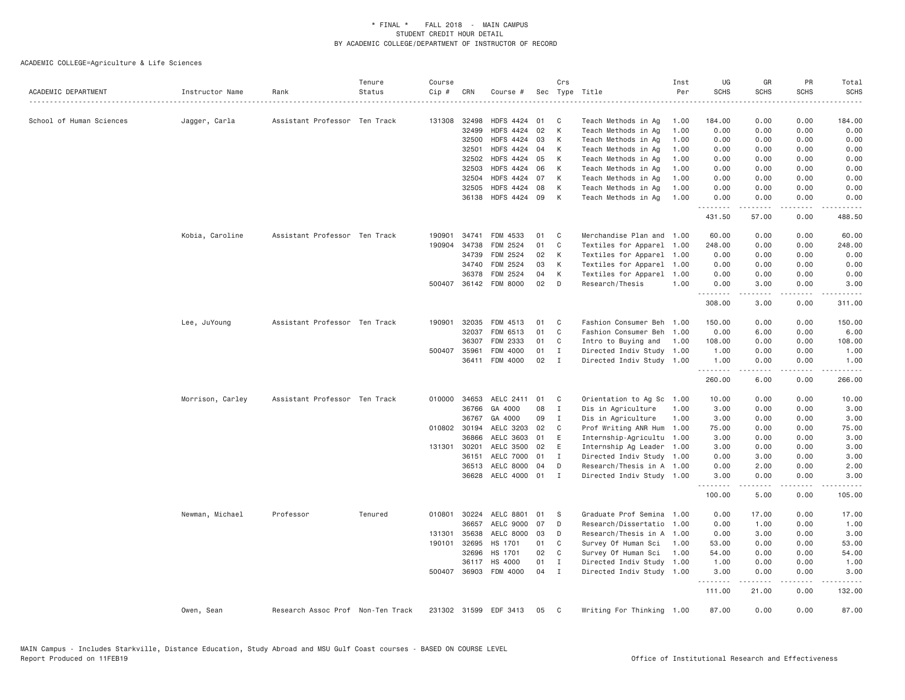| ACADEMIC DEPARTMENT      | Instructor Name  | Rank                              | Tenure<br>Status | Course<br>Cip # | CRN          | Course #              |    | Crs<br>Sec Type Title |                           | Inst<br>Per | UG<br><b>SCHS</b> | GR<br><b>SCHS</b>                                                                                                                                            | PR<br><b>SCHS</b><br>.       | Total<br><b>SCHS</b><br>. |
|--------------------------|------------------|-----------------------------------|------------------|-----------------|--------------|-----------------------|----|-----------------------|---------------------------|-------------|-------------------|--------------------------------------------------------------------------------------------------------------------------------------------------------------|------------------------------|---------------------------|
| School of Human Sciences | Jagger, Carla    | Assistant Professor Ten Track     |                  | 131308          | 32498        | HDFS 4424 01          |    | C                     | Teach Methods in Ag       | 1.00        | 184.00            | 0.00                                                                                                                                                         | 0.00                         | 184.00                    |
|                          |                  |                                   |                  |                 | 32499        | HDFS 4424 02          |    | К                     | Teach Methods in Ag       | 1.00        | 0.00              | 0.00                                                                                                                                                         | 0.00                         | 0.00                      |
|                          |                  |                                   |                  |                 | 32500        | <b>HDFS 4424</b>      | 03 | К                     | Teach Methods in Ag       | 1.00        | 0.00              | 0.00                                                                                                                                                         | 0.00                         | 0.00                      |
|                          |                  |                                   |                  |                 | 32501        | HDFS 4424 04          |    | K                     | Teach Methods in Ag       | 1.00        | 0.00              | 0.00                                                                                                                                                         | 0.00                         | 0.00                      |
|                          |                  |                                   |                  |                 | 32502        | HDFS 4424 05          |    | К                     | Teach Methods in Ag       | 1.00        | 0.00              | 0.00                                                                                                                                                         | 0.00                         | 0.00                      |
|                          |                  |                                   |                  |                 | 32503        | <b>HDFS 4424</b>      | 06 | К                     | Teach Methods in Ag       | 1.00        | 0.00              | 0.00                                                                                                                                                         | 0.00                         | 0.00                      |
|                          |                  |                                   |                  |                 | 32504        | <b>HDFS 4424</b>      | 07 | К                     | Teach Methods in Ag       | 1,00        | 0.00              | 0.00                                                                                                                                                         | 0.00                         | 0.00                      |
|                          |                  |                                   |                  |                 | 32505        | HDFS 4424 08          |    | К                     | Teach Methods in Ag       | 1.00        | 0.00              | 0.00                                                                                                                                                         | 0.00                         | 0.00                      |
|                          |                  |                                   |                  |                 | 36138        | <b>HDFS 4424</b>      | 09 | K                     | Teach Methods in Ag       | 1.00        | 0.00<br>.         | 0.00                                                                                                                                                         | 0.00<br>$\sim$ $\sim$ $\sim$ | 0.00                      |
|                          |                  |                                   |                  |                 |              |                       |    |                       |                           |             | 431.50            | 57.00                                                                                                                                                        | 0.00                         | 488.50                    |
|                          | Kobia, Caroline  | Assistant Professor Ten Track     |                  | 190901          | 34741        | FDM 4533              | 01 | C                     | Merchandise Plan and 1.00 |             | 60.00             | 0.00                                                                                                                                                         | 0.00                         | 60.00                     |
|                          |                  |                                   |                  | 190904          | 34738        | FDM 2524              | 01 | C                     | Textiles for Apparel 1.00 |             | 248.00            | 0.00                                                                                                                                                         | 0.00                         | 248.00                    |
|                          |                  |                                   |                  |                 | 34739        | FDM 2524              | 02 | К                     | Textiles for Apparel 1.00 |             | 0.00              | 0.00                                                                                                                                                         | 0.00                         | 0.00                      |
|                          |                  |                                   |                  |                 | 34740        | FDM 2524              | 03 | К                     | Textiles for Apparel 1.00 |             | 0.00              | 0.00                                                                                                                                                         | 0.00                         | 0.00                      |
|                          |                  |                                   |                  |                 | 36378        | FDM 2524              | 04 | К                     | Textiles for Apparel      | 1.00        | 0.00              | 0.00                                                                                                                                                         | 0.00                         | 0.00                      |
|                          |                  |                                   |                  |                 |              | 500407 36142 FDM 8000 | 02 | D                     | Research/Thesis           | 1.00        | 0.00<br>.         | 3.00<br>.                                                                                                                                                    | 0.00<br>.                    | 3.00<br>.                 |
|                          |                  |                                   |                  |                 |              |                       |    |                       |                           |             | 308.00            | 3.00                                                                                                                                                         | 0.00                         | 311.00                    |
|                          | Lee, JuYoung     | Assistant Professor Ten Track     |                  | 190901          | 32035        | FDM 4513              | 01 | C                     | Fashion Consumer Beh 1.00 |             | 150.00            | 0.00                                                                                                                                                         | 0.00                         | 150.00                    |
|                          |                  |                                   |                  |                 | 32037        | FDM 6513              | 01 | $\mathbb C$           | Fashion Consumer Beh      | 1.00        | 0.00              | 6.00                                                                                                                                                         | 0.00                         | 6.00                      |
|                          |                  |                                   |                  |                 | 36307        | FDM 2333              | 01 | C                     | Intro to Buying and       | 1.00        | 108.00            | 0.00                                                                                                                                                         | 0.00                         | 108.00                    |
|                          |                  |                                   |                  | 500407          | 35961        | FDM 4000              | 01 | $\mathbf I$           | Directed Indiv Study      | 1.00        | 1.00              | 0.00                                                                                                                                                         | 0.00                         | 1.00                      |
|                          |                  |                                   |                  |                 |              | 36411 FDM 4000        | 02 | $\mathbf{I}$          | Directed Indiv Study 1.00 |             | 1.00<br>.         | 0.00<br>.                                                                                                                                                    | 0.00<br>د د د د              | 1.00<br>.                 |
|                          |                  |                                   |                  |                 |              |                       |    |                       |                           |             | 260.00            | 6.00                                                                                                                                                         | 0.00                         | 266.00                    |
|                          | Morrison, Carley | Assistant Professor Ten Track     |                  | 010000          | 34653        | AELC 2411 01          |    | C                     | Orientation to Ag Sc      | 1.00        | 10.00             | 0.00                                                                                                                                                         | 0.00                         | 10.00                     |
|                          |                  |                                   |                  |                 | 36766        | GA 4000               | 08 | $\mathbf I$           | Dis in Agriculture        | 1.00        | 3.00              | 0.00                                                                                                                                                         | 0.00                         | 3.00                      |
|                          |                  |                                   |                  |                 | 36767        | GA 4000               | 09 | $\mathbf{I}$          | Dis in Agriculture        | 1.00        | 3.00              | 0.00                                                                                                                                                         | 0.00                         | 3.00                      |
|                          |                  |                                   |                  |                 | 010802 30194 | AELC 3203 02          |    | C                     | Prof Writing ANR Hum      | 1.00        | 75.00             | 0.00                                                                                                                                                         | 0.00                         | 75.00                     |
|                          |                  |                                   |                  |                 | 36866        | AELC 3603             | 01 | E                     | Internship-Agricultu      | 1.00        | 3.00              | 0.00                                                                                                                                                         | 0.00                         | 3.00                      |
|                          |                  |                                   |                  | 131301          | 30201        | AELC 3500             | 02 | E                     | Internship Ag Leader      | 1.00        | 3.00              | 0.00                                                                                                                                                         | 0.00                         | 3.00                      |
|                          |                  |                                   |                  |                 | 36151        | AELC 7000             | 01 | $\mathbf{I}$          | Directed Indiv Study 1.00 |             | 0.00              | 3.00                                                                                                                                                         | 0.00                         | 3.00                      |
|                          |                  |                                   |                  |                 | 36513        | AELC 8000             | 04 | D                     | Research/Thesis in A 1.00 |             | 0.00              | 2.00                                                                                                                                                         | 0.00                         | 2.00                      |
|                          |                  |                                   |                  |                 |              | 36628 AELC 4000 01    |    | $\mathbf{I}$          | Directed Indiv Study 1.00 |             | 3.00              | 0.00                                                                                                                                                         | 0.00<br>.                    | 3.00                      |
|                          |                  |                                   |                  |                 |              |                       |    |                       |                           |             | 100.00            | 5.00                                                                                                                                                         | 0.00                         | 105.00                    |
|                          | Newman, Michael  | Professor                         | Tenured          | 010801          | 30224        | AELC 8801             | 01 | -S                    | Graduate Prof Semina      | 1.00        | 0.00              | 17.00                                                                                                                                                        | 0.00                         | 17.00                     |
|                          |                  |                                   |                  |                 | 36657        | AELC 9000             | 07 | D                     | Research/Dissertatio      | 1.00        | 0.00              | 1.00                                                                                                                                                         | 0.00                         | 1.00                      |
|                          |                  |                                   |                  | 131301          | 35638        | AELC 8000             | 03 | D                     | Research/Thesis in A 1.00 |             | 0.00              | 3.00                                                                                                                                                         | 0.00                         | 3.00                      |
|                          |                  |                                   |                  | 190101          | 32695        | HS 1701               | 01 | C                     | Survey Of Human Sci       | 1.00        | 53.00             | 0.00                                                                                                                                                         | 0.00                         | 53.00                     |
|                          |                  |                                   |                  |                 | 32696        | HS 1701               | 02 | C                     | Survey Of Human Sci       | 1.00        | 54.00             | 0.00                                                                                                                                                         | 0.00                         | 54.00                     |
|                          |                  |                                   |                  |                 |              | 36117 HS 4000         | 01 | $\mathbf{I}$          | Directed Indiv Study 1.00 |             | 1.00              | 0.00                                                                                                                                                         | 0.00                         | 1.00                      |
|                          |                  |                                   |                  |                 |              | 500407 36903 FDM 4000 | 04 | $\mathbf{I}$          | Directed Indiv Study 1.00 |             | 3.00<br>.         | 0.00<br>$\frac{1}{2} \left( \frac{1}{2} \right) \left( \frac{1}{2} \right) \left( \frac{1}{2} \right) \left( \frac{1}{2} \right) \left( \frac{1}{2} \right)$ | 0.00<br>الأعامات             | 3.00<br>د د د د د         |
|                          |                  |                                   |                  |                 |              |                       |    |                       |                           |             | 111.00            | 21.00                                                                                                                                                        | 0.00                         | 132.00                    |
|                          | Owen, Sean       | Research Assoc Prof Non-Ten Track |                  |                 |              | 231302 31599 EDF 3413 | 05 | C                     | Writing For Thinking 1.00 |             | 87.00             | 0.00                                                                                                                                                         | 0.00                         | 87.00                     |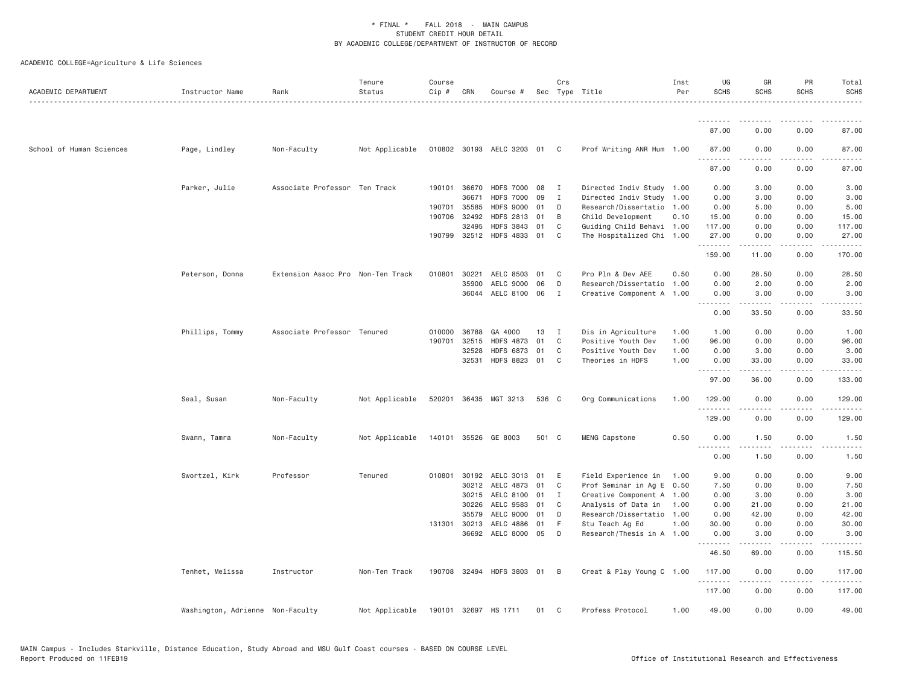| ACADEMIC DEPARTMENT      | Instructor Name                  | Rank                              | Tenure<br>Status | Course<br>Cip # | CRN          | Course #                    |       | Crs            | Sec Type Title            | Inst<br>Per | UG<br><b>SCHS</b> | GR<br><b>SCHS</b>                                                                                                                                            | PR<br>SCHS | Total<br><b>SCHS</b> |
|--------------------------|----------------------------------|-----------------------------------|------------------|-----------------|--------------|-----------------------------|-------|----------------|---------------------------|-------------|-------------------|--------------------------------------------------------------------------------------------------------------------------------------------------------------|------------|----------------------|
|                          |                                  |                                   |                  |                 |              |                             |       |                |                           |             |                   |                                                                                                                                                              |            |                      |
|                          |                                  |                                   |                  |                 |              |                             |       |                |                           |             | 87.00             | 0.00                                                                                                                                                         | 0.00       | 87.00                |
| School of Human Sciences | Page, Lindley                    | Non-Faculty                       | Not Applicable   |                 |              | 010802 30193 AELC 3203 01 C |       |                | Prof Writing ANR Hum 1.00 |             | 87.00<br>.        | 0.00                                                                                                                                                         | 0.00<br>.  | 87.00                |
|                          |                                  |                                   |                  |                 |              |                             |       |                |                           |             | 87.00             | 0.00                                                                                                                                                         | 0.00       | 87.00                |
|                          | Parker, Julie                    | Associate Professor Ten Track     |                  |                 | 190101 36670 | <b>HDFS 7000</b>            | 08    | $\mathbf{I}$   | Directed Indiv Study 1.00 |             | 0.00              | 3.00                                                                                                                                                         | 0.00       | 3.00                 |
|                          |                                  |                                   |                  |                 | 36671        | <b>HDFS 7000</b>            | 09    | $\mathbf{I}$   | Directed Indiv Study 1.00 |             | 0.00              | 3.00                                                                                                                                                         | 0.00       | 3.00                 |
|                          |                                  |                                   |                  | 190701          | 35585        | <b>HDFS 9000</b>            | 01    | D              | Research/Dissertatio 1.00 |             | 0.00              | 5.00                                                                                                                                                         | 0.00       | 5.00                 |
|                          |                                  |                                   |                  |                 | 190706 32492 | <b>HDFS 2813</b>            | 01    | B              | Child Development         | 0.10        | 15.00             | 0.00                                                                                                                                                         | 0.00       | 15.00                |
|                          |                                  |                                   |                  |                 | 32495        | <b>HDFS 3843</b>            | 01    | C              | Guiding Child Behavi 1.00 |             | 117.00            | 0.00                                                                                                                                                         | 0.00       | 117.00               |
|                          |                                  |                                   |                  |                 | 190799 32512 | HDFS 4833 01                |       | C              | The Hospitalized Chi 1.00 |             | 27.00<br>.        | 0.00                                                                                                                                                         | 0.00       | 27.00                |
|                          |                                  |                                   |                  |                 |              |                             |       |                |                           |             | 159.00            | 11.00                                                                                                                                                        | 0.00       | 170.00               |
|                          | Peterson, Donna                  | Extension Assoc Pro Non-Ten Track |                  | 010801          | 30221        | AELC 8503                   | 01    | $\mathbf{C}$   | Pro Pln & Dev AEE         | 0.50        | 0.00              | 28.50                                                                                                                                                        | 0.00       | 28.50                |
|                          |                                  |                                   |                  |                 | 35900        | AELC 9000                   | 06    | D              | Research/Dissertatio 1.00 |             | 0.00              | 2.00                                                                                                                                                         | 0.00       | 2.00                 |
|                          |                                  |                                   |                  |                 |              | 36044 AELC 8100 06          |       | $\mathbf{I}$   | Creative Component A 1.00 |             | 0.00<br>.         | 3.00<br>.                                                                                                                                                    | 0.00<br>.  | 3.00<br>.            |
|                          |                                  |                                   |                  |                 |              |                             |       |                |                           |             | 0.00              | 33.50                                                                                                                                                        | 0.00       | 33.50                |
|                          | Phillips, Tommy                  | Associate Professor Tenured       |                  |                 | 010000 36788 | GA 4000                     | 13    | $\mathbf{I}$   | Dis in Agriculture        | 1.00        | 1.00              | 0.00                                                                                                                                                         | 0.00       | 1.00                 |
|                          |                                  |                                   |                  | 190701          | 32515        | <b>HDFS 4873</b>            | 01    | C              | Positive Youth Dev        | 1.00        | 96.00             | 0.00                                                                                                                                                         | 0.00       | 96.00                |
|                          |                                  |                                   |                  |                 | 32528        | <b>HDFS 6873</b>            | 01    | C              | Positive Youth Dev        | 1.00        | 0.00              | 3.00                                                                                                                                                         | 0.00       | 3.00                 |
|                          |                                  |                                   |                  |                 | 32531        | <b>HDFS 8823</b>            | 01    | $\mathbf{C}$   | Theories in HDFS          | 1.00        | 0.00<br>.         | 33.00<br>.                                                                                                                                                   | 0.00<br>.  | 33.00<br>.           |
|                          |                                  |                                   |                  |                 |              |                             |       |                |                           |             | 97.00             | 36.00                                                                                                                                                        | 0.00       | 133.00               |
|                          | Seal, Susan                      | Non-Faculty                       | Not Applicable   |                 |              | 520201 36435 MGT 3213       | 536 C |                | Org Communications        | 1.00        | 129.00<br>.       | 0.00                                                                                                                                                         | 0.00<br>.  | 129.00<br>.          |
|                          |                                  |                                   |                  |                 |              |                             |       |                |                           |             | 129.00            | 0.00                                                                                                                                                         | 0.00       | 129.00               |
|                          | Swann, Tamra                     | Non-Faculty                       | Not Applicable   |                 |              | 140101 35526 GE 8003        | 501 C |                | MENG Capstone             | 0.50        | 0.00              | 1.50                                                                                                                                                         | 0.00       | 1.50                 |
|                          |                                  |                                   |                  |                 |              |                             |       |                |                           |             | 2.2.2.2.2<br>0.00 | 1.50                                                                                                                                                         | 0.00       | 1.50                 |
|                          | Swortzel, Kirk                   | Professor                         | Tenured          |                 |              | 010801 30192 AELC 3013      | 01    | E              | Field Experience in       | 1.00        | 9.00              | 0.00                                                                                                                                                         | 0.00       | 9.00                 |
|                          |                                  |                                   |                  |                 | 30212        | AELC 4873                   | 01    | $\mathbf{C}$   | Prof Seminar in Ag E 0.50 |             | 7.50              | 0.00                                                                                                                                                         | 0.00       | 7.50                 |
|                          |                                  |                                   |                  |                 | 30215        | AELC 8100                   | 01    | $\mathbf{I}$   | Creative Component A 1.00 |             | 0.00              | 3.00                                                                                                                                                         | 0.00       | 3.00                 |
|                          |                                  |                                   |                  |                 | 30226        | AELC 9583                   | 01    | C              | Analysis of Data in       | 1.00        | 0.00              | 21.00                                                                                                                                                        | 0.00       | 21.00                |
|                          |                                  |                                   |                  |                 | 35579        | AELC 9000                   | 01    | D              | Research/Dissertatio 1.00 |             | 0.00              | 42.00                                                                                                                                                        | 0.00       | 42.00                |
|                          |                                  |                                   |                  |                 | 131301 30213 | AELC 4886                   | 01    | - F            | Stu Teach Ag Ed           | 1.00        | 30.00             | 0.00                                                                                                                                                         | 0.00       | 30.00                |
|                          |                                  |                                   |                  |                 |              | 36692 AELC 8000 05          |       | D              | Research/Thesis in A 1.00 |             | 0.00              | 3.00                                                                                                                                                         | 0.00       | 3.00                 |
|                          |                                  |                                   |                  |                 |              |                             |       |                |                           |             | .<br>46.50        | 69.00                                                                                                                                                        | 0.00       | 115.50               |
|                          | Tenhet, Melissa                  | Instructor                        | Non-Ten Track    |                 |              | 190708 32494 HDFS 3803 01   |       | $\overline{B}$ | Creat & Play Young C 1.00 |             | 117.00<br>.       | 0.00<br>$\frac{1}{2} \left( \frac{1}{2} \right) \left( \frac{1}{2} \right) \left( \frac{1}{2} \right) \left( \frac{1}{2} \right) \left( \frac{1}{2} \right)$ | 0.00<br>.  | 117.00<br>.          |
|                          |                                  |                                   |                  |                 |              |                             |       |                |                           |             | 117.00            | 0.00                                                                                                                                                         | 0.00       | 117.00               |
|                          | Washington, Adrienne Non-Faculty |                                   | Not Applicable   |                 |              | 190101 32697 HS 1711        | 01    | C              | Profess Protocol          | 1.00        | 49.00             | 0.00                                                                                                                                                         | 0.00       | 49.00                |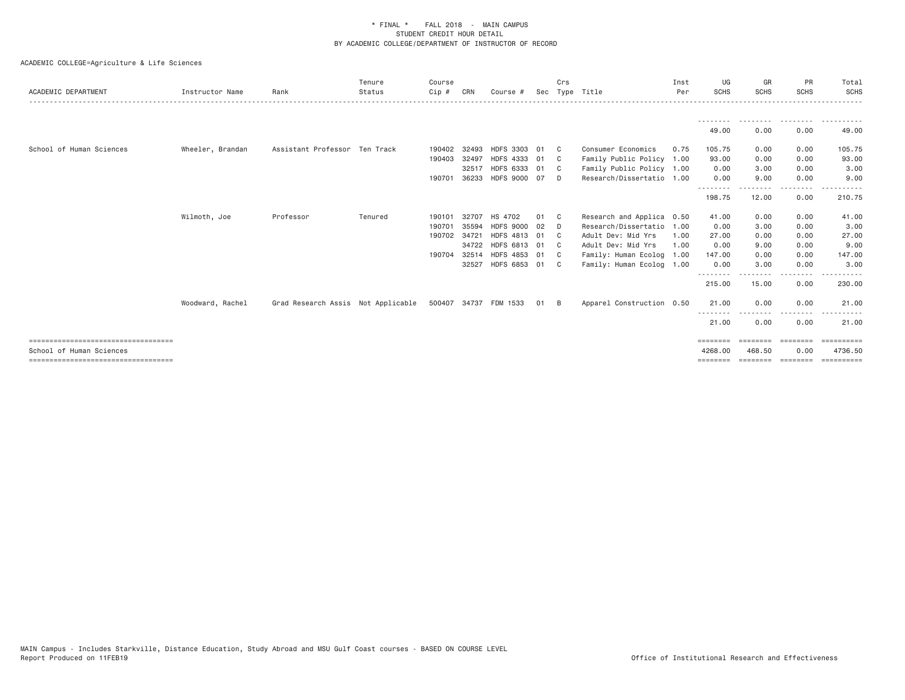| ACADEMIC DEPARTMENT                   | Instructor Name  | Rank                                                     | Tenure<br>Status | Course<br>Cip # | CRN   | Course #         |      | Crs            | Sec Type Title            | Inst<br>Per | UG<br><b>SCHS</b>        | GR<br><b>SCHS</b>  | PR<br><b>SCHS</b>  | Total<br><b>SCHS</b> |
|---------------------------------------|------------------|----------------------------------------------------------|------------------|-----------------|-------|------------------|------|----------------|---------------------------|-------------|--------------------------|--------------------|--------------------|----------------------|
|                                       |                  |                                                          |                  |                 |       |                  |      |                |                           |             |                          |                    |                    |                      |
|                                       |                  |                                                          |                  |                 |       |                  |      |                |                           |             | - - - - - - - -<br>49.00 | 0.00               | 0.00               | ----------<br>49.00  |
| School of Human Sciences              | Wheeler, Brandan | Assistant Professor Ten Track                            |                  | 190402          | 32493 | HDFS 3303 01     |      | $\overline{c}$ | Consumer Economics        | 0.75        | 105.75                   | 0.00               | 0.00               | 105.75               |
|                                       |                  |                                                          |                  | 190403          | 32497 | HDFS 4333 01     |      | $\mathbf{C}$   | Family Public Policy 1.00 |             | 93.00                    | 0.00               | 0.00               | 93.00                |
|                                       |                  |                                                          |                  |                 | 32517 | HDFS 6333 01     |      | $\mathbb C$    | Family Public Policy 1.00 |             | 0.00                     | 3.00               | 0.00               | 3.00                 |
|                                       |                  |                                                          |                  | 190701          | 36233 | HDFS 9000 07     |      | D.             | Research/Dissertatio 1.00 |             | 0.00<br>- - - - - - - -  | 9.00               | 0.00<br>.          | 9.00                 |
|                                       |                  |                                                          |                  |                 |       |                  |      |                |                           |             | 198.75                   | 12.00              | 0.00               | 210.75               |
|                                       | Wilmoth, Joe     | Professor                                                | Tenured          | 190101          | 32707 | HS 4702          | 01   | $\mathbf{C}$   | Research and Applica 0.50 |             | 41.00                    | 0.00               | 0.00               | 41.00                |
|                                       |                  |                                                          |                  | 190701          | 35594 | <b>HDFS 9000</b> | 02   | D.             | Research/Dissertatio 1.00 |             | 0.00                     | 3.00               | 0.00               | 3.00                 |
|                                       |                  |                                                          |                  | 190702 34721    |       | HDFS 4813 01     |      | $\mathbf{C}$   | Adult Dev: Mid Yrs        | 1.00        | 27.00                    | 0.00               | 0.00               | 27.00                |
|                                       |                  |                                                          |                  |                 | 34722 | HDFS 6813 01     |      | $\mathbb{C}$   | Adult Dev: Mid Yrs        | 1.00        | 0.00                     | 9.00               | 0.00               | 9.00                 |
|                                       |                  |                                                          |                  | 190704          | 32514 | HDFS 4853 01     |      | $\mathbf{C}$   | Family: Human Ecolog 1.00 |             | 147.00                   | 0.00               | 0.00               | 147.00               |
|                                       |                  |                                                          |                  |                 | 32527 | HDFS 6853 01 C   |      |                | Family: Human Ecolog 1.00 |             | 0.00                     | 3.00               | 0.00               | 3.00                 |
|                                       |                  |                                                          |                  |                 |       |                  |      |                |                           |             | 215.00                   | 15.00              | . <b>.</b><br>0.00 | 230.00               |
|                                       | Woodward, Rachel | Grad Research Assis Not Applicable 500407 34737 FDM 1533 |                  |                 |       |                  | 01 B |                | Apparel Construction 0.50 |             | 21.00                    | 0.00               | 0.00               | 21.00                |
|                                       |                  |                                                          |                  |                 |       |                  |      |                |                           |             | 21.00                    | 0.00               | 0.00               | 21.00                |
| ===================================== |                  |                                                          |                  |                 |       |                  |      |                |                           |             | ========                 |                    | ========           | ==========           |
| School of Human Sciences              |                  |                                                          |                  |                 |       |                  |      |                |                           |             | 4268,00                  | 468.50             | 0.00               | 4736.50              |
| ====================================  |                  |                                                          |                  |                 |       |                  |      |                |                           |             | ========                 | ========= ======== |                    | EEEEEEEEE            |
|                                       |                  |                                                          |                  |                 |       |                  |      |                |                           |             |                          |                    |                    |                      |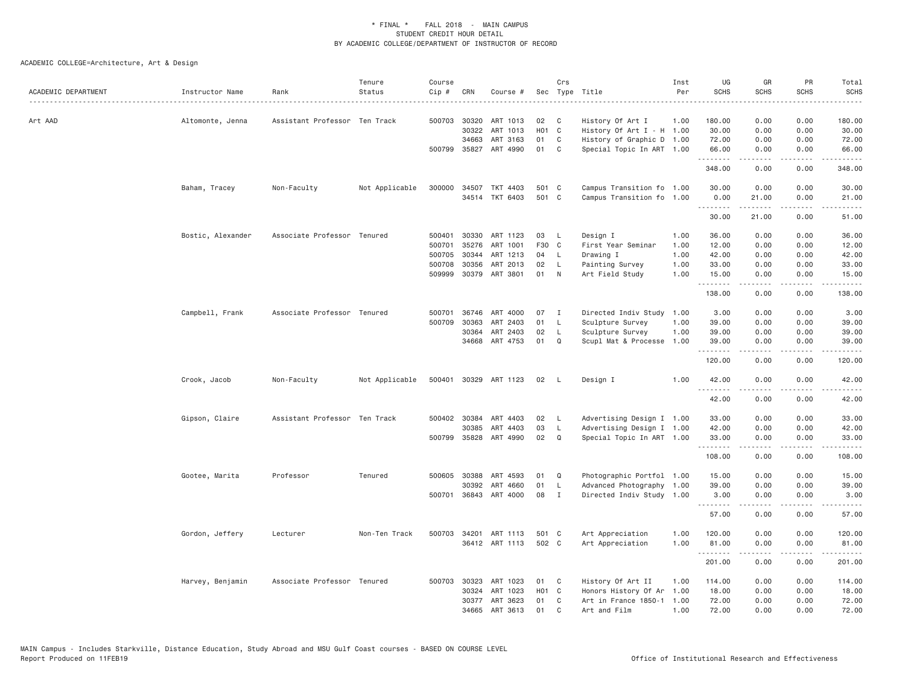| ACADEMIC DEPARTMENT | Instructor Name   | Rank                          | Tenure<br>Status | Course<br>Cip # | CRN          | Course #              |                   | Crs          | Sec Type Title            | Inst<br>Per | UG<br><b>SCHS</b>                      | GR<br>SCHS                                                                                                                                                    | PR<br><b>SCHS</b>                   | Total<br><b>SCHS</b><br>. |
|---------------------|-------------------|-------------------------------|------------------|-----------------|--------------|-----------------------|-------------------|--------------|---------------------------|-------------|----------------------------------------|---------------------------------------------------------------------------------------------------------------------------------------------------------------|-------------------------------------|---------------------------|
| Art AAD             | Altomonte, Jenna  | Assistant Professor Ten Track |                  |                 | 500703 30320 | ART 1013              | 02                | C            | History Of Art I          | 1.00        | 180.00                                 | 0.00                                                                                                                                                          | 0.00                                | 180.00                    |
|                     |                   |                               |                  |                 | 30322        | ART 1013              | H <sub>01</sub> C |              | History Of Art I - H 1.00 |             | 30.00                                  | 0.00                                                                                                                                                          | 0.00                                | 30.00                     |
|                     |                   |                               |                  |                 | 34663        | ART 3163              | 01                | C            | History of Graphic D 1.00 |             | 72.00                                  | 0.00                                                                                                                                                          | 0.00                                | 72.00                     |
|                     |                   |                               |                  |                 |              | 500799 35827 ART 4990 | 01                | C            | Special Topic In ART 1.00 |             | 66.00                                  | 0.00<br>.                                                                                                                                                     | 0.00<br>.                           | 66.00<br>.                |
|                     |                   |                               |                  |                 |              |                       |                   |              |                           |             | 348.00                                 | 0.00                                                                                                                                                          | 0.00                                | 348.00                    |
|                     | Baham, Tracey     | Non-Faculty                   | Not Applicable   |                 | 300000 34507 | TKT 4403              | 501 C             |              | Campus Transition fo 1.00 |             | 30.00                                  | 0.00                                                                                                                                                          | 0.00                                | 30.00                     |
|                     |                   |                               |                  |                 |              | 34514 TKT 6403        | 501 C             |              | Campus Transition fo 1.00 |             | 0.00<br>.                              | 21.00<br>$\frac{1}{2} \left( \frac{1}{2} \right) \left( \frac{1}{2} \right) \left( \frac{1}{2} \right) \left( \frac{1}{2} \right) \left( \frac{1}{2} \right)$ | 0.00<br>.                           | 21.00<br>المتماما         |
|                     |                   |                               |                  |                 |              |                       |                   |              |                           |             | 30.00                                  | 21,00                                                                                                                                                         | 0.00                                | 51,00                     |
|                     | Bostic, Alexander | Associate Professor Tenured   |                  | 500401          | 30330        | ART 1123              | 03                | L            | Design I                  | 1.00        | 36.00                                  | 0.00                                                                                                                                                          | 0.00                                | 36.00                     |
|                     |                   |                               |                  | 500701          | 35276        | ART 1001              | F30 C             |              | First Year Seminar        | 1.00        | 12.00                                  | 0.00                                                                                                                                                          | 0.00                                | 12.00                     |
|                     |                   |                               |                  | 500705          | 30344        | ART 1213              | 04                | L            | Drawing I                 | 1.00        | 42.00                                  | 0.00                                                                                                                                                          | 0.00                                | 42.00                     |
|                     |                   |                               |                  | 500708          | 30356        | ART 2013              | 02                | L            | Painting Survey           | 1.00        | 33.00                                  | 0.00                                                                                                                                                          | 0.00                                | 33.00                     |
|                     |                   |                               |                  |                 |              | 509999 30379 ART 3801 | 01                | $\mathsf{N}$ | Art Field Study           | 1.00        | 15.00<br>.                             | 0.00<br>.                                                                                                                                                     | 0.00<br>.                           | 15.00<br>.                |
|                     |                   |                               |                  |                 |              |                       |                   |              |                           |             | 138.00                                 | 0.00                                                                                                                                                          | 0.00                                | 138.00                    |
|                     | Campbell, Frank   | Associate Professor Tenured   |                  | 500701          | 36746        | ART 4000              | 07                | $\mathbf{I}$ | Directed Indiv Study 1.00 |             | 3.00                                   | 0.00                                                                                                                                                          | 0.00                                | 3.00                      |
|                     |                   |                               |                  | 500709          | 30363        | ART 2403              | 01                | L            | Sculpture Survey          | 1.00        | 39.00                                  | 0.00                                                                                                                                                          | 0.00                                | 39.00                     |
|                     |                   |                               |                  |                 | 30364        | ART 2403              | 02                | L            | Sculpture Survey          | 1.00        | 39.00                                  | 0.00                                                                                                                                                          | 0.00                                | 39.00                     |
|                     |                   |                               |                  |                 | 34668        | ART 4753              | 01                | Q            | Scupl Mat & Processe 1.00 |             | 39.00                                  | 0.00                                                                                                                                                          | 0.00                                | 39.00                     |
|                     |                   |                               |                  |                 |              |                       |                   |              |                           |             | .<br>120.00                            | 0.00                                                                                                                                                          | $\sim$ $\sim$ $\sim$ $\sim$<br>0.00 | د د د د<br>120.00         |
|                     | Crook, Jacob      | Non-Faculty                   | Not Applicable   | 500401          |              | 30329 ART 1123        | 02                | L.           | Design I                  | 1.00        | 42.00<br><b><i><u><u>.</u></u></i></b> | 0.00                                                                                                                                                          | 0.00                                | 42.00                     |
|                     |                   |                               |                  |                 |              |                       |                   |              |                           |             | 42.00                                  | .<br>0.00                                                                                                                                                     | $\sim$ $\sim$ $\sim$ $\sim$<br>0.00 | .<br>42.00                |
|                     | Gipson, Claire    | Assistant Professor Ten Track |                  |                 | 500402 30384 | ART 4403              | 02                | L.           | Advertising Design I 1.00 |             | 33.00                                  | 0.00                                                                                                                                                          | 0.00                                | 33.00                     |
|                     |                   |                               |                  |                 | 30385        | ART 4403              | 03                | $\mathsf{L}$ | Advertising Design I 1.00 |             | 42.00                                  | 0.00                                                                                                                                                          | 0.00                                | 42.00                     |
|                     |                   |                               |                  | 500799          | 35828        | ART 4990              | 02                | $\Omega$     | Special Topic In ART 1.00 |             | 33.00<br>.                             | 0.00<br>.                                                                                                                                                     | 0.00<br>$\cdots$                    | 33.00<br>.                |
|                     |                   |                               |                  |                 |              |                       |                   |              |                           |             | 108.00                                 | 0.00                                                                                                                                                          | 0.00                                | 108.00                    |
|                     | Gootee, Marita    | Professor                     | Tenured          |                 | 500605 30388 | ART 4593              | 01                | Q            | Photographic Portfol 1.00 |             | 15.00                                  | 0.00                                                                                                                                                          | 0.00                                | 15.00                     |
|                     |                   |                               |                  |                 | 30392        | ART 4660              | 01                | L            | Advanced Photography 1.00 |             | 39.00                                  | 0.00                                                                                                                                                          | 0.00                                | 39.00                     |
|                     |                   |                               |                  | 500701          |              | 36843 ART 4000        | 08                | I            | Directed Indiv Study 1.00 |             | 3.00                                   | 0.00<br>.                                                                                                                                                     | 0.00<br>.                           | 3.00<br>.                 |
|                     |                   |                               |                  |                 |              |                       |                   |              |                           |             | 57.00                                  | 0.00                                                                                                                                                          | 0.00                                | 57.00                     |
|                     | Gordon, Jeffery   | Lecturer                      | Non-Ten Track    |                 |              | 500703 34201 ART 1113 | 501 C             |              | Art Appreciation          | 1.00        | 120.00                                 | 0.00                                                                                                                                                          | 0.00                                | 120.00                    |
|                     |                   |                               |                  |                 |              | 36412 ART 1113        | 502 C             |              | Art Appreciation          | 1.00        | 81.00                                  | 0.00                                                                                                                                                          | 0.00                                | 81.00                     |
|                     |                   |                               |                  |                 |              |                       |                   |              |                           |             | .<br>201.00                            | .<br>0.00                                                                                                                                                     | $\sim$ $\sim$ $\sim$ $\sim$<br>0.00 | .<br>201.00               |
|                     | Harvey, Benjamin  | Associate Professor Tenured   |                  | 500703          | 30323        | ART 1023              | 01                | C            | History Of Art II         | 1.00        | 114.00                                 | 0.00                                                                                                                                                          | 0.00                                | 114.00                    |
|                     |                   |                               |                  |                 | 30324        | ART 1023              | H01 C             |              | Honors History Of Ar      | 1.00        | 18.00                                  | 0.00                                                                                                                                                          | 0.00                                | 18.00                     |
|                     |                   |                               |                  |                 | 30377        | ART 3623              | 01                | C            | Art in France 1850-1      | 1.00        | 72.00                                  | 0.00                                                                                                                                                          | 0.00                                | 72.00                     |
|                     |                   |                               |                  |                 | 34665        | ART 3613              | 01                | $\mathbf{C}$ | Art and Film              | 1.00        | 72.00                                  | 0.00                                                                                                                                                          | 0.00                                | 72.00                     |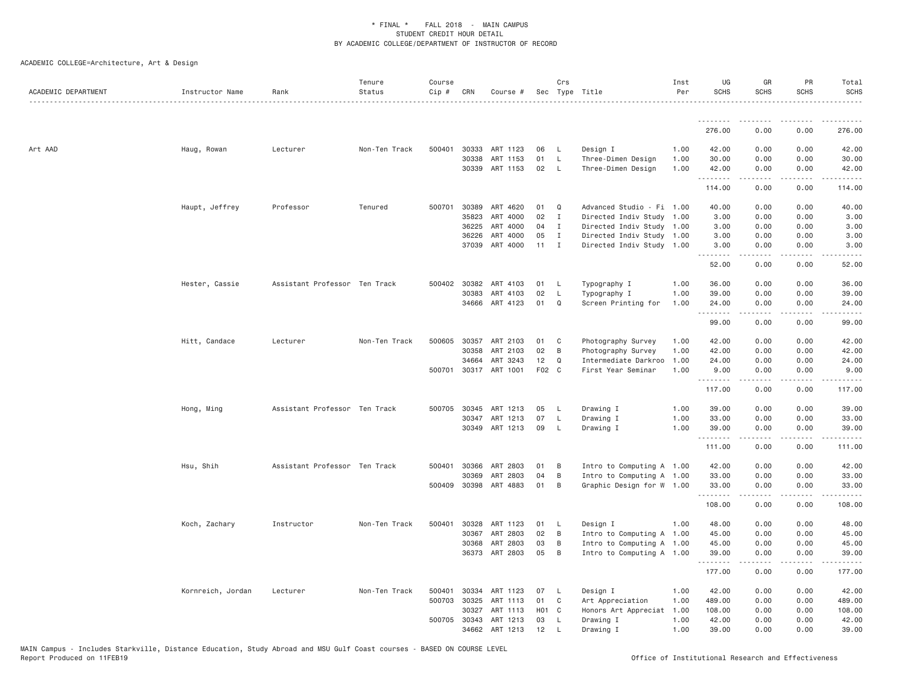| ACADEMIC DEPARTMENT | Instructor Name   | Rank                          | Tenure<br>Status | Course<br>Cip # | CRN          | Course #              |       | Crs            | Sec Type Title            | Inst<br>Per | UG<br><b>SCHS</b> | GR<br><b>SCHS</b>                                                                                                                                            | PR<br><b>SCHS</b>                                                                             | Total<br><b>SCHS</b>   |
|---------------------|-------------------|-------------------------------|------------------|-----------------|--------------|-----------------------|-------|----------------|---------------------------|-------------|-------------------|--------------------------------------------------------------------------------------------------------------------------------------------------------------|-----------------------------------------------------------------------------------------------|------------------------|
|                     |                   |                               |                  |                 |              |                       |       |                |                           |             | .                 | .                                                                                                                                                            |                                                                                               |                        |
|                     |                   |                               |                  |                 |              |                       |       |                |                           |             | 276.00            | 0.00                                                                                                                                                         | 0.00                                                                                          | 276.00                 |
| Art AAD             | Haug, Rowan       | Lecturer                      | Non-Ten Track    | 500401          | 30333        | ART 1123              | 06    | - L            | Design I                  | 1.00        | 42.00             | 0.00                                                                                                                                                         | 0.00                                                                                          | 42.00                  |
|                     |                   |                               |                  |                 | 30338        | ART 1153              | 01    | L              | Three-Dimen Design        | 1.00        | 30.00             | 0.00                                                                                                                                                         | 0.00                                                                                          | 30.00                  |
|                     |                   |                               |                  |                 |              | 30339 ART 1153        | 02    | $\mathsf{L}$   | Three-Dimen Design        | 1.00        | 42.00<br>.        | 0.00<br>$\frac{1}{2} \left( \frac{1}{2} \right) \left( \frac{1}{2} \right) \left( \frac{1}{2} \right) \left( \frac{1}{2} \right) \left( \frac{1}{2} \right)$ | 0.00<br>.                                                                                     | 42.00<br>.             |
|                     |                   |                               |                  |                 |              |                       |       |                |                           |             | 114.00            | 0.00                                                                                                                                                         | 0.00                                                                                          | 114.00                 |
|                     | Haupt, Jeffrey    | Professor                     | Tenured          | 500701          | 30389        | ART 4620              | 01    | Q              | Advanced Studio - Fi 1.00 |             | 40.00             | 0.00                                                                                                                                                         | 0.00                                                                                          | 40.00                  |
|                     |                   |                               |                  |                 | 35823        | ART 4000              | 02    | $\mathbf{I}$   | Directed Indiv Study 1.00 |             | 3.00              | 0.00                                                                                                                                                         | 0.00                                                                                          | 3.00                   |
|                     |                   |                               |                  |                 | 36225        | ART 4000              | 04    | $\mathbf{I}$   | Directed Indiv Study 1.00 |             | 3.00              | 0.00                                                                                                                                                         | 0.00                                                                                          | 3.00                   |
|                     |                   |                               |                  |                 | 36226        | ART 4000              | 05    | $\mathbf I$    | Directed Indiv Study 1.00 |             | 3.00              | 0.00                                                                                                                                                         | 0.00                                                                                          | 3.00                   |
|                     |                   |                               |                  |                 | 37039        | ART 4000              | 11    | $\mathbf I$    | Directed Indiv Study 1.00 |             | 3.00<br>.         | 0.00<br>.                                                                                                                                                    | 0.00<br>$\frac{1}{2} \frac{1}{2} \frac{1}{2} \frac{1}{2} \frac{1}{2} \frac{1}{2} \frac{1}{2}$ | 3.00<br>.              |
|                     |                   |                               |                  |                 |              |                       |       |                |                           |             | 52.00             | 0.00                                                                                                                                                         | 0.00                                                                                          | 52.00                  |
|                     | Hester, Cassie    | Assistant Professor Ten Track |                  |                 | 500402 30382 | ART 4103              | 01    | - L            | Typography I              | 1.00        | 36.00             | 0.00                                                                                                                                                         | 0.00                                                                                          | 36.00                  |
|                     |                   |                               |                  |                 | 30383        | ART 4103              | 02    | - L            | Typography I              | 1.00        | 39.00             | 0.00                                                                                                                                                         | 0.00                                                                                          | 39.00                  |
|                     |                   |                               |                  |                 |              | 34666 ART 4123        | 01    | Q              | Screen Printing for       | 1.00        | 24.00<br>.        | 0.00<br>$- - - - -$                                                                                                                                          | 0.00<br>.                                                                                     | 24.00<br>.             |
|                     |                   |                               |                  |                 |              |                       |       |                |                           |             | 99.00             | 0.00                                                                                                                                                         | 0.00                                                                                          | 99.00                  |
|                     | Hitt, Candace     | Lecturer                      | Non-Ten Track    | 500605          | 30357        | ART 2103              | 01    | C              | Photography Survey        | 1.00        | 42.00             | 0.00                                                                                                                                                         | 0.00                                                                                          | 42.00                  |
|                     |                   |                               |                  |                 | 30358        | ART 2103              | 02    | B              | Photography Survey        | 1.00        | 42.00             | 0.00                                                                                                                                                         | 0.00                                                                                          | 42.00                  |
|                     |                   |                               |                  |                 | 34664        | ART 3243              | 12    | Q              | Intermediate Darkroo      | 1.00        | 24.00             | 0.00                                                                                                                                                         | 0.00                                                                                          | 24.00                  |
|                     |                   |                               |                  |                 |              | 500701 30317 ART 1001 | F02 C |                | First Year Seminar        | 1.00        | 9.00<br>.         | 0.00<br>$- - - - -$                                                                                                                                          | 0.00<br>.                                                                                     | 9.00<br>$- - - - - -$  |
|                     |                   |                               |                  |                 |              |                       |       |                |                           |             | 117.00            | 0.00                                                                                                                                                         | 0.00                                                                                          | 117.00                 |
|                     | Hong, Ming        | Assistant Professor Ten Track |                  | 500705          | 30345        | ART 1213              | 05    | - L            | Drawing I                 | 1.00        | 39.00             | 0.00                                                                                                                                                         | 0.00                                                                                          | 39.00                  |
|                     |                   |                               |                  |                 | 30347        | ART 1213              | 07    | L.             | Drawing I                 | 1.00        | 33.00             | 0.00                                                                                                                                                         | 0.00                                                                                          | 33.00                  |
|                     |                   |                               |                  |                 |              | 30349 ART 1213        | 09    | $\mathsf{L}$   | Drawing I                 | 1.00        | 39.00<br>.        | 0.00<br>$- - - - - -$                                                                                                                                        | 0.00<br>.                                                                                     | 39.00<br>$- - - - - -$ |
|                     |                   |                               |                  |                 |              |                       |       |                |                           |             | 111.00            | 0.00                                                                                                                                                         | 0.00                                                                                          | 111.00                 |
|                     | Hsu, Shih         | Assistant Professor Ten Track |                  | 500401          | 30366        | ART 2803              | 01    | B              | Intro to Computing A 1.00 |             | 42.00             | 0.00                                                                                                                                                         | 0.00                                                                                          | 42.00                  |
|                     |                   |                               |                  |                 | 30369        | ART 2803              | 04    | B              | Intro to Computing A 1.00 |             | 33.00             | 0.00                                                                                                                                                         | 0.00                                                                                          | 33.00                  |
|                     |                   |                               |                  |                 |              | 500409 30398 ART 4883 | 01    | B              | Graphic Design for W 1.00 |             | 33.00<br>.        | 0.00<br>$- - - - -$                                                                                                                                          | 0.00<br>.                                                                                     | 33.00<br><u>.</u>      |
|                     |                   |                               |                  |                 |              |                       |       |                |                           |             | 108.00            | 0.00                                                                                                                                                         | 0.00                                                                                          | 108.00                 |
|                     | Koch, Zachary     | Instructor                    | Non-Ten Track    | 500401          | 30328        | ART 1123              | 01    | - L            | Design I                  | 1.00        | 48.00             | 0.00                                                                                                                                                         | 0.00                                                                                          | 48.00                  |
|                     |                   |                               |                  |                 | 30367        | ART 2803              | 02    | B              | Intro to Computing A 1.00 |             | 45.00             | 0.00                                                                                                                                                         | 0.00                                                                                          | 45.00                  |
|                     |                   |                               |                  |                 | 30368        | ART 2803              | 03    | B              | Intro to Computing A 1.00 |             | 45.00             | 0.00                                                                                                                                                         | 0.00                                                                                          | 45.00                  |
|                     |                   |                               |                  |                 | 36373        | ART 2803              | 05    | $\overline{B}$ | Intro to Computing A 1.00 |             | 39.00<br>.        | 0.00                                                                                                                                                         | 0.00                                                                                          | 39.00                  |
|                     |                   |                               |                  |                 |              |                       |       |                |                           |             | 177.00            | 0.00                                                                                                                                                         | 0.00                                                                                          | 177.00                 |
|                     | Kornreich, Jordan | Lecturer                      | Non-Ten Track    | 500401          | 30334        | ART 1123              | 07    | - L            | Design I                  | 1.00        | 42.00             | 0.00                                                                                                                                                         | 0.00                                                                                          | 42.00                  |
|                     |                   |                               |                  | 500703          | 30325        | ART 1113              | 01    | C              | Art Appreciation          | 1.00        | 489.00            | 0.00                                                                                                                                                         | 0.00                                                                                          | 489.00                 |
|                     |                   |                               |                  |                 | 30327        | ART 1113              | H01 C |                | Honors Art Appreciat 1.00 |             | 108.00            | 0.00                                                                                                                                                         | 0.00                                                                                          | 108.00                 |
|                     |                   |                               |                  | 500705          | 30343        | ART 1213              | 03    | <b>L</b>       | Drawing I                 | 1.00        | 42.00             | 0.00                                                                                                                                                         | 0.00                                                                                          | 42.00                  |
|                     |                   |                               |                  |                 | 34662        | ART 1213              | 12    | $\perp$        | Drawing I                 | 1.00        | 39,00             | 0.00                                                                                                                                                         | 0.00                                                                                          | 39.00                  |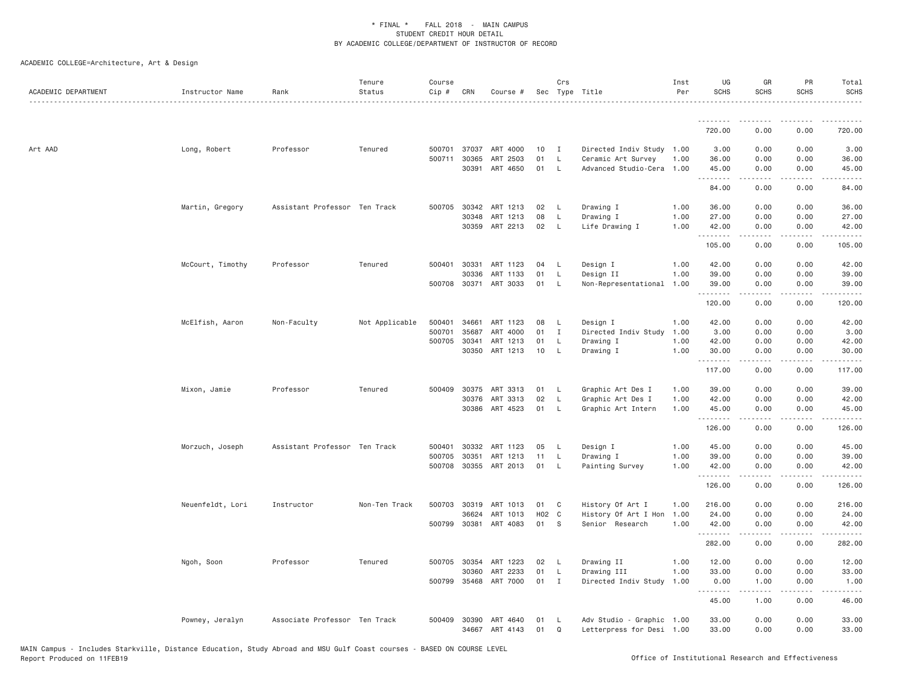| ACADEMIC DEPARTMENT | Instructor Name  | Rank                          | Tenure<br>Status | Course<br>Cip # | CRN          | Course #              |       | Crs          | Sec Type Title            | Inst<br>Per | UG<br><b>SCHS</b> | GR<br><b>SCHS</b>                   | PR<br>SCHS                                  | Total<br><b>SCHS</b>                                                                                                                                          |
|---------------------|------------------|-------------------------------|------------------|-----------------|--------------|-----------------------|-------|--------------|---------------------------|-------------|-------------------|-------------------------------------|---------------------------------------------|---------------------------------------------------------------------------------------------------------------------------------------------------------------|
|                     |                  |                               |                  |                 |              |                       |       |              |                           |             | .                 |                                     |                                             |                                                                                                                                                               |
|                     |                  |                               |                  |                 |              |                       |       |              |                           |             | 720.00            | 0.00                                | 0.00                                        | 720.00                                                                                                                                                        |
| Art AAD             | Long, Robert     | Professor                     | Tenured          |                 | 500701 37037 | ART 4000              | 10    | $\mathbf{I}$ | Directed Indiv Study 1.00 |             | 3.00              | 0.00                                | 0.00                                        | 3.00                                                                                                                                                          |
|                     |                  |                               |                  |                 | 500711 30365 | ART 2503              | 01    | $\mathsf{L}$ | Ceramic Art Survey        | 1.00        | 36.00             | 0.00                                | 0.00                                        | 36.00                                                                                                                                                         |
|                     |                  |                               |                  |                 |              | 30391 ART 4650        | 01    | $\mathsf{L}$ | Advanced Studio-Cera      | 1.00        | 45.00<br>.        | 0.00<br>.                           | 0.00<br>.                                   | 45.00<br>.                                                                                                                                                    |
|                     |                  |                               |                  |                 |              |                       |       |              |                           |             | 84.00             | 0.00                                | 0.00                                        | 84.00                                                                                                                                                         |
|                     | Martin, Gregory  | Assistant Professor Ten Track |                  |                 | 500705 30342 | ART 1213              | 02    | L            | Drawing I                 | 1.00        | 36.00             | 0.00                                | 0.00                                        | 36.00                                                                                                                                                         |
|                     |                  |                               |                  |                 | 30348        | ART 1213              | 08    | $\mathsf{L}$ | Drawing I                 | 1.00        | 27.00             | 0.00                                | 0.00                                        | 27.00                                                                                                                                                         |
|                     |                  |                               |                  |                 |              | 30359 ART 2213        | 02    | $\mathsf{L}$ | Life Drawing I            | 1.00        | 42.00<br>.        | 0.00<br>.                           | 0.00<br>$\omega$ $\omega$ $\omega$ $\omega$ | 42.00<br>.                                                                                                                                                    |
|                     |                  |                               |                  |                 |              |                       |       |              |                           |             | 105.00            | 0.00                                | 0.00                                        | 105.00                                                                                                                                                        |
|                     | McCourt, Timothy | Professor                     | Tenured          |                 | 500401 30331 | ART 1123              | 04    | L            | Design I                  | 1.00        | 42.00             | 0.00                                | 0.00                                        | 42.00                                                                                                                                                         |
|                     |                  |                               |                  |                 | 30336        | ART 1133              | 01    | L            | Design II                 | 1.00        | 39.00             | 0.00                                | 0.00                                        | 39.00                                                                                                                                                         |
|                     |                  |                               |                  |                 |              | 500708 30371 ART 3033 | 01    | L            | Non-Representational      | 1.00        | 39.00<br>.        | 0.00                                | 0.00                                        | 39.00                                                                                                                                                         |
|                     |                  |                               |                  |                 |              |                       |       |              |                           |             | 120.00            | 0.00                                | 0.00                                        | 120.00                                                                                                                                                        |
|                     | McElfish, Aaron  | Non-Faculty                   | Not Applicable   | 500401          | 34661        | ART 1123              | 08    | L            | Design I                  | 1.00        | 42.00             | 0.00                                | 0.00                                        | 42.00                                                                                                                                                         |
|                     |                  |                               |                  | 500701          | 35687        | ART 4000              | 01    | $\mathbf I$  | Directed Indiv Study      | 1.00        | 3.00              | 0.00                                | 0.00                                        | 3.00                                                                                                                                                          |
|                     |                  |                               |                  | 500705          | 30341        | ART 1213              | 01    | L            | Drawing I                 | 1.00        | 42.00             | 0.00                                | 0.00                                        | 42.00                                                                                                                                                         |
|                     |                  |                               |                  |                 | 30350        | ART 1213              | 10    | <b>L</b>     | Drawing I                 | 1.00        | 30.00<br>.        | 0.00                                | 0.00<br>$\sim$ $\sim$ $\sim$                | 30.00<br>المستبدا                                                                                                                                             |
|                     |                  |                               |                  |                 |              |                       |       |              |                           |             | 117.00            | 0.00                                | 0.00                                        | 117.00                                                                                                                                                        |
|                     | Mixon, Jamie     | Professor                     | Tenured          |                 | 500409 30375 | ART 3313              | 01    | L.           | Graphic Art Des I         | 1.00        | 39.00             | 0.00                                | 0.00                                        | 39.00                                                                                                                                                         |
|                     |                  |                               |                  |                 | 30376        | ART 3313              | 02    | $\mathsf{L}$ | Graphic Art Des I         | 1.00        | 42.00             | 0.00                                | 0.00                                        | 42.00                                                                                                                                                         |
|                     |                  |                               |                  |                 |              | 30386 ART 4523        | 01    | L            | Graphic Art Intern        | 1.00        | 45.00<br>.        | 0.00<br>.                           | 0.00<br>.                                   | 45.00<br>.                                                                                                                                                    |
|                     |                  |                               |                  |                 |              |                       |       |              |                           |             | 126.00            | 0.00                                | 0.00                                        | 126.00                                                                                                                                                        |
|                     | Morzuch, Joseph  | Assistant Professor Ten Track |                  | 500401          | 30332        | ART 1123              | 05    | L            | Design I                  | 1.00        | 45.00             | 0.00                                | 0.00                                        | 45.00                                                                                                                                                         |
|                     |                  |                               |                  | 500705          | 30351        | ART 1213              | 11    | <b>L</b>     | Drawing I                 | 1.00        | 39.00             | 0.00                                | 0.00                                        | 39.00                                                                                                                                                         |
|                     |                  |                               |                  | 500708          |              | 30355 ART 2013        | 01    | <b>L</b>     | Painting Survey           | 1.00        | 42.00<br>.        | 0.00<br>.                           | 0.00<br>$\frac{1}{2}$                       | 42.00<br>$\frac{1}{2} \left( \frac{1}{2} \right) \left( \frac{1}{2} \right) \left( \frac{1}{2} \right) \left( \frac{1}{2} \right) \left( \frac{1}{2} \right)$ |
|                     |                  |                               |                  |                 |              |                       |       |              |                           |             | 126.00            | 0.00                                | 0.00                                        | 126.00                                                                                                                                                        |
|                     | Neuenfeldt, Lori | Instructor                    | Non-Ten Track    |                 | 500703 30319 | ART 1013              | 01    | C            | History Of Art I          | 1.00        | 216.00            | 0.00                                | 0.00                                        | 216.00                                                                                                                                                        |
|                     |                  |                               |                  |                 | 36624        | ART 1013              | H02 C |              | History Of Art I Hon      | 1.00        | 24.00             | 0.00                                | 0.00                                        | 24.00                                                                                                                                                         |
|                     |                  |                               |                  | 500799          | 30381        | ART 4083              | 01    | S            | Senior Research           | 1.00        | 42.00<br>.        | 0.00                                | 0.00                                        | 42.00                                                                                                                                                         |
|                     |                  |                               |                  |                 |              |                       |       |              |                           |             | 282.00            | 0.00                                | 0.00                                        | 282.00                                                                                                                                                        |
|                     | Ngoh, Soon       | Professor                     | Tenured          |                 | 500705 30354 | ART 1223              | 02    | L            | Drawing II                | 1.00        | 12.00             | 0.00                                | 0.00                                        | 12.00                                                                                                                                                         |
|                     |                  |                               |                  |                 | 30360        | ART 2233              | 01    | L            | Drawing III               | 1.00        | 33.00             | 0.00                                | 0.00                                        | 33.00                                                                                                                                                         |
|                     |                  |                               |                  |                 | 500799 35468 | ART 7000              | 01    | $\mathbf I$  | Directed Indiv Study      | 1.00        | 0.00<br>.         | 1.00<br>$\sim$ $\sim$ $\sim$ $\sim$ | 0.00<br>.                                   | 1.00<br>المتماما                                                                                                                                              |
|                     |                  |                               |                  |                 |              |                       |       |              |                           |             | 45.00             | 1.00                                | 0.00                                        | 46.00                                                                                                                                                         |
|                     | Powney, Jeralyn  | Associate Professor Ten Track |                  | 500409          | 30390        | ART 4640              | 01    | -L           | Adv Studio - Graphic 1.00 |             | 33.00             | 0.00                                | 0.00                                        | 33.00                                                                                                                                                         |
|                     |                  |                               |                  |                 |              | 34667 ART 4143        | 01    | Q            | Letterpress for Desi 1.00 |             | 33.00             | 0.00                                | 0.00                                        | 33.00                                                                                                                                                         |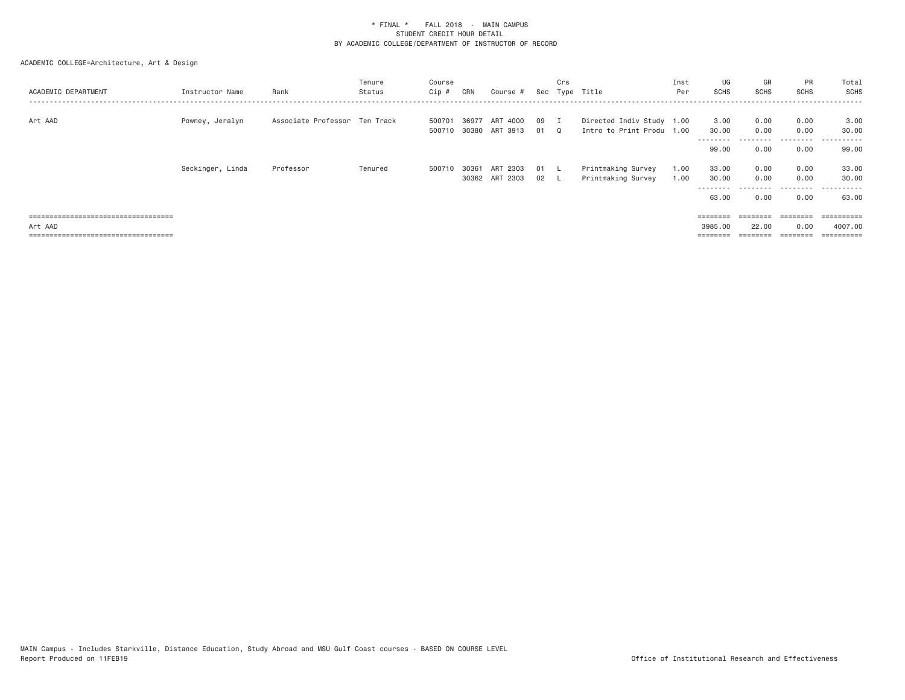| ACADEMIC DEPARTMENT                   | Instructor Name  | Rank                          | Tenure<br>Status | Course<br>Cip #  | CRN            | Course #                      |            | Crs<br>Sec Type Title |                                                        | Inst<br>Per  | UG<br><b>SCHS</b>                          | GR<br><b>SCHS</b>         | <b>PR</b><br><b>SCHS</b> | Total<br>SCHS           |
|---------------------------------------|------------------|-------------------------------|------------------|------------------|----------------|-------------------------------|------------|-----------------------|--------------------------------------------------------|--------------|--------------------------------------------|---------------------------|--------------------------|-------------------------|
| Art AAD                               | Powney, Jeralyn  | Associate Professor Ten Track |                  | 500701<br>500710 | 36977<br>30380 | ART 4000<br>ART 3913          | 09<br>01 Q |                       | Directed Indiv Study 1.00<br>Intro to Print Produ 1.00 |              | 3.00<br>30.00<br>---------                 | 0.00<br>0.00<br>--------- | 0.00<br>0.00<br>.        | 3.00<br>30,00<br>.      |
|                                       |                  |                               |                  |                  |                |                               |            |                       |                                                        |              | 99.00                                      | 0.00                      | 0.00                     | 99.00                   |
|                                       | Seckinger, Linda | Professor                     | Tenured          | 500710           | 30361          | ART<br>2303<br>30362 ART 2303 | 01<br>02 L |                       | Printmaking Survey<br>Printmaking Survey               | 1.00<br>1.00 | 33.00<br>30.00<br>- - - - - - - -<br>63,00 | 0.00<br>0.00<br>0.00      | 0.00<br>0.00<br>0.00     | 33.00<br>30.00<br>63.00 |
| ===================================== |                  |                               |                  |                  |                |                               |            |                       |                                                        |              | $=$ = = = = = = =                          | :=======                  | $=$ = = = = = = =        | =========               |
| Art AAD                               |                  |                               |                  |                  |                |                               |            |                       |                                                        |              | 3985,00                                    | 22,00                     | 0.00                     | 4007.00                 |
| ====================================  |                  |                               |                  |                  |                |                               |            |                       |                                                        |              |                                            | $=$ = = = = = = =         |                          | $=$ ==========          |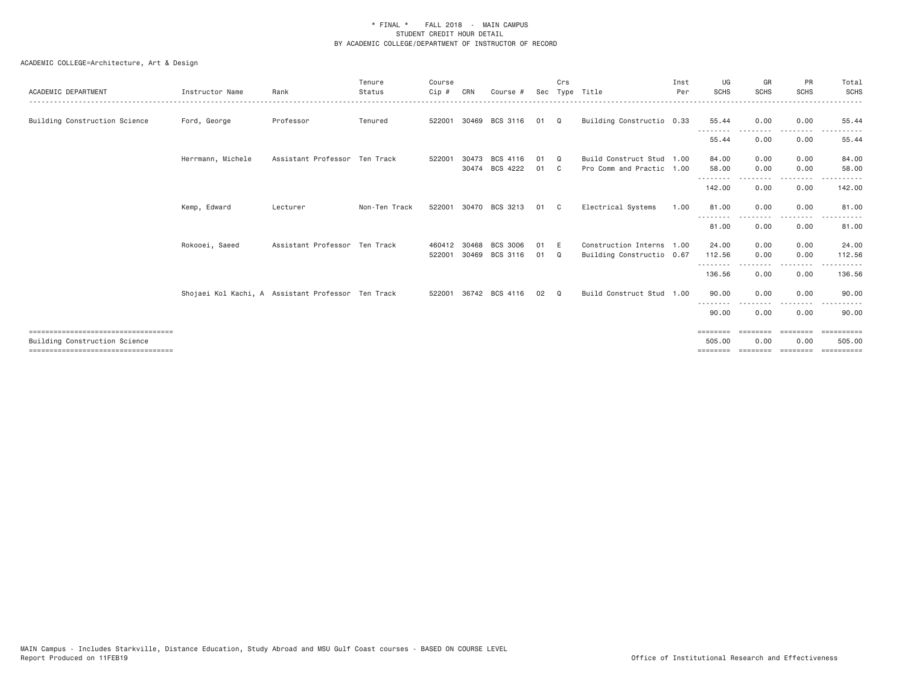| ACADEMIC DEPARTMENT                                                                                          | Instructor Name   | Rank                                               | Tenure<br>Status | Course<br>Cip #  | CRN            | Course #                   |          | Crs            | Sec Type Title                                         | Inst<br>Per | UG<br><b>SCHS</b>                       | GR<br><b>SCHS</b>             | PR<br><b>SCHS</b>                                                                           | Total<br><b>SCHS</b>                  |
|--------------------------------------------------------------------------------------------------------------|-------------------|----------------------------------------------------|------------------|------------------|----------------|----------------------------|----------|----------------|--------------------------------------------------------|-------------|-----------------------------------------|-------------------------------|---------------------------------------------------------------------------------------------|---------------------------------------|
| Building Construction Science                                                                                | Ford, George      | Professor                                          | Tenured          | 522001           |                | 30469 BCS 3116             | 01       | $\Omega$       | Building Constructio 0.33                              |             | 55.44                                   | 0.00                          | 0.00                                                                                        | 55.44                                 |
|                                                                                                              |                   |                                                    |                  |                  |                |                            |          |                |                                                        |             | 55.44                                   | 0.00                          | 0.00                                                                                        | 55.44                                 |
|                                                                                                              | Herrmann, Michele | Assistant Professor Ten Track                      |                  | 522001           | 30473          | BCS 4116<br>30474 BCS 4222 | 01<br>01 | $\Omega$<br>C. | Build Construct Stud 1.00<br>Pro Comm and Practic 1.00 |             | 84.00<br>58.00                          | 0.00<br>0.00                  | 0.00<br>0.00                                                                                | 84.00<br>58.00                        |
|                                                                                                              |                   |                                                    |                  |                  |                |                            |          |                |                                                        |             | --------<br>142.00                      | 0.00                          | $- - - -$<br>0.00                                                                           | 142.00                                |
|                                                                                                              | Kemp, Edward      | Lecturer                                           | Non-Ten Track    | 522001           |                | 30470 BCS 3213             | 01       | - C            | Electrical Systems                                     | 1.00        | 81.00<br>--------                       | 0.00                          | 0.00                                                                                        | 81.00                                 |
|                                                                                                              |                   |                                                    |                  |                  |                |                            |          |                |                                                        |             | 81.00                                   | 0.00                          | 0.00                                                                                        | 81.00                                 |
|                                                                                                              | Rokooei, Saeed    | Assistant Professor Ten Track                      |                  | 460412<br>522001 | 30468<br>30469 | BCS 3006<br>BCS 3116       | 01<br>01 | - E<br>Q       | Construction Interns 1.00<br>Building Constructio 0.67 |             | 24,00<br>112.56<br>- - - - - - - -      | 0.00<br>0.00                  | 0.00<br>0.00<br>-----                                                                       | 24.00<br>112.56<br>.                  |
|                                                                                                              |                   |                                                    |                  |                  |                |                            |          |                |                                                        |             | 136.56                                  | 0.00                          | 0.00                                                                                        | 136.56                                |
|                                                                                                              |                   | Shojaei Kol Kachi, A Assistant Professor Ten Track |                  | 522001           |                | 36742 BCS 4116             | 02       | $\Omega$       | Build Construct Stud 1.00                              |             | 90.00                                   | 0.00                          | 0.00                                                                                        | 90,00                                 |
|                                                                                                              |                   |                                                    |                  |                  |                |                            |          |                |                                                        |             | 90.00                                   | 0.00                          | . <u>. .</u><br>0.00                                                                        | 90.00                                 |
| ===================================<br>Building Construction Science<br>==================================== |                   |                                                    |                  |                  |                |                            |          |                |                                                        |             | $=$ = = = = = = =<br>505.00<br>======== | ---------<br>0.00<br>======== | $\qquad \qquad \equiv \equiv \equiv \equiv \equiv \equiv \equiv \equiv$<br>0.00<br>======== | $=$ ==========<br>505,00<br>EEEEEEEEE |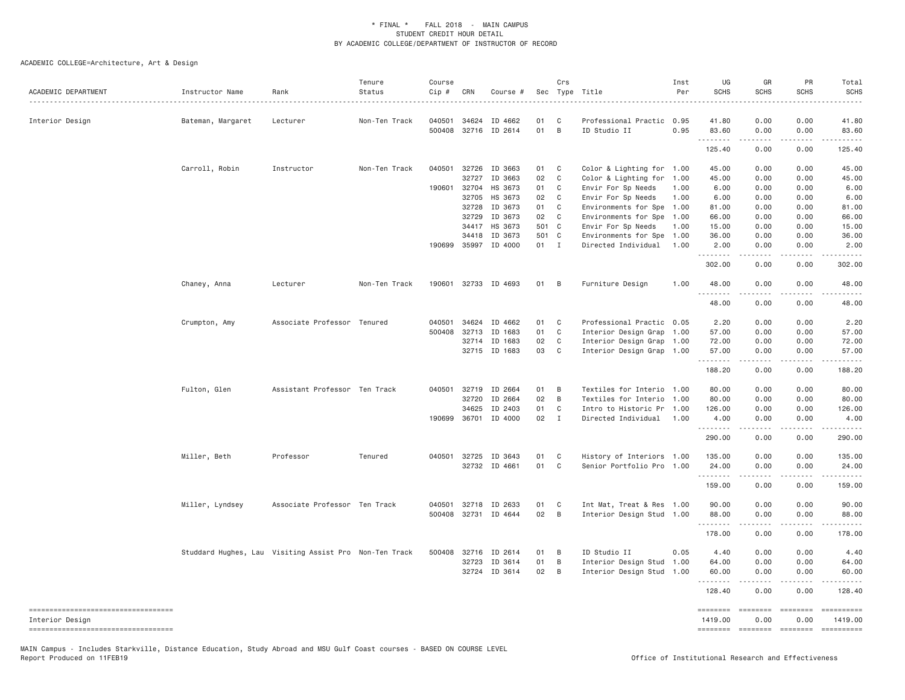ACADEMIC COLLEGE=Architecture, Art & Design

| ACADEMIC DEPARTMENT                                   | Instructor Name   | Rank<br>.                                              | Tenure<br>Status | Course<br>Cip # | CRN          | Course #             |       | Crs            | Sec Type Title            | Inst<br>Per | UG<br><b>SCHS</b>   | GR<br><b>SCHS</b>                                                                                                                                            | PR<br><b>SCHS</b>                                                                                                        | Total<br><b>SCHS</b>                                                                                                                                                            |
|-------------------------------------------------------|-------------------|--------------------------------------------------------|------------------|-----------------|--------------|----------------------|-------|----------------|---------------------------|-------------|---------------------|--------------------------------------------------------------------------------------------------------------------------------------------------------------|--------------------------------------------------------------------------------------------------------------------------|---------------------------------------------------------------------------------------------------------------------------------------------------------------------------------|
| Interior Design                                       | Bateman, Margaret | Lecturer                                               | Non-Ten Track    | 040501          | 34624        | ID 4662              | 01    | C              | Professional Practic 0.95 |             | 41.80               | 0.00                                                                                                                                                         | 0.00                                                                                                                     | 41.80                                                                                                                                                                           |
|                                                       |                   |                                                        |                  | 500408          |              | 32716 ID 2614        | 01    | $\overline{B}$ | ID Studio II              | 0.95        | 83.60<br>.          | 0.00<br>.                                                                                                                                                    | 0.00<br>.                                                                                                                | 83.60<br>.                                                                                                                                                                      |
|                                                       |                   |                                                        |                  |                 |              |                      |       |                |                           |             | 125.40              | 0.00                                                                                                                                                         | 0.00                                                                                                                     | 125.40                                                                                                                                                                          |
|                                                       | Carroll, Robin    | Instructor                                             | Non-Ten Track    | 040501          | 32726        | ID 3663              | 01    | C              | Color & Lighting for 1.00 |             | 45.00               | 0.00                                                                                                                                                         | 0.00                                                                                                                     | 45.00                                                                                                                                                                           |
|                                                       |                   |                                                        |                  |                 | 32727        | ID 3663              | 02    | $\mathbf{C}$   | Color & Lighting for 1.00 |             | 45.00               | 0.00                                                                                                                                                         | 0.00                                                                                                                     | 45.00                                                                                                                                                                           |
|                                                       |                   |                                                        |                  | 190601          | 32704        | HS 3673              | 01    | C              | Envir For Sp Needs        | 1.00        | 6.00                | 0.00                                                                                                                                                         | 0.00                                                                                                                     | 6.00                                                                                                                                                                            |
|                                                       |                   |                                                        |                  |                 | 32705        | HS 3673              | 02    | C              | Envir For Sp Needs        | 1.00        | 6.00                | 0.00                                                                                                                                                         | 0.00                                                                                                                     | 6.00                                                                                                                                                                            |
|                                                       |                   |                                                        |                  |                 | 32728        | ID 3673              | 01    | C              | Environments for Spe 1.00 |             | 81.00               | 0.00                                                                                                                                                         | 0.00                                                                                                                     | 81.00                                                                                                                                                                           |
|                                                       |                   |                                                        |                  |                 | 32729        | ID 3673              | 02    | $\overline{C}$ | Environments for Spe 1.00 |             | 66.00               | 0.00                                                                                                                                                         | 0.00                                                                                                                     | 66.00                                                                                                                                                                           |
|                                                       |                   |                                                        |                  |                 | 34417        | HS 3673              | 501 C |                | Envir For Sp Needs        | 1.00        | 15.00               | 0.00                                                                                                                                                         | 0.00                                                                                                                     | 15.00                                                                                                                                                                           |
|                                                       |                   |                                                        |                  |                 | 34418        | ID 3673              | 501 C |                | Environments for Spe      | 1.00        | 36.00               | 0.00                                                                                                                                                         | 0.00                                                                                                                     | 36.00                                                                                                                                                                           |
|                                                       |                   |                                                        |                  |                 |              | 190699 35997 ID 4000 | 01 I  |                | Directed Individual       | 1.00        | 2.00<br>.           | 0.00<br>$\frac{1}{2} \left( \frac{1}{2} \right) \left( \frac{1}{2} \right) \left( \frac{1}{2} \right) \left( \frac{1}{2} \right) \left( \frac{1}{2} \right)$ | 0.00<br>.                                                                                                                | 2.00<br>.                                                                                                                                                                       |
|                                                       |                   |                                                        |                  |                 |              |                      |       |                |                           |             | 302.00              | 0.00                                                                                                                                                         | 0.00                                                                                                                     | 302.00                                                                                                                                                                          |
|                                                       | Chaney, Anna      | Lecturer                                               | Non-Ten Track    | 190601          |              | 32733 ID 4693        | 01    | B              | Furniture Design          | 1.00        | 48.00<br>.          | 0.00<br>.                                                                                                                                                    | 0.00<br>$\sim$ $\sim$ $\sim$ $\sim$                                                                                      | 48.00                                                                                                                                                                           |
|                                                       |                   |                                                        |                  |                 |              |                      |       |                |                           |             | 48.00               | 0.00                                                                                                                                                         | 0.00                                                                                                                     | 48.00                                                                                                                                                                           |
|                                                       | Crumpton, Amy     | Associate Professor Tenured                            |                  | 040501          | 34624        | ID 4662              | 01    | C              | Professional Practic 0.05 |             | 2.20                | 0.00                                                                                                                                                         | 0.00                                                                                                                     | 2.20                                                                                                                                                                            |
|                                                       |                   |                                                        |                  | 500408          | 32713        | ID 1683              | 01    | C              | Interior Design Grap 1.00 |             | 57.00               | 0.00                                                                                                                                                         | 0.00                                                                                                                     | 57.00                                                                                                                                                                           |
|                                                       |                   |                                                        |                  |                 |              | 32714 ID 1683        | 02    | C              | Interior Design Grap 1.00 |             | 72.00               | 0.00                                                                                                                                                         | 0.00                                                                                                                     | 72.00                                                                                                                                                                           |
|                                                       |                   |                                                        |                  |                 |              | 32715 ID 1683        | 03    | $\overline{C}$ | Interior Design Grap 1.00 |             | 57.00<br>.          | 0.00                                                                                                                                                         | 0.00                                                                                                                     | 57.00                                                                                                                                                                           |
|                                                       |                   |                                                        |                  |                 |              |                      |       |                |                           |             | 188.20              | $\frac{1}{2} \left( \frac{1}{2} \right) \left( \frac{1}{2} \right) \left( \frac{1}{2} \right) \left( \frac{1}{2} \right) \left( \frac{1}{2} \right)$<br>0.00 | .<br>0.00                                                                                                                | .<br>188.20                                                                                                                                                                     |
|                                                       | Fulton, Glen      | Assistant Professor Ten Track                          |                  | 040501          | 32719        | ID 2664              | 01    | B              | Textiles for Interio 1.00 |             | 80.00               | 0.00                                                                                                                                                         | 0.00                                                                                                                     | 80.00                                                                                                                                                                           |
|                                                       |                   |                                                        |                  |                 | 32720        | ID 2664              | 02    | $\overline{B}$ | Textiles for Interio 1.00 |             | 80,00               | 0.00                                                                                                                                                         | 0.00                                                                                                                     | 80.00                                                                                                                                                                           |
|                                                       |                   |                                                        |                  |                 | 34625        | ID 2403              | 01    | C              | Intro to Historic Pr 1.00 |             | 126.00              | 0.00                                                                                                                                                         | 0.00                                                                                                                     | 126.00                                                                                                                                                                          |
|                                                       |                   |                                                        |                  |                 | 190699 36701 | ID 4000              | 02    | $\mathbf{I}$   | Directed Individual       | 1.00        | 4.00                | 0.00                                                                                                                                                         | 0.00                                                                                                                     | 4.00                                                                                                                                                                            |
|                                                       |                   |                                                        |                  |                 |              |                      |       |                |                           |             | .<br>290.00         | $\frac{1}{2} \left( \frac{1}{2} \right) \left( \frac{1}{2} \right) \left( \frac{1}{2} \right) \left( \frac{1}{2} \right) \left( \frac{1}{2} \right)$<br>0.00 | .<br>0.00                                                                                                                | 290.00                                                                                                                                                                          |
|                                                       | Miller, Beth      | Professor                                              | Tenured          |                 | 040501 32725 | ID 3643              | 01    | C              | History of Interiors 1.00 |             | 135.00              | 0.00                                                                                                                                                         | 0.00                                                                                                                     | 135.00                                                                                                                                                                          |
|                                                       |                   |                                                        |                  |                 |              | 32732 ID 4661        | 01    | C <sub>1</sub> | Senior Portfolio Pro 1.00 |             | 24.00               | 0.00                                                                                                                                                         | 0.00                                                                                                                     | 24.00                                                                                                                                                                           |
|                                                       |                   |                                                        |                  |                 |              |                      |       |                |                           |             | .<br>159.00         | 0.00                                                                                                                                                         | 0.00                                                                                                                     | 159.00                                                                                                                                                                          |
|                                                       | Miller, Lyndsey   | Associate Professor Ten Track                          |                  |                 |              | 040501 32718 ID 2633 | 01    | C              | Int Mat, Treat & Res 1.00 |             | 90.00               | 0.00                                                                                                                                                         | 0.00                                                                                                                     | 90.00                                                                                                                                                                           |
|                                                       |                   |                                                        |                  |                 |              | 500408 32731 ID 4644 | 02    | $\overline{B}$ | Interior Design Stud 1.00 |             | 88.00               | 0.00                                                                                                                                                         | 0.00                                                                                                                     | 88.00                                                                                                                                                                           |
|                                                       |                   |                                                        |                  |                 |              |                      |       |                |                           |             | .                   | $\frac{1}{2} \left( \frac{1}{2} \right) \left( \frac{1}{2} \right) \left( \frac{1}{2} \right) \left( \frac{1}{2} \right) \left( \frac{1}{2} \right)$         | 22222                                                                                                                    | $\frac{1}{2} \left( \frac{1}{2} \right) \left( \frac{1}{2} \right) \left( \frac{1}{2} \right) \left( \frac{1}{2} \right) \left( \frac{1}{2} \right) \left( \frac{1}{2} \right)$ |
|                                                       |                   |                                                        |                  |                 |              |                      |       |                |                           |             | 178.00              | 0.00                                                                                                                                                         | 0.00                                                                                                                     | 178.00                                                                                                                                                                          |
|                                                       |                   | Studdard Hughes, Lau Visiting Assist Pro Non-Ten Track |                  |                 | 500408 32716 | ID 2614              | 01    | B              | ID Studio II              | 0.05        | 4.40                | 0.00                                                                                                                                                         | 0.00                                                                                                                     | 4.40                                                                                                                                                                            |
|                                                       |                   |                                                        |                  |                 | 32723        | ID 3614              | 01    | B              | Interior Design Stud      | 1.00        | 64.00               | 0.00                                                                                                                                                         | 0.00                                                                                                                     | 64.00                                                                                                                                                                           |
|                                                       |                   |                                                        |                  |                 |              | 32724 ID 3614        | 02    | B              | Interior Design Stud 1.00 |             | 60.00<br>.          | 0.00                                                                                                                                                         | 0.00<br>$\sim$ $\sim$ $\sim$ $\sim$                                                                                      | 60.00<br>.                                                                                                                                                                      |
|                                                       |                   |                                                        |                  |                 |              |                      |       |                |                           |             | 128.40              | 0.00                                                                                                                                                         | 0.00                                                                                                                     | 128.40                                                                                                                                                                          |
| ----------------------------------<br>Interior Design |                   |                                                        |                  |                 |              |                      |       |                |                           |             | ========<br>1419.00 | $=$ =======<br>0.00                                                                                                                                          | $\begin{aligned} \mathcal{L} &= \mathcal{L} \mathcal{L} = \mathcal{L} = \mathcal{L} = \mathcal{L} \end{aligned}$<br>0.00 | ==========<br>1419.00                                                                                                                                                           |
| ----------------------------------                    |                   |                                                        |                  |                 |              |                      |       |                |                           |             | ========            |                                                                                                                                                              | ======== ========                                                                                                        |                                                                                                                                                                                 |

MAIN Campus - Includes Starkville, Distance Education, Study Abroad and MSU Gulf Coast courses - BASED ON COURSE LEVEL<br>Report Produced on 11FEB19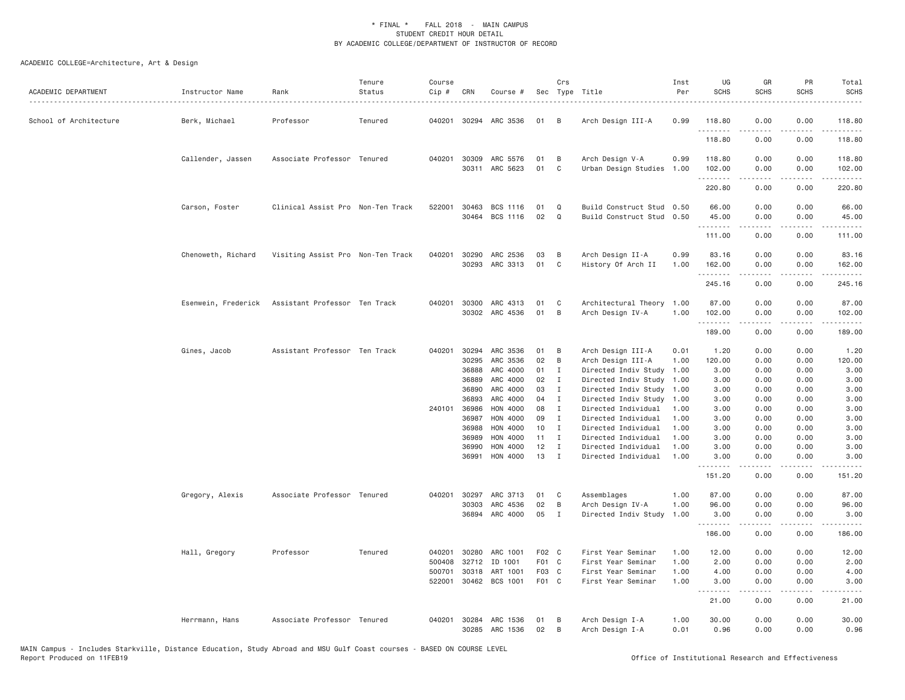| ACADEMIC DEPARTMENT    | Instructor Name     | Rank                              | Tenure<br>Status | Course<br>Cip # | CRN            | Course #              |          | Crs               | Sec Type Title                               | Inst<br>Per  | UG<br><b>SCHS</b> | GR<br><b>SCHS</b>   | PR<br><b>SCHS</b> | Total<br><b>SCHS</b>                                                                                                                                                                    |
|------------------------|---------------------|-----------------------------------|------------------|-----------------|----------------|-----------------------|----------|-------------------|----------------------------------------------|--------------|-------------------|---------------------|-------------------|-----------------------------------------------------------------------------------------------------------------------------------------------------------------------------------------|
| School of Architecture | Berk, Michael       | Professor                         | Tenured          |                 |                | 040201 30294 ARC 3536 | 01       | <b>B</b>          | Arch Design III-A                            | 0.99         | 118.80<br>.       | 0.00                | 0.00              | 118.80<br>$- - - - -$                                                                                                                                                                   |
|                        |                     |                                   |                  |                 |                |                       |          |                   |                                              |              | 118.80            | 0.00                | 0.00              | 118.80                                                                                                                                                                                  |
|                        | Callender, Jassen   | Associate Professor Tenured       |                  |                 | 040201 30309   | ARC 5576              | 01       | B                 | Arch Design V-A                              | 0.99         | 118.80            | 0.00                | 0.00              | 118.80                                                                                                                                                                                  |
|                        |                     |                                   |                  |                 |                | 30311 ARC 5623        | 01       | C                 | Urban Design Studies                         | 1.00         | 102.00<br>.       | 0.00<br>-----       | 0.00<br>.         | 102.00<br>$\sim$ $\sim$ $\sim$ $\sim$ $\sim$                                                                                                                                            |
|                        |                     |                                   |                  |                 |                |                       |          |                   |                                              |              | 220.80            | 0.00                | 0.00              | 220.80                                                                                                                                                                                  |
|                        | Carson, Foster      | Clinical Assist Pro Non-Ten Track |                  |                 | 522001 30463   | BCS 1116              | 01       | Q                 | Build Construct Stud 0.50                    |              | 66.00             | 0.00                | 0.00              | 66.00                                                                                                                                                                                   |
|                        |                     |                                   |                  |                 | 30464          | BCS 1116              | 02       | Q                 | Build Construct Stud                         | 0.50         | 45.00             | 0.00                | 0.00              | 45.00                                                                                                                                                                                   |
|                        |                     |                                   |                  |                 |                |                       |          |                   |                                              |              | .<br>111.00       | 0.00                | .<br>0.00         | .<br>111.00                                                                                                                                                                             |
|                        | Chenoweth, Richard  | Visiting Assist Pro Non-Ten Track |                  | 040201          | 30290          | ARC 2536              | 03       | B                 | Arch Design II-A                             | 0.99         | 83.16             | 0.00                | 0.00              | 83.16                                                                                                                                                                                   |
|                        |                     |                                   |                  |                 |                | 30293 ARC 3313        | 01       | C <sub>1</sub>    | History Of Arch II                           | 1.00         | 162.00<br>.       | 0.00<br>$- - - - -$ | 0.00<br>.         | 162.00<br>.                                                                                                                                                                             |
|                        |                     |                                   |                  |                 |                |                       |          |                   |                                              |              | 245.16            | 0.00                | 0.00              | 245.16                                                                                                                                                                                  |
|                        | Esenwein, Frederick | Assistant Professor Ten Track     |                  | 040201          | 30300          | ARC 4313              | 01       | C                 | Architectural Theory                         | 1.00         | 87.00             | 0.00                | 0.00              | 87.00                                                                                                                                                                                   |
|                        |                     |                                   |                  |                 | 30302          | ARC 4536              | 01       | B                 | Arch Design IV-A                             | 1.00         | 102.00<br>.       | 0.00<br>.           | 0.00<br>.         | 102.00<br>$- - - - - -$                                                                                                                                                                 |
|                        |                     |                                   |                  |                 |                |                       |          |                   |                                              |              | 189.00            | 0.00                | 0.00              | 189.00                                                                                                                                                                                  |
|                        | Gines, Jacob        | Assistant Professor Ten Track     |                  | 040201          | 30294          | ARC 3536              | 01       | B                 | Arch Design III-A                            | 0.01         | 1.20              | 0.00                | 0.00              | 1.20                                                                                                                                                                                    |
|                        |                     |                                   |                  |                 | 30295          | ARC 3536              | 02       | B                 | Arch Design III-A                            | 1.00         | 120.00            | 0.00                | 0.00              | 120.00                                                                                                                                                                                  |
|                        |                     |                                   |                  |                 | 36888          | ARC 4000<br>ARC 4000  | 01       | Ι                 | Directed Indiv Study                         | 1.00         | 3.00              | 0.00                | 0.00              | 3.00                                                                                                                                                                                    |
|                        |                     |                                   |                  |                 | 36889<br>36890 | ARC 4000              | 02<br>03 | $\mathbf{I}$<br>I | Directed Indiv Study<br>Directed Indiv Study | 1.00<br>1.00 | 3.00<br>3.00      | 0.00<br>0.00        | 0.00<br>0.00      | 3.00<br>3.00                                                                                                                                                                            |
|                        |                     |                                   |                  |                 | 36893          | ARC 4000              | 04       | $\mathbf{I}$      | Directed Indiv Study                         | 1.00         | 3.00              | 0.00                | 0.00              | 3.00                                                                                                                                                                                    |
|                        |                     |                                   |                  |                 | 240101 36986   | HON 4000              | 08       | $\mathbf I$       | Directed Individual                          | 1.00         | 3.00              | 0.00                | 0.00              | 3.00                                                                                                                                                                                    |
|                        |                     |                                   |                  |                 | 36987          | HON 4000              | 09       | I                 | Directed Individual                          | 1.00         | 3.00              | 0.00                | 0.00              | 3.00                                                                                                                                                                                    |
|                        |                     |                                   |                  |                 | 36988          | HON 4000              | 10       | $\mathbf{I}$      | Directed Individual                          | 1.00         | 3.00              | 0.00                | 0.00              | 3.00                                                                                                                                                                                    |
|                        |                     |                                   |                  |                 | 36989          | HON 4000              | 11       | I                 | Directed Individual                          | 1.00         | 3.00              | 0.00                | 0.00              | 3.00                                                                                                                                                                                    |
|                        |                     |                                   |                  |                 | 36990          | HON 4000              | 12       | I                 | Directed Individual                          | 1.00         | 3.00              | 0.00                | 0.00              | 3.00                                                                                                                                                                                    |
|                        |                     |                                   |                  |                 | 36991          | HON 4000              | 13       | $\mathbf{I}$      | Directed Individual                          | 1,00         | 3,00<br>.         | 0.00<br>$- - - - -$ | 0.00<br>.         | 3.00<br>$\frac{1}{2} \left( \frac{1}{2} \right) \left( \frac{1}{2} \right) \left( \frac{1}{2} \right) \left( \frac{1}{2} \right) \left( \frac{1}{2} \right) \left( \frac{1}{2} \right)$ |
|                        |                     |                                   |                  |                 |                |                       |          |                   |                                              |              | 151.20            | 0.00                | 0.00              | 151.20                                                                                                                                                                                  |
|                        | Gregory, Alexis     | Associate Professor Tenured       |                  | 040201          | 30297          | ARC 3713              | 01       | C                 | Assemblages                                  | 1.00         | 87.00             | 0.00                | 0.00              | 87.00                                                                                                                                                                                   |
|                        |                     |                                   |                  |                 | 30303          | ARC 4536              | 02       | B                 | Arch Design IV-A                             | 1.00         | 96.00             | 0.00                | 0.00              | 96.00                                                                                                                                                                                   |
|                        |                     |                                   |                  |                 | 36894          | ARC 4000              | 05       | $\mathbf{I}$      | Directed Indiv Study                         | 1.00         | 3.00<br>.         | 0.00<br>.           | 0.00<br>.         | 3.00<br>.                                                                                                                                                                               |
|                        |                     |                                   |                  |                 |                |                       |          |                   |                                              |              | 186.00            | 0.00                | 0.00              | 186.00                                                                                                                                                                                  |
|                        | Hall, Gregory       | Professor                         | Tenured          | 040201          | 30280          | ARC 1001              | F02 C    |                   | First Year Seminar                           | 1.00         | 12.00             | 0.00                | 0.00              | 12.00                                                                                                                                                                                   |
|                        |                     |                                   |                  | 500408          | 32712          | ID 1001               | F01 C    |                   | First Year Seminar                           | 1.00         | 2.00              | 0.00                | 0.00              | 2.00                                                                                                                                                                                    |
|                        |                     |                                   |                  | 500701          | 30318          | ART 1001              | F03 C    |                   | First Year Seminar                           | 1.00         | 4.00              | 0.00                | 0.00              | 4.00                                                                                                                                                                                    |
|                        |                     |                                   |                  | 522001          | 30462          | BCS 1001              | F01 C    |                   | First Year Seminar                           | 1.00         | 3.00<br>.         | 0.00<br>.           | 0.00<br>.         | 3.00<br>.                                                                                                                                                                               |
|                        |                     |                                   |                  |                 |                |                       |          |                   |                                              |              | 21.00             | 0.00                | 0.00              | 21.00                                                                                                                                                                                   |
|                        | Herrmann, Hans      | Associate Professor Tenured       |                  | 040201          | 30284<br>30285 | ARC 1536              | 01<br>02 | B<br>B            | Arch Design I-A                              | 1.00<br>0.01 | 30.00<br>0.96     | 0.00<br>0.00        | 0.00<br>0.00      | 30.00<br>0.96                                                                                                                                                                           |
|                        |                     |                                   |                  |                 |                | ARC 1536              |          |                   | Arch Design I-A                              |              |                   |                     |                   |                                                                                                                                                                                         |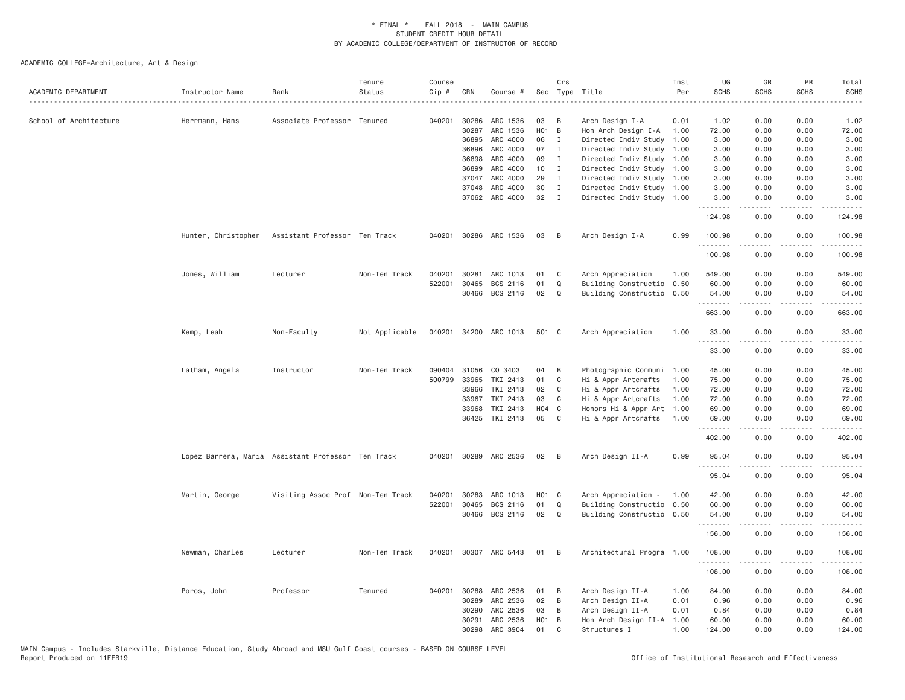| ACADEMIC DEPARTMENT    | Instructor Name                                   | Rank                                               | Tenure<br>Status | Course<br>$Cip \#$ | CRN            | Course #              |                         | Crs          | Sec Type Title                                   | Inst<br>Per  | UG<br><b>SCHS</b>    | GR<br><b>SCHS</b> | PR<br><b>SCHS</b>                   | Total<br><b>SCHS</b><br>$\sim$ $\sim$ $\sim$ $\sim$ |
|------------------------|---------------------------------------------------|----------------------------------------------------|------------------|--------------------|----------------|-----------------------|-------------------------|--------------|--------------------------------------------------|--------------|----------------------|-------------------|-------------------------------------|-----------------------------------------------------|
| School of Architecture | Herrmann, Hans                                    | Associate Professor Tenured                        |                  | 040201             | 30286          | ARC 1536              | 03                      | В            | Arch Design I-A                                  | 0.01         | 1.02                 | 0.00              | 0.00                                | 1.02                                                |
|                        |                                                   |                                                    |                  |                    | 30287          | ARC 1536              | <b>HO1</b>              | B            | Hon Arch Design I-A                              | 1.00         | 72.00                | 0.00              | 0.00                                | 72.00                                               |
|                        |                                                   |                                                    |                  |                    | 36895          | ARC 4000              | 06                      | $\mathbf{I}$ | Directed Indiv Study 1.00                        |              | 3.00                 | 0.00              | 0.00                                | 3.00                                                |
|                        |                                                   |                                                    |                  |                    | 36896          | ARC 4000              | 07                      | $\mathbf{I}$ | Directed Indiv Study                             | 1.00         | 3.00                 | 0.00              | 0.00                                | 3.00                                                |
|                        |                                                   |                                                    |                  |                    | 36898          | ARC 4000              | 09                      | $\mathbf{I}$ | Directed Indiv Study 1.00                        |              | 3.00                 | 0.00              | 0.00                                | 3.00                                                |
|                        |                                                   |                                                    |                  |                    | 36899          | ARC 4000              | 10                      | $\mathbf{I}$ | Directed Indiv Study 1.00                        |              | 3.00                 | 0.00              | 0.00                                | 3.00                                                |
|                        |                                                   |                                                    |                  |                    | 37047          | ARC 4000              | 29                      | $\mathbf{I}$ | Directed Indiv Study 1.00                        |              | 3.00                 | 0.00              | 0.00                                | 3.00                                                |
|                        |                                                   |                                                    |                  |                    | 37048          | ARC 4000              | 30                      | $\mathbf{I}$ | Directed Indiv Study 1.00                        |              | 3.00                 | 0.00              | 0.00                                | 3.00                                                |
|                        |                                                   |                                                    |                  |                    |                | 37062 ARC 4000        | 32                      | $\mathbf{I}$ | Directed Indiv Study 1.00                        |              | 3.00<br>.            | 0.00<br>.         | 0.00<br>$\sim$ $\sim$ $\sim$        | 3.00<br>.                                           |
|                        |                                                   |                                                    |                  |                    |                |                       |                         |              |                                                  |              | 124.98               | 0.00              | 0.00                                | 124.98                                              |
|                        | Hunter, Christopher Assistant Professor Ten Track |                                                    |                  |                    |                | 040201 30286 ARC 1536 | 03                      | B            | Arch Design I-A                                  | 0.99         | 100.98<br>. <b>.</b> | 0.00<br>.         | 0.00<br>.                           | 100.98<br>$- - - - - -$                             |
|                        |                                                   |                                                    |                  |                    |                |                       |                         |              |                                                  |              | 100.98               | 0.00              | 0.00                                | 100.98                                              |
|                        | Jones, William                                    | Lecturer                                           | Non-Ten Track    | 040201             | 30281          | ARC 1013              | 01                      | C            | Arch Appreciation                                | 1.00         | 549.00               | 0.00              | 0.00                                | 549.00                                              |
|                        |                                                   |                                                    |                  | 522001             | 30465          | BCS 2116              | 01                      | Q            | Building Constructio                             | 0.50         | 60.00                | 0.00              | 0.00                                | 60.00                                               |
|                        |                                                   |                                                    |                  |                    |                | 30466 BCS 2116        | 02                      | Q            | Building Constructio 0.50                        |              | 54.00                | 0.00              | 0.00                                | 54.00                                               |
|                        |                                                   |                                                    |                  |                    |                |                       |                         |              |                                                  |              | .<br>663.00          | -----<br>0.00     | .<br>0.00                           | .<br>663.00                                         |
|                        | Kemp, Leah                                        | Non-Faculty                                        | Not Applicable   | 040201             |                | 34200 ARC 1013        | 501 C                   |              | Arch Appreciation                                | 1.00         | 33.00                | 0.00              | 0.00                                | 33.00                                               |
|                        |                                                   |                                                    |                  |                    |                |                       |                         |              |                                                  |              | 33.00                | 0.00              | .<br>0.00                           | 33.00                                               |
|                        |                                                   |                                                    |                  |                    |                |                       |                         |              |                                                  |              |                      |                   |                                     |                                                     |
|                        | Latham, Angela                                    | Instructor                                         | Non-Ten Track    | 090404             |                | 31056 CO 3403         | 04                      | B            | Photographic Communi 1.00                        |              | 45.00                | 0.00              | 0.00                                | 45.00                                               |
|                        |                                                   |                                                    |                  | 500799             | 33965          | TKI 2413              | 01                      | C            | Hi & Appr Artcrafts                              | 1.00         | 75.00                | 0.00              | 0.00                                | 75.00                                               |
|                        |                                                   |                                                    |                  |                    | 33966<br>33967 | TKI 2413<br>TKI 2413  | 02<br>03                | C<br>C       | Hi & Appr Artcrafts<br>Hi & Appr Artcrafts       | 1.00<br>1.00 | 72.00<br>72.00       | 0.00<br>0.00      | 0.00<br>0.00                        | 72.00<br>72.00                                      |
|                        |                                                   |                                                    |                  |                    | 33968          | TKI 2413              | H04 C                   |              | Honors Hi & Appr Art                             | 1.00         | 69.00                | 0.00              | 0.00                                | 69.00                                               |
|                        |                                                   |                                                    |                  |                    | 36425          | TKI 2413              | 05                      | C            | Hi & Appr Artcrafts                              | 1.00         | 69,00                | 0.00              | 0.00                                | 69,00                                               |
|                        |                                                   |                                                    |                  |                    |                |                       |                         |              |                                                  |              | .<br>402.00          | د د د د<br>0.00   | $\sim$ $\sim$ $\sim$ $\sim$<br>0.00 | 402.00                                              |
|                        |                                                   | Lopez Barrera, Maria Assistant Professor Ten Track |                  |                    |                | 040201 30289 ARC 2536 | 02                      | В            | Arch Design II-A                                 | 0.99         | 95.04                | 0.00              | 0.00                                | 95.04                                               |
|                        |                                                   |                                                    |                  |                    |                |                       |                         |              |                                                  |              | .<br>95.04           | 0.00              | .<br>0.00                           | .<br>95.04                                          |
|                        |                                                   |                                                    |                  |                    |                |                       |                         |              |                                                  |              |                      |                   |                                     |                                                     |
|                        | Martin, George                                    | Visiting Assoc Prof Non-Ten Track                  |                  | 040201<br>522001   | 30283<br>30465 | ARC 1013<br>BCS 2116  | H <sub>01</sub> C<br>01 | Q            | Arch Appreciation -<br>Building Constructio 0.50 | 1.00         | 42.00<br>60.00       | 0.00<br>0.00      | 0.00<br>0.00                        | 42.00<br>60.00                                      |
|                        |                                                   |                                                    |                  |                    | 30466          | BCS 2116              | 02                      | $\Omega$     | Building Constructio 0.50                        |              | 54.00                | 0.00              | 0.00                                | 54.00                                               |
|                        |                                                   |                                                    |                  |                    |                |                       |                         |              |                                                  |              | .                    | .                 | .                                   | .                                                   |
|                        |                                                   |                                                    |                  |                    |                |                       |                         |              |                                                  |              | 156.00               | 0.00              | 0.00                                | 156.00                                              |
|                        | Newman, Charles                                   | Lecturer                                           | Non-Ten Track    | 040201             |                | 30307 ARC 5443        | 01                      | В            | Architectural Progra 1.00                        |              | 108.00               | 0.00              | 0.00                                | 108.00                                              |
|                        |                                                   |                                                    |                  |                    |                |                       |                         |              |                                                  |              | .<br>108.00          | 0.00              | .<br>0.00                           | .<br>108.00                                         |
|                        | Poros, John                                       | Professor                                          | Tenured          | 040201             | 30288          | ARC 2536              | 01                      | В            | Arch Design II-A                                 | 1.00         | 84.00                | 0.00              | 0.00                                | 84.00                                               |
|                        |                                                   |                                                    |                  |                    | 30289          | ARC 2536              | 02                      | B            | Arch Design II-A                                 | 0.01         | 0.96                 | 0.00              | 0.00                                | 0.96                                                |
|                        |                                                   |                                                    |                  |                    | 30290          | ARC 2536              | 03                      | B            | Arch Design II-A                                 | 0.01         | 0.84                 | 0.00              | 0.00                                | 0.84                                                |
|                        |                                                   |                                                    |                  |                    | 30291          | ARC 2536              | H <sub>0</sub> 1        | B            | Hon Arch Design II-A                             | 1.00         | 60.00                | 0.00              | 0.00                                | 60,00                                               |
|                        |                                                   |                                                    |                  |                    | 30298          | ARC 3904              | 01                      | $\mathsf{C}$ | Structures I                                     | 1.00         | 124,00               | 0.00              | 0.00                                | 124.00                                              |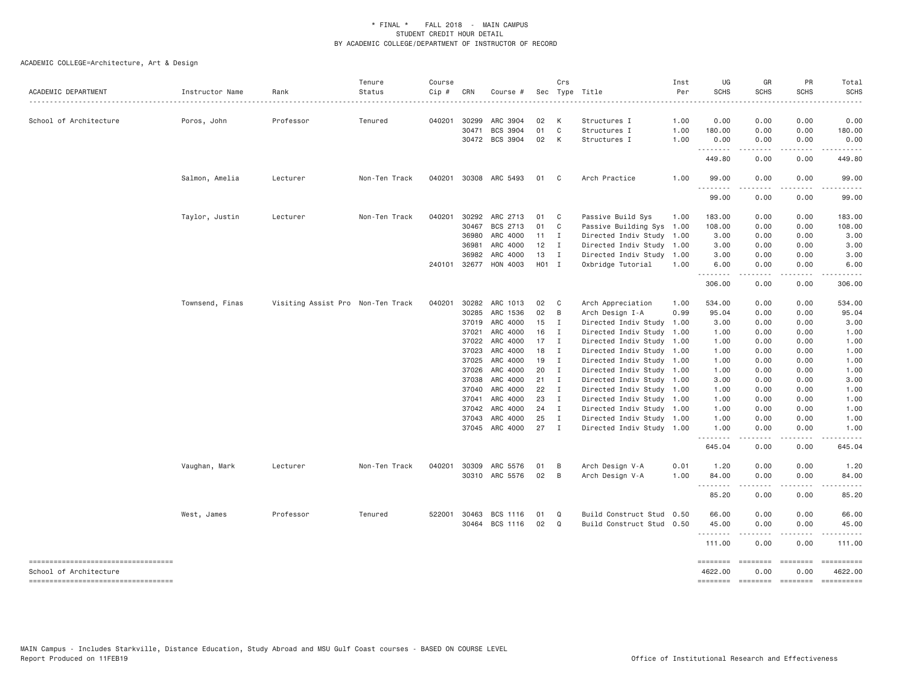| ACADEMIC DEPARTMENT                    | Instructor Name | Rank                              | Tenure<br>Status | Course<br>Cip # | CRN          | Course #              |              | Crs            | Sec Type Title            | Inst<br>Per | UG<br><b>SCHS</b> | GR<br><b>SCHS</b>                                                                                                                                                                                                                                                                                                                                                                                                                                                                              | PR<br><b>SCHS</b>            | Total<br><b>SCHS</b>                                                                                                                                                                                                                                                                                                                                                                                                                                                                   |
|----------------------------------------|-----------------|-----------------------------------|------------------|-----------------|--------------|-----------------------|--------------|----------------|---------------------------|-------------|-------------------|------------------------------------------------------------------------------------------------------------------------------------------------------------------------------------------------------------------------------------------------------------------------------------------------------------------------------------------------------------------------------------------------------------------------------------------------------------------------------------------------|------------------------------|----------------------------------------------------------------------------------------------------------------------------------------------------------------------------------------------------------------------------------------------------------------------------------------------------------------------------------------------------------------------------------------------------------------------------------------------------------------------------------------|
|                                        |                 |                                   |                  |                 |              |                       |              |                |                           |             |                   |                                                                                                                                                                                                                                                                                                                                                                                                                                                                                                |                              |                                                                                                                                                                                                                                                                                                                                                                                                                                                                                        |
| School of Architecture                 | Poros, John     | Professor                         | Tenured          | 040201          | 30299        | ARC 3904              | 02           | K              | Structures I              | 1.00        | 0.00              | 0.00                                                                                                                                                                                                                                                                                                                                                                                                                                                                                           | 0.00                         | 0.00                                                                                                                                                                                                                                                                                                                                                                                                                                                                                   |
|                                        |                 |                                   |                  |                 | 30471        | <b>BCS 3904</b>       | 01           | C <sub>1</sub> | Structures I              | 1.00        | 180.00            | 0.00                                                                                                                                                                                                                                                                                                                                                                                                                                                                                           | 0.00                         | 180.00                                                                                                                                                                                                                                                                                                                                                                                                                                                                                 |
|                                        |                 |                                   |                  |                 |              | 30472 BCS 3904        | 02           | K              | Structures I              | 1.00        | 0.00<br>.         | 0.00<br>$\begin{array}{cccccccccccccc} \multicolumn{2}{c}{} & \multicolumn{2}{c}{} & \multicolumn{2}{c}{} & \multicolumn{2}{c}{} & \multicolumn{2}{c}{} & \multicolumn{2}{c}{} & \multicolumn{2}{c}{} & \multicolumn{2}{c}{} & \multicolumn{2}{c}{} & \multicolumn{2}{c}{} & \multicolumn{2}{c}{} & \multicolumn{2}{c}{} & \multicolumn{2}{c}{} & \multicolumn{2}{c}{} & \multicolumn{2}{c}{} & \multicolumn{2}{c}{} & \multicolumn{2}{c}{} & \multicolumn{2}{c}{} & \multicolumn{2}{c}{} & \$ | 0.00<br>-----                | 0.00<br>.                                                                                                                                                                                                                                                                                                                                                                                                                                                                              |
|                                        |                 |                                   |                  |                 |              |                       |              |                |                           |             | 449.80            | 0.00                                                                                                                                                                                                                                                                                                                                                                                                                                                                                           | 0.00                         | 449.80                                                                                                                                                                                                                                                                                                                                                                                                                                                                                 |
|                                        | Salmon, Amelia  | Lecturer                          | Non-Ten Track    |                 |              | 040201 30308 ARC 5493 | 01 C         |                | Arch Practice             | 1.00        | 99.00<br>.        | 0.00                                                                                                                                                                                                                                                                                                                                                                                                                                                                                           | 0.00                         | 99.00                                                                                                                                                                                                                                                                                                                                                                                                                                                                                  |
|                                        |                 |                                   |                  |                 |              |                       |              |                |                           |             | 99.00             | 0.00                                                                                                                                                                                                                                                                                                                                                                                                                                                                                           | 0.00                         | 99.00                                                                                                                                                                                                                                                                                                                                                                                                                                                                                  |
|                                        | Taylor, Justin  | Lecturer                          | Non-Ten Track    | 040201          | 30292        | ARC 2713              | 01           | $\mathbf{C}$   | Passive Build Sys         | 1.00        | 183.00            | 0.00                                                                                                                                                                                                                                                                                                                                                                                                                                                                                           | 0.00                         | 183.00                                                                                                                                                                                                                                                                                                                                                                                                                                                                                 |
|                                        |                 |                                   |                  |                 | 30467        | BCS 2713              | 01           | $\mathbf{C}$   | Passive Building Sys 1.00 |             | 108.00            | 0.00                                                                                                                                                                                                                                                                                                                                                                                                                                                                                           | 0.00                         | 108.00                                                                                                                                                                                                                                                                                                                                                                                                                                                                                 |
|                                        |                 |                                   |                  |                 | 36980        | ARC 4000              | $11 \quad I$ |                | Directed Indiv Study 1.00 |             | 3.00              | 0.00                                                                                                                                                                                                                                                                                                                                                                                                                                                                                           | 0.00                         | 3.00                                                                                                                                                                                                                                                                                                                                                                                                                                                                                   |
|                                        |                 |                                   |                  |                 | 36981        | ARC 4000              | 12           | $\blacksquare$ | Directed Indiv Study 1.00 |             | 3.00              | 0.00                                                                                                                                                                                                                                                                                                                                                                                                                                                                                           | 0.00                         | 3.00                                                                                                                                                                                                                                                                                                                                                                                                                                                                                   |
|                                        |                 |                                   |                  |                 | 36982        | ARC 4000              | 13           | $\mathbf{I}$   | Directed Indiv Study 1.00 |             | 3.00              | 0.00                                                                                                                                                                                                                                                                                                                                                                                                                                                                                           | 0.00                         | 3.00                                                                                                                                                                                                                                                                                                                                                                                                                                                                                   |
|                                        |                 |                                   |                  |                 | 240101 32677 | HON 4003              | H01 I        |                | Oxbridge Tutorial         | 1.00        | 6.00<br>.         | 0.00<br>.                                                                                                                                                                                                                                                                                                                                                                                                                                                                                      | 0.00<br>$\cdots$             | 6.00                                                                                                                                                                                                                                                                                                                                                                                                                                                                                   |
|                                        |                 |                                   |                  |                 |              |                       |              |                |                           |             | 306.00            | 0.00                                                                                                                                                                                                                                                                                                                                                                                                                                                                                           | 0.00                         | 306.00                                                                                                                                                                                                                                                                                                                                                                                                                                                                                 |
|                                        | Townsend, Finas | Visiting Assist Pro Non-Ten Track |                  | 040201 30282    |              | ARC 1013              | 02           | $\mathbf{C}$   | Arch Appreciation         | 1.00        | 534.00            | 0.00                                                                                                                                                                                                                                                                                                                                                                                                                                                                                           | 0.00                         | 534.00                                                                                                                                                                                                                                                                                                                                                                                                                                                                                 |
|                                        |                 |                                   |                  |                 | 30285        | ARC 1536              | 02           | $\overline{B}$ | Arch Design I-A           | 0.99        | 95.04             | 0.00                                                                                                                                                                                                                                                                                                                                                                                                                                                                                           | 0.00                         | 95.04                                                                                                                                                                                                                                                                                                                                                                                                                                                                                  |
|                                        |                 |                                   |                  |                 | 37019        | ARC 4000              | 15           | $\mathbf{I}$   | Directed Indiv Study      | 1.00        | 3.00              | 0.00                                                                                                                                                                                                                                                                                                                                                                                                                                                                                           | 0.00                         | 3.00                                                                                                                                                                                                                                                                                                                                                                                                                                                                                   |
|                                        |                 |                                   |                  |                 | 37021        | ARC 4000              | 16           | $\mathbf{I}$   | Directed Indiv Study 1.00 |             | 1.00              | 0.00                                                                                                                                                                                                                                                                                                                                                                                                                                                                                           | 0.00                         | 1.00                                                                                                                                                                                                                                                                                                                                                                                                                                                                                   |
|                                        |                 |                                   |                  |                 | 37022        | ARC 4000              | 17           | $\blacksquare$ | Directed Indiv Study 1.00 |             | 1.00              | 0.00                                                                                                                                                                                                                                                                                                                                                                                                                                                                                           | 0.00                         | 1.00                                                                                                                                                                                                                                                                                                                                                                                                                                                                                   |
|                                        |                 |                                   |                  |                 | 37023        | ARC 4000              | 18           | $\blacksquare$ | Directed Indiv Study 1.00 |             | 1.00              | 0.00                                                                                                                                                                                                                                                                                                                                                                                                                                                                                           | 0.00                         | 1.00                                                                                                                                                                                                                                                                                                                                                                                                                                                                                   |
|                                        |                 |                                   |                  |                 | 37025        | ARC 4000              | 19           | $\mathbf{I}$   | Directed Indiv Study 1.00 |             | 1.00              | 0.00                                                                                                                                                                                                                                                                                                                                                                                                                                                                                           | 0.00                         | 1.00                                                                                                                                                                                                                                                                                                                                                                                                                                                                                   |
|                                        |                 |                                   |                  |                 | 37026        | ARC 4000              | 20           | $\mathbf I$    | Directed Indiv Study 1.00 |             | 1.00              | 0.00                                                                                                                                                                                                                                                                                                                                                                                                                                                                                           | 0.00                         | 1.00                                                                                                                                                                                                                                                                                                                                                                                                                                                                                   |
|                                        |                 |                                   |                  |                 | 37038        | ARC 4000              | 21           | $\blacksquare$ | Directed Indiv Study 1.00 |             | 3.00              | 0.00                                                                                                                                                                                                                                                                                                                                                                                                                                                                                           | 0.00                         | 3.00                                                                                                                                                                                                                                                                                                                                                                                                                                                                                   |
|                                        |                 |                                   |                  |                 | 37040        | ARC 4000              | 22           | $\mathbf{I}$   | Directed Indiv Study 1.00 |             | 1.00              | 0.00                                                                                                                                                                                                                                                                                                                                                                                                                                                                                           | 0.00                         | 1.00                                                                                                                                                                                                                                                                                                                                                                                                                                                                                   |
|                                        |                 |                                   |                  |                 | 37041        | ARC 4000              | 23           | $\mathbf{I}$   | Directed Indiv Study 1.00 |             | 1.00              | 0.00                                                                                                                                                                                                                                                                                                                                                                                                                                                                                           | 0.00                         | 1.00                                                                                                                                                                                                                                                                                                                                                                                                                                                                                   |
|                                        |                 |                                   |                  |                 | 37042        | ARC 4000              | 24           | $\mathbf{I}$   | Directed Indiv Study 1.00 |             | 1.00              | 0.00                                                                                                                                                                                                                                                                                                                                                                                                                                                                                           | 0.00                         | 1.00                                                                                                                                                                                                                                                                                                                                                                                                                                                                                   |
|                                        |                 |                                   |                  |                 | 37043        | ARC 4000              | 25           | $\mathbf I$    | Directed Indiv Study 1.00 |             | 1.00              | 0.00                                                                                                                                                                                                                                                                                                                                                                                                                                                                                           | 0.00                         | 1.00                                                                                                                                                                                                                                                                                                                                                                                                                                                                                   |
|                                        |                 |                                   |                  |                 |              | 37045 ARC 4000        | 27           | $\mathbf I$    | Directed Indiv Study 1.00 |             | 1.00<br>.         | 0.00<br>.                                                                                                                                                                                                                                                                                                                                                                                                                                                                                      | 0.00<br>$\sim$ $\sim$ $\sim$ | 1.00                                                                                                                                                                                                                                                                                                                                                                                                                                                                                   |
|                                        |                 |                                   |                  |                 |              |                       |              |                |                           |             | 645.04            | 0.00                                                                                                                                                                                                                                                                                                                                                                                                                                                                                           | 0.00                         | 645.04                                                                                                                                                                                                                                                                                                                                                                                                                                                                                 |
|                                        | Vaughan, Mark   | Lecturer                          | Non-Ten Track    | 040201 30309    |              | ARC 5576              | 01           | B              | Arch Design V-A           | 0.01        | 1.20              | 0.00                                                                                                                                                                                                                                                                                                                                                                                                                                                                                           | 0.00                         | 1.20                                                                                                                                                                                                                                                                                                                                                                                                                                                                                   |
|                                        |                 |                                   |                  |                 |              | 30310 ARC 5576        | 02           | $\overline{B}$ | Arch Design V-A           | 1.00        | 84.00<br>.        | 0.00                                                                                                                                                                                                                                                                                                                                                                                                                                                                                           | 0.00                         | 84.00                                                                                                                                                                                                                                                                                                                                                                                                                                                                                  |
|                                        |                 |                                   |                  |                 |              |                       |              |                |                           |             | 85.20             | 0.00                                                                                                                                                                                                                                                                                                                                                                                                                                                                                           | 0.00                         | 85.20                                                                                                                                                                                                                                                                                                                                                                                                                                                                                  |
|                                        | West, James     | Professor                         | Tenured          | 522001          | 30463        | BCS 1116              | 01           | Q              | Build Construct Stud 0.50 |             | 66.00             | 0.00                                                                                                                                                                                                                                                                                                                                                                                                                                                                                           | 0.00                         | 66.00                                                                                                                                                                                                                                                                                                                                                                                                                                                                                  |
|                                        |                 |                                   |                  |                 |              | 30464 BCS 1116        | 02           | Q              | Build Construct Stud 0.50 |             | 45.00             | 0.00                                                                                                                                                                                                                                                                                                                                                                                                                                                                                           | 0.00                         | 45.00                                                                                                                                                                                                                                                                                                                                                                                                                                                                                  |
|                                        |                 |                                   |                  |                 |              |                       |              |                |                           |             | 111.00            | 0.00                                                                                                                                                                                                                                                                                                                                                                                                                                                                                           | 0.00                         | 111.00                                                                                                                                                                                                                                                                                                                                                                                                                                                                                 |
| ====================================== |                 |                                   |                  |                 |              |                       |              |                |                           |             | ========          | $=$ ========                                                                                                                                                                                                                                                                                                                                                                                                                                                                                   |                              | $\begin{array}{cccccccccc} \multicolumn{2}{c}{} & \multicolumn{2}{c}{} & \multicolumn{2}{c}{} & \multicolumn{2}{c}{} & \multicolumn{2}{c}{} & \multicolumn{2}{c}{} & \multicolumn{2}{c}{} & \multicolumn{2}{c}{} & \multicolumn{2}{c}{} & \multicolumn{2}{c}{} & \multicolumn{2}{c}{} & \multicolumn{2}{c}{} & \multicolumn{2}{c}{} & \multicolumn{2}{c}{} & \multicolumn{2}{c}{} & \multicolumn{2}{c}{} & \multicolumn{2}{c}{} & \multicolumn{2}{c}{} & \multicolumn{2}{c}{} & \mult$ |
| School of Architecture                 |                 |                                   |                  |                 |              |                       |              |                |                           |             | 4622.00           | 0.00                                                                                                                                                                                                                                                                                                                                                                                                                                                                                           | 0.00                         | 4622.00                                                                                                                                                                                                                                                                                                                                                                                                                                                                                |
| -----------------------------------    |                 |                                   |                  |                 |              |                       |              |                |                           |             | ========          |                                                                                                                                                                                                                                                                                                                                                                                                                                                                                                | ------------------           |                                                                                                                                                                                                                                                                                                                                                                                                                                                                                        |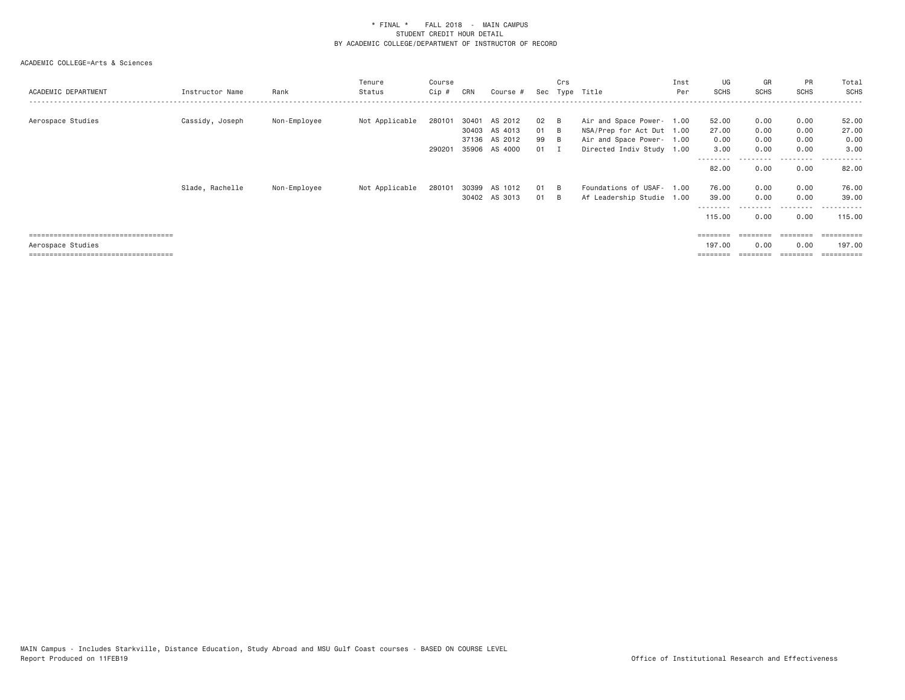| ACADEMIC DEPARTMENT                                       | Instructor Name | Rank         | Tenure<br>Status | Course<br>Cip #  | CRN   | Course #                                                   | Sec                  | Crs                               | Type Title                                                                                                       | Inst<br>Per | UG<br>SCHS                              | GR<br>SCHS                   | PR<br><b>SCHS</b>             | Total<br><b>SCHS</b><br>.                |
|-----------------------------------------------------------|-----------------|--------------|------------------|------------------|-------|------------------------------------------------------------|----------------------|-----------------------------------|------------------------------------------------------------------------------------------------------------------|-------------|-----------------------------------------|------------------------------|-------------------------------|------------------------------------------|
| Aerospace Studies                                         | Cassidy, Joseph | Non-Employee | Not Applicable   | 280101<br>290201 | 30401 | AS 2012<br>30403 AS 4013<br>37136 AS 2012<br>35906 AS 4000 | 02<br>01<br>99<br>01 | - в<br>- B<br>- в<br>$\mathbf{T}$ | Air and Space Power- 1.00<br>NSA/Prep for Act Dut 1.00<br>Air and Space Power- 1.00<br>Directed Indiv Study 1.00 |             | 52.00<br>27.00<br>0.00<br>3.00          | 0.00<br>0.00<br>0.00<br>0.00 | 0.00<br>0.00<br>0.00<br>0.00  | 52.00<br>27.00<br>0.00<br>3.00           |
|                                                           | Slade, Rachelle | Non-Employee | Not Applicable   | 280101           | 30399 | AS 1012                                                    | 01                   | - R                               | Foundations of USAF-                                                                                             | 1.00        | --------<br>82.00<br>76.00              | 0.00<br>0.00                 | --------<br>0.00<br>0.00      | ----------<br>82.00<br>76.00             |
| =====================================                     |                 |              |                  |                  |       | 30402 AS 3013                                              | 01                   | - B                               | Af Leadership Studie 1.00                                                                                        |             | 39.00<br>--------<br>115.00<br>======== | 0.00<br>0.00<br>========     | 0.00<br>.<br>0.00<br>======== | 39,00<br>-------<br>115,00<br>========== |
| Aerospace Studies<br>==================================== |                 |              |                  |                  |       |                                                            |                      |                                   |                                                                                                                  |             | 197.00                                  | 0.00                         | 0.00                          | 197.00<br>==========                     |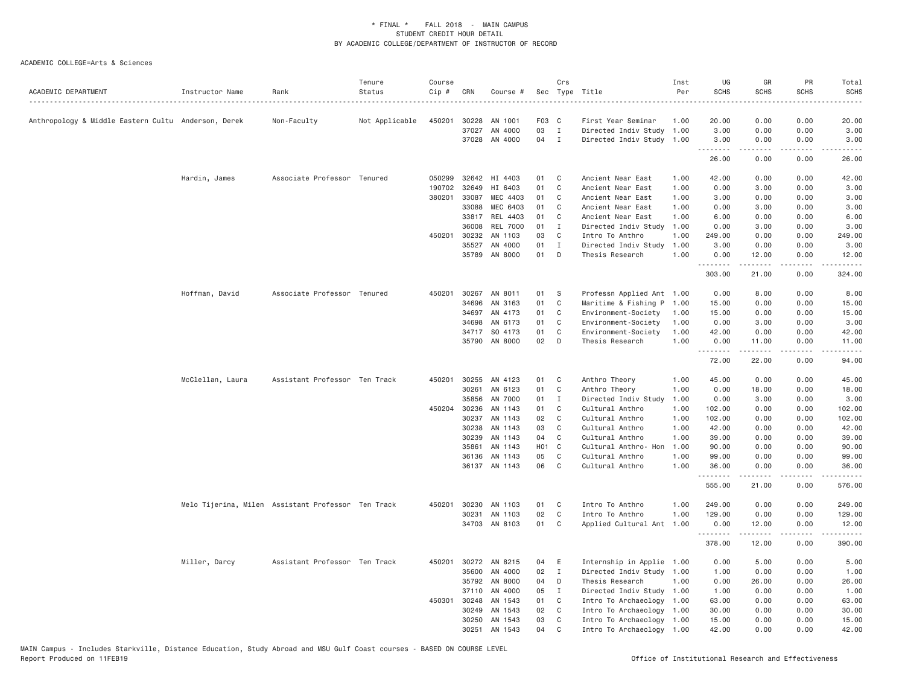| ACADEMIC DEPARTMENT                                  | Instructor Name                                    | Rank                          | Tenure<br>Status | Course<br>Cip # | CRN                   | Course #                 |          | Crs              | Sec Type Title                                    | Inst<br>Per  | UG<br><b>SCHS</b>   | GR<br><b>SCHS</b>                                                                                                                            | PR<br>SCHS      | Total<br><b>SCHS</b><br>$- - - - -$                                          |
|------------------------------------------------------|----------------------------------------------------|-------------------------------|------------------|-----------------|-----------------------|--------------------------|----------|------------------|---------------------------------------------------|--------------|---------------------|----------------------------------------------------------------------------------------------------------------------------------------------|-----------------|------------------------------------------------------------------------------|
| Anthropology & Middle Eastern Cultu  Anderson, Derek |                                                    | Non-Faculty                   | Not Applicable   | 450201          | 30228                 | AN 1001                  | F03 C    |                  | First Year Seminar                                | 1.00         | 20.00               | 0.00                                                                                                                                         | 0.00            | 20.00                                                                        |
|                                                      |                                                    |                               |                  |                 | 37027                 | AN 4000                  | 03       | $\mathbf{I}$     | Directed Indiv Study 1.00                         |              | 3.00                | 0.00                                                                                                                                         | 0.00            | 3.00                                                                         |
|                                                      |                                                    |                               |                  |                 |                       | 37028 AN 4000            | 04       | $\mathbf{I}$     | Directed Indiv Study 1.00                         |              | 3.00                | 0.00                                                                                                                                         | 0.00            | 3.00                                                                         |
|                                                      |                                                    |                               |                  |                 |                       |                          |          |                  |                                                   |              | . <b>.</b><br>26.00 | $\mathcal{L}^{\mathcal{A}}\left( \mathcal{A}^{\mathcal{A}}\right) =\mathcal{L}^{\mathcal{A}}\left( \mathcal{A}^{\mathcal{A}}\right)$<br>0.00 | .<br>0.00       | .<br>26.00                                                                   |
|                                                      | Hardin, James                                      | Associate Professor Tenured   |                  | 050299          | 32642                 | HI 4403                  | 01       | C                | Ancient Near East                                 | 1.00         | 42.00               | 0.00                                                                                                                                         | 0.00            | 42.00                                                                        |
|                                                      |                                                    |                               |                  | 190702 32649    |                       | HI 6403                  | 01       | C                | Ancient Near East                                 | 1.00         | 0.00                | 3.00                                                                                                                                         | 0.00            | 3.00                                                                         |
|                                                      |                                                    |                               |                  | 380201          | 33087                 | MEC 4403                 | 01       | C                | Ancient Near East                                 | 1.00         | 3.00                | 0.00                                                                                                                                         | 0.00            | 3.00                                                                         |
|                                                      |                                                    |                               |                  |                 | 33088                 | MEC 6403                 | 01       | C                | Ancient Near East                                 | 1.00         | 0.00                | 3.00                                                                                                                                         | 0.00            | 3.00                                                                         |
|                                                      |                                                    |                               |                  |                 | 33817                 | REL 4403                 | 01       | C                | Ancient Near East                                 | 1.00         | 6.00                | 0.00                                                                                                                                         | 0.00            | 6.00                                                                         |
|                                                      |                                                    |                               |                  |                 | 36008                 | <b>REL 7000</b>          | 01       | Ι.               | Directed Indiv Study                              | 1.00         | 0.00                | 3.00                                                                                                                                         | 0.00            | 3.00                                                                         |
|                                                      |                                                    |                               |                  |                 | 450201 30232          | AN 1103                  | 03       | C                | Intro To Anthro                                   | 1.00         | 249.00              | 0.00                                                                                                                                         | 0.00            | 249.00                                                                       |
|                                                      |                                                    |                               |                  |                 | 35527<br>35789        | AN 4000<br>AN 8000       | 01<br>01 | $\mathbf I$<br>D | Directed Indiv Study<br>Thesis Research           | 1.00<br>1.00 | 3.00<br>0.00        | 0.00<br>12.00                                                                                                                                | 0.00<br>0.00    | 3.00<br>12.00                                                                |
|                                                      |                                                    |                               |                  |                 |                       |                          |          |                  |                                                   |              | .<br>303.00         | 21.00                                                                                                                                        | 0.00            | 324.00                                                                       |
|                                                      |                                                    |                               |                  |                 |                       |                          |          |                  |                                                   |              |                     |                                                                                                                                              |                 |                                                                              |
|                                                      | Hoffman, David                                     | Associate Professor Tenured   |                  | 450201          | 34696                 | 30267 AN 8011<br>AN 3163 | 01<br>01 | S<br>C           | Professn Applied Ant 1.00<br>Maritime & Fishing P | 1.00         | 0.00<br>15.00       | 8.00<br>0.00                                                                                                                                 | 0.00<br>0.00    | 8.00<br>15.00                                                                |
|                                                      |                                                    |                               |                  |                 | 34697                 | AN 4173                  | 01       | C                | Environment-Society                               | 1.00         | 15.00               | 0.00                                                                                                                                         | 0.00            | 15.00                                                                        |
|                                                      |                                                    |                               |                  |                 | 34698                 | AN 6173                  | 01       | C                | Environment-Society                               | 1.00         | 0.00                | 3.00                                                                                                                                         | 0.00            | 3.00                                                                         |
|                                                      |                                                    |                               |                  |                 |                       | 34717 SO 4173            | 01       | C                | Environment-Society                               | 1.00         | 42.00               | 0.00                                                                                                                                         | 0.00            | 42.00                                                                        |
|                                                      |                                                    |                               |                  |                 |                       | 35790 AN 8000            | 02       | D                | Thesis Research                                   | 1.00         | 0.00                | 11.00                                                                                                                                        | 0.00            | 11.00                                                                        |
|                                                      |                                                    |                               |                  |                 |                       |                          |          |                  |                                                   |              | .<br>72.00          | $-2222$<br>22.00                                                                                                                             | د د د د<br>0.00 | .<br>94.00                                                                   |
|                                                      |                                                    |                               |                  |                 |                       |                          |          |                  |                                                   |              |                     |                                                                                                                                              |                 |                                                                              |
|                                                      | McClellan, Laura                                   | Assistant Professor Ten Track |                  | 450201          | 30255                 | AN 4123                  | 01       | C                | Anthro Theory                                     | 1.00         | 45.00               | 0.00                                                                                                                                         | 0.00            | 45.00                                                                        |
|                                                      |                                                    |                               |                  |                 | 30261                 | AN 6123                  | 01       | C                | Anthro Theory                                     | 1.00         | 0.00                | 18.00                                                                                                                                        | 0.00            | 18.00                                                                        |
|                                                      |                                                    |                               |                  |                 | 35856<br>450204 30236 | AN 7000<br>AN 1143       | 01<br>01 | I<br>C           | Directed Indiv Study                              | 1.00<br>1.00 | 0.00<br>102.00      | 3.00<br>0.00                                                                                                                                 | 0.00<br>0.00    | 3.00                                                                         |
|                                                      |                                                    |                               |                  |                 | 30237                 | AN 1143                  | 02       | C                | Cultural Anthro<br>Cultural Anthro                | 1.00         | 102.00              | 0.00                                                                                                                                         | 0.00            | 102.00<br>102.00                                                             |
|                                                      |                                                    |                               |                  |                 | 30238                 | AN 1143                  | 03       | C                | Cultural Anthro                                   | 1.00         | 42.00               | 0.00                                                                                                                                         | 0.00            | 42.00                                                                        |
|                                                      |                                                    |                               |                  |                 | 30239                 | AN 1143                  | 04       | C                | Cultural Anthro                                   | 1.00         | 39.00               | 0.00                                                                                                                                         | 0.00            | 39.00                                                                        |
|                                                      |                                                    |                               |                  |                 | 35861                 | AN 1143                  | HO1 C    |                  | Cultural Anthro- Hon                              | 1.00         | 90.00               | 0.00                                                                                                                                         | 0.00            | 90.00                                                                        |
|                                                      |                                                    |                               |                  |                 | 36136                 | AN 1143                  | 05       | C                | Cultural Anthro                                   | 1.00         | 99.00               | 0.00                                                                                                                                         | 0.00            | 99.00                                                                        |
|                                                      |                                                    |                               |                  |                 |                       | 36137 AN 1143            | 06       | C                | Cultural Anthro                                   | 1.00         | 36.00               | 0.00                                                                                                                                         | 0.00            | 36.00                                                                        |
|                                                      |                                                    |                               |                  |                 |                       |                          |          |                  |                                                   |              | .<br>555.00         | 21.00                                                                                                                                        | 0.00            | 576.00                                                                       |
|                                                      | Melo Tijerina, Milen Assistant Professor Ten Track |                               |                  |                 |                       | 450201 30230 AN 1103     | 01       | $\mathbf{C}$     | Intro To Anthro                                   | 1.00         | 249.00              | 0.00                                                                                                                                         | 0.00            | 249.00                                                                       |
|                                                      |                                                    |                               |                  |                 | 30231                 | AN 1103                  | 02       | C                | Intro To Anthro                                   | 1.00         | 129.00              | 0.00                                                                                                                                         | 0.00            | 129.00                                                                       |
|                                                      |                                                    |                               |                  |                 |                       | 34703 AN 8103            | 01       | C                | Applied Cultural Ant                              | 1.00         | 0.00                | 12.00                                                                                                                                        | 0.00            | 12.00                                                                        |
|                                                      |                                                    |                               |                  |                 |                       |                          |          |                  |                                                   |              | .<br>378.00         | .<br>12.00                                                                                                                                   | .<br>0.00       | $\omega_{\alpha}=\omega_{\alpha}=\omega_{\alpha}=\omega_{\alpha},$<br>390.00 |
|                                                      | Miller, Darcy                                      | Assistant Professor Ten Track |                  |                 |                       | 450201 30272 AN 8215     | 04       | E                | Internship in Applie 1.00                         |              | 0.00                | 5.00                                                                                                                                         | 0.00            | 5.00                                                                         |
|                                                      |                                                    |                               |                  |                 |                       | 35600 AN 4000            | 02       | $\mathbf{I}$     | Directed Indiv Study 1.00                         |              | 1.00                | 0.00                                                                                                                                         | 0.00            | 1.00                                                                         |
|                                                      |                                                    |                               |                  |                 | 35792                 | AN 8000                  | 04       | D                | Thesis Research                                   | 1.00         | 0.00                | 26.00                                                                                                                                        | 0.00            | 26.00                                                                        |
|                                                      |                                                    |                               |                  |                 | 37110                 | AN 4000                  | 05       | $\mathbf{I}$     | Directed Indiv Study 1.00                         |              | 1.00                | 0.00                                                                                                                                         | 0.00            | 1.00                                                                         |
|                                                      |                                                    |                               |                  | 450301          | 30248                 | AN 1543                  | 01       | C                | Intro To Archaeology                              | 1.00         | 63.00               | 0.00                                                                                                                                         | 0.00            | 63.00                                                                        |
|                                                      |                                                    |                               |                  |                 | 30249                 | AN 1543                  | 02       | C <sub>1</sub>   | Intro To Archaeology 1.00                         |              | 30.00               | 0.00                                                                                                                                         | 0.00            | 30.00                                                                        |
|                                                      |                                                    |                               |                  |                 | 30250                 | AN 1543                  | 03       | C                | Intro To Archaeology 1.00                         |              | 15.00               | 0.00                                                                                                                                         | 0.00            | 15.00                                                                        |
|                                                      |                                                    |                               |                  |                 |                       | 30251 AN 1543            | 04       | C                | Intro To Archaeology 1.00                         |              | 42.00               | 0.00                                                                                                                                         | 0.00            | 42.00                                                                        |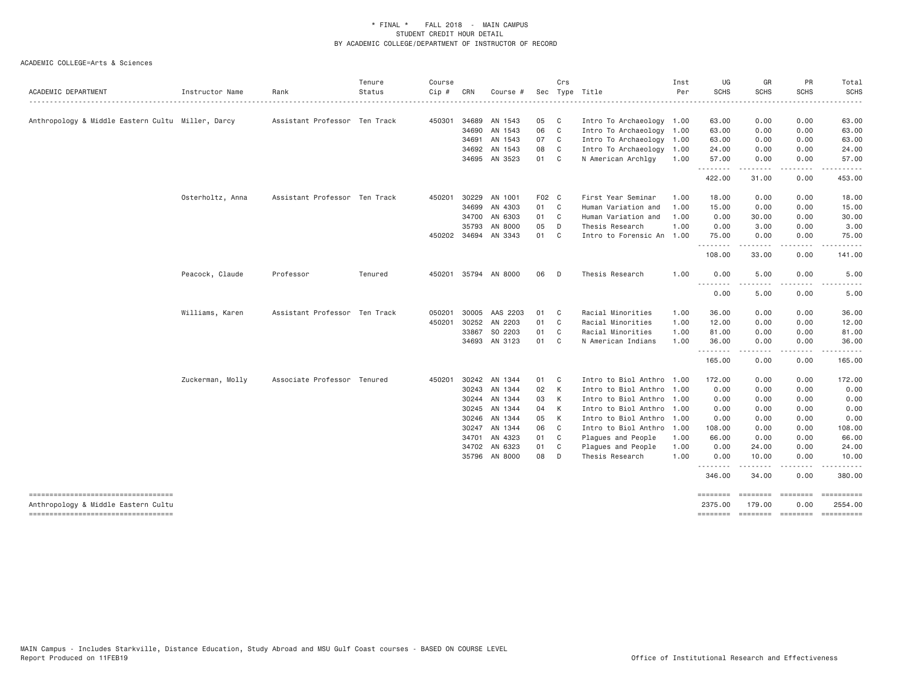| ACADEMIC DEPARTMENT                               | Instructor Name  | Rank                          | Tenure<br>Status | Course<br>Cip # | CRN   | Course #      | Sec   | Crs            | Type Title                | Inst<br>Per | UG<br><b>SCHS</b> | GR<br><b>SCHS</b>                                                                                                                                            | PR<br><b>SCHS</b>         | Total<br><b>SCHS</b>                |
|---------------------------------------------------|------------------|-------------------------------|------------------|-----------------|-------|---------------|-------|----------------|---------------------------|-------------|-------------------|--------------------------------------------------------------------------------------------------------------------------------------------------------------|---------------------------|-------------------------------------|
|                                                   |                  |                               | .                |                 |       |               |       |                |                           |             |                   | .                                                                                                                                                            |                           | . <u>.</u>                          |
| Anthropology & Middle Eastern Cultu Miller, Darcy |                  | Assistant Professor Ten Track |                  | 450301          | 34689 | AN 1543       | 05    | C <sub>1</sub> | Intro To Archaeology 1.00 |             | 63.00             | 0.00                                                                                                                                                         | 0.00                      | 63.00                               |
|                                                   |                  |                               |                  |                 | 34690 | AN 1543       | 06    | C              | Intro To Archaeology 1.00 |             | 63.00             | 0.00                                                                                                                                                         | 0.00                      | 63.00                               |
|                                                   |                  |                               |                  |                 | 34691 | AN 1543       | 07    | C              | Intro To Archaeology 1.00 |             | 63.00             | 0.00                                                                                                                                                         | 0.00                      | 63.00                               |
|                                                   |                  |                               |                  |                 |       | 34692 AN 1543 | 08    | C              | Intro To Archaeology      | 1.00        | 24.00             | 0.00                                                                                                                                                         | 0.00                      | 24.00                               |
|                                                   |                  |                               |                  |                 | 34695 | AN 3523       | 01    | C              | N American Archlgy        | 1.00        | 57.00<br>.        | 0.00<br>.                                                                                                                                                    | 0.00<br>.                 | 57.00<br>.                          |
|                                                   |                  |                               |                  |                 |       |               |       |                |                           |             | 422.00            | 31.00                                                                                                                                                        | 0.00                      | 453,00                              |
|                                                   | Osterholtz, Anna | Assistant Professor Ten Track |                  | 450201          | 30229 | AN 1001       | F02 C |                | First Year Seminar        | 1.00        | 18.00             | 0.00                                                                                                                                                         | 0.00                      | 18.00                               |
|                                                   |                  |                               |                  |                 | 34699 | AN 4303       | 01    | C              | Human Variation and       | 1.00        | 15.00             | 0.00                                                                                                                                                         | 0.00                      | 15.00                               |
|                                                   |                  |                               |                  |                 | 34700 | AN 6303       | 01    | C.             | Human Variation and       | 1.00        | 0.00              | 30.00                                                                                                                                                        | 0.00                      | 30.00                               |
|                                                   |                  |                               |                  |                 | 35793 | AN 8000       | 05    | D              | Thesis Research           | 1.00        | 0.00              | 3.00                                                                                                                                                         | 0.00                      | 3.00                                |
|                                                   |                  |                               |                  | 450202          | 34694 | AN 3343       | 01    | C              | Intro to Forensic An 1.00 |             | 75.00<br>-------- | 0.00<br>. <u>.</u>                                                                                                                                           | 0.00<br>.                 | 75.00<br>. <u>.</u>                 |
|                                                   |                  |                               |                  |                 |       |               |       |                |                           |             | 108.00            | 33.00                                                                                                                                                        | 0.00                      | 141.00                              |
|                                                   | Peacock, Claude  | Professor                     | Tenured          | 450201          |       | 35794 AN 8000 | 06    | D              | Thesis Research           | 1.00        | 0.00<br>.         | 5.00<br>.                                                                                                                                                    | 0.00                      | 5.00<br>$\sim$ $\sim$ $\sim$ $\sim$ |
|                                                   |                  |                               |                  |                 |       |               |       |                |                           |             | 0.00              | 5.00                                                                                                                                                         | 0.00                      | 5.00                                |
|                                                   | Williams, Karen  | Assistant Professor Ten Track |                  | 050201          | 30005 | AAS 2203      | 01    | C.             | Racial Minorities         | 1.00        | 36.00             | 0.00                                                                                                                                                         | 0.00                      | 36.00                               |
|                                                   |                  |                               |                  | 450201          |       | 30252 AN 2203 | 01    | C              | Racial Minorities         | 1.00        | 12.00             | 0.00                                                                                                                                                         | 0.00                      | 12.00                               |
|                                                   |                  |                               |                  |                 | 33867 | SO 2203       | 01    | C              | Racial Minorities         | 1.00        | 81.00             | 0.00                                                                                                                                                         | 0.00                      | 81.00                               |
|                                                   |                  |                               |                  |                 |       | 34693 AN 3123 | 01    | C              | N American Indians        | 1.00        | 36.00<br>.        | 0.00<br>$\frac{1}{2} \left( \frac{1}{2} \right) \left( \frac{1}{2} \right) \left( \frac{1}{2} \right) \left( \frac{1}{2} \right) \left( \frac{1}{2} \right)$ | 0.00<br>.                 | 36,00<br>.                          |
|                                                   |                  |                               |                  |                 |       |               |       |                |                           |             | 165.00            | 0.00                                                                                                                                                         | 0.00                      | 165.00                              |
|                                                   | Zuckerman, Molly | Associate Professor Tenured   |                  | 450201          |       | 30242 AN 1344 | 01    | C              | Intro to Biol Anthro 1.00 |             | 172.00            | 0.00                                                                                                                                                         | 0.00                      | 172.00                              |
|                                                   |                  |                               |                  |                 |       | 30243 AN 1344 | 02    | K              | Intro to Biol Anthro      | 1.00        | 0.00              | 0.00                                                                                                                                                         | 0.00                      | 0.00                                |
|                                                   |                  |                               |                  |                 | 30244 | AN 1344       | 03    | K              | Intro to Biol Anthro      | 1.00        | 0.00              | 0.00                                                                                                                                                         | 0.00                      | 0.00                                |
|                                                   |                  |                               |                  |                 |       | 30245 AN 1344 | 04    | К              | Intro to Biol Anthro 1.00 |             | 0.00              | 0.00                                                                                                                                                         | 0.00                      | 0.00                                |
|                                                   |                  |                               |                  |                 | 30246 | AN 1344       | 05    | К              | Intro to Biol Anthro 1.00 |             | 0.00              | 0.00                                                                                                                                                         | 0.00                      | 0.00                                |
|                                                   |                  |                               |                  |                 | 30247 | AN 1344       | 06    | C              | Intro to Biol Anthro      | 1.00        | 108.00            | 0.00                                                                                                                                                         | 0.00                      | 108.00                              |
|                                                   |                  |                               |                  |                 | 34701 | AN 4323       | 01    | C              | Plagues and People        | 1.00        | 66.00             | 0.00                                                                                                                                                         | 0.00                      | 66.00                               |
|                                                   |                  |                               |                  |                 | 34702 | AN 6323       | 01    | C              | Plagues and People        | 1.00        | 0.00              | 24.00                                                                                                                                                        | 0.00                      | 24.00                               |
|                                                   |                  |                               |                  |                 |       | 35796 AN 8000 | 08    | D              | Thesis Research           | 1.00        | 0.00<br>--------  | 10.00<br>.                                                                                                                                                   | 0.00<br>.                 | 10.00<br>. <u>.</u>                 |
|                                                   |                  |                               |                  |                 |       |               |       |                |                           |             | 346.00            | 34,00                                                                                                                                                        | 0.00                      | 380,00                              |
| Anthropology & Middle Eastern Cultu               |                  |                               |                  |                 |       |               |       |                |                           |             | 2375.00           | 179.00                                                                                                                                                       | <b>Experience</b><br>0.00 | 2554.00                             |
| -----------------------------------               |                  |                               |                  |                 |       |               |       |                |                           |             | ========          | ======== ======== =========                                                                                                                                  |                           |                                     |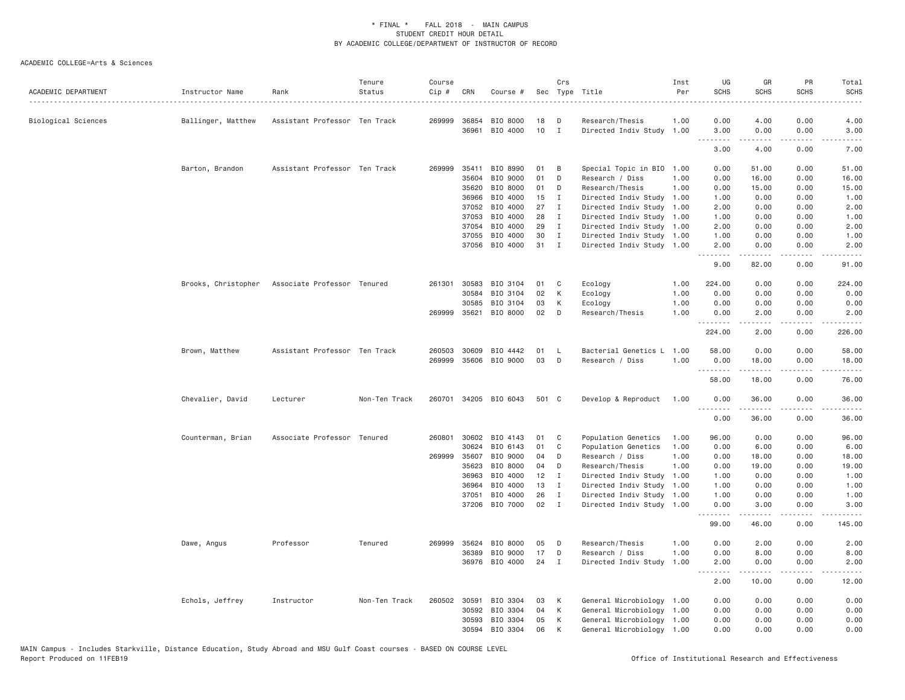| ACADEMIC DEPARTMENT | Instructor Name     | Rank                          | Tenure<br>Status | Course<br>Cip # | CRN          | Course #              |       | Crs          | Sec Type Title            | Inst<br>Per | UG<br><b>SCHS</b> | GR<br><b>SCHS</b>    | PR<br><b>SCHS</b>                   | Total<br><b>SCHS</b>         |
|---------------------|---------------------|-------------------------------|------------------|-----------------|--------------|-----------------------|-------|--------------|---------------------------|-------------|-------------------|----------------------|-------------------------------------|------------------------------|
| Biological Sciences | Ballinger, Matthew  | Assistant Professor Ten Track |                  | 269999          | 36854        | BIO 8000              | 18    | D            | Research/Thesis           | 1.00        | 0.00              | 4.00                 | 0.00                                | 4.00                         |
|                     |                     |                               |                  |                 | 36961        | BIO 4000              | 10    | $\mathbf{I}$ | Directed Indiv Study 1.00 |             | 3.00              | 0.00                 | 0.00                                | 3.00                         |
|                     |                     |                               |                  |                 |              |                       |       |              |                           |             | .<br>3.00         | .<br>4.00            | .<br>0.00                           | $- - - - -$<br>7.00          |
|                     | Barton, Brandon     | Assistant Professor Ten Track |                  | 269999          | 35411        | BIO 8990              | 01    | B            | Special Topic in BIO 1.00 |             | 0.00              | 51.00                | 0.00                                | 51.00                        |
|                     |                     |                               |                  |                 | 35604        | BIO 9000              | 01    | D            | Research / Diss           | 1.00        | 0.00              | 16.00                | 0.00                                | 16.00                        |
|                     |                     |                               |                  |                 | 35620        | BIO 8000              | 01    | D            | Research/Thesis           | 1,00        | 0.00              | 15.00                | 0.00                                | 15.00                        |
|                     |                     |                               |                  |                 | 36966        | BIO 4000              | 15    | I            | Directed Indiv Study      | 1.00        | 1.00              | 0.00                 | 0.00                                | 1.00                         |
|                     |                     |                               |                  |                 | 37052        | BIO 4000              | 27    | $\mathbf I$  | Directed Indiv Study 1.00 |             | 2.00              | 0.00                 | 0.00                                | 2.00                         |
|                     |                     |                               |                  |                 | 37053        | BIO 4000              | 28    | $\mathbf{I}$ | Directed Indiv Study 1.00 |             | 1.00              | 0.00                 | 0.00                                | 1.00                         |
|                     |                     |                               |                  |                 | 37054        | BIO 4000              | 29    | I            | Directed Indiv Study 1.00 |             | 2.00              | 0.00                 | 0.00                                | 2.00                         |
|                     |                     |                               |                  |                 | 37055        | BIO 4000              | 30    | I            | Directed Indiv Study 1.00 |             | 1.00              | 0.00                 | 0.00                                | 1.00                         |
|                     |                     |                               |                  |                 | 37056        | BIO 4000              | 31    | $\mathbf I$  | Directed Indiv Study 1.00 |             | 2.00<br>.         | 0.00<br>2.2.2.2.2    | 0.00<br>.                           | 2.00                         |
|                     |                     |                               |                  |                 |              |                       |       |              |                           |             | 9.00              | 82.00                | 0.00                                | 91.00                        |
|                     | Brooks, Christopher | Associate Professor Tenured   |                  | 261301          | 30583        | BIO 3104              | 01    | C            | Ecology                   | 1.00        | 224.00            | 0.00                 | 0.00                                | 224.00                       |
|                     |                     |                               |                  |                 | 30584        | BIO 3104              | 02    | K            | Ecology                   | 1.00        | 0.00              | 0.00                 | 0.00                                | 0.00                         |
|                     |                     |                               |                  |                 | 30585        | BIO 3104              | 03    | К            | Ecology                   | 1.00        | 0.00              | 0.00                 | 0.00                                | 0.00                         |
|                     |                     |                               |                  |                 | 269999 35621 | BIO 8000              | 02    | D            | Research/Thesis           | 1.00        | 0.00<br>.         | 2.00<br>$- - - - -$  | 0.00<br>.                           | 2.00<br>$\omega$ is a set of |
|                     |                     |                               |                  |                 |              |                       |       |              |                           |             | 224.00            | 2.00                 | 0.00                                | 226.00                       |
|                     | Brown, Matthew      | Assistant Professor Ten Track |                  | 260503          | 30609        | BIO 4442              | 01    | L            | Bacterial Genetics L      | 1.00        | 58.00             | 0.00                 | 0.00                                | 58.00                        |
|                     |                     |                               |                  | 269999          | 35606        | BIO 9000              | 03    | D            | Research / Diss           | 1.00        | 0.00              | 18.00                | 0.00                                | 18.00                        |
|                     |                     |                               |                  |                 |              |                       |       |              |                           |             | 58.00             | 18.00                | 0.00                                | 76.00                        |
|                     | Chevalier, David    | Lecturer                      | Non-Ten Track    |                 |              | 260701 34205 BIO 6043 | 501 C |              | Develop & Reproduct       | 1.00        | 0.00<br>.         | 36.00<br>$- - - - -$ | 0.00<br>. <u>. .</u>                | 36.00<br>.                   |
|                     |                     |                               |                  |                 |              |                       |       |              |                           |             | 0.00              | 36.00                | 0.00                                | 36.00                        |
|                     | Counterman, Brian   | Associate Professor Tenured   |                  | 260801          | 30602        | BIO 4143              | 01    | C            | Population Genetics       | 1.00        | 96.00             | 0.00                 | 0.00                                | 96.00                        |
|                     |                     |                               |                  |                 | 30624        | BIO 6143              | 01    | C            | Population Genetics       | 1.00        | 0.00              | 6.00                 | 0.00                                | 6.00                         |
|                     |                     |                               |                  | 269999          | 35607        | BIO 9000              | 04    | D            | Research / Diss           | 1.00        | 0.00              | 18.00                | 0.00                                | 18.00                        |
|                     |                     |                               |                  |                 | 35623        | BIO 8000              | 04    | D            | Research/Thesis           | 1.00        | 0.00              | 19.00                | 0.00                                | 19.00                        |
|                     |                     |                               |                  |                 | 36963        | BIO 4000              | 12    | $\mathbf{I}$ | Directed Indiv Study 1.00 |             | 1.00              | 0.00                 | 0.00                                | 1.00                         |
|                     |                     |                               |                  |                 | 36964        | BIO 4000              | 13    | $\mathbf{I}$ | Directed Indiv Study      | 1.00        | 1.00              | 0.00                 | 0.00                                | 1.00                         |
|                     |                     |                               |                  |                 | 37051        | BIO 4000              | 26    | $\mathbf{I}$ | Directed Indiv Study      | 1.00        | 1.00              | 0.00                 | 0.00                                | 1.00                         |
|                     |                     |                               |                  |                 |              | 37206 BIO 7000        | 02    | $\mathbf{I}$ | Directed Indiv Study 1.00 |             | 0.00<br>.         | 3.00<br>.            | 0.00<br>$\sim$ $\sim$ $\sim$ $\sim$ | 3.00                         |
|                     |                     |                               |                  |                 |              |                       |       |              |                           |             | 99.00             | 46.00                | 0.00                                | 145.00                       |
|                     | Dawe, Angus         | Professor                     | Tenured          | 269999          | 35624        | BIO 8000              | 05    | D            | Research/Thesis           | 1.00        | 0.00              | 2.00                 | 0.00                                | 2.00                         |
|                     |                     |                               |                  |                 | 36389        | BIO 9000              | 17    | D            | Research / Diss           | 1.00        | 0.00              | 8.00                 | 0.00                                | 8.00                         |
|                     |                     |                               |                  |                 |              | 36976 BIO 4000        | 24    | $\mathbf{I}$ | Directed Indiv Study      | 1.00        | 2.00<br>.         | 0.00<br>$- - - - -$  | 0.00<br>.                           | 2.00                         |
|                     |                     |                               |                  |                 |              |                       |       |              |                           |             | 2.00              | 10.00                | 0.00                                | 12.00                        |
|                     | Echols, Jeffrey     | Instructor                    | Non-Ten Track    |                 | 260502 30591 | BIO 3304              | 03    | К            | General Microbiology 1.00 |             | 0.00              | 0.00                 | 0.00                                | 0.00                         |
|                     |                     |                               |                  |                 | 30592        | BIO 3304              | 04    | K            | General Microbiology 1.00 |             | 0.00              | 0.00                 | 0.00                                | 0.00                         |
|                     |                     |                               |                  |                 | 30593        | BIO 3304              | 05    | К            | General Microbiology 1.00 |             | 0.00              | 0.00                 | 0.00                                | 0.00                         |
|                     |                     |                               |                  |                 | 30594        | BIO 3304              | 06    | К            | General Microbiology 1.00 |             | 0.00              | 0.00                 | 0.00                                | 0.00                         |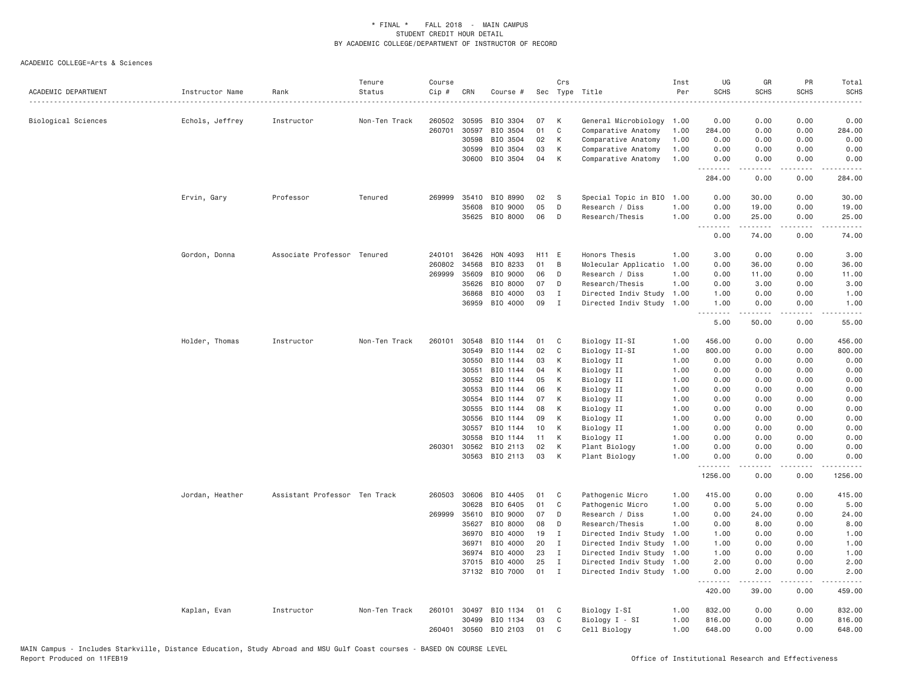| ACADEMIC DEPARTMENT | Instructor Name | Rank                          | Tenure<br>Status | Course<br>Cip # | CRN          | Course #       | Sec   | Crs          | Type Title                | Inst<br>Per | UG<br><b>SCHS</b> | GR<br><b>SCHS</b>             | PR<br>SCHS                          | Total<br><b>SCHS</b><br>$\frac{1}{2}$ |
|---------------------|-----------------|-------------------------------|------------------|-----------------|--------------|----------------|-------|--------------|---------------------------|-------------|-------------------|-------------------------------|-------------------------------------|---------------------------------------|
| Biological Sciences | Echols, Jeffrey | Instructor                    | Non-Ten Track    | 260502          | 30595        | BIO 3304       | 07    | К            | General Microbiology      | 1.00        | 0.00              | 0.00                          | 0.00                                | 0.00                                  |
|                     |                 |                               |                  | 260701          | 30597        | BIO 3504       | 01    | $\mathsf{C}$ | Comparative Anatomy       | 1.00        | 284.00            | 0.00                          | 0.00                                | 284.00                                |
|                     |                 |                               |                  |                 | 30598        | BIO 3504       | 02    | К            | Comparative Anatomy       | 1.00        | 0.00              | 0.00                          | 0.00                                | 0.00                                  |
|                     |                 |                               |                  |                 | 30599        | BIO 3504       | 03    | К            | Comparative Anatomy       | 1.00        | 0.00              | 0.00                          | 0.00                                | 0.00                                  |
|                     |                 |                               |                  |                 | 30600        | BIO 3504       | 04    | K            | Comparative Anatomy       | 1.00        | 0.00<br>.         | 0.00<br>.                     | 0.00<br>$\sim$ $\sim$ $\sim$ $\sim$ | 0.00<br>.                             |
|                     |                 |                               |                  |                 |              |                |       |              |                           |             | 284.00            | 0.00                          | 0.00                                | 284.00                                |
|                     | Ervin, Gary     | Professor                     | Tenured          | 269999          | 35410        | BIO 8990       | 02    | S            | Special Topic in BIO      | 1.00        | 0.00              | 30.00                         | 0.00                                | 30.00                                 |
|                     |                 |                               |                  |                 | 35608        | BIO 9000       | 05    | D            | Research / Diss           | 1.00        | 0.00              | 19.00                         | 0.00                                | 19.00                                 |
|                     |                 |                               |                  |                 | 35625        | BIO 8000       | 06    | D            | Research/Thesis           | 1.00        | 0.00              | 25.00                         | 0.00                                | 25.00                                 |
|                     |                 |                               |                  |                 |              |                |       |              |                           |             | .<br>0.00         | $\omega$ is a set of<br>74.00 | $\sim$ $\sim$ $\sim$<br>0.00        | 74.00                                 |
|                     | Gordon, Donna   | Associate Professor Tenured   |                  | 240101          | 36426        | HON 4093       | H11 E |              | Honors Thesis             | 1.00        | 3.00              | 0.00                          | 0.00                                | 3.00                                  |
|                     |                 |                               |                  | 260802          | 34568        | BIO 8233       | 01    | B            | Molecular Applicatio      | 1.00        | 0.00              | 36.00                         | 0.00                                | 36.00                                 |
|                     |                 |                               |                  | 269999          | 35609        | BIO 9000       | 06    | D            | Research / Diss           | 1.00        | 0.00              | 11.00                         | 0.00                                | 11.00                                 |
|                     |                 |                               |                  |                 | 35626        | BIO 8000       | 07    | D            | Research/Thesis           | 1.00        | 0.00              | 3.00                          | 0.00                                | 3.00                                  |
|                     |                 |                               |                  |                 | 36868        | BIO 4000       | 03    | $\mathbf I$  | Directed Indiv Study      | 1.00        | 1.00              | 0.00                          | 0.00                                | 1.00                                  |
|                     |                 |                               |                  |                 | 36959        | BIO 4000       | 09    | $\mathbf I$  | Directed Indiv Study      | 1.00        | 1.00              | 0.00                          | 0.00                                | 1.00                                  |
|                     |                 |                               |                  |                 |              |                |       |              |                           |             | .<br>5.00         | 50.00                         | $\sim$ $\sim$ $\sim$ $\sim$<br>0.00 | 55.00                                 |
|                     | Holder, Thomas  | Instructor                    | Non-Ten Track    | 260101          | 30548        | BIO 1144       | 01    | C            | Biology II-SI             | 1.00        | 456.00            | 0.00                          | 0.00                                | 456.00                                |
|                     |                 |                               |                  |                 | 30549        | BIO 1144       | 02    | C            | Biology II-SI             | 1.00        | 800.00            | 0.00                          | 0.00                                | 800.00                                |
|                     |                 |                               |                  |                 | 30550        | BIO 1144       | 03    | K            | Biology II                | 1.00        | 0.00              | 0.00                          | 0.00                                | 0.00                                  |
|                     |                 |                               |                  |                 | 30551        | BIO 1144       | 04    | K            | Biology II                | 1.00        | 0.00              | 0.00                          | 0.00                                | 0.00                                  |
|                     |                 |                               |                  |                 | 30552        | BIO 1144       | 05    | К            | Biology II                | 1.00        | 0.00              | 0.00                          | 0.00                                | 0.00                                  |
|                     |                 |                               |                  |                 | 30553        | BIO 1144       | 06    | К            | Biology II                | 1.00        | 0.00              | 0.00                          | 0.00                                | 0.00                                  |
|                     |                 |                               |                  |                 | 30554        | BIO 1144       | 07    | К            | Biology II                | 1.00        | 0.00              | 0.00                          | 0.00                                | 0.00                                  |
|                     |                 |                               |                  |                 | 30555        | BIO 1144       | 08    | К            | Biology II                | 1.00        | 0.00              | 0.00                          | 0.00                                | 0.00                                  |
|                     |                 |                               |                  |                 | 30556        | BIO 1144       | 09    | К            | Biology II                | 1.00        | 0.00              | 0.00                          | 0.00                                | 0.00                                  |
|                     |                 |                               |                  |                 | 30557        | BIO 1144       | 10    | K            | Biology II                | 1.00        | 0.00              | 0.00                          | 0.00                                | 0.00                                  |
|                     |                 |                               |                  |                 | 30558        | BIO 1144       | 11    | К            | Biology II                | 1.00        | 0.00              | 0.00                          | 0.00                                | 0.00                                  |
|                     |                 |                               |                  |                 | 260301 30562 | BIO 2113       | 02    | К            | Plant Biology             | 1.00        | 0.00              | 0.00                          | 0.00                                | 0.00                                  |
|                     |                 |                               |                  |                 | 30563        | BIO 2113       | 03    | К            | Plant Biology             | 1.00        | 0.00<br>.         | 0.00<br><u>.</u>              | 0.00<br>.                           | 0.00                                  |
|                     |                 |                               |                  |                 |              |                |       |              |                           |             | 1256.00           | 0.00                          | 0.00                                | 1256.00                               |
|                     | Jordan, Heather | Assistant Professor Ten Track |                  | 260503          | 30606        | BIO 4405       | 01    | C            | Pathogenic Micro          | 1.00        | 415.00            | 0.00                          | 0.00                                | 415.00                                |
|                     |                 |                               |                  |                 | 30628        | BIO 6405       | 01    | C            | Pathogenic Micro          | 1.00        | 0.00              | 5.00                          | 0.00                                | 5.00                                  |
|                     |                 |                               |                  | 269999          | 35610        | BIO 9000       | 07    | D            | Research / Diss           | 1,00        | 0.00              | 24.00                         | 0.00                                | 24.00                                 |
|                     |                 |                               |                  |                 | 35627        | BIO 8000       | 08    | D            | Research/Thesis           | 1.00        | 0.00              | 8.00                          | 0.00                                | 8.00                                  |
|                     |                 |                               |                  |                 | 36970        | BIO 4000       | 19    | $\mathbf I$  | Directed Indiv Study      | 1.00        | 1.00              | 0.00                          | 0.00                                | 1.00                                  |
|                     |                 |                               |                  |                 | 36971        | BIO 4000       | 20    | $\mathbf I$  | Directed Indiv Study      | 1.00        | 1.00              | 0.00                          | 0.00                                | 1.00                                  |
|                     |                 |                               |                  |                 | 36974        | BIO 4000       | 23    | $\mathbf{I}$ | Directed Indiv Study      | 1.00        | 1.00              | 0.00                          | 0.00                                | 1.00                                  |
|                     |                 |                               |                  |                 | 37015        | BIO 4000       | 25    | $\mathbf{I}$ | Directed Indiv Study 1.00 |             | 2.00              | 0.00                          | 0.00                                | 2.00                                  |
|                     |                 |                               |                  |                 |              | 37132 BIO 7000 | 01    | I            | Directed Indiv Study 1.00 |             | 0.00              | 2.00                          | 0.00                                | 2.00                                  |
|                     |                 |                               |                  |                 |              |                |       |              |                           |             | 420.00            | 39.00                         | 0.00                                | 459.00                                |
|                     | Kaplan, Evan    | Instructor                    | Non-Ten Track    |                 | 260101 30497 | BIO 1134       | 01    | C            | Biology I-SI              | 1.00        | 832.00            | 0.00                          | 0.00                                | 832.00                                |
|                     |                 |                               |                  |                 | 30499        | BIO 1134       | 03    | C            | Biology I - SI            | 1.00        | 816.00            | 0.00                          | 0.00                                | 816.00                                |
|                     |                 |                               |                  | 260401          | 30560        | BIO 2103       | 01    | C            | Cell Biology              | 1.00        | 648.00            | 0.00                          | 0.00                                | 648.00                                |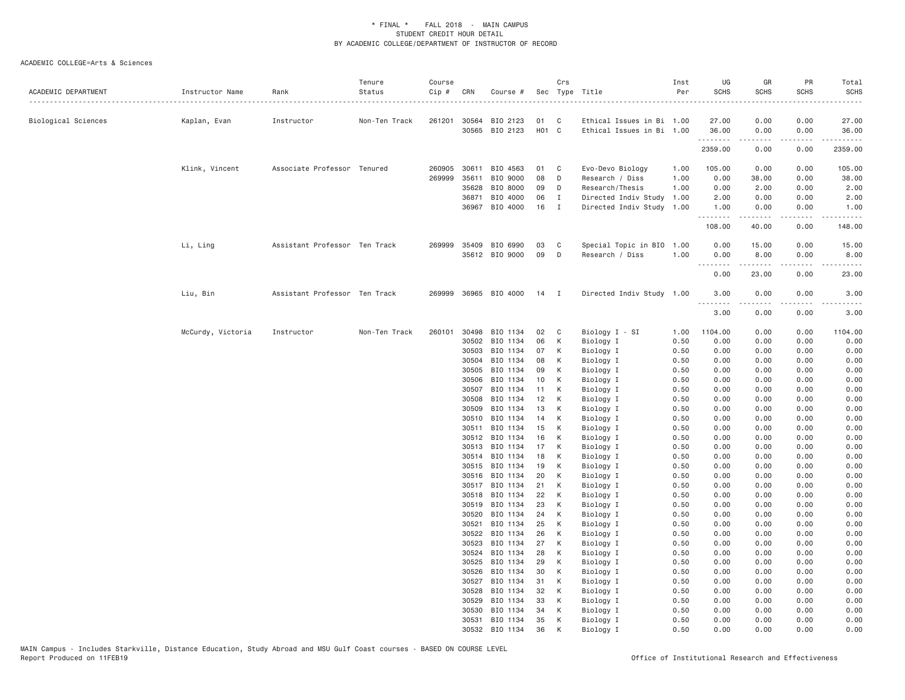| ACADEMIC DEPARTMENT | Instructor Name   | Rank                          | Tenure<br>Status | Course<br>Cip # | CRN            | Course #             |                   | Crs            | Sec Type Title            | Inst<br>Per  | UG<br><b>SCHS</b> | GR<br><b>SCHS</b> | PR<br>SCHS   | Total<br><b>SCHS</b>                                                                                                |
|---------------------|-------------------|-------------------------------|------------------|-----------------|----------------|----------------------|-------------------|----------------|---------------------------|--------------|-------------------|-------------------|--------------|---------------------------------------------------------------------------------------------------------------------|
| Biological Sciences | Kaplan, Evan      | Instructor                    | Non-Ten Track    |                 | 261201 30564   | BIO 2123             | 01                | C              | Ethical Issues in Bi 1.00 |              | 27.00             | 0.00              | 0.00         | 27.00                                                                                                               |
|                     |                   |                               |                  |                 | 30565          | BIO 2123             | H <sub>01</sub> C |                | Ethical Issues in Bi 1.00 |              | 36.00             | 0.00              | 0.00         | 36.00                                                                                                               |
|                     |                   |                               |                  |                 |                |                      |                   |                |                           |              | .<br>2359.00      | 0.00              | .<br>0.00    | 2359.00                                                                                                             |
|                     | Klink, Vincent    | Associate Professor Tenured   |                  | 260905          | 30611          | BIO 4563             | 01                | C              | Evo-Devo Biology          | 1.00         | 105.00            | 0.00              | 0.00         | 105.00                                                                                                              |
|                     |                   |                               |                  | 269999          | 35611          | BIO 9000             | 08                | D              | Research / Diss           | 1.00         | 0.00              | 38.00             | 0.00         | 38.00                                                                                                               |
|                     |                   |                               |                  |                 | 35628          | BIO 8000             | 09                | D              | Research/Thesis           | 1.00         | 0.00              | 2.00              | 0.00         | 2.00                                                                                                                |
|                     |                   |                               |                  |                 | 36871          | BIO 4000             | 06                | $\mathbf I$    | Directed Indiv Study      | 1.00         | 2.00              | 0.00              | 0.00         | 2.00                                                                                                                |
|                     |                   |                               |                  |                 | 36967          | BIO 4000             | 16                | $\mathbf{I}$   | Directed Indiv Study      | 1.00         | 1.00<br>.         | 0.00<br>.         | 0.00<br>.    | 1.00<br>$\begin{array}{cccccccccc} \bullet & \bullet & \bullet & \bullet & \bullet & \bullet & \bullet \end{array}$ |
|                     |                   |                               |                  |                 |                |                      |                   |                |                           |              | 108.00            | 40.00             | 0.00         | 148.00                                                                                                              |
|                     | Li, Ling          | Assistant Professor Ten Track |                  | 269999          | 35409          | BIO 6990             | 03                | C              | Special Topic in BIO      | 1.00         | 0.00              | 15.00             | 0.00         | 15.00                                                                                                               |
|                     |                   |                               |                  |                 |                | 35612 BIO 9000       | 09                | D              | Research / Diss           | 1.00         | 0.00              | 8.00              | 0.00         | 8.00                                                                                                                |
|                     |                   |                               |                  |                 |                |                      |                   |                |                           |              | 0.00              | 23.00             | 0.00         | 23.00                                                                                                               |
|                     | Liu, Bin          | Assistant Professor Ten Track |                  | 269999          |                | 36965 BIO 4000       | 14                | $\blacksquare$ | Directed Indiv Study 1.00 |              | 3.00              | 0.00              | 0.00         | 3.00                                                                                                                |
|                     |                   |                               |                  |                 |                |                      |                   |                |                           |              | .<br>3.00         | 0.00              | 0.00         | 3.00                                                                                                                |
|                     | McCurdy, Victoria | Instructor                    | Non-Ten Track    | 260101          | 30498          | BIO 1134             | 02                | $\mathbf{C}$   | Biology I - SI            | 1.00         | 1104.00           | 0.00              | 0.00         | 1104.00                                                                                                             |
|                     |                   |                               |                  |                 | 30502          | BIO 1134             | 06                | К              | Biology I                 | 0.50         | 0.00              | 0.00              | 0.00         | 0.00                                                                                                                |
|                     |                   |                               |                  |                 | 30503          | BIO 1134             | 07                | К              | Biology I                 | 0.50         | 0.00              | 0.00              | 0.00         | 0.00                                                                                                                |
|                     |                   |                               |                  |                 | 30504          | BIO 1134             | 08                | К              | Biology I                 | 0.50         | 0.00              | 0.00              | 0.00         | 0.00                                                                                                                |
|                     |                   |                               |                  |                 | 30505          | BIO 1134             | 09                | K              | Biology I                 | 0.50         | 0.00              | 0.00              | 0.00         | 0.00                                                                                                                |
|                     |                   |                               |                  |                 | 30506          | BIO 1134             | 10                | К              | Biology I                 | 0.50         | 0.00              | 0.00              | 0.00         | 0.00                                                                                                                |
|                     |                   |                               |                  |                 | 30507          | BIO 1134             | 11                | К              | Biology I                 | 0.50         | 0.00              | 0.00              | 0.00         | 0.00                                                                                                                |
|                     |                   |                               |                  |                 | 30508          | BIO 1134             | 12                | К              | Biology I                 | 0.50         | 0.00              | 0.00              | 0.00         | 0.00                                                                                                                |
|                     |                   |                               |                  |                 | 30509          | BIO 1134             | 13                | К              | Biology I                 | 0.50         | 0.00              | 0.00              | 0.00         | 0.00                                                                                                                |
|                     |                   |                               |                  |                 | 30510          | BIO 1134             | 14                | K              | Biology I                 | 0.50         | 0.00              | 0.00              | 0.00         | 0.00                                                                                                                |
|                     |                   |                               |                  |                 | 30511          | BIO 1134             | 15                | К              | Biology I                 | 0.50         | 0.00              | 0.00              | 0.00         | 0.00                                                                                                                |
|                     |                   |                               |                  |                 | 30512          | BIO 1134             | 16                | К              | Biology I                 | 0.50         | 0.00              | 0.00              | 0.00         | 0.00                                                                                                                |
|                     |                   |                               |                  |                 | 30513<br>30514 | BIO 1134<br>BIO 1134 | 17<br>18          | К<br>K         | Biology I                 | 0.50<br>0.50 | 0.00<br>0.00      | 0.00<br>0.00      | 0.00<br>0.00 | 0.00<br>0.00                                                                                                        |
|                     |                   |                               |                  |                 | 30515          | BIO 1134             | 19                | К              | Biology I<br>Biology I    | 0.50         | 0.00              | 0.00              | 0.00         | 0.00                                                                                                                |
|                     |                   |                               |                  |                 | 30516          | BIO 1134             | 20                | К              | Biology I                 | 0.50         | 0.00              | 0.00              | 0.00         | 0.00                                                                                                                |
|                     |                   |                               |                  |                 | 30517          | BIO 1134             | 21                | К              | Biology I                 | 0.50         | 0.00              | 0.00              | 0.00         | 0.00                                                                                                                |
|                     |                   |                               |                  |                 | 30518          | BIO 1134             | 22                | К              | Biology I                 | 0.50         | 0.00              | 0.00              | 0.00         | 0.00                                                                                                                |
|                     |                   |                               |                  |                 | 30519          | BIO 1134             | 23                | К              | Biology I                 | 0.50         | 0.00              | 0.00              | 0.00         | 0.00                                                                                                                |
|                     |                   |                               |                  |                 | 30520          | BIO 1134             | 24                | К              | Biology I                 | 0.50         | 0.00              | 0.00              | 0.00         | 0.00                                                                                                                |
|                     |                   |                               |                  |                 | 30521          | BIO 1134             | 25                | К              | Biology I                 | 0.50         | 0.00              | 0.00              | 0.00         | 0.00                                                                                                                |
|                     |                   |                               |                  |                 | 30522          | BIO 1134             | 26                | K              | Biology I                 | 0.50         | 0.00              | 0.00              | 0.00         | 0.00                                                                                                                |
|                     |                   |                               |                  |                 | 30523          | BIO 1134             | 27                | К              | Biology I                 | 0.50         | 0.00              | 0.00              | 0.00         | 0.00                                                                                                                |
|                     |                   |                               |                  |                 | 30524          | BIO 1134             | 28                | K              | Biology I                 | 0.50         | 0.00              | 0.00              | 0.00         | 0.00                                                                                                                |
|                     |                   |                               |                  |                 | 30525          | BIO 1134             | 29                | К              | Biology I                 | 0.50         | 0.00              | 0.00              | 0.00         | 0.00                                                                                                                |
|                     |                   |                               |                  |                 | 30526          | BIO 1134             | 30                | К              | Biology I                 | 0.50         | 0.00              | 0.00              | 0.00         | 0.00                                                                                                                |
|                     |                   |                               |                  |                 | 30527          | BIO 1134             | 31                | К              | Biology I                 | 0.50         | 0.00              | 0.00              | 0.00         | 0.00                                                                                                                |
|                     |                   |                               |                  |                 | 30528          | BIO 1134             | 32                | К              | Biology I                 | 0.50         | 0.00              | 0.00              | 0.00         | 0.00                                                                                                                |
|                     |                   |                               |                  |                 | 30529          | BIO 1134             | 33                | К              | Biology I                 | 0.50         | 0.00              | 0.00              | 0.00         | 0.00                                                                                                                |
|                     |                   |                               |                  |                 | 30530          | BIO 1134             | 34                | К              | Biology I                 | 0.50         | 0.00              | 0.00              | 0.00         | 0.00                                                                                                                |
|                     |                   |                               |                  |                 | 30531          | BIO 1134             | 35                | K              | Biology I                 | 0.50         | 0.00              | 0.00              | 0.00         | 0.00                                                                                                                |
|                     |                   |                               |                  |                 | 30532          | BIO 1134             | 36                | K              | Biology I                 | 0.50         | 0.00              | 0.00              | 0.00         | 0.00                                                                                                                |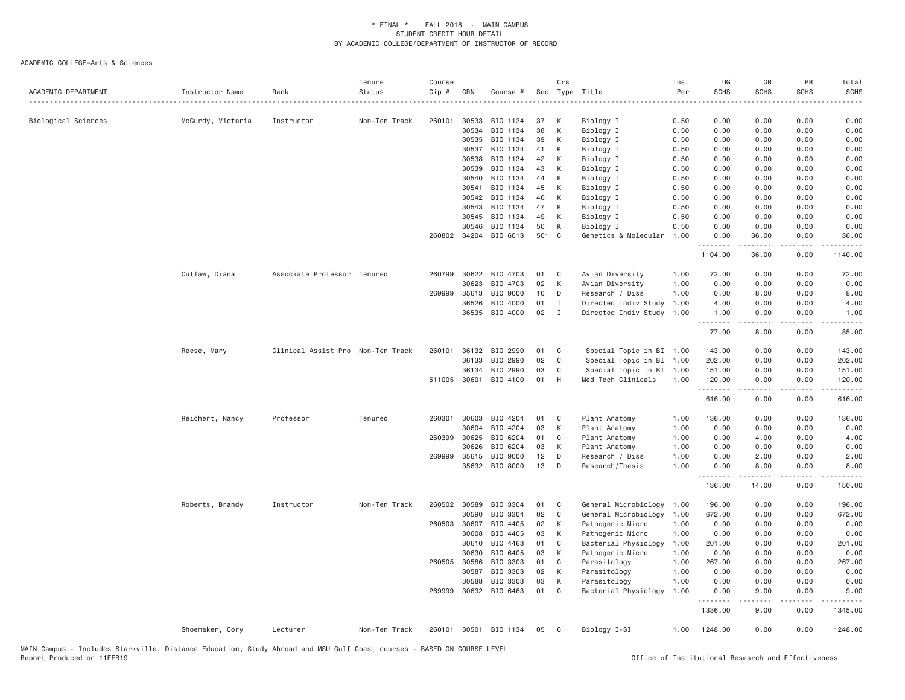| ACADEMIC DEPARTMENT | Instructor Name   | Rank                              | Tenure<br>Status | Course<br>Cip # | CRN                   | Course #              |          | Crs          | Sec Type Title                     | Inst<br>Per  | UG<br><b>SCHS</b> | GR<br><b>SCHS</b>                                                                                                                                             | PR<br><b>SCHS</b> | Total<br><b>SCHS</b> |
|---------------------|-------------------|-----------------------------------|------------------|-----------------|-----------------------|-----------------------|----------|--------------|------------------------------------|--------------|-------------------|---------------------------------------------------------------------------------------------------------------------------------------------------------------|-------------------|----------------------|
| Biological Sciences |                   | Instructor                        | Non-Ten Track    | 260101          | 30533                 | BIO 1134              | 37       | К            |                                    | .<br>0.50    | 0.00              | 0.00                                                                                                                                                          | 0.00              | 0.00                 |
|                     | McCurdy, Victoria |                                   |                  |                 | 30534                 | BIO 1134              | 38       | K            | Biology I<br>Biology I             | 0.50         | 0.00              | 0.00                                                                                                                                                          | 0.00              | 0.00                 |
|                     |                   |                                   |                  |                 | 30535                 | BIO 1134              | 39       | K            | Biology I                          | 0.50         | 0.00              | 0.00                                                                                                                                                          | 0.00              | 0.00                 |
|                     |                   |                                   |                  |                 | 30537                 | BIO 1134              | 41       | К            | Biology I                          | 0.50         | 0.00              | 0.00                                                                                                                                                          | 0.00              | 0.00                 |
|                     |                   |                                   |                  |                 | 30538                 | BIO 1134              | 42       | K            | Biology I                          | 0.50         | 0.00              | 0.00                                                                                                                                                          | 0.00              | 0.00                 |
|                     |                   |                                   |                  |                 | 30539                 | BIO 1134              | 43       | K            | Biology I                          | 0.50         | 0.00              | 0.00                                                                                                                                                          | 0.00              | 0.00                 |
|                     |                   |                                   |                  |                 | 30540                 | BIO 1134              | 44       | K            | Biology I                          | 0.50         | 0.00              | 0.00                                                                                                                                                          | 0.00              | 0.00                 |
|                     |                   |                                   |                  |                 | 30541                 | BIO 1134              | 45       | К            | Biology I                          | 0.50         | 0.00              | 0.00                                                                                                                                                          | 0.00              | 0.00                 |
|                     |                   |                                   |                  |                 | 30542                 | BIO 1134              | 46       | K            | Biology I                          | 0.50         | 0.00              | 0.00                                                                                                                                                          | 0.00              | 0.00                 |
|                     |                   |                                   |                  |                 | 30543                 | BIO 1134              | 47       | K            | Biology I                          | 0.50         | 0.00              | 0.00                                                                                                                                                          | 0.00              | 0.00                 |
|                     |                   |                                   |                  |                 | 30545                 | BIO 1134              | 49       | К            | Biology I                          | 0.50         | 0.00              | 0.00                                                                                                                                                          | 0.00              | 0.00                 |
|                     |                   |                                   |                  |                 | 30546                 | BIO 1134              | 50       | К            | Biology I                          | 0.50         | 0.00              | 0.00                                                                                                                                                          | 0.00              | 0.00                 |
|                     |                   |                                   |                  |                 | 260802 34204          | BIO 6013              | 501 C    |              | Genetics & Molecular               | 1.00         | 0.00<br>.         | 36.00<br>$\frac{1}{2} \left( \frac{1}{2} \right) \left( \frac{1}{2} \right) \left( \frac{1}{2} \right) \left( \frac{1}{2} \right) \left( \frac{1}{2} \right)$ | 0.00<br>.         | 36.00<br>.           |
|                     |                   |                                   |                  |                 |                       |                       |          |              |                                    |              | 1104.00           | 36.00                                                                                                                                                         | 0.00              | 1140.00              |
|                     | Outlaw, Diana     | Associate Professor Tenured       |                  | 260799          | 30622                 | BIO 4703              | 01       | C            | Avian Diversity                    | 1.00         | 72.00             | 0.00                                                                                                                                                          | 0.00              | 72.00                |
|                     |                   |                                   |                  |                 | 30623                 | BIO 4703              | 02       | К            | Avian Diversity                    | 1.00         | 0.00              | 0.00                                                                                                                                                          | 0.00              | 0.00                 |
|                     |                   |                                   |                  | 269999          | 35613                 | BIO 9000              | 10       | D            | Research / Diss                    | 1.00         | 0.00              | 8.00                                                                                                                                                          | 0.00              | 8.00                 |
|                     |                   |                                   |                  |                 | 36526                 | BIO 4000              | 01       | Ι.           | Directed Indiv Study               | 1.00         | 4.00              | 0.00                                                                                                                                                          | 0.00              | 4.00                 |
|                     |                   |                                   |                  |                 |                       | 36535 BIO 4000        | 02       | I            | Directed Indiv Study               | 1.00         | 1.00<br>.         | 0.00<br>-----                                                                                                                                                 | 0.00<br>.         | 1.00<br>.            |
|                     |                   |                                   |                  |                 |                       |                       |          |              |                                    |              | 77.00             | 8.00                                                                                                                                                          | 0.00              | 85.00                |
|                     | Reese, Mary       | Clinical Assist Pro Non-Ten Track |                  | 260101          | 36132                 | BIO 2990              | 01       | C            | Special Topic in BI 1.00           |              | 143.00            | 0.00                                                                                                                                                          | 0.00              | 143.00               |
|                     |                   |                                   |                  |                 | 36133                 | BIO 2990              | 02       | C            | Special Topic in BI                | 1.00         | 202.00            | 0.00                                                                                                                                                          | 0.00              | 202.00               |
|                     |                   |                                   |                  |                 | 36134                 | BIO 2990              | 03       | C            | Special Topic in BI                | 1.00         | 151.00            | 0.00                                                                                                                                                          | 0.00              | 151.00               |
|                     |                   |                                   |                  |                 | 511005 30601          | BIO 4100              | 01       | H            | Med Tech Clinicals                 | 1.00         | 120.00<br>.       | 0.00<br>.                                                                                                                                                     | 0.00<br>.         | 120.00<br><b>.</b>   |
|                     |                   |                                   |                  |                 |                       |                       |          |              |                                    |              | 616.00            | 0.00                                                                                                                                                          | 0.00              | 616.00               |
|                     | Reichert, Nancy   | Professor                         | Tenured          |                 | 260301 30603          | BIO 4204              | 01       | C            | Plant Anatomy                      | 1.00         | 136.00            | 0.00                                                                                                                                                          | 0.00              | 136.00               |
|                     |                   |                                   |                  |                 | 30604                 | BIO 4204              | 03       | K            | Plant Anatomy                      | 1.00         | 0.00              | 0.00                                                                                                                                                          | 0.00              | 0.00                 |
|                     |                   |                                   |                  | 260399          | 30625                 | BIO 6204              | 01       | C            | Plant Anatomy                      | 1.00         | 0.00              | 4.00                                                                                                                                                          | 0.00              | 4.00                 |
|                     |                   |                                   |                  |                 | 30626                 | BIO 6204              | 03       | K            | Plant Anatomy                      | 1.00         | 0.00              | 0.00                                                                                                                                                          | 0.00              | 0.00                 |
|                     |                   |                                   |                  |                 | 269999 35615<br>35632 | BIO 9000<br>BIO 8000  | 12<br>13 | D<br>D       | Research / Diss<br>Research/Thesis | 1.00<br>1.00 | 0.00<br>0.00      | 2.00<br>8.00                                                                                                                                                  | 0.00<br>0.00      | 2.00<br>8.00         |
|                     |                   |                                   |                  |                 |                       |                       |          |              |                                    |              | .<br>136.00       | 14.00                                                                                                                                                         | 0.00              | 150.00               |
|                     |                   |                                   |                  |                 |                       |                       |          |              |                                    |              |                   |                                                                                                                                                               |                   |                      |
|                     | Roberts, Brandy   | Instructor                        | Non-Ten Track    | 260502          | 30589                 | BIO 3304              | 01       | C            | General Microbiology               | 1.00         | 196.00            | 0.00                                                                                                                                                          | 0.00              | 196.00               |
|                     |                   |                                   |                  |                 | 30590                 | BIO 3304              | 02       | $\mathsf{C}$ | General Microbiology               | 1.00         | 672.00            | 0.00                                                                                                                                                          | 0.00              | 672.00               |
|                     |                   |                                   |                  |                 | 260503 30607          | BIO 4405              | 02       | К            | Pathogenic Micro                   | 1.00         | 0.00              | 0.00                                                                                                                                                          | 0.00              | 0.00                 |
|                     |                   |                                   |                  |                 | 30608                 | BIO 4405              | 03       | К            | Pathogenic Micro                   | 1.00         | 0.00              | 0.00                                                                                                                                                          | 0.00              | 0.00                 |
|                     |                   |                                   |                  |                 | 30610                 | BIO 4463              | 01       | C            | Bacterial Physiology               | 1.00         | 201.00            | 0.00                                                                                                                                                          | 0.00              | 201.00               |
|                     |                   |                                   |                  |                 | 30630                 | BIO 6405              | 03       | K            | Pathogenic Micro                   | 1.00         | 0.00              | 0.00                                                                                                                                                          | 0.00              | 0.00                 |
|                     |                   |                                   |                  | 260505          | 30586                 | BIO 3303              | 01       | C            | Parasitology                       | 1.00         | 267.00            | 0.00                                                                                                                                                          | 0.00              | 267.00               |
|                     |                   |                                   |                  |                 | 30587                 | BIO 3303              | 02       | К            | Parasitology                       | 1.00         | 0.00              | 0.00                                                                                                                                                          | 0.00              | 0.00                 |
|                     |                   |                                   |                  |                 | 30588                 | BIO 3303              | 03       | K            | Parasitology                       | 1.00         | 0.00              | 0.00                                                                                                                                                          | 0.00              | 0.00                 |
|                     |                   |                                   |                  |                 |                       | 269999 30632 BIO 6463 | 01       | C            | Bacterial Physiology               | 1.00         | 0.00<br><b></b>   | 9.00<br><u>.</u>                                                                                                                                              | 0.00<br>.         | 9.00<br>.            |
|                     |                   |                                   |                  |                 |                       |                       |          |              |                                    |              | 1336.00           | 9.00                                                                                                                                                          | 0.00              | 1345.00              |
|                     | Shoemaker, Cory   | Lecturer                          | Non-Ten Track    | 260101          | 30501                 | BIO 1134              | 05       | C            | Biology I-SI                       | 1.00         | 1248.00           | 0.00                                                                                                                                                          | 0.00              | 1248.00              |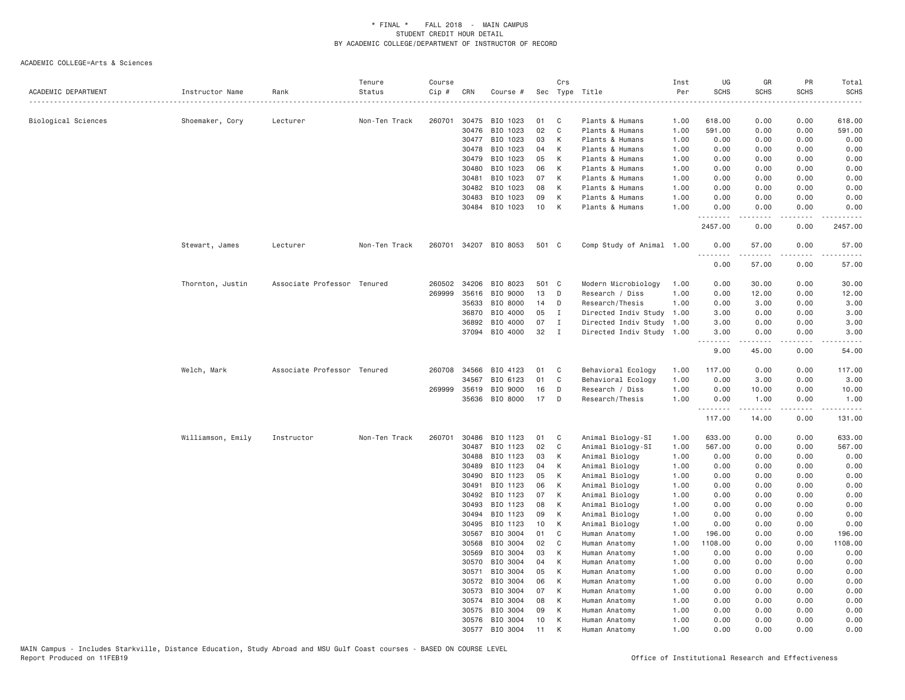| ACADEMIC DEPARTMENT | Instructor Name   | Rank                        | Tenure<br>Status | Course<br>Cip # | CRN            | Course #             | Sec      | Crs               | Type Title                         | Inst<br>Per  | UG<br><b>SCHS</b> | GR<br><b>SCHS</b>                                                                                                                                            | PR<br>SCHS                   | Total<br><b>SCHS</b>                                                                                                                                         |
|---------------------|-------------------|-----------------------------|------------------|-----------------|----------------|----------------------|----------|-------------------|------------------------------------|--------------|-------------------|--------------------------------------------------------------------------------------------------------------------------------------------------------------|------------------------------|--------------------------------------------------------------------------------------------------------------------------------------------------------------|
|                     |                   |                             | .                |                 |                |                      |          |                   |                                    |              |                   |                                                                                                                                                              |                              | .                                                                                                                                                            |
| Biological Sciences | Shoemaker, Cory   | Lecturer                    | Non-Ten Track    | 260701          | 30475<br>30476 | BIO 1023<br>BIO 1023 | 01<br>02 | C<br>$\mathsf{C}$ | Plants & Humans<br>Plants & Humans | 1.00<br>1.00 | 618.00<br>591.00  | 0.00<br>0.00                                                                                                                                                 | 0.00<br>0.00                 | 618.00<br>591.00                                                                                                                                             |
|                     |                   |                             |                  |                 | 30477          | BIO 1023             | 03       | К                 | Plants & Humans                    | 1.00         | 0.00              | 0.00                                                                                                                                                         | 0.00                         | 0.00                                                                                                                                                         |
|                     |                   |                             |                  |                 | 30478          | BIO 1023             | 04       | К                 | Plants & Humans                    | 1.00         | 0.00              | 0.00                                                                                                                                                         | 0.00                         | 0.00                                                                                                                                                         |
|                     |                   |                             |                  |                 | 30479          | BIO 1023             | 05       | К                 | Plants & Humans                    | 1.00         | 0.00              | 0.00                                                                                                                                                         | 0.00                         | 0.00                                                                                                                                                         |
|                     |                   |                             |                  |                 | 30480          | BIO 1023             | 06       | К                 | Plants & Humans                    | 1.00         | 0.00              | 0.00                                                                                                                                                         | 0.00                         | 0.00                                                                                                                                                         |
|                     |                   |                             |                  |                 | 30481          | BIO 1023             | 07       | К                 | Plants & Humans                    | 1.00         | 0.00              | 0.00                                                                                                                                                         | 0.00                         | 0.00                                                                                                                                                         |
|                     |                   |                             |                  |                 | 30482          | BIO 1023             | 08       | K                 | Plants & Humans                    | 1.00         | 0.00              | 0.00                                                                                                                                                         | 0.00                         | 0.00                                                                                                                                                         |
|                     |                   |                             |                  |                 | 30483          | BIO 1023             | 09       | К                 | Plants & Humans                    | 1.00         | 0.00              | 0.00                                                                                                                                                         | 0.00                         | 0.00                                                                                                                                                         |
|                     |                   |                             |                  |                 | 30484          | BIO 1023             | 10       | К                 | Plants & Humans                    | 1.00         | 0.00<br>.         | 0.00<br>$\frac{1}{2} \left( \frac{1}{2} \right) \left( \frac{1}{2} \right) \left( \frac{1}{2} \right) \left( \frac{1}{2} \right) \left( \frac{1}{2} \right)$ | 0.00<br>.                    | 0.00<br>.                                                                                                                                                    |
|                     |                   |                             |                  |                 |                |                      |          |                   |                                    |              | 2457.00           | 0.00                                                                                                                                                         | 0.00                         | 2457.00                                                                                                                                                      |
|                     | Stewart, James    | Lecturer                    | Non-Ten Track    | 260701          | 34207          | BIO 8053             | 501 C    |                   | Comp Study of Animal 1.00          |              | 0.00<br>.         | 57.00<br>$- - - - -$                                                                                                                                         | 0.00<br>$   -$               | 57.00                                                                                                                                                        |
|                     |                   |                             |                  |                 |                |                      |          |                   |                                    |              | 0.00              | 57.00                                                                                                                                                        | 0.00                         | 57.00                                                                                                                                                        |
|                     | Thornton, Justin  | Associate Professor Tenured |                  |                 | 260502 34206   | BIO 8023             | 501 C    |                   | Modern Microbiology                | 1.00         | 0.00              | 30.00                                                                                                                                                        | 0.00                         | 30.00                                                                                                                                                        |
|                     |                   |                             |                  | 269999          | 35616          | BIO 9000             | 13       | D                 | Research / Diss                    | 1.00         | 0.00              | 12.00                                                                                                                                                        | 0.00                         | 12.00                                                                                                                                                        |
|                     |                   |                             |                  |                 | 35633          | BIO 8000             | 14       | D                 | Research/Thesis                    | 1.00         | 0.00              | 3.00                                                                                                                                                         | 0.00                         | 3.00                                                                                                                                                         |
|                     |                   |                             |                  |                 | 36870          | BIO 4000             | 05       | I                 | Directed Indiv Study               | 1.00         | 3.00              | 0.00                                                                                                                                                         | 0.00                         | 3.00                                                                                                                                                         |
|                     |                   |                             |                  |                 | 36892          | BIO 4000             | 07       | I                 | Directed Indiv Study               | 1.00         | 3.00              | 0.00                                                                                                                                                         | 0.00                         | 3.00                                                                                                                                                         |
|                     |                   |                             |                  |                 | 37094          | BIO 4000             | 32       | I                 | Directed Indiv Study 1.00          |              | 3.00<br><u>.</u>  | 0.00<br>$- - - - -$                                                                                                                                          | 0.00<br>$\cdots$             | 3.00                                                                                                                                                         |
|                     |                   |                             |                  |                 |                |                      |          |                   |                                    |              | 9.00              | 45.00                                                                                                                                                        | 0.00                         | 54.00                                                                                                                                                        |
|                     | Welch, Mark       | Associate Professor Tenured |                  |                 | 260708 34566   | BIO 4123             | 01       | C                 | Behavioral Ecology                 | 1.00         | 117.00            | 0.00                                                                                                                                                         | 0.00                         | 117.00                                                                                                                                                       |
|                     |                   |                             |                  |                 | 34567          | BIO 6123             | 01       | C                 | Behavioral Ecology                 | 1.00         | 0.00              | 3.00                                                                                                                                                         | 0.00                         | 3.00                                                                                                                                                         |
|                     |                   |                             |                  | 269999          | 35619          | BIO 9000             | 16       | D                 | Research / Diss                    | 1.00         | 0.00              | 10.00                                                                                                                                                        | 0.00                         | 10.00                                                                                                                                                        |
|                     |                   |                             |                  |                 | 35636          | BIO 8000             | 17       | D                 | Research/Thesis                    | 1.00         | 0.00<br>.         | 1.00<br>$\frac{1}{2} \left( \frac{1}{2} \right) \left( \frac{1}{2} \right) \left( \frac{1}{2} \right) \left( \frac{1}{2} \right) \left( \frac{1}{2} \right)$ | 0.00<br>$\sim$ $\sim$ $\sim$ | 1.00<br>$\frac{1}{2} \left( \frac{1}{2} \right) \left( \frac{1}{2} \right) \left( \frac{1}{2} \right) \left( \frac{1}{2} \right) \left( \frac{1}{2} \right)$ |
|                     |                   |                             |                  |                 |                |                      |          |                   |                                    |              | 117.00            | 14.00                                                                                                                                                        | 0.00                         | 131.00                                                                                                                                                       |
|                     | Williamson, Emily | Instructor                  | Non-Ten Track    | 260701          | 30486          | BIO 1123             | 01       | C                 | Animal Biology-SI                  | 1.00         | 633.00            | 0.00                                                                                                                                                         | 0.00                         | 633.00                                                                                                                                                       |
|                     |                   |                             |                  |                 | 30487          | BIO 1123             | 02       | C                 | Animal Biology-SI                  | 1.00         | 567.00            | 0.00                                                                                                                                                         | 0.00                         | 567.00                                                                                                                                                       |
|                     |                   |                             |                  |                 | 30488          | BIO 1123             | 03       | K                 | Animal Biology                     | 1.00         | 0.00              | 0.00                                                                                                                                                         | 0.00                         | 0.00                                                                                                                                                         |
|                     |                   |                             |                  |                 | 30489          | BIO 1123             | 04       | К                 | Animal Biology                     | 1.00         | 0.00              | 0.00                                                                                                                                                         | 0.00                         | 0.00                                                                                                                                                         |
|                     |                   |                             |                  |                 | 30490          | BIO 1123             | 05       | К                 | Animal Biology                     | 1.00         | 0.00              | 0.00                                                                                                                                                         | 0.00                         | 0.00                                                                                                                                                         |
|                     |                   |                             |                  |                 | 30491          | BIO 1123             | 06       | K                 | Animal Biology                     | 1.00         | 0.00              | 0.00                                                                                                                                                         | 0.00                         | 0.00                                                                                                                                                         |
|                     |                   |                             |                  |                 | 30492          | BIO 1123             | 07       | К                 | Animal Biology                     | 1.00         | 0.00              | 0.00                                                                                                                                                         | 0.00                         | 0.00                                                                                                                                                         |
|                     |                   |                             |                  |                 | 30493          | BIO 1123             | 08       | К                 | Animal Biology                     | 1.00         | 0.00              | 0.00                                                                                                                                                         | 0.00                         | 0.00                                                                                                                                                         |
|                     |                   |                             |                  |                 | 30494          | BIO 1123             | 09       | К                 | Animal Biology                     | 1.00         | 0.00              | 0.00                                                                                                                                                         | 0.00                         | 0.00                                                                                                                                                         |
|                     |                   |                             |                  |                 | 30495<br>30567 | BIO 1123<br>BIO 3004 | 10<br>01 | К<br>C            | Animal Biology<br>Human Anatomy    | 1.00<br>1.00 | 0.00<br>196.00    | 0.00<br>0.00                                                                                                                                                 | 0.00<br>0.00                 | 0.00<br>196.00                                                                                                                                               |
|                     |                   |                             |                  |                 | 30568          | BIO 3004             | 02       | C                 | Human Anatomy                      | 1.00         | 1108.00           | 0.00                                                                                                                                                         | 0.00                         | 1108.00                                                                                                                                                      |
|                     |                   |                             |                  |                 | 30569          | BIO 3004             | 03       | К                 | Human Anatomy                      | 1.00         | 0.00              | 0.00                                                                                                                                                         | 0.00                         | 0.00                                                                                                                                                         |
|                     |                   |                             |                  |                 | 30570          | BIO 3004             | 04       | К                 | Human Anatomy                      | 1.00         | 0.00              | 0.00                                                                                                                                                         | 0.00                         | 0.00                                                                                                                                                         |
|                     |                   |                             |                  |                 | 30571          | BIO 3004             | 05       | К                 | Human Anatomy                      | 1.00         | 0.00              | 0.00                                                                                                                                                         | 0.00                         | 0.00                                                                                                                                                         |
|                     |                   |                             |                  |                 | 30572          | BIO 3004             | 06       | К                 | Human Anatomy                      | 1.00         | 0.00              | 0.00                                                                                                                                                         | 0.00                         | 0.00                                                                                                                                                         |
|                     |                   |                             |                  |                 | 30573          | BIO 3004             | 07       | К                 | Human Anatomy                      | 1.00         | 0.00              | 0.00                                                                                                                                                         | 0.00                         | 0.00                                                                                                                                                         |
|                     |                   |                             |                  |                 | 30574          | BIO 3004             | 08       | К                 | Human Anatomy                      | 1.00         | 0.00              | 0.00                                                                                                                                                         | 0.00                         | 0.00                                                                                                                                                         |
|                     |                   |                             |                  |                 | 30575          | BIO 3004             | 09       | К                 | Human Anatomy                      | 1.00         | 0.00              | 0.00                                                                                                                                                         | 0.00                         | 0.00                                                                                                                                                         |
|                     |                   |                             |                  |                 | 30576          | BIO 3004             | 10       | K                 | Human Anatomy                      | 1.00         | 0.00              | 0.00                                                                                                                                                         | 0.00                         | 0.00                                                                                                                                                         |
|                     |                   |                             |                  |                 | 30577          | BIO 3004             | 11       | K                 | Human Anatomy                      | 1.00         | 0.00              | 0.00                                                                                                                                                         | 0.00                         | 0.00                                                                                                                                                         |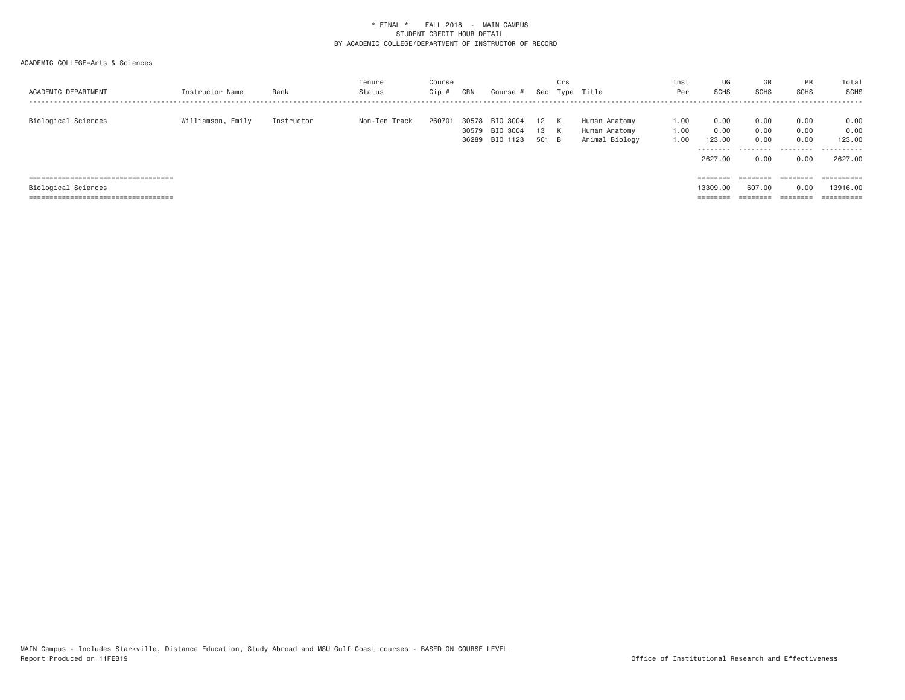| ACADEMIC DEPARTMENT                                                         | Instructor Name   | Rank       | Tenure<br>Status | Course<br>Cip | CRN            | Course #                               |                 | Crs<br>Sec Type | Title                                            | Inst<br>Per          | UG<br>SCHS                                     | GR<br><b>SCHS</b>            | <b>PR</b><br><b>SCHS</b>     | Total<br>SCHS                         |
|-----------------------------------------------------------------------------|-------------------|------------|------------------|---------------|----------------|----------------------------------------|-----------------|-----------------|--------------------------------------------------|----------------------|------------------------------------------------|------------------------------|------------------------------|---------------------------------------|
| Biological Sciences                                                         | Williamson, Emily | Instructor | Non-Ten Track    | 260701        | 30578<br>30579 | BIO 3004<br>BIO 3004<br>36289 BIO 1123 | 12<br>13<br>501 | K<br>K<br>- B   | Human Anatomy<br>Human Anatomy<br>Animal Biology | 1.00<br>1.00<br>1.00 | 0.00<br>0.00<br>123,00<br>---------<br>2627,00 | 0.00<br>0.00<br>0.00<br>0.00 | 0.00<br>0.00<br>0.00<br>0.00 | 0.00<br>0.00<br>123.00<br><br>2627.00 |
| =====================================                                       |                   |            |                  |               |                |                                        |                 |                 |                                                  |                      | ========                                       | ========                     | ========                     | ==========                            |
| Biological Sciences                                                         |                   |            |                  |               |                |                                        |                 |                 |                                                  |                      | 13309,00                                       | 607,00                       | 0.00                         | 13916,00                              |
| ------------------------------------<br>----------------------------------- |                   |            |                  |               |                |                                        |                 |                 |                                                  |                      | --------<br>--------                           | ________<br>--------         | --------<br>--------         | ----------<br>----------              |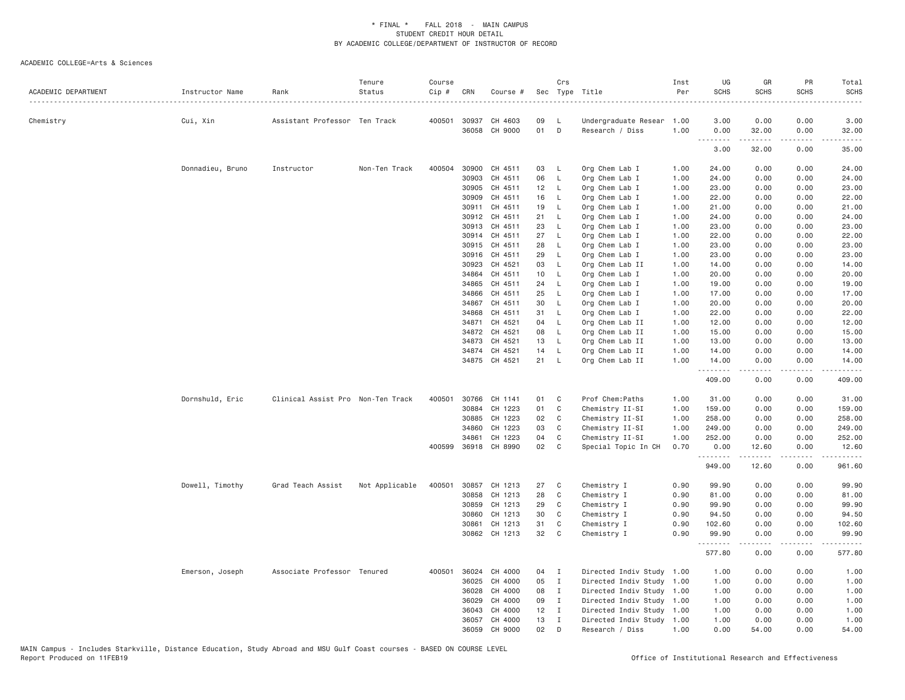| ACADEMIC DEPARTMENT | Instructor Name  | Rank                              | Tenure<br>Status | Course<br>Cip # | CRN          | Course #             |    | Crs          | Sec Type Title            | Inst<br>Per | UG<br><b>SCHS</b> | GR<br><b>SCHS</b> | PR<br>SCHS                          | Total<br><b>SCHS</b><br>$\frac{1}{2}$                                                                                                                         |
|---------------------|------------------|-----------------------------------|------------------|-----------------|--------------|----------------------|----|--------------|---------------------------|-------------|-------------------|-------------------|-------------------------------------|---------------------------------------------------------------------------------------------------------------------------------------------------------------|
| Chemistry           | Cui, Xin         | Assistant Professor Ten Track     |                  |                 |              | 400501 30937 CH 4603 | 09 | L            | Undergraduate Resear      | 1.00        | 3.00              | 0.00              | 0.00                                | 3.00                                                                                                                                                          |
|                     |                  |                                   |                  |                 | 36058        | CH 9000              | 01 | D            | Research / Diss           | 1.00        | 0.00              | 32.00             | 0.00                                | 32.00                                                                                                                                                         |
|                     |                  |                                   |                  |                 |              |                      |    |              |                           |             | .<br>3.00         | .<br>32.00        | $\sim$ $\sim$ $\sim$ $\sim$<br>0.00 | 35.00                                                                                                                                                         |
|                     | Donnadieu, Bruno | Instructor                        | Non-Ten Track    | 400504          | 30900        | CH 4511              | 03 | L            | Org Chem Lab I            | 1.00        | 24.00             | 0.00              | 0.00                                | 24.00                                                                                                                                                         |
|                     |                  |                                   |                  |                 | 30903        | CH 4511              | 06 | $\mathsf{L}$ | Org Chem Lab I            | 1.00        | 24.00             | 0.00              | 0.00                                | 24.00                                                                                                                                                         |
|                     |                  |                                   |                  |                 | 30905        | CH 4511              | 12 | - L          | Org Chem Lab I            | 1.00        | 23.00             | 0.00              | 0.00                                | 23.00                                                                                                                                                         |
|                     |                  |                                   |                  |                 | 30909        | CH 4511              | 16 | L            | Org Chem Lab I            | 1.00        | 22.00             | 0.00              | 0.00                                | 22.00                                                                                                                                                         |
|                     |                  |                                   |                  |                 | 30911        | CH 4511              | 19 | L            | Org Chem Lab I            | 1.00        | 21.00             | 0.00              | 0.00                                | 21.00                                                                                                                                                         |
|                     |                  |                                   |                  |                 | 30912        | CH 4511              | 21 | L            | Org Chem Lab I            | 1.00        | 24.00             | 0.00              | 0.00                                | 24.00                                                                                                                                                         |
|                     |                  |                                   |                  |                 | 30913        | CH 4511              | 23 | L            | Org Chem Lab I            | 1.00        | 23.00             | 0.00              | 0.00                                | 23.00                                                                                                                                                         |
|                     |                  |                                   |                  |                 |              | 30914 CH 4511        | 27 | $\mathsf{L}$ | Org Chem Lab I            | 1.00        | 22.00             | 0.00              | 0.00                                | 22.00                                                                                                                                                         |
|                     |                  |                                   |                  |                 | 30915        | CH 4511              | 28 | L            | Org Chem Lab I            | 1.00        | 23.00             | 0.00              | 0.00                                | 23.00                                                                                                                                                         |
|                     |                  |                                   |                  |                 | 30916        | CH 4511              | 29 | L            | Org Chem Lab I            | 1.00        | 23.00             | 0.00              | 0.00                                | 23.00                                                                                                                                                         |
|                     |                  |                                   |                  |                 | 30923        | CH 4521              | 03 | L            | Org Chem Lab II           | 1.00        | 14.00             | 0.00              | 0.00                                | 14.00                                                                                                                                                         |
|                     |                  |                                   |                  |                 | 34864        | CH 4511              | 10 | L            | Org Chem Lab I            | 1.00        | 20.00             | 0.00              | 0.00                                | 20.00                                                                                                                                                         |
|                     |                  |                                   |                  |                 | 34865        | CH 4511              | 24 | L            | Org Chem Lab I            | 1.00        | 19.00             | 0.00              | 0.00                                | 19.00                                                                                                                                                         |
|                     |                  |                                   |                  |                 | 34866        | CH 4511              | 25 | L            | Org Chem Lab I            | 1.00        | 17.00             | 0.00              | 0.00                                | 17.00                                                                                                                                                         |
|                     |                  |                                   |                  |                 | 34867        | CH 4511              | 30 | $\mathsf{L}$ | Org Chem Lab I            | 1.00        | 20.00             | 0.00              | 0.00                                | 20.00                                                                                                                                                         |
|                     |                  |                                   |                  |                 | 34868        | CH 4511              | 31 | L            | Org Chem Lab I            | 1.00        | 22.00             | 0.00              | 0.00                                | 22.00                                                                                                                                                         |
|                     |                  |                                   |                  |                 | 34871        | CH 4521              | 04 | L            | Org Chem Lab II           | 1.00        | 12.00             | 0.00              | 0.00                                | 12.00                                                                                                                                                         |
|                     |                  |                                   |                  |                 | 34872        | CH 4521              | 08 | L            | Org Chem Lab II           | 1.00        | 15.00             | 0.00              | 0.00                                | 15.00                                                                                                                                                         |
|                     |                  |                                   |                  |                 | 34873        | CH 4521              | 13 | L            | Org Chem Lab II           | 1.00        | 13.00             | 0.00              | 0.00                                | 13.00                                                                                                                                                         |
|                     |                  |                                   |                  |                 |              | 34874 CH 4521        | 14 | L            | Org Chem Lab II           | 1.00        | 14.00             | 0.00              | 0.00                                | 14.00                                                                                                                                                         |
|                     |                  |                                   |                  |                 |              | 34875 CH 4521        | 21 | L            | Org Chem Lab II           | 1.00        | 14.00             | 0.00              | 0.00                                | 14.00                                                                                                                                                         |
|                     |                  |                                   |                  |                 |              |                      |    |              |                           |             | .<br>409.00       | .<br>0.00         | $- - - -$<br>0.00                   | .<br>409.00                                                                                                                                                   |
|                     | Dornshuld, Eric  | Clinical Assist Pro Non-Ten Track |                  |                 | 400501 30766 | CH 1141              | 01 | C            | Prof Chem: Paths          | 1.00        | 31.00             | 0.00              | 0.00                                | 31.00                                                                                                                                                         |
|                     |                  |                                   |                  |                 | 30884        | CH 1223              | 01 | C            | Chemistry II-SI           | 1.00        | 159.00            | 0.00              | 0.00                                | 159.00                                                                                                                                                        |
|                     |                  |                                   |                  |                 | 30885        | CH 1223              | 02 | C            | Chemistry II-SI           | 1.00        | 258.00            | 0.00              | 0.00                                | 258.00                                                                                                                                                        |
|                     |                  |                                   |                  |                 | 34860        | CH 1223              | 03 | C            | Chemistry II-SI           | 1.00        | 249.00            | 0.00              | 0.00                                | 249.00                                                                                                                                                        |
|                     |                  |                                   |                  |                 | 34861        | CH 1223              | 04 | $\mathsf{C}$ | Chemistry II-SI           | 1.00        | 252.00            | 0.00              | 0.00                                | 252.00                                                                                                                                                        |
|                     |                  |                                   |                  | 400599          | 36918        | CH 8990              | 02 | C            | Special Topic In CH       | 0.70        | 0.00              | 12.60             | 0.00                                | 12.60                                                                                                                                                         |
|                     |                  |                                   |                  |                 |              |                      |    |              |                           |             | .<br>949.00       | 12.60             | 0.00                                | .<br>961.60                                                                                                                                                   |
|                     | Dowell, Timothy  | Grad Teach Assist                 | Not Applicable   | 400501          |              | 30857 CH 1213        | 27 | C            | Chemistry I               | 0.90        | 99.90             | 0.00              | 0.00                                | 99.90                                                                                                                                                         |
|                     |                  |                                   |                  |                 | 30858        | CH 1213              | 28 | C            | Chemistry I               | 0.90        | 81.00             | 0.00              | 0.00                                | 81.00                                                                                                                                                         |
|                     |                  |                                   |                  |                 | 30859        | CH 1213              | 29 | C            | Chemistry I               | 0.90        | 99.90             | 0.00              | 0.00                                | 99.90                                                                                                                                                         |
|                     |                  |                                   |                  |                 | 30860        | CH 1213              | 30 | C            | Chemistry I               | 0.90        | 94.50             | 0.00              | 0.00                                | 94.50                                                                                                                                                         |
|                     |                  |                                   |                  |                 | 30861        | CH 1213              | 31 | C            | Chemistry I               | 0.90        | 102.60            | 0.00              | 0.00                                | 102.60                                                                                                                                                        |
|                     |                  |                                   |                  |                 |              | 30862 CH 1213        | 32 | C            | Chemistry I               | 0.90        | 99.90<br>.        | 0.00<br>-----     | 0.00<br>.                           | 99.90<br>$\frac{1}{2} \left( \frac{1}{2} \right) \left( \frac{1}{2} \right) \left( \frac{1}{2} \right) \left( \frac{1}{2} \right) \left( \frac{1}{2} \right)$ |
|                     |                  |                                   |                  |                 |              |                      |    |              |                           |             | 577.80            | 0.00              | 0.00                                | 577.80                                                                                                                                                        |
|                     | Emerson, Joseph  | Associate Professor Tenured       |                  |                 | 400501 36024 | CH 4000              | 04 | $\mathbf{I}$ | Directed Indiv Study      | 1.00        | 1.00              | 0.00              | 0.00                                | 1.00                                                                                                                                                          |
|                     |                  |                                   |                  |                 | 36025        | CH 4000              | 05 | $\mathbf{I}$ | Directed Indiv Study      | 1.00        | 1.00              | 0.00              | 0.00                                | 1.00                                                                                                                                                          |
|                     |                  |                                   |                  |                 | 36028        | CH 4000              | 08 | $\mathbf{I}$ | Directed Indiv Study 1.00 |             | 1.00              | 0.00              | 0.00                                | 1.00                                                                                                                                                          |
|                     |                  |                                   |                  |                 | 36029        | CH 4000              | 09 | $\mathbf{I}$ | Directed Indiv Study 1.00 |             | 1.00              | 0.00              | 0.00                                | 1.00                                                                                                                                                          |
|                     |                  |                                   |                  |                 | 36043        | CH 4000              | 12 | $\mathbf{I}$ | Directed Indiv Study 1.00 |             | 1.00              | 0.00              | 0.00                                | 1.00                                                                                                                                                          |
|                     |                  |                                   |                  |                 | 36057        | CH 4000              | 13 | $\mathbf{I}$ | Directed Indiv Study 1.00 |             | 1.00              | 0.00              | 0.00                                | 1.00                                                                                                                                                          |
|                     |                  |                                   |                  |                 | 36059        | CH 9000              | 02 | D            | Research / Diss           | 1.00        | 0.00              | 54.00             | 0.00                                | 54.00                                                                                                                                                         |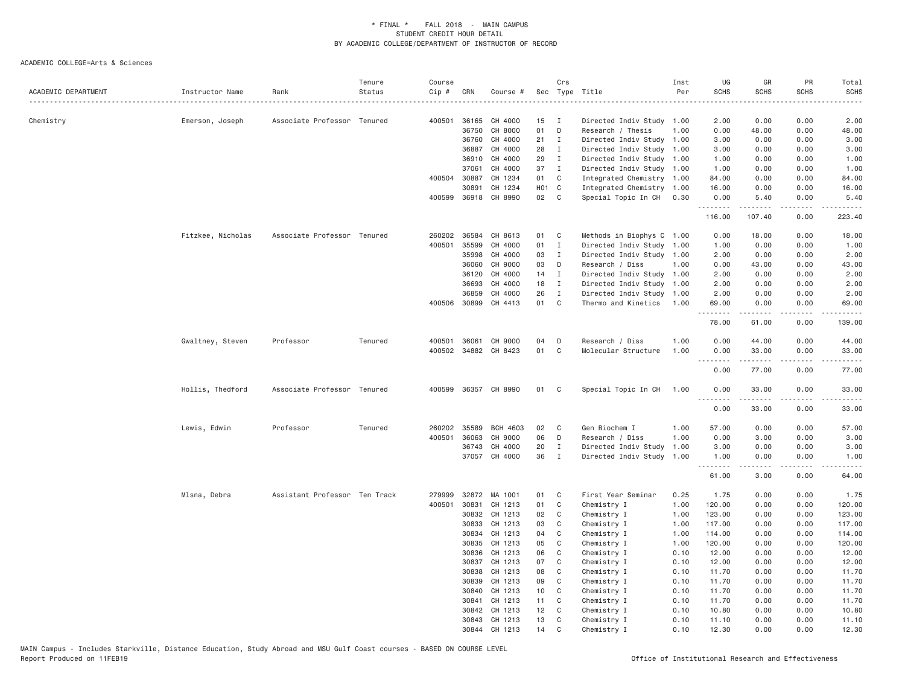| ACADEMIC DEPARTMENT | Instructor Name   | Rank                          | Tenure<br>Status | Course<br>Cip # | CRN          | Course #             |                    | Crs            | Sec Type Title            | Inst<br>Per | UG<br><b>SCHS</b> | GR<br><b>SCHS</b>              | PR<br><b>SCHS</b> | Total<br><b>SCHS</b> |
|---------------------|-------------------|-------------------------------|------------------|-----------------|--------------|----------------------|--------------------|----------------|---------------------------|-------------|-------------------|--------------------------------|-------------------|----------------------|
|                     |                   |                               |                  |                 |              |                      |                    |                |                           |             |                   |                                |                   |                      |
| Chemistry           | Emerson, Joseph   | Associate Professor Tenured   |                  | 400501          | 36165        | CH 4000              | 15                 | $\blacksquare$ | Directed Indiv Study 1.00 |             | 2.00              | 0.00                           | 0.00              | 2.00                 |
|                     |                   |                               |                  |                 | 36750        | CH 8000              | 01                 | D              | Research / Thesis         | 1.00        | 0.00              | 48.00                          | 0.00              | 48.00                |
|                     |                   |                               |                  |                 | 36760        | CH 4000              | 21                 | $\mathbf{I}$   | Directed Indiv Study 1.00 |             | 3.00              | 0.00                           | 0.00              | 3.00                 |
|                     |                   |                               |                  |                 | 36887        | CH 4000              | 28                 | $\mathbf{I}$   | Directed Indiv Study      | 1.00        | 3.00              | 0.00                           | 0.00              | 3.00                 |
|                     |                   |                               |                  |                 | 36910        | CH 4000              | 29                 | $\mathbf{I}$   | Directed Indiv Study 1.00 |             | 1.00              | 0.00                           | 0.00              | 1.00                 |
|                     |                   |                               |                  |                 | 37061        | CH 4000              | 37                 | $\mathbf{I}$   | Directed Indiv Study 1.00 |             | 1.00              | 0.00                           | 0.00              | 1.00                 |
|                     |                   |                               |                  | 400504          | 30887        | CH 1234              | 01                 | C              | Integrated Chemistry 1.00 |             | 84.00             | 0.00                           | 0.00              | 84.00                |
|                     |                   |                               |                  |                 | 30891        | CH 1234              | H <sub>0</sub> 1 C |                | Integrated Chemistry 1.00 |             | 16.00             | 0.00                           | 0.00              | 16.00                |
|                     |                   |                               |                  |                 |              | 400599 36918 CH 8990 | 02                 | C              | Special Topic In CH       | 0.30        | 0.00              | 5.40                           | 0.00              | 5.40                 |
|                     |                   |                               |                  |                 |              |                      |                    |                |                           |             | .<br>116.00       | .<br>107.40                    | .<br>0.00         | .<br>223.40          |
|                     |                   |                               |                  |                 |              |                      |                    |                |                           |             |                   |                                |                   |                      |
|                     | Fitzkee, Nicholas | Associate Professor Tenured   |                  |                 | 260202 36584 | CH 8613              | 01                 | C              | Methods in Biophys C 1.00 |             | 0.00              | 18.00                          | 0.00              | 18.00                |
|                     |                   |                               |                  | 400501          | 35599        | CH 4000              | 01                 | $\mathbf{I}$   | Directed Indiv Study 1.00 |             | 1.00              | 0.00                           | 0.00              | 1.00                 |
|                     |                   |                               |                  |                 | 35998        | CH 4000              | 03                 | $\mathbf{I}$   | Directed Indiv Study 1.00 |             | 2.00              | 0.00                           | 0.00              | 2.00                 |
|                     |                   |                               |                  |                 | 36060        | CH 9000              | 03                 | D              | Research / Diss           | 1.00        | 0.00              | 43.00                          | 0.00              | 43.00                |
|                     |                   |                               |                  |                 | 36120        | CH 4000              | 14                 | $\mathbf{I}$   | Directed Indiv Study 1.00 |             | 2.00              | 0.00                           | 0.00              | 2.00                 |
|                     |                   |                               |                  |                 | 36693        | CH 4000              | 18                 | $\mathbf{I}$   | Directed Indiv Study      | 1.00        | 2.00              | 0.00                           | 0.00              | 2.00                 |
|                     |                   |                               |                  |                 | 36859        | CH 4000              | 26                 | $\mathbf{I}$   | Directed Indiv Study 1.00 |             | 2.00              | 0.00                           | 0.00              | 2.00                 |
|                     |                   |                               |                  |                 | 400506 30899 | CH 4413              | 01                 | $\mathbf{C}$   | Thermo and Kinetics       | 1.00        | 69.00             | 0.00                           | 0.00              | 69.00                |
|                     |                   |                               |                  |                 |              |                      |                    |                |                           |             | .<br>78.00        | .<br>61.00                     | .<br>0.00         | .<br>139.00          |
|                     | Gwaltney, Steven  | Professor                     | Tenured          | 400501          | 36061        | CH 9000              | 04                 | D              | Research / Diss           | 1.00        | 0.00              | 44.00                          | 0.00              | 44.00                |
|                     |                   |                               |                  |                 |              | 400502 34882 CH 8423 | 01                 | C              | Molecular Structure       | 1.00        | 0.00              | 33.00                          | 0.00              | 33.00                |
|                     |                   |                               |                  |                 |              |                      |                    |                |                           |             | <u>.</u><br>0.00  | .<br>77.00                     | .<br>0.00         | .<br>77.00           |
|                     | Hollis, Thedford  | Associate Professor Tenured   |                  |                 |              | 400599 36357 CH 8990 | 01                 | C              | Special Topic In CH       | 1.00        | 0.00              | 33.00                          | 0.00              | 33.00                |
|                     |                   |                               |                  |                 |              |                      |                    |                |                           |             | .<br>0.00         | 33.00                          |                   | 33.00                |
|                     |                   |                               |                  |                 |              |                      |                    |                |                           |             |                   |                                | 0.00              |                      |
|                     | Lewis, Edwin      | Professor                     | Tenured          |                 | 260202 35589 | BCH 4603             | 02                 | C              | Gen Biochem I             | 1.00        | 57.00             | 0.00                           | 0.00              | 57.00                |
|                     |                   |                               |                  | 400501          | 36063        | CH 9000              | 06                 | D              | Research / Diss           | 1.00        | 0.00              | 3.00                           | 0.00              | 3.00                 |
|                     |                   |                               |                  |                 | 36743        | CH 4000              | 20                 | $\mathbf{I}$   | Directed Indiv Study      | 1.00        | 3.00              | 0.00                           | 0.00              | 3.00                 |
|                     |                   |                               |                  |                 |              | 37057 CH 4000        | 36                 | $\mathbf{I}$   | Directed Indiv Study 1.00 |             | 1.00              | 0.00                           | 0.00              | 1.00                 |
|                     |                   |                               |                  |                 |              |                      |                    |                |                           |             | 61.00             | <b><i><u>.</u></i></b><br>3.00 | .<br>0.00         | .<br>64.00           |
|                     | Mlsna, Debra      | Assistant Professor Ten Track |                  | 279999          | 32872        | MA 1001              | 01                 | C              | First Year Seminar        | 0.25        | 1.75              | 0.00                           | 0.00              | 1.75                 |
|                     |                   |                               |                  | 400501          | 30831        | CH 1213              | 01                 | C              | Chemistry I               | 1.00        | 120.00            | 0.00                           | 0.00              | 120.00               |
|                     |                   |                               |                  |                 | 30832        | CH 1213              | 02                 | C              | Chemistry I               | 1.00        | 123.00            | 0.00                           | 0.00              | 123.00               |
|                     |                   |                               |                  |                 | 30833        | CH 1213              | 03                 | C              | Chemistry I               | 1.00        | 117.00            | 0.00                           | 0.00              | 117.00               |
|                     |                   |                               |                  |                 | 30834        | CH 1213              | 04                 | C              | Chemistry I               | 1.00        | 114.00            | 0.00                           | 0.00              | 114.00               |
|                     |                   |                               |                  |                 | 30835        | CH 1213              | 05                 | C              | Chemistry I               | 1.00        | 120.00            | 0.00                           | 0.00              | 120.00               |
|                     |                   |                               |                  |                 | 30836        | CH 1213              | 06                 | C              | Chemistry I               | 0.10        | 12.00             | 0.00                           | 0.00              | 12.00                |
|                     |                   |                               |                  |                 | 30837        | CH 1213              | 07                 | C              | Chemistry I               | 0.10        | 12.00             | 0.00                           | 0.00              | 12.00                |
|                     |                   |                               |                  |                 | 30838        | CH 1213              | 08                 | C              |                           | 0.10        | 11.70             | 0.00                           | 0.00              |                      |
|                     |                   |                               |                  |                 |              |                      |                    |                | Chemistry I               |             |                   |                                |                   | 11.70                |
|                     |                   |                               |                  |                 | 30839        | CH 1213              | 09                 | C              | Chemistry I               | 0.10        | 11.70             | 0.00                           | 0.00              | 11.70                |
|                     |                   |                               |                  |                 | 30840        | CH 1213              | 10                 | C              | Chemistry I               | 0.10        | 11.70             | 0.00                           | 0.00              | 11.70                |
|                     |                   |                               |                  |                 | 30841        | CH 1213              | 11 C               |                | Chemistry I               | 0.10        | 11.70             | 0.00                           | 0.00              | 11.70                |
|                     |                   |                               |                  |                 | 30842        | CH 1213              | 12                 | C              | Chemistry I               | 0.10        | 10.80             | 0.00                           | 0.00              | 10.80                |
|                     |                   |                               |                  |                 |              | 30843 CH 1213        | 13                 | C              | Chemistry I               | 0.10        | 11.10             | 0.00                           | 0.00              | 11.10                |
|                     |                   |                               |                  |                 |              | 30844 CH 1213        | 14                 | $\mathsf{C}$   | Chemistry I               | 0.10        | 12.30             | 0.00                           | 0.00              | 12,30                |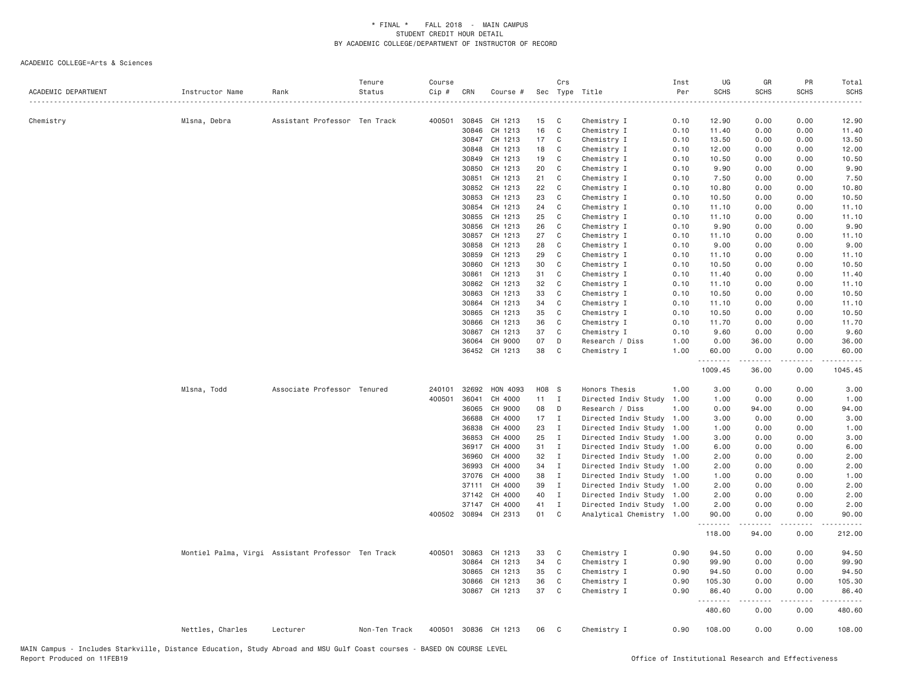| Sec Type Title<br>0.00<br>Chemistry<br>Mlsna, Debra<br>Assistant Professor Ten Track<br>400501<br>30845<br>CH 1213<br>15<br>C<br>Chemistry I<br>0.10<br>12.90<br>0.00<br>12.90<br>16<br>30846<br>CH 1213<br>C<br>Chemistry I<br>0.10<br>11.40<br>0.00<br>0.00<br>11.40<br>30847<br>CH 1213<br>17<br>C<br>Chemistry I<br>0.10<br>13.50<br>0.00<br>0.00<br>13.50<br>30848<br>CH 1213<br>18<br>C<br>Chemistry I<br>0.10<br>12.00<br>0.00<br>0.00<br>12.00<br>30849<br>CH 1213<br>19<br>C<br>Chemistry I<br>0.10<br>10.50<br>0.00<br>0.00<br>10.50<br>30850<br>CH 1213<br>20<br>C<br>Chemistry I<br>0.10<br>9.90<br>0.00<br>0.00<br>9.90<br>21<br>0.00<br>30851<br>CH 1213<br>C<br>Chemistry I<br>0.10<br>7.50<br>0.00<br>7.50<br>30852<br>CH 1213<br>22<br>C<br>Chemistry I<br>10.80<br>0.00<br>10.80<br>0.10<br>0.00<br>23<br>30853<br>CH 1213<br>C<br>Chemistry I<br>0.10<br>10.50<br>0.00<br>0.00<br>10.50<br>30854<br>CH 1213<br>24<br>C<br>0.10<br>0.00<br>Chemistry I<br>11.10<br>0.00<br>11.10<br>25<br>30855<br>CH 1213<br>C<br>0.00<br>0.00<br>Chemistry I<br>0.10<br>11.10<br>11.10<br>30856<br>CH 1213<br>26<br>C<br>Chemistry I<br>0.10<br>9.90<br>0.00<br>0.00<br>9.90<br>30857<br>CH 1213<br>27<br>C<br>Chemistry I<br>0.10<br>11.10<br>0.00<br>0.00<br>11.10<br>CH 1213<br>28<br>30858<br>C<br>Chemistry I<br>0.10<br>9.00<br>0.00<br>0.00<br>9.00<br>29<br>30859<br>CH 1213<br>C<br>Chemistry I<br>0.10<br>11.10<br>0.00<br>0.00<br>11.10<br>30860<br>CH 1213<br>30<br>C<br>Chemistry I<br>0.10<br>10.50<br>0.00<br>0.00<br>10.50<br>CH 1213<br>30861<br>31<br>C<br>Chemistry I<br>0.10<br>11.40<br>0.00<br>0.00<br>11.40<br>32<br>30862<br>CH 1213<br>C<br>Chemistry I<br>0.10<br>11.10<br>0.00<br>0.00<br>11.10<br>30863<br>CH 1213<br>33<br>C<br>Chemistry I<br>10.50<br>10.50<br>0.10<br>0.00<br>0.00<br>34<br>30864<br>CH 1213<br>C<br>Chemistry I<br>11.10<br>0.00<br>0.00<br>11.10<br>0.10<br>30865<br>CH 1213<br>35<br>C<br>Chemistry I<br>0.10<br>10.50<br>0.00<br>0.00<br>10.50<br>30866<br>CH 1213<br>36<br>C<br>Chemistry I<br>0.10<br>11.70<br>0.00<br>0.00<br>11.70<br>30867<br>CH 1213<br>37<br>C<br>Chemistry I<br>0.10<br>9.60<br>0.00<br>0.00<br>9.60<br>CH 9000<br>07<br>36064<br>D<br>Research / Diss<br>1.00<br>0.00<br>36.00<br>0.00<br>36.00<br>36452 CH 1213<br>38<br>C<br>Chemistry I<br>1.00<br>60.00<br>0.00<br>0.00<br>60.00<br>.<br>.<br>.<br>$- - - - - -$<br>1009.45<br>36.00<br>0.00<br>1045.45<br>Mlsna, Todd<br>Associate Professor Tenured<br>32692<br>HON 4093<br>H08 S<br>Honors Thesis<br>1.00<br>3.00<br>0.00<br>0.00<br>3.00<br>240101<br>400501<br>36041<br>CH 4000<br>11<br>Directed Indiv Study<br>$\mathbf{I}$<br>1.00<br>1.00<br>0.00<br>0.00<br>1.00<br>36065<br>CH 9000<br>08<br>0.00<br>0.00<br>94.00<br>D<br>Research / Diss<br>1.00<br>94.00<br>17<br>36688<br>CH 4000<br>$\mathbf{I}$<br>Directed Indiv Study<br>1.00<br>3.00<br>0.00<br>0.00<br>3.00<br>36838<br>CH 4000<br>23<br>$\mathbf{I}$<br>Directed Indiv Study<br>1.00<br>0.00<br>0.00<br>1.00<br>1.00<br>CH 4000<br>25<br>36853<br>$\mathbf{I}$<br>Directed Indiv Study<br>1.00<br>3.00<br>0.00<br>0.00<br>3.00<br>36917<br>CH 4000<br>31<br>$\mathbf{I}$<br>Directed Indiv Study 1.00<br>6.00<br>0.00<br>0.00<br>6.00<br>32<br>36960<br>CH 4000<br>$\mathbf{I}$<br>Directed Indiv Study 1.00<br>2.00<br>0.00<br>0.00<br>2.00<br>CH 4000<br>34<br>36993<br>$\mathbf{I}$<br>Directed Indiv Study 1.00<br>2.00<br>0.00<br>0.00<br>2.00<br>CH 4000<br>38<br>37076<br>$\mathbf{I}$<br>Directed Indiv Study 1.00<br>1.00<br>0.00<br>0.00<br>1.00<br>39<br>37111<br>CH 4000<br>$\mathbf{I}$<br>Directed Indiv Study 1.00<br>2.00<br>0.00<br>0.00<br>2.00<br>40<br>37142<br>CH 4000<br>$\mathbf{I}$<br>Directed Indiv Study 1.00<br>2.00<br>0.00<br>0.00<br>2.00<br>37147<br>CH 4000<br>41<br>Directed Indiv Study 1.00<br>2.00<br>0.00<br>$\mathbf{I}$<br>0.00<br>2.00<br>01<br>400502 30894 CH 2313<br>C<br>Analytical Chemistry 1.00<br>90.00<br>0.00<br>0.00<br>90.00<br>.<br>$\omega$ is $\omega$ in $\omega$<br>.<br>$\omega = \omega + \omega$<br>118.00<br>94.00<br>0.00<br>212.00<br>Montiel Palma, Virgi Assistant Professor Ten Track<br>400501 30863<br>CH 1213<br>33<br>C<br>Chemistry I<br>0.90<br>94.50<br>0.00<br>0.00<br>94.50<br>30864<br>CH 1213<br>34<br>$\mathsf{C}$<br>0.90<br>99.90<br>0.00<br>0.00<br>Chemistry I<br>99.90<br>CH 1213<br>30865<br>35<br>C<br>Chemistry I<br>0.90<br>94.50<br>0.00<br>0.00<br>94.50<br>36<br>30866<br>CH 1213<br>C<br>0.90<br>105.30<br>0.00<br>0.00<br>105.30<br>Chemistry I<br>37<br>30867 CH 1213<br>C<br>0.90<br>86.40<br>0.00<br>0.00<br>Chemistry I<br>86.40<br>.<br>.<br>$   -$<br>.<br>480.60<br>0.00<br>0.00<br>480.60<br>0.00<br>Nettles, Charles<br>Lecturer<br>Non-Ten Track<br>400501 30836 CH 1213<br>06<br>$\mathbf{C}$<br>Chemistry I<br>0.90<br>108.00<br>0.00<br>108.00 |                     |                 |      | Tenure | Course |     |          | Crs | Inst | UG          | GR          | PR   | Total       |
|---------------------------------------------------------------------------------------------------------------------------------------------------------------------------------------------------------------------------------------------------------------------------------------------------------------------------------------------------------------------------------------------------------------------------------------------------------------------------------------------------------------------------------------------------------------------------------------------------------------------------------------------------------------------------------------------------------------------------------------------------------------------------------------------------------------------------------------------------------------------------------------------------------------------------------------------------------------------------------------------------------------------------------------------------------------------------------------------------------------------------------------------------------------------------------------------------------------------------------------------------------------------------------------------------------------------------------------------------------------------------------------------------------------------------------------------------------------------------------------------------------------------------------------------------------------------------------------------------------------------------------------------------------------------------------------------------------------------------------------------------------------------------------------------------------------------------------------------------------------------------------------------------------------------------------------------------------------------------------------------------------------------------------------------------------------------------------------------------------------------------------------------------------------------------------------------------------------------------------------------------------------------------------------------------------------------------------------------------------------------------------------------------------------------------------------------------------------------------------------------------------------------------------------------------------------------------------------------------------------------------------------------------------------------------------------------------------------------------------------------------------------------------------------------------------------------------------------------------------------------------------------------------------------------------------------------------------------------------------------------------------------------------------------------------------------------------------------------------------------------------------------------------------------------------------------------------------------------------------------------------------------------------------------------------------------------------------------------------------------------------------------------------------------------------------------------------------------------------------------------------------------------------------------------------------------------------------------------------------------------------------------------------------------------------------------------------------------------------------------------------------------------------------------------------------------------------------------------------------------------------------------------------------------------------------------------------------------------------------------------------------------------------------------------------------------------------------------------------------------------------------------------------------------------------------------------------------------------------------------------------------------------------------------------------------------------------------------------------------------------------------------------------------------------------------------------------------------------------------------------------------------------------------------------------------------------------------------------------------------------------------------------------------------------------------------------------------------------------------------------------------------------------------------------------------------------------------------------------------------------|---------------------|-----------------|------|--------|--------|-----|----------|-----|------|-------------|-------------|------|-------------|
|                                                                                                                                                                                                                                                                                                                                                                                                                                                                                                                                                                                                                                                                                                                                                                                                                                                                                                                                                                                                                                                                                                                                                                                                                                                                                                                                                                                                                                                                                                                                                                                                                                                                                                                                                                                                                                                                                                                                                                                                                                                                                                                                                                                                                                                                                                                                                                                                                                                                                                                                                                                                                                                                                                                                                                                                                                                                                                                                                                                                                                                                                                                                                                                                                                                                                                                                                                                                                                                                                                                                                                                                                                                                                                                                                                                                                                                                                                                                                                                                                                                                                                                                                                                                                                                                                                                                                                                                                                                                                                                                                                                                                                                                                                                                                                                                                                                                     | ACADEMIC DEPARTMENT | Instructor Name | Rank | Status | Cip #  | CRN | Course # |     | Per  | <b>SCHS</b> | <b>SCHS</b> | SCHS | <b>SCHS</b> |
|                                                                                                                                                                                                                                                                                                                                                                                                                                                                                                                                                                                                                                                                                                                                                                                                                                                                                                                                                                                                                                                                                                                                                                                                                                                                                                                                                                                                                                                                                                                                                                                                                                                                                                                                                                                                                                                                                                                                                                                                                                                                                                                                                                                                                                                                                                                                                                                                                                                                                                                                                                                                                                                                                                                                                                                                                                                                                                                                                                                                                                                                                                                                                                                                                                                                                                                                                                                                                                                                                                                                                                                                                                                                                                                                                                                                                                                                                                                                                                                                                                                                                                                                                                                                                                                                                                                                                                                                                                                                                                                                                                                                                                                                                                                                                                                                                                                                     |                     |                 |      |        |        |     |          |     |      |             |             |      |             |
|                                                                                                                                                                                                                                                                                                                                                                                                                                                                                                                                                                                                                                                                                                                                                                                                                                                                                                                                                                                                                                                                                                                                                                                                                                                                                                                                                                                                                                                                                                                                                                                                                                                                                                                                                                                                                                                                                                                                                                                                                                                                                                                                                                                                                                                                                                                                                                                                                                                                                                                                                                                                                                                                                                                                                                                                                                                                                                                                                                                                                                                                                                                                                                                                                                                                                                                                                                                                                                                                                                                                                                                                                                                                                                                                                                                                                                                                                                                                                                                                                                                                                                                                                                                                                                                                                                                                                                                                                                                                                                                                                                                                                                                                                                                                                                                                                                                                     |                     |                 |      |        |        |     |          |     |      |             |             |      |             |
|                                                                                                                                                                                                                                                                                                                                                                                                                                                                                                                                                                                                                                                                                                                                                                                                                                                                                                                                                                                                                                                                                                                                                                                                                                                                                                                                                                                                                                                                                                                                                                                                                                                                                                                                                                                                                                                                                                                                                                                                                                                                                                                                                                                                                                                                                                                                                                                                                                                                                                                                                                                                                                                                                                                                                                                                                                                                                                                                                                                                                                                                                                                                                                                                                                                                                                                                                                                                                                                                                                                                                                                                                                                                                                                                                                                                                                                                                                                                                                                                                                                                                                                                                                                                                                                                                                                                                                                                                                                                                                                                                                                                                                                                                                                                                                                                                                                                     |                     |                 |      |        |        |     |          |     |      |             |             |      |             |
|                                                                                                                                                                                                                                                                                                                                                                                                                                                                                                                                                                                                                                                                                                                                                                                                                                                                                                                                                                                                                                                                                                                                                                                                                                                                                                                                                                                                                                                                                                                                                                                                                                                                                                                                                                                                                                                                                                                                                                                                                                                                                                                                                                                                                                                                                                                                                                                                                                                                                                                                                                                                                                                                                                                                                                                                                                                                                                                                                                                                                                                                                                                                                                                                                                                                                                                                                                                                                                                                                                                                                                                                                                                                                                                                                                                                                                                                                                                                                                                                                                                                                                                                                                                                                                                                                                                                                                                                                                                                                                                                                                                                                                                                                                                                                                                                                                                                     |                     |                 |      |        |        |     |          |     |      |             |             |      |             |
|                                                                                                                                                                                                                                                                                                                                                                                                                                                                                                                                                                                                                                                                                                                                                                                                                                                                                                                                                                                                                                                                                                                                                                                                                                                                                                                                                                                                                                                                                                                                                                                                                                                                                                                                                                                                                                                                                                                                                                                                                                                                                                                                                                                                                                                                                                                                                                                                                                                                                                                                                                                                                                                                                                                                                                                                                                                                                                                                                                                                                                                                                                                                                                                                                                                                                                                                                                                                                                                                                                                                                                                                                                                                                                                                                                                                                                                                                                                                                                                                                                                                                                                                                                                                                                                                                                                                                                                                                                                                                                                                                                                                                                                                                                                                                                                                                                                                     |                     |                 |      |        |        |     |          |     |      |             |             |      |             |
|                                                                                                                                                                                                                                                                                                                                                                                                                                                                                                                                                                                                                                                                                                                                                                                                                                                                                                                                                                                                                                                                                                                                                                                                                                                                                                                                                                                                                                                                                                                                                                                                                                                                                                                                                                                                                                                                                                                                                                                                                                                                                                                                                                                                                                                                                                                                                                                                                                                                                                                                                                                                                                                                                                                                                                                                                                                                                                                                                                                                                                                                                                                                                                                                                                                                                                                                                                                                                                                                                                                                                                                                                                                                                                                                                                                                                                                                                                                                                                                                                                                                                                                                                                                                                                                                                                                                                                                                                                                                                                                                                                                                                                                                                                                                                                                                                                                                     |                     |                 |      |        |        |     |          |     |      |             |             |      |             |
|                                                                                                                                                                                                                                                                                                                                                                                                                                                                                                                                                                                                                                                                                                                                                                                                                                                                                                                                                                                                                                                                                                                                                                                                                                                                                                                                                                                                                                                                                                                                                                                                                                                                                                                                                                                                                                                                                                                                                                                                                                                                                                                                                                                                                                                                                                                                                                                                                                                                                                                                                                                                                                                                                                                                                                                                                                                                                                                                                                                                                                                                                                                                                                                                                                                                                                                                                                                                                                                                                                                                                                                                                                                                                                                                                                                                                                                                                                                                                                                                                                                                                                                                                                                                                                                                                                                                                                                                                                                                                                                                                                                                                                                                                                                                                                                                                                                                     |                     |                 |      |        |        |     |          |     |      |             |             |      |             |
|                                                                                                                                                                                                                                                                                                                                                                                                                                                                                                                                                                                                                                                                                                                                                                                                                                                                                                                                                                                                                                                                                                                                                                                                                                                                                                                                                                                                                                                                                                                                                                                                                                                                                                                                                                                                                                                                                                                                                                                                                                                                                                                                                                                                                                                                                                                                                                                                                                                                                                                                                                                                                                                                                                                                                                                                                                                                                                                                                                                                                                                                                                                                                                                                                                                                                                                                                                                                                                                                                                                                                                                                                                                                                                                                                                                                                                                                                                                                                                                                                                                                                                                                                                                                                                                                                                                                                                                                                                                                                                                                                                                                                                                                                                                                                                                                                                                                     |                     |                 |      |        |        |     |          |     |      |             |             |      |             |
|                                                                                                                                                                                                                                                                                                                                                                                                                                                                                                                                                                                                                                                                                                                                                                                                                                                                                                                                                                                                                                                                                                                                                                                                                                                                                                                                                                                                                                                                                                                                                                                                                                                                                                                                                                                                                                                                                                                                                                                                                                                                                                                                                                                                                                                                                                                                                                                                                                                                                                                                                                                                                                                                                                                                                                                                                                                                                                                                                                                                                                                                                                                                                                                                                                                                                                                                                                                                                                                                                                                                                                                                                                                                                                                                                                                                                                                                                                                                                                                                                                                                                                                                                                                                                                                                                                                                                                                                                                                                                                                                                                                                                                                                                                                                                                                                                                                                     |                     |                 |      |        |        |     |          |     |      |             |             |      |             |
|                                                                                                                                                                                                                                                                                                                                                                                                                                                                                                                                                                                                                                                                                                                                                                                                                                                                                                                                                                                                                                                                                                                                                                                                                                                                                                                                                                                                                                                                                                                                                                                                                                                                                                                                                                                                                                                                                                                                                                                                                                                                                                                                                                                                                                                                                                                                                                                                                                                                                                                                                                                                                                                                                                                                                                                                                                                                                                                                                                                                                                                                                                                                                                                                                                                                                                                                                                                                                                                                                                                                                                                                                                                                                                                                                                                                                                                                                                                                                                                                                                                                                                                                                                                                                                                                                                                                                                                                                                                                                                                                                                                                                                                                                                                                                                                                                                                                     |                     |                 |      |        |        |     |          |     |      |             |             |      |             |
|                                                                                                                                                                                                                                                                                                                                                                                                                                                                                                                                                                                                                                                                                                                                                                                                                                                                                                                                                                                                                                                                                                                                                                                                                                                                                                                                                                                                                                                                                                                                                                                                                                                                                                                                                                                                                                                                                                                                                                                                                                                                                                                                                                                                                                                                                                                                                                                                                                                                                                                                                                                                                                                                                                                                                                                                                                                                                                                                                                                                                                                                                                                                                                                                                                                                                                                                                                                                                                                                                                                                                                                                                                                                                                                                                                                                                                                                                                                                                                                                                                                                                                                                                                                                                                                                                                                                                                                                                                                                                                                                                                                                                                                                                                                                                                                                                                                                     |                     |                 |      |        |        |     |          |     |      |             |             |      |             |
|                                                                                                                                                                                                                                                                                                                                                                                                                                                                                                                                                                                                                                                                                                                                                                                                                                                                                                                                                                                                                                                                                                                                                                                                                                                                                                                                                                                                                                                                                                                                                                                                                                                                                                                                                                                                                                                                                                                                                                                                                                                                                                                                                                                                                                                                                                                                                                                                                                                                                                                                                                                                                                                                                                                                                                                                                                                                                                                                                                                                                                                                                                                                                                                                                                                                                                                                                                                                                                                                                                                                                                                                                                                                                                                                                                                                                                                                                                                                                                                                                                                                                                                                                                                                                                                                                                                                                                                                                                                                                                                                                                                                                                                                                                                                                                                                                                                                     |                     |                 |      |        |        |     |          |     |      |             |             |      |             |
|                                                                                                                                                                                                                                                                                                                                                                                                                                                                                                                                                                                                                                                                                                                                                                                                                                                                                                                                                                                                                                                                                                                                                                                                                                                                                                                                                                                                                                                                                                                                                                                                                                                                                                                                                                                                                                                                                                                                                                                                                                                                                                                                                                                                                                                                                                                                                                                                                                                                                                                                                                                                                                                                                                                                                                                                                                                                                                                                                                                                                                                                                                                                                                                                                                                                                                                                                                                                                                                                                                                                                                                                                                                                                                                                                                                                                                                                                                                                                                                                                                                                                                                                                                                                                                                                                                                                                                                                                                                                                                                                                                                                                                                                                                                                                                                                                                                                     |                     |                 |      |        |        |     |          |     |      |             |             |      |             |
|                                                                                                                                                                                                                                                                                                                                                                                                                                                                                                                                                                                                                                                                                                                                                                                                                                                                                                                                                                                                                                                                                                                                                                                                                                                                                                                                                                                                                                                                                                                                                                                                                                                                                                                                                                                                                                                                                                                                                                                                                                                                                                                                                                                                                                                                                                                                                                                                                                                                                                                                                                                                                                                                                                                                                                                                                                                                                                                                                                                                                                                                                                                                                                                                                                                                                                                                                                                                                                                                                                                                                                                                                                                                                                                                                                                                                                                                                                                                                                                                                                                                                                                                                                                                                                                                                                                                                                                                                                                                                                                                                                                                                                                                                                                                                                                                                                                                     |                     |                 |      |        |        |     |          |     |      |             |             |      |             |
|                                                                                                                                                                                                                                                                                                                                                                                                                                                                                                                                                                                                                                                                                                                                                                                                                                                                                                                                                                                                                                                                                                                                                                                                                                                                                                                                                                                                                                                                                                                                                                                                                                                                                                                                                                                                                                                                                                                                                                                                                                                                                                                                                                                                                                                                                                                                                                                                                                                                                                                                                                                                                                                                                                                                                                                                                                                                                                                                                                                                                                                                                                                                                                                                                                                                                                                                                                                                                                                                                                                                                                                                                                                                                                                                                                                                                                                                                                                                                                                                                                                                                                                                                                                                                                                                                                                                                                                                                                                                                                                                                                                                                                                                                                                                                                                                                                                                     |                     |                 |      |        |        |     |          |     |      |             |             |      |             |
|                                                                                                                                                                                                                                                                                                                                                                                                                                                                                                                                                                                                                                                                                                                                                                                                                                                                                                                                                                                                                                                                                                                                                                                                                                                                                                                                                                                                                                                                                                                                                                                                                                                                                                                                                                                                                                                                                                                                                                                                                                                                                                                                                                                                                                                                                                                                                                                                                                                                                                                                                                                                                                                                                                                                                                                                                                                                                                                                                                                                                                                                                                                                                                                                                                                                                                                                                                                                                                                                                                                                                                                                                                                                                                                                                                                                                                                                                                                                                                                                                                                                                                                                                                                                                                                                                                                                                                                                                                                                                                                                                                                                                                                                                                                                                                                                                                                                     |                     |                 |      |        |        |     |          |     |      |             |             |      |             |
|                                                                                                                                                                                                                                                                                                                                                                                                                                                                                                                                                                                                                                                                                                                                                                                                                                                                                                                                                                                                                                                                                                                                                                                                                                                                                                                                                                                                                                                                                                                                                                                                                                                                                                                                                                                                                                                                                                                                                                                                                                                                                                                                                                                                                                                                                                                                                                                                                                                                                                                                                                                                                                                                                                                                                                                                                                                                                                                                                                                                                                                                                                                                                                                                                                                                                                                                                                                                                                                                                                                                                                                                                                                                                                                                                                                                                                                                                                                                                                                                                                                                                                                                                                                                                                                                                                                                                                                                                                                                                                                                                                                                                                                                                                                                                                                                                                                                     |                     |                 |      |        |        |     |          |     |      |             |             |      |             |
|                                                                                                                                                                                                                                                                                                                                                                                                                                                                                                                                                                                                                                                                                                                                                                                                                                                                                                                                                                                                                                                                                                                                                                                                                                                                                                                                                                                                                                                                                                                                                                                                                                                                                                                                                                                                                                                                                                                                                                                                                                                                                                                                                                                                                                                                                                                                                                                                                                                                                                                                                                                                                                                                                                                                                                                                                                                                                                                                                                                                                                                                                                                                                                                                                                                                                                                                                                                                                                                                                                                                                                                                                                                                                                                                                                                                                                                                                                                                                                                                                                                                                                                                                                                                                                                                                                                                                                                                                                                                                                                                                                                                                                                                                                                                                                                                                                                                     |                     |                 |      |        |        |     |          |     |      |             |             |      |             |
|                                                                                                                                                                                                                                                                                                                                                                                                                                                                                                                                                                                                                                                                                                                                                                                                                                                                                                                                                                                                                                                                                                                                                                                                                                                                                                                                                                                                                                                                                                                                                                                                                                                                                                                                                                                                                                                                                                                                                                                                                                                                                                                                                                                                                                                                                                                                                                                                                                                                                                                                                                                                                                                                                                                                                                                                                                                                                                                                                                                                                                                                                                                                                                                                                                                                                                                                                                                                                                                                                                                                                                                                                                                                                                                                                                                                                                                                                                                                                                                                                                                                                                                                                                                                                                                                                                                                                                                                                                                                                                                                                                                                                                                                                                                                                                                                                                                                     |                     |                 |      |        |        |     |          |     |      |             |             |      |             |
|                                                                                                                                                                                                                                                                                                                                                                                                                                                                                                                                                                                                                                                                                                                                                                                                                                                                                                                                                                                                                                                                                                                                                                                                                                                                                                                                                                                                                                                                                                                                                                                                                                                                                                                                                                                                                                                                                                                                                                                                                                                                                                                                                                                                                                                                                                                                                                                                                                                                                                                                                                                                                                                                                                                                                                                                                                                                                                                                                                                                                                                                                                                                                                                                                                                                                                                                                                                                                                                                                                                                                                                                                                                                                                                                                                                                                                                                                                                                                                                                                                                                                                                                                                                                                                                                                                                                                                                                                                                                                                                                                                                                                                                                                                                                                                                                                                                                     |                     |                 |      |        |        |     |          |     |      |             |             |      |             |
|                                                                                                                                                                                                                                                                                                                                                                                                                                                                                                                                                                                                                                                                                                                                                                                                                                                                                                                                                                                                                                                                                                                                                                                                                                                                                                                                                                                                                                                                                                                                                                                                                                                                                                                                                                                                                                                                                                                                                                                                                                                                                                                                                                                                                                                                                                                                                                                                                                                                                                                                                                                                                                                                                                                                                                                                                                                                                                                                                                                                                                                                                                                                                                                                                                                                                                                                                                                                                                                                                                                                                                                                                                                                                                                                                                                                                                                                                                                                                                                                                                                                                                                                                                                                                                                                                                                                                                                                                                                                                                                                                                                                                                                                                                                                                                                                                                                                     |                     |                 |      |        |        |     |          |     |      |             |             |      |             |
|                                                                                                                                                                                                                                                                                                                                                                                                                                                                                                                                                                                                                                                                                                                                                                                                                                                                                                                                                                                                                                                                                                                                                                                                                                                                                                                                                                                                                                                                                                                                                                                                                                                                                                                                                                                                                                                                                                                                                                                                                                                                                                                                                                                                                                                                                                                                                                                                                                                                                                                                                                                                                                                                                                                                                                                                                                                                                                                                                                                                                                                                                                                                                                                                                                                                                                                                                                                                                                                                                                                                                                                                                                                                                                                                                                                                                                                                                                                                                                                                                                                                                                                                                                                                                                                                                                                                                                                                                                                                                                                                                                                                                                                                                                                                                                                                                                                                     |                     |                 |      |        |        |     |          |     |      |             |             |      |             |
|                                                                                                                                                                                                                                                                                                                                                                                                                                                                                                                                                                                                                                                                                                                                                                                                                                                                                                                                                                                                                                                                                                                                                                                                                                                                                                                                                                                                                                                                                                                                                                                                                                                                                                                                                                                                                                                                                                                                                                                                                                                                                                                                                                                                                                                                                                                                                                                                                                                                                                                                                                                                                                                                                                                                                                                                                                                                                                                                                                                                                                                                                                                                                                                                                                                                                                                                                                                                                                                                                                                                                                                                                                                                                                                                                                                                                                                                                                                                                                                                                                                                                                                                                                                                                                                                                                                                                                                                                                                                                                                                                                                                                                                                                                                                                                                                                                                                     |                     |                 |      |        |        |     |          |     |      |             |             |      |             |
|                                                                                                                                                                                                                                                                                                                                                                                                                                                                                                                                                                                                                                                                                                                                                                                                                                                                                                                                                                                                                                                                                                                                                                                                                                                                                                                                                                                                                                                                                                                                                                                                                                                                                                                                                                                                                                                                                                                                                                                                                                                                                                                                                                                                                                                                                                                                                                                                                                                                                                                                                                                                                                                                                                                                                                                                                                                                                                                                                                                                                                                                                                                                                                                                                                                                                                                                                                                                                                                                                                                                                                                                                                                                                                                                                                                                                                                                                                                                                                                                                                                                                                                                                                                                                                                                                                                                                                                                                                                                                                                                                                                                                                                                                                                                                                                                                                                                     |                     |                 |      |        |        |     |          |     |      |             |             |      |             |
|                                                                                                                                                                                                                                                                                                                                                                                                                                                                                                                                                                                                                                                                                                                                                                                                                                                                                                                                                                                                                                                                                                                                                                                                                                                                                                                                                                                                                                                                                                                                                                                                                                                                                                                                                                                                                                                                                                                                                                                                                                                                                                                                                                                                                                                                                                                                                                                                                                                                                                                                                                                                                                                                                                                                                                                                                                                                                                                                                                                                                                                                                                                                                                                                                                                                                                                                                                                                                                                                                                                                                                                                                                                                                                                                                                                                                                                                                                                                                                                                                                                                                                                                                                                                                                                                                                                                                                                                                                                                                                                                                                                                                                                                                                                                                                                                                                                                     |                     |                 |      |        |        |     |          |     |      |             |             |      |             |
|                                                                                                                                                                                                                                                                                                                                                                                                                                                                                                                                                                                                                                                                                                                                                                                                                                                                                                                                                                                                                                                                                                                                                                                                                                                                                                                                                                                                                                                                                                                                                                                                                                                                                                                                                                                                                                                                                                                                                                                                                                                                                                                                                                                                                                                                                                                                                                                                                                                                                                                                                                                                                                                                                                                                                                                                                                                                                                                                                                                                                                                                                                                                                                                                                                                                                                                                                                                                                                                                                                                                                                                                                                                                                                                                                                                                                                                                                                                                                                                                                                                                                                                                                                                                                                                                                                                                                                                                                                                                                                                                                                                                                                                                                                                                                                                                                                                                     |                     |                 |      |        |        |     |          |     |      |             |             |      |             |
|                                                                                                                                                                                                                                                                                                                                                                                                                                                                                                                                                                                                                                                                                                                                                                                                                                                                                                                                                                                                                                                                                                                                                                                                                                                                                                                                                                                                                                                                                                                                                                                                                                                                                                                                                                                                                                                                                                                                                                                                                                                                                                                                                                                                                                                                                                                                                                                                                                                                                                                                                                                                                                                                                                                                                                                                                                                                                                                                                                                                                                                                                                                                                                                                                                                                                                                                                                                                                                                                                                                                                                                                                                                                                                                                                                                                                                                                                                                                                                                                                                                                                                                                                                                                                                                                                                                                                                                                                                                                                                                                                                                                                                                                                                                                                                                                                                                                     |                     |                 |      |        |        |     |          |     |      |             |             |      |             |
|                                                                                                                                                                                                                                                                                                                                                                                                                                                                                                                                                                                                                                                                                                                                                                                                                                                                                                                                                                                                                                                                                                                                                                                                                                                                                                                                                                                                                                                                                                                                                                                                                                                                                                                                                                                                                                                                                                                                                                                                                                                                                                                                                                                                                                                                                                                                                                                                                                                                                                                                                                                                                                                                                                                                                                                                                                                                                                                                                                                                                                                                                                                                                                                                                                                                                                                                                                                                                                                                                                                                                                                                                                                                                                                                                                                                                                                                                                                                                                                                                                                                                                                                                                                                                                                                                                                                                                                                                                                                                                                                                                                                                                                                                                                                                                                                                                                                     |                     |                 |      |        |        |     |          |     |      |             |             |      |             |
|                                                                                                                                                                                                                                                                                                                                                                                                                                                                                                                                                                                                                                                                                                                                                                                                                                                                                                                                                                                                                                                                                                                                                                                                                                                                                                                                                                                                                                                                                                                                                                                                                                                                                                                                                                                                                                                                                                                                                                                                                                                                                                                                                                                                                                                                                                                                                                                                                                                                                                                                                                                                                                                                                                                                                                                                                                                                                                                                                                                                                                                                                                                                                                                                                                                                                                                                                                                                                                                                                                                                                                                                                                                                                                                                                                                                                                                                                                                                                                                                                                                                                                                                                                                                                                                                                                                                                                                                                                                                                                                                                                                                                                                                                                                                                                                                                                                                     |                     |                 |      |        |        |     |          |     |      |             |             |      |             |
|                                                                                                                                                                                                                                                                                                                                                                                                                                                                                                                                                                                                                                                                                                                                                                                                                                                                                                                                                                                                                                                                                                                                                                                                                                                                                                                                                                                                                                                                                                                                                                                                                                                                                                                                                                                                                                                                                                                                                                                                                                                                                                                                                                                                                                                                                                                                                                                                                                                                                                                                                                                                                                                                                                                                                                                                                                                                                                                                                                                                                                                                                                                                                                                                                                                                                                                                                                                                                                                                                                                                                                                                                                                                                                                                                                                                                                                                                                                                                                                                                                                                                                                                                                                                                                                                                                                                                                                                                                                                                                                                                                                                                                                                                                                                                                                                                                                                     |                     |                 |      |        |        |     |          |     |      |             |             |      |             |
|                                                                                                                                                                                                                                                                                                                                                                                                                                                                                                                                                                                                                                                                                                                                                                                                                                                                                                                                                                                                                                                                                                                                                                                                                                                                                                                                                                                                                                                                                                                                                                                                                                                                                                                                                                                                                                                                                                                                                                                                                                                                                                                                                                                                                                                                                                                                                                                                                                                                                                                                                                                                                                                                                                                                                                                                                                                                                                                                                                                                                                                                                                                                                                                                                                                                                                                                                                                                                                                                                                                                                                                                                                                                                                                                                                                                                                                                                                                                                                                                                                                                                                                                                                                                                                                                                                                                                                                                                                                                                                                                                                                                                                                                                                                                                                                                                                                                     |                     |                 |      |        |        |     |          |     |      |             |             |      |             |
|                                                                                                                                                                                                                                                                                                                                                                                                                                                                                                                                                                                                                                                                                                                                                                                                                                                                                                                                                                                                                                                                                                                                                                                                                                                                                                                                                                                                                                                                                                                                                                                                                                                                                                                                                                                                                                                                                                                                                                                                                                                                                                                                                                                                                                                                                                                                                                                                                                                                                                                                                                                                                                                                                                                                                                                                                                                                                                                                                                                                                                                                                                                                                                                                                                                                                                                                                                                                                                                                                                                                                                                                                                                                                                                                                                                                                                                                                                                                                                                                                                                                                                                                                                                                                                                                                                                                                                                                                                                                                                                                                                                                                                                                                                                                                                                                                                                                     |                     |                 |      |        |        |     |          |     |      |             |             |      |             |
|                                                                                                                                                                                                                                                                                                                                                                                                                                                                                                                                                                                                                                                                                                                                                                                                                                                                                                                                                                                                                                                                                                                                                                                                                                                                                                                                                                                                                                                                                                                                                                                                                                                                                                                                                                                                                                                                                                                                                                                                                                                                                                                                                                                                                                                                                                                                                                                                                                                                                                                                                                                                                                                                                                                                                                                                                                                                                                                                                                                                                                                                                                                                                                                                                                                                                                                                                                                                                                                                                                                                                                                                                                                                                                                                                                                                                                                                                                                                                                                                                                                                                                                                                                                                                                                                                                                                                                                                                                                                                                                                                                                                                                                                                                                                                                                                                                                                     |                     |                 |      |        |        |     |          |     |      |             |             |      |             |
|                                                                                                                                                                                                                                                                                                                                                                                                                                                                                                                                                                                                                                                                                                                                                                                                                                                                                                                                                                                                                                                                                                                                                                                                                                                                                                                                                                                                                                                                                                                                                                                                                                                                                                                                                                                                                                                                                                                                                                                                                                                                                                                                                                                                                                                                                                                                                                                                                                                                                                                                                                                                                                                                                                                                                                                                                                                                                                                                                                                                                                                                                                                                                                                                                                                                                                                                                                                                                                                                                                                                                                                                                                                                                                                                                                                                                                                                                                                                                                                                                                                                                                                                                                                                                                                                                                                                                                                                                                                                                                                                                                                                                                                                                                                                                                                                                                                                     |                     |                 |      |        |        |     |          |     |      |             |             |      |             |
|                                                                                                                                                                                                                                                                                                                                                                                                                                                                                                                                                                                                                                                                                                                                                                                                                                                                                                                                                                                                                                                                                                                                                                                                                                                                                                                                                                                                                                                                                                                                                                                                                                                                                                                                                                                                                                                                                                                                                                                                                                                                                                                                                                                                                                                                                                                                                                                                                                                                                                                                                                                                                                                                                                                                                                                                                                                                                                                                                                                                                                                                                                                                                                                                                                                                                                                                                                                                                                                                                                                                                                                                                                                                                                                                                                                                                                                                                                                                                                                                                                                                                                                                                                                                                                                                                                                                                                                                                                                                                                                                                                                                                                                                                                                                                                                                                                                                     |                     |                 |      |        |        |     |          |     |      |             |             |      |             |
|                                                                                                                                                                                                                                                                                                                                                                                                                                                                                                                                                                                                                                                                                                                                                                                                                                                                                                                                                                                                                                                                                                                                                                                                                                                                                                                                                                                                                                                                                                                                                                                                                                                                                                                                                                                                                                                                                                                                                                                                                                                                                                                                                                                                                                                                                                                                                                                                                                                                                                                                                                                                                                                                                                                                                                                                                                                                                                                                                                                                                                                                                                                                                                                                                                                                                                                                                                                                                                                                                                                                                                                                                                                                                                                                                                                                                                                                                                                                                                                                                                                                                                                                                                                                                                                                                                                                                                                                                                                                                                                                                                                                                                                                                                                                                                                                                                                                     |                     |                 |      |        |        |     |          |     |      |             |             |      |             |
|                                                                                                                                                                                                                                                                                                                                                                                                                                                                                                                                                                                                                                                                                                                                                                                                                                                                                                                                                                                                                                                                                                                                                                                                                                                                                                                                                                                                                                                                                                                                                                                                                                                                                                                                                                                                                                                                                                                                                                                                                                                                                                                                                                                                                                                                                                                                                                                                                                                                                                                                                                                                                                                                                                                                                                                                                                                                                                                                                                                                                                                                                                                                                                                                                                                                                                                                                                                                                                                                                                                                                                                                                                                                                                                                                                                                                                                                                                                                                                                                                                                                                                                                                                                                                                                                                                                                                                                                                                                                                                                                                                                                                                                                                                                                                                                                                                                                     |                     |                 |      |        |        |     |          |     |      |             |             |      |             |
|                                                                                                                                                                                                                                                                                                                                                                                                                                                                                                                                                                                                                                                                                                                                                                                                                                                                                                                                                                                                                                                                                                                                                                                                                                                                                                                                                                                                                                                                                                                                                                                                                                                                                                                                                                                                                                                                                                                                                                                                                                                                                                                                                                                                                                                                                                                                                                                                                                                                                                                                                                                                                                                                                                                                                                                                                                                                                                                                                                                                                                                                                                                                                                                                                                                                                                                                                                                                                                                                                                                                                                                                                                                                                                                                                                                                                                                                                                                                                                                                                                                                                                                                                                                                                                                                                                                                                                                                                                                                                                                                                                                                                                                                                                                                                                                                                                                                     |                     |                 |      |        |        |     |          |     |      |             |             |      |             |
|                                                                                                                                                                                                                                                                                                                                                                                                                                                                                                                                                                                                                                                                                                                                                                                                                                                                                                                                                                                                                                                                                                                                                                                                                                                                                                                                                                                                                                                                                                                                                                                                                                                                                                                                                                                                                                                                                                                                                                                                                                                                                                                                                                                                                                                                                                                                                                                                                                                                                                                                                                                                                                                                                                                                                                                                                                                                                                                                                                                                                                                                                                                                                                                                                                                                                                                                                                                                                                                                                                                                                                                                                                                                                                                                                                                                                                                                                                                                                                                                                                                                                                                                                                                                                                                                                                                                                                                                                                                                                                                                                                                                                                                                                                                                                                                                                                                                     |                     |                 |      |        |        |     |          |     |      |             |             |      |             |
|                                                                                                                                                                                                                                                                                                                                                                                                                                                                                                                                                                                                                                                                                                                                                                                                                                                                                                                                                                                                                                                                                                                                                                                                                                                                                                                                                                                                                                                                                                                                                                                                                                                                                                                                                                                                                                                                                                                                                                                                                                                                                                                                                                                                                                                                                                                                                                                                                                                                                                                                                                                                                                                                                                                                                                                                                                                                                                                                                                                                                                                                                                                                                                                                                                                                                                                                                                                                                                                                                                                                                                                                                                                                                                                                                                                                                                                                                                                                                                                                                                                                                                                                                                                                                                                                                                                                                                                                                                                                                                                                                                                                                                                                                                                                                                                                                                                                     |                     |                 |      |        |        |     |          |     |      |             |             |      |             |
|                                                                                                                                                                                                                                                                                                                                                                                                                                                                                                                                                                                                                                                                                                                                                                                                                                                                                                                                                                                                                                                                                                                                                                                                                                                                                                                                                                                                                                                                                                                                                                                                                                                                                                                                                                                                                                                                                                                                                                                                                                                                                                                                                                                                                                                                                                                                                                                                                                                                                                                                                                                                                                                                                                                                                                                                                                                                                                                                                                                                                                                                                                                                                                                                                                                                                                                                                                                                                                                                                                                                                                                                                                                                                                                                                                                                                                                                                                                                                                                                                                                                                                                                                                                                                                                                                                                                                                                                                                                                                                                                                                                                                                                                                                                                                                                                                                                                     |                     |                 |      |        |        |     |          |     |      |             |             |      |             |
|                                                                                                                                                                                                                                                                                                                                                                                                                                                                                                                                                                                                                                                                                                                                                                                                                                                                                                                                                                                                                                                                                                                                                                                                                                                                                                                                                                                                                                                                                                                                                                                                                                                                                                                                                                                                                                                                                                                                                                                                                                                                                                                                                                                                                                                                                                                                                                                                                                                                                                                                                                                                                                                                                                                                                                                                                                                                                                                                                                                                                                                                                                                                                                                                                                                                                                                                                                                                                                                                                                                                                                                                                                                                                                                                                                                                                                                                                                                                                                                                                                                                                                                                                                                                                                                                                                                                                                                                                                                                                                                                                                                                                                                                                                                                                                                                                                                                     |                     |                 |      |        |        |     |          |     |      |             |             |      |             |
|                                                                                                                                                                                                                                                                                                                                                                                                                                                                                                                                                                                                                                                                                                                                                                                                                                                                                                                                                                                                                                                                                                                                                                                                                                                                                                                                                                                                                                                                                                                                                                                                                                                                                                                                                                                                                                                                                                                                                                                                                                                                                                                                                                                                                                                                                                                                                                                                                                                                                                                                                                                                                                                                                                                                                                                                                                                                                                                                                                                                                                                                                                                                                                                                                                                                                                                                                                                                                                                                                                                                                                                                                                                                                                                                                                                                                                                                                                                                                                                                                                                                                                                                                                                                                                                                                                                                                                                                                                                                                                                                                                                                                                                                                                                                                                                                                                                                     |                     |                 |      |        |        |     |          |     |      |             |             |      |             |
|                                                                                                                                                                                                                                                                                                                                                                                                                                                                                                                                                                                                                                                                                                                                                                                                                                                                                                                                                                                                                                                                                                                                                                                                                                                                                                                                                                                                                                                                                                                                                                                                                                                                                                                                                                                                                                                                                                                                                                                                                                                                                                                                                                                                                                                                                                                                                                                                                                                                                                                                                                                                                                                                                                                                                                                                                                                                                                                                                                                                                                                                                                                                                                                                                                                                                                                                                                                                                                                                                                                                                                                                                                                                                                                                                                                                                                                                                                                                                                                                                                                                                                                                                                                                                                                                                                                                                                                                                                                                                                                                                                                                                                                                                                                                                                                                                                                                     |                     |                 |      |        |        |     |          |     |      |             |             |      |             |
|                                                                                                                                                                                                                                                                                                                                                                                                                                                                                                                                                                                                                                                                                                                                                                                                                                                                                                                                                                                                                                                                                                                                                                                                                                                                                                                                                                                                                                                                                                                                                                                                                                                                                                                                                                                                                                                                                                                                                                                                                                                                                                                                                                                                                                                                                                                                                                                                                                                                                                                                                                                                                                                                                                                                                                                                                                                                                                                                                                                                                                                                                                                                                                                                                                                                                                                                                                                                                                                                                                                                                                                                                                                                                                                                                                                                                                                                                                                                                                                                                                                                                                                                                                                                                                                                                                                                                                                                                                                                                                                                                                                                                                                                                                                                                                                                                                                                     |                     |                 |      |        |        |     |          |     |      |             |             |      |             |
|                                                                                                                                                                                                                                                                                                                                                                                                                                                                                                                                                                                                                                                                                                                                                                                                                                                                                                                                                                                                                                                                                                                                                                                                                                                                                                                                                                                                                                                                                                                                                                                                                                                                                                                                                                                                                                                                                                                                                                                                                                                                                                                                                                                                                                                                                                                                                                                                                                                                                                                                                                                                                                                                                                                                                                                                                                                                                                                                                                                                                                                                                                                                                                                                                                                                                                                                                                                                                                                                                                                                                                                                                                                                                                                                                                                                                                                                                                                                                                                                                                                                                                                                                                                                                                                                                                                                                                                                                                                                                                                                                                                                                                                                                                                                                                                                                                                                     |                     |                 |      |        |        |     |          |     |      |             |             |      |             |
|                                                                                                                                                                                                                                                                                                                                                                                                                                                                                                                                                                                                                                                                                                                                                                                                                                                                                                                                                                                                                                                                                                                                                                                                                                                                                                                                                                                                                                                                                                                                                                                                                                                                                                                                                                                                                                                                                                                                                                                                                                                                                                                                                                                                                                                                                                                                                                                                                                                                                                                                                                                                                                                                                                                                                                                                                                                                                                                                                                                                                                                                                                                                                                                                                                                                                                                                                                                                                                                                                                                                                                                                                                                                                                                                                                                                                                                                                                                                                                                                                                                                                                                                                                                                                                                                                                                                                                                                                                                                                                                                                                                                                                                                                                                                                                                                                                                                     |                     |                 |      |        |        |     |          |     |      |             |             |      |             |
|                                                                                                                                                                                                                                                                                                                                                                                                                                                                                                                                                                                                                                                                                                                                                                                                                                                                                                                                                                                                                                                                                                                                                                                                                                                                                                                                                                                                                                                                                                                                                                                                                                                                                                                                                                                                                                                                                                                                                                                                                                                                                                                                                                                                                                                                                                                                                                                                                                                                                                                                                                                                                                                                                                                                                                                                                                                                                                                                                                                                                                                                                                                                                                                                                                                                                                                                                                                                                                                                                                                                                                                                                                                                                                                                                                                                                                                                                                                                                                                                                                                                                                                                                                                                                                                                                                                                                                                                                                                                                                                                                                                                                                                                                                                                                                                                                                                                     |                     |                 |      |        |        |     |          |     |      |             |             |      |             |
|                                                                                                                                                                                                                                                                                                                                                                                                                                                                                                                                                                                                                                                                                                                                                                                                                                                                                                                                                                                                                                                                                                                                                                                                                                                                                                                                                                                                                                                                                                                                                                                                                                                                                                                                                                                                                                                                                                                                                                                                                                                                                                                                                                                                                                                                                                                                                                                                                                                                                                                                                                                                                                                                                                                                                                                                                                                                                                                                                                                                                                                                                                                                                                                                                                                                                                                                                                                                                                                                                                                                                                                                                                                                                                                                                                                                                                                                                                                                                                                                                                                                                                                                                                                                                                                                                                                                                                                                                                                                                                                                                                                                                                                                                                                                                                                                                                                                     |                     |                 |      |        |        |     |          |     |      |             |             |      |             |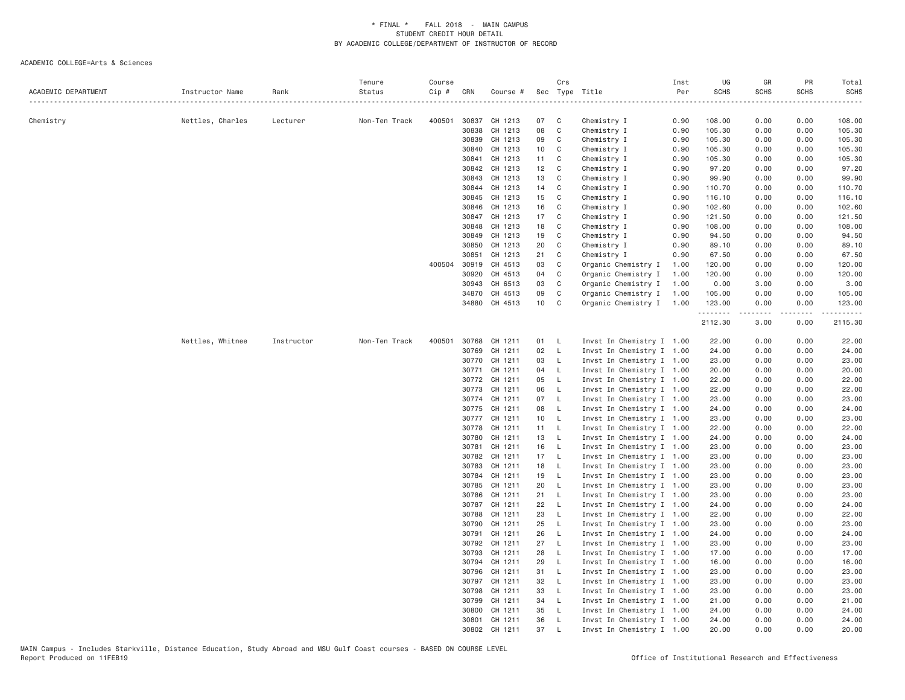|                     |                  |            | Tenure        | Course |              |               |                 | Crs                        |                           | Inst | UG          | GR                                                                                                                                                   | PR          | Total            |
|---------------------|------------------|------------|---------------|--------|--------------|---------------|-----------------|----------------------------|---------------------------|------|-------------|------------------------------------------------------------------------------------------------------------------------------------------------------|-------------|------------------|
| ACADEMIC DEPARTMENT | Instructor Name  | Rank       | Status        | Cip #  | CRN          | Course #      |                 |                            | Sec Type Title            | Per  | <b>SCHS</b> | <b>SCHS</b>                                                                                                                                          | <b>SCHS</b> | <b>SCHS</b><br>. |
| Chemistry           | Nettles, Charles | Lecturer   | Non-Ten Track | 400501 |              | 30837 CH 1213 | 07              | $\mathbb{C}$               | Chemistry I               | 0.90 | 108.00      | 0.00                                                                                                                                                 | 0.00        | 108.00           |
|                     |                  |            |               |        | 30838        | CH 1213       | 08              | $\mathbf{C}$               | Chemistry I               | 0.90 | 105.30      | 0.00                                                                                                                                                 | 0.00        | 105.30           |
|                     |                  |            |               |        | 30839        | CH 1213       | 09              | $\mathbb{C}$               | Chemistry I               | 0.90 | 105.30      | 0.00                                                                                                                                                 | 0.00        | 105.30           |
|                     |                  |            |               |        | 30840        | CH 1213       | 10 <sup>1</sup> | $\overline{C}$             | Chemistry I               | 0.90 | 105.30      | 0.00                                                                                                                                                 | 0.00        | 105.30           |
|                     |                  |            |               |        | 30841        | CH 1213       | 11              | C                          | Chemistry I               | 0.90 | 105.30      | 0.00                                                                                                                                                 | 0.00        | 105.30           |
|                     |                  |            |               |        | 30842        | CH 1213       | 12 C            |                            | Chemistry I               | 0.90 | 97.20       | 0.00                                                                                                                                                 | 0.00        | 97.20            |
|                     |                  |            |               |        | 30843        | CH 1213       | 13              | $\mathbb{C}$               | Chemistry I               | 0.90 | 99.90       | 0.00                                                                                                                                                 | 0.00        | 99.90            |
|                     |                  |            |               |        | 30844        | CH 1213       | 14              | $\mathbf{C}$               | Chemistry I               | 0.90 | 110.70      | 0.00                                                                                                                                                 | 0.00        | 110.70           |
|                     |                  |            |               |        | 30845        | CH 1213       | 15              | $\mathbf{C}$               | Chemistry I               | 0.90 | 116.10      | 0.00                                                                                                                                                 | 0.00        | 116.10           |
|                     |                  |            |               |        | 30846        | CH 1213       | 16              | $\mathbf{C}$               | Chemistry I               | 0.90 | 102.60      | 0.00                                                                                                                                                 | 0.00        | 102.60           |
|                     |                  |            |               |        | 30847        | CH 1213       | 17              | $\overline{\phantom{a}}$ C | Chemistry I               | 0.90 | 121.50      | 0.00                                                                                                                                                 | 0.00        | 121.50           |
|                     |                  |            |               |        | 30848        | CH 1213       | 18              | $\mathbf{C}$               | Chemistry I               | 0.90 | 108.00      | 0.00                                                                                                                                                 | 0.00        | 108.00           |
|                     |                  |            |               |        | 30849        | CH 1213       | 19              | $\mathbf{C}$               | Chemistry I               | 0.90 | 94.50       | 0.00                                                                                                                                                 | 0.00        | 94.50            |
|                     |                  |            |               |        | 30850        | CH 1213       | 20              | $\mathbf{C}$               | Chemistry I               | 0.90 | 89.10       | 0.00                                                                                                                                                 | 0.00        | 89.10            |
|                     |                  |            |               |        | 30851        | CH 1213       | 21              | C                          | Chemistry I               | 0.90 | 67.50       | 0.00                                                                                                                                                 | 0.00        | 67.50            |
|                     |                  |            |               |        | 400504 30919 | CH 4513       | 03              | C                          | Organic Chemistry I       | 1.00 | 120.00      | 0.00                                                                                                                                                 | 0.00        | 120.00           |
|                     |                  |            |               |        | 30920        | CH 4513       | 04              | $\mathbf{C}$               | Organic Chemistry I       | 1.00 | 120.00      | 0.00                                                                                                                                                 | 0.00        | 120.00           |
|                     |                  |            |               |        | 30943        | CH 6513       | 03              | C                          | Organic Chemistry I       | 1.00 | 0.00        | 3.00                                                                                                                                                 | 0.00        | 3.00             |
|                     |                  |            |               |        | 34870        | CH 4513       | 09              | $\mathbf C$                | Organic Chemistry I       | 1.00 | 105.00      | 0.00                                                                                                                                                 | 0.00        | 105.00           |
|                     |                  |            |               |        |              | 34880 CH 4513 | 10              | $\mathbf{C}$               | Organic Chemistry I       | 1.00 | 123.00      | 0.00                                                                                                                                                 | 0.00        | 123.00           |
|                     |                  |            |               |        |              |               |                 |                            |                           |      | .           | $\frac{1}{2} \left( \frac{1}{2} \right) \left( \frac{1}{2} \right) \left( \frac{1}{2} \right) \left( \frac{1}{2} \right) \left( \frac{1}{2} \right)$ | .           | .                |
|                     |                  |            |               |        |              |               |                 |                            |                           |      | 2112.30     | 3.00                                                                                                                                                 | 0.00        | 2115.30          |
|                     | Nettles, Whitnee | Instructor | Non-Ten Track | 400501 | 30768        | CH 1211       | 01              | <b>L</b>                   | Invst In Chemistry I 1.00 |      | 22.00       | 0.00                                                                                                                                                 | 0.00        | 22.00            |
|                     |                  |            |               |        | 30769        | CH 1211       | 02              | $\mathsf{L}$               | Invst In Chemistry I 1.00 |      | 24.00       | 0.00                                                                                                                                                 | 0.00        | 24.00            |
|                     |                  |            |               |        |              | 30770 CH 1211 | 03              | $\mathsf{L}$               | Invst In Chemistry I 1.00 |      | 23.00       | 0.00                                                                                                                                                 | 0.00        | 23.00            |
|                     |                  |            |               |        | 30771        | CH 1211       | 04              | $\mathsf{L}$               | Invst In Chemistry I 1.00 |      | 20.00       | 0.00                                                                                                                                                 | 0.00        | 20.00            |
|                     |                  |            |               |        |              | 30772 CH 1211 | 05              | $\mathsf{L}$               | Invst In Chemistry I 1.00 |      | 22.00       | 0.00                                                                                                                                                 | 0.00        | 22.00            |
|                     |                  |            |               |        | 30773        | CH 1211       | 06              | $\mathsf{L}$               | Invst In Chemistry I 1.00 |      | 22.00       | 0.00                                                                                                                                                 | 0.00        | 22.00            |
|                     |                  |            |               |        |              | 30774 CH 1211 | 07 L            |                            | Invst In Chemistry I 1.00 |      | 23.00       | 0.00                                                                                                                                                 | 0.00        | 23.00            |
|                     |                  |            |               |        |              | 30775 CH 1211 | 08              | $\mathsf{L}$               | Invst In Chemistry I 1.00 |      | 24.00       | 0.00                                                                                                                                                 | 0.00        | 24.00            |
|                     |                  |            |               |        | 30777        | CH 1211       | 10 L            |                            | Invst In Chemistry I 1.00 |      | 23.00       | 0.00                                                                                                                                                 | 0.00        | 23.00            |
|                     |                  |            |               |        | 30778        | CH 1211       | 11 L            |                            | Invst In Chemistry I 1.00 |      | 22.00       | 0.00                                                                                                                                                 | 0.00        | 22.00            |
|                     |                  |            |               |        | 30780        | CH 1211       | 13 L            |                            | Invst In Chemistry I 1.00 |      | 24.00       | 0.00                                                                                                                                                 | 0.00        | 24.00            |
|                     |                  |            |               |        | 30781        | CH 1211       | 16              | $\mathsf{L}$               | Invst In Chemistry I 1.00 |      | 23.00       | 0.00                                                                                                                                                 | 0.00        | 23.00            |
|                     |                  |            |               |        | 30782        | CH 1211       | 17 L            |                            | Invst In Chemistry I 1.00 |      | 23.00       | 0.00                                                                                                                                                 | 0.00        | 23.00            |
|                     |                  |            |               |        | 30783        | CH 1211       | 18 L            |                            | Invst In Chemistry I 1.00 |      | 23.00       | 0.00                                                                                                                                                 | 0.00        | 23.00            |
|                     |                  |            |               |        | 30784        | CH 1211       | 19              | $\mathsf{L}$               | Invst In Chemistry I 1.00 |      | 23.00       | 0.00                                                                                                                                                 | 0.00        | 23.00            |
|                     |                  |            |               |        | 30785        | CH 1211       | 20              | $\mathsf{L}$               | Invst In Chemistry I 1.00 |      | 23.00       | 0.00                                                                                                                                                 | 0.00        | 23.00            |
|                     |                  |            |               |        | 30786        | CH 1211       | 21              | $\mathsf{L}$               | Invst In Chemistry I 1.00 |      | 23.00       | 0.00                                                                                                                                                 | 0.00        | 23.00            |
|                     |                  |            |               |        |              | 30787 CH 1211 | 22              | $\mathsf{L}$               | Invst In Chemistry I 1.00 |      | 24.00       | 0.00                                                                                                                                                 | 0.00        | 24.00            |
|                     |                  |            |               |        | 30788        | CH 1211       | 23              | $\mathsf{L}$               | Invst In Chemistry I 1.00 |      | 22.00       | 0.00                                                                                                                                                 | 0.00        | 22.00            |
|                     |                  |            |               |        | 30790        | CH 1211       | 25              | $\mathsf{L}$               | Invst In Chemistry I 1.00 |      | 23.00       | 0.00                                                                                                                                                 | 0.00        | 23.00            |
|                     |                  |            |               |        | 30791        | CH 1211       | 26              | $\mathsf{L}$               | Invst In Chemistry I 1.00 |      | 24.00       | 0.00                                                                                                                                                 | 0.00        | 24.00            |
|                     |                  |            |               |        | 30792        | CH 1211       | 27              | $\mathsf{L}$               | Invst In Chemistry I 1.00 |      | 23.00       | 0.00                                                                                                                                                 | 0.00        | 23.00            |
|                     |                  |            |               |        | 30793        | CH 1211       | 28              | $\mathsf{L}$               | Invst In Chemistry I 1.00 |      | 17.00       | 0.00                                                                                                                                                 | 0.00        | 17.00            |
|                     |                  |            |               |        | 30794        | CH 1211       | 29              | $\mathsf{L}$               | Invst In Chemistry I 1.00 |      | 16.00       | 0.00                                                                                                                                                 | 0.00        | 16.00            |
|                     |                  |            |               |        | 30796        | CH 1211       | 31 L            |                            | Invst In Chemistry I 1.00 |      | 23.00       | 0.00                                                                                                                                                 | 0.00        | 23.00            |
|                     |                  |            |               |        | 30797        | CH 1211       | 32              | $\mathsf{L}$               | Invst In Chemistry I 1.00 |      | 23.00       | 0.00                                                                                                                                                 | 0.00        | 23.00            |
|                     |                  |            |               |        | 30798        | CH 1211       | 33              | $\mathsf{L}$               | Invst In Chemistry I 1.00 |      | 23.00       | 0.00                                                                                                                                                 | 0.00        | 23.00            |
|                     |                  |            |               |        | 30799        | CH 1211       | 34 L            |                            | Invst In Chemistry I 1.00 |      | 21.00       | 0.00                                                                                                                                                 | 0.00        | 21.00            |
|                     |                  |            |               |        | 30800        | CH 1211       | 35              | - L                        | Invst In Chemistry I 1.00 |      | 24.00       | 0.00                                                                                                                                                 | 0.00        | 24.00            |
|                     |                  |            |               |        |              | 30801 CH 1211 | 36              | $\mathsf{L}$               | Invst In Chemistry I 1.00 |      | 24.00       | 0.00                                                                                                                                                 | 0.00        | 24.00            |
|                     |                  |            |               |        | 30802        | CH 1211       | 37              | L                          | Invst In Chemistry I 1.00 |      | 20.00       | 0.00                                                                                                                                                 | 0.00        | 20,00            |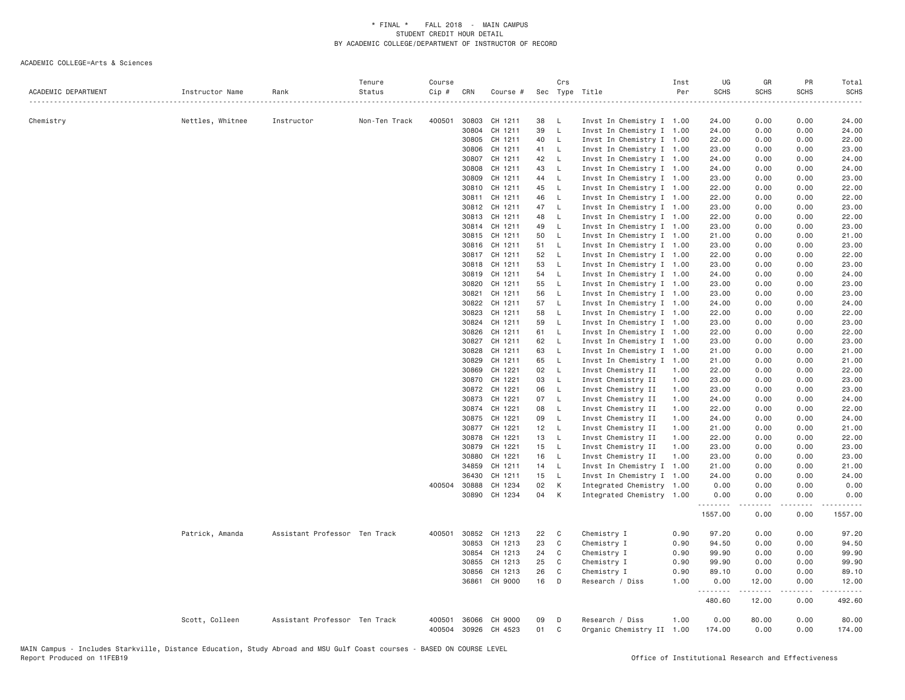| ACADEMIC DEPARTMENT | Instructor Name  | Rank                          | Tenure<br>Status | Course<br>Cip # | CRN            | Course #                        |          | Crs                 | Sec Type Title                                         | Inst<br>Per  | UG<br><b>SCHS</b> | GR<br><b>SCHS</b> | PR<br>SCHS   | Total<br><b>SCHS</b> |
|---------------------|------------------|-------------------------------|------------------|-----------------|----------------|---------------------------------|----------|---------------------|--------------------------------------------------------|--------------|-------------------|-------------------|--------------|----------------------|
|                     |                  |                               |                  |                 |                |                                 |          |                     |                                                        |              |                   |                   |              | .                    |
| Chemistry           | Nettles, Whitnee | Instructor                    | Non-Ten Track    | 400501          | 30803          | CH 1211                         | 38       | - L                 | Invst In Chemistry I 1.00                              |              | 24.00             | 0.00              | 0.00         | 24.00                |
|                     |                  |                               |                  |                 | 30804          | CH 1211                         | 39       | $\mathsf{L}$        | Invst In Chemistry I 1.00                              |              | 24.00             | 0.00              | 0.00         | 24.00                |
|                     |                  |                               |                  |                 | 30805          | CH 1211                         | 40       | $\mathsf{L}$        | Invst In Chemistry I 1.00                              |              | 22.00             | 0.00              | 0.00         | 22.00                |
|                     |                  |                               |                  |                 | 30806          | CH 1211                         | 41       | $\mathsf{L}$        | Invst In Chemistry I 1.00                              |              | 23.00             | 0.00              | 0.00         | 23.00                |
|                     |                  |                               |                  |                 | 30807          | CH 1211                         | 42       | $-L$                | Invst In Chemistry I 1.00                              |              | 24.00             | 0.00              | 0.00         | 24.00                |
|                     |                  |                               |                  |                 | 30808<br>30809 | CH 1211<br>CH 1211              | 43<br>44 | - L<br>$\mathsf{L}$ | Invst In Chemistry I 1.00<br>Invst In Chemistry I 1.00 |              | 24.00<br>23.00    | 0.00<br>0.00      | 0.00<br>0.00 | 24.00<br>23.00       |
|                     |                  |                               |                  |                 | 30810          | CH 1211                         | 45       | - L                 | Invst In Chemistry I 1.00                              |              | 22.00             | 0.00              | 0.00         | 22.00                |
|                     |                  |                               |                  |                 |                | 30811 CH 1211                   | 46       | $\mathsf{L}$        | Invst In Chemistry I 1.00                              |              | 22.00             | 0.00              | 0.00         | 22.00                |
|                     |                  |                               |                  |                 |                | 30812 CH 1211                   | 47       | $\mathsf{L}$        | Invst In Chemistry I 1.00                              |              | 23.00             | 0.00              | 0.00         | 23.00                |
|                     |                  |                               |                  |                 | 30813          | CH 1211                         | 48       | $\mathsf{L}$        | Invst In Chemistry I 1.00                              |              | 22.00             | 0.00              | 0.00         | 22.00                |
|                     |                  |                               |                  |                 | 30814          | CH 1211                         | 49       | - L                 | Invst In Chemistry I 1.00                              |              | 23.00             | 0.00              | 0.00         | 23.00                |
|                     |                  |                               |                  |                 |                | 30815 CH 1211                   | 50       | $\mathsf{L}$        | Invst In Chemistry I 1.00                              |              | 21.00             | 0.00              | 0.00         | 21.00                |
|                     |                  |                               |                  |                 | 30816          | CH 1211                         | 51       | $\mathsf{L}$        | Invst In Chemistry I 1.00                              |              | 23.00             | 0.00              | 0.00         | 23.00                |
|                     |                  |                               |                  |                 | 30817          | CH 1211                         | 52       | - L                 | Invst In Chemistry I 1.00                              |              | 22.00             | 0.00              | 0.00         | 22.00                |
|                     |                  |                               |                  |                 |                | 30818 CH 1211                   | 53       | - L                 | Invst In Chemistry I 1.00                              |              | 23.00             | 0.00              | 0.00         | 23.00                |
|                     |                  |                               |                  |                 | 30819          | CH 1211                         | 54       | $\mathsf{L}$        | Invst In Chemistry I 1.00                              |              | 24.00             | 0.00              | 0.00         | 24.00                |
|                     |                  |                               |                  |                 | 30820          | CH 1211                         | 55       | - L                 | Invst In Chemistry I 1.00                              |              | 23.00             | 0.00              | 0.00         | 23.00                |
|                     |                  |                               |                  |                 | 30821          | CH 1211                         | 56       | - L                 | Invst In Chemistry I 1.00                              |              | 23.00             | 0.00              | 0.00         | 23.00                |
|                     |                  |                               |                  |                 | 30822          | CH 1211                         | 57       | $\mathsf{L}$        | Invst In Chemistry I 1.00                              |              | 24.00             | 0.00              | 0.00         | 24.00                |
|                     |                  |                               |                  |                 | 30823          | CH 1211                         | 58       | $\mathsf{L}$        | Invst In Chemistry I 1.00                              |              | 22.00             | 0.00              | 0.00         | 22.00                |
|                     |                  |                               |                  |                 | 30824          | CH 1211                         | 59       | - L                 | Invst In Chemistry I 1.00                              |              | 23.00             | 0.00              | 0.00         | 23.00                |
|                     |                  |                               |                  |                 | 30826          | CH 1211                         | 61       | - L                 | Invst In Chemistry I 1.00                              |              | 22.00             | 0.00              | 0.00         | 22.00                |
|                     |                  |                               |                  |                 | 30827          | CH 1211                         | 62       | $\mathsf{L}$        | Invst In Chemistry I 1.00                              |              | 23.00             | 0.00              | 0.00         | 23.00                |
|                     |                  |                               |                  |                 | 30828          | CH 1211                         | 63       | $\mathsf{L}$        | Invst In Chemistry I 1.00                              |              | 21.00             | 0.00              | 0.00         | 21.00                |
|                     |                  |                               |                  |                 | 30829          | CH 1211                         | 65       | $\mathsf{L}$        | Invst In Chemistry I 1.00                              |              | 21.00             | 0.00              | 0.00         | 21.00                |
|                     |                  |                               |                  |                 | 30869          | CH 1221                         | 02       | $\mathsf{L}$        | Invst Chemistry II                                     | 1.00         | 22.00             | 0.00              | 0.00         | 22.00                |
|                     |                  |                               |                  |                 | 30870          | CH 1221                         | 03       | $-L$                | Invst Chemistry II                                     | 1.00         | 23.00             | 0.00              | 0.00         | 23.00                |
|                     |                  |                               |                  |                 | 30872<br>30873 | CH 1221<br>CH 1221              | 06<br>07 | - L<br>- L          | Invst Chemistry II<br>Invst Chemistry II               | 1.00<br>1.00 | 23.00<br>24.00    | 0.00<br>0.00      | 0.00<br>0.00 | 23.00<br>24.00       |
|                     |                  |                               |                  |                 | 30874          | CH 1221                         | 08       | $-L$                | Invst Chemistry II                                     | 1.00         | 22.00             | 0.00              | 0.00         | 22.00                |
|                     |                  |                               |                  |                 | 30875          | CH 1221                         | 09       | $\mathsf{L}$        | Invst Chemistry II                                     | 1.00         | 24.00             | 0.00              | 0.00         | 24.00                |
|                     |                  |                               |                  |                 |                | 30877 CH 1221                   | 12       | $-L$                | Invst Chemistry II                                     | 1.00         | 21.00             | 0.00              | 0.00         | 21.00                |
|                     |                  |                               |                  |                 | 30878          | CH 1221                         | 13       | $\mathsf{L}$        | Invst Chemistry II                                     | 1.00         | 22.00             | 0.00              | 0.00         | 22.00                |
|                     |                  |                               |                  |                 | 30879          | CH 1221                         | 15       | $-L$                | Invst Chemistry II                                     | 1.00         | 23.00             | 0.00              | 0.00         | 23.00                |
|                     |                  |                               |                  |                 | 30880          | CH 1221                         | 16       | - L                 | Invst Chemistry II                                     | 1.00         | 23.00             | 0.00              | 0.00         | 23.00                |
|                     |                  |                               |                  |                 | 34859          | CH 1211                         | 14       | - L                 | Invst In Chemistry I 1.00                              |              | 21.00             | 0.00              | 0.00         | 21.00                |
|                     |                  |                               |                  |                 | 36430          | CH 1211                         | 15       | $-L$                | Invst In Chemistry I 1.00                              |              | 24.00             | 0.00              | 0.00         | 24.00                |
|                     |                  |                               |                  |                 | 400504 30888   | CH 1234                         | 02       | K                   | Integrated Chemistry 1.00                              |              | 0.00              | 0.00              | 0.00         | 0.00                 |
|                     |                  |                               |                  |                 |                | 30890 CH 1234                   | 04       | K                   | Integrated Chemistry 1.00                              |              | 0.00<br>.         | 0.00              | 0.00         | 0.00<br>.            |
|                     |                  |                               |                  |                 |                |                                 |          |                     |                                                        |              | 1557.00           | 0.00              | 0.00         | 1557.00              |
|                     | Patrick, Amanda  | Assistant Professor Ten Track |                  |                 | 400501 30852   | CH 1213                         | 22       | C                   | Chemistry I                                            | 0.90         | 97.20             | 0.00              | 0.00         | 97.20                |
|                     |                  |                               |                  |                 | 30853          | CH 1213                         | 23       | C                   | Chemistry I                                            | 0.90         | 94.50             | 0.00              | 0.00         | 94.50                |
|                     |                  |                               |                  |                 | 30854          | CH 1213                         | 24       | C                   | Chemistry I                                            | 0.90         | 99.90             | 0.00              | 0.00         | 99.90                |
|                     |                  |                               |                  |                 | 30855          | CH 1213                         | 25       | C                   | Chemistry I                                            | 0.90         | 99.90             | 0.00              | 0.00         | 99.90                |
|                     |                  |                               |                  |                 | 30856          | CH 1213                         | 26       | C                   | Chemistry I                                            | 0.90         | 89.10             | 0.00              | 0.00         | 89.10                |
|                     |                  |                               |                  |                 | 36861          | CH 9000                         | 16       | D                   | Research / Diss                                        | 1.00         | 0.00<br>.         | 12.00<br>.        | 0.00<br>.    | 12.00<br>.           |
|                     |                  |                               |                  |                 |                |                                 |          |                     |                                                        |              | 480.60            | 12.00             | 0.00         | 492.60               |
|                     | Scott, Colleen   | Assistant Professor Ten Track |                  | 400501          | 36066          | CH 9000<br>400504 30926 CH 4523 | 09<br>01 | D<br>C              | Research / Diss<br>Organic Chemistry II 1.00           | 1.00         | 0.00<br>174.00    | 80.00<br>0.00     | 0.00<br>0.00 | 80.00<br>174.00      |
|                     |                  |                               |                  |                 |                |                                 |          |                     |                                                        |              |                   |                   |              |                      |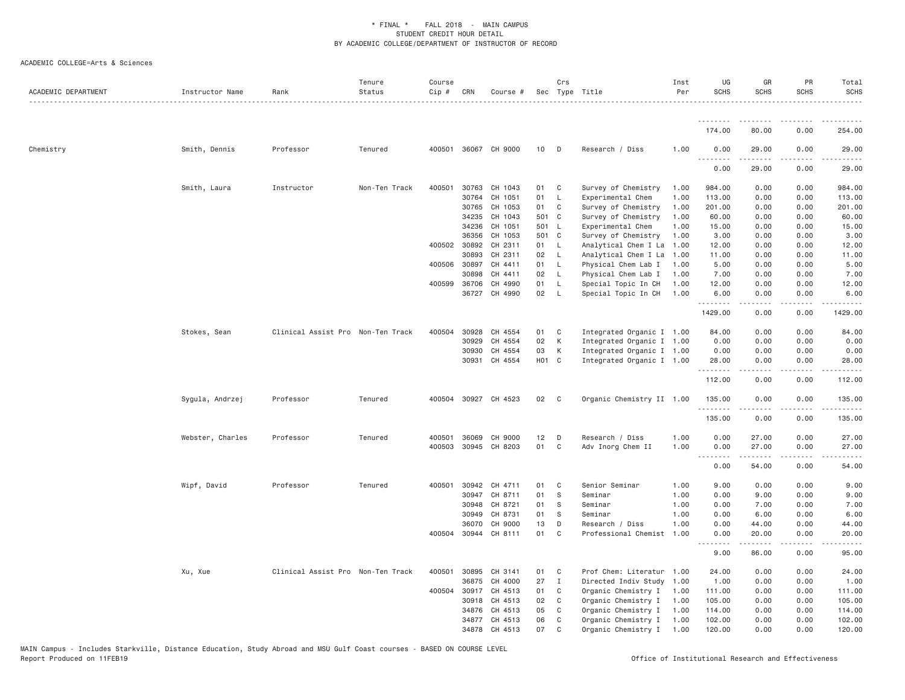| ACADEMIC DEPARTMENT | Instructor Name  | Rank                              | Tenure<br>Status | Course<br>$Cip$ # | CRN            | Course #             |          | Crs            | Sec Type Title                       | Inst<br>Per  | UG<br><b>SCHS</b> | GR<br><b>SCHS</b> | PR<br><b>SCHS</b>                                                                                                                 | Total<br><b>SCHS</b>                                                                                                                                                                                                 |
|---------------------|------------------|-----------------------------------|------------------|-------------------|----------------|----------------------|----------|----------------|--------------------------------------|--------------|-------------------|-------------------|-----------------------------------------------------------------------------------------------------------------------------------|----------------------------------------------------------------------------------------------------------------------------------------------------------------------------------------------------------------------|
|                     |                  |                                   |                  |                   |                |                      |          |                |                                      |              | <u>.</u>          |                   |                                                                                                                                   |                                                                                                                                                                                                                      |
|                     |                  |                                   |                  |                   |                |                      |          |                |                                      |              | 174.00            | 80.00             | 0.00                                                                                                                              | 254.00                                                                                                                                                                                                               |
| Chemistry           | Smith, Dennis    | Professor                         | Tenured          |                   |                | 400501 36067 CH 9000 | 10       | $\mathsf{D}$   | Research / Diss                      | 1.00         | 0.00<br>.         | 29.00             | 0.00                                                                                                                              | 29.00                                                                                                                                                                                                                |
|                     |                  |                                   |                  |                   |                |                      |          |                |                                      |              | 0.00              | 29.00             | 0.00                                                                                                                              | 29.00                                                                                                                                                                                                                |
|                     | Smith, Laura     | Instructor                        | Non-Ten Track    | 400501            | 30763          | CH 1043              | 01       | $\mathbf{C}$   | Survey of Chemistry                  | 1.00         | 984.00            | 0.00              | 0.00                                                                                                                              | 984.00                                                                                                                                                                                                               |
|                     |                  |                                   |                  |                   | 30764          | CH 1051              | 01       | $\mathsf{L}$   | Experimental Chem                    | 1.00         | 113.00            | 0.00              | 0.00                                                                                                                              | 113.00                                                                                                                                                                                                               |
|                     |                  |                                   |                  |                   | 30765          | CH 1053              | 01       | $\mathbf{C}$   | Survey of Chemistry                  | 1.00         | 201.00            | 0.00              | 0.00                                                                                                                              | 201.00                                                                                                                                                                                                               |
|                     |                  |                                   |                  |                   | 34235          | CH 1043              |          | 501 C          | Survey of Chemistry                  | 1.00         | 60.00             | 0.00              | 0.00                                                                                                                              | 60.00                                                                                                                                                                                                                |
|                     |                  |                                   |                  |                   | 34236          | CH 1051              |          | 501 L          | Experimental Chem                    | 1.00         | 15.00             | 0.00              | 0.00                                                                                                                              | 15.00                                                                                                                                                                                                                |
|                     |                  |                                   |                  |                   | 36356          | CH 1053              |          | 501 C          | Survey of Chemistry                  | 1.00         | 3.00              | 0.00              | 0.00                                                                                                                              | 3.00                                                                                                                                                                                                                 |
|                     |                  |                                   |                  |                   | 400502 30892   | CH 2311              |          | 01 L           | Analytical Chem I La                 | 1.00         | 12.00             | 0.00              | 0.00                                                                                                                              | 12.00                                                                                                                                                                                                                |
|                     |                  |                                   |                  |                   | 30893          | CH 2311              | 02       | - L            | Analytical Chem I La                 | 1.00         | 11.00             | 0.00              | 0.00                                                                                                                              | 11.00                                                                                                                                                                                                                |
|                     |                  |                                   |                  |                   | 400506 30897   | CH 4411              | 01 L     |                | Physical Chem Lab I                  | 1.00         | 5.00              | 0.00              | 0.00                                                                                                                              | 5.00                                                                                                                                                                                                                 |
|                     |                  |                                   |                  |                   | 30898          | CH 4411              | 02       | $\mathsf{L}$   | Physical Chem Lab I                  | 1.00         | 7.00              | 0.00              | 0.00                                                                                                                              | 7.00                                                                                                                                                                                                                 |
|                     |                  |                                   |                  | 400599            | 36706          | CH 4990              | 01       | - L            | Special Topic In CH                  | 1.00         | 12.00             | 0.00              | 0.00                                                                                                                              | 12.00                                                                                                                                                                                                                |
|                     |                  |                                   |                  |                   |                | 36727 CH 4990        | 02       | $\mathsf{L}$   | Special Topic In CH                  | 1.00         | 6.00<br>.         | 0.00              | 0.00                                                                                                                              | 6.00                                                                                                                                                                                                                 |
|                     |                  |                                   |                  |                   |                |                      |          |                |                                      |              | 1429.00           | 0.00              | 0.00                                                                                                                              | 1429.00                                                                                                                                                                                                              |
|                     | Stokes, Sean     | Clinical Assist Pro Non-Ten Track |                  | 400504            | 30928          | CH 4554              | 01       | $\mathbf{C}$   | Integrated Organic I 1.00            |              | 84.00             | 0.00              | 0.00                                                                                                                              | 84.00                                                                                                                                                                                                                |
|                     |                  |                                   |                  |                   | 30929          | CH 4554              | 02       | K              | Integrated Organic I 1.00            |              | 0.00              | 0.00              | 0.00                                                                                                                              | 0.00                                                                                                                                                                                                                 |
|                     |                  |                                   |                  |                   | 30930          | CH 4554              | 03       | K              | Integrated Organic I 1.00            |              | 0.00              | 0.00              | 0.00                                                                                                                              | 0.00                                                                                                                                                                                                                 |
|                     |                  |                                   |                  |                   | 30931          | CH 4554              |          | HO1 C          | Integrated Organic I 1.00            |              | 28.00<br>.        | 0.00              | 0.00                                                                                                                              | 28.00                                                                                                                                                                                                                |
|                     |                  |                                   |                  |                   |                |                      |          |                |                                      |              | 112.00            | 0.00              | 0.00                                                                                                                              | 112.00                                                                                                                                                                                                               |
|                     | Sygula, Andrzej  | Professor                         | Tenured          |                   |                | 400504 30927 CH 4523 | 02       | $\mathbf{C}$   | Organic Chemistry II 1.00            |              | 135.00            | 0.00              | 0.00                                                                                                                              | 135.00                                                                                                                                                                                                               |
|                     |                  |                                   |                  |                   |                |                      |          |                |                                      |              | .<br>135.00       | 0.00              | $\frac{1}{2} \left( \frac{1}{2} \right) \left( \frac{1}{2} \right) \left( \frac{1}{2} \right) \left( \frac{1}{2} \right)$<br>0.00 | $\frac{1}{2} \left( \frac{1}{2} \right) \left( \frac{1}{2} \right) \left( \frac{1}{2} \right) \left( \frac{1}{2} \right) \left( \frac{1}{2} \right) \left( \frac{1}{2} \right) \left( \frac{1}{2} \right)$<br>135.00 |
|                     |                  |                                   |                  |                   |                |                      |          |                |                                      |              |                   |                   |                                                                                                                                   |                                                                                                                                                                                                                      |
|                     | Webster, Charles | Professor                         | Tenured          | 400501<br>400503  | 36069<br>30945 | CH 9000<br>CH 8203   | 12<br>01 | D<br>C         | Research / Diss<br>Adv Inorg Chem II | 1.00<br>1.00 | 0.00<br>0.00      | 27.00<br>27.00    | 0.00<br>0.00                                                                                                                      | 27.00<br>27.00                                                                                                                                                                                                       |
|                     |                  |                                   |                  |                   |                |                      |          |                |                                      |              | .                 |                   |                                                                                                                                   |                                                                                                                                                                                                                      |
|                     |                  |                                   |                  |                   |                |                      |          |                |                                      |              | 0.00              | 54.00             | 0.00                                                                                                                              | 54.00                                                                                                                                                                                                                |
|                     | Wipf, David      | Professor                         | Tenured          | 400501            | 30942          | CH 4711              | 01       | $\mathbf{C}$   | Senior Seminar                       | 1.00         | 9.00              | 0.00              | 0.00                                                                                                                              | 9.00                                                                                                                                                                                                                 |
|                     |                  |                                   |                  |                   | 30947          | CH 8711              | 01       | S.             | Seminar                              | 1.00         | 0.00              | 9.00              | 0.00                                                                                                                              | 9.00                                                                                                                                                                                                                 |
|                     |                  |                                   |                  |                   | 30948          | CH 8721              | 01       | S.             | Seminar                              | 1.00         | 0.00              | 7.00              | 0.00                                                                                                                              | 7.00                                                                                                                                                                                                                 |
|                     |                  |                                   |                  |                   | 30949          | CH 8731              | 01       | - S            | Seminar                              | 1.00         | 0.00              | 6.00              | 0.00                                                                                                                              | 6.00                                                                                                                                                                                                                 |
|                     |                  |                                   |                  |                   | 36070          | CH 9000              | 13       | D              | Research / Diss                      | 1.00         | 0.00              | 44.00             | 0.00                                                                                                                              | 44.00                                                                                                                                                                                                                |
|                     |                  |                                   |                  |                   |                | 400504 30944 CH 8111 | 01       | C <sub>1</sub> | Professional Chemist                 | 1,00         | 0.00<br>.         | 20.00             | 0.00<br>$\sim$ $\sim$ $\sim$ $\sim$                                                                                               | 20.00                                                                                                                                                                                                                |
|                     |                  |                                   |                  |                   |                |                      |          |                |                                      |              | 9.00              | 86.00             | 0.00                                                                                                                              | 95.00                                                                                                                                                                                                                |
|                     | Xu, Xue          | Clinical Assist Pro Non-Ten Track |                  | 400501            | 30895          | CH 3141              |          | 01 C           | Prof Chem: Literatur 1.00            |              | 24.00             | 0.00              | 0.00                                                                                                                              | 24.00                                                                                                                                                                                                                |
|                     |                  |                                   |                  |                   | 36875          | CH 4000              | 27       | $\mathbf{I}$   | Directed Indiv Study 1.00            |              | 1.00              | 0.00              | 0.00                                                                                                                              | 1.00                                                                                                                                                                                                                 |
|                     |                  |                                   |                  | 400504            | 30917          | CH 4513              | 01       | C              | Organic Chemistry I                  | 1.00         | 111.00            | 0.00              | 0.00                                                                                                                              | 111.00                                                                                                                                                                                                               |
|                     |                  |                                   |                  |                   | 30918          | CH 4513              | 02       | C              | Organic Chemistry I 1.00             |              | 105.00            | 0.00              | 0.00                                                                                                                              | 105.00                                                                                                                                                                                                               |
|                     |                  |                                   |                  |                   | 34876          | CH 4513              | 05       | C <sub>1</sub> | Organic Chemistry I                  | 1.00         | 114.00            | 0.00              | 0.00                                                                                                                              | 114.00                                                                                                                                                                                                               |
|                     |                  |                                   |                  |                   | 34877          | CH 4513              | 06       | C              | Organic Chemistry I                  | 1.00         | 102.00            | 0.00              | 0.00                                                                                                                              | 102.00                                                                                                                                                                                                               |
|                     |                  |                                   |                  |                   | 34878          | CH 4513              | 07       | C              | Organic Chemistry I 1.00             |              | 120.00            | 0.00              | 0.00                                                                                                                              | 120.00                                                                                                                                                                                                               |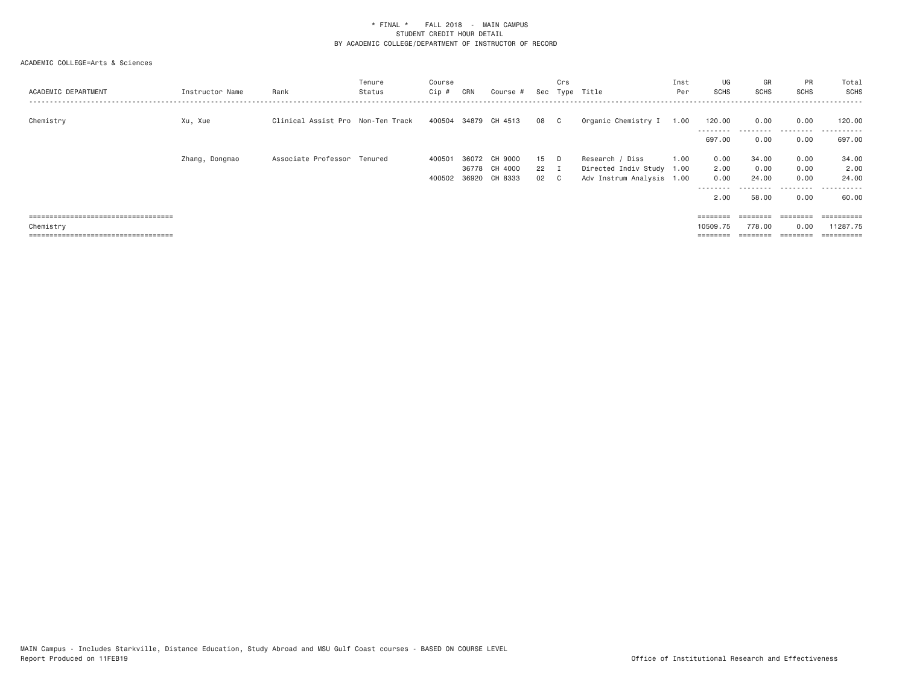| ACADEMIC DEPARTMENT                   | Instructor Name | Rank                              | Tenure<br>Status | Course<br>Cip # | CRN | Course #                       |                | Crs            | Sec Type Title                                         | Inst<br>Per | UG<br>SCHS       | GR<br>SCHS    | PR<br><b>SCHS</b> | Total<br><b>SCHS</b> |
|---------------------------------------|-----------------|-----------------------------------|------------------|-----------------|-----|--------------------------------|----------------|----------------|--------------------------------------------------------|-------------|------------------|---------------|-------------------|----------------------|
| Chemistry                             | Xu, Xue         | Clinical Assist Pro Non-Ten Track |                  |                 |     | 400504 34879 CH 4513           | 08             | $\mathbb{C}$   | Organic Chemistry I                                    | 1.00        | 120,00           | 0.00          | 0.00              | 120.00               |
|                                       |                 |                                   |                  |                 |     |                                |                |                |                                                        |             | 697.00           | 0.00          | --------<br>0.00  | .<br>697.00          |
|                                       | Zhang, Dongmao  | Associate Professor Tenured       |                  | 400501          |     | 36072 CH 9000                  | 15             |                | Research / Diss                                        | 1.00        | 0.00             | 34.00         | 0.00              | 34.00                |
|                                       |                 |                                   |                  | 400502          |     | 36778 CH 4000<br>36920 CH 8333 | $22 \tI$<br>02 | $\overline{c}$ | Directed Indiv Study 1.00<br>Adv Instrum Analysis 1.00 |             | 2.00<br>0.00     | 0.00<br>24.00 | 0.00<br>0.00      | 2.00<br>24,00        |
|                                       |                 |                                   |                  |                 |     |                                |                |                |                                                        |             | --------<br>2.00 | 58.00         | ---------<br>0.00 | .<br>60.00           |
| ===================================== |                 |                                   |                  |                 |     |                                |                |                |                                                        |             | ========         | ========      | ========          | ==========           |
| Chemistry                             |                 |                                   |                  |                 |     |                                |                |                |                                                        |             | 10509.75         | 778.00        | 0.00              | 11287.75             |
| ====================================  |                 |                                   |                  |                 |     |                                |                |                |                                                        |             |                  |               |                   | :========:           |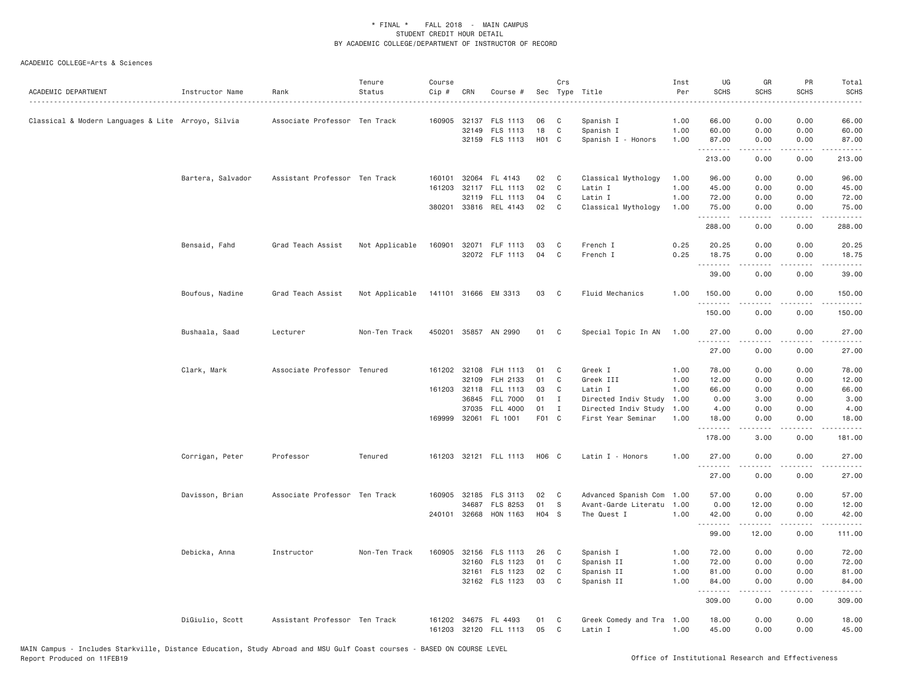| ACADEMIC DEPARTMENT                                | Instructor Name   | Rank                          | Tenure<br>Status | Course<br>Cip # | CRN                   | Course #                               |                    | Crs               | Sec Type Title                               | Inst<br>Per  | UG<br><b>SCHS</b> | GR<br><b>SCHS</b>                                                                                                                                                                       | PR<br><b>SCHS</b>                   | Total<br><b>SCHS</b><br>$\frac{1}{2}$ |
|----------------------------------------------------|-------------------|-------------------------------|------------------|-----------------|-----------------------|----------------------------------------|--------------------|-------------------|----------------------------------------------|--------------|-------------------|-----------------------------------------------------------------------------------------------------------------------------------------------------------------------------------------|-------------------------------------|---------------------------------------|
| Classical & Modern Languages & Lite Arroyo, Silvia |                   | Associate Professor Ten Track |                  |                 | 32149                 | 160905 32137 FLS 1113<br>FLS 1113      | 06<br>18           | C<br>C            | Spanish I<br>Spanish I                       | 1.00<br>1.00 | 66.00<br>60.00    | 0.00<br>0.00                                                                                                                                                                            | 0.00<br>0.00                        | 66.00<br>60.00                        |
|                                                    |                   |                               |                  |                 |                       | 32159 FLS 1113                         | H <sub>0</sub> 1 C |                   | Spanish I - Honors                           | 1.00         | 87.00<br>.        | 0.00<br>$\frac{1}{2} \left( \frac{1}{2} \right) \left( \frac{1}{2} \right) \left( \frac{1}{2} \right) \left( \frac{1}{2} \right) \left( \frac{1}{2} \right) \left( \frac{1}{2} \right)$ | 0.00<br>.                           | 87.00<br>.                            |
|                                                    |                   |                               |                  |                 |                       |                                        |                    |                   |                                              |              | 213.00            | 0.00                                                                                                                                                                                    | 0.00                                | 213.00                                |
|                                                    | Bartera, Salvador | Assistant Professor Ten Track |                  | 161203          |                       | 160101 32064 FL 4143<br>32117 FLL 1113 | 02<br>02           | C<br>C            | Classical Mythology<br>Latin I               | 1.00<br>1.00 | 96.00<br>45.00    | 0.00<br>0.00                                                                                                                                                                            | 0.00<br>0.00                        | 96.00<br>45.00                        |
|                                                    |                   |                               |                  |                 | 32119                 | FLL 1113<br>380201 33816 REL 4143      | 04<br>02           | C<br>$\mathsf{C}$ | Latin I<br>Classical Mythology               | 1.00<br>1.00 | 72.00<br>75.00    | 0.00<br>0.00                                                                                                                                                                            | 0.00<br>0.00                        | 72.00<br>75.00                        |
|                                                    |                   |                               |                  |                 |                       |                                        |                    |                   |                                              |              | .<br>288.00       | .<br>0.00                                                                                                                                                                               | .<br>0.00                           | .<br>288.00                           |
|                                                    | Bensaid, Fahd     | Grad Teach Assist             | Not Applicable   | 160901          |                       | 32071 FLF 1113<br>32072 FLF 1113       | 03<br>04           | C<br>C            | French I<br>French I                         | 0.25<br>0.25 | 20.25<br>18.75    | 0.00<br>0.00                                                                                                                                                                            | 0.00<br>0.00                        | 20.25<br>18.75                        |
|                                                    |                   |                               |                  |                 |                       |                                        |                    |                   |                                              |              | .<br>39.00        | 0.00                                                                                                                                                                                    | 0.00                                | 39.00                                 |
|                                                    | Boufous, Nadine   | Grad Teach Assist             | Not Applicable   |                 |                       | 141101 31666 EM 3313                   | 03                 | C <sub>c</sub>    | Fluid Mechanics                              | 1.00         | 150.00            | 0.00                                                                                                                                                                                    | 0.00                                | 150.00                                |
|                                                    |                   |                               |                  |                 |                       |                                        |                    |                   |                                              |              | .<br>150.00       | 0.00                                                                                                                                                                                    | 0.00                                | 150.00                                |
|                                                    | Bushaala, Saad    | Lecturer                      | Non-Ten Track    |                 |                       | 450201 35857 AN 2990                   | 01                 | C                 | Special Topic In AN                          | 1.00         | 27.00             | 0.00                                                                                                                                                                                    | 0.00                                | 27.00                                 |
|                                                    |                   |                               |                  |                 |                       |                                        |                    |                   |                                              |              | .<br>27.00        | -----<br>0.00                                                                                                                                                                           | $  -$<br>0.00                       | .<br>27.00                            |
|                                                    | Clark, Mark       | Associate Professor Tenured   |                  |                 | 161202 32108          | FLH 1113                               | 01                 | C                 | Greek I                                      | 1.00         | 78.00             | 0.00                                                                                                                                                                                    | 0.00                                | 78.00                                 |
|                                                    |                   |                               |                  |                 | 32109                 | FLH 2133                               | 01                 | C                 | Greek III                                    | 1.00         | 12.00             | 0.00                                                                                                                                                                                    | 0.00                                | 12.00                                 |
|                                                    |                   |                               |                  |                 | 161203 32118<br>36845 | FLL 1113<br><b>FLL 7000</b>            | 03<br>01           | C<br>I            | Latin I                                      | 1.00<br>1.00 | 66.00<br>0.00     | 0.00<br>3.00                                                                                                                                                                            | 0.00<br>0.00                        | 66.00                                 |
|                                                    |                   |                               |                  |                 | 37035                 | FLL 4000                               | 01                 | $\mathbf I$       | Directed Indiv Study<br>Directed Indiv Study | 1.00         | 4.00              | 0.00                                                                                                                                                                                    | 0.00                                | 3.00<br>4.00                          |
|                                                    |                   |                               |                  |                 | 169999 32061          | FL 1001                                | F01 C              |                   | First Year Seminar                           | 1.00         | 18.00             | 0.00                                                                                                                                                                                    | 0.00                                | 18.00                                 |
|                                                    |                   |                               |                  |                 |                       |                                        |                    |                   |                                              |              | .<br>178.00       | .<br>3.00                                                                                                                                                                               | $\sim$ $\sim$ $\sim$ $\sim$<br>0.00 | .<br>181.00                           |
|                                                    | Corrigan, Peter   | Professor                     | Tenured          |                 |                       | 161203 32121 FLL 1113                  | H06 C              |                   | Latin I - Honors                             | 1.00         | 27.00<br>.        | 0.00                                                                                                                                                                                    | 0.00                                | 27.00                                 |
|                                                    |                   |                               |                  |                 |                       |                                        |                    |                   |                                              |              | 27.00             | 0.00                                                                                                                                                                                    | 0.00                                | 27.00                                 |
|                                                    | Davisson, Brian   | Associate Professor Ten Track |                  |                 | 160905 32185          | FLS 3113                               | 02                 | C                 | Advanced Spanish Com                         | 1.00         | 57.00             | 0.00                                                                                                                                                                                    | 0.00                                | 57.00                                 |
|                                                    |                   |                               |                  |                 | 34687                 | FLS 8253                               | 01                 | S                 | Avant-Garde Literatu                         | 1.00         | 0.00              | 12.00                                                                                                                                                                                   | 0.00                                | 12.00                                 |
|                                                    |                   |                               |                  |                 | 240101 32668          | HON 1163                               | $H04$ S            |                   | The Quest I                                  | 1.00         | 42.00<br>.        | 0.00<br>.                                                                                                                                                                               | 0.00<br>.                           | 42.00<br><u>.</u>                     |
|                                                    |                   |                               |                  |                 |                       |                                        |                    |                   |                                              |              | 99.00             | 12.00                                                                                                                                                                                   | 0.00                                | 111.00                                |
|                                                    | Debicka, Anna     | Instructor                    | Non-Ten Track    | 160905          |                       | 32156 FLS 1113                         | 26                 | C                 | Spanish I                                    | 1.00         | 72.00             | 0.00                                                                                                                                                                                    | 0.00                                | 72.00                                 |
|                                                    |                   |                               |                  |                 |                       | 32160 FLS 1123                         | 01                 | C                 | Spanish II                                   | 1.00         | 72.00             | 0.00                                                                                                                                                                                    | 0.00                                | 72.00                                 |
|                                                    |                   |                               |                  |                 |                       | 32161 FLS 1123                         | 02                 | C<br>$\mathsf{C}$ | Spanish II                                   | 1.00         | 81.00             | 0.00                                                                                                                                                                                    | 0.00                                | 81.00                                 |
|                                                    |                   |                               |                  |                 |                       | 32162 FLS 1123                         | 03                 |                   | Spanish II                                   | 1.00         | 84.00<br>.        | 0.00<br>$\frac{1}{2} \left( \frac{1}{2} \right) \left( \frac{1}{2} \right) \left( \frac{1}{2} \right) \left( \frac{1}{2} \right) \left( \frac{1}{2} \right)$                            | 0.00<br>.                           | 84.00<br>.                            |
|                                                    |                   |                               |                  |                 |                       |                                        |                    |                   |                                              |              | 309.00            | 0.00                                                                                                                                                                                    | 0.00                                | 309.00                                |
|                                                    | DiGiulio, Scott   | Assistant Professor Ten Track |                  | 161202          |                       | 34675 FL 4493<br>161203 32120 FLL 1113 | 01<br>05           | C<br>C            | Greek Comedy and Tra<br>Latin I              | 1.00<br>1.00 | 18.00<br>45.00    | 0.00<br>0.00                                                                                                                                                                            | 0.00<br>0.00                        | 18.00<br>45.00                        |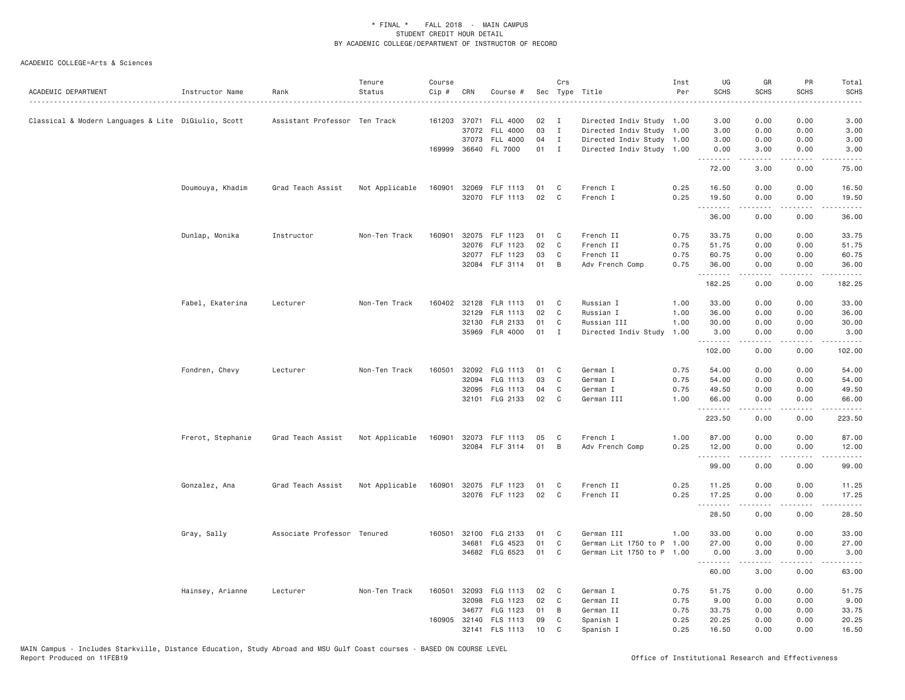| ACADEMIC DEPARTMENT                                 | Instructor Name   | Rank                          | Tenure<br>Status | Course<br>Cip # | CRN          | Course #              |      | Crs          | Sec Type Title            | Inst<br>Per | UG<br><b>SCHS</b> | GR<br><b>SCHS</b>                                                                                                                                            | PR<br><b>SCHS</b>                                                                                                                 | Total<br><b>SCHS</b> |
|-----------------------------------------------------|-------------------|-------------------------------|------------------|-----------------|--------------|-----------------------|------|--------------|---------------------------|-------------|-------------------|--------------------------------------------------------------------------------------------------------------------------------------------------------------|-----------------------------------------------------------------------------------------------------------------------------------|----------------------|
| Classical & Modern Languages & Lite DiGiulio, Scott |                   | Assistant Professor Ten Track |                  |                 |              | 161203 37071 FLL 4000 | 02   | $\mathbf{I}$ | Directed Indiv Study 1.00 |             | 3.00              | 0.00                                                                                                                                                         | 0.00                                                                                                                              | 3.00                 |
|                                                     |                   |                               |                  |                 | 37072        | FLL 4000              | 03   | I            | Directed Indiv Study      | 1.00        | 3.00              | 0.00                                                                                                                                                         | 0.00                                                                                                                              | 3.00                 |
|                                                     |                   |                               |                  |                 | 37073        | <b>FLL 4000</b>       | 04   | $\mathbf{I}$ | Directed Indiv Study 1.00 |             | 3.00              | 0.00                                                                                                                                                         | 0.00                                                                                                                              | 3.00                 |
|                                                     |                   |                               |                  |                 |              | 169999 36640 FL 7000  | 01 I |              | Directed Indiv Study 1.00 |             | 0.00<br>.         | 3.00<br><u>.</u>                                                                                                                                             | 0.00                                                                                                                              | 3.00                 |
|                                                     |                   |                               |                  |                 |              |                       |      |              |                           |             | 72.00             | 3.00                                                                                                                                                         | 0.00                                                                                                                              | 75.00                |
|                                                     | Doumouya, Khadim  | Grad Teach Assist             | Not Applicable   | 160901          |              | 32069 FLF 1113        | 01   | C            | French I                  | 0.25        | 16.50             | 0.00                                                                                                                                                         | 0.00                                                                                                                              | 16.50                |
|                                                     |                   |                               |                  |                 |              | 32070 FLF 1113        | 02   | C            | French I                  | 0.25        | 19.50<br>.        | 0.00                                                                                                                                                         | 0.00<br>.                                                                                                                         | 19.50                |
|                                                     |                   |                               |                  |                 |              |                       |      |              |                           |             | 36.00             | 0.00                                                                                                                                                         | 0.00                                                                                                                              | 36.00                |
|                                                     | Dunlap, Monika    | Instructor                    | Non-Ten Track    | 160901          |              | 32075 FLF 1123        | 01   | C            | French II                 | 0.75        | 33.75             | 0.00                                                                                                                                                         | 0.00                                                                                                                              | 33.75                |
|                                                     |                   |                               |                  |                 | 32076        | FLF 1123              | 02   | C            | French II                 | 0.75        | 51.75             | 0.00                                                                                                                                                         | 0.00                                                                                                                              | 51.75                |
|                                                     |                   |                               |                  |                 |              | 32077 FLF 1123        | 03   | C            | French II                 | 0.75        | 60.75             | 0.00                                                                                                                                                         | 0.00                                                                                                                              | 60.75                |
|                                                     |                   |                               |                  |                 |              | 32084 FLF 3114        | 01   | B            | Adv French Comp           | 0.75        | 36.00<br>.        | 0.00<br>.                                                                                                                                                    | 0.00<br>$\sim$ $\sim$ $\sim$ $\sim$                                                                                               | 36.00<br>.           |
|                                                     |                   |                               |                  |                 |              |                       |      |              |                           |             | 182.25            | 0.00                                                                                                                                                         | 0.00                                                                                                                              | 182.25               |
|                                                     | Fabel, Ekaterina  | Lecturer                      | Non-Ten Track    |                 | 160402 32128 | FLR 1113              | 01   | C            | Russian I                 | 1.00        | 33.00             | 0.00                                                                                                                                                         | 0.00                                                                                                                              | 33.00                |
|                                                     |                   |                               |                  |                 | 32129        | FLR 1113              | 02   | C            | Russian I                 | 1.00        | 36.00             | 0.00                                                                                                                                                         | 0.00                                                                                                                              | 36.00                |
|                                                     |                   |                               |                  |                 | 32130        | FLR 2133              | 01   | C            | Russian III               | 1.00        | 30.00             | 0.00                                                                                                                                                         | 0.00                                                                                                                              | 30.00                |
|                                                     |                   |                               |                  |                 |              | 35969 FLR 4000        | 01   | $\mathbf{I}$ | Directed Indiv Study      | 1.00        | 3.00              | 0.00                                                                                                                                                         | 0.00                                                                                                                              | 3.00                 |
|                                                     |                   |                               |                  |                 |              |                       |      |              |                           |             | .<br>102.00       | .<br>0.00                                                                                                                                                    | 0.00                                                                                                                              | .<br>102.00          |
|                                                     | Fondren, Chevy    | Lecturer                      | Non-Ten Track    |                 |              | 160501 32092 FLG 1113 | 01   | C            | German I                  | 0.75        | 54.00             | 0.00                                                                                                                                                         | 0.00                                                                                                                              | 54.00                |
|                                                     |                   |                               |                  |                 | 32094        | FLG 1113              | 03   | C            | German I                  | 0.75        | 54.00             | 0.00                                                                                                                                                         | 0.00                                                                                                                              | 54.00                |
|                                                     |                   |                               |                  |                 | 32095        | FLG 1113              | 04   | C            | German I                  | 0.75        | 49.50             | 0.00                                                                                                                                                         | 0.00                                                                                                                              | 49.50                |
|                                                     |                   |                               |                  |                 |              | 32101 FLG 2133        | 02   | C            | German III                | 1.00        | 66.00             | 0.00                                                                                                                                                         | 0.00                                                                                                                              | 66.00                |
|                                                     |                   |                               |                  |                 |              |                       |      |              |                           |             | .                 | $- - - - -$                                                                                                                                                  | .                                                                                                                                 | .                    |
|                                                     |                   |                               |                  |                 |              |                       |      |              |                           |             | 223.50            | 0.00                                                                                                                                                         | 0.00                                                                                                                              | 223.50               |
|                                                     | Frerot, Stephanie | Grad Teach Assist             | Not Applicable   | 160901          |              | 32073 FLF 1113        | 05   | C            | French I                  | 1.00        | 87.00             | 0.00                                                                                                                                                         | 0.00                                                                                                                              | 87.00                |
|                                                     |                   |                               |                  |                 |              | 32084 FLF 3114        | 01   | B            | Adv French Comp           | 0.25        | 12.00             | 0.00                                                                                                                                                         | 0.00                                                                                                                              | 12.00                |
|                                                     |                   |                               |                  |                 |              |                       |      |              |                           |             | .                 | -----                                                                                                                                                        | .                                                                                                                                 | .                    |
|                                                     |                   |                               |                  |                 |              |                       |      |              |                           |             | 99.00             | 0.00                                                                                                                                                         | 0.00                                                                                                                              | 99.00                |
|                                                     | Gonzalez, Ana     | Grad Teach Assist             | Not Applicable   | 160901          |              | 32075 FLF 1123        | 01   | C            | French II                 | 0.25        | 11.25             | 0.00                                                                                                                                                         | 0.00                                                                                                                              | 11.25                |
|                                                     |                   |                               |                  |                 |              | 32076 FLF 1123        | 02   | C            | French II                 | 0.25        | 17.25             | 0.00                                                                                                                                                         | 0.00                                                                                                                              | 17.25                |
|                                                     |                   |                               |                  |                 |              |                       |      |              |                           |             | .<br>28.50        | $\frac{1}{2} \left( \frac{1}{2} \right) \left( \frac{1}{2} \right) \left( \frac{1}{2} \right) \left( \frac{1}{2} \right) \left( \frac{1}{2} \right)$<br>0.00 | .<br>0.00                                                                                                                         | .<br>28.50           |
|                                                     | Gray, Sally       | Associate Professor Tenured   |                  |                 |              | 160501 32100 FLG 2133 | 01   | C            | German III                | 1.00        | 33.00             | 0.00                                                                                                                                                         | 0.00                                                                                                                              | 33.00                |
|                                                     |                   |                               |                  |                 | 34681        | FLG 4523              | 01   | C            | German Lit 1750 to P 1.00 |             | 27.00             | 0.00                                                                                                                                                         | 0.00                                                                                                                              | 27.00                |
|                                                     |                   |                               |                  |                 |              | 34682 FLG 6523        | 01   | C            | German Lit 1750 to P 1.00 |             | 0.00              | 3.00                                                                                                                                                         | 0.00                                                                                                                              | 3.00                 |
|                                                     |                   |                               |                  |                 |              |                       |      |              |                           |             | .<br>60.00        | .<br>3.00                                                                                                                                                    | $\frac{1}{2} \left( \frac{1}{2} \right) \left( \frac{1}{2} \right) \left( \frac{1}{2} \right) \left( \frac{1}{2} \right)$<br>0.00 | .<br>63.00           |
|                                                     |                   |                               |                  |                 |              |                       |      |              |                           |             |                   |                                                                                                                                                              |                                                                                                                                   |                      |
|                                                     | Hainsey, Arianne  | Lecturer                      | Non-Ten Track    | 160501          |              | 32093 FLG 1113        | 02   | C            | German I                  | 0.75        | 51.75             | 0.00                                                                                                                                                         | 0.00                                                                                                                              | 51.75                |
|                                                     |                   |                               |                  |                 | 32098        | FLG 1123              | 02   | C            | German II                 | 0.75        | 9.00              | 0.00                                                                                                                                                         | 0.00                                                                                                                              | 9.00                 |
|                                                     |                   |                               |                  |                 |              | 34677 FLG 1123        | 01   | B            | German II                 | 0.75        | 33.75             | 0.00                                                                                                                                                         | 0.00                                                                                                                              | 33.75                |
|                                                     |                   |                               |                  |                 | 160905 32140 | FLS 1113              | 09   | C            | Spanish I                 | 0.25        | 20.25             | 0.00                                                                                                                                                         | 0.00                                                                                                                              | 20.25                |
|                                                     |                   |                               |                  |                 |              | 32141 FLS 1113        | 10   | C            | Spanish I                 | 0.25        | 16.50             | 0.00                                                                                                                                                         | 0.00                                                                                                                              | 16.50                |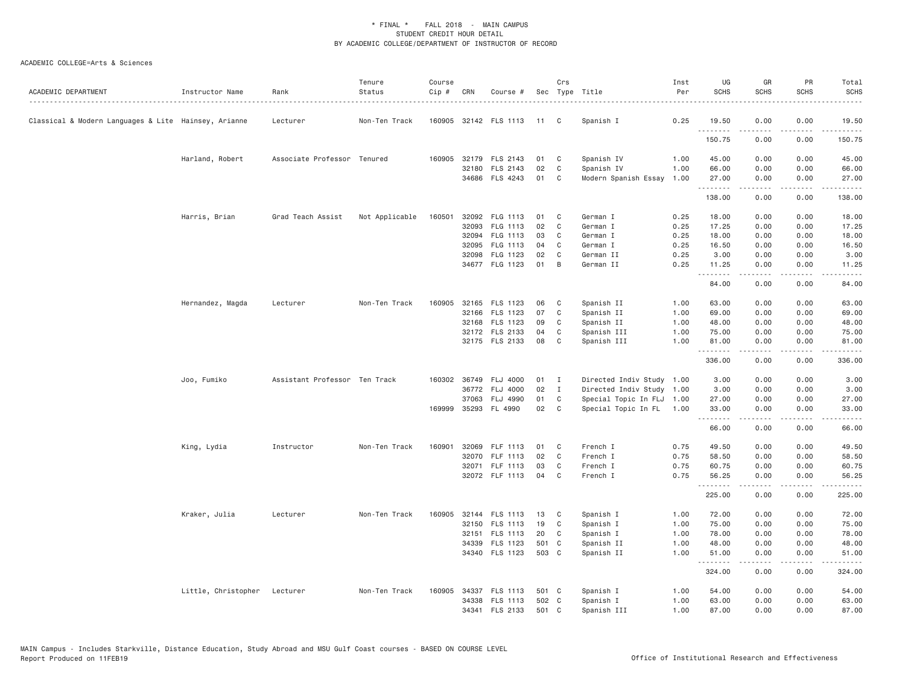| ACADEMIC DEPARTMENT                                  | Instructor Name     | Rank                          | Tenure<br>Status | Course<br>Cip # | CRN   | Course #              |       | Crs            | Sec Type Title            | Inst<br>Per | UG<br><b>SCHS</b> | GR<br>SCHS                                                                                                                                                   | PR<br><b>SCHS</b>                   | Total<br><b>SCHS</b>                                                                                                                                                                     |
|------------------------------------------------------|---------------------|-------------------------------|------------------|-----------------|-------|-----------------------|-------|----------------|---------------------------|-------------|-------------------|--------------------------------------------------------------------------------------------------------------------------------------------------------------|-------------------------------------|------------------------------------------------------------------------------------------------------------------------------------------------------------------------------------------|
| Classical & Modern Languages & Lite Hainsey, Arianne |                     | Lecturer                      | Non-Ten Track    |                 |       | 160905 32142 FLS 1113 | 11 C  |                | Spanish I                 | 0.25        | 19.50<br><u>.</u> | 0.00                                                                                                                                                         | 0.00<br>.                           | 19.50<br>.                                                                                                                                                                               |
|                                                      |                     |                               |                  |                 |       |                       |       |                |                           |             | 150.75            | -----<br>0.00                                                                                                                                                | 0.00                                | 150.75                                                                                                                                                                                   |
|                                                      | Harland, Robert     | Associate Professor Tenured   |                  | 160905          |       | 32179 FLS 2143        | 01    | C              | Spanish IV                | 1.00        | 45.00             | 0.00                                                                                                                                                         | 0.00                                | 45.00                                                                                                                                                                                    |
|                                                      |                     |                               |                  |                 |       | 32180 FLS 2143        | 02    | C              | Spanish IV                | 1.00        | 66.00             | 0.00                                                                                                                                                         | 0.00                                | 66.00                                                                                                                                                                                    |
|                                                      |                     |                               |                  |                 |       | 34686 FLS 4243        | 01    | C              | Modern Spanish Essay      | 1.00        | 27.00<br>.        | 0.00                                                                                                                                                         | 0.00<br>$\sim$ $\sim$ $\sim$        | 27.00<br>المتمامين                                                                                                                                                                       |
|                                                      |                     |                               |                  |                 |       |                       |       |                |                           |             | 138.00            | 0.00                                                                                                                                                         | 0.00                                | 138.00                                                                                                                                                                                   |
|                                                      | Harris, Brian       | Grad Teach Assist             | Not Applicable   | 160501          |       | 32092 FLG 1113        | 01    | C              | German I                  | 0.25        | 18.00             | 0.00                                                                                                                                                         | 0.00                                | 18.00                                                                                                                                                                                    |
|                                                      |                     |                               |                  |                 | 32093 | FLG 1113              | 02    | C              | German I                  | 0.25        | 17.25             | 0.00                                                                                                                                                         | 0.00                                | 17.25                                                                                                                                                                                    |
|                                                      |                     |                               |                  |                 | 32094 | FLG 1113              | 03    | C              | German I                  | 0.25        | 18.00             | 0.00                                                                                                                                                         | 0.00                                | 18.00                                                                                                                                                                                    |
|                                                      |                     |                               |                  |                 | 32095 | FLG 1113              | 04    | C              | German I                  | 0.25        | 16.50             | 0.00                                                                                                                                                         | 0.00                                | 16.50                                                                                                                                                                                    |
|                                                      |                     |                               |                  |                 |       | 32098 FLG 1123        | 02    | C              | German II                 | 0.25        | 3.00              | 0.00                                                                                                                                                         | 0.00                                | 3.00                                                                                                                                                                                     |
|                                                      |                     |                               |                  |                 |       | 34677 FLG 1123        | 01    | B              | German II                 | 0.25        | 11.25<br><u>.</u> | 0.00<br>.                                                                                                                                                    | 0.00<br>$\sim$ $\sim$ $\sim$ $\sim$ | 11.25                                                                                                                                                                                    |
|                                                      |                     |                               |                  |                 |       |                       |       |                |                           |             | 84.00             | 0.00                                                                                                                                                         | 0.00                                | 84.00                                                                                                                                                                                    |
|                                                      | Hernandez, Magda    | Lecturer                      | Non-Ten Track    | 160905          |       | 32165 FLS 1123        | 06    | C              | Spanish II                | 1.00        | 63.00             | 0.00                                                                                                                                                         | 0.00                                | 63.00                                                                                                                                                                                    |
|                                                      |                     |                               |                  |                 |       | 32166 FLS 1123        | 07    | C              | Spanish II                | 1.00        | 69.00             | 0.00                                                                                                                                                         | 0.00                                | 69.00                                                                                                                                                                                    |
|                                                      |                     |                               |                  |                 |       | 32168 FLS 1123        | 09    | C              | Spanish II                | 1.00        | 48.00             | 0.00                                                                                                                                                         | 0.00                                | 48.00                                                                                                                                                                                    |
|                                                      |                     |                               |                  |                 |       | 32172 FLS 2133        | 04    | C              | Spanish III               | 1.00        | 75.00             | 0.00                                                                                                                                                         | 0.00                                | 75.00                                                                                                                                                                                    |
|                                                      |                     |                               |                  |                 |       | 32175 FLS 2133        | 08    | C              | Spanish III               | 1.00        | 81.00<br>.        | 0.00<br>$\frac{1}{2} \left( \frac{1}{2} \right) \left( \frac{1}{2} \right) \left( \frac{1}{2} \right) \left( \frac{1}{2} \right) \left( \frac{1}{2} \right)$ | 0.00<br>.                           | 81.00<br>$\frac{1}{2} \left( \frac{1}{2} \right) \left( \frac{1}{2} \right) \left( \frac{1}{2} \right) \left( \frac{1}{2} \right) \left( \frac{1}{2} \right) \left( \frac{1}{2} \right)$ |
|                                                      |                     |                               |                  |                 |       |                       |       |                |                           |             | 336.00            | 0.00                                                                                                                                                         | 0.00                                | 336.00                                                                                                                                                                                   |
|                                                      | Joo, Fumiko         | Assistant Professor Ten Track |                  |                 |       | 160302 36749 FLJ 4000 | 01    | $\blacksquare$ | Directed Indiv Study 1.00 |             | 3.00              | 0.00                                                                                                                                                         | 0.00                                | 3.00                                                                                                                                                                                     |
|                                                      |                     |                               |                  |                 |       | 36772 FLJ 4000        | 02    | $\mathbf{I}$   | Directed Indiv Study 1.00 |             | 3.00              | 0.00                                                                                                                                                         | 0.00                                | 3.00                                                                                                                                                                                     |
|                                                      |                     |                               |                  |                 |       | 37063 FLJ 4990        | 01    | C              | Special Topic In FLJ 1.00 |             | 27.00             | 0.00                                                                                                                                                         | 0.00                                | 27.00                                                                                                                                                                                    |
|                                                      |                     |                               |                  | 169999          |       | 35293 FL 4990         | 02    | C              | Special Topic In FL 1.00  |             | 33.00<br><u>.</u> | 0.00<br>.                                                                                                                                                    | 0.00<br>$\sim$ $\sim$ $\sim$ $\sim$ | 33.00<br>$\frac{1}{2} \left( \frac{1}{2} \right) \left( \frac{1}{2} \right) \left( \frac{1}{2} \right) \left( \frac{1}{2} \right)$                                                       |
|                                                      |                     |                               |                  |                 |       |                       |       |                |                           |             | 66.00             | 0.00                                                                                                                                                         | 0.00                                | 66.00                                                                                                                                                                                    |
|                                                      | King, Lydia         | Instructor                    | Non-Ten Track    | 160901          |       | 32069 FLF 1113        | 01    | C              | French I                  | 0.75        | 49.50             | 0.00                                                                                                                                                         | 0.00                                | 49.50                                                                                                                                                                                    |
|                                                      |                     |                               |                  |                 |       | 32070 FLF 1113        | 02    | C              | French I                  | 0.75        | 58.50             | 0.00                                                                                                                                                         | 0.00                                | 58.50                                                                                                                                                                                    |
|                                                      |                     |                               |                  |                 |       | 32071 FLF 1113        | 03    | C              | French I                  | 0.75        | 60.75             | 0.00                                                                                                                                                         | 0.00                                | 60.75                                                                                                                                                                                    |
|                                                      |                     |                               |                  |                 |       | 32072 FLF 1113        | 04    | C              | French I                  | 0.75        | 56.25<br>.        | 0.00<br>.                                                                                                                                                    | 0.00<br>.                           | 56.25<br><u>.</u>                                                                                                                                                                        |
|                                                      |                     |                               |                  |                 |       |                       |       |                |                           |             | 225.00            | 0.00                                                                                                                                                         | 0.00                                | 225.00                                                                                                                                                                                   |
|                                                      | Kraker, Julia       | Lecturer                      | Non-Ten Track    | 160905          |       | 32144 FLS 1113        | 13    | C              | Spanish I                 | 1.00        | 72.00             | 0.00                                                                                                                                                         | 0.00                                | 72.00                                                                                                                                                                                    |
|                                                      |                     |                               |                  |                 |       | 32150 FLS 1113        | 19    | C              | Spanish I                 | 1.00        | 75.00             | 0.00                                                                                                                                                         | 0.00                                | 75.00                                                                                                                                                                                    |
|                                                      |                     |                               |                  |                 |       | 32151 FLS 1113        | 20    | C              | Spanish I                 | 1.00        | 78.00             | 0.00                                                                                                                                                         | 0.00                                | 78.00                                                                                                                                                                                    |
|                                                      |                     |                               |                  |                 |       | 34339 FLS 1123        | 501 C |                | Spanish II                | 1.00        | 48.00             | 0.00                                                                                                                                                         | 0.00                                | 48.00                                                                                                                                                                                    |
|                                                      |                     |                               |                  |                 |       | 34340 FLS 1123        | 503 C |                | Spanish II                | 1.00        | 51.00<br><u>.</u> | 0.00<br>.                                                                                                                                                    | 0.00<br>.                           | 51.00<br>.                                                                                                                                                                               |
|                                                      |                     |                               |                  |                 |       |                       |       |                |                           |             | 324.00            | 0.00                                                                                                                                                         | 0.00                                | 324.00                                                                                                                                                                                   |
|                                                      | Little, Christopher | Lecturer                      | Non-Ten Track    | 160905          |       | 34337 FLS 1113        | 501 C |                | Spanish I                 | 1.00        | 54.00             | 0.00                                                                                                                                                         | 0.00                                | 54.00                                                                                                                                                                                    |
|                                                      |                     |                               |                  |                 |       | 34338 FLS 1113        | 502 C |                | Spanish I                 | 1.00        | 63.00             | 0.00                                                                                                                                                         | 0.00                                | 63.00                                                                                                                                                                                    |
|                                                      |                     |                               |                  |                 |       | 34341 FLS 2133        | 501   | C              | Spanish III               | 1.00        | 87.00             | 0.00                                                                                                                                                         | 0.00                                | 87.00                                                                                                                                                                                    |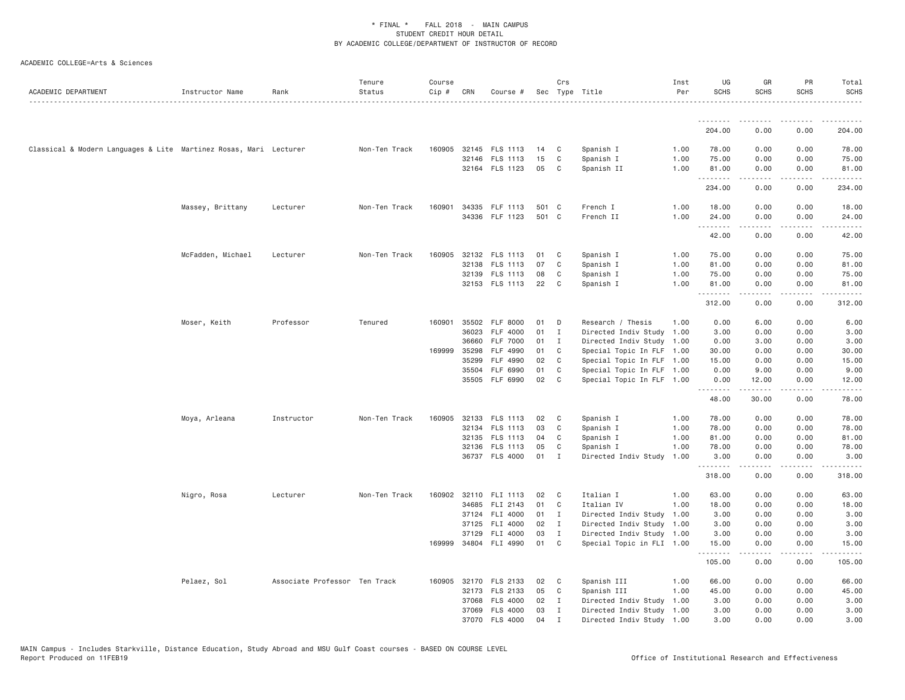| ACADEMIC DEPARTMENT                                               | Instructor Name   | Rank                          | Tenure<br>Status | Course<br>Cip # | CRN          | Course #              |       | Crs          | Sec Type Title            | Inst<br>Per | UG<br><b>SCHS</b> | GR<br><b>SCHS</b>        | PR<br><b>SCHS</b> | Total<br><b>SCHS</b><br>. |
|-------------------------------------------------------------------|-------------------|-------------------------------|------------------|-----------------|--------------|-----------------------|-------|--------------|---------------------------|-------------|-------------------|--------------------------|-------------------|---------------------------|
|                                                                   |                   |                               |                  |                 |              |                       |       |              |                           |             | .                 | <b></b>                  | .                 | .                         |
|                                                                   |                   |                               |                  |                 |              |                       |       |              |                           |             | 204.00            | 0.00                     | 0.00              | 204.00                    |
| Classical & Modern Languages & Lite Martinez Rosas, Mari Lecturer |                   |                               | Non-Ten Track    |                 |              | 160905 32145 FLS 1113 | 14    | C.           | Spanish I                 | 1.00        | 78.00             | 0.00                     | 0.00              | 78.00                     |
|                                                                   |                   |                               |                  |                 |              | 32146 FLS 1113        | 15    | C            | Spanish I                 | 1.00        | 75.00             | 0.00                     | 0.00              | 75.00                     |
|                                                                   |                   |                               |                  |                 |              | 32164 FLS 1123        | 05    | C            | Spanish II                | 1.00        | 81.00<br><u>.</u> | 0.00<br>المتمام والمناور | 0.00<br>.         | 81.00<br>.                |
|                                                                   |                   |                               |                  |                 |              |                       |       |              |                           |             | 234.00            | 0.00                     | 0.00              | 234.00                    |
|                                                                   | Massey, Brittany  | Lecturer                      | Non-Ten Track    | 160901          |              | 34335 FLF 1113        | 501 C |              | French I                  | 1.00        | 18.00             | 0.00                     | 0.00              | 18.00                     |
|                                                                   |                   |                               |                  |                 |              | 34336 FLF 1123        | 501 C |              | French II                 | 1.00        | 24.00<br>.        | 0.00<br>.                | 0.00<br>.         | 24.00<br>.                |
|                                                                   |                   |                               |                  |                 |              |                       |       |              |                           |             | 42.00             | 0.00                     | 0.00              | 42.00                     |
|                                                                   | McFadden, Michael | Lecturer                      | Non-Ten Track    |                 |              | 160905 32132 FLS 1113 | 01    | C            | Spanish I                 | 1.00        | 75.00             | 0.00                     | 0.00              | 75.00                     |
|                                                                   |                   |                               |                  |                 | 32138        | FLS 1113              | 07    | C            | Spanish I                 | 1.00        | 81.00             | 0.00                     | 0.00              | 81.00                     |
|                                                                   |                   |                               |                  |                 |              | 32139 FLS 1113        | 08    | C            | Spanish I                 | 1.00        | 75.00             | 0.00                     | 0.00              | 75.00                     |
|                                                                   |                   |                               |                  |                 |              | 32153 FLS 1113        | 22    | C            | Spanish I                 | 1.00        | 81.00<br>.        | 0.00<br>.                | 0.00<br>.         | 81.00<br>.                |
|                                                                   |                   |                               |                  |                 |              |                       |       |              |                           |             | 312.00            | 0.00                     | 0.00              | 312.00                    |
|                                                                   | Moser, Keith      | Professor                     | Tenured          |                 |              | 160901 35502 FLF 8000 | 01    | D            | Research / Thesis         | 1.00        | 0.00              | 6.00                     | 0.00              | 6.00                      |
|                                                                   |                   |                               |                  |                 | 36023        | FLF 4000              | 01    | $\mathbf{I}$ | Directed Indiv Study 1.00 |             | 3.00              | 0.00                     | 0.00              | 3.00                      |
|                                                                   |                   |                               |                  |                 | 36660        | <b>FLF 7000</b>       | 01    | $\mathbf I$  | Directed Indiv Study 1.00 |             | 0.00              | 3.00                     | 0.00              | 3.00                      |
|                                                                   |                   |                               |                  |                 | 169999 35298 | FLF 4990              | 01    | C            | Special Topic In FLF 1.00 |             | 30.00             | 0.00                     | 0.00              | 30.00                     |
|                                                                   |                   |                               |                  |                 | 35299        | FLF 4990              | 02    | C            | Special Topic In FLF 1.00 |             | 15.00             | 0.00                     | 0.00              | 15.00                     |
|                                                                   |                   |                               |                  |                 | 35504        | FLF 6990              | 01    | C            | Special Topic In FLF 1.00 |             | 0.00              | 9.00                     | 0.00              | 9.00                      |
|                                                                   |                   |                               |                  |                 |              | 35505 FLF 6990        | 02    | C            | Special Topic In FLF 1.00 |             | 0.00<br>.         | 12.00<br>.               | 0.00<br>.         | 12.00<br>.                |
|                                                                   |                   |                               |                  |                 |              |                       |       |              |                           |             | 48.00             | 30.00                    | 0.00              | 78.00                     |
|                                                                   | Moya, Arleana     | Instructor                    | Non-Ten Track    | 160905          | 32133        | FLS 1113              | 02    | C            | Spanish I                 | 1.00        | 78.00             | 0.00                     | 0.00              | 78.00                     |
|                                                                   |                   |                               |                  |                 |              | 32134 FLS 1113        | 03    | C            | Spanish I                 | 1.00        | 78.00             | 0.00                     | 0.00              | 78.00                     |
|                                                                   |                   |                               |                  |                 |              | 32135 FLS 1113        | 04    | C            | Spanish I                 | 1.00        | 81.00             | 0.00                     | 0.00              | 81.00                     |
|                                                                   |                   |                               |                  |                 |              | 32136 FLS 1113        | 05    | C            | Spanish I                 | 1.00        | 78.00             | 0.00                     | 0.00              | 78.00                     |
|                                                                   |                   |                               |                  |                 |              | 36737 FLS 4000        | 01    | I            | Directed Indiv Study      | 1.00        | 3.00<br>.         | 0.00<br><b>.</b>         | 0.00<br>د د د د   | 3.00<br>.                 |
|                                                                   |                   |                               |                  |                 |              |                       |       |              |                           |             | 318.00            | 0.00                     | 0.00              | 318.00                    |
|                                                                   | Nigro, Rosa       | Lecturer                      | Non-Ten Track    |                 |              | 160902 32110 FLI 1113 | 02    | C            | Italian I                 | 1.00        | 63.00             | 0.00                     | 0.00              | 63.00                     |
|                                                                   |                   |                               |                  |                 |              | 34685 FLI 2143        | 01    | C            | Italian IV                | 1.00        | 18.00             | 0.00                     | 0.00              | 18.00                     |
|                                                                   |                   |                               |                  |                 |              | 37124 FLI 4000        | 01    | $\mathbf{I}$ | Directed Indiv Study 1.00 |             | 3.00              | 0.00                     | 0.00              | 3.00                      |
|                                                                   |                   |                               |                  |                 |              | 37125 FLI 4000        | 02    | $\mathbf{I}$ | Directed Indiv Study 1.00 |             | 3.00              | 0.00                     | 0.00              | 3.00                      |
|                                                                   |                   |                               |                  |                 | 37129        | FLI 4000              | 03    | $\mathbf{I}$ | Directed Indiv Study 1.00 |             | 3.00              | 0.00                     | 0.00              | 3.00                      |
|                                                                   |                   |                               |                  |                 |              | 169999 34804 FLI 4990 | 01    | C            | Special Topic in FLI 1.00 |             | 15.00<br>.        | 0.00                     | 0.00<br>.         | 15.00<br>.                |
|                                                                   |                   |                               |                  |                 |              |                       |       |              |                           |             | 105.00            | 0.00                     | 0.00              | 105.00                    |
|                                                                   | Pelaez, Sol       | Associate Professor Ten Track |                  |                 |              | 160905 32170 FLS 2133 | 02    | C            | Spanish III               | 1.00        | 66.00             | 0.00                     | 0.00              | 66.00                     |
|                                                                   |                   |                               |                  |                 |              | 32173 FLS 2133        | 05    | C            | Spanish III               | 1.00        | 45.00             | 0.00                     | 0.00              | 45.00                     |
|                                                                   |                   |                               |                  |                 | 37068        | <b>FLS 4000</b>       | 02    | $\mathbf{I}$ | Directed Indiv Study 1.00 |             | 3.00              | 0.00                     | 0.00              | 3.00                      |
|                                                                   |                   |                               |                  |                 |              | 37069 FLS 4000        | 03    | I            | Directed Indiv Study 1.00 |             | 3.00              | 0.00                     | 0.00              | 3.00                      |
|                                                                   |                   |                               |                  |                 |              | 37070 FLS 4000        | 04    | $\mathsf{T}$ | Directed Indiv Study 1.00 |             | 3,00              | 0.00                     | 0.00              | 3,00                      |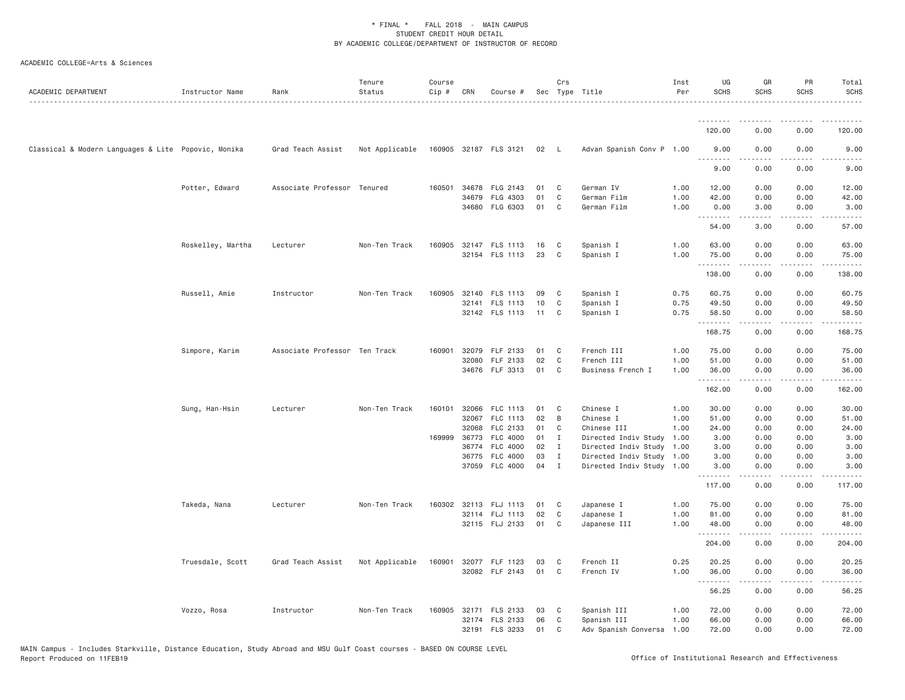| ACADEMIC DEPARTMENT                                 | Instructor Name   | Rank                          | Tenure<br>Status | Course<br>Cip # | CRN          | Course #                   |          | Crs                          | Sec Type Title                                    | Inst<br>Per | UG<br><b>SCHS</b>                       | GR<br><b>SCHS</b>            | PR<br>SCHS   | Total<br><b>SCHS</b>                                                                                                                                                                      |
|-----------------------------------------------------|-------------------|-------------------------------|------------------|-----------------|--------------|----------------------------|----------|------------------------------|---------------------------------------------------|-------------|-----------------------------------------|------------------------------|--------------|-------------------------------------------------------------------------------------------------------------------------------------------------------------------------------------------|
|                                                     |                   |                               |                  |                 |              |                            |          |                              |                                                   |             |                                         |                              |              |                                                                                                                                                                                           |
|                                                     |                   |                               |                  |                 |              |                            |          |                              |                                                   |             | 120.00                                  | 0.00                         | 0.00         | 120.00                                                                                                                                                                                    |
| Classical & Modern Languages & Lite Popovic, Monika |                   | Grad Teach Assist             | Not Applicable   |                 |              | 160905 32187 FLS 3121      | 02 L     |                              | Advan Spanish Conv P 1.00                         |             | 9.00<br><b><i><u><u>.</u></u></i></b>   | 0.00<br>$\omega$ is a set of | 0.00<br>.    | 9.00<br>.                                                                                                                                                                                 |
|                                                     |                   |                               |                  |                 |              |                            |          |                              |                                                   |             | 9.00                                    | 0.00                         | 0.00         | 9.00                                                                                                                                                                                      |
|                                                     | Potter, Edward    | Associate Professor Tenured   |                  | 160501          |              | 34678 FLG 2143             | 01       | C                            | German IV                                         | 1.00        | 12.00                                   | 0.00                         | 0.00         | 12.00                                                                                                                                                                                     |
|                                                     |                   |                               |                  |                 |              | 34679 FLG 4303             | 01       | C                            | German Film                                       | 1.00        | 42.00                                   | 0.00                         | 0.00         | 42.00                                                                                                                                                                                     |
|                                                     |                   |                               |                  |                 |              | 34680 FLG 6303             | 01       | C                            | German Film                                       | 1.00        | 0.00<br><u>.</u>                        | 3.00<br>.                    | 0.00<br>.    | 3.00<br>.                                                                                                                                                                                 |
|                                                     |                   |                               |                  |                 |              |                            |          |                              |                                                   |             | 54.00                                   | 3.00                         | 0.00         | 57.00                                                                                                                                                                                     |
|                                                     | Roskelley, Martha | Lecturer                      | Non-Ten Track    | 160905          |              | 32147 FLS 1113             | 16       | C                            | Spanish I                                         | 1.00        | 63.00                                   | 0.00                         | 0.00         | 63.00                                                                                                                                                                                     |
|                                                     |                   |                               |                  |                 |              | 32154 FLS 1113             | 23       | C                            | Spanish I                                         | 1.00        | 75.00<br><u>.</u>                       | 0.00<br>.                    | 0.00<br>.    | 75.00<br>.                                                                                                                                                                                |
|                                                     |                   |                               |                  |                 |              |                            |          |                              |                                                   |             | 138.00                                  | 0.00                         | 0.00         | 138.00                                                                                                                                                                                    |
|                                                     | Russell, Amie     | Instructor                    | Non-Ten Track    | 160905          |              | 32140 FLS 1113             | 09       | C                            | Spanish I                                         | 0.75        | 60.75                                   | 0.00                         | 0.00         | 60.75                                                                                                                                                                                     |
|                                                     |                   |                               |                  |                 |              | 32141 FLS 1113             | 10       | C                            | Spanish I                                         | 0.75        | 49.50                                   | 0.00                         | 0.00         | 49.50                                                                                                                                                                                     |
|                                                     |                   |                               |                  |                 |              | 32142 FLS 1113             | 11       | C                            | Spanish I                                         | 0.75        | 58.50<br>.                              | 0.00                         | 0.00<br>.    | 58.50<br>.                                                                                                                                                                                |
|                                                     |                   |                               |                  |                 |              |                            |          |                              |                                                   |             | 168.75                                  | 0.00                         | 0.00         | 168.75                                                                                                                                                                                    |
|                                                     | Simpore, Karim    | Associate Professor Ten Track |                  | 160901          |              | 32079 FLF 2133             | 01       | C                            | French III                                        | 1.00        | 75.00                                   | 0.00                         | 0.00         | 75.00                                                                                                                                                                                     |
|                                                     |                   |                               |                  |                 | 32080        | FLF 2133                   | 02       | C                            | French III                                        | 1.00        | 51.00                                   | 0.00                         | 0.00         | 51.00                                                                                                                                                                                     |
|                                                     |                   |                               |                  |                 |              | 34676 FLF 3313             | 01       | C                            | Business French I                                 | 1.00        | 36.00<br>.                              | 0.00<br>.                    | 0.00<br>.    | 36.00<br>.                                                                                                                                                                                |
|                                                     |                   |                               |                  |                 |              |                            |          |                              |                                                   |             | 162.00                                  | 0.00                         | 0.00         | 162.00                                                                                                                                                                                    |
|                                                     | Sung, Han-Hsin    | Lecturer                      | Non-Ten Track    | 160101          |              | 32066 FLC 1113             | 01       | C                            | Chinese I                                         | 1.00        | 30.00                                   | 0.00                         | 0.00         | 30.00                                                                                                                                                                                     |
|                                                     |                   |                               |                  |                 | 32067        | FLC 1113                   | 02       | B                            | Chinese I                                         | 1.00        | 51.00                                   | 0.00                         | 0.00         | 51.00                                                                                                                                                                                     |
|                                                     |                   |                               |                  |                 | 32068        | FLC 2133                   | 01       | C                            | Chinese III                                       | 1.00        | 24.00                                   | 0.00                         | 0.00         | 24.00                                                                                                                                                                                     |
|                                                     |                   |                               |                  |                 | 169999 36773 | FLC 4000                   | 01       | $\mathbf{I}$                 | Directed Indiv Study 1.00                         |             | 3.00                                    | 0.00                         | 0.00         | 3.00                                                                                                                                                                                      |
|                                                     |                   |                               |                  |                 | 36774        | FLC 4000<br>36775 FLC 4000 | 02<br>03 | $\mathbf{I}$<br>$\mathbf{I}$ | Directed Indiv Study<br>Directed Indiv Study 1.00 | 1.00        | 3.00<br>3.00                            | 0.00<br>0.00                 | 0.00<br>0.00 | 3.00<br>3.00                                                                                                                                                                              |
|                                                     |                   |                               |                  |                 |              | 37059 FLC 4000             | 04 I     |                              | Directed Indiv Study 1.00                         |             | 3.00                                    | 0.00                         | 0.00         | 3.00                                                                                                                                                                                      |
|                                                     |                   |                               |                  |                 |              |                            |          |                              |                                                   |             | .<br>117.00                             | <b>.</b><br>0.00             | .<br>0.00    | .<br>117.00                                                                                                                                                                               |
|                                                     | Takeda, Nana      | Lecturer                      | Non-Ten Track    |                 |              | 160302 32113 FLJ 1113      | 01       | C                            | Japanese I                                        | 1.00        | 75.00                                   | 0.00                         | 0.00         | 75.00                                                                                                                                                                                     |
|                                                     |                   |                               |                  |                 |              | 32114 FLJ 1113             | 02       | C                            | Japanese I                                        | 1.00        | 81.00                                   | 0.00                         | 0.00         | 81.00                                                                                                                                                                                     |
|                                                     |                   |                               |                  |                 |              | 32115 FLJ 2133             | 01       | C                            | Japanese III                                      | 1.00        | 48.00                                   | 0.00                         | 0.00         | 48.00                                                                                                                                                                                     |
|                                                     |                   |                               |                  |                 |              |                            |          |                              |                                                   |             | <b><i><u><u>.</u></u></i></b><br>204.00 | .<br>0.00                    | .<br>0.00    | $\frac{1}{2} \left( \frac{1}{2} \right) \left( \frac{1}{2} \right) \left( \frac{1}{2} \right) \left( \frac{1}{2} \right) \left( \frac{1}{2} \right) \left( \frac{1}{2} \right)$<br>204.00 |
|                                                     | Truesdale, Scott  | Grad Teach Assist             | Not Applicable   | 160901          |              | 32077 FLF 1123             | 03       | C                            | French II                                         | 0.25        | 20.25                                   | 0.00                         | 0.00         | 20.25                                                                                                                                                                                     |
|                                                     |                   |                               |                  |                 |              | 32082 FLF 2143             | 01       | C                            | French IV                                         | 1.00        | 36.00                                   | 0.00                         | 0.00         | 36.00                                                                                                                                                                                     |
|                                                     |                   |                               |                  |                 |              |                            |          |                              |                                                   |             | <b><i><u><u>.</u></u></i></b><br>56.25  | $2 - 2 - 2 - 2$<br>0.00      | .<br>0.00    | .<br>56.25                                                                                                                                                                                |
|                                                     | Vozzo, Rosa       | Instructor                    | Non-Ten Track    | 160905          |              | 32171 FLS 2133             | 03       | C                            | Spanish III                                       | 1.00        | 72.00                                   | 0.00                         | 0.00         | 72.00                                                                                                                                                                                     |
|                                                     |                   |                               |                  |                 |              | 32174 FLS 2133             | 06       | C                            | Spanish III                                       | 1.00        | 66.00                                   | 0.00                         | 0.00         | 66.00                                                                                                                                                                                     |
|                                                     |                   |                               |                  |                 | 32191        | <b>FLS 3233</b>            | 01       | C                            | Adv Spanish Conversa                              | 1.00        | 72.00                                   | 0.00                         | 0.00         | 72.00                                                                                                                                                                                     |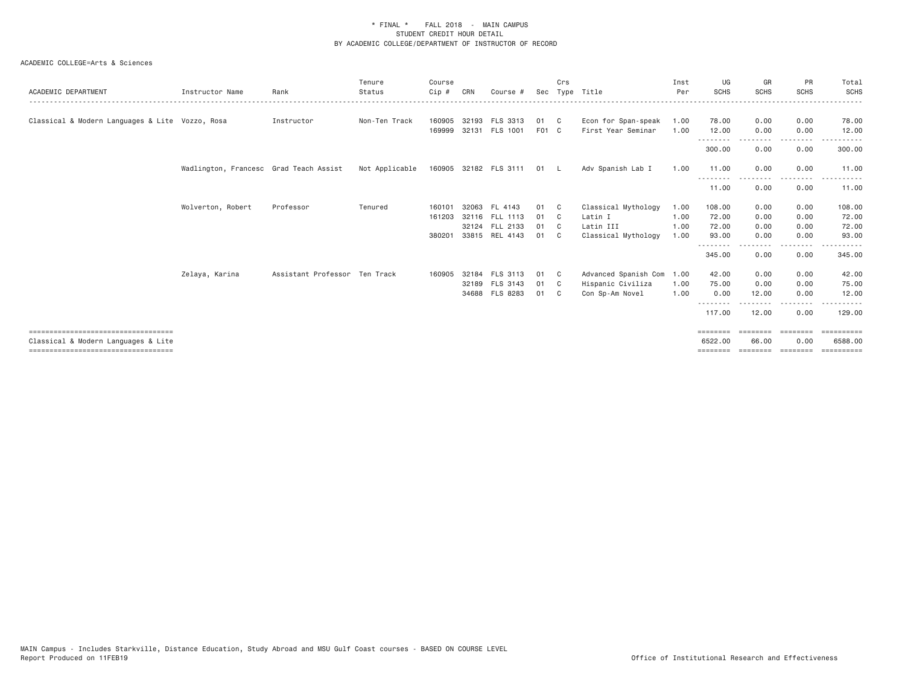| ACADEMIC DEPARTMENT                             | Instructor Name                        | Rank                          | Tenure<br>Status | Course<br>Cip # | CRN | Course #                   | Sec   | Crs          | Type Title           | Inst<br>Per | UG<br><b>SCHS</b>  | GR<br><b>SCHS</b>    | PR<br><b>SCHS</b> | Total<br><b>SCHS</b> |
|-------------------------------------------------|----------------------------------------|-------------------------------|------------------|-----------------|-----|----------------------------|-------|--------------|----------------------|-------------|--------------------|----------------------|-------------------|----------------------|
| Classical & Modern Languages & Lite Vozzo, Rosa |                                        | Instructor                    | Non-Ten Track    | 160905          |     | 32193 FLS 3313             | 01    | $\mathbb{C}$ | Econ for Span-speak  | 1.00        | 78.00              | 0.00                 | 0.00              | 78.00                |
|                                                 |                                        |                               |                  | 169999          |     | 32131 FLS 1001             | F01 C |              | First Year Seminar   | 1.00        | 12.00<br>.         | 0.00<br>.            | 0.00<br>.         | 12.00                |
|                                                 |                                        |                               |                  |                 |     |                            |       |              |                      |             | 300.00             | 0.00                 | 0.00              | 300.00               |
|                                                 | Wadlington, Francesc Grad Teach Assist |                               | Not Applicable   |                 |     | 160905 32182 FLS 3111 01 L |       |              | Adv Spanish Lab I    | 1.00        | 11.00              | 0.00                 | 0.00              | 11,00                |
|                                                 |                                        |                               |                  |                 |     |                            |       |              |                      |             | .<br>11.00         | ------<br>0.00       | $\cdots$<br>0.00  | 11.00                |
|                                                 | Wolverton, Robert                      | Professor                     | Tenured          | 160101          |     | 32063 FL 4143              | 01    | C C          | Classical Mythology  | 1.00        | 108.00             | 0.00                 | 0.00              | 108.00               |
|                                                 |                                        |                               |                  | 161203          |     | 32116 FLL 1113             | 01    | $\mathbb{C}$ | Latin I              | 1,00        | 72.00              | 0.00                 | 0.00              | 72.00                |
|                                                 |                                        |                               |                  |                 |     | 32124 FLL 2133             | 01    | $\mathbf{C}$ | Latin III            | 1,00        | 72.00              | 0.00                 | 0.00              | 72.00                |
|                                                 |                                        |                               |                  | 380201          |     | 33815 REL 4143             | 01    | C.           | Classical Mythology  | 1.00        | 93.00<br>.         | 0.00                 | 0.00<br>-----     | 93.00                |
|                                                 |                                        |                               |                  |                 |     |                            |       |              |                      |             | 345.00             | . <b>.</b> .<br>0.00 | 0.00              | 345.00               |
|                                                 | Zelaya, Karina                         | Assistant Professor Ten Track |                  | 160905          |     | 32184 FLS 3113             | 01    | $\mathbf{C}$ | Advanced Spanish Com | 1.00        | 42.00              | 0.00                 | 0.00              | 42.00                |
|                                                 |                                        |                               |                  |                 |     | 32189 FLS 3143             | 01    | C C          | Hispanic Civiliza    | 1.00        | 75.00              | 0.00                 | 0.00              | 75.00                |
|                                                 |                                        |                               |                  |                 |     | 34688 FLS 8283             | 01    | C.           | Con Sp-Am Novel      | 1.00        | 0.00               | 12.00                | 0.00              | 12.00                |
|                                                 |                                        |                               |                  |                 |     |                            |       |              |                      |             | <u>.</u><br>117.00 | .<br>12.00           | ---------<br>0.00 | . <b>.</b><br>129.00 |
| ====================================            |                                        |                               |                  |                 |     |                            |       |              |                      |             | ========           | ========             | ========          | EEEEEEEEE            |
| Classical & Modern Languages & Lite             |                                        |                               |                  |                 |     |                            |       |              |                      |             | 6522.00            | 66.00                | 0.00              | 6588,00              |
| =====================================           |                                        |                               |                  |                 |     |                            |       |              |                      |             | ========           | ========             | ========          | ==========           |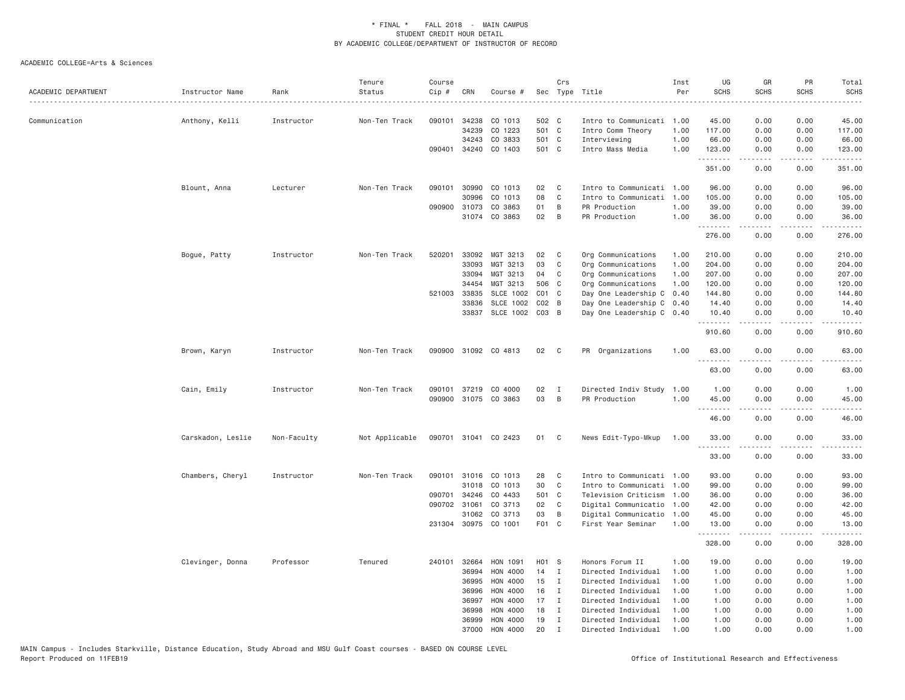| 34238<br>502 C<br>0.00<br>45.00<br>090101<br>CO 1013<br>Intro to Communicati 1.00<br>45.00<br>0.00<br>Communication<br>Anthony, Kelli<br>Instructor<br>Non-Ten Track<br>34239<br>CO 1223<br>501 C<br>0.00<br>Intro Comm Theory<br>1.00<br>117.00<br>0.00<br>117.00<br>CO 3833<br>501 C<br>1.00<br>66.00<br>0.00<br>66.00<br>34243<br>Interviewing<br>0.00<br>090401<br>34240<br>CO 1403<br>501 C<br>Intro Mass Media<br>1.00<br>123.00<br>0.00<br>123.00<br>0.00<br>.<br>.<br>د د د د<br>351.00<br>0.00<br>0.00<br>351.00<br>Non-Ten Track<br>090101<br>30990<br>CO 1013<br>02<br>C<br>Intro to Communicati 1.00<br>96.00<br>0.00<br>0.00<br>Blount, Anna<br>Lecturer<br>08<br>CO 1013<br>C<br>Intro to Communicati<br>1.00<br>105.00<br>0.00<br>0.00<br>105.00<br>30996<br>090900<br>01<br>31073<br>CO 3863<br>B<br>PR Production<br>1.00<br>39.00<br>0.00<br>0.00<br>39.00<br>31074 CO 3863<br>02<br>B<br>PR Production<br>1.00<br>36.00<br>0.00<br>0.00<br>36.00<br>.<br>.<br>$\frac{1}{2}$<br>.<br>276.00<br>0.00<br>0.00<br>276.00<br>Non-Ten Track<br>520201<br>33092<br>MGT 3213<br>02<br>Org Communications<br>210.00<br>0.00<br>0.00<br>210.00<br>Bogue, Patty<br>Instructor<br>C<br>1.00<br>33093<br>MGT 3213<br>03<br>C<br>0.00<br>204.00<br>Org Communications<br>1.00<br>204.00<br>0.00<br>33094<br>MGT 3213<br>04<br>C<br>Org Communications<br>1.00<br>207.00<br>0.00<br>0.00<br>207.00<br>34454<br>MGT 3213<br>506<br>Org Communications<br>1.00<br>120.00<br>0.00<br>0.00<br>120.00<br>C<br>521003<br>33835<br>SLCE 1002<br>$CO1$ $C$<br>Day One Leadership C<br>0.40<br>144.80<br>0.00<br>0.00<br>144.80<br><b>SLCE 1002</b><br>33836<br>$CO2$ B<br>Day One Leadership C 0.40<br>14.40<br>0.00<br>0.00<br>14.40<br>33837<br>SLCE 1002<br>$CO3$ B<br>Day One Leadership C 0.40<br>0.00<br>0.00<br>10.40<br>10.40<br>.<br>.<br>$\sim$ $\sim$ $\sim$ $\sim$<br>.<br>910.60<br>0.00<br>0.00<br>910.60<br>Instructor<br>Non-Ten Track<br>090900<br>31092 CO 4813<br>02<br>PR Organizations<br>1,00<br>63,00<br>0.00<br>0.00<br>63,00<br>Brown, Karyn<br>$\mathbf{C}$<br>.<br>المستبدا<br>63.00<br>0.00<br>0.00<br>63.00<br>Cain, Emily<br>Non-Ten Track<br>090101<br>37219<br>CO 4000<br>02<br>Directed Indiv Study<br>1.00<br>1.00<br>0.00<br>0.00<br>1.00<br>Instructor<br>$\mathbf{I}$<br>090900 31075 CO 3863<br>03<br>B<br>PR Production<br>1.00<br>45.00<br>0.00<br>0.00<br>45.00<br>.<br>.<br>.<br>$\frac{1}{2} \left( \frac{1}{2} \right) \left( \frac{1}{2} \right) \left( \frac{1}{2} \right) \left( \frac{1}{2} \right)$<br>46.00<br>0.00<br>46.00<br>0.00<br>0.00<br>0.00<br>Carskadon, Leslie<br>Non-Faculty<br>Not Applicable<br>090701 31041 CO 2423<br>01 C<br>News Edit-Typo-Mkup<br>1.00<br>33.00<br>33.00<br><u>.</u><br>.<br>.<br>.<br>33.00<br>33.00<br>0.00<br>0.00<br>Chambers, Cheryl<br>Instructor<br>Non-Ten Track<br>090101 31016 CO 1013<br>28<br>C<br>Intro to Communicati 1.00<br>93.00<br>0.00<br>0.00<br>93.00<br>31018<br>CO 1013<br>30<br>Intro to Communicati<br>99.00<br>0.00<br>99.00<br>C<br>1.00<br>0.00<br>CO 4433<br>501 C<br>090701<br>34246<br>Television Criticism<br>1.00<br>36.00<br>0.00<br>0.00<br>36.00<br>090702 31061<br>02<br>CO 3713<br>$\mathbf{C}$<br>Digital Communicatio<br>42.00<br>0.00<br>0.00<br>42.00<br>1.00<br>03<br>31062<br>CO 3713<br>B<br>Digital Communicatio<br>45.00<br>0.00<br>0.00<br>45.00<br>1.00<br>F01 C<br>30975<br>CO 1001<br>First Year Seminar<br>1.00<br>0.00<br>0.00<br>13.00<br>231304<br>13.00<br>.<br>.<br>328.00<br>0.00<br>0.00<br>328.00<br>Clevinger, Donna<br>Professor<br>Tenured<br>240101<br>32664<br>HON 1091<br>H01 S<br>Honors Forum II<br>1.00<br>19.00<br>0.00<br>0.00<br>19.00<br>36994<br>HON 4000<br>14<br>$\mathbf{I}$<br>Directed Individual<br>1.00<br>1.00<br>0.00<br>0.00<br>1.00<br>36995<br>HON 4000<br>15<br>Directed Individual<br>1.00<br>1.00<br>0.00<br>1.00<br>I<br>0.00<br>HON 4000<br>16<br>36996<br>I<br>Directed Individual<br>1.00<br>1.00<br>0.00<br>0.00<br>1.00<br>17<br>36997<br>HON 4000<br>Directed Individual<br>1.00<br>1.00<br>0.00<br>1.00<br>Ι.<br>0.00<br>36998<br>HON 4000<br>18<br>$\mathbf I$<br>Directed Individual<br>1.00<br>1.00<br>0.00<br>0.00<br>1.00<br>36999<br><b>HON 4000</b><br>19<br>Directed Individual<br>1.00<br>1.00<br>0.00<br>0.00<br>1.00<br>Ι.<br>20<br>37000<br>HON 4000<br>$\mathbf{I}$<br>Directed Individual<br>1.00<br>1.00<br>0.00<br>0.00<br>1.00 | ACADEMIC DEPARTMENT | Instructor Name | Rank<br>. | Tenure<br>Status | Course<br>Cip # | CRN | Course # | Crs | Sec Type Title<br>. | Inst<br>Per | UG<br><b>SCHS</b> | GR<br><b>SCHS</b> | PR<br><b>SCHS</b> | Total<br><b>SCHS</b><br>$    -$ |
|-----------------------------------------------------------------------------------------------------------------------------------------------------------------------------------------------------------------------------------------------------------------------------------------------------------------------------------------------------------------------------------------------------------------------------------------------------------------------------------------------------------------------------------------------------------------------------------------------------------------------------------------------------------------------------------------------------------------------------------------------------------------------------------------------------------------------------------------------------------------------------------------------------------------------------------------------------------------------------------------------------------------------------------------------------------------------------------------------------------------------------------------------------------------------------------------------------------------------------------------------------------------------------------------------------------------------------------------------------------------------------------------------------------------------------------------------------------------------------------------------------------------------------------------------------------------------------------------------------------------------------------------------------------------------------------------------------------------------------------------------------------------------------------------------------------------------------------------------------------------------------------------------------------------------------------------------------------------------------------------------------------------------------------------------------------------------------------------------------------------------------------------------------------------------------------------------------------------------------------------------------------------------------------------------------------------------------------------------------------------------------------------------------------------------------------------------------------------------------------------------------------------------------------------------------------------------------------------------------------------------------------------------------------------------------------------------------------------------------------------------------------------------------------------------------------------------------------------------------------------------------------------------------------------------------------------------------------------------------------------------------------------------------------------------------------------------------------------------------------------------------------------------------------------------------------------------------------------------------------------------------------------------------------------------------------------------------------------------------------------------------------------------------------------------------------------------------------------------------------------------------------------------------------------------------------------------------------------------------------------------------------------------------------------------------------------------------------------------------------------------------------------------------------------------------------------------------------------------------------------------------------------------------------------------------------------------------------------------------------------------------------------------------------------------------------------------------------------------------------------------------------------------------------------------------------------------------------------------------------------------------------------------------------------------------------------------------------------------------------------------------------------------------------------------------------|---------------------|-----------------|-----------|------------------|-----------------|-----|----------|-----|---------------------|-------------|-------------------|-------------------|-------------------|---------------------------------|
|                                                                                                                                                                                                                                                                                                                                                                                                                                                                                                                                                                                                                                                                                                                                                                                                                                                                                                                                                                                                                                                                                                                                                                                                                                                                                                                                                                                                                                                                                                                                                                                                                                                                                                                                                                                                                                                                                                                                                                                                                                                                                                                                                                                                                                                                                                                                                                                                                                                                                                                                                                                                                                                                                                                                                                                                                                                                                                                                                                                                                                                                                                                                                                                                                                                                                                                                                                                                                                                                                                                                                                                                                                                                                                                                                                                                                                                                                                                                                                                                                                                                                                                                                                                                                                                                                                                                                                                                                                   |                     |                 |           |                  |                 |     |          |     |                     |             |                   |                   |                   |                                 |
|                                                                                                                                                                                                                                                                                                                                                                                                                                                                                                                                                                                                                                                                                                                                                                                                                                                                                                                                                                                                                                                                                                                                                                                                                                                                                                                                                                                                                                                                                                                                                                                                                                                                                                                                                                                                                                                                                                                                                                                                                                                                                                                                                                                                                                                                                                                                                                                                                                                                                                                                                                                                                                                                                                                                                                                                                                                                                                                                                                                                                                                                                                                                                                                                                                                                                                                                                                                                                                                                                                                                                                                                                                                                                                                                                                                                                                                                                                                                                                                                                                                                                                                                                                                                                                                                                                                                                                                                                                   |                     |                 |           |                  |                 |     |          |     |                     |             |                   |                   |                   |                                 |
|                                                                                                                                                                                                                                                                                                                                                                                                                                                                                                                                                                                                                                                                                                                                                                                                                                                                                                                                                                                                                                                                                                                                                                                                                                                                                                                                                                                                                                                                                                                                                                                                                                                                                                                                                                                                                                                                                                                                                                                                                                                                                                                                                                                                                                                                                                                                                                                                                                                                                                                                                                                                                                                                                                                                                                                                                                                                                                                                                                                                                                                                                                                                                                                                                                                                                                                                                                                                                                                                                                                                                                                                                                                                                                                                                                                                                                                                                                                                                                                                                                                                                                                                                                                                                                                                                                                                                                                                                                   |                     |                 |           |                  |                 |     |          |     |                     |             |                   |                   |                   |                                 |
|                                                                                                                                                                                                                                                                                                                                                                                                                                                                                                                                                                                                                                                                                                                                                                                                                                                                                                                                                                                                                                                                                                                                                                                                                                                                                                                                                                                                                                                                                                                                                                                                                                                                                                                                                                                                                                                                                                                                                                                                                                                                                                                                                                                                                                                                                                                                                                                                                                                                                                                                                                                                                                                                                                                                                                                                                                                                                                                                                                                                                                                                                                                                                                                                                                                                                                                                                                                                                                                                                                                                                                                                                                                                                                                                                                                                                                                                                                                                                                                                                                                                                                                                                                                                                                                                                                                                                                                                                                   |                     |                 |           |                  |                 |     |          |     |                     |             |                   |                   |                   |                                 |
|                                                                                                                                                                                                                                                                                                                                                                                                                                                                                                                                                                                                                                                                                                                                                                                                                                                                                                                                                                                                                                                                                                                                                                                                                                                                                                                                                                                                                                                                                                                                                                                                                                                                                                                                                                                                                                                                                                                                                                                                                                                                                                                                                                                                                                                                                                                                                                                                                                                                                                                                                                                                                                                                                                                                                                                                                                                                                                                                                                                                                                                                                                                                                                                                                                                                                                                                                                                                                                                                                                                                                                                                                                                                                                                                                                                                                                                                                                                                                                                                                                                                                                                                                                                                                                                                                                                                                                                                                                   |                     |                 |           |                  |                 |     |          |     |                     |             |                   |                   |                   |                                 |
|                                                                                                                                                                                                                                                                                                                                                                                                                                                                                                                                                                                                                                                                                                                                                                                                                                                                                                                                                                                                                                                                                                                                                                                                                                                                                                                                                                                                                                                                                                                                                                                                                                                                                                                                                                                                                                                                                                                                                                                                                                                                                                                                                                                                                                                                                                                                                                                                                                                                                                                                                                                                                                                                                                                                                                                                                                                                                                                                                                                                                                                                                                                                                                                                                                                                                                                                                                                                                                                                                                                                                                                                                                                                                                                                                                                                                                                                                                                                                                                                                                                                                                                                                                                                                                                                                                                                                                                                                                   |                     |                 |           |                  |                 |     |          |     |                     |             |                   |                   |                   | 96.00                           |
|                                                                                                                                                                                                                                                                                                                                                                                                                                                                                                                                                                                                                                                                                                                                                                                                                                                                                                                                                                                                                                                                                                                                                                                                                                                                                                                                                                                                                                                                                                                                                                                                                                                                                                                                                                                                                                                                                                                                                                                                                                                                                                                                                                                                                                                                                                                                                                                                                                                                                                                                                                                                                                                                                                                                                                                                                                                                                                                                                                                                                                                                                                                                                                                                                                                                                                                                                                                                                                                                                                                                                                                                                                                                                                                                                                                                                                                                                                                                                                                                                                                                                                                                                                                                                                                                                                                                                                                                                                   |                     |                 |           |                  |                 |     |          |     |                     |             |                   |                   |                   |                                 |
|                                                                                                                                                                                                                                                                                                                                                                                                                                                                                                                                                                                                                                                                                                                                                                                                                                                                                                                                                                                                                                                                                                                                                                                                                                                                                                                                                                                                                                                                                                                                                                                                                                                                                                                                                                                                                                                                                                                                                                                                                                                                                                                                                                                                                                                                                                                                                                                                                                                                                                                                                                                                                                                                                                                                                                                                                                                                                                                                                                                                                                                                                                                                                                                                                                                                                                                                                                                                                                                                                                                                                                                                                                                                                                                                                                                                                                                                                                                                                                                                                                                                                                                                                                                                                                                                                                                                                                                                                                   |                     |                 |           |                  |                 |     |          |     |                     |             |                   |                   |                   |                                 |
|                                                                                                                                                                                                                                                                                                                                                                                                                                                                                                                                                                                                                                                                                                                                                                                                                                                                                                                                                                                                                                                                                                                                                                                                                                                                                                                                                                                                                                                                                                                                                                                                                                                                                                                                                                                                                                                                                                                                                                                                                                                                                                                                                                                                                                                                                                                                                                                                                                                                                                                                                                                                                                                                                                                                                                                                                                                                                                                                                                                                                                                                                                                                                                                                                                                                                                                                                                                                                                                                                                                                                                                                                                                                                                                                                                                                                                                                                                                                                                                                                                                                                                                                                                                                                                                                                                                                                                                                                                   |                     |                 |           |                  |                 |     |          |     |                     |             |                   |                   |                   |                                 |
|                                                                                                                                                                                                                                                                                                                                                                                                                                                                                                                                                                                                                                                                                                                                                                                                                                                                                                                                                                                                                                                                                                                                                                                                                                                                                                                                                                                                                                                                                                                                                                                                                                                                                                                                                                                                                                                                                                                                                                                                                                                                                                                                                                                                                                                                                                                                                                                                                                                                                                                                                                                                                                                                                                                                                                                                                                                                                                                                                                                                                                                                                                                                                                                                                                                                                                                                                                                                                                                                                                                                                                                                                                                                                                                                                                                                                                                                                                                                                                                                                                                                                                                                                                                                                                                                                                                                                                                                                                   |                     |                 |           |                  |                 |     |          |     |                     |             |                   |                   |                   |                                 |
|                                                                                                                                                                                                                                                                                                                                                                                                                                                                                                                                                                                                                                                                                                                                                                                                                                                                                                                                                                                                                                                                                                                                                                                                                                                                                                                                                                                                                                                                                                                                                                                                                                                                                                                                                                                                                                                                                                                                                                                                                                                                                                                                                                                                                                                                                                                                                                                                                                                                                                                                                                                                                                                                                                                                                                                                                                                                                                                                                                                                                                                                                                                                                                                                                                                                                                                                                                                                                                                                                                                                                                                                                                                                                                                                                                                                                                                                                                                                                                                                                                                                                                                                                                                                                                                                                                                                                                                                                                   |                     |                 |           |                  |                 |     |          |     |                     |             |                   |                   |                   |                                 |
|                                                                                                                                                                                                                                                                                                                                                                                                                                                                                                                                                                                                                                                                                                                                                                                                                                                                                                                                                                                                                                                                                                                                                                                                                                                                                                                                                                                                                                                                                                                                                                                                                                                                                                                                                                                                                                                                                                                                                                                                                                                                                                                                                                                                                                                                                                                                                                                                                                                                                                                                                                                                                                                                                                                                                                                                                                                                                                                                                                                                                                                                                                                                                                                                                                                                                                                                                                                                                                                                                                                                                                                                                                                                                                                                                                                                                                                                                                                                                                                                                                                                                                                                                                                                                                                                                                                                                                                                                                   |                     |                 |           |                  |                 |     |          |     |                     |             |                   |                   |                   |                                 |
|                                                                                                                                                                                                                                                                                                                                                                                                                                                                                                                                                                                                                                                                                                                                                                                                                                                                                                                                                                                                                                                                                                                                                                                                                                                                                                                                                                                                                                                                                                                                                                                                                                                                                                                                                                                                                                                                                                                                                                                                                                                                                                                                                                                                                                                                                                                                                                                                                                                                                                                                                                                                                                                                                                                                                                                                                                                                                                                                                                                                                                                                                                                                                                                                                                                                                                                                                                                                                                                                                                                                                                                                                                                                                                                                                                                                                                                                                                                                                                                                                                                                                                                                                                                                                                                                                                                                                                                                                                   |                     |                 |           |                  |                 |     |          |     |                     |             |                   |                   |                   |                                 |
|                                                                                                                                                                                                                                                                                                                                                                                                                                                                                                                                                                                                                                                                                                                                                                                                                                                                                                                                                                                                                                                                                                                                                                                                                                                                                                                                                                                                                                                                                                                                                                                                                                                                                                                                                                                                                                                                                                                                                                                                                                                                                                                                                                                                                                                                                                                                                                                                                                                                                                                                                                                                                                                                                                                                                                                                                                                                                                                                                                                                                                                                                                                                                                                                                                                                                                                                                                                                                                                                                                                                                                                                                                                                                                                                                                                                                                                                                                                                                                                                                                                                                                                                                                                                                                                                                                                                                                                                                                   |                     |                 |           |                  |                 |     |          |     |                     |             |                   |                   |                   |                                 |
|                                                                                                                                                                                                                                                                                                                                                                                                                                                                                                                                                                                                                                                                                                                                                                                                                                                                                                                                                                                                                                                                                                                                                                                                                                                                                                                                                                                                                                                                                                                                                                                                                                                                                                                                                                                                                                                                                                                                                                                                                                                                                                                                                                                                                                                                                                                                                                                                                                                                                                                                                                                                                                                                                                                                                                                                                                                                                                                                                                                                                                                                                                                                                                                                                                                                                                                                                                                                                                                                                                                                                                                                                                                                                                                                                                                                                                                                                                                                                                                                                                                                                                                                                                                                                                                                                                                                                                                                                                   |                     |                 |           |                  |                 |     |          |     |                     |             |                   |                   |                   |                                 |
|                                                                                                                                                                                                                                                                                                                                                                                                                                                                                                                                                                                                                                                                                                                                                                                                                                                                                                                                                                                                                                                                                                                                                                                                                                                                                                                                                                                                                                                                                                                                                                                                                                                                                                                                                                                                                                                                                                                                                                                                                                                                                                                                                                                                                                                                                                                                                                                                                                                                                                                                                                                                                                                                                                                                                                                                                                                                                                                                                                                                                                                                                                                                                                                                                                                                                                                                                                                                                                                                                                                                                                                                                                                                                                                                                                                                                                                                                                                                                                                                                                                                                                                                                                                                                                                                                                                                                                                                                                   |                     |                 |           |                  |                 |     |          |     |                     |             |                   |                   |                   |                                 |
|                                                                                                                                                                                                                                                                                                                                                                                                                                                                                                                                                                                                                                                                                                                                                                                                                                                                                                                                                                                                                                                                                                                                                                                                                                                                                                                                                                                                                                                                                                                                                                                                                                                                                                                                                                                                                                                                                                                                                                                                                                                                                                                                                                                                                                                                                                                                                                                                                                                                                                                                                                                                                                                                                                                                                                                                                                                                                                                                                                                                                                                                                                                                                                                                                                                                                                                                                                                                                                                                                                                                                                                                                                                                                                                                                                                                                                                                                                                                                                                                                                                                                                                                                                                                                                                                                                                                                                                                                                   |                     |                 |           |                  |                 |     |          |     |                     |             |                   |                   |                   |                                 |
|                                                                                                                                                                                                                                                                                                                                                                                                                                                                                                                                                                                                                                                                                                                                                                                                                                                                                                                                                                                                                                                                                                                                                                                                                                                                                                                                                                                                                                                                                                                                                                                                                                                                                                                                                                                                                                                                                                                                                                                                                                                                                                                                                                                                                                                                                                                                                                                                                                                                                                                                                                                                                                                                                                                                                                                                                                                                                                                                                                                                                                                                                                                                                                                                                                                                                                                                                                                                                                                                                                                                                                                                                                                                                                                                                                                                                                                                                                                                                                                                                                                                                                                                                                                                                                                                                                                                                                                                                                   |                     |                 |           |                  |                 |     |          |     |                     |             |                   |                   |                   |                                 |
|                                                                                                                                                                                                                                                                                                                                                                                                                                                                                                                                                                                                                                                                                                                                                                                                                                                                                                                                                                                                                                                                                                                                                                                                                                                                                                                                                                                                                                                                                                                                                                                                                                                                                                                                                                                                                                                                                                                                                                                                                                                                                                                                                                                                                                                                                                                                                                                                                                                                                                                                                                                                                                                                                                                                                                                                                                                                                                                                                                                                                                                                                                                                                                                                                                                                                                                                                                                                                                                                                                                                                                                                                                                                                                                                                                                                                                                                                                                                                                                                                                                                                                                                                                                                                                                                                                                                                                                                                                   |                     |                 |           |                  |                 |     |          |     |                     |             |                   |                   |                   |                                 |
|                                                                                                                                                                                                                                                                                                                                                                                                                                                                                                                                                                                                                                                                                                                                                                                                                                                                                                                                                                                                                                                                                                                                                                                                                                                                                                                                                                                                                                                                                                                                                                                                                                                                                                                                                                                                                                                                                                                                                                                                                                                                                                                                                                                                                                                                                                                                                                                                                                                                                                                                                                                                                                                                                                                                                                                                                                                                                                                                                                                                                                                                                                                                                                                                                                                                                                                                                                                                                                                                                                                                                                                                                                                                                                                                                                                                                                                                                                                                                                                                                                                                                                                                                                                                                                                                                                                                                                                                                                   |                     |                 |           |                  |                 |     |          |     |                     |             |                   |                   |                   |                                 |
|                                                                                                                                                                                                                                                                                                                                                                                                                                                                                                                                                                                                                                                                                                                                                                                                                                                                                                                                                                                                                                                                                                                                                                                                                                                                                                                                                                                                                                                                                                                                                                                                                                                                                                                                                                                                                                                                                                                                                                                                                                                                                                                                                                                                                                                                                                                                                                                                                                                                                                                                                                                                                                                                                                                                                                                                                                                                                                                                                                                                                                                                                                                                                                                                                                                                                                                                                                                                                                                                                                                                                                                                                                                                                                                                                                                                                                                                                                                                                                                                                                                                                                                                                                                                                                                                                                                                                                                                                                   |                     |                 |           |                  |                 |     |          |     |                     |             |                   |                   |                   |                                 |
|                                                                                                                                                                                                                                                                                                                                                                                                                                                                                                                                                                                                                                                                                                                                                                                                                                                                                                                                                                                                                                                                                                                                                                                                                                                                                                                                                                                                                                                                                                                                                                                                                                                                                                                                                                                                                                                                                                                                                                                                                                                                                                                                                                                                                                                                                                                                                                                                                                                                                                                                                                                                                                                                                                                                                                                                                                                                                                                                                                                                                                                                                                                                                                                                                                                                                                                                                                                                                                                                                                                                                                                                                                                                                                                                                                                                                                                                                                                                                                                                                                                                                                                                                                                                                                                                                                                                                                                                                                   |                     |                 |           |                  |                 |     |          |     |                     |             |                   |                   |                   |                                 |
|                                                                                                                                                                                                                                                                                                                                                                                                                                                                                                                                                                                                                                                                                                                                                                                                                                                                                                                                                                                                                                                                                                                                                                                                                                                                                                                                                                                                                                                                                                                                                                                                                                                                                                                                                                                                                                                                                                                                                                                                                                                                                                                                                                                                                                                                                                                                                                                                                                                                                                                                                                                                                                                                                                                                                                                                                                                                                                                                                                                                                                                                                                                                                                                                                                                                                                                                                                                                                                                                                                                                                                                                                                                                                                                                                                                                                                                                                                                                                                                                                                                                                                                                                                                                                                                                                                                                                                                                                                   |                     |                 |           |                  |                 |     |          |     |                     |             |                   |                   |                   |                                 |
|                                                                                                                                                                                                                                                                                                                                                                                                                                                                                                                                                                                                                                                                                                                                                                                                                                                                                                                                                                                                                                                                                                                                                                                                                                                                                                                                                                                                                                                                                                                                                                                                                                                                                                                                                                                                                                                                                                                                                                                                                                                                                                                                                                                                                                                                                                                                                                                                                                                                                                                                                                                                                                                                                                                                                                                                                                                                                                                                                                                                                                                                                                                                                                                                                                                                                                                                                                                                                                                                                                                                                                                                                                                                                                                                                                                                                                                                                                                                                                                                                                                                                                                                                                                                                                                                                                                                                                                                                                   |                     |                 |           |                  |                 |     |          |     |                     |             |                   |                   |                   |                                 |
|                                                                                                                                                                                                                                                                                                                                                                                                                                                                                                                                                                                                                                                                                                                                                                                                                                                                                                                                                                                                                                                                                                                                                                                                                                                                                                                                                                                                                                                                                                                                                                                                                                                                                                                                                                                                                                                                                                                                                                                                                                                                                                                                                                                                                                                                                                                                                                                                                                                                                                                                                                                                                                                                                                                                                                                                                                                                                                                                                                                                                                                                                                                                                                                                                                                                                                                                                                                                                                                                                                                                                                                                                                                                                                                                                                                                                                                                                                                                                                                                                                                                                                                                                                                                                                                                                                                                                                                                                                   |                     |                 |           |                  |                 |     |          |     |                     |             |                   |                   |                   |                                 |
|                                                                                                                                                                                                                                                                                                                                                                                                                                                                                                                                                                                                                                                                                                                                                                                                                                                                                                                                                                                                                                                                                                                                                                                                                                                                                                                                                                                                                                                                                                                                                                                                                                                                                                                                                                                                                                                                                                                                                                                                                                                                                                                                                                                                                                                                                                                                                                                                                                                                                                                                                                                                                                                                                                                                                                                                                                                                                                                                                                                                                                                                                                                                                                                                                                                                                                                                                                                                                                                                                                                                                                                                                                                                                                                                                                                                                                                                                                                                                                                                                                                                                                                                                                                                                                                                                                                                                                                                                                   |                     |                 |           |                  |                 |     |          |     |                     |             |                   |                   |                   |                                 |
|                                                                                                                                                                                                                                                                                                                                                                                                                                                                                                                                                                                                                                                                                                                                                                                                                                                                                                                                                                                                                                                                                                                                                                                                                                                                                                                                                                                                                                                                                                                                                                                                                                                                                                                                                                                                                                                                                                                                                                                                                                                                                                                                                                                                                                                                                                                                                                                                                                                                                                                                                                                                                                                                                                                                                                                                                                                                                                                                                                                                                                                                                                                                                                                                                                                                                                                                                                                                                                                                                                                                                                                                                                                                                                                                                                                                                                                                                                                                                                                                                                                                                                                                                                                                                                                                                                                                                                                                                                   |                     |                 |           |                  |                 |     |          |     |                     |             |                   |                   |                   |                                 |
|                                                                                                                                                                                                                                                                                                                                                                                                                                                                                                                                                                                                                                                                                                                                                                                                                                                                                                                                                                                                                                                                                                                                                                                                                                                                                                                                                                                                                                                                                                                                                                                                                                                                                                                                                                                                                                                                                                                                                                                                                                                                                                                                                                                                                                                                                                                                                                                                                                                                                                                                                                                                                                                                                                                                                                                                                                                                                                                                                                                                                                                                                                                                                                                                                                                                                                                                                                                                                                                                                                                                                                                                                                                                                                                                                                                                                                                                                                                                                                                                                                                                                                                                                                                                                                                                                                                                                                                                                                   |                     |                 |           |                  |                 |     |          |     |                     |             |                   |                   |                   |                                 |
|                                                                                                                                                                                                                                                                                                                                                                                                                                                                                                                                                                                                                                                                                                                                                                                                                                                                                                                                                                                                                                                                                                                                                                                                                                                                                                                                                                                                                                                                                                                                                                                                                                                                                                                                                                                                                                                                                                                                                                                                                                                                                                                                                                                                                                                                                                                                                                                                                                                                                                                                                                                                                                                                                                                                                                                                                                                                                                                                                                                                                                                                                                                                                                                                                                                                                                                                                                                                                                                                                                                                                                                                                                                                                                                                                                                                                                                                                                                                                                                                                                                                                                                                                                                                                                                                                                                                                                                                                                   |                     |                 |           |                  |                 |     |          |     |                     |             |                   |                   |                   |                                 |
|                                                                                                                                                                                                                                                                                                                                                                                                                                                                                                                                                                                                                                                                                                                                                                                                                                                                                                                                                                                                                                                                                                                                                                                                                                                                                                                                                                                                                                                                                                                                                                                                                                                                                                                                                                                                                                                                                                                                                                                                                                                                                                                                                                                                                                                                                                                                                                                                                                                                                                                                                                                                                                                                                                                                                                                                                                                                                                                                                                                                                                                                                                                                                                                                                                                                                                                                                                                                                                                                                                                                                                                                                                                                                                                                                                                                                                                                                                                                                                                                                                                                                                                                                                                                                                                                                                                                                                                                                                   |                     |                 |           |                  |                 |     |          |     |                     |             |                   |                   |                   |                                 |
|                                                                                                                                                                                                                                                                                                                                                                                                                                                                                                                                                                                                                                                                                                                                                                                                                                                                                                                                                                                                                                                                                                                                                                                                                                                                                                                                                                                                                                                                                                                                                                                                                                                                                                                                                                                                                                                                                                                                                                                                                                                                                                                                                                                                                                                                                                                                                                                                                                                                                                                                                                                                                                                                                                                                                                                                                                                                                                                                                                                                                                                                                                                                                                                                                                                                                                                                                                                                                                                                                                                                                                                                                                                                                                                                                                                                                                                                                                                                                                                                                                                                                                                                                                                                                                                                                                                                                                                                                                   |                     |                 |           |                  |                 |     |          |     |                     |             |                   |                   |                   |                                 |
|                                                                                                                                                                                                                                                                                                                                                                                                                                                                                                                                                                                                                                                                                                                                                                                                                                                                                                                                                                                                                                                                                                                                                                                                                                                                                                                                                                                                                                                                                                                                                                                                                                                                                                                                                                                                                                                                                                                                                                                                                                                                                                                                                                                                                                                                                                                                                                                                                                                                                                                                                                                                                                                                                                                                                                                                                                                                                                                                                                                                                                                                                                                                                                                                                                                                                                                                                                                                                                                                                                                                                                                                                                                                                                                                                                                                                                                                                                                                                                                                                                                                                                                                                                                                                                                                                                                                                                                                                                   |                     |                 |           |                  |                 |     |          |     |                     |             |                   |                   |                   |                                 |
|                                                                                                                                                                                                                                                                                                                                                                                                                                                                                                                                                                                                                                                                                                                                                                                                                                                                                                                                                                                                                                                                                                                                                                                                                                                                                                                                                                                                                                                                                                                                                                                                                                                                                                                                                                                                                                                                                                                                                                                                                                                                                                                                                                                                                                                                                                                                                                                                                                                                                                                                                                                                                                                                                                                                                                                                                                                                                                                                                                                                                                                                                                                                                                                                                                                                                                                                                                                                                                                                                                                                                                                                                                                                                                                                                                                                                                                                                                                                                                                                                                                                                                                                                                                                                                                                                                                                                                                                                                   |                     |                 |           |                  |                 |     |          |     |                     |             |                   |                   |                   |                                 |
|                                                                                                                                                                                                                                                                                                                                                                                                                                                                                                                                                                                                                                                                                                                                                                                                                                                                                                                                                                                                                                                                                                                                                                                                                                                                                                                                                                                                                                                                                                                                                                                                                                                                                                                                                                                                                                                                                                                                                                                                                                                                                                                                                                                                                                                                                                                                                                                                                                                                                                                                                                                                                                                                                                                                                                                                                                                                                                                                                                                                                                                                                                                                                                                                                                                                                                                                                                                                                                                                                                                                                                                                                                                                                                                                                                                                                                                                                                                                                                                                                                                                                                                                                                                                                                                                                                                                                                                                                                   |                     |                 |           |                  |                 |     |          |     |                     |             |                   |                   |                   |                                 |
|                                                                                                                                                                                                                                                                                                                                                                                                                                                                                                                                                                                                                                                                                                                                                                                                                                                                                                                                                                                                                                                                                                                                                                                                                                                                                                                                                                                                                                                                                                                                                                                                                                                                                                                                                                                                                                                                                                                                                                                                                                                                                                                                                                                                                                                                                                                                                                                                                                                                                                                                                                                                                                                                                                                                                                                                                                                                                                                                                                                                                                                                                                                                                                                                                                                                                                                                                                                                                                                                                                                                                                                                                                                                                                                                                                                                                                                                                                                                                                                                                                                                                                                                                                                                                                                                                                                                                                                                                                   |                     |                 |           |                  |                 |     |          |     |                     |             |                   |                   |                   |                                 |
|                                                                                                                                                                                                                                                                                                                                                                                                                                                                                                                                                                                                                                                                                                                                                                                                                                                                                                                                                                                                                                                                                                                                                                                                                                                                                                                                                                                                                                                                                                                                                                                                                                                                                                                                                                                                                                                                                                                                                                                                                                                                                                                                                                                                                                                                                                                                                                                                                                                                                                                                                                                                                                                                                                                                                                                                                                                                                                                                                                                                                                                                                                                                                                                                                                                                                                                                                                                                                                                                                                                                                                                                                                                                                                                                                                                                                                                                                                                                                                                                                                                                                                                                                                                                                                                                                                                                                                                                                                   |                     |                 |           |                  |                 |     |          |     |                     |             |                   |                   |                   |                                 |
|                                                                                                                                                                                                                                                                                                                                                                                                                                                                                                                                                                                                                                                                                                                                                                                                                                                                                                                                                                                                                                                                                                                                                                                                                                                                                                                                                                                                                                                                                                                                                                                                                                                                                                                                                                                                                                                                                                                                                                                                                                                                                                                                                                                                                                                                                                                                                                                                                                                                                                                                                                                                                                                                                                                                                                                                                                                                                                                                                                                                                                                                                                                                                                                                                                                                                                                                                                                                                                                                                                                                                                                                                                                                                                                                                                                                                                                                                                                                                                                                                                                                                                                                                                                                                                                                                                                                                                                                                                   |                     |                 |           |                  |                 |     |          |     |                     |             |                   |                   |                   |                                 |
|                                                                                                                                                                                                                                                                                                                                                                                                                                                                                                                                                                                                                                                                                                                                                                                                                                                                                                                                                                                                                                                                                                                                                                                                                                                                                                                                                                                                                                                                                                                                                                                                                                                                                                                                                                                                                                                                                                                                                                                                                                                                                                                                                                                                                                                                                                                                                                                                                                                                                                                                                                                                                                                                                                                                                                                                                                                                                                                                                                                                                                                                                                                                                                                                                                                                                                                                                                                                                                                                                                                                                                                                                                                                                                                                                                                                                                                                                                                                                                                                                                                                                                                                                                                                                                                                                                                                                                                                                                   |                     |                 |           |                  |                 |     |          |     |                     |             |                   |                   |                   |                                 |
|                                                                                                                                                                                                                                                                                                                                                                                                                                                                                                                                                                                                                                                                                                                                                                                                                                                                                                                                                                                                                                                                                                                                                                                                                                                                                                                                                                                                                                                                                                                                                                                                                                                                                                                                                                                                                                                                                                                                                                                                                                                                                                                                                                                                                                                                                                                                                                                                                                                                                                                                                                                                                                                                                                                                                                                                                                                                                                                                                                                                                                                                                                                                                                                                                                                                                                                                                                                                                                                                                                                                                                                                                                                                                                                                                                                                                                                                                                                                                                                                                                                                                                                                                                                                                                                                                                                                                                                                                                   |                     |                 |           |                  |                 |     |          |     |                     |             |                   |                   |                   |                                 |
|                                                                                                                                                                                                                                                                                                                                                                                                                                                                                                                                                                                                                                                                                                                                                                                                                                                                                                                                                                                                                                                                                                                                                                                                                                                                                                                                                                                                                                                                                                                                                                                                                                                                                                                                                                                                                                                                                                                                                                                                                                                                                                                                                                                                                                                                                                                                                                                                                                                                                                                                                                                                                                                                                                                                                                                                                                                                                                                                                                                                                                                                                                                                                                                                                                                                                                                                                                                                                                                                                                                                                                                                                                                                                                                                                                                                                                                                                                                                                                                                                                                                                                                                                                                                                                                                                                                                                                                                                                   |                     |                 |           |                  |                 |     |          |     |                     |             |                   |                   |                   |                                 |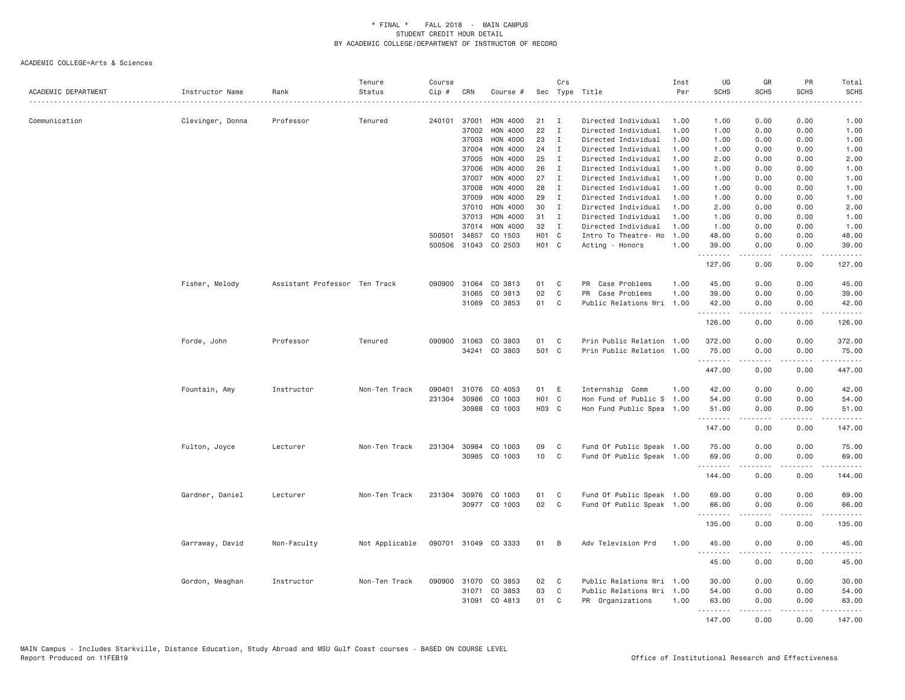| ACADEMIC DEPARTMENT | Instructor Name  | Rank                          | Tenure<br>Status | Course<br>Cip # | CRN          | Course #      |                   | Crs          | Sec Type Title            | Inst<br>Per | UG<br><b>SCHS</b>  | GR<br><b>SCHS</b> | PR<br><b>SCHS</b>                   | Total<br><b>SCHS</b>                                                                                                                                                                     |
|---------------------|------------------|-------------------------------|------------------|-----------------|--------------|---------------|-------------------|--------------|---------------------------|-------------|--------------------|-------------------|-------------------------------------|------------------------------------------------------------------------------------------------------------------------------------------------------------------------------------------|
| Communication       | Clevinger, Donna | Professor                     | Tenured          |                 | 240101 37001 | HON 4000      | 21                | $\mathbf{I}$ | Directed Individual       | 1.00        | 1.00               | 0.00              | 0.00                                | 1.00                                                                                                                                                                                     |
|                     |                  |                               |                  |                 | 37002        | HON 4000      | 22                | $\mathbf I$  | Directed Individual       | 1.00        | 1.00               | 0.00              | 0.00                                | 1.00                                                                                                                                                                                     |
|                     |                  |                               |                  |                 | 37003        | HON 4000      | 23                | $\mathbf{I}$ | Directed Individual       | 1.00        | 1.00               | 0.00              | 0.00                                | 1.00                                                                                                                                                                                     |
|                     |                  |                               |                  |                 | 37004        | HON 4000      | 24                | $\mathbf{I}$ | Directed Individual       | 1.00        | 1.00               | 0.00              | 0.00                                | 1.00                                                                                                                                                                                     |
|                     |                  |                               |                  |                 | 37005        | HON 4000      | 25                | $\mathbf{I}$ | Directed Individual       | 1.00        | 2.00               | 0.00              | 0.00                                | 2.00                                                                                                                                                                                     |
|                     |                  |                               |                  |                 | 37006        | HON 4000      | 26                | $\mathbf{I}$ | Directed Individual       | 1.00        | 1.00               | 0.00              | 0.00                                | 1.00                                                                                                                                                                                     |
|                     |                  |                               |                  |                 | 37007        | HON 4000      | 27                | $\mathbf{I}$ | Directed Individual       | 1.00        | 1.00               | 0.00              | 0.00                                | 1.00                                                                                                                                                                                     |
|                     |                  |                               |                  |                 | 37008        | HON 4000      | 28                | $\mathbf{I}$ | Directed Individual       | 1.00        | 1.00               | 0.00              | 0.00                                | 1.00                                                                                                                                                                                     |
|                     |                  |                               |                  |                 | 37009        | HON 4000      | 29                | $\mathbf{I}$ | Directed Individual       | 1.00        | 1.00               | 0.00              | 0.00                                | 1.00                                                                                                                                                                                     |
|                     |                  |                               |                  |                 | 37010        | HON 4000      | 30                | $\mathbf{I}$ | Directed Individual       | 1.00        | 2.00               | 0.00              | 0.00                                | 2.00                                                                                                                                                                                     |
|                     |                  |                               |                  |                 | 37013        | HON 4000      | 31                | <b>I</b>     | Directed Individual       | 1.00        | 1.00               | 0.00              | 0.00                                | 1.00                                                                                                                                                                                     |
|                     |                  |                               |                  |                 | 37014        | HON 4000      | 32                | $\mathbf{I}$ | Directed Individual       | 1.00        | 1.00               | 0.00              | 0.00                                | 1.00                                                                                                                                                                                     |
|                     |                  |                               |                  | 500501          | 34857        | CO 1503       | HO1 C             |              | Intro To Theatre- Ho      | 1.00        | 48.00              | 0.00              | 0.00                                | 48.00                                                                                                                                                                                    |
|                     |                  |                               |                  | 500506          |              | 31043 CO 2503 | H <sub>01</sub> C |              | Acting - Honors           | 1.00        | 39.00<br>.         | 0.00<br><u>.</u>  | 0.00<br>.                           | 39.00<br>.                                                                                                                                                                               |
|                     |                  |                               |                  |                 |              |               |                   |              |                           |             | 127.00             | 0.00              | 0.00                                | 127.00                                                                                                                                                                                   |
|                     | Fisher, Melody   | Assistant Professor Ten Track |                  | 090900          | 31064        | CO 3813       | 01                | C            | PR Case Problems          | 1.00        | 45.00              | 0.00              | 0.00                                | 45.00                                                                                                                                                                                    |
|                     |                  |                               |                  |                 | 31065        | CO 3813       | 02                | $\mathbb C$  | PR<br>Case Problems       | 1.00        | 39.00              | 0.00              | 0.00                                | 39.00                                                                                                                                                                                    |
|                     |                  |                               |                  |                 | 31069        | CO 3853       | 01                | C            | Public Relations Wri      | 1.00        | 42.00              | 0.00              | 0.00                                | 42.00                                                                                                                                                                                    |
|                     |                  |                               |                  |                 |              |               |                   |              |                           |             | .<br>126.00        | .<br>0.00         | $\sim$ $\sim$ $\sim$<br>0.00        | .<br>126.00                                                                                                                                                                              |
|                     |                  |                               |                  |                 |              |               |                   |              |                           |             |                    |                   |                                     |                                                                                                                                                                                          |
|                     | Forde, John      | Professor                     | Tenured          | 090900          | 31063        | CO 3803       | 01                | C            | Prin Public Relation 1.00 |             | 372.00             | 0.00              | 0.00                                | 372.00                                                                                                                                                                                   |
|                     |                  |                               |                  |                 |              | 34241 CO 3803 | 501 C             |              | Prin Public Relation 1.00 |             | 75.00              | 0.00<br>-----     | 0.00<br>.                           | 75.00<br>$\frac{1}{2} \left( \frac{1}{2} \right) \left( \frac{1}{2} \right) \left( \frac{1}{2} \right) \left( \frac{1}{2} \right) \left( \frac{1}{2} \right) \left( \frac{1}{2} \right)$ |
|                     |                  |                               |                  |                 |              |               |                   |              |                           |             | 447.00             | 0.00              | 0.00                                | 447.00                                                                                                                                                                                   |
|                     | Fountain, Amy    | Instructor                    | Non-Ten Track    | 090401          | 31076        | CO 4053       | 01                | E            | Internship Comm           | 1.00        | 42.00              | 0.00              | 0.00                                | 42.00                                                                                                                                                                                    |
|                     |                  |                               |                  | 231304          | 30986        | CO 1003       | H <sub>01</sub> C |              | Hon Fund of Public S      | 1.00        | 54.00              | 0.00              | 0.00                                | 54.00                                                                                                                                                                                    |
|                     |                  |                               |                  |                 | 30988        | CO 1003       | H03 C             |              | Hon Fund Public Spea 1.00 |             | 51.00<br>.         | 0.00<br>.         | 0.00<br>$\sim$ $\sim$ $\sim$ $\sim$ | 51.00<br>.                                                                                                                                                                               |
|                     |                  |                               |                  |                 |              |               |                   |              |                           |             | 147.00             | 0.00              | 0.00                                | 147.00                                                                                                                                                                                   |
|                     | Fulton, Joyce    | Lecturer                      | Non-Ten Track    | 231304          | 30984        | CO 1003       | 09                | C            | Fund Of Public Speak 1.00 |             | 75.00              | 0.00              | 0.00                                | 75.00                                                                                                                                                                                    |
|                     |                  |                               |                  |                 | 30985        | CO 1003       | 10                | C            | Fund Of Public Speak 1.00 |             | 69.00<br>.         | 0.00              | 0.00<br>$\sim$ $\sim$ $\sim$ $\sim$ | 69.00<br>د د د د                                                                                                                                                                         |
|                     |                  |                               |                  |                 |              |               |                   |              |                           |             | 144.00             | 0.00              | 0.00                                | 144.00                                                                                                                                                                                   |
|                     | Gardner, Daniel  | Lecturer                      | Non-Ten Track    | 231304          |              | 30976 CO 1003 | 01                | C            | Fund Of Public Speak 1.00 |             | 69.00              | 0.00              | 0.00                                | 69.00                                                                                                                                                                                    |
|                     |                  |                               |                  |                 |              | 30977 CO 1003 | 02                | C            | Fund Of Public Speak 1.00 |             | 66.00              | 0.00              | 0.00                                | 66.00                                                                                                                                                                                    |
|                     |                  |                               |                  |                 |              |               |                   |              |                           |             | .                  | .                 | .                                   | د د د د                                                                                                                                                                                  |
|                     |                  |                               |                  |                 |              |               |                   |              |                           |             | 135.00             | 0.00              | 0.00                                | 135.00                                                                                                                                                                                   |
|                     | Garraway, David  | Non-Faculty                   | Not Applicable   | 090701          |              | 31049 CO 3333 | 01                | B            | Adv Television Prd        | 1.00        | 45.00<br>.         | 0.00<br>.         | 0.00<br>.                           | 45.00<br>.                                                                                                                                                                               |
|                     |                  |                               |                  |                 |              |               |                   |              |                           |             | 45.00              | 0.00              | 0.00                                | 45.00                                                                                                                                                                                    |
|                     | Gordon, Meaghan  | Instructor                    | Non-Ten Track    | 090900          | 31070        | CO 3853       | 02                | C            | Public Relations Wri      | 1.00        | 30.00              | 0.00              | 0.00                                | 30.00                                                                                                                                                                                    |
|                     |                  |                               |                  |                 | 31071        | CO 3853       | 03                | C            | Public Relations Wri      | 1.00        | 54.00              | 0.00              | 0.00                                | 54.00                                                                                                                                                                                    |
|                     |                  |                               |                  |                 | 31091        | CO 4813       | 01                | C            | PR Organizations          | 1.00        | 63.00              | 0.00              | 0.00                                | 63.00                                                                                                                                                                                    |
|                     |                  |                               |                  |                 |              |               |                   |              |                           |             | <u>.</u><br>147.00 | <u>.</u><br>0.00  | .<br>0.00                           | <u>.</u><br>147.00                                                                                                                                                                       |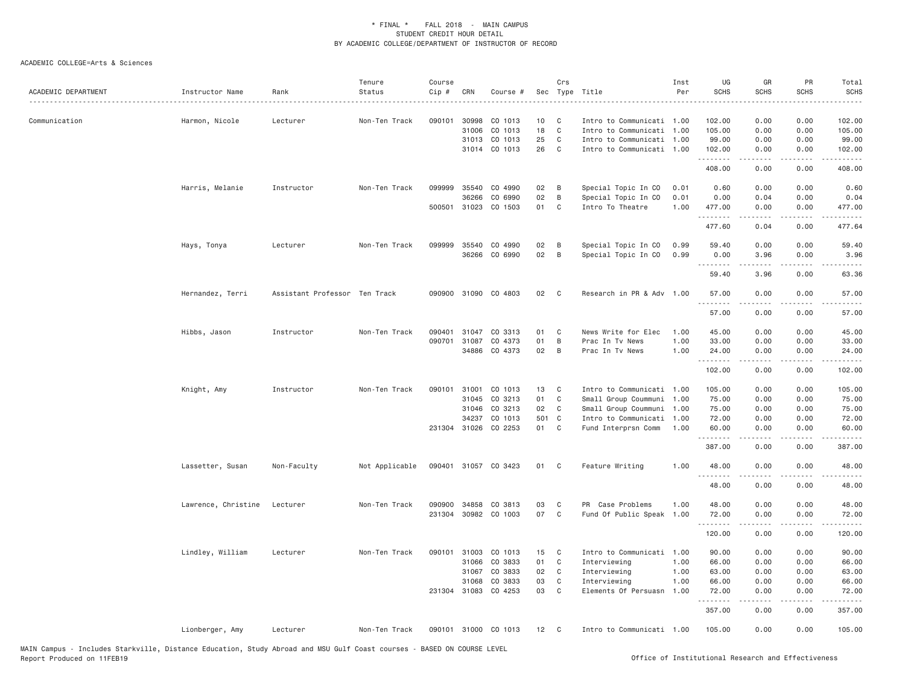| ACADEMIC DEPARTMENT | Instructor Name     | Rank                          | Tenure<br>Status | Course<br>Cip # | CRN          | Course #             |       | Crs            | Sec Type Title            | Inst<br>Per | UG<br><b>SCHS</b> | GR<br><b>SCHS</b> | PR<br><b>SCHS</b> | Total<br><b>SCHS</b> |
|---------------------|---------------------|-------------------------------|------------------|-----------------|--------------|----------------------|-------|----------------|---------------------------|-------------|-------------------|-------------------|-------------------|----------------------|
| Communication       | Harmon, Nicole      | Lecturer                      | Non-Ten Track    | 090101          | 30998        | CO 1013              | 10    | C              | Intro to Communicati 1.00 |             | 102.00            | 0.00              | 0.00              | 102.00               |
|                     |                     |                               |                  |                 | 31006        | CO 1013              | 18    | C              | Intro to Communicati 1.00 |             | 105.00            | 0.00              | 0.00              | 105.00               |
|                     |                     |                               |                  |                 |              | 31013 CO 1013        | 25    | C              | Intro to Communicati 1.00 |             | 99.00             | 0.00              | 0.00              | 99.00                |
|                     |                     |                               |                  |                 |              | 31014 CO 1013        | 26    | $\mathbf C$    | Intro to Communicati 1.00 |             | 102.00<br>.       | 0.00<br>.         | 0.00<br>.         | 102.00<br>. <b>.</b> |
|                     |                     |                               |                  |                 |              |                      |       |                |                           |             | 408.00            | 0.00              | 0.00              | 408.00               |
|                     | Harris, Melanie     | Instructor                    | Non-Ten Track    | 099999          | 35540        | CO 4990              | 02    | $\overline{B}$ | Special Topic In CO       | 0.01        | 0.60              | 0.00              | 0.00              | 0.60                 |
|                     |                     |                               |                  |                 | 36266        | CO 6990              | 02    | B              | Special Topic In CO       | 0.01        | 0.00              | 0.04              | 0.00              | 0.04                 |
|                     |                     |                               |                  |                 |              | 500501 31023 CO 1503 | 01    | C              | Intro To Theatre          | 1.00        | 477.00<br>.       | 0.00              | 0.00<br>$- - - -$ | 477.00               |
|                     |                     |                               |                  |                 |              |                      |       |                |                           |             | 477.60            | 0.04              | 0.00              | 477.64               |
|                     | Hays, Tonya         | Lecturer                      | Non-Ten Track    | 099999          | 35540        | CO 4990              | 02    | B              | Special Topic In CO       | 0.99        | 59.40             | 0.00              | 0.00              | 59.40                |
|                     |                     |                               |                  |                 | 36266        | CO 6990              | 02    | B              | Special Topic In CO       | 0.99        | 0.00<br>.         | 3.96<br>.         | 0.00<br>.         | 3.96<br>-----        |
|                     |                     |                               |                  |                 |              |                      |       |                |                           |             | 59.40             | 3.96              | 0.00              | 63.36                |
|                     | Hernandez, Terri    | Assistant Professor Ten Track |                  |                 | 090900 31090 | CO 4803              | 02    | $\mathbf{C}$   | Research in PR & Adv 1.00 |             | 57.00<br><u>.</u> | 0.00<br>-----     | 0.00<br>.         | 57.00<br>.           |
|                     |                     |                               |                  |                 |              |                      |       |                |                           |             | 57.00             | 0.00              | 0.00              | 57.00                |
|                     | Hibbs, Jason        | Instructor                    | Non-Ten Track    | 090401          | 31047        | CO 3313              | 01    | $\mathbf{C}$   | News Write for Elec       | 1.00        | 45.00             | 0.00              | 0.00              | 45.00                |
|                     |                     |                               |                  | 090701          | 31087        | CO 4373              | 01    | B              | Prac In Tv News           | 1.00        | 33.00             | 0.00              | 0.00              | 33.00                |
|                     |                     |                               |                  |                 |              | 34886 CO 4373        | 02    | B              | Prac In Tv News           | 1.00        | 24.00<br>.        | 0.00              | 0.00              | 24.00                |
|                     |                     |                               |                  |                 |              |                      |       |                |                           |             | 102.00            | 0.00              | 0.00              | 102.00               |
|                     | Knight, Amy         | Instructor                    | Non-Ten Track    |                 | 090101 31001 | CO 1013              | 13    | $\mathbf{C}$   | Intro to Communicati 1.00 |             | 105.00            | 0.00              | 0.00              | 105.00               |
|                     |                     |                               |                  |                 | 31045        | CO 3213              | 01    | $\mathbf{C}$   | Small Group Coummuni 1.00 |             | 75.00             | 0.00              | 0.00              | 75.00                |
|                     |                     |                               |                  |                 | 31046        | CO 3213              | 02    | C              | Small Group Coummuni 1.00 |             | 75.00             | 0.00              | 0.00              | 75.00                |
|                     |                     |                               |                  |                 | 34237        | CO 1013              | 501 C |                | Intro to Communicati 1.00 |             | 72.00             | 0.00              | 0.00              | 72.00                |
|                     |                     |                               |                  |                 |              | 231304 31026 CO 2253 | 01 C  |                | Fund Interprsn Comm       | 1.00        | 60.00<br><u>.</u> | 0.00<br>.         | 0.00<br>.         | 60.00<br>.           |
|                     |                     |                               |                  |                 |              |                      |       |                |                           |             | 387.00            | 0.00              | 0.00              | 387.00               |
|                     | Lassetter, Susan    | Non-Faculty                   | Not Applicable   |                 |              | 090401 31057 CO 3423 | 01    | $\mathbf{C}$   | Feature Writing           | 1.00        | 48.00<br>.        | 0.00              | 0.00<br>$\cdots$  | 48.00                |
|                     |                     |                               |                  |                 |              |                      |       |                |                           |             | 48.00             | 0.00              | 0.00              | 48.00                |
|                     | Lawrence, Christine | Lecturer                      | Non-Ten Track    | 090900          | 34858        | CO 3813              | 03    | $\mathbf{C}$   | PR Case Problems          | 1.00        | 48.00             | 0.00              | 0.00              | 48.00                |
|                     |                     |                               |                  | 231304          |              | 30982 CO 1003        | 07    | $\mathbf{C}$   | Fund Of Public Speak 1.00 |             | 72.00             | 0.00              | 0.00              | 72.00                |
|                     |                     |                               |                  |                 |              |                      |       |                |                           |             | .<br>120.00       | 0.00              | 0.00              | 120.00               |
|                     | Lindley, William    | Lecturer                      | Non-Ten Track    | 090101          | 31003        | CO 1013              | 15    | $\mathbf{C}$   | Intro to Communicati 1.00 |             | 90.00             | 0.00              | 0.00              | 90.00                |
|                     |                     |                               |                  |                 | 31066        | CO 3833              | 01    | C              | Interviewing              | 1.00        | 66.00             | 0.00              | 0.00              | 66.00                |
|                     |                     |                               |                  |                 | 31067        | CO 3833              | 02 C  |                | Interviewing              | 1.00        | 63.00             | 0.00              | 0.00              | 63.00                |
|                     |                     |                               |                  |                 | 31068        | CO 3833              | 03    | $\mathbf{C}$   | Interviewing              | 1.00        | 66.00             | 0.00              | 0.00              | 66.00                |
|                     |                     |                               |                  |                 | 231304 31083 | CO 4253              | 03    | $\mathbf{C}$   | Elements Of Persuasn      | 1.00        | 72.00<br>.        | 0.00              | 0.00              | 72.00                |
|                     |                     |                               |                  |                 |              |                      |       |                |                           |             | 357.00            | 0.00              | 0.00              | 357.00               |
|                     | Lionberger, Amy     | Lecturer                      | Non-Ten Track    |                 |              | 090101 31000 CO 1013 | 12    | $\mathbf{C}$   | Intro to Communicati 1.00 |             | 105.00            | 0.00              | 0.00              | 105.00               |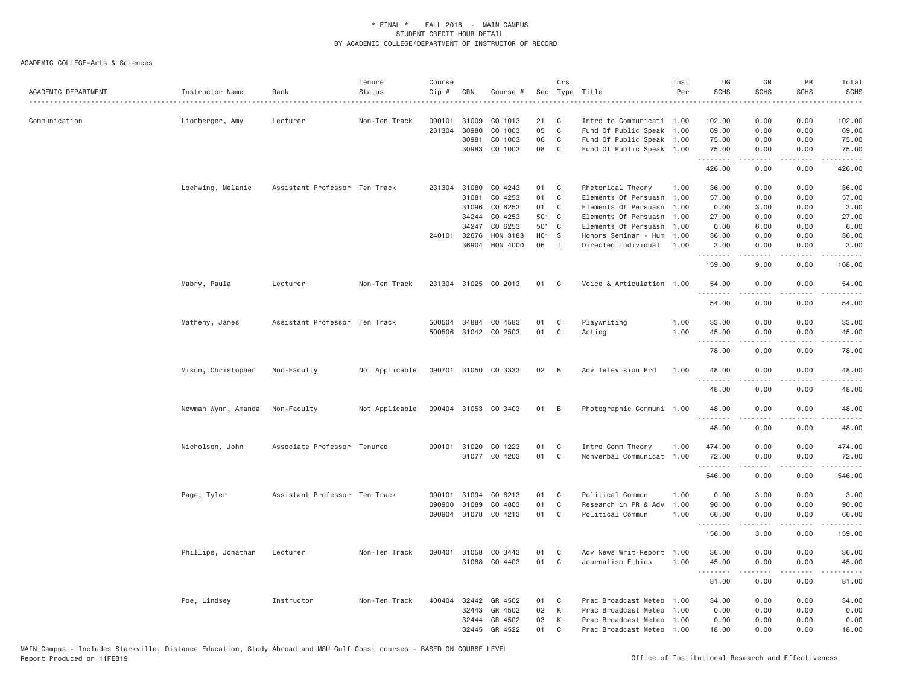| ACADEMIC DEPARTMENT | Instructor Name     | Rank                          | Tenure<br>Status | Course<br>Cip # | CRN            | Course #                              |                | Crs          | Sec Type Title                              | Inst<br>Per  | UG<br><b>SCHS</b>             | GR<br>SCHS          | PR<br><b>SCHS</b> | Total<br><b>SCHS</b>                                                                                                                                                                     |
|---------------------|---------------------|-------------------------------|------------------|-----------------|----------------|---------------------------------------|----------------|--------------|---------------------------------------------|--------------|-------------------------------|---------------------|-------------------|------------------------------------------------------------------------------------------------------------------------------------------------------------------------------------------|
| Communication       | Lionberger, Amy     | Lecturer                      | Non-Ten Track    | 090101          | 31009          | CO 1013                               | 21             | C            | Intro to Communicati 1.00                   |              | 102.00                        | 0.00                | 0.00              | 102.00                                                                                                                                                                                   |
|                     |                     |                               |                  | 231304          | 30980          | CO 1003                               | 05             | $\mathsf{C}$ | Fund Of Public Speak                        | 1.00         | 69.00                         | 0.00                | 0.00              | 69.00                                                                                                                                                                                    |
|                     |                     |                               |                  |                 | 30981          | CO 1003                               | 06             | C            | Fund Of Public Speak 1.00                   |              | 75.00                         | 0.00                | 0.00              | 75.00                                                                                                                                                                                    |
|                     |                     |                               |                  |                 | 30983          | CO 1003                               | 08             | C            | Fund Of Public Speak 1.00                   |              | 75.00<br>.                    | 0.00<br>.           | 0.00<br>.         | 75.00<br>.                                                                                                                                                                               |
|                     |                     |                               |                  |                 |                |                                       |                |              |                                             |              | 426.00                        | 0.00                | 0.00              | 426.00                                                                                                                                                                                   |
|                     | Loehwing, Melanie   | Assistant Professor Ten Track |                  | 231304          | 31080          | CO 4243                               | 01             | C            | Rhetorical Theory                           | 1.00         | 36.00                         | 0.00                | 0.00              | 36,00                                                                                                                                                                                    |
|                     |                     |                               |                  |                 | 31081          | CO 4253                               | 01             | C            | Elements Of Persuasn                        | 1.00         | 57.00                         | 0.00                | 0.00              | 57.00                                                                                                                                                                                    |
|                     |                     |                               |                  |                 | 31096          | CO 6253                               | 01             | C            | Elements Of Persuasn                        | 1.00         | 0.00                          | 3.00                | 0.00              | 3.00                                                                                                                                                                                     |
|                     |                     |                               |                  |                 | 34244          | CO 4253                               | 501 C          |              | Elements Of Persuasn 1.00                   |              | 27.00                         | 0.00                | 0.00              | 27.00                                                                                                                                                                                    |
|                     |                     |                               |                  |                 | 34247          | CO 6253                               | 501 C<br>H01 S |              | Elements Of Persuasn                        | 1.00         | 0.00                          | 6.00                | 0.00              | 6.00                                                                                                                                                                                     |
|                     |                     |                               |                  | 240101          | 32676<br>36904 | HON 3183<br>HON 4000                  | 06             | $\mathbf{I}$ | Honors Seminar - Hum<br>Directed Individual | 1.00<br>1,00 | 36.00<br>3,00                 | 0.00<br>0.00        | 0.00<br>0.00      | 36.00<br>3.00                                                                                                                                                                            |
|                     |                     |                               |                  |                 |                |                                       |                |              |                                             |              | .                             | .                   | .                 | .                                                                                                                                                                                        |
|                     |                     |                               |                  |                 |                |                                       |                |              |                                             |              | 159.00                        | 9.00                | 0.00              | 168.00                                                                                                                                                                                   |
|                     | Mabry, Paula        | Lecturer                      | Non-Ten Track    |                 |                | 231304 31025 CO 2013                  | 01             | C            | Voice & Articulation 1.00                   |              | 54.00<br>.                    | 0.00<br>.           | 0.00<br>$- - - -$ | 54.00<br>.                                                                                                                                                                               |
|                     |                     |                               |                  |                 |                |                                       |                |              |                                             |              | 54.00                         | 0.00                | 0.00              | 54.00                                                                                                                                                                                    |
|                     | Matheny, James      | Assistant Professor Ten Track |                  | 500504          | 34884          | CO 4583                               | 01             | C            | Playwriting                                 | 1.00         | 33,00                         | 0.00                | 0.00              | 33.00                                                                                                                                                                                    |
|                     |                     |                               |                  |                 |                | 500506 31042 CO 2503                  | 01             | C            | Acting                                      | 1.00         | 45.00                         | 0.00                | 0.00              | 45.00                                                                                                                                                                                    |
|                     |                     |                               |                  |                 |                |                                       |                |              |                                             |              | <b><i><u><u>.</u></u></i></b> | .                   | .                 | .                                                                                                                                                                                        |
|                     |                     |                               |                  |                 |                |                                       |                |              |                                             |              | 78.00                         | 0.00                | 0.00              | 78.00                                                                                                                                                                                    |
|                     | Misun, Christopher  | Non-Faculty                   | Not Applicable   |                 |                | 090701 31050 CO 3333                  | 02             | B            | Adv Television Prd                          | 1.00         | 48.00<br>.                    | 0.00                | 0.00<br>.         | 48.00                                                                                                                                                                                    |
|                     |                     |                               |                  |                 |                |                                       |                |              |                                             |              | 48.00                         | 0.00                | 0.00              | 48.00                                                                                                                                                                                    |
|                     | Newman Wynn, Amanda | Non-Faculty                   | Not Applicable   |                 |                | 090404 31053 CO 3403                  | 01 B           |              | Photographic Communi 1.00                   |              | 48.00                         | 0.00                | 0.00              | 48.00                                                                                                                                                                                    |
|                     |                     |                               |                  |                 |                |                                       |                |              |                                             |              | <b></b><br>48.00              | $- - - - -$<br>0.00 | -----<br>0.00     | .<br>48.00                                                                                                                                                                               |
|                     |                     |                               |                  |                 |                |                                       |                |              |                                             |              |                               |                     |                   |                                                                                                                                                                                          |
|                     | Nicholson, John     | Associate Professor Tenured   |                  |                 |                | 090101 31020 CO 1223<br>31077 CO 4203 | 01<br>01       | C            | Intro Comm Theory                           | 1.00         | 474.00                        | 0.00                | 0.00              | 474.00                                                                                                                                                                                   |
|                     |                     |                               |                  |                 |                |                                       |                | C            | Nonverbal Communicat                        | 1.00         | 72.00<br>.                    | 0.00<br>-----       | 0.00<br>.         | 72.00<br>$\frac{1}{2} \left( \frac{1}{2} \right) \left( \frac{1}{2} \right) \left( \frac{1}{2} \right) \left( \frac{1}{2} \right) \left( \frac{1}{2} \right) \left( \frac{1}{2} \right)$ |
|                     |                     |                               |                  |                 |                |                                       |                |              |                                             |              | 546.00                        | 0.00                | 0.00              | 546.00                                                                                                                                                                                   |
|                     | Page, Tyler         | Assistant Professor Ten Track |                  | 090101          | 31094          | CO 6213                               | 01             | C            | Political Commun                            | 1.00         | 0.00                          | 3.00                | 0.00              | 3.00                                                                                                                                                                                     |
|                     |                     |                               |                  | 090900          | 31089          | CO 4803                               | 01             | C            | Research in PR & Adv                        | 1.00         | 90.00                         | 0.00                | 0.00              | 90.00                                                                                                                                                                                    |
|                     |                     |                               |                  |                 |                | 090904 31078 CO 4213                  | 01             | C            | Political Commun                            | 1.00         | 66.00                         | 0.00                | 0.00              | 66.00                                                                                                                                                                                    |
|                     |                     |                               |                  |                 |                |                                       |                |              |                                             |              | .<br>156.00                   | .<br>3.00           | .<br>0.00         | .<br>159.00                                                                                                                                                                              |
|                     | Phillips, Jonathan  | Lecturer                      | Non-Ten Track    | 090401          | 31058          | CO 3443                               | 01             | C            | Adv News Writ-Report 1.00                   |              | 36.00                         | 0.00                | 0.00              | 36.00                                                                                                                                                                                    |
|                     |                     |                               |                  |                 |                | 31088 CO 4403                         | 01             | C            | Journalism Ethics                           | 1.00         | 45.00                         | 0.00                | 0.00              | 45.00                                                                                                                                                                                    |
|                     |                     |                               |                  |                 |                |                                       |                |              |                                             |              | .                             | -----               | .                 | .                                                                                                                                                                                        |
|                     |                     |                               |                  |                 |                |                                       |                |              |                                             |              | 81.00                         | 0.00                | 0.00              | 81.00                                                                                                                                                                                    |
|                     | Poe, Lindsey        | Instructor                    | Non-Ten Track    | 400404          | 32442          | GR 4502                               | 01             | C            | Prac Broadcast Meteo                        | 1.00         | 34.00                         | 0.00                | 0.00              | 34.00                                                                                                                                                                                    |
|                     |                     |                               |                  |                 | 32443          | GR 4502                               | 02             | К            | Prac Broadcast Meteo                        | 1.00         | 0.00                          | 0.00                | 0.00              | 0.00                                                                                                                                                                                     |
|                     |                     |                               |                  |                 | 32444          | GR 4502                               | 03             | К            | Prac Broadcast Meteo                        | 1.00         | 0.00                          | 0.00                | 0.00              | 0.00                                                                                                                                                                                     |
|                     |                     |                               |                  |                 | 32445          | GR 4522                               | 01             | C            | Prac Broadcast Meteo 1.00                   |              | 18.00                         | 0.00                | 0.00              | 18.00                                                                                                                                                                                    |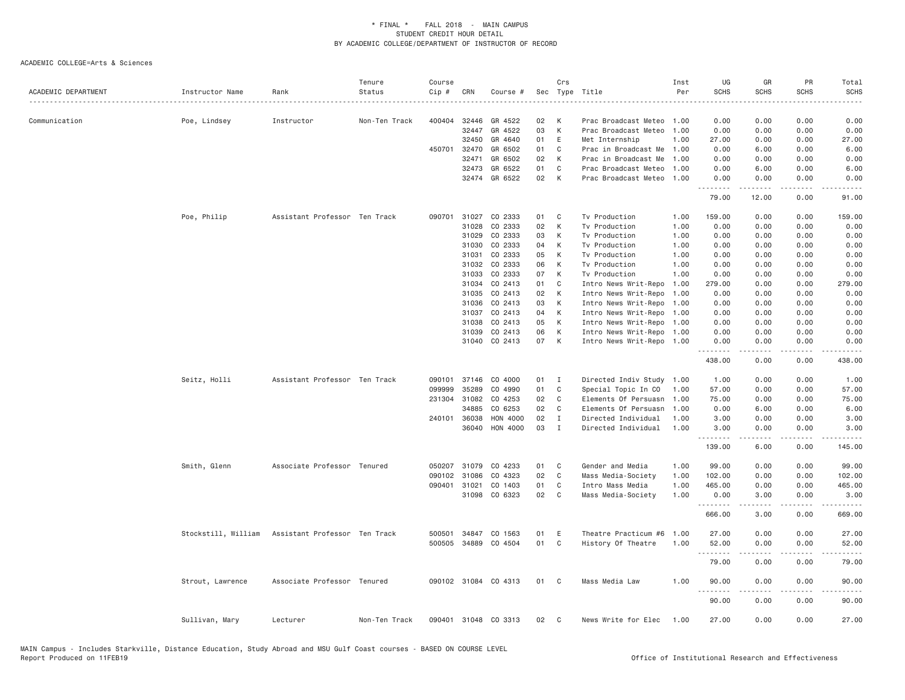| ACADEMIC DEPARTMENT | Instructor Name     | Rank                          | Tenure<br>Status | Course<br>Cip # | CRN   | Course #             | Sec | Crs          | Type Title<br>.           | Inst<br>Per | UG<br><b>SCHS</b> | GR<br><b>SCHS</b> | PR<br><b>SCHS</b>                   | Total<br><b>SCHS</b><br>. |
|---------------------|---------------------|-------------------------------|------------------|-----------------|-------|----------------------|-----|--------------|---------------------------|-------------|-------------------|-------------------|-------------------------------------|---------------------------|
| Communication       | Poe, Lindsey        | Instructor                    | Non-Ten Track    | 400404          | 32446 | GR 4522              | 02  | К            | Prac Broadcast Meteo      | 1.00        | 0.00              | 0.00              | 0.00                                | 0.00                      |
|                     |                     |                               |                  |                 | 32447 | GR 4522              | 03  | K            | Prac Broadcast Meteo      | 1,00        | 0.00              | 0.00              | 0.00                                | 0.00                      |
|                     |                     |                               |                  |                 | 32450 | GR 4640              | 01  | E            | Met Internship            | 1.00        | 27.00             | 0.00              | 0.00                                | 27.00                     |
|                     |                     |                               |                  | 450701          | 32470 | GR 6502              | 01  | C            | Prac in Broadcast Me      | 1.00        | 0.00              | 6.00              | 0.00                                | 6.00                      |
|                     |                     |                               |                  |                 | 32471 | GR 6502              | 02  | К            | Prac in Broadcast Me      | 1.00        | 0.00              | 0.00              | 0.00                                | 0.00                      |
|                     |                     |                               |                  |                 | 32473 | GR 6522              | 01  | C            | Prac Broadcast Meteo      | 1.00        | 0.00              | 6.00              | 0.00                                | 6.00                      |
|                     |                     |                               |                  |                 |       | 32474 GR 6522        | 02  | K            | Prac Broadcast Meteo      | 1.00        | 0.00<br><u>.</u>  | 0.00              | 0.00                                | 0.00                      |
|                     |                     |                               |                  |                 |       |                      |     |              |                           |             | 79.00             | 12.00             | 0.00                                | 91.00                     |
|                     | Poe, Philip         | Assistant Professor Ten Track |                  | 090701          | 31027 | CO 2333              | 01  | C            | Tv Production             | 1.00        | 159.00            | 0.00              | 0.00                                | 159.00                    |
|                     |                     |                               |                  |                 | 31028 | CO 2333              | 02  | К            | Tv Production             | 1.00        | 0.00              | 0.00              | 0.00                                | 0.00                      |
|                     |                     |                               |                  |                 | 31029 | CO 2333              | 03  | K            | Tv Production             | 1.00        | 0.00              | 0.00              | 0.00                                | 0.00                      |
|                     |                     |                               |                  |                 | 31030 | CO 2333              | 04  | К            | Tv Production             | 1.00        | 0.00              | 0.00              | 0.00                                | 0.00                      |
|                     |                     |                               |                  |                 | 31031 | CO 2333              | 05  | К            | Tv Production             | 1.00        | 0.00              | 0.00              | 0.00                                | 0.00                      |
|                     |                     |                               |                  |                 | 31032 | CO 2333              | 06  | K            | Tv Production             | 1.00        | 0.00              | 0.00              | 0.00                                | 0.00                      |
|                     |                     |                               |                  |                 | 31033 | CO 2333              | 07  | К            | Tv Production             | 1.00        | 0.00              | 0.00              | 0.00                                | 0.00                      |
|                     |                     |                               |                  |                 | 31034 | CO 2413              | 01  | C            | Intro News Writ-Repo      | 1.00        | 279.00            | 0.00              | 0.00                                | 279.00                    |
|                     |                     |                               |                  |                 | 31035 | CO 2413              | 02  | K            | Intro News Writ-Repo      | 1.00        | 0.00              | 0.00              | 0.00                                | 0.00                      |
|                     |                     |                               |                  |                 | 31036 | CO 2413              | 03  | К            | Intro News Writ-Repo      | 1.00        | 0.00              | 0.00              | 0.00                                | 0.00                      |
|                     |                     |                               |                  |                 | 31037 | CO 2413              | 04  | K            | Intro News Writ-Repo 1.00 |             | 0.00              | 0.00              | 0.00                                | 0.00                      |
|                     |                     |                               |                  |                 | 31038 | CO 2413              | 05  | K            | Intro News Writ-Repo 1.00 |             | 0.00              | 0.00              | 0.00                                | 0.00                      |
|                     |                     |                               |                  |                 | 31039 | CO 2413              | 06  | K            | Intro News Writ-Repo 1.00 |             | 0.00              | 0.00              | 0.00                                | 0.00                      |
|                     |                     |                               |                  |                 |       | 31040 CO 2413        | 07  | K            | Intro News Writ-Repo 1.00 |             | 0.00<br>.         | 0.00              | 0.00<br>.                           | 0.00                      |
|                     |                     |                               |                  |                 |       |                      |     |              |                           |             | 438.00            | 0.00              | 0.00                                | 438.00                    |
|                     | Seitz, Holli        | Assistant Professor Ten Track |                  | 090101          |       | 37146 CO 4000        | 01  | $\mathbf{I}$ | Directed Indiv Study 1.00 |             | 1.00              | 0.00              | 0.00                                | 1.00                      |
|                     |                     |                               |                  | 099999          | 35289 | CO 4990              | 01  | C            | Special Topic In CO       | 1.00        | 57.00             | 0.00              | 0.00                                | 57.00                     |
|                     |                     |                               |                  | 231304          | 31082 | CO 4253              | 02  | C            | Elements Of Persuasn      | 1.00        | 75.00             | 0.00              | 0.00                                | 75.00                     |
|                     |                     |                               |                  |                 | 34885 | CO 6253              | 02  | C            | Elements Of Persuasn      | 1.00        | 0.00              | 6.00              | 0.00                                | 6.00                      |
|                     |                     |                               |                  | 240101 36038    |       | HON 4000             | 02  | $\mathbf{I}$ | Directed Individual       | 1.00        | 3.00              | 0.00              | 0.00                                | 3.00                      |
|                     |                     |                               |                  |                 | 36040 | HON 4000             | 03  | $\mathbf{I}$ | Directed Individual       | 1.00        | 3.00<br>.         | 0.00<br>.         | 0.00<br>$\sim$ $\sim$ $\sim$ $\sim$ | 3.00<br>$- - - -$         |
|                     |                     |                               |                  |                 |       |                      |     |              |                           |             | 139.00            | 6.00              | 0.00                                | 145.00                    |
|                     | Smith, Glenn        | Associate Professor Tenured   |                  | 050207          | 31079 | CO 4233              | 01  | C            | Gender and Media          | 1.00        | 99.00             | 0.00              | 0.00                                | 99.00                     |
|                     |                     |                               |                  | 090102          | 31086 | CO 4323              | 02  | C            | Mass Media-Society        | 1.00        | 102.00            | 0.00              | 0.00                                | 102.00                    |
|                     |                     |                               |                  | 090401          | 31021 | CO 1403              | 01  | C            | Intro Mass Media          | 1.00        | 465.00            | 0.00              | 0.00                                | 465.00                    |
|                     |                     |                               |                  |                 |       | 31098 CO 6323        | 02  | C            | Mass Media-Society        | 1.00        | 0.00              | 3.00              | 0.00                                | 3.00                      |
|                     |                     |                               |                  |                 |       |                      |     |              |                           |             | 666.00            | 3.00              | 0.00                                | 669.00                    |
|                     | Stockstill, William | Assistant Professor Ten Track |                  | 500501          | 34847 | CO 1563              | 01  | E            | Theatre Practicum #6      | 1.00        | 27.00             | 0.00              | 0.00                                | 27.00                     |
|                     |                     |                               |                  |                 |       | 500505 34889 CO 4504 | 01  | $\mathbf{C}$ | History Of Theatre        | 1.00        | 52.00             | 0.00              | 0.00<br>$- - -$                     | 52.00                     |
|                     |                     |                               |                  |                 |       |                      |     |              |                           |             | 79.00             | 0.00              | 0.00                                | 79.00                     |
|                     | Strout, Lawrence    | Associate Professor Tenured   |                  |                 |       | 090102 31084 CO 4313 | 01  | C            | Mass Media Law            | 1.00        | 90.00<br>.        | 0.00<br>.         | 0.00<br>-----                       | 90.00<br>وبالمسامين       |
|                     |                     |                               |                  |                 |       |                      |     |              |                           |             | 90.00             | 0.00              | 0.00                                | 90.00                     |
|                     | Sullivan, Mary      | Lecturer                      | Non-Ten Track    |                 |       | 090401 31048 CO 3313 | 02  | C            | News Write for Elec       | 1.00        | 27.00             | 0.00              | 0.00                                | 27.00                     |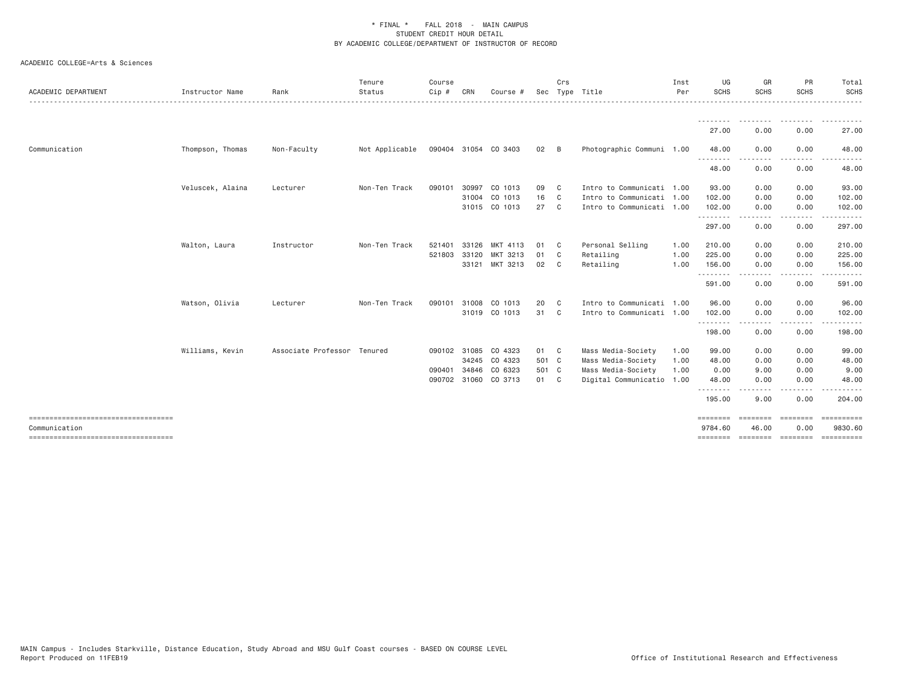| <b>ACADEMIC DEPARTMENT</b>                            | Instructor Name  | Rank                        | Tenure<br>Status | Course<br>$C$ ip # | CRN   | Course #             |              | Crs            | Sec Type Title            | Inst<br>Per | UG<br><b>SCHS</b>   | GR<br><b>SCHS</b>              | PR<br><b>SCHS</b>  | Total<br><b>SCHS</b><br>. |
|-------------------------------------------------------|------------------|-----------------------------|------------------|--------------------|-------|----------------------|--------------|----------------|---------------------------|-------------|---------------------|--------------------------------|--------------------|---------------------------|
|                                                       |                  |                             |                  |                    |       |                      |              |                |                           |             | ---------           | .                              | .                  |                           |
|                                                       |                  |                             |                  |                    |       |                      |              |                |                           |             | 27.00               | 0.00                           | 0.00               | 27.00                     |
| Communication                                         | Thompson, Thomas | Non-Faculty                 | Not Applicable   |                    |       | 090404 31054 CO 3403 | $02 \quad B$ |                | Photographic Communi 1.00 |             | 48.00               | 0.00                           | 0.00               | 48.00                     |
|                                                       |                  |                             |                  |                    |       |                      |              |                |                           |             | --------<br>48.00   | 0.00                           | 0.00               | 48.00                     |
|                                                       | Veluscek, Alaina | Lecturer                    | Non-Ten Track    | 090101             | 30997 | CO 1013              | 09           | C <sub>c</sub> | Intro to Communicati 1.00 |             | 93.00               | 0.00                           | 0.00               | 93.00                     |
|                                                       |                  |                             |                  |                    |       | 31004 CO 1013        | 16           | $\mathbb{C}$   | Intro to Communicati 1.00 |             | 102.00              | 0.00                           | 0.00               | 102.00                    |
|                                                       |                  |                             |                  |                    |       | 31015 CO 1013        | 27           | $\mathbf{C}$   | Intro to Communicati 1.00 |             | 102.00              | 0.00<br>$\cdots \cdots \cdots$ | 0.00<br>.          | 102.00<br>------          |
|                                                       |                  |                             |                  |                    |       |                      |              |                |                           |             | 297.00              | 0.00                           | 0.00               | 297.00                    |
|                                                       | Walton, Laura    | Instructor                  | Non-Ten Track    | 521401             | 33126 | MKT 4113             | 01           | $\mathbf{C}$   | Personal Selling          | 1.00        | 210.00              | 0.00                           | 0.00               | 210.00                    |
|                                                       |                  |                             |                  | 521803             | 33120 | MKT 3213             | 01           | C.             | Retailing                 | 1.00        | 225.00              | 0.00                           | 0.00               | 225.00                    |
|                                                       |                  |                             |                  |                    |       | 33121 MKT 3213       | 02 C         |                | Retailing                 | 1.00        | 156.00<br>.         | 0.00                           | 0.00<br>.          | 156.00<br>.               |
|                                                       |                  |                             |                  |                    |       |                      |              |                |                           |             | 591.00              | 0.00                           | 0.00               | 591.00                    |
|                                                       | Watson, Olivia   | Lecturer                    | Non-Ten Track    | 090101             |       | 31008 CO 1013        | 20           | $\mathbf{C}$   | Intro to Communicati 1.00 |             | 96.00               | 0.00                           | 0.00               | 96.00                     |
|                                                       |                  |                             |                  |                    |       | 31019 CO 1013        | 31 C         |                | Intro to Communicati 1.00 |             | 102.00<br><u>.</u>  | 0.00                           | 0.00               | 102.00                    |
|                                                       |                  |                             |                  |                    |       |                      |              |                |                           |             | 198.00              | 0.00                           | 0.00               | 198.00                    |
|                                                       | Williams, Kevin  | Associate Professor Tenured |                  |                    |       | 090102 31085 CO 4323 | 01 C         |                | Mass Media-Society        | 1.00        | 99.00               | 0.00                           | 0.00               | 99.00                     |
|                                                       |                  |                             |                  |                    |       | 34245 CO 4323        | 501 C        |                | Mass Media-Society        | 1.00        | 48.00               | 0.00                           | 0.00               | 48.00                     |
|                                                       |                  |                             |                  | 090401             | 34846 | CO 6323              | 501 C        |                | Mass Media-Society        | 1.00        | 0.00                | 9.00                           | 0.00               | 9.00                      |
|                                                       |                  |                             |                  |                    |       | 090702 31060 CO 3713 | 01 C         |                | Digital Communicatio 1.00 |             | 48.00<br>.          | 0.00                           | 0.00               | 48.00                     |
|                                                       |                  |                             |                  |                    |       |                      |              |                |                           |             | 195.00              | 9.00                           | 0.00               | 204.00                    |
| ====================================<br>Communication |                  |                             |                  |                    |       |                      |              |                |                           |             | ========<br>9784.60 | .<br>46.00                     | ========<br>0.00   | ==========<br>9830.60     |
| ======================================                |                  |                             |                  |                    |       |                      |              |                |                           |             | ========            |                                | --------- -------- | ==========                |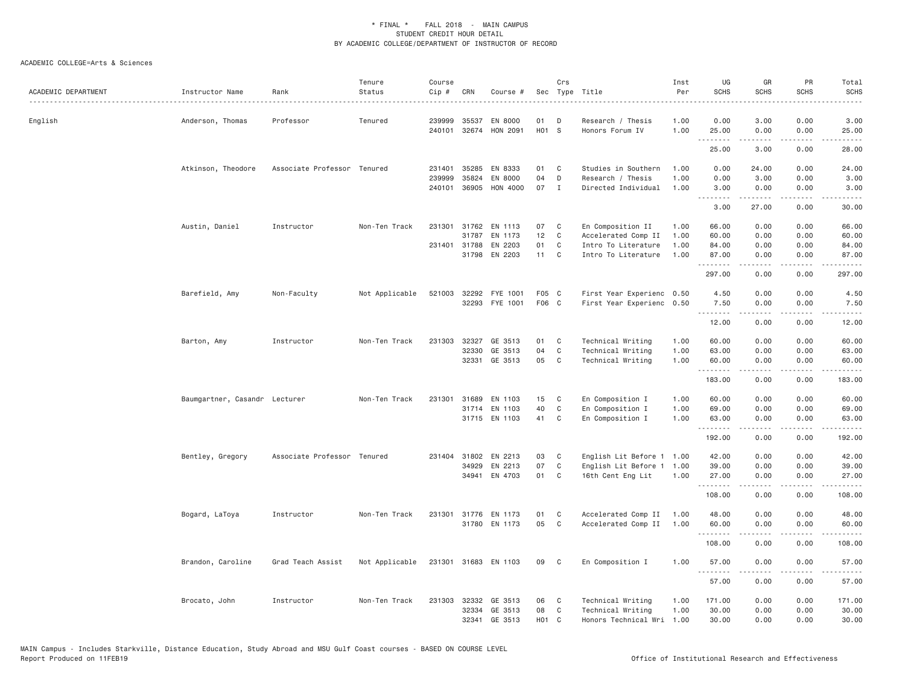| ACADEMIC DEPARTMENT | Instructor Name               | Rank                        | Tenure<br>Status | Course<br>Cip # | CRN            | Course #                         |                  | Crs          | Sec Type Title<br>.                       | Inst<br>Per<br>. <u>.</u> | UG<br><b>SCHS</b>                                                                                                                 | GR<br><b>SCHS</b>                                                                                                                                            | PR<br><b>SCHS</b>            | Total<br><b>SCHS</b><br>$\frac{1}{2}$ |
|---------------------|-------------------------------|-----------------------------|------------------|-----------------|----------------|----------------------------------|------------------|--------------|-------------------------------------------|---------------------------|-----------------------------------------------------------------------------------------------------------------------------------|--------------------------------------------------------------------------------------------------------------------------------------------------------------|------------------------------|---------------------------------------|
| English             | Anderson, Thomas              | Professor                   | Tenured          | 239999          | 35537          | EN 8000<br>240101 32674 HON 2091 | 01<br>H01 S      | D            | Research / Thesis<br>Honors Forum IV      | 1.00<br>1.00              | 0.00<br>25.00                                                                                                                     | 3.00<br>0.00                                                                                                                                                 | 0.00<br>0.00                 | 3.00<br>25.00                         |
|                     |                               |                             |                  |                 |                |                                  |                  |              |                                           |                           | .<br>25.00                                                                                                                        | <u>.</u><br>3.00                                                                                                                                             | .<br>0.00                    | .<br>28.00                            |
|                     |                               |                             |                  |                 |                |                                  |                  |              |                                           |                           |                                                                                                                                   |                                                                                                                                                              |                              |                                       |
|                     | Atkinson, Theodore            | Associate Professor Tenured |                  | 231401          | 35285          | EN 8333                          | 01               | C            | Studies in Southern                       | 1.00                      | 0.00                                                                                                                              | 24.00                                                                                                                                                        | 0.00                         | 24.00                                 |
|                     |                               |                             |                  | 239999          | 35824          | EN 8000                          | 04               | D            | Research / Thesis                         | 1.00                      | 0.00                                                                                                                              | 3.00                                                                                                                                                         | 0.00                         | 3.00                                  |
|                     |                               |                             |                  | 240101          | 36905          | HON 4000                         | 07               | $\mathbf{I}$ | Directed Individual                       | 1.00                      | 3.00<br>$\frac{1}{2} \left( \frac{1}{2} \right) \left( \frac{1}{2} \right) \left( \frac{1}{2} \right) \left( \frac{1}{2} \right)$ | 0.00                                                                                                                                                         | 0.00<br>$\sim$ $\sim$ $\sim$ | 3.00                                  |
|                     |                               |                             |                  |                 |                |                                  |                  |              |                                           |                           | 3.00                                                                                                                              | 27.00                                                                                                                                                        | 0.00                         | 30.00                                 |
|                     | Austin, Daniel                | Instructor                  | Non-Ten Track    | 231301          |                | 31762 EN 1113                    | 07               | C            | En Composition II                         | 1.00                      | 66.00                                                                                                                             | 0.00                                                                                                                                                         | 0.00                         | 66.00                                 |
|                     |                               |                             |                  |                 | 31787          | EN 1173                          | 12               | C            | Accelerated Comp II                       | 1.00                      | 60.00                                                                                                                             | 0.00                                                                                                                                                         | 0.00                         | 60.00                                 |
|                     |                               |                             |                  |                 | 231401 31788   | EN 2203                          | 01               | C            | Intro To Literature                       | 1.00                      | 84.00                                                                                                                             | 0.00                                                                                                                                                         | 0.00                         | 84.00                                 |
|                     |                               |                             |                  |                 |                | 31798 EN 2203                    | 11 C             |              | Intro To Literature                       | 1.00                      | 87.00<br>.                                                                                                                        | 0.00<br>$\frac{1}{2} \left( \frac{1}{2} \right) \left( \frac{1}{2} \right) \left( \frac{1}{2} \right) \left( \frac{1}{2} \right) \left( \frac{1}{2} \right)$ | 0.00<br>.                    | 87.00<br>.                            |
|                     |                               |                             |                  |                 |                |                                  |                  |              |                                           |                           | 297.00                                                                                                                            | 0.00                                                                                                                                                         | 0.00                         | 297.00                                |
|                     | Barefield, Amy                | Non-Faculty                 | Not Applicable   | 521003          |                | 32292 FYE 1001                   | F05 C            |              | First Year Experienc 0.50                 |                           | 4.50                                                                                                                              | 0.00                                                                                                                                                         | 0.00                         | 4.50                                  |
|                     |                               |                             |                  |                 |                | 32293 FYE 1001                   | F06 C            |              | First Year Experienc 0.50                 |                           | 7.50                                                                                                                              | 0.00                                                                                                                                                         | 0.00                         | 7.50                                  |
|                     |                               |                             |                  |                 |                |                                  |                  |              |                                           |                           | . <i>.</i><br>12.00                                                                                                               | 0.00                                                                                                                                                         | .<br>0.00                    | .<br>12.00                            |
|                     |                               |                             |                  |                 |                |                                  |                  |              |                                           |                           |                                                                                                                                   |                                                                                                                                                              |                              |                                       |
|                     | Barton, Amy                   | Instructor                  | Non-Ten Track    | 231303          | 32327<br>32330 | GE 3513<br>GE 3513               | 01<br>04         | C<br>C       | Technical Writing<br>Technical Writing    | 1.00<br>1.00              | 60.00<br>63.00                                                                                                                    | 0.00<br>0.00                                                                                                                                                 | 0.00<br>0.00                 | 60.00<br>63.00                        |
|                     |                               |                             |                  |                 | 32331          | GE 3513                          | 05               | C            | Technical Writing                         | 1.00                      | 60.00                                                                                                                             | 0.00                                                                                                                                                         | 0.00                         | 60.00                                 |
|                     |                               |                             |                  |                 |                |                                  |                  |              |                                           |                           | <u>.</u><br>183.00                                                                                                                | .<br>0.00                                                                                                                                                    | .<br>0.00                    | .<br>183.00                           |
|                     |                               |                             |                  |                 |                |                                  |                  |              |                                           |                           |                                                                                                                                   |                                                                                                                                                              |                              |                                       |
|                     | Baumgartner, Casandr Lecturer |                             | Non-Ten Track    | 231301          | 31689          | EN 1103                          | 15               | C            | En Composition I                          | 1.00                      | 60.00                                                                                                                             | 0.00                                                                                                                                                         | 0.00                         | 60.00                                 |
|                     |                               |                             |                  |                 |                | 31714 EN 1103<br>31715 EN 1103   | 40<br>41         | C<br>C       | En Composition I                          | 1.00                      | 69.00<br>63.00                                                                                                                    | 0.00                                                                                                                                                         | 0.00                         | 69.00<br>63.00                        |
|                     |                               |                             |                  |                 |                |                                  |                  |              | En Composition I                          | 1.00                      | .                                                                                                                                 | 0.00<br>.                                                                                                                                                    | 0.00<br>.                    | .                                     |
|                     |                               |                             |                  |                 |                |                                  |                  |              |                                           |                           | 192.00                                                                                                                            | 0.00                                                                                                                                                         | 0.00                         | 192.00                                |
|                     | Bentley, Gregory              | Associate Professor Tenured |                  |                 |                | 231404 31802 EN 2213             | 03               | C            | English Lit Before 1 1.00                 |                           | 42.00                                                                                                                             | 0.00                                                                                                                                                         | 0.00                         | 42.00                                 |
|                     |                               |                             |                  |                 | 34929          | EN 2213                          | 07               | C            | English Lit Before 1                      | 1.00                      | 39.00                                                                                                                             | 0.00                                                                                                                                                         | 0.00                         | 39.00                                 |
|                     |                               |                             |                  |                 |                | 34941 EN 4703                    | 01               | C            | 16th Cent Eng Lit                         | 1.00                      | 27.00<br><b></b>                                                                                                                  | 0.00<br><b><i><u>.</u></i></b>                                                                                                                               | 0.00<br>.                    | 27.00<br>.                            |
|                     |                               |                             |                  |                 |                |                                  |                  |              |                                           |                           | 108.00                                                                                                                            | 0.00                                                                                                                                                         | 0.00                         | 108.00                                |
|                     | Bogard, LaToya                | Instructor                  | Non-Ten Track    | 231301          |                | 31776 EN 1173                    | 01               | C            | Accelerated Comp II                       | 1.00                      | 48.00                                                                                                                             | 0.00                                                                                                                                                         | 0.00                         | 48.00                                 |
|                     |                               |                             |                  |                 |                | 31780 EN 1173                    | 05               | C            | Accelerated Comp II                       | 1.00                      | 60.00                                                                                                                             | 0.00                                                                                                                                                         | 0.00                         | 60.00                                 |
|                     |                               |                             |                  |                 |                |                                  |                  |              |                                           |                           | .<br>108.00                                                                                                                       | .<br>0.00                                                                                                                                                    | .<br>0.00                    | <u>.</u><br>108.00                    |
|                     | Brandon, Caroline             | Grad Teach Assist           | Not Applicable   |                 |                | 231301 31683 EN 1103             | 09               | C            | En Composition I                          | 1.00                      | 57.00                                                                                                                             | 0.00                                                                                                                                                         | 0.00                         | 57.00                                 |
|                     |                               |                             |                  |                 |                |                                  |                  |              |                                           |                           | . <i>.</i>                                                                                                                        | -----                                                                                                                                                        | .                            | .                                     |
|                     |                               |                             |                  |                 |                |                                  |                  |              |                                           |                           | 57.00                                                                                                                             | 0.00                                                                                                                                                         | 0.00                         | 57.00                                 |
|                     | Brocato, John                 | Instructor                  | Non-Ten Track    | 231303          | 32332          | GE 3513                          | 06               | C            | Technical Writing                         | 1.00                      | 171.00                                                                                                                            | 0.00                                                                                                                                                         | 0.00                         | 171.00                                |
|                     |                               |                             |                  |                 | 32334<br>32341 | GE 3513<br>GE 3513               | 08<br><b>HO1</b> | C<br>C       | Technical Writing<br>Honors Technical Wri | 1.00<br>1.00              | 30.00<br>30.00                                                                                                                    | 0.00<br>0.00                                                                                                                                                 | 0.00<br>0.00                 | 30.00<br>30.00                        |
|                     |                               |                             |                  |                 |                |                                  |                  |              |                                           |                           |                                                                                                                                   |                                                                                                                                                              |                              |                                       |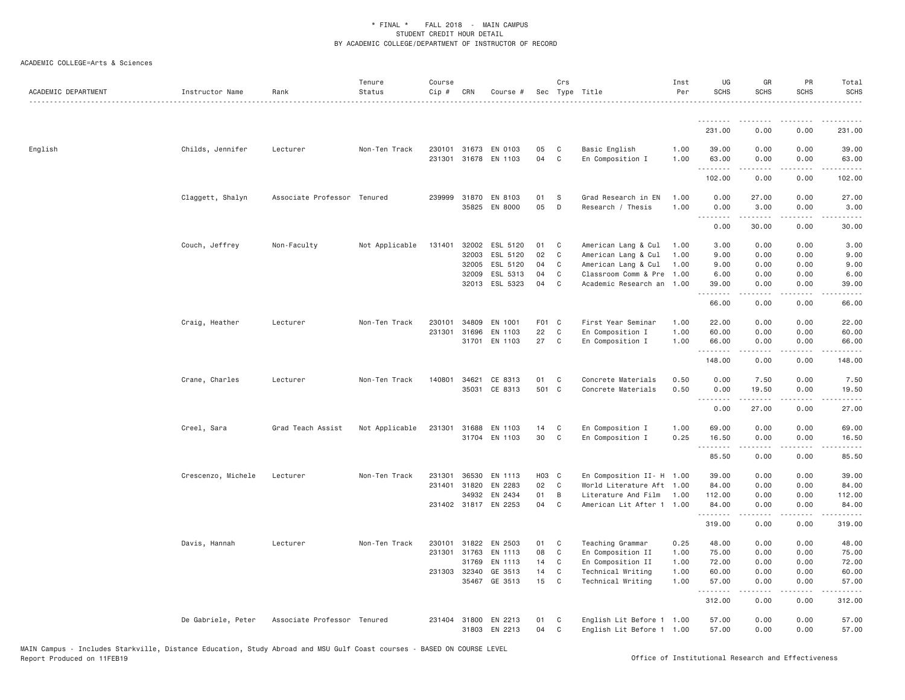| ACADEMIC DEPARTMENT | Instructor Name    | Rank                        | Tenure<br>Status | Course<br>Cip # | CRN                   | Course #                              |          | Crs              | Sec Type Title                                         | Inst<br>Per  | UG<br><b>SCHS</b> | GR<br><b>SCHS</b>  | PR<br><b>SCHS</b>     | Total<br>SCHS          |
|---------------------|--------------------|-----------------------------|------------------|-----------------|-----------------------|---------------------------------------|----------|------------------|--------------------------------------------------------|--------------|-------------------|--------------------|-----------------------|------------------------|
|                     |                    |                             |                  |                 |                       |                                       |          |                  |                                                        |              | .                 |                    |                       |                        |
|                     |                    |                             |                  |                 |                       |                                       |          |                  |                                                        |              | 231.00            | 0.00               | 0.00                  | 231.00                 |
| English             | Childs, Jennifer   | Lecturer                    | Non-Ten Track    | 231301          |                       | 230101 31673 EN 0103<br>31678 EN 1103 | 05<br>04 | C<br>C           | Basic English<br>En Composition I                      | 1.00<br>1.00 | 39.00<br>63.00    | 0.00<br>0.00       | 0.00<br>0.00          | 39.00<br>63.00         |
|                     |                    |                             |                  |                 |                       |                                       |          |                  |                                                        |              | .<br>102.00       | 0.00               | $\frac{1}{2}$<br>0.00 | .<br>102.00            |
|                     | Claggett, Shalyn   | Associate Professor Tenured |                  |                 | 239999 31870<br>35825 | EN 8103<br>EN 8000                    | 01<br>05 | S<br>D           | Grad Research in EN<br>Research / Thesis               | 1.00<br>1.00 | 0.00<br>0.00      | 27.00<br>3.00      | 0.00<br>0.00          | 27.00<br>3.00          |
|                     |                    |                             |                  |                 |                       |                                       |          |                  |                                                        |              | .<br>0.00         | .<br>30.00         | د د د د<br>0.00       | المتمامين<br>30.00     |
|                     | Couch, Jeffrey     | Non-Faculty                 | Not Applicable   | 131401          | 32002                 | ESL 5120                              | 01       | C                | American Lang & Cul                                    | 1.00         | 3.00              | 0.00               | 0.00                  | 3.00                   |
|                     |                    |                             |                  |                 | 32003                 | ESL 5120                              | 02       | $\mathbf C$      | American Lang & Cul                                    | 1.00         | 9.00              | 0.00               | 0.00                  | 9.00                   |
|                     |                    |                             |                  |                 | 32005                 | ESL 5120                              | 04       | C                | American Lang & Cul                                    | 1.00         | 9.00              | 0.00               | 0.00                  | 9.00                   |
|                     |                    |                             |                  |                 | 32009                 | ESL 5313<br>32013 ESL 5323            | 04<br>04 | $\mathbb C$<br>C | Classroom Comm & Pre<br>Academic Research an           | 1.00<br>1.00 | 6.00<br>39.00     | 0.00<br>0.00       | 0.00<br>0.00          | 6.00<br>39.00          |
|                     |                    |                             |                  |                 |                       |                                       |          |                  |                                                        |              | .<br>66.00        | .<br>0.00          | .<br>0.00             | .<br>66.00             |
|                     | Craig, Heather     | Lecturer                    | Non-Ten Track    | 230101          | 34809                 | EN 1001                               | F01 C    |                  | First Year Seminar                                     | 1.00         | 22.00             | 0.00               | 0.00                  | 22.00                  |
|                     |                    |                             |                  | 231301          | 31696                 | EN 1103                               | 22       | C                | En Composition I                                       | 1.00         | 60.00             | 0.00               | 0.00                  | 60.00                  |
|                     |                    |                             |                  |                 | 31701                 | EN 1103                               | 27       | C                | En Composition I                                       | 1.00         | 66.00<br>.        | 0.00<br>2.2.2.2.2  | 0.00<br>.             | 66.00<br>.             |
|                     |                    |                             |                  |                 |                       |                                       |          |                  |                                                        |              | 148.00            | 0.00               | 0.00                  | 148.00                 |
|                     | Crane, Charles     | Lecturer                    | Non-Ten Track    | 140801          | 34621                 | CE 8313                               | 01       | C                | Concrete Materials                                     | 0.50         | 0.00              | 7.50               | 0.00                  | 7.50                   |
|                     |                    |                             |                  |                 |                       | 35031 CE 8313                         | 501 C    |                  | Concrete Materials                                     | 0.50         | 0.00              | 19.50<br>د د د د د | 0.00                  | 19.50                  |
|                     |                    |                             |                  |                 |                       |                                       |          |                  |                                                        |              | 0.00              | 27.00              | 0.00                  | 27.00                  |
|                     | Creel, Sara        | Grad Teach Assist           | Not Applicable   |                 | 231301 31688          | EN 1103                               | 14       | C                | En Composition I                                       | 1.00         | 69.00             | 0.00               | 0.00                  | 69.00                  |
|                     |                    |                             |                  |                 |                       | 31704 EN 1103                         | 30       | $\mathsf{C}$     | En Composition I                                       | 0.25         | 16.50<br>.        | 0.00<br>.          | 0.00<br>.             | 16.50<br>.             |
|                     |                    |                             |                  |                 |                       |                                       |          |                  |                                                        |              | 85.50             | 0.00               | 0.00                  | 85.50                  |
|                     | Crescenzo, Michele | Lecturer                    | Non-Ten Track    | 231301          | 36530                 | EN 1113                               | H03 C    |                  | En Composition II- H 1.00                              |              | 39.00             | 0.00               | 0.00                  | 39.00                  |
|                     |                    |                             |                  | 231401          | 31820                 | EN 2283                               | 02       | C                | World Literature Aft 1.00                              |              | 84.00             | 0.00               | 0.00                  | 84.00                  |
|                     |                    |                             |                  |                 | 34932                 | EN 2434                               | 01       | B                | Literature And Film                                    | 1.00         | 112.00            | 0.00               | 0.00                  | 112.00                 |
|                     |                    |                             |                  |                 |                       | 231402 31817 EN 2253                  | 04       | $\mathsf{C}$     | American Lit After 1 1.00                              |              | 84,00<br>.        | 0.00<br>-----      | 0.00<br>.             | 84,00<br>$- - - - - -$ |
|                     |                    |                             |                  |                 |                       |                                       |          |                  |                                                        |              | 319.00            | 0.00               | 0.00                  | 319.00                 |
|                     | Davis, Hannah      | Lecturer                    | Non-Ten Track    | 230101          | 31822                 | EN 2503                               | 01       | C                | Teaching Grammar                                       | 0.25         | 48.00             | 0.00               | 0.00                  | 48.00                  |
|                     |                    |                             |                  | 231301          | 31763                 | EN 1113                               | 08       | C                | En Composition II                                      | 1.00         | 75.00             | 0.00               | 0.00                  | 75.00                  |
|                     |                    |                             |                  |                 | 31769                 | EN 1113                               | 14       | C                | En Composition II                                      | 1.00         | 72.00             | 0.00               | 0.00                  | 72.00                  |
|                     |                    |                             |                  |                 | 231303 32340          | GE 3513                               | 14       | $\mathbb C$      | Technical Writing                                      | 1.00         | 60.00             | 0.00               | 0.00                  | 60.00                  |
|                     |                    |                             |                  |                 | 35467                 | GE 3513                               | 15       | C                | Technical Writing                                      | 1.00         | 57.00<br>.        | 0.00<br>.          | 0.00<br>.             | 57.00<br>.             |
|                     |                    |                             |                  |                 |                       |                                       |          |                  |                                                        |              | 312.00            | 0.00               | 0.00                  | 312.00                 |
|                     | De Gabriele, Peter | Associate Professor Tenured |                  | 231404          |                       | 31800 EN 2213<br>31803 EN 2213        | 01<br>04 | C<br>C           | English Lit Before 1 1.00<br>English Lit Before 1 1.00 |              | 57.00<br>57.00    | 0.00<br>0.00       | 0.00<br>0.00          | 57.00<br>57.00         |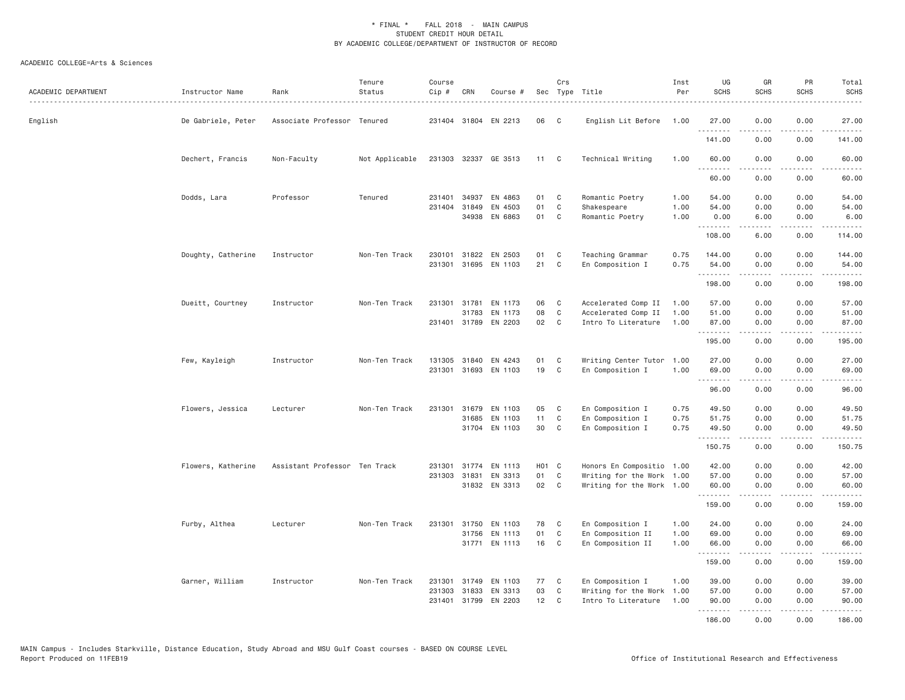| ACADEMIC DEPARTMENT | Instructor Name    | Rank                          | Tenure<br>Status | Course<br>Cip # | CRN          | Course #             |       | Crs          | Sec Type Title            | Inst<br>Per | UG<br><b>SCHS</b> | GR<br><b>SCHS</b> | PR<br><b>SCHS</b>                   | Total<br><b>SCHS</b> |
|---------------------|--------------------|-------------------------------|------------------|-----------------|--------------|----------------------|-------|--------------|---------------------------|-------------|-------------------|-------------------|-------------------------------------|----------------------|
| English             | De Gabriele, Peter | Associate Professor Tenured   |                  |                 |              | 231404 31804 EN 2213 | 06    | C            | English Lit Before        | 1.00        | 27,00<br>.        | 0.00<br>.         | 0.00<br>$- - - -$                   | 27,00<br>.           |
|                     |                    |                               |                  |                 |              |                      |       |              |                           |             | 141.00            | 0.00              | 0.00                                | 141.00               |
|                     | Dechert, Francis   | Non-Faculty                   | Not Applicable   |                 |              | 231303 32337 GE 3513 | 11 C  |              | Technical Writing         | 1.00        | 60.00<br>.        | 0.00<br>.         | 0.00<br>.                           | 60.00<br>.           |
|                     |                    |                               |                  |                 |              |                      |       |              |                           |             | 60.00             | 0.00              | 0.00                                | 60.00                |
|                     | Dodds, Lara        | Professor                     | Tenured          | 231401          | 34937        | EN 4863              | 01    | C            | Romantic Poetry           | 1.00        | 54.00             | 0.00              | 0.00                                | 54.00                |
|                     |                    |                               |                  |                 | 231404 31849 | EN 4503              | 01    | C            | Shakespeare               | 1.00        | 54.00             | 0.00              | 0.00                                | 54.00                |
|                     |                    |                               |                  |                 |              | 34938 EN 6863        | 01    | $\mathbb C$  | Romantic Poetry           | 1.00        | 0.00<br>.         | 6.00              | 0.00<br>$\sim$ $\sim$ $\sim$ $\sim$ | 6.00                 |
|                     |                    |                               |                  |                 |              |                      |       |              |                           |             | 108.00            | 6.00              | 0.00                                | 114.00               |
|                     | Doughty, Catherine | Instructor                    | Non-Ten Track    | 230101          |              | 31822 EN 2503        | 01    | C            | Teaching Grammar          | 0.75        | 144.00            | 0.00              | 0.00                                | 144.00               |
|                     |                    |                               |                  | 231301          |              | 31695 EN 1103        | 21    | C            | En Composition I          | 0.75        | 54.00<br>.        | 0.00<br>.         | 0.00<br>.                           | 54.00<br>------      |
|                     |                    |                               |                  |                 |              |                      |       |              |                           |             | 198.00            | 0.00              | 0.00                                | 198.00               |
|                     | Dueitt, Courtney   | Instructor                    | Non-Ten Track    |                 | 231301 31781 | EN 1173              | 06    | C            | Accelerated Comp II       | 1.00        | 57.00             | 0.00              | 0.00                                | 57.00                |
|                     |                    |                               |                  |                 |              | 31783 EN 1173        | 08    | $\mathbb C$  | Accelerated Comp II       | 1.00        | 51.00             | 0.00              | 0.00                                | 51.00                |
|                     |                    |                               |                  |                 |              | 231401 31789 EN 2203 | 02    | C            | Intro To Literature       | 1.00        | 87.00             | 0.00              | 0.00                                | 87.00                |
|                     |                    |                               |                  |                 |              |                      |       |              |                           |             | .<br>195.00       | .<br>0.00         | .<br>0.00                           | .<br>195.00          |
|                     | Few, Kayleigh      | Instructor                    | Non-Ten Track    |                 |              | 131305 31840 EN 4243 | 01    | C            | Writing Center Tutor 1.00 |             | 27.00             | 0.00              | 0.00                                | 27.00                |
|                     |                    |                               |                  | 231301          |              | 31693 EN 1103        | 19    | C            | En Composition I          | 1.00        | 69.00<br><u>.</u> | 0.00<br>.         | 0.00<br>$\sim$ $\sim$ $\sim$ $\sim$ | 69.00                |
|                     |                    |                               |                  |                 |              |                      |       |              |                           |             | 96.00             | 0.00              | 0.00                                | 96.00                |
|                     | Flowers, Jessica   | Lecturer                      | Non-Ten Track    |                 |              | 231301 31679 EN 1103 | 05    | C            | En Composition I          | 0.75        | 49.50             | 0.00              | 0.00                                | 49.50                |
|                     |                    |                               |                  |                 | 31685        | EN 1103              | 11    | C            | En Composition I          | 0.75        | 51.75             | 0.00              | 0.00                                | 51.75                |
|                     |                    |                               |                  |                 |              | 31704 EN 1103        | 30    | C            | En Composition I          | 0.75        | 49.50<br><u>.</u> | 0.00<br>.         | 0.00<br>$\cdots$                    | 49.50<br><u>.</u>    |
|                     |                    |                               |                  |                 |              |                      |       |              |                           |             | 150.75            | 0.00              | 0.00                                | 150.75               |
|                     | Flowers, Katherine | Assistant Professor Ten Track |                  | 231301          |              | 31774 EN 1113        | H01 C |              | Honors En Compositio 1.00 |             | 42.00             | 0.00              | 0.00                                | 42.00                |
|                     |                    |                               |                  |                 | 231303 31831 | EN 3313              | 01    | C            | Writing for the Work 1.00 |             | 57.00             | 0.00              | 0.00                                | 57.00                |
|                     |                    |                               |                  |                 |              | 31832 EN 3313        | 02    | C            | Writing for the Work 1.00 |             | 60.00<br>.        | 0.00<br>.         | 0.00<br>.                           | 60.00<br>.           |
|                     |                    |                               |                  |                 |              |                      |       |              |                           |             | 159.00            | 0.00              | 0.00                                | 159.00               |
|                     | Furby, Althea      | Lecturer                      | Non-Ten Track    | 231301          |              | 31750 EN 1103        | 78    | C            | En Composition I          | 1.00        | 24.00             | 0.00              | 0.00                                | 24.00                |
|                     |                    |                               |                  |                 |              | 31756 EN 1113        | 01    | $\mathbb C$  | En Composition II         | 1.00        | 69.00             | 0.00              | 0.00                                | 69.00                |
|                     |                    |                               |                  |                 |              | 31771 EN 1113        | 16    | C.           | En Composition II         | 1.00        | 66.00<br>.        | 0.00              | 0.00                                | 66.00<br>.           |
|                     |                    |                               |                  |                 |              |                      |       |              |                           |             | 159.00            | 0.00              | 0.00                                | 159.00               |
|                     | Garner, William    | Instructor                    | Non-Ten Track    | 231301          |              | 31749 EN 1103        | 77    | C            | En Composition I          | 1.00        | 39.00             | 0.00              | 0.00                                | 39.00                |
|                     |                    |                               |                  | 231303          |              | 31833 EN 3313        | 03    | $\mathsf{C}$ | Writing for the Work      | 1.00        | 57.00             | 0.00              | 0.00                                | 57.00                |
|                     |                    |                               |                  | 231401          | 31799        | EN 2203              | 12    | C            | Intro To Literature       | 1.00        | 90.00<br><u>.</u> | 0.00              | 0.00                                | 90.00                |
|                     |                    |                               |                  |                 |              |                      |       |              |                           |             | 186.00            | 0.00              | 0.00                                | 186,00               |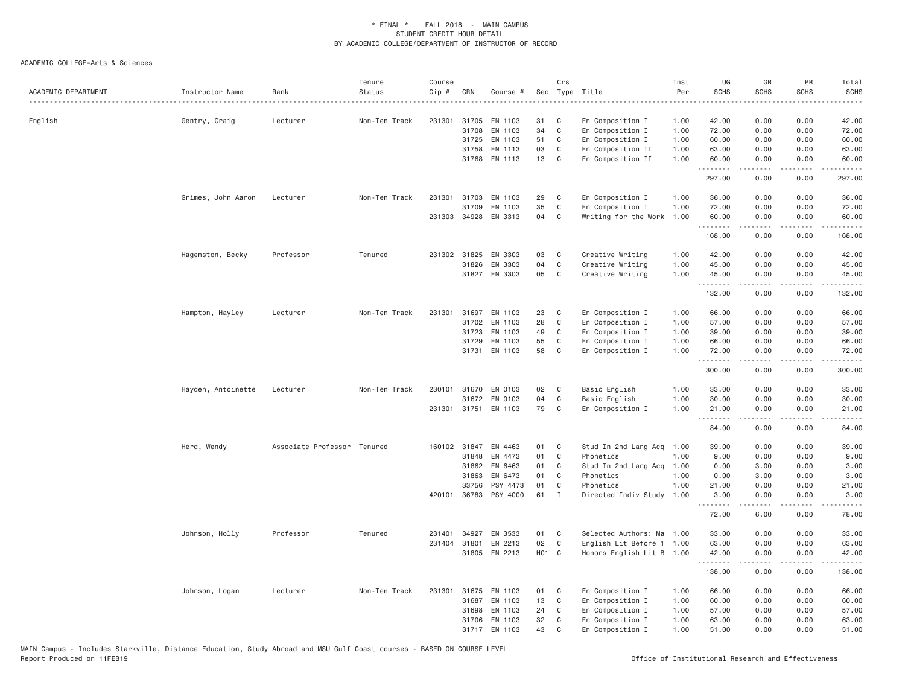| 42.00<br>English<br>Gentry, Craig<br>Lecturer<br>Non-Ten Track<br>231301<br>31705<br>EN 1103<br>31<br>C<br>En Composition I<br>1.00<br>42.00<br>0.00<br>0.00<br>$\mathbb C$<br>31708<br>EN 1103<br>34<br>En Composition I<br>1.00<br>72.00<br>0.00<br>0.00<br>72.00<br>51<br>En Composition I<br>60.00<br>60.00<br>31725<br>EN 1103<br>C<br>1.00<br>0.00<br>0.00<br>EN 1113<br>03<br>En Composition II<br>1.00<br>63.00<br>0.00<br>63.00<br>31758<br>C<br>0.00<br>31768 EN 1113<br>13<br>C<br>En Composition II<br>60.00<br>1.00<br>60.00<br>0.00<br>0.00<br>.<br>.<br><u>.</u><br>.<br>297.00<br>297.00<br>0.00<br>0.00<br>Grimes, John Aaron<br>Lecturer<br>Non-Ten Track<br>231301<br>31703 EN 1103<br>29<br>C<br>En Composition I<br>1.00<br>36.00<br>0.00<br>0.00<br>36.00<br>35<br>$\mathbb C$<br>31709<br>EN 1103<br>En Composition I<br>1.00<br>72.00<br>0.00<br>0.00<br>72.00<br>231303 34928 EN 3313<br>04<br>Writing for the Work<br>1.00<br>60.00<br>C<br>60.00<br>0.00<br>0.00<br>.<br>.<br>-----<br>.<br>0.00<br>168.00<br>168.00<br>0.00<br>Hagenston, Becky<br>231302 31825<br>EN 3303<br>03<br>C<br>Creative Writing<br>1.00<br>42.00<br>0.00<br>0.00<br>42.00<br>Professor<br>Tenured<br>04<br>$\mathbb C$<br>31826<br>EN 3303<br>Creative Writing<br>1.00<br>45.00<br>0.00<br>45.00<br>0.00<br>31827 EN 3303<br>05<br>C<br>Creative Writing<br>1.00<br>45.00<br>0.00<br>0.00<br>45.00<br>.<br>.<br>.<br>.<br>132.00<br>0.00<br>0.00<br>132.00<br>31697<br>EN 1103<br>23<br>En Composition I<br>66.00<br>0.00<br>0.00<br>66.00<br>Hampton, Hayley<br>Lecturer<br>Non-Ten Track<br>231301<br>C<br>1.00<br>EN 1103<br>28<br>C<br>En Composition I<br>57.00<br>57.00<br>31702<br>1.00<br>0.00<br>0.00<br>49<br>$\mathbb C$<br>31723<br>EN 1103<br>En Composition I<br>1.00<br>39.00<br>0.00<br>0.00<br>39.00<br>55<br>$\mathsf{C}$<br>31729<br>EN 1103<br>En Composition I<br>1.00<br>66,00<br>0.00<br>0.00<br>66.00<br>31731 EN 1103<br>58<br>C<br>En Composition I<br>1.00<br>72.00<br>0.00<br>0.00<br>72.00<br>.<br>د د د د<br>$\sim$ $\sim$ $\sim$ $\sim$<br>300.00<br>0.00<br>0.00<br>300.00<br>02<br>Basic English<br>0.00<br>0.00<br>33.00<br>Hayden, Antoinette<br>Non-Ten Track<br>230101<br>31670 EN 0103<br>C<br>1.00<br>33.00<br>Lecturer<br>04<br>C<br>31672<br>EN 0103<br>Basic English<br>1.00<br>30.00<br>0.00<br>0.00<br>30.00<br>231301 31751 EN 1103<br>79<br>C<br>En Composition I<br>1.00<br>21.00<br>0.00<br>0.00<br>21.00<br>$\sim$ $\sim$ $\sim$ $\sim$<br>$\begin{array}{cccccccccc} \bullet & \bullet & \bullet & \bullet & \bullet & \bullet & \bullet & \bullet \end{array}$<br>.<br>المتماما<br>84.00<br>0.00<br>0.00<br>84.00<br>Herd, Wendy<br>Associate Professor Tenured<br>160102 31847<br>EN 4463<br>01<br>C<br>Stud In 2nd Lang Acq<br>39.00<br>0.00<br>0.00<br>39.00<br>1.00<br>31848<br>EN 4473<br>01<br>C<br>Phonetics<br>1.00<br>9.00<br>0.00<br>9.00<br>0.00<br>01<br>C<br>0.00<br>3.00<br>31862<br>EN 6463<br>Stud In 2nd Lang Acq 1.00<br>3.00<br>0.00<br>C<br>31863<br>EN 6473<br>01<br>Phonetics<br>1.00<br>0.00<br>3.00<br>0.00<br>3.00<br>1.00<br>33756<br>PSY 4473<br>01<br>C<br>Phonetics<br>21.00<br>0.00<br>0.00<br>21.00<br>61<br>420101<br>36783 PSY 4000<br>$\mathbf{I}$<br>Directed Indiv Study<br>1.00<br>3.00<br>0.00<br>0.00<br>3.00<br><u>.</u><br>.<br>$\sim$ $\sim$ $\sim$ $\sim$<br>. د د د د<br>72.00<br>6.00<br>0.00<br>78.00<br>34927<br>EN 3533<br>01<br>C<br>Selected Authors: Ma<br>33.00<br>0.00<br>0.00<br>33.00<br>Johnson, Holly<br>Professor<br>Tenured<br>231401<br>1.00<br>02<br>$\mathbb C$<br>231404 31801<br>EN 2213<br>English Lit Before 1 1.00<br>63.00<br>0.00<br>0.00<br>63.00<br>EN 2213<br>H <sub>0</sub> 1 C<br>31805<br>Honors English Lit B 1.00<br>42.00<br>0.00<br>0.00<br>42.00<br>$\sim$ $\sim$ $\sim$ $\sim$<br>المتمالين<br>138.00<br>0.00<br>0.00<br>138.00<br>Non-Ten Track<br>231301<br>31675<br>EN 1103<br>01<br>C<br>En Composition I<br>1.00<br>66.00<br>0.00<br>0.00<br>66.00<br>Johnson, Logan<br>Lecturer<br>EN 1103<br>13<br>C<br>En Composition I<br>60.00<br>0.00<br>0.00<br>60.00<br>31687<br>1.00<br>24<br>C<br>En Composition I<br>57.00<br>0.00<br>0.00<br>31698<br>EN 1103<br>1.00<br>57.00<br>EN 1103<br>32<br>C<br>En Composition I<br>63.00<br>0.00<br>63.00<br>31706<br>1.00<br>0.00<br>43<br>31717 EN 1103<br>C<br>1.00<br>51.00<br>0.00<br>0.00<br>51.00<br>En Composition I | ACADEMIC DEPARTMENT | Instructor Name | Rank | Tenure<br>Status | Course<br>Cip # | CRN | Course # | Crs | Sec Type Title | Inst<br>Per<br>. | UG<br><b>SCHS</b> | GR<br><b>SCHS</b> | PR<br><b>SCHS</b> | Total<br><b>SCHS</b><br>$- - - - -$ |
|------------------------------------------------------------------------------------------------------------------------------------------------------------------------------------------------------------------------------------------------------------------------------------------------------------------------------------------------------------------------------------------------------------------------------------------------------------------------------------------------------------------------------------------------------------------------------------------------------------------------------------------------------------------------------------------------------------------------------------------------------------------------------------------------------------------------------------------------------------------------------------------------------------------------------------------------------------------------------------------------------------------------------------------------------------------------------------------------------------------------------------------------------------------------------------------------------------------------------------------------------------------------------------------------------------------------------------------------------------------------------------------------------------------------------------------------------------------------------------------------------------------------------------------------------------------------------------------------------------------------------------------------------------------------------------------------------------------------------------------------------------------------------------------------------------------------------------------------------------------------------------------------------------------------------------------------------------------------------------------------------------------------------------------------------------------------------------------------------------------------------------------------------------------------------------------------------------------------------------------------------------------------------------------------------------------------------------------------------------------------------------------------------------------------------------------------------------------------------------------------------------------------------------------------------------------------------------------------------------------------------------------------------------------------------------------------------------------------------------------------------------------------------------------------------------------------------------------------------------------------------------------------------------------------------------------------------------------------------------------------------------------------------------------------------------------------------------------------------------------------------------------------------------------------------------------------------------------------------------------------------------------------------------------------------------------------------------------------------------------------------------------------------------------------------------------------------------------------------------------------------------------------------------------------------------------------------------------------------------------------------------------------------------------------------------------------------------------------------------------------------------------------------------------------------------------------------------------------------------------------------------------------------------------------------------------------------------------------------------------------------------------------------------------------------------------------------------------------------------------------------------------------------------------------------------------------------------------------------------------------------------------------------------------------------------------------------------------------------------------------------------------------------------------|---------------------|-----------------|------|------------------|-----------------|-----|----------|-----|----------------|------------------|-------------------|-------------------|-------------------|-------------------------------------|
|                                                                                                                                                                                                                                                                                                                                                                                                                                                                                                                                                                                                                                                                                                                                                                                                                                                                                                                                                                                                                                                                                                                                                                                                                                                                                                                                                                                                                                                                                                                                                                                                                                                                                                                                                                                                                                                                                                                                                                                                                                                                                                                                                                                                                                                                                                                                                                                                                                                                                                                                                                                                                                                                                                                                                                                                                                                                                                                                                                                                                                                                                                                                                                                                                                                                                                                                                                                                                                                                                                                                                                                                                                                                                                                                                                                                                                                                                                                                                                                                                                                                                                                                                                                                                                                                                                                                                                                                                  |                     |                 |      |                  |                 |     |          |     |                |                  |                   |                   |                   |                                     |
|                                                                                                                                                                                                                                                                                                                                                                                                                                                                                                                                                                                                                                                                                                                                                                                                                                                                                                                                                                                                                                                                                                                                                                                                                                                                                                                                                                                                                                                                                                                                                                                                                                                                                                                                                                                                                                                                                                                                                                                                                                                                                                                                                                                                                                                                                                                                                                                                                                                                                                                                                                                                                                                                                                                                                                                                                                                                                                                                                                                                                                                                                                                                                                                                                                                                                                                                                                                                                                                                                                                                                                                                                                                                                                                                                                                                                                                                                                                                                                                                                                                                                                                                                                                                                                                                                                                                                                                                                  |                     |                 |      |                  |                 |     |          |     |                |                  |                   |                   |                   |                                     |
|                                                                                                                                                                                                                                                                                                                                                                                                                                                                                                                                                                                                                                                                                                                                                                                                                                                                                                                                                                                                                                                                                                                                                                                                                                                                                                                                                                                                                                                                                                                                                                                                                                                                                                                                                                                                                                                                                                                                                                                                                                                                                                                                                                                                                                                                                                                                                                                                                                                                                                                                                                                                                                                                                                                                                                                                                                                                                                                                                                                                                                                                                                                                                                                                                                                                                                                                                                                                                                                                                                                                                                                                                                                                                                                                                                                                                                                                                                                                                                                                                                                                                                                                                                                                                                                                                                                                                                                                                  |                     |                 |      |                  |                 |     |          |     |                |                  |                   |                   |                   |                                     |
|                                                                                                                                                                                                                                                                                                                                                                                                                                                                                                                                                                                                                                                                                                                                                                                                                                                                                                                                                                                                                                                                                                                                                                                                                                                                                                                                                                                                                                                                                                                                                                                                                                                                                                                                                                                                                                                                                                                                                                                                                                                                                                                                                                                                                                                                                                                                                                                                                                                                                                                                                                                                                                                                                                                                                                                                                                                                                                                                                                                                                                                                                                                                                                                                                                                                                                                                                                                                                                                                                                                                                                                                                                                                                                                                                                                                                                                                                                                                                                                                                                                                                                                                                                                                                                                                                                                                                                                                                  |                     |                 |      |                  |                 |     |          |     |                |                  |                   |                   |                   |                                     |
|                                                                                                                                                                                                                                                                                                                                                                                                                                                                                                                                                                                                                                                                                                                                                                                                                                                                                                                                                                                                                                                                                                                                                                                                                                                                                                                                                                                                                                                                                                                                                                                                                                                                                                                                                                                                                                                                                                                                                                                                                                                                                                                                                                                                                                                                                                                                                                                                                                                                                                                                                                                                                                                                                                                                                                                                                                                                                                                                                                                                                                                                                                                                                                                                                                                                                                                                                                                                                                                                                                                                                                                                                                                                                                                                                                                                                                                                                                                                                                                                                                                                                                                                                                                                                                                                                                                                                                                                                  |                     |                 |      |                  |                 |     |          |     |                |                  |                   |                   |                   |                                     |
|                                                                                                                                                                                                                                                                                                                                                                                                                                                                                                                                                                                                                                                                                                                                                                                                                                                                                                                                                                                                                                                                                                                                                                                                                                                                                                                                                                                                                                                                                                                                                                                                                                                                                                                                                                                                                                                                                                                                                                                                                                                                                                                                                                                                                                                                                                                                                                                                                                                                                                                                                                                                                                                                                                                                                                                                                                                                                                                                                                                                                                                                                                                                                                                                                                                                                                                                                                                                                                                                                                                                                                                                                                                                                                                                                                                                                                                                                                                                                                                                                                                                                                                                                                                                                                                                                                                                                                                                                  |                     |                 |      |                  |                 |     |          |     |                |                  |                   |                   |                   |                                     |
|                                                                                                                                                                                                                                                                                                                                                                                                                                                                                                                                                                                                                                                                                                                                                                                                                                                                                                                                                                                                                                                                                                                                                                                                                                                                                                                                                                                                                                                                                                                                                                                                                                                                                                                                                                                                                                                                                                                                                                                                                                                                                                                                                                                                                                                                                                                                                                                                                                                                                                                                                                                                                                                                                                                                                                                                                                                                                                                                                                                                                                                                                                                                                                                                                                                                                                                                                                                                                                                                                                                                                                                                                                                                                                                                                                                                                                                                                                                                                                                                                                                                                                                                                                                                                                                                                                                                                                                                                  |                     |                 |      |                  |                 |     |          |     |                |                  |                   |                   |                   |                                     |
|                                                                                                                                                                                                                                                                                                                                                                                                                                                                                                                                                                                                                                                                                                                                                                                                                                                                                                                                                                                                                                                                                                                                                                                                                                                                                                                                                                                                                                                                                                                                                                                                                                                                                                                                                                                                                                                                                                                                                                                                                                                                                                                                                                                                                                                                                                                                                                                                                                                                                                                                                                                                                                                                                                                                                                                                                                                                                                                                                                                                                                                                                                                                                                                                                                                                                                                                                                                                                                                                                                                                                                                                                                                                                                                                                                                                                                                                                                                                                                                                                                                                                                                                                                                                                                                                                                                                                                                                                  |                     |                 |      |                  |                 |     |          |     |                |                  |                   |                   |                   |                                     |
|                                                                                                                                                                                                                                                                                                                                                                                                                                                                                                                                                                                                                                                                                                                                                                                                                                                                                                                                                                                                                                                                                                                                                                                                                                                                                                                                                                                                                                                                                                                                                                                                                                                                                                                                                                                                                                                                                                                                                                                                                                                                                                                                                                                                                                                                                                                                                                                                                                                                                                                                                                                                                                                                                                                                                                                                                                                                                                                                                                                                                                                                                                                                                                                                                                                                                                                                                                                                                                                                                                                                                                                                                                                                                                                                                                                                                                                                                                                                                                                                                                                                                                                                                                                                                                                                                                                                                                                                                  |                     |                 |      |                  |                 |     |          |     |                |                  |                   |                   |                   |                                     |
|                                                                                                                                                                                                                                                                                                                                                                                                                                                                                                                                                                                                                                                                                                                                                                                                                                                                                                                                                                                                                                                                                                                                                                                                                                                                                                                                                                                                                                                                                                                                                                                                                                                                                                                                                                                                                                                                                                                                                                                                                                                                                                                                                                                                                                                                                                                                                                                                                                                                                                                                                                                                                                                                                                                                                                                                                                                                                                                                                                                                                                                                                                                                                                                                                                                                                                                                                                                                                                                                                                                                                                                                                                                                                                                                                                                                                                                                                                                                                                                                                                                                                                                                                                                                                                                                                                                                                                                                                  |                     |                 |      |                  |                 |     |          |     |                |                  |                   |                   |                   |                                     |
|                                                                                                                                                                                                                                                                                                                                                                                                                                                                                                                                                                                                                                                                                                                                                                                                                                                                                                                                                                                                                                                                                                                                                                                                                                                                                                                                                                                                                                                                                                                                                                                                                                                                                                                                                                                                                                                                                                                                                                                                                                                                                                                                                                                                                                                                                                                                                                                                                                                                                                                                                                                                                                                                                                                                                                                                                                                                                                                                                                                                                                                                                                                                                                                                                                                                                                                                                                                                                                                                                                                                                                                                                                                                                                                                                                                                                                                                                                                                                                                                                                                                                                                                                                                                                                                                                                                                                                                                                  |                     |                 |      |                  |                 |     |          |     |                |                  |                   |                   |                   |                                     |
|                                                                                                                                                                                                                                                                                                                                                                                                                                                                                                                                                                                                                                                                                                                                                                                                                                                                                                                                                                                                                                                                                                                                                                                                                                                                                                                                                                                                                                                                                                                                                                                                                                                                                                                                                                                                                                                                                                                                                                                                                                                                                                                                                                                                                                                                                                                                                                                                                                                                                                                                                                                                                                                                                                                                                                                                                                                                                                                                                                                                                                                                                                                                                                                                                                                                                                                                                                                                                                                                                                                                                                                                                                                                                                                                                                                                                                                                                                                                                                                                                                                                                                                                                                                                                                                                                                                                                                                                                  |                     |                 |      |                  |                 |     |          |     |                |                  |                   |                   |                   |                                     |
|                                                                                                                                                                                                                                                                                                                                                                                                                                                                                                                                                                                                                                                                                                                                                                                                                                                                                                                                                                                                                                                                                                                                                                                                                                                                                                                                                                                                                                                                                                                                                                                                                                                                                                                                                                                                                                                                                                                                                                                                                                                                                                                                                                                                                                                                                                                                                                                                                                                                                                                                                                                                                                                                                                                                                                                                                                                                                                                                                                                                                                                                                                                                                                                                                                                                                                                                                                                                                                                                                                                                                                                                                                                                                                                                                                                                                                                                                                                                                                                                                                                                                                                                                                                                                                                                                                                                                                                                                  |                     |                 |      |                  |                 |     |          |     |                |                  |                   |                   |                   |                                     |
|                                                                                                                                                                                                                                                                                                                                                                                                                                                                                                                                                                                                                                                                                                                                                                                                                                                                                                                                                                                                                                                                                                                                                                                                                                                                                                                                                                                                                                                                                                                                                                                                                                                                                                                                                                                                                                                                                                                                                                                                                                                                                                                                                                                                                                                                                                                                                                                                                                                                                                                                                                                                                                                                                                                                                                                                                                                                                                                                                                                                                                                                                                                                                                                                                                                                                                                                                                                                                                                                                                                                                                                                                                                                                                                                                                                                                                                                                                                                                                                                                                                                                                                                                                                                                                                                                                                                                                                                                  |                     |                 |      |                  |                 |     |          |     |                |                  |                   |                   |                   |                                     |
|                                                                                                                                                                                                                                                                                                                                                                                                                                                                                                                                                                                                                                                                                                                                                                                                                                                                                                                                                                                                                                                                                                                                                                                                                                                                                                                                                                                                                                                                                                                                                                                                                                                                                                                                                                                                                                                                                                                                                                                                                                                                                                                                                                                                                                                                                                                                                                                                                                                                                                                                                                                                                                                                                                                                                                                                                                                                                                                                                                                                                                                                                                                                                                                                                                                                                                                                                                                                                                                                                                                                                                                                                                                                                                                                                                                                                                                                                                                                                                                                                                                                                                                                                                                                                                                                                                                                                                                                                  |                     |                 |      |                  |                 |     |          |     |                |                  |                   |                   |                   |                                     |
|                                                                                                                                                                                                                                                                                                                                                                                                                                                                                                                                                                                                                                                                                                                                                                                                                                                                                                                                                                                                                                                                                                                                                                                                                                                                                                                                                                                                                                                                                                                                                                                                                                                                                                                                                                                                                                                                                                                                                                                                                                                                                                                                                                                                                                                                                                                                                                                                                                                                                                                                                                                                                                                                                                                                                                                                                                                                                                                                                                                                                                                                                                                                                                                                                                                                                                                                                                                                                                                                                                                                                                                                                                                                                                                                                                                                                                                                                                                                                                                                                                                                                                                                                                                                                                                                                                                                                                                                                  |                     |                 |      |                  |                 |     |          |     |                |                  |                   |                   |                   |                                     |
|                                                                                                                                                                                                                                                                                                                                                                                                                                                                                                                                                                                                                                                                                                                                                                                                                                                                                                                                                                                                                                                                                                                                                                                                                                                                                                                                                                                                                                                                                                                                                                                                                                                                                                                                                                                                                                                                                                                                                                                                                                                                                                                                                                                                                                                                                                                                                                                                                                                                                                                                                                                                                                                                                                                                                                                                                                                                                                                                                                                                                                                                                                                                                                                                                                                                                                                                                                                                                                                                                                                                                                                                                                                                                                                                                                                                                                                                                                                                                                                                                                                                                                                                                                                                                                                                                                                                                                                                                  |                     |                 |      |                  |                 |     |          |     |                |                  |                   |                   |                   |                                     |
|                                                                                                                                                                                                                                                                                                                                                                                                                                                                                                                                                                                                                                                                                                                                                                                                                                                                                                                                                                                                                                                                                                                                                                                                                                                                                                                                                                                                                                                                                                                                                                                                                                                                                                                                                                                                                                                                                                                                                                                                                                                                                                                                                                                                                                                                                                                                                                                                                                                                                                                                                                                                                                                                                                                                                                                                                                                                                                                                                                                                                                                                                                                                                                                                                                                                                                                                                                                                                                                                                                                                                                                                                                                                                                                                                                                                                                                                                                                                                                                                                                                                                                                                                                                                                                                                                                                                                                                                                  |                     |                 |      |                  |                 |     |          |     |                |                  |                   |                   |                   |                                     |
|                                                                                                                                                                                                                                                                                                                                                                                                                                                                                                                                                                                                                                                                                                                                                                                                                                                                                                                                                                                                                                                                                                                                                                                                                                                                                                                                                                                                                                                                                                                                                                                                                                                                                                                                                                                                                                                                                                                                                                                                                                                                                                                                                                                                                                                                                                                                                                                                                                                                                                                                                                                                                                                                                                                                                                                                                                                                                                                                                                                                                                                                                                                                                                                                                                                                                                                                                                                                                                                                                                                                                                                                                                                                                                                                                                                                                                                                                                                                                                                                                                                                                                                                                                                                                                                                                                                                                                                                                  |                     |                 |      |                  |                 |     |          |     |                |                  |                   |                   |                   |                                     |
|                                                                                                                                                                                                                                                                                                                                                                                                                                                                                                                                                                                                                                                                                                                                                                                                                                                                                                                                                                                                                                                                                                                                                                                                                                                                                                                                                                                                                                                                                                                                                                                                                                                                                                                                                                                                                                                                                                                                                                                                                                                                                                                                                                                                                                                                                                                                                                                                                                                                                                                                                                                                                                                                                                                                                                                                                                                                                                                                                                                                                                                                                                                                                                                                                                                                                                                                                                                                                                                                                                                                                                                                                                                                                                                                                                                                                                                                                                                                                                                                                                                                                                                                                                                                                                                                                                                                                                                                                  |                     |                 |      |                  |                 |     |          |     |                |                  |                   |                   |                   |                                     |
|                                                                                                                                                                                                                                                                                                                                                                                                                                                                                                                                                                                                                                                                                                                                                                                                                                                                                                                                                                                                                                                                                                                                                                                                                                                                                                                                                                                                                                                                                                                                                                                                                                                                                                                                                                                                                                                                                                                                                                                                                                                                                                                                                                                                                                                                                                                                                                                                                                                                                                                                                                                                                                                                                                                                                                                                                                                                                                                                                                                                                                                                                                                                                                                                                                                                                                                                                                                                                                                                                                                                                                                                                                                                                                                                                                                                                                                                                                                                                                                                                                                                                                                                                                                                                                                                                                                                                                                                                  |                     |                 |      |                  |                 |     |          |     |                |                  |                   |                   |                   |                                     |
|                                                                                                                                                                                                                                                                                                                                                                                                                                                                                                                                                                                                                                                                                                                                                                                                                                                                                                                                                                                                                                                                                                                                                                                                                                                                                                                                                                                                                                                                                                                                                                                                                                                                                                                                                                                                                                                                                                                                                                                                                                                                                                                                                                                                                                                                                                                                                                                                                                                                                                                                                                                                                                                                                                                                                                                                                                                                                                                                                                                                                                                                                                                                                                                                                                                                                                                                                                                                                                                                                                                                                                                                                                                                                                                                                                                                                                                                                                                                                                                                                                                                                                                                                                                                                                                                                                                                                                                                                  |                     |                 |      |                  |                 |     |          |     |                |                  |                   |                   |                   |                                     |
|                                                                                                                                                                                                                                                                                                                                                                                                                                                                                                                                                                                                                                                                                                                                                                                                                                                                                                                                                                                                                                                                                                                                                                                                                                                                                                                                                                                                                                                                                                                                                                                                                                                                                                                                                                                                                                                                                                                                                                                                                                                                                                                                                                                                                                                                                                                                                                                                                                                                                                                                                                                                                                                                                                                                                                                                                                                                                                                                                                                                                                                                                                                                                                                                                                                                                                                                                                                                                                                                                                                                                                                                                                                                                                                                                                                                                                                                                                                                                                                                                                                                                                                                                                                                                                                                                                                                                                                                                  |                     |                 |      |                  |                 |     |          |     |                |                  |                   |                   |                   |                                     |
|                                                                                                                                                                                                                                                                                                                                                                                                                                                                                                                                                                                                                                                                                                                                                                                                                                                                                                                                                                                                                                                                                                                                                                                                                                                                                                                                                                                                                                                                                                                                                                                                                                                                                                                                                                                                                                                                                                                                                                                                                                                                                                                                                                                                                                                                                                                                                                                                                                                                                                                                                                                                                                                                                                                                                                                                                                                                                                                                                                                                                                                                                                                                                                                                                                                                                                                                                                                                                                                                                                                                                                                                                                                                                                                                                                                                                                                                                                                                                                                                                                                                                                                                                                                                                                                                                                                                                                                                                  |                     |                 |      |                  |                 |     |          |     |                |                  |                   |                   |                   |                                     |
|                                                                                                                                                                                                                                                                                                                                                                                                                                                                                                                                                                                                                                                                                                                                                                                                                                                                                                                                                                                                                                                                                                                                                                                                                                                                                                                                                                                                                                                                                                                                                                                                                                                                                                                                                                                                                                                                                                                                                                                                                                                                                                                                                                                                                                                                                                                                                                                                                                                                                                                                                                                                                                                                                                                                                                                                                                                                                                                                                                                                                                                                                                                                                                                                                                                                                                                                                                                                                                                                                                                                                                                                                                                                                                                                                                                                                                                                                                                                                                                                                                                                                                                                                                                                                                                                                                                                                                                                                  |                     |                 |      |                  |                 |     |          |     |                |                  |                   |                   |                   |                                     |
|                                                                                                                                                                                                                                                                                                                                                                                                                                                                                                                                                                                                                                                                                                                                                                                                                                                                                                                                                                                                                                                                                                                                                                                                                                                                                                                                                                                                                                                                                                                                                                                                                                                                                                                                                                                                                                                                                                                                                                                                                                                                                                                                                                                                                                                                                                                                                                                                                                                                                                                                                                                                                                                                                                                                                                                                                                                                                                                                                                                                                                                                                                                                                                                                                                                                                                                                                                                                                                                                                                                                                                                                                                                                                                                                                                                                                                                                                                                                                                                                                                                                                                                                                                                                                                                                                                                                                                                                                  |                     |                 |      |                  |                 |     |          |     |                |                  |                   |                   |                   |                                     |
|                                                                                                                                                                                                                                                                                                                                                                                                                                                                                                                                                                                                                                                                                                                                                                                                                                                                                                                                                                                                                                                                                                                                                                                                                                                                                                                                                                                                                                                                                                                                                                                                                                                                                                                                                                                                                                                                                                                                                                                                                                                                                                                                                                                                                                                                                                                                                                                                                                                                                                                                                                                                                                                                                                                                                                                                                                                                                                                                                                                                                                                                                                                                                                                                                                                                                                                                                                                                                                                                                                                                                                                                                                                                                                                                                                                                                                                                                                                                                                                                                                                                                                                                                                                                                                                                                                                                                                                                                  |                     |                 |      |                  |                 |     |          |     |                |                  |                   |                   |                   |                                     |
|                                                                                                                                                                                                                                                                                                                                                                                                                                                                                                                                                                                                                                                                                                                                                                                                                                                                                                                                                                                                                                                                                                                                                                                                                                                                                                                                                                                                                                                                                                                                                                                                                                                                                                                                                                                                                                                                                                                                                                                                                                                                                                                                                                                                                                                                                                                                                                                                                                                                                                                                                                                                                                                                                                                                                                                                                                                                                                                                                                                                                                                                                                                                                                                                                                                                                                                                                                                                                                                                                                                                                                                                                                                                                                                                                                                                                                                                                                                                                                                                                                                                                                                                                                                                                                                                                                                                                                                                                  |                     |                 |      |                  |                 |     |          |     |                |                  |                   |                   |                   |                                     |
|                                                                                                                                                                                                                                                                                                                                                                                                                                                                                                                                                                                                                                                                                                                                                                                                                                                                                                                                                                                                                                                                                                                                                                                                                                                                                                                                                                                                                                                                                                                                                                                                                                                                                                                                                                                                                                                                                                                                                                                                                                                                                                                                                                                                                                                                                                                                                                                                                                                                                                                                                                                                                                                                                                                                                                                                                                                                                                                                                                                                                                                                                                                                                                                                                                                                                                                                                                                                                                                                                                                                                                                                                                                                                                                                                                                                                                                                                                                                                                                                                                                                                                                                                                                                                                                                                                                                                                                                                  |                     |                 |      |                  |                 |     |          |     |                |                  |                   |                   |                   |                                     |
|                                                                                                                                                                                                                                                                                                                                                                                                                                                                                                                                                                                                                                                                                                                                                                                                                                                                                                                                                                                                                                                                                                                                                                                                                                                                                                                                                                                                                                                                                                                                                                                                                                                                                                                                                                                                                                                                                                                                                                                                                                                                                                                                                                                                                                                                                                                                                                                                                                                                                                                                                                                                                                                                                                                                                                                                                                                                                                                                                                                                                                                                                                                                                                                                                                                                                                                                                                                                                                                                                                                                                                                                                                                                                                                                                                                                                                                                                                                                                                                                                                                                                                                                                                                                                                                                                                                                                                                                                  |                     |                 |      |                  |                 |     |          |     |                |                  |                   |                   |                   |                                     |
|                                                                                                                                                                                                                                                                                                                                                                                                                                                                                                                                                                                                                                                                                                                                                                                                                                                                                                                                                                                                                                                                                                                                                                                                                                                                                                                                                                                                                                                                                                                                                                                                                                                                                                                                                                                                                                                                                                                                                                                                                                                                                                                                                                                                                                                                                                                                                                                                                                                                                                                                                                                                                                                                                                                                                                                                                                                                                                                                                                                                                                                                                                                                                                                                                                                                                                                                                                                                                                                                                                                                                                                                                                                                                                                                                                                                                                                                                                                                                                                                                                                                                                                                                                                                                                                                                                                                                                                                                  |                     |                 |      |                  |                 |     |          |     |                |                  |                   |                   |                   |                                     |
|                                                                                                                                                                                                                                                                                                                                                                                                                                                                                                                                                                                                                                                                                                                                                                                                                                                                                                                                                                                                                                                                                                                                                                                                                                                                                                                                                                                                                                                                                                                                                                                                                                                                                                                                                                                                                                                                                                                                                                                                                                                                                                                                                                                                                                                                                                                                                                                                                                                                                                                                                                                                                                                                                                                                                                                                                                                                                                                                                                                                                                                                                                                                                                                                                                                                                                                                                                                                                                                                                                                                                                                                                                                                                                                                                                                                                                                                                                                                                                                                                                                                                                                                                                                                                                                                                                                                                                                                                  |                     |                 |      |                  |                 |     |          |     |                |                  |                   |                   |                   |                                     |
|                                                                                                                                                                                                                                                                                                                                                                                                                                                                                                                                                                                                                                                                                                                                                                                                                                                                                                                                                                                                                                                                                                                                                                                                                                                                                                                                                                                                                                                                                                                                                                                                                                                                                                                                                                                                                                                                                                                                                                                                                                                                                                                                                                                                                                                                                                                                                                                                                                                                                                                                                                                                                                                                                                                                                                                                                                                                                                                                                                                                                                                                                                                                                                                                                                                                                                                                                                                                                                                                                                                                                                                                                                                                                                                                                                                                                                                                                                                                                                                                                                                                                                                                                                                                                                                                                                                                                                                                                  |                     |                 |      |                  |                 |     |          |     |                |                  |                   |                   |                   |                                     |
|                                                                                                                                                                                                                                                                                                                                                                                                                                                                                                                                                                                                                                                                                                                                                                                                                                                                                                                                                                                                                                                                                                                                                                                                                                                                                                                                                                                                                                                                                                                                                                                                                                                                                                                                                                                                                                                                                                                                                                                                                                                                                                                                                                                                                                                                                                                                                                                                                                                                                                                                                                                                                                                                                                                                                                                                                                                                                                                                                                                                                                                                                                                                                                                                                                                                                                                                                                                                                                                                                                                                                                                                                                                                                                                                                                                                                                                                                                                                                                                                                                                                                                                                                                                                                                                                                                                                                                                                                  |                     |                 |      |                  |                 |     |          |     |                |                  |                   |                   |                   |                                     |
|                                                                                                                                                                                                                                                                                                                                                                                                                                                                                                                                                                                                                                                                                                                                                                                                                                                                                                                                                                                                                                                                                                                                                                                                                                                                                                                                                                                                                                                                                                                                                                                                                                                                                                                                                                                                                                                                                                                                                                                                                                                                                                                                                                                                                                                                                                                                                                                                                                                                                                                                                                                                                                                                                                                                                                                                                                                                                                                                                                                                                                                                                                                                                                                                                                                                                                                                                                                                                                                                                                                                                                                                                                                                                                                                                                                                                                                                                                                                                                                                                                                                                                                                                                                                                                                                                                                                                                                                                  |                     |                 |      |                  |                 |     |          |     |                |                  |                   |                   |                   |                                     |
|                                                                                                                                                                                                                                                                                                                                                                                                                                                                                                                                                                                                                                                                                                                                                                                                                                                                                                                                                                                                                                                                                                                                                                                                                                                                                                                                                                                                                                                                                                                                                                                                                                                                                                                                                                                                                                                                                                                                                                                                                                                                                                                                                                                                                                                                                                                                                                                                                                                                                                                                                                                                                                                                                                                                                                                                                                                                                                                                                                                                                                                                                                                                                                                                                                                                                                                                                                                                                                                                                                                                                                                                                                                                                                                                                                                                                                                                                                                                                                                                                                                                                                                                                                                                                                                                                                                                                                                                                  |                     |                 |      |                  |                 |     |          |     |                |                  |                   |                   |                   |                                     |
|                                                                                                                                                                                                                                                                                                                                                                                                                                                                                                                                                                                                                                                                                                                                                                                                                                                                                                                                                                                                                                                                                                                                                                                                                                                                                                                                                                                                                                                                                                                                                                                                                                                                                                                                                                                                                                                                                                                                                                                                                                                                                                                                                                                                                                                                                                                                                                                                                                                                                                                                                                                                                                                                                                                                                                                                                                                                                                                                                                                                                                                                                                                                                                                                                                                                                                                                                                                                                                                                                                                                                                                                                                                                                                                                                                                                                                                                                                                                                                                                                                                                                                                                                                                                                                                                                                                                                                                                                  |                     |                 |      |                  |                 |     |          |     |                |                  |                   |                   |                   |                                     |
|                                                                                                                                                                                                                                                                                                                                                                                                                                                                                                                                                                                                                                                                                                                                                                                                                                                                                                                                                                                                                                                                                                                                                                                                                                                                                                                                                                                                                                                                                                                                                                                                                                                                                                                                                                                                                                                                                                                                                                                                                                                                                                                                                                                                                                                                                                                                                                                                                                                                                                                                                                                                                                                                                                                                                                                                                                                                                                                                                                                                                                                                                                                                                                                                                                                                                                                                                                                                                                                                                                                                                                                                                                                                                                                                                                                                                                                                                                                                                                                                                                                                                                                                                                                                                                                                                                                                                                                                                  |                     |                 |      |                  |                 |     |          |     |                |                  |                   |                   |                   |                                     |
|                                                                                                                                                                                                                                                                                                                                                                                                                                                                                                                                                                                                                                                                                                                                                                                                                                                                                                                                                                                                                                                                                                                                                                                                                                                                                                                                                                                                                                                                                                                                                                                                                                                                                                                                                                                                                                                                                                                                                                                                                                                                                                                                                                                                                                                                                                                                                                                                                                                                                                                                                                                                                                                                                                                                                                                                                                                                                                                                                                                                                                                                                                                                                                                                                                                                                                                                                                                                                                                                                                                                                                                                                                                                                                                                                                                                                                                                                                                                                                                                                                                                                                                                                                                                                                                                                                                                                                                                                  |                     |                 |      |                  |                 |     |          |     |                |                  |                   |                   |                   |                                     |
|                                                                                                                                                                                                                                                                                                                                                                                                                                                                                                                                                                                                                                                                                                                                                                                                                                                                                                                                                                                                                                                                                                                                                                                                                                                                                                                                                                                                                                                                                                                                                                                                                                                                                                                                                                                                                                                                                                                                                                                                                                                                                                                                                                                                                                                                                                                                                                                                                                                                                                                                                                                                                                                                                                                                                                                                                                                                                                                                                                                                                                                                                                                                                                                                                                                                                                                                                                                                                                                                                                                                                                                                                                                                                                                                                                                                                                                                                                                                                                                                                                                                                                                                                                                                                                                                                                                                                                                                                  |                     |                 |      |                  |                 |     |          |     |                |                  |                   |                   |                   |                                     |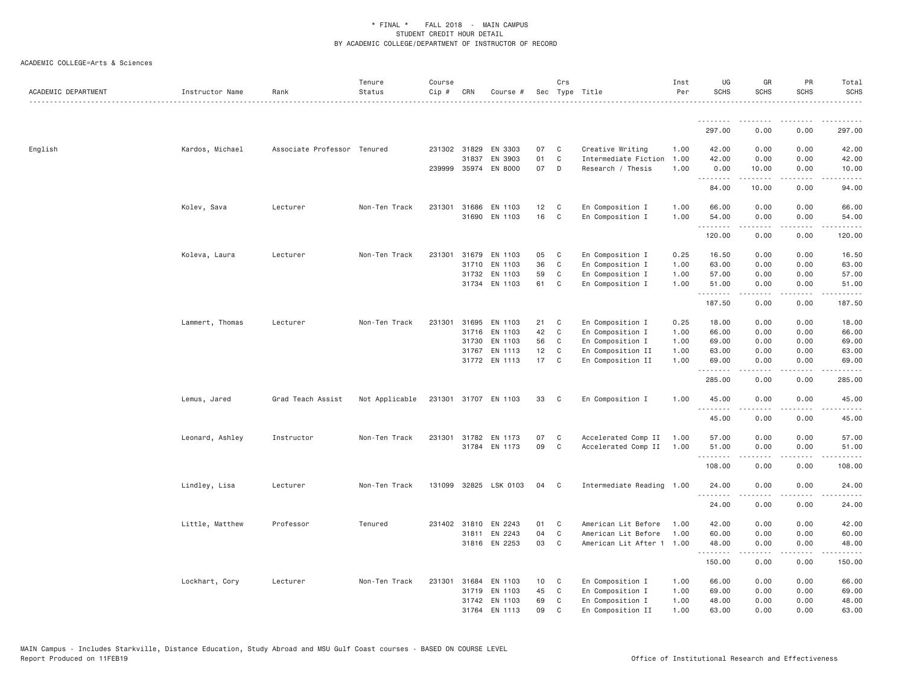| ACADEMIC DEPARTMENT | Instructor Name | Rank                        | Tenure<br>Status | Course<br>Cip # | CRN          | Course #             |    | Crs         | Sec Type Title            | Inst<br>Per | UG<br><b>SCHS</b>              | GR<br><b>SCHS</b><br><u>.</u> | PR<br><b>SCHS</b>                   | Total<br>SCHS<br>.                          |
|---------------------|-----------------|-----------------------------|------------------|-----------------|--------------|----------------------|----|-------------|---------------------------|-------------|--------------------------------|-------------------------------|-------------------------------------|---------------------------------------------|
|                     |                 |                             |                  |                 |              |                      |    |             |                           |             | <u>.</u><br>297.00             | . <u>.</u> .<br>0.00          | .<br>0.00                           | $- - - - - - -$<br>297.00                   |
| English             | Kardos, Michael | Associate Professor Tenured |                  |                 |              | 231302 31829 EN 3303 | 07 | C           | Creative Writing          | 1.00        | 42.00                          | 0.00                          | 0.00                                | 42.00                                       |
|                     |                 |                             |                  |                 | 31837        | EN 3903              | 01 | $\mathbb C$ | Intermediate Fiction      | 1.00        | 42.00                          | 0.00                          | 0.00                                | 42.00                                       |
|                     |                 |                             |                  | 239999          |              | 35974 EN 8000        | 07 | D           | Research / Thesis         | 1.00        | 0.00                           | 10.00                         | 0.00                                | 10.00                                       |
|                     |                 |                             |                  |                 |              |                      |    |             |                           |             | <b><i><u></u></i></b><br>84.00 | .<br>10.00                    | .<br>0.00                           | .<br>94.00                                  |
|                     | Kolev, Sava     | Lecturer                    | Non-Ten Track    |                 |              | 231301 31686 EN 1103 | 12 | C           | En Composition I          | 1.00        | 66.00                          | 0.00                          | 0.00                                | 66.00                                       |
|                     |                 |                             |                  |                 | 31690        | EN 1103              | 16 | C           | En Composition I          | 1.00        | 54.00                          | 0.00                          | 0.00                                | 54.00                                       |
|                     |                 |                             |                  |                 |              |                      |    |             |                           |             | .<br>120.00                    | 0.00                          | $\sim$ $\sim$ $\sim$ $\sim$<br>0.00 | .<br>120.00                                 |
|                     | Koleva, Laura   | Lecturer                    | Non-Ten Track    | 231301          | 31679        | EN 1103              | 05 | C           | En Composition I          | 0.25        | 16.50                          | 0.00                          | 0.00                                | 16.50                                       |
|                     |                 |                             |                  |                 |              | 31710 EN 1103        | 36 | C           | En Composition I          | 1.00        | 63.00                          | 0.00                          | 0.00                                | 63.00                                       |
|                     |                 |                             |                  |                 | 31732        | EN 1103              | 59 | C           | En Composition I          | 1.00        | 57.00                          | 0.00                          | 0.00                                | 57.00                                       |
|                     |                 |                             |                  |                 |              | 31734 EN 1103        | 61 | C           | En Composition I          | 1.00        | 51.00<br>.                     | 0.00<br>.                     | 0.00<br>.                           | 51.00<br>.                                  |
|                     |                 |                             |                  |                 |              |                      |    |             |                           |             | 187.50                         | 0.00                          | 0.00                                | 187.50                                      |
|                     | Lammert, Thomas | Lecturer                    | Non-Ten Track    | 231301          |              | 31695 EN 1103        | 21 | C           | En Composition I          | 0.25        | 18.00                          | 0.00                          | 0.00                                | 18.00                                       |
|                     |                 |                             |                  |                 | 31716        | EN 1103              | 42 | C           | En Composition I          | 1.00        | 66.00                          | 0.00                          | 0.00                                | 66.00                                       |
|                     |                 |                             |                  |                 | 31730        | EN 1103              | 56 | C           | En Composition I          | 1.00        | 69.00                          | 0.00                          | 0.00                                | 69.00                                       |
|                     |                 |                             |                  |                 |              | 31767 EN 1113        | 12 | C           | En Composition II         | 1.00        | 63.00                          | 0.00                          | 0.00                                | 63.00                                       |
|                     |                 |                             |                  |                 |              | 31772 EN 1113        | 17 | C           | En Composition II         | 1.00        | 69.00<br>.                     | 0.00<br>.                     | 0.00<br>$\sim$ $\sim$ $\sim$ $\sim$ | 69.00<br>$\sim$ $\sim$ $\sim$ $\sim$ $\sim$ |
|                     |                 |                             |                  |                 |              |                      |    |             |                           |             | 285.00                         | 0.00                          | 0.00                                | 285.00                                      |
|                     | Lemus, Jared    | Grad Teach Assist           | Not Applicable   |                 |              | 231301 31707 EN 1103 | 33 | C           | En Composition I          | 1.00        | 45.00                          | 0.00                          | 0.00                                | 45.00                                       |
|                     |                 |                             |                  |                 |              |                      |    |             |                           |             | .<br>45.00                     | 0.00                          | 0.00                                | .<br>45.00                                  |
|                     | Leonard, Ashley | Instructor                  | Non-Ten Track    |                 |              | 231301 31782 EN 1173 | 07 | C           | Accelerated Comp II       | 1.00        | 57.00                          | 0.00                          | 0.00                                | 57.00                                       |
|                     |                 |                             |                  |                 | 31784        | EN 1173              | 09 | C           | Accelerated Comp II       | 1.00        | 51.00                          | 0.00                          | 0.00                                | 51.00                                       |
|                     |                 |                             |                  |                 |              |                      |    |             |                           |             | .<br>108.00                    | .<br>0.00                     | $\frac{1}{2}$<br>0.00               | .<br>108.00                                 |
|                     | Lindley, Lisa   | Lecturer                    | Non-Ten Track    | 131099          |              | 32825 LSK 0103       | 04 | C           | Intermediate Reading 1.00 |             | 24.00                          | 0.00                          | 0.00                                | 24.00                                       |
|                     |                 |                             |                  |                 |              |                      |    |             |                           |             | .<br>24.00                     | 0.00                          | $\sim$ $\sim$ $\sim$<br>0.00        | .<br>24.00                                  |
|                     | Little, Matthew | Professor                   | Tenured          |                 | 231402 31810 | EN 2243              | 01 | C           | American Lit Before       | 1.00        | 42.00                          | 0.00                          | 0.00                                | 42.00                                       |
|                     |                 |                             |                  |                 | 31811        | EN 2243              | 04 | $\mathbb C$ | American Lit Before       | 1.00        | 60.00                          | 0.00                          | 0.00                                | 60.00                                       |
|                     |                 |                             |                  |                 |              | 31816 EN 2253        | 03 | C           | American Lit After 1 1.00 |             | 48.00                          | 0.00                          | 0.00                                | 48.00                                       |
|                     |                 |                             |                  |                 |              |                      |    |             |                           |             | 150.00                         | .<br>0.00                     | .<br>0.00                           | .<br>150.00                                 |
|                     | Lockhart, Cory  | Lecturer                    | Non-Ten Track    | 231301          | 31684        | EN 1103              | 10 | C           | En Composition I          | 1.00        | 66.00                          | 0.00                          | 0.00                                | 66.00                                       |
|                     |                 |                             |                  |                 | 31719        | EN 1103              | 45 | C           | En Composition I          | 1.00        | 69.00                          | 0.00                          | 0.00                                | 69.00                                       |
|                     |                 |                             |                  |                 |              | 31742 EN 1103        | 69 | C           | En Composition I          | 1.00        | 48.00                          | 0.00                          | 0.00                                | 48.00                                       |
|                     |                 |                             |                  |                 | 31764        | EN 1113              | 09 | C           | En Composition II         | 1.00        | 63,00                          | 0.00                          | 0.00                                | 63,00                                       |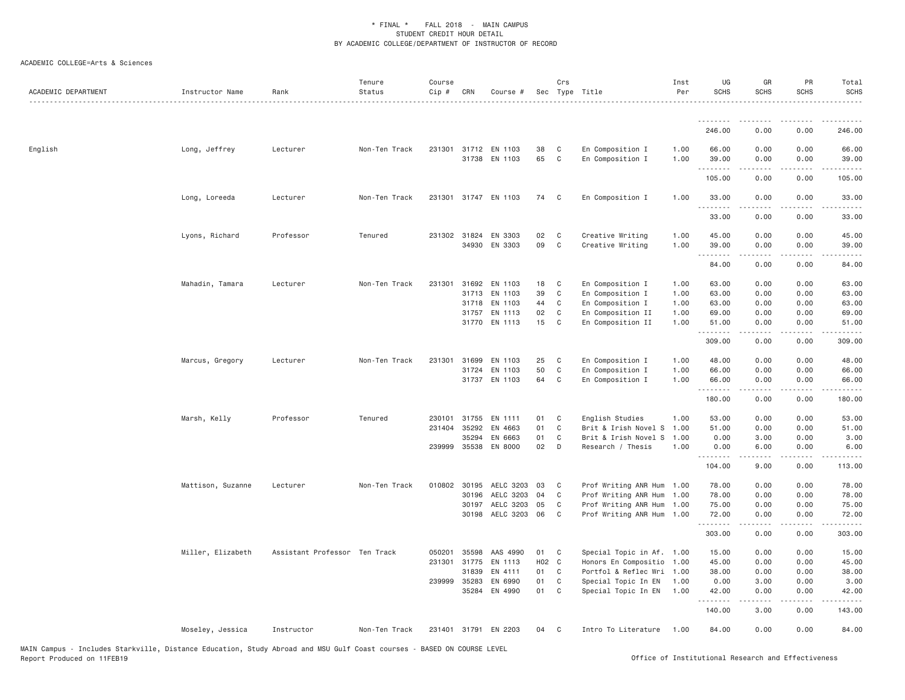| ACADEMIC DEPARTMENT | Instructor Name   | Rank                          | Tenure<br>Status | Course<br>Cip # | CRN          | Course #                              |          | Crs               | Sec Type Title                         | Inst<br>Per  | UG<br><b>SCHS</b>   | GR<br><b>SCHS</b>                                                                                                                                                                                                                                                                                                                    | PR<br><b>SCHS</b>                   | Total<br><b>SCHS</b>  |
|---------------------|-------------------|-------------------------------|------------------|-----------------|--------------|---------------------------------------|----------|-------------------|----------------------------------------|--------------|---------------------|--------------------------------------------------------------------------------------------------------------------------------------------------------------------------------------------------------------------------------------------------------------------------------------------------------------------------------------|-------------------------------------|-----------------------|
|                     |                   |                               |                  |                 |              |                                       |          |                   |                                        |              | .                   | .                                                                                                                                                                                                                                                                                                                                    |                                     | .                     |
|                     |                   |                               |                  |                 |              |                                       |          |                   |                                        |              | 246.00              | 0.00                                                                                                                                                                                                                                                                                                                                 | 0.00                                | 246.00                |
| English             | Long, Jeffrey     | Lecturer                      | Non-Ten Track    |                 |              | 231301 31712 EN 1103<br>31738 EN 1103 | 38<br>65 | C<br>$\mathbf{C}$ | En Composition I<br>En Composition I   | 1.00<br>1.00 | 66.00<br>39.00<br>. | 0.00<br>0.00<br>$\frac{1}{2} \left( \frac{1}{2} \right) \left( \frac{1}{2} \right) \left( \frac{1}{2} \right) \left( \frac{1}{2} \right) \left( \frac{1}{2} \right)$                                                                                                                                                                 | 0.00<br>0.00<br>.                   | 66.00<br>39.00        |
|                     |                   |                               |                  |                 |              |                                       |          |                   |                                        |              | 105.00              | 0.00                                                                                                                                                                                                                                                                                                                                 | 0.00                                | 105.00                |
|                     | Long, Loreeda     | Lecturer                      | Non-Ten Track    |                 |              | 231301 31747 EN 1103                  | 74       | $\mathbf{C}$      | En Composition I                       | 1.00         | 33.00<br>.          | 0.00<br><u>.</u>                                                                                                                                                                                                                                                                                                                     | 0.00<br>$\cdots$                    | 33.00<br>.            |
|                     |                   |                               |                  |                 |              |                                       |          |                   |                                        |              | 33.00               | 0.00                                                                                                                                                                                                                                                                                                                                 | 0.00                                | 33.00                 |
|                     | Lyons, Richard    | Professor                     | Tenured          |                 |              | 231302 31824 EN 3303<br>34930 EN 3303 | 02<br>09 | C<br>C            | Creative Writing<br>Creative Writing   | 1.00<br>1.00 | 45.00<br>39.00      | 0.00<br>0.00                                                                                                                                                                                                                                                                                                                         | 0.00<br>0.00                        | 45.00<br>39.00        |
|                     |                   |                               |                  |                 |              |                                       |          |                   |                                        |              | .                   | $\frac{1}{2} \left( \begin{array}{ccc} 1 & 0 & 0 & 0 \\ 0 & 0 & 0 & 0 \\ 0 & 0 & 0 & 0 \\ 0 & 0 & 0 & 0 \\ 0 & 0 & 0 & 0 \\ 0 & 0 & 0 & 0 \\ 0 & 0 & 0 & 0 \\ 0 & 0 & 0 & 0 \\ 0 & 0 & 0 & 0 \\ 0 & 0 & 0 & 0 \\ 0 & 0 & 0 & 0 & 0 \\ 0 & 0 & 0 & 0 & 0 \\ 0 & 0 & 0 & 0 & 0 \\ 0 & 0 & 0 & 0 & 0 \\ 0 & 0 & 0 & 0 & 0 \\ 0 & 0 & 0$ | .                                   | .                     |
|                     |                   |                               |                  |                 |              |                                       |          |                   |                                        |              | 84.00               | 0.00                                                                                                                                                                                                                                                                                                                                 | 0.00                                | 84.00                 |
|                     | Mahadin, Tamara   | Lecturer                      | Non-Ten Track    | 231301          | 31692        | EN 1103                               | 18       | C                 | En Composition I                       | 1.00         | 63.00               | 0.00                                                                                                                                                                                                                                                                                                                                 | 0.00                                | 63.00                 |
|                     |                   |                               |                  |                 | 31713        | EN 1103                               | 39       | C                 | En Composition I                       | 1.00         | 63.00               | 0.00                                                                                                                                                                                                                                                                                                                                 | 0.00                                | 63.00                 |
|                     |                   |                               |                  |                 | 31718        | EN 1103                               | 44       | C                 | En Composition I                       | 1.00         | 63.00               | 0.00                                                                                                                                                                                                                                                                                                                                 | 0.00                                | 63.00                 |
|                     |                   |                               |                  |                 |              | 31757 EN 1113<br>31770 EN 1113        | 02<br>15 | C<br>$\mathbb{C}$ | En Composition II<br>En Composition II | 1.00<br>1.00 | 69.00<br>51.00      | 0.00<br>0.00                                                                                                                                                                                                                                                                                                                         | 0.00<br>0.00                        | 69.00<br>51.00        |
|                     |                   |                               |                  |                 |              |                                       |          |                   |                                        |              | .<br>309.00         | $\frac{1}{2} \left( \frac{1}{2} \right) \left( \frac{1}{2} \right) \left( \frac{1}{2} \right) \left( \frac{1}{2} \right) \left( \frac{1}{2} \right)$<br>0.00                                                                                                                                                                         | .<br>0.00                           | .<br>309.00           |
|                     | Marcus, Gregory   | Lecturer                      | Non-Ten Track    | 231301          | 31699        | EN 1103                               | 25       | C                 | En Composition I                       | 1.00         | 48.00               | 0.00                                                                                                                                                                                                                                                                                                                                 | 0.00                                | 48.00                 |
|                     |                   |                               |                  |                 | 31724        | EN 1103                               | 50       | C                 | En Composition I                       | 1.00         | 66.00               | 0.00                                                                                                                                                                                                                                                                                                                                 | 0.00                                | 66.00                 |
|                     |                   |                               |                  |                 |              | 31737 EN 1103                         | 64       | C                 | En Composition I                       | 1.00         | 66.00               | 0.00                                                                                                                                                                                                                                                                                                                                 | 0.00                                | 66.00                 |
|                     |                   |                               |                  |                 |              |                                       |          |                   |                                        |              | .<br>180.00         | 0.00                                                                                                                                                                                                                                                                                                                                 | 0.00                                | 180.00                |
|                     | Marsh, Kelly      | Professor                     | Tenured          |                 | 230101 31755 | EN 1111                               | 01 C     |                   | English Studies                        | 1.00         | 53.00               | 0.00                                                                                                                                                                                                                                                                                                                                 | 0.00                                | 53.00                 |
|                     |                   |                               |                  | 231404          | 35292        | EN 4663                               | 01       | C                 | Brit & Irish Novel S 1.00              |              | 51.00               | 0.00                                                                                                                                                                                                                                                                                                                                 | 0.00                                | 51.00                 |
|                     |                   |                               |                  |                 | 35294        | EN 6663                               | 01       | C                 | Brit & Irish Novel S                   | 1.00         | 0.00                | 3.00                                                                                                                                                                                                                                                                                                                                 | 0.00                                | 3.00                  |
|                     |                   |                               |                  |                 | 239999 35538 | EN 8000                               | 02       | D                 | Research / Thesis                      | 1.00         | 0.00<br>.           | 6.00<br>$\frac{1}{2} \left( \frac{1}{2} \right) \left( \frac{1}{2} \right) \left( \frac{1}{2} \right) \left( \frac{1}{2} \right) \left( \frac{1}{2} \right)$                                                                                                                                                                         | 0.00<br>$\sim$ $\sim$ $\sim$ $\sim$ | 6.00<br>$- - - - - -$ |
|                     |                   |                               |                  |                 |              |                                       |          |                   |                                        |              | 104.00              | 9.00                                                                                                                                                                                                                                                                                                                                 | 0.00                                | 113.00                |
|                     | Mattison, Suzanne | Lecturer                      | Non-Ten Track    | 010802          | 30195        | AELC 3203                             | 03       | C                 | Prof Writing ANR Hum 1.00              |              | 78.00               | 0.00                                                                                                                                                                                                                                                                                                                                 | 0.00                                | 78.00                 |
|                     |                   |                               |                  |                 | 30196        | AELC 3203                             | 04       | $\mathbf C$       | Prof Writing ANR Hum 1.00              |              | 78.00               | 0.00                                                                                                                                                                                                                                                                                                                                 | 0.00                                | 78.00                 |
|                     |                   |                               |                  |                 | 30197        | AELC 3203                             | 05       | C                 | Prof Writing ANR Hum 1.00              |              | 75.00               | 0.00                                                                                                                                                                                                                                                                                                                                 | 0.00                                | 75.00                 |
|                     |                   |                               |                  |                 |              | 30198 AELC 3203                       | 06       | C                 | Prof Writing ANR Hum 1.00              |              | 72.00<br>.          | 0.00                                                                                                                                                                                                                                                                                                                                 | 0.00                                | 72.00<br>.            |
|                     |                   |                               |                  |                 |              |                                       |          |                   |                                        |              | 303.00              | 0.00                                                                                                                                                                                                                                                                                                                                 | 0.00                                | 303.00                |
|                     | Miller, Elizabeth | Assistant Professor Ten Track |                  | 050201          | 35598        | AAS 4990                              | 01       | $\mathbf{C}$      | Special Topic in Af. 1.00              |              | 15.00               | 0.00                                                                                                                                                                                                                                                                                                                                 | 0.00                                | 15.00                 |
|                     |                   |                               |                  | 231301          | 31775        | EN 1113                               | H02 C    |                   | Honors En Compositio 1.00              |              | 45.00               | 0.00                                                                                                                                                                                                                                                                                                                                 | 0.00                                | 45.00                 |
|                     |                   |                               |                  |                 | 31839        | EN 4111                               | 01       | $\mathbf{C}$      | Portfol & Reflec Wri 1.00              |              | 38.00               | 0.00                                                                                                                                                                                                                                                                                                                                 | 0.00                                | 38.00                 |
|                     |                   |                               |                  |                 | 239999 35283 | EN 6990                               | 01       | C                 | Special Topic In EN                    | 1.00         | 0.00                | 3.00                                                                                                                                                                                                                                                                                                                                 | 0.00                                | 3.00                  |
|                     |                   |                               |                  |                 | 35284        | EN 4990                               | 01       | C                 | Special Topic In EN                    | 1.00         | 42.00<br>.          | 0.00<br>.                                                                                                                                                                                                                                                                                                                            | 0.00<br>$\frac{1}{2}$               | 42.00<br>.            |
|                     |                   |                               |                  |                 |              |                                       |          |                   |                                        |              | 140.00              | 3.00                                                                                                                                                                                                                                                                                                                                 | 0.00                                | 143.00                |
|                     | Moseley, Jessica  | Instructor                    | Non-Ten Track    |                 |              | 231401 31791 EN 2203                  | 04       | $\mathbf{C}$      | Intro To Literature                    | 1.00         | 84.00               | 0.00                                                                                                                                                                                                                                                                                                                                 | 0.00                                | 84.00                 |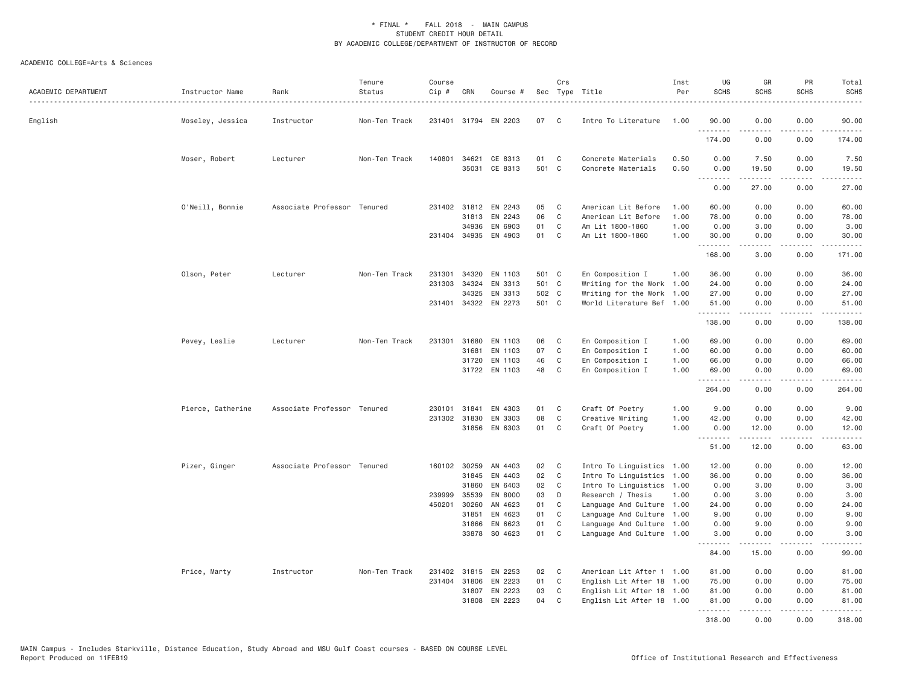| ACADEMIC DEPARTMENT | Instructor Name   | Rank                        | Tenure<br>Status | Course<br>Cip # | CRN   | Course #                              |             | Crs            | Sec Type Title                           | Inst<br>Per  | UG<br><b>SCHS</b> | GR<br><b>SCHS</b>                                                                                                                                             | PR<br><b>SCHS</b>                   | Total<br>SCHS                               |
|---------------------|-------------------|-----------------------------|------------------|-----------------|-------|---------------------------------------|-------------|----------------|------------------------------------------|--------------|-------------------|---------------------------------------------------------------------------------------------------------------------------------------------------------------|-------------------------------------|---------------------------------------------|
| English             | Moseley, Jessica  | Instructor                  | Non-Ten Track    |                 |       | 231401 31794 EN 2203                  | 07          | C              | Intro To Literature                      | 1.00         | 90.00             | 0.00<br>.                                                                                                                                                     | 0.00<br>$\sim$ $\sim$ $\sim$ $\sim$ | 90,00<br>.                                  |
|                     |                   |                             |                  |                 |       |                                       |             |                |                                          |              | 174.00            | 0.00                                                                                                                                                          | 0.00                                | 174.00                                      |
|                     | Moser, Robert     | Lecturer                    | Non-Ten Track    |                 |       | 140801 34621 CE 8313<br>35031 CE 8313 | 01<br>501 C | C              | Concrete Materials<br>Concrete Materials | 0.50<br>0.50 | 0.00<br>0.00      | 7.50<br>19.50                                                                                                                                                 | 0.00<br>0.00                        | 7.50<br>19.50                               |
|                     |                   |                             |                  |                 |       |                                       |             |                |                                          |              | .<br>0.00         | $\frac{1}{2} \left( \frac{1}{2} \right) \left( \frac{1}{2} \right) \left( \frac{1}{2} \right) \left( \frac{1}{2} \right) \left( \frac{1}{2} \right)$<br>27.00 | .<br>0.00                           | $   -$<br>27.00                             |
|                     | O'Neill, Bonnie   | Associate Professor Tenured |                  |                 |       | 231402 31812 EN 2243                  | 05          | C              | American Lit Before                      | 1,00         | 60.00             | 0.00                                                                                                                                                          | 0.00                                | 60.00                                       |
|                     |                   |                             |                  |                 |       | 31813 EN 2243                         | 06          | $\mathbb C$    | American Lit Before                      | 1.00         | 78.00             | 0.00                                                                                                                                                          | 0.00                                | 78.00                                       |
|                     |                   |                             |                  |                 |       | 34936 EN 6903                         | 01          | $\mathbf{C}$   | Am Lit 1800-1860                         | 1.00         | 0.00              | 3.00                                                                                                                                                          | 0.00                                | 3.00                                        |
|                     |                   |                             |                  |                 |       | 231404 34935 EN 4903                  | 01          | C              | Am Lit 1800-1860                         | 1.00         | 30.00<br><u>.</u> | 0.00<br>.                                                                                                                                                     | 0.00<br>د د د د                     | 30.00                                       |
|                     |                   |                             |                  |                 |       |                                       |             |                |                                          |              | 168.00            | 3.00                                                                                                                                                          | 0.00                                | .<br>171.00                                 |
|                     | Olson, Peter      | Lecturer                    | Non-Ten Track    | 231301          | 34320 | EN 1103                               | 501 C       |                | En Composition I                         | 1.00         | 36.00             | 0.00                                                                                                                                                          | 0.00                                | 36.00                                       |
|                     |                   |                             |                  | 231303          | 34324 | EN 3313                               | 501 C       |                | Writing for the Work 1.00                |              | 24.00             | 0.00                                                                                                                                                          | 0.00                                | 24.00                                       |
|                     |                   |                             |                  |                 | 34325 | EN 3313                               | 502 C       |                | Writing for the Work                     | 1.00         | 27.00             | 0.00                                                                                                                                                          | 0.00                                | 27.00                                       |
|                     |                   |                             |                  |                 |       | 231401 34322 EN 2273                  | 501 C       |                | World Literature Bef 1.00                |              | 51.00<br>.        | 0.00<br>.                                                                                                                                                     | 0.00<br>.                           | 51.00<br>.                                  |
|                     |                   |                             |                  |                 |       |                                       |             |                |                                          |              | 138.00            | 0.00                                                                                                                                                          | 0.00                                | 138.00                                      |
|                     | Pevey, Leslie     | Lecturer                    | Non-Ten Track    | 231301          |       | 31680 EN 1103                         | 06          | C              | En Composition I                         | 1.00         | 69.00             | 0.00                                                                                                                                                          | 0.00                                | 69.00                                       |
|                     |                   |                             |                  |                 | 31681 | EN 1103                               | 07          | C              | En Composition I                         | 1.00         | 60.00             | 0.00                                                                                                                                                          | 0.00                                | 60.00                                       |
|                     |                   |                             |                  |                 |       | 31720 EN 1103                         | 46          | C              | En Composition I                         | 1.00         | 66.00             | 0.00                                                                                                                                                          | 0.00                                | 66.00                                       |
|                     |                   |                             |                  |                 |       | 31722 EN 1103                         | 48          | C              | En Composition I                         | 1.00         | 69.00<br>.        | 0.00<br>.                                                                                                                                                     | 0.00<br>.                           | 69,00<br>.                                  |
|                     |                   |                             |                  |                 |       |                                       |             |                |                                          |              | 264.00            | 0.00                                                                                                                                                          | 0.00                                | 264.00                                      |
|                     | Pierce, Catherine | Associate Professor Tenured |                  | 230101          | 31841 | EN 4303                               | 01          | C              | Craft Of Poetry                          | 1.00         | 9.00              | 0.00                                                                                                                                                          | 0.00                                | 9.00                                        |
|                     |                   |                             |                  |                 |       | 231302 31830 EN 3303                  | 08          | C              | Creative Writing                         | 1.00         | 42.00             | 0.00                                                                                                                                                          | 0.00                                | 42.00                                       |
|                     |                   |                             |                  |                 |       | 31856 EN 6303                         | 01          | C              | Craft Of Poetry                          | 1.00         | 0.00<br><u>.</u>  | 12.00<br>$- - - - -$                                                                                                                                          | 0.00<br>$\sim$ $\sim$ $\sim$ $\sim$ | 12.00<br>$\sim$ $\sim$ $\sim$ $\sim$ $\sim$ |
|                     |                   |                             |                  |                 |       |                                       |             |                |                                          |              | 51.00             | 12.00                                                                                                                                                         | 0.00                                | 63.00                                       |
|                     | Pizer, Ginger     | Associate Professor Tenured |                  |                 |       | 160102 30259 AN 4403                  | 02          | C              | Intro To Linguistics 1.00                |              | 12.00             | 0.00                                                                                                                                                          | 0.00                                | 12.00                                       |
|                     |                   |                             |                  |                 | 31845 | EN 4403                               | 02          | C              | Intro To Linguistics                     | 1.00         | 36.00             | 0.00                                                                                                                                                          | 0.00                                | 36.00                                       |
|                     |                   |                             |                  |                 | 31860 | EN 6403                               | 02          | C              | Intro To Linguistics 1.00                |              | 0.00              | 3.00                                                                                                                                                          | 0.00                                | 3.00                                        |
|                     |                   |                             |                  | 239999          | 35539 | EN 8000                               | 03          | D              | Research / Thesis                        | 1.00         | 0.00              | 3.00                                                                                                                                                          | 0.00                                | 3.00                                        |
|                     |                   |                             |                  | 450201          | 30260 | AN 4623                               | 01          | C              | Language And Culture 1.00                |              | 24.00             | 0.00                                                                                                                                                          | 0.00                                | 24.00                                       |
|                     |                   |                             |                  |                 | 31851 | EN 4623                               | 01          | C              | Language And Culture 1.00                |              | 9.00              | 0.00                                                                                                                                                          | 0.00                                | 9.00                                        |
|                     |                   |                             |                  |                 | 31866 | EN 6623                               | 01          | C              | Language And Culture 1.00                |              | 0.00              | 9.00                                                                                                                                                          | 0.00                                | 9.00                                        |
|                     |                   |                             |                  |                 |       | 33878 SO 4623                         | 01          | C              | Language And Culture 1.00                |              | 3.00<br>.         | 0.00<br>.                                                                                                                                                     | 0.00<br>.                           | 3.00<br>$\frac{1}{2}$                       |
|                     |                   |                             |                  |                 |       |                                       |             |                |                                          |              | 84.00             | 15.00                                                                                                                                                         | 0.00                                | 99.00                                       |
|                     | Price, Marty      | Instructor                  | Non-Ten Track    |                 |       | 231402 31815 EN 2253                  | 02          | C <sub>1</sub> | American Lit After 1 1.00                |              | 81.00             | 0.00                                                                                                                                                          | 0.00                                | 81.00                                       |
|                     |                   |                             |                  |                 |       | 231404 31806 EN 2223                  | 01          | $\mathbb C$    | English Lit After 18 1.00                |              | 75.00             | 0.00                                                                                                                                                          | 0.00                                | 75.00                                       |
|                     |                   |                             |                  |                 | 31807 | EN 2223                               | 03          | C              | English Lit After 18 1.00                |              | 81.00             | 0.00                                                                                                                                                          | 0.00                                | 81.00                                       |
|                     |                   |                             |                  |                 |       | 31808 EN 2223                         | 04          | C <sub>1</sub> | English Lit After 18 1.00                |              | 81.00<br><u>.</u> | 0.00<br><u>.</u>                                                                                                                                              | 0.00<br>.                           | 81.00<br>.                                  |
|                     |                   |                             |                  |                 |       |                                       |             |                |                                          |              | 318.00            | 0.00                                                                                                                                                          | 0.00                                | 318.00                                      |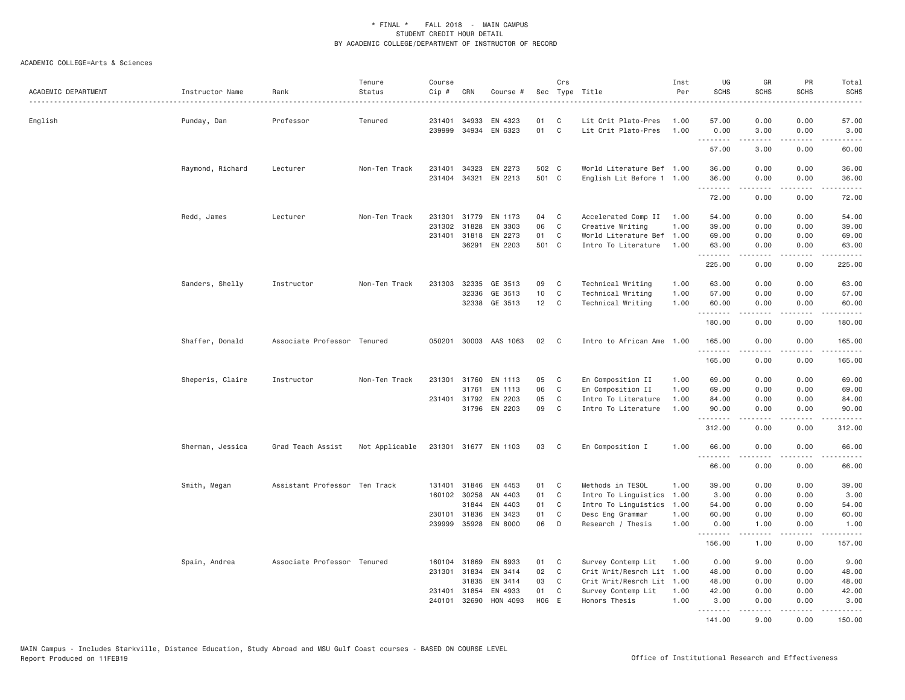| ACADEMIC DEPARTMENT | Instructor Name  | Rank                          | Tenure<br>Status | Course<br>Cip # | CRN          | Course #       |       | Crs            | Sec Type Title            | Inst<br>Per | UG<br><b>SCHS</b> | GR<br><b>SCHS</b>   | PR<br><b>SCHS</b>                   | Total<br><b>SCHS</b>   |
|---------------------|------------------|-------------------------------|------------------|-----------------|--------------|----------------|-------|----------------|---------------------------|-------------|-------------------|---------------------|-------------------------------------|------------------------|
| English             | Punday, Dan      | Professor                     | Tenured          | 231401          | 34933        | EN 4323        | 01    | C              | Lit Crit Plato-Pres       | 1.00        | 57.00             | 0.00                | 0.00                                | 57,00                  |
|                     |                  |                               |                  | 239999          |              | 34934 EN 6323  | 01    | $\mathbf{C}$   | Lit Crit Plato-Pres       | 1.00        | 0.00<br><u>.</u>  | 3.00<br>$- - - - -$ | 0.00<br>.                           | 3.00<br>$- - - - -$    |
|                     |                  |                               |                  |                 |              |                |       |                |                           |             | 57.00             | 3.00                | 0.00                                | 60.00                  |
|                     | Raymond, Richard | Lecturer                      | Non-Ten Track    | 231401          |              | 34323 EN 2273  | 502 C |                | World Literature Bef 1.00 |             | 36.00             | 0.00                | 0.00                                | 36.00                  |
|                     |                  |                               |                  | 231404          |              | 34321 EN 2213  | 501 C |                | English Lit Before 1 1.00 |             | 36.00<br>.        | 0.00<br>.           | 0.00<br>$\sim$ $\sim$ $\sim$        | 36.00<br>.             |
|                     |                  |                               |                  |                 |              |                |       |                |                           |             | 72.00             | 0.00                | 0.00                                | 72.00                  |
|                     | Redd, James      | Lecturer                      | Non-Ten Track    | 231301          |              | 31779 EN 1173  | 04    | C              | Accelerated Comp II 1.00  |             | 54.00             | 0.00                | 0.00                                | 54.00                  |
|                     |                  |                               |                  | 231302          | 31828        | EN 3303        | 06    | C              | Creative Writing          | 1.00        | 39.00             | 0.00                | 0.00                                | 39.00                  |
|                     |                  |                               |                  | 231401          | 31818        | EN 2273        | 01    | C              | World Literature Bef      | 1.00        | 69.00             | 0.00                | 0.00                                | 69.00                  |
|                     |                  |                               |                  |                 | 36291        | EN 2203        | 501 C |                | Intro To Literature       | 1.00        | 63.00<br>.        | 0.00<br><b>.</b>    | 0.00<br>$- - - -$                   | 63.00<br>.             |
|                     |                  |                               |                  |                 |              |                |       |                |                           |             | 225.00            | 0.00                | 0.00                                | 225.00                 |
|                     | Sanders, Shelly  | Instructor                    | Non-Ten Track    | 231303          | 32335        | GE 3513        | 09    | C              | Technical Writing         | 1.00        | 63.00             | 0.00                | 0.00                                | 63.00                  |
|                     |                  |                               |                  |                 | 32336        | GE 3513        | 10    | C              | Technical Writing         | 1.00        | 57.00             | 0.00                | 0.00                                | 57.00                  |
|                     |                  |                               |                  |                 |              | 32338 GE 3513  | 12    | C              | Technical Writing         | 1.00        | 60.00<br>.        | 0.00<br>.           | 0.00<br>.                           | 60.00<br>.             |
|                     |                  |                               |                  |                 |              |                |       |                |                           |             | 180.00            | 0.00                | 0.00                                | 180.00                 |
|                     | Shaffer, Donald  | Associate Professor Tenured   |                  | 050201          |              | 30003 AAS 1063 | 02    | C <sub>c</sub> | Intro to African Ame      | 1.00        | 165.00            | 0.00                | 0.00                                | 165.00                 |
|                     |                  |                               |                  |                 |              |                |       |                |                           |             | .<br>165.00       | -----<br>0.00       | .<br>0.00                           | 165.00                 |
|                     | Sheperis, Claire | Instructor                    | Non-Ten Track    | 231301          |              | 31760 EN 1113  | 05    | C              | En Composition II         | 1.00        | 69.00             | 0.00                | 0.00                                | 69.00                  |
|                     |                  |                               |                  |                 | 31761        | EN 1113        | 06    | C              | En Composition II         | 1.00        | 69.00             | 0.00                | 0.00                                | 69.00                  |
|                     |                  |                               |                  | 231401          | 31792        | EN 2203        | 05    | C              | Intro To Literature       | 1.00        | 84.00             | 0.00                | 0.00                                | 84.00                  |
|                     |                  |                               |                  |                 |              | 31796 EN 2203  | 09    | $\mathbf C$    | Intro To Literature       | 1.00        | 90.00             | 0.00                | 0.00                                | 90.00                  |
|                     |                  |                               |                  |                 |              |                |       |                |                           |             | .<br>312.00       | .<br>0.00           | $\sim$ $\sim$ $\sim$ $\sim$<br>0.00 | .<br>312.00            |
|                     | Sherman, Jessica | Grad Teach Assist             | Not Applicable   | 231301          |              | 31677 EN 1103  | 03    | $\mathbf{C}$   | En Composition I          | 1.00        | 66.00             | 0.00                | 0.00                                | 66.00<br>$\frac{1}{2}$ |
|                     |                  |                               |                  |                 |              |                |       |                |                           |             | .<br>66.00        | 0.00                | 0.00                                | 66.00                  |
|                     | Smith, Megan     | Assistant Professor Ten Track |                  | 131401          | 31846        | EN 4453        | 01    | C              | Methods in TESOL          | 1.00        | 39.00             | 0.00                | 0.00                                | 39.00                  |
|                     |                  |                               |                  |                 | 160102 30258 | AN 4403        | 01    | C              | Intro To Linguistics      | 1.00        | 3.00              | 0.00                | 0.00                                | 3.00                   |
|                     |                  |                               |                  |                 | 31844        | EN 4403        | 01    | C              | Intro To Linguistics      | 1.00        | 54.00             | 0.00                | 0.00                                | 54.00                  |
|                     |                  |                               |                  | 230101          | 31836        | EN 3423        | 01    | C              | Desc Eng Grammar          | 1.00        | 60.00             | 0.00                | 0.00                                | 60.00                  |
|                     |                  |                               |                  | 239999          |              | 35928 EN 8000  | 06    | D              | Research / Thesis         | 1.00        | 0.00<br>.         | 1.00<br>.           | 0.00<br>.                           | 1.00<br>.              |
|                     |                  |                               |                  |                 |              |                |       |                |                           |             | 156.00            | 1.00                | 0.00                                | 157.00                 |
|                     | Spain, Andrea    | Associate Professor Tenured   |                  | 160104          | 31869        | EN 6933        | 01    | C              | Survey Contemp Lit        | 1.00        | 0.00              | 9.00                | 0.00                                | 9.00                   |
|                     |                  |                               |                  | 231301          | 31834        | EN 3414        | 02    | C              | Crit Writ/Resrch Lit 1.00 |             | 48.00             | 0.00                | 0.00                                | 48.00                  |
|                     |                  |                               |                  |                 | 31835        | EN 3414        | 03    | C              | Crit Writ/Resrch Lit 1.00 |             | 48.00             | 0.00                | 0.00                                | 48.00                  |
|                     |                  |                               |                  | 231401          | 31854        | EN 4933        | 01    | $\mathbf{C}$   | Survey Contemp Lit        | 1.00        | 42.00             | 0.00                | 0.00                                | 42.00                  |
|                     |                  |                               |                  | 240101          | 32690        | HON 4093       | H06   | E              | Honors Thesis             | 1.00        | 3.00<br>.         | 0.00                | 0.00<br>.                           | 3.00                   |
|                     |                  |                               |                  |                 |              |                |       |                |                           |             | 141.00            | 9,00                | 0.00                                | 150.00                 |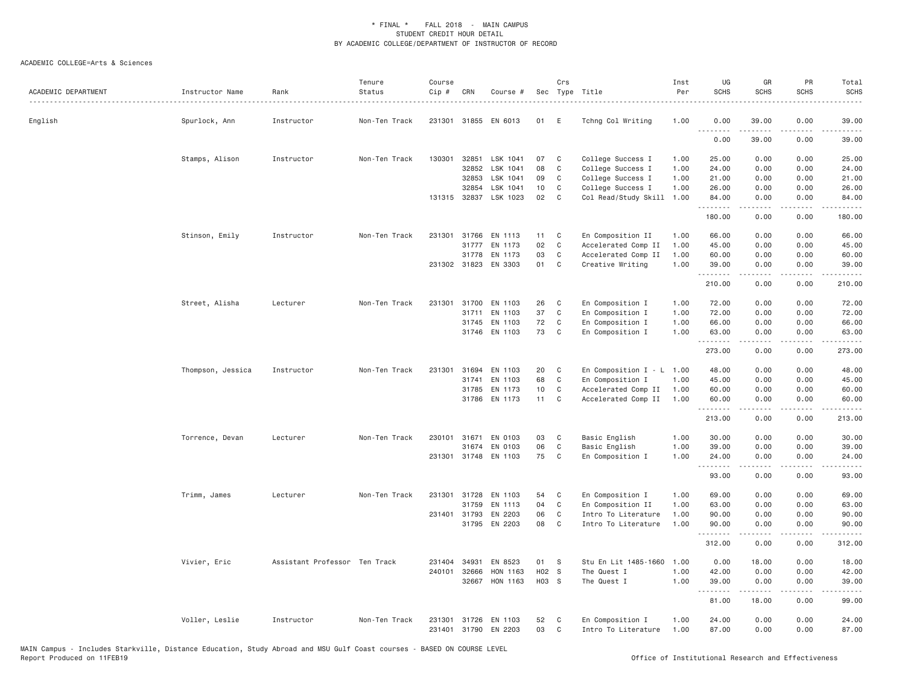| ACADEMIC DEPARTMENT | Instructor Name   | Rank<br>.                     | Tenure<br>Status | Course<br>Cip # | CRN          | Course #              |       | Crs         | Sec Type Title              | Inst<br>Per | UG<br><b>SCHS</b> | GR<br>SCHS            | PR<br><b>SCHS</b>                   | Total<br><b>SCHS</b>                                                                                                                                                                     |
|---------------------|-------------------|-------------------------------|------------------|-----------------|--------------|-----------------------|-------|-------------|-----------------------------|-------------|-------------------|-----------------------|-------------------------------------|------------------------------------------------------------------------------------------------------------------------------------------------------------------------------------------|
| English             | Spurlock, Ann     | Instructor                    | Non-Ten Track    | 231301          |              | 31855 EN 6013         | 01    | E           | Tchng Col Writing           | 1.00        | 0.00              | 39.00                 | 0.00                                | 39.00                                                                                                                                                                                    |
|                     |                   |                               |                  |                 |              |                       |       |             |                             |             | <u>.</u><br>0.00  | 39.00                 | 0.00                                | 39.00                                                                                                                                                                                    |
|                     | Stamps, Alison    | Instructor                    | Non-Ten Track    | 130301          | 32851        | LSK 1041              | 07    | C           | College Success I           | 1.00        | 25.00             | 0.00                  | 0.00                                | 25.00                                                                                                                                                                                    |
|                     |                   |                               |                  |                 | 32852        | LSK 1041              | 08    | C           | College Success I           | 1.00        | 24.00             | 0.00                  | 0.00                                | 24.00                                                                                                                                                                                    |
|                     |                   |                               |                  |                 | 32853        | LSK 1041              | 09    | C           | College Success I           | 1.00        | 21.00             | 0.00                  | 0.00                                | 21.00                                                                                                                                                                                    |
|                     |                   |                               |                  |                 | 32854        | LSK 1041              | 10    | C           | College Success I           | 1.00        | 26.00             | 0.00                  | 0.00                                | 26.00                                                                                                                                                                                    |
|                     |                   |                               |                  |                 |              | 131315 32837 LSK 1023 | 02    | C           | Col Read/Study Skill        | 1.00        | 84.00<br>.        | 0.00<br>.             | 0.00<br>.                           | 84.00<br>.                                                                                                                                                                               |
|                     |                   |                               |                  |                 |              |                       |       |             |                             |             | 180.00            | 0.00                  | 0.00                                | 180.00                                                                                                                                                                                   |
|                     | Stinson, Emily    | Instructor                    | Non-Ten Track    | 231301          | 31766        | EN 1113               | 11    | C           | En Composition II           | 1.00        | 66.00             | 0.00                  | 0.00                                | 66.00                                                                                                                                                                                    |
|                     |                   |                               |                  |                 |              | 31777 EN 1173         | 02    | C           | Accelerated Comp II         | 1.00        | 45.00             | 0.00                  | 0.00                                | 45.00                                                                                                                                                                                    |
|                     |                   |                               |                  |                 | 31778        | EN 1173               | 03    | C           | Accelerated Comp II         | 1.00        | 60.00             | 0.00                  | 0.00                                | 60.00                                                                                                                                                                                    |
|                     |                   |                               |                  |                 |              | 231302 31823 EN 3303  | 01    | C           | Creative Writing            | 1.00        | 39.00<br>.        | 0.00<br>.             | 0.00<br>.                           | 39.00<br>$\frac{1}{2} \left( \frac{1}{2} \right) \left( \frac{1}{2} \right) \left( \frac{1}{2} \right) \left( \frac{1}{2} \right) \left( \frac{1}{2} \right) \left( \frac{1}{2} \right)$ |
|                     |                   |                               |                  |                 |              |                       |       |             |                             |             | 210.00            | 0.00                  | 0.00                                | 210.00                                                                                                                                                                                   |
|                     | Street, Alisha    | Lecturer                      | Non-Ten Track    | 231301          | 31700        | EN 1103               | 26    | C           | En Composition I            | 1.00        | 72.00             | 0.00                  | 0.00                                | 72.00                                                                                                                                                                                    |
|                     |                   |                               |                  |                 | 31711        | EN 1103               | 37    | C           | En Composition I            | 1.00        | 72.00             | 0.00                  | 0.00                                | 72.00                                                                                                                                                                                    |
|                     |                   |                               |                  |                 |              | 31745 EN 1103         | 72    | C           | En Composition I            | 1.00        | 66.00             | 0.00                  | 0.00                                | 66.00                                                                                                                                                                                    |
|                     |                   |                               |                  |                 |              | 31746 EN 1103         | 73    | C           | En Composition I            | 1.00        | 63.00             | 0.00                  | 0.00                                | 63.00                                                                                                                                                                                    |
|                     |                   |                               |                  |                 |              |                       |       |             |                             |             | .<br>273.00       | .<br>0.00             | .<br>0.00                           | .<br>273.00                                                                                                                                                                              |
|                     | Thompson, Jessica | Instructor                    | Non-Ten Track    | 231301          | 31694        | EN 1103               | 20    | C           | En Composition $I - L$ 1.00 |             | 48.00             | 0.00                  | 0.00                                | 48.00                                                                                                                                                                                    |
|                     |                   |                               |                  |                 | 31741        | EN 1103               | 68    | $\mathbb C$ | En Composition I            | 1.00        | 45.00             | 0.00                  | 0.00                                | 45.00                                                                                                                                                                                    |
|                     |                   |                               |                  |                 | 31785        | EN 1173               | 10    | C           | Accelerated Comp II         | 1.00        | 60.00             | 0.00                  | 0.00                                | 60.00                                                                                                                                                                                    |
|                     |                   |                               |                  |                 |              | 31786 EN 1173         | 11    | C           | Accelerated Comp II         | 1.00        | 60.00<br>.        | 0.00<br>.             | 0.00<br>.                           | 60.00<br>22222.                                                                                                                                                                          |
|                     |                   |                               |                  |                 |              |                       |       |             |                             |             | 213.00            | 0.00                  | 0.00                                | 213.00                                                                                                                                                                                   |
|                     | Torrence, Devan   | Lecturer                      | Non-Ten Track    | 230101          | 31671        | EN 0103               | 03    | C           | Basic English               | 1.00        | 30.00             | 0.00                  | 0.00                                | 30.00                                                                                                                                                                                    |
|                     |                   |                               |                  |                 | 31674        | EN 0103               | 06    | $\mathbb C$ | Basic English               | 1.00        | 39.00             | 0.00                  | 0.00                                | 39.00                                                                                                                                                                                    |
|                     |                   |                               |                  |                 |              | 231301 31748 EN 1103  | 75    | C           | En Composition I            | 1.00        | 24.00<br>.        | 0.00                  | 0.00                                | 24.00                                                                                                                                                                                    |
|                     |                   |                               |                  |                 |              |                       |       |             |                             |             | 93.00             | 0.00                  | $\sim$ $\sim$ $\sim$ $\sim$<br>0.00 | 93.00                                                                                                                                                                                    |
|                     | Trimm, James      | Lecturer                      | Non-Ten Track    | 231301          | 31728        | EN 1103               | 54    | C           | En Composition I            | 1.00        | 69.00             | 0.00                  | 0.00                                | 69.00                                                                                                                                                                                    |
|                     |                   |                               |                  |                 | 31759        | EN 1113               | 04    | $\mathbb C$ | En Composition II           | 1.00        | 63.00             | 0.00                  | 0.00                                | 63.00                                                                                                                                                                                    |
|                     |                   |                               |                  |                 | 231401 31793 | EN 2203               | 06    | $\mathbb C$ | Intro To Literature         | 1.00        | 90.00             | 0.00                  | 0.00                                | 90.00                                                                                                                                                                                    |
|                     |                   |                               |                  |                 |              | 31795 EN 2203         | 08    | C           | Intro To Literature         | 1.00        | 90.00<br><u>.</u> | 0.00                  | 0.00<br>$\sim$ $\sim$ $\sim$ $\sim$ | 90.00                                                                                                                                                                                    |
|                     |                   |                               |                  |                 |              |                       |       |             |                             |             | 312.00            | .<br>0.00             | 0.00                                | 312.00                                                                                                                                                                                   |
|                     | Vivier, Eric      | Assistant Professor Ten Track |                  | 231404          | 34931        | EN 8523               | 01    | -S          | Stu En Lit 1485-1660        | 1.00        | 0.00              | 18.00                 | 0.00                                | 18.00                                                                                                                                                                                    |
|                     |                   |                               |                  | 240101          | 32666        | HON 1163              | H02 S |             | The Quest I                 | 1.00        | 42.00             | 0.00                  | 0.00                                | 42.00                                                                                                                                                                                    |
|                     |                   |                               |                  |                 | 32667        | HON 1163              | H03 S |             | The Quest I                 | 1.00        | 39.00<br>.        | 0.00<br>$\frac{1}{2}$ | 0.00<br>.                           | 39.00<br>.                                                                                                                                                                               |
|                     |                   |                               |                  |                 |              |                       |       |             |                             |             | 81.00             | 18.00                 | 0.00                                | 99.00                                                                                                                                                                                    |
|                     | Voller, Leslie    | Instructor                    | Non-Ten Track    | 231301          |              | 31726 EN 1103         | 52    | C           | En Composition I            | 1.00        | 24.00             | 0.00                  | 0.00                                | 24.00                                                                                                                                                                                    |
|                     |                   |                               |                  | 231401          |              | 31790 EN 2203         | 03    | C           | Intro To Literature         | 1.00        | 87.00             | 0.00                  | 0.00                                | 87.00                                                                                                                                                                                    |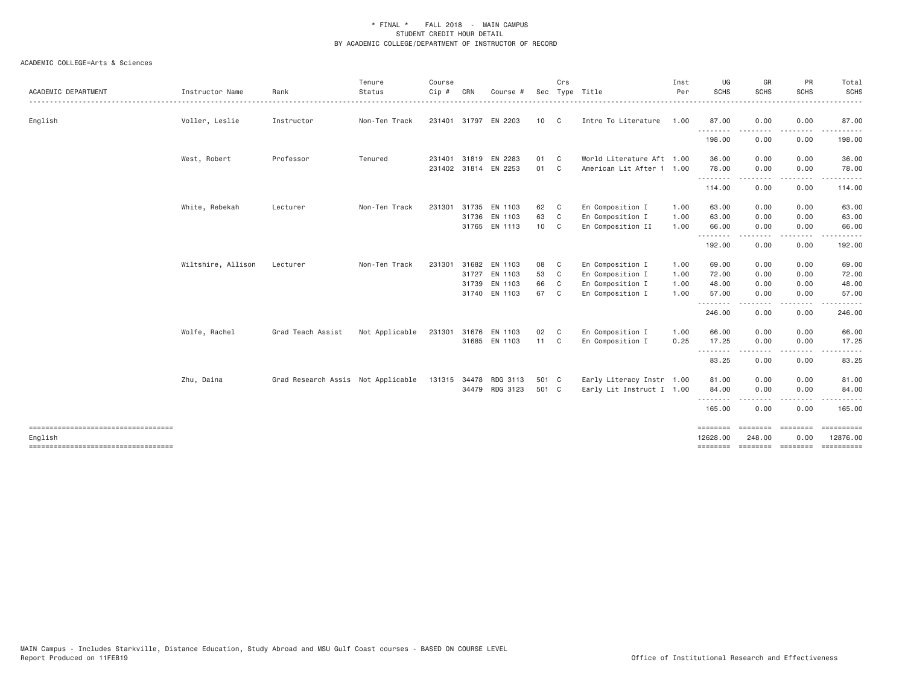| ACADEMIC DEPARTMENT                             | Instructor Name    | Rank                               | Tenure<br>Status | Course<br>Cip # | CRN          | Course #              |       | Crs            | Sec Type Title            | Inst<br>Per | UG<br>SCHS           | GR<br><b>SCHS</b>              | PR<br><b>SCHS</b>                                                                                                                 | Total<br><b>SCHS</b><br>$\frac{1}{2} \left( \frac{1}{2} \right) \left( \frac{1}{2} \right) \left( \frac{1}{2} \right) \left( \frac{1}{2} \right) \left( \frac{1}{2} \right)$                                                                                                                                                                                                                                                                                                        |
|-------------------------------------------------|--------------------|------------------------------------|------------------|-----------------|--------------|-----------------------|-------|----------------|---------------------------|-------------|----------------------|--------------------------------|-----------------------------------------------------------------------------------------------------------------------------------|-------------------------------------------------------------------------------------------------------------------------------------------------------------------------------------------------------------------------------------------------------------------------------------------------------------------------------------------------------------------------------------------------------------------------------------------------------------------------------------|
| English                                         | Voller, Leslie     | Instructor                         | Non-Ten Track    |                 |              | 231401 31797 EN 2203  | 10    | C              | Intro To Literature       | 1.00        | 87.00                | 0.00                           | 0.00                                                                                                                              | 87.00                                                                                                                                                                                                                                                                                                                                                                                                                                                                               |
|                                                 |                    |                                    |                  |                 |              |                       |       |                |                           |             | .<br>198.00          | - - - - -<br>0.00              | $- - - -$<br>0.00                                                                                                                 | .<br>198.00                                                                                                                                                                                                                                                                                                                                                                                                                                                                         |
|                                                 | West, Robert       | Professor                          | Tenured          |                 | 231401 31819 | EN 2283               | 01    | $\mathbf{C}$   | World Literature Aft 1.00 |             | 36.00                | 0.00                           | 0.00                                                                                                                              | 36.00                                                                                                                                                                                                                                                                                                                                                                                                                                                                               |
|                                                 |                    |                                    |                  |                 |              | 231402 31814 EN 2253  | 01 C  |                | American Lit After 1 1.00 |             | 78.00<br>.           | 0.00<br>-----                  | 0.00<br>.                                                                                                                         | 78.00<br>$\frac{1}{2} \left( \frac{1}{2} \right) \left( \frac{1}{2} \right) \left( \frac{1}{2} \right) \left( \frac{1}{2} \right) \left( \frac{1}{2} \right) \left( \frac{1}{2} \right) \left( \frac{1}{2} \right) \left( \frac{1}{2} \right) \left( \frac{1}{2} \right) \left( \frac{1}{2} \right) \left( \frac{1}{2} \right) \left( \frac{1}{2} \right) \left( \frac{1}{2} \right) \left( \frac{1}{2} \right) \left( \frac{1}{2} \right) \left( \frac{1}{2} \right) \left( \frac$ |
|                                                 |                    |                                    |                  |                 |              |                       |       |                |                           |             | 114.00               | 0.00                           | 0.00                                                                                                                              | 114.00                                                                                                                                                                                                                                                                                                                                                                                                                                                                              |
|                                                 | White, Rebekah     | Lecturer                           | Non-Ten Track    | 231301          |              | 31735 EN 1103         | 62    | C              | En Composition I          | 1.00        | 63.00                | 0.00                           | 0.00                                                                                                                              | 63.00                                                                                                                                                                                                                                                                                                                                                                                                                                                                               |
|                                                 |                    |                                    |                  |                 |              | 31736 EN 1103         | 63    | C <sub>1</sub> | En Composition I          | 1.00        | 63.00                | 0.00                           | 0.00                                                                                                                              | 63.00                                                                                                                                                                                                                                                                                                                                                                                                                                                                               |
|                                                 |                    |                                    |                  |                 |              | 31765 EN 1113         | 10 C  |                | En Composition II         | 1.00        | 66.00<br>.           | 0.00<br>.                      | 0.00<br>$- - - -$                                                                                                                 | 66.00<br>.                                                                                                                                                                                                                                                                                                                                                                                                                                                                          |
|                                                 |                    |                                    |                  |                 |              |                       |       |                |                           |             | 192.00               | 0.00                           | 0.00                                                                                                                              | 192.00                                                                                                                                                                                                                                                                                                                                                                                                                                                                              |
|                                                 | Wiltshire, Allison | Lecturer                           | Non-Ten Track    | 231301          |              | 31682 EN 1103         | 08    | C              | En Composition I          | 1.00        | 69.00                | 0.00                           | 0.00                                                                                                                              | 69.00                                                                                                                                                                                                                                                                                                                                                                                                                                                                               |
|                                                 |                    |                                    |                  |                 |              | 31727 EN 1103         | 53    | C <sub>1</sub> | En Composition I          | 1.00        | 72.00                | 0.00                           | 0.00                                                                                                                              | 72.00                                                                                                                                                                                                                                                                                                                                                                                                                                                                               |
|                                                 |                    |                                    |                  |                 |              | 31739 EN 1103         | 66    | C.             | En Composition I          | 1.00        | 48.00                | 0.00                           | 0.00                                                                                                                              | 48.00                                                                                                                                                                                                                                                                                                                                                                                                                                                                               |
|                                                 |                    |                                    |                  |                 |              | 31740 EN 1103         | 67    | C.             | En Composition I          | 1.00        | 57.00                | 0.00                           | 0.00                                                                                                                              | 57.00                                                                                                                                                                                                                                                                                                                                                                                                                                                                               |
|                                                 |                    |                                    |                  |                 |              |                       |       |                |                           |             | .<br>246.00          | 0.00                           | 0.00                                                                                                                              | 246.00                                                                                                                                                                                                                                                                                                                                                                                                                                                                              |
|                                                 | Wolfe, Rachel      | Grad Teach Assist                  | Not Applicable   | 231301          |              | 31676 EN 1103         | 02    | $\mathbf{C}$   | En Composition I          | 1.00        | 66.00                | 0.00                           | 0.00                                                                                                                              | 66.00                                                                                                                                                                                                                                                                                                                                                                                                                                                                               |
|                                                 |                    |                                    |                  |                 |              | 31685 EN 1103         | 11 C  |                | En Composition I          | 0.25        | 17.25                | 0.00                           | 0.00                                                                                                                              | 17.25                                                                                                                                                                                                                                                                                                                                                                                                                                                                               |
|                                                 |                    |                                    |                  |                 |              |                       |       |                |                           |             | .<br>83.25           | $\cdots \cdots \cdots$<br>0.00 | $\frac{1}{2} \left( \frac{1}{2} \right) \left( \frac{1}{2} \right) \left( \frac{1}{2} \right) \left( \frac{1}{2} \right)$<br>0.00 | $\frac{1}{2} \left( \frac{1}{2} \right) \left( \frac{1}{2} \right) \left( \frac{1}{2} \right) \left( \frac{1}{2} \right) \left( \frac{1}{2} \right)$<br>83.25                                                                                                                                                                                                                                                                                                                       |
|                                                 | Zhu, Daina         | Grad Research Assis Not Applicable |                  |                 |              | 131315 34478 RDG 3113 | 501 C |                | Early Literacy Instr 1.00 |             | 81.00                | 0.00                           | 0.00                                                                                                                              | 81.00                                                                                                                                                                                                                                                                                                                                                                                                                                                                               |
|                                                 |                    |                                    |                  |                 |              | 34479 RDG 3123        | 501 C |                | Early Lit Instruct I 1.00 |             | 84.00                | 0.00                           | 0.00                                                                                                                              | 84.00                                                                                                                                                                                                                                                                                                                                                                                                                                                                               |
|                                                 |                    |                                    |                  |                 |              |                       |       |                |                           |             | .<br>165.00          | 0.00                           | 0.00                                                                                                                              | 165.00                                                                                                                                                                                                                                                                                                                                                                                                                                                                              |
| ====================================            |                    |                                    |                  |                 |              |                       |       |                |                           |             | <b>BEBEERE</b>       |                                |                                                                                                                                   | ==========                                                                                                                                                                                                                                                                                                                                                                                                                                                                          |
| English<br>------------------------------------ |                    |                                    |                  |                 |              |                       |       |                |                           |             | 12628,00<br>======== | 248,00                         | 0.00<br>==================                                                                                                        | 12876.00<br><b>ESSESSESSE</b>                                                                                                                                                                                                                                                                                                                                                                                                                                                       |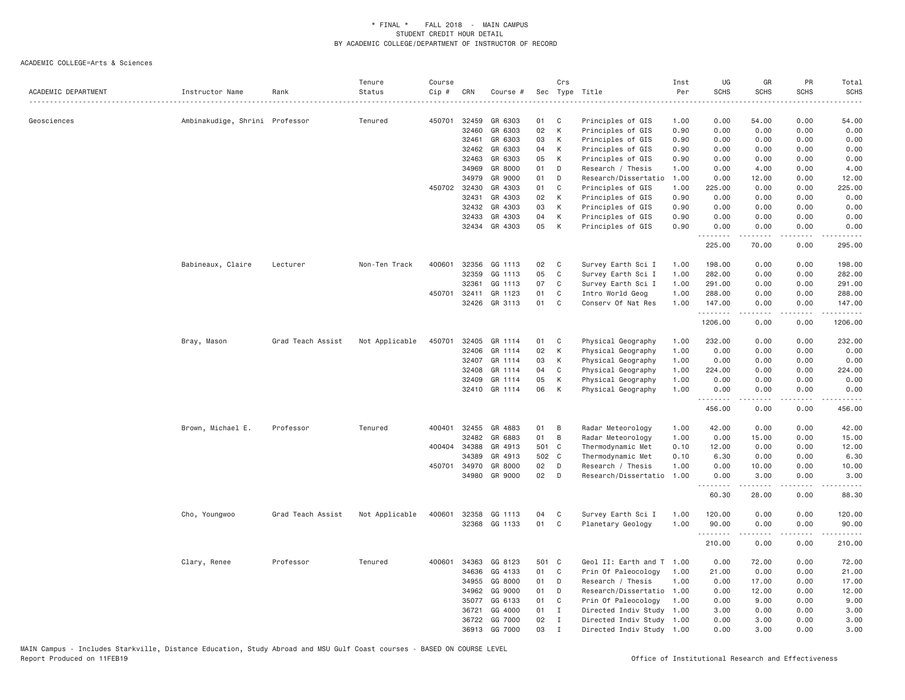| ACADEMIC DEPARTMENT | Instructor Name                | Rank              | Tenure<br>Status | Course<br>Cip# | CRN   | Course #      | Sec   | Crs          | Type Title                | Inst<br>Per | UG<br><b>SCHS</b> | GR<br><b>SCHS</b> | PR<br><b>SCHS</b>            | Total<br><b>SCHS</b><br>. |
|---------------------|--------------------------------|-------------------|------------------|----------------|-------|---------------|-------|--------------|---------------------------|-------------|-------------------|-------------------|------------------------------|---------------------------|
| Geosciences         | Ambinakudige, Shrini Professor |                   | Tenured          | 450701         | 32459 | GR 6303       | 01    | C            | Principles of GIS         | 1.00        | 0.00              | 54.00             | 0.00                         | 54.00                     |
|                     |                                |                   |                  |                | 32460 | GR 6303       | 02    | К            | Principles of GIS         | 0.90        | 0.00              | 0.00              | 0.00                         | 0.00                      |
|                     |                                |                   |                  |                | 32461 | GR 6303       | 03    | К            | Principles of GIS         | 0.90        | 0.00              | 0.00              | 0.00                         | 0.00                      |
|                     |                                |                   |                  |                | 32462 | GR 6303       | 04    | К            | Principles of GIS         | 0.90        | 0.00              | 0.00              | 0.00                         | 0.00                      |
|                     |                                |                   |                  |                | 32463 | GR 6303       | 05    | К            | Principles of GIS         | 0.90        | 0.00              | 0.00              | 0.00                         | 0.00                      |
|                     |                                |                   |                  |                | 34969 | GR 8000       | 01    | D            | Research / Thesis         | 1.00        | 0.00              | 4.00              | 0.00                         | 4.00                      |
|                     |                                |                   |                  |                | 34979 | GR 9000       | 01    | D            | Research/Dissertatio      | 1.00        | 0.00              | 12.00             | 0.00                         | 12.00                     |
|                     |                                |                   |                  | 450702         | 32430 | GR 4303       | 01    | C            | Principles of GIS         | 1.00        | 225.00            | 0.00              | 0.00                         | 225.00                    |
|                     |                                |                   |                  |                | 32431 | GR 4303       | 02    | К            | Principles of GIS         | 0.90        | 0.00              | 0.00              | 0.00                         | 0.00                      |
|                     |                                |                   |                  |                | 32432 | GR 4303       | 03    | К            | Principles of GIS         | 0.90        | 0.00              | 0.00              | 0.00                         | 0.00                      |
|                     |                                |                   |                  |                | 32433 | GR 4303       | 04    | К            | Principles of GIS         | 0.90        | 0.00              | 0.00              | 0.00                         | 0.00                      |
|                     |                                |                   |                  |                |       | 32434 GR 4303 | 05    | K            | Principles of GIS         | 0.90        | 0.00<br>.         | 0.00<br>.         | 0.00                         | 0.00<br>.                 |
|                     |                                |                   |                  |                |       |               |       |              |                           |             | 225.00            | 70.00             | 0.00                         | 295.00                    |
|                     | Babineaux, Claire              | Lecturer          | Non-Ten Track    | 400601         | 32356 | GG 1113       | 02    | C            | Survey Earth Sci I        | 1.00        | 198.00            | 0.00              | 0.00                         | 198.00                    |
|                     |                                |                   |                  |                | 32359 | GG 1113       | 05    | $\mathbb C$  | Survey Earth Sci I        | 1.00        | 282.00            | 0.00              | 0.00                         | 282.00                    |
|                     |                                |                   |                  |                | 32361 | GG 1113       | 07    | C            | Survey Earth Sci I        | 1.00        | 291.00            | 0.00              | 0.00                         | 291.00                    |
|                     |                                |                   |                  | 450701         | 32411 | GR 1123       | 01    | C            | Intro World Geog          | 1.00        | 288.00            | 0.00              | 0.00                         | 288.00                    |
|                     |                                |                   |                  |                |       | 32426 GR 3113 | 01    | C            | Conserv Of Nat Res        | 1.00        | 147.00<br>.       | 0.00              | 0.00                         | 147.00<br>$- - - - - -$   |
|                     |                                |                   |                  |                |       |               |       |              |                           |             | 1206.00           | 0.00              | 0.00                         | 1206.00                   |
|                     | Bray, Mason                    | Grad Teach Assist | Not Applicable   | 450701         | 32405 | GR 1114       | 01    | C            | Physical Geography        | 1.00        | 232.00            | 0.00              | 0.00                         | 232.00                    |
|                     |                                |                   |                  |                | 32406 | GR 1114       | 02    | К            | Physical Geography        | 1.00        | 0.00              | 0.00              | 0.00                         | 0.00                      |
|                     |                                |                   |                  |                | 32407 | GR 1114       | 03    | К            | Physical Geography        | 1.00        | 0.00              | 0.00              | 0.00                         | 0.00                      |
|                     |                                |                   |                  |                | 32408 | GR 1114       | 04    | C            | Physical Geography        | 1.00        | 224.00            | 0.00              | 0.00                         | 224.00                    |
|                     |                                |                   |                  |                | 32409 | GR 1114       | 05    | K            | Physical Geography        | 1.00        | 0.00              | 0.00              | 0.00                         | 0.00                      |
|                     |                                |                   |                  |                |       | 32410 GR 1114 | 06    | K            | Physical Geography        | 1.00        | 0.00              | 0.00              | 0.00                         | 0.00                      |
|                     |                                |                   |                  |                |       |               |       |              |                           |             | 456.00            | 0.00              | 0.00                         | 456.00                    |
|                     | Brown, Michael E.              | Professor         | Tenured          | 400401         | 32455 | GR 4883       | 01    | B            | Radar Meteorology         | 1.00        | 42.00             | 0.00              | 0.00                         | 42.00                     |
|                     |                                |                   |                  |                | 32482 | GR 6883       | 01    | B            | Radar Meteorology         | 1.00        | 0.00              | 15.00             | 0.00                         | 15.00                     |
|                     |                                |                   |                  | 400404         | 34388 | GR 4913       | 501 C |              | Thermodynamic Met         | 0.10        | 12.00             | 0.00              | 0.00                         | 12.00                     |
|                     |                                |                   |                  |                | 34389 | GR 4913       | 502 C |              | Thermodynamic Met         | 0.10        | 6.30              | 0.00              | 0.00                         | 6.30                      |
|                     |                                |                   |                  | 450701         | 34970 | GR 8000       | 02    | D            | Research / Thesis         | 1.00        | 0.00              | 10.00             | 0.00                         | 10.00                     |
|                     |                                |                   |                  |                |       | 34980 GR 9000 | 02    | D            | Research/Dissertatio      | 1.00        | 0.00<br><u>.</u>  | 3.00<br>.         | 0.00<br>.                    | 3.00<br>$- - - - -$       |
|                     |                                |                   |                  |                |       |               |       |              |                           |             | 60.30             | 28.00             | 0.00                         | 88.30                     |
|                     | Cho, Youngwoo                  | Grad Teach Assist | Not Applicable   | 400601         | 32358 | GG 1113       | 04    | C            | Survey Earth Sci I        | 1.00        | 120.00            | 0.00              | 0.00                         | 120.00                    |
|                     |                                |                   |                  |                |       | 32368 GG 1133 | 01    | C            | Planetary Geology         | 1.00        | 90.00<br>.        | 0.00              | 0.00<br>$\sim$ $\sim$ $\sim$ | 90.00<br>.                |
|                     |                                |                   |                  |                |       |               |       |              |                           |             | 210.00            | 0.00              | 0.00                         | 210.00                    |
|                     | Clary, Renee                   | Professor         | Tenured          | 400601         | 34363 | GG 8123       | 501 C |              | Geol II: Earth and T 1.00 |             | 0.00              | 72.00             | 0.00                         | 72.00                     |
|                     |                                |                   |                  |                | 34636 | GG 4133       | 01    | C            | Prin Of Paleocology       | 1.00        | 21.00             | 0.00              | 0.00                         | 21.00                     |
|                     |                                |                   |                  |                | 34955 | GG 8000       | 01    | D            | Research / Thesis         | 1,00        | 0.00              | 17.00             | 0.00                         | 17.00                     |
|                     |                                |                   |                  |                | 34962 | GG 9000       | 01    | D            | Research/Dissertatio      | 1.00        | 0.00              | 12.00             | 0.00                         | 12.00                     |
|                     |                                |                   |                  |                | 35077 | GG 6133       | 01    | C            | Prin Of Paleocology       | 1.00        | 0.00              | 9.00              | 0.00                         | 9.00                      |
|                     |                                |                   |                  |                | 36721 | GG 4000       | 01    | $\mathbf{I}$ | Directed Indiv Study      | 1.00        | 3.00              | 0.00              | 0.00                         | 3.00                      |
|                     |                                |                   |                  |                | 36722 | GG 7000       | 02    | $\mathbf{I}$ | Directed Indiv Study 1.00 |             | 0.00              | 3.00              | 0.00                         | 3.00                      |
|                     |                                |                   |                  |                |       | 36913 GG 7000 | 03    | $\mathbf{I}$ | Directed Indiv Study 1.00 |             | 0.00              | 3.00              | 0.00                         | 3.00                      |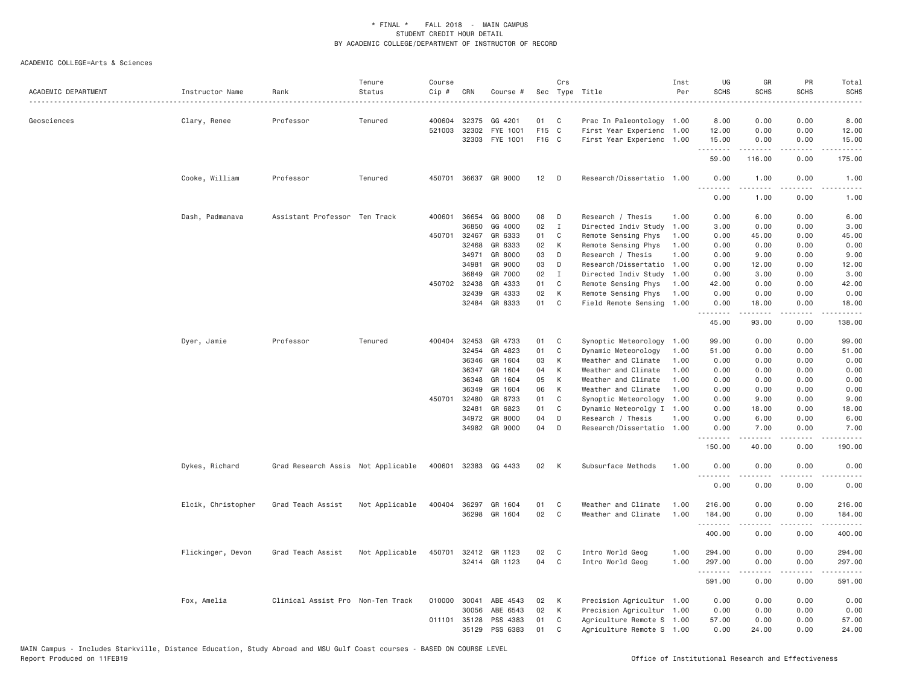| ACADEMIC DEPARTMENT | Instructor Name    | Rank                               | Tenure<br>Status | Course<br>Cip # | CRN          | Course #             |       | Crs          | Sec Type Title            | Inst<br>Per | UG<br><b>SCHS</b> | GR<br><b>SCHS</b>                                                                                                                                             | PR<br><b>SCHS</b>     | Total<br><b>SCHS</b><br>$\omega$ is $\omega$ in .                                                                                 |
|---------------------|--------------------|------------------------------------|------------------|-----------------|--------------|----------------------|-------|--------------|---------------------------|-------------|-------------------|---------------------------------------------------------------------------------------------------------------------------------------------------------------|-----------------------|-----------------------------------------------------------------------------------------------------------------------------------|
| Geosciences         | Clary, Renee       | Professor                          | Tenured          |                 | 400604 32375 | GG 4201              | 01    | C.           | Prac In Paleontology 1.00 |             | 8.00              | 0.00                                                                                                                                                          | 0.00                  | 8.00                                                                                                                              |
|                     |                    |                                    |                  | 521003          | 32302        | FYE 1001             | F15 C |              | First Year Experienc      | 1.00        | 12.00             | 0.00                                                                                                                                                          | 0.00                  | 12.00                                                                                                                             |
|                     |                    |                                    |                  |                 | 32303        | FYE 1001             | F16 C |              | First Year Experienc 1.00 |             | 15.00<br>.        | 0.00<br>.                                                                                                                                                     | 0.00<br>.             | 15.00<br>22222                                                                                                                    |
|                     |                    |                                    |                  |                 |              |                      |       |              |                           |             | 59.00             | 116.00                                                                                                                                                        | 0.00                  | 175.00                                                                                                                            |
|                     | Cooke, William     | Professor                          | Tenured          |                 |              | 450701 36637 GR 9000 | 12    | D            | Research/Dissertatio 1.00 |             | 0.00<br>.         | 1.00<br>$- - - - -$                                                                                                                                           | 0.00<br>$- - - -$     | 1.00<br>$\frac{1}{2} \left( \frac{1}{2} \right) \left( \frac{1}{2} \right) \left( \frac{1}{2} \right) \left( \frac{1}{2} \right)$ |
|                     |                    |                                    |                  |                 |              |                      |       |              |                           |             | 0.00              | 1.00                                                                                                                                                          | 0.00                  | 1.00                                                                                                                              |
|                     | Dash, Padmanava    | Assistant Professor Ten Track      |                  | 400601          | 36654        | GG 8000              | 08    | D            | Research / Thesis         | 1.00        | 0.00              | 6.00                                                                                                                                                          | 0.00                  | 6.00                                                                                                                              |
|                     |                    |                                    |                  |                 | 36850        | GG 4000              | 02    | $\mathbf I$  | Directed Indiv Study      | 1,00        | 3.00              | 0.00                                                                                                                                                          | 0.00                  | 3.00                                                                                                                              |
|                     |                    |                                    |                  |                 | 450701 32467 | GR 6333              | 01    | C            | Remote Sensing Phys       | 1.00        | 0.00              | 45.00                                                                                                                                                         | 0.00                  | 45.00                                                                                                                             |
|                     |                    |                                    |                  |                 | 32468        | GR 6333              | 02    | К            | Remote Sensing Phys       | 1.00        | 0.00              | 0.00                                                                                                                                                          | 0.00                  | 0.00                                                                                                                              |
|                     |                    |                                    |                  |                 | 34971        | GR 8000              | 03    | D            | Research / Thesis         | 1.00        | 0.00              | 9.00                                                                                                                                                          | 0.00                  | 9.00                                                                                                                              |
|                     |                    |                                    |                  |                 | 34981        | GR 9000              | 03    | D            | Research/Dissertatio      | 1.00        | 0.00              | 12.00                                                                                                                                                         | 0.00                  | 12.00                                                                                                                             |
|                     |                    |                                    |                  |                 | 36849        | GR 7000              | 02    | $\mathbf I$  | Directed Indiv Study      | 1.00        | 0.00              | 3.00                                                                                                                                                          | 0.00                  | 3.00                                                                                                                              |
|                     |                    |                                    |                  | 450702          | 32438        | GR 4333              | 01    | C            | Remote Sensing Phys       | 1.00        | 42.00             | 0.00                                                                                                                                                          | 0.00                  | 42.00                                                                                                                             |
|                     |                    |                                    |                  |                 | 32439        | GR 4333              | 02    | К            | Remote Sensing Phys       | 1.00        | 0.00              | 0.00                                                                                                                                                          | 0.00                  | 0.00                                                                                                                              |
|                     |                    |                                    |                  |                 |              | 32484 GR 8333        | 01    | C            | Field Remote Sensing      | 1.00        | 0.00              | 18.00                                                                                                                                                         | 0.00                  | 18.00                                                                                                                             |
|                     |                    |                                    |                  |                 |              |                      |       |              |                           |             | .<br>45.00        | .<br>93.00                                                                                                                                                    | .<br>0.00             | .<br>138.00                                                                                                                       |
|                     | Dyer, Jamie        | Professor                          | Tenured          |                 | 400404 32453 | GR 4733              | 01    | C            | Synoptic Meteorology      | 1.00        | 99.00             | 0.00                                                                                                                                                          | 0.00                  | 99.00                                                                                                                             |
|                     |                    |                                    |                  |                 | 32454        | GR 4823              | 01    | C            | Dynamic Meteorology       | 1.00        | 51.00             | 0.00                                                                                                                                                          | 0.00                  | 51.00                                                                                                                             |
|                     |                    |                                    |                  |                 | 36346        | GR 1604              | 03    | К            | Weather and Climate       | 1.00        | 0.00              | 0.00                                                                                                                                                          | 0.00                  | 0.00                                                                                                                              |
|                     |                    |                                    |                  |                 | 36347        | GR 1604              | 04    | К            | Weather and Climate       | 1.00        | 0.00              | 0.00                                                                                                                                                          | 0.00                  | 0.00                                                                                                                              |
|                     |                    |                                    |                  |                 | 36348        | GR 1604              | 05    | К            | Weather and Climate       | 1,00        | 0.00              | 0.00                                                                                                                                                          | 0.00                  | 0.00                                                                                                                              |
|                     |                    |                                    |                  |                 | 36349        | GR 1604              | 06    | K            | Weather and Climate       | 1.00        | 0.00              | 0.00                                                                                                                                                          | 0.00                  | 0.00                                                                                                                              |
|                     |                    |                                    |                  | 450701          | 32480        | GR 6733              | 01    | C            | Synoptic Meteorology      | 1.00        | 0.00              | 9.00                                                                                                                                                          | 0.00                  | 9.00                                                                                                                              |
|                     |                    |                                    |                  |                 | 32481        | GR 6823              | 01    | C            | Dynamic Meteorolgy I 1.00 |             | 0.00              | 18.00                                                                                                                                                         | 0.00                  | 18.00                                                                                                                             |
|                     |                    |                                    |                  |                 | 34972        | GR 8000              | 04    | D            | Research / Thesis         | 1.00        | 0.00              | 6.00                                                                                                                                                          | 0.00                  | 6.00                                                                                                                              |
|                     |                    |                                    |                  |                 | 34982        | GR 9000              | 04    | D            | Research/Dissertatio 1.00 |             | 0.00              | 7.00                                                                                                                                                          | 0.00<br>$\frac{1}{2}$ | 7.00                                                                                                                              |
|                     |                    |                                    |                  |                 |              |                      |       |              |                           |             | .<br>150.00       | $\frac{1}{2} \left( \frac{1}{2} \right) \left( \frac{1}{2} \right) \left( \frac{1}{2} \right) \left( \frac{1}{2} \right) \left( \frac{1}{2} \right)$<br>40.00 | 0.00                  | .<br>190.00                                                                                                                       |
|                     | Dykes, Richard     | Grad Research Assis Not Applicable |                  |                 |              | 400601 32383 GG 4433 | 02    | K            | Subsurface Methods        | 1.00        | 0.00<br>.         | 0.00                                                                                                                                                          | 0.00                  | 0.00                                                                                                                              |
|                     |                    |                                    |                  |                 |              |                      |       |              |                           |             | 0.00              | 0.00                                                                                                                                                          | 0.00                  | 0.00                                                                                                                              |
|                     | Elcik, Christopher | Grad Teach Assist                  | Not Applicable   |                 |              | 400404 36297 GR 1604 | 01    | C            | Weather and Climate       | 1.00        | 216.00            | 0.00                                                                                                                                                          | 0.00                  | 216.00                                                                                                                            |
|                     |                    |                                    |                  |                 | 36298        | GR 1604              | 02    | $\mathsf{C}$ | Weather and Climate       | 1,00        | 184.00            | 0.00                                                                                                                                                          | 0.00                  | 184.00                                                                                                                            |
|                     |                    |                                    |                  |                 |              |                      |       |              |                           |             | .                 | $- - - - -$                                                                                                                                                   | .                     | .                                                                                                                                 |
|                     |                    |                                    |                  |                 |              |                      |       |              |                           |             | 400.00            | 0.00                                                                                                                                                          | 0.00                  | 400.00                                                                                                                            |
|                     | Flickinger, Devon  | Grad Teach Assist                  | Not Applicable   | 450701          | 32412        | GR 1123              | 02    | C            | Intro World Geog          | 1.00        | 294.00            | 0.00                                                                                                                                                          | 0.00                  | 294.00                                                                                                                            |
|                     |                    |                                    |                  |                 |              | 32414 GR 1123        | 04    | C            | Intro World Geog          | 1.00        | 297.00            | 0.00                                                                                                                                                          | 0.00                  | 297.00                                                                                                                            |
|                     |                    |                                    |                  |                 |              |                      |       |              |                           |             | .<br>591.00       | .<br>0.00                                                                                                                                                     | $\frac{1}{2}$<br>0.00 | .<br>591.00                                                                                                                       |
|                     | Fox, Amelia        | Clinical Assist Pro Non-Ten Track  |                  | 010000          | 30041        | ABE 4543             | 02    | К            | Precision Agricultur 1.00 |             | 0.00              | 0.00                                                                                                                                                          | 0.00                  | 0.00                                                                                                                              |
|                     |                    |                                    |                  |                 | 30056        | ABE 6543             | 02    | K            | Precision Agricultur 1.00 |             | 0.00              | 0.00                                                                                                                                                          | 0.00                  | 0.00                                                                                                                              |
|                     |                    |                                    |                  |                 | 011101 35128 | PSS 4383             | 01    | C            | Agriculture Remote S 1.00 |             | 57.00             | 0.00                                                                                                                                                          | 0.00                  | 57.00                                                                                                                             |
|                     |                    |                                    |                  |                 | 35129        | PSS 6383             | 01    | $\mathsf{C}$ | Agriculture Remote S 1.00 |             | 0.00              | 24,00                                                                                                                                                         | 0.00                  | 24.00                                                                                                                             |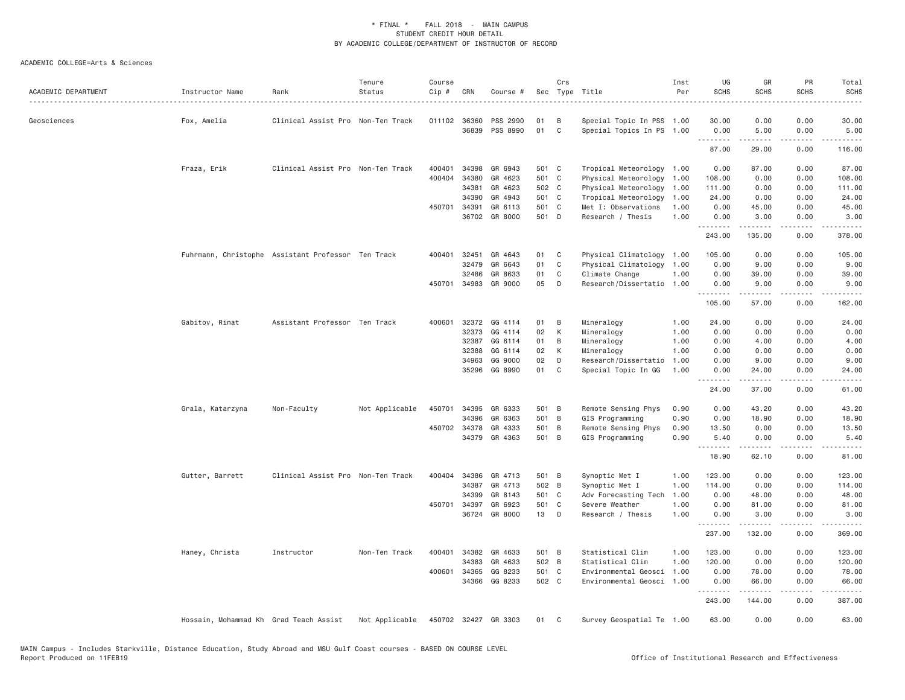| ACADEMIC DEPARTMENT | Instructor Name                        | Rank                                               | Tenure<br>Status | Course<br>Cip # | CRN          | Course #             |       | Crs          | Sec Type Title            | Inst<br>Per | UG<br><b>SCHS</b> | GR<br><b>SCHS</b> | PR<br><b>SCHS</b>                                                                                                                 | Total<br><b>SCHS</b>                                                                                                                                         |
|---------------------|----------------------------------------|----------------------------------------------------|------------------|-----------------|--------------|----------------------|-------|--------------|---------------------------|-------------|-------------------|-------------------|-----------------------------------------------------------------------------------------------------------------------------------|--------------------------------------------------------------------------------------------------------------------------------------------------------------|
| Geosciences         | Fox, Amelia                            | Clinical Assist Pro Non-Ten Track                  |                  | 011102 36360    |              | PSS 2990             | 01    | B            | Special Topic In PSS 1.00 |             | 30.00             | 0.00              | 0.00                                                                                                                              | 30.00                                                                                                                                                        |
|                     |                                        |                                                    |                  |                 | 36839        | PSS 8990             | 01    | C            | Special Topics In PS 1.00 |             | 0.00<br>.         | 5.00              | 0.00<br>$\frac{1}{2} \left( \frac{1}{2} \right) \left( \frac{1}{2} \right) \left( \frac{1}{2} \right) \left( \frac{1}{2} \right)$ | 5.00                                                                                                                                                         |
|                     |                                        |                                                    |                  |                 |              |                      |       |              |                           |             | 87.00             | 29.00             | 0.00                                                                                                                              | 116.00                                                                                                                                                       |
|                     | Fraza, Erik                            | Clinical Assist Pro Non-Ten Track                  |                  | 400401          | 34398        | GR 6943              | 501 C |              | Tropical Meteorology 1.00 |             | 0.00              | 87.00             | 0.00                                                                                                                              | 87.00                                                                                                                                                        |
|                     |                                        |                                                    |                  | 400404          | 34380        | GR 4623              | 501 C |              | Physical Meteorology      | 1.00        | 108.00            | 0.00              | 0.00                                                                                                                              | 108.00                                                                                                                                                       |
|                     |                                        |                                                    |                  |                 | 34381        | GR 4623              | 502 C |              | Physical Meteorology      | 1.00        | 111.00            | 0.00              | 0.00                                                                                                                              | 111.00                                                                                                                                                       |
|                     |                                        |                                                    |                  |                 | 34390        | GR 4943              | 501 C |              | Tropical Meteorology      | 1.00        | 24.00             | 0.00              | 0.00                                                                                                                              | 24.00                                                                                                                                                        |
|                     |                                        |                                                    |                  | 450701 34391    |              | GR 6113              | 501 C |              | Met I: Observations       | 1.00        | 0.00              | 45.00             | 0.00                                                                                                                              | 45.00                                                                                                                                                        |
|                     |                                        |                                                    |                  |                 | 36702        | GR 8000              | 501 D |              | Research / Thesis         | 1.00        | 0.00<br>.         | 3.00<br>.         | 0.00                                                                                                                              | 3.00<br>$\frac{1}{2} \left( \frac{1}{2} \right) \left( \frac{1}{2} \right) \left( \frac{1}{2} \right) \left( \frac{1}{2} \right) \left( \frac{1}{2} \right)$ |
|                     |                                        |                                                    |                  |                 |              |                      |       |              |                           |             | 243.00            | 135.00            | 0.00                                                                                                                              | 378.00                                                                                                                                                       |
|                     |                                        | Fuhrmann, Christophe Assistant Professor Ten Track |                  |                 | 400401 32451 | GR 4643              | 01    | C            | Physical Climatology 1.00 |             | 105.00            | 0.00              | 0.00                                                                                                                              | 105.00                                                                                                                                                       |
|                     |                                        |                                                    |                  |                 | 32479        | GR 6643              | 01    | $\mathsf{C}$ | Physical Climatology      | 1.00        | 0.00              | 9.00              | 0.00                                                                                                                              | 9.00                                                                                                                                                         |
|                     |                                        |                                                    |                  |                 | 32486        | GR 8633              | 01    | C            | Climate Change            | 1.00        | 0.00              | 39.00             | 0.00                                                                                                                              | 39.00                                                                                                                                                        |
|                     |                                        |                                                    |                  |                 | 450701 34983 | GR 9000              | 05    | D            | Research/Dissertatio      | 1.00        | 0.00<br>.         | 9.00<br>.         | 0.00<br>$\frac{1}{2}$                                                                                                             | 9.00<br>$- - - - - -$                                                                                                                                        |
|                     |                                        |                                                    |                  |                 |              |                      |       |              |                           |             | 105.00            | 57.00             | 0.00                                                                                                                              | 162.00                                                                                                                                                       |
|                     | Gabitov, Rinat                         | Assistant Professor Ten Track                      |                  |                 | 400601 32372 | GG 4114              | 01    | B            | Mineralogy                | 1.00        | 24.00             | 0.00              | 0.00                                                                                                                              | 24.00                                                                                                                                                        |
|                     |                                        |                                                    |                  |                 | 32373        | GG 4114              | 02    | К            | Mineralogy                | 1.00        | 0.00              | 0.00              | 0.00                                                                                                                              | 0.00                                                                                                                                                         |
|                     |                                        |                                                    |                  |                 | 32387        | GG 6114              | 01    | B            | Mineralogy                | 1.00        | 0.00              | 4.00              | 0.00                                                                                                                              | 4.00                                                                                                                                                         |
|                     |                                        |                                                    |                  |                 | 32388        | GG 6114              | 02    | К            | Mineralogy                | 1.00        | 0.00              | 0.00              | 0.00                                                                                                                              | 0.00                                                                                                                                                         |
|                     |                                        |                                                    |                  |                 | 34963        | GG 9000              | 02    | D            | Research/Dissertatio      | 1.00        | 0.00              | 9.00              | 0.00                                                                                                                              | 9.00                                                                                                                                                         |
|                     |                                        |                                                    |                  |                 | 35296        | GG 8990              | 01    | C            | Special Topic In GG       | 1.00        | 0.00<br>.         | 24,00             | 0.00                                                                                                                              | 24,00                                                                                                                                                        |
|                     |                                        |                                                    |                  |                 |              |                      |       |              |                           |             | 24.00             | 37.00             | 0.00                                                                                                                              | 61.00                                                                                                                                                        |
|                     | Grala, Katarzyna                       | Non-Faculty                                        | Not Applicable   | 450701          | 34395        | GR 6333              | 501 B |              | Remote Sensing Phys       | 0.90        | 0.00              | 43.20             | 0.00                                                                                                                              | 43.20                                                                                                                                                        |
|                     |                                        |                                                    |                  |                 | 34396        | GR 6363              | 501 B |              | GIS Programming           | 0.90        | 0.00              | 18.90             | 0.00                                                                                                                              | 18.90                                                                                                                                                        |
|                     |                                        |                                                    |                  |                 | 450702 34378 | GR 4333              | 501 B |              | Remote Sensing Phys       | 0.90        | 13.50             | 0.00              | 0.00                                                                                                                              | 13.50                                                                                                                                                        |
|                     |                                        |                                                    |                  |                 |              | 34379 GR 4363        | 501 B |              | GIS Programming           | 0.90        | 5.40<br>.         | 0.00              | 0.00                                                                                                                              | 5.40                                                                                                                                                         |
|                     |                                        |                                                    |                  |                 |              |                      |       |              |                           |             | 18.90             | 62.10             | 0.00                                                                                                                              | 81.00                                                                                                                                                        |
|                     | Gutter, Barrett                        | Clinical Assist Pro Non-Ten Track                  |                  |                 | 400404 34386 | GR 4713              | 501 B |              | Synoptic Met I            | 1.00        | 123.00            | 0.00              | 0.00                                                                                                                              | 123.00                                                                                                                                                       |
|                     |                                        |                                                    |                  |                 | 34387        | GR 4713              | 502 B |              | Synoptic Met I            | 1.00        | 114.00            | 0.00              | 0.00                                                                                                                              | 114.00                                                                                                                                                       |
|                     |                                        |                                                    |                  |                 | 34399        | GR 8143              | 501 C |              | Adv Forecasting Tech      | 1.00        | 0.00              | 48.00             | 0.00                                                                                                                              | 48.00                                                                                                                                                        |
|                     |                                        |                                                    |                  | 450701          | 34397        | GR 6923              | 501 C |              | Severe Weather            | 1.00        | 0.00              | 81.00             | 0.00                                                                                                                              | 81.00                                                                                                                                                        |
|                     |                                        |                                                    |                  |                 |              | 36724 GR 8000        | 13    | $\Box$       | Research / Thesis         | 1.00        | 0.00<br>.         | 3.00<br>.         | 0.00<br>.                                                                                                                         | 3.00<br>$- - - - -$                                                                                                                                          |
|                     |                                        |                                                    |                  |                 |              |                      |       |              |                           |             | 237.00            | 132.00            | 0.00                                                                                                                              | 369.00                                                                                                                                                       |
|                     | Haney, Christa                         | Instructor                                         | Non-Ten Track    | 400401          | 34382        | GR 4633              | 501 B |              | Statistical Clim          | 1.00        | 123.00            | 0.00              | 0.00                                                                                                                              | 123.00                                                                                                                                                       |
|                     |                                        |                                                    |                  |                 | 34383        | GR 4633              | 502 B |              | Statistical Clim          | 1.00        | 120.00            | 0.00              | 0.00                                                                                                                              | 120.00                                                                                                                                                       |
|                     |                                        |                                                    |                  |                 | 400601 34365 | GG 8233              | 501 C |              | Environmental Geosci      | 1.00        | 0.00              | 78.00             | 0.00                                                                                                                              | 78.00                                                                                                                                                        |
|                     |                                        |                                                    |                  |                 | 34366        | GG 8233              | 502 C |              | Environmental Geosci      | 1.00        | 0.00<br>.         | 66.00<br>.        | 0.00<br>.                                                                                                                         | 66.00<br>.                                                                                                                                                   |
|                     |                                        |                                                    |                  |                 |              |                      |       |              |                           |             | 243.00            | 144.00            | 0.00                                                                                                                              | 387.00                                                                                                                                                       |
|                     | Hossain, Mohammad Kh Grad Teach Assist |                                                    | Not Applicable   |                 |              | 450702 32427 GR 3303 | 01    | C            | Survey Geospatial Te 1.00 |             | 63.00             | 0.00              | 0.00                                                                                                                              | 63.00                                                                                                                                                        |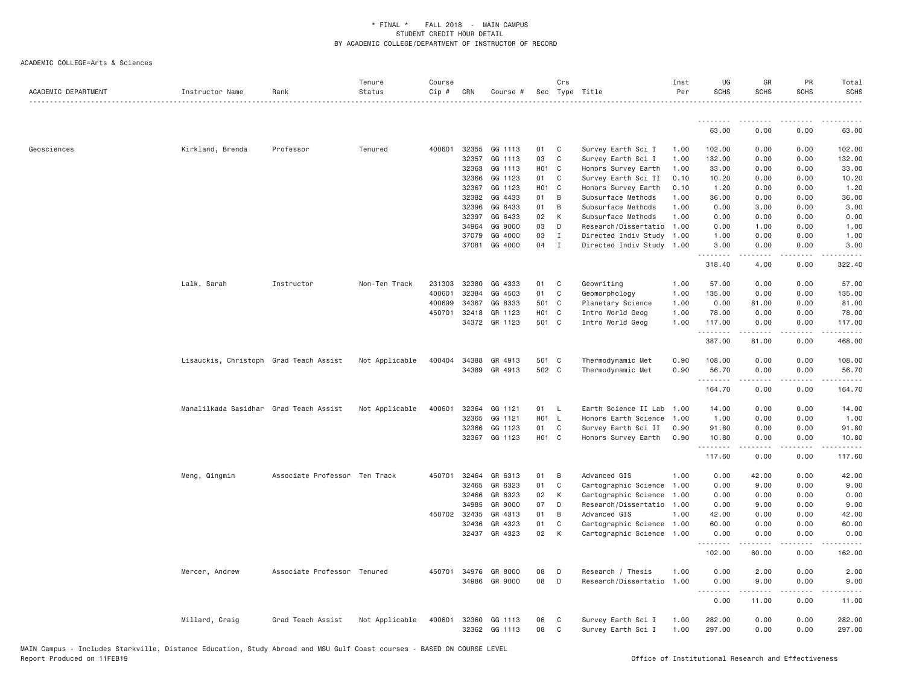| ACADEMIC DEPARTMENT | Instructor Name                        | Rank                          | Tenure<br>Status | Course<br>Cip # | CRN            | Course #           |                   | Crs          | Sec Type Title                           | Inst<br>Per  | UG<br><b>SCHS</b>                                    | GR<br><b>SCHS</b>   | PR<br><b>SCHS</b> | Total<br><b>SCHS</b><br>$- - - - - -$                                                                                                                          |
|---------------------|----------------------------------------|-------------------------------|------------------|-----------------|----------------|--------------------|-------------------|--------------|------------------------------------------|--------------|------------------------------------------------------|---------------------|-------------------|----------------------------------------------------------------------------------------------------------------------------------------------------------------|
|                     |                                        |                               |                  |                 |                |                    |                   |              |                                          |              | <u>.</u>                                             | <b></b>             | .                 | .                                                                                                                                                              |
|                     |                                        |                               |                  |                 |                |                    |                   |              |                                          |              | 63.00                                                | 0.00                | 0.00              | 63.00                                                                                                                                                          |
| Geosciences         | Kirkland, Brenda                       | Professor                     | Tenured          | 400601          | 32355          | GG 1113            | 01                | C            | Survey Earth Sci I                       | 1,00         | 102.00                                               | 0.00                | 0.00              | 102.00                                                                                                                                                         |
|                     |                                        |                               |                  |                 | 32357          | GG 1113            | 03                | C            | Survey Earth Sci I                       | 1.00         | 132.00                                               | 0.00                | 0.00              | 132.00                                                                                                                                                         |
|                     |                                        |                               |                  |                 | 32363          | GG 1113            | H <sub>01</sub> C |              | Honors Survey Earth                      | 1.00         | 33.00                                                | 0.00                | 0.00              | 33.00                                                                                                                                                          |
|                     |                                        |                               |                  |                 | 32366          | GG 1123            | 01                | C            | Survey Earth Sci II                      | 0.10         | 10.20                                                | 0.00                | 0.00              | 10.20                                                                                                                                                          |
|                     |                                        |                               |                  |                 | 32367          | GG 1123            | H <sub>01</sub> C |              | Honors Survey Earth                      | 0.10         | 1.20                                                 | 0.00                | 0.00              | 1.20                                                                                                                                                           |
|                     |                                        |                               |                  |                 | 32382          | GG 4433            | 01                | B            | Subsurface Methods                       | 1.00         | 36.00                                                | 0.00                | 0.00              | 36.00                                                                                                                                                          |
|                     |                                        |                               |                  |                 | 32396          | GG 6433            | 01                | B            | Subsurface Methods                       | 1.00         | 0.00                                                 | 3.00                | 0.00              | 3.00                                                                                                                                                           |
|                     |                                        |                               |                  |                 | 32397          | GG 6433            | 02                | К            | Subsurface Methods                       | 1.00         | 0.00                                                 | 0.00                | 0.00              | 0.00                                                                                                                                                           |
|                     |                                        |                               |                  |                 | 34964          | GG 9000            | 03                | D            | Research/Dissertatio                     | 1.00         | 0.00                                                 | 1.00                | 0.00              | 1.00                                                                                                                                                           |
|                     |                                        |                               |                  |                 | 37079          | GG 4000            | 03                | Ι.           | Directed Indiv Study 1.00                |              | 1.00                                                 | 0.00                | 0.00              | 1.00                                                                                                                                                           |
|                     |                                        |                               |                  |                 | 37081          | GG 4000            | 04                | $\mathbf{I}$ | Directed Indiv Study 1.00                |              | 3.00<br>.                                            | 0.00<br>2.2.2.2.2   | 0.00<br>.         | 3.00<br>.                                                                                                                                                      |
|                     |                                        |                               |                  |                 |                |                    |                   |              |                                          |              | 318.40                                               | 4.00                | 0.00              | 322.40                                                                                                                                                         |
|                     | Lalk, Sarah                            | Instructor                    | Non-Ten Track    | 231303          | 32380          | GG 4333            | 01                | C            | Geowriting                               | 1.00         | 57.00                                                | 0.00                | 0.00              | 57.00                                                                                                                                                          |
|                     |                                        |                               |                  | 400601          | 32384          | GG 4503            | 01                | C            | Geomorphology                            | 1.00         | 135.00                                               | 0.00                | 0.00              | 135.00                                                                                                                                                         |
|                     |                                        |                               |                  | 400699          | 34367          | GG 8333            | 501 C             |              | Planetary Science                        | 1.00         | 0.00                                                 | 81.00               | 0.00              | 81.00                                                                                                                                                          |
|                     |                                        |                               |                  | 450701          | 32418          | GR 1123            | HO1 C             |              | Intro World Geog                         | 1.00         | 78.00                                                | 0.00                | 0.00              | 78.00                                                                                                                                                          |
|                     |                                        |                               |                  |                 |                | 34372 GR 1123      | 501 C             |              | Intro World Geog                         | 1.00         | 117.00<br>.                                          | 0.00<br>د د د د د   | 0.00<br>.         | 117.00<br>$\frac{1}{2} \left( \frac{1}{2} \right) \left( \frac{1}{2} \right) \left( \frac{1}{2} \right) \left( \frac{1}{2} \right) \left( \frac{1}{2} \right)$ |
|                     |                                        |                               |                  |                 |                |                    |                   |              |                                          |              | 387.00                                               | 81.00               | 0.00              | 468.00                                                                                                                                                         |
|                     | Lisauckis, Christoph Grad Teach Assist |                               | Not Applicable   | 400404          | 34388          | GR 4913            | 501 C             |              | Thermodynamic Met                        | 0.90         | 108,00                                               | 0.00                | 0.00              | 108.00                                                                                                                                                         |
|                     |                                        |                               |                  |                 | 34389          | GR 4913            | 502 C             |              | Thermodynamic Met                        | 0.90         | 56.70<br>.                                           | 0.00<br>.           | 0.00<br>.         | 56.70<br>.                                                                                                                                                     |
|                     |                                        |                               |                  |                 |                |                    |                   |              |                                          |              | 164.70                                               | 0.00                | 0.00              | 164.70                                                                                                                                                         |
|                     | Manalilkada Sasidhar Grad Teach Assist |                               | Not Applicable   | 400601          | 32364          | GG 1121            | 01                | - L          | Earth Science II Lab                     | 1,00         | 14.00                                                | 0.00                | 0.00              | 14.00                                                                                                                                                          |
|                     |                                        |                               |                  |                 | 32365          | GG 1121            | H01 L             |              | Honors Earth Science                     | 1,00         | 1.00                                                 | 0.00                | 0.00              | 1.00                                                                                                                                                           |
|                     |                                        |                               |                  |                 | 32366          | GG 1123            | 01                | C            | Survey Earth Sci II                      | 0.90         | 91.80                                                | 0.00                | 0.00              | 91.80                                                                                                                                                          |
|                     |                                        |                               |                  |                 | 32367          | GG 1123            | HO1 C             |              | Honors Survey Earth                      | 0.90         | 10.80<br>.                                           | 0.00<br>$- - - - -$ | 0.00<br>.         | 10.80<br>222222                                                                                                                                                |
|                     |                                        |                               |                  |                 |                |                    |                   |              |                                          |              | 117.60                                               | 0.00                | 0.00              | 117.60                                                                                                                                                         |
|                     | Meng, Qingmin                          | Associate Professor Ten Track |                  |                 | 450701 32464   | GR 6313            | 01                | B            | Advanced GIS                             | 1.00         | 0.00                                                 | 42.00               | 0.00              | 42.00                                                                                                                                                          |
|                     |                                        |                               |                  |                 | 32465          | GR 6323            | 01                | C            | Cartographic Science                     | 1.00         | 0.00                                                 | 9.00                | 0.00              | 9.00                                                                                                                                                           |
|                     |                                        |                               |                  |                 | 32466          | GR 6323            | 02                | К            | Cartographic Science                     | 1.00         | 0.00                                                 | 0.00                | 0.00              | 0.00                                                                                                                                                           |
|                     |                                        |                               |                  |                 | 34985          | GR 9000            | 07                | D            | Research/Dissertatio                     | 1.00         | 0.00                                                 | 9.00                | 0.00              | 9.00                                                                                                                                                           |
|                     |                                        |                               |                  |                 | 450702 32435   | GR 4313            | 01                | B            | Advanced GIS                             | 1.00         | 42.00                                                | 0.00                | 0.00              | 42.00                                                                                                                                                          |
|                     |                                        |                               |                  |                 | 32436          | GR 4323            | 01                | C            | Cartographic Science 1.00                |              | 60.00                                                | 0.00                | 0.00              | 60.00                                                                                                                                                          |
|                     |                                        |                               |                  |                 |                | 32437 GR 4323      | 02                | K            | Cartographic Science 1.00                |              | 0.00<br><u>.</u>                                     | 0.00<br>.           | 0.00<br>.         | 0.00<br>.                                                                                                                                                      |
|                     |                                        |                               |                  |                 |                |                    |                   |              |                                          |              | 102.00                                               | 60.00               | 0.00              | 162.00                                                                                                                                                         |
|                     | Mercer, Andrew                         | Associate Professor Tenured   |                  | 450701          | 34976          | GR 8000            | 08                | D            | Research / Thesis                        | 1.00         | 0.00                                                 | 2.00                | 0.00              | 2.00                                                                                                                                                           |
|                     |                                        |                               |                  |                 |                | 34986 GR 9000      | 08                | D            | Research/Dissertatio                     | 1.00         | 0.00                                                 | 9.00                | 0.00              | 9.00                                                                                                                                                           |
|                     |                                        |                               |                  |                 |                |                    |                   |              |                                          |              | $\omega_{\rm{c}}$ and $\omega_{\rm{c}}$<br>.<br>0.00 | -----<br>11.00      | .<br>0.00         | $\frac{1}{2} \left( \frac{1}{2} \right) \left( \frac{1}{2} \right) \left( \frac{1}{2} \right) \left( \frac{1}{2} \right)$<br>11,00                             |
|                     | Millard, Craig                         | Grad Teach Assist             | Not Applicable   | 400601          | 32360<br>32362 | GG 1113<br>GG 1113 | 06<br>08          | C<br>C       | Survey Earth Sci I<br>Survey Earth Sci I | 1.00<br>1.00 | 282.00<br>297.00                                     | 0.00<br>0.00        | 0.00<br>0.00      | 282.00<br>297.00                                                                                                                                               |
|                     |                                        |                               |                  |                 |                |                    |                   |              |                                          |              |                                                      |                     |                   |                                                                                                                                                                |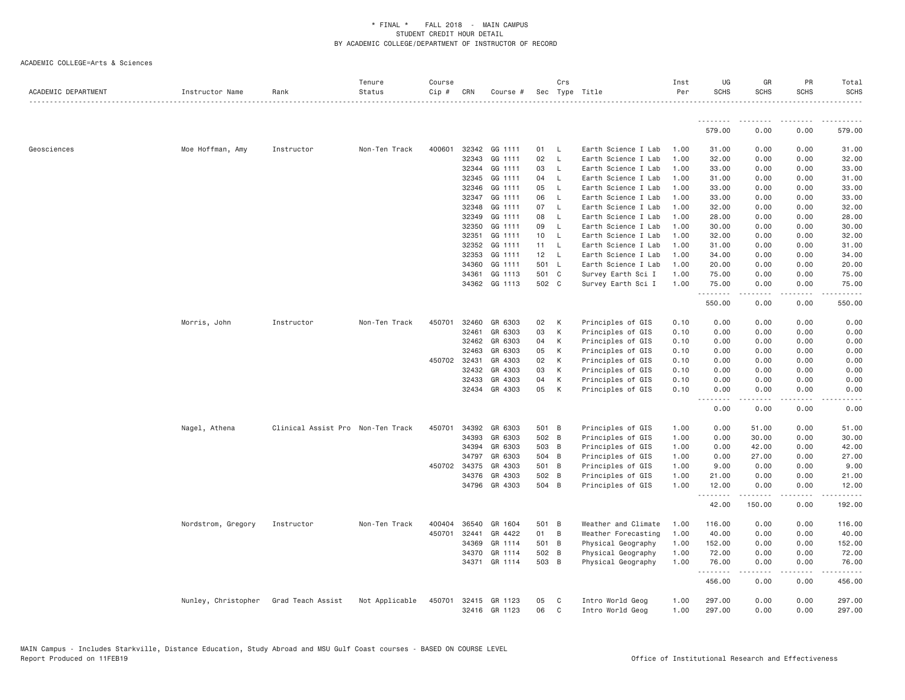| ACADEMIC DEPARTMENT | Instructor Name     | Rank                              | Tenure<br>Status | Course<br>Cip # | CRN   | Course #      |       | Crs          | Sec Type Title      | Inst<br>Per | UG<br><b>SCHS</b>  | GR<br><b>SCHS</b>                                                                                                                                                                       | PR<br><b>SCHS</b> | Total<br><b>SCHS</b> |
|---------------------|---------------------|-----------------------------------|------------------|-----------------|-------|---------------|-------|--------------|---------------------|-------------|--------------------|-----------------------------------------------------------------------------------------------------------------------------------------------------------------------------------------|-------------------|----------------------|
|                     |                     |                                   |                  |                 |       |               |       |              |                     |             | <u>.</u>           |                                                                                                                                                                                         |                   |                      |
|                     |                     |                                   |                  |                 |       |               |       |              |                     |             | 579.00             | 0.00                                                                                                                                                                                    | 0.00              | 579.00               |
| Geosciences         | Moe Hoffman, Amy    | Instructor                        | Non-Ten Track    | 400601          | 32342 | GG 1111       | 01    | - L          | Earth Science I Lab | 1.00        | 31.00              | 0.00                                                                                                                                                                                    | 0.00              | 31.00                |
|                     |                     |                                   |                  |                 | 32343 | GG 1111       | 02    | $\mathsf{L}$ | Earth Science I Lab | 1.00        | 32.00              | 0.00                                                                                                                                                                                    | 0.00              | 32.00                |
|                     |                     |                                   |                  |                 | 32344 | GG 1111       | 03    | $\mathsf{L}$ | Earth Science I Lab | 1.00        | 33.00              | 0.00                                                                                                                                                                                    | 0.00              | 33.00                |
|                     |                     |                                   |                  |                 | 32345 | GG 1111       | 04    | - L          | Earth Science I Lab | 1.00        | 31.00              | 0.00                                                                                                                                                                                    | 0.00              | 31.00                |
|                     |                     |                                   |                  |                 | 32346 | GG 1111       | 05    | - L          | Earth Science I Lab | 1.00        | 33.00              | 0.00                                                                                                                                                                                    | 0.00              | 33.00                |
|                     |                     |                                   |                  |                 | 32347 | GG 1111       | 06    | - L          | Earth Science I Lab | 1.00        | 33.00              | 0.00                                                                                                                                                                                    | 0.00              | 33.00                |
|                     |                     |                                   |                  |                 | 32348 | GG 1111       | 07    | $\mathsf{L}$ | Earth Science I Lab | 1.00        | 32.00              | 0.00                                                                                                                                                                                    | 0.00              | 32.00                |
|                     |                     |                                   |                  |                 | 32349 | GG 1111       | 08    | $\mathsf{L}$ | Earth Science I Lab | 1.00        | 28.00              | 0.00                                                                                                                                                                                    | 0.00              | 28.00                |
|                     |                     |                                   |                  |                 | 32350 | GG 1111       | 09    | $\mathsf{L}$ | Earth Science I Lab | 1.00        | 30.00              | 0.00                                                                                                                                                                                    | 0.00              | 30.00                |
|                     |                     |                                   |                  |                 | 32351 | GG 1111       | 10    | - L          | Earth Science I Lab | 1.00        | 32.00              | 0.00                                                                                                                                                                                    | 0.00              | 32.00                |
|                     |                     |                                   |                  |                 | 32352 | GG 1111       | 11    | <b>L</b>     | Earth Science I Lab | 1.00        | 31.00              | 0.00                                                                                                                                                                                    | 0.00              | 31.00                |
|                     |                     |                                   |                  |                 | 32353 | GG 1111       | 12    | $\mathsf{L}$ | Earth Science I Lab | 1,00        | 34.00              | 0.00                                                                                                                                                                                    | 0.00              | 34.00                |
|                     |                     |                                   |                  |                 | 34360 | GG 1111       | 501 L |              | Earth Science I Lab | 1.00        | 20.00              | 0.00                                                                                                                                                                                    | 0.00              | 20.00                |
|                     |                     |                                   |                  |                 | 34361 | GG 1113       | 501 C |              | Survey Earth Sci I  | 1.00        | 75.00              | 0.00                                                                                                                                                                                    | 0.00              | 75.00                |
|                     |                     |                                   |                  |                 |       | 34362 GG 1113 | 502 C |              | Survey Earth Sci I  | 1.00        | 75.00<br>.         | 0.00                                                                                                                                                                                    | 0.00<br>.         | 75.00                |
|                     |                     |                                   |                  |                 |       |               |       |              |                     |             | 550.00             | 0.00                                                                                                                                                                                    | 0.00              | 550.00               |
|                     | Morris, John        | Instructor                        | Non-Ten Track    | 450701          | 32460 | GR 6303       | 02    | K            | Principles of GIS   | 0.10        | 0.00               | 0.00                                                                                                                                                                                    | 0.00              | 0.00                 |
|                     |                     |                                   |                  |                 | 32461 | GR 6303       | 03    | K            | Principles of GIS   | 0.10        | 0.00               | 0.00                                                                                                                                                                                    | 0.00              | 0.00                 |
|                     |                     |                                   |                  |                 | 32462 | GR 6303       | 04    | K            | Principles of GIS   | 0.10        | 0.00               | 0.00                                                                                                                                                                                    | 0.00              | 0.00                 |
|                     |                     |                                   |                  |                 | 32463 | GR 6303       | 05    | K            | Principles of GIS   | 0.10        | 0.00               | 0.00                                                                                                                                                                                    | 0.00              | 0.00                 |
|                     |                     |                                   |                  | 450702 32431    |       | GR 4303       | 02    | K            | Principles of GIS   | 0.10        | 0.00               | 0.00                                                                                                                                                                                    | 0.00              | 0.00                 |
|                     |                     |                                   |                  |                 | 32432 | GR 4303       | 03    | K            | Principles of GIS   | 0.10        | 0.00               | 0.00                                                                                                                                                                                    | 0.00              | 0.00                 |
|                     |                     |                                   |                  |                 | 32433 | GR 4303       | 04    | K            | Principles of GIS   | 0.10        | 0.00               | 0.00                                                                                                                                                                                    | 0.00              | 0.00                 |
|                     |                     |                                   |                  |                 |       | 32434 GR 4303 | 05    | K            | Principles of GIS   | 0.10        | 0.00<br>.<br>$  -$ | 0.00<br>$\frac{1}{2} \left( \frac{1}{2} \right) \left( \frac{1}{2} \right) \left( \frac{1}{2} \right) \left( \frac{1}{2} \right) \left( \frac{1}{2} \right) \left( \frac{1}{2} \right)$ | 0.00<br>.         | 0.00<br>-----        |
|                     |                     |                                   |                  |                 |       |               |       |              |                     |             | 0.00               | 0.00                                                                                                                                                                                    | 0.00              | 0.00                 |
|                     | Nagel, Athena       | Clinical Assist Pro Non-Ten Track |                  | 450701          | 34392 | GR 6303       | 501 B |              | Principles of GIS   | 1.00        | 0.00               | 51.00                                                                                                                                                                                   | 0.00              | 51.00                |
|                     |                     |                                   |                  |                 | 34393 | GR 6303       | 502 B |              | Principles of GIS   | 1.00        | 0.00               | 30.00                                                                                                                                                                                   | 0.00              | 30.00                |
|                     |                     |                                   |                  |                 | 34394 | GR 6303       | 503 B |              | Principles of GIS   | 1.00        | 0.00               | 42.00                                                                                                                                                                                   | 0.00              | 42.00                |
|                     |                     |                                   |                  |                 | 34797 | GR 6303       | 504 B |              | Principles of GIS   | 1.00        | 0.00               | 27.00                                                                                                                                                                                   | 0.00              | 27.00                |
|                     |                     |                                   |                  | 450702          | 34375 | GR 4303       | 501 B |              | Principles of GIS   | 1.00        | 9.00               | 0.00                                                                                                                                                                                    | 0.00              | 9.00                 |
|                     |                     |                                   |                  |                 | 34376 | GR 4303       | 502 B |              | Principles of GIS   | 1.00        | 21.00              | 0.00                                                                                                                                                                                    | 0.00              | 21.00                |
|                     |                     |                                   |                  |                 | 34796 | GR 4303       | 504 B |              | Principles of GIS   | 1.00        | 12.00<br>.         | 0.00                                                                                                                                                                                    | 0.00<br>.         | 12.00<br>.           |
|                     |                     |                                   |                  |                 |       |               |       |              |                     |             | 42.00              | 150.00                                                                                                                                                                                  | 0.00              | 192.00               |
|                     | Nordstrom, Gregory  | Instructor                        | Non-Ten Track    | 400404          | 36540 | GR 1604       | 501 B |              | Weather and Climate | 1.00        | 116.00             | 0.00                                                                                                                                                                                    | 0.00              | 116.00               |
|                     |                     |                                   |                  | 450701          | 32441 | GR 4422       | 01 B  |              | Weather Forecasting | 1.00        | 40.00              | 0.00                                                                                                                                                                                    | 0.00              | 40.00                |
|                     |                     |                                   |                  |                 | 34369 | GR 1114       | 501 B |              | Physical Geography  | 1.00        | 152.00             | 0.00                                                                                                                                                                                    | 0.00              | 152.00               |
|                     |                     |                                   |                  |                 | 34370 | GR 1114       | 502 B |              | Physical Geography  | 1.00        | 72.00              | 0.00                                                                                                                                                                                    | 0.00              | 72.00                |
|                     |                     |                                   |                  |                 |       | 34371 GR 1114 | 503 B |              | Physical Geography  | 1.00        | 76.00<br>.         | 0.00<br>-----                                                                                                                                                                           | 0.00<br>.         | 76.00<br>.           |
|                     |                     |                                   |                  |                 |       |               |       |              |                     |             | 456.00             | 0.00                                                                                                                                                                                    | 0.00              | 456.00               |
|                     | Nunley, Christopher | Grad Teach Assist                 | Not Applicable   | 450701          | 32415 | GR 1123       | 05    | $\mathbf{C}$ | Intro World Geog    | 1.00        | 297.00             | 0.00                                                                                                                                                                                    | 0.00              | 297.00               |
|                     |                     |                                   |                  |                 |       | 32416 GR 1123 | 06    | $\mathbf C$  | Intro World Geog    | 1.00        | 297.00             | 0.00                                                                                                                                                                                    | 0.00              | 297.00               |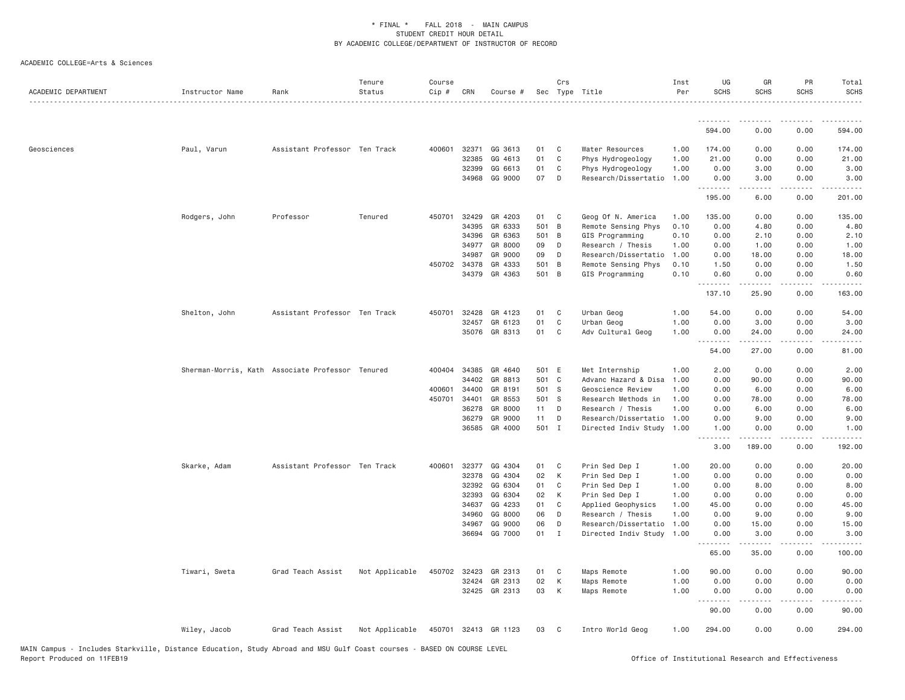| ACADEMIC DEPARTMENT | Instructor Name                                  | Rank                          | Tenure<br>Status | Course<br>Cip # | CRN   | Course #             |       | Crs<br>Sec Type Title |                      | Inst<br>Per | UG<br><b>SCHS</b>             | GR<br><b>SCHS</b> | PR<br><b>SCHS</b>                   | Total<br><b>SCHS</b>                                                                                                                                                                    |
|---------------------|--------------------------------------------------|-------------------------------|------------------|-----------------|-------|----------------------|-------|-----------------------|----------------------|-------------|-------------------------------|-------------------|-------------------------------------|-----------------------------------------------------------------------------------------------------------------------------------------------------------------------------------------|
|                     |                                                  |                               |                  |                 |       |                      |       |                       |                      |             | <u>.</u>                      |                   | - - - -                             |                                                                                                                                                                                         |
|                     |                                                  |                               |                  |                 |       |                      |       |                       |                      |             | 594.00                        | 0.00              | 0.00                                | 594.00                                                                                                                                                                                  |
| Geosciences         | Paul, Varun                                      | Assistant Professor Ten Track |                  | 400601          | 32371 | GG 3613              | 01    | C                     | Water Resources      | 1.00        | 174.00                        | 0.00              | 0.00                                | 174.00                                                                                                                                                                                  |
|                     |                                                  |                               |                  |                 | 32385 | GG 4613              | 01    | C                     | Phys Hydrogeology    | 1.00        | 21.00                         | 0.00              | 0.00                                | 21.00                                                                                                                                                                                   |
|                     |                                                  |                               |                  |                 | 32399 | GG 6613              | 01    | C                     | Phys Hydrogeology    | 1.00        | 0.00                          | 3.00              | 0.00                                | 3.00                                                                                                                                                                                    |
|                     |                                                  |                               |                  |                 | 34968 | GG 9000              | 07    | D                     | Research/Dissertatio | 1.00        | 0.00<br><b><i><u></u></i></b> | 3.00<br>.         | 0.00<br>.                           | 3.00<br>$\frac{1}{2} \left( \frac{1}{2} \right) \left( \frac{1}{2} \right) \left( \frac{1}{2} \right) \left( \frac{1}{2} \right) \left( \frac{1}{2} \right) \left( \frac{1}{2} \right)$ |
|                     |                                                  |                               |                  |                 |       |                      |       |                       |                      |             | 195.00                        | 6.00              | 0.00                                | 201.00                                                                                                                                                                                  |
|                     | Rodgers, John                                    | Professor                     | Tenured          | 450701          | 32429 | GR 4203              | 01    | C                     | Geog Of N. America   | 1.00        | 135.00                        | 0.00              | 0.00                                | 135.00                                                                                                                                                                                  |
|                     |                                                  |                               |                  |                 | 34395 | GR 6333              | 501   | $\overline{B}$        | Remote Sensing Phys  | 0.10        | 0.00                          | 4.80              | 0.00                                | 4.80                                                                                                                                                                                    |
|                     |                                                  |                               |                  |                 | 34396 | GR 6363              | 501   | B                     | GIS Programming      | 0.10        | 0.00                          | 2.10              | 0.00                                | 2.10                                                                                                                                                                                    |
|                     |                                                  |                               |                  |                 | 34977 | GR 8000              | 09    | D                     | Research / Thesis    | 1.00        | 0.00                          | 1.00              | 0.00                                | 1.00                                                                                                                                                                                    |
|                     |                                                  |                               |                  |                 | 34987 | GR 9000              | 09    | D                     | Research/Dissertatio | 1.00        | 0.00                          | 18.00             | 0.00                                | 18.00                                                                                                                                                                                   |
|                     |                                                  |                               |                  | 450702          | 34378 | GR 4333              | 501   | $\overline{B}$        | Remote Sensing Phys  | 0.10        | 1.50                          | 0.00              | 0.00                                | 1.50                                                                                                                                                                                    |
|                     |                                                  |                               |                  |                 |       | 34379 GR 4363        | 501 B |                       | GIS Programming      | 0.10        | 0.60<br>.                     | 0.00<br>.         | 0.00<br>.                           | 0.60<br>.                                                                                                                                                                               |
|                     |                                                  |                               |                  |                 |       |                      |       |                       |                      |             | 137.10                        | 25.90             | 0.00                                | 163.00                                                                                                                                                                                  |
|                     | Shelton, John                                    | Assistant Professor Ten Track |                  | 450701          | 32428 | GR 4123              | 01    | C                     | Urban Geog           | 1.00        | 54.00                         | 0.00              | 0.00                                | 54.00                                                                                                                                                                                   |
|                     |                                                  |                               |                  |                 | 32457 | GR 6123              | 01    | C                     | Urban Geog           | 1.00        | 0.00                          | 3.00              | 0.00                                | 3.00                                                                                                                                                                                    |
|                     |                                                  |                               |                  |                 |       | 35076 GR 8313        | 01    | C                     | Adv Cultural Geog    | 1.00        | 0.00                          | 24.00<br><b>.</b> | 0.00<br>.                           | 24.00<br>د د د د د                                                                                                                                                                      |
|                     |                                                  |                               |                  |                 |       |                      |       |                       |                      |             | 54.00                         | 27.00             | 0.00                                | 81.00                                                                                                                                                                                   |
|                     | Sherman-Morris, Kath Associate Professor Tenured |                               |                  | 400404          | 34385 | GR 4640              | 501 E |                       | Met Internship       | 1.00        | 2.00                          | 0.00              | 0.00                                | 2.00                                                                                                                                                                                    |
|                     |                                                  |                               |                  |                 | 34402 | GR 8813              | 501 C |                       | Advanc Hazard & Disa | 1.00        | 0.00                          | 90.00             | 0.00                                | 90.00                                                                                                                                                                                   |
|                     |                                                  |                               |                  | 400601          | 34400 | GR 8191              | 501 S |                       | Geoscience Review    | 1.00        | 0.00                          | 6.00              | 0.00                                | 6.00                                                                                                                                                                                    |
|                     |                                                  |                               |                  | 450701          | 34401 | GR 8553              | 501 S |                       | Research Methods in  | 1.00        | 0.00                          | 78.00             | 0.00                                | 78.00                                                                                                                                                                                   |
|                     |                                                  |                               |                  |                 | 36278 | GR 8000              | 11    | D                     | Research / Thesis    | 1.00        | 0.00                          | 6.00              | 0.00                                | 6.00                                                                                                                                                                                    |
|                     |                                                  |                               |                  |                 | 36279 | GR 9000              | 11    | D                     | Research/Dissertatio | 1.00        | 0.00                          | 9.00              | 0.00                                | 9.00                                                                                                                                                                                    |
|                     |                                                  |                               |                  |                 | 36585 | GR 4000              | 501 I |                       | Directed Indiv Study | 1.00        | 1.00<br>.                     | 0.00<br><b>.</b>  | 0.00<br>$\sim$ $\sim$ $\sim$ $\sim$ | 1.00<br>.                                                                                                                                                                               |
|                     |                                                  |                               |                  |                 |       |                      |       |                       |                      |             | 3.00                          | 189.00            | 0.00                                | 192.00                                                                                                                                                                                  |
|                     | Skarke, Adam                                     | Assistant Professor Ten Track |                  | 400601          | 32377 | GG 4304              | 01    | C                     | Prin Sed Dep I       | 1.00        | 20,00                         | 0.00              | 0.00                                | 20.00                                                                                                                                                                                   |
|                     |                                                  |                               |                  |                 | 32378 | GG 4304              | 02    | K                     | Prin Sed Dep I       | 1.00        | 0.00                          | 0.00              | 0.00                                | 0.00                                                                                                                                                                                    |
|                     |                                                  |                               |                  |                 | 32392 | GG 6304              | 01    | C                     | Prin Sed Dep I       | 1.00        | 0.00                          | 8.00              | 0.00                                | 8.00                                                                                                                                                                                    |
|                     |                                                  |                               |                  |                 | 32393 | GG 6304              | 02    | K                     | Prin Sed Dep I       | 1.00        | 0.00                          | 0.00              | 0.00                                | 0.00                                                                                                                                                                                    |
|                     |                                                  |                               |                  |                 | 34637 | GG 4233              | 01    | C                     | Applied Geophysics   | 1.00        | 45.00                         | 0.00              | 0.00                                | 45.00                                                                                                                                                                                   |
|                     |                                                  |                               |                  |                 | 34960 | GG 8000              | 06    | D                     | Research / Thesis    | 1.00        | 0.00                          | 9.00              | 0.00                                | 9.00                                                                                                                                                                                    |
|                     |                                                  |                               |                  |                 | 34967 | GG 9000              | 06    | D                     | Research/Dissertatio | 1.00        | 0.00                          | 15.00             | 0.00                                | 15.00                                                                                                                                                                                   |
|                     |                                                  |                               |                  |                 | 36694 | GG 7000              | 01    | $\mathbf{I}$          | Directed Indiv Study | 1.00        | 0.00<br><u>.</u>              | 3.00<br>-----     | 0.00<br>.                           | 3.00<br>.                                                                                                                                                                               |
|                     |                                                  |                               |                  |                 |       |                      |       |                       |                      |             | 65.00                         | 35.00             | 0.00                                | 100.00                                                                                                                                                                                  |
|                     | Tiwari, Sweta                                    | Grad Teach Assist             | Not Applicable   | 450702          | 32423 | GR 2313              | 01    | C                     | Maps Remote          | 1.00        | 90.00                         | 0.00              | 0.00                                | 90.00                                                                                                                                                                                   |
|                     |                                                  |                               |                  |                 | 32424 | GR 2313              | 02    | К                     | Maps Remote          | 1.00        | 0.00                          | 0.00              | 0.00                                | 0.00                                                                                                                                                                                    |
|                     |                                                  |                               |                  |                 |       | 32425 GR 2313        | 03    | К                     | Maps Remote          | 1.00        | 0.00<br>.                     | 0.00<br>.         | 0.00<br>.                           | 0.00<br>$\frac{1}{2} \left( \frac{1}{2} \right) \left( \frac{1}{2} \right) \left( \frac{1}{2} \right) \left( \frac{1}{2} \right) \left( \frac{1}{2} \right)$                            |
|                     |                                                  |                               |                  |                 |       |                      |       |                       |                      |             | 90.00                         | 0.00              | 0.00                                | 90.00                                                                                                                                                                                   |
|                     | Wiley, Jacob                                     | Grad Teach Assist             | Not Applicable   |                 |       | 450701 32413 GR 1123 | 03    | C                     | Intro World Geog     | 1.00        | 294.00                        | 0.00              | 0.00                                | 294.00                                                                                                                                                                                  |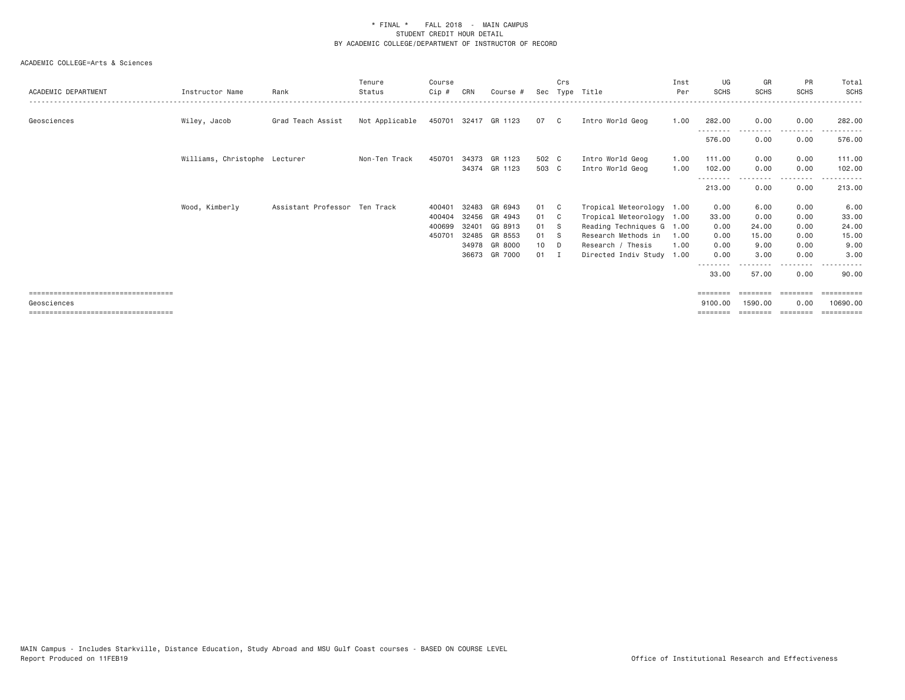| ACADEMIC DEPARTMENT                    | Instructor Name               | Rank                          | Tenure<br>Status | Course<br>Cip# | CRN   | Course #             | Sec             | Crs          | Type Title                | Inst<br>Per | UG<br><b>SCHS</b> | GR<br><b>SCHS</b> | <b>PR</b><br>SCHS | Total<br>SCHS  |
|----------------------------------------|-------------------------------|-------------------------------|------------------|----------------|-------|----------------------|-----------------|--------------|---------------------------|-------------|-------------------|-------------------|-------------------|----------------|
| Geosciences                            | Wiley, Jacob                  | Grad Teach Assist             | Not Applicable   |                |       | 450701 32417 GR 1123 | 07              | $\mathbb{C}$ | Intro World Geog          | 1.00        | 282.00            | 0.00              | 0.00              | 282,00         |
|                                        |                               |                               |                  |                |       |                      |                 |              |                           |             | 576.00            | 0.00              | 0.00              | 576.00         |
|                                        | Williams, Christophe Lecturer |                               | Non-Ten Track    | 450701         |       | 34373 GR 1123        | 502 C           |              | Intro World Geog          | 1.00        | 111.00            | 0.00              | 0.00              | 111.00         |
|                                        |                               |                               |                  |                |       | 34374 GR 1123        | 503 C           |              | Intro World Geog          | 1.00        | 102.00            | 0.00              | 0.00              | 102.00         |
|                                        |                               |                               |                  |                |       |                      |                 |              |                           |             | 213.00            | 0.00              | 0.00              | 213.00         |
|                                        | Wood, Kimberly                | Assistant Professor Ten Track |                  | 400401         | 32483 | GR 6943              | 01              | $\mathbf{C}$ | Tropical Meteorology 1.00 |             | 0.00              | 6.00              | 0.00              | 6.00           |
|                                        |                               |                               |                  | 400404         | 32456 | GR 4943              | 01              | $\mathbf{C}$ | Tropical Meteorology 1.00 |             | 33.00             | 0.00              | 0.00              | 33.00          |
|                                        |                               |                               |                  | 400699         | 32401 | GG 8913              | 01              | - S          | Reading Techniques G 1.00 |             | 0.00              | 24.00             | 0.00              | 24.00          |
|                                        |                               |                               |                  | 450701         | 32485 | GR 8553              | 01              | - S          | Research Methods in       | 1.00        | 0.00              | 15.00             | 0.00              | 15.00          |
|                                        |                               |                               |                  |                |       | 34978 GR 8000        | 10 <sub>1</sub> | $\Box$       | Research / Thesis         | 1.00        | 0.00              | 9.00              | 0.00              | 9.00           |
|                                        |                               |                               |                  |                |       | 36673 GR 7000        | 01              | $\mathbf{I}$ | Directed Indiv Study 1.00 |             | 0.00              | 3.00              | 0.00              | 3,00           |
|                                        |                               |                               |                  |                |       |                      |                 |              |                           |             |                   |                   |                   |                |
|                                        |                               |                               |                  |                |       |                      |                 |              |                           |             | 33.00             | 57.00             | 0.00              | 90.00          |
| =====================================  |                               |                               |                  |                |       |                      |                 |              |                           |             | ========          | ========          | ========          |                |
| Geosciences                            |                               |                               |                  |                |       |                      |                 |              |                           |             | 9100.00           | 1590.00           | 0.00              | 10690,00       |
| ====================================== |                               |                               |                  |                |       |                      |                 |              |                           |             | ========          | ========          | ---------         | $=$ ========== |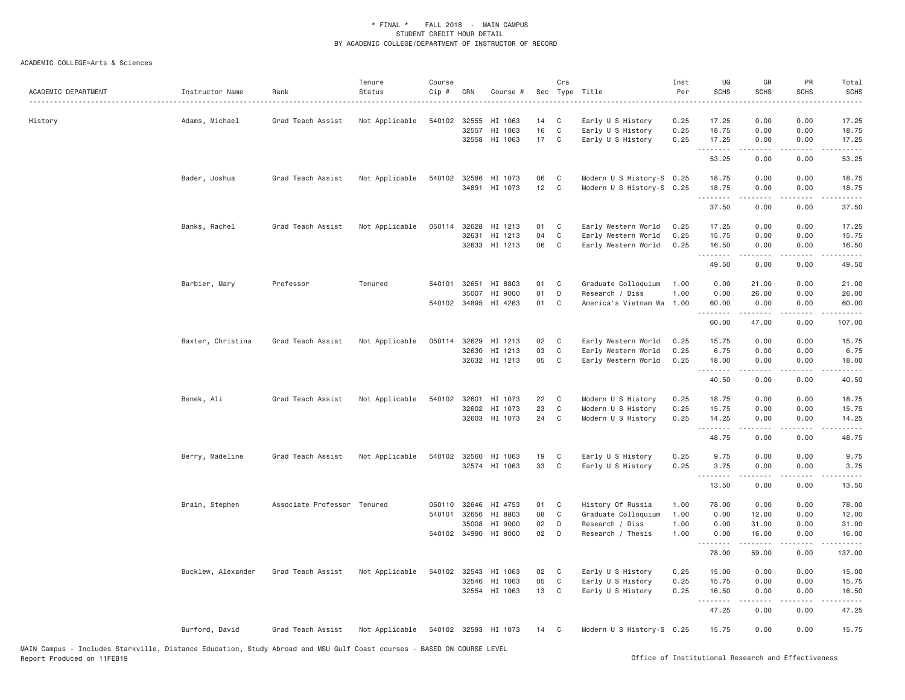### ACADEMIC COLLEGE=Arts & Sciences

| ACADEMIC DEPARTMENT | Instructor Name    | Rank                        | Tenure<br>Status | Course<br>Cip# | CRN          | Course #                        |          | Crs              | Sec Type Title                                         | Inst<br>Per  | UG<br><b>SCHS</b> | GR<br><b>SCHS</b>  | PR<br><b>SCHS</b>                   | Total<br><b>SCHS</b>                                                                                                                                          |
|---------------------|--------------------|-----------------------------|------------------|----------------|--------------|---------------------------------|----------|------------------|--------------------------------------------------------|--------------|-------------------|--------------------|-------------------------------------|---------------------------------------------------------------------------------------------------------------------------------------------------------------|
| History             | Adams, Michael     | Grad Teach Assist           | Not Applicable   | 540102         | 32555        | HI 1063                         | 14       | C                | Early U S History                                      | 0.25         | 17.25             | 0.00               | 0.00                                | 17.25                                                                                                                                                         |
|                     |                    |                             |                  |                | 32557        | HI 1063<br>32558 HI 1063        | 16<br>17 | C<br>C           | Early U S History<br>Early U S History                 | 0.25<br>0.25 | 18.75<br>17.25    | 0.00<br>0.00       | 0.00<br>0.00                        | 18.75<br>17.25                                                                                                                                                |
|                     |                    |                             |                  |                |              |                                 |          |                  |                                                        |              | .<br>53.25        | .<br>0.00          | .<br>0.00                           | $\sim$ $\sim$ $\sim$ $\sim$ $\sim$<br>53.25                                                                                                                   |
|                     | Bader, Joshua      | Grad Teach Assist           | Not Applicable   |                | 34891        | 540102 32586 HI 1073<br>HI 1073 | 06<br>12 | C<br>$\mathbf C$ | Modern U S History-S 0.25<br>Modern U S History-S 0.25 |              | 18.75<br>18.75    | 0.00<br>0.00       | 0.00<br>0.00                        | 18.75<br>18.75                                                                                                                                                |
|                     |                    |                             |                  |                |              |                                 |          |                  |                                                        |              | .<br>37.50        | .<br>0.00          | . <b>.</b><br>0.00                  | .<br>37.50                                                                                                                                                    |
|                     | Banks, Rachel      | Grad Teach Assist           | Not Applicable   | 050114         | 32628        | HI 1213                         | 01       | C                | Early Western World                                    | 0.25         | 17.25             | 0.00               | 0.00                                | 17.25                                                                                                                                                         |
|                     |                    |                             |                  |                | 32631        | HI 1213                         | 04       | C                | Early Western World                                    | 0.25         | 15.75             | 0.00               | 0.00                                | 15.75                                                                                                                                                         |
|                     |                    |                             |                  |                |              | 32633 HI 1213                   | 06       | C                | Early Western World                                    | 0.25         | 16.50<br>.        | 0.00<br>.          | 0.00<br>$\sim$ $\sim$ $\sim$ $\sim$ | 16.50<br>$\frac{1}{2} \left( \frac{1}{2} \right) \left( \frac{1}{2} \right) \left( \frac{1}{2} \right) \left( \frac{1}{2} \right) \left( \frac{1}{2} \right)$ |
|                     |                    |                             |                  |                |              |                                 |          |                  |                                                        |              | 49.50             | 0.00               | 0.00                                | 49.50                                                                                                                                                         |
|                     | Barbier, Mary      | Professor                   | Tenured          |                | 540101 32651 | HI 8803                         | 01       | C                | Graduate Colloquium                                    | 1.00         | 0.00              | 21.00              | 0.00                                | 21.00                                                                                                                                                         |
|                     |                    |                             |                  |                | 35007        | HI 9000                         | 01       | D                | Research / Diss                                        | 1.00         | 0.00              | 26.00              | 0.00                                | 26.00                                                                                                                                                         |
|                     |                    |                             |                  |                |              | 540102 34895 HI 4263            | 01       | C                | America's Vietnam Wa                                   | 1.00         | 60.00             | 0.00               | 0.00                                | 60.00                                                                                                                                                         |
|                     |                    |                             |                  |                |              |                                 |          |                  |                                                        |              | .<br>60.00        | .<br>47.00         | 22222<br>0.00                       | <u>.</u><br>107.00                                                                                                                                            |
|                     | Baxter, Christina  | Grad Teach Assist           | Not Applicable   | 050114         | 32629        | HI 1213                         | 02       | $\mathbf{C}$     | Early Western World                                    | 0.25         | 15.75             | 0.00               | 0.00                                | 15.75                                                                                                                                                         |
|                     |                    |                             |                  |                | 32630        | HI 1213                         | 03       | C                | Early Western World                                    | 0.25         | 6.75              | 0.00               | 0.00                                | 6.75                                                                                                                                                          |
|                     |                    |                             |                  |                |              | 32632 HI 1213                   | 05       | C                | Early Western World                                    | 0.25         | 18.00<br>.        | 0.00<br>.          | 0.00<br>.                           | 18.00<br>.                                                                                                                                                    |
|                     |                    |                             |                  |                |              |                                 |          |                  |                                                        |              | 40.50             | 0.00               | 0.00                                | 40.50                                                                                                                                                         |
|                     | Benek, Ali         | Grad Teach Assist           | Not Applicable   | 540102         | 32601        | HI 1073                         | 22       | C                | Modern U S History                                     | 0.25         | 18.75             | 0.00               | 0.00                                | 18.75                                                                                                                                                         |
|                     |                    |                             |                  |                | 32602        | HI 1073                         | 23       | C                | Modern U S History                                     | 0.25         | 15.75             | 0.00               | 0.00                                | 15.75                                                                                                                                                         |
|                     |                    |                             |                  |                |              | 32603 HI 1073                   | 24       | $\mathbf{C}$     | Modern U S History                                     | 0.25         | 14.25<br>.        | 0.00<br>. <b>.</b> | 0.00<br>.                           | 14.25<br>.                                                                                                                                                    |
|                     |                    |                             |                  |                |              |                                 |          |                  |                                                        |              | 48.75             | 0.00               | 0.00                                | 48.75                                                                                                                                                         |
|                     | Berry, Madeline    | Grad Teach Assist           | Not Applicable   | 540102         | 32560        | HI 1063                         | 19       | C                | Early U S History                                      | 0.25         | 9.75              | 0.00               | 0.00                                | 9.75                                                                                                                                                          |
|                     |                    |                             |                  |                |              | 32574 HI 1063                   | 33       | C                | Early U S History                                      | 0.25         | 3.75<br>.         | 0.00<br>.          | 0.00<br>.                           | 3.75<br>د د د د د                                                                                                                                             |
|                     |                    |                             |                  |                |              |                                 |          |                  |                                                        |              | 13.50             | 0.00               | 0.00                                | 13.50                                                                                                                                                         |
|                     | Brain, Stephen     | Associate Professor Tenured |                  | 050110         | 32646        | HI 4753                         | 01       | C                | History Of Russia                                      | 1.00         | 78.00             | 0.00               | 0.00                                | 78.00                                                                                                                                                         |
|                     |                    |                             |                  | 540101         | 32656        | HI 8803                         | 08       | C                | Graduate Colloquium                                    | 1.00         | 0.00              | 12.00              | 0.00                                | 12.00                                                                                                                                                         |
|                     |                    |                             |                  |                | 35008        | HI 9000                         | 02       | D                | Research / Diss                                        | 1.00         | 0.00              | 31.00              | 0.00                                | 31.00                                                                                                                                                         |
|                     |                    |                             |                  |                |              | 540102 34990 HI 8000            | 02       | D                | Research / Thesis                                      | 1.00         | 0.00<br><u>.</u>  | 16.00<br>.         | 0.00<br>.                           | 16.00<br>.                                                                                                                                                    |
|                     |                    |                             |                  |                |              |                                 |          |                  |                                                        |              | 78.00             | 59.00              | 0.00                                | 137.00                                                                                                                                                        |
|                     | Bucklew, Alexander | Grad Teach Assist           | Not Applicable   | 540102 32543   |              | HI 1063                         | 02 C     |                  | Early U S History                                      | 0.25         | 15.00             | 0.00               | 0.00                                | 15.00                                                                                                                                                         |
|                     |                    |                             |                  |                | 32546        | HI 1063                         | 05       | C                | Early U S History                                      | 0.25         | 15.75             | 0.00               | 0.00                                | 15.75                                                                                                                                                         |
|                     |                    |                             |                  |                | 32554        | HI 1063                         | 13       | C                | Early U S History                                      | 0.25         | 16.50             | 0.00               | 0.00                                | 16.50                                                                                                                                                         |
|                     |                    |                             |                  |                |              |                                 |          |                  |                                                        |              | .<br>47.25        | .<br>0.00          | .<br>0.00                           | .<br>47.25                                                                                                                                                    |
|                     | Burford, David     | Grad Teach Assist           | Not Applicable   |                |              | 540102 32593 HI 1073            | 14       | C                | Modern U S History-S 0.25                              |              | 15.75             | 0.00               | 0.00                                | 15.75                                                                                                                                                         |

MAIN Campus - Includes Starkville, Distance Education, Study Abroad and MSU Gulf Coast courses - BASED ON COURSE LEVEL<br>Report Produced on 11FEB19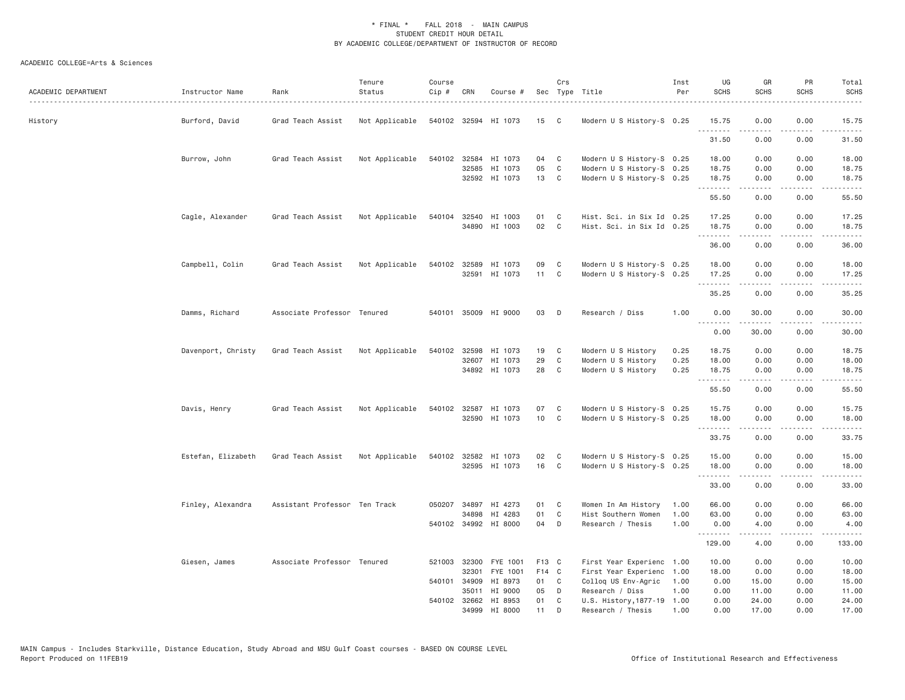| ACADEMIC DEPARTMENT | Instructor Name    | Rank                          | Tenure<br>Status | Course<br>Cip # | CRN          | Course #                              |          | Crs<br>Sec Type Title |                            | Inst<br>Per | UG<br><b>SCHS</b>                                                                                                                                                                                                                                                                                                                                                                                                                                                                      | GR<br><b>SCHS</b> | PR<br><b>SCHS</b>                   | Total<br><b>SCHS</b>                                                                                                                                          |
|---------------------|--------------------|-------------------------------|------------------|-----------------|--------------|---------------------------------------|----------|-----------------------|----------------------------|-------------|----------------------------------------------------------------------------------------------------------------------------------------------------------------------------------------------------------------------------------------------------------------------------------------------------------------------------------------------------------------------------------------------------------------------------------------------------------------------------------------|-------------------|-------------------------------------|---------------------------------------------------------------------------------------------------------------------------------------------------------------|
| History             | Burford, David     | Grad Teach Assist             | Not Applicable   |                 |              | 540102 32594 HI 1073                  | 15 C     |                       | Modern U S History-S 0.25  |             | 15.75<br><b><i><u></u></i></b>                                                                                                                                                                                                                                                                                                                                                                                                                                                         | 0.00<br>د د د د   | 0.00<br>.                           | 15.75<br>$- - - - -$                                                                                                                                          |
|                     |                    |                               |                  |                 |              |                                       |          |                       |                            |             | 31.50                                                                                                                                                                                                                                                                                                                                                                                                                                                                                  | 0.00              | 0.00                                | 31.50                                                                                                                                                         |
|                     | Burrow, John       | Grad Teach Assist             | Not Applicable   |                 |              | 540102 32584 HI 1073                  | 04       | $\mathbf{C}$          | Modern U S History-S 0.25  |             | 18.00                                                                                                                                                                                                                                                                                                                                                                                                                                                                                  | 0.00              | 0.00                                | 18.00                                                                                                                                                         |
|                     |                    |                               |                  |                 |              | 32585 HI 1073                         | 05       | C                     | Modern U S History-S 0.25  |             | 18.75                                                                                                                                                                                                                                                                                                                                                                                                                                                                                  | 0.00              | 0.00                                | 18.75                                                                                                                                                         |
|                     |                    |                               |                  |                 |              | 32592 HI 1073                         | 13       | $\mathbf{C}$          | Modern U S History-S 0.25  |             | 18.75<br>.                                                                                                                                                                                                                                                                                                                                                                                                                                                                             | 0.00<br>.         | 0.00<br>د د د د                     | 18.75<br>د د د د د                                                                                                                                            |
|                     |                    |                               |                  |                 |              |                                       |          |                       |                            |             | 55.50                                                                                                                                                                                                                                                                                                                                                                                                                                                                                  | 0.00              | 0.00                                | 55.50                                                                                                                                                         |
|                     | Cagle, Alexander   | Grad Teach Assist             | Not Applicable   |                 |              | 540104 32540 HI 1003                  | 01       | C                     | Hist. Sci. in Six Id 0.25  |             | 17.25                                                                                                                                                                                                                                                                                                                                                                                                                                                                                  | 0.00              | 0.00                                | 17.25                                                                                                                                                         |
|                     |                    |                               |                  |                 |              | 34890 HI 1003                         | 02       | $\mathbf{C}$          | Hist. Sci. in Six Id 0.25  |             | 18.75                                                                                                                                                                                                                                                                                                                                                                                                                                                                                  | 0.00<br>-----     | 0.00<br>.                           | 18.75                                                                                                                                                         |
|                     |                    |                               |                  |                 |              |                                       |          |                       |                            |             | .<br>36.00                                                                                                                                                                                                                                                                                                                                                                                                                                                                             | 0.00              | 0.00                                | .<br>36.00                                                                                                                                                    |
|                     | Campbell, Colin    | Grad Teach Assist             | Not Applicable   |                 |              | 540102 32589 HI 1073                  | 09       | C                     | Modern U S History-S 0.25  |             | 18.00                                                                                                                                                                                                                                                                                                                                                                                                                                                                                  | 0.00              | 0.00                                | 18.00                                                                                                                                                         |
|                     |                    |                               |                  |                 |              | 32591 HI 1073                         | 11       | C                     | Modern U S History-S 0.25  |             | 17.25                                                                                                                                                                                                                                                                                                                                                                                                                                                                                  | 0.00              | 0.00                                | 17.25                                                                                                                                                         |
|                     |                    |                               |                  |                 |              |                                       |          |                       |                            |             | $\begin{array}{cccccccccccccc} \multicolumn{2}{c}{} & \multicolumn{2}{c}{} & \multicolumn{2}{c}{} & \multicolumn{2}{c}{} & \multicolumn{2}{c}{} & \multicolumn{2}{c}{} & \multicolumn{2}{c}{} & \multicolumn{2}{c}{} & \multicolumn{2}{c}{} & \multicolumn{2}{c}{} & \multicolumn{2}{c}{} & \multicolumn{2}{c}{} & \multicolumn{2}{c}{} & \multicolumn{2}{c}{} & \multicolumn{2}{c}{} & \multicolumn{2}{c}{} & \multicolumn{2}{c}{} & \multicolumn{2}{c}{} & \multicolumn{2}{c}{} & \$ | .                 | .                                   | .                                                                                                                                                             |
|                     |                    |                               |                  |                 |              |                                       |          |                       |                            |             | 35.25                                                                                                                                                                                                                                                                                                                                                                                                                                                                                  | 0.00              | 0.00                                | 35.25                                                                                                                                                         |
|                     | Damms, Richard     | Associate Professor Tenured   |                  |                 |              | 540101 35009 HI 9000                  | 03       | D                     | Research / Diss            | 1.00        | 0.00<br>.                                                                                                                                                                                                                                                                                                                                                                                                                                                                              | 30.00<br>-----    | 0.00<br>.                           | 30.00<br>.                                                                                                                                                    |
|                     |                    |                               |                  |                 |              |                                       |          |                       |                            |             | 0.00                                                                                                                                                                                                                                                                                                                                                                                                                                                                                   | 30.00             | 0.00                                | 30.00                                                                                                                                                         |
|                     | Davenport, Christy | Grad Teach Assist             | Not Applicable   |                 |              | 540102 32598 HI 1073                  | 19       | C                     | Modern U S History         | 0.25        | 18.75                                                                                                                                                                                                                                                                                                                                                                                                                                                                                  | 0.00              | 0.00                                | 18.75                                                                                                                                                         |
|                     |                    |                               |                  |                 |              | 32607 HI 1073                         | 29       | $\mathbf{C}$          | Modern U S History         | 0.25        | 18.00                                                                                                                                                                                                                                                                                                                                                                                                                                                                                  | 0.00              | 0.00                                | 18.00                                                                                                                                                         |
|                     |                    |                               |                  |                 |              | 34892 HI 1073                         | 28       | $\mathbf{C}$          | Modern U S History         | 0.25        | 18.75                                                                                                                                                                                                                                                                                                                                                                                                                                                                                  | 0.00              | 0.00                                | 18.75                                                                                                                                                         |
|                     |                    |                               |                  |                 |              |                                       |          |                       |                            |             | .                                                                                                                                                                                                                                                                                                                                                                                                                                                                                      | $- - - - -$       | -----                               | .                                                                                                                                                             |
|                     |                    |                               |                  |                 |              |                                       |          |                       |                            |             | 55.50                                                                                                                                                                                                                                                                                                                                                                                                                                                                                  | 0.00              | 0.00                                | 55.50                                                                                                                                                         |
|                     | Davis, Henry       | Grad Teach Assist             | Not Applicable   | 540102          |              | 32587 HI 1073                         | 07       | C                     | Modern U S History-S 0.25  |             | 15.75                                                                                                                                                                                                                                                                                                                                                                                                                                                                                  | 0.00              | 0.00                                | 15.75                                                                                                                                                         |
|                     |                    |                               |                  |                 |              | 32590 HI 1073                         | 10       | C                     | Modern U S History-S 0.25  |             | 18.00                                                                                                                                                                                                                                                                                                                                                                                                                                                                                  | 0.00              | 0.00                                | 18.00                                                                                                                                                         |
|                     |                    |                               |                  |                 |              |                                       |          |                       |                            |             | <b><i><u></u></i></b><br>33.75                                                                                                                                                                                                                                                                                                                                                                                                                                                         | .<br>0.00         | .<br>0.00                           | .<br>33.75                                                                                                                                                    |
|                     |                    |                               |                  |                 |              |                                       |          |                       |                            |             |                                                                                                                                                                                                                                                                                                                                                                                                                                                                                        |                   |                                     |                                                                                                                                                               |
|                     | Estefan, Elizabeth | Grad Teach Assist             | Not Applicable   |                 |              | 540102 32582 HI 1073                  | 02       | $\mathbf{C}$          | Modern U S History-S 0.25  |             | 15.00                                                                                                                                                                                                                                                                                                                                                                                                                                                                                  | 0.00              | 0.00                                | 15.00                                                                                                                                                         |
|                     |                    |                               |                  |                 |              | 32595 HI 1073                         | 16       | C                     | Modern U S History-S 0.25  |             | 18.00                                                                                                                                                                                                                                                                                                                                                                                                                                                                                  | 0.00              | 0.00<br>$\sim$ $\sim$ $\sim$ $\sim$ | 18.00<br>$\frac{1}{2} \left( \frac{1}{2} \right) \left( \frac{1}{2} \right) \left( \frac{1}{2} \right) \left( \frac{1}{2} \right) \left( \frac{1}{2} \right)$ |
|                     |                    |                               |                  |                 |              |                                       |          |                       |                            |             | 33.00                                                                                                                                                                                                                                                                                                                                                                                                                                                                                  | 0.00              | 0.00                                | 33.00                                                                                                                                                         |
|                     | Finley, Alexandra  | Assistant Professor Ten Track |                  | 050207          |              | 34897 HI 4273                         | 01       | C                     | Women In Am History        | 1.00        | 66.00                                                                                                                                                                                                                                                                                                                                                                                                                                                                                  | 0.00              | 0.00                                | 66.00                                                                                                                                                         |
|                     |                    |                               |                  |                 |              | 34898 HI 4283                         | 01       | C                     | Hist Southern Women        | 1.00        | 63.00                                                                                                                                                                                                                                                                                                                                                                                                                                                                                  | 0.00              | 0.00                                | 63.00                                                                                                                                                         |
|                     |                    |                               |                  |                 |              | 540102 34992 HI 8000                  | 04       | D                     | Research / Thesis          | 1.00        | 0.00<br>.                                                                                                                                                                                                                                                                                                                                                                                                                                                                              | 4.00<br>.         | 0.00<br>د د د د                     | 4.00<br>.                                                                                                                                                     |
|                     |                    |                               |                  |                 |              |                                       |          |                       |                            |             | 129.00                                                                                                                                                                                                                                                                                                                                                                                                                                                                                 | 4.00              | 0.00                                | 133.00                                                                                                                                                        |
|                     | Giesen, James      | Associate Professor Tenured   |                  | 521003          |              | 32300 FYE 1001                        | F13 C    |                       | First Year Experienc       | 1.00        | 10.00                                                                                                                                                                                                                                                                                                                                                                                                                                                                                  | 0.00              | 0.00                                | 10.00                                                                                                                                                         |
|                     |                    |                               |                  |                 | 32301        | FYE 1001                              | F14 C    |                       | First Year Experienc       | 1.00        | 18.00                                                                                                                                                                                                                                                                                                                                                                                                                                                                                  | 0.00              | 0.00                                | 18.00                                                                                                                                                         |
|                     |                    |                               |                  |                 | 540101 34909 | HI 8973                               | 01       | C                     | Colloq US Env-Agric        | 1.00        | 0.00                                                                                                                                                                                                                                                                                                                                                                                                                                                                                   | 15.00             | 0.00                                | 15.00                                                                                                                                                         |
|                     |                    |                               |                  |                 | 35011        | HI 9000                               | 05       | D                     | Research / Diss            | 1,00        | 0.00                                                                                                                                                                                                                                                                                                                                                                                                                                                                                   | 11.00             | 0.00                                | 11.00                                                                                                                                                         |
|                     |                    |                               |                  |                 |              | 540102 32662 HI 8953<br>34999 HI 8000 | 01<br>11 | C<br>D                | U.S. History, 1877-19 1.00 | 1.00        | 0.00<br>0.00                                                                                                                                                                                                                                                                                                                                                                                                                                                                           | 24.00<br>17.00    | 0.00<br>0.00                        | 24.00<br>17.00                                                                                                                                                |
|                     |                    |                               |                  |                 |              |                                       |          |                       | Research / Thesis          |             |                                                                                                                                                                                                                                                                                                                                                                                                                                                                                        |                   |                                     |                                                                                                                                                               |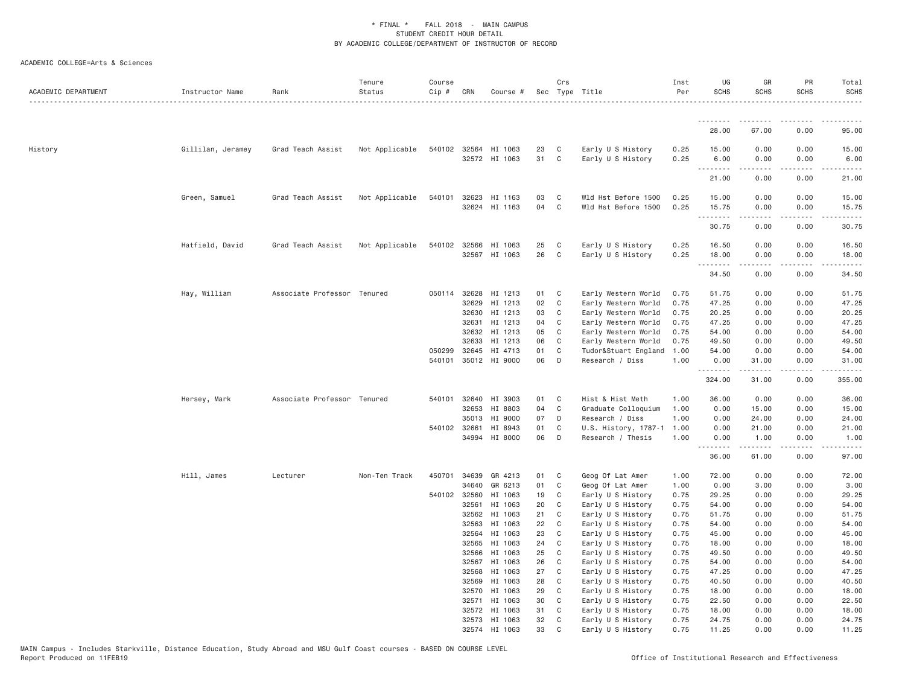| ACADEMIC DEPARTMENT | Instructor Name   | Rank                        | Tenure<br>Status | Course<br>Cip # | CRN                   | Course #                              |            | Crs                          | Sec Type Title                             | Inst<br>Per  | UG<br><b>SCHS</b>         | GR<br>SCHS                  | PR<br><b>SCHS</b> | Total<br><b>SCHS</b> |
|---------------------|-------------------|-----------------------------|------------------|-----------------|-----------------------|---------------------------------------|------------|------------------------------|--------------------------------------------|--------------|---------------------------|-----------------------------|-------------------|----------------------|
|                     |                   |                             |                  |                 |                       |                                       |            |                              |                                            |              |                           |                             |                   |                      |
|                     |                   |                             |                  |                 |                       |                                       |            |                              |                                            |              | 28.00                     | 67.00                       | 0.00              | 95.00                |
| History             | Gillilan, Jeramey | Grad Teach Assist           | Not Applicable   |                 |                       | 540102 32564 HI 1063<br>32572 HI 1063 | 23<br>31   | C<br>$\mathbf{C}$            | Early U S History<br>Early U S History     | 0.25<br>0.25 | 15.00<br>6.00<br><u>.</u> | 0.00<br>0.00<br>$- - - - -$ | 0.00<br>0.00<br>. | 15.00<br>6.00<br>.   |
|                     |                   |                             |                  |                 |                       |                                       |            |                              |                                            |              | 21.00                     | 0.00                        | 0.00              | 21.00                |
|                     | Green, Samuel     | Grad Teach Assist           | Not Applicable   | 540101          | 32623                 | HI 1163<br>32624 HI 1163              | 03<br>04   | $\mathbf{C}$<br>$\mathbf{C}$ | Wld Hst Before 1500<br>Wld Hst Before 1500 | 0.25<br>0.25 | 15.00<br>15.75<br>.       | 0.00<br>0.00                | 0.00<br>0.00      | 15.00<br>15.75       |
|                     |                   |                             |                  |                 |                       |                                       |            |                              |                                            |              | 30.75                     | 0.00                        | 0.00              | 30.75                |
|                     | Hatfield, David   | Grad Teach Assist           | Not Applicable   |                 | 540102 32566          | HI 1063<br>32567 HI 1063              | 25<br>26   | $\mathbf{C}$<br>$\mathbf{C}$ | Early U S History<br>Early U S History     | 0.25<br>0.25 | 16.50<br>18.00<br>.       | 0.00<br>0.00                | 0.00<br>0.00      | 16.50<br>18.00       |
|                     |                   |                             |                  |                 |                       |                                       |            |                              |                                            |              | 34.50                     | 0.00                        | 0.00              | 34.50                |
|                     | Hay, William      | Associate Professor Tenured |                  |                 | 050114 32628<br>32629 | HI 1213<br>HI 1213                    | 01 C<br>02 | $\mathbf{C}$                 | Early Western World<br>Early Western World | 0.75<br>0.75 | 51.75<br>47.25            | 0.00<br>0.00                | 0.00<br>0.00      | 51.75<br>47.25       |
|                     |                   |                             |                  |                 | 32630                 | HI 1213                               | 03         | C                            | Early Western World                        | 0.75         | 20.25                     | 0.00                        | 0.00              | 20.25                |
|                     |                   |                             |                  |                 | 32631                 | HI 1213                               | 04         | C                            | Early Western World                        | 0.75         | 47.25                     | 0.00                        | 0.00              | 47.25                |
|                     |                   |                             |                  |                 | 32632                 | HI 1213                               | 05         | $\mathbf{C}$                 | Early Western World                        | 0.75         | 54.00                     | 0.00                        | 0.00              | 54.00                |
|                     |                   |                             |                  |                 | 32633                 | HI 1213                               | 06         | C.                           | Early Western World                        | 0.75         | 49.50                     | 0.00                        | 0.00              | 49.50                |
|                     |                   |                             |                  | 050299          | 32645                 | HI 4713<br>540101 35012 HI 9000       | 01<br>06   | C<br>$\Box$                  | Tudor&Stuart England<br>Research / Diss    | 1.00<br>1.00 | 54.00<br>0.00             | 0.00<br>31.00               | 0.00<br>0.00      | 54.00<br>31.00       |
|                     |                   |                             |                  |                 |                       |                                       |            |                              |                                            |              | .<br>324.00               | .<br>31.00                  | .<br>0.00         | 355.00               |
|                     | Hersey, Mark      | Associate Professor Tenured |                  |                 | 540101 32640          | HI 3903                               | 01         | $\mathbf{C}$                 | Hist & Hist Meth                           | 1.00         | 36.00                     | 0.00                        | 0.00              | 36.00                |
|                     |                   |                             |                  |                 | 32653                 | HI 8803                               | 04         | $\mathbf C$                  | Graduate Colloquium                        | 1.00         | 0.00                      | 15.00                       | 0.00              | 15.00                |
|                     |                   |                             |                  |                 | 35013                 | HI 9000                               | 07         | D                            | Research / Diss                            | 1.00         | 0.00                      | 24.00                       | 0.00              | 24.00                |
|                     |                   |                             |                  | 540102 32661    | 34994                 | HI 8943<br>HI 8000                    | 01<br>06   | C<br>$\Box$                  | U.S. History, 1787-1<br>Research / Thesis  | 1.00<br>1.00 | 0.00<br>0.00              | 21.00<br>1.00               | 0.00<br>0.00      | 21.00<br>1.00        |
|                     |                   |                             |                  |                 |                       |                                       |            |                              |                                            |              | .<br>36.00                | .<br>61.00                  | .<br>0.00         | .<br>97.00           |
|                     | Hill, James       | Lecturer                    | Non-Ten Track    | 450701          | 34639                 | GR 4213                               | 01         | $\mathbf{C}$                 | Geog Of Lat Amer                           | 1.00         | 72.00                     | 0.00                        | 0.00              | 72.00                |
|                     |                   |                             |                  |                 | 34640                 | GR 6213                               | 01         | C                            | Geog Of Lat Amer                           | 1.00         | 0.00                      | 3.00                        | 0.00              | 3.00                 |
|                     |                   |                             |                  |                 | 540102 32560          | HI 1063                               | 19         | $\mathbf C$                  | Early U S History                          | 0.75         | 29.25                     | 0.00                        | 0.00              | 29.25                |
|                     |                   |                             |                  |                 | 32561                 | HI 1063                               | 20         | $\mathbf{C}$                 | Early U S History                          | 0.75         | 54.00                     | 0.00                        | 0.00              | 54.00                |
|                     |                   |                             |                  |                 | 32562                 | HI 1063                               | 21         | C                            | Early U S History                          | 0.75         | 51.75                     | 0.00                        | 0.00              | 51.75                |
|                     |                   |                             |                  |                 | 32563                 | HI 1063                               | 22         | C                            | Early U S History                          | 0.75         | 54.00                     | 0.00                        | 0.00              | 54.00                |
|                     |                   |                             |                  |                 | 32564<br>32565        | HI 1063<br>HI 1063                    | 23<br>24   | C                            | Early U S History                          | 0.75         | 45.00<br>18.00            | 0.00<br>0.00                | 0.00<br>0.00      | 45.00<br>18.00       |
|                     |                   |                             |                  |                 | 32566                 | HI 1063                               | 25         | C<br>C                       | Early U S History<br>Early U S History     | 0.75<br>0.75 | 49.50                     | 0.00                        | 0.00              | 49.50                |
|                     |                   |                             |                  |                 | 32567                 | HI 1063                               | 26         | C                            | Early U S History                          | 0.75         | 54.00                     | 0.00                        | 0.00              | 54.00                |
|                     |                   |                             |                  |                 | 32568                 | HI 1063                               | 27         | $\mathbf{C}$                 | Early U S History                          | 0.75         | 47.25                     | 0.00                        | 0.00              | 47.25                |
|                     |                   |                             |                  |                 | 32569                 | HI 1063                               | 28         | C                            | Early U S History                          | 0.75         | 40.50                     | 0.00                        | 0.00              | 40.50                |
|                     |                   |                             |                  |                 | 32570                 | HI 1063                               | 29         | C                            | Early U S History                          | 0.75         | 18.00                     | 0.00                        | 0.00              | 18.00                |
|                     |                   |                             |                  |                 | 32571                 | HI 1063                               | 30         | C                            | Early U S History                          | 0.75         | 22.50                     | 0.00                        | 0.00              | 22.50                |
|                     |                   |                             |                  |                 | 32572                 | HI 1063                               | 31         | C                            | Early U S History                          | 0.75         | 18.00                     | 0.00                        | 0.00              | 18.00                |
|                     |                   |                             |                  |                 |                       | 32573 HI 1063                         | 32         | C                            | Early U S History                          | 0.75         | 24.75                     | 0.00                        | 0.00              | 24.75                |
|                     |                   |                             |                  |                 |                       | 32574 HI 1063                         | 33         | C                            | Early U S History                          | 0.75         | 11.25                     | 0.00                        | 0.00              | 11.25                |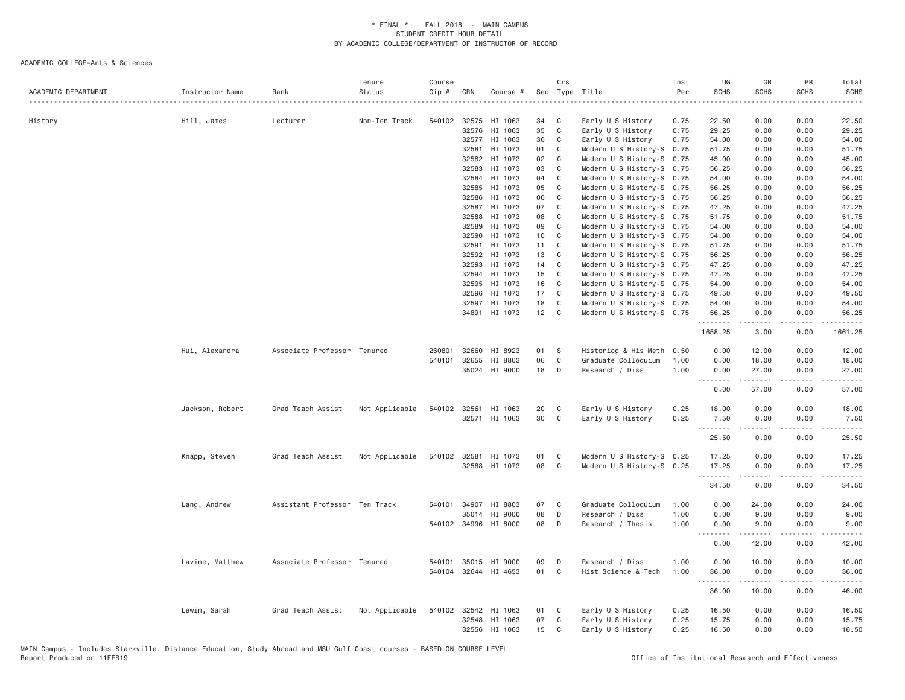|                     |                 |                               | Tenure         | Course       |              |                      |          | Crs          |                                        | Inst | UG                | GR                             | PR            | Total                                                                                                                                                                                    |
|---------------------|-----------------|-------------------------------|----------------|--------------|--------------|----------------------|----------|--------------|----------------------------------------|------|-------------------|--------------------------------|---------------|------------------------------------------------------------------------------------------------------------------------------------------------------------------------------------------|
| ACADEMIC DEPARTMENT | Instructor Name | Rank                          | Status         | Cip #        | CRN          | Course #             |          |              | Sec Type Title                         | Per  | <b>SCHS</b>       | <b>SCHS</b>                    | <b>SCHS</b>   | <b>SCHS</b><br>د د د د د                                                                                                                                                                 |
|                     |                 |                               | Non-Ten Track  | 540102       | 32575        | HI 1063              |          |              |                                        | 0.75 | 22.50             | 0.00                           | 0.00          | 22.50                                                                                                                                                                                    |
| History             | Hill, James     | Lecturer                      |                |              | 32576        | HI 1063              | 34<br>35 | C<br>C       | Early U S History<br>Early U S History | 0.75 | 29.25             | 0.00                           | 0.00          | 29.25                                                                                                                                                                                    |
|                     |                 |                               |                |              | 32577        | HI 1063              | 36       | C            | Early U S History                      | 0.75 | 54.00             | 0.00                           | 0.00          | 54.00                                                                                                                                                                                    |
|                     |                 |                               |                |              | 32581        | HI 1073              | 01       | C            | Modern U S History-S 0.75              |      | 51.75             | 0.00                           | 0.00          | 51.75                                                                                                                                                                                    |
|                     |                 |                               |                |              | 32582        | HI 1073              | 02       | C            | Modern U S History-S 0.75              |      | 45.00             | 0.00                           | 0.00          | 45.00                                                                                                                                                                                    |
|                     |                 |                               |                |              | 32583        | HI 1073              | 03       | C            | Modern U S History-S 0.75              |      | 56.25             | 0.00                           | 0.00          | 56.25                                                                                                                                                                                    |
|                     |                 |                               |                |              | 32584        | HI 1073              | 04       | C            | Modern U S History-S 0.75              |      | 54.00             | 0.00                           | 0.00          | 54.00                                                                                                                                                                                    |
|                     |                 |                               |                |              | 32585        | HI 1073              | 05       | C            | Modern U S History-S 0.75              |      | 56.25             | 0.00                           | 0.00          | 56.25                                                                                                                                                                                    |
|                     |                 |                               |                |              | 32586        | HI 1073              | 06       | C            |                                        |      | 56.25             | 0.00                           | 0.00          | 56.25                                                                                                                                                                                    |
|                     |                 |                               |                |              | 32587        | HI 1073              | 07       | C            | Modern U S History-S 0.75              |      | 47.25             | 0.00                           | 0.00          | 47.25                                                                                                                                                                                    |
|                     |                 |                               |                |              |              |                      |          |              | Modern U S History-S 0.75              |      |                   |                                |               |                                                                                                                                                                                          |
|                     |                 |                               |                |              | 32588        | HI 1073              | 08       | C            | Modern U S History-S 0.75              |      | 51.75             | 0.00                           | 0.00          | 51.75                                                                                                                                                                                    |
|                     |                 |                               |                |              | 32589        | HI 1073              | 09       | C            | Modern U S History-S 0.75              |      | 54.00             | 0.00                           | 0.00          | 54.00                                                                                                                                                                                    |
|                     |                 |                               |                |              | 32590        | HI 1073              | 10       | C            | Modern U S History-S 0.75              |      | 54.00             | 0.00                           | 0.00          | 54.00                                                                                                                                                                                    |
|                     |                 |                               |                |              | 32591        | HI 1073              | 11       | C            | Modern U S History-S 0.75              |      | 51.75             | 0.00                           | 0.00          | 51.75                                                                                                                                                                                    |
|                     |                 |                               |                |              | 32592        | HI 1073              | 13       | C            | Modern U S History-S 0.75              |      | 56.25             | 0.00                           | 0.00          | 56.25                                                                                                                                                                                    |
|                     |                 |                               |                |              | 32593        | HI 1073              | 14       | C            | Modern U S History-S 0.75              |      | 47.25             | 0.00                           | 0.00          | 47.25                                                                                                                                                                                    |
|                     |                 |                               |                |              | 32594        | HI 1073              | 15       | C            | Modern U S History-S 0.75              |      | 47.25             | 0.00                           | 0.00          | 47.25                                                                                                                                                                                    |
|                     |                 |                               |                |              | 32595        | HI 1073              | 16       | C            | Modern U S History-S 0.75              |      | 54.00             | 0.00                           | 0.00          | 54.00                                                                                                                                                                                    |
|                     |                 |                               |                |              | 32596        | HI 1073              | 17       | C            | Modern U S History-S 0.75              |      | 49.50             | 0.00                           | 0.00          | 49.50                                                                                                                                                                                    |
|                     |                 |                               |                |              | 32597        | HI 1073              | 18       | C            | Modern U S History-S 0.75              |      | 54.00             | 0.00                           | 0.00          | 54.00                                                                                                                                                                                    |
|                     |                 |                               |                |              | 34891        | HI 1073              | 12       | C            | Modern U S History-S 0.75              |      | 56.25             | 0.00                           | 0.00          | 56.25                                                                                                                                                                                    |
|                     |                 |                               |                |              |              |                      |          |              |                                        |      | .<br>1658.25      | <b><i><u>.</u></i></b><br>3,00 | -----<br>0.00 | .<br>1661.25                                                                                                                                                                             |
|                     | Hui, Alexandra  | Associate Professor Tenured   |                | 260801       | 32660        | HI 8923              | 01       | -S           | Historiog & His Meth                   | 0.50 | 0.00              | 12.00                          | 0.00          | 12.00                                                                                                                                                                                    |
|                     |                 |                               |                | 540101       | 32655        | HI 8803              | 06       | $\mathbf{C}$ | Graduate Colloquium                    | 1.00 | 0.00              | 18.00                          | 0.00          | 18.00                                                                                                                                                                                    |
|                     |                 |                               |                |              | 35024        | HI 9000              | 18       | D            | Research / Diss                        | 1.00 | 0.00              | 27.00                          | 0.00          | 27.00                                                                                                                                                                                    |
|                     |                 |                               |                |              |              |                      |          |              |                                        |      | <u>.</u>          | .                              | .             | $\cdots$                                                                                                                                                                                 |
|                     |                 |                               |                |              |              |                      |          |              |                                        |      | 0.00              | 57.00                          | 0.00          | 57.00                                                                                                                                                                                    |
|                     | Jackson, Robert | Grad Teach Assist             | Not Applicable | 540102 32561 |              | HI 1063              | 20       | C            | Early U S History                      | 0.25 | 18.00             | 0.00                           | 0.00          | 18.00                                                                                                                                                                                    |
|                     |                 |                               |                |              | 32571        | HI 1063              | 30       | C            | Early U S History                      | 0.25 | 7.50              | 0.00                           | 0.00          | 7.50                                                                                                                                                                                     |
|                     |                 |                               |                |              |              |                      |          |              |                                        |      | .<br>25.50        | -----<br>0.00                  | 22222<br>0.00 | $\frac{1}{2} \left( \frac{1}{2} \right) \left( \frac{1}{2} \right) \left( \frac{1}{2} \right) \left( \frac{1}{2} \right) \left( \frac{1}{2} \right) \left( \frac{1}{2} \right)$<br>25.50 |
|                     | Knapp, Steven   | Grad Teach Assist             | Not Applicable | 540102       | 32581        | HI 1073              | 01       | C            | Modern U S History-S 0.25              |      | 17.25             | 0.00                           | 0.00          | 17.25                                                                                                                                                                                    |
|                     |                 |                               |                |              | 32588        | HI 1073              | 08       | C            | Modern U S History-S 0.25              |      | 17.25             | 0.00                           | 0.00          | 17.25                                                                                                                                                                                    |
|                     |                 |                               |                |              |              |                      |          |              |                                        |      | .                 |                                | .             | .                                                                                                                                                                                        |
|                     |                 |                               |                |              |              |                      |          |              |                                        |      | 34.50             | 0.00                           | 0.00          | 34.50                                                                                                                                                                                    |
|                     | Lang, Andrew    | Assistant Professor Ten Track |                |              | 540101 34907 | HI 8803              | 07       | C            | Graduate Colloquium                    | 1.00 | 0.00              | 24.00                          | 0.00          | 24.00                                                                                                                                                                                    |
|                     |                 |                               |                |              | 35014        | HI 9000              | 08       | D            | Research / Diss                        | 1.00 | 0.00              | 9.00                           | 0.00          | 9.00                                                                                                                                                                                     |
|                     |                 |                               |                |              | 540102 34996 | HI 8000              | 08       | D            | Research / Thesis                      | 1.00 | 0.00              | 9.00                           | 0.00          | 9.00                                                                                                                                                                                     |
|                     |                 |                               |                |              |              |                      |          |              |                                        |      |                   |                                | .             | $\frac{1}{2} \left( \frac{1}{2} \right) \left( \frac{1}{2} \right) \left( \frac{1}{2} \right) \left( \frac{1}{2} \right) \left( \frac{1}{2} \right)$                                     |
|                     |                 |                               |                |              |              |                      |          |              |                                        |      | 0.00              | 42.00                          | 0.00          | 42.00                                                                                                                                                                                    |
|                     | Lavine, Matthew | Associate Professor Tenured   |                | 540101       |              | 35015 HI 9000        | 09       | D            | Research / Diss                        | 1.00 | 0.00              | 10.00                          | 0.00          | 10.00                                                                                                                                                                                    |
|                     |                 |                               |                |              |              | 540104 32644 HI 4653 | 01       | C            | Hist Science & Tech                    | 1.00 | 36.00             | 0.00                           | 0.00          | 36.00                                                                                                                                                                                    |
|                     |                 |                               |                |              |              |                      |          |              |                                        |      | <u>.</u><br>36.00 | .<br>10.00                     | .<br>0.00     | $- - - - -$<br>46.00                                                                                                                                                                     |
|                     | Lewin, Sarah    | Grad Teach Assist             | Not Applicable |              |              | 540102 32542 HI 1063 | 01       | C            | Early U S History                      | 0.25 | 16.50             | 0.00                           | 0.00          | 16.50                                                                                                                                                                                    |
|                     |                 |                               |                |              | 32548        | HI 1063              | 07       | C            | Early U S History                      | 0.25 | 15.75             | 0.00                           | 0.00          | 15.75                                                                                                                                                                                    |
|                     |                 |                               |                |              |              | 32556 HI 1063        | 15       | C            | Early U S History                      | 0.25 | 16.50             | 0.00                           | 0.00          | 16.50                                                                                                                                                                                    |
|                     |                 |                               |                |              |              |                      |          |              |                                        |      |                   |                                |               |                                                                                                                                                                                          |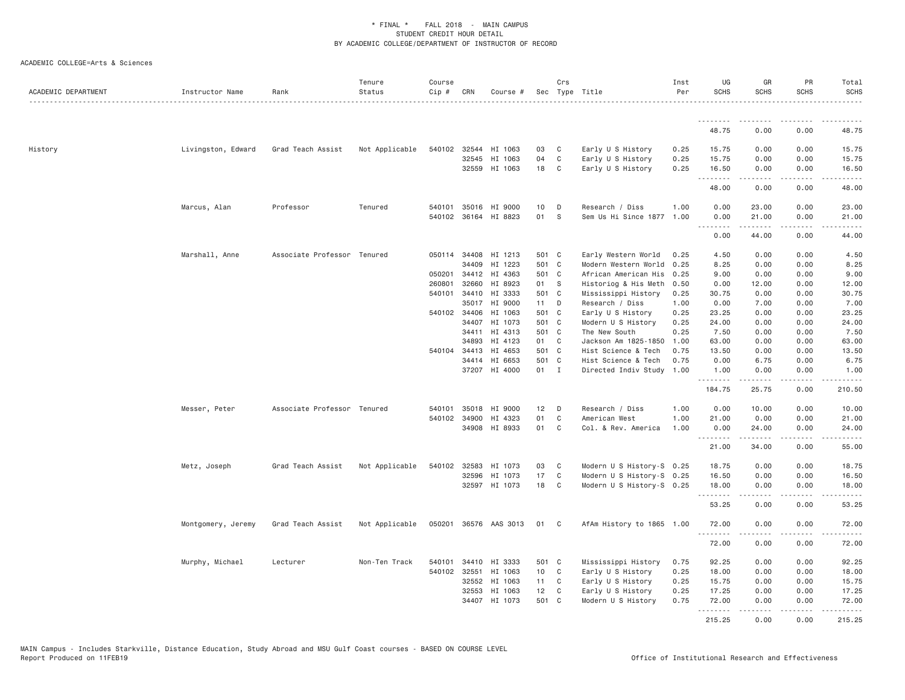| ACADEMIC DEPARTMENT | Instructor Name    | Rank                        | Tenure<br>Status | Course<br>Cip # | CRN          | Course #              |                 | Crs            | Sec Type Title            | Inst<br>Per | UG<br><b>SCHS</b>   | GR<br><b>SCHS</b>                                                                                                                                             | <b>PR</b><br><b>SCHS</b>     | Total<br><b>SCHS</b><br>.                                                                                                          |
|---------------------|--------------------|-----------------------------|------------------|-----------------|--------------|-----------------------|-----------------|----------------|---------------------------|-------------|---------------------|---------------------------------------------------------------------------------------------------------------------------------------------------------------|------------------------------|------------------------------------------------------------------------------------------------------------------------------------|
|                     |                    |                             |                  |                 |              |                       |                 |                |                           |             | .                   | .                                                                                                                                                             |                              |                                                                                                                                    |
|                     |                    |                             |                  |                 |              |                       |                 |                |                           |             | 48.75               | 0.00                                                                                                                                                          | 0.00                         | 48.75                                                                                                                              |
| History             | Livingston, Edward | Grad Teach Assist           | Not Applicable   | 540102 32544    |              | HI 1063               | 03              | C              | Early U S History         | 0.25        | 15.75               | 0.00                                                                                                                                                          | 0.00                         | 15.75                                                                                                                              |
|                     |                    |                             |                  |                 | 32545        | HI 1063               | 04              | C              | Early U S History         | 0.25        | 15.75               | 0.00                                                                                                                                                          | 0.00                         | 15.75                                                                                                                              |
|                     |                    |                             |                  |                 |              | 32559 HI 1063         | 18              | $\mathbf{C}$   | Early U S History         | 0.25        | 16.50<br>.          | 0.00<br>$\frac{1}{2} \left( \frac{1}{2} \right) \left( \frac{1}{2} \right) \left( \frac{1}{2} \right) \left( \frac{1}{2} \right) \left( \frac{1}{2} \right)$  | 0.00<br>.                    | 16.50<br>.                                                                                                                         |
|                     |                    |                             |                  |                 |              |                       |                 |                |                           |             | 48.00               | 0.00                                                                                                                                                          | 0.00                         | 48.00                                                                                                                              |
|                     | Marcus, Alan       | Professor                   | Tenured          |                 | 540101 35016 | HI 9000               | 10              | D              | Research / Diss           | 1,00        | 0.00                | 23.00                                                                                                                                                         | 0.00                         | 23.00                                                                                                                              |
|                     |                    |                             |                  |                 |              | 540102 36164 HI 8823  | 01              | S              | Sem Us Hi Since 1877      | 1.00        | 0.00                | 21.00                                                                                                                                                         | 0.00                         | 21.00                                                                                                                              |
|                     |                    |                             |                  |                 |              |                       |                 |                |                           |             | .<br>0.00           | .<br>44.00                                                                                                                                                    | .<br>0.00                    | .<br>44.00                                                                                                                         |
|                     | Marshall, Anne     | Associate Professor Tenured |                  |                 | 050114 34408 | HI 1213               | 501 C           |                | Early Western World       | 0.25        | 4.50                | 0.00                                                                                                                                                          | 0.00                         | 4.50                                                                                                                               |
|                     |                    |                             |                  |                 | 34409        | HI 1223               | 501 C           |                | Modern Western World      | 0.25        | 8.25                | 0.00                                                                                                                                                          | 0.00                         | 8.25                                                                                                                               |
|                     |                    |                             |                  | 050201          | 34412        | HI 4363               | 501 C           |                | African American His      | 0.25        | 9.00                | 0.00                                                                                                                                                          | 0.00                         | 9.00                                                                                                                               |
|                     |                    |                             |                  | 260801          | 32660        | HI 8923               | 01 S            |                | Historiog & His Meth      | 0.50        | 0.00                | 12.00                                                                                                                                                         | 0.00                         | 12.00                                                                                                                              |
|                     |                    |                             |                  |                 | 540101 34410 | HI 3333               | 501 C           |                | Mississippi History       | 0.25        | 30.75               | 0.00                                                                                                                                                          | 0.00                         | 30.75                                                                                                                              |
|                     |                    |                             |                  |                 | 35017        | HI 9000               | 11              | D              | Research / Diss           | 1.00        | 0.00                | 7.00                                                                                                                                                          | 0.00                         | 7.00                                                                                                                               |
|                     |                    |                             |                  |                 | 540102 34406 | HI 1063               | 501 C           |                | Early U S History         | 0.25        | 23.25               | 0.00                                                                                                                                                          | 0.00                         | 23.25                                                                                                                              |
|                     |                    |                             |                  |                 | 34407        | HI 1073               | 501 C           |                | Modern U S History        | 0.25        | 24.00               | 0.00                                                                                                                                                          | 0.00                         | 24.00                                                                                                                              |
|                     |                    |                             |                  |                 | 34411        | HI 4313               | 501 C           |                | The New South             | 0.25        | 7.50                | 0.00                                                                                                                                                          | 0.00                         | 7.50                                                                                                                               |
|                     |                    |                             |                  |                 | 34893        | HI 4123               | 01 C            |                | Jackson Am 1825-1850      | 1.00        | 63.00               | 0.00                                                                                                                                                          | 0.00                         | 63.00                                                                                                                              |
|                     |                    |                             |                  |                 | 540104 34413 | HI 4653               | 501 C           |                | Hist Science & Tech       | 0.75        | 13.50               | 0.00                                                                                                                                                          | 0.00                         | 13.50                                                                                                                              |
|                     |                    |                             |                  |                 | 34414        | HI 6653               | 501 C           |                | Hist Science & Tech       | 0.75        | 0.00                | 6.75                                                                                                                                                          | 0.00                         | 6.75                                                                                                                               |
|                     |                    |                             |                  |                 |              | 37207 HI 4000         | 01 I            |                | Directed Indiv Study      | 1.00        | 1.00                | 0.00                                                                                                                                                          | 0.00                         | 1.00                                                                                                                               |
|                     |                    |                             |                  |                 |              |                       |                 |                |                           |             | .<br>184.75         | $\frac{1}{2} \left( \frac{1}{2} \right) \left( \frac{1}{2} \right) \left( \frac{1}{2} \right) \left( \frac{1}{2} \right) \left( \frac{1}{2} \right)$<br>25.75 | $\sim$ $\sim$ $\sim$<br>0.00 | .<br>210.50                                                                                                                        |
|                     | Messer, Peter      | Associate Professor Tenured |                  | 540101          | 35018        | HI 9000               | 12              | D              | Research / Diss           | 1.00        | 0.00                | 10.00                                                                                                                                                         | 0.00                         | 10.00                                                                                                                              |
|                     |                    |                             |                  |                 | 540102 34900 | HI 4323               | 01              | C              | American West             | 1.00        | 21.00               | 0.00                                                                                                                                                          | 0.00                         | 21.00                                                                                                                              |
|                     |                    |                             |                  |                 | 34908        | HI 8933               | 01              | C              | Col. & Rev. America       | 1.00        | 0.00                | 24.00                                                                                                                                                         | 0.00                         | 24.00                                                                                                                              |
|                     |                    |                             |                  |                 |              |                       |                 |                |                           |             | . <b>.</b><br>21.00 | .<br>34.00                                                                                                                                                    | $  -$<br>0.00                | $\frac{1}{2} \left( \frac{1}{2} \right) \left( \frac{1}{2} \right) \left( \frac{1}{2} \right) \left( \frac{1}{2} \right)$<br>55.00 |
|                     | Metz, Joseph       | Grad Teach Assist           | Not Applicable   | 540102 32583    |              | HI 1073               | 03              | C              | Modern U S History-S 0.25 |             | 18.75               | 0.00                                                                                                                                                          | 0.00                         | 18.75                                                                                                                              |
|                     |                    |                             |                  |                 | 32596        | HI 1073               | 17              | $\mathsf{C}$   | Modern U S History-S 0.25 |             | 16.50               | 0.00                                                                                                                                                          | 0.00                         | 16.50                                                                                                                              |
|                     |                    |                             |                  |                 |              | 32597 HI 1073         | 18              | C              | Modern U S History-S 0.25 |             | 18.00<br>.          | 0.00<br>.                                                                                                                                                     | 0.00                         | 18.00<br>المستبدا                                                                                                                  |
|                     |                    |                             |                  |                 |              |                       |                 |                |                           |             | 53.25               | 0.00                                                                                                                                                          | 0.00                         | 53.25                                                                                                                              |
|                     | Montgomery, Jeremy | Grad Teach Assist           | Not Applicable   |                 |              | 050201 36576 AAS 3013 | 01              | C <sub>1</sub> | AfAm History to 1865 1.00 |             | 72.00               | 0.00                                                                                                                                                          | 0.00                         | 72.00                                                                                                                              |
|                     |                    |                             |                  |                 |              |                       |                 |                |                           |             | .<br>72.00          | -----<br>0.00                                                                                                                                                 | $\sim$ $\sim$ $\sim$<br>0.00 | .<br>72.00                                                                                                                         |
|                     | Murphy, Michael    | Lecturer                    | Non-Ten Track    | 540101          | 34410        | HI 3333               | 501 C           |                | Mississippi History       | 0.75        | 92.25               | 0.00                                                                                                                                                          | 0.00                         | 92.25                                                                                                                              |
|                     |                    |                             |                  | 540102 32551    |              | HI 1063               | 10 <sub>1</sub> | C              | Early U S History         | 0.25        | 18.00               | 0.00                                                                                                                                                          | 0.00                         | 18.00                                                                                                                              |
|                     |                    |                             |                  |                 | 32552        | HI 1063               | 11              | C              | Early U S History         | 0.25        | 15.75               | 0.00                                                                                                                                                          | 0.00                         | 15.75                                                                                                                              |
|                     |                    |                             |                  |                 | 32553        | HI 1063               | 12              | C              | Early U S History         | 0.25        | 17.25               | 0.00                                                                                                                                                          | 0.00                         | 17.25                                                                                                                              |
|                     |                    |                             |                  |                 | 34407        | HI 1073               | 501 C           |                | Modern U S History        | 0.75        | 72.00               | 0.00                                                                                                                                                          | 0.00                         | 72.00                                                                                                                              |
|                     |                    |                             |                  |                 |              |                       |                 |                |                           |             | .                   | .                                                                                                                                                             | $\sim$ $\sim$ $\sim$ $\sim$  | .                                                                                                                                  |
|                     |                    |                             |                  |                 |              |                       |                 |                |                           |             | 215.25              | 0.00                                                                                                                                                          | 0.00                         | 215.25                                                                                                                             |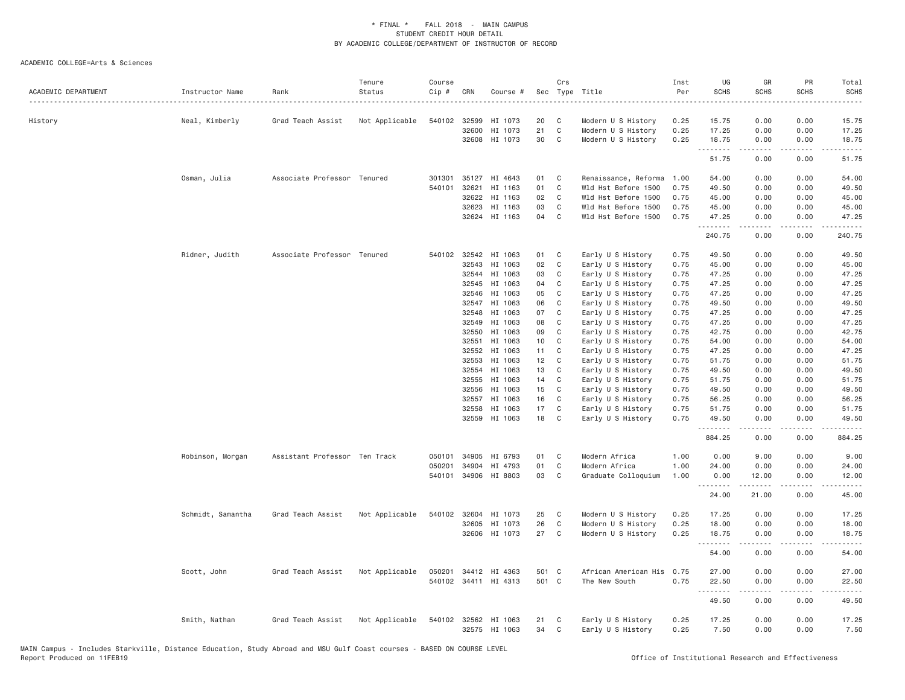| ACADEMIC DEPARTMENT | Instructor Name   | Rank                          | Tenure<br>Status<br>. | Course<br>Cip # | CRN            | Course #             | Sec      | Crs              | Type Title                             | Inst<br>Per  | UG<br><b>SCHS</b> | GR<br><b>SCHS</b> | PR<br><b>SCHS</b><br>$\sim$ $\sim$ $\sim$ $\sim$ $\sim$ | Total<br>SCHS<br>$\sim$ $\sim$ $\sim$ $\sim$ $\sim$ |
|---------------------|-------------------|-------------------------------|-----------------------|-----------------|----------------|----------------------|----------|------------------|----------------------------------------|--------------|-------------------|-------------------|---------------------------------------------------------|-----------------------------------------------------|
| History             | Neal, Kimberly    | Grad Teach Assist             | Not Applicable        | 540102          | 32599          | HI 1073              | 20       | C                | Modern U S History                     | 0.25         | 15.75             | 0.00              | 0.00                                                    | 15.75                                               |
|                     |                   |                               |                       |                 | 32600          | HI 1073              | 21       | C                | Modern U S History                     | 0.25         | 17.25             | 0.00              | 0.00                                                    | 17.25                                               |
|                     |                   |                               |                       |                 |                | 32608 HI 1073        | 30       | C                | Modern U S History                     | 0.25         | 18.75<br>.        | 0.00<br><b>.</b>  | 0.00<br>.                                               | 18.75<br>.                                          |
|                     |                   |                               |                       |                 |                |                      |          |                  |                                        |              | 51.75             | 0.00              | 0.00                                                    | 51.75                                               |
|                     | Osman, Julia      | Associate Professor Tenured   |                       | 301301          |                | 35127 HI 4643        | 01       | C                | Renaissance, Reforma                   | 1.00         | 54.00             | 0.00              | 0.00                                                    | 54.00                                               |
|                     |                   |                               |                       | 540101          | 32621          | HI 1163              | 01       | C                | Wld Hst Before 1500                    | 0.75         | 49.50             | 0.00              | 0.00                                                    | 49.50                                               |
|                     |                   |                               |                       |                 | 32622          | HI 1163              | 02       | $\mathbb C$      | Wld Hst Before 1500                    | 0.75         | 45.00             | 0.00              | 0.00                                                    | 45.00                                               |
|                     |                   |                               |                       |                 | 32623          | HI 1163              | 03       | $\mathbb C$      | Wld Hst Before 1500                    | 0.75<br>0.75 | 45.00             | 0.00              | 0.00<br>0.00                                            | 45.00                                               |
|                     |                   |                               |                       |                 |                | 32624 HI 1163        | 04       | C                | Wld Hst Before 1500                    |              | 47.25<br>.        | 0.00<br>.         | .                                                       | 47.25<br>.                                          |
|                     |                   |                               |                       |                 |                |                      |          |                  |                                        |              | 240.75            | 0.00              | 0.00                                                    | 240.75                                              |
|                     | Ridner, Judith    | Associate Professor Tenured   |                       | 540102          | 32542          | HI 1063              | 01       | C                | Early U S History                      | 0.75         | 49.50             | 0.00              | 0.00                                                    | 49.50                                               |
|                     |                   |                               |                       |                 | 32543          | HI 1063              | 02       | C                | Early U S History                      | 0.75         | 45.00             | 0.00              | 0.00                                                    | 45.00                                               |
|                     |                   |                               |                       |                 | 32544          | HI 1063              | 03       | C                | Early U S History                      | 0.75         | 47.25             | 0.00              | 0.00                                                    | 47.25                                               |
|                     |                   |                               |                       |                 | 32545          | HI 1063              | 04       | C                | Early U S History                      | 0.75         | 47.25             | 0.00              | 0.00                                                    | 47.25                                               |
|                     |                   |                               |                       |                 | 32546          | HI 1063              | 05       | C                | Early U S History                      | 0.75         | 47.25             | 0.00              | 0.00                                                    | 47.25                                               |
|                     |                   |                               |                       |                 | 32547          | HI 1063<br>HI 1063   | 06<br>07 | C<br>$\mathbb C$ | Early U S History                      | 0.75<br>0.75 | 49.50<br>47.25    | 0.00              | 0.00<br>0.00                                            | 49.50                                               |
|                     |                   |                               |                       |                 | 32548<br>32549 |                      | 08       | C                | Early U S History                      |              |                   | 0.00<br>0.00      | 0.00                                                    | 47.25<br>47.25                                      |
|                     |                   |                               |                       |                 | 32550          | HI 1063<br>HI 1063   | 09       | C                | Early U S History<br>Early U S History | 0.75<br>0.75 | 47.25<br>42.75    | 0.00              | 0.00                                                    | 42.75                                               |
|                     |                   |                               |                       |                 | 32551          | HI 1063              | 10       | C                | Early U S History                      | 0.75         | 54.00             | 0.00              | 0.00                                                    | 54.00                                               |
|                     |                   |                               |                       |                 | 32552          | HI 1063              | 11       | C                | Early U S History                      | 0.75         | 47.25             | 0.00              | 0.00                                                    | 47.25                                               |
|                     |                   |                               |                       |                 | 32553          | HI 1063              | 12       | $\mathbf{C}$     | Early U S History                      | 0.75         | 51.75             | 0.00              | 0.00                                                    | 51.75                                               |
|                     |                   |                               |                       |                 | 32554          | HI 1063              | 13       | C                | Early U S History                      | 0.75         | 49.50             | 0.00              | 0.00                                                    | 49.50                                               |
|                     |                   |                               |                       |                 | 32555          | HI 1063              | 14       | C                | Early U S History                      | 0.75         | 51.75             | 0.00              | 0.00                                                    | 51.75                                               |
|                     |                   |                               |                       |                 | 32556          | HI 1063              | 15       | C                | Early U S History                      | 0.75         | 49.50             | 0.00              | 0.00                                                    | 49.50                                               |
|                     |                   |                               |                       |                 | 32557          | HI 1063              | 16       | C                | Early U S History                      | 0.75         | 56.25             | 0.00              | 0.00                                                    | 56.25                                               |
|                     |                   |                               |                       |                 | 32558          | HI 1063              | 17       | C                | Early U S History                      | 0.75         | 51.75             | 0.00              | 0.00                                                    | 51.75                                               |
|                     |                   |                               |                       |                 | 32559          | HI 1063              | 18       | C                | Early U S History                      | 0.75         | 49.50             | 0.00              | 0.00                                                    | 49.50                                               |
|                     |                   |                               |                       |                 |                |                      |          |                  |                                        |              | .<br>884.25       | .<br>0.00         | $\sim$ $\sim$ $\sim$ $\sim$<br>0.00                     | .<br>884.25                                         |
|                     | Robinson, Morgan  | Assistant Professor Ten Track |                       | 050101          | 34905          | HI 6793              | 01       | C                | Modern Africa                          | 1.00         | 0.00              | 9.00              | 0.00                                                    | 9.00                                                |
|                     |                   |                               |                       | 050201          | 34904          | HI 4793              | 01       | $\mathbb C$      | Modern Africa                          | 1.00         | 24.00             | 0.00              | 0.00                                                    | 24.00                                               |
|                     |                   |                               |                       | 540101          |                | 34906 HI 8803        | 03       | $\mathsf{C}$     | Graduate Colloquium                    | 1.00         | 0.00              | 12.00             | 0.00                                                    | 12.00                                               |
|                     |                   |                               |                       |                 |                |                      |          |                  |                                        |              | <u>.</u><br>24.00 | -----<br>21.00    | $- - -$<br>0.00                                         | $- - - - -$<br>45.00                                |
|                     | Schmidt, Samantha | Grad Teach Assist             | Not Applicable        |                 | 540102 32604   | HI 1073              | 25       | C                | Modern U S History                     | 0.25         | 17.25             | 0.00              | 0.00                                                    | 17.25                                               |
|                     |                   |                               |                       |                 | 32605          | HI 1073              | 26       | C                | Modern U S History                     | 0.25         | 18.00             | 0.00              | 0.00                                                    | 18.00                                               |
|                     |                   |                               |                       |                 |                | 32606 HI 1073        | 27       | $\mathbf{C}$     | Modern U S History                     | 0.25         | 18.75<br>.        | 0.00<br>-----     | 0.00<br>.                                               | 18.75<br>.                                          |
|                     |                   |                               |                       |                 |                |                      |          |                  |                                        |              | 54.00             | 0.00              | 0.00                                                    | 54.00                                               |
|                     | Scott, John       | Grad Teach Assist             | Not Applicable        | 050201          |                | 34412 HI 4363        | 501 C    |                  | African American His                   | 0.75         | 27.00             | 0.00              | 0.00                                                    | 27.00                                               |
|                     |                   |                               |                       |                 |                | 540102 34411 HI 4313 | 501 C    |                  | The New South                          | 0.75         | 22.50             | 0.00              | 0.00                                                    | 22.50                                               |
|                     |                   |                               |                       |                 |                |                      |          |                  |                                        |              | .<br>49.50        | 0.00              | $\sim$ $\sim$ $\sim$ $\sim$<br>0.00                     | د د د د د<br>49.50                                  |
|                     |                   |                               |                       |                 |                |                      |          |                  |                                        |              |                   |                   |                                                         |                                                     |
|                     | Smith, Nathan     | Grad Teach Assist             | Not Applicable        |                 |                | 540102 32562 HI 1063 | 21       | C                | Early U S History                      | 0.25         | 17.25             | 0.00              | 0.00                                                    | 17.25                                               |
|                     |                   |                               |                       |                 |                | 32575 HI 1063        | 34       | C                | Early U S History                      | 0.25         | 7.50              | 0.00              | 0.00                                                    | 7.50                                                |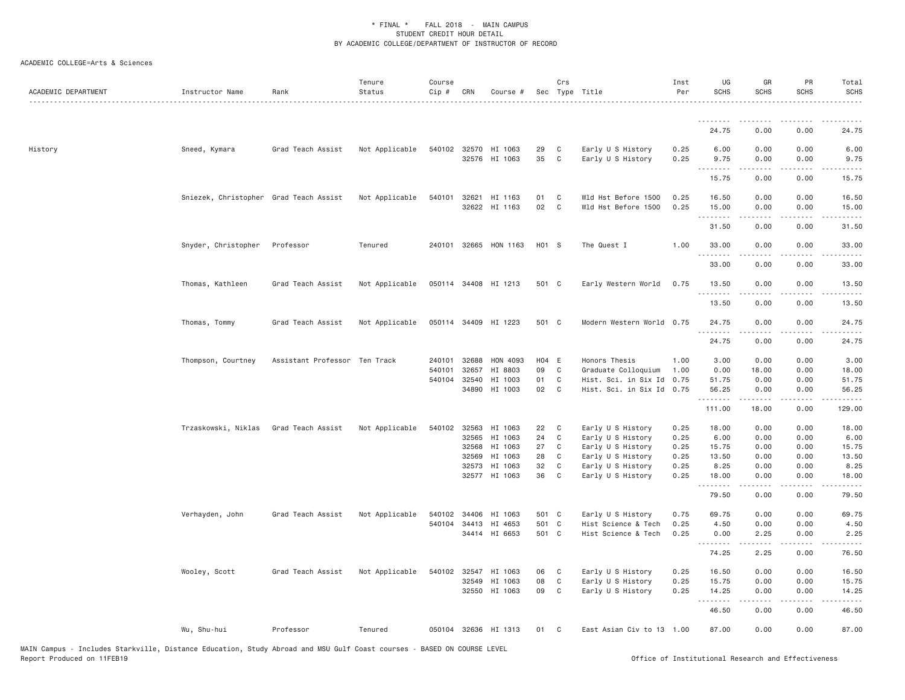| ACADEMIC DEPARTMENT | Instructor Name                        | Rank                          | Tenure<br>Status | Course<br>Cip # | CRN            | Course #                              |          | Crs               | Sec Type Title                             | Inst<br>Per  | UG<br><b>SCHS</b>        | GR<br><b>SCHS</b>        | PR<br>SCHS                           | Total<br><b>SCHS</b>            |
|---------------------|----------------------------------------|-------------------------------|------------------|-----------------|----------------|---------------------------------------|----------|-------------------|--------------------------------------------|--------------|--------------------------|--------------------------|--------------------------------------|---------------------------------|
|                     |                                        |                               |                  |                 |                |                                       |          |                   |                                            |              | .                        |                          |                                      |                                 |
|                     |                                        |                               |                  |                 |                |                                       |          |                   |                                            |              | 24.75                    | 0.00                     | 0.00                                 | 24.75                           |
| History             | Sneed, Kymara                          | Grad Teach Assist             | Not Applicable   |                 |                | 540102 32570 HI 1063<br>32576 HI 1063 | 29<br>35 | C<br>$\mathsf{C}$ | Early U S History<br>Early U S History     | 0.25<br>0.25 | 6.00<br>9.75<br><u>.</u> | 0.00<br>0.00<br><u>.</u> | 0.00<br>0.00<br>$\cdots$             | 6.00<br>9.75<br>.               |
|                     |                                        |                               |                  |                 |                |                                       |          |                   |                                            |              | 15.75                    | 0.00                     | 0.00                                 | 15.75                           |
|                     | Sniezek, Christopher Grad Teach Assist |                               | Not Applicable   | 540101          | 32621<br>32622 | HI 1163<br>HI 1163                    | 01<br>02 | C<br>C            | Wld Hst Before 1500<br>Wld Hst Before 1500 | 0.25<br>0.25 | 16.50<br>15.00<br>.      | 0.00<br>0.00<br>.        | 0.00<br>0.00<br>$\sim$ $\sim$ $\sim$ | 16.50<br>15.00<br>المتمامين     |
|                     |                                        |                               |                  |                 |                |                                       |          |                   |                                            |              | 31.50                    | 0.00                     | 0.00                                 | 31.50                           |
|                     | Snyder, Christopher                    | Professor                     | Tenured          | 240101 32665    |                | HON 1163                              | H01 S    |                   | The Quest I                                | 1.00         | 33.00<br>.               | 0.00<br>.                | 0.00<br>$\frac{1}{2}$                | 33.00<br>.                      |
|                     |                                        |                               |                  |                 |                |                                       |          |                   |                                            |              | 33.00                    | 0.00                     | 0.00                                 | 33.00                           |
|                     | Thomas, Kathleen                       | Grad Teach Assist             | Not Applicable   | 050114 34408    |                | HI 1213                               | 501 C    |                   | Early Western World                        | 0.75         | 13.50<br>.<br>13.50      | 0.00<br>0.00             | 0.00<br>- - - -<br>0.00              | 13.50<br>$\frac{1}{2}$<br>13.50 |
|                     | Thomas, Tommy                          | Grad Teach Assist             | Not Applicable   |                 |                | 050114 34409 HI 1223                  | 501 C    |                   | Modern Western World                       | 0.75         | 24.75                    | 0.00                     | 0.00                                 | 24.75                           |
|                     |                                        |                               |                  |                 |                |                                       |          |                   |                                            |              | .<br>24.75               | 0.00                     | 0.00                                 | 24.75                           |
|                     | Thompson, Courtney                     | Assistant Professor Ten Track |                  | 240101          | 32688          | HON 4093                              | H04 E    |                   | Honors Thesis                              | 1.00         | 3.00                     | 0.00                     | 0.00                                 | 3.00                            |
|                     |                                        |                               |                  | 540101          | 32657          | HI 8803                               | 09       | C                 | Graduate Colloquium                        | 1.00         | 0.00                     | 18.00                    | 0.00                                 | 18.00                           |
|                     |                                        |                               |                  | 540104 32540    |                | HI 1003                               | 01       | C                 | Hist. Sci. in Six Id                       | 0.75         | 51.75                    | 0.00                     | 0.00                                 | 51.75                           |
|                     |                                        |                               |                  |                 | 34890          | HI 1003                               | 02       | C                 | Hist. Sci. in Six Id                       | 0.75         | 56.25<br>.               | 0.00<br>$- - - - -$      | 0.00<br>$\frac{1}{2}$                | 56.25<br>.                      |
|                     |                                        |                               |                  |                 |                |                                       |          |                   |                                            |              | 111.00                   | 18.00                    | 0.00                                 | 129.00                          |
|                     | Trzaskowski, Niklas                    | Grad Teach Assist             | Not Applicable   | 540102          | 32563          | HI 1063                               | 22       | C                 | Early U S History                          | 0.25         | 18.00                    | 0.00                     | 0.00                                 | 18.00                           |
|                     |                                        |                               |                  |                 | 32565          | HI 1063                               | 24       | C                 | Early U S History                          | 0.25         | 6.00                     | 0.00                     | 0.00                                 | 6.00                            |
|                     |                                        |                               |                  |                 | 32568          | HI 1063                               | 27       | C                 | Early U S History                          | 0.25         | 15.75                    | 0.00                     | 0.00                                 | 15.75                           |
|                     |                                        |                               |                  |                 | 32569          | HI 1063                               | 28       | C                 | Early U S History                          | 0.25         | 13.50                    | 0.00                     | 0.00                                 | 13.50                           |
|                     |                                        |                               |                  |                 | 32573          | HI 1063                               | 32       | C                 | Early U S History                          | 0.25         | 8.25                     | 0.00                     | 0.00                                 | 8.25                            |
|                     |                                        |                               |                  |                 |                | 32577 HI 1063                         | 36       | C                 | Early U S History                          | 0.25         | 18.00<br>.               | 0.00<br>-----            | 0.00<br>$\sim$ $\sim$ $\sim$ $\sim$  | 18.00<br>.                      |
|                     |                                        |                               |                  |                 |                |                                       |          |                   |                                            |              | 79.50                    | 0.00                     | 0.00                                 | 79.50                           |
|                     | Verhayden, John                        | Grad Teach Assist             | Not Applicable   | 540102          | 34406          | HI 1063                               | 501 C    |                   | Early U S History                          | 0.75         | 69.75                    | 0.00                     | 0.00                                 | 69.75                           |
|                     |                                        |                               |                  | 540104 34413    |                | HI 4653                               | 501 C    |                   | Hist Science & Tech                        | 0.25         | 4.50                     | 0.00                     | 0.00                                 | 4.50                            |
|                     |                                        |                               |                  |                 |                | 34414 HI 6653                         | 501 C    |                   | Hist Science & Tech                        | 0.25         | 0.00<br>.                | 2.25                     | 0.00<br>$  -$                        | 2.25                            |
|                     |                                        |                               |                  |                 |                |                                       |          |                   |                                            |              | 74.25                    | 2.25                     | 0.00                                 | 76.50                           |
|                     | Wooley, Scott                          | Grad Teach Assist             | Not Applicable   | 540102          | 32547          | HI 1063                               | 06       | C                 | Early U S History                          | 0.25         | 16.50                    | 0.00                     | 0.00                                 | 16.50                           |
|                     |                                        |                               |                  |                 | 32549          | HI 1063                               | 08       | C                 | Early U S History                          | 0.25         | 15.75                    | 0.00                     | 0.00                                 | 15.75                           |
|                     |                                        |                               |                  |                 |                | 32550 HI 1063                         | 09       | C                 | Early U S History                          | 0.25         | 14.25<br><u>.</u>        | 0.00<br>$- - - - -$      | 0.00<br>.                            | 14.25<br>.                      |
|                     |                                        |                               |                  |                 |                |                                       |          |                   |                                            |              | 46.50                    | 0.00                     | 0.00                                 | 46.50                           |
|                     | Wu, Shu-hui                            | Professor                     | Tenured          |                 |                | 050104 32636 HI 1313                  | 01       | C                 | East Asian Civ to 13 1.00                  |              | 87.00                    | 0.00                     | 0.00                                 | 87.00                           |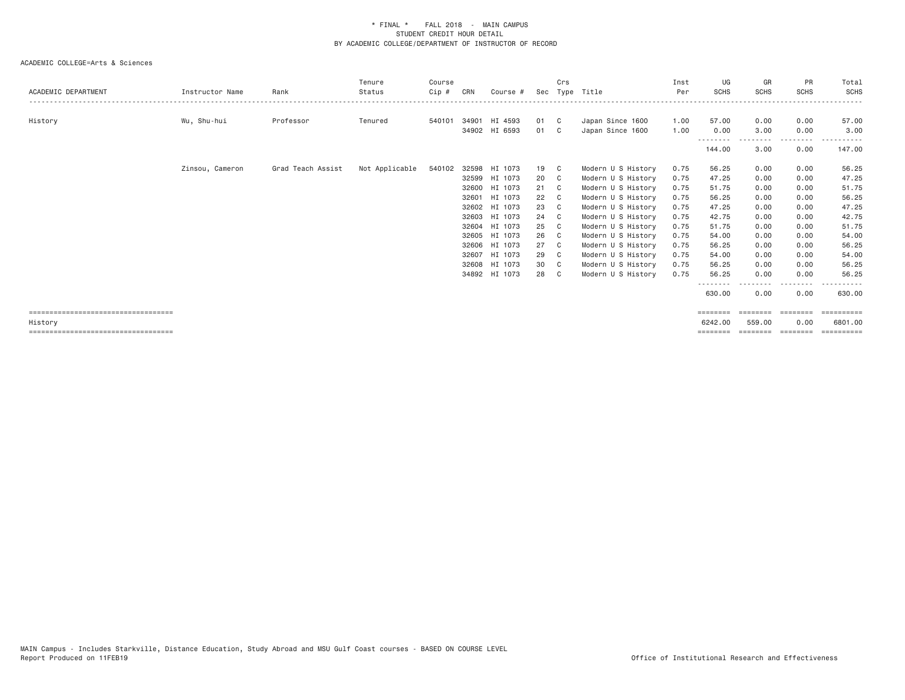| ACADEMIC DEPARTMENT                              | Instructor Name | Rank              | Tenure<br>Status | Course<br>Cip # | CRN   | Course #      | Sec | Crs          | Type Title         | Inst<br>Per | UG<br><b>SCHS</b>      | GR<br>SCHS         | PR<br><b>SCHS</b> | Total<br><b>SCHS</b>             |
|--------------------------------------------------|-----------------|-------------------|------------------|-----------------|-------|---------------|-----|--------------|--------------------|-------------|------------------------|--------------------|-------------------|----------------------------------|
|                                                  |                 |                   |                  |                 |       |               |     |              |                    |             |                        |                    |                   |                                  |
| History                                          | Wu, Shu-hui     | Professor         | Tenured          | 540101          | 34901 | HI 4593       | 01  | $\mathbf{C}$ | Japan Since 1600   | 1.00        | 57.00                  | 0.00               | 0.00              | 57.00                            |
|                                                  |                 |                   |                  |                 |       | 34902 HI 6593 | 01  | C C          | Japan Since 1600   | 1.00        | 0.00                   | 3.00               | 0.00              | 3.00                             |
|                                                  |                 |                   |                  |                 |       |               |     |              |                    |             | --------               |                    | --------          |                                  |
|                                                  |                 |                   |                  |                 |       |               |     |              |                    |             | 144.00                 | 3.00               | 0.00              | 147.00                           |
|                                                  | Zinsou, Cameron | Grad Teach Assist | Not Applicable   | 540102          |       | 32598 HI 1073 | 19  | C C          | Modern U S History | 0.75        | 56.25                  | 0.00               | 0.00              | 56.25                            |
|                                                  |                 |                   |                  |                 |       | 32599 HI 1073 | 20  | C.           | Modern U S History | 0.75        | 47.25                  | 0.00               | 0.00              | 47.25                            |
|                                                  |                 |                   |                  |                 |       | 32600 HI 1073 | 21  |              | Modern U S History | 0.75        | 51.75                  | 0.00               | 0.00              | 51.75                            |
|                                                  |                 |                   |                  |                 | 32601 | HI 1073       | 22  |              | Modern U S History | 0.75        | 56.25                  | 0.00               | 0.00              | 56.25                            |
|                                                  |                 |                   |                  |                 |       | 32602 HI 1073 | 23  | C.           | Modern U S History | 0.75        | 47.25                  | 0.00               | 0.00              | 47.25                            |
|                                                  |                 |                   |                  |                 |       | 32603 HI 1073 | 24  | C.           | Modern U S History | 0.75        | 42.75                  | 0.00               | 0.00              | 42.75                            |
|                                                  |                 |                   |                  |                 |       | 32604 HI 1073 | 25  | - C          | Modern U S History | 0.75        | 51.75                  | 0.00               | 0.00              | 51.75                            |
|                                                  |                 |                   |                  |                 |       | 32605 HI 1073 | 26  |              | Modern U S History | 0.75        | 54.00                  | 0.00               | 0.00              | 54.00                            |
|                                                  |                 |                   |                  |                 |       | 32606 HI 1073 | 27  | $\mathbf{C}$ | Modern U S History | 0.75        | 56.25                  | 0.00               | 0.00              | 56.25                            |
|                                                  |                 |                   |                  |                 | 32607 | HI 1073       | 29  | - C          | Modern U S History | 0.75        | 54.00                  | 0.00               | 0.00              | 54.00                            |
|                                                  |                 |                   |                  |                 |       | 32608 HI 1073 | 30  | C C          | Modern U S History | 0.75        | 56.25                  | 0.00               | 0.00              | 56.25                            |
|                                                  |                 |                   |                  |                 |       | 34892 HI 1073 | 28  |              | Modern U S History | 0.75        | 56.25                  | 0.00               | 0.00              | 56.25                            |
|                                                  |                 |                   |                  |                 |       |               |     |              |                    |             | 630.00                 | 0.00               | --------<br>0.00  | ------<br>630.00                 |
| =====================================            |                 |                   |                  |                 |       |               |     |              |                    |             | $=$ =======            | ========           | ========          |                                  |
| History<br>===================================== |                 |                   |                  |                 |       |               |     |              |                    |             | 6242.00<br>$=$ ======= | 559,00<br>======== | 0.00<br>========  | 6801,00<br>$=$ = = = = = = = = = |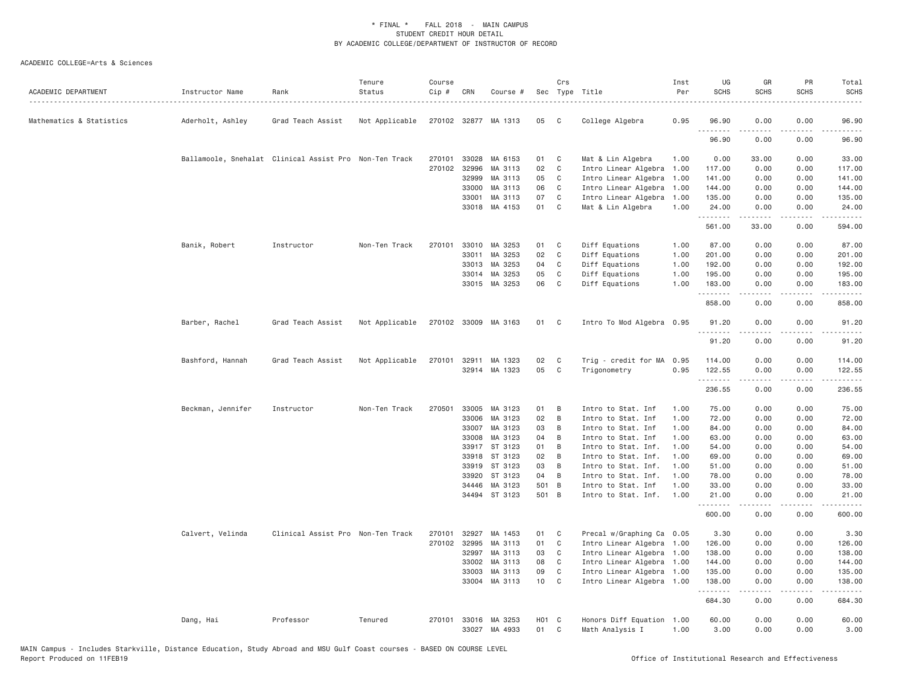| ACADEMIC DEPARTMENT      | Instructor Name   | Rank                                                   | Tenure<br>Status | Course<br>Cip # | CRN            | Course #                 |                | Crs          | Sec Type Title                               | Inst<br>Per  | UG<br><b>SCHS</b> | GR<br><b>SCHS</b> | PR<br><b>SCHS</b>            | Total<br><b>SCHS</b>                         |
|--------------------------|-------------------|--------------------------------------------------------|------------------|-----------------|----------------|--------------------------|----------------|--------------|----------------------------------------------|--------------|-------------------|-------------------|------------------------------|----------------------------------------------|
| Mathematics & Statistics | Aderholt, Ashley  | Grad Teach Assist                                      | Not Applicable   |                 |                | 270102 32877 MA 1313     | 05             | C.           | College Algebra                              | 0.95         | 96.90<br>.        | 0.00              | 0.00                         | 96.90                                        |
|                          |                   |                                                        |                  |                 |                |                          |                |              |                                              |              | 96.90             | 0.00              | 0.00                         | 96.90                                        |
|                          |                   | Ballamoole, Snehalat Clinical Assist Pro Non-Ten Track |                  | 270101          | 33028          | MA 6153                  | 01             | C            | Mat & Lin Algebra                            | 1.00         | 0.00              | 33.00             | 0.00                         | 33.00                                        |
|                          |                   |                                                        |                  | 270102          | 32996          | MA 3113                  | 02             | C            | Intro Linear Algebra                         | 1.00         | 117.00            | 0.00              | 0.00                         | 117.00                                       |
|                          |                   |                                                        |                  |                 | 32999          | MA 3113                  | 05             | C            | Intro Linear Algebra                         | 1,00         | 141.00            | 0.00              | 0.00                         | 141.00                                       |
|                          |                   |                                                        |                  |                 | 33000          | MA 3113                  | 06             | C            | Intro Linear Algebra                         | 1.00         | 144.00            | 0.00              | 0.00                         | 144.00                                       |
|                          |                   |                                                        |                  |                 | 33001          | MA 3113                  | 07             | C            | Intro Linear Algebra                         | 1.00         | 135.00            | 0.00              | 0.00                         | 135.00                                       |
|                          |                   |                                                        |                  |                 |                | 33018 MA 4153            | 01             | C            | Mat & Lin Algebra                            | 1.00         | 24.00<br>.        | 0.00<br>.         | 0.00<br>.                    | 24.00<br>$- - - - - -$                       |
|                          |                   |                                                        |                  |                 |                |                          |                |              |                                              |              | 561.00            | 33.00             | 0.00                         | 594.00                                       |
|                          | Banik, Robert     | Instructor                                             | Non-Ten Track    | 270101          | 33010          | MA 3253                  | 01             | C            | Diff Equations                               | 1.00         | 87.00             | 0.00              | 0.00                         | 87.00                                        |
|                          |                   |                                                        |                  |                 | 33011          | MA 3253                  | 02             | C            | Diff Equations                               | 1.00         | 201.00            | 0.00              | 0.00                         | 201.00                                       |
|                          |                   |                                                        |                  |                 | 33013          | MA 3253                  | 04             | C            | Diff Equations                               | 1.00         | 192.00            | 0.00              | 0.00                         | 192.00                                       |
|                          |                   |                                                        |                  |                 | 33014          | MA 3253                  | 05             | $\mathsf{C}$ | Diff Equations                               | 1.00         | 195.00            | 0.00              | 0.00                         | 195.00                                       |
|                          |                   |                                                        |                  |                 | 33015          | MA 3253                  | 06             | C            | Diff Equations                               | 1.00         | 183.00<br>.       | 0.00              | 0.00                         | 183.00                                       |
|                          |                   |                                                        |                  |                 |                |                          |                |              |                                              |              | 858.00            | 0.00              | 0.00                         | 858.00                                       |
|                          | Barber, Rachel    | Grad Teach Assist                                      | Not Applicable   |                 |                | 270102 33009 MA 3163     | 01             | $\mathbf{C}$ | Intro To Mod Algebra 0.95                    |              | 91.20<br>.        | 0.00              | 0.00                         | 91.20                                        |
|                          |                   |                                                        |                  |                 |                |                          |                |              |                                              |              | 91.20             | 0.00              | 0.00                         | 91.20                                        |
|                          | Bashford, Hannah  | Grad Teach Assist                                      | Not Applicable   |                 | 270101 32911   | MA 1323                  | 02             | C            | Trig - credit for MA                         | 0.95         | 114.00            | 0.00              | 0.00                         | 114.00                                       |
|                          |                   |                                                        |                  |                 |                | 32914 MA 1323            | 05             | C            | Trigonometry                                 | 0.95         | 122.55<br>.       | 0.00<br>-----     | 0.00<br>$\sim$ $\sim$ $\sim$ | 122.55<br>$\sim$ $\sim$ $\sim$ $\sim$ $\sim$ |
|                          |                   |                                                        |                  |                 |                |                          |                |              |                                              |              | 236.55            | 0.00              | 0.00                         | 236.55                                       |
|                          | Beckman, Jennifer | Instructor                                             | Non-Ten Track    | 270501          | 33005          | MA 3123                  | 01             | B            | Intro to Stat. Inf                           | 1.00         | 75.00             | 0.00              | 0.00                         | 75.00                                        |
|                          |                   |                                                        |                  |                 | 33006          | MA 3123                  | 02             | B            | Intro to Stat. Inf                           | 1.00         | 72.00             | 0.00              | 0.00                         | 72.00                                        |
|                          |                   |                                                        |                  |                 | 33007          | MA 3123                  | 03             | B            | Intro to Stat. Inf                           | 1.00         | 84.00             | 0.00              | 0.00                         | 84.00                                        |
|                          |                   |                                                        |                  |                 | 33008          | MA 3123                  | 04             | B            | Intro to Stat. Inf                           | 1.00         | 63.00             | 0.00              | 0.00                         | 63.00                                        |
|                          |                   |                                                        |                  |                 | 33917          | ST 3123                  | 01             | B            | Intro to Stat. Inf.                          | 1.00         | 54.00             | 0.00              | 0.00                         | 54.00                                        |
|                          |                   |                                                        |                  |                 | 33918          | ST 3123                  | 02             | B            | Intro to Stat. Inf.                          | 1.00         | 69.00             | 0.00              | 0.00                         | 69.00                                        |
|                          |                   |                                                        |                  |                 | 33919          | ST 3123                  | 03             | B            | Intro to Stat. Inf.                          | 1.00         | 51.00             | 0.00              | 0.00                         | 51.00                                        |
|                          |                   |                                                        |                  |                 | 33920          | ST 3123                  | 04             | B            | Intro to Stat. Inf.                          | 1.00         | 78.00             | 0.00              | 0.00                         | 78.00                                        |
|                          |                   |                                                        |                  |                 | 34446          | MA 3123<br>34494 ST 3123 | 501 B<br>501 B |              | Intro to Stat. Inf<br>Intro to Stat. Inf.    | 1.00<br>1.00 | 33.00<br>21.00    | 0.00<br>0.00      | 0.00<br>0.00                 | 33.00<br>21.00                               |
|                          |                   |                                                        |                  |                 |                |                          |                |              |                                              |              | .<br>600.00       | 0.00              | 0.00                         | -----<br>600.00                              |
|                          |                   |                                                        |                  |                 |                |                          |                |              |                                              |              |                   |                   |                              |                                              |
|                          | Calvert, Velinda  | Clinical Assist Pro Non-Ten Track                      |                  | 270101          | 32927          | MA 1453                  | 01             | C            | Precal w/Graphing Ca 0.05                    |              | 3.30              | 0.00              | 0.00                         | 3.30                                         |
|                          |                   |                                                        |                  |                 | 270102 32995   | MA 3113                  | 01             | C            | Intro Linear Algebra                         | 1.00         | 126.00            | 0.00              | 0.00                         | 126.00                                       |
|                          |                   |                                                        |                  |                 | 32997<br>33002 | MA 3113<br>MA 3113       | 03<br>08       | C<br>C       | Intro Linear Algebra                         | 1.00<br>1.00 | 138.00<br>144.00  | 0.00              | 0.00<br>0.00                 | 138.00                                       |
|                          |                   |                                                        |                  |                 | 33003          | MA 3113                  | 09             | C            | Intro Linear Algebra<br>Intro Linear Algebra |              | 135.00            | 0.00<br>0.00      | 0.00                         | 144.00                                       |
|                          |                   |                                                        |                  |                 | 33004          | MA 3113                  | 10             | C            | Intro Linear Algebra                         | 1.00<br>1.00 | 138.00            | 0.00              | 0.00                         | 135.00<br>138.00                             |
|                          |                   |                                                        |                  |                 |                |                          |                |              |                                              |              | .<br>684.30       | .<br>0.00         | .<br>0.00                    | .<br>684.30                                  |
|                          | Dang, Hai         | Professor                                              | Tenured          | 270101          |                | 33016 MA 3253            | H01 C          |              | Honors Diff Equation 1.00                    |              | 60.00             | 0.00              | 0.00                         | 60.00                                        |
|                          |                   |                                                        |                  |                 |                | 33027 MA 4933            | 01             | C            | Math Analysis I                              | 1.00         | 3,00              | 0.00              | 0.00                         | 3.00                                         |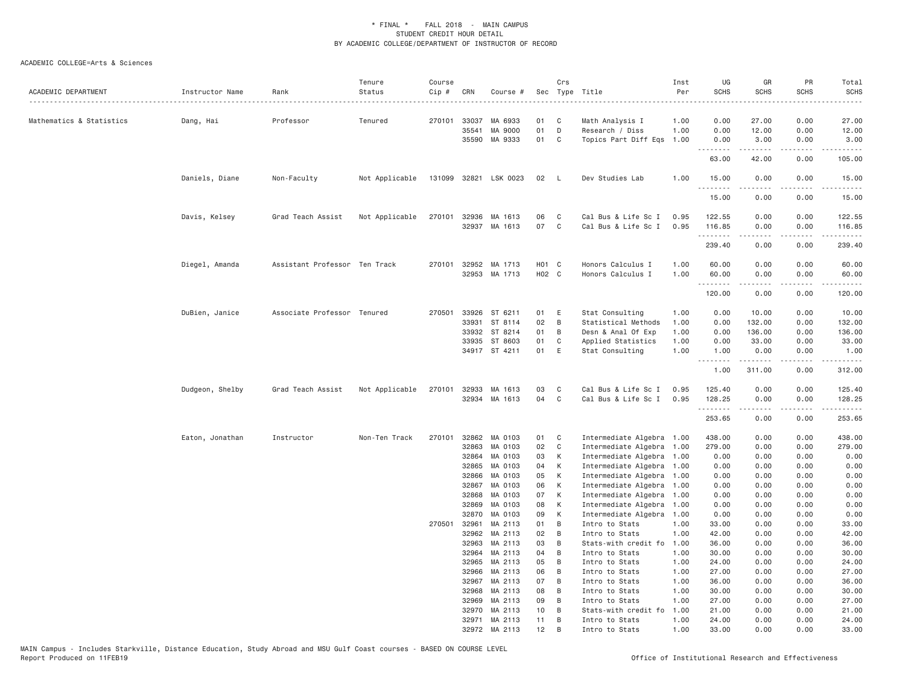| ACADEMIC DEPARTMENT      | Instructor Name | Rank                          | Tenure<br>Status | Course<br>Cip # | CRN                     | Course #                      |                            | Crs         | Sec Type Title                                             | Inst<br>Per          | UG<br><b>SCHS</b>     | GR<br><b>SCHS</b>                      | PR<br><b>SCHS</b>            | Total<br><b>SCHS</b><br>$- - - -$                                                                                                                                        |
|--------------------------|-----------------|-------------------------------|------------------|-----------------|-------------------------|-------------------------------|----------------------------|-------------|------------------------------------------------------------|----------------------|-----------------------|----------------------------------------|------------------------------|--------------------------------------------------------------------------------------------------------------------------------------------------------------------------|
| Mathematics & Statistics | Dang, Hai       | Professor                     | Tenured          | 270101          | 33037<br>35541<br>35590 | MA 6933<br>MA 9000<br>MA 9333 | 01<br>01<br>01             | C<br>D<br>C | Math Analysis I<br>Research / Diss<br>Topics Part Diff Eqs | 1.00<br>1.00<br>1.00 | 0.00<br>0.00<br>0.00  | 27.00<br>12.00<br>3.00                 | 0.00<br>0.00<br>0.00         | 27.00<br>12.00<br>3.00                                                                                                                                                   |
|                          |                 |                               |                  |                 |                         |                               |                            |             |                                                            |                      | <u>.</u><br>63.00     | .<br>42.00                             | .<br>0.00                    | .<br>105.00                                                                                                                                                              |
|                          | Daniels, Diane  | Non-Faculty                   | Not Applicable   | 131099          | 32821                   | LSK 0023                      | 02                         | L.          | Dev Studies Lab                                            | 1.00                 | 15.00<br>.            | 0.00<br>.                              | 0.00<br>$\sim$ $\sim$ $\sim$ | 15.00<br>.                                                                                                                                                               |
|                          |                 |                               |                  |                 |                         |                               |                            |             |                                                            |                      | 15.00                 | 0.00                                   | 0.00                         | 15.00                                                                                                                                                                    |
|                          | Davis, Kelsey   | Grad Teach Assist             | Not Applicable   | 270101          | 32936                   | MA 1613<br>32937 MA 1613      | 06<br>07                   | C<br>C      | Cal Bus & Life Sc I<br>Cal Bus & Life Sc I                 | 0.95<br>0.95         | 122.55<br>116.85<br>. | 0.00<br>0.00<br>.                      | 0.00<br>0.00<br>.            | 122.55<br>116.85<br>.                                                                                                                                                    |
|                          |                 |                               |                  |                 |                         |                               |                            |             |                                                            |                      | 239.40                | 0.00                                   | 0.00                         | 239.40                                                                                                                                                                   |
|                          | Diegel, Amanda  | Assistant Professor Ten Track |                  | 270101          | 32952                   | MA 1713<br>32953 MA 1713      | H <sub>01</sub> C<br>H02 C |             | Honors Calculus I<br>Honors Calculus I                     | 1.00<br>1.00         | 60.00<br>60.00<br>.   | 0.00<br>0.00<br><b><i><u>.</u></i></b> | 0.00<br>0.00<br>.            | 60.00<br>60.00<br>.                                                                                                                                                      |
|                          |                 |                               |                  |                 |                         |                               |                            |             |                                                            |                      | 120.00                | 0.00                                   | 0.00                         | 120.00                                                                                                                                                                   |
|                          | DuBien, Janice  | Associate Professor Tenured   |                  | 270501          | 33926<br>33931          | ST 6211<br>ST 8114            | 01<br>02                   | Ε<br>B      | Stat Consulting<br>Statistical Methods                     | 1.00<br>1.00         | 0.00<br>0.00          | 10.00<br>132.00                        | 0.00<br>0.00                 | 10.00<br>132.00                                                                                                                                                          |
|                          |                 |                               |                  |                 | 33932<br>33935          | ST 8214<br>ST 8603            | 01<br>01                   | B<br>C      | Desn & Anal Of Exp<br>Applied Statistics                   | 1.00<br>1.00         | 0.00<br>0.00          | 136.00<br>33.00                        | 0.00<br>0.00                 | 136.00<br>33.00                                                                                                                                                          |
|                          |                 |                               |                  |                 |                         | 34917 ST 4211                 | 01                         | Ε           | Stat Consulting                                            | 1.00                 | 1.00<br>.             | 0.00<br>.                              | 0.00<br>.                    | 1.00<br>$\begin{array}{cccccccccc} \bullet & \bullet & \bullet & \bullet & \bullet & \bullet & \bullet \end{array}$                                                      |
|                          |                 |                               |                  |                 |                         |                               |                            |             |                                                            |                      | 1.00                  | 311.00                                 | 0.00                         | 312.00                                                                                                                                                                   |
|                          | Dudgeon, Shelby | Grad Teach Assist             | Not Applicable   | 270101          | 32933                   | MA 1613<br>32934 MA 1613      | 03<br>04                   | C<br>C      | Cal Bus & Life Sc I<br>Cal Bus & Life Sc I                 | 0.95<br>0.95         | 125.40<br>128.25<br>. | 0.00<br>0.00<br>.                      | 0.00<br>0.00<br>.            | 125.40<br>128.25<br>$\frac{1}{2} \left( \frac{1}{2} \right) \left( \frac{1}{2} \right) \left( \frac{1}{2} \right) \left( \frac{1}{2} \right) \left( \frac{1}{2} \right)$ |
|                          |                 |                               |                  |                 |                         |                               |                            |             |                                                            |                      | 253.65                | 0.00                                   | 0.00                         | 253.65                                                                                                                                                                   |
|                          | Eaton, Jonathan | Instructor                    | Non-Ten Track    | 270101          | 32862<br>32863          | MA 0103<br>MA 0103            | 01<br>02                   | C<br>C      | Intermediate Algebra 1.00<br>Intermediate Algebra          | 1.00                 | 438.00<br>279.00      | 0.00<br>0.00                           | 0.00<br>0.00                 | 438.00<br>279.00                                                                                                                                                         |
|                          |                 |                               |                  |                 | 32864<br>32865          | MA 0103<br>MA 0103            | 03<br>04                   | К<br>К      | Intermediate Algebra<br>Intermediate Algebra               | 1.00<br>1.00         | 0.00<br>0.00          | 0.00<br>0.00                           | 0.00<br>0.00                 | 0.00<br>0.00                                                                                                                                                             |
|                          |                 |                               |                  |                 | 32866                   | MA 0103                       | 05                         | К           | Intermediate Algebra                                       | 1.00                 | 0.00                  | 0.00                                   | 0.00                         | 0.00                                                                                                                                                                     |
|                          |                 |                               |                  |                 | 32867                   | MA 0103                       | 06                         | К           | Intermediate Algebra                                       | 1.00                 | 0.00                  | 0.00                                   | 0.00                         | 0.00                                                                                                                                                                     |
|                          |                 |                               |                  |                 | 32868<br>32869          | MA 0103<br>MA 0103            | 07<br>08                   | К<br>К      | Intermediate Algebra<br>Intermediate Algebra               | 1.00<br>1.00         | 0.00<br>0.00          | 0.00<br>0.00                           | 0.00<br>0.00                 | 0.00<br>0.00                                                                                                                                                             |
|                          |                 |                               |                  |                 | 32870                   | MA 0103                       | 09                         | К           | Intermediate Algebra                                       | 1.00                 | 0.00                  | 0.00                                   | 0.00                         | 0.00                                                                                                                                                                     |
|                          |                 |                               |                  | 270501          | 32961                   | MA 2113                       | 01                         | B           | Intro to Stats                                             | 1.00                 | 33.00                 | 0.00                                   | 0.00                         | 33.00                                                                                                                                                                    |
|                          |                 |                               |                  |                 | 32962                   | MA 2113                       | 02                         | B           | Intro to Stats                                             | 1.00                 | 42.00                 | 0.00                                   | 0.00                         | 42.00                                                                                                                                                                    |
|                          |                 |                               |                  |                 | 32963                   | MA 2113                       | 03                         | B           | Stats-with credit fo                                       | 1.00                 | 36.00                 | 0.00                                   | 0.00                         | 36.00                                                                                                                                                                    |
|                          |                 |                               |                  |                 | 32964                   | MA 2113                       | 04                         | B           | Intro to Stats                                             | 1.00                 | 30.00                 | 0.00                                   | 0.00                         | 30.00                                                                                                                                                                    |
|                          |                 |                               |                  |                 | 32965                   | MA 2113                       | 05                         | B           | Intro to Stats                                             | 1.00                 | 24.00                 | 0.00                                   | 0.00                         | 24.00                                                                                                                                                                    |
|                          |                 |                               |                  |                 | 32966<br>32967          | MA 2113<br>MA 2113            | 06<br>07                   | B<br>B      | Intro to Stats<br>Intro to Stats                           | 1.00<br>1.00         | 27.00<br>36.00        | 0.00<br>0.00                           | 0.00<br>0.00                 | 27.00<br>36.00                                                                                                                                                           |
|                          |                 |                               |                  |                 | 32968                   | MA 2113                       | 08                         | B           | Intro to Stats                                             | 1.00                 | 30.00                 | 0.00                                   | 0.00                         | 30.00                                                                                                                                                                    |
|                          |                 |                               |                  |                 | 32969                   | MA 2113                       | 09                         | B           | Intro to Stats                                             | 1.00                 | 27.00                 | 0.00                                   | 0.00                         | 27.00                                                                                                                                                                    |
|                          |                 |                               |                  |                 | 32970                   | MA 2113                       | 10                         | B           | Stats-with credit fo                                       | 1.00                 | 21.00                 | 0.00                                   | 0.00                         | 21.00                                                                                                                                                                    |
|                          |                 |                               |                  |                 | 32971                   | MA 2113                       | 11                         | B           | Intro to Stats                                             | 1.00                 | 24.00                 | 0.00                                   | 0.00                         | 24.00                                                                                                                                                                    |
|                          |                 |                               |                  |                 | 32972                   | MA 2113                       | 12                         | B           | Intro to Stats                                             | 1.00                 | 33,00                 | 0.00                                   | 0.00                         | 33,00                                                                                                                                                                    |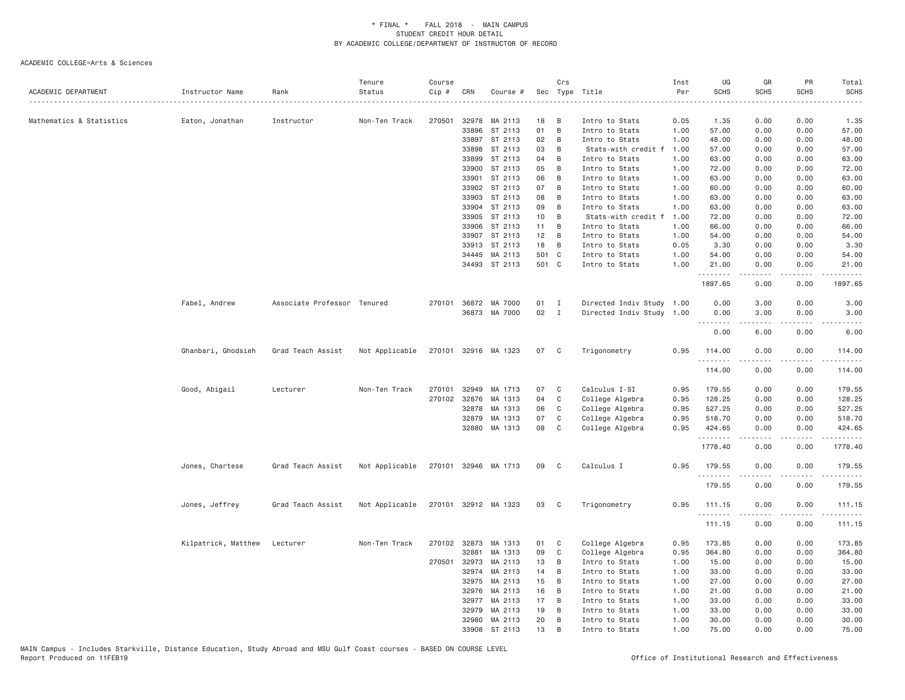| ACADEMIC DEPARTMENT      | Instructor Name     | Rank                        | Tenure<br>Status | Course<br>Cip # | CRN   | Course #             |       | Crs          | Sec Type Title            | Inst<br>Per | UG<br><b>SCHS</b>             | GR<br>SCHS | PR<br><b>SCHS</b>            | Total<br><b>SCHS</b> |
|--------------------------|---------------------|-----------------------------|------------------|-----------------|-------|----------------------|-------|--------------|---------------------------|-------------|-------------------------------|------------|------------------------------|----------------------|
| Mathematics & Statistics | Eaton, Jonathan     | Instructor                  | Non-Ten Track    | 270501          | 32978 | MA 2113              | 18    | В            | Intro to Stats            | 0.05        | 1.35                          | 0.00       | 0.00                         | 1.35                 |
|                          |                     |                             |                  |                 | 33896 | ST 2113              | 01    | B            | Intro to Stats            | 1.00        | 57.00                         | 0.00       | 0.00                         | 57.00                |
|                          |                     |                             |                  |                 | 33897 | ST 2113              | 02    | B            | Intro to Stats            | 1.00        | 48.00                         | 0.00       | 0.00                         | 48.00                |
|                          |                     |                             |                  |                 | 33898 | ST 2113              | 03    | B            | Stats-with credit f       | 1.00        | 57.00                         | 0.00       | 0.00                         | 57.00                |
|                          |                     |                             |                  |                 | 33899 | ST 2113              | 04    | B            | Intro to Stats            | 1.00        | 63.00                         | 0.00       | 0.00                         | 63.00                |
|                          |                     |                             |                  |                 | 33900 | ST 2113              | 05    | B            | Intro to Stats            | 1.00        | 72.00                         | 0.00       | 0.00                         | 72.00                |
|                          |                     |                             |                  |                 | 33901 | ST 2113              | 06    | B            | Intro to Stats            | 1.00        | 63.00                         | 0.00       | 0.00                         | 63.00                |
|                          |                     |                             |                  |                 | 33902 | ST 2113              | 07    | B            | Intro to Stats            | 1.00        | 60.00                         | 0.00       | 0.00                         | 60.00                |
|                          |                     |                             |                  |                 | 33903 | ST 2113              | 08    | B            | Intro to Stats            | 1.00        | 63.00                         | 0.00       | 0.00                         | 63.00                |
|                          |                     |                             |                  |                 | 33904 | ST 2113              | 09    | B            | Intro to Stats            | 1.00        | 63.00                         | 0.00       | 0.00                         | 63.00                |
|                          |                     |                             |                  |                 | 33905 | ST 2113              | 10    | B            | Stats-with credit f       | 1.00        | 72.00                         | 0.00       | 0.00                         | 72.00                |
|                          |                     |                             |                  |                 | 33906 | ST 2113              | 11    | B            | Intro to Stats            | 1.00        | 66.00                         | 0.00       | 0.00                         | 66.00                |
|                          |                     |                             |                  |                 | 33907 | ST 2113              | 12    | B            | Intro to Stats            | 1.00        | 54.00                         | 0.00       | 0.00                         | 54.00                |
|                          |                     |                             |                  |                 | 33913 | ST 2113              | 18    | B            | Intro to Stats            | 0.05        | 3.30                          | 0.00       | 0.00                         | 3.30                 |
|                          |                     |                             |                  |                 | 34445 | MA 2113              | 501 C |              | Intro to Stats            | 1.00        | 54.00                         | 0.00       | 0.00                         | 54.00                |
|                          |                     |                             |                  |                 |       | 34493 ST 2113        | 501 C |              | Intro to Stats            | 1.00        | 21.00<br>$\sim$ $\sim$ $\sim$ | 0.00       | 0.00<br>$\sim$ $\sim$ $\sim$ | 21.00                |
|                          |                     |                             |                  |                 |       |                      |       |              |                           |             | 1897.65                       | 0.00       | 0.00                         | 1897.65              |
|                          | Fabel, Andrew       | Associate Professor Tenured |                  | 270101          |       | 36872 MA 7000        | 01    | $\mathbf{I}$ | Directed Indiv Study 1.00 |             | 0.00                          | 3.00       | 0.00                         | 3.00                 |
|                          |                     |                             |                  |                 | 36873 | MA 7000              | 02    | $\mathbf{I}$ | Directed Indiv Study 1.00 |             | 0.00                          | 3.00       | 0.00                         | 3.00                 |
|                          |                     |                             |                  |                 |       |                      |       |              |                           |             | .<br>0.00                     | 6.00       | .<br>0.00                    | 6.00                 |
|                          | Ghanbari, Ghodsieh  | Grad Teach Assist           | Not Applicable   |                 |       | 270101 32916 MA 1323 | 07    | $\mathbf{C}$ | Trigonometry              | 0.95        | 114.00<br>.                   | 0.00       | 0.00<br>.                    | 114.00               |
|                          |                     |                             |                  |                 |       |                      |       |              |                           |             | 114.00                        | 0.00       | 0.00                         | 114.00               |
|                          | Good, Abigail       | Lecturer                    | Non-Ten Track    | 270101          | 32949 | MA 1713              | 07    | C            | Calculus I-SI             | 0.95        | 179.55                        | 0.00       | 0.00                         | 179.55               |
|                          |                     |                             |                  | 270102          | 32876 | MA 1313              | 04    | C            | College Algebra           | 0.95        | 128.25                        | 0.00       | 0.00                         | 128.25               |
|                          |                     |                             |                  |                 | 32878 | MA 1313              | 06    | C            | College Algebra           | 0.95        | 527.25                        | 0.00       | 0.00                         | 527.25               |
|                          |                     |                             |                  |                 | 32879 | MA 1313              | 07    | C            | College Algebra           | 0.95        | 518.70                        | 0.00       | 0.00                         | 518.70               |
|                          |                     |                             |                  |                 |       | 32880 MA 1313        | 08    | C            | College Algebra           | 0.95        | 424.65                        | 0.00       | 0.00                         | 424.65<br>.          |
|                          |                     |                             |                  |                 |       |                      |       |              |                           |             | .<br>1778.40                  | .<br>0.00  | .<br>0.00                    | 1778.40              |
|                          | Jones, Chartese     | Grad Teach Assist           | Not Applicable   |                 |       | 270101 32946 MA 1713 | 09    | C            | Calculus I                | 0.95        | 179.55                        | 0.00       | 0.00                         | 179.55               |
|                          |                     |                             |                  |                 |       |                      |       |              |                           |             | .<br>179.55                   | 0.00       | 0.00                         | -----<br>179.55      |
|                          | Jones, Jeffrey      | Grad Teach Assist           | Not Applicable   |                 |       | 270101 32912 MA 1323 | 03    | $\mathbf{C}$ | Trigonometry              | 0.95        | 111.15                        | 0.00       | 0.00                         | 111.15               |
|                          |                     |                             |                  |                 |       |                      |       |              |                           |             | .<br>111.15                   | .<br>0.00  | .<br>0.00                    | .<br>111.15          |
|                          | Kilpatrick, Matthew | Lecturer                    | Non-Ten Track    | 270102          | 32873 | MA 1313              | 01    | C            | College Algebra           | 0.95        | 173.85                        | 0.00       | 0.00                         | 173.85               |
|                          |                     |                             |                  |                 | 32881 | MA 1313              | 09    | C            | College Algebra           | 0.95        | 364.80                        | 0.00       | 0.00                         | 364.80               |
|                          |                     |                             |                  | 270501          | 32973 | MA 2113              | 13    | B            | Intro to Stats            | 1.00        | 15.00                         | 0.00       | 0.00                         | 15.00                |
|                          |                     |                             |                  |                 | 32974 | MA 2113              | 14    | B            | Intro to Stats            | 1.00        | 33.00                         | 0.00       | 0.00                         | 33.00                |
|                          |                     |                             |                  |                 | 32975 | MA 2113              | 15    | B            | Intro to Stats            | 1.00        | 27.00                         | 0.00       | 0.00                         | 27.00                |
|                          |                     |                             |                  |                 | 32976 | MA 2113              | 16    | В            | Intro to Stats            | 1.00        | 21.00                         | 0.00       | 0.00                         | 21.00                |
|                          |                     |                             |                  |                 | 32977 | MA 2113              | 17    | В            | Intro to Stats            | 1.00        | 33.00                         | 0.00       | 0.00                         | 33.00                |
|                          |                     |                             |                  |                 | 32979 | MA 2113              | 19    | B            | Intro to Stats            | 1.00        | 33.00                         | 0.00       | 0.00                         | 33.00                |
|                          |                     |                             |                  |                 | 32980 | MA 2113              | 20    | B            | Intro to Stats            | 1.00        | 30.00                         | 0.00       | 0.00                         | 30.00                |
|                          |                     |                             |                  |                 | 33908 | ST 2113              | 13    | <b>B</b>     | Intro to Stats            | 1.00        | 75.00                         | 0.00       | 0.00                         | 75.00                |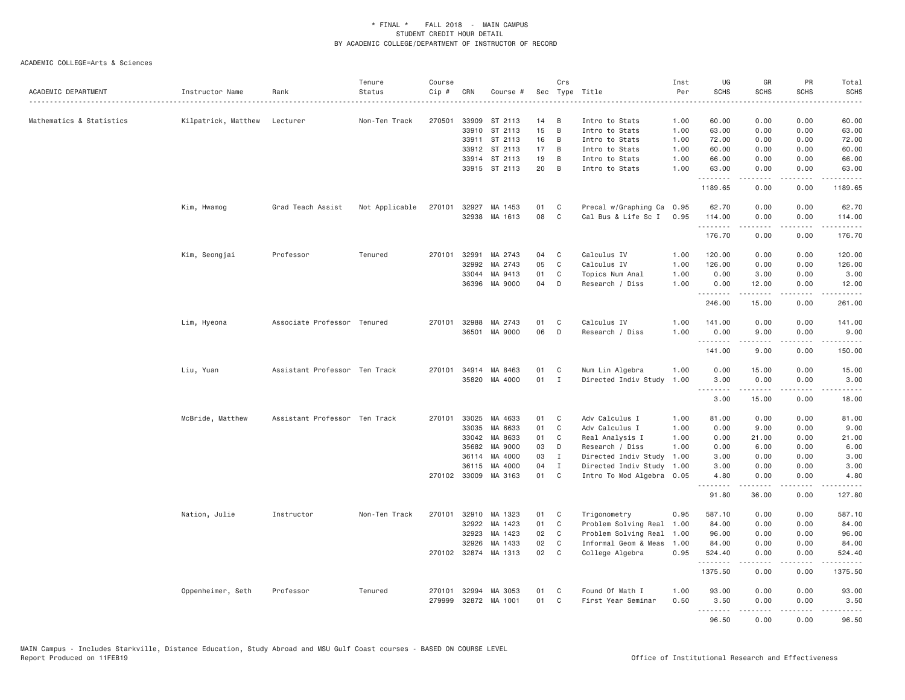| ACADEMIC DEPARTMENT      | Instructor Name     | Rank                          | Tenure<br>Status | Course<br>Cip # | CRN          | Course #             |    | Crs            | Sec Type Title            | Inst<br>Per | UG<br><b>SCHS</b> | GR<br><b>SCHS</b>                          | PR<br><b>SCHS</b>                                                                                                                                            | Total<br><b>SCHS</b><br>-----                                                                                                       |
|--------------------------|---------------------|-------------------------------|------------------|-----------------|--------------|----------------------|----|----------------|---------------------------|-------------|-------------------|--------------------------------------------|--------------------------------------------------------------------------------------------------------------------------------------------------------------|-------------------------------------------------------------------------------------------------------------------------------------|
| Mathematics & Statistics | Kilpatrick, Matthew | Lecturer                      | Non-Ten Track    | 270501          | 33909        | ST 2113              | 14 | B              | Intro to Stats            | 1.00        | 60.00             | 0.00                                       | 0.00                                                                                                                                                         | 60.00                                                                                                                               |
|                          |                     |                               |                  |                 |              | 33910 ST 2113        | 15 | $\overline{B}$ | Intro to Stats            | 1.00        | 63.00             | 0.00                                       | 0.00                                                                                                                                                         | 63.00                                                                                                                               |
|                          |                     |                               |                  |                 |              | 33911 ST 2113        | 16 | B              | Intro to Stats            | 1.00        | 72.00             | 0.00                                       | 0.00                                                                                                                                                         | 72.00                                                                                                                               |
|                          |                     |                               |                  |                 |              | 33912 ST 2113        | 17 | B              | Intro to Stats            | 1.00        | 60.00             | 0.00                                       | 0.00                                                                                                                                                         | 60.00                                                                                                                               |
|                          |                     |                               |                  |                 |              | 33914 ST 2113        | 19 | B              | Intro to Stats            | 1.00        | 66.00             | 0.00                                       | 0.00                                                                                                                                                         | 66.00                                                                                                                               |
|                          |                     |                               |                  |                 |              | 33915 ST 2113        | 20 | B              | Intro to Stats            | 1.00        | 63.00<br>.        | 0.00<br>.                                  | 0.00<br>.                                                                                                                                                    | 63.00<br>.                                                                                                                          |
|                          |                     |                               |                  |                 |              |                      |    |                |                           |             | 1189.65           | 0.00                                       | 0.00                                                                                                                                                         | 1189.65                                                                                                                             |
|                          | Kim, Hwamog         | Grad Teach Assist             | Not Applicable   | 270101          | 32927        | MA 1453              | 01 | C              | Precal w/Graphing Ca 0.95 |             | 62.70             | 0.00                                       | 0.00                                                                                                                                                         | 62.70                                                                                                                               |
|                          |                     |                               |                  |                 | 32938        | MA 1613              | 08 | C              | Cal Bus & Life Sc I       | 0.95        | 114.00<br>.       | 0.00<br>.                                  | 0.00<br>.                                                                                                                                                    | 114.00<br>$\begin{array}{cccccccccccccc} \bullet & \bullet & \bullet & \bullet & \bullet & \bullet & \bullet & \bullet \end{array}$ |
|                          |                     |                               |                  |                 |              |                      |    |                |                           |             | 176.70            | 0.00                                       | 0.00                                                                                                                                                         | 176.70                                                                                                                              |
|                          | Kim, Seongjai       | Professor                     | Tenured          | 270101          | 32991        | MA 2743              | 04 | C              | Calculus IV               | 1.00        | 120.00            | 0.00                                       | 0.00                                                                                                                                                         | 120.00                                                                                                                              |
|                          |                     |                               |                  |                 | 32992        | MA 2743              | 05 | $\mathbf{C}$   | Calculus IV               | 1.00        | 126.00            | 0.00                                       | 0.00                                                                                                                                                         | 126.00                                                                                                                              |
|                          |                     |                               |                  |                 | 33044        | MA 9413              | 01 | C              | Topics Num Anal           | 1.00        | 0.00              | 3.00                                       | 0.00                                                                                                                                                         | 3.00                                                                                                                                |
|                          |                     |                               |                  |                 | 36396        | MA 9000              | 04 | D              | Research / Diss           | 1.00        | 0.00<br><u>.</u>  | 12.00<br>.                                 | 0.00<br>.                                                                                                                                                    | 12.00<br>.                                                                                                                          |
|                          |                     |                               |                  |                 |              |                      |    |                |                           |             | 246.00            | 15.00                                      | 0.00                                                                                                                                                         | 261.00                                                                                                                              |
|                          | Lim, Hyeona         | Associate Professor Tenured   |                  | 270101          | 32988        | MA 2743              | 01 | C              | Calculus IV               | 1.00        | 141.00            | 0.00                                       | 0.00                                                                                                                                                         | 141.00                                                                                                                              |
|                          |                     |                               |                  |                 | 36501        | MA 9000              | 06 | D              | Research / Diss           | 1.00        | 0.00<br>.         | 9.00<br>.                                  | 0.00<br>.                                                                                                                                                    | 9.00<br>.                                                                                                                           |
|                          |                     |                               |                  |                 |              |                      |    |                |                           |             | 141.00            | 9.00                                       | 0.00                                                                                                                                                         | 150.00                                                                                                                              |
|                          | Liu, Yuan           | Assistant Professor Ten Track |                  | 270101          | 34914        | MA 8463              | 01 | C              | Num Lin Algebra           | 1.00        | 0.00              | 15.00                                      | 0.00                                                                                                                                                         | 15.00                                                                                                                               |
|                          |                     |                               |                  |                 |              | 35820 MA 4000        | 01 | $\mathbf{I}$   | Directed Indiv Study      | 1.00        | 3.00<br>.         | 0.00<br>$\sim$ $\sim$ $\sim$ $\sim$ $\sim$ | 0.00<br>.                                                                                                                                                    | 3.00<br>$\sim$ $\sim$ $\sim$ $\sim$                                                                                                 |
|                          |                     |                               |                  |                 |              |                      |    |                |                           |             | 3.00              | 15.00                                      | 0.00                                                                                                                                                         | 18.00                                                                                                                               |
|                          | McBride, Matthew    | Assistant Professor Ten Track |                  | 270101          | 33025        | MA 4633              | 01 | C              | Adv Calculus I            | 1.00        | 81.00             | 0.00                                       | 0.00                                                                                                                                                         | 81.00                                                                                                                               |
|                          |                     |                               |                  |                 | 33035        | MA 6633              | 01 | C              | Adv Calculus I            | 1.00        | 0.00              | 9.00                                       | 0.00                                                                                                                                                         | 9.00                                                                                                                                |
|                          |                     |                               |                  |                 | 33042        | MA 8633              | 01 | C              | Real Analysis I           | 1.00        | 0.00              | 21.00                                      | 0.00                                                                                                                                                         | 21.00                                                                                                                               |
|                          |                     |                               |                  |                 | 35682        | MA 9000              | 03 | D              | Research / Diss           | 1.00        | 0.00              | 6.00                                       | 0.00                                                                                                                                                         | 6.00                                                                                                                                |
|                          |                     |                               |                  |                 | 36114        | MA 4000              | 03 | $\mathbf{I}$   | Directed Indiv Study      | 1.00        | 3.00              | 0.00                                       | 0.00                                                                                                                                                         | 3.00                                                                                                                                |
|                          |                     |                               |                  |                 | 36115        | MA 4000              | 04 | I              | Directed Indiv Study      | 1.00        | 3.00              | 0.00                                       | 0.00                                                                                                                                                         | 3.00                                                                                                                                |
|                          |                     |                               |                  |                 | 270102 33009 | MA 3163              | 01 | C              | Intro To Mod Algebra 0.05 |             | 4.80<br>.         | 0.00<br>.                                  | 0.00<br>.                                                                                                                                                    | 4.80<br>.                                                                                                                           |
|                          |                     |                               |                  |                 |              |                      |    |                |                           |             | 91.80             | 36.00                                      | 0.00                                                                                                                                                         | 127.80                                                                                                                              |
|                          | Nation, Julie       | Instructor                    | Non-Ten Track    | 270101          | 32910        | MA 1323              | 01 | C              | Trigonometry              | 0.95        | 587.10            | 0.00                                       | 0.00                                                                                                                                                         | 587.10                                                                                                                              |
|                          |                     |                               |                  |                 | 32922        | MA 1423              | 01 | C              | Problem Solving Real      | 1.00        | 84.00             | 0.00                                       | 0.00                                                                                                                                                         | 84.00                                                                                                                               |
|                          |                     |                               |                  |                 | 32923        | MA 1423              | 02 | $\mathsf{C}$   | Problem Solving Real      | 1.00        | 96.00             | 0.00                                       | 0.00                                                                                                                                                         | 96.00                                                                                                                               |
|                          |                     |                               |                  |                 | 32926        | MA 1433              | 02 | $\mathbf{C}$   | Informal Geom & Meas      | 1.00        | 84.00             | 0.00                                       | 0.00                                                                                                                                                         | 84.00                                                                                                                               |
|                          |                     |                               |                  |                 |              | 270102 32874 MA 1313 | 02 | C <sub>1</sub> | College Algebra           | 0.95        | 524.40<br>.       | 0.00<br>.                                  | 0.00<br>.                                                                                                                                                    | 524.40<br>.                                                                                                                         |
|                          |                     |                               |                  |                 |              |                      |    |                |                           |             | 1375.50           | 0.00                                       | 0.00                                                                                                                                                         | 1375.50                                                                                                                             |
|                          | Oppenheimer, Seth   | Professor                     | Tenured          | 270101          | 32994        | MA 3053              | 01 | C              | Found Of Math I           | 1.00        | 93.00             | 0.00                                       | 0.00                                                                                                                                                         | 93.00                                                                                                                               |
|                          |                     |                               |                  | 279999          | 32872        | MA 1001              | 01 | C              | First Year Seminar        | 0.50        | 3.50<br>.         | 0.00<br>.                                  | 0.00<br>$\frac{1}{2} \left( \frac{1}{2} \right) \left( \frac{1}{2} \right) \left( \frac{1}{2} \right) \left( \frac{1}{2} \right) \left( \frac{1}{2} \right)$ | 3.50<br>.                                                                                                                           |
|                          |                     |                               |                  |                 |              |                      |    |                |                           |             | 96.50             | 0.00                                       | 0.00                                                                                                                                                         | 96.50                                                                                                                               |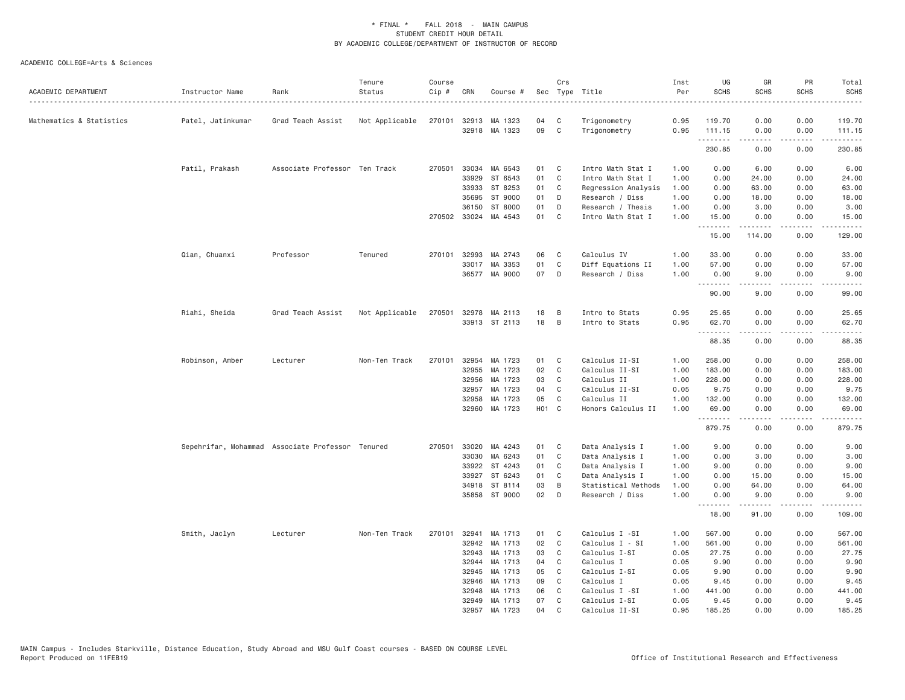| ACADEMIC DEPARTMENT      | Instructor Name                                  | Rank                          | Tenure<br>Status | Course<br>Cip # | CRN          | Course #      |                   | Crs            | Sec Type Title      | Inst<br>Per<br>. | UG<br><b>SCHS</b> | GR<br><b>SCHS</b>       | PR<br><b>SCHS</b>               | Total<br><b>SCHS</b><br>.                                                                                                                                                                |
|--------------------------|--------------------------------------------------|-------------------------------|------------------|-----------------|--------------|---------------|-------------------|----------------|---------------------|------------------|-------------------|-------------------------|---------------------------------|------------------------------------------------------------------------------------------------------------------------------------------------------------------------------------------|
| Mathematics & Statistics | Patel, Jatinkumar                                | Grad Teach Assist             | Not Applicable   | 270101          |              | 32913 MA 1323 | 04                | C              | Trigonometry        | 0.95             | 119.70            | 0.00                    | 0.00                            | 119.70                                                                                                                                                                                   |
|                          |                                                  |                               |                  |                 |              | 32918 MA 1323 | 09                | C              | Trigonometry        | 0.95             | 111.15            | 0.00                    | 0.00                            | 111.15                                                                                                                                                                                   |
|                          |                                                  |                               |                  |                 |              |               |                   |                |                     |                  | .<br>230.85       | .<br>0.00               | لأعاجب<br>0.00                  | د د د د د د<br>230.85                                                                                                                                                                    |
|                          | Patil, Prakash                                   | Associate Professor Ten Track |                  | 270501          | 33034        | MA 6543       | 01                | $\mathbf{C}$   | Intro Math Stat I   | 1.00             | 0.00              | 6.00                    | 0.00                            | 6.00                                                                                                                                                                                     |
|                          |                                                  |                               |                  |                 | 33929        | ST 6543       | 01                | $\mathbf{C}$   | Intro Math Stat I   | 1.00             | 0.00              | 24.00                   | 0.00                            | 24.00                                                                                                                                                                                    |
|                          |                                                  |                               |                  |                 | 33933        | ST 8253       | 01                | $\mathbf{C}$   | Regression Analysis | 1.00             | 0.00              | 63.00                   | 0.00                            | 63.00                                                                                                                                                                                    |
|                          |                                                  |                               |                  |                 | 35695        | ST 9000       | 01                | D              | Research / Diss     | 1.00             | 0.00              | 18.00                   | 0.00                            | 18.00                                                                                                                                                                                    |
|                          |                                                  |                               |                  |                 | 36150        | ST 8000       | 01                | D              | Research / Thesis   | 1.00             | 0.00              | 3.00                    | 0.00                            | 3.00                                                                                                                                                                                     |
|                          |                                                  |                               |                  |                 | 270502 33024 | MA 4543       | 01                | C              | Intro Math Stat I   | 1.00             | 15.00<br>.        | 0.00                    | 0.00<br>.                       | 15.00<br>$\sim$ $\sim$ $\sim$ $\sim$ $\sim$                                                                                                                                              |
|                          |                                                  |                               |                  |                 |              |               |                   |                |                     |                  | 15.00             | 114.00                  | 0.00                            | 129.00                                                                                                                                                                                   |
|                          | Qian, Chuanxi                                    | Professor                     | Tenured          | 270101          | 32993        | MA 2743       | 06                | C              | Calculus IV         | 1.00             | 33.00             | 0.00                    | 0.00                            | 33.00                                                                                                                                                                                    |
|                          |                                                  |                               |                  |                 |              | 33017 MA 3353 | 01                | C              | Diff Equations II   | 1.00             | 57.00             | 0.00                    | 0.00                            | 57.00                                                                                                                                                                                    |
|                          |                                                  |                               |                  |                 | 36577        | MA 9000       | 07                | D              | Research / Diss     | 1.00             | 0.00<br>.         | 9.00<br>.               | 0.00<br>$\omega$ is $\omega$ in | 9.00<br>2.2.2.2.1                                                                                                                                                                        |
|                          |                                                  |                               |                  |                 |              |               |                   |                |                     |                  | 90.00             | 9.00                    | 0.00                            | 99.00                                                                                                                                                                                    |
|                          | Riahi, Sheida                                    | Grad Teach Assist             | Not Applicable   | 270501          |              | 32978 MA 2113 | 18                | B              | Intro to Stats      | 0.95             | 25.65             | 0.00                    | 0.00                            | 25.65                                                                                                                                                                                    |
|                          |                                                  |                               |                  |                 |              | 33913 ST 2113 | 18                | $\overline{B}$ | Intro to Stats      | 0.95             | 62.70<br>.        | 0.00<br>-----           | 0.00<br>.                       | 62.70<br>.                                                                                                                                                                               |
|                          |                                                  |                               |                  |                 |              |               |                   |                |                     |                  | 88.35             | 0.00                    | 0.00                            | 88.35                                                                                                                                                                                    |
|                          | Robinson, Amber                                  | Lecturer                      | Non-Ten Track    | 270101          | 32954        | MA 1723       | 01                | $\mathbf{C}$   | Calculus II-SI      | 1.00             | 258.00            | 0.00                    | 0.00                            | 258.00                                                                                                                                                                                   |
|                          |                                                  |                               |                  |                 | 32955        | MA 1723       | 02                | C              | Calculus II-SI      | 1.00             | 183.00            | 0.00                    | 0.00                            | 183.00                                                                                                                                                                                   |
|                          |                                                  |                               |                  |                 | 32956        | MA 1723       | 03                | C              | Calculus II         | 1.00             | 228.00            | 0.00                    | 0.00                            | 228.00                                                                                                                                                                                   |
|                          |                                                  |                               |                  |                 | 32957        | MA 1723       | 04                | C              | Calculus II-SI      | 0.05             | 9.75              | 0.00                    | 0.00                            | 9.75                                                                                                                                                                                     |
|                          |                                                  |                               |                  |                 | 32958        | MA 1723       | 05                | C              | Calculus II         | 1.00             | 132.00            | 0.00                    | 0.00                            | 132.00                                                                                                                                                                                   |
|                          |                                                  |                               |                  |                 |              | 32960 MA 1723 | H <sub>01</sub> C |                | Honors Calculus II  | 1.00             | 69.00<br>.        | 0.00<br>المتمام المتعاد | 0.00<br>.                       | 69.00<br>$\frac{1}{2} \left( \frac{1}{2} \right) \left( \frac{1}{2} \right) \left( \frac{1}{2} \right) \left( \frac{1}{2} \right) \left( \frac{1}{2} \right) \left( \frac{1}{2} \right)$ |
|                          |                                                  |                               |                  |                 |              |               |                   |                |                     |                  | 879.75            | 0.00                    | 0.00                            | 879.75                                                                                                                                                                                   |
|                          | Sepehrifar, Mohammad Associate Professor Tenured |                               |                  | 270501          | 33020        | MA 4243       | 01                | C              | Data Analysis I     | 1.00             | 9.00              | 0.00                    | 0.00                            | 9.00                                                                                                                                                                                     |
|                          |                                                  |                               |                  |                 | 33030        | MA 6243       | 01                | C              | Data Analysis I     | 1.00             | 0.00              | 3.00                    | 0.00                            | 3.00                                                                                                                                                                                     |
|                          |                                                  |                               |                  |                 | 33922        | ST 4243       | 01                | $\mathbf{C}$   | Data Analysis I     | 1.00             | 9.00              | 0.00                    | 0.00                            | 9.00                                                                                                                                                                                     |
|                          |                                                  |                               |                  |                 | 33927        | ST 6243       | 01                | C              | Data Analysis I     | 1.00             | 0.00              | 15.00                   | 0.00                            | 15.00                                                                                                                                                                                    |
|                          |                                                  |                               |                  |                 | 34918        | ST 8114       | 03                | B              | Statistical Methods | 1.00             | 0.00              | 64.00                   | 0.00                            | 64.00                                                                                                                                                                                    |
|                          |                                                  |                               |                  |                 |              | 35858 ST 9000 | 02                | D              | Research / Diss     | 1.00             | 0.00<br>.         | 9.00<br>.               | 0.00<br>.                       | 9.00<br>.                                                                                                                                                                                |
|                          |                                                  |                               |                  |                 |              |               |                   |                |                     |                  | 18.00             | 91.00                   | 0.00                            | 109.00                                                                                                                                                                                   |
|                          | Smith, Jaclyn                                    | Lecturer                      | Non-Ten Track    | 270101          | 32941        | MA 1713       | 01                | C              | Calculus I -SI      | 1.00             | 567.00            | 0.00                    | 0.00                            | 567.00                                                                                                                                                                                   |
|                          |                                                  |                               |                  |                 | 32942        | MA 1713       | 02                | C              | Calculus I - SI     | 1.00             | 561.00            | 0.00                    | 0.00                            | 561.00                                                                                                                                                                                   |
|                          |                                                  |                               |                  |                 | 32943        | MA 1713       | 03                | C <sub>1</sub> | Calculus I-SI       | 0.05             | 27.75             | 0.00                    | 0.00                            | 27.75                                                                                                                                                                                    |
|                          |                                                  |                               |                  |                 | 32944        | MA 1713       | 04                | C              | Calculus I          | 0.05             | 9.90              | 0.00                    | 0.00                            | 9.90                                                                                                                                                                                     |
|                          |                                                  |                               |                  |                 | 32945        | MA 1713       | 05                | C              | Calculus I-SI       | 0.05             | 9.90              | 0.00                    | 0.00                            | 9.90                                                                                                                                                                                     |
|                          |                                                  |                               |                  |                 | 32946        | MA 1713       | 09                | C              | Calculus I          | 0.05             | 9.45              | 0.00                    | 0.00                            | 9.45                                                                                                                                                                                     |
|                          |                                                  |                               |                  |                 | 32948        | MA 1713       | 06                | C              | Calculus I -SI      | 1.00             | 441.00            | 0.00                    | 0.00                            | 441.00                                                                                                                                                                                   |
|                          |                                                  |                               |                  |                 |              | 32949 MA 1713 | 07                | C              | Calculus I-SI       | 0.05             | 9.45              | 0.00                    | 0.00                            | 9.45                                                                                                                                                                                     |
|                          |                                                  |                               |                  |                 |              | 32957 MA 1723 | 04                | $\mathsf{C}$   | Calculus II-SI      | 0.95             | 185.25            | 0.00                    | 0.00                            | 185.25                                                                                                                                                                                   |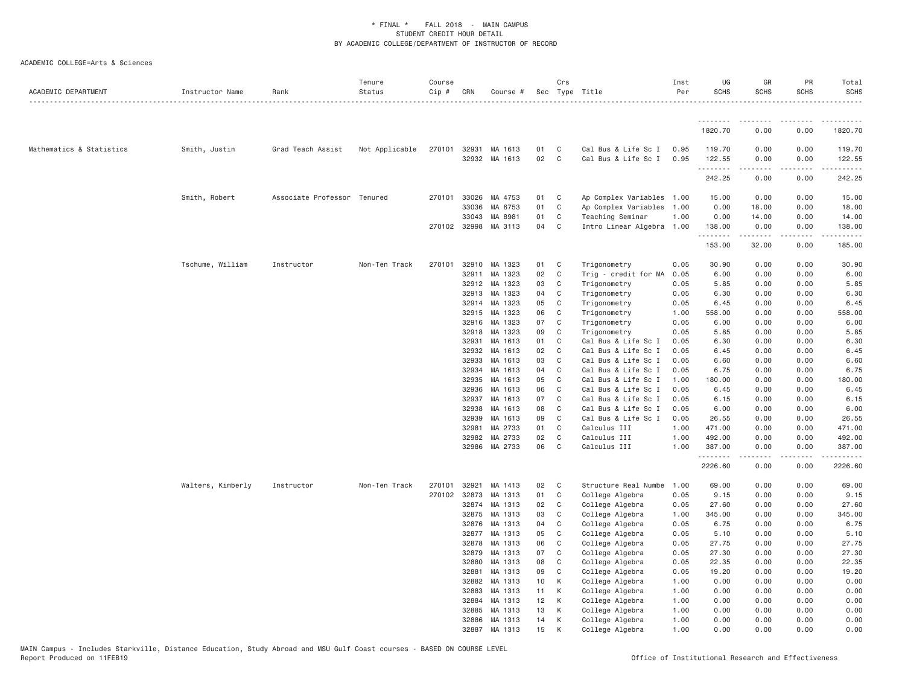| ACADEMIC DEPARTMENT      | Instructor Name   | Rank                        | Tenure<br>Status | Course<br>Cip # | CRN                   | Course #           |          | Crs                 | Sec Type Title                             | Inst<br>Per  | UG<br><b>SCHS</b>     | GR<br><b>SCHS</b>                                                                                                                                                    | PR<br><b>SCHS</b> | Total<br><b>SCHS</b>  |
|--------------------------|-------------------|-----------------------------|------------------|-----------------|-----------------------|--------------------|----------|---------------------|--------------------------------------------|--------------|-----------------------|----------------------------------------------------------------------------------------------------------------------------------------------------------------------|-------------------|-----------------------|
|                          |                   |                             |                  |                 |                       |                    |          |                     |                                            |              | .                     |                                                                                                                                                                      |                   |                       |
|                          |                   |                             |                  |                 |                       |                    |          |                     |                                            |              | 1820.70               | 0.00                                                                                                                                                                 | 0.00              | 1820.70               |
| Mathematics & Statistics | Smith, Justin     | Grad Teach Assist           | Not Applicable   |                 | 270101 32931<br>32932 | MA 1613<br>MA 1613 | 01<br>02 | $\mathbf{C}$<br>C   | Cal Bus & Life Sc I<br>Cal Bus & Life Sc I | 0.95<br>0.95 | 119.70<br>122.55<br>. | 0.00<br>0.00<br>$\frac{1}{2} \left( \frac{1}{2} \right) \left( \frac{1}{2} \right) \left( \frac{1}{2} \right) \left( \frac{1}{2} \right) \left( \frac{1}{2} \right)$ | 0.00<br>0.00<br>. | 119.70<br>122.55<br>. |
|                          |                   |                             |                  |                 |                       |                    |          |                     |                                            |              | 242.25                | 0.00                                                                                                                                                                 | 0.00              | 242.25                |
|                          | Smith, Robert     | Associate Professor Tenured |                  | 270101          | 33026                 | MA 4753            | 01       | $\mathbf{C}$        | Ap Complex Variables 1.00                  |              | 15.00                 | 0.00                                                                                                                                                                 | 0.00              | 15.00                 |
|                          |                   |                             |                  |                 | 33036                 | MA 6753            | 01       | C                   | Ap Complex Variables 1.00                  |              | 0.00                  | 18.00                                                                                                                                                                | 0.00              | 18.00                 |
|                          |                   |                             |                  |                 | 33043                 | MA 8981            | 01       | C                   | Teaching Seminar                           | 1.00         | 0.00                  | 14.00                                                                                                                                                                | 0.00              | 14.00                 |
|                          |                   |                             |                  |                 | 270102 32998          | MA 3113            | 04       | C                   | Intro Linear Algebra 1.00                  |              | 138.00<br>.           | 0.00<br>.                                                                                                                                                            | 0.00<br>$\cdots$  | 138.00<br>.           |
|                          |                   |                             |                  |                 |                       |                    |          |                     |                                            |              | 153.00                | 32.00                                                                                                                                                                | 0.00              | 185.00                |
|                          | Tschume, William  | Instructor                  | Non-Ten Track    | 270101          | 32910                 | MA 1323            | 01       | $\mathbf{C}$        | Trigonometry                               | 0.05         | 30.90                 | 0.00                                                                                                                                                                 | 0.00              | 30.90                 |
|                          |                   |                             |                  |                 | 32911                 | MA 1323            | 02       | $\mathbf{C}$        | Trig - credit for MA                       | 0.05         | 6.00                  | 0.00                                                                                                                                                                 | 0.00              | 6.00                  |
|                          |                   |                             |                  |                 | 32912                 | MA 1323            | 03       | C                   | Trigonometry                               | 0.05         | 5.85                  | 0.00                                                                                                                                                                 | 0.00              | 5.85                  |
|                          |                   |                             |                  |                 | 32913                 | MA 1323            | 04       | C                   | Trigonometry                               | 0.05         | 6.30                  | 0.00                                                                                                                                                                 | 0.00              | 6.30                  |
|                          |                   |                             |                  |                 | 32914                 | MA 1323<br>MA 1323 | 05<br>06 | C <sub>c</sub><br>C | Trigonometry                               | 0.05         | 6.45                  | 0.00<br>0.00                                                                                                                                                         | 0.00              | 6.45<br>558.00        |
|                          |                   |                             |                  |                 | 32915                 | MA 1323            | 07       | C                   | Trigonometry                               | 1.00         | 558.00                |                                                                                                                                                                      | 0.00              | 6.00                  |
|                          |                   |                             |                  |                 | 32916<br>32918        | MA 1323            | 09       | C                   | Trigonometry<br>Trigonometry               | 0.05<br>0.05 | 6.00<br>5.85          | 0.00<br>0.00                                                                                                                                                         | 0.00<br>0.00      | 5.85                  |
|                          |                   |                             |                  |                 | 32931                 | MA 1613            | 01       | $\mathbf C$         | Cal Bus & Life Sc I                        | 0.05         | 6.30                  | 0.00                                                                                                                                                                 | 0.00              | 6.30                  |
|                          |                   |                             |                  |                 | 32932                 | MA 1613            | 02       | C                   | Cal Bus & Life Sc I                        | 0.05         | 6.45                  | 0.00                                                                                                                                                                 | 0.00              | 6.45                  |
|                          |                   |                             |                  |                 | 32933                 | MA 1613            | 03       | C                   | Cal Bus & Life Sc I                        | 0.05         | 6.60                  | 0.00                                                                                                                                                                 | 0.00              | 6.60                  |
|                          |                   |                             |                  |                 | 32934                 | MA 1613            | 04       | C                   | Cal Bus & Life Sc I                        | 0.05         | 6.75                  | 0.00                                                                                                                                                                 | 0.00              | 6.75                  |
|                          |                   |                             |                  |                 | 32935                 | MA 1613            | 05       | C                   | Cal Bus & Life Sc I                        | 1.00         | 180.00                | 0.00                                                                                                                                                                 | 0.00              | 180.00                |
|                          |                   |                             |                  |                 | 32936                 | MA 1613            | 06       | C                   | Cal Bus & Life Sc I                        | 0.05         | 6.45                  | 0.00                                                                                                                                                                 | 0.00              | 6.45                  |
|                          |                   |                             |                  |                 | 32937                 | MA 1613            | 07       | C                   | Cal Bus & Life Sc I                        | 0.05         | 6.15                  | 0.00                                                                                                                                                                 | 0.00              | 6.15                  |
|                          |                   |                             |                  |                 | 32938                 | MA 1613            | 08       | C                   | Cal Bus & Life Sc I                        | 0.05         | 6.00                  | 0.00                                                                                                                                                                 | 0.00              | 6.00                  |
|                          |                   |                             |                  |                 | 32939                 | MA 1613            | 09       | C                   | Cal Bus & Life Sc I                        | 0.05         | 26.55                 | 0.00                                                                                                                                                                 | 0.00              | 26.55                 |
|                          |                   |                             |                  |                 | 32981                 | MA 2733            | 01       | C                   | Calculus III                               | 1.00         | 471.00                | 0.00                                                                                                                                                                 | 0.00              | 471.00                |
|                          |                   |                             |                  |                 | 32982                 | MA 2733            | 02       | C                   | Calculus III                               | 1.00         | 492.00                | 0.00                                                                                                                                                                 | 0.00              | 492.00                |
|                          |                   |                             |                  |                 | 32986                 | MA 2733            | 06       | C                   | Calculus III                               | 1.00         | 387.00                | 0.00                                                                                                                                                                 | 0.00              | 387.00                |
|                          |                   |                             |                  |                 |                       |                    |          |                     |                                            |              | .<br>2226.60          | 0.00                                                                                                                                                                 | 0.00              | 2226.60               |
|                          | Walters, Kimberly | Instructor                  | Non-Ten Track    | 270101          | 32921                 | MA 1413            | 02       | $\mathbf{C}$        | Structure Real Numbe                       | 1.00         | 69.00                 | 0.00                                                                                                                                                                 | 0.00              | 69.00                 |
|                          |                   |                             |                  | 270102          | 32873                 | MA 1313            | 01       | C                   | College Algebra                            | 0.05         | 9.15                  | 0.00                                                                                                                                                                 | 0.00              | 9.15                  |
|                          |                   |                             |                  |                 | 32874                 | MA 1313            | 02       | $\mathbf{C}$        | College Algebra                            | 0.05         | 27.60                 | 0.00                                                                                                                                                                 | 0.00              | 27.60                 |
|                          |                   |                             |                  |                 | 32875                 | MA 1313            | 03       | C                   | College Algebra                            | 1.00         | 345.00                | 0.00                                                                                                                                                                 | 0.00              | 345.00                |
|                          |                   |                             |                  |                 | 32876                 | MA 1313            | 04       | C                   | College Algebra                            | 0.05         | 6.75                  | 0.00                                                                                                                                                                 | 0.00              | 6.75                  |
|                          |                   |                             |                  |                 | 32877                 | MA 1313            | 05       | C                   | College Algebra                            | 0.05         | 5.10                  | 0.00                                                                                                                                                                 | 0.00              | 5.10                  |
|                          |                   |                             |                  |                 | 32878                 | MA 1313            | 06       | $\mathbf C$         | College Algebra                            | 0.05         | 27.75                 | 0.00                                                                                                                                                                 | 0.00              | 27.75                 |
|                          |                   |                             |                  |                 | 32879                 | MA 1313            | 07       | C                   | College Algebra                            | 0.05         | 27.30                 | 0.00                                                                                                                                                                 | 0.00              | 27.30                 |
|                          |                   |                             |                  |                 | 32880                 | MA 1313            | 08<br>09 | C<br>$\mathbf{C}$   | College Algebra                            | 0.05         | 22.35                 | 0.00                                                                                                                                                                 | 0.00              | 22.35                 |
|                          |                   |                             |                  |                 | 32881                 | MA 1313<br>MA 1313 |          |                     | College Algebra                            | 0.05         | 19.20                 | 0.00                                                                                                                                                                 | 0.00              | 19.20                 |
|                          |                   |                             |                  |                 | 32882<br>32883        | MA 1313            | 10<br>11 | K<br>K              | College Algebra<br>College Algebra         | 1.00<br>1.00 | 0.00<br>0.00          | 0.00<br>0.00                                                                                                                                                         | 0.00<br>0.00      | 0.00<br>0.00          |
|                          |                   |                             |                  |                 | 32884                 | MA 1313            | 12       | K                   |                                            | 1.00         | 0.00                  | 0.00                                                                                                                                                                 | 0.00              | 0.00                  |
|                          |                   |                             |                  |                 | 32885                 | MA 1313            |          | K                   | College Algebra                            |              |                       | 0.00                                                                                                                                                                 | 0.00              | 0.00                  |
|                          |                   |                             |                  |                 | 32886                 | MA 1313            | 13<br>14 | K                   | College Algebra<br>College Algebra         | 1.00<br>1.00 | 0.00<br>0.00          | 0.00                                                                                                                                                                 | 0.00              | 0.00                  |
|                          |                   |                             |                  |                 | 32887                 | MA 1313            | 15       | K                   | College Algebra                            | 1.00         | 0.00                  | 0.00                                                                                                                                                                 | 0.00              | 0.00                  |
|                          |                   |                             |                  |                 |                       |                    |          |                     |                                            |              |                       |                                                                                                                                                                      |                   |                       |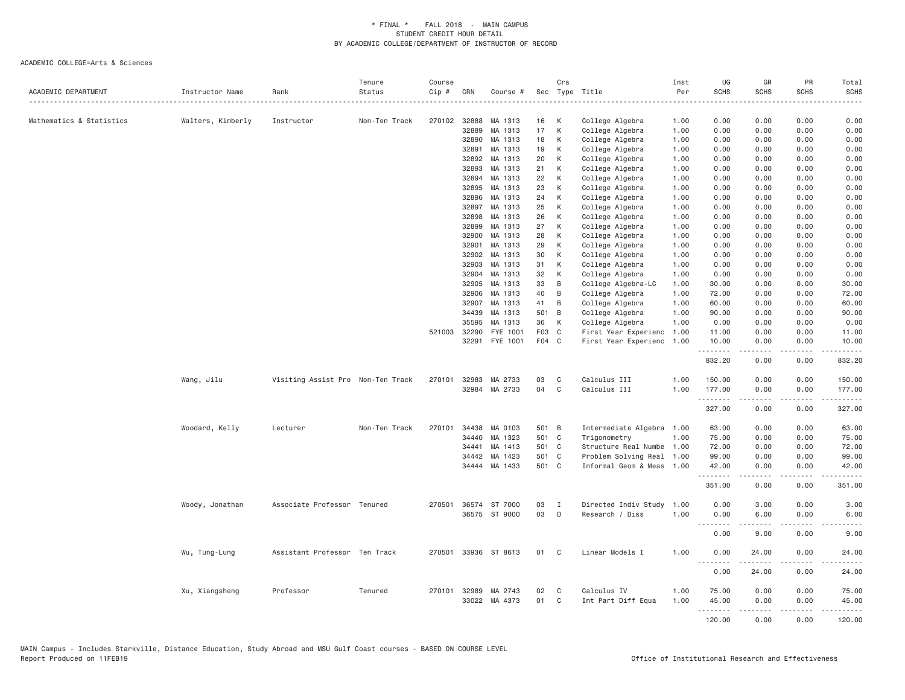| ACADEMIC DEPARTMENT      | Instructor Name   | Rank                              | Tenure<br>Status | Course<br>Cip # | CRN          | Course #      |       | Crs | Sec Type Title            | Inst<br>Per | UG<br><b>SCHS</b> | GR<br><b>SCHS</b> | PR<br><b>SCHS</b>                                                                                                         | Total<br><b>SCHS</b> |
|--------------------------|-------------------|-----------------------------------|------------------|-----------------|--------------|---------------|-------|-----|---------------------------|-------------|-------------------|-------------------|---------------------------------------------------------------------------------------------------------------------------|----------------------|
|                          |                   | .                                 |                  |                 |              |               |       |     | .                         | .           |                   |                   |                                                                                                                           | .                    |
| Mathematics & Statistics | Walters, Kimberly | Instructor                        | Non-Ten Track    |                 | 270102 32888 | MA 1313       | 16    | К   | College Algebra           | 1.00        | 0.00              | 0.00              | 0.00                                                                                                                      | 0.00                 |
|                          |                   |                                   |                  |                 | 32889        | MA 1313       | 17    | К   | College Algebra           | 1.00        | 0.00              | 0.00              | 0.00                                                                                                                      | 0.00                 |
|                          |                   |                                   |                  |                 | 32890        | MA 1313       | 18    | К   | College Algebra           | 1.00        | 0.00              | 0.00              | 0.00                                                                                                                      | 0.00                 |
|                          |                   |                                   |                  |                 | 32891        | MA 1313       | 19    | K   | College Algebra           | 1.00        | 0.00              | 0.00              | 0.00                                                                                                                      | 0.00                 |
|                          |                   |                                   |                  |                 | 32892        | MA 1313       | 20    | K   | College Algebra           | 1.00        | 0.00              | 0.00              | 0.00                                                                                                                      | 0.00                 |
|                          |                   |                                   |                  |                 | 32893        | MA 1313       | 21    | К   | College Algebra           | 1.00        | 0.00              | 0.00              | 0.00                                                                                                                      | 0.00                 |
|                          |                   |                                   |                  |                 | 32894        | MA 1313       | 22    | К   | College Algebra           | 1.00        | 0.00              | 0.00              | 0.00                                                                                                                      | 0.00                 |
|                          |                   |                                   |                  |                 | 32895        | MA 1313       | 23    | К   | College Algebra           | 1.00        | 0.00              | 0.00              | 0.00                                                                                                                      | 0.00                 |
|                          |                   |                                   |                  |                 | 32896        | MA 1313       | 24    | К   | College Algebra           | 1.00        | 0.00              | 0.00              | 0.00                                                                                                                      | 0.00                 |
|                          |                   |                                   |                  |                 | 32897        | MA 1313       | 25    | К   | College Algebra           | 1.00        | 0.00              | 0.00              | 0.00                                                                                                                      | 0.00                 |
|                          |                   |                                   |                  |                 | 32898        | MA 1313       | 26    | К   | College Algebra           | 1.00        | 0.00              | 0.00              | 0.00                                                                                                                      | 0.00                 |
|                          |                   |                                   |                  |                 | 32899        | MA 1313       | 27    | K   | College Algebra           | 1.00        | 0.00              | 0.00              | 0.00                                                                                                                      | 0.00                 |
|                          |                   |                                   |                  |                 | 32900        | MA 1313       | 28    | К   | College Algebra           | 1.00        | 0.00              | 0.00              | 0.00                                                                                                                      | 0.00                 |
|                          |                   |                                   |                  |                 | 32901        | MA 1313       | 29    | K   | College Algebra           | 1.00        | 0.00              | 0.00              | 0.00                                                                                                                      | 0.00                 |
|                          |                   |                                   |                  |                 | 32902        | MA 1313       | 30    | К   | College Algebra           | 1.00        | 0.00              | 0.00              | 0.00                                                                                                                      | 0.00                 |
|                          |                   |                                   |                  |                 | 32903        | MA 1313       | 31    | К   | College Algebra           | 1.00        | 0.00              | 0.00              | 0.00                                                                                                                      | 0.00                 |
|                          |                   |                                   |                  |                 | 32904        | MA 1313       | 32    | К   | College Algebra           | 1.00        | 0.00              | 0.00              | 0.00                                                                                                                      | 0.00                 |
|                          |                   |                                   |                  |                 | 32905        | MA 1313       | 33    | B   | College Algebra-LC        | 1.00        | 30.00             | 0.00              | 0.00                                                                                                                      | 30.00                |
|                          |                   |                                   |                  |                 | 32906        | MA 1313       | 40    | B   | College Algebra           | 1.00        | 72.00             | 0.00              | 0.00                                                                                                                      | 72.00                |
|                          |                   |                                   |                  |                 | 32907        | MA 1313       | 41    | B   | College Algebra           | 1.00        | 60.00             | 0.00              | 0.00                                                                                                                      | 60.00                |
|                          |                   |                                   |                  |                 | 34439        | MA 1313       | 501   | B   | College Algebra           | 1.00        | 90.00             | 0.00              | 0.00                                                                                                                      | 90.00                |
|                          |                   |                                   |                  |                 | 35595        | MA 1313       | 36    | К   | College Algebra           | 1.00        | 0.00              | 0.00              | 0.00                                                                                                                      | 0.00                 |
|                          |                   |                                   |                  | 521003          | 32290        | FYE 1001      | F03 C |     | First Year Experienc      | 1.00        | 11.00             | 0.00              | 0.00                                                                                                                      | 11.00                |
|                          |                   |                                   |                  |                 | 32291        | FYE 1001      | F04 C |     | First Year Experienc      | 1.00        | 10.00<br>.        | 0.00<br>.         | 0.00                                                                                                                      | 10.00<br>.           |
|                          |                   |                                   |                  |                 |              |               |       |     |                           |             | 832.20            | 0.00              | 0.00                                                                                                                      | 832.20               |
|                          | Wang, Jilu        | Visiting Assist Pro Non-Ten Track |                  | 270101          | 32983        | MA 2733       | 03    | C   | Calculus III              | 1.00        | 150.00            | 0.00              | 0.00                                                                                                                      | 150.00               |
|                          |                   |                                   |                  |                 |              | 32984 MA 2733 | 04    | C   | Calculus III              | 1.00        | 177.00<br>.       | 0.00<br>.         | 0.00<br>.                                                                                                                 | 177.00<br>.          |
|                          |                   |                                   |                  |                 |              |               |       |     |                           |             | 327.00            | 0.00              | 0.00                                                                                                                      | 327.00               |
|                          | Woodard, Kelly    | Lecturer                          | Non-Ten Track    | 270101          | 34438        | MA 0103       | 501 B |     | Intermediate Algebra 1.00 |             | 63.00             | 0.00              | 0.00                                                                                                                      | 63.00                |
|                          |                   |                                   |                  |                 | 34440        | MA 1323       | 501 C |     | Trigonometry              | 1.00        | 75.00             | 0.00              | 0.00                                                                                                                      | 75.00                |
|                          |                   |                                   |                  |                 | 34441        | MA 1413       | 501 C |     | Structure Real Numbe      | 1.00        | 72.00             | 0.00              | 0.00                                                                                                                      | 72.00                |
|                          |                   |                                   |                  |                 | 34442        | MA 1423       | 501 C |     | Problem Solving Real      | 1.00        | 99.00             | 0.00              | 0.00                                                                                                                      | 99.00                |
|                          |                   |                                   |                  |                 |              | 34444 MA 1433 | 501 C |     | Informal Geom & Meas 1.00 |             | 42.00<br>.        | 0.00<br>.         | 0.00<br>.                                                                                                                 | 42.00<br>------      |
|                          |                   |                                   |                  |                 |              |               |       |     |                           |             | 351.00            | 0.00              | 0.00                                                                                                                      | 351.00               |
|                          | Woody, Jonathan   | Associate Professor Tenured       |                  | 270501          |              | 36574 ST 7000 | 03    | Ι.  | Directed Indiv Study      | 1.00        | 0.00              | 3.00              | 0.00                                                                                                                      | 3.00                 |
|                          |                   |                                   |                  |                 |              | 36575 ST 9000 | 03    | D   | Research / Diss           | 1.00        | 0.00              | 6.00              | 0.00                                                                                                                      | 6.00                 |
|                          |                   |                                   |                  |                 |              |               |       |     |                           |             | .                 | .                 | $\sim$ $\sim$ $\sim$                                                                                                      | .                    |
|                          |                   |                                   |                  |                 |              |               |       |     |                           |             | 0.00              | 9.00              | 0.00                                                                                                                      | 9.00                 |
|                          | Wu, Tung-Lung     | Assistant Professor Ten Track     |                  | 270501          |              | 33936 ST 8613 | 01    | C   | Linear Models I           | 1.00        | 0.00              | 24.00             | 0.00                                                                                                                      | 24.00                |
|                          |                   |                                   |                  |                 |              |               |       |     |                           |             | 0.00              | 24.00             | 0.00                                                                                                                      | 24.00                |
|                          | Xu, Xiangsheng    | Professor                         | Tenured          |                 | 270101 32989 | MA 2743       | 02    | C   | Calculus IV               | 1.00        | 75.00             | 0.00              | 0.00                                                                                                                      | 75.00                |
|                          |                   |                                   |                  |                 | 33022        | MA 4373       | 01    | C   | Int Part Diff Equa        | 1.00        | 45.00             | 0.00              | 0.00                                                                                                                      | 45.00                |
|                          |                   |                                   |                  |                 |              |               |       |     |                           |             |                   |                   | $\frac{1}{2} \left( \frac{1}{2} \right) \left( \frac{1}{2} \right) \left( \frac{1}{2} \right) \left( \frac{1}{2} \right)$ | .                    |
|                          |                   |                                   |                  |                 |              |               |       |     |                           |             | 120.00            | 0.00              | 0.00                                                                                                                      | 120.00               |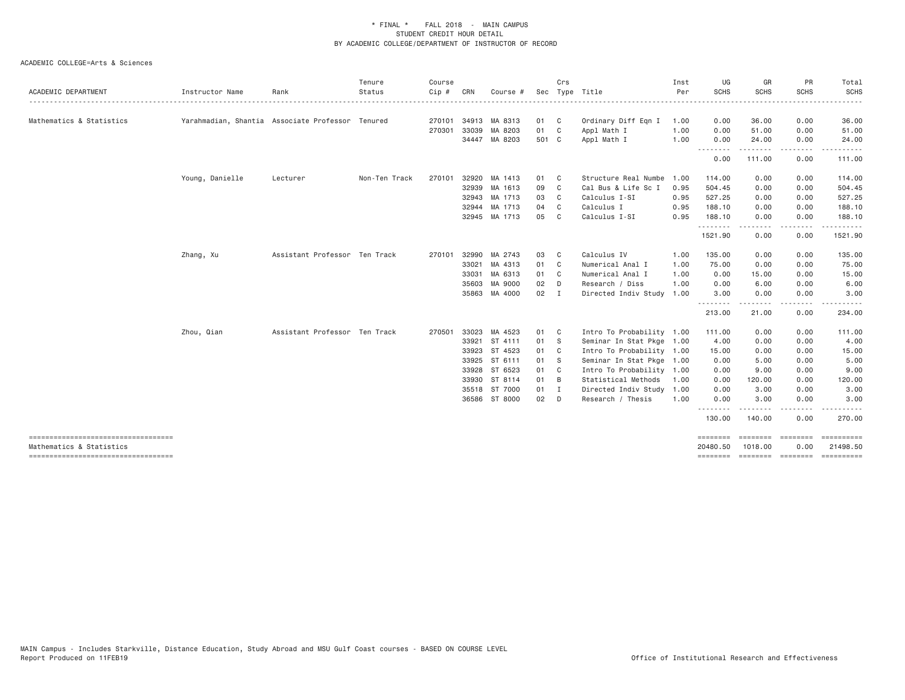| <b>ACADEMIC DEPARTMENT</b>                                       | Instructor Name | Rank                                             | Tenure<br>Status | Course<br>Cip# | CRN   | Course #             |       | Crs            | Sec Type Title            | Inst<br>Per | UG<br>SCHS           | GR<br><b>SCHS</b>            | PR<br><b>SCHS</b> | Total<br><b>SCHS</b>                                                                                                                                          |
|------------------------------------------------------------------|-----------------|--------------------------------------------------|------------------|----------------|-------|----------------------|-------|----------------|---------------------------|-------------|----------------------|------------------------------|-------------------|---------------------------------------------------------------------------------------------------------------------------------------------------------------|
| Mathematics & Statistics                                         |                 | Yarahmadian, Shantia Associate Professor Tenured |                  |                |       | 270101 34913 MA 8313 | 01 C  |                | Ordinary Diff Eqn I       | 1.00        | 0.00                 | 36.00                        | 0.00              | $\frac{1}{2} \left( \frac{1}{2} \right) \left( \frac{1}{2} \right) \left( \frac{1}{2} \right) \left( \frac{1}{2} \right) \left( \frac{1}{2} \right)$<br>36.00 |
|                                                                  |                 |                                                  |                  | 270301         | 33039 | MA 8203              | 01 C  |                | Appl Math I               | 1.00        | 0.00                 | 51,00                        | 0.00              | 51.00                                                                                                                                                         |
|                                                                  |                 |                                                  |                  |                |       | 34447 MA 8203        | 501 C |                | Appl Math I               | 1.00        | 0.00                 | 24.00                        | 0.00              | 24.00                                                                                                                                                         |
|                                                                  |                 |                                                  |                  |                |       |                      |       |                |                           |             | 0.00                 | 111.00                       | .<br>0.00         | 111.00                                                                                                                                                        |
|                                                                  | Young, Danielle | Lecturer                                         | Non-Ten Track    | 270101         |       | 32920 MA 1413        | 01    | C <sub>c</sub> | Structure Real Numbe      | 1.00        | 114.00               | 0.00                         | 0.00              | 114.00                                                                                                                                                        |
|                                                                  |                 |                                                  |                  |                | 32939 | MA 1613              | 09    | C              | Cal Bus & Life Sc I       | 0.95        | 504.45               | 0.00                         | 0.00              | 504.45                                                                                                                                                        |
|                                                                  |                 |                                                  |                  |                |       | 32943 MA 1713        | 03    | C              | Calculus I-SI             | 0.95        | 527.25               | 0.00                         | 0.00              | 527.25                                                                                                                                                        |
|                                                                  |                 |                                                  |                  |                |       | 32944 MA 1713        | 04    | C <sub>c</sub> | Calculus I                | 0.95        | 188.10               | 0.00                         | 0.00              | 188.10                                                                                                                                                        |
|                                                                  |                 |                                                  |                  |                |       | 32945 MA 1713        | 05    | C              | Calculus I-SI             | 0.95        | 188.10               | 0.00                         | 0.00              | 188.10                                                                                                                                                        |
|                                                                  |                 |                                                  |                  |                |       |                      |       |                |                           |             | .<br>1521.90         | 0.00                         | 0.00              | 1521.90                                                                                                                                                       |
|                                                                  | Zhang, Xu       | Assistant Professor Ten Track                    |                  | 270101         | 32990 | MA 2743              | 03    | C.             | Calculus IV               | 1.00        | 135.00               | 0.00                         | 0.00              | 135.00                                                                                                                                                        |
|                                                                  |                 |                                                  |                  |                | 33021 | MA 4313              | 01    | C              | Numerical Anal I          | 1.00        | 75.00                | 0.00                         | 0.00              | 75.00                                                                                                                                                         |
|                                                                  |                 |                                                  |                  |                |       | 33031 MA 6313        | 01    | $\mathbf{C}$   | Numerical Anal I          | 1.00        | 0.00                 | 15.00                        | 0.00              | 15.00                                                                                                                                                         |
|                                                                  |                 |                                                  |                  |                | 35603 | MA 9000              | 02    | D              | Research / Diss           | 1.00        | 0.00                 | 6.00                         | 0.00              | 6.00                                                                                                                                                          |
|                                                                  |                 |                                                  |                  |                |       | 35863 MA 4000        | 02 I  |                | Directed Indiv Study      | 1.00        | 3.00<br>.            | 0.00<br>-----                | 0.00<br>$- - - -$ | 3.00                                                                                                                                                          |
|                                                                  |                 |                                                  |                  |                |       |                      |       |                |                           |             | 213.00               | 21.00                        | 0.00              | 234.00                                                                                                                                                        |
|                                                                  | Zhou, Qian      | Assistant Professor Ten Track                    |                  | 270501         |       | 33023 MA 4523        | 01    | $\mathbf{C}$   | Intro To Probability 1.00 |             | 111.00               | 0.00                         | 0.00              | 111.00                                                                                                                                                        |
|                                                                  |                 |                                                  |                  |                |       | 33921 ST 4111        | 01 S  |                | Seminar In Stat Pkge 1.00 |             | 4.00                 | 0.00                         | 0.00              | 4.00                                                                                                                                                          |
|                                                                  |                 |                                                  |                  |                | 33923 | ST 4523              | 01 C  |                | Intro To Probability 1.00 |             | 15.00                | 0.00                         | 0.00              | 15.00                                                                                                                                                         |
|                                                                  |                 |                                                  |                  |                |       | 33925 ST 6111        | 01 S  |                | Seminar In Stat Pkge 1.00 |             | 0.00                 | 5.00                         | 0.00              | 5.00                                                                                                                                                          |
|                                                                  |                 |                                                  |                  |                | 33928 | ST 6523              | 01    | $\mathbf{C}$   | Intro To Probability 1.00 |             | 0.00                 | 9.00                         | 0.00              | 9.00                                                                                                                                                          |
|                                                                  |                 |                                                  |                  |                | 33930 | ST 8114              | 01    | $\overline{B}$ | Statistical Methods       | 1.00        | 0.00                 | 120.00                       | 0.00              | 120.00                                                                                                                                                        |
|                                                                  |                 |                                                  |                  |                |       | 35518 ST 7000        | 01    | $\blacksquare$ | Directed Indiv Study 1.00 |             | 0.00                 | 3.00                         | 0.00              | 3.00                                                                                                                                                          |
|                                                                  |                 |                                                  |                  |                |       | 36586 ST 8000        | 02    | D              | Research / Thesis         | 1.00        | 0.00                 | 3.00                         | 0.00              | 3.00                                                                                                                                                          |
|                                                                  |                 |                                                  |                  |                |       |                      |       |                |                           |             | 130.00               | . <u>.</u><br>140.00         | $\cdots$<br>0.00  | .<br>270.00                                                                                                                                                   |
| ------------------------------------<br>Mathematics & Statistics |                 |                                                  |                  |                |       |                      |       |                |                           |             | ========<br>20480.50 | $=$ = = = = = = =<br>1018.00 | ========<br>0.00  | ==========<br>21498.50                                                                                                                                        |
| ------------------------------------                             |                 |                                                  |                  |                |       |                      |       |                |                           |             | <b>EEEEEEEE</b>      | ========                     | ========          | EEEEEEEEE                                                                                                                                                     |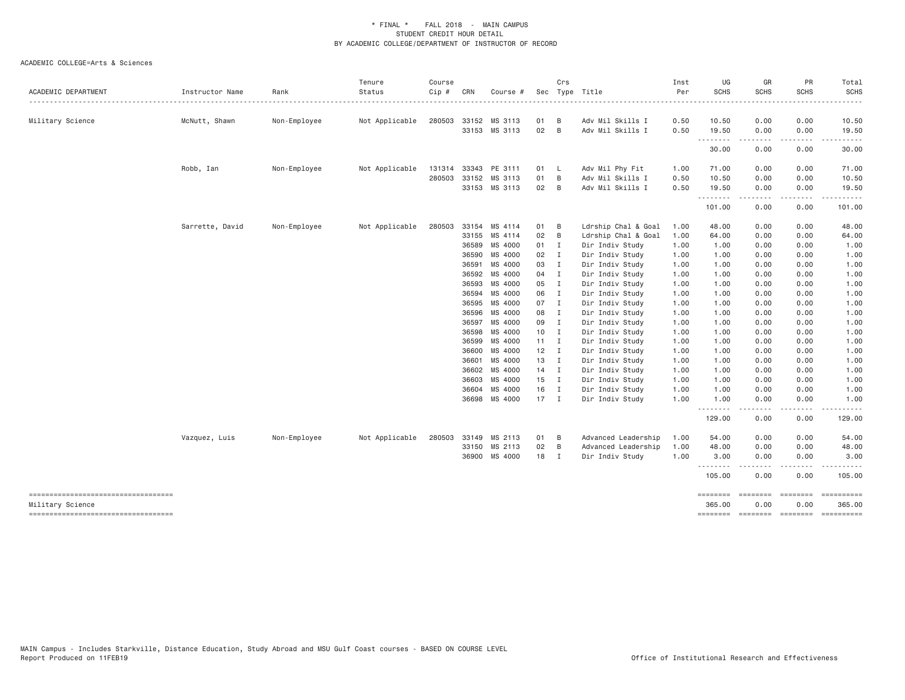| ACADEMIC DEPARTMENT                                     | Instructor Name | Rank         | Tenure<br>Status | Course<br>Cip # | CRN   | Course #                       |              | Crs            | Sec Type Title                       | Inst<br>Per  | UG<br><b>SCHS</b>  | GR<br><b>SCHS</b>                                                                                                                                                                                                                                                                                                                                                                                                                                                                              | PR<br><b>SCHS</b>     | Total<br><b>SCHS</b> |
|---------------------------------------------------------|-----------------|--------------|------------------|-----------------|-------|--------------------------------|--------------|----------------|--------------------------------------|--------------|--------------------|------------------------------------------------------------------------------------------------------------------------------------------------------------------------------------------------------------------------------------------------------------------------------------------------------------------------------------------------------------------------------------------------------------------------------------------------------------------------------------------------|-----------------------|----------------------|
|                                                         |                 |              |                  |                 |       |                                |              |                |                                      |              |                    |                                                                                                                                                                                                                                                                                                                                                                                                                                                                                                |                       |                      |
| Military Science                                        | McNutt, Shawn   | Non-Employee | Not Applicable   | 280503          |       | 33152 MS 3113<br>33153 MS 3113 | 01<br>02     | B<br>B         | Adv Mil Skills I<br>Adv Mil Skills I | 0.50<br>0.50 | 10.50<br>19.50     | 0.00<br>0.00                                                                                                                                                                                                                                                                                                                                                                                                                                                                                   | 0.00<br>0.00          | 10.50<br>19.50       |
|                                                         |                 |              |                  |                 |       |                                |              |                |                                      |              | .<br>30.00         | $\begin{array}{cccccccccccccc} \multicolumn{2}{c}{} & \multicolumn{2}{c}{} & \multicolumn{2}{c}{} & \multicolumn{2}{c}{} & \multicolumn{2}{c}{} & \multicolumn{2}{c}{} & \multicolumn{2}{c}{} & \multicolumn{2}{c}{} & \multicolumn{2}{c}{} & \multicolumn{2}{c}{} & \multicolumn{2}{c}{} & \multicolumn{2}{c}{} & \multicolumn{2}{c}{} & \multicolumn{2}{c}{} & \multicolumn{2}{c}{} & \multicolumn{2}{c}{} & \multicolumn{2}{c}{} & \multicolumn{2}{c}{} & \multicolumn{2}{c}{} & \$<br>0.00 | . <b>.</b><br>0.00    | .<br>30.00           |
|                                                         |                 |              |                  |                 |       |                                |              |                |                                      |              |                    |                                                                                                                                                                                                                                                                                                                                                                                                                                                                                                |                       |                      |
|                                                         | Robb, Ian       | Non-Employee | Not Applicable   | 131314          | 33343 | PE 3111                        | 01 L         |                | Adv Mil Phy Fit                      | 1.00         | 71.00              | 0.00                                                                                                                                                                                                                                                                                                                                                                                                                                                                                           | 0.00                  | 71.00                |
|                                                         |                 |              |                  | 280503          |       | 33152 MS 3113                  | 01           | B              | Adv Mil Skills I                     | 0.50         | 10.50              | 0.00                                                                                                                                                                                                                                                                                                                                                                                                                                                                                           | 0.00                  | 10.50                |
|                                                         |                 |              |                  |                 |       | 33153 MS 3113                  | 02           | B              | Adv Mil Skills I                     | 0.50         | 19.50              | 0.00                                                                                                                                                                                                                                                                                                                                                                                                                                                                                           | 0.00                  | 19.50                |
|                                                         |                 |              |                  |                 |       |                                |              |                |                                      |              | .<br>101.00        | $\frac{1}{2} \left( \frac{1}{2} \right) \left( \frac{1}{2} \right) \left( \frac{1}{2} \right) \left( \frac{1}{2} \right) \left( \frac{1}{2} \right)$<br>0.00                                                                                                                                                                                                                                                                                                                                   | .<br>0.00             | .<br>101.00          |
|                                                         | Sarrette, David | Non-Employee | Not Applicable   | 280503          |       | 33154 MS 4114                  | 01           | B              | Ldrship Chal & Goal                  | 1.00         | 48.00              | 0.00                                                                                                                                                                                                                                                                                                                                                                                                                                                                                           | 0.00                  | 48.00                |
|                                                         |                 |              |                  |                 | 33155 | MS 4114                        | 02           | B              | Ldrship Chal & Goal                  | 1.00         | 64.00              | 0.00                                                                                                                                                                                                                                                                                                                                                                                                                                                                                           | 0.00                  | 64.00                |
|                                                         |                 |              |                  |                 | 36589 | MS 4000                        | 01 I         |                | Dir Indiv Study                      | 1.00         | 1.00               | 0.00                                                                                                                                                                                                                                                                                                                                                                                                                                                                                           | 0.00                  | 1.00                 |
|                                                         |                 |              |                  |                 | 36590 | MS 4000                        | 02           | $\blacksquare$ | Dir Indiv Study                      | 1.00         | 1.00               | 0.00                                                                                                                                                                                                                                                                                                                                                                                                                                                                                           | 0.00                  | 1.00                 |
|                                                         |                 |              |                  |                 | 36591 | MS 4000                        | 03           | $\blacksquare$ | Dir Indiv Study                      | 1.00         | 1.00               | 0.00                                                                                                                                                                                                                                                                                                                                                                                                                                                                                           | 0.00                  | 1.00                 |
|                                                         |                 |              |                  |                 | 36592 | MS 4000                        | 04           | $\blacksquare$ | Dir Indiv Study                      | 1.00         | 1.00               | 0.00                                                                                                                                                                                                                                                                                                                                                                                                                                                                                           | 0.00                  | 1.00                 |
|                                                         |                 |              |                  |                 | 36593 | MS 4000                        | 05           | $\mathbf{I}$   | Dir Indiv Study                      | 1.00         | 1.00               | 0.00                                                                                                                                                                                                                                                                                                                                                                                                                                                                                           | 0.00                  | 1.00                 |
|                                                         |                 |              |                  |                 | 36594 | MS 4000                        | 06           | $\blacksquare$ | Dir Indiv Study                      | 1.00         | 1.00               | 0.00                                                                                                                                                                                                                                                                                                                                                                                                                                                                                           | 0.00                  | 1.00                 |
|                                                         |                 |              |                  |                 | 36595 | MS 4000                        | 07           | $\blacksquare$ | Dir Indiv Study                      | 1.00         | 1.00               | 0.00                                                                                                                                                                                                                                                                                                                                                                                                                                                                                           | 0.00                  | 1.00                 |
|                                                         |                 |              |                  |                 | 36596 | MS 4000                        | 08           | $\blacksquare$ | Dir Indiv Study                      | 1.00         | 1.00               | 0.00                                                                                                                                                                                                                                                                                                                                                                                                                                                                                           | 0.00                  | 1.00                 |
|                                                         |                 |              |                  |                 | 36597 | MS 4000                        | 09           | $\blacksquare$ | Dir Indiv Study                      | 1.00         | 1.00               | 0.00                                                                                                                                                                                                                                                                                                                                                                                                                                                                                           | 0.00                  | 1.00                 |
|                                                         |                 |              |                  |                 | 36598 | MS 4000                        | $10$ I       |                | Dir Indiv Study                      | 1.00         | 1.00               | 0.00                                                                                                                                                                                                                                                                                                                                                                                                                                                                                           | 0.00                  | 1.00                 |
|                                                         |                 |              |                  |                 | 36599 | MS 4000                        | $11 \quad I$ |                | Dir Indiv Study                      | 1.00         | 1.00               | 0.00                                                                                                                                                                                                                                                                                                                                                                                                                                                                                           | 0.00                  | 1.00                 |
|                                                         |                 |              |                  |                 | 36600 | MS 4000                        | $12$ I       |                | Dir Indiv Study                      | 1.00         | 1.00               | 0.00                                                                                                                                                                                                                                                                                                                                                                                                                                                                                           | 0.00                  | 1.00                 |
|                                                         |                 |              |                  |                 | 36601 | MS 4000                        | 13 I         |                | Dir Indiv Study                      | 1.00         | 1.00               | 0.00                                                                                                                                                                                                                                                                                                                                                                                                                                                                                           | 0.00                  | 1.00                 |
|                                                         |                 |              |                  |                 | 36602 | MS 4000                        | $14$ I       |                | Dir Indiv Study                      | 1.00         | 1.00               | 0.00                                                                                                                                                                                                                                                                                                                                                                                                                                                                                           | 0.00                  | 1.00                 |
|                                                         |                 |              |                  |                 | 36603 | MS 4000                        | 15           | $\blacksquare$ | Dir Indiv Study                      | 1.00         | 1.00               | 0.00                                                                                                                                                                                                                                                                                                                                                                                                                                                                                           | 0.00                  | 1.00                 |
|                                                         |                 |              |                  |                 | 36604 | MS 4000                        | 16           | $\mathbf{I}$   | Dir Indiv Study                      | 1.00         | 1.00               | 0.00                                                                                                                                                                                                                                                                                                                                                                                                                                                                                           | 0.00                  | 1.00                 |
|                                                         |                 |              |                  |                 | 36698 | MS 4000                        | $17$ I       |                | Dir Indiv Study                      | 1.00         | 1.00<br>--------   | 0.00                                                                                                                                                                                                                                                                                                                                                                                                                                                                                           | 0.00                  | 1.00                 |
|                                                         |                 |              |                  |                 |       |                                |              |                |                                      |              | 129.00             | 0.00                                                                                                                                                                                                                                                                                                                                                                                                                                                                                           | 0.00                  | 129.00               |
|                                                         | Vazquez, Luis   | Non-Employee | Not Applicable   | 280503          | 33149 | MS 2113                        | 01           | $\overline{B}$ | Advanced Leadership                  | 1.00         | 54.00              | 0.00                                                                                                                                                                                                                                                                                                                                                                                                                                                                                           | 0.00                  | 54.00                |
|                                                         |                 |              |                  |                 | 33150 | MS 2113                        | 02           | B              | Advanced Leadership                  | 1.00         | 48.00              | 0.00                                                                                                                                                                                                                                                                                                                                                                                                                                                                                           | 0.00                  | 48.00                |
|                                                         |                 |              |                  |                 | 36900 | MS 4000                        | 18           | $\blacksquare$ | Dir Indiv Study                      | 1.00         | 3.00<br>.          | 0.00                                                                                                                                                                                                                                                                                                                                                                                                                                                                                           | 0.00                  | 3.00                 |
|                                                         |                 |              |                  |                 |       |                                |              |                |                                      |              | 105.00             | 0.00                                                                                                                                                                                                                                                                                                                                                                                                                                                                                           | 0.00                  | 105.00               |
| -----------------------------------<br>Military Science |                 |              |                  |                 |       |                                |              |                |                                      |              | ========<br>365.00 | $\qquad \qquad \equiv \equiv \equiv \equiv \equiv \equiv \equiv \equiv$<br>0.00                                                                                                                                                                                                                                                                                                                                                                                                                | $= 222222222$<br>0.00 | ==========<br>365.00 |
| ----------------------------------                      |                 |              |                  |                 |       |                                |              |                |                                      |              |                    | -------- -------- -------                                                                                                                                                                                                                                                                                                                                                                                                                                                                      |                       | ==========           |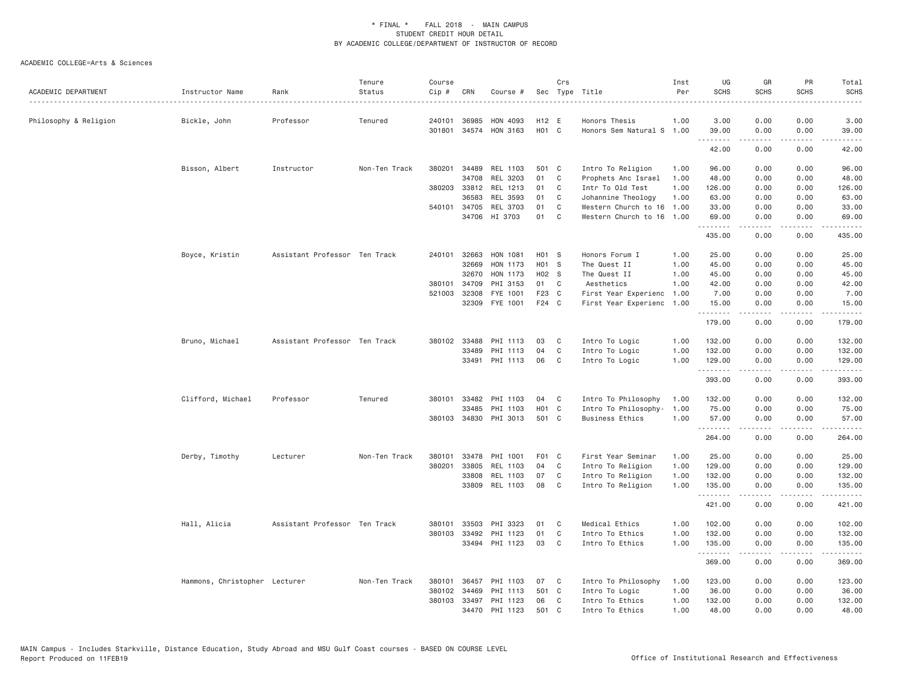| ACADEMIC DEPARTMENT   | Instructor Name               | Rank                          | Tenure<br>Status | Course<br>Cip # | CRN          | Course #              |                   | Crs | Sec Type Title            | Inst<br>Per | UG<br><b>SCHS</b>                                     | GR<br><b>SCHS</b> | PR<br><b>SCHS</b> | Total<br><b>SCHS</b>                                                                                                                                                                      |
|-----------------------|-------------------------------|-------------------------------|------------------|-----------------|--------------|-----------------------|-------------------|-----|---------------------------|-------------|-------------------------------------------------------|-------------------|-------------------|-------------------------------------------------------------------------------------------------------------------------------------------------------------------------------------------|
| Philosophy & Religion | Bickle, John                  | Professor                     | Tenured          | 240101          | 36985        | HON 4093              | H12 E             |     | Honors Thesis             | 1.00        | 3.00                                                  | 0.00              | 0.00              | 3.00                                                                                                                                                                                      |
|                       |                               |                               |                  | 301801          |              | 34574 HON 3163        | H01 C             |     | Honors Sem Natural S 1.00 |             | 39.00<br>$\omega$ $\omega$ $\omega$ $\omega$ $\omega$ | 0.00<br>-----     | 0.00<br>.         | 39.00<br>.                                                                                                                                                                                |
|                       |                               |                               |                  |                 |              |                       |                   |     |                           |             | 42.00                                                 | 0.00              | 0.00              | 42.00                                                                                                                                                                                     |
|                       | Bisson, Albert                | Instructor                    | Non-Ten Track    | 380201          | 34489        | REL 1103              | 501 C             |     | Intro To Religion         | 1.00        | 96.00                                                 | 0.00              | 0.00              | 96.00                                                                                                                                                                                     |
|                       |                               |                               |                  |                 | 34708        | REL 3203              | 01                | C   | Prophets Anc Israel       | 1.00        | 48.00                                                 | 0.00              | 0.00              | 48.00                                                                                                                                                                                     |
|                       |                               |                               |                  |                 |              | 380203 33812 REL 1213 | 01                | C   | Intr To Old Test          | 1.00        | 126.00                                                | 0.00              | 0.00              | 126.00                                                                                                                                                                                    |
|                       |                               |                               |                  |                 | 36583        | REL 3593              | 01                | C   | Johannine Theology        | 1.00        | 63.00                                                 | 0.00              | 0.00              | 63.00                                                                                                                                                                                     |
|                       |                               |                               |                  | 540101          | 34705        | REL 3703              | 01                | C   | Western Church to 16      | 1.00        | 33.00                                                 | 0.00              | 0.00              | 33.00                                                                                                                                                                                     |
|                       |                               |                               |                  |                 |              | 34706 HI 3703         | 01                | C   | Western Church to 16      | 1.00        | 69.00<br>.                                            | 0.00<br>.         | 0.00<br>.         | 69.00<br>.                                                                                                                                                                                |
|                       |                               |                               |                  |                 |              |                       |                   |     |                           |             | 435.00                                                | 0.00              | 0.00              | 435.00                                                                                                                                                                                    |
|                       | Boyce, Kristin                | Assistant Professor Ten Track |                  | 240101          | 32663        | HON 1081              | H <sub>01</sub> S |     | Honors Forum I            | 1,00        | 25.00                                                 | 0.00              | 0.00              | 25.00                                                                                                                                                                                     |
|                       |                               |                               |                  |                 | 32669        | HON 1173              | H01 S             |     | The Quest II              | 1.00        | 45.00                                                 | 0.00              | 0.00              | 45.00                                                                                                                                                                                     |
|                       |                               |                               |                  |                 | 32670        | HON 1173              | H02 S             |     | The Quest II              | 1.00        | 45.00                                                 | 0.00              | 0.00              | 45.00                                                                                                                                                                                     |
|                       |                               |                               |                  | 380101          | 34709        | PHI 3153              | 01                | C   | Aesthetics                | 1.00        | 42.00                                                 | 0.00              | 0.00              | 42.00                                                                                                                                                                                     |
|                       |                               |                               |                  | 521003          | 32308        | FYE 1001              | F23 C             |     | First Year Experienc      | 1.00        | 7.00                                                  | 0.00              | 0.00              | 7.00                                                                                                                                                                                      |
|                       |                               |                               |                  |                 | 32309        | FYE 1001              | F24 C             |     | First Year Experienc      | 1.00        | 15.00<br>.                                            | 0.00<br>-----     | 0.00<br>.         | 15.00<br>.                                                                                                                                                                                |
|                       |                               |                               |                  |                 |              |                       |                   |     |                           |             | 179.00                                                | 0.00              | 0.00              | 179.00                                                                                                                                                                                    |
|                       | Bruno, Michael                | Assistant Professor Ten Track |                  |                 | 380102 33488 | PHI 1113              | 03                | C   | Intro To Logic            | 1.00        | 132.00                                                | 0.00              | 0.00              | 132.00                                                                                                                                                                                    |
|                       |                               |                               |                  |                 | 33489        | PHI 1113              | 04                | C   | Intro To Logic            | 1.00        | 132.00                                                | 0.00              | 0.00              | 132.00                                                                                                                                                                                    |
|                       |                               |                               |                  |                 | 33491        | PHI 1113              | 06                | C   | Intro To Logic            | 1.00        | 129.00<br>.                                           | 0.00<br>.         | 0.00<br>.         | 129.00<br>.                                                                                                                                                                               |
|                       |                               |                               |                  |                 |              |                       |                   |     |                           |             | 393.00                                                | 0.00              | 0.00              | 393.00                                                                                                                                                                                    |
|                       | Clifford, Michael             | Professor                     | Tenured          | 380101          | 33482        | PHI 1103              | 04                | C   | Intro To Philosophy       | 1.00        | 132.00                                                | 0.00              | 0.00              | 132.00                                                                                                                                                                                    |
|                       |                               |                               |                  |                 | 33485        | PHI 1103              | H <sub>01</sub> C |     | Intro To Philosophy-      | 1.00        | 75.00                                                 | 0.00              | 0.00              | 75.00                                                                                                                                                                                     |
|                       |                               |                               |                  |                 |              | 380103 34830 PHI 3013 | 501 C             |     | <b>Business Ethics</b>    | 1.00        | 57.00                                                 | 0.00<br>.         | 0.00<br>.         | 57.00<br>$\begin{array}{cccccccccc} \bullet & \bullet & \bullet & \bullet & \bullet & \bullet & \bullet \end{array}$                                                                      |
|                       |                               |                               |                  |                 |              |                       |                   |     |                           |             | 264.00                                                | 0.00              | 0.00              | 264.00                                                                                                                                                                                    |
|                       | Derby, Timothy                | Lecturer                      | Non-Ten Track    | 380101          | 33478        | PHI 1001              | F01 C             |     | First Year Seminar        | 1.00        | 25.00                                                 | 0.00              | 0.00              | 25.00                                                                                                                                                                                     |
|                       |                               |                               |                  | 380201          | 33805        | REL 1103              | 04                | C   | Intro To Religion         | 1.00        | 129.00                                                | 0.00              | 0.00              | 129.00                                                                                                                                                                                    |
|                       |                               |                               |                  |                 | 33808        | REL 1103              | 07                | C   | Intro To Religion         | 1.00        | 132.00                                                | 0.00              | 0.00              | 132.00                                                                                                                                                                                    |
|                       |                               |                               |                  |                 |              | 33809 REL 1103        | 08                | C.  | Intro To Religion         | 1.00        | 135.00<br>.                                           | 0.00<br><u>.</u>  | 0.00<br>.         | 135.00<br>$\frac{1}{2} \left( \frac{1}{2} \right) \left( \frac{1}{2} \right) \left( \frac{1}{2} \right) \left( \frac{1}{2} \right) \left( \frac{1}{2} \right) \left( \frac{1}{2} \right)$ |
|                       |                               |                               |                  |                 |              |                       |                   |     |                           |             | 421.00                                                | 0.00              | 0.00              | 421.00                                                                                                                                                                                    |
|                       | Hall, Alicia                  | Assistant Professor Ten Track |                  | 380101          | 33503        | PHI 3323              | 01                | C   | Medical Ethics            | 1.00        | 102.00                                                | 0.00              | 0.00              | 102.00                                                                                                                                                                                    |
|                       |                               |                               |                  | 380103          | 33492        | PHI 1123              | 01                | C   | Intro To Ethics           | 1.00        | 132.00                                                | 0.00              | 0.00              | 132.00                                                                                                                                                                                    |
|                       |                               |                               |                  |                 |              | 33494 PHI 1123        | 03                | C   | Intro To Ethics           | 1.00        | 135.00<br>.                                           | 0.00              | 0.00              | 135.00<br>.                                                                                                                                                                               |
|                       |                               |                               |                  |                 |              |                       |                   |     |                           |             | 369.00                                                | -----<br>0.00     | .<br>0.00         | 369.00                                                                                                                                                                                    |
|                       | Hammons, Christopher Lecturer |                               | Non-Ten Track    | 380101          | 36457        | PHI 1103              | 07                | C   | Intro To Philosophy       | 1.00        | 123.00                                                | 0.00              | 0.00              | 123.00                                                                                                                                                                                    |
|                       |                               |                               |                  | 380102          | 34469        | PHI 1113              | 501 C             |     | Intro To Logic            | 1.00        | 36.00                                                 | 0.00              | 0.00              | 36.00                                                                                                                                                                                     |
|                       |                               |                               |                  | 380103          | 33497        | PHI 1123              | 06                | C   | Intro To Ethics           | 1.00        | 132.00                                                | 0.00              | 0.00              | 132.00                                                                                                                                                                                    |
|                       |                               |                               |                  |                 |              | 34470 PHI 1123        | 501               | C.  | Intro To Ethics           | 1.00        | 48.00                                                 | 0.00              | 0.00              | 48.00                                                                                                                                                                                     |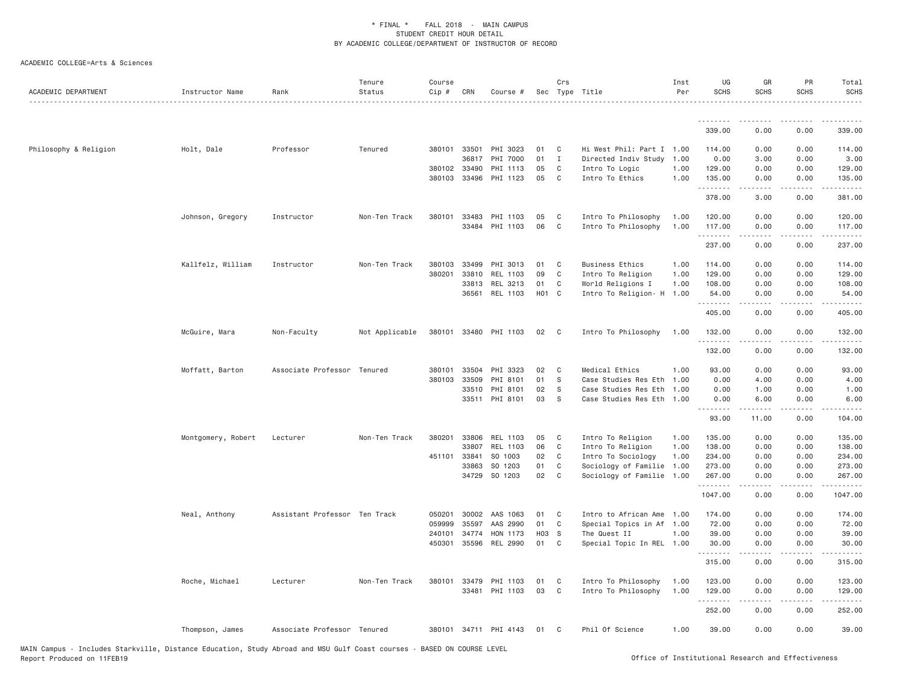| ACADEMIC DEPARTMENT   | Instructor Name    | Rank                          | Tenure<br>Status | Course<br>Cip # | CRN   | Course #              |                   | Crs            | Sec Type Title            | Inst<br>Per | UG<br><b>SCHS</b> | GR<br><b>SCHS</b> | PR<br><b>SCHS</b>                   | Total<br><b>SCHS</b> |
|-----------------------|--------------------|-------------------------------|------------------|-----------------|-------|-----------------------|-------------------|----------------|---------------------------|-------------|-------------------|-------------------|-------------------------------------|----------------------|
|                       |                    |                               |                  |                 |       |                       |                   |                |                           |             | <u>.</u>          | .                 |                                     |                      |
|                       |                    |                               |                  |                 |       |                       |                   |                |                           |             | 339.00            | 0.00              | 0.00                                | 339.00               |
| Philosophy & Religion | Holt, Dale         | Professor                     | Tenured          | 380101          | 33501 | PHI 3023              | 01                | C              | Hi West Phil: Part I 1.00 |             | 114.00            | 0.00              | 0.00                                | 114.00               |
|                       |                    |                               |                  |                 | 36817 | PHI 7000              | 01                | $\mathbf{I}$   | Directed Indiv Study 1.00 |             | 0.00              | 3.00              | 0.00                                | 3.00                 |
|                       |                    |                               |                  | 380102          | 33490 | PHI 1113              | 05                | C              | Intro To Logic            | 1.00        | 129.00            | 0.00              | 0.00                                | 129.00               |
|                       |                    |                               |                  | 380103          | 33496 | PHI 1123              | 05                | C              | Intro To Ethics           | 1.00        | 135.00            | 0.00<br>-----     | 0.00<br>$\sim$ $\sim$ $\sim$ $\sim$ | 135.00               |
|                       |                    |                               |                  |                 |       |                       |                   |                |                           |             | 378.00            | 3.00              | 0.00                                | 381.00               |
|                       | Johnson, Gregory   | Instructor                    | Non-Ten Track    | 380101          | 33483 | PHI 1103              | 05                | C              | Intro To Philosophy       | 1.00        | 120.00            | 0.00              | 0.00                                | 120.00               |
|                       |                    |                               |                  |                 | 33484 | PHI 1103              | 06                | $\mathbf{C}$   | Intro To Philosophy       | 1.00        | 117.00<br>.       | 0.00              | 0.00                                | 117.00               |
|                       |                    |                               |                  |                 |       |                       |                   |                |                           |             | 237.00            | 0.00              | 0.00                                | 237.00               |
|                       | Kallfelz, William  | Instructor                    | Non-Ten Track    | 380103          | 33499 | PHI 3013              | 01                | C              | Business Ethics           | 1.00        | 114.00            | 0.00              | 0.00                                | 114.00               |
|                       |                    |                               |                  | 380201          | 33810 | REL 1103              | 09                | C              | Intro To Religion         | 1.00        | 129.00            | 0.00              | 0.00                                | 129.00               |
|                       |                    |                               |                  |                 | 33813 | REL 3213              | 01                | C              | World Religions I         | 1.00        | 108.00            | 0.00              | 0.00                                | 108.00               |
|                       |                    |                               |                  |                 |       | 36561 REL 1103        | H <sub>01</sub> C |                | Intro To Religion- H      | 1.00        | 54.00<br>.        | 0.00              | 0.00                                | 54.00                |
|                       |                    |                               |                  |                 |       |                       |                   |                |                           |             | 405.00            | 0.00              | 0.00                                | 405.00               |
|                       | McGuire, Mara      | Non-Faculty                   | Not Applicable   |                 |       | 380101 33480 PHI 1103 | 02                | $\mathbf{C}$   | Intro To Philosophy       | 1.00        | 132.00            | 0.00              | 0.00                                | 132.00               |
|                       |                    |                               |                  |                 |       |                       |                   |                |                           |             | .<br>132.00       | 0.00              | 0.00                                | .<br>132.00          |
|                       | Moffatt, Barton    | Associate Professor Tenured   |                  | 380101          | 33504 | PHI 3323              | 02                | C <sub>c</sub> | Medical Ethics            | 1.00        | 93.00             | 0.00              | 0.00                                | 93.00                |
|                       |                    |                               |                  | 380103          | 33509 | PHI 8101              | 01                | - S            | Case Studies Res Eth      | 1.00        | 0.00              | 4.00              | 0.00                                | 4.00                 |
|                       |                    |                               |                  |                 | 33510 | PHI 8101              | 02                | - S            | Case Studies Res Eth 1.00 |             | 0.00              | 1.00              | 0.00                                | 1.00                 |
|                       |                    |                               |                  |                 | 33511 | PHI 8101              | 03                | <sub>S</sub>   | Case Studies Res Eth 1.00 |             | 0.00<br>.         | 6.00              | 0.00                                | 6.00                 |
|                       |                    |                               |                  |                 |       |                       |                   |                |                           |             | 93.00             | 11.00             | 0.00                                | 104.00               |
|                       | Montgomery, Robert | Lecturer                      | Non-Ten Track    | 380201          | 33806 | REL 1103              | 05                | C <sub>c</sub> | Intro To Religion         | 1.00        | 135.00            | 0.00              | 0.00                                | 135.00               |
|                       |                    |                               |                  |                 | 33807 | REL 1103              | 06                | C              | Intro To Religion         | 1.00        | 138.00            | 0.00              | 0.00                                | 138.00               |
|                       |                    |                               |                  | 451101 33841    |       | SO 1003               | 02                | $\mathbf{C}$   | Intro To Sociology        | 1.00        | 234.00            | 0.00              | 0.00                                | 234.00               |
|                       |                    |                               |                  |                 | 33863 | SO 1203               | 01                | C              | Sociology of Familie      | 1.00        | 273.00            | 0.00              | 0.00                                | 273.00               |
|                       |                    |                               |                  |                 | 34729 | SO 1203               | 02                | C              | Sociology of Familie 1.00 |             | 267.00<br>.       | 0.00<br>.         | 0.00                                | 267.00<br>.          |
|                       |                    |                               |                  |                 |       |                       |                   |                |                           |             | 1047.00           | 0.00              | 0.00                                | 1047.00              |
|                       | Neal, Anthony      | Assistant Professor Ten Track |                  | 050201          | 30002 | AAS 1063              | 01                | C              | Intro to African Ame      | 1.00        | 174.00            | 0.00              | 0.00                                | 174.00               |
|                       |                    |                               |                  | 059999          | 35597 | AAS 2990              | 01                | $\mathbf{C}$   | Special Topics in Af 1.00 |             | 72.00             | 0.00              | 0.00                                | 72.00                |
|                       |                    |                               |                  | 240101          | 34774 | HON 1173              | HO <sub>3</sub> S |                | The Quest II              | 1.00        | 39.00             | 0.00              | 0.00                                | 39.00                |
|                       |                    |                               |                  | 450301          | 35596 | REL 2990              | 01                | C              | Special Topic In REL 1.00 |             | 30.00<br>.        | 0.00              | 0.00                                | 30.00                |
|                       |                    |                               |                  |                 |       |                       |                   |                |                           |             | 315.00            | 0.00              | 0.00                                | 315.00               |
|                       | Roche, Michael     | Lecturer                      | Non-Ten Track    |                 |       | 380101 33479 PHI 1103 | 01                | C              | Intro To Philosophy       | 1.00        | 123.00            | 0.00              | 0.00                                | 123.00               |
|                       |                    |                               |                  |                 |       | 33481 PHI 1103        | 03                | C              | Intro To Philosophy       | 1.00        | 129.00            | 0.00              | 0.00                                | 129.00               |
|                       |                    |                               |                  |                 |       |                       |                   |                |                           |             |                   |                   |                                     |                      |
|                       |                    |                               |                  |                 |       |                       |                   |                |                           |             | .<br>252.00       | 0.00              | .<br>0.00                           | 252.00               |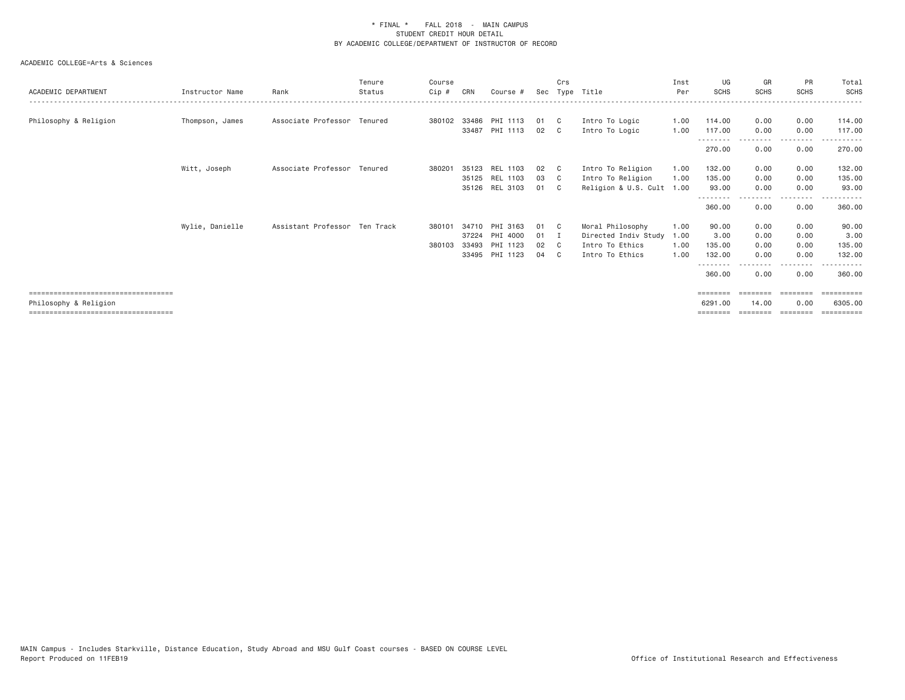| ACADEMIC DEPARTMENT                  | Instructor Name | Rank                          | Tenure<br>Status | Course<br>Cip # | CRN   | Course #       | Sec | Crs | Type Title           | Inst<br>Per | UG<br><b>SCHS</b>  | GR<br><b>SCHS</b> | <b>PR</b><br><b>SCHS</b> | Total<br><b>SCHS</b>                                                                                                                                                                                                                                                                                                                                                                                                                                                                 |
|--------------------------------------|-----------------|-------------------------------|------------------|-----------------|-------|----------------|-----|-----|----------------------|-------------|--------------------|-------------------|--------------------------|--------------------------------------------------------------------------------------------------------------------------------------------------------------------------------------------------------------------------------------------------------------------------------------------------------------------------------------------------------------------------------------------------------------------------------------------------------------------------------------|
| Philosophy & Religion                | Thompson, James | Associate Professor Tenured   |                  | 380102          | 33486 | PHI 1113       | 01  | C.  | Intro To Logic       | 1.00        | 114.00             | 0.00              | 0.00                     | 114.00                                                                                                                                                                                                                                                                                                                                                                                                                                                                               |
|                                      |                 |                               |                  |                 | 33487 | PHI 1113       | 02  | C.  | Intro To Logic       | 1.00        | 117,00             | 0.00              | 0.00                     | 117.00                                                                                                                                                                                                                                                                                                                                                                                                                                                                               |
|                                      |                 |                               |                  |                 |       |                |     |     |                      |             | --------<br>270.00 | 0.00              | 0.00                     | 270.00                                                                                                                                                                                                                                                                                                                                                                                                                                                                               |
|                                      | Witt, Joseph    | Associate Professor Tenured   |                  | 380201          |       | 35123 REL 1103 | 02  | C.  | Intro To Religion    | 1.00        | 132.00             | 0.00              | 0.00                     | 132.00                                                                                                                                                                                                                                                                                                                                                                                                                                                                               |
|                                      |                 |                               |                  |                 |       | 35125 REL 1103 | 03  | C.  | Intro To Religion    | 1.00        | 135,00             | 0.00              | 0.00                     | 135.00                                                                                                                                                                                                                                                                                                                                                                                                                                                                               |
|                                      |                 |                               |                  |                 |       | 35126 REL 3103 | 01  |     | Religion & U.S. Cult | 1.00        | 93.00              | 0.00              | 0.00                     | 93.00                                                                                                                                                                                                                                                                                                                                                                                                                                                                                |
|                                      |                 |                               |                  |                 |       |                |     |     |                      |             | --------<br>360.00 | -----<br>0.00     | ---------<br>0.00        | 360.00                                                                                                                                                                                                                                                                                                                                                                                                                                                                               |
|                                      | Wylie, Danielle | Assistant Professor Ten Track |                  | 380101          | 34710 | PHI 3163       | 01  | C C | Moral Philosophy     | 1.00        | 90.00              | 0.00              | 0.00                     | 90.00                                                                                                                                                                                                                                                                                                                                                                                                                                                                                |
|                                      |                 |                               |                  |                 |       | 37224 PHI 4000 | 01  |     | Directed Indiv Study | 1.00        | 3.00               | 0.00              | 0.00                     | 3.00                                                                                                                                                                                                                                                                                                                                                                                                                                                                                 |
|                                      |                 |                               |                  | 380103          |       | 33493 PHI 1123 | 02  | - C | Intro To Ethics      | 1.00        | 135.00             | 0.00              | 0.00                     | 135.00                                                                                                                                                                                                                                                                                                                                                                                                                                                                               |
|                                      |                 |                               |                  |                 |       | 33495 PHI 1123 | 04  | C.  | Intro To Ethics      | 1.00        | 132.00             | 0.00              | 0.00                     | 132.00                                                                                                                                                                                                                                                                                                                                                                                                                                                                               |
|                                      |                 |                               |                  |                 |       |                |     |     |                      |             | 360.00             | 0.00              | <u>.</u><br>0.00         | $\frac{1}{2} \left( \frac{1}{2} \right) \left( \frac{1}{2} \right) \left( \frac{1}{2} \right) \left( \frac{1}{2} \right) \left( \frac{1}{2} \right) \left( \frac{1}{2} \right) \left( \frac{1}{2} \right) \left( \frac{1}{2} \right) \left( \frac{1}{2} \right) \left( \frac{1}{2} \right) \left( \frac{1}{2} \right) \left( \frac{1}{2} \right) \left( \frac{1}{2} \right) \left( \frac{1}{2} \right) \left( \frac{1}{2} \right) \left( \frac{1}{2} \right) \left( \frac$<br>360.00 |
| ==================================== |                 |                               |                  |                 |       |                |     |     |                      |             |                    |                   |                          | .                                                                                                                                                                                                                                                                                                                                                                                                                                                                                    |
| Philosophy & Religion                |                 |                               |                  |                 |       |                |     |     |                      |             | 6291,00            | 14.00             | 0.00                     | 6305,00                                                                                                                                                                                                                                                                                                                                                                                                                                                                              |
| ==================================== |                 |                               |                  |                 |       |                |     |     |                      |             |                    |                   |                          | eessesses                                                                                                                                                                                                                                                                                                                                                                                                                                                                            |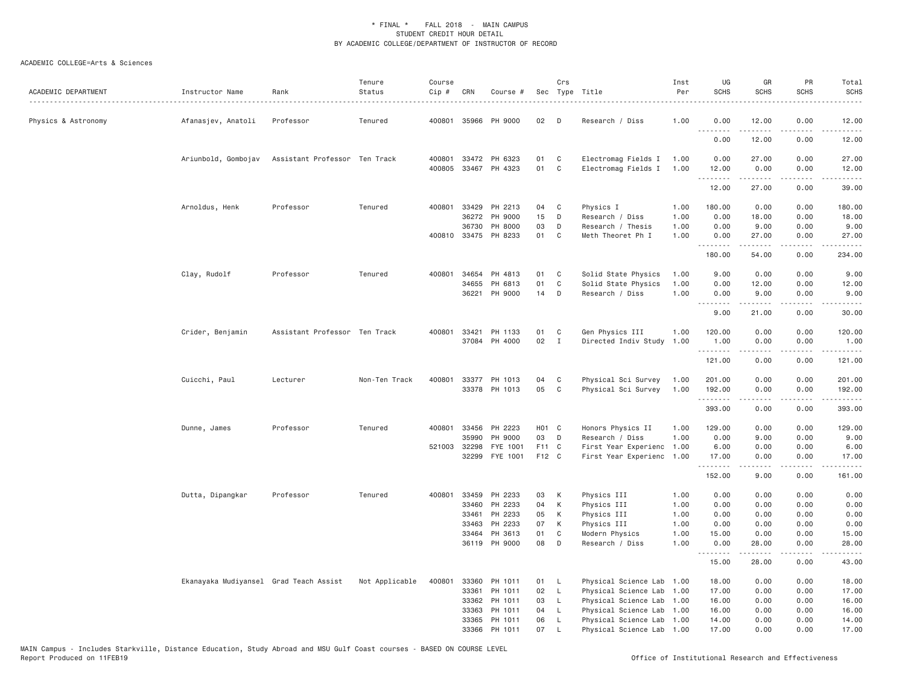| ACADEMIC DEPARTMENT | Instructor Name                        | Rank                          | Tenure<br>Status | Course<br>Cip # | CRN   | Course #             |       | Crs          | Sec Type Title            | Inst<br>Per | UG<br><b>SCHS</b>                             | GR<br><b>SCHS</b>    | PR<br><b>SCHS</b> | Total<br><b>SCHS</b>                                                                                                  |
|---------------------|----------------------------------------|-------------------------------|------------------|-----------------|-------|----------------------|-------|--------------|---------------------------|-------------|-----------------------------------------------|----------------------|-------------------|-----------------------------------------------------------------------------------------------------------------------|
| Physics & Astronomy | Afanasjev, Anatoli                     | Professor                     | Tenured          | 400801          |       | 35966 PH 9000        | 02    | D            | Research / Diss           | 1.00        | 0.00                                          | 12.00                | 0.00              | 12.00                                                                                                                 |
|                     |                                        |                               |                  |                 |       |                      |       |              |                           |             | .<br>0.00                                     | $- - - - -$<br>12.00 | $- - - -$<br>0.00 | .<br>12.00                                                                                                            |
|                     | Ariunbold, Gombojav                    | Assistant Professor Ten Track |                  | 400801          |       | 33472 PH 6323        | 01    | C            | Electromag Fields I       | 1.00        | 0.00                                          | 27.00                | 0.00              | 27.00                                                                                                                 |
|                     |                                        |                               |                  |                 |       | 400805 33467 PH 4323 | 01    | C            | Electromag Fields I       | 1.00        | 12.00                                         | 0.00<br>.            | 0.00<br>.         | 12.00<br>.                                                                                                            |
|                     |                                        |                               |                  |                 |       |                      |       |              |                           |             | 12.00                                         | 27.00                | 0.00              | 39.00                                                                                                                 |
|                     | Arnoldus, Henk                         | Professor                     | Tenured          | 400801          |       | 33429 PH 2213        | 04    | C            | Physics I                 | 1.00        | 180.00                                        | 0.00                 | 0.00              | 180.00                                                                                                                |
|                     |                                        |                               |                  |                 |       | 36272 PH 9000        | 15    | D            | Research / Diss           | 1.00        | 0.00                                          | 18.00                | 0.00              | 18.00                                                                                                                 |
|                     |                                        |                               |                  |                 | 36730 | PH 8000              | 03    | D            | Research / Thesis         | 1.00        | 0.00                                          | 9.00                 | 0.00              | 9.00                                                                                                                  |
|                     |                                        |                               |                  |                 |       | 400810 33475 PH 8233 | 01    | C            | Meth Theoret Ph I         | 1.00        | 0.00<br>.                                     | 27.00<br>.           | 0.00<br>.         | 27.00<br>.                                                                                                            |
|                     |                                        |                               |                  |                 |       |                      |       |              |                           |             | 180.00                                        | 54.00                | 0.00              | 234.00                                                                                                                |
|                     | Clay, Rudolf                           | Professor                     | Tenured          | 400801          | 34654 | PH 4813              | 01    | C            | Solid State Physics       | 1.00        | 9.00                                          | 0.00                 | 0.00              | 9.00                                                                                                                  |
|                     |                                        |                               |                  |                 | 34655 | PH 6813              | 01    | C            | Solid State Physics       | 1.00        | 0.00                                          | 12.00                | 0.00              | 12.00                                                                                                                 |
|                     |                                        |                               |                  |                 | 36221 | PH 9000              | 14    | D            | Research / Diss           | 1.00        | 0.00                                          | 9.00                 | 0.00              | 9.00                                                                                                                  |
|                     |                                        |                               |                  |                 |       |                      |       |              |                           |             | $\sim$ $\sim$ $\sim$ $\sim$<br>لأعاجب<br>9.00 | .<br>21.00           | $  -$<br>0.00     | 30.00                                                                                                                 |
|                     | Crider, Benjamin                       | Assistant Professor Ten Track |                  | 400801          | 33421 | PH 1133              | 01    | C            | Gen Physics III           | 1.00        | 120.00                                        | 0.00                 | 0.00              | 120.00                                                                                                                |
|                     |                                        |                               |                  |                 |       | 37084 PH 4000        | 02    | $\mathbf{I}$ | Directed Indiv Study      | 1.00        | 1.00                                          | 0.00                 | 0.00              | 1.00                                                                                                                  |
|                     |                                        |                               |                  |                 |       |                      |       |              |                           |             | .<br>121.00                                   | .<br>0.00            | .<br>0.00         | $\begin{array}{cccccccccc} \bullet & \bullet & \bullet & \bullet & \bullet & \bullet & \bullet \end{array}$<br>121.00 |
|                     | Cuicchi, Paul                          | Lecturer                      | Non-Ten Track    | 400801          |       | 33377 PH 1013        | 04    | C            | Physical Sci Survey       | 1.00        | 201.00                                        | 0.00                 | 0.00              | 201.00                                                                                                                |
|                     |                                        |                               |                  |                 |       | 33378 PH 1013        | 05    | C            | Physical Sci Survey       | 1.00        | 192.00                                        | 0.00                 | 0.00              | 192.00                                                                                                                |
|                     |                                        |                               |                  |                 |       |                      |       |              |                           |             | .<br>393.00                                   | -----<br>0.00        | .<br>0.00         | .<br>393.00                                                                                                           |
|                     | Dunne, James                           | Professor                     | Tenured          | 400801          | 33456 | PH 2223              | HO1 C |              | Honors Physics II         | 1.00        | 129.00                                        | 0.00                 | 0.00              | 129.00                                                                                                                |
|                     |                                        |                               |                  |                 | 35990 | PH 9000              | 03    | D            | Research / Diss           | 1.00        | 0.00                                          | 9.00                 | 0.00              | 9.00                                                                                                                  |
|                     |                                        |                               |                  | 521003          | 32298 | FYE 1001             | F11 C |              | First Year Experienc      | 1.00        | 6.00                                          | 0.00                 | 0.00              | 6.00                                                                                                                  |
|                     |                                        |                               |                  |                 |       | 32299 FYE 1001       | F12 C |              | First Year Experienc      | 1.00        | 17.00<br>.                                    | 0.00<br>.            | 0.00<br>.         | 17.00<br><u>.</u>                                                                                                     |
|                     |                                        |                               |                  |                 |       |                      |       |              |                           |             | 152.00                                        | 9.00                 | 0.00              | 161.00                                                                                                                |
|                     | Dutta, Dipangkar                       | Professor                     | Tenured          | 400801          | 33459 | PH 2233              | 03    | К            | Physics III               | 1.00        | 0.00                                          | 0.00                 | 0.00              | 0.00                                                                                                                  |
|                     |                                        |                               |                  |                 | 33460 | PH 2233              | 04    | К            | Physics III               | 1.00        | 0.00                                          | 0.00                 | 0.00              | 0.00                                                                                                                  |
|                     |                                        |                               |                  |                 | 33461 | PH 2233              | 05    | К            | Physics III               | 1.00        | 0.00                                          | 0.00                 | 0.00              | 0.00                                                                                                                  |
|                     |                                        |                               |                  |                 | 33463 | PH 2233              | 07    | К            | Physics III               | 1.00        | 0.00                                          | 0.00                 | 0.00              | 0.00                                                                                                                  |
|                     |                                        |                               |                  |                 | 33464 | PH 3613              | 01    | C            | Modern Physics            | 1.00        | 15.00                                         | 0.00                 | 0.00              | 15.00                                                                                                                 |
|                     |                                        |                               |                  |                 |       | 36119 PH 9000        | 08    | D            | Research / Diss           | 1.00        | 0.00                                          | 28.00                | 0.00              | 28.00                                                                                                                 |
|                     |                                        |                               |                  |                 |       |                      |       |              |                           |             | .<br>15.00                                    | .<br>28.00           | .<br>0.00         | .<br>43.00                                                                                                            |
|                     | Ekanayaka Mudiyansel Grad Teach Assist |                               | Not Applicable   | 400801          | 33360 | PH 1011              | 01    | $\mathsf{L}$ | Physical Science Lab      | 1.00        | 18.00                                         | 0.00                 | 0.00              | 18.00                                                                                                                 |
|                     |                                        |                               |                  |                 | 33361 | PH 1011              | 02    | L            | Physical Science Lab      | 1.00        | 17.00                                         | 0.00                 | 0.00              | 17.00                                                                                                                 |
|                     |                                        |                               |                  |                 |       | 33362 PH 1011        | 03    | L.           | Physical Science Lab      | 1.00        | 16.00                                         | 0.00                 | 0.00              | 16.00                                                                                                                 |
|                     |                                        |                               |                  |                 | 33363 | PH 1011              | 04    | L            | Physical Science Lab      | 1.00        | 16.00                                         | 0.00                 | 0.00              | 16.00                                                                                                                 |
|                     |                                        |                               |                  |                 |       | 33365 PH 1011        | 06    | $\mathsf{L}$ | Physical Science Lab 1.00 |             | 14.00                                         | 0.00                 | 0.00              | 14.00                                                                                                                 |
|                     |                                        |                               |                  |                 |       | 33366 PH 1011        | 07    |              | Physical Science Lab 1.00 |             | 17.00                                         | 0.00                 | 0.00              | 17,00                                                                                                                 |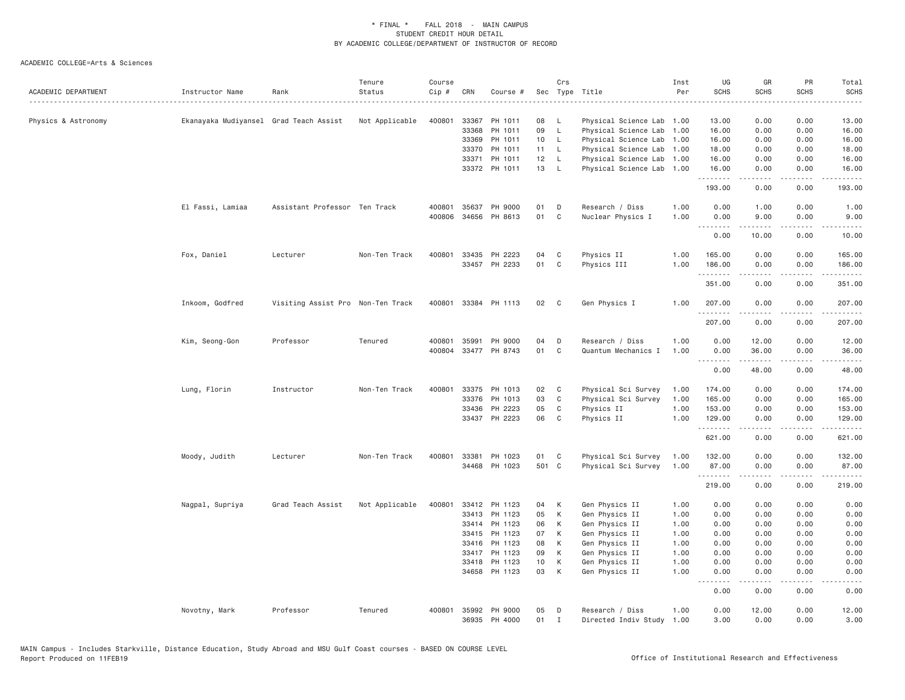| ACADEMIC DEPARTMENT | Instructor Name                        | Rank                              | Tenure<br>Status | Course<br>Cip # | CRN   | Course #      |       | Crs          | Sec Type Title            | Inst<br>Per | UG<br><b>SCHS</b> | GR<br><b>SCHS</b>  | PR<br><b>SCHS</b>                   | Total<br><b>SCHS</b><br>----- |
|---------------------|----------------------------------------|-----------------------------------|------------------|-----------------|-------|---------------|-------|--------------|---------------------------|-------------|-------------------|--------------------|-------------------------------------|-------------------------------|
| Physics & Astronomy | Ekanayaka Mudiyansel Grad Teach Assist |                                   | Not Applicable   | 400801          | 33367 | PH 1011       | 08    | - L          | Physical Science Lab 1.00 |             | 13.00             | 0.00               | 0.00                                | 13.00                         |
|                     |                                        |                                   |                  |                 | 33368 | PH 1011       | 09    | $\mathsf{L}$ | Physical Science Lab      | 1.00        | 16.00             | 0.00               | 0.00                                | 16.00                         |
|                     |                                        |                                   |                  |                 | 33369 | PH 1011       | 10    | $\mathsf{L}$ | Physical Science Lab      | 1.00        | 16.00             | 0.00               | 0.00                                | 16.00                         |
|                     |                                        |                                   |                  |                 | 33370 | PH 1011       | 11    | $\mathsf{L}$ | Physical Science Lab 1.00 |             | 18.00             | 0.00               | 0.00                                | 18.00                         |
|                     |                                        |                                   |                  |                 | 33371 | PH 1011       | 12    | L.           | Physical Science Lab      | 1.00        | 16.00             | 0.00               | 0.00                                | 16.00                         |
|                     |                                        |                                   |                  |                 |       | 33372 PH 1011 | 13    | $\mathsf{L}$ | Physical Science Lab      | 1.00        | 16.00<br>.        | 0.00<br>. <b>.</b> | 0.00<br>.                           | 16.00<br>.                    |
|                     |                                        |                                   |                  |                 |       |               |       |              |                           |             | 193.00            | 0.00               | 0.00                                | 193.00                        |
|                     | El Fassi, Lamiaa                       | Assistant Professor Ten Track     |                  | 400801          | 35637 | PH 9000       | 01    | D            | Research / Diss           | 1.00        | 0.00              | 1.00               | 0.00                                | 1.00                          |
|                     |                                        |                                   |                  | 400806          |       | 34656 PH 8613 | 01    | C            | Nuclear Physics I         | 1.00        | 0.00<br><u>.</u>  | 9.00<br>.          | 0.00<br>.                           | 9.00<br>$    -$               |
|                     |                                        |                                   |                  |                 |       |               |       |              |                           |             | 0.00              | 10.00              | 0.00                                | 10.00                         |
|                     | Fox, Daniel                            | Lecturer                          | Non-Ten Track    | 400801          | 33435 | PH 2223       | 04    | C            | Physics II                | 1.00        | 165.00            | 0.00               | 0.00                                | 165.00                        |
|                     |                                        |                                   |                  |                 | 33457 | PH 2233       | 01    | C            | Physics III               | 1.00        | 186.00            | 0.00               | 0.00                                | 186.00                        |
|                     |                                        |                                   |                  |                 |       |               |       |              |                           |             | .<br>351.00       | 0.00               | $\sim$ - - -<br>0.00                | .<br>351.00                   |
|                     | Inkoom, Godfred                        | Visiting Assist Pro Non-Ten Track |                  | 400801          |       | 33384 PH 1113 | 02    | C            | Gen Physics I             | 1.00        | 207.00            | 0.00               | 0.00                                | 207.00                        |
|                     |                                        |                                   |                  |                 |       |               |       |              |                           |             | .                 | -----              | .                                   | .                             |
|                     |                                        |                                   |                  |                 |       |               |       |              |                           |             | 207.00            | 0.00               | 0.00                                | 207.00                        |
|                     | Kim, Seong-Gon                         | Professor                         | Tenured          | 400801          | 35991 | PH 9000       | 04    | D            | Research / Diss           | 1.00        | 0.00              | 12.00              | 0.00                                | 12.00                         |
|                     |                                        |                                   |                  | 400804          |       | 33477 PH 8743 | 01    | $\mathbb C$  | Quantum Mechanics I       | 1.00        | 0.00              | 36.00              | 0.00                                | 36.00                         |
|                     |                                        |                                   |                  |                 |       |               |       |              |                           |             | .<br>0.00         | <b></b><br>48.00   | -----<br>0.00                       | .<br>48.00                    |
|                     | Lung, Florin                           | Instructor                        | Non-Ten Track    | 400801          | 33375 | PH 1013       | 02    | C            | Physical Sci Survey       | 1.00        | 174.00            | 0.00               | 0.00                                | 174.00                        |
|                     |                                        |                                   |                  |                 | 33376 | PH 1013       | 03    | $\mathbf{C}$ | Physical Sci Survey       | 1.00        | 165.00            | 0.00               | 0.00                                | 165.00                        |
|                     |                                        |                                   |                  |                 | 33436 | PH 2223       | 05    | C            | Physics II                | 1.00        | 153.00            | 0.00               | 0.00                                | 153.00                        |
|                     |                                        |                                   |                  |                 | 33437 | PH 2223       | 06    | C            | Physics II                | 1.00        | 129.00<br>.       | 0.00<br>.          | 0.00<br>.                           | 129.00<br>.                   |
|                     |                                        |                                   |                  |                 |       |               |       |              |                           |             | 621.00            | 0.00               | 0.00                                | 621.00                        |
|                     | Moody, Judith                          | Lecturer                          | Non-Ten Track    | 400801          | 33381 | PH 1023       | 01    | $\mathbf{C}$ | Physical Sci Survey       | 1.00        | 132.00            | 0.00               | 0.00                                | 132.00                        |
|                     |                                        |                                   |                  |                 | 34468 | PH 1023       | 501 C |              | Physical Sci Survey       | 1.00        | 87.00             | 0.00               | 0.00                                | 87.00                         |
|                     |                                        |                                   |                  |                 |       |               |       |              |                           |             | 219.00            | 0.00               | $\sim$ $\sim$ $\sim$ $\sim$<br>0.00 | .<br>219.00                   |
|                     | Nagpal, Supriya                        | Grad Teach Assist                 | Not Applicable   | 400801          |       | 33412 PH 1123 | 04    | K            | Gen Physics II            | 1.00        | 0.00              | 0.00               | 0.00                                | 0.00                          |
|                     |                                        |                                   |                  |                 | 33413 | PH 1123       | 05    | К            | Gen Physics II            | 1.00        | 0.00              | 0.00               | 0.00                                | 0.00                          |
|                     |                                        |                                   |                  |                 |       | 33414 PH 1123 | 06    | К            | Gen Physics II            | 1.00        | 0.00              | 0.00               | 0.00                                | 0.00                          |
|                     |                                        |                                   |                  |                 | 33415 | PH 1123       | 07    | K            | Gen Physics II            | 1.00        | 0.00              | 0.00               | 0.00                                | 0.00                          |
|                     |                                        |                                   |                  |                 | 33416 | PH 1123       | 08    | K            | Gen Physics II            | 1.00        | 0.00              | 0.00               | 0.00                                | 0.00                          |
|                     |                                        |                                   |                  |                 | 33417 | PH 1123       | 09    | K            | Gen Physics II            | 1.00        | 0.00              | 0.00               | 0.00                                | 0.00                          |
|                     |                                        |                                   |                  |                 | 33418 | PH 1123       | 10    | К            | Gen Physics II            | 1.00        | 0.00              | 0.00               | 0.00                                | 0.00                          |
|                     |                                        |                                   |                  |                 | 34658 | PH 1123       | 03    | K            | Gen Physics II            | 1.00        | 0.00<br>.         | 0.00<br>.          | 0.00<br>.                           | 0.00<br>.                     |
|                     |                                        |                                   |                  |                 |       |               |       |              |                           |             | 0.00              | 0.00               | 0.00                                | 0.00                          |
|                     | Novotny, Mark                          | Professor                         | Tenured          | 400801          |       | 35992 PH 9000 | 05    | D            | Research / Diss           | 1.00        | 0.00              | 12.00              | 0.00                                | 12.00                         |
|                     |                                        |                                   |                  |                 | 36935 | PH 4000       | 01    | $\mathbf I$  | Directed Indiv Study      | 1.00        | 3.00              | 0.00               | 0.00                                | 3.00                          |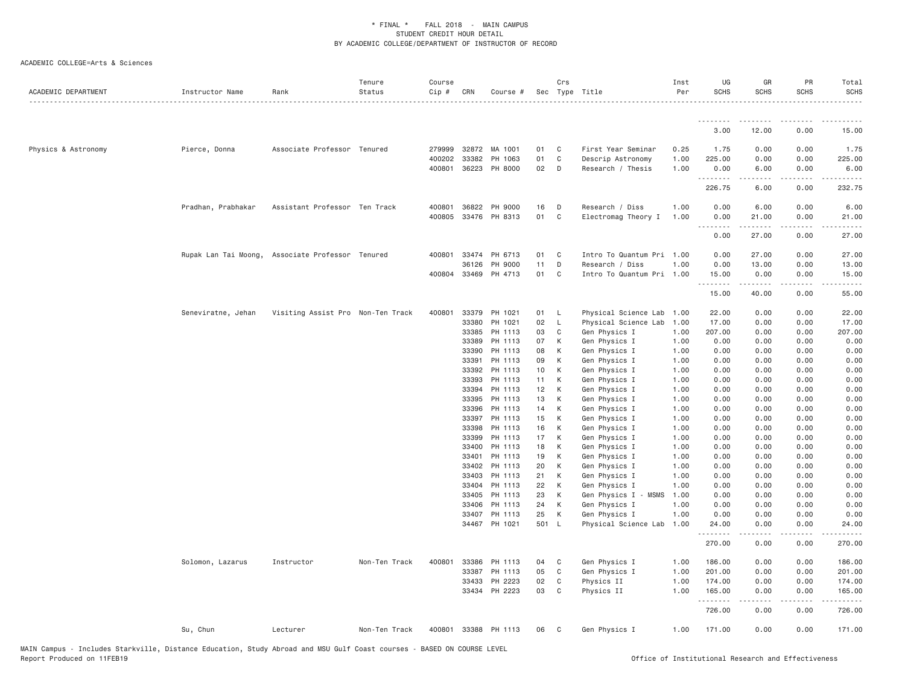| ACADEMIC DEPARTMENT | Instructor Name    | Rank                                             | Tenure<br>Status | Course<br>Cip # | CRN            | Course #             |          | Crs          | Sec Type Title                 | Inst<br>Per  | UG<br><b>SCHS</b>    | GR<br><b>SCHS</b> | PR<br><b>SCHS</b>                   | Total<br>SCHS          |
|---------------------|--------------------|--------------------------------------------------|------------------|-----------------|----------------|----------------------|----------|--------------|--------------------------------|--------------|----------------------|-------------------|-------------------------------------|------------------------|
|                     |                    |                                                  |                  |                 |                |                      |          |              |                                |              | .                    |                   |                                     |                        |
|                     |                    |                                                  |                  |                 |                |                      |          |              |                                |              | 3,00                 | 12.00             | 0.00                                | 15.00                  |
| Physics & Astronomy | Pierce, Donna      | Associate Professor Tenured                      |                  |                 | 279999 32872   | MA 1001              | 01       | C            | First Year Seminar             | 0.25         | 1.75                 | 0.00              | 0.00                                | 1.75                   |
|                     |                    |                                                  |                  | 400202          | 33382          | PH 1063              | 01       | C            | Descrip Astronomy              | 1.00         | 225.00               | 0.00              | 0.00                                | 225.00                 |
|                     |                    |                                                  |                  |                 |                | 400801 36223 PH 8000 | 02       | D            | Research / Thesis              | 1.00         | 0.00<br>.            | 6.00<br>.         | 0.00<br>.                           | 6.00<br>$- - - - -$    |
|                     |                    |                                                  |                  |                 |                |                      |          |              |                                |              | 226.75               | 6.00              | 0.00                                | 232.75                 |
|                     | Pradhan, Prabhakar | Assistant Professor Ten Track                    |                  |                 | 400801 36822   | PH 9000              | 16       | D            | Research / Diss                | 1.00         | 0.00                 | 6.00              | 0.00                                | 6.00                   |
|                     |                    |                                                  |                  | 400805          |                | 33476 PH 8313        | 01       | C            | Electromag Theory I            | 1.00         | 0.00<br>.            | 21.00             | 0.00<br>$\sim$ $\sim$ $\sim$ $\sim$ | 21.00                  |
|                     |                    |                                                  |                  |                 |                |                      |          |              |                                |              | 0.00                 | 27.00             | 0.00                                | 27.00                  |
|                     |                    | Rupak Lan Tai Moong, Associate Professor Tenured |                  | 400801          | 33474          | PH 6713              | 01       | C            | Intro To Quantum Pri 1.00      |              | 0.00                 | 27.00             | 0.00                                | 27.00                  |
|                     |                    |                                                  |                  |                 | 36126          | PH 9000              | 11       | D            | Research / Diss                | 1.00         | 0.00                 | 13.00             | 0.00                                | 13.00                  |
|                     |                    |                                                  |                  |                 |                | 400804 33469 PH 4713 | 01       | $\mathbf{C}$ | Intro To Quantum Pri 1.00      |              | 15.00<br>.           | 0.00<br>.         | 0.00<br>.                           | 15.00<br>.             |
|                     |                    |                                                  |                  |                 |                |                      |          |              |                                |              | 15.00                | 40.00             | 0.00                                | 55.00                  |
|                     | Seneviratne, Jehan | Visiting Assist Pro Non-Ten Track                |                  | 400801          | 33379          | PH 1021              | 01 L     |              | Physical Science Lab 1.00      |              | 22.00                | 0.00              | 0.00                                | 22.00                  |
|                     |                    |                                                  |                  |                 | 33380          | PH 1021              | 02       | L.           | Physical Science Lab           | 1.00         | 17.00                | 0.00              | 0.00                                | 17.00                  |
|                     |                    |                                                  |                  |                 | 33385          | PH 1113              | 03       | C            | Gen Physics I                  | 1.00         | 207.00               | 0.00              | 0.00                                | 207.00                 |
|                     |                    |                                                  |                  |                 | 33389          | PH 1113              | 07       | K            | Gen Physics I                  | 1.00         | 0.00                 | 0.00              | 0.00                                | 0.00                   |
|                     |                    |                                                  |                  |                 | 33390          | PH 1113              | 08       | K            | Gen Physics I                  | 1.00         | 0.00                 | 0.00              | 0.00                                | 0.00                   |
|                     |                    |                                                  |                  |                 | 33391          | PH 1113              | 09       | K            | Gen Physics I                  | 1.00         | 0.00                 | 0.00              | 0.00                                | 0.00                   |
|                     |                    |                                                  |                  |                 | 33392          | PH 1113              | 10       | K            | Gen Physics I                  | 1.00         | 0.00                 | 0.00              | 0.00                                | 0.00                   |
|                     |                    |                                                  |                  |                 | 33393          | PH 1113              | 11       | K            | Gen Physics I                  | 1.00         | 0.00                 | 0.00              | 0.00                                | 0.00                   |
|                     |                    |                                                  |                  |                 | 33394          | PH 1113<br>PH 1113   | 12<br>13 | K<br>K       | Gen Physics I                  | 1.00<br>1.00 | 0.00<br>0.00         | 0.00<br>0.00      | 0.00<br>0.00                        | 0.00<br>0.00           |
|                     |                    |                                                  |                  |                 | 33395<br>33396 | PH 1113              | 14       | K            | Gen Physics I<br>Gen Physics I | 1.00         | 0.00                 | 0.00              | 0.00                                | 0.00                   |
|                     |                    |                                                  |                  |                 | 33397          | PH 1113              | 15       | K            | Gen Physics I                  | 1.00         | 0.00                 | 0.00              | 0.00                                | 0.00                   |
|                     |                    |                                                  |                  |                 | 33398          | PH 1113              | 16       | K            | Gen Physics I                  | 1.00         | 0.00                 | 0.00              | 0.00                                | 0.00                   |
|                     |                    |                                                  |                  |                 | 33399          | PH 1113              | 17       | K            | Gen Physics I                  | 1.00         | 0.00                 | 0.00              | 0.00                                | 0.00                   |
|                     |                    |                                                  |                  |                 | 33400          | PH 1113              | 18       | K            | Gen Physics I                  | 1.00         | 0.00                 | 0.00              | 0.00                                | 0.00                   |
|                     |                    |                                                  |                  |                 | 33401          | PH 1113              | 19       | K            | Gen Physics I                  | 1.00         | 0.00                 | 0.00              | 0.00                                | 0.00                   |
|                     |                    |                                                  |                  |                 | 33402          | PH 1113              | 20       | K            | Gen Physics I                  | 1.00         | 0.00                 | 0.00              | 0.00                                | 0.00                   |
|                     |                    |                                                  |                  |                 | 33403          | PH 1113              | 21       | K            | Gen Physics I                  | 1.00         | 0.00                 | 0.00              | 0.00                                | 0.00                   |
|                     |                    |                                                  |                  |                 | 33404          | PH 1113              | 22       | K            | Gen Physics I                  | 1.00         | 0.00                 | 0.00              | 0.00                                | 0.00                   |
|                     |                    |                                                  |                  |                 | 33405          | PH 1113              | 23       | K            | Gen Physics I - MSMS           | 1.00         | 0.00                 | 0.00              | 0.00                                | 0.00                   |
|                     |                    |                                                  |                  |                 | 33406          | PH 1113              | 24       | K            | Gen Physics I                  | 1.00         | 0.00                 | 0.00              | 0.00                                | 0.00                   |
|                     |                    |                                                  |                  |                 | 33407          | PH 1113              | 25       | К            | Gen Physics I                  | 1.00         | 0.00                 | 0.00              | 0.00                                | 0.00                   |
|                     |                    |                                                  |                  |                 |                | 34467 PH 1021        | 501 L    |              | Physical Science Lab           | 1.00         | 24.00<br>د د د د د د | 0.00<br>.         | 0.00<br>$\sim$ $\sim$ $\sim$ $\sim$ | 24.00<br>.             |
|                     |                    |                                                  |                  |                 |                |                      |          |              |                                |              | 270.00               | 0.00              | 0.00                                | 270.00                 |
|                     | Solomon, Lazarus   | Instructor                                       | Non-Ten Track    | 400801          | 33386          | PH 1113              | 04       | C            | Gen Physics I                  | 1.00         | 186.00               | 0.00              | 0.00                                | 186.00                 |
|                     |                    |                                                  |                  |                 | 33387          | PH 1113              | 05       | C            | Gen Physics I                  | 1.00         | 201.00               | 0.00              | 0.00                                | 201.00                 |
|                     |                    |                                                  |                  |                 | 33433          | PH 2223              | 02       | C            | Physics II                     | 1.00         | 174.00               | 0.00              | 0.00                                | 174.00                 |
|                     |                    |                                                  |                  |                 |                | 33434 PH 2223        | 03       | C            | Physics II                     | 1.00         | 165.00<br>.          | 0.00<br>.         | 0.00<br>.                           | 165.00<br>. <u>.</u> . |
|                     |                    |                                                  |                  |                 |                |                      |          |              |                                |              | 726.00               | 0.00              | 0.00                                | 726.00                 |
|                     | Su, Chun           | Lecturer                                         | Non-Ten Track    |                 |                | 400801 33388 PH 1113 | 06       | - C          | Gen Physics I                  | 1.00         | 171.00               | 0.00              | 0.00                                | 171.00                 |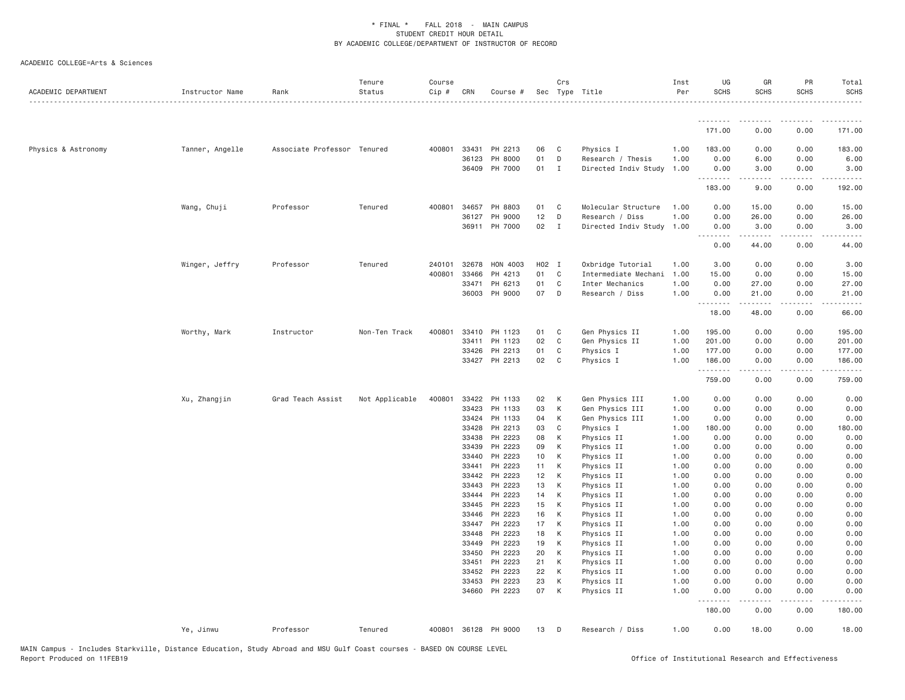| ACADEMIC DEPARTMENT | Instructor Name | Rank                        | Tenure<br>Status | Course<br>Cip # | CRN            | Course #             |          | Crs          | Sec Type Title            | Inst<br>Per  | UG<br><b>SCHS</b>                                                                                                                                                                                                                                                                                                                                                                                                                                                                              | GR<br><b>SCHS</b>       | PR<br>SCHS   | Total<br><b>SCHS</b>    |
|---------------------|-----------------|-----------------------------|------------------|-----------------|----------------|----------------------|----------|--------------|---------------------------|--------------|------------------------------------------------------------------------------------------------------------------------------------------------------------------------------------------------------------------------------------------------------------------------------------------------------------------------------------------------------------------------------------------------------------------------------------------------------------------------------------------------|-------------------------|--------------|-------------------------|
|                     |                 |                             |                  |                 |                |                      |          |              |                           |              | .                                                                                                                                                                                                                                                                                                                                                                                                                                                                                              |                         |              |                         |
|                     |                 |                             |                  |                 |                |                      |          |              |                           |              | 171.00                                                                                                                                                                                                                                                                                                                                                                                                                                                                                         | 0.00                    | 0.00         | 171.00                  |
| Physics & Astronomy | Tanner, Angelle | Associate Professor Tenured |                  |                 | 400801 33431   | PH 2213              | 06       | C            | Physics I                 | 1.00         | 183.00                                                                                                                                                                                                                                                                                                                                                                                                                                                                                         | 0.00                    | 0.00         | 183.00                  |
|                     |                 |                             |                  |                 | 36123          | PH 8000              | 01       | D            | Research / Thesis         | 1.00         | 0.00                                                                                                                                                                                                                                                                                                                                                                                                                                                                                           | 6.00                    | 0.00         | 6.00                    |
|                     |                 |                             |                  |                 |                | 36409 PH 7000        | 01 I     |              | Directed Indiv Study 1.00 |              | 0.00<br>.                                                                                                                                                                                                                                                                                                                                                                                                                                                                                      | 3.00<br>$- - - - - - -$ | 0.00<br>.    | 3.00<br>$- - - - - - -$ |
|                     |                 |                             |                  |                 |                |                      |          |              |                           |              | 183.00                                                                                                                                                                                                                                                                                                                                                                                                                                                                                         | 9.00                    | 0.00         | 192.00                  |
|                     | Wang, Chuji     | Professor                   | Tenured          |                 | 400801 34657   | PH 8803              | 01       | C            | Molecular Structure       | 1.00         | 0.00                                                                                                                                                                                                                                                                                                                                                                                                                                                                                           | 15.00                   | 0.00         | 15.00                   |
|                     |                 |                             |                  |                 | 36127          | PH 9000              | 12       | D            | Research / Diss           | 1.00         | 0.00                                                                                                                                                                                                                                                                                                                                                                                                                                                                                           | 26.00                   | 0.00         | 26.00                   |
|                     |                 |                             |                  |                 |                | 36911 PH 7000        | 02       | $\mathbf{I}$ | Directed Indiv Study 1.00 |              | 0.00<br>$\begin{array}{cccccccccccccc} \multicolumn{2}{c}{} & \multicolumn{2}{c}{} & \multicolumn{2}{c}{} & \multicolumn{2}{c}{} & \multicolumn{2}{c}{} & \multicolumn{2}{c}{} & \multicolumn{2}{c}{} & \multicolumn{2}{c}{} & \multicolumn{2}{c}{} & \multicolumn{2}{c}{} & \multicolumn{2}{c}{} & \multicolumn{2}{c}{} & \multicolumn{2}{c}{} & \multicolumn{2}{c}{} & \multicolumn{2}{c}{} & \multicolumn{2}{c}{} & \multicolumn{2}{c}{} & \multicolumn{2}{c}{} & \multicolumn{2}{c}{} & \$ | 3.00<br>.               | 0.00         | 3.00                    |
|                     |                 |                             |                  |                 |                |                      |          |              |                           |              | 0.00                                                                                                                                                                                                                                                                                                                                                                                                                                                                                           | 44.00                   | 0.00         | 44.00                   |
|                     | Winger, Jeffry  | Professor                   | Tenured          |                 | 240101 32678   | HON 4003             | H02 I    |              | Oxbridge Tutorial         | 1.00         | 3.00                                                                                                                                                                                                                                                                                                                                                                                                                                                                                           | 0.00                    | 0.00         | 3.00                    |
|                     |                 |                             |                  | 400801          | 33466          | PH 4213              | 01       | C            | Intermediate Mechani      | 1.00         | 15.00                                                                                                                                                                                                                                                                                                                                                                                                                                                                                          | 0.00                    | 0.00         | 15.00                   |
|                     |                 |                             |                  |                 | 33471          | PH 6213              | 01       | C            | Inter Mechanics           | 1.00         | 0.00                                                                                                                                                                                                                                                                                                                                                                                                                                                                                           | 27.00                   | 0.00         | 27.00                   |
|                     |                 |                             |                  |                 | 36003          | PH 9000              | 07       | D            | Research / Diss           | 1.00         | 0.00<br>.                                                                                                                                                                                                                                                                                                                                                                                                                                                                                      | 21.00<br>.              | 0.00         | 21.00                   |
|                     |                 |                             |                  |                 |                |                      |          |              |                           |              | 18.00                                                                                                                                                                                                                                                                                                                                                                                                                                                                                          | 48.00                   | 0.00         | 66.00                   |
|                     | Worthy, Mark    | Instructor                  | Non-Ten Track    | 400801          | 33410          | PH 1123              | 01       | C            | Gen Physics II            | 1.00         | 195.00                                                                                                                                                                                                                                                                                                                                                                                                                                                                                         | 0.00                    | 0.00         | 195.00                  |
|                     |                 |                             |                  |                 | 33411          | PH 1123              | 02       | C            | Gen Physics II            | 1.00         | 201.00                                                                                                                                                                                                                                                                                                                                                                                                                                                                                         | 0.00                    | 0.00         | 201.00                  |
|                     |                 |                             |                  |                 | 33426          | PH 2213              | 01       | C            | Physics I                 | 1.00         | 177.00                                                                                                                                                                                                                                                                                                                                                                                                                                                                                         | 0.00                    | 0.00         | 177.00                  |
|                     |                 |                             |                  |                 |                | 33427 PH 2213        | 02       | C            | Physics I                 | 1.00         | 186.00<br>.                                                                                                                                                                                                                                                                                                                                                                                                                                                                                    | 0.00                    | 0.00         | 186.00                  |
|                     |                 |                             |                  |                 |                |                      |          |              |                           |              | 759.00                                                                                                                                                                                                                                                                                                                                                                                                                                                                                         | 0.00                    | 0.00         | 759.00                  |
|                     | Xu, Zhangjin    | Grad Teach Assist           | Not Applicable   | 400801          | 33422          | PH 1133              | 02       | К            | Gen Physics III           | 1.00         | 0.00                                                                                                                                                                                                                                                                                                                                                                                                                                                                                           | 0.00                    | 0.00         | 0.00                    |
|                     |                 |                             |                  |                 | 33423          | PH 1133              | 03       | К            | Gen Physics III           | 1.00         | 0.00                                                                                                                                                                                                                                                                                                                                                                                                                                                                                           | 0.00                    | 0.00         | 0.00                    |
|                     |                 |                             |                  |                 | 33424          | PH 1133              | 04       | К            | Gen Physics III           | 1.00         | 0.00                                                                                                                                                                                                                                                                                                                                                                                                                                                                                           | 0.00                    | 0.00         | 0.00                    |
|                     |                 |                             |                  |                 | 33428          | PH 2213              | 03       | C            | Physics I                 | 1.00         | 180.00                                                                                                                                                                                                                                                                                                                                                                                                                                                                                         | 0.00                    | 0.00         | 180.00                  |
|                     |                 |                             |                  |                 | 33438          | PH 2223              | 08       | К            | Physics II                | 1.00         | 0.00                                                                                                                                                                                                                                                                                                                                                                                                                                                                                           | 0.00                    | 0.00         | 0.00                    |
|                     |                 |                             |                  |                 | 33439          | PH 2223              | 09       | К            | Physics II                | 1.00         | 0.00                                                                                                                                                                                                                                                                                                                                                                                                                                                                                           | 0.00                    | 0.00         | 0.00                    |
|                     |                 |                             |                  |                 | 33440<br>33441 | PH 2223<br>PH 2223   | 10<br>11 | K<br>К       | Physics II                | 1.00         | 0.00<br>0.00                                                                                                                                                                                                                                                                                                                                                                                                                                                                                   | 0.00<br>0.00            | 0.00         | 0.00<br>0.00            |
|                     |                 |                             |                  |                 | 33442          | PH 2223              | 12       | К            | Physics II<br>Physics II  | 1.00<br>1.00 | 0.00                                                                                                                                                                                                                                                                                                                                                                                                                                                                                           | 0.00                    | 0.00<br>0.00 | 0.00                    |
|                     |                 |                             |                  |                 | 33443          | PH 2223              | 13       | К            | Physics II                | 1.00         | 0.00                                                                                                                                                                                                                                                                                                                                                                                                                                                                                           | 0.00                    | 0.00         | 0.00                    |
|                     |                 |                             |                  |                 | 33444          | PH 2223              | 14       | K            | Physics II                | 1.00         | 0.00                                                                                                                                                                                                                                                                                                                                                                                                                                                                                           | 0.00                    | 0.00         | 0.00                    |
|                     |                 |                             |                  |                 | 33445          | PH 2223              | 15       | К            | Physics II                | 1.00         | 0.00                                                                                                                                                                                                                                                                                                                                                                                                                                                                                           | 0.00                    | 0.00         | 0.00                    |
|                     |                 |                             |                  |                 | 33446          | PH 2223              | 16       | К            | Physics II                | 1.00         | 0.00                                                                                                                                                                                                                                                                                                                                                                                                                                                                                           | 0.00                    | 0.00         | 0.00                    |
|                     |                 |                             |                  |                 | 33447          | PH 2223              | 17       | K            | Physics II                | 1.00         | 0.00                                                                                                                                                                                                                                                                                                                                                                                                                                                                                           | 0.00                    | 0.00         | 0.00                    |
|                     |                 |                             |                  |                 | 33448          | PH 2223              | 18       | К            | Physics II                | 1.00         | 0.00                                                                                                                                                                                                                                                                                                                                                                                                                                                                                           | 0.00                    | 0.00         | 0.00                    |
|                     |                 |                             |                  |                 | 33449          | PH 2223              | 19       | К            | Physics II                | 1.00         | 0.00                                                                                                                                                                                                                                                                                                                                                                                                                                                                                           | 0.00                    | 0.00         | 0.00                    |
|                     |                 |                             |                  |                 | 33450          | PH 2223              | 20       | К            | Physics II                | 1.00         | 0.00                                                                                                                                                                                                                                                                                                                                                                                                                                                                                           | 0.00                    | 0.00         | 0.00                    |
|                     |                 |                             |                  |                 | 33451          | PH 2223              | 21       | К            | Physics II                | 1.00         | 0.00                                                                                                                                                                                                                                                                                                                                                                                                                                                                                           | 0.00                    | 0.00         | 0.00                    |
|                     |                 |                             |                  |                 | 33452          | PH 2223              | 22       | К            | Physics II                | 1.00         | 0.00                                                                                                                                                                                                                                                                                                                                                                                                                                                                                           | 0.00                    | 0.00         | 0.00                    |
|                     |                 |                             |                  |                 | 33453          | PH 2223              | 23       | К            | Physics II                | 1.00         | 0.00                                                                                                                                                                                                                                                                                                                                                                                                                                                                                           | 0.00                    | 0.00         | 0.00                    |
|                     |                 |                             |                  |                 |                | 34660 PH 2223        | 07       | K            | Physics II                | 1.00         | 0.00<br>.                                                                                                                                                                                                                                                                                                                                                                                                                                                                                      | 0.00<br>$- - - - -$     | 0.00<br>.    | 0.00                    |
|                     |                 |                             |                  |                 |                |                      |          |              |                           |              | 180.00                                                                                                                                                                                                                                                                                                                                                                                                                                                                                         | 0.00                    | 0.00         | 180.00                  |
|                     | Ye, Jinwu       | Professor                   | Tenured          |                 |                | 400801 36128 PH 9000 | 13       | $\mathsf{D}$ | Research / Diss           | 1.00         | 0.00                                                                                                                                                                                                                                                                                                                                                                                                                                                                                           | 18.00                   | 0.00         | 18.00                   |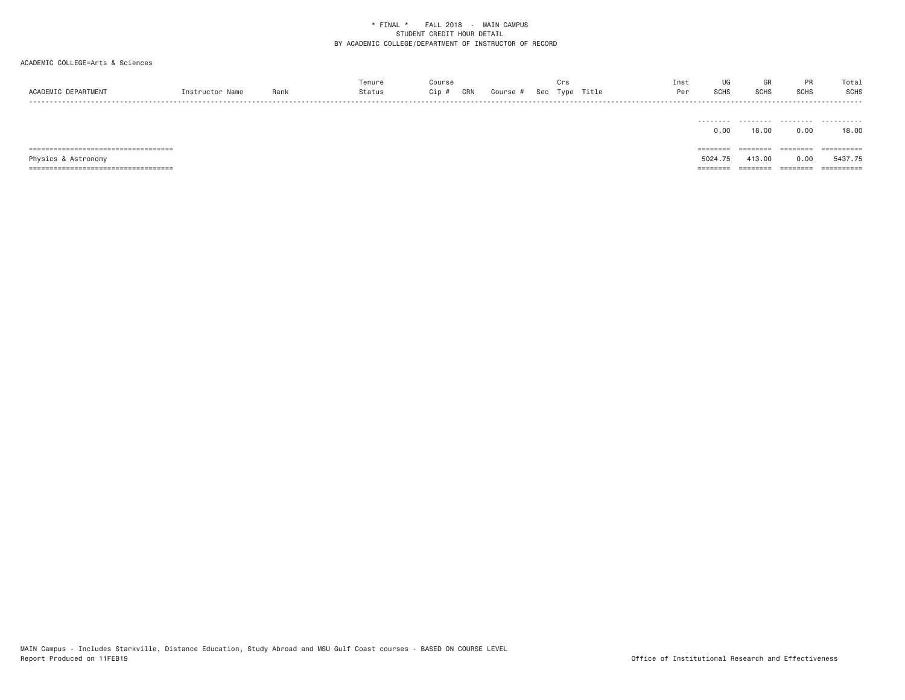|                 |      |     |     |        |     |      |       | ns: |      |                        |       | Tota.       |
|-----------------|------|-----|-----|--------|-----|------|-------|-----|------|------------------------|-------|-------------|
| <b>SCADEMTO</b> | Ran, | Cip | CRN | Course | Sec | Type | Title | n.  | 5UH; | C <sub>1</sub><br>ווטט | יוו∪כ | <b>SCHS</b> |
| - - - -         |      |     |     |        |     |      |       |     |      |                        |       |             |

|                                 | --------- | .        | .         | .          |
|---------------------------------|-----------|----------|-----------|------------|
|                                 | 0.00      | 18.00    | 0.00      | 18.00      |
|                                 |           |          |           |            |
| _____                           | -------   |          | --------- |            |
| ,============================== | --------  | -------- | --------  | ========== |
| Physics & Astronomy             | 5024.75   | 413.00   | 0.00      | 5437.75    |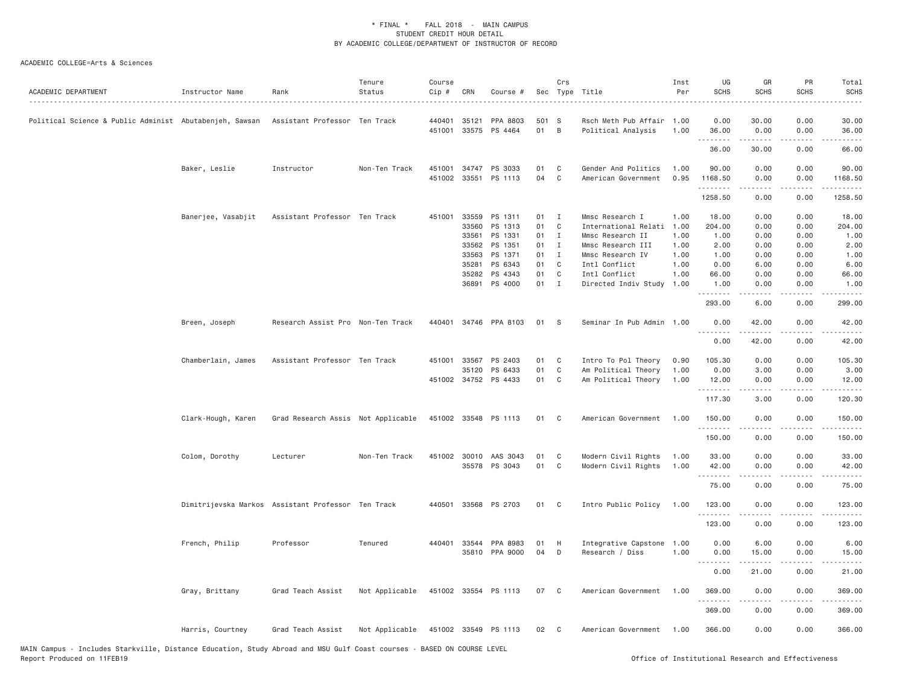| ACADEMIC DEPARTMENT                                      | Instructor Name    | Rank                                               | Tenure<br>Status | Course<br>Cip # | CRN          | Course #              |       | Crs            | Sec Type Title            | Inst<br>Per | UG<br><b>SCHS</b> | GR<br><b>SCHS</b>                                                                                                                                            | PR<br><b>SCHS</b> | Total<br><b>SCHS</b><br>. |
|----------------------------------------------------------|--------------------|----------------------------------------------------|------------------|-----------------|--------------|-----------------------|-------|----------------|---------------------------|-------------|-------------------|--------------------------------------------------------------------------------------------------------------------------------------------------------------|-------------------|---------------------------|
| Political Science & Public Administ  Abutabenjeh, Sawsan |                    | Assistant Professor Ten Track                      |                  | 440401          | 35121        | PPA 8803              | 501 S |                | Rsch Meth Pub Affair 1.00 |             | 0.00              | 30.00                                                                                                                                                        | 0.00              | 30.00                     |
|                                                          |                    |                                                    |                  | 451001          |              | 33575 PS 4464         | 01    | $\overline{B}$ | Political Analysis        | 1.00        | 36.00<br>.        | 0.00<br>$- - - - -$                                                                                                                                          | 0.00<br>$\cdots$  | 36.00<br>.                |
|                                                          |                    |                                                    |                  |                 |              |                       |       |                |                           |             | 36.00             | 30.00                                                                                                                                                        | 0.00              | 66.00                     |
|                                                          | Baker, Leslie      | Instructor                                         | Non-Ten Track    | 451001          | 34747        | PS 3033               | 01    | C              | Gender And Politics       | 1.00        | 90.00             | 0.00                                                                                                                                                         | 0.00              | 90.00                     |
|                                                          |                    |                                                    |                  | 451002          |              | 33551 PS 1113         | 04    | C              | American Government       | 0.95        | 1168.50<br>.      | 0.00<br>.                                                                                                                                                    | 0.00<br>.         | 1168.50<br>.              |
|                                                          |                    |                                                    |                  |                 |              |                       |       |                |                           |             | 1258.50           | 0.00                                                                                                                                                         | 0.00              | 1258.50                   |
|                                                          | Banerjee, Vasabjit | Assistant Professor Ten Track                      |                  | 451001          | 33559        | PS 1311               | 01    | $\mathbf{I}$   | Mmsc Research I           | 1.00        | 18.00             | 0.00                                                                                                                                                         | 0.00              | 18.00                     |
|                                                          |                    |                                                    |                  |                 | 33560        | PS 1313               | 01    | C              | International Relati      | 1.00        | 204.00            | 0.00                                                                                                                                                         | 0.00              | 204.00                    |
|                                                          |                    |                                                    |                  |                 | 33561        | PS 1331               | 01    | $\mathbf{I}$   | Mmsc Research II          | 1.00        | 1.00              | 0.00                                                                                                                                                         | 0.00              | 1.00                      |
|                                                          |                    |                                                    |                  |                 | 33562        | PS 1351               | 01    | $\blacksquare$ | Mmsc Research III         | 1.00        | 2.00              | 0.00                                                                                                                                                         | 0.00              | 2.00                      |
|                                                          |                    |                                                    |                  |                 | 33563        | PS 1371               | 01    | $\mathbf{I}$   | Mmsc Research IV          | 1.00        | 1.00              | 0.00                                                                                                                                                         | 0.00              | 1.00                      |
|                                                          |                    |                                                    |                  |                 | 35281        | PS 6343               | 01    | C              | Intl Conflict             | 1.00        | 0.00              | 6.00                                                                                                                                                         | 0.00              | 6.00                      |
|                                                          |                    |                                                    |                  |                 | 35282        | PS 4343               | 01    | $\mathbb C$    | Intl Conflict             | 1.00        | 66.00             | 0.00                                                                                                                                                         | 0.00              | 66.00                     |
|                                                          |                    |                                                    |                  |                 |              | 36891 PS 4000         | 01 I  |                | Directed Indiv Study      | 1.00        | 1.00              | 0.00<br>$\frac{1}{2} \left( \frac{1}{2} \right) \left( \frac{1}{2} \right) \left( \frac{1}{2} \right) \left( \frac{1}{2} \right) \left( \frac{1}{2} \right)$ | 0.00<br>.         | 1.00<br>$- - - - -$       |
|                                                          |                    |                                                    |                  |                 |              |                       |       |                |                           |             | 293.00            | 6.00                                                                                                                                                         | 0.00              | 299.00                    |
|                                                          | Breen, Joseph      | Research Assist Pro Non-Ten Track                  |                  | 440401          |              | 34746 PPA 8103        | 01    | - S            | Seminar In Pub Admin 1.00 |             | 0.00<br>.         | 42.00<br>.                                                                                                                                                   | 0.00<br>.         | 42.00<br>.                |
|                                                          |                    |                                                    |                  |                 |              |                       |       |                |                           |             | 0.00              | 42.00                                                                                                                                                        | 0.00              | 42.00                     |
|                                                          | Chamberlain, James | Assistant Professor Ten Track                      |                  |                 | 451001 33567 | PS 2403               | 01    | C              | Intro To Pol Theory       | 0.90        | 105.30            | 0.00                                                                                                                                                         | 0.00              | 105.30                    |
|                                                          |                    |                                                    |                  |                 | 35120        | PS 6433               | 01    | C              | Am Political Theory       | 1.00        | 0.00              | 3.00                                                                                                                                                         | 0.00              | 3.00                      |
|                                                          |                    |                                                    |                  |                 |              | 451002 34752 PS 4433  | 01    | C              | Am Political Theory       | 1.00        | 12.00<br>.        | 0.00<br>.                                                                                                                                                    | 0.00              | 12.00<br>.                |
|                                                          |                    |                                                    |                  |                 |              |                       |       |                |                           |             | 117.30            | 3.00                                                                                                                                                         | 0.00              | 120.30                    |
|                                                          | Clark-Hough, Karen | Grad Research Assis Not Applicable                 |                  |                 |              | 451002 33548 PS 1113  | 01    | $\mathbf{C}$   | American Government       | 1.00        | 150.00            | 0.00                                                                                                                                                         | 0.00              | 150.00                    |
|                                                          |                    |                                                    |                  |                 |              |                       |       |                |                           |             | .<br>150.00       | $\frac{1}{2} \left( \frac{1}{2} \right) \left( \frac{1}{2} \right) \left( \frac{1}{2} \right) \left( \frac{1}{2} \right) \left( \frac{1}{2} \right)$<br>0.00 | .<br>0.00         | . <u>.</u> .<br>150.00    |
|                                                          | Colom, Dorothy     | Lecturer                                           | Non-Ten Track    |                 | 451002 30010 | AAS 3043              | 01    | C              | Modern Civil Rights       | 1.00        | 33.00             | 0.00                                                                                                                                                         | 0.00              | 33.00                     |
|                                                          |                    |                                                    |                  |                 |              | 35578 PS 3043         | 01    | $\mathbf C$    | Modern Civil Rights       | 1.00        | 42.00             | 0.00                                                                                                                                                         | 0.00              | 42.00                     |
|                                                          |                    |                                                    |                  |                 |              |                       |       |                |                           |             | <u>.</u><br>75.00 | $- - - - -$<br>0.00                                                                                                                                          | .<br>0.00         | .<br>75.00                |
|                                                          |                    | Dimitrijevska Markos Assistant Professor Ten Track |                  |                 |              | 440501 33568 PS 2703  | 01 C  |                | Intro Public Policy       | 1.00        | 123.00            | 0.00                                                                                                                                                         | 0.00              | 123.00                    |
|                                                          |                    |                                                    |                  |                 |              |                       |       |                |                           |             | .                 | $- - - - -$                                                                                                                                                  | .                 | $- - - - - -$             |
|                                                          |                    |                                                    |                  |                 |              |                       |       |                |                           |             | 123.00            | 0.00                                                                                                                                                         | 0.00              | 123.00                    |
|                                                          | French, Philip     | Professor                                          | Tenured          |                 |              | 440401 33544 PPA 8983 | 01    | H              | Integrative Capstone 1.00 |             | 0.00              | 6.00                                                                                                                                                         | 0.00              | 6.00                      |
|                                                          |                    |                                                    |                  |                 |              | 35810 PPA 9000        | 04    | D              | Research / Diss           | 1.00        | 0.00<br>.         | 15.00                                                                                                                                                        | 0.00              | 15.00                     |
|                                                          |                    |                                                    |                  |                 |              |                       |       |                |                           |             | 0.00              | 21.00                                                                                                                                                        | 0.00              | 21.00                     |
|                                                          | Gray, Brittany     | Grad Teach Assist                                  | Not Applicable   |                 |              | 451002 33554 PS 1113  | 07    | $\mathbf{C}$   | American Government       | 1.00        | 369.00            | 0.00                                                                                                                                                         | 0.00              | 369.00                    |
|                                                          |                    |                                                    |                  |                 |              |                       |       |                |                           |             | 369.00            | 0.00                                                                                                                                                         | 0.00              | 369.00                    |
|                                                          | Harris, Courtney   | Grad Teach Assist                                  | Not Applicable   |                 |              | 451002 33549 PS 1113  | 02    | $\overline{C}$ | American Government 1.00  |             | 366.00            | 0.00                                                                                                                                                         | 0.00              | 366.00                    |
|                                                          |                    |                                                    |                  |                 |              |                       |       |                |                           |             |                   |                                                                                                                                                              |                   |                           |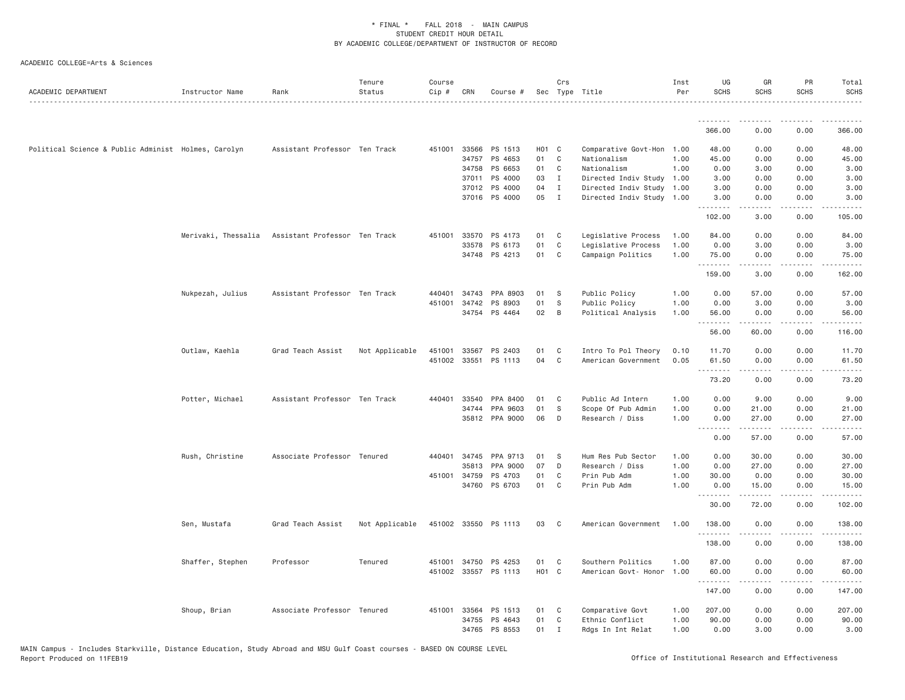| ACADEMIC DEPARTMENT                                 | Instructor Name  | Rank                                              | Tenure<br>Status | Course<br>Cip # | CRN          | Course #                        |                    | Crs                          | Sec Type Title                                         | Inst<br>Per  | UG<br><b>SCHS</b> | GR<br><b>SCHS</b> | PR<br><b>SCHS</b>           | Total<br>SCHS<br>.          |
|-----------------------------------------------------|------------------|---------------------------------------------------|------------------|-----------------|--------------|---------------------------------|--------------------|------------------------------|--------------------------------------------------------|--------------|-------------------|-------------------|-----------------------------|-----------------------------|
|                                                     |                  |                                                   |                  |                 |              |                                 |                    |                              |                                                        |              | <u>.</u>          | <b></b>           | .                           | .                           |
|                                                     |                  |                                                   |                  |                 |              |                                 |                    |                              |                                                        |              | 366.00            | 0.00              | 0.00                        | 366.00                      |
| Political Science & Public Administ Holmes, Carolyn |                  | Assistant Professor Ten Track                     |                  |                 | 451001 33566 | PS 1513                         | H <sub>0</sub> 1 C |                              | Comparative Govt-Hon 1.00                              |              | 48.00             | 0.00              | 0.00                        | 48.00                       |
|                                                     |                  |                                                   |                  |                 | 34757        | PS 4653                         | 01                 | $\mathbb C$                  | Nationalism                                            | 1.00         | 45.00             | 0.00              | 0.00                        | 45.00                       |
|                                                     |                  |                                                   |                  |                 |              | 34758 PS 6653                   | 01                 | $\mathbf{C}$                 | Nationalism                                            | 1,00         | 0.00              | 3.00              | 0.00                        | 3.00                        |
|                                                     |                  |                                                   |                  |                 | 37011        | PS 4000                         | 03                 | $\mathbf{I}$                 | Directed Indiv Study 1.00                              |              | 3.00              | 0.00              | 0.00                        | 3.00                        |
|                                                     |                  |                                                   |                  |                 |              | 37012 PS 4000<br>37016 PS 4000  | 04<br>05           | $\mathbf{I}$<br>$\mathbf{I}$ | Directed Indiv Study 1.00<br>Directed Indiv Study 1.00 |              | 3.00<br>3.00      | 0.00<br>0.00      | 0.00<br>0.00                | 3.00<br>3.00                |
|                                                     |                  |                                                   |                  |                 |              |                                 |                    |                              |                                                        |              | .                 | .                 | $\sim$ $\sim$ $\sim$        | $\sim$ $\sim$ $\sim$ $\sim$ |
|                                                     |                  |                                                   |                  |                 |              |                                 |                    |                              |                                                        |              | 102.00            | 3.00              | 0.00                        | 105.00                      |
|                                                     |                  | Merivaki, Thessalia Assistant Professor Ten Track |                  |                 |              | 451001 33570 PS 4173            | 01                 | C                            | Legislative Process                                    | 1.00         | 84.00             | 0.00              | 0.00                        | 84.00                       |
|                                                     |                  |                                                   |                  |                 | 33578        | PS 6173                         | 01                 | $\mathbb C$                  | Legislative Process                                    | 1.00         | 0.00              | 3.00              | 0.00                        | 3.00                        |
|                                                     |                  |                                                   |                  |                 |              | 34748 PS 4213                   | 01                 | C                            | Campaign Politics                                      | 1.00         | 75.00<br>.        | 0.00              | 0.00                        | 75.00<br>.                  |
|                                                     |                  |                                                   |                  |                 |              |                                 |                    |                              |                                                        |              | 159.00            | 3.00              | 0.00                        | 162.00                      |
|                                                     | Nukpezah, Julius | Assistant Professor Ten Track                     |                  | 440401          | 34743        | PPA 8903                        | 01                 | S                            | Public Policy                                          | 1.00         | 0.00              | 57.00             | 0.00                        | 57.00                       |
|                                                     |                  |                                                   |                  |                 | 451001 34742 | PS 8903                         | 01                 | S                            | Public Policy                                          | 1.00         | 0.00              | 3.00              | 0.00                        | 3.00                        |
|                                                     |                  |                                                   |                  |                 |              | 34754 PS 4464                   | 02                 | B                            | Political Analysis                                     | 1.00         | 56.00             | 0.00              | 0.00                        | 56.00                       |
|                                                     |                  |                                                   |                  |                 |              |                                 |                    |                              |                                                        |              | .<br>56.00        | .<br>60.00        | .<br>0.00                   | .<br>116.00                 |
|                                                     |                  |                                                   |                  |                 |              |                                 |                    |                              | Intro To Pol Theory                                    |              | 11.70             | 0.00              | 0.00                        | 11.70                       |
|                                                     | Outlaw, Kaehla   | Grad Teach Assist                                 | Not Applicable   | 451001          | 33567        | PS 2403<br>451002 33551 PS 1113 | 01<br>04           | C<br>C                       | American Government                                    | 0.10<br>0.05 | 61.50             | 0.00              | 0.00                        | 61.50                       |
|                                                     |                  |                                                   |                  |                 |              |                                 |                    |                              |                                                        |              | .                 | $- - - - -$       | $\sim$ $\sim$ $\sim$        | .                           |
|                                                     |                  |                                                   |                  |                 |              |                                 |                    |                              |                                                        |              | 73.20             | 0.00              | 0.00                        | 73.20                       |
|                                                     | Potter, Michael  | Assistant Professor Ten Track                     |                  |                 | 440401 33540 | PPA 8400                        | 01                 | C                            | Public Ad Intern                                       | 1.00         | 0.00              | 9.00              | 0.00                        | 9.00                        |
|                                                     |                  |                                                   |                  |                 | 34744        | PPA 9603                        | 01                 | ${\tt S}$                    | Scope Of Pub Admin                                     | 1.00         | 0.00              | 21.00             | 0.00                        | 21.00                       |
|                                                     |                  |                                                   |                  |                 |              | 35812 PPA 9000                  | 06                 | D                            | Research / Diss                                        | 1.00         | 0.00<br>.         | 27.00<br>-----    | 0.00<br>$\frac{1}{2}$       | 27.00<br>$    -$            |
|                                                     |                  |                                                   |                  |                 |              |                                 |                    |                              |                                                        |              | 0.00              | 57.00             | 0.00                        | 57.00                       |
|                                                     | Rush, Christine  | Associate Professor Tenured                       |                  |                 | 440401 34745 | PPA 9713                        | 01                 | S                            | Hum Res Pub Sector                                     | 1.00         | 0.00              | 30.00             | 0.00                        | 30.00                       |
|                                                     |                  |                                                   |                  |                 | 35813        | PPA 9000                        | 07                 | D                            | Research / Diss                                        | 1.00         | 0.00              | 27.00             | 0.00                        | 27.00                       |
|                                                     |                  |                                                   |                  |                 | 451001 34759 | PS 4703                         | 01                 | C                            | Prin Pub Adm                                           | 1.00         | 30.00             | 0.00              | 0.00                        | 30.00                       |
|                                                     |                  |                                                   |                  |                 | 34760        | PS 6703                         | 01                 | C                            | Prin Pub Adm                                           | 1.00         | 0.00              | 15.00             | 0.00                        | 15.00                       |
|                                                     |                  |                                                   |                  |                 |              |                                 |                    |                              |                                                        |              | .<br>30.00        | .<br>72.00        | .<br>0.00                   | .<br>102.00                 |
|                                                     | Sen, Mustafa     | Grad Teach Assist                                 | Not Applicable   |                 |              | 451002 33550 PS 1113            | 03                 | C                            | American Government                                    | 1.00         | 138.00            | 0.00              | 0.00                        | 138.00                      |
|                                                     |                  |                                                   |                  |                 |              |                                 |                    |                              |                                                        |              | .<br>138.00       | 0.00              | 0.00                        | $- - - - - -$<br>138.00     |
|                                                     | Shaffer, Stephen | Professor                                         | Tenured          |                 | 451001 34750 | PS 4253                         | 01                 | C                            | Southern Politics                                      | 1.00         | 87.00             | 0.00              | 0.00                        | 87.00                       |
|                                                     |                  |                                                   |                  |                 |              | 451002 33557 PS 1113            | HO1 C              |                              | American Govt- Honor                                   | 1.00         | 60.00             | 0.00              | 0.00                        | 60.00                       |
|                                                     |                  |                                                   |                  |                 |              |                                 |                    |                              |                                                        |              | .                 |                   | $\sim$ $\sim$ $\sim$ $\sim$ |                             |
|                                                     |                  |                                                   |                  |                 |              |                                 |                    |                              |                                                        |              | 147.00            | 0.00              | 0.00                        | 147.00                      |
|                                                     | Shoup, Brian     | Associate Professor Tenured                       |                  |                 |              | 451001 33564 PS 1513            | 01                 | C.                           | Comparative Govt                                       | 1.00         | 207.00            | 0.00              | 0.00                        | 207.00                      |
|                                                     |                  |                                                   |                  |                 | 34755        | PS 4643                         | 01                 | C                            | Ethnic Conflict                                        | 1.00         | 90.00             | 0.00              | 0.00                        | 90.00                       |
|                                                     |                  |                                                   |                  |                 |              | 34765 PS 8553                   | 01                 | $\mathbf{I}$                 | Rdgs In Int Relat                                      | 1.00         | 0.00              | 3.00              | 0.00                        | 3.00                        |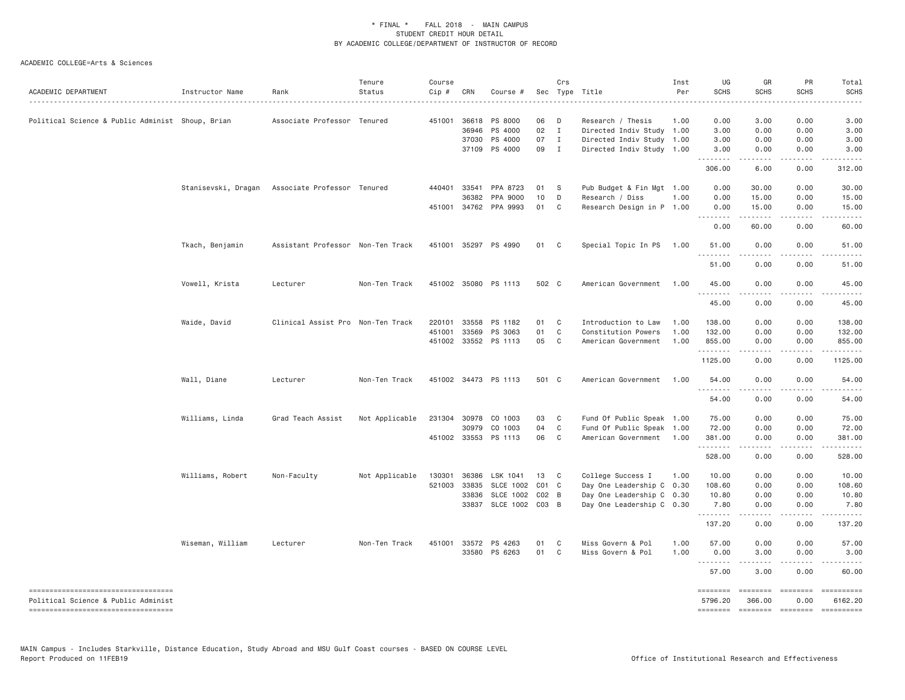| ACADEMIC DEPARTMENT                                                       | Instructor Name  | Rank                                            | Tenure<br>Status | Course<br>Cip # | CRN          | Course #             |           | Crs            | Sec Type Title            | Inst<br>Per | UG<br><b>SCHS</b>   | GR<br><b>SCHS</b>                                                                                                                                                                       | PR<br><b>SCHS</b>          | Total<br><b>SCHS</b>  |
|---------------------------------------------------------------------------|------------------|-------------------------------------------------|------------------|-----------------|--------------|----------------------|-----------|----------------|---------------------------|-------------|---------------------|-----------------------------------------------------------------------------------------------------------------------------------------------------------------------------------------|----------------------------|-----------------------|
| Political Science & Public Administ Shoup, Brian                          |                  | Associate Professor Tenured                     |                  |                 | 451001 36618 | PS 8000              | 06        | D              | Research / Thesis         | 1.00        | 0.00                | 3.00                                                                                                                                                                                    | 0.00                       | 3.00                  |
|                                                                           |                  |                                                 |                  |                 | 36946        | PS 4000              | 02 I      |                | Directed Indiv Study 1.00 |             | 3.00                | 0.00                                                                                                                                                                                    | 0.00                       | 3.00                  |
|                                                                           |                  |                                                 |                  |                 | 37030        | PS 4000              | 07        | $\mathbf{I}$   | Directed Indiv Study 1.00 |             | 3.00                | 0.00                                                                                                                                                                                    | 0.00                       | 3.00                  |
|                                                                           |                  |                                                 |                  |                 |              | 37109 PS 4000        | 09 I      |                | Directed Indiv Study 1.00 |             | 3.00                | 0.00                                                                                                                                                                                    | 0.00                       | 3.00                  |
|                                                                           |                  |                                                 |                  |                 |              |                      |           |                |                           |             | .<br>306.00         | .<br>6.00                                                                                                                                                                               | .<br>0.00                  | 312.00                |
|                                                                           |                  | Stanisevski, Dragan Associate Professor Tenured |                  |                 | 440401 33541 | PPA 8723             | 01        | $\mathbf{s}$   | Pub Budget & Fin Mgt 1.00 |             | 0.00                | 30.00                                                                                                                                                                                   | 0.00                       | 30.00                 |
|                                                                           |                  |                                                 |                  |                 | 36382        | PPA 9000             | 10        | D              | Research / Diss           | 1.00        | 0.00                | 15.00                                                                                                                                                                                   | 0.00                       | 15.00                 |
|                                                                           |                  |                                                 |                  |                 | 451001 34762 | PPA 9993             | 01        | C              | Research Design in P 1.00 |             | 0.00                | 15.00                                                                                                                                                                                   | 0.00                       | 15.00                 |
|                                                                           |                  |                                                 |                  |                 |              |                      |           |                |                           |             | 0.00                | .<br>60.00                                                                                                                                                                              | .<br>0.00                  | 60.00                 |
|                                                                           | Tkach, Benjamin  | Assistant Professor Non-Ten Track               |                  |                 |              | 451001 35297 PS 4990 | 01        | $\overline{c}$ | Special Topic In PS       | 1.00        | 51.00               | 0.00                                                                                                                                                                                    | 0.00                       | 51.00                 |
|                                                                           |                  |                                                 |                  |                 |              |                      |           |                |                           |             | -----<br>51.00      | $\cdots$<br>0.00                                                                                                                                                                        | .<br>0.00                  | 51.00                 |
|                                                                           | Vowell, Krista   | Lecturer                                        | Non-Ten Track    |                 |              | 451002 35080 PS 1113 | 502 C     |                | American Government       | 1.00        | 45.00               | 0.00                                                                                                                                                                                    | 0.00                       | 45.00                 |
|                                                                           |                  |                                                 |                  |                 |              |                      |           |                |                           |             | .<br>45.00          | $- - - - - -$<br>0.00                                                                                                                                                                   | .<br>0.00                  | 45.00                 |
|                                                                           | Waide, David     | Clinical Assist Pro Non-Ten Track               |                  |                 | 220101 33558 | PS 1182              | 01        | C              | Introduction to Law       | 1.00        | 138.00              | 0.00                                                                                                                                                                                    | 0.00                       | 138.00                |
|                                                                           |                  |                                                 |                  | 451001          | 33569        | PS 3063              | 01        | C              | Constitution Powers       | 1.00        | 132.00              | 0.00                                                                                                                                                                                    | 0.00                       | 132.00                |
|                                                                           |                  |                                                 |                  |                 |              | 451002 33552 PS 1113 | 05        | C              | American Government       | 1.00        | 855.00              | 0.00                                                                                                                                                                                    | 0.00                       | 855.00                |
|                                                                           |                  |                                                 |                  |                 |              |                      |           |                |                           |             | .<br>1125.00        | $\omega$ is a set of<br>0.00                                                                                                                                                            | .<br>0.00                  | 1.1.1.1.1<br>1125.00  |
|                                                                           | Wall, Diane      | Lecturer                                        | Non-Ten Track    |                 |              | 451002 34473 PS 1113 | 501 C     |                | American Government       | 1.00        | 54.00               | 0.00                                                                                                                                                                                    | 0.00                       | 54.00                 |
|                                                                           |                  |                                                 |                  |                 |              |                      |           |                |                           |             | 54.00               | 0.00                                                                                                                                                                                    | 0.00                       | 54.00                 |
|                                                                           | Williams, Linda  | Grad Teach Assist                               | Not Applicable   |                 | 231304 30978 | CO 1003              | 03        | C              | Fund Of Public Speak 1.00 |             | 75.00               | 0.00                                                                                                                                                                                    | 0.00                       | 75.00                 |
|                                                                           |                  |                                                 |                  |                 | 30979        | CO 1003              | 04        | C              | Fund Of Public Speak 1.00 |             | 72.00               | 0.00                                                                                                                                                                                    | 0.00                       | 72.00                 |
|                                                                           |                  |                                                 |                  |                 | 451002 33553 | PS 1113              | 06        | C <sub>1</sub> | American Government       | 1.00        | 381.00              | 0.00                                                                                                                                                                                    | 0.00                       | 381.00                |
|                                                                           |                  |                                                 |                  |                 |              |                      |           |                |                           |             | .<br>528.00         | 0.00                                                                                                                                                                                    | 0.00                       | 528.00                |
|                                                                           | Williams, Robert | Non-Faculty                                     | Not Applicable   | 130301          | 36386        | LSK 1041             | 13        | $\mathbf{C}$   | College Success I         | 1.00        | 10.00               | 0.00                                                                                                                                                                                    | 0.00                       | 10.00                 |
|                                                                           |                  |                                                 |                  | 521003 33835    |              | <b>SLCE 1002</b>     | $CO1$ $C$ |                | Day One Leadership C 0.30 |             | 108.60              | 0.00                                                                                                                                                                                    | 0.00                       | 108.60                |
|                                                                           |                  |                                                 |                  |                 | 33836        | <b>SLCE 1002</b>     | $CO2$ B   |                | Day One Leadership C 0.30 |             | 10.80               | 0.00                                                                                                                                                                                    | 0.00                       | 10.80                 |
|                                                                           |                  |                                                 |                  |                 | 33837        | SLCE 1002 C03 B      |           |                | Day One Leadership C 0.30 |             | 7.80                | 0.00                                                                                                                                                                                    | 0.00                       | 7.80                  |
|                                                                           |                  |                                                 |                  |                 |              |                      |           |                |                           |             | .<br>137.20         | $\frac{1}{2} \left( \frac{1}{2} \right) \left( \frac{1}{2} \right) \left( \frac{1}{2} \right) \left( \frac{1}{2} \right) \left( \frac{1}{2} \right)$<br>0.00                            | .<br>0.00                  | 137.20                |
|                                                                           | Wiseman, William | Lecturer                                        | Non-Ten Track    |                 | 451001 33572 | PS 4263              | 01        | C              | Miss Govern & Pol         | 1.00        | 57.00               | 0.00                                                                                                                                                                                    | 0.00                       | 57.00                 |
|                                                                           |                  |                                                 |                  |                 |              | 33580 PS 6263        | 01        | C              | Miss Govern & Pol         | 1.00        | 0.00                | 3.00                                                                                                                                                                                    | 0.00                       | 3.00                  |
|                                                                           |                  |                                                 |                  |                 |              |                      |           |                |                           |             | .<br>57.00          | $\frac{1}{2} \left( \frac{1}{2} \right) \left( \frac{1}{2} \right) \left( \frac{1}{2} \right) \left( \frac{1}{2} \right) \left( \frac{1}{2} \right) \left( \frac{1}{2} \right)$<br>3.00 | .<br>0.00                  | 60.00                 |
| ----------------------------------<br>Political Science & Public Administ |                  |                                                 |                  |                 |              |                      |           |                |                           |             | ========<br>5796.20 | $=$ $=$ $=$ $=$ $=$ $=$ $=$ $=$<br>366.00                                                                                                                                               | $= 222222222$<br>0.00      | ==========<br>6162.20 |
| ----------------------------------                                        |                  |                                                 |                  |                 |              |                      |           |                |                           |             |                     |                                                                                                                                                                                         | ======== ======== ======== | ==========            |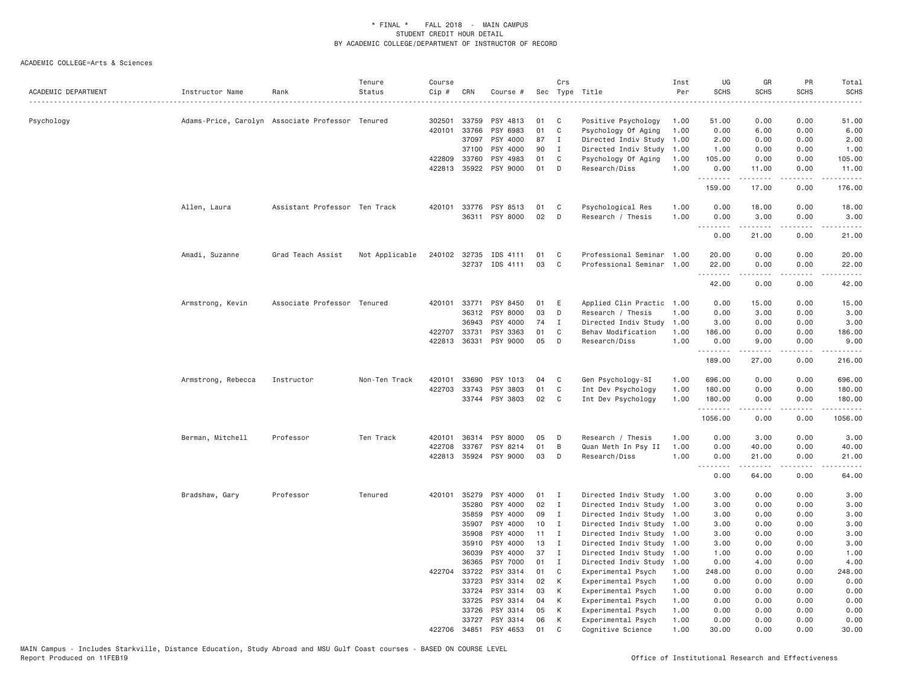| ACADEMIC DEPARTMENT | Instructor Name    | Rank                                             | Tenure<br>Status | Course<br>Cip # | CRN   | Course #              |    | Crs          | Sec Type Title<br>. <u>.</u> | Inst<br>Per | UG<br><b>SCHS</b> | GR<br><b>SCHS</b>                                                                                                                                             | PR<br><b>SCHS</b>            | Total<br><b>SCHS</b><br>-----                                                                                                                                  |
|---------------------|--------------------|--------------------------------------------------|------------------|-----------------|-------|-----------------------|----|--------------|------------------------------|-------------|-------------------|---------------------------------------------------------------------------------------------------------------------------------------------------------------|------------------------------|----------------------------------------------------------------------------------------------------------------------------------------------------------------|
| Psychology          |                    | Adams-Price, Carolyn Associate Professor Tenured |                  | 302501          | 33759 | PSY 4813              | 01 | C            | Positive Psychology          | 1.00        | 51.00             | 0.00                                                                                                                                                          | 0.00                         | 51.00                                                                                                                                                          |
|                     |                    |                                                  |                  | 420101          | 33766 | PSY 6983              | 01 | $\mathbb C$  | Psychology Of Aging          | 1.00        | 0.00              | 6.00                                                                                                                                                          | 0.00                         | 6.00                                                                                                                                                           |
|                     |                    |                                                  |                  |                 | 37097 | PSY 4000              | 87 | $\mathbf{I}$ | Directed Indiv Study         | 1.00        | 2.00              | 0.00                                                                                                                                                          | 0.00                         | 2.00                                                                                                                                                           |
|                     |                    |                                                  |                  |                 | 37100 | PSY 4000              | 90 | I            | Directed Indiv Study         | 1.00        | 1.00              | 0.00                                                                                                                                                          | 0.00                         | 1.00                                                                                                                                                           |
|                     |                    |                                                  |                  | 422809          | 33760 | PSY 4983              | 01 | C            | Psychology Of Aging          | 1.00        | 105.00            | 0.00                                                                                                                                                          | 0.00                         | 105.00                                                                                                                                                         |
|                     |                    |                                                  |                  |                 |       | 422813 35922 PSY 9000 | 01 | D            | Research/Diss                | 1.00        | 0.00<br>.         | 11.00<br>.                                                                                                                                                    | 0.00<br>.                    | 11.00<br>.                                                                                                                                                     |
|                     |                    |                                                  |                  |                 |       |                       |    |              |                              |             | 159.00            | 17.00                                                                                                                                                         | 0.00                         | 176.00                                                                                                                                                         |
|                     | Allen, Laura       | Assistant Professor Ten Track                    |                  | 420101          |       | 33776 PSY 8513        | 01 | C            | Psychological Res            | 1.00        | 0.00              | 18.00                                                                                                                                                         | 0.00                         | 18.00                                                                                                                                                          |
|                     |                    |                                                  |                  |                 |       | 36311 PSY 8000        | 02 | D            | Research / Thesis            | 1.00        | 0.00              | 3.00                                                                                                                                                          | 0.00                         | 3.00                                                                                                                                                           |
|                     |                    |                                                  |                  |                 |       |                       |    |              |                              |             | .<br>0.00         | -----<br>21.00                                                                                                                                                | .<br>0.00                    | .<br>21.00                                                                                                                                                     |
|                     |                    |                                                  |                  |                 |       |                       |    |              |                              |             |                   |                                                                                                                                                               |                              |                                                                                                                                                                |
|                     | Amadi, Suzanne     | Grad Teach Assist                                | Not Applicable   | 240102          | 32735 | IDS 4111              | 01 | C            | Professional Seminar 1.00    |             | 20.00             | 0.00                                                                                                                                                          | 0.00                         | 20.00                                                                                                                                                          |
|                     |                    |                                                  |                  |                 |       | 32737 IDS 4111        | 03 | C            | Professional Seminar 1.00    |             | 22.00<br>------   | 0.00<br>.                                                                                                                                                     | 0.00<br>$\sim$ $\sim$ $\sim$ | 22.00<br>.                                                                                                                                                     |
|                     |                    |                                                  |                  |                 |       |                       |    |              |                              |             | 42.00             | 0.00                                                                                                                                                          | 0.00                         | 42.00                                                                                                                                                          |
|                     | Armstrong, Kevin   | Associate Professor Tenured                      |                  | 420101          | 33771 | PSY 8450              | 01 | E            | Applied Clin Practic         | 1.00        | 0.00              | 15.00                                                                                                                                                         | 0.00                         | 15.00                                                                                                                                                          |
|                     |                    |                                                  |                  |                 | 36312 | PSY 8000              | 03 | D            | Research / Thesis            | 1.00        | 0.00              | 3.00                                                                                                                                                          | 0.00                         | 3.00                                                                                                                                                           |
|                     |                    |                                                  |                  |                 | 36943 | PSY 4000              | 74 | I            | Directed Indiv Study         | 1.00        | 3.00              | 0.00                                                                                                                                                          | 0.00                         | 3.00                                                                                                                                                           |
|                     |                    |                                                  |                  | 422707          | 33731 | PSY 3363              | 01 | C            | Behav Modification           | 1.00        | 186.00            | 0.00                                                                                                                                                          | 0.00                         | 186.00                                                                                                                                                         |
|                     |                    |                                                  |                  | 422813          | 36331 | PSY 9000              | 05 | D            | Research/Diss                | 1.00        | 0.00              | 9.00                                                                                                                                                          | 0.00                         | 9.00                                                                                                                                                           |
|                     |                    |                                                  |                  |                 |       |                       |    |              |                              |             | .<br>189.00       | $\frac{1}{2} \left( \frac{1}{2} \right) \left( \frac{1}{2} \right) \left( \frac{1}{2} \right) \left( \frac{1}{2} \right) \left( \frac{1}{2} \right)$<br>27.00 | .<br>0.00                    | $\frac{1}{2} \left( \frac{1}{2} \right) \left( \frac{1}{2} \right) \left( \frac{1}{2} \right) \left( \frac{1}{2} \right) \left( \frac{1}{2} \right)$<br>216.00 |
|                     | Armstrong, Rebecca | Instructor                                       | Non-Ten Track    | 420101          | 33690 | PSY 1013              | 04 | C            | Gen Psychology-SI            | 1.00        | 696.00            | 0.00                                                                                                                                                          | 0.00                         | 696.00                                                                                                                                                         |
|                     |                    |                                                  |                  | 422703          | 33743 | PSY 3803              | 01 | C            | Int Dev Psychology           | 1.00        | 180.00            | 0.00                                                                                                                                                          | 0.00                         | 180.00                                                                                                                                                         |
|                     |                    |                                                  |                  |                 |       | 33744 PSY 3803        | 02 | C            | Int Dev Psychology           | 1.00        | 180.00            | 0.00                                                                                                                                                          | 0.00                         | 180.00                                                                                                                                                         |
|                     |                    |                                                  |                  |                 |       |                       |    |              |                              |             | .<br>1056.00      | -----<br>0.00                                                                                                                                                 | .<br>0.00                    | .<br>1056.00                                                                                                                                                   |
|                     | Berman, Mitchell   | Professor                                        | Ten Track        | 420101          | 36314 | PSY 8000              | 05 | D            | Research / Thesis            | 1.00        | 0.00              | 3.00                                                                                                                                                          | 0.00                         | 3.00                                                                                                                                                           |
|                     |                    |                                                  |                  | 422708          | 33767 | PSY 8214              | 01 | B            | Quan Meth In Psy II          | 1.00        | 0.00              | 40.00                                                                                                                                                         | 0.00                         | 40.00                                                                                                                                                          |
|                     |                    |                                                  |                  |                 |       | 422813 35924 PSY 9000 | 03 | D            | Research/Diss                | 1.00        | 0.00              | 21.00                                                                                                                                                         | 0.00                         | 21,00                                                                                                                                                          |
|                     |                    |                                                  |                  |                 |       |                       |    |              |                              |             | .<br>0.00         | .<br>64.00                                                                                                                                                    | .<br>0.00                    | .<br>64.00                                                                                                                                                     |
|                     | Bradshaw, Gary     | Professor                                        | Tenured          | 420101          | 35279 | PSY 4000              | 01 | <b>I</b>     | Directed Indiv Study         | 1.00        | 3.00              | 0.00                                                                                                                                                          | 0.00                         | 3.00                                                                                                                                                           |
|                     |                    |                                                  |                  |                 | 35280 | PSY 4000              | 02 | $\mathbf{I}$ | Directed Indiv Study         | 1.00        | 3.00              | 0.00                                                                                                                                                          | 0.00                         | 3.00                                                                                                                                                           |
|                     |                    |                                                  |                  |                 | 35859 | PSY 4000              | 09 | I            | Directed Indiv Study         | 1.00        | 3.00              | 0.00                                                                                                                                                          | 0.00                         | 3.00                                                                                                                                                           |
|                     |                    |                                                  |                  |                 | 35907 | PSY 4000              | 10 | $\mathbf{I}$ | Directed Indiv Study         | 1.00        | 3.00              | 0.00                                                                                                                                                          | 0.00                         | 3.00                                                                                                                                                           |
|                     |                    |                                                  |                  |                 | 35908 | PSY 4000              | 11 | $\mathbf{I}$ | Directed Indiv Study 1.00    |             | 3.00              | 0.00                                                                                                                                                          | 0.00                         | 3.00                                                                                                                                                           |
|                     |                    |                                                  |                  |                 | 35910 | PSY 4000              | 13 | $\mathbf{I}$ | Directed Indiv Study         | 1.00        | 3.00              | 0.00                                                                                                                                                          | 0.00                         | 3.00                                                                                                                                                           |
|                     |                    |                                                  |                  |                 | 36039 | PSY 4000              | 37 | I            | Directed Indiv Study 1.00    |             | 1.00              | 0.00                                                                                                                                                          | 0.00                         | 1.00                                                                                                                                                           |
|                     |                    |                                                  |                  |                 | 36365 | PSY 7000              | 01 | Ι.           | Directed Indiv Study         | 1.00        | 0.00              | 4.00                                                                                                                                                          | 0.00                         | 4.00                                                                                                                                                           |
|                     |                    |                                                  |                  | 422704          | 33722 | PSY 3314              | 01 | C            | Experimental Psych           | 1.00        | 248.00            | 0.00                                                                                                                                                          | 0.00                         | 248.00                                                                                                                                                         |
|                     |                    |                                                  |                  |                 | 33723 | PSY 3314              | 02 | K            | Experimental Psych           | 1.00        | 0.00              | 0.00                                                                                                                                                          | 0.00                         | 0.00                                                                                                                                                           |
|                     |                    |                                                  |                  |                 | 33724 | PSY 3314              | 03 | K            | Experimental Psych           | 1.00        | 0.00              | 0.00                                                                                                                                                          | 0.00                         | 0.00                                                                                                                                                           |
|                     |                    |                                                  |                  |                 | 33725 | PSY 3314              | 04 | К            | Experimental Psych           | 1.00        | 0.00              | 0.00                                                                                                                                                          | 0.00                         | 0.00                                                                                                                                                           |
|                     |                    |                                                  |                  |                 | 33726 | PSY 3314              | 05 | К            | Experimental Psych           | 1.00        | 0.00              | 0.00                                                                                                                                                          | 0.00                         | 0.00                                                                                                                                                           |
|                     |                    |                                                  |                  |                 | 33727 | PSY 3314              | 06 | K            | Experimental Psych           | 1.00        | 0.00              | 0.00                                                                                                                                                          | 0.00                         | 0.00                                                                                                                                                           |
|                     |                    |                                                  |                  | 422706          | 34851 | PSY 4653              | 01 | $\mathsf{C}$ | Cognitive Science            | 1,00        | 30.00             | 0.00                                                                                                                                                          | 0.00                         | 30,00                                                                                                                                                          |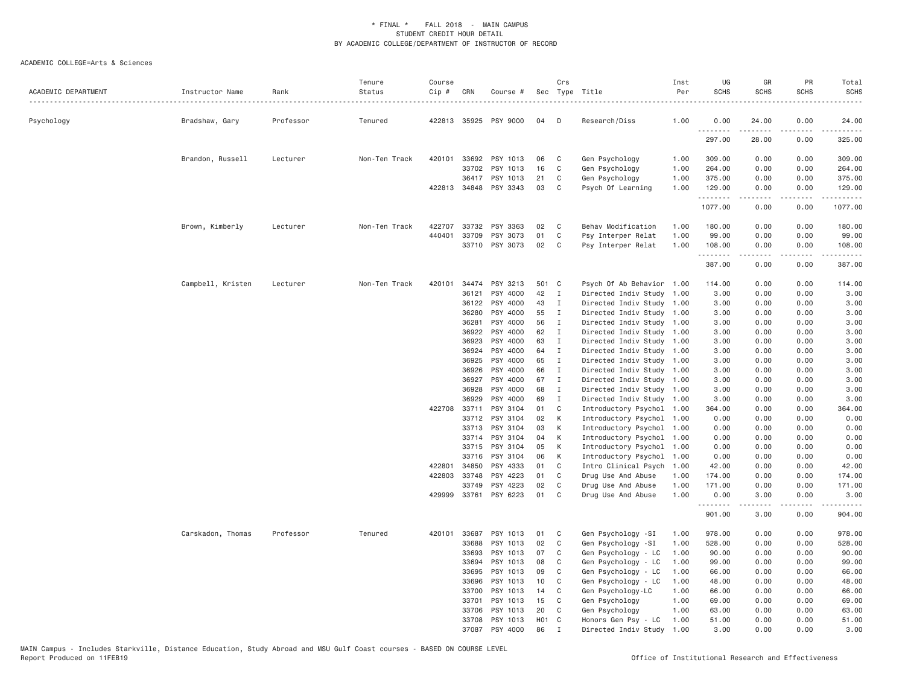| ACADEMIC DEPARTMENT | Instructor Name   | Rank      | Tenure<br>Status | Course<br>Cip # | CRN            | Course #             |                   | Crs                          | Sec Type Title<br>.                                    | Inst<br>Per  | UG<br><b>SCHS</b> | GR<br><b>SCHS</b>                                                                                                                                            | PR<br><b>SCHS</b> | Total<br><b>SCHS</b> |
|---------------------|-------------------|-----------|------------------|-----------------|----------------|----------------------|-------------------|------------------------------|--------------------------------------------------------|--------------|-------------------|--------------------------------------------------------------------------------------------------------------------------------------------------------------|-------------------|----------------------|
| Psychology          | Bradshaw, Gary    | Professor | Tenured          |                 | 422813 35925   | PSY 9000             | 04                | $\Box$                       | Research/Diss                                          | 1.00         | 0.00              | 24.00                                                                                                                                                        | 0.00              | 24.00                |
|                     |                   |           |                  |                 |                |                      |                   |                              |                                                        |              | 297.00            | 28.00                                                                                                                                                        | 0.00              | 325.00               |
|                     | Brandon, Russell  | Lecturer  | Non-Ten Track    | 420101          | 33692          | PSY 1013             | 06                | C                            | Gen Psychology                                         | 1.00         | 309.00            | 0.00                                                                                                                                                         | 0.00              | 309.00               |
|                     |                   |           |                  |                 | 33702          | PSY 1013             | 16                | C                            | Gen Psychology                                         | 1.00         | 264.00            | 0.00                                                                                                                                                         | 0.00              | 264.00               |
|                     |                   |           |                  |                 | 36417          | PSY 1013             | 21                | C                            | Gen Psychology                                         | 1.00         | 375.00            | 0.00                                                                                                                                                         | 0.00              | 375.00               |
|                     |                   |           |                  |                 | 422813 34848   | PSY 3343             | 03                | C                            | Psych Of Learning                                      | 1.00         | 129.00<br>.       | 0.00<br>$\frac{1}{2} \left( \frac{1}{2} \right) \left( \frac{1}{2} \right) \left( \frac{1}{2} \right) \left( \frac{1}{2} \right) \left( \frac{1}{2} \right)$ | 0.00<br>.         | 129.00<br>.          |
|                     |                   |           |                  |                 |                |                      |                   |                              |                                                        |              | 1077.00           | 0.00                                                                                                                                                         | 0.00              | 1077.00              |
|                     | Brown, Kimberly   | Lecturer  | Non-Ten Track    | 422707          | 33732          | PSY 3363             | 02                | $\mathbf{C}$                 | Behav Modification                                     | 1.00         | 180.00            | 0.00                                                                                                                                                         | 0.00              | 180.00               |
|                     |                   |           |                  | 440401          | 33709          | PSY 3073             | 01                | $\mathbf{C}$                 | Psy Interper Relat                                     | 1.00         | 99.00             | 0.00                                                                                                                                                         | 0.00              | 99.00                |
|                     |                   |           |                  |                 | 33710          | PSY 3073             | 02                | C                            | Psy Interper Relat                                     | 1.00         | 108.00<br>.       | 0.00<br>.                                                                                                                                                    | 0.00<br>.         | 108.00<br>.          |
|                     |                   |           |                  |                 |                |                      |                   |                              |                                                        |              | 387.00            | 0.00                                                                                                                                                         | 0.00              | 387.00               |
|                     | Campbell, Kristen | Lecturer  | Non-Ten Track    | 420101          | 34474          | PSY 3213             | 501 C             |                              | Psych Of Ab Behavior 1.00                              |              | 114.00            | 0.00                                                                                                                                                         | 0.00              | 114.00               |
|                     |                   |           |                  |                 | 36121          | PSY 4000             | 42                | $\mathbf{I}$                 | Directed Indiv Study 1.00                              |              | 3.00              | 0.00                                                                                                                                                         | 0.00              | 3.00                 |
|                     |                   |           |                  |                 | 36122          | PSY 4000             | 43                | $\mathbf{I}$                 | Directed Indiv Study 1.00                              |              | 3.00              | 0.00                                                                                                                                                         | 0.00              | 3.00                 |
|                     |                   |           |                  |                 | 36280          | PSY 4000             | 55                | $\mathbf{I}$                 | Directed Indiv Study 1.00                              |              | 3.00              | 0.00                                                                                                                                                         | 0.00              | 3.00                 |
|                     |                   |           |                  |                 | 36281          | PSY 4000             | 56                | $\mathbf{I}$                 | Directed Indiv Study 1.00                              |              | 3.00              | 0.00                                                                                                                                                         | 0.00              | 3.00                 |
|                     |                   |           |                  |                 | 36922          | PSY 4000             | 62                | $\mathbf{I}$                 | Directed Indiv Study 1.00                              |              | 3.00              | 0.00                                                                                                                                                         | 0.00              | 3.00                 |
|                     |                   |           |                  |                 | 36923          | PSY 4000             | 63                | $\mathbf{I}$                 | Directed Indiv Study 1.00                              |              | 3.00              | 0.00                                                                                                                                                         | 0.00              | 3.00                 |
|                     |                   |           |                  |                 | 36924          | PSY 4000             | 64                | $\blacksquare$               | Directed Indiv Study 1.00                              |              | 3.00              | 0.00                                                                                                                                                         | 0.00              | 3.00                 |
|                     |                   |           |                  |                 | 36925          | PSY 4000             | 65                | $\mathbf{I}$                 | Directed Indiv Study 1.00                              |              | 3.00              | 0.00                                                                                                                                                         | 0.00              | 3.00                 |
|                     |                   |           |                  |                 | 36926<br>36927 | PSY 4000<br>PSY 4000 | 66<br>67          | $\mathbf{I}$<br>$\mathbf{I}$ | Directed Indiv Study 1.00<br>Directed Indiv Study 1.00 |              | 3.00<br>3.00      | 0.00<br>0.00                                                                                                                                                 | 0.00<br>0.00      | 3.00<br>3.00         |
|                     |                   |           |                  |                 | 36928          | PSY 4000             | 68                | $\mathbf{I}$                 | Directed Indiv Study 1.00                              |              | 3.00              | 0.00                                                                                                                                                         | 0.00              | 3.00                 |
|                     |                   |           |                  |                 | 36929          | PSY 4000             | 69                | I                            | Directed Indiv Study 1.00                              |              | 3.00              | 0.00                                                                                                                                                         | 0.00              | 3.00                 |
|                     |                   |           |                  |                 | 422708 33711   | PSY 3104             | 01                | C                            | Introductory Psychol 1.00                              |              | 364.00            | 0.00                                                                                                                                                         | 0.00              | 364.00               |
|                     |                   |           |                  |                 | 33712          | PSY 3104             | 02                | K                            | Introductory Psychol 1.00                              |              | 0.00              | 0.00                                                                                                                                                         | 0.00              | 0.00                 |
|                     |                   |           |                  |                 | 33713          | PSY 3104             | 03                | К                            | Introductory Psychol 1.00                              |              | 0.00              | 0.00                                                                                                                                                         | 0.00              | 0.00                 |
|                     |                   |           |                  |                 | 33714          | PSY 3104             | 04                | K                            | Introductory Psychol 1.00                              |              | 0.00              | 0.00                                                                                                                                                         | 0.00              | 0.00                 |
|                     |                   |           |                  |                 | 33715          | PSY 3104             | 05                | K                            | Introductory Psychol                                   | 1.00         | 0.00              | 0.00                                                                                                                                                         | 0.00              | 0.00                 |
|                     |                   |           |                  |                 | 33716          | PSY 3104             | 06                | K                            | Introductory Psychol 1.00                              |              | 0.00              | 0.00                                                                                                                                                         | 0.00              | 0.00                 |
|                     |                   |           |                  |                 | 422801 34850   | PSY 4333             | 01                | $\mathbf{C}$                 | Intro Clinical Psych 1.00                              |              | 42.00             | 0.00                                                                                                                                                         | 0.00              | 42.00                |
|                     |                   |           |                  | 422803          | 33748          | PSY 4223             | 01                | $\mathbf{C}$                 | Drug Use And Abuse                                     | 1.00         | 174.00            | 0.00                                                                                                                                                         | 0.00              | 174.00               |
|                     |                   |           |                  |                 | 33749          | PSY 4223             | 02                | C                            | Drug Use And Abuse                                     | 1.00         | 171.00            | 0.00                                                                                                                                                         | 0.00              | 171.00               |
|                     |                   |           |                  | 429999          |                | 33761 PSY 6223       | 01                | C                            | Drug Use And Abuse                                     | 1.00         | 0.00<br>.         | 3.00                                                                                                                                                         | 0.00              | 3.00                 |
|                     |                   |           |                  |                 |                |                      |                   |                              |                                                        |              | 901.00            | 3.00                                                                                                                                                         | 0.00              | 904.00               |
|                     | Carskadon, Thomas | Professor | Tenured          |                 | 420101 33687   | PSY 1013             | 01                | $\mathbf C$                  | Gen Psychology -SI                                     | 1.00         | 978.00            | 0.00                                                                                                                                                         | 0.00              | 978.00               |
|                     |                   |           |                  |                 | 33688          | PSY 1013             | 02                | C                            | Gen Psychology -SI                                     | 1.00         | 528.00            | 0.00                                                                                                                                                         | 0.00              | 528.00               |
|                     |                   |           |                  |                 | 33693          | PSY 1013             | 07                | C                            | Gen Psychology - LC                                    | 1.00         | 90.00             | 0.00                                                                                                                                                         | 0.00              | 90.00                |
|                     |                   |           |                  |                 | 33694          | PSY 1013             | 08                | C                            | Gen Psychology - LC                                    | 1.00         | 99.00             | 0.00                                                                                                                                                         | 0.00              | 99.00                |
|                     |                   |           |                  |                 | 33695          | PSY 1013             | 09                | C                            | Gen Psychology - LC                                    | 1.00         | 66.00             | 0.00                                                                                                                                                         | 0.00              | 66.00                |
|                     |                   |           |                  |                 | 33696          | PSY 1013             | 10                | C                            | Gen Psychology - LC                                    | 1.00         | 48.00             | 0.00                                                                                                                                                         | 0.00              | 48.00                |
|                     |                   |           |                  |                 | 33700<br>33701 | PSY 1013<br>PSY 1013 | 14<br>15          | C<br>C                       | Gen Psychology-LC<br>Gen Psychology                    | 1.00<br>1.00 | 66.00<br>69.00    | 0.00<br>0.00                                                                                                                                                 | 0.00<br>0.00      | 66.00<br>69.00       |
|                     |                   |           |                  |                 | 33706          | PSY 1013             | 20                | C                            | Gen Psychology                                         | 1.00         | 63.00             | 0.00                                                                                                                                                         | 0.00              | 63.00                |
|                     |                   |           |                  |                 | 33708          | PSY 1013             | H <sub>01</sub> C |                              | Honors Gen Psy - LC                                    | 1.00         | 51.00             | 0.00                                                                                                                                                         | 0.00              | 51.00                |
|                     |                   |           |                  |                 | 37087          | PSY 4000             | 86                | $\mathsf{T}$                 | Directed Indiv Study                                   | 1.00         | 3.00              | 0.00                                                                                                                                                         | 0.00              | 3,00                 |
|                     |                   |           |                  |                 |                |                      |                   |                              |                                                        |              |                   |                                                                                                                                                              |                   |                      |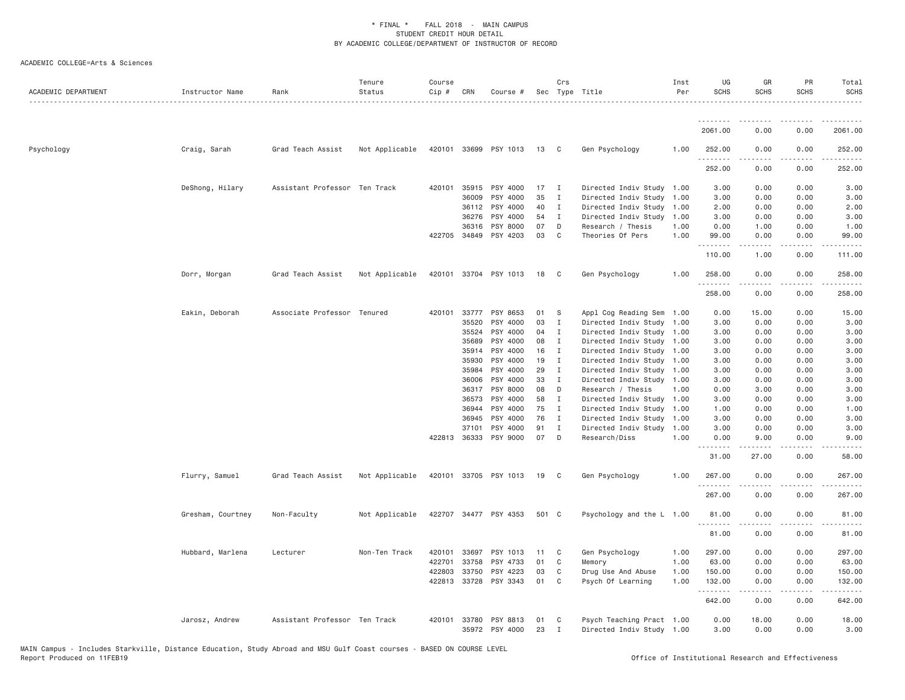| ACADEMIC DEPARTMENT | Instructor Name   | Rank                          | Tenure<br>Status | Course<br>$Cip \#$ | CRN          | Course #                   |          | Crs               | Sec Type Title                                         | Inst<br>Per | UG<br><b>SCHS</b>    | GR<br><b>SCHS</b>                                                                                                                                                                       | PR<br><b>SCHS</b> | Total<br><b>SCHS</b> |
|---------------------|-------------------|-------------------------------|------------------|--------------------|--------------|----------------------------|----------|-------------------|--------------------------------------------------------|-------------|----------------------|-----------------------------------------------------------------------------------------------------------------------------------------------------------------------------------------|-------------------|----------------------|
|                     |                   |                               |                  |                    |              |                            |          |                   |                                                        |             | <u>.</u>             |                                                                                                                                                                                         |                   |                      |
|                     |                   |                               |                  |                    |              |                            |          |                   |                                                        |             | 2061.00              | 0.00                                                                                                                                                                                    | 0.00              | 2061.00              |
| Psychology          | Craig, Sarah      | Grad Teach Assist             | Not Applicable   |                    |              | 420101 33699 PSY 1013      | 13       | $\mathbf{C}$      | Gen Psychology                                         | 1.00        | 252.00<br>.          | 0.00                                                                                                                                                                                    | 0.00              | 252.00               |
|                     |                   |                               |                  |                    |              |                            |          |                   |                                                        |             | 252.00               | 0.00                                                                                                                                                                                    | 0.00              | 252.00               |
|                     | DeShong, Hilary   | Assistant Professor Ten Track |                  |                    | 420101 35915 | PSY 4000                   | 17       | $\blacksquare$    | Directed Indiv Study 1.00                              |             | 3.00                 | 0.00                                                                                                                                                                                    | 0.00              | 3.00                 |
|                     |                   |                               |                  |                    | 36009        | PSY 4000                   | 35       | $\mathbf{I}$      | Directed Indiv Study 1.00                              |             | 3.00                 | 0.00                                                                                                                                                                                    | 0.00              | 3.00                 |
|                     |                   |                               |                  |                    | 36112        | PSY 4000                   | 40       | $\mathbf{I}$      | Directed Indiv Study 1.00                              |             | 2.00                 | 0.00                                                                                                                                                                                    | 0.00              | 2.00                 |
|                     |                   |                               |                  |                    | 36276        | PSY 4000                   | 54       | $\blacksquare$    | Directed Indiv Study 1.00                              |             | 3.00                 | 0.00                                                                                                                                                                                    | 0.00              | 3.00                 |
|                     |                   |                               |                  |                    | 36316        | PSY 8000                   | 07       | D                 | Research / Thesis                                      | 1.00        | 0.00                 | 1.00                                                                                                                                                                                    | 0.00              | 1.00                 |
|                     |                   |                               |                  |                    | 422705 34849 | PSY 4203                   | 03       | $\mathbf{C}$      | Theories Of Pers                                       | 1.00        | 99.00<br>.           | 0.00<br>$\frac{1}{2} \left( \frac{1}{2} \right) \left( \frac{1}{2} \right) \left( \frac{1}{2} \right) \left( \frac{1}{2} \right) \left( \frac{1}{2} \right) \left( \frac{1}{2} \right)$ | 0.00<br>.         | 99.00                |
|                     |                   |                               |                  |                    |              |                            |          |                   |                                                        |             | 110.00               | 1.00                                                                                                                                                                                    | 0.00              | 111.00               |
|                     | Dorr, Morgan      | Grad Teach Assist             | Not Applicable   | 420101             |              | 33704 PSY 1013             | 18       | $\overline{C}$    | Gen Psychology                                         | 1.00        | 258.00<br>.          | 0.00<br>.                                                                                                                                                                               | 0.00<br>.         | 258.00<br><b>.</b>   |
|                     |                   |                               |                  |                    |              |                            |          |                   |                                                        |             | 258.00               | 0.00                                                                                                                                                                                    | 0.00              | 258.00               |
|                     | Eakin, Deborah    | Associate Professor Tenured   |                  |                    | 420101 33777 | PSY 8653                   | 01       | S                 | Appl Cog Reading Sem 1.00                              |             | 0.00                 | 15.00                                                                                                                                                                                   | 0.00              | 15.00                |
|                     |                   |                               |                  |                    | 35520        | PSY 4000                   | 03       | $\blacksquare$    | Directed Indiv Study 1.00                              |             | 3.00                 | 0.00                                                                                                                                                                                    | 0.00              | 3.00                 |
|                     |                   |                               |                  |                    | 35524        | PSY 4000                   | 04       | $\mathbf{I}$      | Directed Indiv Study 1.00                              |             | 3.00                 | 0.00                                                                                                                                                                                    | 0.00              | 3.00                 |
|                     |                   |                               |                  |                    | 35689        | PSY 4000                   | 08       | $\mathbf{I}$      | Directed Indiv Study 1.00                              |             | 3.00                 | 0.00                                                                                                                                                                                    | 0.00              | 3.00                 |
|                     |                   |                               |                  |                    | 35914        | PSY 4000                   | 16       | $\mathbf{I}$      | Directed Indiv Study 1.00                              |             | 3.00                 | 0.00                                                                                                                                                                                    | 0.00              | 3.00                 |
|                     |                   |                               |                  |                    | 35930        | PSY 4000                   | 19       | $\mathbf{I}$      | Directed Indiv Study 1.00                              |             | 3.00                 | 0.00                                                                                                                                                                                    | 0.00              | 3.00                 |
|                     |                   |                               |                  |                    | 35984        | PSY 4000                   | 29       | I                 | Directed Indiv Study 1.00                              |             | 3.00                 | 0.00                                                                                                                                                                                    | 0.00              | 3.00                 |
|                     |                   |                               |                  |                    | 36006        | PSY 4000                   | 33       | $\mathbf{I}$      | Directed Indiv Study 1.00                              |             | 3.00                 | 0.00                                                                                                                                                                                    | 0.00              | 3.00                 |
|                     |                   |                               |                  |                    | 36317        | PSY 8000                   | 08       | D                 | Research / Thesis                                      | 1.00        | 0.00                 | 3.00                                                                                                                                                                                    | 0.00              | 3.00                 |
|                     |                   |                               |                  |                    | 36573        | PSY 4000                   | 58       | $\mathbf{I}$      | Directed Indiv Study 1.00                              |             | 3.00                 | 0.00                                                                                                                                                                                    | 0.00              | 3.00                 |
|                     |                   |                               |                  |                    | 36944        | PSY 4000                   | 75       | $\mathbf I$       | Directed Indiv Study 1.00                              |             | 1.00                 | 0.00                                                                                                                                                                                    | 0.00              | 1.00                 |
|                     |                   |                               |                  |                    | 36945        | PSY 4000                   | 76       | $\mathbf{I}$      | Directed Indiv Study                                   | 1.00        | 3.00                 | 0.00                                                                                                                                                                                    | 0.00              | 3.00                 |
|                     |                   |                               |                  |                    | 37101        | PSY 4000                   | 91       | I                 | Directed Indiv Study 1.00                              |             | 3.00                 | 0.00                                                                                                                                                                                    | 0.00              | 3.00                 |
|                     |                   |                               |                  |                    | 422813 36333 | PSY 9000                   | 07       | D                 | Research/Diss                                          | 1.00        | 0.00<br>.            | 9,00                                                                                                                                                                                    | 0.00              | 9.00                 |
|                     |                   |                               |                  |                    |              |                            |          |                   |                                                        |             | 31.00                | 27.00                                                                                                                                                                                   | 0.00              | 58.00                |
|                     | Flurry, Samuel    | Grad Teach Assist             | Not Applicable   |                    |              | 420101 33705 PSY 1013      | 19       | $\mathbf{C}$      | Gen Psychology                                         | 1.00        | 267.00<br>. <u>.</u> | 0.00                                                                                                                                                                                    | 0.00<br>.         | 267.00<br>.          |
|                     |                   |                               |                  |                    |              |                            |          |                   |                                                        |             | 267.00               | 0.00                                                                                                                                                                                    | 0.00              | 267.00               |
|                     | Gresham, Courtney | Non-Faculty                   | Not Applicable   |                    |              | 422707 34477 PSY 4353      | 501 C    |                   | Psychology and the L 1.00                              |             | 81.00<br>.           | 0.00<br>$\frac{1}{2} \left( \frac{1}{2} \right) \left( \frac{1}{2} \right) \left( \frac{1}{2} \right) \left( \frac{1}{2} \right) \left( \frac{1}{2} \right) \left( \frac{1}{2} \right)$ | 0.00<br>.         | 81.00<br>.           |
|                     |                   |                               |                  |                    |              |                            |          |                   |                                                        |             | 81.00                | 0.00                                                                                                                                                                                    | 0.00              | 81.00                |
|                     | Hubbard, Marlena  | Lecturer                      | Non-Ten Track    | 420101             | 33697        | PSY 1013                   | 11       | $\mathbf{C}$      | Gen Psychology                                         | 1.00        | 297.00               | 0.00                                                                                                                                                                                    | 0.00              | 297.00               |
|                     |                   |                               |                  | 422701             | 33758        | PSY 4733                   | 01       | C                 | Memory                                                 | 1.00        | 63.00                | 0.00                                                                                                                                                                                    | 0.00              | 63.00                |
|                     |                   |                               |                  | 422803             | 33750        | PSY 4223                   | 03       | C                 | Drug Use And Abuse                                     | 1.00        | 150.00               | 0.00                                                                                                                                                                                    | 0.00              | 150.00               |
|                     |                   |                               |                  |                    | 422813 33728 | PSY 3343                   | 01       | C                 | Psych Of Learning                                      | 1.00        | 132.00<br>.          | 0.00<br>$- - - - -$                                                                                                                                                                     | 0.00<br>.         | 132.00               |
|                     |                   |                               |                  |                    |              |                            |          |                   |                                                        |             | 642.00               | 0.00                                                                                                                                                                                    | 0.00              | 642.00               |
|                     | Jarosz, Andrew    | Assistant Professor Ten Track |                  | 420101             | 33780        | PSY 8813<br>35972 PSY 4000 | 01<br>23 | C<br>$\mathbf{I}$ | Psych Teaching Pract 1.00<br>Directed Indiv Study 1.00 |             | 0.00<br>3.00         | 18.00<br>0.00                                                                                                                                                                           | 0.00<br>0.00      | 18.00<br>3.00        |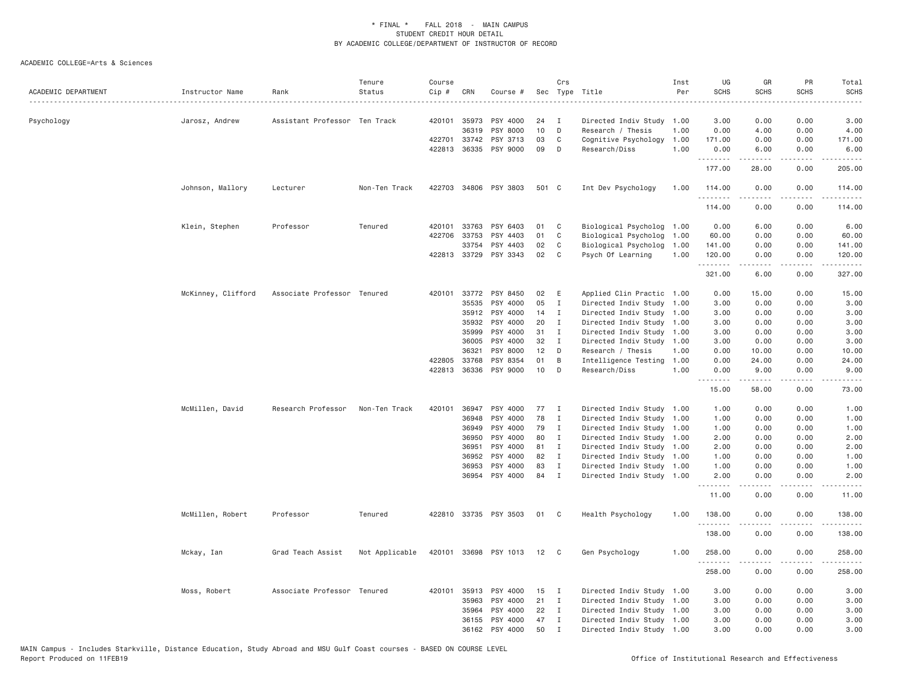| ACADEMIC DEPARTMENT | Instructor Name    | Rank                          | Tenure<br>Status | Course<br>Cip # | CRN          | Course #              |       | Crs            | Sec Type Title            | Inst<br>Per | UG<br><b>SCHS</b> | GR<br><b>SCHS</b> | PR<br>SCHS                   | Total<br><b>SCHS</b>    |
|---------------------|--------------------|-------------------------------|------------------|-----------------|--------------|-----------------------|-------|----------------|---------------------------|-------------|-------------------|-------------------|------------------------------|-------------------------|
| Psychology          | Jarosz, Andrew     | Assistant Professor Ten Track |                  |                 | 420101 35973 | PSY 4000              | 24    | I              | Directed Indiv Study      | 1.00        | 3.00              | 0.00              | 0.00                         | 3.00                    |
|                     |                    |                               |                  |                 | 36319        | PSY 8000              | 10    | D              | Research / Thesis         | 1.00        | 0.00              | 4.00              | 0.00                         | 4.00                    |
|                     |                    |                               |                  |                 | 422701 33742 | PSY 3713              | 03    | C              | Cognitive Psychology      | 1.00        | 171.00            | 0.00              | 0.00                         | 171.00                  |
|                     |                    |                               |                  |                 | 422813 36335 | PSY 9000              | 09    | D              | Research/Diss             | 1.00        | 0.00<br>.         | 6.00              | 0.00                         | 6.00                    |
|                     |                    |                               |                  |                 |              |                       |       |                |                           |             | 177.00            | 28.00             | 0.00                         | 205.00                  |
|                     | Johnson, Mallory   | Lecturer                      | Non-Ten Track    |                 |              | 422703 34806 PSY 3803 | 501 C |                | Int Dev Psychology        | 1.00        | 114.00<br>.       | 0.00              | 0.00<br>د د د د              | 114.00<br>.             |
|                     |                    |                               |                  |                 |              |                       |       |                |                           |             | 114.00            | 0.00              | 0.00                         | 114.00                  |
|                     | Klein, Stephen     | Professor                     | Tenured          |                 | 420101 33763 | PSY 6403              | 01    | C              | Biological Psycholog      | 1.00        | 0.00              | 6.00              | 0.00                         | 6.00                    |
|                     |                    |                               |                  |                 | 422706 33753 | PSY 4403              | 01    | C              | Biological Psycholog      | 1.00        | 60.00             | 0.00              | 0.00                         | 60.00                   |
|                     |                    |                               |                  |                 | 33754        | PSY 4403              | 02    | C              | Biological Psycholog      | 1.00        | 141.00            | 0.00              | 0.00                         | 141.00                  |
|                     |                    |                               |                  |                 | 422813 33729 | PSY 3343              | 02    | C              | Psych Of Learning         | 1.00        | 120.00<br>.       | 0.00<br>.         | 0.00                         | 120.00<br>$- - - - -$   |
|                     |                    |                               |                  |                 |              |                       |       |                |                           |             | 321.00            | 6.00              | 0.00                         | 327.00                  |
|                     | McKinney, Clifford | Associate Professor Tenured   |                  |                 | 420101 33772 | PSY 8450              | 02    | Ε              | Applied Clin Practic 1.00 |             | 0.00              | 15.00             | 0.00                         | 15.00                   |
|                     |                    |                               |                  |                 | 35535        | PSY 4000              | 05    | Ι              | Directed Indiv Study      | 1.00        | 3.00              | 0.00              | 0.00                         | 3.00                    |
|                     |                    |                               |                  |                 | 35912        | PSY 4000              | 14    | $\mathbf{I}$   | Directed Indiv Study      | 1.00        | 3.00              | 0.00              | 0.00                         | 3.00                    |
|                     |                    |                               |                  |                 | 35932        | PSY 4000              | 20    | $\mathbf I$    | Directed Indiv Study 1.00 |             | 3.00              | 0.00              | 0.00                         | 3.00                    |
|                     |                    |                               |                  |                 | 35999        | PSY 4000              | 31    | I              | Directed Indiv Study      | 1.00        | 3.00              | 0.00              | 0.00                         | 3.00                    |
|                     |                    |                               |                  |                 | 36005        | PSY 4000              | 32    | $\mathbf{I}$   | Directed Indiv Study      | 1.00        | 3.00              | 0.00              | 0.00                         | 3.00                    |
|                     |                    |                               |                  |                 | 36321        | PSY 8000              | 12    | D              | Research / Thesis         | 1.00        | 0.00              | 10.00             | 0.00                         | 10.00                   |
|                     |                    |                               |                  | 422805          | 33768        | PSY 8354              | 01    | B              | Intelligence Testing      | 1.00        | 0.00              | 24.00             | 0.00                         | 24.00                   |
|                     |                    |                               |                  |                 | 422813 36336 | PSY 9000              | 10    | D              | Research/Diss             | 1,00        | 0.00<br>.         | 9.00<br>.         | 0.00<br>.                    | 9.00<br>.               |
|                     |                    |                               |                  |                 |              |                       |       |                |                           |             | 15.00             | 58.00             | 0.00                         | 73.00                   |
|                     | McMillen, David    | Research Professor            | Non-Ten Track    | 420101          | 36947        | PSY 4000              | 77    | $\mathbf{I}$   | Directed Indiv Study      | 1.00        | 1.00              | 0.00              | 0.00                         | 1.00                    |
|                     |                    |                               |                  |                 | 36948        | PSY 4000              | 78    | I              | Directed Indiv Study      | 1.00        | 1.00              | 0.00              | 0.00                         | 1.00                    |
|                     |                    |                               |                  |                 | 36949        | PSY 4000              | 79    | $\mathbf I$    | Directed Indiv Study      | 1.00        | 1.00              | 0.00              | 0.00                         | 1.00                    |
|                     |                    |                               |                  |                 | 36950        | PSY 4000              | 80    | $\mathbf I$    | Directed Indiv Study 1.00 |             | 2.00              | 0.00              | 0.00                         | 2.00                    |
|                     |                    |                               |                  |                 | 36951        | PSY 4000              | 81    | $\mathbf{I}$   | Directed Indiv Study      | 1.00        | 2.00              | 0.00              | 0.00                         | 2.00                    |
|                     |                    |                               |                  |                 | 36952        | PSY 4000              | 82    | $\mathbf{I}$   | Directed Indiv Study 1.00 |             | 1.00              | 0.00              | 0.00                         | 1.00                    |
|                     |                    |                               |                  |                 | 36953        | PSY 4000              | 83    | I              | Directed Indiv Study      | 1.00        | 1.00              | 0.00              | 0.00                         | 1.00                    |
|                     |                    |                               |                  |                 | 36954        | PSY 4000              | 84    | $\mathbf I$    | Directed Indiv Study 1.00 |             | 2.00<br>.         | 0.00<br>.         | 0.00<br>$\sim$ $\sim$ $\sim$ | 2.00                    |
|                     |                    |                               |                  |                 |              |                       |       |                |                           |             | 11.00             | 0.00              | 0.00                         | 11.00                   |
|                     | McMillen, Robert   | Professor                     | Tenured          |                 |              | 422810 33735 PSY 3503 | 01    | C              | Health Psychology         | 1.00        | 138.00<br>.       | 0.00<br>.         | 0.00<br>$  -$                | 138.00<br>$- - - - - -$ |
|                     |                    |                               |                  |                 |              |                       |       |                |                           |             | 138.00            | 0.00              | 0.00                         | 138.00                  |
|                     | Mckay, Ian         | Grad Teach Assist             | Not Applicable   | 420101          | 33698        | PSY 1013              | 12    | C <sub>c</sub> | Gen Psychology            | 1.00        | 258.00            | 0.00              | 0.00                         | 258.00                  |
|                     |                    |                               |                  |                 |              |                       |       |                |                           |             | 258.00            | 0.00              | 0.00                         | 258.00                  |
|                     | Moss, Robert       | Associate Professor Tenured   |                  |                 | 420101 35913 | PSY 4000              | 15    | $\mathbf{I}$   | Directed Indiv Study 1.00 |             | 3.00              | 0.00              | 0.00                         | 3.00                    |
|                     |                    |                               |                  |                 | 35963        | PSY 4000              | 21    | $\mathbf{I}$   | Directed Indiv Study      | 1.00        | 3.00              | 0.00              | 0.00                         | 3.00                    |
|                     |                    |                               |                  |                 | 35964        | PSY 4000              | 22    | $\mathbf I$    | Directed Indiv Study 1.00 |             | 3.00              | 0.00              | 0.00                         | 3.00                    |
|                     |                    |                               |                  |                 | 36155        | PSY 4000              | 47    | I              | Directed Indiv Study      | 1.00        | 3.00              | 0.00              | 0.00                         | 3.00                    |
|                     |                    |                               |                  |                 | 36162        | PSY 4000              | 50    | $\mathbf I$    | Directed Indiv Study 1.00 |             | 3,00              | 0.00              | 0.00                         | 3.00                    |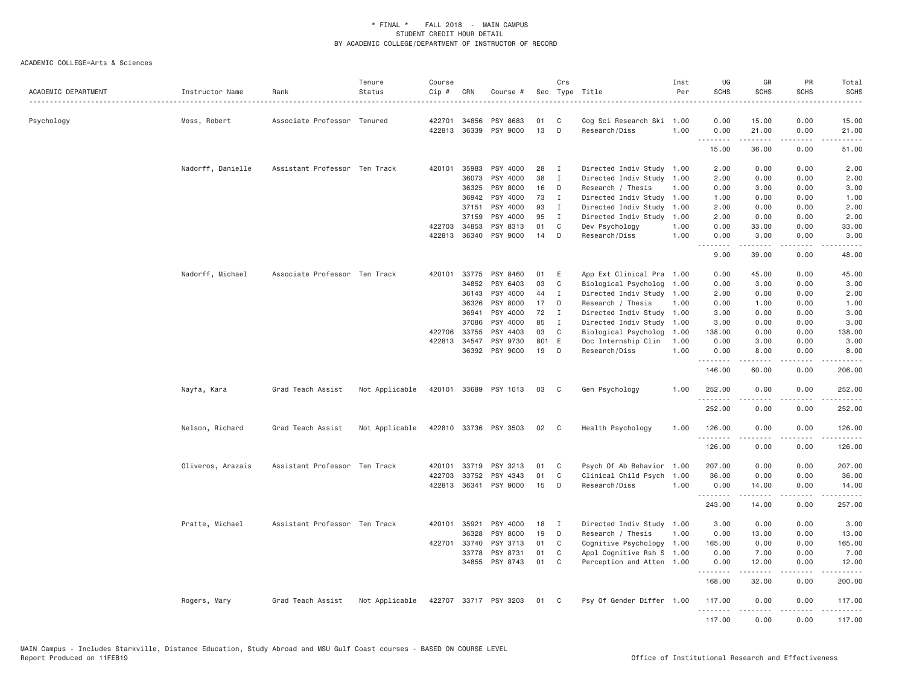| ACADEMIC DEPARTMENT | Instructor Name   | Rank                          | Tenure<br>Status | Course<br>Cip # | CRN          | Course #              |       | Crs          | Sec Type Title            | Inst<br>Per | UG<br><b>SCHS</b> | GR<br><b>SCHS</b> | PR<br><b>SCHS</b>                   | Total<br><b>SCHS</b>                                                                                                                                           |
|---------------------|-------------------|-------------------------------|------------------|-----------------|--------------|-----------------------|-------|--------------|---------------------------|-------------|-------------------|-------------------|-------------------------------------|----------------------------------------------------------------------------------------------------------------------------------------------------------------|
| Psychology          | Moss, Robert      | Associate Professor Tenured   |                  | 422701          | 34856        | PSY 8683              | 01    | C            | Cog Sci Research Ski 1.00 |             | 0.00              | 15.00             | 0.00                                | 15.00                                                                                                                                                          |
|                     |                   |                               |                  |                 | 422813 36339 | PSY 9000              | 13    | D            | Research/Diss             | 1.00        | 0.00              | 21.00             | 0.00<br>$\sim$ $\sim$ $\sim$ $\sim$ | 21.00                                                                                                                                                          |
|                     |                   |                               |                  |                 |              |                       |       |              |                           |             | 15.00             | 36.00             | 0.00                                | 51.00                                                                                                                                                          |
|                     | Nadorff, Danielle | Assistant Professor Ten Track |                  |                 | 420101 35983 | PSY 4000              | 28    | I            | Directed Indiv Study 1.00 |             | 2.00              | 0.00              | 0.00                                | 2.00                                                                                                                                                           |
|                     |                   |                               |                  |                 | 36073        | PSY 4000              | 38    | Ι.           | Directed Indiv Study      | 1.00        | 2.00              | 0.00              | 0.00                                | 2.00                                                                                                                                                           |
|                     |                   |                               |                  |                 | 36325        | PSY 8000              | 16    | D            | Research / Thesis         | 1.00        | 0.00              | 3.00              | 0.00                                | 3.00                                                                                                                                                           |
|                     |                   |                               |                  |                 | 36942        | PSY 4000              | 73    | $\mathbf I$  | Directed Indiv Study 1.00 |             | 1.00              | 0.00              | 0.00                                | 1.00                                                                                                                                                           |
|                     |                   |                               |                  |                 | 37151        | PSY 4000              | 93    | I            | Directed Indiv Study      | 1.00        | 2.00              | 0.00              | 0.00                                | 2.00                                                                                                                                                           |
|                     |                   |                               |                  |                 | 37159        | PSY 4000              | 95    | Ι.           | Directed Indiv Study      | 1.00        | 2.00              | 0.00              | 0.00                                | 2.00                                                                                                                                                           |
|                     |                   |                               |                  |                 | 422703 34853 | PSY 8313              | 01    | C            | Dev Psychology            | 1.00        | 0.00              | 33.00             | 0.00                                | 33.00                                                                                                                                                          |
|                     |                   |                               |                  | 422813          | 36340        | PSY 9000              | 14    | D            | Research/Diss             | 1.00        | 0.00<br>.         | 3.00<br>.         | 0.00<br>د د د د                     | 3.00<br>$\frac{1}{2} \left( \frac{1}{2} \right) \left( \frac{1}{2} \right) \left( \frac{1}{2} \right) \left( \frac{1}{2} \right)$                              |
|                     |                   |                               |                  |                 |              |                       |       |              |                           |             | 9.00              | 39.00             | 0.00                                | 48.00                                                                                                                                                          |
|                     | Nadorff, Michael  | Associate Professor Ten Track |                  | 420101          | 33775        | PSY 8460              | 01    | E            | App Ext Clinical Pra 1.00 |             | 0.00              | 45.00             | 0.00                                | 45.00                                                                                                                                                          |
|                     |                   |                               |                  |                 | 34852        | PSY 6403              | 03    | $\mathbb C$  | Biological Psycholog      | 1.00        | 0.00              | 3.00              | 0.00                                | 3.00                                                                                                                                                           |
|                     |                   |                               |                  |                 | 36143        | PSY 4000              | 44    | I            | Directed Indiv Study 1.00 |             | 2.00              | 0.00              | 0.00                                | 2.00                                                                                                                                                           |
|                     |                   |                               |                  |                 | 36326        | PSY 8000              | 17    | D            | Research / Thesis         | 1,00        | 0.00              | 1.00              | 0.00                                | 1.00                                                                                                                                                           |
|                     |                   |                               |                  |                 | 36941        | PSY 4000              | 72    | $\mathbf{I}$ | Directed Indiv Study 1.00 |             | 3.00              | 0.00              | 0.00                                | 3.00                                                                                                                                                           |
|                     |                   |                               |                  |                 | 37086        | PSY 4000              | 85    | $\mathbf{I}$ | Directed Indiv Study      | 1.00        | 3.00              | 0.00              | 0.00                                | 3.00                                                                                                                                                           |
|                     |                   |                               |                  | 422706          | 33755        | PSY 4403              | 03    | C            | Biological Psycholog      | 1.00        | 138.00            | 0.00              | 0.00                                | 138.00                                                                                                                                                         |
|                     |                   |                               |                  |                 | 422813 34547 | PSY 9730              | 801 E |              | Doc Internship Clin       | 1.00        | 0.00              | 3.00              | 0.00                                | 3.00                                                                                                                                                           |
|                     |                   |                               |                  |                 |              | 36392 PSY 9000        | 19    | D            | Research/Diss             | 1,00        | 0.00<br>.         | 8,00<br>.         | 0.00<br>.                           | 8.00<br>$\frac{1}{2} \left( \frac{1}{2} \right) \left( \frac{1}{2} \right) \left( \frac{1}{2} \right) \left( \frac{1}{2} \right) \left( \frac{1}{2} \right)$   |
|                     |                   |                               |                  |                 |              |                       |       |              |                           |             | 146.00            | 60.00             | 0.00                                | 206.00                                                                                                                                                         |
|                     | Nayfa, Kara       | Grad Teach Assist             | Not Applicable   |                 |              | 420101 33689 PSY 1013 | 03    | C            | Gen Psychology            | 1.00        | 252.00<br>.       | 0.00<br>-----     | 0.00<br>.                           | 252.00<br>.                                                                                                                                                    |
|                     |                   |                               |                  |                 |              |                       |       |              |                           |             | 252.00            | 0.00              | 0.00                                | 252.00                                                                                                                                                         |
|                     | Nelson, Richard   | Grad Teach Assist             | Not Applicable   |                 |              | 422810 33736 PSY 3503 | 02    | $\mathbf{C}$ | Health Psychology         | 1,00        | 126.00<br>.       | 0.00              | 0.00                                | 126.00<br>$\frac{1}{2} \left( \frac{1}{2} \right) \left( \frac{1}{2} \right) \left( \frac{1}{2} \right) \left( \frac{1}{2} \right) \left( \frac{1}{2} \right)$ |
|                     |                   |                               |                  |                 |              |                       |       |              |                           |             | 126.00            | 0.00              | 0.00                                | 126.00                                                                                                                                                         |
|                     | Oliveros, Arazais | Assistant Professor Ten Track |                  | 420101          | 33719        | PSY 3213              | 01    | C            | Psych Of Ab Behavior 1.00 |             | 207.00            | 0.00              | 0.00                                | 207.00                                                                                                                                                         |
|                     |                   |                               |                  | 422703          | 33752        | PSY 4343              | 01    | $\mathbb C$  | Clinical Child Psych      | 1.00        | 36.00             | 0.00              | 0.00                                | 36.00                                                                                                                                                          |
|                     |                   |                               |                  | 422813          | 36341        | PSY 9000              | 15    | D            | Research/Diss             | 1.00        | 0.00<br>.         | 14.00<br>-----    | 0.00                                | 14.00                                                                                                                                                          |
|                     |                   |                               |                  |                 |              |                       |       |              |                           |             | 243.00            | 14.00             | 0.00                                | 257.00                                                                                                                                                         |
|                     | Pratte, Michael   | Assistant Professor Ten Track |                  |                 | 420101 35921 | PSY 4000              | 18    | $\mathbf{I}$ | Directed Indiv Study 1.00 |             | 3.00              | 0.00              | 0.00                                | 3.00                                                                                                                                                           |
|                     |                   |                               |                  |                 | 36328        | PSY 8000              | 19    | D            | Research / Thesis         | 1.00        | 0.00              | 13.00             | 0.00                                | 13.00                                                                                                                                                          |
|                     |                   |                               |                  |                 | 422701 33740 | PSY 3713              | 01    | C            | Cognitive Psychology 1.00 |             | 165.00            | 0.00              | 0.00                                | 165.00                                                                                                                                                         |
|                     |                   |                               |                  |                 | 33778        | PSY 8731              | 01    | C            | Appl Cognitive Rsh S 1.00 |             | 0.00              | 7.00              | 0.00                                | 7.00                                                                                                                                                           |
|                     |                   |                               |                  |                 |              | 34855 PSY 8743        | 01    | C            | Perception and Atten 1.00 |             | 0.00<br><u>.</u>  | 12.00<br>.        | 0.00<br>.                           | 12.00<br>.                                                                                                                                                     |
|                     |                   |                               |                  |                 |              |                       |       |              |                           |             | 168.00            | 32.00             | 0.00                                | 200.00                                                                                                                                                         |
|                     | Rogers, Mary      | Grad Teach Assist             | Not Applicable   |                 |              | 422707 33717 PSY 3203 | 01    | $\mathbf{C}$ | Psy Of Gender Differ 1.00 |             | 117.00<br>.       | 0.00<br><u>.</u>  | 0.00<br>$- - - - -$                 | 117.00<br>.                                                                                                                                                    |
|                     |                   |                               |                  |                 |              |                       |       |              |                           |             | 117.00            | 0.00              | 0.00                                | 117.00                                                                                                                                                         |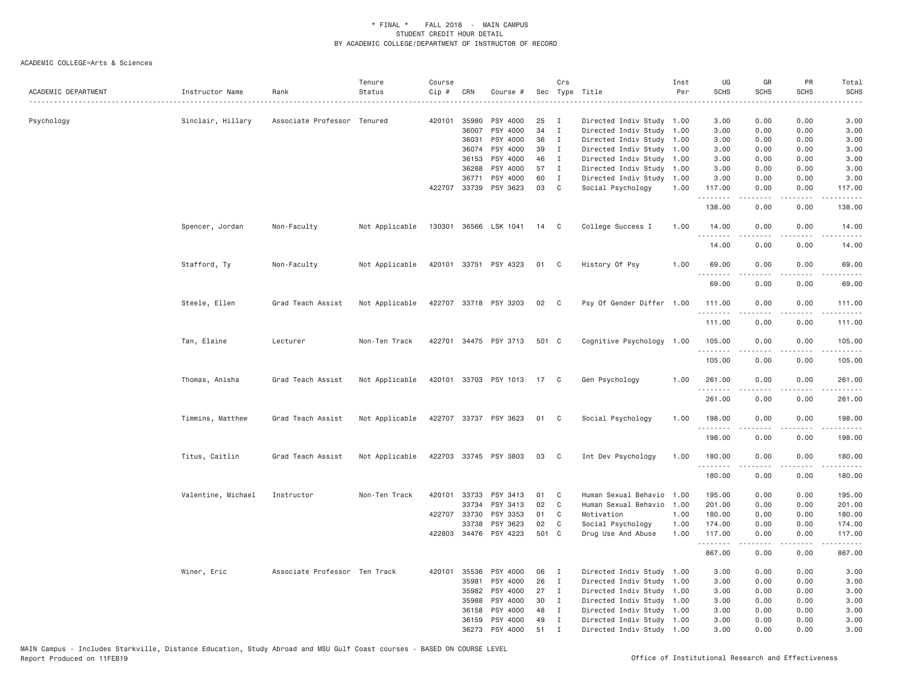| ACADEMIC DEPARTMENT | Instructor Name    | Rank                          | Tenure<br>Status | Course<br>Cip # | CRN          | Course #              |       | Crs            | Sec Type Title            | Inst<br>Per | UG<br><b>SCHS</b>      | GR<br><b>SCHS</b> | PR<br><b>SCHS</b>            | Total<br><b>SCHS</b><br>----                                                                                                        |
|---------------------|--------------------|-------------------------------|------------------|-----------------|--------------|-----------------------|-------|----------------|---------------------------|-------------|------------------------|-------------------|------------------------------|-------------------------------------------------------------------------------------------------------------------------------------|
| Psychology          | Sinclair, Hillary  | Associate Professor Tenured   |                  |                 | 420101 35980 | PSY 4000              | 25    | $\mathbf{I}$   | Directed Indiv Study 1.00 |             | 3.00                   | 0.00              | 0.00                         | 3.00                                                                                                                                |
|                     |                    |                               |                  |                 | 36007        | PSY 4000              | 34    | $\mathbf I$    | Directed Indiv Study      | 1.00        | 3.00                   | 0.00              | 0.00                         | 3.00                                                                                                                                |
|                     |                    |                               |                  |                 | 36031        | PSY 4000              | 36    | $\mathbf{I}$   | Directed Indiv Study 1.00 |             | 3.00                   | 0.00              | 0.00                         | 3.00                                                                                                                                |
|                     |                    |                               |                  |                 | 36074        | PSY 4000              | 39    | $\mathbf{I}$   | Directed Indiv Study      | 1.00        | 3.00                   | 0.00              | 0.00                         | 3.00                                                                                                                                |
|                     |                    |                               |                  |                 | 36153        | PSY 4000              | 46    | $\mathbf{I}$   | Directed Indiv Study 1.00 |             | 3.00                   | 0.00              | 0.00                         | 3.00                                                                                                                                |
|                     |                    |                               |                  |                 | 36288        | PSY 4000              | 57    | $\mathbf{I}$   | Directed Indiv Study 1.00 |             | 3.00                   | 0.00              | 0.00                         | 3.00                                                                                                                                |
|                     |                    |                               |                  |                 | 36771        | PSY 4000              | 60    | $\mathbf{I}$   | Directed Indiv Study 1.00 |             | 3.00                   | 0.00              | 0.00                         | 3.00                                                                                                                                |
|                     |                    |                               |                  |                 | 422707 33739 | PSY 3623              | 03    | $\mathsf{C}$   | Social Psychology         | 1.00        | 117.00<br><u>.</u>     | 0.00              | 0.00                         | 117.00                                                                                                                              |
|                     |                    |                               |                  |                 |              |                       |       |                |                           |             | 138.00                 | 0.00              | 0.00                         | 138.00                                                                                                                              |
|                     | Spencer, Jordan    | Non-Faculty                   | Not Applicable   |                 |              | 130301 36566 LSK 1041 | 14    | C <sub>1</sub> | College Success I         | 1.00        | 14.00<br>.             | 0.00<br>.         | 0.00                         | 14.00<br>.                                                                                                                          |
|                     |                    |                               |                  |                 |              |                       |       |                |                           |             | 14.00                  | 0.00              | 0.00                         | 14.00                                                                                                                               |
|                     | Stafford, Ty       | Non-Faculty                   | Not Applicable   |                 |              | 420101 33751 PSY 4323 | 01    | $\mathbf{C}$   | History Of Psy            | 1.00        | 69.00                  | 0.00              | 0.00                         | 69.00                                                                                                                               |
|                     |                    |                               |                  |                 |              |                       |       |                |                           |             | 69.00                  | 0.00              | 0.00                         | 69.00                                                                                                                               |
|                     | Steele, Ellen      | Grad Teach Assist             | Not Applicable   |                 |              | 422707 33718 PSY 3203 | 02    | $\mathbb{C}$   | Psy Of Gender Differ 1.00 |             | 111.00<br>.            | 0.00<br>.         | 0.00<br>.                    | 111.00<br>.                                                                                                                         |
|                     |                    |                               |                  |                 |              |                       |       |                |                           |             | 111.00                 | 0.00              | 0.00                         | 111.00                                                                                                                              |
|                     | Tan, Elaine        | Lecturer                      | Non-Ten Track    |                 |              | 422701 34475 PSY 3713 | 501 C |                | Cognitive Psychology 1.00 |             | 105.00<br>.            | 0.00<br>.         | 0.00<br>$\sim$ $\sim$ $\sim$ | 105.00<br>$\frac{1}{2} \left( \frac{1}{2} \right) \left( \frac{1}{2} \right) \left( \frac{1}{2} \right) \left( \frac{1}{2} \right)$ |
|                     |                    |                               |                  |                 |              |                       |       |                |                           |             | 105.00                 | 0.00              | 0.00                         | 105.00                                                                                                                              |
|                     | Thomas, Anisha     | Grad Teach Assist             | Not Applicable   |                 |              | 420101 33703 PSY 1013 | 17    | $\mathbf{C}$   | Gen Psychology            | 1.00        | 261.00                 | 0.00              | 0.00                         | 261.00                                                                                                                              |
|                     |                    |                               |                  |                 |              |                       |       |                |                           |             | 261.00                 | 0.00              | 0.00                         | 261.00                                                                                                                              |
|                     | Timmins, Matthew   | Grad Teach Assist             | Not Applicable   |                 |              | 422707 33737 PSY 3623 | 01    | $\mathbf{C}$   | Social Psychology         | 1.00        | 198.00                 | 0.00              | 0.00                         | 198.00                                                                                                                              |
|                     |                    |                               |                  |                 |              |                       |       |                |                           |             | 198.00                 | 0.00              | 0.00                         | 198.00                                                                                                                              |
|                     | Titus, Caitlin     | Grad Teach Assist             | Not Applicable   |                 |              | 422703 33745 PSY 3803 | 03    | C              | Int Dev Psychology        | 1.00        | 180.00<br>.            | 0.00              | 0.00                         | 180.00<br>$- - - - - - -$                                                                                                           |
|                     |                    |                               |                  |                 |              |                       |       |                |                           |             | 180.00                 | 0.00              | 0.00                         | 180.00                                                                                                                              |
|                     | Valentine, Michael | Instructor                    | Non-Ten Track    |                 | 420101 33733 | PSY 3413              | 01    | C              | Human Sexual Behavio      | 1.00        | 195.00                 | 0.00              | 0.00                         | 195.00                                                                                                                              |
|                     |                    |                               |                  |                 | 33734        | PSY 3413              | 02    | C              | Human Sexual Behavio      | 1.00        | 201.00                 | 0.00              | 0.00                         | 201.00                                                                                                                              |
|                     |                    |                               |                  |                 | 422707 33730 | PSY 3353              | 01    | C              | Motivation                | 1.00        | 180.00                 | 0.00              | 0.00                         | 180.00                                                                                                                              |
|                     |                    |                               |                  |                 | 33738        | PSY 3623              | 02    | C              | Social Psychology         | 1.00        | 174.00                 | 0.00              | 0.00                         | 174.00                                                                                                                              |
|                     |                    |                               |                  |                 |              | 422803 34476 PSY 4223 | 501 C |                | Drug Use And Abuse        | 1.00        | 117.00<br>. <b>.</b> . | 0.00<br><u>.</u>  | 0.00<br>.                    | 117.00<br>.                                                                                                                         |
|                     |                    |                               |                  |                 |              |                       |       |                |                           |             | 867.00                 | 0.00              | 0.00                         | 867.00                                                                                                                              |
|                     | Winer, Eric        | Associate Professor Ten Track |                  |                 | 420101 35536 | PSY 4000              | 06    | $\mathbf{I}$   | Directed Indiv Study      | 1.00        | 3.00                   | 0.00              | 0.00                         | 3.00                                                                                                                                |
|                     |                    |                               |                  |                 | 35981        | PSY 4000              | 26    | $\mathbf{I}$   | Directed Indiv Study 1.00 |             | 3.00                   | 0.00              | 0.00                         | 3.00                                                                                                                                |
|                     |                    |                               |                  |                 | 35982        | PSY 4000              | 27    | $\mathbf{I}$   | Directed Indiv Study 1.00 |             | 3.00                   | 0.00              | 0.00                         | 3.00                                                                                                                                |
|                     |                    |                               |                  |                 | 35988        | PSY 4000              | 30    | $\mathbf{I}$   | Directed Indiv Study 1.00 |             | 3.00                   | 0.00              | 0.00                         | 3.00                                                                                                                                |
|                     |                    |                               |                  |                 | 36158        | PSY 4000              | 48    | $\mathbf{I}$   | Directed Indiv Study      | 1.00        | 3.00                   | 0.00              | 0.00                         | 3.00                                                                                                                                |
|                     |                    |                               |                  |                 | 36159        | PSY 4000              | 49    | I              | Directed Indiv Study 1.00 |             | 3.00                   | 0.00              | 0.00                         | 3.00                                                                                                                                |
|                     |                    |                               |                  |                 | 36273        | PSY 4000              | 51    | $\mathsf{T}$   | Directed Indiv Study 1.00 |             | 3.00                   | 0.00              | 0.00                         | 3,00                                                                                                                                |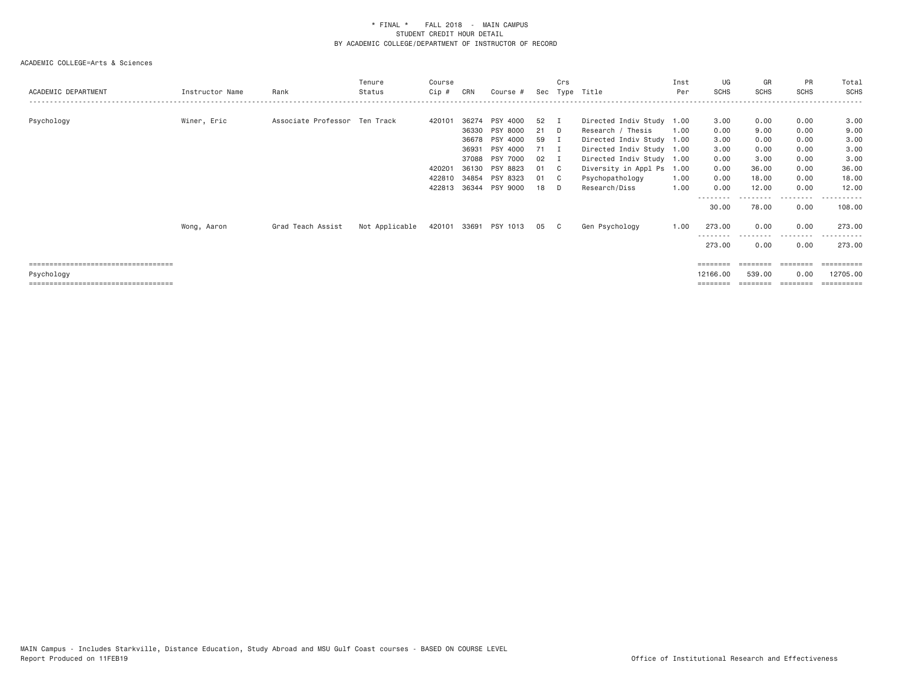| ACADEMIC DEPARTMENT                   | Instructor Name | Rank                          | Tenure<br>Status | Course<br>Cip # | CRN   | Course #              | Sec  | Crs<br>Type                | Title                     | Inst<br>Per | UG<br><b>SCHS</b> | GR<br><b>SCHS</b> | <b>PR</b><br><b>SCHS</b> | Total<br>SCHS         |
|---------------------------------------|-----------------|-------------------------------|------------------|-----------------|-------|-----------------------|------|----------------------------|---------------------------|-------------|-------------------|-------------------|--------------------------|-----------------------|
| Psychology                            | Winer, Eric     | Associate Professor Ten Track |                  | 420101          | 36274 | PSY 4000              | 52   | - 1                        | Directed Indiv Study 1.00 |             | 3.00              | 0.00              | 0.00                     | 3.00                  |
|                                       |                 |                               |                  |                 | 36330 | PSY 8000              | 21   | D.                         | Research / Thesis         | 1.00        | 0.00              | 9.00              | 0.00                     | 9.00                  |
|                                       |                 |                               |                  |                 |       | 36678 PSY 4000        | 59   | I.                         | Directed Indiv Study 1.00 |             | 3.00              | 0.00              | 0.00                     | 3.00                  |
|                                       |                 |                               |                  |                 | 36931 | PSY 4000              | 71 I |                            | Directed Indiv Study 1.00 |             | 3.00              | 0.00              | 0.00                     | 3.00                  |
|                                       |                 |                               |                  |                 | 37088 | PSY 7000              | 02   |                            | Directed Indiv Study 1.00 |             | 0.00              | 3.00              | 0.00                     | 3.00                  |
|                                       |                 |                               |                  | 420201          | 36130 | PSY 8823              | 01   | $\overline{\phantom{a}}$ C | Diversity in Appl Ps      | 1.00        | 0.00              | 36.00             | 0.00                     | 36.00                 |
|                                       |                 |                               |                  | 422810          | 34854 | PSY 8323              | 01   | $\overline{c}$             | Psychopathology           | 1.00        | 0.00              | 18.00             | 0.00                     | 18.00                 |
|                                       |                 |                               |                  | 422813          |       | 36344 PSY 9000        | 18   | D                          | Research/Diss             | 1.00        | 0.00              | 12.00             | 0.00                     | 12.00                 |
|                                       |                 |                               |                  |                 |       |                       |      |                            |                           |             | 30.00             | 78.00             | -----<br>0.00            | - - - - - -<br>108.00 |
|                                       | Wong, Aaron     | Grad Teach Assist             | Not Applicable   |                 |       | 420101 33691 PSY 1013 | 05 C |                            | Gen Psychology            | 1.00        | 273.00            | 0.00              | 0.00                     | 273.00                |
|                                       |                 |                               |                  |                 |       |                       |      |                            |                           |             | 273.00            | 0.00              | 0.00                     | 273.00                |
| ====================================  |                 |                               |                  |                 |       |                       |      |                            |                           |             | --------          |                   |                          |                       |
| Psychology                            |                 |                               |                  |                 |       |                       |      |                            |                           |             | 12166,00          | 539,00            | 0.00                     | 12705.00              |
| ;==================================== |                 |                               |                  |                 |       |                       |      |                            |                           |             |                   |                   |                          | ==========            |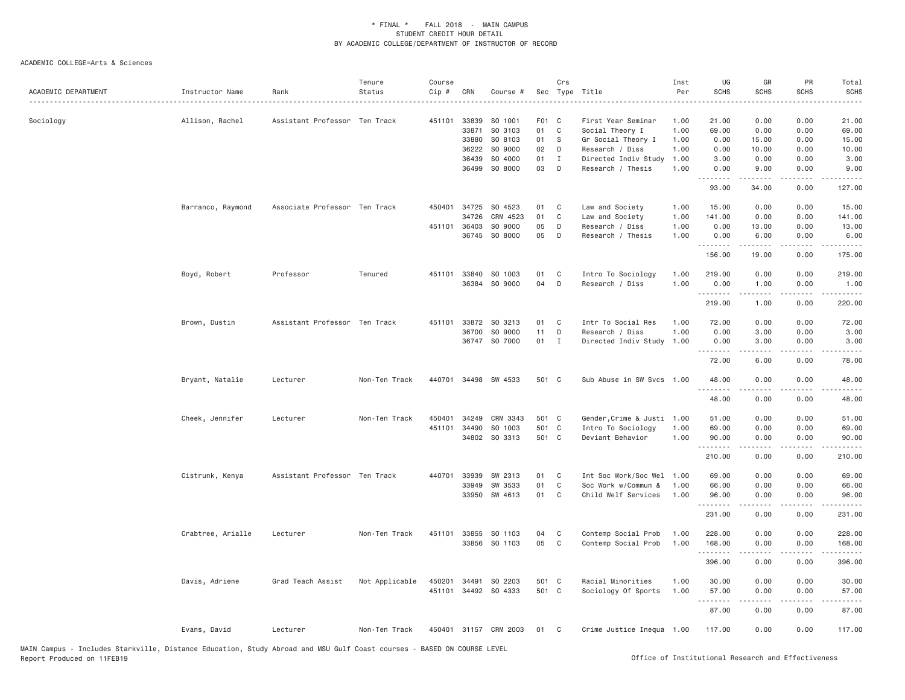| ACADEMIC DEPARTMENT | Instructor Name   | Rank                          | Tenure<br>Status | Course<br>Cip # | CRN            | Course #              |             | Crs          | Sec Type Title                        | Inst<br>Per  | UG<br><b>SCHS</b> | GR<br><b>SCHS</b>   | PR<br><b>SCHS</b>                   | Total<br><b>SCHS</b>   |
|---------------------|-------------------|-------------------------------|------------------|-----------------|----------------|-----------------------|-------------|--------------|---------------------------------------|--------------|-------------------|---------------------|-------------------------------------|------------------------|
| Sociology           | Allison, Rachel   | Assistant Professor Ten Track |                  | 451101          | 33839<br>33871 | SO 1001<br>SO 3103    | F01 C<br>01 | C            | First Year Seminar<br>Social Theory I | 1.00<br>1.00 | 21.00<br>69.00    | 0.00<br>0.00        | 0.00<br>0.00                        | 21,00<br>69.00         |
|                     |                   |                               |                  |                 | 33880          | SO 8103               | 01          | <sub>S</sub> | Gr Social Theory I                    | 1.00         | 0.00              | 15.00               | 0.00                                | 15.00                  |
|                     |                   |                               |                  |                 | 36222          | SO 9000               | 02          | D            | Research / Diss                       | 1.00         | 0.00              | 10.00               | 0.00                                | 10.00                  |
|                     |                   |                               |                  |                 | 36439          | SO 4000               | 01          | $\mathbf{I}$ | Directed Indiv Study                  | 1.00         | 3.00              | 0.00                | 0.00                                | 3.00                   |
|                     |                   |                               |                  |                 | 36499          | SO 8000               | 03          | D            | Research / Thesis                     | 1.00         | 0.00<br>.         | 9.00<br>.           | 0.00<br>$\frac{1}{2}$               | 9.00<br>.              |
|                     |                   |                               |                  |                 |                |                       |             |              |                                       |              | 93.00             | 34.00               | 0.00                                | 127.00                 |
|                     | Barranco, Raymond | Associate Professor Ten Track |                  | 450401          | 34725          | SO 4523               | 01          | C            | Law and Society                       | 1.00         | 15.00             | 0.00                | 0.00                                | 15.00                  |
|                     |                   |                               |                  |                 | 34726          | CRM 4523              | 01          | C            | Law and Society                       | 1.00         | 141.00            | 0.00                | 0.00                                | 141.00                 |
|                     |                   |                               |                  | 451101          | 36403          | SO 9000               | 05          | D            | Research / Diss                       | 1.00         | 0.00              | 13.00               | 0.00                                | 13.00                  |
|                     |                   |                               |                  |                 |                | 36745 SO 8000         | 05          | D            | Research / Thesis                     | 1.00         | 0.00<br>.         | 6.00<br>د د د د د   | 0.00<br>د د د د                     | 6.00<br>.              |
|                     |                   |                               |                  |                 |                |                       |             |              |                                       |              | 156.00            | 19.00               | 0.00                                | 175.00                 |
|                     | Boyd, Robert      | Professor                     | Tenured          | 451101          | 33840          | SO 1003               | 01          | C            | Intro To Sociology                    | 1.00         | 219.00            | 0.00                | 0.00                                | 219.00                 |
|                     |                   |                               |                  |                 |                | 36384 SO 9000         | 04          | D            | Research / Diss                       | 1.00         | 0.00              | 1.00                | 0.00                                | 1.00                   |
|                     |                   |                               |                  |                 |                |                       |             |              |                                       |              | .<br>219.00       | $- - - - -$<br>1.00 | .<br>0.00                           | . <u>.</u> .<br>220.00 |
|                     |                   |                               |                  |                 |                |                       |             |              |                                       |              |                   |                     |                                     |                        |
|                     | Brown, Dustin     | Assistant Professor Ten Track |                  | 451101          | 33872          | SO 3213               | 01          | C            | Intr To Social Res                    | 1.00         | 72.00             | 0.00                | 0.00                                | 72.00                  |
|                     |                   |                               |                  |                 | 36700          | SO 9000               | 11          | D            | Research / Diss                       | 1.00         | 0.00              | 3.00                | 0.00                                | 3.00                   |
|                     |                   |                               |                  |                 |                | 36747 SO 7000         | 01          | I            | Directed Indiv Study                  | 1.00         | 0.00              | 3.00                | 0.00                                | 3.00<br>د د د د د      |
|                     |                   |                               |                  |                 |                |                       |             |              |                                       |              | 72.00             | 6.00                | 0.00                                | 78.00                  |
|                     | Bryant, Natalie   | Lecturer                      | Non-Ten Track    | 440701          |                | 34498 SW 4533         | 501 C       |              | Sub Abuse in SW Svcs 1.00             |              | 48.00<br>.        | 0.00<br>.           | 0.00<br>$\sim$ $\sim$ $\sim$ $\sim$ | 48.00<br>.             |
|                     |                   |                               |                  |                 |                |                       |             |              |                                       |              | 48.00             | 0.00                | 0.00                                | 48.00                  |
|                     | Cheek, Jennifer   | Lecturer                      | Non-Ten Track    | 450401          | 34249          | CRM 3343              | 501 C       |              | Gender, Crime & Justi 1.00            |              | 51.00             | 0.00                | 0.00                                | 51.00                  |
|                     |                   |                               |                  | 451101          | 34490          | SO 1003               | 501 C       |              | Intro To Sociology                    | 1.00         | 69.00             | 0.00                | 0.00                                | 69.00                  |
|                     |                   |                               |                  |                 | 34802          | SO 3313               | 501 C       |              | Deviant Behavior                      | 1.00         | 90.00<br>.        | 0.00<br>.           | 0.00<br>.                           | 90.00<br>.             |
|                     |                   |                               |                  |                 |                |                       |             |              |                                       |              | 210.00            | 0.00                | 0.00                                | 210.00                 |
|                     | Cistrunk, Kenya   | Assistant Professor Ten Track |                  | 440701          | 33939          | SW 2313               | 01          | C            | Int Soc Work/Soc Wel                  | 1.00         | 69.00             | 0.00                | 0.00                                | 69.00                  |
|                     |                   |                               |                  |                 | 33949          | SW 3533               | 01          | C            | Soc Work w/Commun &                   | 1.00         | 66.00             | 0.00                | 0.00                                | 66.00                  |
|                     |                   |                               |                  |                 | 33950          | SW 4613               | 01          | C            | Child Welf Services                   | 1.00         | 96.00<br>.        | 0.00<br>.           | 0.00<br>$\sim$ $\sim$ $\sim$        | 96.00<br>.             |
|                     |                   |                               |                  |                 |                |                       |             |              |                                       |              | 231.00            | 0.00                | 0.00                                | 231.00                 |
|                     | Crabtree, Arialle | Lecturer                      | Non-Ten Track    | 451101          | 33855          | SO 1103               | 04          | C            | Contemp Social Prob                   | 1.00         | 228.00            | 0.00                | 0.00                                | 228.00                 |
|                     |                   |                               |                  |                 | 33856          | SO 1103               | 05          | C            | Contemp Social Prob                   | 1.00         | 168.00            | 0.00                | 0.00                                | 168.00                 |
|                     |                   |                               |                  |                 |                |                       |             |              |                                       |              | .                 | .                   | .                                   | .                      |
|                     |                   |                               |                  |                 |                |                       |             |              |                                       |              | 396.00            | 0.00                | 0.00                                | 396.00                 |
|                     | Davis, Adriene    | Grad Teach Assist             | Not Applicable   | 450201          | 34491          | SO 2203               | 501 C       |              | Racial Minorities                     | 1.00         | 30.00             | 0.00                | 0.00                                | 30.00                  |
|                     |                   |                               |                  | 451101          |                | 34492 SO 4333         | 501 C       |              | Sociology Of Sports                   | 1.00         | 57.00<br><b></b>  | 0.00                | 0.00                                | 57.00<br>.             |
|                     |                   |                               |                  |                 |                |                       |             |              |                                       |              | 87.00             | 0.00                | 0.00                                | 87.00                  |
|                     | Evans, David      | Lecturer                      | Non-Ten Track    |                 |                | 450401 31157 CRM 2003 | 01          | C            | Crime Justice Inequa 1.00             |              | 117.00            | 0.00                | 0.00                                | 117.00                 |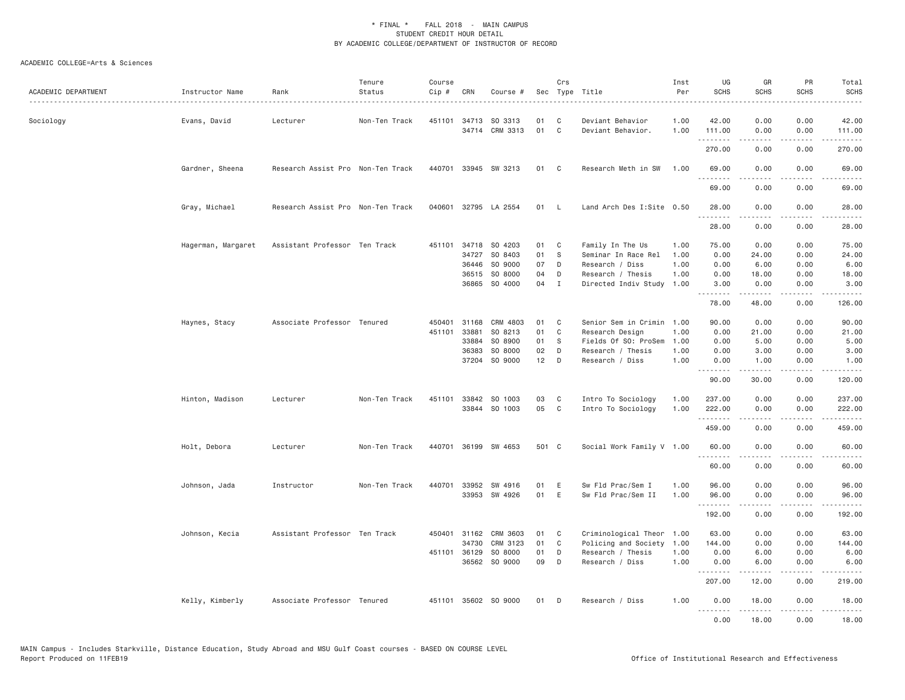| ACADEMIC DEPARTMENT | Instructor Name    | Rank                              | Tenure<br>Status | Course<br>Cip # | CRN          | Course #             |       | Crs          | Sec Type Title            | Inst<br>Per | UG<br><b>SCHS</b> | GR<br><b>SCHS</b>  | PR<br><b>SCHS</b>            | Total<br><b>SCHS</b><br>والمناصبات |
|---------------------|--------------------|-----------------------------------|------------------|-----------------|--------------|----------------------|-------|--------------|---------------------------|-------------|-------------------|--------------------|------------------------------|------------------------------------|
| Sociology           | Evans, David       | Lecturer                          | Non-Ten Track    |                 |              | 451101 34713 SO 3313 | 01    | C.           | Deviant Behavior          | 1.00        | 42.00             | 0.00               | 0.00                         | 42.00                              |
|                     |                    |                                   |                  |                 |              | 34714 CRM 3313       | 01    | $\mathbf{C}$ | Deviant Behavior.         | 1.00        | 111.00            | 0.00               | 0.00<br>$\sim$ $\sim$ $\sim$ | 111.00<br>.                        |
|                     |                    |                                   |                  |                 |              |                      |       |              |                           |             | 270.00            | 0.00               | 0.00                         | 270.00                             |
|                     | Gardner, Sheena    | Research Assist Pro Non-Ten Track |                  |                 |              | 440701 33945 SW 3213 | 01 C  |              | Research Meth in SW       | 1.00        | 69.00<br>.        | 0.00<br>.          | 0.00<br>.                    | 69.00<br>.                         |
|                     |                    |                                   |                  |                 |              |                      |       |              |                           |             | 69.00             | 0.00               | 0.00                         | 69.00                              |
|                     | Gray, Michael      | Research Assist Pro Non-Ten Track |                  |                 |              | 040601 32795 LA 2554 | 01    | <b>L</b>     | Land Arch Des I:Site 0.50 |             | 28.00             | 0.00               | 0.00                         | 28.00                              |
|                     |                    |                                   |                  |                 |              |                      |       |              |                           |             | 28.00             | 0.00               | 0.00                         | 28.00                              |
|                     | Hagerman, Margaret | Assistant Professor Ten Track     |                  | 451101          | 34718        | SO 4203              | 01    | C            | Family In The Us          | 1.00        | 75.00             | 0.00               | 0.00                         | 75.00                              |
|                     |                    |                                   |                  |                 | 34727        | SO 8403              | 01    | S.           | Seminar In Race Rel       | 1.00        | 0.00              | 24.00              | 0.00                         | 24.00                              |
|                     |                    |                                   |                  |                 | 36446        | SO 9000              | 07    | D            | Research / Diss           | 1.00        | 0.00              | 6.00               | 0.00                         | 6.00                               |
|                     |                    |                                   |                  |                 | 36515        | SO 8000              | 04    | D            | Research / Thesis         | 1.00        | 0.00              | 18.00              | 0.00                         | 18.00                              |
|                     |                    |                                   |                  |                 | 36865        | SO 4000              | 04    | $\mathbf{I}$ | Directed Indiv Study 1.00 |             | 3.00<br>.         | 0.00<br>.          | 0.00<br>.                    | 3.00<br>.                          |
|                     |                    |                                   |                  |                 |              |                      |       |              |                           |             | 78.00             | 48.00              | 0.00                         | 126.00                             |
|                     | Haynes, Stacy      | Associate Professor Tenured       |                  | 450401          | 31168        | CRM 4803             | 01    | C            | Senior Sem in Crimin 1.00 |             | 90.00             | 0.00               | 0.00                         | 90.00                              |
|                     |                    |                                   |                  | 451101          | 33881        | SO 8213              | 01    | C            | Research Design           | 1.00        | 0.00              | 21.00              | 0.00                         | 21.00                              |
|                     |                    |                                   |                  |                 | 33884        | SO 8900              | 01    | S            | Fields Of SO: ProSem      | 1.00        | 0.00              | 5.00               | 0.00                         | 5.00                               |
|                     |                    |                                   |                  |                 | 36383        | SO 8000              | 02    | D            | Research / Thesis         | 1.00        | 0.00              | 3.00               | 0.00                         | 3.00                               |
|                     |                    |                                   |                  |                 | 37204        | SO 9000              | 12    | D            | Research / Diss           | 1.00        | 0.00<br>.         | 1.00<br>-----      | 0.00<br>د د د د              | 1.00<br>المتماما                   |
|                     |                    |                                   |                  |                 |              |                      |       |              |                           |             | 90.00             | 30.00              | 0.00                         | 120.00                             |
|                     | Hinton, Madison    | Lecturer                          | Non-Ten Track    | 451101          | 33842        | SO 1003              | 03    | C            | Intro To Sociology        | 1.00        | 237.00            | 0.00               | 0.00                         | 237.00                             |
|                     |                    |                                   |                  |                 |              | 33844 SO 1003        | 05    | $\mathbf{C}$ | Intro To Sociology        | 1.00        | 222.00            | 0.00               | 0.00                         | 222.00                             |
|                     |                    |                                   |                  |                 |              |                      |       |              |                           |             | .<br>459.00       | .<br>0.00          | .<br>0.00                    | .<br>459.00                        |
|                     |                    |                                   |                  |                 |              |                      |       |              |                           |             |                   |                    |                              |                                    |
|                     | Holt, Debora       | Lecturer                          | Non-Ten Track    |                 |              | 440701 36199 SW 4653 | 501 C |              | Social Work Family V 1.00 |             | 60.00<br>.        | 0.00<br>.          | 0.00<br>.                    | 60.00<br>.                         |
|                     |                    |                                   |                  |                 |              |                      |       |              |                           |             | 60.00             | 0.00               | 0.00                         | 60.00                              |
|                     | Johnson, Jada      | Instructor                        | Non-Ten Track    | 440701          | 33952        | SW 4916              | 01    | E            | Sw Fld Prac/Sem I         | 1.00        | 96.00             | 0.00               | 0.00                         | 96.00                              |
|                     |                    |                                   |                  |                 |              | 33953 SW 4926        | 01    | E            | Sw Fld Prac/Sem II        | 1.00        | 96.00             | 0.00               | 0.00                         | 96.00                              |
|                     |                    |                                   |                  |                 |              |                      |       |              |                           |             | .<br>192.00       | . <b>.</b><br>0.00 | .<br>0.00                    | $- - - - - -$<br>192.00            |
|                     |                    | Assistant Professor Ten Track     |                  |                 | 450401 31162 | CRM 3603             | 01    | $\mathbf{C}$ | Criminological Theor 1.00 |             | 63.00             | 0.00               | 0.00                         | 63.00                              |
|                     | Johnson, Kecia     |                                   |                  |                 | 34730        | CRM 3123             | 01    | C            | Policing and Society      | 1.00        | 144.00            | 0.00               | 0.00                         | 144.00                             |
|                     |                    |                                   |                  |                 | 451101 36129 | SO 8000              | 01    | D            | Research / Thesis         | 1.00        | 0.00              | 6.00               | 0.00                         | 6.00                               |
|                     |                    |                                   |                  |                 |              | 36562 SO 9000        | 09    | D            | Research / Diss           | 1.00        | 0.00              | 6.00               | 0.00                         | 6.00                               |
|                     |                    |                                   |                  |                 |              |                      |       |              |                           |             | 207.00            | .<br>12.00         | .<br>0.00                    | <u>.</u><br>219.00                 |
|                     | Kelly, Kimberly    | Associate Professor Tenured       |                  |                 |              | 451101 35602 SO 9000 | 01    | D            | Research / Diss           | 1.00        | 0.00              | 18,00              | 0.00                         | 18,00                              |
|                     |                    |                                   |                  |                 |              |                      |       |              |                           |             | .<br>0.00         | .<br>18.00         | .<br>0.00                    | .<br>18.00                         |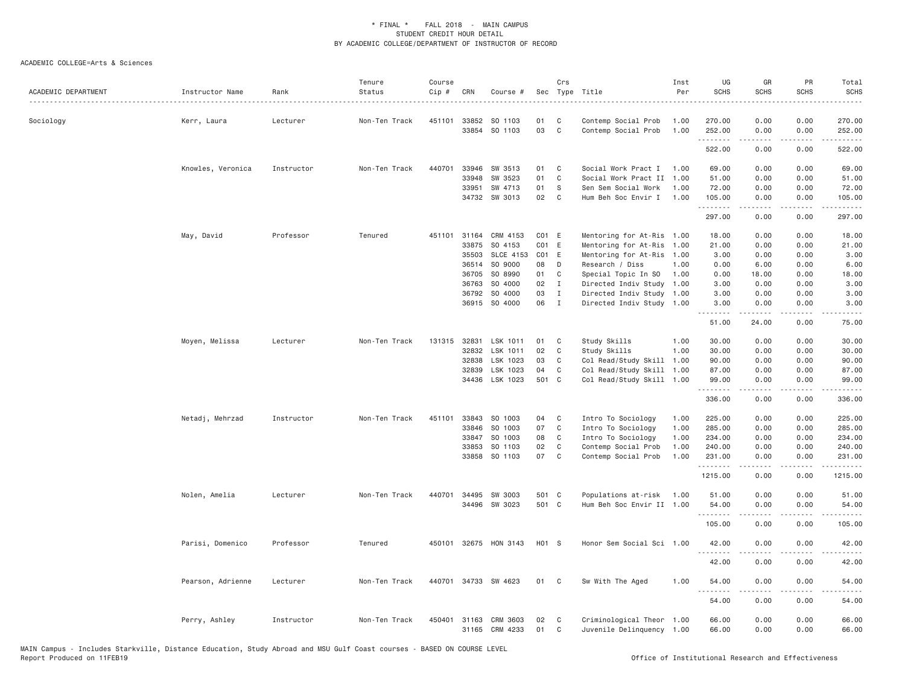| ACADEMIC DEPARTMENT | Instructor Name   | Rank       | Tenure<br>Status | Course<br>Cip # | CRN          | Course #              |                   | Crs            | Sec Type Title            | Inst<br>Per | UG<br><b>SCHS</b> | GR<br><b>SCHS</b>            | PR<br><b>SCHS</b> | Total<br><b>SCHS</b>                                                                                                                                           |
|---------------------|-------------------|------------|------------------|-----------------|--------------|-----------------------|-------------------|----------------|---------------------------|-------------|-------------------|------------------------------|-------------------|----------------------------------------------------------------------------------------------------------------------------------------------------------------|
| Sociology           | Kerr, Laura       | Lecturer   | Non-Ten Track    | 451101          | 33852        | SO 1103               | 01                | C              | Contemp Social Prob       | 1.00        | 270.00            | 0.00                         | 0.00              | 270.00                                                                                                                                                         |
|                     |                   |            |                  |                 | 33854        | SO 1103               | 03                | $\mathsf{C}$   | Contemp Social Prob       | 1.00        | 252.00<br>.       | 0.00<br>2.2.2.2.2            | 0.00<br>.         | 252.00<br>.                                                                                                                                                    |
|                     |                   |            |                  |                 |              |                       |                   |                |                           |             | 522.00            | 0.00                         | 0.00              | 522.00                                                                                                                                                         |
|                     | Knowles, Veronica | Instructor | Non-Ten Track    | 440701          | 33946        | SW 3513               | 01                | C              | Social Work Pract I       | 1.00        | 69.00             | 0.00                         | 0.00              | 69.00                                                                                                                                                          |
|                     |                   |            |                  |                 | 33948        | SW 3523               | 01                | C              | Social Work Pract II      | 1.00        | 51.00             | 0.00                         | 0.00              | 51.00                                                                                                                                                          |
|                     |                   |            |                  |                 | 33951        | SW 4713               | 01                | S              | Sen Sem Social Work       | 1.00        | 72.00             | 0.00                         | 0.00              | 72.00                                                                                                                                                          |
|                     |                   |            |                  |                 |              | 34732 SW 3013         | 02                | C <sub>1</sub> | Hum Beh Soc Envir I       | 1.00        | 105.00<br>.       | 0.00                         | 0.00              | 105.00<br>$\frac{1}{2} \left( \frac{1}{2} \right) \left( \frac{1}{2} \right) \left( \frac{1}{2} \right) \left( \frac{1}{2} \right) \left( \frac{1}{2} \right)$ |
|                     |                   |            |                  |                 |              |                       |                   |                |                           |             | 297.00            | 0.00                         | 0.00              | 297.00                                                                                                                                                         |
|                     | May, David        | Professor  | Tenured          |                 | 451101 31164 | CRM 4153              | CO <sub>1</sub> E |                | Mentoring for At-Ris 1.00 |             | 18.00             | 0.00                         | 0.00              | 18.00                                                                                                                                                          |
|                     |                   |            |                  |                 | 33875        | SO 4153               | CO <sub>1</sub> E |                | Mentoring for At-Ris      | 1.00        | 21.00             | 0.00                         | 0.00              | 21.00                                                                                                                                                          |
|                     |                   |            |                  |                 | 35503        | SLCE 4153             | CO <sub>1</sub> E |                | Mentoring for At-Ris      | 1.00        | 3.00              | 0.00                         | 0.00              | 3.00                                                                                                                                                           |
|                     |                   |            |                  |                 | 36514        | SO 9000               | 08                | D              | Research / Diss           | 1.00        | 0.00              | 6.00                         | 0.00              | 6.00                                                                                                                                                           |
|                     |                   |            |                  |                 | 36705        | SO 8990               | 01                | C              | Special Topic In SO       | 1.00        | 0.00              | 18.00                        | 0.00              | 18.00                                                                                                                                                          |
|                     |                   |            |                  |                 | 36763        | SO 4000               | 02                | $\mathbf{I}$   | Directed Indiv Study 1.00 |             | 3.00              | 0.00                         | 0.00              | 3.00                                                                                                                                                           |
|                     |                   |            |                  |                 | 36792        | SO 4000               | 03                | $\mathbf{I}$   | Directed Indiv Study 1.00 |             | 3.00              | 0.00                         | 0.00              | 3.00                                                                                                                                                           |
|                     |                   |            |                  |                 |              | 36915 SO 4000         | 06                | $\mathbf{I}$   | Directed Indiv Study 1.00 |             | 3.00<br>.         | 0.00<br>$- - - - -$          | 0.00<br>$- - - -$ | 3.00<br>$\frac{1}{2}$                                                                                                                                          |
|                     |                   |            |                  |                 |              |                       |                   |                |                           |             | 51.00             | 24.00                        | 0.00              | 75.00                                                                                                                                                          |
|                     | Moyen, Melissa    | Lecturer   | Non-Ten Track    |                 |              | 131315 32831 LSK 1011 | 01                | C              | Study Skills              | 1.00        | 30.00             | 0.00                         | 0.00              | 30.00                                                                                                                                                          |
|                     |                   |            |                  |                 | 32832        | LSK 1011              | 02                | C              | Study Skills              | 1.00        | 30.00             | 0.00                         | 0.00              | 30.00                                                                                                                                                          |
|                     |                   |            |                  |                 | 32838        | LSK 1023              | 03                | C              | Col Read/Study Skill      | 1.00        | 90.00             | 0.00                         | 0.00              | 90.00                                                                                                                                                          |
|                     |                   |            |                  |                 | 32839        | LSK 1023              | 04                | C              | Col Read/Study Skill      | 1.00        | 87.00             | 0.00                         | 0.00              | 87.00                                                                                                                                                          |
|                     |                   |            |                  |                 |              | 34436 LSK 1023        | 501 C             |                | Col Read/Study Skill 1.00 |             | 99.00<br>.        | 0.00<br>$\omega$ is a set of | 0.00<br>.         | 99.00<br>.                                                                                                                                                     |
|                     |                   |            |                  |                 |              |                       |                   |                |                           |             | 336.00            | 0.00                         | 0.00              | 336.00                                                                                                                                                         |
|                     | Netadj, Mehrzad   | Instructor | Non-Ten Track    | 451101          | 33843        | SO 1003               | 04                | C              | Intro To Sociology        | 1.00        | 225.00            | 0.00                         | 0.00              | 225.00                                                                                                                                                         |
|                     |                   |            |                  |                 | 33846        | SO 1003               | 07                | C              | Intro To Sociology        | 1.00        | 285.00            | 0.00                         | 0.00              | 285.00                                                                                                                                                         |
|                     |                   |            |                  |                 | 33847        | SO 1003               | 08                | C              | Intro To Sociology        | 1.00        | 234.00            | 0.00                         | 0.00              | 234.00                                                                                                                                                         |
|                     |                   |            |                  |                 | 33853        | SO 1103               | 02                | $\mathsf{C}$   | Contemp Social Prob       | 1.00        | 240.00            | 0.00                         | 0.00              | 240.00                                                                                                                                                         |
|                     |                   |            |                  |                 | 33858        | SO 1103               | 07                | C              | Contemp Social Prob       | 1.00        | 231.00<br>.       | 0.00                         | 0.00<br>$- - - -$ | 231.00<br>$- - - - - -$                                                                                                                                        |
|                     |                   |            |                  |                 |              |                       |                   |                |                           |             | 1215.00           | 0.00                         | 0.00              | 1215.00                                                                                                                                                        |
|                     | Nolen, Amelia     | Lecturer   | Non-Ten Track    |                 | 440701 34495 | SW 3003               | 501 C             |                | Populations at-risk       | 1.00        | 51.00             | 0.00                         | 0.00              | 51.00                                                                                                                                                          |
|                     |                   |            |                  |                 |              | 34496 SW 3023         | 501 C             |                | Hum Beh Soc Envir II 1.00 |             | 54.00             | 0.00                         | 0.00              | 54.00                                                                                                                                                          |
|                     |                   |            |                  |                 |              |                       |                   |                |                           |             | .<br>105.00       | $- - - - -$<br>0.00          | $\cdots$<br>0.00  | .<br>105.00                                                                                                                                                    |
|                     | Parisi, Domenico  | Professor  | Tenured          |                 |              | 450101 32675 HON 3143 | H01 S             |                | Honor Sem Social Sci 1.00 |             | 42.00             | 0.00                         | 0.00              | 42.00                                                                                                                                                          |
|                     |                   |            |                  |                 |              |                       |                   |                |                           |             | .<br>42.00        | 0.00                         | 0.00              | 42.00                                                                                                                                                          |
|                     | Pearson, Adrienne | Lecturer   | Non-Ten Track    |                 |              | 440701 34733 SW 4623  | 01                | C <sub>1</sub> | Sw With The Aged          | 1.00        | 54.00             | 0.00                         | 0.00              | 54.00                                                                                                                                                          |
|                     |                   |            |                  |                 |              |                       |                   |                |                           |             | .<br>54.00        | .<br>0.00                    | $- - - -$<br>0.00 | .<br>54.00                                                                                                                                                     |
|                     | Perry, Ashley     | Instructor | Non-Ten Track    |                 | 450401 31163 | CRM 3603              | 02                | C              | Criminological Theor 1.00 |             | 66.00             | 0.00                         | 0.00              | 66.00                                                                                                                                                          |
|                     |                   |            |                  |                 | 31165        | CRM 4233              | 01                | C              | Juvenile Delinquency 1.00 |             | 66.00             | 0.00                         | 0.00              | 66.00                                                                                                                                                          |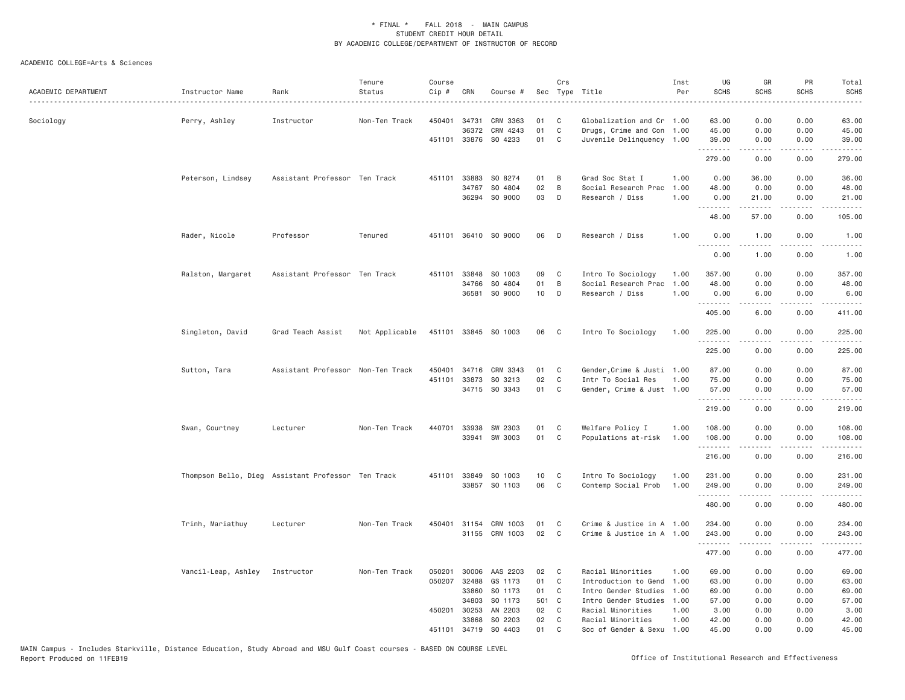| ACADEMIC DEPARTMENT | Instructor Name                                    | Rank                              | Tenure<br>Status | Course<br>Cip # | CRN            | Course #                 | Sec      | Crs               | Type Title                                             | Inst<br>Per | UG<br><b>SCHS</b>    | GR<br><b>SCHS</b>                                                                                                                                             | PR<br><b>SCHS</b>                                                                                                                 | Total<br><b>SCHS</b>                                                                                                                                                                      |
|---------------------|----------------------------------------------------|-----------------------------------|------------------|-----------------|----------------|--------------------------|----------|-------------------|--------------------------------------------------------|-------------|----------------------|---------------------------------------------------------------------------------------------------------------------------------------------------------------|-----------------------------------------------------------------------------------------------------------------------------------|-------------------------------------------------------------------------------------------------------------------------------------------------------------------------------------------|
| Sociology           | Perry, Ashley                                      | Instructor                        | Non-Ten Track    | 450401          | 34731<br>36372 | CRM 3363<br>CRM 4243     | 01<br>01 | C<br>$\mathsf{C}$ | Globalization and Cr 1.00<br>Drugs, Crime and Con 1.00 |             | 63.00<br>45.00       | 0.00<br>0.00                                                                                                                                                  | 0.00<br>0.00                                                                                                                      | 63.00<br>45.00                                                                                                                                                                            |
|                     |                                                    |                                   |                  |                 |                | 451101 33876 SO 4233     | 01       | C                 | Juvenile Delinquency 1.00                              |             | 39.00<br>.           | 0.00<br>$- - - - -$                                                                                                                                           | 0.00<br>.                                                                                                                         | 39.00<br>.                                                                                                                                                                                |
|                     |                                                    |                                   |                  |                 |                |                          |          |                   |                                                        |             | 279.00               | 0.00                                                                                                                                                          | 0.00                                                                                                                              | 279.00                                                                                                                                                                                    |
|                     | Peterson, Lindsey                                  | Assistant Professor Ten Track     |                  |                 | 451101 33883   | SO 8274                  | 01       | B                 | Grad Soc Stat I                                        | 1.00        | 0.00                 | 36.00                                                                                                                                                         | 0.00                                                                                                                              | 36.00                                                                                                                                                                                     |
|                     |                                                    |                                   |                  |                 | 34767          | SO 4804<br>36294 SO 9000 | 02       | B<br>D            | Social Research Prac                                   | 1.00        | 48.00                | 0.00                                                                                                                                                          | 0.00<br>0.00                                                                                                                      | 48.00                                                                                                                                                                                     |
|                     |                                                    |                                   |                  |                 |                |                          | 03       |                   | Research / Diss                                        | 1.00        | 0.00<br>.            | 21.00<br>$\frac{1}{2} \left( \frac{1}{2} \right) \left( \frac{1}{2} \right) \left( \frac{1}{2} \right) \left( \frac{1}{2} \right) \left( \frac{1}{2} \right)$ | $- - - -$                                                                                                                         | 21.00<br>.                                                                                                                                                                                |
|                     |                                                    |                                   |                  |                 |                |                          |          |                   |                                                        |             | 48.00                | 57.00                                                                                                                                                         | 0.00                                                                                                                              | 105.00                                                                                                                                                                                    |
|                     | Rader, Nicole                                      | Professor                         | Tenured          |                 |                | 451101 36410 SO 9000     | 06       | D                 | Research / Diss                                        | 1.00        | 0.00<br>.            | 1.00                                                                                                                                                          | 0.00<br>$\frac{1}{2} \left( \frac{1}{2} \right) \left( \frac{1}{2} \right) \left( \frac{1}{2} \right) \left( \frac{1}{2} \right)$ | 1.00                                                                                                                                                                                      |
|                     |                                                    |                                   |                  |                 |                |                          |          |                   |                                                        |             | 0.00                 | 1.00                                                                                                                                                          | 0.00                                                                                                                              | 1.00                                                                                                                                                                                      |
|                     | Ralston, Margaret                                  | Assistant Professor Ten Track     |                  | 451101          | 33848          | SO 1003                  | 09       | C                 | Intro To Sociology                                     | 1.00        | 357.00               | 0.00                                                                                                                                                          | 0.00                                                                                                                              | 357.00                                                                                                                                                                                    |
|                     |                                                    |                                   |                  |                 | 34766          | SO 4804                  | 01       | B                 | Social Research Prac                                   | 1.00        | 48.00                | 0.00                                                                                                                                                          | 0.00                                                                                                                              | 48.00                                                                                                                                                                                     |
|                     |                                                    |                                   |                  |                 | 36581          | SO 9000                  | 10       | D                 | Research / Diss                                        | 1.00        | 0.00                 | 6.00                                                                                                                                                          | 0.00                                                                                                                              | 6.00                                                                                                                                                                                      |
|                     |                                                    |                                   |                  |                 |                |                          |          |                   |                                                        |             | .<br>405.00          | 6.00                                                                                                                                                          | 0.00                                                                                                                              | $\frac{1}{2} \left( \frac{1}{2} \right) \left( \frac{1}{2} \right) \left( \frac{1}{2} \right) \left( \frac{1}{2} \right) \left( \frac{1}{2} \right) \left( \frac{1}{2} \right)$<br>411.00 |
|                     | Singleton, David                                   | Grad Teach Assist                 | Not Applicable   |                 |                | 451101 33845 SO 1003     | 06       | C                 | Intro To Sociology                                     | 1.00        | 225.00               | 0.00                                                                                                                                                          | 0.00                                                                                                                              | 225.00                                                                                                                                                                                    |
|                     |                                                    |                                   |                  |                 |                |                          |          |                   |                                                        |             | .<br>225.00          | .<br>0.00                                                                                                                                                     | $- - - -$<br>0.00                                                                                                                 | .<br>225.00                                                                                                                                                                               |
|                     | Sutton, Tara                                       | Assistant Professor Non-Ten Track |                  | 450401          | 34716          | CRM 3343                 | 01       | C                 | Gender, Crime & Justi 1.00                             |             | 87.00                | 0.00                                                                                                                                                          | 0.00                                                                                                                              | 87.00                                                                                                                                                                                     |
|                     |                                                    |                                   |                  | 451101          | 33873          | SO 3213                  | 02       | C                 | Intr To Social Res                                     | 1.00        | 75.00                | 0.00                                                                                                                                                          | 0.00                                                                                                                              | 75.00                                                                                                                                                                                     |
|                     |                                                    |                                   |                  |                 |                | 34715 SO 3343            | 01       | C                 | Gender, Crime & Just 1.00                              |             | 57.00                | 0.00                                                                                                                                                          | 0.00                                                                                                                              | 57.00                                                                                                                                                                                     |
|                     |                                                    |                                   |                  |                 |                |                          |          |                   |                                                        |             | .<br>219.00          | 0.00                                                                                                                                                          | 0.00                                                                                                                              | 219.00                                                                                                                                                                                    |
|                     | Swan, Courtney                                     | Lecturer                          | Non-Ten Track    |                 | 440701 33938   | SW 2303                  | 01       | C                 | Welfare Policy I                                       | 1.00        | 108.00               | 0.00                                                                                                                                                          | 0.00                                                                                                                              | 108.00                                                                                                                                                                                    |
|                     |                                                    |                                   |                  |                 |                | 33941 SW 3003            | 01       | C                 | Populations at-risk                                    | 1.00        | 108.00               | 0.00                                                                                                                                                          | 0.00                                                                                                                              | 108.00                                                                                                                                                                                    |
|                     |                                                    |                                   |                  |                 |                |                          |          |                   |                                                        |             |                      |                                                                                                                                                               | 0.00                                                                                                                              |                                                                                                                                                                                           |
|                     |                                                    |                                   |                  |                 |                |                          |          |                   |                                                        |             | 216.00               | 0.00                                                                                                                                                          |                                                                                                                                   | 216.00                                                                                                                                                                                    |
|                     | Thompson Bello, Dieg Assistant Professor Ten Track |                                   |                  |                 |                | 451101 33849 SO 1003     | 10       | C                 | Intro To Sociology                                     | 1.00        | 231.00               | 0.00                                                                                                                                                          | 0.00                                                                                                                              | 231.00                                                                                                                                                                                    |
|                     |                                                    |                                   |                  |                 | 33857          | SO 1103                  | 06       | C                 | Contemp Social Prob                                    | 1.00        | 249.00<br>. <b>.</b> | 0.00<br>.                                                                                                                                                     | 0.00<br>.                                                                                                                         | 249.00<br>$- - - - - - -$                                                                                                                                                                 |
|                     |                                                    |                                   |                  |                 |                |                          |          |                   |                                                        |             | 480.00               | 0.00                                                                                                                                                          | 0.00                                                                                                                              | 480.00                                                                                                                                                                                    |
|                     | Trinh, Mariathuy                                   | Lecturer                          | Non-Ten Track    | 450401          | 31154          | CRM 1003                 | 01       | C                 | Crime & Justice in A 1.00                              |             | 234.00               | 0.00                                                                                                                                                          | 0.00                                                                                                                              | 234.00                                                                                                                                                                                    |
|                     |                                                    |                                   |                  |                 |                | 31155 CRM 1003           | 02       | $\mathsf{C}$      | Crime & Justice in A 1.00                              |             | 243.00               | 0.00                                                                                                                                                          | 0.00                                                                                                                              | 243.00                                                                                                                                                                                    |
|                     |                                                    |                                   |                  |                 |                |                          |          |                   |                                                        |             | .<br>477.00          | -----<br>0.00                                                                                                                                                 | $\frac{1}{2}$<br>0.00                                                                                                             | .<br>477.00                                                                                                                                                                               |
|                     | Vancil-Leap, Ashley                                | Instructor                        | Non-Ten Track    | 050201          | 30006          | AAS 2203                 | 02       | C                 | Racial Minorities                                      | 1.00        | 69.00                | 0.00                                                                                                                                                          | 0.00                                                                                                                              | 69.00                                                                                                                                                                                     |
|                     |                                                    |                                   |                  |                 | 050207 32488   | GS 1173                  | 01       | C                 | Introduction to Gend                                   | 1.00        | 63.00                | 0.00                                                                                                                                                          | 0.00                                                                                                                              | 63.00                                                                                                                                                                                     |
|                     |                                                    |                                   |                  |                 | 33860          | SO 1173                  | 01       | C                 | Intro Gender Studies                                   | 1.00        | 69.00                | 0.00                                                                                                                                                          | 0.00                                                                                                                              | 69.00                                                                                                                                                                                     |
|                     |                                                    |                                   |                  |                 | 34803          | SO 1173                  | 501 C    |                   | Intro Gender Studies                                   | 1.00        | 57.00                | 0.00                                                                                                                                                          | 0.00                                                                                                                              | 57.00                                                                                                                                                                                     |
|                     |                                                    |                                   |                  |                 | 450201 30253   | AN 2203                  | 02       | C <sub>1</sub>    | Racial Minorities                                      | 1.00        | 3.00                 | 0.00                                                                                                                                                          | 0.00                                                                                                                              | 3.00                                                                                                                                                                                      |
|                     |                                                    |                                   |                  |                 | 33868          | SO 2203                  | 02       | C                 | Racial Minorities                                      | 1.00        | 42.00                | 0.00                                                                                                                                                          | 0.00                                                                                                                              | 42.00                                                                                                                                                                                     |
|                     |                                                    |                                   |                  | 451101          | 34719          | SO 4403                  | 01       | C                 | Soc of Gender & Sexu                                   | 1.00        | 45.00                | 0.00                                                                                                                                                          | 0.00                                                                                                                              | 45.00                                                                                                                                                                                     |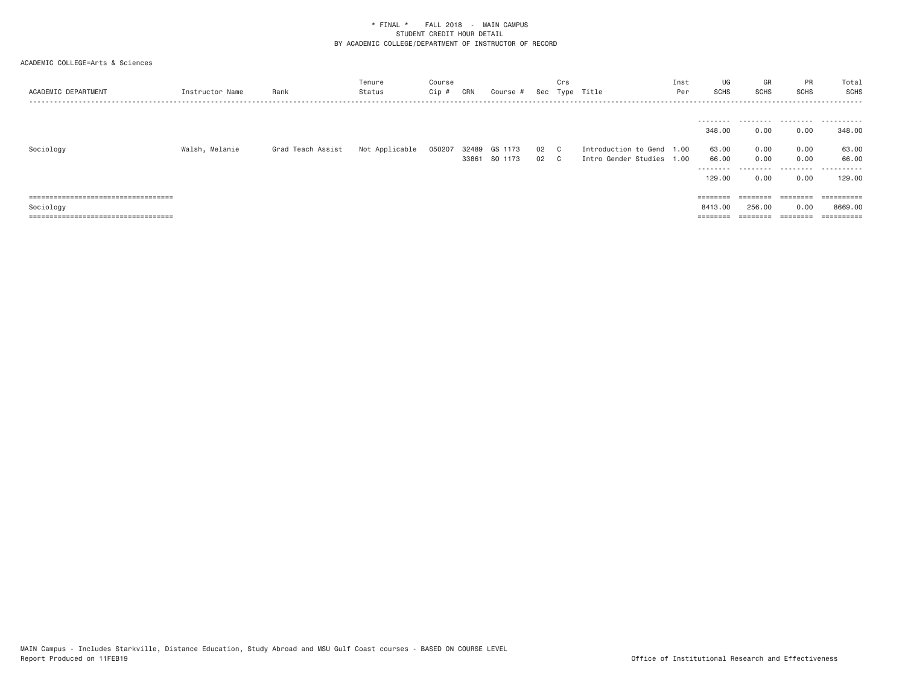| ACADEMIC DEPARTMENT                                                         | Instructor Name | Rank              | Tenure<br>Status | Course<br>Cip # | CRN   | Course #      |      | Crs | Sec Type Title            | Inst<br>Per | UG<br>SCHS         | GR<br>SCHS | PR<br>SCHS           | Total<br>SCHS             |
|-----------------------------------------------------------------------------|-----------------|-------------------|------------------|-----------------|-------|---------------|------|-----|---------------------------|-------------|--------------------|------------|----------------------|---------------------------|
|                                                                             |                 |                   |                  |                 |       |               |      |     |                           |             |                    |            |                      |                           |
|                                                                             |                 |                   |                  |                 |       |               |      |     |                           |             | ---------          | .          |                      | .                         |
|                                                                             |                 |                   |                  |                 |       |               |      |     |                           |             | 348.00             | 0.00       | 0.00                 | 348,00                    |
| Sociology                                                                   | Walsh, Melanie  | Grad Teach Assist | Not Applicable   | 050207          | 32489 | GS 1173       | 02 C |     | Introduction to Gend 1.00 |             | 63.00              | 0.00       | 0.00                 | 63.00                     |
|                                                                             |                 |                   |                  |                 |       | 33861 SO 1173 | 02 C |     | Intro Gender Studies 1.00 |             | 66.00              | 0.00       | 0.00                 | 66.00                     |
|                                                                             |                 |                   |                  |                 |       |               |      |     |                           |             | --------<br>129,00 | .<br>0.00  | .<br>0.00            | .<br>129,00               |
|                                                                             |                 |                   |                  |                 |       |               |      |     |                           |             |                    |            |                      |                           |
| ------------------------------------<br>----------------------------------- |                 |                   |                  |                 |       |               |      |     |                           |             | $=$ = = = = = = =  | $=$        | --------<br>-------- | -----------<br>---------- |
| Sociology                                                                   |                 |                   |                  |                 |       |               |      |     |                           |             | 8413.00            | 256,00     | 0.00                 | 8669,00                   |
| ======================================                                      |                 |                   |                  |                 |       |               |      |     |                           |             |                    | ========   | ========             | ==========                |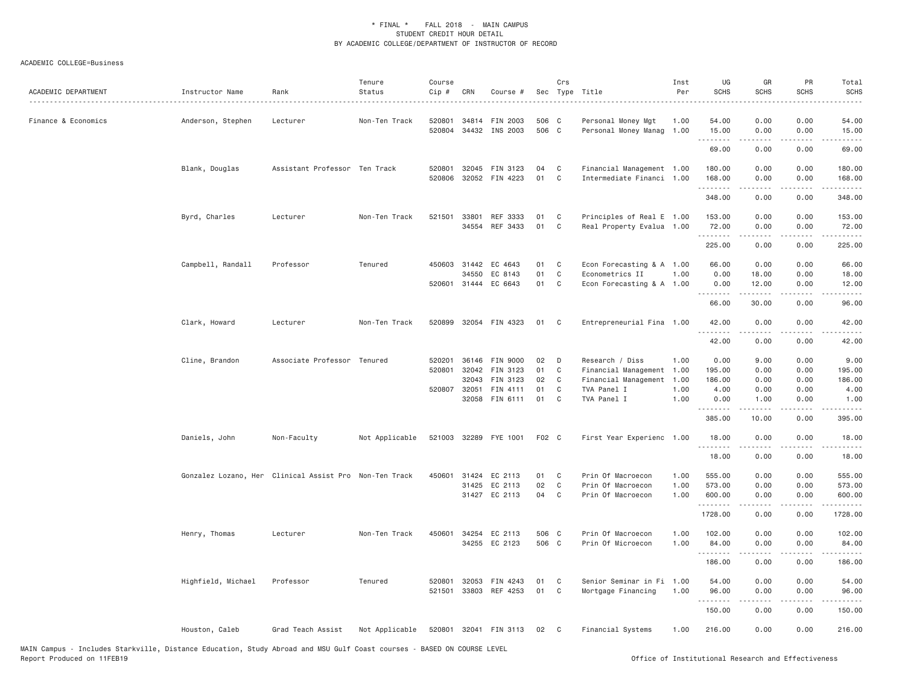| ACADEMIC DEPARTMENT | Instructor Name    | Rank                                                   | Tenure<br>Status | Course<br>Cip # | CRN                   | Course #              |          | Crs<br>Sec Type Title |                                              | Inst<br>Per | UG<br><b>SCHS</b> | GR<br><b>SCHS</b>                                                                                                                                             | PR<br>SCHS                          | Total<br><b>SCHS</b>                                                                                                  |
|---------------------|--------------------|--------------------------------------------------------|------------------|-----------------|-----------------------|-----------------------|----------|-----------------------|----------------------------------------------|-------------|-------------------|---------------------------------------------------------------------------------------------------------------------------------------------------------------|-------------------------------------|-----------------------------------------------------------------------------------------------------------------------|
| Finance & Economics | Anderson, Stephen  | Lecturer                                               | Non-Ten Track    | 520801          | 34814                 | FIN 2003              | 506 C    |                       | Personal Money Mgt                           | 1.00        | 54.00             | 0.00                                                                                                                                                          | 0.00                                | 54.00                                                                                                                 |
|                     |                    |                                                        |                  |                 |                       | 520804 34432 INS 2003 | 506 C    |                       | Personal Money Manag                         | 1.00        | 15.00<br>.        | 0.00<br>.                                                                                                                                                     | 0.00<br>$\sim$ $\sim$ $\sim$        | 15.00<br>.                                                                                                            |
|                     |                    |                                                        |                  |                 |                       |                       |          |                       |                                              |             | 69.00             | 0.00                                                                                                                                                          | 0.00                                | 69.00                                                                                                                 |
|                     | Blank, Douglas     | Assistant Professor Ten Track                          |                  | 520801          | 32045                 | FIN 3123              | 04       | C                     | Financial Management 1.00                    |             | 180.00            | 0.00                                                                                                                                                          | 0.00                                | 180.00                                                                                                                |
|                     |                    |                                                        |                  | 520806          |                       | 32052 FIN 4223        | 01       | C                     | Intermediate Financi 1.00                    |             | 168.00            | 0.00                                                                                                                                                          | 0.00                                | 168.00                                                                                                                |
|                     |                    |                                                        |                  |                 |                       |                       |          |                       |                                              |             | .<br>348.00       | .<br>0.00                                                                                                                                                     | $\sim$ $\sim$ $\sim$ $\sim$<br>0.00 | $\begin{array}{cccccccccc} \bullet & \bullet & \bullet & \bullet & \bullet & \bullet & \bullet \end{array}$<br>348.00 |
|                     | Byrd, Charles      | Lecturer                                               | Non-Ten Track    | 521501          | 33801                 | REF 3333              | 01       | C                     | Principles of Real E 1.00                    |             | 153.00            | 0.00                                                                                                                                                          | 0.00                                | 153.00                                                                                                                |
|                     |                    |                                                        |                  |                 | 34554                 | REF 3433              | 01       | C                     | Real Property Evalua 1.00                    |             | 72.00             | 0.00                                                                                                                                                          | 0.00                                | 72.00                                                                                                                 |
|                     |                    |                                                        |                  |                 |                       |                       |          |                       |                                              |             | .<br>225.00       | 0.00                                                                                                                                                          | 0.00                                | 225.00                                                                                                                |
|                     |                    |                                                        |                  |                 |                       |                       |          |                       |                                              |             |                   |                                                                                                                                                               |                                     |                                                                                                                       |
|                     | Campbell, Randall  | Professor                                              | Tenured          |                 | 450603 31442<br>34550 | EC 4643<br>EC 8143    | 01<br>01 | C<br>C                | Econ Forecasting & A 1.00<br>Econometrics II | 1.00        | 66.00<br>0.00     | 0.00<br>18.00                                                                                                                                                 | 0.00<br>0.00                        | 66.00<br>18.00                                                                                                        |
|                     |                    |                                                        |                  |                 | 520601 31444          | EC 6643               | 01       | C                     | Econ Forecasting & A 1.00                    |             | 0.00              | 12.00                                                                                                                                                         | 0.00                                | 12.00                                                                                                                 |
|                     |                    |                                                        |                  |                 |                       |                       |          |                       |                                              |             | .<br>66.00        | $\frac{1}{2} \left( \frac{1}{2} \right) \left( \frac{1}{2} \right) \left( \frac{1}{2} \right) \left( \frac{1}{2} \right) \left( \frac{1}{2} \right)$<br>30.00 | $\sim$ $\sim$ $\sim$ $\sim$<br>0.00 | . د د د د<br>96.00                                                                                                    |
|                     | Clark, Howard      | Lecturer                                               | Non-Ten Track    |                 |                       | 520899 32054 FIN 4323 | 01       | C.                    | Entrepreneurial Fina 1.00                    |             | 42.00             | 0.00                                                                                                                                                          | 0.00                                | 42.00                                                                                                                 |
|                     |                    |                                                        |                  |                 |                       |                       |          |                       |                                              |             | .<br>42.00        | $- - - - -$<br>0.00                                                                                                                                           | .<br>0.00                           | .<br>42.00                                                                                                            |
|                     | Cline, Brandon     | Associate Professor Tenured                            |                  | 520201          | 36146                 | FIN 9000              | 02       | D                     | Research / Diss                              | 1.00        | 0.00              | 9.00                                                                                                                                                          | 0.00                                | 9.00                                                                                                                  |
|                     |                    |                                                        |                  | 520801          | 32042                 | FIN 3123              | 01       | C                     | Financial Management                         | 1.00        | 195.00            | 0.00                                                                                                                                                          | 0.00                                | 195.00                                                                                                                |
|                     |                    |                                                        |                  |                 | 32043                 | FIN 3123              | 02       | C                     | Financial Management                         | 1.00        | 186.00            | 0.00                                                                                                                                                          | 0.00                                | 186.00                                                                                                                |
|                     |                    |                                                        |                  | 520807 32051    |                       | FIN 4111              | 01       | C                     | TVA Panel I                                  | 1.00        | 4.00              | 0.00                                                                                                                                                          | 0.00                                | 4.00                                                                                                                  |
|                     |                    |                                                        |                  |                 | 32058                 | FIN 6111              | 01       | C                     | TVA Panel I                                  | 1.00        | 0.00<br>.         | 1.00                                                                                                                                                          | 0.00                                | 1.00<br>$\sim$ $\sim$ $\sim$ $\sim$                                                                                   |
|                     |                    |                                                        |                  |                 |                       |                       |          |                       |                                              |             | 385.00            | 10.00                                                                                                                                                         | 0.00                                | 395.00                                                                                                                |
|                     | Daniels, John      | Non-Faculty                                            | Not Applicable   |                 |                       | 521003 32289 FYE 1001 | F02 C    |                       | First Year Experienc 1.00                    |             | 18.00<br>.        | 0.00                                                                                                                                                          | 0.00                                | 18.00                                                                                                                 |
|                     |                    |                                                        |                  |                 |                       |                       |          |                       |                                              |             | 18.00             | 0.00                                                                                                                                                          | 0.00                                | 18.00                                                                                                                 |
|                     |                    | Gonzalez Lozano, Her Clinical Assist Pro Non-Ten Track |                  |                 |                       | 450601 31424 EC 2113  | 01       | C                     | Prin Of Macroecon                            | 1.00        | 555.00            | 0.00                                                                                                                                                          | 0.00                                | 555.00                                                                                                                |
|                     |                    |                                                        |                  |                 | 31425                 | EC 2113               | 02       | C                     | Prin Of Macroecon                            | 1.00        | 573.00            | 0.00                                                                                                                                                          | 0.00                                | 573.00                                                                                                                |
|                     |                    |                                                        |                  |                 |                       | 31427 EC 2113         | 04       | C                     | Prin Of Macroecon                            | 1.00        | 600.00<br>.       | 0.00<br>$\frac{1}{2} \left( \frac{1}{2} \right) \left( \frac{1}{2} \right) \left( \frac{1}{2} \right) \left( \frac{1}{2} \right) \left( \frac{1}{2} \right)$  | 0.00<br>.                           | 600.00<br>.                                                                                                           |
|                     |                    |                                                        |                  |                 |                       |                       |          |                       |                                              |             | 1728.00           | 0.00                                                                                                                                                          | 0.00                                | 1728.00                                                                                                               |
|                     | Henry, Thomas      | Lecturer                                               | Non-Ten Track    | 450601          |                       | 34254 EC 2113         | 506 C    |                       | Prin Of Macroecon                            | 1.00        | 102.00            | 0.00                                                                                                                                                          | 0.00                                | 102.00                                                                                                                |
|                     |                    |                                                        |                  |                 |                       | 34255 EC 2123         | 506 C    |                       | Prin Of Microecon                            | 1.00        | 84.00             | 0.00                                                                                                                                                          | 0.00                                | 84.00                                                                                                                 |
|                     |                    |                                                        |                  |                 |                       |                       |          |                       |                                              |             | .<br>186.00       | 0.00                                                                                                                                                          | 0.00                                | 186.00                                                                                                                |
|                     | Highfield, Michael | Professor                                              | Tenured          | 520801          | 32053                 | FIN 4243              | 01       | C                     | Senior Seminar in Fi 1.00                    |             | 54.00             | 0.00                                                                                                                                                          | 0.00                                | 54.00                                                                                                                 |
|                     |                    |                                                        |                  |                 |                       | 521501 33803 REF 4253 | 01       | C                     | Mortgage Financing                           | 1.00        | 96.00             | 0.00                                                                                                                                                          | 0.00                                | 96.00                                                                                                                 |
|                     |                    |                                                        |                  |                 |                       |                       |          |                       |                                              |             | .<br>150.00       | <u>.</u><br>0.00                                                                                                                                              | $- - - -$<br>0.00                   | .<br>150.00                                                                                                           |
|                     | Houston, Caleb     | Grad Teach Assist                                      | Not Applicable   |                 |                       | 520801 32041 FIN 3113 | 02       | $\mathbb{C}$          | Financial Systems                            | 1.00        | 216.00            | 0.00                                                                                                                                                          | 0.00                                | 216.00                                                                                                                |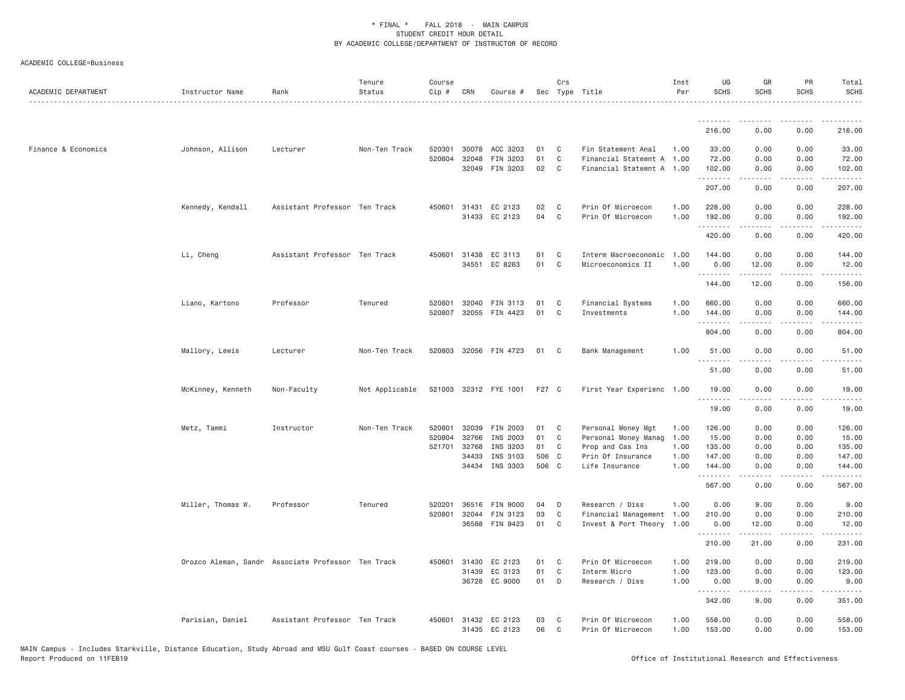| ACADEMIC DEPARTMENT | Instructor Name   | Rank                                               | Tenure<br>Status | Course<br>Cip # | CRN          | Course #              |       | Crs          | Sec Type Title            | Inst<br>Per | UG<br><b>SCHS</b> | GR<br><b>SCHS</b>             | PR<br>SCHS                                                                                                                        | Total<br><b>SCHS</b>                         |
|---------------------|-------------------|----------------------------------------------------|------------------|-----------------|--------------|-----------------------|-------|--------------|---------------------------|-------------|-------------------|-------------------------------|-----------------------------------------------------------------------------------------------------------------------------------|----------------------------------------------|
|                     |                   |                                                    |                  |                 |              |                       |       |              |                           |             |                   |                               |                                                                                                                                   |                                              |
|                     |                   |                                                    |                  |                 |              |                       |       |              |                           |             | 216.00            | 0.00                          | 0.00                                                                                                                              | 216.00                                       |
| Finance & Economics | Johnson, Allison  | Lecturer                                           | Non-Ten Track    | 520301          | 30078        | ACC 3203              | 01    | C            | Fin Statement Anal        | 1.00        | 33.00             | 0.00                          | 0.00                                                                                                                              | 33.00                                        |
|                     |                   |                                                    |                  | 520804          | 32048        | FIN 3203              | 01    | $\mathsf{C}$ | Financial Statemnt A 1.00 |             | 72.00             | 0.00                          | 0.00                                                                                                                              | 72.00                                        |
|                     |                   |                                                    |                  |                 |              | 32049 FIN 3203        | 02    | C            | Financial Statemnt A 1.00 |             | 102.00<br>.       | 0.00<br>2.2.2.2.2             | 0.00<br>.                                                                                                                         | 102.00<br>2.2.2.2.2.                         |
|                     |                   |                                                    |                  |                 |              |                       |       |              |                           |             | 207.00            | 0.00                          | 0.00                                                                                                                              | 207.00                                       |
|                     | Kennedy, Kendall  | Assistant Professor Ten Track                      |                  |                 |              | 450601 31431 EC 2123  | 02    | C            | Prin Of Microecon         | 1.00        | 228.00            | 0.00                          | 0.00                                                                                                                              | 228.00                                       |
|                     |                   |                                                    |                  |                 |              | 31433 EC 2123         | 04    | $\mathbf{C}$ | Prin Of Microecon         | 1.00        | 192.00<br>.       | 0.00<br>$- - - - -$           | 0.00<br>.                                                                                                                         | 192.00                                       |
|                     |                   |                                                    |                  |                 |              |                       |       |              |                           |             | 420.00            | 0.00                          | 0.00                                                                                                                              | 420.00                                       |
|                     | Li, Cheng         | Assistant Professor Ten Track                      |                  |                 | 450601 31438 | EC 3113               | 01    | C            | Interm Macroeconomic      | 1.00        | 144.00            | 0.00                          | 0.00                                                                                                                              | 144.00                                       |
|                     |                   |                                                    |                  |                 |              | 34551 EC 8263         | 01    | C            | Microeconomics II         | 1.00        | 0.00              | 12.00                         | 0.00                                                                                                                              | 12.00                                        |
|                     |                   |                                                    |                  |                 |              |                       |       |              |                           |             | .<br>144.00       | $\omega$ is a set of<br>12.00 | .<br>0.00                                                                                                                         | $\sim$ $\sim$ $\sim$ $\sim$ $\sim$<br>156.00 |
|                     | Liano, Kartono    | Professor                                          | Tenured          | 520801          | 32040        | FIN 3113              | 01    | C            | Financial Systems         | 1.00        | 660.00            | 0.00                          | 0.00                                                                                                                              | 660.00                                       |
|                     |                   |                                                    |                  | 520807          |              | 32055 FIN 4423        | 01    | C            | Investments               | 1.00        | 144.00            | 0.00                          | 0.00                                                                                                                              | 144.00                                       |
|                     |                   |                                                    |                  |                 |              |                       |       |              |                           |             | .<br>804.00       | .<br>0.00                     | $\frac{1}{2}$<br>0.00                                                                                                             | .<br>804.00                                  |
|                     | Mallory, Lewis    | Lecturer                                           | Non-Ten Track    |                 |              | 520803 32056 FIN 4723 | 01    | $\mathbf{C}$ | Bank Management           | 1,00        | 51.00             | 0.00                          | 0.00                                                                                                                              | 51.00                                        |
|                     |                   |                                                    |                  |                 |              |                       |       |              |                           |             | 51.00             | 0.00                          | 0.00                                                                                                                              | 51.00                                        |
|                     | McKinney, Kenneth | Non-Faculty                                        | Not Applicable   |                 |              | 521003 32312 FYE 1001 | F27 C |              | First Year Experienc 1.00 |             | 19.00             | 0.00                          | 0.00                                                                                                                              | 19.00                                        |
|                     |                   |                                                    |                  |                 |              |                       |       |              |                           |             | .<br>19.00        | 0.00                          | 0.00                                                                                                                              | 19.00                                        |
|                     | Metz, Tammi       | Instructor                                         | Non-Ten Track    |                 | 520801 32039 | FIN 2003              | 01    | C            | Personal Money Mgt        | 1.00        | 126.00            | 0.00                          | 0.00                                                                                                                              | 126.00                                       |
|                     |                   |                                                    |                  |                 | 520804 32766 | INS 2003              | 01    | $\mathsf{C}$ | Personal Money Manag      | 1.00        | 15.00             | 0.00                          | 0.00                                                                                                                              | 15.00                                        |
|                     |                   |                                                    |                  |                 | 521701 32768 | INS 3203              | 01    | C            | Prop and Cas Ins          | 1.00        | 135.00            | 0.00                          | 0.00                                                                                                                              | 135.00                                       |
|                     |                   |                                                    |                  |                 | 34433        | INS 3103              | 506 C |              | Prin Of Insurance         | 1.00        | 147.00            | 0.00                          | 0.00                                                                                                                              | 147.00                                       |
|                     |                   |                                                    |                  |                 |              | 34434 INS 3303        | 506 C |              | Life Insurance            | 1.00        | 144.00<br>.       | 0.00<br>.                     | 0.00<br>$\frac{1}{2} \left( \frac{1}{2} \right) \left( \frac{1}{2} \right) \left( \frac{1}{2} \right) \left( \frac{1}{2} \right)$ | 144.00<br>$- - - - - -$                      |
|                     |                   |                                                    |                  |                 |              |                       |       |              |                           |             | 567.00            | 0.00                          | 0.00                                                                                                                              | 567.00                                       |
|                     | Miller, Thomas W. | Professor                                          | Tenured          | 520201          |              | 36516 FIN 9000        | 04    | D            | Research / Diss           | 1.00        | 0.00              | 9.00                          | 0.00                                                                                                                              | 9.00                                         |
|                     |                   |                                                    |                  | 520801          | 32044        | FIN 3123              | 03    | C            | Financial Management 1.00 |             | 210.00            | 0.00                          | 0.00                                                                                                                              | 210.00                                       |
|                     |                   |                                                    |                  |                 | 36588        | FIN 9423              | 01    | C            | Invest & Port Theory      | 1.00        | 0.00              | 12.00                         | 0.00                                                                                                                              | 12.00                                        |
|                     |                   |                                                    |                  |                 |              |                       |       |              |                           |             | .<br>210.00       | .<br>21.00                    | $  -$<br>0.00                                                                                                                     | <u>.</u><br>231.00                           |
|                     |                   | Orozco Aleman, Sandr Associate Professor Ten Track |                  |                 | 450601 31430 | EC 2123               | 01    | C.           | Prin Of Microecon         | 1.00        | 219.00            | 0.00                          | 0.00                                                                                                                              | 219.00                                       |
|                     |                   |                                                    |                  |                 | 31439        | EC 3123               | 01    | C            | Interm Micro              | 1.00        | 123.00            | 0.00                          | 0.00                                                                                                                              | 123.00                                       |
|                     |                   |                                                    |                  |                 | 36728        | EC 9000               | 01    | D            | Research / Diss           | 1.00        | 0.00              | 9.00                          | 0.00                                                                                                                              | 9.00                                         |
|                     |                   |                                                    |                  |                 |              |                       |       |              |                           |             | .<br>342.00       | 2.2.2.2.2<br>9.00             | .<br>0.00                                                                                                                         | .<br>351.00                                  |
|                     | Parisian, Daniel  | Assistant Professor Ten Track                      |                  |                 |              | 450601 31432 EC 2123  | 03    | C            | Prin Of Microecon         | 1.00        | 558.00            | 0.00                          | 0.00                                                                                                                              | 558.00                                       |
|                     |                   |                                                    |                  |                 |              | 31435 EC 2123         | 06    | C            | Prin Of Microecon         | 1.00        | 153.00            | 0.00                          | 0.00                                                                                                                              | 153.00                                       |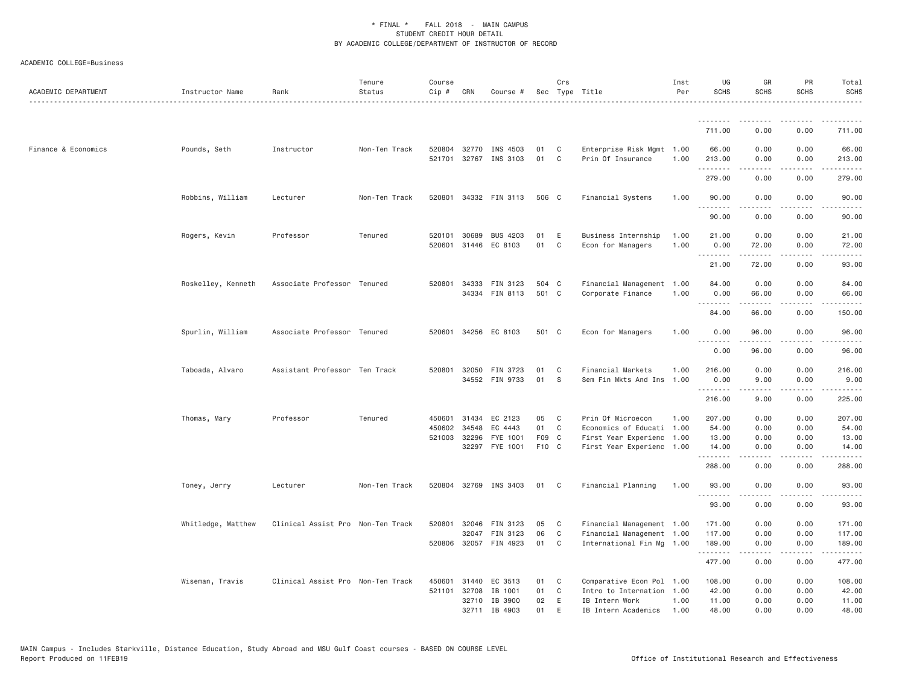| ACADEMIC DEPARTMENT | Instructor Name    | Rank                              | Tenure<br>Status | Course<br>Cip #            | CRN            | Course #                                            |                 | Crs                      | Sec Type Title                                                                      | Inst<br>Per  | UG<br><b>SCHS</b>          | GR<br>SCHS                                                                                                                                                    | PR<br><b>SCHS</b>    | Total<br><b>SCHS</b>       |
|---------------------|--------------------|-----------------------------------|------------------|----------------------------|----------------|-----------------------------------------------------|-----------------|--------------------------|-------------------------------------------------------------------------------------|--------------|----------------------------|---------------------------------------------------------------------------------------------------------------------------------------------------------------|----------------------|----------------------------|
|                     |                    |                                   |                  |                            |                |                                                     |                 |                          |                                                                                     |              | .                          | . <u>.</u>                                                                                                                                                    | .                    |                            |
|                     |                    |                                   |                  |                            |                |                                                     |                 |                          |                                                                                     |              | 711.00                     | 0.00                                                                                                                                                          | 0.00                 | 711.00                     |
| Finance & Economics | Pounds, Seth       | Instructor                        | Non-Ten Track    | 520804<br>521701           | 32770<br>32767 | INS 4503<br>INS 3103                                | 01<br>01        | C<br>C                   | Enterprise Risk Mgmt 1.00<br>Prin Of Insurance                                      | 1.00         | 66.00<br>213.00<br>.       | 0.00<br>0.00<br>-----                                                                                                                                         | 0.00<br>0.00<br>.    | 66.00<br>213.00<br>.       |
|                     |                    |                                   |                  |                            |                |                                                     |                 |                          |                                                                                     |              | 279.00                     | 0.00                                                                                                                                                          | 0.00                 | 279.00                     |
|                     | Robbins, William   | Lecturer                          | Non-Ten Track    | 520801                     |                | 34332 FIN 3113                                      | 506 C           |                          | Financial Systems                                                                   | 1.00         | 90.00<br>.                 | 0.00                                                                                                                                                          | 0.00                 | 90.00                      |
|                     |                    |                                   |                  |                            |                |                                                     |                 |                          |                                                                                     |              | 90.00                      | 0.00                                                                                                                                                          | 0.00                 | 90.00                      |
|                     | Rogers, Kevin      | Professor                         | Tenured          | 520101<br>520601           | 30689          | BUS 4203<br>31446 EC 8103                           | 01<br>01        | Ε<br>$\mathbb C$         | Business Internship<br>Econ for Managers                                            | 1.00<br>1.00 | 21.00<br>0.00              | 0.00<br>72.00                                                                                                                                                 | 0.00<br>0.00         | 21.00<br>72.00             |
|                     |                    |                                   |                  |                            |                |                                                     |                 |                          |                                                                                     |              | .<br>21.00                 | .<br>72.00                                                                                                                                                    | .<br>0.00            | .<br>93.00                 |
|                     | Roskelley, Kenneth | Associate Professor Tenured       |                  | 520801                     |                | 34333 FIN 3123<br>34334 FIN 8113                    | 504 C<br>501 C  |                          | Financial Management<br>Corporate Finance                                           | 1.00<br>1.00 | 84.00<br>0.00              | 0.00<br>66.00                                                                                                                                                 | 0.00<br>0.00         | 84.00<br>66.00             |
|                     |                    |                                   |                  |                            |                |                                                     |                 |                          |                                                                                     |              | .<br>84.00                 | $\frac{1}{2} \left( \frac{1}{2} \right) \left( \frac{1}{2} \right) \left( \frac{1}{2} \right) \left( \frac{1}{2} \right) \left( \frac{1}{2} \right)$<br>66.00 | .<br>0.00            | المتمامين<br>150.00        |
|                     | Spurlin, William   | Associate Professor Tenured       |                  | 520601                     |                | 34256 EC 8103                                       | 501 C           |                          | Econ for Managers                                                                   | 1.00         | 0.00                       | 96.00                                                                                                                                                         | 0.00                 | 96.00                      |
|                     |                    |                                   |                  |                            |                |                                                     |                 |                          |                                                                                     |              | <u>.</u><br>0.00           | .<br>96.00                                                                                                                                                    | .<br>0.00            | .<br>96.00                 |
|                     | Taboada, Alvaro    | Assistant Professor Ten Track     |                  | 520801                     |                | 32050 FIN 3723<br>34552 FIN 9733                    | 01<br>01        | C<br>S                   | Financial Markets<br>Sem Fin Mkts And Ins                                           | 1.00<br>1.00 | 216.00<br>0.00<br>.        | 0.00<br>9.00<br>.                                                                                                                                             | 0.00<br>0.00<br>.    | 216.00<br>9.00<br>-----    |
|                     |                    |                                   |                  |                            |                |                                                     |                 |                          |                                                                                     |              | 216.00                     | 9.00                                                                                                                                                          | 0.00                 | 225.00                     |
|                     | Thomas, Mary       | Professor                         | Tenured          | 450601<br>450602<br>521003 | 34548<br>32296 | 31434 EC 2123<br>EC 4443<br>FYE 1001                | 05<br>01<br>F09 | C<br>C<br>C <sub>c</sub> | Prin Of Microecon<br>Economics of Educati 1.00<br>First Year Experienc              | 1.00<br>1.00 | 207.00<br>54.00<br>13.00   | 0.00<br>0.00<br>0.00                                                                                                                                          | 0.00<br>0.00<br>0.00 | 207.00<br>54.00<br>13.00   |
|                     |                    |                                   |                  |                            |                | 32297 FYE 1001                                      | F10 C           |                          | First Year Experienc 1.00                                                           |              | 14.00<br>.                 | 0.00<br>.                                                                                                                                                     | 0.00<br>.            | 14.00<br>.                 |
|                     |                    |                                   |                  |                            |                |                                                     |                 |                          |                                                                                     |              | 288.00                     | 0.00                                                                                                                                                          | 0.00                 | 288.00                     |
|                     | Toney, Jerry       | Lecturer                          | Non-Ten Track    |                            |                | 520804 32769 INS 3403                               | 01              | C                        | Financial Planning                                                                  | 1.00         | 93.00                      | 0.00                                                                                                                                                          | 0.00                 | 93.00                      |
|                     |                    |                                   |                  |                            |                |                                                     |                 |                          |                                                                                     |              | 93.00                      | 0.00                                                                                                                                                          | 0.00                 | 93.00                      |
|                     | Whitledge, Matthew | Clinical Assist Pro Non-Ten Track |                  | 520801                     | 32046          | FIN 3123<br>32047 FIN 3123<br>520806 32057 FIN 4923 | 05<br>06<br>01  | C<br>C<br>C              | Financial Management 1.00<br>Financial Management 1.00<br>International Fin Mg 1.00 |              | 171.00<br>117.00<br>189.00 | 0.00<br>0.00<br>0.00                                                                                                                                          | 0.00<br>0.00<br>0.00 | 171.00<br>117.00<br>189.00 |
|                     |                    |                                   |                  |                            |                |                                                     |                 |                          |                                                                                     |              | .<br>477.00                | <u>.</u><br>0.00                                                                                                                                              | .<br>0.00            | .<br>477.00                |
|                     | Wiseman, Travis    | Clinical Assist Pro Non-Ten Track |                  | 450601<br>521101           | 31440<br>32708 | EC 3513<br>IB 1001<br>32710 IB 3900                 | 01<br>01<br>02  | C<br>C<br>E              | Comparative Econ Pol 1.00<br>Intro to Internation<br>IB Intern Work                 | 1.00<br>1.00 | 108.00<br>42.00<br>11.00   | 0.00<br>0.00<br>0.00                                                                                                                                          | 0.00<br>0.00<br>0.00 | 108.00<br>42.00<br>11.00   |
|                     |                    |                                   |                  |                            |                | 32711 IB 4903                                       | 01              | E                        | IB Intern Academics                                                                 | 1.00         | 48,00                      | 0.00                                                                                                                                                          | 0.00                 | 48.00                      |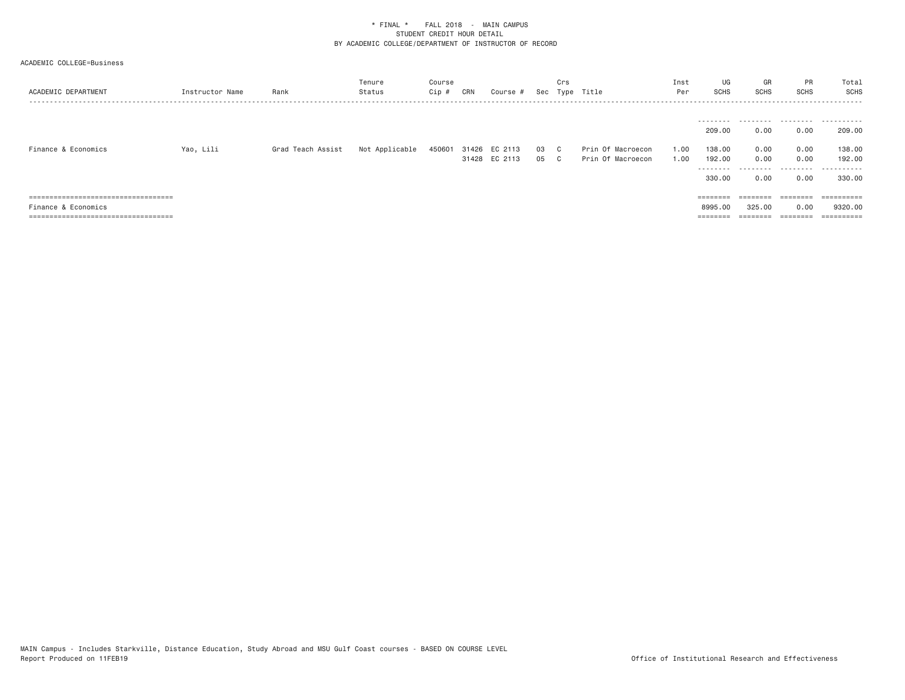| ACADEMIC DEPARTMENT                    | Instructor Name | Rank              | Tenure<br>Status | Course<br>Cip # | CRN | Course #      |      | Crs | Sec Type Title    | Inst<br>Per | UG<br>SCHS          | GR<br>SCHS        | <b>PR</b><br><b>SCHS</b> | Total<br><b>SCHS</b> |
|----------------------------------------|-----------------|-------------------|------------------|-----------------|-----|---------------|------|-----|-------------------|-------------|---------------------|-------------------|--------------------------|----------------------|
|                                        |                 |                   |                  |                 |     |               |      |     |                   |             |                     |                   |                          |                      |
|                                        |                 |                   |                  |                 |     |               |      |     |                   |             | ---------<br>209,00 | .<br>0.00         | 0.00                     | .<br>209,00          |
| Finance & Economics                    | Yao, Lili       | Grad Teach Assist | Not Applicable   | 450601          |     | 31426 EC 2113 | 03 C |     | Prin Of Macroecon | 1.00        | 138,00              | 0.00              | 0.00                     | 138.00               |
|                                        |                 |                   |                  |                 |     | 31428 EC 2113 | 05 C |     | Prin Of Macroecon | 1.00        | 192.00<br>--------- | 0.00<br>.         | 0.00<br>.                | 192.00<br>.          |
|                                        |                 |                   |                  |                 |     |               |      |     |                   |             | 330,00              | 0.00              | 0.00                     | 330,00               |
| =====================================  |                 |                   |                  |                 |     |               |      |     |                   |             |                     | $=$               |                          |                      |
| Finance & Economics                    |                 |                   |                  |                 |     |               |      |     |                   |             | 8995.00             | 325,00            | 0.00                     | 9320,00              |
| ====================================== |                 |                   |                  |                 |     |               |      |     |                   |             |                     | $=$ = = = = = = = | ========                 | ==========           |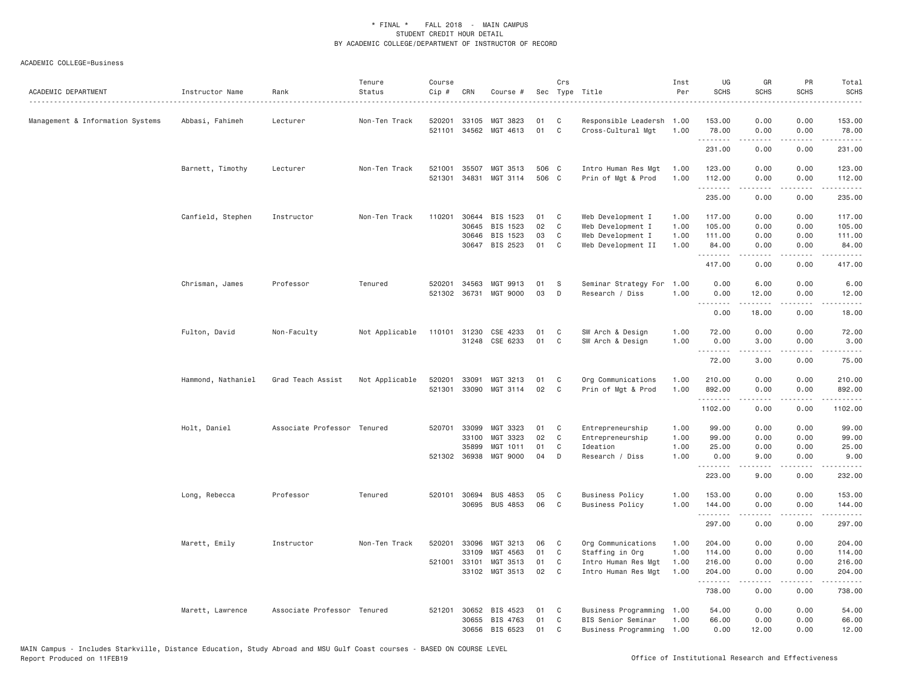| ACADEMIC DEPARTMENT              | Instructor Name    | Rank<br>.                   | Tenure<br>Status | Course<br>Cip # | CRN            | Course #             |          | Crs          | Sec Type Title                                  | Inst<br>Per  | UG<br><b>SCHS</b>             | GR<br><b>SCHS</b> | PR<br>SCHS                   | Total<br><b>SCHS</b>                                                                                                                                                                      |
|----------------------------------|--------------------|-----------------------------|------------------|-----------------|----------------|----------------------|----------|--------------|-------------------------------------------------|--------------|-------------------------------|-------------------|------------------------------|-------------------------------------------------------------------------------------------------------------------------------------------------------------------------------------------|
| Management & Information Systems | Abbasi, Fahimeh    | Lecturer                    | Non-Ten Track    | 520201          | 33105          | MGT 3823             | 01       | C            | Responsible Leadersh 1.00                       |              | 153.00                        | 0.00              | 0.00                         | 153.00                                                                                                                                                                                    |
|                                  |                    |                             |                  | 521101          |                | 34562 MGT 4613       | 01       | C            | Cross-Cultural Mgt                              | 1.00         | 78.00                         | 0.00              | 0.00<br>.                    | 78.00<br>.                                                                                                                                                                                |
|                                  |                    |                             |                  |                 |                |                      |          |              |                                                 |              | .<br>231.00                   | <u>.</u><br>0.00  | 0.00                         | 231.00                                                                                                                                                                                    |
|                                  | Barnett, Timothy   | Lecturer                    | Non-Ten Track    | 521001          | 35507          | MGT 3513             | 506 C    |              | Intro Human Res Mgt                             | 1.00         | 123.00                        | 0.00              | 0.00                         | 123.00                                                                                                                                                                                    |
|                                  |                    |                             |                  | 521301          | 34831          | MGT 3114             | 506 C    |              | Prin of Mgt & Prod                              | 1.00         | 112.00                        | 0.00              | 0.00                         | 112.00                                                                                                                                                                                    |
|                                  |                    |                             |                  |                 |                |                      |          |              |                                                 |              | .<br>235.00                   | 0.00              | $\sim$ $\sim$ $\sim$<br>0.00 | .<br>235.00                                                                                                                                                                               |
|                                  | Canfield, Stephen  | Instructor                  | Non-Ten Track    | 110201          | 30644          | BIS 1523             | 01       | C            | Web Development I                               | 1.00         | 117.00                        | 0.00              | 0.00                         | 117.00                                                                                                                                                                                    |
|                                  |                    |                             |                  |                 | 30645          | BIS 1523             | 02       | $\mathsf{C}$ | Web Development I                               | 1.00         | 105.00                        | 0.00              | 0.00                         | 105.00                                                                                                                                                                                    |
|                                  |                    |                             |                  |                 | 30646          | BIS 1523             | 03       | C            | Web Development I                               | 1.00         | 111.00                        | 0.00              | 0.00                         | 111.00                                                                                                                                                                                    |
|                                  |                    |                             |                  |                 | 30647          | BIS 2523             | 01       | C            | Web Development II                              | 1.00         | 84.00                         | 0.00              | 0.00                         | 84.00                                                                                                                                                                                     |
|                                  |                    |                             |                  |                 |                |                      |          |              |                                                 |              | .<br>417.00                   | 0.00              | 0.00                         | .<br>417.00                                                                                                                                                                               |
|                                  | Chrisman, James    | Professor                   | Tenured          | 520201          | 34563          | MGT 9913             | 01       | S            | Seminar Strategy For                            | 1.00         | 0.00                          | 6.00              | 0.00                         | 6.00                                                                                                                                                                                      |
|                                  |                    |                             |                  | 521302          | 36731          | <b>MGT 9000</b>      | 03       | D            | Research / Diss                                 | 1.00         | 0.00                          | 12.00             | 0.00                         | 12.00                                                                                                                                                                                     |
|                                  |                    |                             |                  |                 |                |                      |          |              |                                                 |              | .<br>0.00                     | .<br>18.00        | .<br>0.00                    | .<br>18.00                                                                                                                                                                                |
|                                  | Fulton, David      | Non-Faculty                 | Not Applicable   | 110101          | 31230          | CSE 4233             | 01       | C            | SW Arch & Design                                | 1.00         | 72.00                         | 0.00              | 0.00                         | 72.00                                                                                                                                                                                     |
|                                  |                    |                             |                  |                 | 31248          | CSE 6233             | 01       | $\mathbb C$  | SW Arch & Design                                | 1.00         | 0.00                          | 3.00              | 0.00                         | 3.00                                                                                                                                                                                      |
|                                  |                    |                             |                  |                 |                |                      |          |              |                                                 |              | <b><i><u><u>.</u></u></i></b> | .                 | .                            | .                                                                                                                                                                                         |
|                                  |                    |                             |                  |                 |                |                      |          |              |                                                 |              | 72.00                         | 3.00              | 0.00                         | 75.00                                                                                                                                                                                     |
|                                  | Hammond, Nathaniel | Grad Teach Assist           | Not Applicable   | 520201          | 33091          | MGT 3213             | 01       | C            | Org Communications                              | 1.00         | 210.00                        | 0.00              | 0.00                         | 210.00                                                                                                                                                                                    |
|                                  |                    |                             |                  | 521301          | 33090          | MGT 3114             | 02       | C            | Prin of Mgt & Prod                              | 1.00         | 892.00                        | 0.00              | 0.00                         | 892.00                                                                                                                                                                                    |
|                                  |                    |                             |                  |                 |                |                      |          |              |                                                 |              | .<br>1102.00                  | 0.00              | 0.00                         | .<br>1102.00                                                                                                                                                                              |
|                                  | Holt, Daniel       | Associate Professor Tenured |                  | 520701          | 33099          | MGT 3323             | 01       | C            | Entrepreneurship                                | 1.00         | 99.00                         | 0.00              | 0.00                         | 99.00                                                                                                                                                                                     |
|                                  |                    |                             |                  |                 | 33100          | MGT 3323             | 02       | C            | Entrepreneurship                                | 1.00         | 99.00                         | 0.00              | 0.00                         | 99.00                                                                                                                                                                                     |
|                                  |                    |                             |                  |                 | 35899          | MGT 1011             | 01       | C            | Ideation                                        | 1.00         | 25.00                         | 0.00              | 0.00                         | 25.00                                                                                                                                                                                     |
|                                  |                    |                             |                  |                 | 521302 36938   | MGT 9000             | 04       | D            | Research / Diss                                 | 1.00         | 0.00                          | 9.00              | 0.00                         | 9.00                                                                                                                                                                                      |
|                                  |                    |                             |                  |                 |                |                      |          |              |                                                 |              | .<br>223.00                   | .<br>9.00         | .<br>0.00                    | $\frac{1}{2} \left( \frac{1}{2} \right) \left( \frac{1}{2} \right) \left( \frac{1}{2} \right) \left( \frac{1}{2} \right) \left( \frac{1}{2} \right) \left( \frac{1}{2} \right)$<br>232.00 |
|                                  | Long, Rebecca      | Professor                   | Tenured          | 520101          | 30694          | <b>BUS 4853</b>      | 05       | C            | <b>Business Policy</b>                          | 1.00         | 153.00                        | 0.00              | 0.00                         | 153.00                                                                                                                                                                                    |
|                                  |                    |                             |                  |                 |                | 30695 BUS 4853       | 06       | C            | <b>Business Policy</b>                          | 1.00         | 144.00                        | 0.00              | 0.00                         | 144.00                                                                                                                                                                                    |
|                                  |                    |                             |                  |                 |                |                      |          |              |                                                 |              | .<br>297.00                   | .<br>0.00         | .<br>0.00                    | .<br>297.00                                                                                                                                                                               |
|                                  |                    |                             |                  |                 |                |                      |          |              |                                                 |              |                               |                   |                              |                                                                                                                                                                                           |
|                                  | Marett, Emily      | Instructor                  | Non-Ten Track    | 520201          | 33096<br>33109 | MGT 3213<br>MGT 4563 | 06<br>01 | C<br>C       | Org Communications                              | 1.00<br>1.00 | 204.00<br>114.00              | 0.00              | 0.00<br>0.00                 | 204.00<br>114.00                                                                                                                                                                          |
|                                  |                    |                             |                  | 521001          | 33101          | MGT 3513             | 01       | C            | Staffing in Org<br>Intro Human Res Mgt          | 1.00         | 216.00                        | 0.00<br>0.00      | 0.00                         | 216.00                                                                                                                                                                                    |
|                                  |                    |                             |                  |                 |                | 33102 MGT 3513       | 02       | C            | Intro Human Res Mgt                             | 1.00         | 204.00                        | 0.00              | 0.00                         | 204.00                                                                                                                                                                                    |
|                                  |                    |                             |                  |                 |                |                      |          |              |                                                 |              | .<br>738.00                   | -----<br>0.00     | .<br>0.00                    | $- - - - - -$<br>738.00                                                                                                                                                                   |
|                                  |                    |                             |                  |                 |                |                      |          |              |                                                 |              |                               |                   |                              |                                                                                                                                                                                           |
|                                  | Marett, Lawrence   | Associate Professor Tenured |                  | 521201          | 30652<br>30655 | BIS 4523<br>BIS 4763 | 01<br>01 | C<br>C       | Business Programming                            | 1.00         | 54,00<br>66.00                | 0.00<br>0.00      | 0.00<br>0.00                 | 54.00<br>66.00                                                                                                                                                                            |
|                                  |                    |                             |                  |                 | 30656          | BIS 6523             | 01       | C            | BIS Senior Seminar<br>Business Programming 1.00 | 1.00         | 0.00                          | 12.00             | 0.00                         | 12.00                                                                                                                                                                                     |
|                                  |                    |                             |                  |                 |                |                      |          |              |                                                 |              |                               |                   |                              |                                                                                                                                                                                           |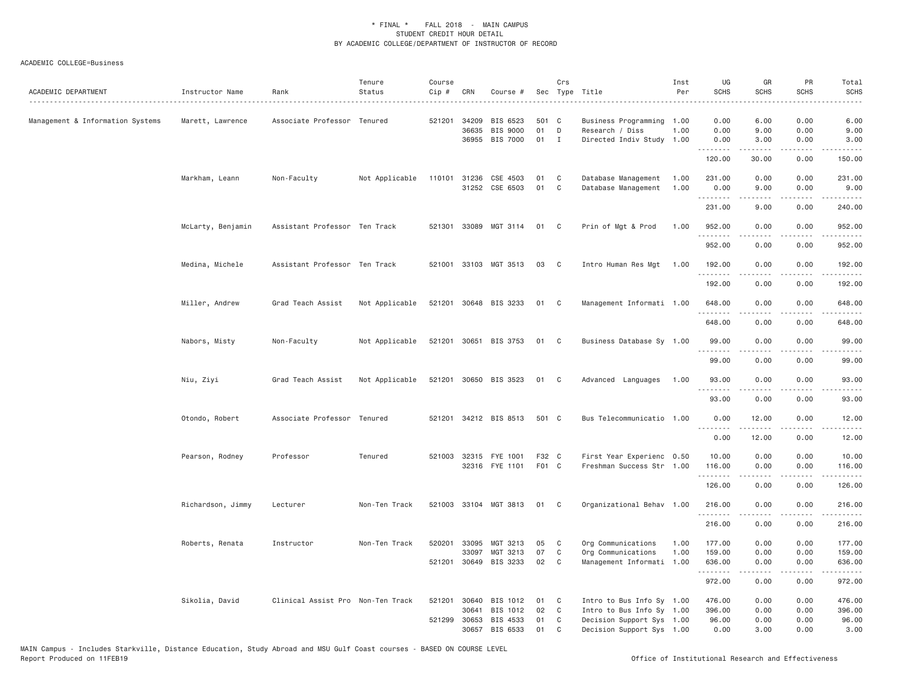| ACADEMIC DEPARTMENT              | Instructor Name<br>. | Rank<br>.                         | Tenure<br>Status | Course<br>Cip # | CRN            | Course #                                      |                   | Crs               | Sec Type Title                                                       | Inst<br>Per  | UG<br><b>SCHS</b>        | GR<br><b>SCHS</b>                         | PR<br><b>SCHS</b>                   | Total<br><b>SCHS</b><br>.                                                                                                                                                                         |
|----------------------------------|----------------------|-----------------------------------|------------------|-----------------|----------------|-----------------------------------------------|-------------------|-------------------|----------------------------------------------------------------------|--------------|--------------------------|-------------------------------------------|-------------------------------------|---------------------------------------------------------------------------------------------------------------------------------------------------------------------------------------------------|
| Management & Information Systems | Marett, Lawrence     | Associate Professor Tenured       |                  | 521201          | 34209<br>36635 | BIS 6523<br><b>BIS 9000</b><br>36955 BIS 7000 | 501 C<br>01<br>01 | D<br>$\mathbf{I}$ | Business Programming<br>Research / Diss<br>Directed Indiv Study 1.00 | 1.00<br>1.00 | 0.00<br>0.00<br>0.00     | 6.00<br>9.00<br>3.00                      | 0.00<br>0.00<br>0.00                | 6.00<br>9.00<br>3.00                                                                                                                                                                              |
|                                  |                      |                                   |                  |                 |                |                                               |                   |                   |                                                                      |              | 120.00                   | $\omega$ is $\omega$ in $\omega$<br>30.00 | .<br>0.00                           | ------<br>150.00                                                                                                                                                                                  |
|                                  | Markham, Leann       | Non-Faculty                       | Not Applicable   | 110101          |                | 31236 CSE 4503<br>31252 CSE 6503              | 01<br>01          | C<br>C            | Database Management<br>Database Management                           | 1.00<br>1.00 | 231.00<br>0.00<br>.      | 0.00<br>9.00<br>.                         | 0.00<br>0.00<br>.                   | 231.00<br>9.00<br>$\frac{1}{2} \left( \frac{1}{2} \right) \left( \frac{1}{2} \right) \left( \frac{1}{2} \right) \left( \frac{1}{2} \right) \left( \frac{1}{2} \right) \left( \frac{1}{2} \right)$ |
|                                  |                      |                                   |                  |                 |                |                                               |                   |                   |                                                                      |              | 231.00                   | 9.00                                      | 0.00                                | 240.00                                                                                                                                                                                            |
|                                  | McLarty, Benjamin    | Assistant Professor Ten Track     |                  |                 |                | 521301 33089 MGT 3114                         | 01                | C                 | Prin of Mgt & Prod                                                   | 1.00         | 952.00<br>.              | 0.00<br>.                                 | 0.00<br>$\sim$ $\sim$ $\sim$ $\sim$ | 952.00<br>.                                                                                                                                                                                       |
|                                  |                      |                                   |                  |                 |                |                                               |                   |                   |                                                                      |              | 952.00                   | 0.00                                      | 0.00                                | 952.00                                                                                                                                                                                            |
|                                  | Medina, Michele      | Assistant Professor Ten Track     |                  |                 |                | 521001 33103 MGT 3513                         | 03                | C                 | Intro Human Res Mgt                                                  | 1.00         | 192.00<br>.              | 0.00<br>.                                 | 0.00<br>$- - - -$                   | 192.00<br>$- - - - - -$                                                                                                                                                                           |
|                                  |                      |                                   |                  |                 |                |                                               |                   |                   |                                                                      |              | 192.00                   | 0.00                                      | 0.00                                | 192.00                                                                                                                                                                                            |
|                                  | Miller, Andrew       | Grad Teach Assist                 | Not Applicable   |                 |                | 521201 30648 BIS 3233                         | 01                | C                 | Management Informati 1.00                                            |              | 648.00                   | 0.00                                      | 0.00<br>$\sim$ $\sim$ $\sim$        | 648.00<br>.                                                                                                                                                                                       |
|                                  |                      |                                   |                  |                 |                |                                               |                   |                   |                                                                      |              | 648.00                   | 0.00                                      | 0.00                                | 648.00                                                                                                                                                                                            |
|                                  | Nabors, Misty        | Non-Faculty                       | Not Applicable   |                 |                | 521201 30651 BIS 3753                         | 01                | $\mathbf{C}$      | Business Database Sy 1.00                                            |              | 99.00                    | 0.00                                      | 0.00<br>.                           | 99.00<br>.                                                                                                                                                                                        |
|                                  |                      |                                   |                  |                 |                |                                               |                   |                   |                                                                      |              | .<br>99.00               | .<br>0.00                                 | 0.00                                | 99.00                                                                                                                                                                                             |
|                                  | Niu, Ziyi            | Grad Teach Assist                 | Not Applicable   |                 |                | 521201 30650 BIS 3523                         | 01                | C                 | Advanced Languages                                                   | 1.00         | 93.00                    | 0.00                                      | 0.00                                | 93.00                                                                                                                                                                                             |
|                                  |                      |                                   |                  |                 |                |                                               |                   |                   |                                                                      |              | $- - - - - - -$<br>93.00 | .<br>0.00                                 | $   -$<br>0.00                      | $\frac{1}{2}$<br>93.00                                                                                                                                                                            |
|                                  | Otondo, Robert       | Associate Professor Tenured       |                  | 521201          |                | 34212 BIS 8513                                | 501 C             |                   | Bus Telecommunicatio 1.00                                            |              | 0.00                     | 12.00                                     | 0.00                                | 12.00                                                                                                                                                                                             |
|                                  |                      |                                   |                  |                 |                |                                               |                   |                   |                                                                      |              | .<br>0.00                | .<br>12.00                                | $\frac{1}{2}$<br>0.00               | .<br>12.00                                                                                                                                                                                        |
|                                  | Pearson, Rodney      | Professor                         | Tenured          |                 |                | 521003 32315 FYE 1001<br>32316 FYE 1101       | F32 C<br>F01 C    |                   | First Year Experienc 0.50<br>Freshman Success Str 1.00               |              | 10.00<br>116.00          | 0.00<br>0.00                              | 0.00<br>0.00                        | 10.00<br>116.00                                                                                                                                                                                   |
|                                  |                      |                                   |                  |                 |                |                                               |                   |                   |                                                                      |              | .<br>126.00              | .<br>0.00                                 | .<br>0.00                           | $\frac{1}{2}$<br>126.00                                                                                                                                                                           |
|                                  | Richardson, Jimmy    | Lecturer                          | Non-Ten Track    | 521003          |                | 33104 MGT 3813                                | 01                | C                 | Organizational Behav 1.00                                            |              | 216.00                   | 0.00                                      | 0.00                                | 216.00                                                                                                                                                                                            |
|                                  |                      |                                   |                  |                 |                |                                               |                   |                   |                                                                      |              | 216.00                   | 0.00                                      | .<br>0.00                           | .<br>216.00                                                                                                                                                                                       |
|                                  | Roberts, Renata      | Instructor                        | Non-Ten Track    | 520201          | 33095<br>33097 | MGT 3213<br>MGT 3213                          | 05<br>07          | C<br>$\mathbb C$  | Org Communications<br>Org Communications                             | 1.00<br>1.00 | 177.00<br>159.00         | 0.00<br>0.00                              | 0.00<br>0.00                        | 177.00<br>159.00                                                                                                                                                                                  |
|                                  |                      |                                   |                  |                 |                | 521201 30649 BIS 3233                         | 02                | C                 | Management Informati 1.00                                            |              | 636.00                   | 0.00<br>.                                 | 0.00<br>.                           | 636.00<br>.                                                                                                                                                                                       |
|                                  |                      |                                   |                  |                 |                |                                               |                   |                   |                                                                      |              | 972.00                   | 0.00                                      | 0.00                                | 972.00                                                                                                                                                                                            |
|                                  | Sikolia, David       | Clinical Assist Pro Non-Ten Track |                  | 521201          | 30640<br>30641 | BIS 1012<br>BIS 1012                          | 01<br>02          | C<br>C            | Intro to Bus Info Sy 1.00<br>Intro to Bus Info Sy 1.00               |              | 476.00<br>396.00         | 0.00<br>0.00                              | 0.00<br>0.00                        | 476.00<br>396.00                                                                                                                                                                                  |
|                                  |                      |                                   |                  | 521299          | 30653          | BIS 4533                                      | 01                | C                 | Decision Support Sys 1.00                                            |              | 96.00                    | 0.00                                      | 0.00                                | 96.00                                                                                                                                                                                             |
|                                  |                      |                                   |                  |                 | 30657          | BIS 6533                                      | 01                | C                 | Decision Support Sys 1.00                                            |              | 0.00                     | 3.00                                      | 0.00                                | 3.00                                                                                                                                                                                              |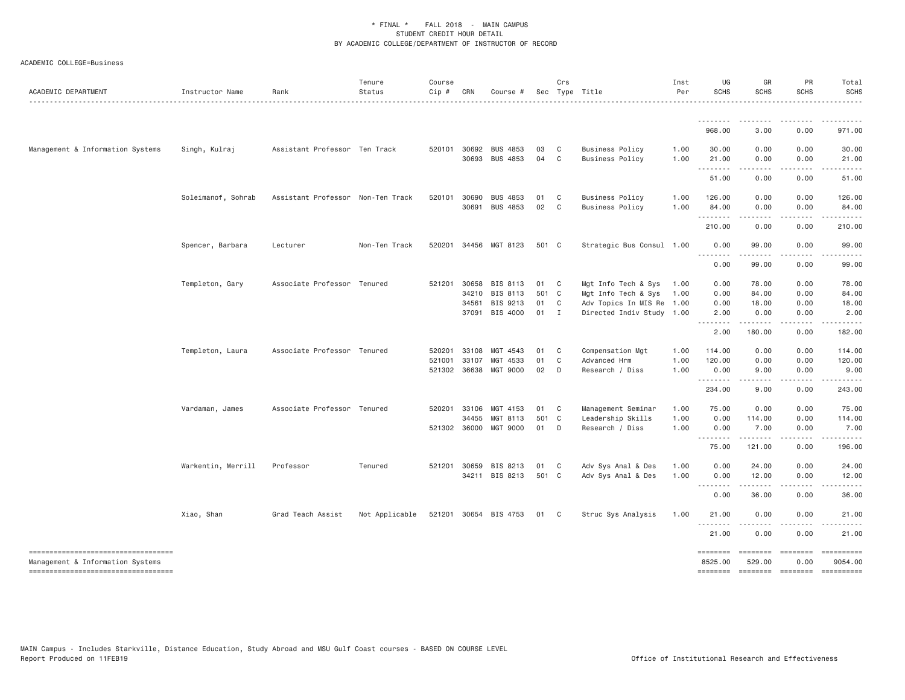| ACADEMIC DEPARTMENT                                                    | Instructor Name    | Rank                              | Tenure<br>Status | Course<br>Cip # | CRN                   | Course #                           |            | Crs               | Sec Type Title                                   | Inst<br>Per  | UG<br><b>SCHS</b>                 | GR<br><b>SCHS</b>     | PR<br>SCHS                 | Total<br><b>SCHS</b>                                                                                                                                                                                                                                                                                                                                                                                                                                                                              |
|------------------------------------------------------------------------|--------------------|-----------------------------------|------------------|-----------------|-----------------------|------------------------------------|------------|-------------------|--------------------------------------------------|--------------|-----------------------------------|-----------------------|----------------------------|---------------------------------------------------------------------------------------------------------------------------------------------------------------------------------------------------------------------------------------------------------------------------------------------------------------------------------------------------------------------------------------------------------------------------------------------------------------------------------------------------|
|                                                                        |                    |                                   |                  |                 |                       |                                    |            |                   |                                                  |              |                                   |                       |                            |                                                                                                                                                                                                                                                                                                                                                                                                                                                                                                   |
|                                                                        |                    |                                   |                  |                 |                       |                                    |            |                   |                                                  |              | 968.00                            | 3.00                  | 0.00                       | 971.00                                                                                                                                                                                                                                                                                                                                                                                                                                                                                            |
| Management & Information Systems                                       | Singh, Kulraj      | Assistant Professor Ten Track     |                  |                 | 520101 30692          | <b>BUS 4853</b><br>30693 BUS 4853  | 03<br>04 C | C                 | <b>Business Policy</b><br><b>Business Policy</b> | 1.00<br>1.00 | 30.00<br>21.00<br><u>.</u>        | 0.00<br>0.00<br>----- | 0.00<br>0.00<br>.          | 30.00<br>21.00<br>. <u>.</u>                                                                                                                                                                                                                                                                                                                                                                                                                                                                      |
|                                                                        |                    |                                   |                  |                 |                       |                                    |            |                   |                                                  |              | 51.00                             | 0.00                  | 0.00                       | 51.00                                                                                                                                                                                                                                                                                                                                                                                                                                                                                             |
|                                                                        | Soleimanof, Sohrab | Assistant Professor Non-Ten Track |                  |                 | 520101 30690<br>30691 | <b>BUS 4853</b><br><b>BUS 4853</b> | 01<br>02   | C<br>$\mathbf{C}$ | <b>Business Policy</b><br><b>Business Policy</b> | 1.00<br>1.00 | 126.00<br>84.00                   | 0.00<br>0.00          | 0.00<br>0.00               | 126.00<br>84.00                                                                                                                                                                                                                                                                                                                                                                                                                                                                                   |
|                                                                        |                    |                                   |                  |                 |                       |                                    |            |                   |                                                  |              | <u>.</u><br>210.00                | .<br>0.00             | .<br>0.00                  | .<br>210.00                                                                                                                                                                                                                                                                                                                                                                                                                                                                                       |
|                                                                        |                    |                                   |                  |                 |                       |                                    | 501 C      |                   |                                                  |              |                                   | 99.00                 | 0.00                       | 99,00                                                                                                                                                                                                                                                                                                                                                                                                                                                                                             |
|                                                                        | Spencer, Barbara   | Lecturer                          | Non-Ten Track    |                 |                       | 520201 34456 MGT 8123              |            |                   | Strategic Bus Consul 1.00                        |              | 0.00<br>$\sim$ $\sim$ $\sim$<br>. | . <u>.</u>            | .                          | . <u>.</u>                                                                                                                                                                                                                                                                                                                                                                                                                                                                                        |
|                                                                        |                    |                                   |                  |                 |                       |                                    |            |                   |                                                  |              | 0.00                              | 99.00                 | 0.00                       | 99.00                                                                                                                                                                                                                                                                                                                                                                                                                                                                                             |
|                                                                        | Templeton, Gary    | Associate Professor Tenured       |                  |                 | 521201 30658          | BIS 8113                           | 01         | $\overline{C}$    | Mgt Info Tech & Sys                              | 1.00         | 0.00                              | 78.00                 | 0.00                       | 78.00                                                                                                                                                                                                                                                                                                                                                                                                                                                                                             |
|                                                                        |                    |                                   |                  |                 | 34210                 | BIS 8113                           | 501 C      |                   | Mgt Info Tech & Sys                              | 1.00         | 0.00                              | 84.00                 | 0.00                       | 84.00                                                                                                                                                                                                                                                                                                                                                                                                                                                                                             |
|                                                                        |                    |                                   |                  |                 | 34561                 | BIS 9213                           | 01         | $\overline{C}$    | Adv Topics In MIS Re 1.00                        |              | 0.00                              | 18.00                 | 0.00                       | 18.00                                                                                                                                                                                                                                                                                                                                                                                                                                                                                             |
|                                                                        |                    |                                   |                  |                 | 37091                 | BIS 4000                           | $01$ I     |                   | Directed Indiv Study 1.00                        |              | 2.00<br>.                         | 0.00<br>.             | 0.00<br>.                  | 2.00<br>.                                                                                                                                                                                                                                                                                                                                                                                                                                                                                         |
|                                                                        |                    |                                   |                  |                 |                       |                                    |            |                   |                                                  |              | 2.00                              | 180.00                | 0.00                       | 182.00                                                                                                                                                                                                                                                                                                                                                                                                                                                                                            |
|                                                                        | Templeton, Laura   | Associate Professor Tenured       |                  | 520201          | 33108                 | MGT 4543                           | 01         | C                 | Compensation Mgt                                 | 1.00         | 114.00                            | 0.00                  | 0.00                       | 114.00                                                                                                                                                                                                                                                                                                                                                                                                                                                                                            |
|                                                                        |                    |                                   |                  | 521001          | 33107                 | MGT 4533                           | 01         | C                 | Advanced Hrm                                     | 1.00         | 120.00                            | 0.00                  | 0.00                       | 120.00                                                                                                                                                                                                                                                                                                                                                                                                                                                                                            |
|                                                                        |                    |                                   |                  | 521302          | 36638                 | MGT 9000                           | 02         | D                 | Research / Diss                                  | 1.00         | 0.00<br>.                         | 9.00<br>.             | 0.00<br>.                  | 9.00<br>.                                                                                                                                                                                                                                                                                                                                                                                                                                                                                         |
|                                                                        |                    |                                   |                  |                 |                       |                                    |            |                   |                                                  |              | 234.00                            | 9.00                  | 0.00                       | 243.00                                                                                                                                                                                                                                                                                                                                                                                                                                                                                            |
|                                                                        | Vardaman, James    | Associate Professor Tenured       |                  | 520201          | 33106                 | MGT 4153                           | 01         | $\mathbf{C}$      | Management Seminar                               | 1.00         | 75.00                             | 0.00                  | 0.00                       | 75.00                                                                                                                                                                                                                                                                                                                                                                                                                                                                                             |
|                                                                        |                    |                                   |                  |                 | 34455                 | MGT 8113                           | 501 C      |                   | Leadership Skills                                | 1.00         | 0.00                              | 114.00                | 0.00                       | 114.00                                                                                                                                                                                                                                                                                                                                                                                                                                                                                            |
|                                                                        |                    |                                   |                  |                 | 521302 36000          | MGT 9000                           | 01         | $\mathsf{D}$      | Research / Diss                                  | 1.00         | 0.00<br>.                         | 7.00                  | 0.00                       | 7.00                                                                                                                                                                                                                                                                                                                                                                                                                                                                                              |
|                                                                        |                    |                                   |                  |                 |                       |                                    |            |                   |                                                  |              | 75.00                             | 121.00                | 0.00                       | 196.00                                                                                                                                                                                                                                                                                                                                                                                                                                                                                            |
|                                                                        | Warkentin, Merrill | Professor                         | Tenured          |                 | 521201 30659          | BIS 8213                           | 01         | $\overline{C}$    | Adv Sys Anal & Des                               | 1.00         | 0.00                              | 24.00                 | 0.00                       | 24.00                                                                                                                                                                                                                                                                                                                                                                                                                                                                                             |
|                                                                        |                    |                                   |                  |                 | 34211                 | BIS 8213                           | 501 C      |                   | Adv Sys Anal & Des                               | 1.00         | 0.00<br>.                         | 12.00                 | 0.00                       | 12.00                                                                                                                                                                                                                                                                                                                                                                                                                                                                                             |
|                                                                        |                    |                                   |                  |                 |                       |                                    |            |                   |                                                  |              | 0.00                              | 36.00                 | 0.00                       | 36.00                                                                                                                                                                                                                                                                                                                                                                                                                                                                                             |
|                                                                        | Xiao, Shan         | Grad Teach Assist                 | Not Applicable   |                 |                       | 521201 30654 BIS 4753              | 01         | C C               | Struc Sys Analysis                               | 1.00         | 21.00<br>.                        | 0.00<br>.             | 0.00<br>.                  | 21.00<br>.                                                                                                                                                                                                                                                                                                                                                                                                                                                                                        |
|                                                                        |                    |                                   |                  |                 |                       |                                    |            |                   |                                                  |              | 21.00                             | 0.00                  | 0.00                       | 21.00                                                                                                                                                                                                                                                                                                                                                                                                                                                                                             |
| ----------------------------------<br>Management & Information Systems |                    |                                   |                  |                 |                       |                                    |            |                   |                                                  |              | ========<br>8525.00               | 529.00                | ========= ========<br>0.00 | $\begin{array}{cccccccccc} \multicolumn{2}{c}{} & \multicolumn{2}{c}{} & \multicolumn{2}{c}{} & \multicolumn{2}{c}{} & \multicolumn{2}{c}{} & \multicolumn{2}{c}{} & \multicolumn{2}{c}{} & \multicolumn{2}{c}{} & \multicolumn{2}{c}{} & \multicolumn{2}{c}{} & \multicolumn{2}{c}{} & \multicolumn{2}{c}{} & \multicolumn{2}{c}{} & \multicolumn{2}{c}{} & \multicolumn{2}{c}{} & \multicolumn{2}{c}{} & \multicolumn{2}{c}{} & \multicolumn{2}{c}{} & \multicolumn{2}{c}{} & \mult$<br>9054.00 |
| ----------------------------------                                     |                    |                                   |                  |                 |                       |                                    |            |                   |                                                  |              | ========                          | ======== ========     |                            | $\begin{array}{cccccccccc} \multicolumn{2}{c}{} & \multicolumn{2}{c}{} & \multicolumn{2}{c}{} & \multicolumn{2}{c}{} & \multicolumn{2}{c}{} & \multicolumn{2}{c}{} & \multicolumn{2}{c}{} & \multicolumn{2}{c}{} & \multicolumn{2}{c}{} & \multicolumn{2}{c}{} & \multicolumn{2}{c}{} & \multicolumn{2}{c}{} & \multicolumn{2}{c}{} & \multicolumn{2}{c}{} & \multicolumn{2}{c}{} & \multicolumn{2}{c}{} & \multicolumn{2}{c}{} & \multicolumn{2}{c}{} & \multicolumn{2}{c}{} & \mult$            |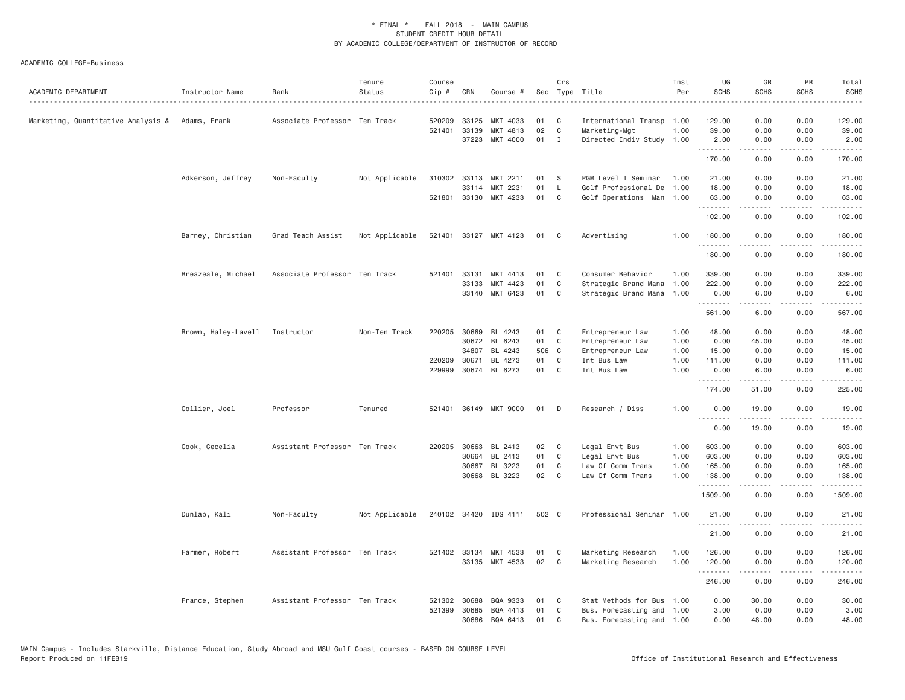| ACADEMIC DEPARTMENT                             | Instructor Name                | Rank                          | Tenure<br>Status | Course<br>Cip #        | CRN                            | Course #                                |                | Crs                    | Sec Type Title                                                          | Inst<br>Per  | UG<br><b>SCHS</b>       | GR<br><b>SCHS</b>                                                                                                                                            | PR<br><b>SCHS</b>                           | Total<br><b>SCHS</b><br>.         |
|-------------------------------------------------|--------------------------------|-------------------------------|------------------|------------------------|--------------------------------|-----------------------------------------|----------------|------------------------|-------------------------------------------------------------------------|--------------|-------------------------|--------------------------------------------------------------------------------------------------------------------------------------------------------------|---------------------------------------------|-----------------------------------|
| Marketing, Quantitative Analysis & Adams, Frank |                                | Associate Professor Ten Track |                  | 520209                 | 33125<br>521401 33139<br>37223 | MKT 4033<br>MKT 4813<br>MKT 4000        | 01<br>02<br>01 | C<br>C<br>$\mathbf{I}$ | International Transp 1.00<br>Marketing-Mgt<br>Directed Indiv Study 1.00 | 1.00         | 129.00<br>39.00<br>2.00 | 0.00<br>0.00<br>0.00                                                                                                                                         | 0.00<br>0.00<br>0.00                        | 129.00<br>39.00<br>2.00           |
|                                                 |                                |                               |                  |                        |                                |                                         |                |                        |                                                                         |              | .<br>170.00             | .<br>0.00                                                                                                                                                    | .<br>0.00                                   | .<br>170.00                       |
|                                                 | Adkerson, Jeffrey              | Non-Faculty                   | Not Applicable   |                        | 310302 33113<br>33114          | MKT 2211<br>MKT 2231                    | 01<br>01       | -S<br>L                | PGM Level I Seminar<br>Golf Professional De                             | 1.00<br>1.00 | 21.00<br>18.00          | 0.00<br>0.00                                                                                                                                                 | 0.00<br>0.00                                | 21.00<br>18.00                    |
|                                                 |                                |                               |                  |                        |                                | 521801 33130 MKT 4233                   | 01             | C                      | Golf Operations Man 1.00                                                |              | 63.00<br>.<br>102.00    | 0.00<br>.<br>0.00                                                                                                                                            | 0.00<br>.<br>0.00                           | 63.00<br>.<br>102.00              |
|                                                 | Barney, Christian              | Grad Teach Assist             | Not Applicable   | 521401                 |                                | 33127 MKT 4123                          | 01             | C                      | Advertising                                                             | 1.00         | 180.00                  | 0.00                                                                                                                                                         | 0.00                                        | 180.00                            |
|                                                 |                                |                               |                  |                        |                                |                                         |                |                        |                                                                         |              | .<br>180.00             | 0.00                                                                                                                                                         | $\sim$ $\sim$ $\sim$ $\sim$<br>0.00         | 2.2.2.2.2<br>180.00               |
|                                                 | Breazeale, Michael             | Associate Professor Ten Track |                  | 521401                 | 33131<br>33133                 | MKT 4413<br>MKT 4423                    | 01<br>01       | C<br>C                 | Consumer Behavior<br>Strategic Brand Mana                               | 1.00<br>1.00 | 339.00<br>222.00        | 0.00<br>0.00                                                                                                                                                 | 0.00<br>0.00                                | 339.00<br>222.00                  |
|                                                 |                                |                               |                  |                        | 33140                          | MKT 6423                                | 01             | C                      | Strategic Brand Mana                                                    | 1.00         | 0.00<br>.               | 6.00<br>.                                                                                                                                                    | 0.00<br>.                                   | 6.00<br>.                         |
|                                                 | Brown, Haley-Lavell Instructor |                               | Non-Ten Track    | 220205                 | 30669                          | BL 4243                                 | 01             | C                      | Entrepreneur Law                                                        | 1.00         | 561.00<br>48.00         | 6.00<br>0.00                                                                                                                                                 | 0.00<br>0.00                                | 567.00<br>48.00                   |
|                                                 |                                |                               |                  |                        |                                | 30672 BL 6243                           | 01             | C                      | Entrepreneur Law                                                        | 1.00         | 0.00                    | 45.00                                                                                                                                                        | 0.00                                        | 45.00                             |
|                                                 |                                |                               |                  |                        | 34807                          | BL 4243                                 | 506 C          |                        | Entrepreneur Law                                                        | 1.00         | 15.00                   | 0.00                                                                                                                                                         | 0.00                                        | 15.00                             |
|                                                 |                                |                               |                  | 220209 30671<br>229999 |                                | BL 4273<br>30674 BL 6273                | 01<br>01       | C<br>C                 | Int Bus Law<br>Int Bus Law                                              | 1.00<br>1.00 | 111.00<br>0.00<br>.     | 0.00<br>6.00<br>$- - - - -$                                                                                                                                  | 0.00<br>0.00<br>$\sim$ $\sim$ $\sim$ $\sim$ | 111.00<br>6.00<br>2.2.2.2.2       |
|                                                 |                                |                               |                  |                        |                                |                                         |                |                        |                                                                         |              | 174.00                  | 51.00                                                                                                                                                        | 0.00                                        | 225.00                            |
|                                                 | Collier, Joel                  | Professor                     | Tenured          | 521401                 |                                | 36149 MKT 9000                          | 01             | D                      | Research / Diss                                                         | 1.00         | 0.00<br>.               | 19.00<br>-----                                                                                                                                               | 0.00<br>$\sim$ $\sim$ $\sim$                | 19.00                             |
|                                                 |                                |                               |                  |                        |                                |                                         |                |                        |                                                                         |              | 0.00                    | 19.00                                                                                                                                                        | 0.00                                        | 19.00                             |
|                                                 | Cook, Cecelia                  | Assistant Professor Ten Track |                  |                        | 220205 30663<br>30664          | BL 2413<br>BL 2413                      | 02<br>01       | C<br>C                 | Legal Envt Bus<br>Legal Envt Bus                                        | 1.00<br>1.00 | 603.00<br>603.00        | 0.00<br>0.00                                                                                                                                                 | 0.00<br>0.00                                | 603.00<br>603.00                  |
|                                                 |                                |                               |                  |                        | 30667                          | BL 3223                                 | 01             | C                      | Law Of Comm Trans                                                       | 1.00         | 165.00                  | 0.00                                                                                                                                                         | 0.00                                        | 165.00                            |
|                                                 |                                |                               |                  |                        |                                | 30668 BL 3223                           | 02             | C                      | Law Of Comm Trans                                                       | 1.00         | 138.00<br>.             | 0.00<br>$\frac{1}{2} \left( \frac{1}{2} \right) \left( \frac{1}{2} \right) \left( \frac{1}{2} \right) \left( \frac{1}{2} \right) \left( \frac{1}{2} \right)$ | 0.00<br>.                                   | 138.00<br>.                       |
|                                                 |                                |                               |                  |                        |                                |                                         |                |                        |                                                                         |              | 1509.00                 | 0.00                                                                                                                                                         | 0.00                                        | 1509.00                           |
|                                                 | Dunlap, Kali                   | Non-Faculty                   | Not Applicable   |                        |                                | 240102 34420 IDS 4111                   | 502 C          |                        | Professional Seminar 1.00                                               |              | 21.00<br>.              | 0.00<br>.                                                                                                                                                    | 0.00<br>.                                   | 21.00<br>.                        |
|                                                 |                                |                               |                  |                        |                                |                                         |                |                        |                                                                         |              | 21.00                   | 0.00                                                                                                                                                         | 0.00                                        | 21.00                             |
|                                                 | Farmer, Robert                 | Assistant Professor Ten Track |                  |                        |                                | 521402 33134 MKT 4533<br>33135 MKT 4533 | 01<br>02       | C<br>C                 | Marketing Research<br>Marketing Research                                | 1.00<br>1.00 | 126.00<br>120.00<br>.   | 0.00<br>0.00<br>.                                                                                                                                            | 0.00<br>0.00<br>$   -$                      | 126.00<br>120.00<br>$- - - - - -$ |
|                                                 |                                |                               |                  |                        |                                |                                         |                |                        |                                                                         |              | 246.00                  | 0.00                                                                                                                                                         | 0.00                                        | 246.00                            |
|                                                 | France, Stephen                | Assistant Professor Ten Track |                  |                        | 521302 30688                   | BQA 9333                                | 01             | C                      | Stat Methods for Bus 1.00                                               |              | 0.00                    | 30.00                                                                                                                                                        | 0.00                                        | 30.00                             |
|                                                 |                                |                               |                  | 521399                 | 30685<br>30686                 | BQA 4413<br>BQA 6413                    | 01<br>01       | C<br>C                 | Bus. Forecasting and 1.00<br>Bus. Forecasting and 1.00                  |              | 3.00<br>0.00            | 0.00<br>48.00                                                                                                                                                | 0.00<br>0.00                                | 3.00<br>48.00                     |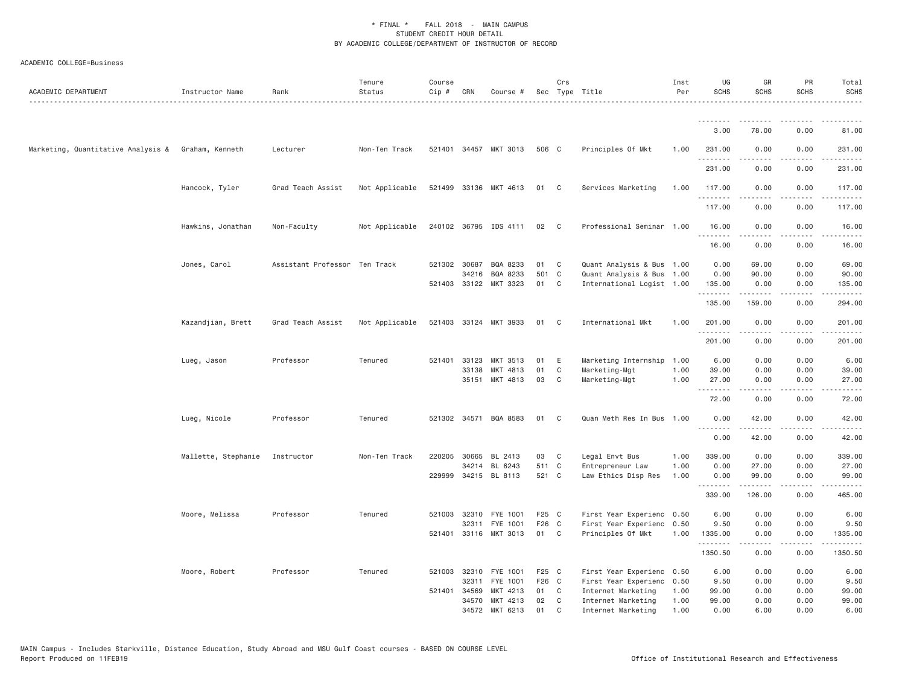| ACADEMIC DEPARTMENT                                | Instructor Name     | Rank                          | Tenure<br>Status | Course<br>Cip # | CRN          | Course #                   |          | Crs               | Sec Type Title                           | Inst<br>Per  | UG<br><b>SCHS</b> | GR<br><b>SCHS</b> | PR<br><b>SCHS</b>     | Total<br><b>SCHS</b> |
|----------------------------------------------------|---------------------|-------------------------------|------------------|-----------------|--------------|----------------------------|----------|-------------------|------------------------------------------|--------------|-------------------|-------------------|-----------------------|----------------------|
|                                                    |                     |                               |                  |                 |              |                            |          |                   |                                          |              | <u>.</u>          |                   | $\frac{1}{2}$         | . <u>.</u> .         |
|                                                    |                     |                               |                  |                 |              |                            |          |                   |                                          |              | 3,00              | 78.00             | 0.00                  | 81.00                |
| Marketing, Quantitative Analysis & Graham, Kenneth |                     | Lecturer                      | Non-Ten Track    |                 |              | 521401 34457 MKT 3013      | 506 C    |                   | Principles Of Mkt                        | 1.00         | 231.00<br>.       | 0.00              | 0.00<br>.             | 231.00<br>.          |
|                                                    |                     |                               |                  |                 |              |                            |          |                   |                                          |              | 231.00            | 0.00              | 0.00                  | 231.00               |
|                                                    | Hancock, Tyler      | Grad Teach Assist             | Not Applicable   |                 |              | 521499 33136 MKT 4613      | 01 C     |                   | Services Marketing                       | 1.00         | 117.00<br>.       | 0.00<br>.         | 0.00<br>$\frac{1}{2}$ | 117.00<br>.          |
|                                                    |                     |                               |                  |                 |              |                            |          |                   |                                          |              | 117.00            | 0.00              | 0.00                  | 117.00               |
|                                                    | Hawkins, Jonathan   | Non-Faculty                   | Not Applicable   |                 |              | 240102 36795 IDS 4111      | 02 C     |                   | Professional Seminar 1.00                |              | 16.00<br>.        | 0.00              | 0.00<br>.             | 16.00<br>.           |
|                                                    |                     |                               |                  |                 |              |                            |          |                   |                                          |              | 16.00             | 0.00              | 0.00                  | 16.00                |
|                                                    | Jones, Carol        | Assistant Professor Ten Track |                  |                 | 521302 30687 | BQA 8233                   | 01       | C                 | Quant Analysis & Bus 1.00                |              | 0.00              | 69.00             | 0.00                  | 69.00                |
|                                                    |                     |                               |                  |                 |              | 34216 BQA 8233             | 501 C    |                   | Quant Analysis & Bus 1.00                |              | 0.00              | 90.00             | 0.00                  | 90.00                |
|                                                    |                     |                               |                  |                 |              | 521403 33122 MKT 3323      | 01       | $\mathbf{C}$      | International Logist 1.00                |              | 135.00<br>.       | 0.00<br>.         | 0.00<br>.             | 135.00<br>.          |
|                                                    |                     |                               |                  |                 |              |                            |          |                   |                                          |              | 135.00            | 159.00            | 0.00                  | 294.00               |
|                                                    | Kazandjian, Brett   | Grad Teach Assist             | Not Applicable   |                 |              | 521403 33124 MKT 3933      | 01       | $\mathbf{C}$      | International Mkt                        | 1.00         | 201.00<br>.       | 0.00<br>.         | 0.00<br>$\frac{1}{2}$ | 201.00<br><u>.</u>   |
|                                                    |                     |                               |                  |                 |              |                            |          |                   |                                          |              | 201.00            | 0.00              | 0.00                  | 201.00               |
|                                                    | Lueg, Jason         | Professor                     | Tenured          |                 |              | 521401 33123 MKT 3513      | 01 E     |                   | Marketing Internship                     | 1.00         | 6.00              | 0.00              | 0.00                  | 6.00                 |
|                                                    |                     |                               |                  |                 | 33138        | MKT 4813                   | 01       | C                 | Marketing-Mgt                            | 1.00         | 39.00             | 0.00              | 0.00                  | 39.00                |
|                                                    |                     |                               |                  |                 |              | 35151 MKT 4813             | 03       | C                 | Marketing-Mgt                            | 1.00         | 27.00<br>.        | 0.00<br>.         | 0.00<br>$\frac{1}{2}$ | 27.00<br>$- - - - -$ |
|                                                    |                     |                               |                  |                 |              |                            |          |                   |                                          |              | 72.00             | 0.00              | 0.00                  | 72.00                |
|                                                    | Lueg, Nicole        | Professor                     | Tenured          |                 |              | 521302 34571 BQA 8583      | 01       | C <sub>1</sub>    | Quan Meth Res In Bus 1.00                |              | 0.00<br>.         | 42.00<br>.        | 0.00<br>$   -$        | 42.00<br>.           |
|                                                    |                     |                               |                  |                 |              |                            |          |                   |                                          |              | 0.00              | 42.00             | 0.00                  | 42.00                |
|                                                    | Mallette, Stephanie | Instructor                    | Non-Ten Track    | 220205          | 30665        | BL 2413                    | 03       | C                 | Legal Envt Bus                           | 1.00         | 339.00            | 0.00              | 0.00                  | 339.00               |
|                                                    |                     |                               |                  |                 |              | 34214 BL 6243              | 511 C    |                   | Entrepreneur Law                         | 1.00         | 0.00              | 27.00             | 0.00                  | 27.00                |
|                                                    |                     |                               |                  |                 |              | 229999 34215 BL 8113       | 521 C    |                   | Law Ethics Disp Res                      | 1.00         | 0.00<br>.         | 99.00             | 0.00<br>.             | 99.00<br>.           |
|                                                    |                     |                               |                  |                 |              |                            |          |                   |                                          |              | 339.00            | 126.00            | 0.00                  | 465.00               |
|                                                    | Moore, Melissa      | Professor                     | Tenured          | 521003          | 32310        | FYE 1001                   | F25 C    |                   | First Year Experienc 0.50                |              | 6.00              | 0.00              | 0.00                  | 6.00                 |
|                                                    |                     |                               |                  |                 | 32311        | FYE 1001                   | F26 C    |                   | First Year Experienc                     | 0.50         | 9.50              | 0.00              | 0.00                  | 9.50                 |
|                                                    |                     |                               |                  |                 |              | 521401 33116 MKT 3013      | 01 C     |                   | Principles Of Mkt                        | 1.00         | 1335.00<br>.      | 0.00<br>-----     | 0.00<br>.             | 1335.00<br>.         |
|                                                    |                     |                               |                  |                 |              |                            |          |                   |                                          |              | 1350.50           | 0.00              | 0.00                  | 1350.50              |
|                                                    | Moore, Robert       | Professor                     | Tenured          | 521003          |              | 32310 FYE 1001             | F25 C    |                   | First Year Experienc 0.50                |              | 6.00              | 0.00              | 0.00                  | 6.00                 |
|                                                    |                     |                               |                  |                 | 32311        | FYE 1001                   | F26 C    |                   | First Year Experienc 0.50                |              | 9.50              | 0.00              | 0.00                  | 9.50                 |
|                                                    |                     |                               |                  | 521401 34569    |              | MKT 4213                   | 01       | $\mathbf{C}$      | Internet Marketing                       | 1.00         | 99.00             | 0.00              | 0.00                  | 99.00                |
|                                                    |                     |                               |                  |                 | 34570        | MKT 4213<br>34572 MKT 6213 | 02<br>01 | C<br>$\mathsf{C}$ | Internet Marketing<br>Internet Marketing | 1.00<br>1.00 | 99.00<br>0.00     | 0.00<br>6.00      | 0.00<br>0.00          | 99.00<br>6.00        |
|                                                    |                     |                               |                  |                 |              |                            |          |                   |                                          |              |                   |                   |                       |                      |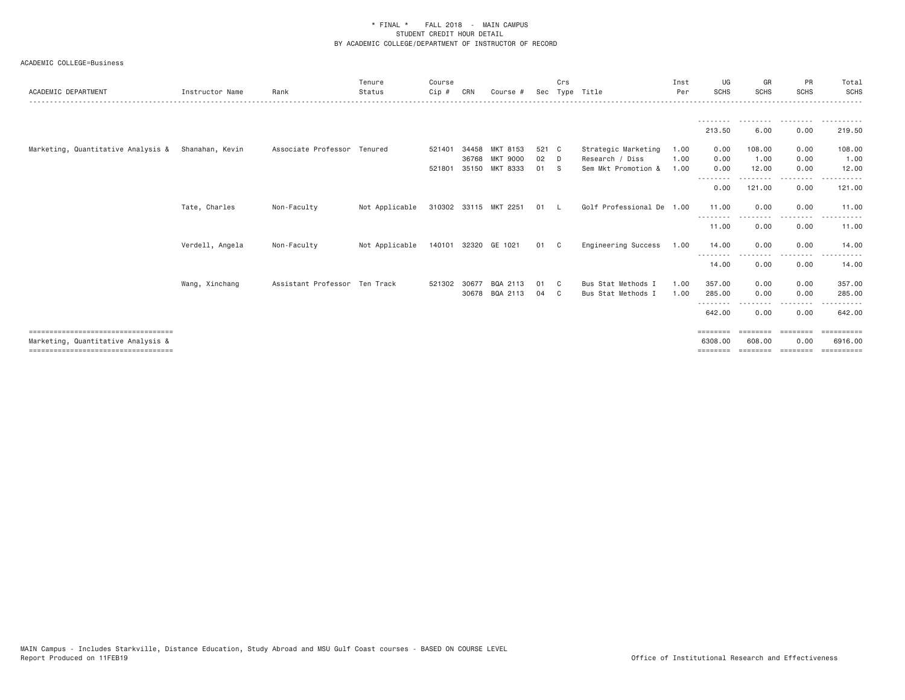| ACADEMIC DEPARTMENT                                                                                                  | Instructor Name | Rank                          | Tenure<br>Status | Course<br>$Cip$ # | CRN            | Course #                    |             | Crs | Sec Type Title                           | Inst<br>Per  | UG<br><b>SCHS</b>               | GR<br><b>SCHS</b>              | <b>PR</b><br><b>SCHS</b> | Total<br><b>SCHS</b>                      |
|----------------------------------------------------------------------------------------------------------------------|-----------------|-------------------------------|------------------|-------------------|----------------|-----------------------------|-------------|-----|------------------------------------------|--------------|---------------------------------|--------------------------------|--------------------------|-------------------------------------------|
|                                                                                                                      |                 |                               |                  |                   |                |                             |             |     |                                          |              | 213.50                          | 6.00                           | 0.00                     | 219.50                                    |
| Marketing, Quantitative Analysis &                                                                                   | Shanahan, Kevin | Associate Professor Tenured   |                  | 521401            | 34458<br>36768 | MKT 8153<br><b>MKT 9000</b> | 521 C<br>02 | D   | Strategic Marketing<br>Research / Diss   | 1.00<br>1.00 | 0.00<br>0.00                    | 108.00<br>1.00                 | 0.00<br>0.00             | 108.00<br>1.00                            |
|                                                                                                                      |                 |                               |                  | 521801            |                | 35150 MKT 8333              | 01          | - S | Sem Mkt Promotion &                      | 1,00         | 0.00                            | 12.00                          | 0.00                     | 12.00                                     |
|                                                                                                                      |                 |                               |                  |                   |                |                             |             |     |                                          |              | --------<br>0.00                | 121.00                         | --------<br>0.00         | 121.00                                    |
|                                                                                                                      | Tate, Charles   | Non-Faculty                   | Not Applicable   |                   |                | 310302 33115 MKT 2251       | 01          |     | Golf Professional De 1.00                |              | 11.00<br>- - - - - - - -        | 0.00                           | 0.00                     | 11.00                                     |
|                                                                                                                      |                 |                               |                  |                   |                |                             |             |     |                                          |              | 11.00                           | 0.00                           | 0.00                     | 11.00                                     |
|                                                                                                                      | Verdell, Angela | Non-Faculty                   | Not Applicable   | 140101            |                | 32320 GE 1021               | 01          | - C | Engineering Success                      | 1.00         | 14.00<br>--------               | 0.00                           | 0.00<br>.                | 14.00                                     |
|                                                                                                                      |                 |                               |                  |                   |                |                             |             |     |                                          |              | 14.00                           | 0.00                           | 0.00                     | 14.00                                     |
|                                                                                                                      | Wang, Xinchang  | Assistant Professor Ten Track |                  | 521302            | 30677<br>30678 | BQA 2113<br>BQA 2113        | 01<br>04    | C.  | Bus Stat Methods I<br>Bus Stat Methods I | 1,00<br>1.00 | 357.00<br>285.00                | 0.00<br>0.00                   | 0.00<br>0.00             | 357.00<br>285.00                          |
|                                                                                                                      |                 |                               |                  |                   |                |                             |             |     |                                          |              | - - - - - - - -                 |                                | --------                 | - - - - - - -                             |
|                                                                                                                      |                 |                               |                  |                   |                |                             |             |     |                                          |              | 642.00                          | 0.00                           | 0.00                     | 642,00                                    |
| =====================================<br>Marketing, Quantitative Analysis &<br>===================================== |                 |                               |                  |                   |                |                             |             |     |                                          |              | ========<br>6308,00<br>======== | ========<br>608,00<br>======== | 0.00<br>---------        | <b>EEEEEEEEE</b><br>6916,00<br>========== |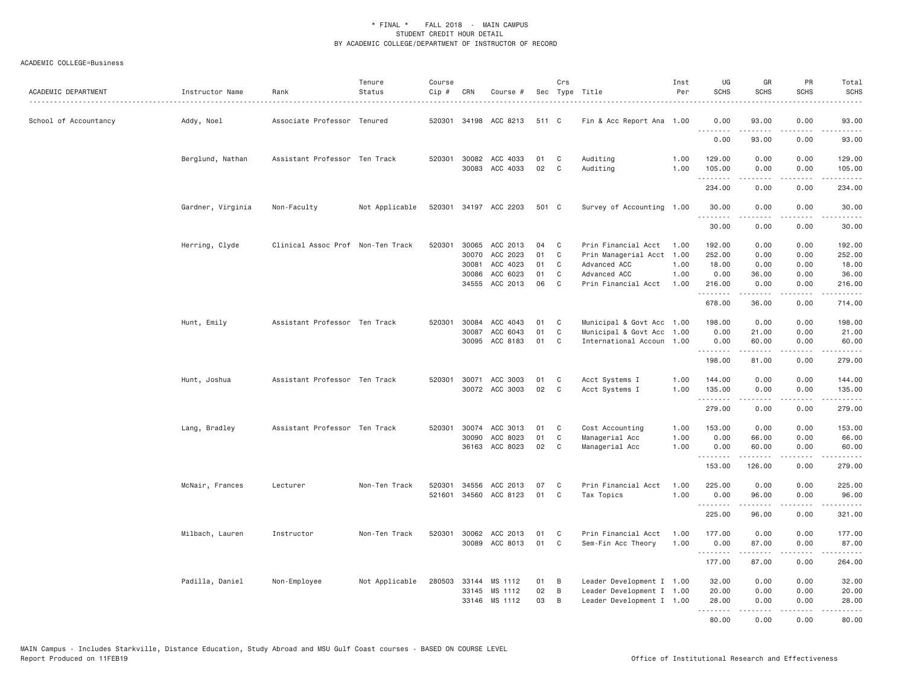| ACADEMIC DEPARTMENT   | Instructor Name   | Rank                              | Tenure<br>Status | Course<br>Cip # | CRN   | Course #                                |          | Crs          | Sec Type Title            | Inst<br>Per  | UG<br><b>SCHS</b>  | GR<br><b>SCHS</b> | PR<br><b>SCHS</b>                   | Total<br><b>SCHS</b>                                                                                                                                                                      |
|-----------------------|-------------------|-----------------------------------|------------------|-----------------|-------|-----------------------------------------|----------|--------------|---------------------------|--------------|--------------------|-------------------|-------------------------------------|-------------------------------------------------------------------------------------------------------------------------------------------------------------------------------------------|
| School of Accountancy | Addy, Noel        | Associate Professor Tenured       |                  | 520301          |       | 34198 ACC 8213                          | 511 C    |              | Fin & Acc Report Ana 1.00 |              | 0.00               | 93.00<br>.        | 0.00<br>.                           | 93.00<br>.                                                                                                                                                                                |
|                       |                   |                                   |                  |                 |       |                                         |          |              |                           |              | 0.00               | 93.00             | 0.00                                | 93.00                                                                                                                                                                                     |
|                       | Berglund, Nathan  | Assistant Professor Ten Track     |                  |                 |       | 520301 30082 ACC 4033<br>30083 ACC 4033 | 01<br>02 | C<br>C       | Auditing<br>Auditing      | 1.00<br>1.00 | 129.00<br>105.00   | 0.00<br>0.00      | 0.00<br>0.00                        | 129.00<br>105.00                                                                                                                                                                          |
|                       |                   |                                   |                  |                 |       |                                         |          |              |                           |              | .<br>234.00        | .<br>0.00         | .<br>0.00                           | .<br>234.00                                                                                                                                                                               |
|                       | Gardner, Virginia | Non-Faculty                       | Not Applicable   |                 |       | 520301 34197 ACC 2203                   | 501 C    |              | Survey of Accounting 1.00 |              | 30.00              | 0.00              | 0.00                                | 30.00                                                                                                                                                                                     |
|                       |                   |                                   |                  |                 |       |                                         |          |              |                           |              | <u>.</u><br>30.00  | 0.00              | 0.00                                | .<br>30.00                                                                                                                                                                                |
|                       | Herring, Clyde    | Clinical Assoc Prof Non-Ten Track |                  | 520301          |       | 30065 ACC 2013                          | 04       | C            | Prin Financial Acct 1.00  |              | 192.00             | 0.00              | 0.00                                | 192.00                                                                                                                                                                                    |
|                       |                   |                                   |                  |                 |       | 30070 ACC 2023                          | 01       | $\mathbb C$  | Prin Managerial Acct 1.00 |              | 252.00             | 0.00              | 0.00                                | 252.00                                                                                                                                                                                    |
|                       |                   |                                   |                  |                 | 30081 | ACC 4023                                | 01       | C            | Advanced ACC              | 1.00         | 18.00              | 0.00              | 0.00                                | 18.00                                                                                                                                                                                     |
|                       |                   |                                   |                  |                 | 30086 | ACC 6023                                | 01       | C            | Advanced ACC              | 1.00         | 0.00               | 36.00             | 0.00                                | 36.00                                                                                                                                                                                     |
|                       |                   |                                   |                  |                 |       | 34555 ACC 2013                          | 06       | C            | Prin Financial Acct       | 1.00         | 216.00<br><u>.</u> | 0.00<br>.         | 0.00<br>.                           | 216.00<br>.                                                                                                                                                                               |
|                       |                   |                                   |                  |                 |       |                                         |          |              |                           |              | 678.00             | 36.00             | 0.00                                | 714.00                                                                                                                                                                                    |
|                       | Hunt, Emily       | Assistant Professor Ten Track     |                  | 520301          | 30084 | ACC 4043                                | 01       | C            | Municipal & Govt Acc 1.00 |              | 198.00             | 0.00              | 0.00                                | 198.00                                                                                                                                                                                    |
|                       |                   |                                   |                  |                 | 30087 | ACC 6043                                | 01       | C            | Municipal & Govt Acc      | 1.00         | 0.00               | 21.00             | 0.00                                | 21.00                                                                                                                                                                                     |
|                       |                   |                                   |                  |                 |       | 30095 ACC 8183                          | 01       | C            | International Accoun 1.00 |              | 0.00<br>.          | 60.00<br>.        | 0.00<br>$\sim$ $\sim$ $\sim$ $\sim$ | 60.00<br>.                                                                                                                                                                                |
|                       |                   |                                   |                  |                 |       |                                         |          |              |                           |              | 198.00             | 81.00             | 0.00                                | 279.00                                                                                                                                                                                    |
|                       | Hunt, Joshua      | Assistant Professor Ten Track     |                  | 520301          |       | 30071 ACC 3003                          | 01       | C            | Acct Systems I            | 1.00         | 144.00             | 0.00              | 0.00                                | 144.00                                                                                                                                                                                    |
|                       |                   |                                   |                  |                 |       | 30072 ACC 3003                          | 02       | $\mathbf{C}$ | Acct Systems I            | 1.00         | 135.00             | 0.00              | 0.00                                | 135.00                                                                                                                                                                                    |
|                       |                   |                                   |                  |                 |       |                                         |          |              |                           |              | <u>.</u>           | <u>.</u>          | .                                   | .                                                                                                                                                                                         |
|                       |                   |                                   |                  |                 |       |                                         |          |              |                           |              | 279.00             | 0.00              | 0.00                                | 279.00                                                                                                                                                                                    |
|                       | Lang, Bradley     | Assistant Professor Ten Track     |                  | 520301          | 30074 | ACC 3013                                | 01       | C            | Cost Accounting           | 1.00         | 153,00             | 0.00              | 0.00                                | 153.00                                                                                                                                                                                    |
|                       |                   |                                   |                  |                 |       | 30090 ACC 8023                          | 01       | C            | Managerial Acc            | 1.00         | 0.00               | 66.00             | 0.00                                | 66.00                                                                                                                                                                                     |
|                       |                   |                                   |                  |                 |       | 36163 ACC 8023                          | 02       | C            | Managerial Acc            | 1.00         | 0.00<br>.          | 60.00<br>.        | 0.00<br>.                           | 60.00<br>.                                                                                                                                                                                |
|                       |                   |                                   |                  |                 |       |                                         |          |              |                           |              | 153.00             | 126.00            | 0.00                                | 279.00                                                                                                                                                                                    |
|                       | McNair, Frances   | Lecturer                          | Non-Ten Track    | 520301          | 34556 | ACC 2013                                | 07       | C            | Prin Financial Acct       | 1.00         | 225.00             | 0.00              | 0.00                                | 225.00                                                                                                                                                                                    |
|                       |                   |                                   |                  | 521601          |       | 34560 ACC 8123                          | 01       | $\mathsf{C}$ | Tax Topics                | 1.00         | 0.00               | 96.00             | 0.00                                | 96.00                                                                                                                                                                                     |
|                       |                   |                                   |                  |                 |       |                                         |          |              |                           |              | .<br>225.00        | .<br>96.00        | د د د د<br>0.00                     | $\frac{1}{2} \left( \frac{1}{2} \right) \left( \frac{1}{2} \right) \left( \frac{1}{2} \right) \left( \frac{1}{2} \right) \left( \frac{1}{2} \right) \left( \frac{1}{2} \right)$<br>321.00 |
|                       | Milbach, Lauren   | Instructor                        | Non-Ten Track    | 520301          |       | 30062 ACC 2013                          | 01       | C            | Prin Financial Acct       | 1.00         | 177.00             | 0.00              | 0.00                                | 177.00                                                                                                                                                                                    |
|                       |                   |                                   |                  |                 |       | 30089 ACC 8013                          | 01       | C            | Sem-Fin Acc Theory        | 1.00         | 0.00               | 87.00             | 0.00                                | 87.00                                                                                                                                                                                     |
|                       |                   |                                   |                  |                 |       |                                         |          |              |                           |              |                    | .                 | .                                   | $\frac{1}{2} \left( \frac{1}{2} \right) \left( \frac{1}{2} \right) \left( \frac{1}{2} \right) \left( \frac{1}{2} \right) \left( \frac{1}{2} \right) \left( \frac{1}{2} \right)$           |
|                       |                   |                                   |                  |                 |       |                                         |          |              |                           |              | 177.00             | 87.00             | 0.00                                | 264.00                                                                                                                                                                                    |
|                       | Padilla, Daniel   | Non-Employee                      | Not Applicable   | 280503          |       | 33144 MS 1112                           | 01       | B            | Leader Development I 1.00 |              | 32.00              | 0.00              | 0.00                                | 32.00                                                                                                                                                                                     |
|                       |                   |                                   |                  |                 |       | 33145 MS 1112                           | 02       | $\,$ B       | Leader Development I 1.00 |              | 20.00              | 0.00              | 0.00                                | 20.00                                                                                                                                                                                     |
|                       |                   |                                   |                  |                 |       | 33146 MS 1112                           | 03       | B            | Leader Development I 1.00 |              | 28.00              | 0.00              | 0.00                                | 28.00                                                                                                                                                                                     |
|                       |                   |                                   |                  |                 |       |                                         |          |              |                           |              | 80,00              | <u>.</u><br>0.00  | .<br>0.00                           | .<br>80,00                                                                                                                                                                                |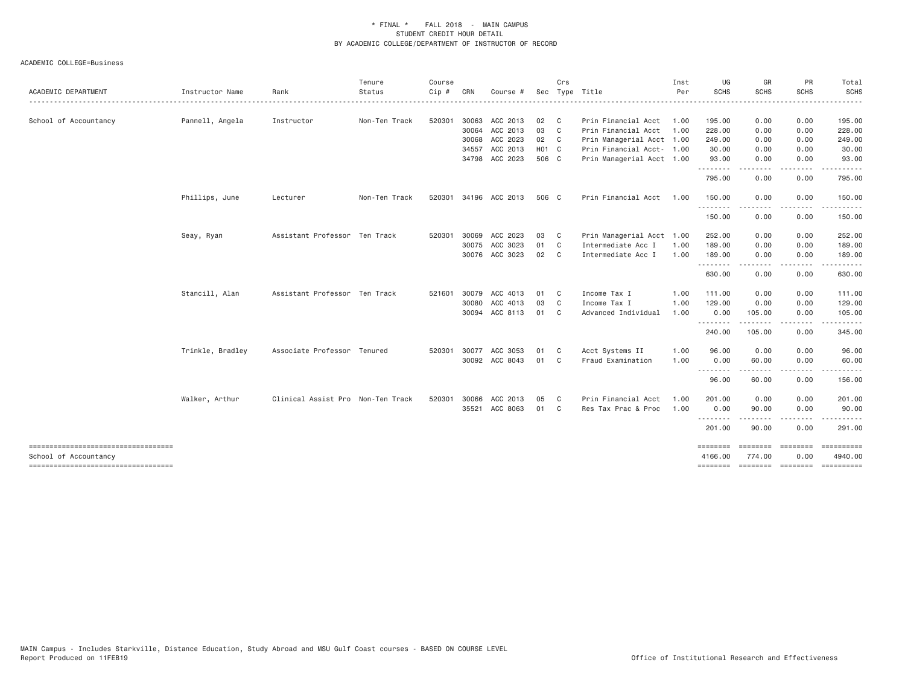| ACADEMIC DEPARTMENT                  | Instructor Name  | Rank                              | Tenure<br>Status | Course<br>Cip # | CRN   | Course #              |                    | Crs            | Sec Type Title            | Inst<br>Per | UG<br><b>SCHS</b>            | GR<br><b>SCHS</b>    | PR<br><b>SCHS</b>                                                                                                                 | Total<br><b>SCHS</b>  |
|--------------------------------------|------------------|-----------------------------------|------------------|-----------------|-------|-----------------------|--------------------|----------------|---------------------------|-------------|------------------------------|----------------------|-----------------------------------------------------------------------------------------------------------------------------------|-----------------------|
| School of Accountancy                | Pannell, Angela  | Instructor                        | Non-Ten Track    | 520301          | 30063 | ACC 2013              | 02 C               |                | Prin Financial Acct       | 1.00        | 195.00                       | 0.00                 | 0.00                                                                                                                              | .<br>195.00           |
|                                      |                  |                                   |                  |                 |       | 30064 ACC 2013        | 03 C               |                | Prin Financial Acct       | 1.00        | 228.00                       | 0.00                 | 0.00                                                                                                                              | 228.00                |
|                                      |                  |                                   |                  |                 | 30068 | ACC 2023              | 02 C               |                | Prin Managerial Acct 1.00 |             | 249.00                       | 0.00                 | 0.00                                                                                                                              | 249.00                |
|                                      |                  |                                   |                  |                 | 34557 | ACC 2013              | H <sub>0</sub> 1 C |                | Prin Financial Acct- 1.00 |             | 30.00                        | 0.00                 | 0.00                                                                                                                              | 30.00                 |
|                                      |                  |                                   |                  |                 |       | 34798 ACC 2023        | 506 C              |                | Prin Managerial Acct 1.00 |             | 93.00<br>.                   | 0.00                 | 0.00                                                                                                                              | 93.00                 |
|                                      |                  |                                   |                  |                 |       |                       |                    |                |                           |             | 795.00                       | 0.00                 | 0.00                                                                                                                              | 795.00                |
|                                      | Phillips, June   | Lecturer                          | Non-Ten Track    |                 |       | 520301 34196 ACC 2013 | 506 C              |                | Prin Financial Acct       | 1.00        | 150.00                       | 0.00                 | 0.00                                                                                                                              | 150.00                |
|                                      |                  |                                   |                  |                 |       |                       |                    |                |                           |             | .<br>150.00                  | 0.00                 | 0.00                                                                                                                              | 150.00                |
|                                      | Seay, Ryan       | Assistant Professor Ten Track     |                  | 520301          | 30069 | ACC 2023              | 03                 | $\mathbf{C}$   | Prin Managerial Acct 1.00 |             | 252.00                       | 0.00                 | 0.00                                                                                                                              | 252.00                |
|                                      |                  |                                   |                  |                 | 30075 | ACC 3023              | 01                 | $\mathbf{C}$   | Intermediate Acc I        | 1.00        | 189.00                       | 0.00                 | 0.00                                                                                                                              | 189.00                |
|                                      |                  |                                   |                  |                 |       | 30076 ACC 3023        | 02 C               |                | Intermediate Acc I        | 1.00        | 189.00<br>.                  | 0.00<br>. <u>.</u> . | 0.00<br>.                                                                                                                         | 189.00<br>.           |
|                                      |                  |                                   |                  |                 |       |                       |                    |                |                           |             | 630.00                       | 0.00                 | 0.00                                                                                                                              | 630.00                |
|                                      | Stancill, Alan   | Assistant Professor Ten Track     |                  | 521601          | 30079 | ACC 4013              | 01                 | $\mathbf{C}$   | Income Tax I              | 1.00        | 111,00                       | 0.00                 | 0.00                                                                                                                              | 111.00                |
|                                      |                  |                                   |                  |                 | 30080 | ACC 4013              | 03                 | $\mathbf{C}$   | Income Tax I              | 1.00        | 129.00                       | 0.00                 | 0.00                                                                                                                              | 129.00                |
|                                      |                  |                                   |                  |                 |       | 30094 ACC 8113        | 01                 | $\mathbf{C}$   | Advanced Individual       | 1.00        | 0.00<br><u>.</u>             | 105.00<br>------     | 0.00<br>.                                                                                                                         | 105.00                |
|                                      |                  |                                   |                  |                 |       |                       |                    |                |                           |             | 240.00                       | 105.00               | 0.00                                                                                                                              | 345.00                |
|                                      | Trinkle, Bradley | Associate Professor Tenured       |                  | 520301          | 30077 | ACC 3053              | 01                 | C.             | Acct Systems II           | 1.00        | 96.00                        | 0.00                 | 0.00                                                                                                                              | 96.00                 |
|                                      |                  |                                   |                  |                 |       | 30092 ACC 8043        | 01                 | $\mathbf{C}$   | Fraud Examination         | 1.00        | 0.00<br>.                    | 60.00<br>------      | 0.00<br>.                                                                                                                         | 60.00<br>.            |
|                                      |                  |                                   |                  |                 |       |                       |                    |                |                           |             | 96.00                        | 60.00                | 0.00                                                                                                                              | 156.00                |
|                                      | Walker, Arthur   | Clinical Assist Pro Non-Ten Track |                  | 520301          | 30066 | ACC 2013              | 05                 | C <sub>1</sub> | Prin Financial Acct       | 1.00        | 201.00                       | 0.00                 | 0.00                                                                                                                              | 201.00                |
|                                      |                  |                                   |                  |                 | 35521 | ACC 8063              | 01                 | $\mathbf{C}$   | Res Tax Prac & Proc       | 1.00        | 0.00<br>.                    | 90.00<br>$- - - - -$ | 0.00<br>$\frac{1}{2} \left( \frac{1}{2} \right) \left( \frac{1}{2} \right) \left( \frac{1}{2} \right) \left( \frac{1}{2} \right)$ | 90.00                 |
|                                      |                  |                                   |                  |                 |       |                       |                    |                |                           |             | 201.00                       | 90.00                | 0.00                                                                                                                              | 291.00                |
| School of Accountancy                |                  |                                   |                  |                 |       |                       |                    |                |                           |             | $=$ = = = = = = =<br>4166.00 | ---------<br>774.00  | ========<br>0.00                                                                                                                  | ==========<br>4940.00 |
| ------------------------------------ |                  |                                   |                  |                 |       |                       |                    |                |                           |             | ========                     |                      | =================                                                                                                                 | ==========            |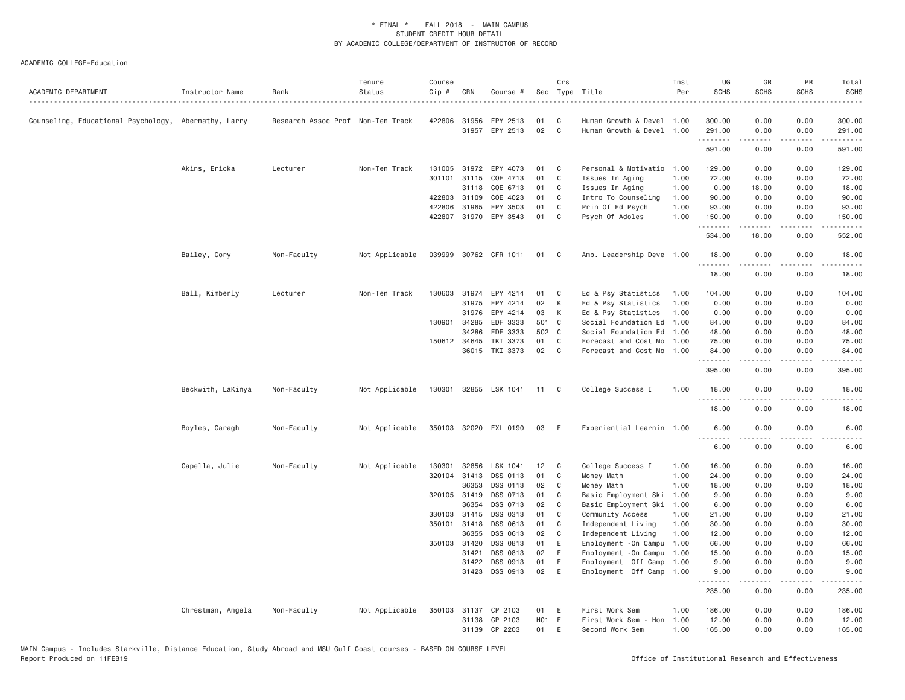| ACADEMIC DEPARTMENT                                  | Instructor Name   | Rank                              | Tenure<br>Status | Course<br>$Cip \#$ | CRN          | Course #                 |       | Crs            | Sec Type Title            | Inst<br>Per | UG<br><b>SCHS</b> | GR<br><b>SCHS</b>                                                                                                                                            | PR<br><b>SCHS</b> | Total<br><b>SCHS</b>    |
|------------------------------------------------------|-------------------|-----------------------------------|------------------|--------------------|--------------|--------------------------|-------|----------------|---------------------------|-------------|-------------------|--------------------------------------------------------------------------------------------------------------------------------------------------------------|-------------------|-------------------------|
| Counseling, Educational Psychology, Abernathy, Larry |                   | Research Assoc Prof Non-Ten Track |                  | 422806             | 31956        | EPY 2513                 | 01    | C              | Human Growth & Devel 1.00 |             | 300.00            | 0.00                                                                                                                                                         | 0.00              | 300.00                  |
|                                                      |                   |                                   |                  |                    |              | 31957 EPY 2513           | 02    | $\mathsf{C}$   | Human Growth & Devel 1.00 |             | 291.00            | 0.00                                                                                                                                                         | 0.00              | 291.00                  |
|                                                      |                   |                                   |                  |                    |              |                          |       |                |                           |             | .<br>591.00       | <u>.</u><br>0.00                                                                                                                                             | .<br>0.00         | .<br>591.00             |
|                                                      | Akins, Ericka     | Lecturer                          | Non-Ten Track    | 131005             | 31972        | EPY 4073                 | 01    | C              | Personal & Motivatio      | 1.00        | 129.00            | 0.00                                                                                                                                                         | 0.00              | 129.00                  |
|                                                      |                   |                                   |                  | 301101             | 31115        | COE 4713                 | 01    | C              | Issues In Aging           | 1.00        | 72.00             | 0.00                                                                                                                                                         | 0.00              | 72.00                   |
|                                                      |                   |                                   |                  |                    | 31118        | COE 6713                 | 01    | C              | Issues In Aging           | 1.00        | 0.00              | 18.00                                                                                                                                                        | 0.00              | 18.00                   |
|                                                      |                   |                                   |                  |                    | 422803 31109 | COE 4023                 | 01    | C              | Intro To Counseling       | 1.00        | 90.00             | 0.00                                                                                                                                                         | 0.00              | 90.00                   |
|                                                      |                   |                                   |                  | 422806             | 31965        | EPY 3503                 | 01    | C              | Prin Of Ed Psych          | 1.00        | 93.00             | 0.00                                                                                                                                                         | 0.00              | 93.00                   |
|                                                      |                   |                                   |                  |                    |              | 422807 31970 EPY 3543    | 01    | C              | Psych Of Adoles           | 1.00        | 150.00            | 0.00                                                                                                                                                         | 0.00              | 150.00                  |
|                                                      |                   |                                   |                  |                    |              |                          |       |                |                           |             | .<br>534.00       | $\frac{1}{2}$<br>18.00                                                                                                                                       | .<br>0.00         | .<br>552.00             |
|                                                      | Bailey, Cory      | Non-Faculty                       | Not Applicable   |                    |              | 039999 30762 CFR 1011    | 01    | C <sub>1</sub> | Amb. Leadership Deve 1.00 |             | 18.00<br>.        | 0.00                                                                                                                                                         | 0.00              | 18.00                   |
|                                                      |                   |                                   |                  |                    |              |                          |       |                |                           |             | 18.00             | 0.00                                                                                                                                                         | 0.00              | 18.00                   |
|                                                      | Ball, Kimberly    | Lecturer                          | Non-Ten Track    |                    | 130603 31974 | EPY 4214                 | 01    | C              | Ed & Psy Statistics       | 1.00        | 104.00            | 0.00                                                                                                                                                         | 0.00              | 104.00                  |
|                                                      |                   |                                   |                  |                    | 31975        | EPY 4214                 | 02    | К              | Ed & Psy Statistics       | 1.00        | 0.00              | 0.00                                                                                                                                                         | 0.00              | 0.00                    |
|                                                      |                   |                                   |                  |                    | 31976        | EPY 4214                 | 03    | К              | Ed & Psy Statistics       | 1.00        | 0.00              | 0.00                                                                                                                                                         | 0.00              | 0.00                    |
|                                                      |                   |                                   |                  |                    | 130901 34285 | EDF 3333                 | 501 C |                | Social Foundation Ed      | 1.00        | 84.00             | 0.00                                                                                                                                                         | 0.00              | 84.00                   |
|                                                      |                   |                                   |                  |                    | 34286        | EDF 3333                 | 502 C |                | Social Foundation Ed      | 1.00        | 48.00             | 0.00                                                                                                                                                         | 0.00              | 48.00                   |
|                                                      |                   |                                   |                  |                    | 150612 34645 | TKI 3373                 | 01    | C              | Forecast and Cost Mo      | 1.00        | 75.00             | 0.00                                                                                                                                                         | 0.00              | 75.00                   |
|                                                      |                   |                                   |                  |                    | 36015        | TKI 3373                 | 02    | $\mathbf{C}$   | Forecast and Cost Mo      | 1.00        | 84.00             | 0.00                                                                                                                                                         | 0.00              | 84.00                   |
|                                                      |                   |                                   |                  |                    |              |                          |       |                |                           |             | .<br>395.00       | $\frac{1}{2} \left( \frac{1}{2} \right) \left( \frac{1}{2} \right) \left( \frac{1}{2} \right) \left( \frac{1}{2} \right) \left( \frac{1}{2} \right)$<br>0.00 | .<br>0.00         | .<br>395.00             |
|                                                      | Beckwith, LaKinya | Non-Faculty                       | Not Applicable   |                    |              | 130301 32855 LSK 1041 11 |       | $\mathbf{C}$   | College Success I         | 1.00        | 18.00             | 0.00                                                                                                                                                         | 0.00              | 18.00                   |
|                                                      |                   |                                   |                  |                    |              |                          |       |                |                           |             | .<br>18.00        | .<br>0.00                                                                                                                                                    | 0.00              | .<br>18.00              |
|                                                      | Boyles, Caragh    | Non-Faculty                       | Not Applicable   |                    |              | 350103 32020 EXL 0190    | 03    | E              | Experiential Learnin 1.00 |             | 6.00<br>.         | 0.00                                                                                                                                                         | 0.00              | 6.00                    |
|                                                      |                   |                                   |                  |                    |              |                          |       |                |                           |             | 6.00              | 0.00                                                                                                                                                         | 0.00              | 6.00                    |
|                                                      | Capella, Julie    | Non-Faculty                       | Not Applicable   | 130301             | 32856        | LSK 1041                 | 12    | C              | College Success I         | 1.00        | 16.00             | 0.00                                                                                                                                                         | 0.00              | 16.00                   |
|                                                      |                   |                                   |                  | 320104             | 31413        | DSS 0113                 | 01    | C              | Money Math                | 1.00        | 24.00             | 0.00                                                                                                                                                         | 0.00              | 24.00                   |
|                                                      |                   |                                   |                  |                    | 36353        | DSS 0113                 | 02    | C              | Money Math                | 1.00        | 18.00             | 0.00                                                                                                                                                         | 0.00              | 18.00                   |
|                                                      |                   |                                   |                  |                    | 320105 31419 | DSS 0713                 | 01    | C              | Basic Employment Ski      | 1.00        | 9.00              | 0.00                                                                                                                                                         | 0.00              | 9.00                    |
|                                                      |                   |                                   |                  |                    | 36354        | DSS 0713                 | 02    | C              | Basic Employment Ski      | 1.00        | 6.00              | 0.00                                                                                                                                                         | 0.00              | 6.00                    |
|                                                      |                   |                                   |                  |                    | 330103 31415 | DSS 0313                 | 01    | C              | Community Access          | 1.00        | 21.00             | 0.00                                                                                                                                                         | 0.00              | 21.00                   |
|                                                      |                   |                                   |                  |                    | 350101 31418 | DSS 0613                 | 01    | C              | Independent Living        | 1.00        | 30.00             | 0.00                                                                                                                                                         | 0.00              | 30.00                   |
|                                                      |                   |                                   |                  |                    | 36355        | DSS 0613                 | 02    | $\mathsf{C}$   | Independent Living        | 1.00        | 12.00             | 0.00                                                                                                                                                         | 0.00              | 12.00                   |
|                                                      |                   |                                   |                  | 350103 31420       |              | DSS 0813                 | 01    | E              | Employment - On Campu     | 1.00        | 66.00             | 0.00                                                                                                                                                         | 0.00              | 66.00                   |
|                                                      |                   |                                   |                  |                    | 31421        | DSS 0813                 | 02    | E              | Employment - On Campu     | 1.00        | 15.00             | 0.00                                                                                                                                                         | 0.00              | 15.00                   |
|                                                      |                   |                                   |                  |                    | 31422        | DSS 0913                 | 01    | E              | Employment Off Camp       | 1.00        | 9.00              | 0.00                                                                                                                                                         | 0.00              | 9.00                    |
|                                                      |                   |                                   |                  |                    | 31423        | DSS 0913                 | 02    | E              | Employment Off Camp 1.00  |             | 9.00<br>.         | 0.00<br>.                                                                                                                                                    | 0.00<br>.         | 9.00<br>$- - - - - - -$ |
|                                                      |                   |                                   |                  |                    |              |                          |       |                |                           |             | 235.00            | 0.00                                                                                                                                                         | 0.00              | 235.00                  |
|                                                      | Chrestman, Angela | Non-Faculty                       | Not Applicable   | 350103             | 31137        | CP 2103                  | 01    | E              | First Work Sem            | 1.00        | 186.00            | 0.00                                                                                                                                                         | 0.00              | 186.00                  |
|                                                      |                   |                                   |                  |                    |              | 31138 CP 2103            | HO1 E |                | First Work Sem - Hon      | 1.00        | 12,00             | 0.00                                                                                                                                                         | 0.00              | 12.00                   |
|                                                      |                   |                                   |                  |                    | 31139        | CP 2203                  | 01    | E              | Second Work Sem           | 1,00        | 165.00            | 0.00                                                                                                                                                         | 0.00              | 165.00                  |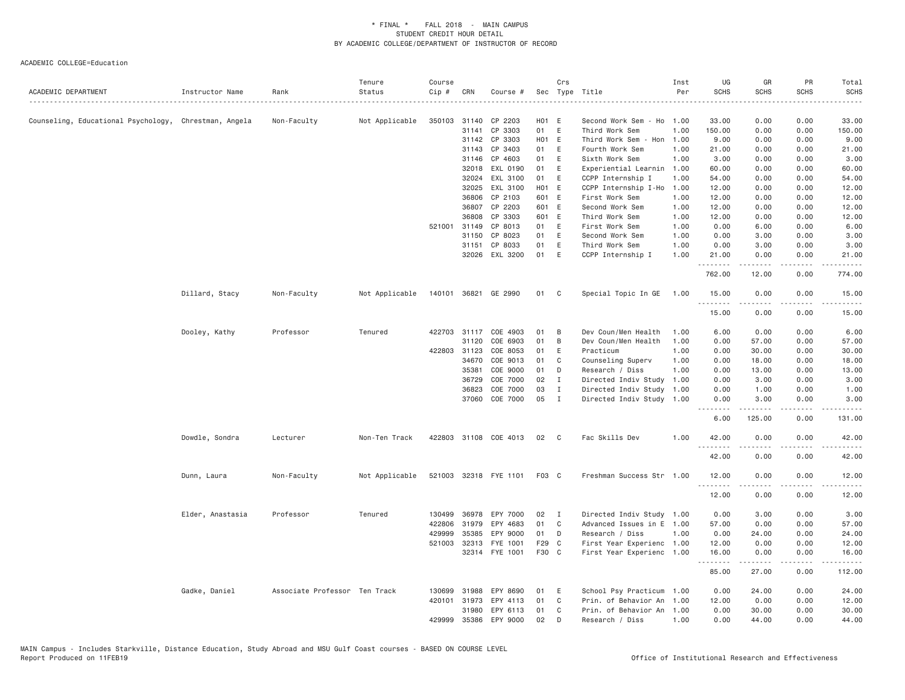| ACADEMIC DEPARTMENT                                   | Instructor Name  | Rank                          | Tenure<br>Status | Course<br>Cip # | CRN          | Course #              |       | Crs          | Sec Type Title            | Inst<br>Per | UG<br><b>SCHS</b> | GR<br><b>SCHS</b>   | PR<br><b>SCHS</b>     | Total<br><b>SCHS</b>                                                                                                                                         |
|-------------------------------------------------------|------------------|-------------------------------|------------------|-----------------|--------------|-----------------------|-------|--------------|---------------------------|-------------|-------------------|---------------------|-----------------------|--------------------------------------------------------------------------------------------------------------------------------------------------------------|
| Counseling, Educational Psychology, Chrestman, Angela |                  | Non-Faculty                   | Not Applicable   | 350103          |              | 31140 CP 2203         | HO1 E |              | Second Work Sem - Ho      | 1.00        | 33.00             | 0.00                | 0.00                  | 33.00                                                                                                                                                        |
|                                                       |                  |                               |                  |                 | 31141        | CP 3303               | 01 E  |              | Third Work Sem            | 1.00        | 150.00            | 0.00                | 0.00                  | 150.00                                                                                                                                                       |
|                                                       |                  |                               |                  |                 |              | 31142 CP 3303         | H01 E |              | Third Work Sem - Hon      | 1.00        | 9.00              | 0.00                | 0.00                  | 9.00                                                                                                                                                         |
|                                                       |                  |                               |                  |                 | 31143        | CP 3403               | 01    | E            | Fourth Work Sem           | 1.00        | 21.00             | 0.00                | 0.00                  | 21.00                                                                                                                                                        |
|                                                       |                  |                               |                  |                 | 31146        | CP 4603               | 01    | E            | Sixth Work Sem            | 1.00        | 3.00              | 0.00                | 0.00                  | 3.00                                                                                                                                                         |
|                                                       |                  |                               |                  |                 | 32018        | EXL 0190              | 01    | E            | Experiential Learnin 1.00 |             | 60.00             | 0.00                | 0.00                  | 60.00                                                                                                                                                        |
|                                                       |                  |                               |                  |                 | 32024        | EXL 3100              | 01    | E            | CCPP Internship I         | 1.00        | 54.00             | 0.00                | 0.00                  | 54.00                                                                                                                                                        |
|                                                       |                  |                               |                  |                 | 32025        | EXL 3100              | HO1 E |              | CCPP Internship I-Ho      | 1.00        | 12.00             | 0.00                | 0.00                  | 12.00                                                                                                                                                        |
|                                                       |                  |                               |                  |                 | 36806        | CP 2103               | 601 E |              | First Work Sem            | 1.00        | 12.00             | 0.00                | 0.00                  | 12.00                                                                                                                                                        |
|                                                       |                  |                               |                  |                 | 36807        | CP 2203               | 601 E |              | Second Work Sem           | 1.00        | 12.00             | 0.00                | 0.00                  | 12.00                                                                                                                                                        |
|                                                       |                  |                               |                  |                 | 36808        | CP 3303               | 601 E |              | Third Work Sem            | 1.00        | 12.00             | 0.00                | 0.00                  | 12.00                                                                                                                                                        |
|                                                       |                  |                               |                  | 521001          | 31149        | CP 8013               | 01    | E            | First Work Sem            | 1.00        | 0.00              | 6.00                | 0.00                  | 6.00                                                                                                                                                         |
|                                                       |                  |                               |                  |                 | 31150        | CP 8023               | 01    | E            | Second Work Sem           | 1.00        | 0.00              | 3.00                | 0.00                  | 3.00                                                                                                                                                         |
|                                                       |                  |                               |                  |                 | 31151        | CP 8033               | 01    | E            | Third Work Sem            | 1.00        | 0.00              | 3.00                | 0.00                  | 3.00                                                                                                                                                         |
|                                                       |                  |                               |                  |                 |              | 32026 EXL 3200        | 01    | E            | CCPP Internship I         | 1.00        | 21.00<br><u>.</u> | 0.00<br>$- - - - -$ | 0.00<br>.             | 21.00<br>.                                                                                                                                                   |
|                                                       |                  |                               |                  |                 |              |                       |       |              |                           |             | 762.00            | 12.00               | 0.00                  | 774.00                                                                                                                                                       |
|                                                       | Dillard, Stacy   | Non-Faculty                   | Not Applicable   |                 |              | 140101 36821 GE 2990  | 01    | C            | Special Topic In GE       | 1.00        | 15.00<br>.        | 0.00<br>.           | 0.00<br>$\frac{1}{2}$ | 15.00<br>$\frac{1}{2}$                                                                                                                                       |
|                                                       |                  |                               |                  |                 |              |                       |       |              |                           |             | 15.00             | 0.00                | 0.00                  | 15.00                                                                                                                                                        |
|                                                       | Dooley, Kathy    | Professor                     | Tenured          | 422703          |              | 31117 COE 4903        | 01    | B            | Dev Coun/Men Health       | 1.00        | 6.00              | 0.00                | 0.00                  | 6.00                                                                                                                                                         |
|                                                       |                  |                               |                  |                 | 31120        | COE 6903              | 01    | B            | Dev Coun/Men Health       | 1.00        | 0.00              | 57.00               | 0.00                  | 57.00                                                                                                                                                        |
|                                                       |                  |                               |                  |                 | 422803 31123 | COE 8053              | 01    | E            | Practicum                 | 1.00        | 0.00              | 30.00               | 0.00                  | 30.00                                                                                                                                                        |
|                                                       |                  |                               |                  |                 | 34670        | COE 9013              | 01    | C            | Counseling Superv         | 1.00        | 0.00              | 18.00               | 0.00                  | 18.00                                                                                                                                                        |
|                                                       |                  |                               |                  |                 | 35381        | COE 9000              | 01    | D            | Research / Diss           | 1.00        | 0.00              | 13.00               | 0.00                  | 13.00                                                                                                                                                        |
|                                                       |                  |                               |                  |                 | 36729        | COE 7000              | 02    | I            | Directed Indiv Study      | 1.00        | 0.00              | 3.00                | 0.00                  | 3.00                                                                                                                                                         |
|                                                       |                  |                               |                  |                 | 36823        | COE 7000              | 03    | $\mathbf{I}$ | Directed Indiv Study      | 1.00        | 0.00              | 1.00                | 0.00                  | 1.00                                                                                                                                                         |
|                                                       |                  |                               |                  |                 | 37060        | COE 7000              | 05    | $\mathbf{I}$ | Directed Indiv Study 1.00 |             | 0.00              | 3.00<br>.           | 0.00<br>.             | 3.00<br>$\frac{1}{2} \left( \frac{1}{2} \right) \left( \frac{1}{2} \right) \left( \frac{1}{2} \right) \left( \frac{1}{2} \right) \left( \frac{1}{2} \right)$ |
|                                                       |                  |                               |                  |                 |              |                       |       |              |                           |             | 6.00              | 125.00              | 0.00                  | 131.00                                                                                                                                                       |
|                                                       | Dowdle, Sondra   | Lecturer                      | Non-Ten Track    |                 |              | 422803 31108 COE 4013 | 02    | $\mathbf{C}$ | Fac Skills Dev            | 1.00        | 42.00             | 0.00                | 0.00<br>.             | 42.00                                                                                                                                                        |
|                                                       |                  |                               |                  |                 |              |                       |       |              |                           |             | 42.00             | 0.00                | 0.00                  | 42.00                                                                                                                                                        |
|                                                       | Dunn, Laura      | Non-Faculty                   | Not Applicable   |                 |              | 521003 32318 FYE 1101 | F03 C |              | Freshman Success Str 1.00 |             | 12.00<br>.        | 0.00<br>.           | 0.00<br>د د د د       | 12.00<br>د د د د د                                                                                                                                           |
|                                                       |                  |                               |                  |                 |              |                       |       |              |                           |             | 12.00             | 0.00                | 0.00                  | 12.00                                                                                                                                                        |
|                                                       | Elder, Anastasia | Professor                     | Tenured          | 130499          | 36978        | EPY 7000              | 02    | $\mathbf{I}$ | Directed Indiv Study 1.00 |             | 0.00              | 3.00                | 0.00                  | 3.00                                                                                                                                                         |
|                                                       |                  |                               |                  | 422806          | 31979        | EPY 4683              | 01    | C            | Advanced Issues in E 1.00 |             | 57.00             | 0.00                | 0.00                  | 57.00                                                                                                                                                        |
|                                                       |                  |                               |                  | 429999          | 35385        | EPY 9000              | 01    | D            | Research / Diss           | 1.00        | 0.00              | 24.00               | 0.00                  | 24.00                                                                                                                                                        |
|                                                       |                  |                               |                  | 521003          | 32313        | FYE 1001              | F29 C |              | First Year Experienc 1.00 |             | 12.00             | 0.00                | 0.00                  | 12.00                                                                                                                                                        |
|                                                       |                  |                               |                  |                 |              | 32314 FYE 1001        | F30 C |              | First Year Experienc 1.00 |             | 16.00<br>.        | 0.00<br>.           | 0.00<br>.             | 16.00<br>.                                                                                                                                                   |
|                                                       |                  |                               |                  |                 |              |                       |       |              |                           |             | 85.00             | 27.00               | 0.00                  | 112.00                                                                                                                                                       |
|                                                       | Gadke, Daniel    | Associate Professor Ten Track |                  | 130699          | 31988        | EPY 8690              | 01    | Ε            | School Psy Practicum 1.00 |             | 0.00              | 24.00               | 0.00                  | 24.00                                                                                                                                                        |
|                                                       |                  |                               |                  |                 | 420101 31973 | EPY 4113              | 01    | C            | Prin. of Behavior An      | 1.00        | 12.00             | 0.00                | 0.00                  | 12.00                                                                                                                                                        |
|                                                       |                  |                               |                  |                 | 31980        | EPY 6113              | 01    | C            | Prin. of Behavior An 1.00 |             | 0.00              | 30.00               | 0.00                  | 30.00                                                                                                                                                        |
|                                                       |                  |                               |                  | 429999          | 35386        | EPY 9000              | 02    | D            | Research / Diss           | 1.00        | 0.00              | 44.00               | 0.00                  | 44.00                                                                                                                                                        |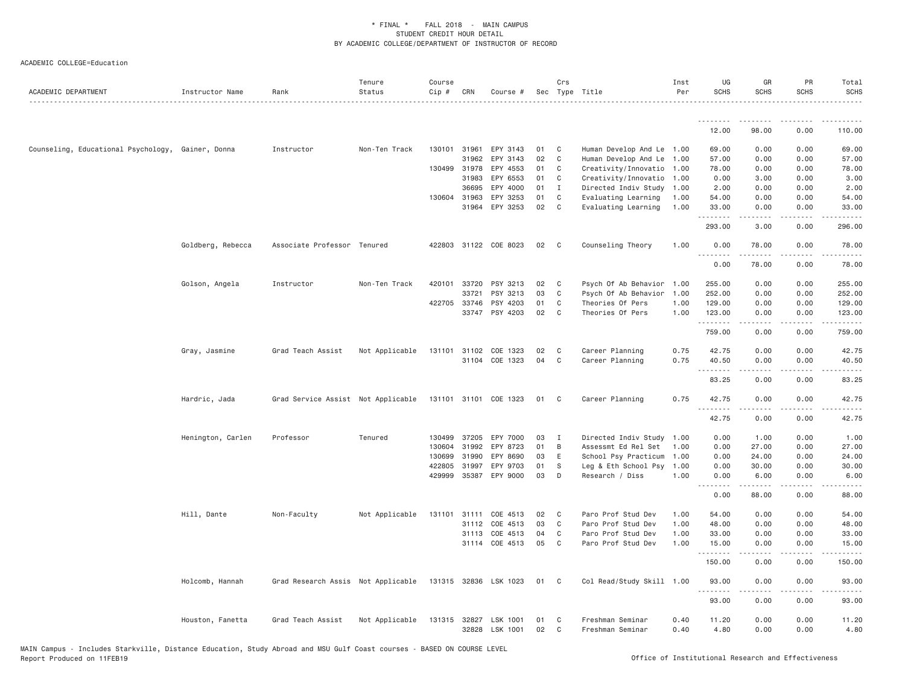| .<br>.<br>$\frac{1}{2}$<br>.<br>12.00<br>98.00<br>0.00<br>110.00<br>Counseling, Educational Psychology, Gainer, Donna<br>Instructor<br>Non-Ten Track<br>130101 31961<br>EPY 3143<br>01<br>C<br>Human Develop And Le<br>69.00<br>0.00<br>0.00<br>69.00<br>1.00<br>02<br>$\mathsf{C}$<br>31962<br>EPY 3143<br>Human Develop And Le<br>1.00<br>57.00<br>0.00<br>0.00<br>57.00<br>130499 31978<br>EPY 4553<br>01<br>C<br>Creativity/Innovatio<br>78.00<br>0.00<br>0.00<br>78.00<br>1.00<br>31983<br>EPY 6553<br>01<br>Creativity/Innovatio<br>0.00<br>C<br>1.00<br>3.00<br>0.00<br>3.00<br>EPY 4000<br>01<br>2.00<br>36695<br>I<br>Directed Indiv Study<br>1.00<br>2.00<br>0.00<br>0.00<br>EPY 3253<br>01<br>C<br>130604 31963<br>Evaluating Learning<br>1.00<br>54.00<br>0.00<br>0.00<br>54.00<br>02<br>31964<br>EPY 3253<br>C<br>Evaluating Learning<br>1.00<br>33.00<br>0.00<br>0.00<br>33.00<br>.<br>.<br>$\sim$ $\sim$ $\sim$ $\sim$<br>الداعات<br>293.00<br>3.00<br>0.00<br>296.00<br>Goldberg, Rebecca<br>Associate Professor Tenured<br>422803<br>31122 COE 8023<br>02<br>C<br>Counseling Theory<br>1.00<br>0.00<br>78.00<br>0.00<br>78.00<br>.<br>$\frac{1}{2}$<br>$\frac{1}{2}$<br>.<br>0.00<br>78.00<br>0.00<br>78.00<br>Golson, Angela<br>Instructor<br>Non-Ten Track<br>420101<br>33720<br>PSY 3213<br>02<br>Psych Of Ab Behavior<br>255.00<br>0.00<br>0.00<br>255.00<br>C<br>1.00<br>03<br>33721<br>PSY 3213<br>C<br>Psych Of Ab Behavior<br>1.00<br>252.00<br>0.00<br>0.00<br>252.00<br>422705 33746<br>PSY 4203<br>01<br>C<br>Theories Of Pers<br>1.00<br>129.00<br>0.00<br>0.00<br>129.00<br>33747<br>PSY 4203<br>02<br>C<br>123.00<br>Theories Of Pers<br>1.00<br>0.00<br>0.00<br>123.00<br>.<br>.<br>$\frac{1}{2} \left( \frac{1}{2} \right) \left( \frac{1}{2} \right) \left( \frac{1}{2} \right) \left( \frac{1}{2} \right)$<br>$\frac{1}{2} \left( \frac{1}{2} \right) \left( \frac{1}{2} \right) \left( \frac{1}{2} \right) \left( \frac{1}{2} \right) \left( \frac{1}{2} \right)$<br>759.00<br>0.00<br>0.00<br>759.00<br>Grad Teach Assist<br>Not Applicable<br>131101 31102<br>COE 1323<br>02<br>C <sub>1</sub><br>Career Planning<br>0.75<br>42.75<br>0.00<br>0.00<br>42.75<br>Gray, Jasmine<br>31104 COE 1323<br>04<br>C<br>Career Planning<br>0.75<br>40.50<br>0.00<br>0.00<br>40.50<br>.<br>.<br>$- - - -$<br>.<br>83.25<br>0.00<br>0.00<br>83.25<br>Hardric, Jada<br>Grad Service Assist Not Applicable<br>131101 31101 COE 1323<br>Career Planning<br>0.75<br>42.75<br>0.00<br>0.00<br>42.75<br>01<br>C<br>.<br>$- - - -$<br>$\frac{1}{2}$<br>42.75<br>0.00<br>0.00<br>42.75<br>Henington, Carlen<br>Professor<br>Tenured<br>130499 37205<br>EPY 7000<br>03<br>Directed Indiv Study<br>0.00<br>1.00<br>0.00<br>1.00<br>I<br>1.00<br>31992<br>01<br>B<br>Assessmt Ed Rel Set<br>27.00<br>0.00<br>130604<br>EPY 8723<br>1.00<br>0.00<br>27.00<br>31990<br>03<br>0.00<br>24.00<br>130699<br>EPY 8690<br>Ε<br>School Psy Practicum<br>1.00<br>0.00<br>24.00<br>01<br>422805<br>31997<br>EPY 9703<br>S<br>Leg & Eth School Psy<br>1.00<br>0.00<br>30.00<br>0.00<br>30.00<br>EPY 9000<br>03<br>D<br>429999<br>35387<br>Research / Diss<br>1.00<br>6.00<br>0.00<br>0.00<br>6.00<br>.<br>2.2.2.2.2<br>$\sim$ $\sim$ $\sim$ $\sim$<br>$\omega$ is $\omega$ in<br>0.00<br>88.00<br>0.00<br>88.00<br>02<br>54.00<br>0.00<br>0.00<br>54.00<br>Hill, Dante<br>Non-Faculty<br>Not Applicable<br>131101<br>31111<br>COE 4513<br>C<br>Paro Prof Stud Dev<br>1.00<br>03<br>COE 4513<br>C<br>Paro Prof Stud Dev<br>1.00<br>48.00<br>0.00<br>0.00<br>48.00<br>31112<br>31113<br>COE 4513<br>04<br>C<br>Paro Prof Stud Dev<br>1.00<br>33.00<br>0.00<br>0.00<br>33.00<br>31114 COE 4513<br>05<br>C<br>0.00<br>Paro Prof Stud Dev<br>1.00<br>15.00<br>0.00<br>15.00<br>.<br>.<br>.<br>.<br>150.00<br>0.00<br>0.00<br>150.00<br>Holcomb, Hannah<br>Grad Research Assis Not Applicable<br>131315 32836<br>LSK 1023<br>Col Read/Study Skill 1.00<br>93.00<br>0.00<br>0.00<br>93.00<br>01<br>C<br>.<br>$\frac{1}{2} \left( \frac{1}{2} \right) \left( \frac{1}{2} \right) \left( \frac{1}{2} \right) \left( \frac{1}{2} \right)$<br>.<br>----<br>93.00<br>0.00<br>0.00<br>93.00<br>Houston, Fanetta<br>Grad Teach Assist<br>Not Applicable<br>131315 32827<br>LSK 1001<br>01<br>C<br>Freshman Seminar<br>0.40<br>11.20<br>0.00<br>0.00<br>11.20<br>LSK 1001<br>02<br>C<br>0.40<br>4.80<br>0.00<br>0.00<br>4.80<br>32828<br>Freshman Seminar | ACADEMIC DEPARTMENT | Instructor Name | Rank | Tenure<br>Status | Course<br>Cip # | CRN | Course # | Crs<br>Sec Type Title | Inst<br>Per | UG<br><b>SCHS</b> | GR<br><b>SCHS</b> | PR<br><b>SCHS</b> | Total<br><b>SCHS</b> |
|----------------------------------------------------------------------------------------------------------------------------------------------------------------------------------------------------------------------------------------------------------------------------------------------------------------------------------------------------------------------------------------------------------------------------------------------------------------------------------------------------------------------------------------------------------------------------------------------------------------------------------------------------------------------------------------------------------------------------------------------------------------------------------------------------------------------------------------------------------------------------------------------------------------------------------------------------------------------------------------------------------------------------------------------------------------------------------------------------------------------------------------------------------------------------------------------------------------------------------------------------------------------------------------------------------------------------------------------------------------------------------------------------------------------------------------------------------------------------------------------------------------------------------------------------------------------------------------------------------------------------------------------------------------------------------------------------------------------------------------------------------------------------------------------------------------------------------------------------------------------------------------------------------------------------------------------------------------------------------------------------------------------------------------------------------------------------------------------------------------------------------------------------------------------------------------------------------------------------------------------------------------------------------------------------------------------------------------------------------------------------------------------------------------------------------------------------------------------------------------------------------------------------------------------------------------------------------------------------------------------------------------------------------------------------------------------------------------------------------------------------------------------------------------------------------------------------------------------------------------------------------------------------------------------------------------------------------------------------------------------------------------------------------------------------------------------------------------------------------------------------------------------------------------------------------------------------------------------------------------------------------------------------------------------------------------------------------------------------------------------------------------------------------------------------------------------------------------------------------------------------------------------------------------------------------------------------------------------------------------------------------------------------------------------------------------------------------------------------------------------------------------------------------------------------------------------------------------------------------------------------------------------------------------------------------------------------------------------------------------------------------------------------------------------------------------------------------------------------------------------------------------------------------------------------------------------------------------------------------------------------------------------------------------------------------------------------------------------------------------------------------------------------------------------------------------------|---------------------|-----------------|------|------------------|-----------------|-----|----------|-----------------------|-------------|-------------------|-------------------|-------------------|----------------------|
|                                                                                                                                                                                                                                                                                                                                                                                                                                                                                                                                                                                                                                                                                                                                                                                                                                                                                                                                                                                                                                                                                                                                                                                                                                                                                                                                                                                                                                                                                                                                                                                                                                                                                                                                                                                                                                                                                                                                                                                                                                                                                                                                                                                                                                                                                                                                                                                                                                                                                                                                                                                                                                                                                                                                                                                                                                                                                                                                                                                                                                                                                                                                                                                                                                                                                                                                                                                                                                                                                                                                                                                                                                                                                                                                                                                                                                                                                                                                                                                                                                                                                                                                                                                                                                                                                                                                                                                                                                              |                     |                 |      |                  |                 |     |          |                       |             |                   |                   |                   |                      |
|                                                                                                                                                                                                                                                                                                                                                                                                                                                                                                                                                                                                                                                                                                                                                                                                                                                                                                                                                                                                                                                                                                                                                                                                                                                                                                                                                                                                                                                                                                                                                                                                                                                                                                                                                                                                                                                                                                                                                                                                                                                                                                                                                                                                                                                                                                                                                                                                                                                                                                                                                                                                                                                                                                                                                                                                                                                                                                                                                                                                                                                                                                                                                                                                                                                                                                                                                                                                                                                                                                                                                                                                                                                                                                                                                                                                                                                                                                                                                                                                                                                                                                                                                                                                                                                                                                                                                                                                                                              |                     |                 |      |                  |                 |     |          |                       |             |                   |                   |                   |                      |
|                                                                                                                                                                                                                                                                                                                                                                                                                                                                                                                                                                                                                                                                                                                                                                                                                                                                                                                                                                                                                                                                                                                                                                                                                                                                                                                                                                                                                                                                                                                                                                                                                                                                                                                                                                                                                                                                                                                                                                                                                                                                                                                                                                                                                                                                                                                                                                                                                                                                                                                                                                                                                                                                                                                                                                                                                                                                                                                                                                                                                                                                                                                                                                                                                                                                                                                                                                                                                                                                                                                                                                                                                                                                                                                                                                                                                                                                                                                                                                                                                                                                                                                                                                                                                                                                                                                                                                                                                                              |                     |                 |      |                  |                 |     |          |                       |             |                   |                   |                   |                      |
|                                                                                                                                                                                                                                                                                                                                                                                                                                                                                                                                                                                                                                                                                                                                                                                                                                                                                                                                                                                                                                                                                                                                                                                                                                                                                                                                                                                                                                                                                                                                                                                                                                                                                                                                                                                                                                                                                                                                                                                                                                                                                                                                                                                                                                                                                                                                                                                                                                                                                                                                                                                                                                                                                                                                                                                                                                                                                                                                                                                                                                                                                                                                                                                                                                                                                                                                                                                                                                                                                                                                                                                                                                                                                                                                                                                                                                                                                                                                                                                                                                                                                                                                                                                                                                                                                                                                                                                                                                              |                     |                 |      |                  |                 |     |          |                       |             |                   |                   |                   |                      |
|                                                                                                                                                                                                                                                                                                                                                                                                                                                                                                                                                                                                                                                                                                                                                                                                                                                                                                                                                                                                                                                                                                                                                                                                                                                                                                                                                                                                                                                                                                                                                                                                                                                                                                                                                                                                                                                                                                                                                                                                                                                                                                                                                                                                                                                                                                                                                                                                                                                                                                                                                                                                                                                                                                                                                                                                                                                                                                                                                                                                                                                                                                                                                                                                                                                                                                                                                                                                                                                                                                                                                                                                                                                                                                                                                                                                                                                                                                                                                                                                                                                                                                                                                                                                                                                                                                                                                                                                                                              |                     |                 |      |                  |                 |     |          |                       |             |                   |                   |                   |                      |
|                                                                                                                                                                                                                                                                                                                                                                                                                                                                                                                                                                                                                                                                                                                                                                                                                                                                                                                                                                                                                                                                                                                                                                                                                                                                                                                                                                                                                                                                                                                                                                                                                                                                                                                                                                                                                                                                                                                                                                                                                                                                                                                                                                                                                                                                                                                                                                                                                                                                                                                                                                                                                                                                                                                                                                                                                                                                                                                                                                                                                                                                                                                                                                                                                                                                                                                                                                                                                                                                                                                                                                                                                                                                                                                                                                                                                                                                                                                                                                                                                                                                                                                                                                                                                                                                                                                                                                                                                                              |                     |                 |      |                  |                 |     |          |                       |             |                   |                   |                   |                      |
|                                                                                                                                                                                                                                                                                                                                                                                                                                                                                                                                                                                                                                                                                                                                                                                                                                                                                                                                                                                                                                                                                                                                                                                                                                                                                                                                                                                                                                                                                                                                                                                                                                                                                                                                                                                                                                                                                                                                                                                                                                                                                                                                                                                                                                                                                                                                                                                                                                                                                                                                                                                                                                                                                                                                                                                                                                                                                                                                                                                                                                                                                                                                                                                                                                                                                                                                                                                                                                                                                                                                                                                                                                                                                                                                                                                                                                                                                                                                                                                                                                                                                                                                                                                                                                                                                                                                                                                                                                              |                     |                 |      |                  |                 |     |          |                       |             |                   |                   |                   |                      |
|                                                                                                                                                                                                                                                                                                                                                                                                                                                                                                                                                                                                                                                                                                                                                                                                                                                                                                                                                                                                                                                                                                                                                                                                                                                                                                                                                                                                                                                                                                                                                                                                                                                                                                                                                                                                                                                                                                                                                                                                                                                                                                                                                                                                                                                                                                                                                                                                                                                                                                                                                                                                                                                                                                                                                                                                                                                                                                                                                                                                                                                                                                                                                                                                                                                                                                                                                                                                                                                                                                                                                                                                                                                                                                                                                                                                                                                                                                                                                                                                                                                                                                                                                                                                                                                                                                                                                                                                                                              |                     |                 |      |                  |                 |     |          |                       |             |                   |                   |                   |                      |
|                                                                                                                                                                                                                                                                                                                                                                                                                                                                                                                                                                                                                                                                                                                                                                                                                                                                                                                                                                                                                                                                                                                                                                                                                                                                                                                                                                                                                                                                                                                                                                                                                                                                                                                                                                                                                                                                                                                                                                                                                                                                                                                                                                                                                                                                                                                                                                                                                                                                                                                                                                                                                                                                                                                                                                                                                                                                                                                                                                                                                                                                                                                                                                                                                                                                                                                                                                                                                                                                                                                                                                                                                                                                                                                                                                                                                                                                                                                                                                                                                                                                                                                                                                                                                                                                                                                                                                                                                                              |                     |                 |      |                  |                 |     |          |                       |             |                   |                   |                   |                      |
|                                                                                                                                                                                                                                                                                                                                                                                                                                                                                                                                                                                                                                                                                                                                                                                                                                                                                                                                                                                                                                                                                                                                                                                                                                                                                                                                                                                                                                                                                                                                                                                                                                                                                                                                                                                                                                                                                                                                                                                                                                                                                                                                                                                                                                                                                                                                                                                                                                                                                                                                                                                                                                                                                                                                                                                                                                                                                                                                                                                                                                                                                                                                                                                                                                                                                                                                                                                                                                                                                                                                                                                                                                                                                                                                                                                                                                                                                                                                                                                                                                                                                                                                                                                                                                                                                                                                                                                                                                              |                     |                 |      |                  |                 |     |          |                       |             |                   |                   |                   |                      |
|                                                                                                                                                                                                                                                                                                                                                                                                                                                                                                                                                                                                                                                                                                                                                                                                                                                                                                                                                                                                                                                                                                                                                                                                                                                                                                                                                                                                                                                                                                                                                                                                                                                                                                                                                                                                                                                                                                                                                                                                                                                                                                                                                                                                                                                                                                                                                                                                                                                                                                                                                                                                                                                                                                                                                                                                                                                                                                                                                                                                                                                                                                                                                                                                                                                                                                                                                                                                                                                                                                                                                                                                                                                                                                                                                                                                                                                                                                                                                                                                                                                                                                                                                                                                                                                                                                                                                                                                                                              |                     |                 |      |                  |                 |     |          |                       |             |                   |                   |                   |                      |
|                                                                                                                                                                                                                                                                                                                                                                                                                                                                                                                                                                                                                                                                                                                                                                                                                                                                                                                                                                                                                                                                                                                                                                                                                                                                                                                                                                                                                                                                                                                                                                                                                                                                                                                                                                                                                                                                                                                                                                                                                                                                                                                                                                                                                                                                                                                                                                                                                                                                                                                                                                                                                                                                                                                                                                                                                                                                                                                                                                                                                                                                                                                                                                                                                                                                                                                                                                                                                                                                                                                                                                                                                                                                                                                                                                                                                                                                                                                                                                                                                                                                                                                                                                                                                                                                                                                                                                                                                                              |                     |                 |      |                  |                 |     |          |                       |             |                   |                   |                   |                      |
|                                                                                                                                                                                                                                                                                                                                                                                                                                                                                                                                                                                                                                                                                                                                                                                                                                                                                                                                                                                                                                                                                                                                                                                                                                                                                                                                                                                                                                                                                                                                                                                                                                                                                                                                                                                                                                                                                                                                                                                                                                                                                                                                                                                                                                                                                                                                                                                                                                                                                                                                                                                                                                                                                                                                                                                                                                                                                                                                                                                                                                                                                                                                                                                                                                                                                                                                                                                                                                                                                                                                                                                                                                                                                                                                                                                                                                                                                                                                                                                                                                                                                                                                                                                                                                                                                                                                                                                                                                              |                     |                 |      |                  |                 |     |          |                       |             |                   |                   |                   |                      |
|                                                                                                                                                                                                                                                                                                                                                                                                                                                                                                                                                                                                                                                                                                                                                                                                                                                                                                                                                                                                                                                                                                                                                                                                                                                                                                                                                                                                                                                                                                                                                                                                                                                                                                                                                                                                                                                                                                                                                                                                                                                                                                                                                                                                                                                                                                                                                                                                                                                                                                                                                                                                                                                                                                                                                                                                                                                                                                                                                                                                                                                                                                                                                                                                                                                                                                                                                                                                                                                                                                                                                                                                                                                                                                                                                                                                                                                                                                                                                                                                                                                                                                                                                                                                                                                                                                                                                                                                                                              |                     |                 |      |                  |                 |     |          |                       |             |                   |                   |                   |                      |
|                                                                                                                                                                                                                                                                                                                                                                                                                                                                                                                                                                                                                                                                                                                                                                                                                                                                                                                                                                                                                                                                                                                                                                                                                                                                                                                                                                                                                                                                                                                                                                                                                                                                                                                                                                                                                                                                                                                                                                                                                                                                                                                                                                                                                                                                                                                                                                                                                                                                                                                                                                                                                                                                                                                                                                                                                                                                                                                                                                                                                                                                                                                                                                                                                                                                                                                                                                                                                                                                                                                                                                                                                                                                                                                                                                                                                                                                                                                                                                                                                                                                                                                                                                                                                                                                                                                                                                                                                                              |                     |                 |      |                  |                 |     |          |                       |             |                   |                   |                   |                      |
|                                                                                                                                                                                                                                                                                                                                                                                                                                                                                                                                                                                                                                                                                                                                                                                                                                                                                                                                                                                                                                                                                                                                                                                                                                                                                                                                                                                                                                                                                                                                                                                                                                                                                                                                                                                                                                                                                                                                                                                                                                                                                                                                                                                                                                                                                                                                                                                                                                                                                                                                                                                                                                                                                                                                                                                                                                                                                                                                                                                                                                                                                                                                                                                                                                                                                                                                                                                                                                                                                                                                                                                                                                                                                                                                                                                                                                                                                                                                                                                                                                                                                                                                                                                                                                                                                                                                                                                                                                              |                     |                 |      |                  |                 |     |          |                       |             |                   |                   |                   |                      |
|                                                                                                                                                                                                                                                                                                                                                                                                                                                                                                                                                                                                                                                                                                                                                                                                                                                                                                                                                                                                                                                                                                                                                                                                                                                                                                                                                                                                                                                                                                                                                                                                                                                                                                                                                                                                                                                                                                                                                                                                                                                                                                                                                                                                                                                                                                                                                                                                                                                                                                                                                                                                                                                                                                                                                                                                                                                                                                                                                                                                                                                                                                                                                                                                                                                                                                                                                                                                                                                                                                                                                                                                                                                                                                                                                                                                                                                                                                                                                                                                                                                                                                                                                                                                                                                                                                                                                                                                                                              |                     |                 |      |                  |                 |     |          |                       |             |                   |                   |                   |                      |
|                                                                                                                                                                                                                                                                                                                                                                                                                                                                                                                                                                                                                                                                                                                                                                                                                                                                                                                                                                                                                                                                                                                                                                                                                                                                                                                                                                                                                                                                                                                                                                                                                                                                                                                                                                                                                                                                                                                                                                                                                                                                                                                                                                                                                                                                                                                                                                                                                                                                                                                                                                                                                                                                                                                                                                                                                                                                                                                                                                                                                                                                                                                                                                                                                                                                                                                                                                                                                                                                                                                                                                                                                                                                                                                                                                                                                                                                                                                                                                                                                                                                                                                                                                                                                                                                                                                                                                                                                                              |                     |                 |      |                  |                 |     |          |                       |             |                   |                   |                   |                      |
|                                                                                                                                                                                                                                                                                                                                                                                                                                                                                                                                                                                                                                                                                                                                                                                                                                                                                                                                                                                                                                                                                                                                                                                                                                                                                                                                                                                                                                                                                                                                                                                                                                                                                                                                                                                                                                                                                                                                                                                                                                                                                                                                                                                                                                                                                                                                                                                                                                                                                                                                                                                                                                                                                                                                                                                                                                                                                                                                                                                                                                                                                                                                                                                                                                                                                                                                                                                                                                                                                                                                                                                                                                                                                                                                                                                                                                                                                                                                                                                                                                                                                                                                                                                                                                                                                                                                                                                                                                              |                     |                 |      |                  |                 |     |          |                       |             |                   |                   |                   |                      |
|                                                                                                                                                                                                                                                                                                                                                                                                                                                                                                                                                                                                                                                                                                                                                                                                                                                                                                                                                                                                                                                                                                                                                                                                                                                                                                                                                                                                                                                                                                                                                                                                                                                                                                                                                                                                                                                                                                                                                                                                                                                                                                                                                                                                                                                                                                                                                                                                                                                                                                                                                                                                                                                                                                                                                                                                                                                                                                                                                                                                                                                                                                                                                                                                                                                                                                                                                                                                                                                                                                                                                                                                                                                                                                                                                                                                                                                                                                                                                                                                                                                                                                                                                                                                                                                                                                                                                                                                                                              |                     |                 |      |                  |                 |     |          |                       |             |                   |                   |                   |                      |
|                                                                                                                                                                                                                                                                                                                                                                                                                                                                                                                                                                                                                                                                                                                                                                                                                                                                                                                                                                                                                                                                                                                                                                                                                                                                                                                                                                                                                                                                                                                                                                                                                                                                                                                                                                                                                                                                                                                                                                                                                                                                                                                                                                                                                                                                                                                                                                                                                                                                                                                                                                                                                                                                                                                                                                                                                                                                                                                                                                                                                                                                                                                                                                                                                                                                                                                                                                                                                                                                                                                                                                                                                                                                                                                                                                                                                                                                                                                                                                                                                                                                                                                                                                                                                                                                                                                                                                                                                                              |                     |                 |      |                  |                 |     |          |                       |             |                   |                   |                   |                      |
|                                                                                                                                                                                                                                                                                                                                                                                                                                                                                                                                                                                                                                                                                                                                                                                                                                                                                                                                                                                                                                                                                                                                                                                                                                                                                                                                                                                                                                                                                                                                                                                                                                                                                                                                                                                                                                                                                                                                                                                                                                                                                                                                                                                                                                                                                                                                                                                                                                                                                                                                                                                                                                                                                                                                                                                                                                                                                                                                                                                                                                                                                                                                                                                                                                                                                                                                                                                                                                                                                                                                                                                                                                                                                                                                                                                                                                                                                                                                                                                                                                                                                                                                                                                                                                                                                                                                                                                                                                              |                     |                 |      |                  |                 |     |          |                       |             |                   |                   |                   |                      |
|                                                                                                                                                                                                                                                                                                                                                                                                                                                                                                                                                                                                                                                                                                                                                                                                                                                                                                                                                                                                                                                                                                                                                                                                                                                                                                                                                                                                                                                                                                                                                                                                                                                                                                                                                                                                                                                                                                                                                                                                                                                                                                                                                                                                                                                                                                                                                                                                                                                                                                                                                                                                                                                                                                                                                                                                                                                                                                                                                                                                                                                                                                                                                                                                                                                                                                                                                                                                                                                                                                                                                                                                                                                                                                                                                                                                                                                                                                                                                                                                                                                                                                                                                                                                                                                                                                                                                                                                                                              |                     |                 |      |                  |                 |     |          |                       |             |                   |                   |                   |                      |
|                                                                                                                                                                                                                                                                                                                                                                                                                                                                                                                                                                                                                                                                                                                                                                                                                                                                                                                                                                                                                                                                                                                                                                                                                                                                                                                                                                                                                                                                                                                                                                                                                                                                                                                                                                                                                                                                                                                                                                                                                                                                                                                                                                                                                                                                                                                                                                                                                                                                                                                                                                                                                                                                                                                                                                                                                                                                                                                                                                                                                                                                                                                                                                                                                                                                                                                                                                                                                                                                                                                                                                                                                                                                                                                                                                                                                                                                                                                                                                                                                                                                                                                                                                                                                                                                                                                                                                                                                                              |                     |                 |      |                  |                 |     |          |                       |             |                   |                   |                   |                      |
|                                                                                                                                                                                                                                                                                                                                                                                                                                                                                                                                                                                                                                                                                                                                                                                                                                                                                                                                                                                                                                                                                                                                                                                                                                                                                                                                                                                                                                                                                                                                                                                                                                                                                                                                                                                                                                                                                                                                                                                                                                                                                                                                                                                                                                                                                                                                                                                                                                                                                                                                                                                                                                                                                                                                                                                                                                                                                                                                                                                                                                                                                                                                                                                                                                                                                                                                                                                                                                                                                                                                                                                                                                                                                                                                                                                                                                                                                                                                                                                                                                                                                                                                                                                                                                                                                                                                                                                                                                              |                     |                 |      |                  |                 |     |          |                       |             |                   |                   |                   |                      |
|                                                                                                                                                                                                                                                                                                                                                                                                                                                                                                                                                                                                                                                                                                                                                                                                                                                                                                                                                                                                                                                                                                                                                                                                                                                                                                                                                                                                                                                                                                                                                                                                                                                                                                                                                                                                                                                                                                                                                                                                                                                                                                                                                                                                                                                                                                                                                                                                                                                                                                                                                                                                                                                                                                                                                                                                                                                                                                                                                                                                                                                                                                                                                                                                                                                                                                                                                                                                                                                                                                                                                                                                                                                                                                                                                                                                                                                                                                                                                                                                                                                                                                                                                                                                                                                                                                                                                                                                                                              |                     |                 |      |                  |                 |     |          |                       |             |                   |                   |                   |                      |
|                                                                                                                                                                                                                                                                                                                                                                                                                                                                                                                                                                                                                                                                                                                                                                                                                                                                                                                                                                                                                                                                                                                                                                                                                                                                                                                                                                                                                                                                                                                                                                                                                                                                                                                                                                                                                                                                                                                                                                                                                                                                                                                                                                                                                                                                                                                                                                                                                                                                                                                                                                                                                                                                                                                                                                                                                                                                                                                                                                                                                                                                                                                                                                                                                                                                                                                                                                                                                                                                                                                                                                                                                                                                                                                                                                                                                                                                                                                                                                                                                                                                                                                                                                                                                                                                                                                                                                                                                                              |                     |                 |      |                  |                 |     |          |                       |             |                   |                   |                   |                      |
|                                                                                                                                                                                                                                                                                                                                                                                                                                                                                                                                                                                                                                                                                                                                                                                                                                                                                                                                                                                                                                                                                                                                                                                                                                                                                                                                                                                                                                                                                                                                                                                                                                                                                                                                                                                                                                                                                                                                                                                                                                                                                                                                                                                                                                                                                                                                                                                                                                                                                                                                                                                                                                                                                                                                                                                                                                                                                                                                                                                                                                                                                                                                                                                                                                                                                                                                                                                                                                                                                                                                                                                                                                                                                                                                                                                                                                                                                                                                                                                                                                                                                                                                                                                                                                                                                                                                                                                                                                              |                     |                 |      |                  |                 |     |          |                       |             |                   |                   |                   |                      |
|                                                                                                                                                                                                                                                                                                                                                                                                                                                                                                                                                                                                                                                                                                                                                                                                                                                                                                                                                                                                                                                                                                                                                                                                                                                                                                                                                                                                                                                                                                                                                                                                                                                                                                                                                                                                                                                                                                                                                                                                                                                                                                                                                                                                                                                                                                                                                                                                                                                                                                                                                                                                                                                                                                                                                                                                                                                                                                                                                                                                                                                                                                                                                                                                                                                                                                                                                                                                                                                                                                                                                                                                                                                                                                                                                                                                                                                                                                                                                                                                                                                                                                                                                                                                                                                                                                                                                                                                                                              |                     |                 |      |                  |                 |     |          |                       |             |                   |                   |                   |                      |
|                                                                                                                                                                                                                                                                                                                                                                                                                                                                                                                                                                                                                                                                                                                                                                                                                                                                                                                                                                                                                                                                                                                                                                                                                                                                                                                                                                                                                                                                                                                                                                                                                                                                                                                                                                                                                                                                                                                                                                                                                                                                                                                                                                                                                                                                                                                                                                                                                                                                                                                                                                                                                                                                                                                                                                                                                                                                                                                                                                                                                                                                                                                                                                                                                                                                                                                                                                                                                                                                                                                                                                                                                                                                                                                                                                                                                                                                                                                                                                                                                                                                                                                                                                                                                                                                                                                                                                                                                                              |                     |                 |      |                  |                 |     |          |                       |             |                   |                   |                   |                      |
|                                                                                                                                                                                                                                                                                                                                                                                                                                                                                                                                                                                                                                                                                                                                                                                                                                                                                                                                                                                                                                                                                                                                                                                                                                                                                                                                                                                                                                                                                                                                                                                                                                                                                                                                                                                                                                                                                                                                                                                                                                                                                                                                                                                                                                                                                                                                                                                                                                                                                                                                                                                                                                                                                                                                                                                                                                                                                                                                                                                                                                                                                                                                                                                                                                                                                                                                                                                                                                                                                                                                                                                                                                                                                                                                                                                                                                                                                                                                                                                                                                                                                                                                                                                                                                                                                                                                                                                                                                              |                     |                 |      |                  |                 |     |          |                       |             |                   |                   |                   |                      |
|                                                                                                                                                                                                                                                                                                                                                                                                                                                                                                                                                                                                                                                                                                                                                                                                                                                                                                                                                                                                                                                                                                                                                                                                                                                                                                                                                                                                                                                                                                                                                                                                                                                                                                                                                                                                                                                                                                                                                                                                                                                                                                                                                                                                                                                                                                                                                                                                                                                                                                                                                                                                                                                                                                                                                                                                                                                                                                                                                                                                                                                                                                                                                                                                                                                                                                                                                                                                                                                                                                                                                                                                                                                                                                                                                                                                                                                                                                                                                                                                                                                                                                                                                                                                                                                                                                                                                                                                                                              |                     |                 |      |                  |                 |     |          |                       |             |                   |                   |                   |                      |
|                                                                                                                                                                                                                                                                                                                                                                                                                                                                                                                                                                                                                                                                                                                                                                                                                                                                                                                                                                                                                                                                                                                                                                                                                                                                                                                                                                                                                                                                                                                                                                                                                                                                                                                                                                                                                                                                                                                                                                                                                                                                                                                                                                                                                                                                                                                                                                                                                                                                                                                                                                                                                                                                                                                                                                                                                                                                                                                                                                                                                                                                                                                                                                                                                                                                                                                                                                                                                                                                                                                                                                                                                                                                                                                                                                                                                                                                                                                                                                                                                                                                                                                                                                                                                                                                                                                                                                                                                                              |                     |                 |      |                  |                 |     |          |                       |             |                   |                   |                   |                      |
|                                                                                                                                                                                                                                                                                                                                                                                                                                                                                                                                                                                                                                                                                                                                                                                                                                                                                                                                                                                                                                                                                                                                                                                                                                                                                                                                                                                                                                                                                                                                                                                                                                                                                                                                                                                                                                                                                                                                                                                                                                                                                                                                                                                                                                                                                                                                                                                                                                                                                                                                                                                                                                                                                                                                                                                                                                                                                                                                                                                                                                                                                                                                                                                                                                                                                                                                                                                                                                                                                                                                                                                                                                                                                                                                                                                                                                                                                                                                                                                                                                                                                                                                                                                                                                                                                                                                                                                                                                              |                     |                 |      |                  |                 |     |          |                       |             |                   |                   |                   |                      |
|                                                                                                                                                                                                                                                                                                                                                                                                                                                                                                                                                                                                                                                                                                                                                                                                                                                                                                                                                                                                                                                                                                                                                                                                                                                                                                                                                                                                                                                                                                                                                                                                                                                                                                                                                                                                                                                                                                                                                                                                                                                                                                                                                                                                                                                                                                                                                                                                                                                                                                                                                                                                                                                                                                                                                                                                                                                                                                                                                                                                                                                                                                                                                                                                                                                                                                                                                                                                                                                                                                                                                                                                                                                                                                                                                                                                                                                                                                                                                                                                                                                                                                                                                                                                                                                                                                                                                                                                                                              |                     |                 |      |                  |                 |     |          |                       |             |                   |                   |                   |                      |
|                                                                                                                                                                                                                                                                                                                                                                                                                                                                                                                                                                                                                                                                                                                                                                                                                                                                                                                                                                                                                                                                                                                                                                                                                                                                                                                                                                                                                                                                                                                                                                                                                                                                                                                                                                                                                                                                                                                                                                                                                                                                                                                                                                                                                                                                                                                                                                                                                                                                                                                                                                                                                                                                                                                                                                                                                                                                                                                                                                                                                                                                                                                                                                                                                                                                                                                                                                                                                                                                                                                                                                                                                                                                                                                                                                                                                                                                                                                                                                                                                                                                                                                                                                                                                                                                                                                                                                                                                                              |                     |                 |      |                  |                 |     |          |                       |             |                   |                   |                   |                      |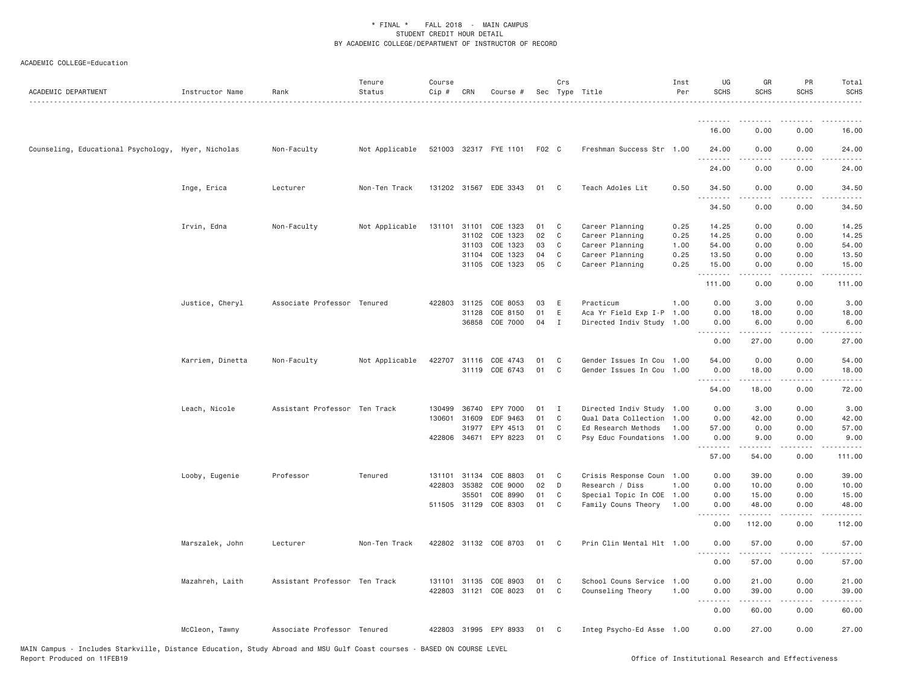| ACADEMIC DEPARTMENT                                | Instructor Name  | Rank                          | Tenure<br>Status | Course<br>Cip # | CRN   | Course #              |       | Crs          | Sec Type Title            | Inst<br>Per | UG<br><b>SCHS</b>     | GR<br><b>SCHS</b>   | PR<br>SCHS                          | Total<br><b>SCHS</b><br>.          |
|----------------------------------------------------|------------------|-------------------------------|------------------|-----------------|-------|-----------------------|-------|--------------|---------------------------|-------------|-----------------------|---------------------|-------------------------------------|------------------------------------|
|                                                    |                  |                               |                  |                 |       |                       |       |              |                           |             | .                     | .                   |                                     | $\sim$ $\sim$ $\sim$ $\sim$ $\sim$ |
|                                                    |                  |                               |                  |                 |       |                       |       |              |                           |             | 16.00                 | 0.00                | 0.00                                | 16.00                              |
| Counseling, Educational Psychology, Hyer, Nicholas |                  | Non-Faculty                   | Not Applicable   |                 |       | 521003 32317 FYE 1101 | F02 C |              | Freshman Success Str 1.00 |             | 24.00                 | 0.00                | 0.00                                | 24.00                              |
|                                                    |                  |                               |                  |                 |       |                       |       |              |                           |             | .<br>24.00            | 0.00                | 0.00                                | 24.00                              |
|                                                    | Inge, Erica      | Lecturer                      | Non-Ten Track    |                 |       | 131202 31567 EDE 3343 | 01    | C            | Teach Adoles Lit          | 0.50        | 34.50                 | 0.00                | 0.00                                | 34.50                              |
|                                                    |                  |                               |                  |                 |       |                       |       |              |                           |             | .<br>34.50            | 0.00                | 0.00                                | 34,50                              |
|                                                    | Irvin, Edna      | Non-Faculty                   | Not Applicable   | 131101          | 31101 | COE 1323              | 01    | C            | Career Planning           | 0.25        | 14.25                 | 0.00                | 0.00                                | 14.25                              |
|                                                    |                  |                               |                  |                 | 31102 | COE 1323              | 02    | C            | Career Planning           | 0.25        | 14.25                 | 0.00                | 0.00                                | 14.25                              |
|                                                    |                  |                               |                  |                 | 31103 | COE 1323              | 03    | C            | Career Planning           | 1.00        | 54.00                 | 0.00                | 0.00                                | 54.00                              |
|                                                    |                  |                               |                  |                 | 31104 | COE 1323              | 04    | C            | Career Planning           | 0.25        | 13.50                 | 0.00                | 0.00                                | 13.50                              |
|                                                    |                  |                               |                  |                 |       | 31105 COE 1323        | 05    | C            | Career Planning           | 0.25        | 15.00<br>.            | 0.00<br>.           | 0.00<br>.                           | 15.00                              |
|                                                    |                  |                               |                  |                 |       |                       |       |              |                           |             | 111.00                | 0.00                | 0.00                                | 111.00                             |
|                                                    | Justice, Cheryl  | Associate Professor Tenured   |                  | 422803 31125    |       | COE 8053              | 03    | E            | Practicum                 | 1.00        | 0.00                  | 3.00                | 0.00                                | 3.00                               |
|                                                    |                  |                               |                  |                 | 31128 | COE 8150              | 01    | $\mathsf E$  | Aca Yr Field Exp I-P 1.00 |             | 0.00                  | 18.00               | 0.00                                | 18.00                              |
|                                                    |                  |                               |                  |                 |       | 36858 COE 7000        | 04    | I            | Directed Indiv Study 1.00 |             | 0.00<br>.             | 6.00<br>.           | 0.00<br>.                           | 6.00<br>.                          |
|                                                    |                  |                               |                  |                 |       |                       |       |              |                           |             | 0.00                  | 27.00               | 0.00                                | 27.00                              |
|                                                    | Karriem, Dinetta | Non-Faculty                   | Not Applicable   |                 |       | 422707 31116 COE 4743 | 01    | C            | Gender Issues In Cou 1.00 |             | 54.00                 | 0.00                | 0.00                                | 54.00                              |
|                                                    |                  |                               |                  |                 |       | 31119 COE 6743        | 01    | C            | Gender Issues In Cou      | 1.00        | 0.00<br>.             | 18.00               | 0.00<br>$\sim$ $\sim$ $\sim$        | 18.00<br>المتمامين                 |
|                                                    |                  |                               |                  |                 |       |                       |       |              |                           |             | 54.00                 | 18.00               | 0.00                                | 72.00                              |
|                                                    | Leach, Nicole    | Assistant Professor Ten Track |                  | 130499          | 36740 | EPY 7000              | 01    | I            | Directed Indiv Study 1.00 |             | 0.00                  | 3,00                | 0.00                                | 3.00                               |
|                                                    |                  |                               |                  | 130601 31609    |       | EDF 9463              | 01    | $\mathbb C$  | Qual Data Collection 1.00 |             | 0.00                  | 42.00               | 0.00                                | 42.00                              |
|                                                    |                  |                               |                  |                 | 31977 | EPY 4513              | 01    | $\mathsf{C}$ | Ed Research Methods       | 1.00        | 57.00                 | 0.00                | 0.00                                | 57.00                              |
|                                                    |                  |                               |                  | 422806 34671    |       | EPY 8223              | 01    | C            | Psy Educ Foundations 1.00 |             | 0.00<br>.             | 9.00<br>.           | 0.00<br>.                           | 9.00                               |
|                                                    |                  |                               |                  |                 |       |                       |       |              |                           |             | 57.00                 | 54.00               | 0.00                                | 111.00                             |
|                                                    | Looby, Eugenie   | Professor                     | Tenured          | 131101          | 31134 | COE 8803              | 01    | C            | Crisis Response Coun 1.00 |             | 0.00                  | 39.00               | 0.00                                | 39.00                              |
|                                                    |                  |                               |                  | 422803          | 35382 | COE 9000              | 02    | D            | Research / Diss           | 1.00        | 0.00                  | 10.00               | 0.00                                | 10.00                              |
|                                                    |                  |                               |                  |                 | 35501 | COE 8990              | 01    | C            | Special Topic In COE 1.00 |             | 0.00                  | 15.00               | 0.00                                | 15.00                              |
|                                                    |                  |                               |                  |                 |       | 511505 31129 COE 8303 | 01    | C            | Family Couns Theory 1.00  |             | 0.00<br>.             | 48.00<br>. <b>.</b> | 0.00<br>.                           | 48.00<br>.                         |
|                                                    |                  |                               |                  |                 |       |                       |       |              |                           |             | 0.00                  | 112.00              | 0.00                                | 112.00                             |
|                                                    | Marszalek, John  | Lecturer                      | Non-Ten Track    |                 |       | 422802 31132 COE 8703 | 01    | C            | Prin Clin Mental Hlt 1.00 |             | 0.00<br>.             | 57.00<br>.          | 0.00<br>.                           | 57.00<br>.                         |
|                                                    |                  |                               |                  |                 |       |                       |       |              |                           |             | 0.00                  | 57.00               | 0.00                                | 57.00                              |
|                                                    | Mazahreh, Laith  | Assistant Professor Ten Track |                  | 131101 31135    |       | COE 8903              | 01    | C            | School Couns Service 1.00 |             | 0.00                  | 21.00               | 0.00                                | 21.00                              |
|                                                    |                  |                               |                  |                 |       | 422803 31121 COE 8023 | 01    | C            | Counseling Theory         | 1,00        | 0.00<br>1.1.1.1.1.1.1 | 39.00               | 0.00<br>$\sim$ $\sim$ $\sim$ $\sim$ | 39.00                              |
|                                                    |                  |                               |                  |                 |       |                       |       |              |                           |             | 0.00                  | 60.00               | 0.00                                | 60.00                              |
|                                                    | McCleon, Tawny   | Associate Professor Tenured   |                  |                 |       | 422803 31995 EPY 8933 | 01    | $\mathbf{C}$ | Integ Psycho-Ed Asse 1.00 |             | 0.00                  | 27.00               | 0.00                                | 27.00                              |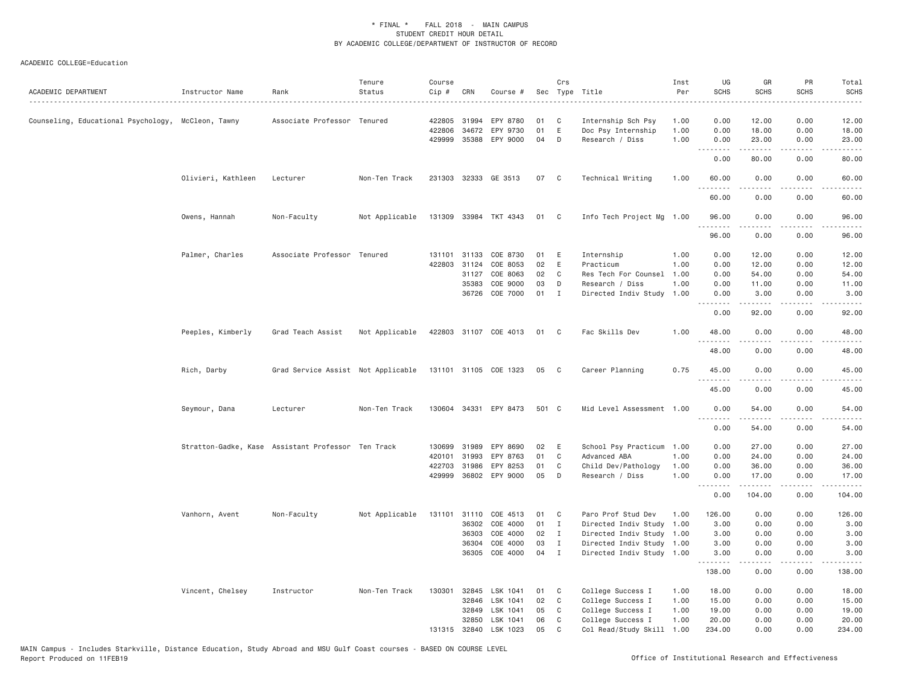| ACADEMIC DEPARTMENT                                | Instructor Name    | Rank                                               | Tenure<br>Status | Course<br>Cip # | CRN          | Course #              |       | Crs            | Sec Type Title            | Inst<br>Per | UG<br><b>SCHS</b> | GR<br><b>SCHS</b>    | PR<br>SCHS                          | Total<br><b>SCHS</b>   |
|----------------------------------------------------|--------------------|----------------------------------------------------|------------------|-----------------|--------------|-----------------------|-------|----------------|---------------------------|-------------|-------------------|----------------------|-------------------------------------|------------------------|
| Counseling, Educational Psychology, McCleon, Tawny |                    | Associate Professor Tenured                        |                  | 422805          | 31994        | EPY 8780              | 01    | C              | Internship Sch Psy        | 1.00        | 0.00              | 12.00                | 0.00                                | 12.00                  |
|                                                    |                    |                                                    |                  | 422806          | 34672        | EPY 9730              | 01    | $\mathsf E$    | Doc Psy Internship        | 1.00        | 0.00              | 18.00                | 0.00                                | 18.00                  |
|                                                    |                    |                                                    |                  |                 | 429999 35388 | EPY 9000              | 04    | D              | Research / Diss           | 1.00        | 0.00<br>.         | 23.00<br>$- - - - -$ | 0.00<br>$\sim$ $\sim$ $\sim$ $\sim$ | 23.00<br>$\frac{1}{2}$ |
|                                                    |                    |                                                    |                  |                 |              |                       |       |                |                           |             | 0.00              | 80.00                | 0.00                                | 80.00                  |
|                                                    | Olivieri, Kathleen | Lecturer                                           | Non-Ten Track    |                 |              | 231303 32333 GE 3513  | 07    | C <sub>c</sub> | Technical Writing         | 1.00        | 60.00<br>.        | 0.00                 | 0.00                                | 60.00                  |
|                                                    |                    |                                                    |                  |                 |              |                       |       |                |                           |             | 60.00             | 0.00                 | 0.00                                | 60.00                  |
|                                                    | Owens, Hannah      | Non-Faculty                                        | Not Applicable   |                 |              | 131309 33984 TKT 4343 | 01    | C <sub>1</sub> | Info Tech Project Mg      | 1.00        | 96.00<br>.        | 0.00                 | 0.00                                | 96.00                  |
|                                                    |                    |                                                    |                  |                 |              |                       |       |                |                           |             | 96.00             | 0.00                 | 0.00                                | 96.00                  |
|                                                    | Palmer, Charles    | Associate Professor Tenured                        |                  | 131101 31133    |              | COE 8730              | 01    | E              | Internship                | 1.00        | 0.00              | 12.00                | 0.00                                | 12.00                  |
|                                                    |                    |                                                    |                  |                 | 422803 31124 | COE 8053              | 02    | E              | Practicum                 | 1.00        | 0.00              | 12.00                | 0.00                                | 12.00                  |
|                                                    |                    |                                                    |                  |                 | 31127        | COE 8063              | 02    | C              | Res Tech For Counsel      | 1.00        | 0.00              | 54.00                | 0.00                                | 54.00                  |
|                                                    |                    |                                                    |                  |                 | 35383        | COE 9000              | 03    | D              | Research / Diss           | 1.00        | 0.00              | 11.00                | 0.00                                | 11.00                  |
|                                                    |                    |                                                    |                  |                 | 36726        | COE 7000              | 01    | $\mathbf{I}$   | Directed Indiv Study 1.00 |             | 0.00<br>.         | 3.00<br>.            | 0.00<br>$- - - -$                   | 3.00<br>.              |
|                                                    |                    |                                                    |                  |                 |              |                       |       |                |                           |             | 0.00              | 92.00                | 0.00                                | 92.00                  |
|                                                    | Peeples, Kimberly  | Grad Teach Assist                                  | Not Applicable   |                 |              | 422803 31107 COE 4013 | 01    | $\mathbf{C}$   | Fac Skills Dev            | 1.00        | 48.00<br><u>.</u> | 0.00<br>-----        | 0.00<br>$- - - -$                   | 48.00<br>. <b>.</b>    |
|                                                    |                    |                                                    |                  |                 |              |                       |       |                |                           |             | 48.00             | 0.00                 | 0.00                                | 48.00                  |
|                                                    | Rich, Darby        | Grad Service Assist Not Applicable                 |                  |                 |              | 131101 31105 COE 1323 | 05    | C              | Career Planning           | 0.75        | 45.00<br>.        | 0.00<br>.            | 0.00<br>$   -$                      | 45.00<br>.             |
|                                                    |                    |                                                    |                  |                 |              |                       |       |                |                           |             | 45.00             | 0.00                 | 0.00                                | 45.00                  |
|                                                    | Seymour, Dana      | Lecturer                                           | Non-Ten Track    |                 |              | 130604 34331 EPY 8473 | 501 C |                | Mid Level Assessment      | 1.00        | 0.00<br>.         | 54.00<br>.           | 0.00<br>.                           | 54.00<br>.             |
|                                                    |                    |                                                    |                  |                 |              |                       |       |                |                           |             | 0.00              | 54.00                | 0.00                                | 54.00                  |
|                                                    |                    | Stratton-Gadke, Kase Assistant Professor Ten Track |                  | 130699          | 31989        | EPY 8690              | 02    | E              | School Psy Practicum      | 1.00        | 0.00              | 27.00                | 0.00                                | 27.00                  |
|                                                    |                    |                                                    |                  | 420101          | 31993        | EPY 8763              | 01    | C              | Advanced ABA              | 1.00        | 0.00              | 24.00                | 0.00                                | 24.00                  |
|                                                    |                    |                                                    |                  | 422703          | 31986        | EPY 8253              | 01    | C              | Child Dev/Pathology       | 1.00        | 0.00              | 36.00                | 0.00                                | 36.00                  |
|                                                    |                    |                                                    |                  | 429999          | 36802        | EPY 9000              | 05    | D              | Research / Diss           | 1.00        | 0.00<br>.         | 17.00<br>.           | 0.00<br>.                           | 17.00<br>.             |
|                                                    |                    |                                                    |                  |                 |              |                       |       |                |                           |             | 0.00              | 104.00               | 0.00                                | 104.00                 |
|                                                    | Vanhorn, Avent     | Non-Faculty                                        | Not Applicable   | 131101          | 31110        | COE 4513              | 01    | C              | Paro Prof Stud Dev        | 1.00        | 126.00            | 0.00                 | 0.00                                | 126.00                 |
|                                                    |                    |                                                    |                  |                 | 36302        | COE 4000              | 01    | $\mathbf{I}$   | Directed Indiv Study      | 1.00        | 3.00              | 0.00                 | 0.00                                | 3.00                   |
|                                                    |                    |                                                    |                  |                 | 36303        | COE 4000              | 02    | I              | Directed Indiv Study      | 1.00        | 3.00              | 0.00                 | 0.00                                | 3.00                   |
|                                                    |                    |                                                    |                  |                 | 36304        | COE 4000              | 03    | I              | Directed Indiv Study      | 1.00        | 3.00              | 0.00                 | 0.00                                | 3.00                   |
|                                                    |                    |                                                    |                  |                 | 36305        | COE 4000              | 04    | I              | Directed Indiv Study      | 1.00        | 3.00<br>.         | 0.00                 | 0.00                                | 3.00                   |
|                                                    |                    |                                                    |                  |                 |              |                       |       |                |                           |             | 138.00            | 0.00                 | 0.00                                | 138.00                 |
|                                                    | Vincent, Chelsey   | Instructor                                         | Non-Ten Track    | 130301          | 32845        | LSK 1041              | 01    | C              | College Success I         | 1.00        | 18.00             | 0.00                 | 0.00                                | 18.00                  |
|                                                    |                    |                                                    |                  |                 | 32846        | LSK 1041              | 02    | C              | College Success I         | 1.00        | 15.00             | 0.00                 | 0.00                                | 15.00                  |
|                                                    |                    |                                                    |                  |                 | 32849        | LSK 1041              | 05    | C              | College Success I         | 1.00        | 19.00             | 0.00                 | 0.00                                | 19.00                  |
|                                                    |                    |                                                    |                  |                 | 32850        | LSK 1041              | 06    | C              | College Success I         | 1.00        | 20.00             | 0.00                 | 0.00                                | 20.00                  |
|                                                    |                    |                                                    |                  |                 | 131315 32840 | LSK 1023              | 05    | C              | Col Read/Study Skill      | 1.00        | 234.00            | 0.00                 | 0.00                                | 234.00                 |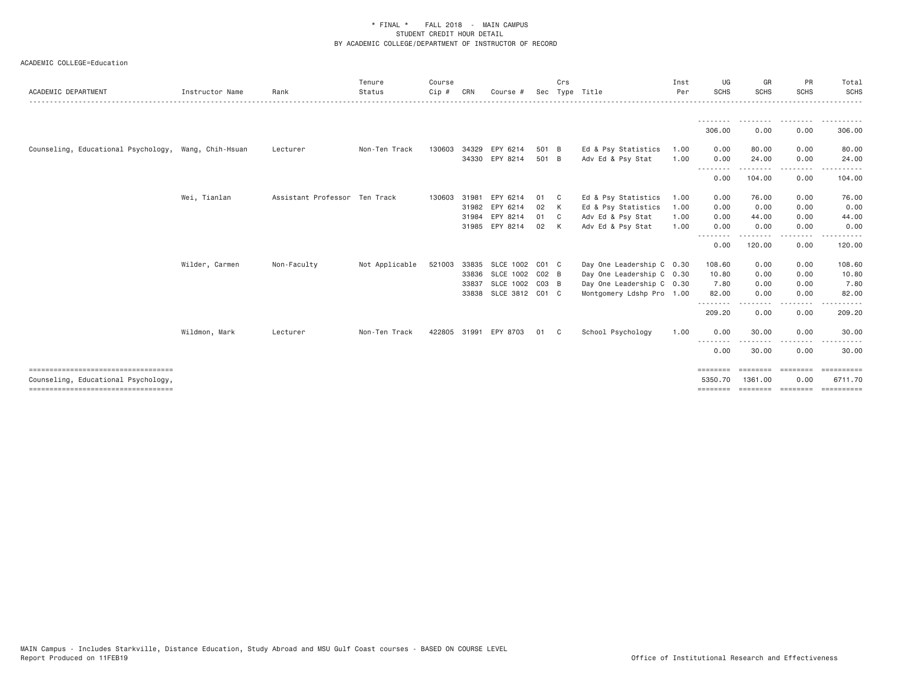| ACADEMIC DEPARTMENT                                  | Instructor Name | Rank                          | Tenure<br>Status | Course<br>Cip # | CRN   | Course #         | Sec       | Crs            | Type Title                | Inst<br>Per | UG<br><b>SCHS</b>  | GR<br><b>SCHS</b> | PR<br><b>SCHS</b> | Total<br><b>SCHS</b> |
|------------------------------------------------------|-----------------|-------------------------------|------------------|-----------------|-------|------------------|-----------|----------------|---------------------------|-------------|--------------------|-------------------|-------------------|----------------------|
|                                                      |                 |                               |                  |                 |       |                  |           |                |                           |             |                    |                   |                   |                      |
|                                                      |                 |                               |                  |                 |       |                  |           |                |                           |             | 306.00             | 0.00              | 0.00              | 306.00               |
| Counseling, Educational Psychology, Wang, Chih-Hsuan |                 | Lecturer                      | Non-Ten Track    | 130603          | 34329 | EPY 6214         | 501 B     |                | Ed & Psy Statistics       | 1.00        | 0.00               | 80.00             | 0.00              | 80.00                |
|                                                      |                 |                               |                  |                 |       | 34330 EPY 8214   | 501 B     |                | Adv Ed & Psy Stat         | 1.00        | 0.00               | 24.00             | 0.00              | 24.00                |
|                                                      |                 |                               |                  |                 |       |                  |           |                |                           |             | --------<br>0.00   | 104.00            | $\cdots$<br>0.00  | 104.00               |
|                                                      | Wei, Tianlan    | Assistant Professor Ten Track |                  | 130603 31981    |       | EPY 6214         | 01        | C <sub>c</sub> | Ed & Psy Statistics       | 1.00        | 0.00               | 76.00             | 0.00              | 76.00                |
|                                                      |                 |                               |                  |                 | 31982 | EPY 6214         | 02        | K              | Ed & Psy Statistics       | 1.00        | 0.00               | 0.00              | 0.00              | 0.00                 |
|                                                      |                 |                               |                  |                 | 31984 | EPY 8214         | 01        | C.             | Adv Ed & Psy Stat         | 1.00        | 0.00               | 44.00             | 0.00              | 44.00                |
|                                                      |                 |                               |                  |                 |       | 31985 EPY 8214   | 02        | K              | Adv Ed & Psy Stat         | 1.00        | 0.00<br>--------   | 0.00              | 0.00              | 0.00                 |
|                                                      |                 |                               |                  |                 |       |                  |           |                |                           |             | 0.00               | 120.00            | 0.00              | 120.00               |
|                                                      | Wilder, Carmen  | Non-Faculty                   | Not Applicable   | 521003          | 33835 | <b>SLCE 1002</b> | $CO1$ $C$ |                | Day One Leadership C 0.30 |             | 108.60             | 0.00              | 0.00              | 108.60               |
|                                                      |                 |                               |                  |                 | 33836 | SLCE 1002        | $CO2$ B   |                | Day One Leadership C 0.30 |             | 10.80              | 0.00              | 0.00              | 10.80                |
|                                                      |                 |                               |                  |                 | 33837 | <b>SLCE 1002</b> | $CO3$ B   |                | Day One Leadership C 0.30 |             | 7.80               | 0.00              | 0.00              | 7.80                 |
|                                                      |                 |                               |                  |                 | 33838 | SLCE 3812 C01 C  |           |                | Montgomery Ldshp Pro 1.00 |             | 82.00              | 0.00              | 0.00              | 82.00                |
|                                                      |                 |                               |                  |                 |       |                  |           |                |                           |             | --------<br>209.20 | 0.00              | 0.00              | 209.20               |
|                                                      | Wildmon, Mark   | Lecturer                      | Non-Ten Track    | 422805 31991    |       | EPY 8703         | 01        | C .            | School Psychology         | 1.00        | 0.00               | 30.00             | 0.00              | 30.00                |
|                                                      |                 |                               |                  |                 |       |                  |           |                |                           |             | --------<br>0.00   | 30.00             | -----<br>0.00     | 30.00                |
| ----------------------------------                   |                 |                               |                  |                 |       |                  |           |                |                           |             | ========           | ========          | ========          | ==========           |
| Counseling, Educational Psychology,                  |                 |                               |                  |                 |       |                  |           |                |                           |             | 5350.70            | 1361,00           | 0.00              | 6711.70              |
| ====================================                 |                 |                               |                  |                 |       |                  |           |                |                           |             | $=$ = = = = = = =  |                   | ======== ======== |                      |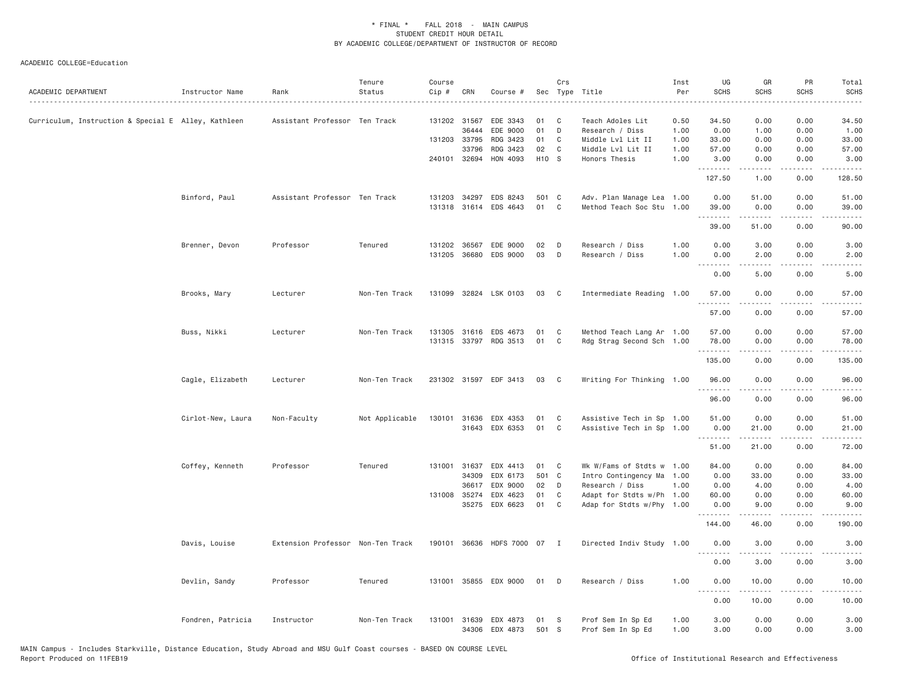| ACADEMIC DEPARTMENT                                 | Instructor Name   | Rank                              | Tenure<br>Status | Course<br>Cip # | CRN                   | Course #                          |             | Crs          | Sec Type Title                                    | Inst<br>Per<br>$\sim$ $\sim$ $\sim$ $\sim$ $\sim$ | UG<br><b>SCHS</b>                                                                                                                 | GR<br><b>SCHS</b>                                                                                                                                    | PR<br><b>SCHS</b> | Total<br><b>SCHS</b><br>$- - - -$ |
|-----------------------------------------------------|-------------------|-----------------------------------|------------------|-----------------|-----------------------|-----------------------------------|-------------|--------------|---------------------------------------------------|---------------------------------------------------|-----------------------------------------------------------------------------------------------------------------------------------|------------------------------------------------------------------------------------------------------------------------------------------------------|-------------------|-----------------------------------|
| Curriculum, Instruction & Special E Alley, Kathleen |                   | Assistant Professor Ten Track     |                  |                 | 131202 31567<br>36444 | EDE 3343<br>EDE 9000              | 01<br>01    | C<br>D       | Teach Adoles Lit<br>Research / Diss               | 0.50<br>1.00                                      | 34.50<br>0.00                                                                                                                     | 0.00<br>1.00                                                                                                                                         | 0.00<br>0.00      | 34.50<br>1.00                     |
|                                                     |                   |                                   |                  |                 | 131203 33795          | RDG 3423                          | 01          | C            | Middle Lvl Lit II                                 | 1.00                                              | 33.00                                                                                                                             | 0.00                                                                                                                                                 | 0.00              | 33.00                             |
|                                                     |                   |                                   |                  |                 | 33796                 | RDG 3423                          | 02          | C            | Middle Lvl Lit II                                 | 1.00                                              | 57.00                                                                                                                             | 0.00                                                                                                                                                 | 0.00              | 57.00                             |
|                                                     |                   |                                   |                  |                 | 240101 32694          | HON 4093                          | H10 S       |              | Honors Thesis                                     | 1.00                                              | 3.00<br>.                                                                                                                         | 0.00                                                                                                                                                 | 0.00              | 3.00                              |
|                                                     |                   |                                   |                  |                 |                       |                                   |             |              |                                                   |                                                   | 127.50                                                                                                                            | 1.00                                                                                                                                                 | 0.00              | 128.50                            |
|                                                     | Binford, Paul     | Assistant Professor Ten Track     |                  | 131203          | 34297                 | EDS 8243                          | 501 C       |              | Adv. Plan Manage Lea 1.00                         |                                                   | 0.00                                                                                                                              | 51.00                                                                                                                                                | 0.00              | 51.00                             |
|                                                     |                   |                                   |                  |                 |                       | 131318 31614 EDS 4643             | 01          | $\mathbf C$  | Method Teach Soc Stu 1.00                         |                                                   | 39.00                                                                                                                             | 0.00                                                                                                                                                 | 0.00              | 39.00                             |
|                                                     |                   |                                   |                  |                 |                       |                                   |             |              |                                                   |                                                   | .<br>39.00                                                                                                                        | .<br>51.00                                                                                                                                           | .<br>0.00         | .<br>90.00                        |
|                                                     |                   |                                   |                  |                 |                       |                                   |             |              |                                                   |                                                   |                                                                                                                                   |                                                                                                                                                      |                   |                                   |
|                                                     | Brenner, Devon    | Professor                         | Tenured          |                 | 131202 36567          | EDE 9000                          | 02          | D<br>D       | Research / Diss                                   | 1.00<br>1.00                                      | 0.00<br>0.00                                                                                                                      | 3.00                                                                                                                                                 | 0.00              | 3.00                              |
|                                                     |                   |                                   |                  |                 | 131205 36680          | EDS 9000                          | 03          |              | Research / Diss                                   |                                                   | $\sim$ $\sim$ $\sim$<br>.                                                                                                         | 2.00                                                                                                                                                 | 0.00              | 2.00                              |
|                                                     |                   |                                   |                  |                 |                       |                                   |             |              |                                                   |                                                   | 0.00                                                                                                                              | 5.00                                                                                                                                                 | 0.00              | 5.00                              |
|                                                     | Brooks, Mary      | Lecturer                          | Non-Ten Track    |                 |                       | 131099 32824 LSK 0103             | 03          | C            | Intermediate Reading 1.00                         |                                                   | 57.00                                                                                                                             | 0.00                                                                                                                                                 | 0.00              | 57.00                             |
|                                                     |                   |                                   |                  |                 |                       |                                   |             |              |                                                   |                                                   | 57.00                                                                                                                             | 0.00                                                                                                                                                 | 0.00              | 57.00                             |
|                                                     | Buss, Nikki       | Lecturer                          | Non-Ten Track    |                 | 131305 31616          | EDS 4673                          | 01          | C            | Method Teach Lang Ar 1.00                         |                                                   | 57.00                                                                                                                             | 0.00                                                                                                                                                 | 0.00              | 57.00                             |
|                                                     |                   |                                   |                  |                 |                       | 131315 33797 RDG 3513             | 01          | $\mathbf C$  | Rdg Strag Second Sch 1.00                         |                                                   | 78.00                                                                                                                             | 0.00                                                                                                                                                 | 0.00              | 78.00                             |
|                                                     |                   |                                   |                  |                 |                       |                                   |             |              |                                                   |                                                   | 135.00                                                                                                                            | .<br>0.00                                                                                                                                            | .<br>0.00         | .<br>135.00                       |
|                                                     |                   |                                   |                  |                 |                       |                                   |             |              |                                                   |                                                   |                                                                                                                                   |                                                                                                                                                      |                   |                                   |
|                                                     | Cagle, Elizabeth  | Lecturer                          | Non-Ten Track    |                 |                       | 231302 31597 EDF 3413             | 03          | C            | Writing For Thinking 1.00                         |                                                   | 96.00<br>.                                                                                                                        | 0.00<br>.                                                                                                                                            | 0.00<br>.         | 96.00<br>المتماما                 |
|                                                     |                   |                                   |                  |                 |                       |                                   |             |              |                                                   |                                                   | 96.00                                                                                                                             | 0.00                                                                                                                                                 | 0.00              | 96.00                             |
|                                                     | Cirlot-New, Laura | Non-Faculty                       | Not Applicable   | 130101          |                       | 31636 EDX 4353                    | 01          | C            | Assistive Tech in Sp 1.00                         |                                                   | 51.00                                                                                                                             | 0.00                                                                                                                                                 | 0.00              | 51.00                             |
|                                                     |                   |                                   |                  |                 |                       | 31643 EDX 6353                    | 01          | C            | Assistive Tech in Sp 1.00                         |                                                   | 0.00                                                                                                                              | 21.00                                                                                                                                                | 0.00              | 21.00                             |
|                                                     |                   |                                   |                  |                 |                       |                                   |             |              |                                                   |                                                   | .<br>51.00                                                                                                                        | 21.00                                                                                                                                                | .<br>0.00         | .<br>72.00                        |
|                                                     |                   |                                   |                  |                 |                       |                                   |             |              |                                                   |                                                   |                                                                                                                                   |                                                                                                                                                      |                   |                                   |
|                                                     | Coffey, Kenneth   | Professor                         | Tenured          | 131001          | 31637                 | EDX 4413                          | 01          | C            | Wk W/Fams of Stdts w 1.00                         |                                                   | 84.00                                                                                                                             | 0.00                                                                                                                                                 | 0.00              | 84.00                             |
|                                                     |                   |                                   |                  |                 | 34309                 | EDX 6173                          | 501         | C            | Intro Contingency Ma                              | 1.00                                              | 0.00                                                                                                                              | 33.00                                                                                                                                                | 0.00              | 33.00                             |
|                                                     |                   |                                   |                  |                 | 36617                 | EDX 9000                          | 02<br>01    | D<br>C       | Research / Diss                                   | 1.00                                              | 0.00                                                                                                                              | 4.00                                                                                                                                                 | 0.00              | 4.00                              |
|                                                     |                   |                                   |                  |                 | 131008 35274          | EDX 4623<br>35275 EDX 6623        | 01          | C            | Adapt for Stdts w/Ph<br>Adap for Stdts w/Phy 1.00 | 1.00                                              | 60.00<br>0.00                                                                                                                     | 0.00<br>9.00                                                                                                                                         | 0.00<br>0.00      | 60.00<br>9.00                     |
|                                                     |                   |                                   |                  |                 |                       |                                   |             |              |                                                   |                                                   | .                                                                                                                                 | $\frac{1}{2} \left( \frac{1}{2} \right) \left( \frac{1}{2} \right) \left( \frac{1}{2} \right) \left( \frac{1}{2} \right) \left( \frac{1}{2} \right)$ | $   -$            | .                                 |
|                                                     |                   |                                   |                  |                 |                       |                                   |             |              |                                                   |                                                   | 144.00                                                                                                                            | 46.00                                                                                                                                                | 0.00              | 190.00                            |
|                                                     | Davis, Louise     | Extension Professor Non-Ten Track |                  |                 |                       | 190101 36636 HDFS 7000 07         |             | $\mathbf{I}$ | Directed Indiv Study 1.00                         |                                                   | 0.00<br>.                                                                                                                         | 3.00                                                                                                                                                 | 0.00<br>.         | 3.00                              |
|                                                     |                   |                                   |                  |                 |                       |                                   |             |              |                                                   |                                                   | 0.00                                                                                                                              | 3.00                                                                                                                                                 | 0.00              | 3.00                              |
|                                                     | Devlin, Sandy     | Professor                         | Tenured          |                 |                       | 131001 35855 EDX 9000             | 01 D        |              | Research / Diss                                   | 1.00                                              | 0.00                                                                                                                              | 10.00                                                                                                                                                | 0.00              | 10.00                             |
|                                                     |                   |                                   |                  |                 |                       |                                   |             |              |                                                   |                                                   | $\frac{1}{2} \left( \frac{1}{2} \right) \left( \frac{1}{2} \right) \left( \frac{1}{2} \right) \left( \frac{1}{2} \right)$<br>0.00 | -----<br>10.00                                                                                                                                       | $- - - -$<br>0.00 | .<br>10.00                        |
|                                                     |                   |                                   |                  |                 |                       |                                   |             |              |                                                   |                                                   |                                                                                                                                   |                                                                                                                                                      |                   |                                   |
|                                                     | Fondren, Patricia | Instructor                        | Non-Ten Track    |                 | 34306                 | 131001 31639 EDX 4873<br>EDX 4873 | 01<br>501 S | S            | Prof Sem In Sp Ed<br>Prof Sem In Sp Ed            | 1.00<br>1.00                                      | 3.00<br>3,00                                                                                                                      | 0.00<br>0.00                                                                                                                                         | 0.00<br>0.00      | 3.00<br>3.00                      |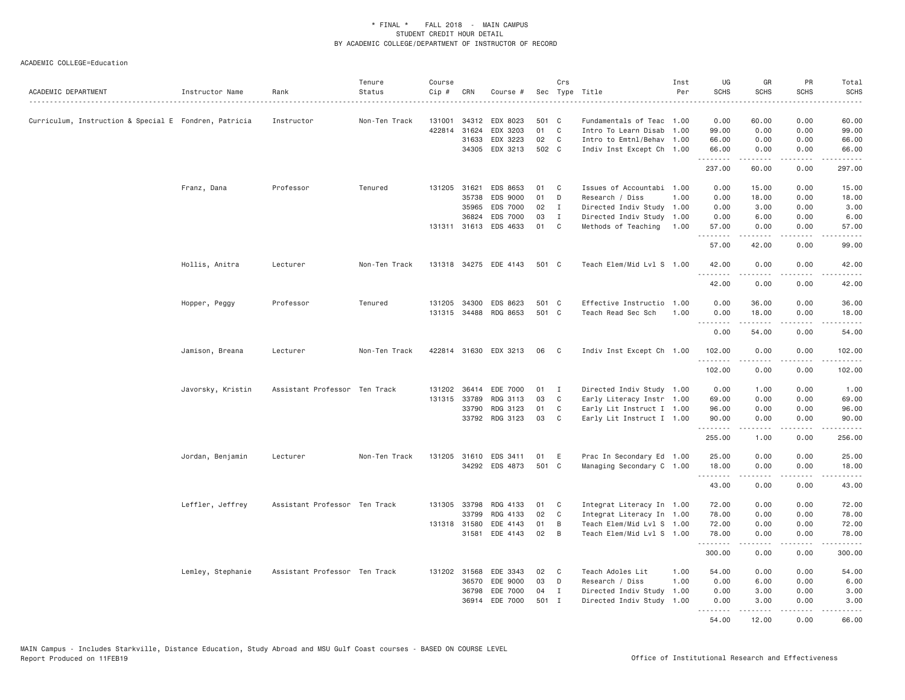| ACADEMIC DEPARTMENT                                   | Instructor Name   | Rank                          | Tenure<br>Status | Course<br>Cip # | CRN          | Course #              |       | Crs          | Sec Type Title            | Inst<br>Per | UG<br>SCHS         | GR<br><b>SCHS</b>                                                                                                                                            | PR<br><b>SCHS</b><br>.              | Total<br><b>SCHS</b><br>$\frac{1}{2} \left( \frac{1}{2} \right) \left( \frac{1}{2} \right) \left( \frac{1}{2} \right) \left( \frac{1}{2} \right) \left( \frac{1}{2} \right)$ |
|-------------------------------------------------------|-------------------|-------------------------------|------------------|-----------------|--------------|-----------------------|-------|--------------|---------------------------|-------------|--------------------|--------------------------------------------------------------------------------------------------------------------------------------------------------------|-------------------------------------|------------------------------------------------------------------------------------------------------------------------------------------------------------------------------|
| Curriculum, Instruction & Special E Fondren, Patricia |                   | Instructor                    | Non-Ten Track    | 131001          |              | 34312 EDX 8023        | 501   | $\mathbf{C}$ | Fundamentals of Teac 1.00 |             | 0.00               | 60.00                                                                                                                                                        | 0.00                                | 60.00                                                                                                                                                                        |
|                                                       |                   |                               |                  |                 | 422814 31624 | EDX 3203              | 01    | C            | Intro To Learn Disab 1.00 |             | 99.00              | 0.00                                                                                                                                                         | 0.00                                | 99.00                                                                                                                                                                        |
|                                                       |                   |                               |                  |                 | 31633        | EDX 3223              | 02    | $\mathbf{C}$ | Intro to Emtnl/Behav 1.00 |             | 66.00              | 0.00                                                                                                                                                         | 0.00                                | 66.00                                                                                                                                                                        |
|                                                       |                   |                               |                  |                 |              | 34305 EDX 3213        | 502 C |              | Indiv Inst Except Ch 1.00 |             | 66.00              | 0.00                                                                                                                                                         | 0.00                                | 66.00                                                                                                                                                                        |
|                                                       |                   |                               |                  |                 |              |                       |       |              |                           |             | .<br>237.00        | د د د د د<br>60.00                                                                                                                                           | .<br>0.00                           | .<br>297.00                                                                                                                                                                  |
|                                                       | Franz, Dana       | Professor                     | Tenured          |                 | 131205 31621 | EDS 8653              | 01    | C            | Issues of Accountabi 1.00 |             | 0.00               | 15.00                                                                                                                                                        | 0.00                                | 15.00                                                                                                                                                                        |
|                                                       |                   |                               |                  |                 | 35738        | EDS 9000              | 01    | D            | Research / Diss           | 1.00        | 0.00               | 18.00                                                                                                                                                        | 0.00                                | 18.00                                                                                                                                                                        |
|                                                       |                   |                               |                  |                 | 35965        | EDS 7000              | 02    | $\mathbf{I}$ | Directed Indiv Study 1.00 |             | 0.00               | 3.00                                                                                                                                                         | 0.00                                | 3.00                                                                                                                                                                         |
|                                                       |                   |                               |                  |                 | 36824        | EDS 7000              | 03    | $\mathbf{I}$ | Directed Indiv Study 1.00 |             | 0.00               | 6.00                                                                                                                                                         | 0.00                                | 6.00                                                                                                                                                                         |
|                                                       |                   |                               |                  |                 |              | 131311 31613 EDS 4633 | 01    | C            | Methods of Teaching       | 1.00        | 57.00<br>.         | 0.00<br>.                                                                                                                                                    | 0.00<br>.                           | 57.00<br>.                                                                                                                                                                   |
|                                                       |                   |                               |                  |                 |              |                       |       |              |                           |             | 57.00              | 42.00                                                                                                                                                        | 0.00                                | 99.00                                                                                                                                                                        |
|                                                       | Hollis, Anitra    | Lecturer                      | Non-Ten Track    |                 |              | 131318 34275 EDE 4143 | 501 C |              | Teach Elem/Mid Lvl S 1.00 |             | 42.00<br>.         | 0.00                                                                                                                                                         | 0.00<br>$\sim$ $\sim$ $\sim$ $\sim$ | 42.00                                                                                                                                                                        |
|                                                       |                   |                               |                  |                 |              |                       |       |              |                           |             | 42.00              | 0.00                                                                                                                                                         | 0.00                                | 42.00                                                                                                                                                                        |
|                                                       | Hopper, Peggy     | Professor                     | Tenured          |                 |              | 131205 34300 EDS 8623 | 501 C |              | Effective Instructio 1.00 |             | 0.00               | 36.00                                                                                                                                                        | 0.00                                | 36.00                                                                                                                                                                        |
|                                                       |                   |                               |                  |                 |              | 131315 34488 RDG 8653 | 501 C |              | Teach Read Sec Sch        | 1.00        | 0.00               | 18.00                                                                                                                                                        | 0.00                                | 18.00                                                                                                                                                                        |
|                                                       |                   |                               |                  |                 |              |                       |       |              |                           |             | <u>.</u><br>0.00   | .<br>54.00                                                                                                                                                   | .<br>0.00                           | .<br>54.00                                                                                                                                                                   |
|                                                       | Jamison, Breana   | Lecturer                      | Non-Ten Track    |                 |              | 422814 31630 EDX 3213 | 06    | C            | Indiv Inst Except Ch 1.00 |             | 102.00<br><u>.</u> | 0.00<br>2.2.2.2.2                                                                                                                                            | 0.00<br>.                           | 102.00<br>.                                                                                                                                                                  |
|                                                       |                   |                               |                  |                 |              |                       |       |              |                           |             | 102.00             | 0.00                                                                                                                                                         | 0.00                                | 102.00                                                                                                                                                                       |
|                                                       | Javorsky, Kristin | Assistant Professor Ten Track |                  |                 |              | 131202 36414 EDE 7000 | 01    | $\mathbf{I}$ | Directed Indiv Study 1.00 |             | 0.00               | 1.00                                                                                                                                                         | 0.00                                | 1.00                                                                                                                                                                         |
|                                                       |                   |                               |                  | 131315          | 33789        | RDG 3113              | 03    | C            | Early Literacy Instr 1.00 |             | 69.00              | 0.00                                                                                                                                                         | 0.00                                | 69.00                                                                                                                                                                        |
|                                                       |                   |                               |                  |                 |              | 33790 RDG 3123        | 01    | C            | Early Lit Instruct I 1.00 |             | 96.00              | 0.00                                                                                                                                                         | 0.00                                | 96.00                                                                                                                                                                        |
|                                                       |                   |                               |                  |                 |              | 33792 RDG 3123        | 03    | C.           | Early Lit Instruct I 1.00 |             | 90.00              | 0.00<br>.                                                                                                                                                    | 0.00<br>$\sim$ $\sim$ $\sim$ $\sim$ | 90.00<br>.                                                                                                                                                                   |
|                                                       |                   |                               |                  |                 |              |                       |       |              |                           |             | 255.00             | 1.00                                                                                                                                                         | 0.00                                | 256.00                                                                                                                                                                       |
|                                                       | Jordan, Benjamin  | Lecturer                      | Non-Ten Track    |                 |              | 131205 31610 EDS 3411 | 01    | E            | Prac In Secondary Ed 1.00 |             | 25.00              | 0.00                                                                                                                                                         | 0.00                                | 25.00                                                                                                                                                                        |
|                                                       |                   |                               |                  |                 |              | 34292 EDS 4873        | 501 C |              | Managing Secondary C 1.00 |             | 18.00              | 0.00                                                                                                                                                         | 0.00                                | 18,00                                                                                                                                                                        |
|                                                       |                   |                               |                  |                 |              |                       |       |              |                           |             | .<br>43.00         | .<br>0.00                                                                                                                                                    | .<br>0.00                           | .<br>43.00                                                                                                                                                                   |
|                                                       | Leffler, Jeffrey  | Assistant Professor Ten Track |                  | 131305          | 33798        | RDG 4133              | 01    | C            | Integrat Literacy In 1.00 |             | 72.00              | 0.00                                                                                                                                                         | 0.00                                | 72.00                                                                                                                                                                        |
|                                                       |                   |                               |                  |                 | 33799        | RDG 4133              | 02    | C            | Integrat Literacy In 1.00 |             | 78.00              | 0.00                                                                                                                                                         | 0.00                                | 78.00                                                                                                                                                                        |
|                                                       |                   |                               |                  |                 | 131318 31580 | EDE 4143              | 01    | B            | Teach Elem/Mid Lvl S 1.00 |             | 72.00              | 0.00                                                                                                                                                         | 0.00                                | 72.00                                                                                                                                                                        |
|                                                       |                   |                               |                  |                 | 31581        | EDE 4143              | 02    | B            | Teach Elem/Mid Lvl S 1.00 |             | 78.00              | 0.00                                                                                                                                                         | 0.00                                | 78.00                                                                                                                                                                        |
|                                                       |                   |                               |                  |                 |              |                       |       |              |                           |             | .<br>300.00        | $\frac{1}{2} \left( \frac{1}{2} \right) \left( \frac{1}{2} \right) \left( \frac{1}{2} \right) \left( \frac{1}{2} \right) \left( \frac{1}{2} \right)$<br>0.00 | .<br>0.00                           | .<br>300.00                                                                                                                                                                  |
|                                                       | Lemley, Stephanie | Assistant Professor Ten Track |                  |                 | 131202 31568 | EDE 3343              | 02    | C.           | Teach Adoles Lit          | 1.00        | 54.00              | 0.00                                                                                                                                                         | 0.00                                | 54.00                                                                                                                                                                        |
|                                                       |                   |                               |                  |                 |              | 36570 EDE 9000        | 03    | D            | Research / Diss           | 1.00        | 0.00               | 6.00                                                                                                                                                         | 0.00                                | 6.00                                                                                                                                                                         |
|                                                       |                   |                               |                  |                 |              | 36798 EDE 7000        | 04    | $\mathbf{I}$ | Directed Indiv Study 1.00 |             | 0.00               | 3.00                                                                                                                                                         | 0.00                                | 3.00                                                                                                                                                                         |
|                                                       |                   |                               |                  |                 |              | 36914 EDE 7000        | 501 I |              | Directed Indiv Study 1.00 |             | 0.00<br>.          | 3.00<br>.                                                                                                                                                    | 0.00<br>.                           | 3.00<br>.                                                                                                                                                                    |
|                                                       |                   |                               |                  |                 |              |                       |       |              |                           |             | 54.00              | 12.00                                                                                                                                                        | 0.00                                | 66.00                                                                                                                                                                        |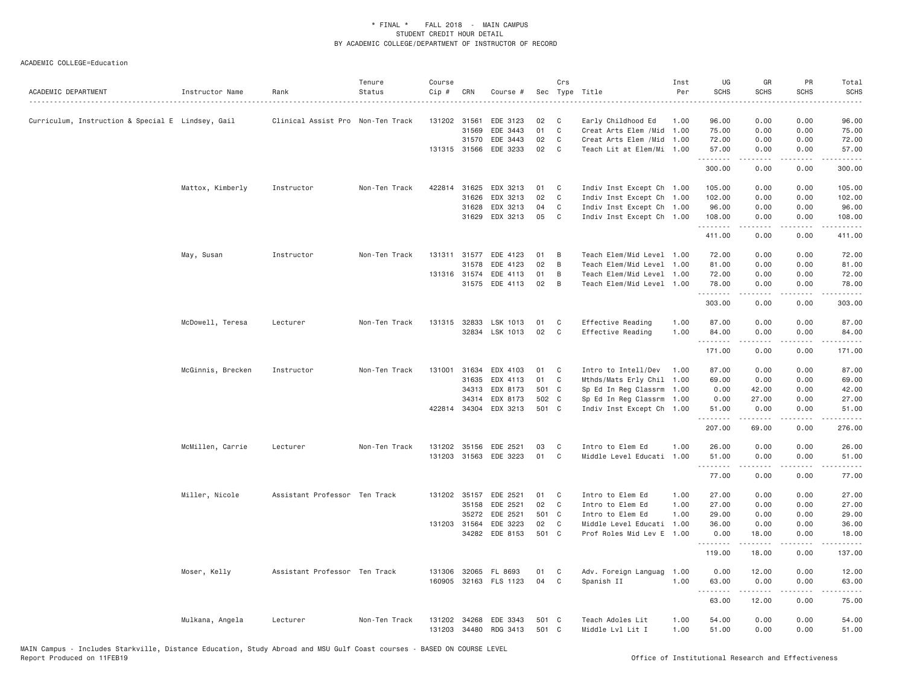| ACADEMIC DEPARTMENT                               | Instructor Name   | Rank                              | Tenure<br>Status | Course<br>Cip # | CRN   | Course #              |       | Crs            | Sec Type Title            | Inst<br>Per | UG<br><b>SCHS</b> | GR<br><b>SCHS</b> | PR<br><b>SCHS</b>                   | Total<br><b>SCHS</b><br>. |
|---------------------------------------------------|-------------------|-----------------------------------|------------------|-----------------|-------|-----------------------|-------|----------------|---------------------------|-------------|-------------------|-------------------|-------------------------------------|---------------------------|
| Curriculum, Instruction & Special E Lindsey, Gail |                   | Clinical Assist Pro Non-Ten Track |                  | 131202 31561    |       | EDE 3123              | 02    | C              | Early Childhood Ed        | 1.00        | 96.00             | 0.00              | 0.00                                | 96.00                     |
|                                                   |                   |                                   |                  |                 | 31569 | EDE 3443              | 01    | C              | Creat Arts Elem /Mid      | 1.00        | 75.00             | 0.00              | 0.00                                | 75.00                     |
|                                                   |                   |                                   |                  |                 | 31570 | EDE 3443              | 02    | C              | Creat Arts Elem /Mid      | 1.00        | 72.00             | 0.00              | 0.00                                | 72.00                     |
|                                                   |                   |                                   |                  | 131315 31566    |       | EDE 3233              | 02    | C <sub>1</sub> | Teach Lit at Elem/Mi 1.00 |             | 57.00<br>.        | 0.00              | 0.00                                | 57.00                     |
|                                                   |                   |                                   |                  |                 |       |                       |       |                |                           |             | 300.00            | 0.00              | 0.00                                | 300.00                    |
|                                                   | Mattox, Kimberly  | Instructor                        | Non-Ten Track    | 422814 31625    |       | EDX 3213              | 01    | C              | Indiv Inst Except Ch 1.00 |             | 105.00            | 0.00              | 0.00                                | 105.00                    |
|                                                   |                   |                                   |                  |                 | 31626 | EDX 3213              | 02    | C              | Indiv Inst Except Ch 1.00 |             | 102.00            | 0.00              | 0.00                                | 102.00                    |
|                                                   |                   |                                   |                  |                 | 31628 | EDX 3213              | 04    | C              | Indiv Inst Except Ch 1.00 |             | 96.00             | 0.00              | 0.00                                | 96.00                     |
|                                                   |                   |                                   |                  |                 | 31629 | EDX 3213              | 05    | C              | Indiv Inst Except Ch 1.00 |             | 108.00<br>.       | 0.00              | 0.00                                | 108.00                    |
|                                                   |                   |                                   |                  |                 |       |                       |       |                |                           |             | 411.00            | 0.00              | 0.00                                | 411.00                    |
|                                                   | May, Susan        | Instructor                        | Non-Ten Track    |                 |       | 131311 31577 EDE 4123 | 01    | B              | Teach Elem/Mid Level 1.00 |             | 72.00             | 0.00              | 0.00                                | 72.00                     |
|                                                   |                   |                                   |                  |                 | 31578 | EDE 4123              | 02    | B              | Teach Elem/Mid Level      | 1.00        | 81.00             | 0.00              | 0.00                                | 81.00                     |
|                                                   |                   |                                   |                  | 131316 31574    |       | EDE 4113              | 01    | B              | Teach Elem/Mid Level      | 1.00        | 72.00             | 0.00              | 0.00                                | 72.00                     |
|                                                   |                   |                                   |                  |                 | 31575 | EDE 4113              | 02    | B              | Teach Elem/Mid Level 1.00 |             | 78.00<br>.        | 0.00<br>د د د د   | 0.00<br>$\sim$ $\sim$ $\sim$        | 78.00<br>المستبدا         |
|                                                   |                   |                                   |                  |                 |       |                       |       |                |                           |             | 303.00            | 0.00              | 0.00                                | 303.00                    |
|                                                   | McDowell, Teresa  | Lecturer                          | Non-Ten Track    | 131315 32833    |       | LSK 1013              | 01    | C              | Effective Reading         | 1.00        | 87.00             | 0.00              | 0.00                                | 87.00                     |
|                                                   |                   |                                   |                  |                 |       | 32834 LSK 1013        | 02    | <b>C</b>       | Effective Reading         | 1.00        | 84.00             | 0.00              | 0.00                                | 84.00                     |
|                                                   |                   |                                   |                  |                 |       |                       |       |                |                           |             | .                 | $- - - - -$       | $\cdots$                            | $- - - - - -$             |
|                                                   |                   |                                   |                  |                 |       |                       |       |                |                           |             | 171.00            | 0.00              | 0.00                                | 171.00                    |
|                                                   | McGinnis, Brecken | Instructor                        | Non-Ten Track    | 131001 31634    |       | EDX 4103              | 01    | C              | Intro to Intell/Dev       | 1.00        | 87.00             | 0.00              | 0.00                                | 87.00                     |
|                                                   |                   |                                   |                  |                 | 31635 | EDX 4113              | 01    | C              | Mthds/Mats Erly Chil 1.00 |             | 69.00             | 0.00              | 0.00                                | 69.00                     |
|                                                   |                   |                                   |                  |                 | 34313 | EDX 8173              | 501 C |                | Sp Ed In Reg Classrm 1.00 |             | 0.00              | 42.00             | 0.00                                | 42.00                     |
|                                                   |                   |                                   |                  |                 | 34314 | EDX 8173              | 502 C |                | Sp Ed In Reg Classrm 1.00 |             | 0.00              | 27.00             | 0.00                                | 27.00                     |
|                                                   |                   |                                   |                  |                 |       | 422814 34304 EDX 3213 | 501 C |                | Indiv Inst Except Ch 1.00 |             | 51.00<br>.        | 0.00<br>.         | 0.00<br>.                           | 51.00                     |
|                                                   |                   |                                   |                  |                 |       |                       |       |                |                           |             | 207.00            | 69.00             | 0.00                                | 276.00                    |
|                                                   | McMillen, Carrie  | Lecturer                          | Non-Ten Track    | 131202 35156    |       | EDE 2521              | 03    | C              | Intro to Elem Ed          | 1.00        | 26.00             | 0.00              | 0.00                                | 26.00                     |
|                                                   |                   |                                   |                  | 131203 31563    |       | EDE 3223              | 01    | C              | Middle Level Educati 1.00 |             | 51.00<br>.        | 0.00              | 0.00<br>$\sim$ $\sim$ $\sim$ $\sim$ | 51.00                     |
|                                                   |                   |                                   |                  |                 |       |                       |       |                |                           |             | 77.00             | 0.00              | 0.00                                | 77.00                     |
|                                                   | Miller, Nicole    | Assistant Professor Ten Track     |                  |                 |       | 131202 35157 EDE 2521 | 01    | C              | Intro to Elem Ed          | 1.00        | 27.00             | 0.00              | 0.00                                | 27.00                     |
|                                                   |                   |                                   |                  |                 | 35158 | EDE 2521              | 02    | $\mathbf{C}$   | Intro to Elem Ed          | 1.00        | 27.00             | 0.00              | 0.00                                | 27.00                     |
|                                                   |                   |                                   |                  |                 | 35272 | EDE 2521              | 501 C |                | Intro to Elem Ed          | 1.00        | 29.00             | 0.00              | 0.00                                | 29.00                     |
|                                                   |                   |                                   |                  | 131203 31564    |       | EDE 3223              | 02    | C              | Middle Level Educati      | 1.00        | 36.00             | 0.00              | 0.00                                | 36.00                     |
|                                                   |                   |                                   |                  |                 | 34282 | EDE 8153              | 501 C |                | Prof Roles Mid Lev E      | 1.00        | 0.00<br>.         | 18.00<br>.        | 0.00<br>.                           | 18.00<br>.                |
|                                                   |                   |                                   |                  |                 |       |                       |       |                |                           |             | 119.00            | 18.00             | 0.00                                | 137.00                    |
|                                                   | Moser, Kelly      | Assistant Professor Ten Track     |                  | 131306          | 32065 | FL 8693               | 01    | C              | Adv. Foreign Languag      | 1.00        | 0.00              | 12.00             | 0.00                                | 12.00                     |
|                                                   |                   |                                   |                  |                 |       | 160905 32163 FLS 1123 | 04    | C              | Spanish II                | 1.00        | 63.00<br>.        | 0.00<br>.         | 0.00<br>.                           | 63.00<br>.                |
|                                                   |                   |                                   |                  |                 |       |                       |       |                |                           |             | 63.00             | 12.00             | 0.00                                | 75.00                     |
|                                                   | Mulkana, Angela   | Lecturer                          | Non-Ten Track    | 131202          | 34268 | EDE 3343              | 501 C |                | Teach Adoles Lit          | 1.00        | 54.00             | 0.00              | 0.00                                | 54.00                     |
|                                                   |                   |                                   |                  | 131203 34480    |       | RDG 3413              | 501 C |                | Middle Lvl Lit I          | 1.00        | 51.00             | 0.00              | 0.00                                | 51.00                     |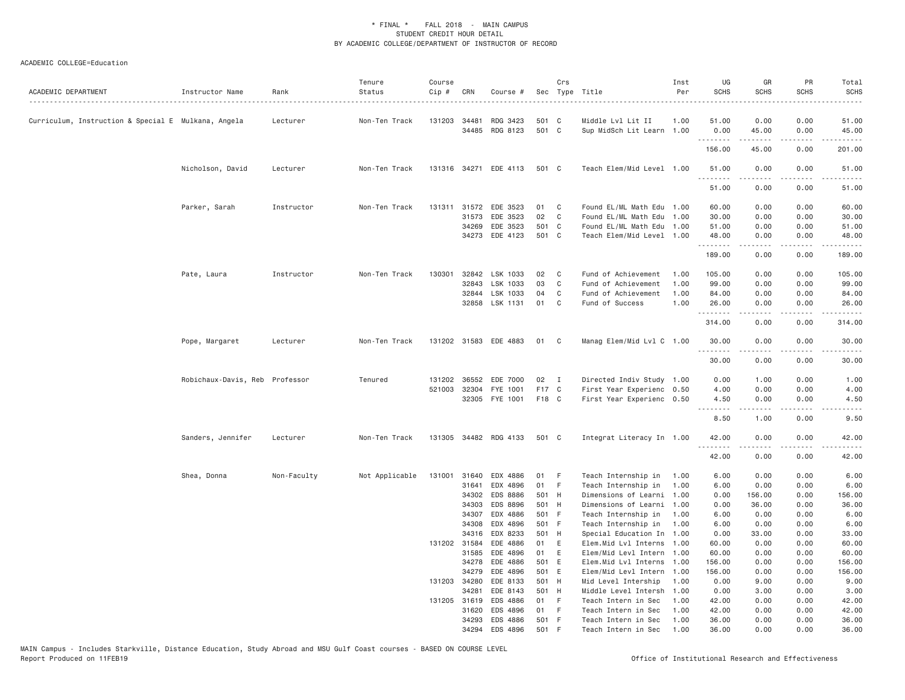| ACADEMIC DEPARTMENT                                 | Instructor Name                | Rank        | Tenure<br>Status | Course<br>Cip # | CRN          | Course #                         |              | Crs          | Sec Type Title                                  | Inst<br>Per | UG<br><b>SCHS</b> | GR<br><b>SCHS</b>                   | PR<br><b>SCHS</b> | Total<br><b>SCHS</b>                                                                                                                                                                      |
|-----------------------------------------------------|--------------------------------|-------------|------------------|-----------------|--------------|----------------------------------|--------------|--------------|-------------------------------------------------|-------------|-------------------|-------------------------------------|-------------------|-------------------------------------------------------------------------------------------------------------------------------------------------------------------------------------------|
| Curriculum, Instruction & Special E Mulkana, Angela |                                | Lecturer    | Non-Ten Track    | 131203          | 34481        | RDG 3423                         | 501 C        |              | Middle Lvl Lit II                               | 1.00        | 51.00             | 0.00                                | 0.00              | 51.00                                                                                                                                                                                     |
|                                                     |                                |             |                  |                 |              | 34485 RDG 8123                   | 501 C        |              | Sup MidSch Lit Learn 1.00                       |             | 0.00              | 45.00                               | 0.00              | 45.00                                                                                                                                                                                     |
|                                                     |                                |             |                  |                 |              |                                  |              |              |                                                 |             | .<br>156.00       | .<br>45.00                          | -----<br>0.00     | $\frac{1}{2} \left( \frac{1}{2} \right) \left( \frac{1}{2} \right) \left( \frac{1}{2} \right) \left( \frac{1}{2} \right) \left( \frac{1}{2} \right) \left( \frac{1}{2} \right)$<br>201.00 |
|                                                     | Nicholson, David               | Lecturer    | Non-Ten Track    |                 |              | 131316 34271 EDE 4113            | 501 C        |              | Teach Elem/Mid Level 1.00                       |             | 51.00             | 0.00                                | 0.00              | 51.00                                                                                                                                                                                     |
|                                                     |                                |             |                  |                 |              |                                  |              |              |                                                 |             | .<br>51.00        | 2.2.2.2.2<br>0.00                   | .<br>0.00         | .<br>51.00                                                                                                                                                                                |
|                                                     | Parker, Sarah                  | Instructor  | Non-Ten Track    | 131311          | 31572        | EDE 3523                         | 01           | C            | Found EL/ML Math Edu 1.00                       |             | 60.00             | 0.00                                | 0.00              | 60.00                                                                                                                                                                                     |
|                                                     |                                |             |                  |                 | 31573        | EDE 3523                         | 02           | C            | Found EL/ML Math Edu 1.00                       |             | 30.00             | 0.00                                | 0.00              | 30.00                                                                                                                                                                                     |
|                                                     |                                |             |                  |                 | 34269        | EDE 3523                         | 501 C        |              | Found EL/ML Math Edu 1.00                       |             | 51.00             | 0.00                                | 0.00              | 51.00                                                                                                                                                                                     |
|                                                     |                                |             |                  |                 |              | 34273 EDE 4123                   | 501 C        |              | Teach Elem/Mid Level 1.00                       |             | 48.00<br>.        | 0.00<br>$- - - - -$                 | 0.00<br>.         | 48.00<br>.                                                                                                                                                                                |
|                                                     |                                |             |                  |                 |              |                                  |              |              |                                                 |             | 189.00            | 0.00                                | 0.00              | 189.00                                                                                                                                                                                    |
|                                                     | Pate, Laura                    | Instructor  | Non-Ten Track    | 130301          | 32842        | LSK 1033                         | 02           | C            | Fund of Achievement                             | 1.00        | 105.00            | 0.00                                | 0.00              | 105.00                                                                                                                                                                                    |
|                                                     |                                |             |                  |                 | 32843        | LSK 1033                         | 03           | C            | Fund of Achievement                             | 1.00        | 99.00             | 0.00                                | 0.00              | 99.00                                                                                                                                                                                     |
|                                                     |                                |             |                  |                 |              | 32844 LSK 1033                   | 04           | C            | Fund of Achievement                             | 1.00        | 84.00             | 0.00                                | 0.00              | 84.00                                                                                                                                                                                     |
|                                                     |                                |             |                  |                 | 32858        | LSK 1131                         | 01           | C            | Fund of Success                                 | 1.00        | 26.00<br>.        | 0.00<br><b>.</b>                    | 0.00<br>.         | 26.00<br>.                                                                                                                                                                                |
|                                                     |                                |             |                  |                 |              |                                  |              |              |                                                 |             | 314.00            | 0.00                                | 0.00              | 314.00                                                                                                                                                                                    |
|                                                     | Pope, Margaret                 | Lecturer    | Non-Ten Track    |                 |              | 131202 31583 EDE 4883            | 01           | C            | Manag Elem/Mid Lvl C 1.00                       |             | 30.00             | 0.00                                | 0.00              | 30.00                                                                                                                                                                                     |
|                                                     |                                |             |                  |                 |              |                                  |              |              |                                                 |             | .<br>30.00        | 0.00                                | 0.00              | 30.00                                                                                                                                                                                     |
|                                                     | Robichaux-Davis, Reb Professor |             | Tenured          |                 | 131202 36552 | EDE 7000                         | 02           | $\mathbf{I}$ | Directed Indiv Study 1.00                       |             | 0.00              | 1.00                                | 0.00              | 1.00                                                                                                                                                                                      |
|                                                     |                                |             |                  | 521003          | 32304        | FYE 1001                         | F17 C        |              | First Year Experienc 0.50                       |             | 4.00              | 0.00                                | 0.00              | 4.00                                                                                                                                                                                      |
|                                                     |                                |             |                  |                 |              | 32305 FYE 1001                   | F18 C        |              | First Year Experienc 0.50                       |             | 4.50<br>.         | 0.00<br>$\sim$ $\sim$ $\sim$ $\sim$ | 0.00<br>.         | 4.50<br>$\sim$ $\sim$ $\sim$ $\sim$                                                                                                                                                       |
|                                                     |                                |             |                  |                 |              |                                  |              |              |                                                 |             | 8.50              | 1.00                                | 0.00              | 9.50                                                                                                                                                                                      |
|                                                     | Sanders, Jennifer              | Lecturer    | Non-Ten Track    |                 |              | 131305 34482 RDG 4133            | 501 C        |              | Integrat Literacy In 1.00                       |             | 42.00             | 0.00                                | 0.00              | 42.00                                                                                                                                                                                     |
|                                                     |                                |             |                  |                 |              |                                  |              |              |                                                 |             | .<br>42.00        | <b>.</b><br>0.00                    | .<br>0.00         | .<br>42.00                                                                                                                                                                                |
|                                                     | Shea, Donna                    | Non-Faculty | Not Applicable   | 131001          | 31640        | EDX 4886                         | 01           | F            | Teach Internship in                             | 1.00        | 6.00              | 0.00                                | 0.00              | 6.00                                                                                                                                                                                      |
|                                                     |                                |             |                  |                 | 31641        | EDX 4896                         | 01           | F            | Teach Internship in                             | 1.00        | 6.00              | 0.00                                | 0.00              | 6.00                                                                                                                                                                                      |
|                                                     |                                |             |                  |                 | 34302        | EDS 8886                         | 501 H        |              | Dimensions of Learni 1.00                       |             | 0.00              | 156.00                              | 0.00              | 156.00                                                                                                                                                                                    |
|                                                     |                                |             |                  |                 | 34303        | EDS 8896                         | 501 H        |              | Dimensions of Learni 1.00                       |             | 0.00              | 36.00                               | 0.00              | 36.00                                                                                                                                                                                     |
|                                                     |                                |             |                  |                 | 34307        | EDX 4886                         | 501 F        |              | Teach Internship in                             | 1.00        | 6.00              | 0.00                                | 0.00              | 6.00                                                                                                                                                                                      |
|                                                     |                                |             |                  |                 | 34308        | EDX 4896                         | 501 F        |              | Teach Internship in                             | 1.00        | 6.00              | 0.00                                | 0.00              | 6.00                                                                                                                                                                                      |
|                                                     |                                |             |                  |                 | 34316        | EDX 8233                         | 501 H        |              | Special Education In 1.00                       |             | 0.00              | 33.00                               | 0.00              | 33.00                                                                                                                                                                                     |
|                                                     |                                |             |                  |                 | 131202 31584 | EDE 4886                         | 01           | E            | Elem.Mid Lvl Interns 1.00                       |             | 60.00             | 0.00                                | 0.00              | 60.00                                                                                                                                                                                     |
|                                                     |                                |             |                  |                 | 31585        | EDE 4896                         | 01           | E            | Elem/Mid Levl Intern 1.00                       |             | 60.00             | 0.00                                | 0.00              | 60.00                                                                                                                                                                                     |
|                                                     |                                |             |                  |                 | 34278        | EDE 4886                         | 501 E        |              | Elem.Mid Lvl Interns 1.00                       |             | 156.00            | 0.00                                | 0.00              | 156.00                                                                                                                                                                                    |
|                                                     |                                |             |                  |                 | 34279        | EDE 4896                         | 501 E        |              | Elem/Mid Levl Intern 1.00                       |             | 156.00            | 0.00                                | 0.00              | 156.00                                                                                                                                                                                    |
|                                                     |                                |             |                  | 131203 34280    |              | EDE 8133                         | 501 H        |              | Mid Level Intership                             | 1.00        | 0.00              | 9.00                                | 0.00              | 9.00                                                                                                                                                                                      |
|                                                     |                                |             |                  |                 | 34281        | EDE 8143                         | 501 H        |              | Middle Level Intersh                            | 1.00        | 0.00              | 3.00                                | 0.00              | 3.00                                                                                                                                                                                      |
|                                                     |                                |             |                  |                 | 131205 31619 | EDS 4886                         | 01           | - F          | Teach Intern in Sec                             | 1.00        | 42.00             | 0.00                                | 0.00              | 42.00                                                                                                                                                                                     |
|                                                     |                                |             |                  |                 | 31620        | EDS 4896                         | 01           | -F           | Teach Intern in Sec                             | 1.00        | 42.00             | 0.00                                | 0.00              | 42.00                                                                                                                                                                                     |
|                                                     |                                |             |                  |                 |              | 34293 EDS 4886<br>34294 FDS 4896 | 501 F<br>501 | E            | Teach Intern in Sec<br>Teach Intern in Sec 1.00 | 1.00        | 36.00<br>36.00    | 0.00<br>0.00                        | 0.00<br>0.00      | 36.00<br>36.00                                                                                                                                                                            |
|                                                     |                                |             |                  |                 |              |                                  |              |              |                                                 |             |                   |                                     |                   |                                                                                                                                                                                           |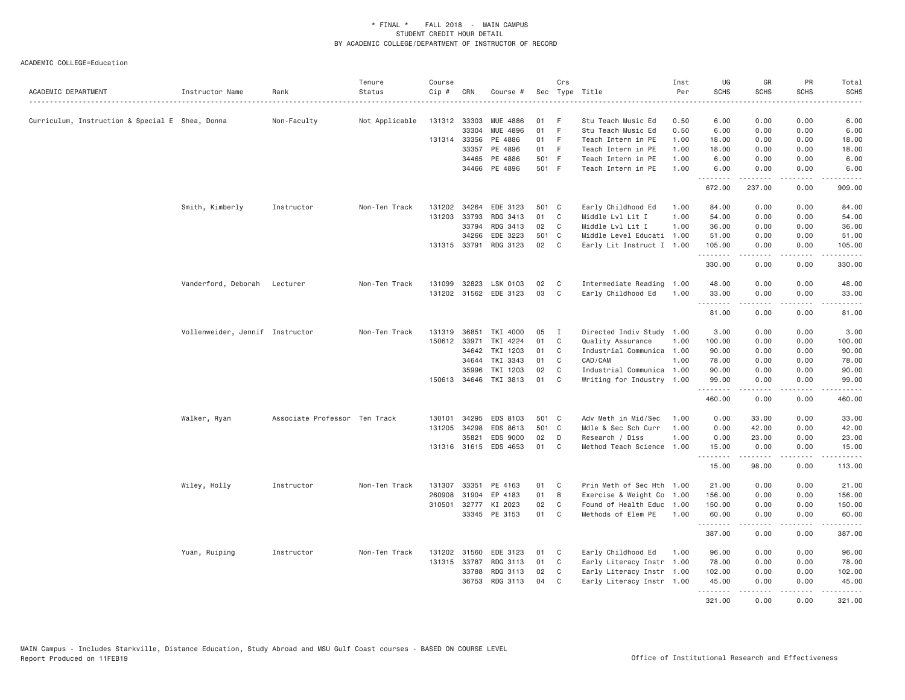| ACADEMIC DEPARTMENT                             | Instructor Name                 | Rank                          | Tenure<br>Status | Course<br>Cip # | CRN          | Course #              |       | Crs            | Sec Type Title            | Inst<br>Per | UG<br><b>SCHS</b>  | GR<br><b>SCHS</b>   | PR<br><b>SCHS</b> | Total<br><b>SCHS</b> |
|-------------------------------------------------|---------------------------------|-------------------------------|------------------|-----------------|--------------|-----------------------|-------|----------------|---------------------------|-------------|--------------------|---------------------|-------------------|----------------------|
| Curriculum, Instruction & Special E Shea, Donna |                                 | Non-Faculty                   | Not Applicable   | 131312          | 33303        | <b>MUE 4886</b>       | 01    | -F             | Stu Teach Music Ed        | 0.50        | 6.00               | 0.00                | 0.00              | 6.00                 |
|                                                 |                                 |                               |                  |                 | 33304        | MUE 4896              | 01    | - F            | Stu Teach Music Ed        | 0.50        | 6.00               | 0.00                | 0.00              | 6.00                 |
|                                                 |                                 |                               |                  |                 | 131314 33356 | PE 4886               | 01    | -F             | Teach Intern in PE        | 1.00        | 18.00              | 0.00                | 0.00              | 18.00                |
|                                                 |                                 |                               |                  |                 | 33357        | PE 4896               | 01 F  |                | Teach Intern in PE        | 1.00        | 18.00              | 0.00                | 0.00              | 18.00                |
|                                                 |                                 |                               |                  |                 | 34465        | PE 4886               | 501 F |                | Teach Intern in PE        | 1.00        | 6.00               | 0.00                | 0.00              | 6.00                 |
|                                                 |                                 |                               |                  |                 |              | 34466 PE 4896         | 501 F |                | Teach Intern in PE        | 1.00        | 6.00               | 0.00                | 0.00              | 6.00                 |
|                                                 |                                 |                               |                  |                 |              |                       |       |                |                           |             | <u>.</u><br>672.00 | .<br>237.00         | .<br>0.00         | .<br>909.00          |
|                                                 | Smith, Kimberly                 | Instructor                    | Non-Ten Track    | 131202          | 34264        | EDE 3123              | 501 C |                | Early Childhood Ed        | 1.00        | 84.00              | 0.00                | 0.00              | 84.00                |
|                                                 |                                 |                               |                  | 131203          | 33793        | RDG 3413              | 01    | C              | Middle Lvl Lit I          | 1.00        | 54.00              | 0.00                | 0.00              | 54.00                |
|                                                 |                                 |                               |                  |                 | 33794        | RDG 3413              | 02    | C              | Middle Lvl Lit I          | 1.00        | 36.00              | 0.00                | 0.00              | 36.00                |
|                                                 |                                 |                               |                  |                 | 34266        | EDE 3223              | 501 C |                | Middle Level Educati 1.00 |             | 51.00              | 0.00                | 0.00              | 51.00                |
|                                                 |                                 |                               |                  |                 | 131315 33791 | RDG 3123              | 02    | $\mathbf{C}$   | Early Lit Instruct I 1.00 |             | 105.00             | 0.00                | 0.00              | 105.00               |
|                                                 |                                 |                               |                  |                 |              |                       |       |                |                           |             | .<br>330.00        | 0.00                | .<br>0.00         | .<br>330.00          |
|                                                 | Vanderford, Deborah Lecturer    |                               | Non-Ten Track    | 131099          | 32823        | LSK 0103              | 02    | C              | Intermediate Reading 1.00 |             | 48.00              | 0.00                | 0.00              | 48.00                |
|                                                 |                                 |                               |                  |                 |              | 131202 31562 EDE 3123 | 03    | C              | Early Childhood Ed        | 1.00        | 33.00              | 0.00                | 0.00              | 33.00                |
|                                                 |                                 |                               |                  |                 |              |                       |       |                |                           |             | .                  | .                   | .                 | .                    |
|                                                 |                                 |                               |                  |                 |              |                       |       |                |                           |             | 81.00              | 0.00                | 0.00              | 81.00                |
|                                                 | Vollenweider, Jennif Instructor |                               | Non-Ten Track    | 131319          | 36851        | TKI 4000              | 05    | <b>I</b>       | Directed Indiv Study 1.00 |             | 3.00               | 0.00                | 0.00              | 3.00                 |
|                                                 |                                 |                               |                  |                 | 150612 33971 | TKI 4224              | 01    | C              | Quality Assurance         | 1.00        | 100.00             | 0.00                | 0.00              | 100.00               |
|                                                 |                                 |                               |                  |                 | 34642        | TKI 1203              | 01    | C              | Industrial Communica 1.00 |             | 90.00              | 0.00                | 0.00              | 90.00                |
|                                                 |                                 |                               |                  |                 | 34644        | TKI 3343              | 01    | C              | CAD/CAM                   | 1.00        | 78.00              | 0.00                | 0.00              | 78.00                |
|                                                 |                                 |                               |                  |                 | 35996        | TKI 1203              | 02    | C              | Industrial Communica 1.00 |             | 90.00              | 0.00                | 0.00              | 90.00                |
|                                                 |                                 |                               |                  |                 | 150613 34646 | TKI 3813              | 01    | C              | Writing for Industry 1.00 |             | 99.00<br><u>.</u>  | 0.00<br>$- - - - -$ | 0.00<br>.         | 99.00<br>.           |
|                                                 |                                 |                               |                  |                 |              |                       |       |                |                           |             | 460.00             | 0.00                | 0.00              | 460.00               |
|                                                 | Walker, Ryan                    | Associate Professor Ten Track |                  | 130101          | 34295        | EDS 8103              | 501 C |                | Adv Meth in Mid/Sec       | 1.00        | 0.00               | 33.00               | 0.00              | 33.00                |
|                                                 |                                 |                               |                  | 131205          | 34298        | EDS 8613              | 501 C |                | Mdle & Sec Sch Curr       | 1.00        | 0.00               | 42.00               | 0.00              | 42.00                |
|                                                 |                                 |                               |                  |                 | 35821        | EDS 9000              | 02    | D              | Research / Diss           | 1.00        | 0.00               | 23.00               | 0.00              | 23.00                |
|                                                 |                                 |                               |                  |                 |              | 131316 31615 EDS 4653 | 01    | C              | Method Teach Science 1.00 |             | 15.00              | 0.00                | 0.00              | 15.00                |
|                                                 |                                 |                               |                  |                 |              |                       |       |                |                           |             | 15.00              | .<br>98.00          | .<br>0.00         | . د د د د<br>113.00  |
|                                                 | Wiley, Holly                    | Instructor                    | Non-Ten Track    | 131307          | 33351        | PE 4163               | 01    | C <sub>1</sub> | Prin Meth of Sec Hth 1.00 |             | 21.00              | 0.00                | 0.00              | 21.00                |
|                                                 |                                 |                               |                  | 260908          | 31904        | EP 4183               | 01    | B              | Exercise & Weight Co      | 1.00        | 156.00             | 0.00                | 0.00              | 156.00               |
|                                                 |                                 |                               |                  |                 |              | 310501 32777 KI 2023  | 02    | C              | Found of Health Educ      | 1.00        | 150.00             | 0.00                | 0.00              | 150.00               |
|                                                 |                                 |                               |                  |                 | 33345        | PE 3153               | 01    | C <sub>1</sub> | Methods of Elem PE        | 1.00        | 60.00              | 0.00                | 0.00              | 60.00                |
|                                                 |                                 |                               |                  |                 |              |                       |       |                |                           |             | .<br>387.00        | 0.00                | 0.00              | 387.00               |
|                                                 | Yuan, Ruiping                   | Instructor                    | Non-Ten Track    | 131202          | 31560        | EDE 3123              | 01    | C              | Early Childhood Ed        | 1.00        | 96.00              | 0.00                | 0.00              | 96.00                |
|                                                 |                                 |                               |                  |                 | 131315 33787 | RDG 3113              | 01    | C              | Early Literacy Instr 1.00 |             | 78.00              | 0.00                | 0.00              | 78.00                |
|                                                 |                                 |                               |                  |                 | 33788        | RDG 3113              | 02    | C <sub>1</sub> | Early Literacy Instr 1.00 |             | 102.00             | 0.00                | 0.00              | 102.00               |
|                                                 |                                 |                               |                  |                 | 36753        | RDG 3113              | 04    | C              | Early Literacy Instr 1.00 |             | 45.00              | 0.00                | 0.00              | 45.00                |
|                                                 |                                 |                               |                  |                 |              |                       |       |                |                           |             | .<br>321.00        | 0.00                | 0.00              | .<br>321,00          |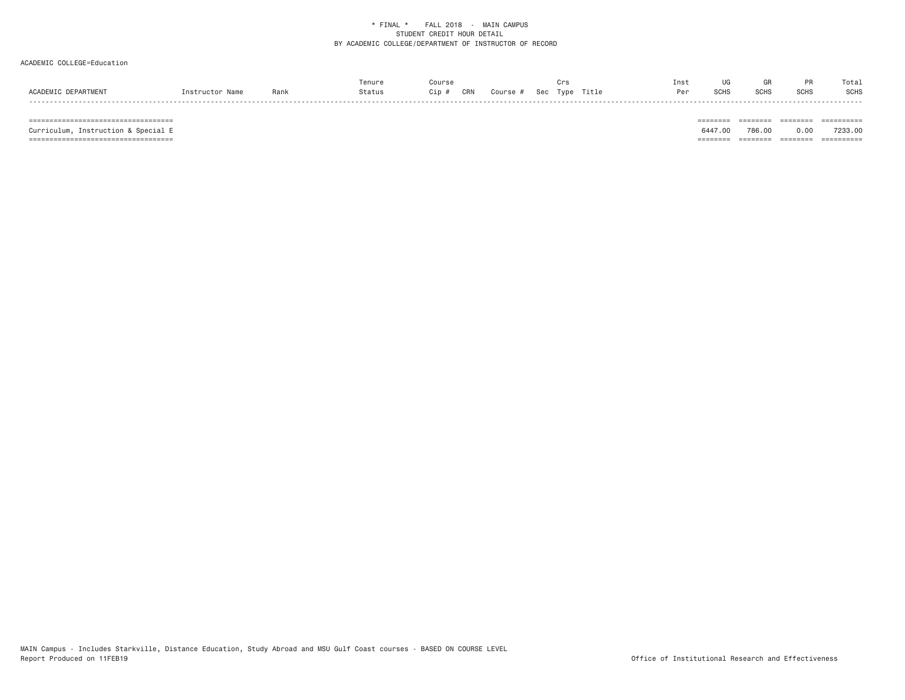## ACADEMIC COLLEGE=Education

|                     |                 |      | Tenure |              |          |          |       | Inst |      |             |             | Total |
|---------------------|-----------------|------|--------|--------------|----------|----------|-------|------|------|-------------|-------------|-------|
| ACADEMIC DEPARTMENT | Tnstructor Name | Rank | Status | CRN<br>Cip , | Course # | Sec Type | Title | Per  | SCHS | <b>SCHS</b> | <b>SCHS</b> | SCHS  |
|                     |                 |      |        |              |          |          |       |      |      |             |             |       |

 =================================== ======== ======== ======== ========== Curriculum, Instruction & Special E 6447.00 786.00 0.00 7233.00 =================================== ======== ======== ======== ==========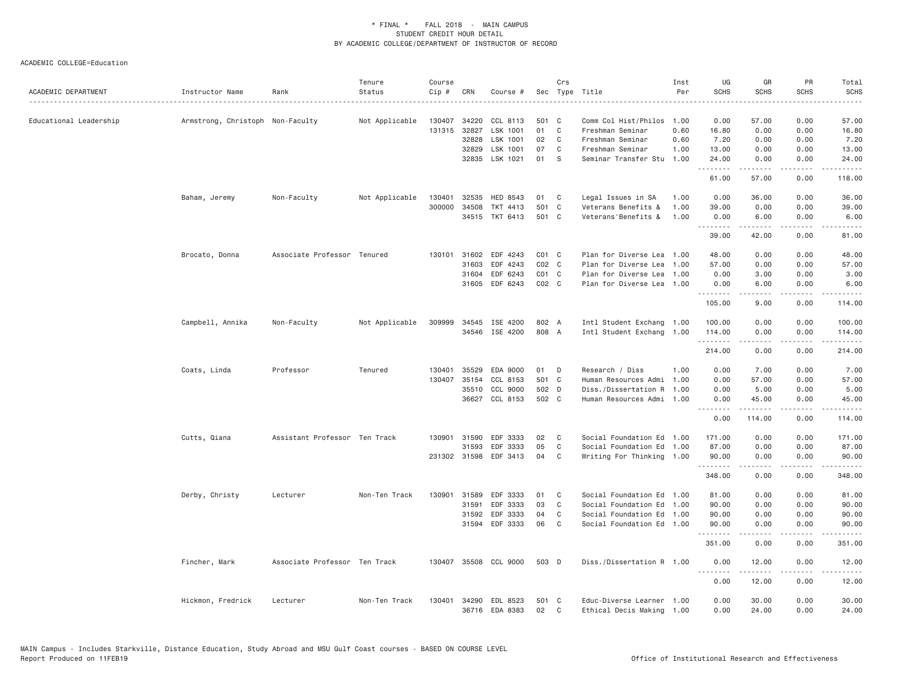| ACADEMIC DEPARTMENT    | Instructor Name                  | Rank                          | Tenure<br>Status | Course<br>Cip #  | CRN                   | Course #              |             | Crs    | Sec Type Title                                         | Inst<br>Per  | UG<br><b>SCHS</b>                                                                                                     | GR<br><b>SCHS</b>   | PR<br><b>SCHS</b>            | Total<br><b>SCHS</b>                         |
|------------------------|----------------------------------|-------------------------------|------------------|------------------|-----------------------|-----------------------|-------------|--------|--------------------------------------------------------|--------------|-----------------------------------------------------------------------------------------------------------------------|---------------------|------------------------------|----------------------------------------------|
| Educational Leadership | Armstrong, Christoph Non-Faculty |                               | Not Applicable   | 130407           | 34220                 | CCL 8113              | 501 C       |        | Comm Col Hist/Philos                                   | 1.00         | 0.00                                                                                                                  | 57.00               | 0.00                         | 57.00                                        |
|                        |                                  |                               |                  | 131315           | 32827                 | LSK 1001              | 01          | C      | Freshman Seminar                                       | 0.60         | 16.80                                                                                                                 | 0.00                | 0.00                         | 16.80                                        |
|                        |                                  |                               |                  |                  | 32828                 | LSK 1001              | 02          | C      | Freshman Seminar                                       | 0.60         | 7.20                                                                                                                  | 0.00                | 0.00                         | 7.20                                         |
|                        |                                  |                               |                  |                  | 32829                 | LSK 1001              | 07          | C      | Freshman Seminar                                       | 1.00         | 13.00                                                                                                                 | 0.00                | 0.00                         | 13.00                                        |
|                        |                                  |                               |                  |                  |                       | 32835 LSK 1021        | 01          | S      | Seminar Transfer Stu                                   | 1.00         | 24.00<br>.                                                                                                            | 0.00<br>.           | 0.00<br>.                    | 24.00<br>.                                   |
|                        |                                  |                               |                  |                  |                       |                       |             |        |                                                        |              | 61.00                                                                                                                 | 57.00               | 0.00                         | 118.00                                       |
|                        | Baham, Jeremy                    | Non-Faculty                   | Not Applicable   | 130401           | 32535                 | HED 8543              | 01          | C      | Legal Issues in SA                                     | 1.00         | 0.00                                                                                                                  | 36.00               | 0.00                         | 36.00                                        |
|                        |                                  |                               |                  | 300000           | 34508                 | TKT 4413              | 501         | C      | Veterans Benefits &                                    | 1.00         | 39.00                                                                                                                 | 0.00                | 0.00                         | 39.00                                        |
|                        |                                  |                               |                  |                  | 34515                 | TKT 6413              | 501 C       |        | Veterans'Benefits &                                    | 1.00         | 0.00<br><b><i><u><u>.</u></u></i></b>                                                                                 | 6.00<br>.           | 0.00<br>.                    | 6.00<br>. د د د د                            |
|                        |                                  |                               |                  |                  |                       |                       |             |        |                                                        |              | 39.00                                                                                                                 | 42.00               | 0.00                         | 81.00                                        |
|                        | Brocato, Donna                   | Associate Professor Tenured   |                  | 130101           | 31602                 | EDF 4243              | $CO1$ $C$   |        | Plan for Diverse Lea                                   | 1.00         | 48.00                                                                                                                 | 0.00                | 0.00                         | 48.00                                        |
|                        |                                  |                               |                  |                  | 31603                 | EDF 4243              | $CO2$ $C$   |        | Plan for Diverse Lea                                   | 1.00         | 57.00                                                                                                                 | 0.00                | 0.00                         | 57.00                                        |
|                        |                                  |                               |                  |                  | 31604                 | EDF 6243              | $CO1$ $C$   |        | Plan for Diverse Lea                                   | 1.00         | 0.00                                                                                                                  | 3.00                | 0.00                         | 3.00                                         |
|                        |                                  |                               |                  |                  | 31605                 | EDF 6243              | $CO2$ $C$   |        | Plan for Diverse Lea 1.00                              |              | 0.00                                                                                                                  | 6.00                | 0.00                         | 6.00                                         |
|                        |                                  |                               |                  |                  |                       |                       |             |        |                                                        |              | .<br>105.00                                                                                                           | .<br>9.00           | .<br>0.00                    | .<br>114.00                                  |
|                        | Campbell, Annika                 | Non-Faculty                   | Not Applicable   | 309999           | 34545                 | ISE 4200              | 802 A       |        | Intl Student Exchang 1.00                              |              | 100.00                                                                                                                | 0.00                | 0.00                         | 100.00                                       |
|                        |                                  |                               |                  |                  |                       | 34546 ISE 4200        | 808 A       |        | Intl Student Exchang 1.00                              |              | 114.00                                                                                                                | 0.00                | 0.00                         | 114.00                                       |
|                        |                                  |                               |                  |                  |                       |                       |             |        |                                                        |              | .<br>214.00                                                                                                           | .<br>0.00           | .<br>0.00                    | $\omega$ is $\omega$ in $\omega$ .<br>214.00 |
|                        |                                  |                               |                  |                  |                       |                       |             |        |                                                        |              |                                                                                                                       |                     |                              |                                              |
|                        | Coats, Linda                     | Professor                     | Tenured          | 130401<br>130407 | 35529<br>35154        | EDA 9000<br>CCL 8153  | 01<br>501 C | D      | Research / Diss<br>Human Resources Admi                | 1.00<br>1.00 | 0.00<br>0.00                                                                                                          | 7.00<br>57.00       | 0.00<br>0.00                 | 7.00<br>57.00                                |
|                        |                                  |                               |                  |                  | 35510                 | CCL 9000              | 502 D       |        | Diss./Dissertation R                                   | 1.00         | 0.00                                                                                                                  | 5.00                | 0.00                         | 5.00                                         |
|                        |                                  |                               |                  |                  | 36627                 | CCL 8153              | 502 C       |        | Human Resources Admi                                   | 1.00         | 0.00                                                                                                                  | 45.00               | 0.00                         | 45.00                                        |
|                        |                                  |                               |                  |                  |                       |                       |             |        |                                                        |              | .<br>0.00                                                                                                             | -----<br>114.00     | $\sim$ $\sim$ $\sim$<br>0.00 | .<br>114.00                                  |
|                        |                                  |                               |                  |                  |                       |                       |             |        |                                                        |              |                                                                                                                       |                     |                              |                                              |
|                        | Cutts, Qiana                     | Assistant Professor Ten Track |                  | 130901           | 31590                 | EDF 3333              | 02          | C      | Social Foundation Ed                                   | 1.00         | 171.00                                                                                                                | 0.00                | 0.00                         | 171.00                                       |
|                        |                                  |                               |                  |                  | 31593<br>231302 31598 | EDF 3333<br>EDF 3413  | 05<br>04    | C<br>C | Social Foundation Ed 1.00<br>Writing For Thinking 1.00 |              | 87.00<br>90.00                                                                                                        | 0.00<br>0.00        | 0.00<br>0.00                 | 87.00<br>90.00                               |
|                        |                                  |                               |                  |                  |                       |                       |             |        |                                                        |              | $\begin{array}{cccccccccc} \bullet & \bullet & \bullet & \bullet & \bullet & \bullet & \bullet & \bullet \end{array}$ |                     | .                            | المتماما                                     |
|                        |                                  |                               |                  |                  |                       |                       |             |        |                                                        |              | 348.00                                                                                                                | 0.00                | 0.00                         | 348.00                                       |
|                        | Derby, Christy                   | Lecturer                      | Non-Ten Track    | 130901           | 31589                 | EDF 3333              | 01          | C      | Social Foundation Ed 1.00                              |              | 81.00                                                                                                                 | 0.00                | 0.00                         | 81.00                                        |
|                        |                                  |                               |                  |                  | 31591                 | EDF 3333              | 03          | C      | Social Foundation Ed 1.00                              |              | 90.00                                                                                                                 | 0.00                | 0.00                         | 90.00                                        |
|                        |                                  |                               |                  |                  | 31592                 | EDF 3333              | 04          | C      | Social Foundation Ed 1.00                              |              | 90.00                                                                                                                 | 0.00                | 0.00                         | 90.00                                        |
|                        |                                  |                               |                  |                  | 31594                 | EDF 3333              | 06          | C      | Social Foundation Ed 1.00                              |              | 90.00<br>.                                                                                                            | 0.00<br>.           | 0.00<br>.                    | 90.00<br>.                                   |
|                        |                                  |                               |                  |                  |                       |                       |             |        |                                                        |              | 351.00                                                                                                                | 0.00                | 0.00                         | 351.00                                       |
|                        | Fincher, Mark                    | Associate Professor Ten Track |                  |                  |                       | 130407 35508 CCL 9000 | 503 D       |        | Diss./Dissertation R 1.00                              |              | 0.00<br><u>.</u>                                                                                                      | 12.00<br>. <u>.</u> | 0.00<br>.                    | 12.00<br>.                                   |
|                        |                                  |                               |                  |                  |                       |                       |             |        |                                                        |              | 0.00                                                                                                                  | 12.00               | 0.00                         | 12.00                                        |
|                        | Hickmon, Fredrick                | Lecturer                      | Non-Ten Track    | 130401           | 34290                 | EDL 8523              | 501 C       |        | Educ-Diverse Learner 1.00                              |              | 0.00                                                                                                                  | 30.00               | 0.00                         | 30.00                                        |
|                        |                                  |                               |                  |                  |                       | 36716 EDA 8383        | 02          | C      | Ethical Decis Making 1.00                              |              | 0.00                                                                                                                  | 24.00               | 0.00                         | 24.00                                        |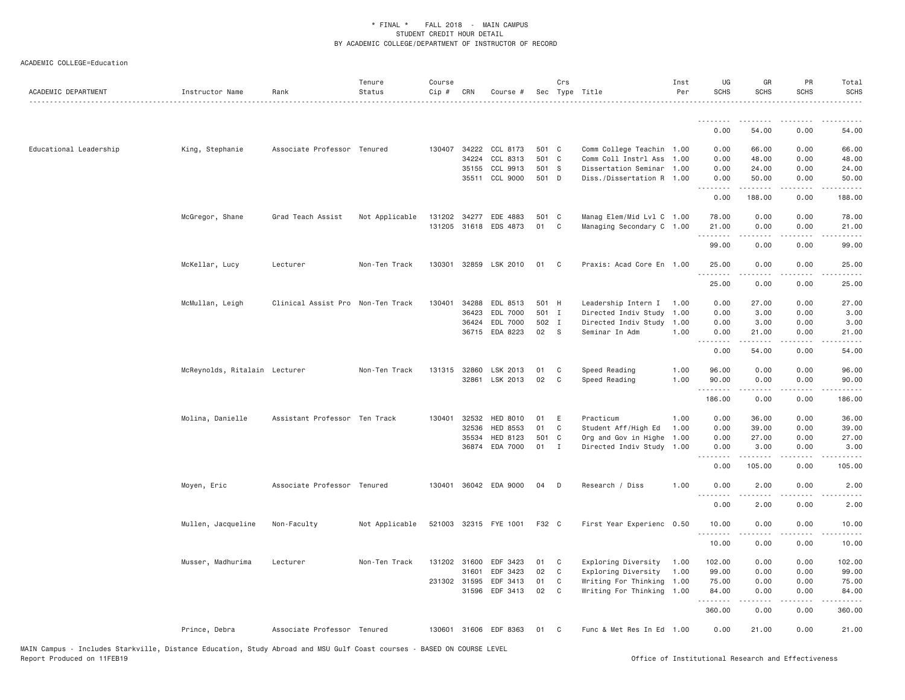| ACADEMIC DEPARTMENT    | Instructor Name               | Rank                              | Tenure<br>Status | Course<br>Cip # | CRN   | Course #              |       | Crs          | Sec Type Title            | Inst<br>Per | UG<br><b>SCHS</b> | GR<br><b>SCHS</b> | PR<br><b>SCHS</b>     | Total<br><b>SCHS</b>                                                                                                                                         |
|------------------------|-------------------------------|-----------------------------------|------------------|-----------------|-------|-----------------------|-------|--------------|---------------------------|-------------|-------------------|-------------------|-----------------------|--------------------------------------------------------------------------------------------------------------------------------------------------------------|
|                        |                               |                                   |                  |                 |       |                       |       |              |                           |             | .                 |                   |                       |                                                                                                                                                              |
|                        |                               |                                   |                  |                 |       |                       |       |              |                           |             | 0.00              | 54.00             | 0.00                  | 54.00                                                                                                                                                        |
| Educational Leadership | King, Stephanie               | Associate Professor Tenured       |                  | 130407          | 34222 | CCL 8173              | 501 C |              | Comm College Teachin 1.00 |             | 0.00              | 66.00             | 0.00                  | 66.00                                                                                                                                                        |
|                        |                               |                                   |                  |                 | 34224 | CCL 8313              | 501 C |              | Comm Coll Instrl Ass      | 1.00        | 0.00              | 48.00             | 0.00                  | 48.00                                                                                                                                                        |
|                        |                               |                                   |                  |                 | 35155 | CCL 9913              | 501 S |              | Dissertation Seminar 1.00 |             | 0.00              | 24.00             | 0.00                  | 24.00                                                                                                                                                        |
|                        |                               |                                   |                  |                 |       | 35511 CCL 9000        | 501 D |              | Diss./Dissertation R 1.00 |             | 0.00<br>.         | 50.00<br>.        | 0.00<br>.             | 50.00<br>.                                                                                                                                                   |
|                        |                               |                                   |                  |                 |       |                       |       |              |                           |             | 0.00              | 188.00            | 0.00                  | 188.00                                                                                                                                                       |
|                        | McGregor, Shane               | Grad Teach Assist                 | Not Applicable   | 131202          | 34277 | EDE 4883              | 501 C |              | Manag Elem/Mid Lvl C 1.00 |             | 78.00             | 0.00              | 0.00                  | 78.00                                                                                                                                                        |
|                        |                               |                                   |                  | 131205          |       | 31618 EDS 4873        | 01    | $\mathbf C$  | Managing Secondary C 1.00 |             | 21.00<br>.        | 0.00              | 0.00                  | 21.00                                                                                                                                                        |
|                        |                               |                                   |                  |                 |       |                       |       |              |                           |             | 99.00             | 0.00              | 0.00                  | 99.00                                                                                                                                                        |
|                        | McKellar, Lucy                | Lecturer                          | Non-Ten Track    | 130301          |       | 32859 LSK 2010        | 01    | C            | Praxis: Acad Core En 1.00 |             | 25.00<br>.        | 0.00<br>.         | 0.00<br>.             | 25.00<br>.                                                                                                                                                   |
|                        |                               |                                   |                  |                 |       |                       |       |              |                           |             | 25.00             | 0.00              | 0.00                  | 25.00                                                                                                                                                        |
|                        | McMullan, Leigh               | Clinical Assist Pro Non-Ten Track |                  | 130401          | 34288 | EDL 8513              | 501 H |              | Leadership Intern I       | 1.00        | 0.00              | 27.00             | 0.00                  | 27.00                                                                                                                                                        |
|                        |                               |                                   |                  |                 | 36423 | EDL 7000              | 501 I |              | Directed Indiv Study      | 1.00        | 0.00              | 3.00              | 0.00                  | 3.00                                                                                                                                                         |
|                        |                               |                                   |                  |                 |       | 36424 EDL 7000        | 502 I |              | Directed Indiv Study      | 1.00        | 0.00              | 3.00              | 0.00                  | 3.00                                                                                                                                                         |
|                        |                               |                                   |                  |                 |       | 36715 EDA 8223        | 02    | <sub>S</sub> | Seminar In Adm            | 1,00        | 0.00<br>.         | 21.00             | 0.00                  | 21.00                                                                                                                                                        |
|                        |                               |                                   |                  |                 |       |                       |       |              |                           |             | 0.00              | 54.00             | 0.00                  | 54.00                                                                                                                                                        |
|                        | McReynolds, Ritalain Lecturer |                                   | Non-Ten Track    | 131315 32860    |       | LSK 2013              | 01    | C            | Speed Reading             | 1.00        | 96.00             | 0.00              | 0.00                  | 96.00                                                                                                                                                        |
|                        |                               |                                   |                  |                 |       | 32861 LSK 2013        | 02    | C            | Speed Reading             | 1.00        | 90.00<br>.        | 0.00<br><b>.</b>  | 0.00<br>.             | 90.00<br>.                                                                                                                                                   |
|                        |                               |                                   |                  |                 |       |                       |       |              |                           |             | 186.00            | 0.00              | 0.00                  | 186.00                                                                                                                                                       |
|                        | Molina, Danielle              | Assistant Professor Ten Track     |                  | 130401          | 32532 | HED 8010              | 01    | E            | Practicum                 | 1.00        | 0.00              | 36.00             | 0.00                  | 36.00                                                                                                                                                        |
|                        |                               |                                   |                  |                 | 32536 | <b>HED 8553</b>       | 01    | C            | Student Aff/High Ed       | 1.00        | 0.00              | 39.00             | 0.00                  | 39.00                                                                                                                                                        |
|                        |                               |                                   |                  |                 | 35534 | HED 8123              | 501 C |              | Org and Gov in Highe      | 1.00        | 0.00              | 27.00             | 0.00                  | 27.00                                                                                                                                                        |
|                        |                               |                                   |                  |                 |       | 36874 EDA 7000        | 01    | Ι.           | Directed Indiv Study 1.00 |             | 0.00<br>.         | 3.00<br>.         | 0.00<br>.             | 3.00<br>$\frac{1}{2} \left( \frac{1}{2} \right) \left( \frac{1}{2} \right) \left( \frac{1}{2} \right) \left( \frac{1}{2} \right) \left( \frac{1}{2} \right)$ |
|                        |                               |                                   |                  |                 |       |                       |       |              |                           |             | 0.00              | 105.00            | 0.00                  | 105.00                                                                                                                                                       |
|                        | Moyen, Eric                   | Associate Professor Tenured       |                  |                 |       | 130401 36042 EDA 9000 | 04    | D            | Research / Diss           | 1.00        | 0.00<br>.         | 2.00              | 0.00                  | 2.00                                                                                                                                                         |
|                        |                               |                                   |                  |                 |       |                       |       |              |                           |             | 0.00              | 2.00              | 0.00                  | 2.00                                                                                                                                                         |
|                        | Mullen, Jacqueline            | Non-Faculty                       | Not Applicable   |                 |       | 521003 32315 FYE 1001 | F32 C |              | First Year Experienc 0.50 |             | 10.00<br><u>.</u> | 0.00<br>.         | 0.00<br>$\frac{1}{2}$ | 10.00<br>.                                                                                                                                                   |
|                        |                               |                                   |                  |                 |       |                       |       |              |                           |             | 10.00             | 0.00              | 0.00                  | 10.00                                                                                                                                                        |
|                        | Musser, Madhurima             | Lecturer                          | Non-Ten Track    | 131202 31600    |       | EDF 3423              | 01    | C            | Exploring Diversity       | 1.00        | 102.00            | 0.00              | 0.00                  | 102.00                                                                                                                                                       |
|                        |                               |                                   |                  |                 | 31601 | EDF 3423              | 02    | C            | Exploring Diversity       | 1.00        | 99.00             | 0.00              | 0.00                  | 99.00                                                                                                                                                        |
|                        |                               |                                   |                  | 231302 31595    |       | EDF 3413              | 01    | C            | Writing For Thinking      | 1.00        | 75.00             | 0.00              | 0.00                  | 75.00                                                                                                                                                        |
|                        |                               |                                   |                  |                 | 31596 | EDF 3413              | 02    | C            | Writing For Thinking 1.00 |             | 84.00<br>.        | 0.00              | 0.00                  | 84.00                                                                                                                                                        |
|                        |                               |                                   |                  |                 |       |                       |       |              |                           |             | 360.00            | 0.00              | 0.00                  | 360.00                                                                                                                                                       |
|                        | Prince, Debra                 | Associate Professor Tenured       |                  |                 |       | 130601 31606 EDF 8363 | 01    | C            | Func & Met Res In Ed 1.00 |             | 0.00              | 21.00             | 0.00                  | 21.00                                                                                                                                                        |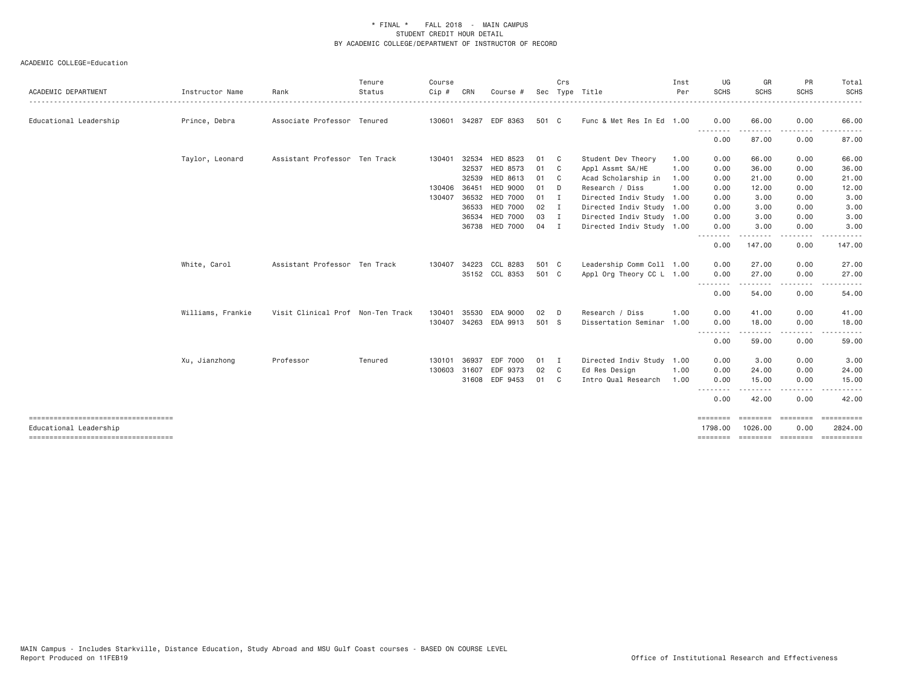| ACADEMIC DEPARTMENT                                            | Instructor Name   | Rank                              | Tenure<br>Status | Course<br>Cip # | CRN          | Course #        |        | Crs                        | Sec Type Title            | Inst<br>Per | UG<br><b>SCHS</b>       | GR<br><b>SCHS</b> | PR<br><b>SCHS</b>          | Total<br><b>SCHS</b>  |
|----------------------------------------------------------------|-------------------|-----------------------------------|------------------|-----------------|--------------|-----------------|--------|----------------------------|---------------------------|-------------|-------------------------|-------------------|----------------------------|-----------------------|
| Educational Leadership                                         | Prince, Debra     | Associate Professor Tenured       |                  |                 | 130601 34287 | EDF 8363        | 501 C  |                            | Func & Met Res In Ed 1.00 |             | 0.00                    | 66.00             | 0.00                       | 66.00                 |
|                                                                |                   |                                   |                  |                 |              |                 |        |                            |                           |             | .<br>0.00               | 87.00             | 0.00                       | 87.00                 |
|                                                                | Taylor, Leonard   | Assistant Professor Ten Track     |                  | 130401          | 32534        | HED 8523        | 01     | $\mathbb C$                | Student Dev Theory        | 1.00        | 0.00                    | 66.00             | 0.00                       | 66.00                 |
|                                                                |                   |                                   |                  |                 | 32537        | HED 8573        | 01     | $\overline{\phantom{a}}$ C | Appl Assmt SA/HE          | 1.00        | 0.00                    | 36.00             | 0.00                       | 36.00                 |
|                                                                |                   |                                   |                  |                 | 32539        | HED 8613        | 01     | $\mathbf{C}$               | Acad Scholarship in       | 1.00        | 0.00                    | 21.00             | 0.00                       | 21.00                 |
|                                                                |                   |                                   |                  | 130406          | 36451        | <b>HED 9000</b> | 01 D   |                            | Research / Diss           | 1.00        | 0.00                    | 12.00             | 0.00                       | 12.00                 |
|                                                                |                   |                                   |                  | 130407          | 36532        | <b>HED 7000</b> | $01$ I |                            | Directed Indiv Study 1.00 |             | 0.00                    | 3.00              | 0.00                       | 3.00                  |
|                                                                |                   |                                   |                  |                 | 36533        | <b>HED 7000</b> | 02     | I.                         | Directed Indiv Study 1.00 |             | 0.00                    | 3.00              | 0.00                       | 3.00                  |
|                                                                |                   |                                   |                  |                 | 36534        | <b>HED 7000</b> | 03 I   |                            | Directed Indiv Study 1.00 |             | 0.00                    | 3.00              | 0.00                       | 3.00                  |
|                                                                |                   |                                   |                  |                 |              | 36738 HED 7000  | 04     | $\blacksquare$             | Directed Indiv Study 1.00 |             | 0.00<br><u>.</u>        | 3.00              | 0.00<br>. <b>.</b>         | 3.00                  |
|                                                                |                   |                                   |                  |                 |              |                 |        |                            |                           |             | 0.00                    | 147.00            | 0.00                       | 147.00                |
|                                                                | White, Carol      | Assistant Professor Ten Track     |                  |                 | 130407 34223 | CCL 8283        | 501 C  |                            | Leadership Comm Coll 1.00 |             | 0.00                    | 27.00             | 0.00                       | 27.00                 |
|                                                                |                   |                                   |                  |                 |              | 35152 CCL 8353  | 501 C  |                            | Appl Org Theory CC L 1.00 |             | 0.00                    | 27,00             | 0.00                       | 27.00                 |
|                                                                |                   |                                   |                  |                 |              |                 |        |                            |                           |             | .<br>0.00               | 54.00             | .<br>0.00                  | 54.00                 |
|                                                                | Williams, Frankie | Visit Clinical Prof Non-Ten Track |                  | 130401          | 35530        | EDA 9000        | 02     | D                          | Research / Diss           | 1.00        | 0.00                    | 41.00             | 0.00                       | 41.00                 |
|                                                                |                   |                                   |                  | 130407          | 34263        | EDA 9913        | 501 S  |                            | Dissertation Seminar      | 1.00        | 0.00                    | 18.00             | 0.00                       | 18.00                 |
|                                                                |                   |                                   |                  |                 |              |                 |        |                            |                           |             | .<br>0.00               | .<br>59.00        | -----<br>0.00              | <u>.</u><br>59.00     |
|                                                                | Xu, Jianzhong     | Professor                         | Tenured          | 130101          | 36937        | EDF 7000        | 01     | I.                         | Directed Indiv Study 1.00 |             | 0.00                    | 3.00              | 0.00                       | 3.00                  |
|                                                                |                   |                                   |                  | 130603          | 31607        | EDF 9373        | 02     | C.                         | Ed Res Design             | 1.00        | 0.00                    | 24.00             | 0.00                       | 24.00                 |
|                                                                |                   |                                   |                  |                 |              | 31608 EDF 9453  | 01     | C <sub>1</sub>             | Intro Qual Research       | 1.00        | 0.00                    | 15.00             | 0.00                       | 15.00                 |
|                                                                |                   |                                   |                  |                 |              |                 |        |                            |                           |             | <u>--------</u><br>0.00 | 42.00             | 0.00                       | 42.00                 |
|                                                                |                   |                                   |                  |                 |              |                 |        |                            |                           |             | ========                |                   | essesses essesses          | ----------            |
| Educational Leadership<br>------------------------------------ |                   |                                   |                  |                 |              |                 |        |                            |                           |             | 1798,00<br>========     | 1026.00           | 0.00<br>========= ======== | 2824.00<br>========== |
|                                                                |                   |                                   |                  |                 |              |                 |        |                            |                           |             |                         |                   |                            |                       |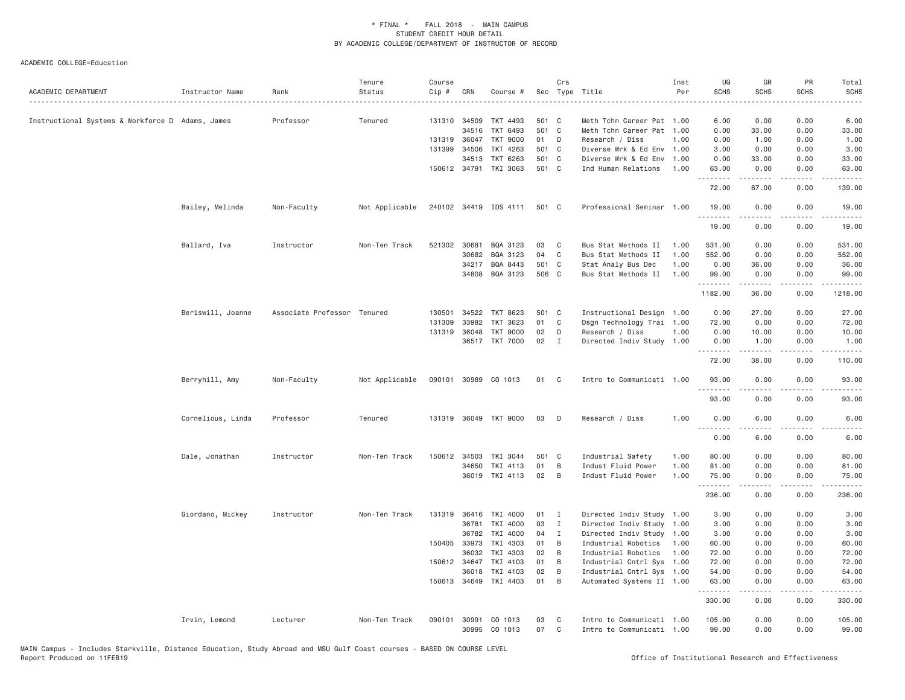| ACADEMIC DEPARTMENT                              | Instructor Name   | Rank                        | Tenure<br>Status | Course<br>Cip # | CRN                   | Course #              |          | Crs            | Sec Type Title                                         | Inst<br>Per | UG<br><b>SCHS</b> | GR<br><b>SCHS</b>  | PR<br><b>SCHS</b> | Total<br><b>SCHS</b><br>$\omega$ is a set |
|--------------------------------------------------|-------------------|-----------------------------|------------------|-----------------|-----------------------|-----------------------|----------|----------------|--------------------------------------------------------|-------------|-------------------|--------------------|-------------------|-------------------------------------------|
| Instructional Systems & Workforce D Adams, James |                   | Professor                   | Tenured          |                 | 131310 34509          | TKT 4493              | 501 C    |                | Meth Tchn Career Pat 1.00                              |             | 6.00              | 0.00               | 0.00              | 6.00                                      |
|                                                  |                   |                             |                  |                 | 34516                 | TKT 6493              | 501 C    |                | Meth Tchn Career Pat 1.00                              |             | 0.00              | 33.00              | 0.00              | 33.00                                     |
|                                                  |                   |                             |                  |                 | 131319 36047          | TKT 9000              | 01 D     |                | Research / Diss                                        | 1.00        | 0.00              | 1.00               | 0.00              | 1.00                                      |
|                                                  |                   |                             |                  | 131399          | 34506                 | TKT 4263              | 501 C    |                | Diverse Wrk & Ed Env 1.00                              |             | 3.00              | 0.00               | 0.00              | 3.00                                      |
|                                                  |                   |                             |                  |                 | 34513                 | TKT 6263              | 501 C    |                | Diverse Wrk & Ed Env 1.00                              |             | 0.00              | 33.00              | 0.00              | 33.00                                     |
|                                                  |                   |                             |                  |                 |                       | 150612 34791 TKI 3063 | 501 C    |                | Ind Human Relations                                    | 1.00        | 63.00<br>.        | 0.00<br>. <u>.</u> | 0.00<br>.         | 63.00<br>.                                |
|                                                  |                   |                             |                  |                 |                       |                       |          |                |                                                        |             | 72.00             | 67.00              | 0.00              | 139.00                                    |
|                                                  | Bailey, Melinda   | Non-Faculty                 | Not Applicable   |                 |                       | 240102 34419 IDS 4111 | 501 C    |                | Professional Seminar 1.00                              |             | 19.00<br>.        | 0.00<br>-----      | 0.00<br>.         | 19.00<br>.                                |
|                                                  |                   |                             |                  |                 |                       |                       |          |                |                                                        |             | 19.00             | 0.00               | 0.00              | 19.00                                     |
|                                                  | Ballard, Iva      | Instructor                  | Non-Ten Track    | 521302          | 30681                 | BQA 3123              | 03       | C              | Bus Stat Methods II                                    | 1.00        | 531.00            | 0.00               | 0.00              | 531.00                                    |
|                                                  |                   |                             |                  |                 | 30682                 | BQA 3123              | 04       | C              | Bus Stat Methods II                                    | 1.00        | 552.00            | 0.00               | 0.00              | 552.00                                    |
|                                                  |                   |                             |                  |                 | 34217                 | BQA 8443              | 501 C    |                | Stat Analy Bus Dec                                     | 1.00        | 0.00              | 36.00              | 0.00              | 36.00                                     |
|                                                  |                   |                             |                  |                 |                       | 34808 BQA 3123        | 506 C    |                | Bus Stat Methods II                                    | 1.00        | 99.00<br>.        | 0.00<br>.          | 0.00<br>.         | 99.00<br>.                                |
|                                                  |                   |                             |                  |                 |                       |                       |          |                |                                                        |             | 1182.00           | 36.00              | 0.00              | 1218.00                                   |
|                                                  | Beriswill, Joanne | Associate Professor Tenured |                  | 130501          | 34522                 | TKT 8623              | 501 C    |                | Instructional Design 1.00                              |             | 0.00              | 27,00              | 0.00              | 27.00                                     |
|                                                  |                   |                             |                  | 131309          | 33982                 | TKT 3623              | 01       | C              | Dsgn Technology Trai 1.00                              |             | 72.00             | 0.00               | 0.00              | 72.00                                     |
|                                                  |                   |                             |                  | 131319          | 36048                 | TKT 9000              | 02       | D              | Research / Diss                                        | 1.00        | 0.00              | 10.00              | 0.00              | 10.00                                     |
|                                                  |                   |                             |                  |                 |                       | 36517 TKT 7000        | 02       | $\mathbf{I}$   | Directed Indiv Study 1.00                              |             | 0.00<br>.         | 1.00<br>.          | 0.00<br>.         | 1.00<br>$- - - - - -$                     |
|                                                  |                   |                             |                  |                 |                       |                       |          |                |                                                        |             | 72.00             | 38.00              | 0.00              | 110.00                                    |
|                                                  | Berryhill, Amy    | Non-Faculty                 | Not Applicable   |                 |                       | 090101 30989 CO 1013  | 01       | C <sub>1</sub> | Intro to Communicati 1.00                              |             | 93,00<br>.        | 0.00<br>.          | 0.00<br>.         | 93.00<br>د د د د د                        |
|                                                  |                   |                             |                  |                 |                       |                       |          |                |                                                        |             | 93.00             | 0.00               | 0.00              | 93.00                                     |
|                                                  | Cornelious, Linda | Professor                   | Tenured          | 131319          |                       | 36049 TKT 9000        | 03       | D              | Research / Diss                                        | 1.00        | 0.00<br>.         | 6.00               | 0.00<br>.         | 6.00                                      |
|                                                  |                   |                             |                  |                 |                       |                       |          |                |                                                        |             | 0.00              | 6.00               | 0.00              | 6.00                                      |
|                                                  | Dale, Jonathan    | Instructor                  | Non-Ten Track    | 150612          | 34503                 | TKI 3044              | 501 C    |                | Industrial Safety                                      | 1.00        | 80.00             | 0.00               | 0.00              | 80.00                                     |
|                                                  |                   |                             |                  |                 | 34650                 | TKI 4113              | 01       | B              | Indust Fluid Power                                     | 1.00        | 81.00             | 0.00               | 0.00              | 81.00                                     |
|                                                  |                   |                             |                  |                 |                       | 36019 TKI 4113        | 02       | $\overline{B}$ | Indust Fluid Power                                     | 1.00        | 75.00<br>.        | 0.00<br>2.2.2.2.2  | 0.00<br>.         | 75.00<br>.                                |
|                                                  |                   |                             |                  |                 |                       |                       |          |                |                                                        |             | 236.00            | 0.00               | 0.00              | 236.00                                    |
|                                                  | Giordano, Mickey  | Instructor                  | Non-Ten Track    | 131319          | 36416                 | TKI 4000              | 01       | $\mathbf I$    | Directed Indiv Study 1.00                              |             | 3.00              | 0.00               | 0.00              | 3.00                                      |
|                                                  |                   |                             |                  |                 | 36781                 | TKI 4000              | 03       | I              | Directed Indiv Study 1.00                              |             | 3.00              | 0.00               | 0.00              | 3.00                                      |
|                                                  |                   |                             |                  |                 | 36782                 | TKI 4000              | 04       | I              | Directed Indiv Study 1.00                              |             | 3.00              | 0.00               | 0.00              | 3.00                                      |
|                                                  |                   |                             |                  |                 | 150405 33973          | TKI 4303              | 01       | B              | Industrial Robotics                                    | 1.00        | 60.00             | 0.00               | 0.00              | 60.00                                     |
|                                                  |                   |                             |                  |                 | 36032                 | TKI 4303              | 02       | B              | Industrial Robotics                                    | 1.00        | 72.00             | 0.00               | 0.00              | 72.00                                     |
|                                                  |                   |                             |                  |                 | 150612 34647          | TKI 4103<br>TKI 4103  | 01<br>02 | B              | Industrial Cntrl Sys 1.00                              |             | 72.00             | 0.00               | 0.00              | 72.00                                     |
|                                                  |                   |                             |                  |                 | 36018<br>150613 34649 | TKI 4403              | 01       | B<br>B         | Industrial Cntrl Sys 1.00<br>Automated Systems II 1.00 |             | 54.00<br>63.00    | 0.00<br>0.00       | 0.00<br>0.00      | 54.00<br>63.00                            |
|                                                  |                   |                             |                  |                 |                       |                       |          |                |                                                        |             | .<br>330.00       | .<br>0.00          | .<br>0.00         | .<br>330.00                               |
|                                                  | Irvin, Lemond     | Lecturer                    | Non-Ten Track    | 090101          | 30991                 | CO 1013               | 03       | C              | Intro to Communicati 1.00                              |             | 105.00            | 0.00               | 0.00              | 105.00                                    |
|                                                  |                   |                             |                  |                 | 30995                 | CO 1013               | 07       | C              | Intro to Communicati 1.00                              |             | 99.00             | 0.00               | 0.00              | 99.00                                     |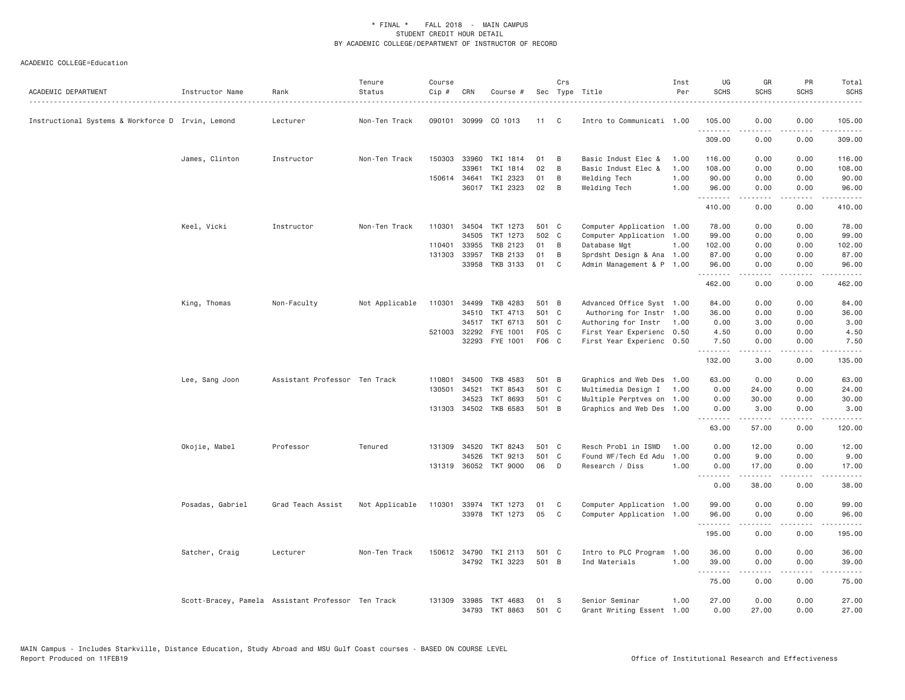| ACADEMIC DEPARTMENT                               | Instructor Name  | Rank                                               | Tenure<br>Status | Course<br>Cip # | CRN          | Course #                   |             | Crs    | Sec Type Title                              | Inst<br>Per  | UG<br><b>SCHS</b> | GR<br><b>SCHS</b>                   | PR<br>SCHS                   | Total<br>SCHS     |
|---------------------------------------------------|------------------|----------------------------------------------------|------------------|-----------------|--------------|----------------------------|-------------|--------|---------------------------------------------|--------------|-------------------|-------------------------------------|------------------------------|-------------------|
| Instructional Systems & Workforce D Irvin, Lemond |                  | Lecturer                                           | Non-Ten Track    |                 | 090101 30999 | CO 1013                    | 11          | C.     | Intro to Communicati 1.00                   |              | 105.00<br>.       | 0.00                                | 0.00<br>----                 | 105.00<br>.       |
|                                                   |                  |                                                    |                  |                 |              |                            |             |        |                                             |              | 309.00            | .<br>0.00                           | 0.00                         | 309.00            |
|                                                   | James, Clinton   | Instructor                                         | Non-Ten Track    |                 | 150303 33960 | TKI 1814                   | 01          | B      | Basic Indust Elec &                         | 1.00         | 116.00            | 0.00                                | 0.00                         | 116.00            |
|                                                   |                  |                                                    |                  |                 | 33961        | TKI 1814                   | 02          | B      | Basic Indust Elec &                         | 1.00         | 108.00            | 0.00                                | 0.00                         | 108.00            |
|                                                   |                  |                                                    |                  |                 | 150614 34641 | TKI 2323<br>36017 TKI 2323 | 01<br>02    | B<br>B | Welding Tech<br>Welding Tech                | 1.00<br>1.00 | 90.00<br>96.00    | 0.00<br>0.00                        | 0.00<br>0.00                 | 90.00<br>96.00    |
|                                                   |                  |                                                    |                  |                 |              |                            |             |        |                                             |              | .<br>410.00       | $\sim$ $\sim$ $\sim$ $\sim$<br>0.00 | .<br>0.00                    | .<br>410.00       |
|                                                   | Keel, Vicki      | Instructor                                         | Non-Ten Track    | 110301          | 34504        | TKT 1273                   | 501 C       |        | Computer Application 1.00                   |              | 78.00             | 0.00                                | 0.00                         | 78.00             |
|                                                   |                  |                                                    |                  |                 | 34505        | TKT 1273                   | 502 C       |        | Computer Application 1.00                   |              | 99.00             | 0.00                                | 0.00                         | 99.00             |
|                                                   |                  |                                                    |                  | 110401          | 33955        | TKB 2123                   | 01          | B      | Database Mgt                                | 1.00         | 102.00            | 0.00                                | 0.00                         | 102.00            |
|                                                   |                  |                                                    |                  | 131303          | 33957        | TKB 2133                   | 01          | B      | Sprdsht Design & Ana 1.00                   |              | 87.00             | 0.00                                | 0.00                         | 87.00             |
|                                                   |                  |                                                    |                  |                 | 33958        | TKB 3133                   | 01          | C      | Admin Management & P 1.00                   |              | 96.00<br>.        | 0.00<br>.                           | 0.00<br>د د د د              | 96.00<br>.        |
|                                                   |                  |                                                    |                  |                 |              |                            |             |        |                                             |              | 462.00            | 0.00                                | 0.00                         | 462.00            |
|                                                   | King, Thomas     | Non-Faculty                                        | Not Applicable   |                 |              | 110301 34499 TKB 4283      | 501 B       |        | Advanced Office Syst 1.00                   |              | 84.00             | 0.00                                | 0.00                         | 84.00             |
|                                                   |                  |                                                    |                  |                 | 34510        | TKT 4713                   | 501 C       |        | Authoring for Instr 1.00                    |              | 36.00             | 0.00                                | 0.00                         | 36.00             |
|                                                   |                  |                                                    |                  |                 | 34517        | TKT 6713                   | 501 C       |        | Authoring for Instr                         | 1.00         | 0.00              | 3.00                                | 0.00                         | 3.00              |
|                                                   |                  |                                                    |                  |                 | 521003 32292 | FYE 1001                   | F05 C       |        | First Year Experienc 0.50                   |              | 4.50              | 0.00                                | 0.00                         | 4.50              |
|                                                   |                  |                                                    |                  |                 | 32293        | FYE 1001                   | F06 C       |        | First Year Experienc 0.50                   |              | 7.50<br>.         | 0.00<br>.                           | 0.00<br>.                    | 7.50<br>.         |
|                                                   |                  |                                                    |                  |                 |              |                            |             |        |                                             |              | 132.00            | 3.00                                | 0.00                         | 135.00            |
|                                                   | Lee, Sang Joon   | Assistant Professor Ten Track                      |                  | 110801          | 34500        | TKB 4583                   | 501 B       |        | Graphics and Web Des 1.00                   |              | 63.00             | 0.00                                | 0.00                         | 63.00             |
|                                                   |                  |                                                    |                  |                 | 130501 34521 | TKT 8543                   | 501 C       |        | Multimedia Design I 1.00                    |              | 0.00              | 24.00                               | 0.00                         | 24.00             |
|                                                   |                  |                                                    |                  |                 | 34523        | TKT 8693                   | 501 C       |        | Multiple Perptves on 1.00                   |              | 0.00              | 30.00                               | 0.00                         | 30.00             |
|                                                   |                  |                                                    |                  |                 | 131303 34502 | TKB 6583                   | 501 B       |        | Graphics and Web Des 1.00                   |              | 0.00<br>.         | 3.00<br>.                           | 0.00<br>.                    | 3.00<br>.         |
|                                                   |                  |                                                    |                  |                 |              |                            |             |        |                                             |              | 63.00             | 57.00                               | 0.00                         | 120.00            |
|                                                   | Okojie, Mabel    | Professor                                          | Tenured          |                 | 131309 34520 | TKT 8243                   | 501 C       |        | Resch Probl in ISWD                         | 1.00         | 0.00              | 12.00                               | 0.00                         | 12.00             |
|                                                   |                  |                                                    |                  |                 | 34526        | TKT 9213                   | 501 C       |        | Found WF/Tech Ed Adu                        | 1.00         | 0.00              | 9.00                                | 0.00                         | 9.00              |
|                                                   |                  |                                                    |                  |                 |              | 131319 36052 TKT 9000      | 06          | D      | Research / Diss                             | 1.00         | 0.00<br><u>.</u>  | 17.00                               | 0.00                         | 17.00<br>.        |
|                                                   |                  |                                                    |                  |                 |              |                            |             |        |                                             |              | 0.00              | 38.00                               | 0.00                         | 38.00             |
|                                                   | Posadas, Gabriel | Grad Teach Assist                                  | Not Applicable   |                 |              | 110301 33974 TKT 1273      | 01          | C      | Computer Application 1.00                   |              | 99.00             | 0.00                                | 0.00                         | 99.00             |
|                                                   |                  |                                                    |                  |                 |              | 33978 TKT 1273             | 05          | C      | Computer Application 1.00                   |              | 96.00<br>.        | 0.00<br><u>.</u>                    | 0.00<br>.                    | 96.00<br>.        |
|                                                   |                  |                                                    |                  |                 |              |                            |             |        |                                             |              | 195.00            | 0.00                                | 0.00                         | 195.00            |
|                                                   | Satcher, Craig   | Lecturer                                           | Non-Ten Track    |                 | 150612 34790 | TKI 2113                   | 501 C       |        | Intro to PLC Program                        | 1.00         | 36.00             | 0.00                                | 0.00                         | 36.00             |
|                                                   |                  |                                                    |                  |                 |              | 34792 TKI 3223             | 501 B       |        | Ind Materials                               | 1.00         | 39.00<br>.        | 0.00<br>.                           | 0.00<br>$\sim$ $\sim$ $\sim$ | 39.00<br>$\cdots$ |
|                                                   |                  |                                                    |                  |                 |              |                            |             |        |                                             |              | 75.00             | 0.00                                | 0.00                         | 75.00             |
|                                                   |                  | Scott-Bracey, Pamela Assistant Professor Ten Track |                  |                 | 131309 33985 | TKT 4683<br>34793 TKT 8863 | 01<br>501 C | S      | Senior Seminar<br>Grant Writing Essent 1.00 | 1.00         | 27.00<br>0.00     | 0.00<br>27,00                       | 0.00<br>0.00                 | 27.00<br>27.00    |
|                                                   |                  |                                                    |                  |                 |              |                            |             |        |                                             |              |                   |                                     |                              |                   |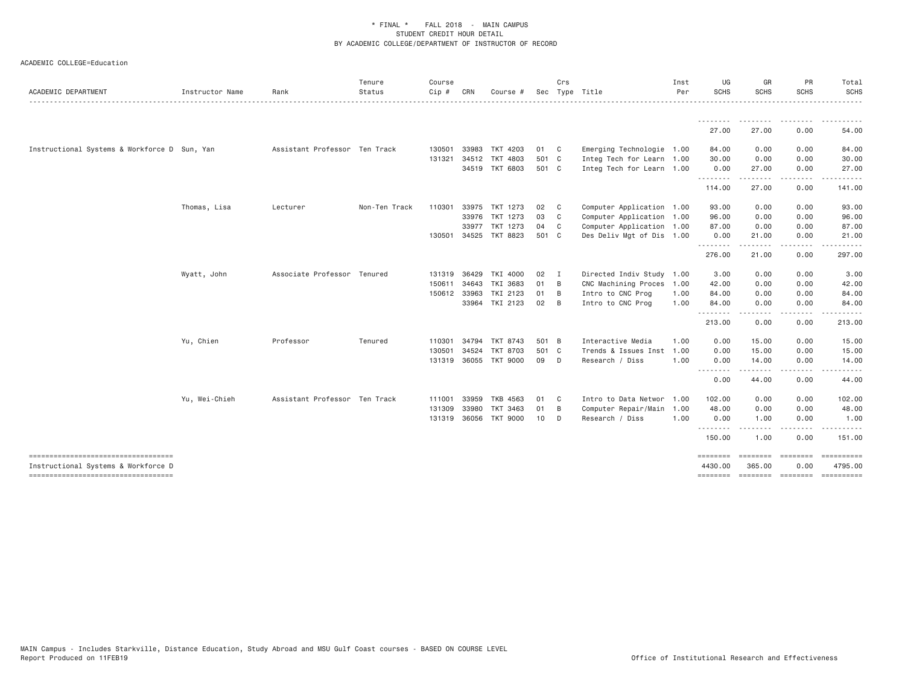| ACADEMIC DEPARTMENT                                                        | Instructor Name | Rank                          | Tenure<br>Status | Course<br>Cip # | CRN          | Course #              |       | Crs            | Sec Type Title            | Inst<br>Per | UG<br><b>SCHS</b>   | GR<br>SCHS         | PR<br><b>SCHS</b> | Total<br><b>SCHS</b>      |
|----------------------------------------------------------------------------|-----------------|-------------------------------|------------------|-----------------|--------------|-----------------------|-------|----------------|---------------------------|-------------|---------------------|--------------------|-------------------|---------------------------|
|                                                                            |                 |                               |                  |                 |              |                       |       |                |                           |             | - - - - - - - -     |                    |                   |                           |
|                                                                            |                 |                               |                  |                 |              |                       |       |                |                           |             | 27.00               | 27.00              | 0.00              | 54.00                     |
| Instructional Systems & Workforce D Sun, Yan                               |                 | Assistant Professor Ten Track |                  | 130501          | 33983        | TKT 4203              | 01 C  |                | Emerging Technologie 1.00 |             | 84.00               | 0.00               | 0.00              | 84.00                     |
|                                                                            |                 |                               |                  | 131321          |              | 34512 TKT 4803        | 501 C |                | Integ Tech for Learn 1.00 |             | 30.00               | 0.00               | 0.00              | 30.00                     |
|                                                                            |                 |                               |                  |                 |              | 34519 TKT 6803        | 501 C |                | Integ Tech for Learn 1.00 |             | 0.00<br>.           | 27.00              | 0.00<br>.         | 27.00<br>.                |
|                                                                            |                 |                               |                  |                 |              |                       |       |                |                           |             | 114.00              | 27.00              | 0.00              | 141.00                    |
|                                                                            | Thomas, Lisa    | Lecturer                      | Non-Ten Track    | 110301          | 33975        | TKT 1273              | 02    | C              | Computer Application 1.00 |             | 93.00               | 0.00               | 0.00              | 93.00                     |
|                                                                            |                 |                               |                  |                 | 33976        | TKT 1273              | 03    | $\mathbf{C}$   | Computer Application 1.00 |             | 96.00               | 0.00               | 0.00              | 96.00                     |
|                                                                            |                 |                               |                  |                 | 33977        | TKT 1273              | 04    | $\mathbf{C}$   | Computer Application 1.00 |             | 87.00               | 0.00               | 0.00              | 87.00                     |
|                                                                            |                 |                               |                  |                 | 130501 34525 | TKT 8823              | 501 C |                | Des Deliv Mgt of Dis 1.00 |             | 0.00<br>.           | 21.00              | 0.00              | 21.00                     |
|                                                                            |                 |                               |                  |                 |              |                       |       |                |                           |             | 276.00              | 21.00              | 0.00              | 297.00                    |
|                                                                            | Wyatt, John     | Associate Professor Tenured   |                  | 131319          | 36429        | TKI 4000              | 02    | I              | Directed Indiv Study 1.00 |             | 3.00                | 0.00               | 0.00              | 3.00                      |
|                                                                            |                 |                               |                  | 150611          | 34643        | TKI 3683              | 01    | $\overline{B}$ | CNC Machining Proces 1.00 |             | 42.00               | 0.00               | 0.00              | 42.00                     |
|                                                                            |                 |                               |                  | 150612 33963    |              | TKI 2123              | 01    | B              | Intro to CNC Prog         | 1.00        | 84.00               | 0.00               | 0.00              | 84.00                     |
|                                                                            |                 |                               |                  |                 |              | 33964 TKI 2123        | 02    | $\overline{B}$ | Intro to CNC Prog         | 1.00        | 84.00<br><u>.</u>   | 0.00               | 0.00              | 84.00                     |
|                                                                            |                 |                               |                  |                 |              |                       |       |                |                           |             | 213.00              | 0.00               | 0.00              | 213.00                    |
|                                                                            | Yu, Chien       | Professor                     | Tenured          | 110301          | 34794        | TKT 8743              | 501 B |                | Interactive Media         | 1.00        | 0.00                | 15.00              | 0.00              | 15.00                     |
|                                                                            |                 |                               |                  | 130501          | 34524        | <b>TKT 8703</b>       | 501 C |                | Trends & Issues Inst      | 1.00        | 0.00                | 15.00              | 0.00              | 15.00                     |
|                                                                            |                 |                               |                  |                 |              | 131319 36055 TKT 9000 | 09 D  |                | Research / Diss           | 1.00        | 0.00<br>--------    | 14.00<br><u>.</u>  | 0.00<br><u>.</u>  | 14.00                     |
|                                                                            |                 |                               |                  |                 |              |                       |       |                |                           |             | 0.00                | 44.00              | 0.00              | 44.00                     |
|                                                                            | Yu, Wei-Chieh   | Assistant Professor Ten Track |                  | 111001          | 33959        | TKB 4563              | 01    | $\mathbf{C}$   | Intro to Data Networ 1.00 |             | 102.00              | 0.00               | 0.00              | 102.00                    |
|                                                                            |                 |                               |                  | 131309          | 33980        | TKT 3463              | 01    | B              | Computer Repair/Main 1.00 |             | 48.00               | 0.00               | 0.00              | 48.00                     |
|                                                                            |                 |                               |                  | 131319 36056    |              | <b>TKT 9000</b>       | 10    | D              | Research / Diss           | 1.00        | 0.00                | 1.00               | 0.00              | 1.00                      |
|                                                                            |                 |                               |                  |                 |              |                       |       |                |                           |             | .<br>150.00         | 1.00               | .<br>0.00         | 151.00                    |
| -----------------------------------<br>Instructional Systems & Workforce D |                 |                               |                  |                 |              |                       |       |                |                           |             | ========<br>4430.00 | ========<br>365.00 | ========<br>0.00  | $=$ ==========<br>4795.00 |
| ----------------------------------                                         |                 |                               |                  |                 |              |                       |       |                |                           |             |                     |                    |                   | ==========                |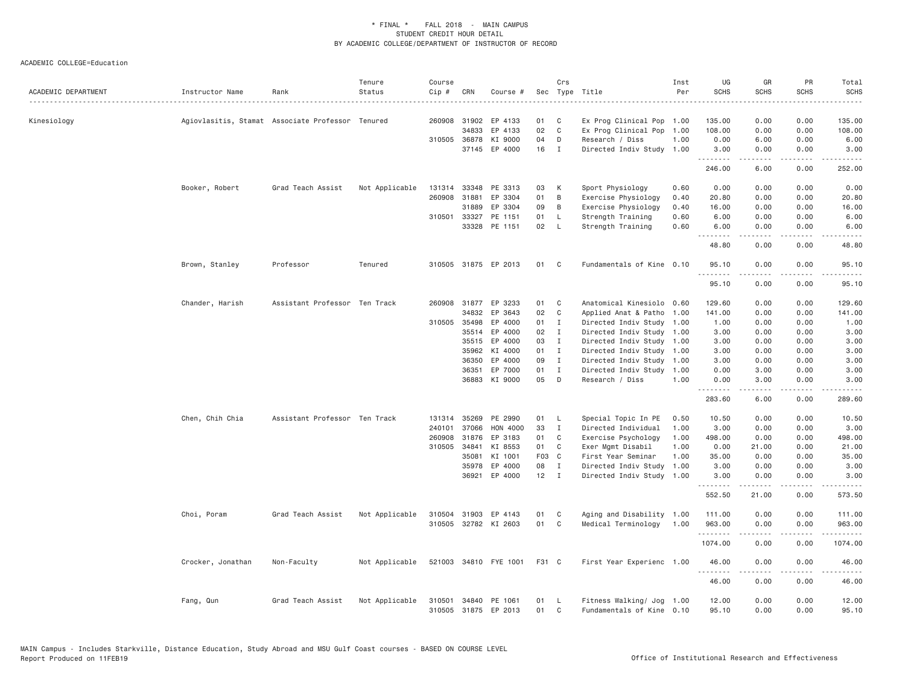| ACADEMIC DEPARTMENT | Instructor Name   | Rank                                             | Tenure<br>Status | Course<br>Cip # | CRN   | Course #                              | Sec      | Crs            | Type Title<br>.                                        | Inst<br>Per | UG<br><b>SCHS</b>             | GR<br><b>SCHS</b> | PR<br><b>SCHS</b><br>.              | Total<br><b>SCHS</b><br>. |
|---------------------|-------------------|--------------------------------------------------|------------------|-----------------|-------|---------------------------------------|----------|----------------|--------------------------------------------------------|-------------|-------------------------------|-------------------|-------------------------------------|---------------------------|
| Kinesiology         |                   | Agiovlasitis, Stamat Associate Professor Tenured |                  | 260908          | 31902 | EP 4133                               | 01       | C              | Ex Prog Clinical Pop 1.00                              |             | 135.00                        | 0.00              | 0.00                                | 135.00                    |
|                     |                   |                                                  |                  |                 | 34833 | EP 4133                               | 02       | C              | Ex Prog Clinical Pop                                   | 1.00        | 108.00                        | 0.00              | 0.00                                | 108.00                    |
|                     |                   |                                                  |                  | 310505 36878    |       | KI 9000                               | 04       | D              | Research / Diss                                        | 1.00        | 0.00                          | 6.00              | 0.00                                | 6.00                      |
|                     |                   |                                                  |                  |                 |       | 37145 EP 4000                         | 16       | $\mathbf{I}$   | Directed Indiv Study 1.00                              |             | 3.00<br><b><i><u></u></i></b> | 0.00<br>.         | 0.00<br>.                           | 3.00<br>.                 |
|                     |                   |                                                  |                  |                 |       |                                       |          |                |                                                        |             | 246.00                        | 6.00              | 0.00                                | 252.00                    |
|                     | Booker, Robert    | Grad Teach Assist                                | Not Applicable   |                 |       | 131314 33348 PE 3313                  | 03       | K              | Sport Physiology                                       | 0.60        | 0.00                          | 0.00              | 0.00                                | 0.00                      |
|                     |                   |                                                  |                  | 260908          | 31881 | EP 3304                               | 01       | В              | Exercise Physiology                                    | 0.40        | 20.80                         | 0.00              | 0.00                                | 20.80                     |
|                     |                   |                                                  |                  |                 | 31889 | EP 3304                               | 09       | B              | Exercise Physiology                                    | 0.40        | 16.00                         | 0.00              | 0.00                                | 16.00                     |
|                     |                   |                                                  |                  |                 |       | 310501 33327 PE 1151                  | 01       | L.             | Strength Training                                      | 0.60        | 6.00                          | 0.00              | 0.00                                | 6.00                      |
|                     |                   |                                                  |                  |                 |       | 33328 PE 1151                         | 02       | <b>L</b>       | Strength Training                                      | 0.60        | 6.00<br>.                     | 0.00              | 0.00<br>.                           | 6.00<br>.                 |
|                     |                   |                                                  |                  |                 |       |                                       |          |                |                                                        |             | 48.80                         | 0.00              | 0.00                                | 48.80                     |
|                     | Brown, Stanley    | Professor                                        | Tenured          |                 |       | 310505 31875 EP 2013                  | 01       | $\mathbf{C}$   | Fundamentals of Kine 0.10                              |             | 95.10<br>.                    | 0.00<br>.         | 0.00<br>.                           | 95.10<br>.                |
|                     |                   |                                                  |                  |                 |       |                                       |          |                |                                                        |             | 95.10                         | 0.00              | 0.00                                | 95.10                     |
|                     | Chander, Harish   | Assistant Professor Ten Track                    |                  |                 |       | 260908 31877 EP 3233                  | 01       | C <sub>1</sub> | Anatomical Kinesiolo 0.60                              |             | 129.60                        | 0.00              | 0.00                                | 129.60                    |
|                     |                   |                                                  |                  |                 | 34832 | EP 3643                               | 02       | $\mathbf{C}$   | Applied Anat & Patho                                   | 1.00        | 141.00                        | 0.00              | 0.00                                | 141.00                    |
|                     |                   |                                                  |                  | 310505          | 35498 | EP 4000                               | 01       | Ι.             | Directed Indiv Study 1.00                              |             | 1.00                          | 0.00              | 0.00                                | 1.00                      |
|                     |                   |                                                  |                  |                 | 35514 | EP 4000                               | 02       | $\mathbf I$    | Directed Indiv Study 1.00                              |             | 3.00                          | 0.00              | 0.00                                | 3.00                      |
|                     |                   |                                                  |                  |                 | 35515 | EP 4000                               | 03       | $\mathbf{I}$   | Directed Indiv Study 1.00                              |             | 3.00                          | 0.00              | 0.00                                | 3.00                      |
|                     |                   |                                                  |                  |                 | 35962 | KI 4000                               | 01       | $\mathbf{I}$   | Directed Indiv Study 1.00                              |             | 3.00                          | 0.00              | 0.00                                | 3.00                      |
|                     |                   |                                                  |                  |                 | 36350 | EP 4000                               | 09       | $\mathbf I$    | Directed Indiv Study                                   | 1.00        | 3.00                          | 0.00              | 0.00                                | 3.00                      |
|                     |                   |                                                  |                  |                 | 36351 | EP 7000                               | 01       | $\mathbf{I}$   | Directed Indiv Study                                   | 1.00        | 0.00                          | 3.00              | 0.00                                | 3.00                      |
|                     |                   |                                                  |                  |                 | 36883 | KI 9000                               | 05       | D              | Research / Diss                                        | 1.00        | 0.00                          | 3.00              | 0.00                                | 3.00                      |
|                     |                   |                                                  |                  |                 |       |                                       |          |                |                                                        |             | .<br>283.60                   | 6.00              | $\sim$ $\sim$ $\sim$<br>0.00        | 289.60                    |
|                     | Chen, Chih Chia   | Assistant Professor Ten Track                    |                  | 131314          | 35269 | PE 2990                               | 01       | L.             | Special Topic In PE                                    | 0.50        | 10.50                         | 0.00              | 0.00                                | 10.50                     |
|                     |                   |                                                  |                  | 240101          | 37066 | <b>HON 4000</b>                       | 33       | $\mathbf{I}$   | Directed Individual                                    | 1.00        | 3.00                          | 0.00              | 0.00                                | 3.00                      |
|                     |                   |                                                  |                  | 260908          | 31876 | EP 3183                               | 01       | C              | Exercise Psychology                                    | 1.00        | 498.00                        | 0.00              | 0.00                                | 498.00                    |
|                     |                   |                                                  |                  | 310505          | 34841 | KI 8553                               | 01       | C              | Exer Mgmt Disabil                                      | 1.00        | 0.00                          | 21.00             | 0.00                                | 21.00                     |
|                     |                   |                                                  |                  |                 | 35081 | KI 1001                               | F03 C    |                | First Year Seminar                                     | 1.00        | 35.00                         | 0.00              | 0.00                                | 35.00                     |
|                     |                   |                                                  |                  |                 | 35978 | EP 4000                               | 08       | $\mathbf{I}$   | Directed Indiv Study                                   | 1.00        | 3.00                          | 0.00              | 0.00                                | 3.00                      |
|                     |                   |                                                  |                  |                 |       | 36921 EP 4000                         | $12$ I   |                | Directed Indiv Study 1.00                              |             | 3.00<br>--------              | 0.00<br><b>.</b>  | 0.00<br>$\sim$ $\sim$ $\sim$ $\sim$ | 3.00<br>.                 |
|                     |                   |                                                  |                  |                 |       |                                       |          |                |                                                        |             | 552.50                        | 21.00             | 0.00                                | 573.50                    |
|                     | Choi, Poram       | Grad Teach Assist                                | Not Applicable   | 310504          |       | 31903 EP 4143                         | 01       | C              | Aging and Disability 1.00                              |             | 111,00                        | 0.00              | 0.00                                | 111.00                    |
|                     |                   |                                                  |                  |                 |       | 310505 32782 KI 2603                  | 01       | C              | Medical Terminology                                    | 1.00        | 963.00                        | 0.00              | 0.00                                | 963.00                    |
|                     |                   |                                                  |                  |                 |       |                                       |          |                |                                                        |             | .                             |                   | $- - -$                             | .                         |
|                     |                   |                                                  |                  |                 |       |                                       |          |                |                                                        |             | 1074.00                       | 0.00              | 0.00                                | 1074.00                   |
|                     | Crocker, Jonathan | Non-Faculty                                      | Not Applicable   |                 |       | 521003 34810 FYE 1001                 | F31 C    |                | First Year Experienc 1.00                              |             | 46.00<br>.                    | 0.00              | 0.00<br>.                           | 46.00<br>.                |
|                     |                   |                                                  |                  |                 |       |                                       |          |                |                                                        |             | 46.00                         | 0.00              | 0.00                                | 46.00                     |
|                     | Fang, Qun         | Grad Teach Assist                                | Not Applicable   | 310501          |       | 34840 PE 1061<br>310505 31875 EP 2013 | 01<br>01 | - L<br>C       | Fitness Walking/ Jog 1.00<br>Fundamentals of Kine 0.10 |             | 12.00<br>95.10                | 0.00<br>0.00      | 0.00<br>0.00                        | 12.00<br>95.10            |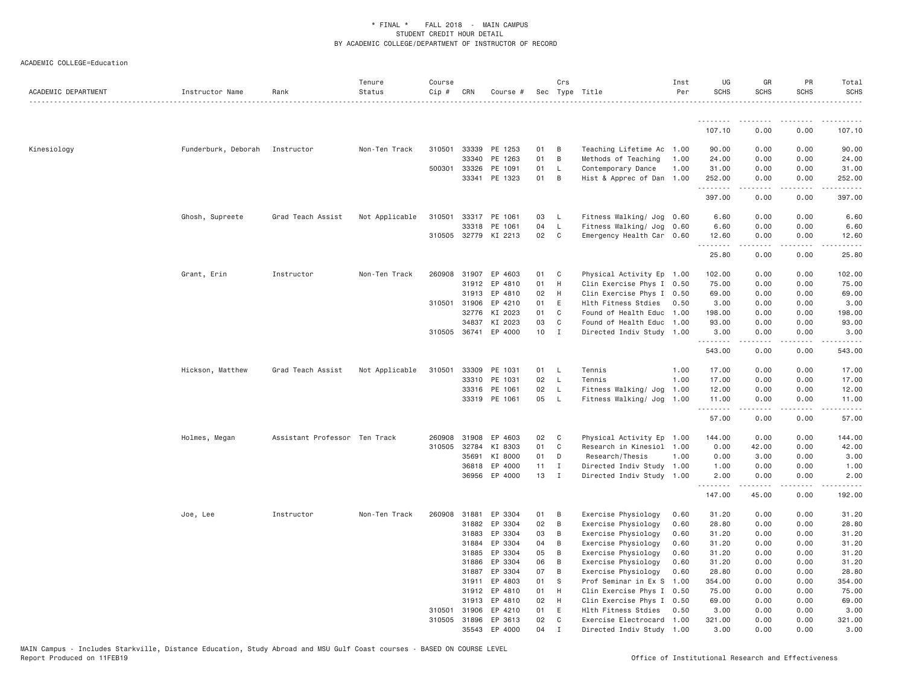| ACADEMIC DEPARTMENT | Instructor Name     | Rank                          | Tenure<br>Status | Course<br>Cip # | CRN          | Course #             |    | Crs          | Sec Type Title            | Inst<br>Per | UG<br><b>SCHS</b> | GR<br><b>SCHS</b>                                                                                                                                            | PR<br><b>SCHS</b>                   | Total<br><b>SCHS</b>                                                                                                                                           |
|---------------------|---------------------|-------------------------------|------------------|-----------------|--------------|----------------------|----|--------------|---------------------------|-------------|-------------------|--------------------------------------------------------------------------------------------------------------------------------------------------------------|-------------------------------------|----------------------------------------------------------------------------------------------------------------------------------------------------------------|
|                     |                     |                               |                  |                 |              |                      |    |              |                           |             | .                 | .                                                                                                                                                            |                                     |                                                                                                                                                                |
|                     |                     |                               |                  |                 |              |                      |    |              |                           |             | 107.10            | 0.00                                                                                                                                                         | 0.00                                | 107.10                                                                                                                                                         |
| Kinesiology         | Funderburk, Deborah | Instructor                    | Non-Ten Track    |                 | 310501 33339 | PE 1253              | 01 | B            | Teaching Lifetime Ac      | 1.00        | 90.00             | 0.00                                                                                                                                                         | 0.00                                | 90.00                                                                                                                                                          |
|                     |                     |                               |                  |                 | 33340        | PE 1263              | 01 | B            | Methods of Teaching       | 1.00        | 24.00             | 0.00                                                                                                                                                         | 0.00                                | 24.00                                                                                                                                                          |
|                     |                     |                               |                  |                 | 500301 33326 | PE 1091              | 01 | $\mathsf{L}$ | Contemporary Dance        | 1.00        | 31.00             | 0.00                                                                                                                                                         | 0.00                                | 31.00                                                                                                                                                          |
|                     |                     |                               |                  |                 | 33341        | PE 1323              | 01 | B            | Hist & Apprec of Dan      | 1.00        | 252.00<br>.       | 0.00                                                                                                                                                         | 0.00                                | 252.00<br>$\frac{1}{2} \left( \frac{1}{2} \right) \left( \frac{1}{2} \right) \left( \frac{1}{2} \right) \left( \frac{1}{2} \right) \left( \frac{1}{2} \right)$ |
|                     |                     |                               |                  |                 |              |                      |    |              |                           |             | 397.00            | 0.00                                                                                                                                                         | 0.00                                | 397.00                                                                                                                                                         |
|                     | Ghosh, Supreete     | Grad Teach Assist             | Not Applicable   | 310501          |              | 33317 PE 1061        | 03 | L            | Fitness Walking/ Jog 0.60 |             | 6.60              | 0.00                                                                                                                                                         | 0.00                                | 6.60                                                                                                                                                           |
|                     |                     |                               |                  |                 | 33318        | PE 1061              | 04 | $\mathsf{L}$ | Fitness Walking/ Jog      | 0.60        | 6.60              | 0.00                                                                                                                                                         | 0.00                                | 6.60                                                                                                                                                           |
|                     |                     |                               |                  |                 | 310505 32779 | KI 2213              | 02 | C            | Emergency Health Car 0.60 |             | 12.60<br>.        | 0.00<br>.                                                                                                                                                    | 0.00<br>$\sim$ $\sim$ $\sim$ $\sim$ | 12.60<br>.                                                                                                                                                     |
|                     |                     |                               |                  |                 |              |                      |    |              |                           |             | 25.80             | 0.00                                                                                                                                                         | 0.00                                | 25.80                                                                                                                                                          |
|                     | Grant, Erin         | Instructor                    | Non-Ten Track    | 260908          | 31907        | EP 4603              | 01 | C            | Physical Activity Ep 1.00 |             | 102.00            | 0.00                                                                                                                                                         | 0.00                                | 102.00                                                                                                                                                         |
|                     |                     |                               |                  |                 | 31912        | EP 4810              | 01 | H            | Clin Exercise Phys I 0.50 |             | 75.00             | 0.00                                                                                                                                                         | 0.00                                | 75.00                                                                                                                                                          |
|                     |                     |                               |                  |                 | 31913        | EP 4810              | 02 | H            | Clin Exercise Phys I 0.50 |             | 69.00             | 0.00                                                                                                                                                         | 0.00                                | 69.00                                                                                                                                                          |
|                     |                     |                               |                  |                 | 310501 31906 | EP 4210              | 01 | E            | Hlth Fitness Stdies       | 0.50        | 3.00              | 0.00                                                                                                                                                         | 0.00                                | 3.00                                                                                                                                                           |
|                     |                     |                               |                  |                 | 32776        | KI 2023              | 01 | C            | Found of Health Educ      | 1.00        | 198.00            | 0.00                                                                                                                                                         | 0.00                                | 198.00                                                                                                                                                         |
|                     |                     |                               |                  |                 | 34837        | KI 2023              | 03 | $\mathsf{C}$ | Found of Health Educ      | 1.00        | 93.00             | 0.00                                                                                                                                                         | 0.00                                | 93.00                                                                                                                                                          |
|                     |                     |                               |                  |                 |              | 310505 36741 EP 4000 | 10 | $\mathbf{I}$ | Directed Indiv Study 1.00 |             | 3.00<br>.         | 0.00<br>$\frac{1}{2} \left( \frac{1}{2} \right) \left( \frac{1}{2} \right) \left( \frac{1}{2} \right) \left( \frac{1}{2} \right) \left( \frac{1}{2} \right)$ | 0.00<br>.                           | 3.00<br>2.2.2.2.2.                                                                                                                                             |
|                     |                     |                               |                  |                 |              |                      |    |              |                           |             | 543.00            | 0.00                                                                                                                                                         | 0.00                                | 543.00                                                                                                                                                         |
|                     | Hickson, Matthew    | Grad Teach Assist             | Not Applicable   | 310501          | 33309        | PE 1031              | 01 | L.           | Tennis                    | 1.00        | 17.00             | 0.00                                                                                                                                                         | 0.00                                | 17.00                                                                                                                                                          |
|                     |                     |                               |                  |                 | 33310        | PE 1031              | 02 | L.           | Tennis                    | 1.00        | 17.00             | 0.00                                                                                                                                                         | 0.00                                | 17.00                                                                                                                                                          |
|                     |                     |                               |                  |                 | 33316        | PE 1061              | 02 | $\mathsf{L}$ | Fitness Walking/ Jog      | 1.00        | 12.00             | 0.00                                                                                                                                                         | 0.00                                | 12.00                                                                                                                                                          |
|                     |                     |                               |                  |                 |              | 33319 PE 1061        | 05 | $\mathsf{L}$ | Fitness Walking/ Jog      | 1.00        | 11.00<br>.        | 0.00<br>$\frac{1}{2} \left( \frac{1}{2} \right) \left( \frac{1}{2} \right) \left( \frac{1}{2} \right) \left( \frac{1}{2} \right) \left( \frac{1}{2} \right)$ | 0.00<br>.                           | 11.00<br>.                                                                                                                                                     |
|                     |                     |                               |                  |                 |              |                      |    |              |                           |             | 57.00             | 0.00                                                                                                                                                         | 0.00                                | 57.00                                                                                                                                                          |
|                     | Holmes, Megan       | Assistant Professor Ten Track |                  | 260908          | 31908        | EP 4603              | 02 | C            | Physical Activity Ep 1.00 |             | 144.00            | 0.00                                                                                                                                                         | 0.00                                | 144.00                                                                                                                                                         |
|                     |                     |                               |                  | 310505          | 32784        | KI 8303              | 01 | C            | Research in Kinesiol 1.00 |             | 0.00              | 42.00                                                                                                                                                        | 0.00                                | 42.00                                                                                                                                                          |
|                     |                     |                               |                  |                 | 35691        | KI 8000              | 01 | D            | Research/Thesis           | 1.00        | 0.00              | 3.00                                                                                                                                                         | 0.00                                | 3.00                                                                                                                                                           |
|                     |                     |                               |                  |                 | 36818        | EP 4000              | 11 | $\mathbf{I}$ | Directed Indiv Study 1.00 |             | 1.00              | 0.00                                                                                                                                                         | 0.00                                | 1.00                                                                                                                                                           |
|                     |                     |                               |                  |                 | 36956        | EP 4000              | 13 | $\mathbf{I}$ | Directed Indiv Study      | 1.00        | 2.00<br>.         | 0.00                                                                                                                                                         | 0.00                                | 2.00                                                                                                                                                           |
|                     |                     |                               |                  |                 |              |                      |    |              |                           |             | 147.00            | 45.00                                                                                                                                                        | 0.00                                | 192.00                                                                                                                                                         |
|                     | Joe, Lee            | Instructor                    | Non-Ten Track    | 260908          | 31881        | EP 3304              | 01 | B            | Exercise Physiology       | 0.60        | 31.20             | 0.00                                                                                                                                                         | 0.00                                | 31.20                                                                                                                                                          |
|                     |                     |                               |                  |                 | 31882        | EP 3304              | 02 | B            | Exercise Physiology       | 0.60        | 28.80             | 0.00                                                                                                                                                         | 0.00                                | 28.80                                                                                                                                                          |
|                     |                     |                               |                  |                 | 31883        | EP 3304              | 03 | B            | Exercise Physiology       | 0.60        | 31.20             | 0.00                                                                                                                                                         | 0.00                                | 31.20                                                                                                                                                          |
|                     |                     |                               |                  |                 | 31884        | EP 3304              | 04 | B            | Exercise Physiology       | 0.60        | 31.20             | 0.00                                                                                                                                                         | 0.00                                | 31.20                                                                                                                                                          |
|                     |                     |                               |                  |                 | 31885        | EP 3304              | 05 | B            | Exercise Physiology       | 0.60        | 31.20             | 0.00                                                                                                                                                         | 0.00                                | 31.20                                                                                                                                                          |
|                     |                     |                               |                  |                 | 31886        | EP 3304              | 06 | B            | Exercise Physiology       | 0.60        | 31.20             | 0.00                                                                                                                                                         | 0.00                                | 31.20                                                                                                                                                          |
|                     |                     |                               |                  |                 | 31887        | EP 3304              | 07 | B            | Exercise Physiology       | 0.60        | 28.80             | 0.00                                                                                                                                                         | 0.00                                | 28.80                                                                                                                                                          |
|                     |                     |                               |                  |                 | 31911        | EP 4803              | 01 | S            | Prof Seminar in Ex S      | 1.00        | 354.00            | 0.00                                                                                                                                                         | 0.00                                | 354.00                                                                                                                                                         |
|                     |                     |                               |                  |                 | 31912        | EP 4810              | 01 | H            | Clin Exercise Phys I      | 0.50        | 75.00             | 0.00                                                                                                                                                         | 0.00                                | 75.00                                                                                                                                                          |
|                     |                     |                               |                  |                 | 31913        | EP 4810              | 02 | H            | Clin Exercise Phys I 0.50 |             | 69.00             | 0.00                                                                                                                                                         | 0.00                                | 69.00                                                                                                                                                          |
|                     |                     |                               |                  | 310501          | 31906        | EP 4210              | 01 | E            | Hlth Fitness Stdies       | 0.50        | 3.00              | 0.00                                                                                                                                                         | 0.00                                | 3.00                                                                                                                                                           |
|                     |                     |                               |                  |                 | 310505 31896 | EP 3613              | 02 | C            | Exercise Electrocard      | 1,00        | 321.00            | 0.00                                                                                                                                                         | 0.00                                | 321.00                                                                                                                                                         |
|                     |                     |                               |                  |                 | 35543        | EP 4000              | 04 | $\mathsf{T}$ | Directed Indiv Study      | 1.00        | 3,00              | 0.00                                                                                                                                                         | 0.00                                | 3,00                                                                                                                                                           |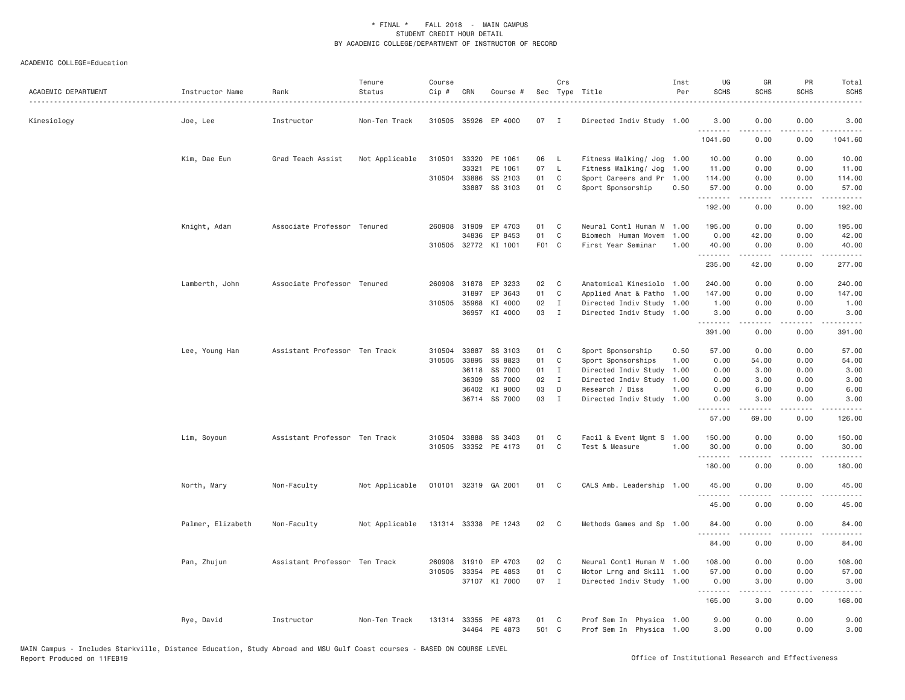| ACADEMIC DEPARTMENT | Instructor Name   | Rank                          | Tenure<br>Status | Course<br>Cip # | CRN          | Course #             |       | Crs            | Sec Type Title            | Inst<br>Per | UG<br><b>SCHS</b> | GR<br><b>SCHS</b> | PR<br><b>SCHS</b>     | Total<br><b>SCHS</b>                                                                                                                                           |
|---------------------|-------------------|-------------------------------|------------------|-----------------|--------------|----------------------|-------|----------------|---------------------------|-------------|-------------------|-------------------|-----------------------|----------------------------------------------------------------------------------------------------------------------------------------------------------------|
| Kinesiology         | Joe, Lee          | Instructor                    | Non-Ten Track    |                 |              | 310505 35926 EP 4000 | 07    | - I            | Directed Indiv Study 1.00 |             | 3,00<br>.         | 0.00              | 0.00                  | 3.00<br>.                                                                                                                                                      |
|                     |                   |                               |                  |                 |              |                      |       |                |                           |             | 1041.60           | 0.00              | 0.00                  | 1041.60                                                                                                                                                        |
|                     | Kim, Dae Eun      | Grad Teach Assist             | Not Applicable   | 310501          | 33320        | PE 1061              | 06    | -L             | Fitness Walking/ Jog 1.00 |             | 10.00             | 0.00              | 0.00                  | 10.00                                                                                                                                                          |
|                     |                   |                               |                  |                 | 33321        | PE 1061              | 07    | L              | Fitness Walking/ Jog      | 1.00        | 11.00             | 0.00              | 0.00                  | 11.00                                                                                                                                                          |
|                     |                   |                               |                  |                 | 310504 33886 | SS 2103              | 01    | C              | Sport Careers and Pr      | 1.00        | 114.00            | 0.00              | 0.00                  | 114.00                                                                                                                                                         |
|                     |                   |                               |                  |                 | 33887        | SS 3103              | 01    | C <sub>1</sub> | Sport Sponsorship         | 0.50        | 57.00<br>.        | 0.00              | 0.00<br>.             | 57.00<br>.                                                                                                                                                     |
|                     |                   |                               |                  |                 |              |                      |       |                |                           |             | 192.00            | 0.00              | 0.00                  | 192.00                                                                                                                                                         |
|                     | Knight, Adam      | Associate Professor Tenured   |                  |                 | 260908 31909 | EP 4703              | 01    | C.             | Neural Contl Human M      | 1,00        | 195.00            | 0.00              | 0.00                  | 195.00                                                                                                                                                         |
|                     |                   |                               |                  |                 | 34836        | EP 8453              | 01    | $\mathsf{C}$   | Biomech Human Movem       | 1.00        | 0.00              | 42.00             | 0.00                  | 42.00                                                                                                                                                          |
|                     |                   |                               |                  |                 |              | 310505 32772 KI 1001 | F01 C |                | First Year Seminar        | 1.00        | 40.00<br>.        | 0.00<br>.         | 0.00<br>.             | 40.00<br>.                                                                                                                                                     |
|                     |                   |                               |                  |                 |              |                      |       |                |                           |             | 235.00            | 42.00             | 0.00                  | 277.00                                                                                                                                                         |
|                     | Lamberth, John    | Associate Professor Tenured   |                  |                 | 260908 31878 | EP 3233              | 02    | C              | Anatomical Kinesiolo 1.00 |             | 240.00            | 0.00              | 0.00                  | 240.00                                                                                                                                                         |
|                     |                   |                               |                  |                 | 31897        | EP 3643              | 01    | $\mathsf{C}$   | Applied Anat & Patho      | 1.00        | 147.00            | 0.00              | 0.00                  | 147.00                                                                                                                                                         |
|                     |                   |                               |                  |                 | 310505 35968 | KI 4000              | 02    | $\mathbf I$    | Directed Indiv Study 1.00 |             | 1.00              | 0.00              | 0.00                  | 1.00                                                                                                                                                           |
|                     |                   |                               |                  |                 | 36957        | KI 4000              | 03    | $\mathbf I$    | Directed Indiv Study 1.00 |             | 3.00              | 0.00              | 0.00                  | 3.00                                                                                                                                                           |
|                     |                   |                               |                  |                 |              |                      |       |                |                           |             | .<br>391.00       | -----<br>0.00     | .<br>0.00             | $\frac{1}{2} \left( \frac{1}{2} \right) \left( \frac{1}{2} \right) \left( \frac{1}{2} \right) \left( \frac{1}{2} \right) \left( \frac{1}{2} \right)$<br>391.00 |
|                     | Lee, Young Han    | Assistant Professor Ten Track |                  | 310504          | 33887        | SS 3103              | 01    | C              | Sport Sponsorship         | 0.50        | 57.00             | 0.00              | 0.00                  | 57.00                                                                                                                                                          |
|                     |                   |                               |                  | 310505          | 33895        | SS 8823              | 01    | C              | Sport Sponsorships        | 1.00        | 0.00              | 54.00             | 0.00                  | 54.00                                                                                                                                                          |
|                     |                   |                               |                  |                 | 36118        | SS 7000              | 01    | $\mathbf{I}$   | Directed Indiv Study      | 1.00        | 0.00              | 3.00              | 0.00                  | 3.00                                                                                                                                                           |
|                     |                   |                               |                  |                 | 36309        | SS 7000              | 02    | $\mathbf{I}$   | Directed Indiv Study      | 1.00        | 0.00              | 3.00              | 0.00                  | 3.00                                                                                                                                                           |
|                     |                   |                               |                  |                 | 36402        | KI 9000              | 03    | D              | Research / Diss           | 1.00        | 0.00              | 6.00              | 0.00                  | 6.00                                                                                                                                                           |
|                     |                   |                               |                  |                 |              | 36714 SS 7000        | 03    | $\mathbf{I}$   | Directed Indiv Study      | 1.00        | 0.00<br>.         | 3.00<br>.         | 0.00<br>.             | 3.00<br>.                                                                                                                                                      |
|                     |                   |                               |                  |                 |              |                      |       |                |                           |             | 57.00             | 69.00             | 0.00                  | 126.00                                                                                                                                                         |
|                     | Lim, Soyoun       | Assistant Professor Ten Track |                  | 310504          | 33888        | SS 3403              | 01    | C              | Facil & Event Mgmt S      | 1.00        | 150.00            | 0.00              | 0.00                  | 150.00                                                                                                                                                         |
|                     |                   |                               |                  |                 |              | 310505 33352 PE 4173 | 01    | C              | Test & Measure            | 1.00        | 30.00             | 0.00              | 0.00                  | 30.00                                                                                                                                                          |
|                     |                   |                               |                  |                 |              |                      |       |                |                           |             | .                 | -----             | .                     | $- - - - -$                                                                                                                                                    |
|                     |                   |                               |                  |                 |              |                      |       |                |                           |             | 180.00            | 0.00              | 0.00                  | 180.00                                                                                                                                                         |
|                     | North, Mary       | Non-Faculty                   | Not Applicable   |                 |              | 010101 32319 GA 2001 | 01    | C              | CALS Amb. Leadership 1.00 |             | 45.00<br>.        | 0.00              | 0.00<br>.             | 45.00<br>المتمامين                                                                                                                                             |
|                     |                   |                               |                  |                 |              |                      |       |                |                           |             | 45.00             | 0.00              | 0.00                  | 45.00                                                                                                                                                          |
|                     | Palmer, Elizabeth | Non-Faculty                   | Not Applicable   |                 | 131314 33338 | PE 1243              | 02    | C.             | Methods Games and Sp 1.00 |             | 84.00<br>.        | 0.00<br>.         | 0.00<br>$\frac{1}{2}$ | 84.00<br>.                                                                                                                                                     |
|                     |                   |                               |                  |                 |              |                      |       |                |                           |             | 84.00             | 0.00              | 0.00                  | 84.00                                                                                                                                                          |
|                     | Pan, Zhujun       | Assistant Professor Ten Track |                  | 260908          | 31910        | EP 4703              | 02    | C              | Neural Contl Human M 1.00 |             | 108.00            | 0.00              | 0.00                  | 108.00                                                                                                                                                         |
|                     |                   |                               |                  | 310505          | 33354        | PE 4853              | 01    | C              | Motor Lrng and Skill 1.00 |             | 57.00             | 0.00              | 0.00                  | 57.00                                                                                                                                                          |
|                     |                   |                               |                  |                 |              | 37107 KI 7000        | 07    | $\mathbf{I}$   | Directed Indiv Study 1.00 |             | 0.00              | 3.00              | 0.00                  | 3.00                                                                                                                                                           |
|                     |                   |                               |                  |                 |              |                      |       |                |                           |             | .<br>165.00       | -----<br>3.00     | .<br>0.00             | -----<br>168.00                                                                                                                                                |
|                     | Rye, David        | Instructor                    | Non-Ten Track    |                 |              | 131314 33355 PE 4873 | 01    | C              | Prof Sem In Physica       | 1.00        | 9.00              | 0.00              | 0.00                  | 9.00                                                                                                                                                           |
|                     |                   |                               |                  |                 | 34464        | PE 4873              | 501 C |                | Prof Sem In Physica 1.00  |             | 3,00              | 0.00              | 0.00                  | 3.00                                                                                                                                                           |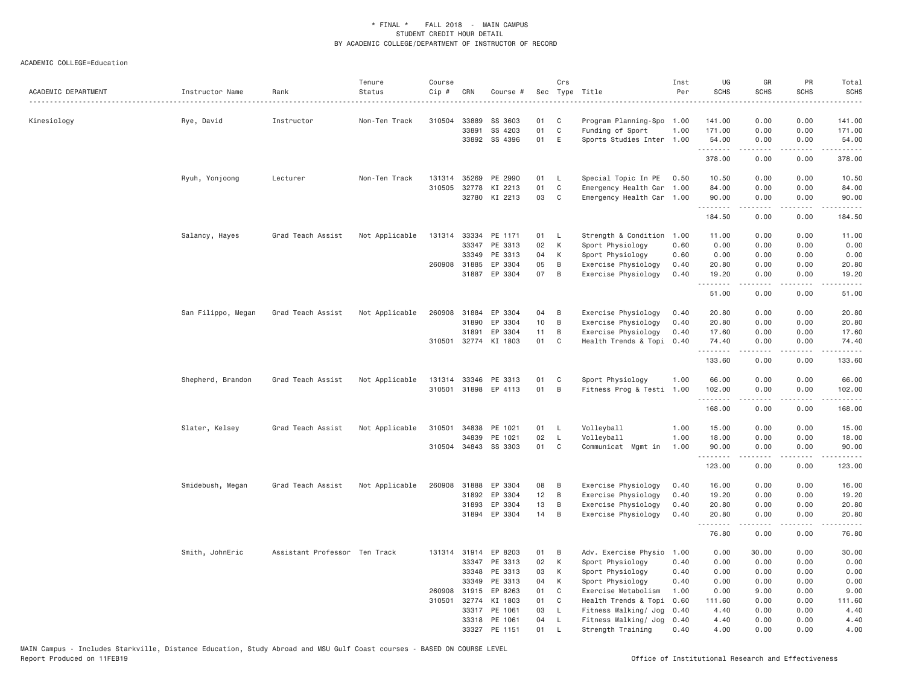| ACADEMIC DEPARTMENT | Instructor Name    | Rank                          | Tenure<br>Status | Course<br>Cip # | CRN          | Course #             |    | Crs          | Sec Type Title            | Inst<br>Per | UG<br><b>SCHS</b> | GR<br><b>SCHS</b> | PR<br><b>SCHS</b>                   | Total<br><b>SCHS</b><br>.                                                                                                                                                       |
|---------------------|--------------------|-------------------------------|------------------|-----------------|--------------|----------------------|----|--------------|---------------------------|-------------|-------------------|-------------------|-------------------------------------|---------------------------------------------------------------------------------------------------------------------------------------------------------------------------------|
| Kinesiology         | Rye, David         | Instructor                    | Non-Ten Track    | 310504          | 33889        | SS 3603              | 01 | C            | Program Planning-Spo      | 1.00        | 141.00            | 0.00              | 0.00                                | 141.00                                                                                                                                                                          |
|                     |                    |                               |                  |                 | 33891        | SS 4203              | 01 | $\mathsf{C}$ | Funding of Sport          | 1.00        | 171.00            | 0.00              | 0.00                                | 171.00                                                                                                                                                                          |
|                     |                    |                               |                  |                 |              | 33892 SS 4396        | 01 | E            | Sports Studies Inter 1.00 |             | 54.00             | 0.00              | 0.00                                | 54.00                                                                                                                                                                           |
|                     |                    |                               |                  |                 |              |                      |    |              |                           |             | .<br>378.00       | .<br>0.00         | .<br>0.00                           | .<br>378.00                                                                                                                                                                     |
|                     | Ryuh, Yonjoong     | Lecturer                      | Non-Ten Track    |                 | 131314 35269 | PE 2990              | 01 | L.           | Special Topic In PE       | 0.50        | 10.50             | 0.00              | 0.00                                | 10.50                                                                                                                                                                           |
|                     |                    |                               |                  | 310505          | 32778        | KI 2213              | 01 | $\mathsf{C}$ | Emergency Health Car 1.00 |             | 84.00             | 0.00              | 0.00                                | 84.00                                                                                                                                                                           |
|                     |                    |                               |                  |                 |              | 32780 KI 2213        | 03 | C            | Emergency Health Car 1.00 |             | 90.00<br>.        | 0.00<br>.         | 0.00<br>$\sim$ $\sim$ $\sim$ $\sim$ | 90.00                                                                                                                                                                           |
|                     |                    |                               |                  |                 |              |                      |    |              |                           |             | 184.50            | 0.00              | 0.00                                | 184.50                                                                                                                                                                          |
|                     | Salancy, Hayes     | Grad Teach Assist             | Not Applicable   |                 |              | 131314 33334 PE 1171 | 01 | - L          | Strength & Condition      | 1.00        | 11.00             | 0.00              | 0.00                                | 11.00                                                                                                                                                                           |
|                     |                    |                               |                  |                 | 33347        | PE 3313              | 02 | K            | Sport Physiology          | 0.60        | 0.00              | 0.00              | 0.00                                | 0.00                                                                                                                                                                            |
|                     |                    |                               |                  |                 | 33349        | PE 3313              | 04 | К            | Sport Physiology          | 0.60        | 0.00              | 0.00              | 0.00                                | 0.00                                                                                                                                                                            |
|                     |                    |                               |                  |                 | 260908 31885 | EP 3304              | 05 | B            | Exercise Physiology       | 0.40        | 20.80             | 0.00              | 0.00                                | 20.80                                                                                                                                                                           |
|                     |                    |                               |                  |                 | 31887        | EP 3304              | 07 | B            | Exercise Physiology       | 0.40        | 19.20<br>.        | 0.00<br>.         | 0.00<br>.                           | 19.20<br>.                                                                                                                                                                      |
|                     |                    |                               |                  |                 |              |                      |    |              |                           |             | 51.00             | 0.00              | 0.00                                | 51.00                                                                                                                                                                           |
|                     | San Filippo, Megan | Grad Teach Assist             | Not Applicable   | 260908          | 31884        | EP 3304              | 04 | B            | Exercise Physiology       | 0.40        | 20.80             | 0.00              | 0.00                                | 20.80                                                                                                                                                                           |
|                     |                    |                               |                  |                 | 31890        | EP 3304              | 10 | B            | Exercise Physiology       | 0.40        | 20.80             | 0.00              | 0.00                                | 20.80                                                                                                                                                                           |
|                     |                    |                               |                  |                 | 31891        | EP 3304              | 11 | B            | Exercise Physiology       | 0.40        | 17.60             | 0.00              | 0.00                                | 17.60                                                                                                                                                                           |
|                     |                    |                               |                  |                 |              | 310501 32774 KI 1803 | 01 | C            | Health Trends & Topi 0.40 |             | 74.40<br>.        | 0.00<br>.         | 0.00<br>$\omega$ is a $\omega$      | 74.40<br>.                                                                                                                                                                      |
|                     |                    |                               |                  |                 |              |                      |    |              |                           |             | 133.60            | 0.00              | 0.00                                | 133.60                                                                                                                                                                          |
|                     | Shepherd, Brandon  | Grad Teach Assist             | Not Applicable   | 131314          | 33346        | PE 3313              | 01 | C            | Sport Physiology          | 1.00        | 66.00             | 0.00              | 0.00                                | 66.00                                                                                                                                                                           |
|                     |                    |                               |                  |                 | 310501 31898 | EP 4113              | 01 | B            | Fitness Prog & Testi 1.00 |             | 102.00            | 0.00              | 0.00                                | 102.00                                                                                                                                                                          |
|                     |                    |                               |                  |                 |              |                      |    |              |                           |             | .                 | .                 |                                     | $\frac{1}{2} \left( \frac{1}{2} \right) \left( \frac{1}{2} \right) \left( \frac{1}{2} \right) \left( \frac{1}{2} \right) \left( \frac{1}{2} \right) \left( \frac{1}{2} \right)$ |
|                     |                    |                               |                  |                 |              |                      |    |              |                           |             | 168.00            | 0.00              | 0.00                                | 168.00                                                                                                                                                                          |
|                     | Slater, Kelsey     | Grad Teach Assist             | Not Applicable   |                 | 310501 34838 | PE 1021              | 01 | L            | Volleyball                | 1.00        | 15.00             | 0.00              | 0.00                                | 15.00                                                                                                                                                                           |
|                     |                    |                               |                  |                 | 34839        | PE 1021              | 02 | $\mathsf{L}$ | Volleyball                | 1.00        | 18.00             | 0.00              | 0.00                                | 18.00                                                                                                                                                                           |
|                     |                    |                               |                  |                 | 310504 34843 | SS 3303              | 01 | C            | Communicat Mgmt in        | 1.00        | 90.00             | 0.00              | 0.00                                | 90.00                                                                                                                                                                           |
|                     |                    |                               |                  |                 |              |                      |    |              |                           |             | .<br>123.00       | 0.00              | 0.00                                | 123.00                                                                                                                                                                          |
|                     | Smidebush, Megan   | Grad Teach Assist             | Not Applicable   | 260908          | 31888        | EP 3304              | 08 | B            | Exercise Physiology       | 0.40        | 16.00             | 0.00              | 0.00                                | 16.00                                                                                                                                                                           |
|                     |                    |                               |                  |                 | 31892        | EP 3304              | 12 | B            | Exercise Physiology       | 0.40        | 19.20             | 0.00              | 0.00                                | 19.20                                                                                                                                                                           |
|                     |                    |                               |                  |                 | 31893        | EP 3304              | 13 | B            | Exercise Physiology       | 0.40        | 20.80             | 0.00              | 0.00                                | 20.80                                                                                                                                                                           |
|                     |                    |                               |                  |                 |              | 31894 EP 3304        | 14 | B            | Exercise Physiology       | 0.40        | 20.80<br>.        | 0.00<br>-----     | 0.00<br>$\sim$ $\sim$ $\sim$ $\sim$ | 20.80                                                                                                                                                                           |
|                     |                    |                               |                  |                 |              |                      |    |              |                           |             | 76.80             | 0.00              | 0.00                                | 76.80                                                                                                                                                                           |
|                     | Smith, JohnEric    | Assistant Professor Ten Track |                  |                 | 131314 31914 | EP 8203              | 01 | B            | Adv. Exercise Physio      | 1.00        | 0.00              | 30.00             | 0.00                                | 30.00                                                                                                                                                                           |
|                     |                    |                               |                  |                 | 33347        | PE 3313              | 02 | К            | Sport Physiology          | 0.40        | 0.00              | 0.00              | 0.00                                | 0.00                                                                                                                                                                            |
|                     |                    |                               |                  |                 | 33348        | PE 3313              | 03 | К            | Sport Physiology          | 0.40        | 0.00              | 0.00              | 0.00                                | 0.00                                                                                                                                                                            |
|                     |                    |                               |                  |                 | 33349        | PE 3313              | 04 | К            | Sport Physiology          | 0.40        | 0.00              | 0.00              | 0.00                                | 0.00                                                                                                                                                                            |
|                     |                    |                               |                  |                 | 260908 31915 | EP 8263              | 01 | C            | Exercise Metabolism       | 1.00        | 0.00              | 9.00              | 0.00                                | 9.00                                                                                                                                                                            |
|                     |                    |                               |                  |                 | 310501 32774 | KI 1803              | 01 | C            | Health Trends & Topi      | 0.60        | 111.60            | 0.00              | 0.00                                | 111.60                                                                                                                                                                          |
|                     |                    |                               |                  |                 | 33317        | PE 1061              | 03 | L            | Fitness Walking/ Jog      | 0.40        | 4.40              | 0.00              | 0.00                                | 4.40                                                                                                                                                                            |
|                     |                    |                               |                  |                 |              | 33318 PE 1061        | 04 | L            | Fitness Walking/ Jog      | 0.40        | 4.40              | 0.00              | 0.00                                | 4.40                                                                                                                                                                            |
|                     |                    |                               |                  |                 | 33327        | PE 1151              | 01 | $\mathbf{I}$ | Strength Training         | 0.40        | 4.00              | 0.00              | 0.00                                | 4.00                                                                                                                                                                            |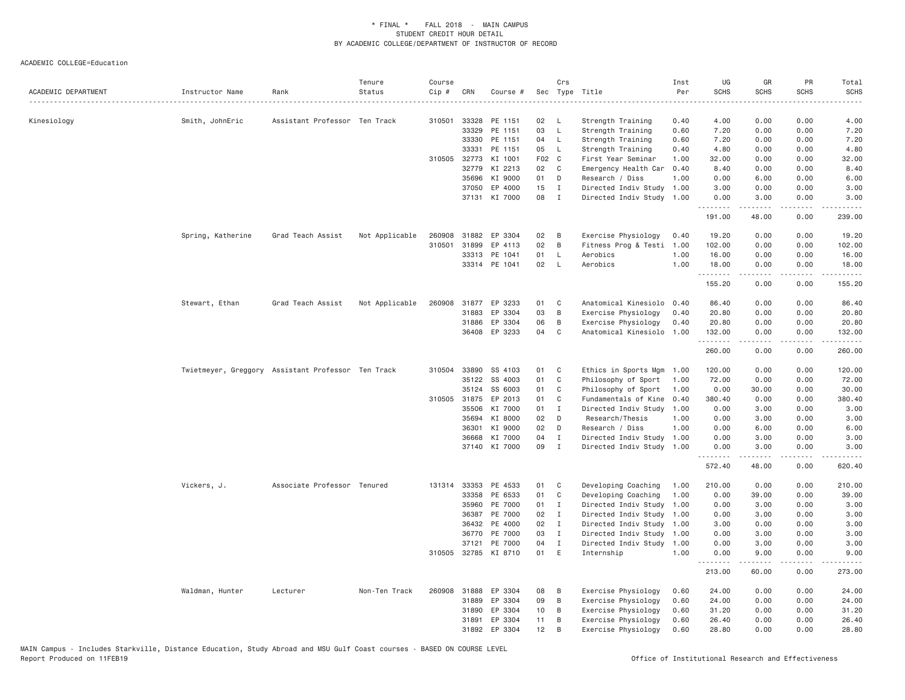| ACADEMIC DEPARTMENT | Instructor Name   | Rank                                               | Tenure<br>Status | Course<br>Cip # | CRN            | Course #             |          | Crs                          | Sec Type Title                         | Inst<br>Per  | UG<br><b>SCHS</b> | GR<br><b>SCHS</b>                                                                                                                                             | PR<br><b>SCHS</b>                                                                                                                 | Total<br><b>SCHS</b>                                                                                                      |
|---------------------|-------------------|----------------------------------------------------|------------------|-----------------|----------------|----------------------|----------|------------------------------|----------------------------------------|--------------|-------------------|---------------------------------------------------------------------------------------------------------------------------------------------------------------|-----------------------------------------------------------------------------------------------------------------------------------|---------------------------------------------------------------------------------------------------------------------------|
|                     |                   |                                                    |                  |                 |                |                      |          |                              |                                        | .            |                   |                                                                                                                                                               |                                                                                                                                   | $\frac{1}{2} \left( \frac{1}{2} \right) \left( \frac{1}{2} \right) \left( \frac{1}{2} \right) \left( \frac{1}{2} \right)$ |
| Kinesiology         | Smith, JohnEric   | Assistant Professor Ten Track                      |                  |                 | 310501 33328   | PE 1151              | 02<br>03 | L,                           | Strength Training                      | 0.40         | 4.00              | 0.00                                                                                                                                                          | 0.00                                                                                                                              | 4.00                                                                                                                      |
|                     |                   |                                                    |                  |                 | 33329<br>33330 | PE 1151<br>PE 1151   | 04       | $\mathsf{L}$<br>$\mathsf{L}$ | Strength Training<br>Strength Training | 0.60<br>0.60 | 7.20<br>7.20      | 0.00<br>0.00                                                                                                                                                  | 0.00<br>0.00                                                                                                                      | 7.20<br>7.20                                                                                                              |
|                     |                   |                                                    |                  |                 | 33331          | PE 1151              | 05       | L                            | Strength Training                      | 0.40         | 4.80              | 0.00                                                                                                                                                          | 0.00                                                                                                                              | 4.80                                                                                                                      |
|                     |                   |                                                    |                  |                 | 310505 32773   | KI 1001              | F02 C    |                              | First Year Seminar                     | 1.00         | 32.00             | 0.00                                                                                                                                                          | 0.00                                                                                                                              | 32.00                                                                                                                     |
|                     |                   |                                                    |                  |                 | 32779          | KI 2213              | 02       | C                            | Emergency Health Car                   | 0.40         | 8.40              | 0.00                                                                                                                                                          | 0.00                                                                                                                              | 8.40                                                                                                                      |
|                     |                   |                                                    |                  |                 | 35696          | KI 9000              | 01       | D                            | Research / Diss                        | 1.00         | 0.00              | 6.00                                                                                                                                                          | 0.00                                                                                                                              | 6.00                                                                                                                      |
|                     |                   |                                                    |                  |                 | 37050          | EP 4000              | 15       | $\mathbf{I}$                 | Directed Indiv Study                   | 1.00         | 3.00              | 0.00                                                                                                                                                          | 0.00                                                                                                                              | 3.00                                                                                                                      |
|                     |                   |                                                    |                  |                 | 37131          | KI 7000              | 08       | $\mathbf{I}$                 | Directed Indiv Study 1.00              |              | 0.00              | 3.00                                                                                                                                                          | 0.00                                                                                                                              | 3.00                                                                                                                      |
|                     |                   |                                                    |                  |                 |                |                      |          |                              |                                        |              | .<br>191.00       | $\frac{1}{2} \left( \frac{1}{2} \right) \left( \frac{1}{2} \right) \left( \frac{1}{2} \right) \left( \frac{1}{2} \right) \left( \frac{1}{2} \right)$<br>48.00 | $\sim$ $\sim$ $\sim$<br>0.00                                                                                                      | .<br>239.00                                                                                                               |
|                     | Spring, Katherine | Grad Teach Assist                                  | Not Applicable   | 260908          | 31882          | EP 3304              | 02       | B                            | Exercise Physiology                    | 0.40         | 19.20             | 0.00                                                                                                                                                          | 0.00                                                                                                                              | 19.20                                                                                                                     |
|                     |                   |                                                    |                  | 310501          | 31899          | EP 4113              | 02       | B                            | Fitness Prog & Testi                   | 1.00         | 102.00            | 0.00                                                                                                                                                          | 0.00                                                                                                                              | 102.00                                                                                                                    |
|                     |                   |                                                    |                  |                 | 33313          | PE 1041              | 01       | L.                           | Aerobics                               | 1.00         | 16.00             | 0.00                                                                                                                                                          | 0.00                                                                                                                              | 16.00                                                                                                                     |
|                     |                   |                                                    |                  |                 |                | 33314 PE 1041        | 02       | $\mathsf{L}$                 | Aerobics                               | 1.00         | 18.00<br>.        | 0.00<br>.                                                                                                                                                     | 0.00<br>$\frac{1}{2}$                                                                                                             | 18.00<br>.                                                                                                                |
|                     |                   |                                                    |                  |                 |                |                      |          |                              |                                        |              | 155.20            | 0.00                                                                                                                                                          | 0.00                                                                                                                              | 155.20                                                                                                                    |
|                     | Stewart, Ethan    | Grad Teach Assist                                  | Not Applicable   |                 |                | 260908 31877 EP 3233 | 01       | C                            | Anatomical Kinesiolo                   | 0.40         | 86.40             | 0.00                                                                                                                                                          | 0.00                                                                                                                              | 86.40                                                                                                                     |
|                     |                   |                                                    |                  |                 | 31883          | EP 3304              | 03       | $\,$ B                       | Exercise Physiology                    | 0.40         | 20.80             | 0.00                                                                                                                                                          | 0.00                                                                                                                              | 20.80                                                                                                                     |
|                     |                   |                                                    |                  |                 | 31886          | EP 3304              | 06       | B                            | Exercise Physiology                    | 0.40         | 20.80             | 0.00                                                                                                                                                          | 0.00                                                                                                                              | 20.80                                                                                                                     |
|                     |                   |                                                    |                  |                 | 36408          | EP 3233              | 04       | C                            | Anatomical Kinesiolo                   | 1.00         | 132.00<br>.       | 0.00                                                                                                                                                          | 0.00<br>.                                                                                                                         | 132.00<br>.                                                                                                               |
|                     |                   |                                                    |                  |                 |                |                      |          |                              |                                        |              | 260.00            | 0.00                                                                                                                                                          | 0.00                                                                                                                              | 260.00                                                                                                                    |
|                     |                   | Twietmeyer, Greggory Assistant Professor Ten Track |                  |                 | 310504 33890   | SS 4103              | 01       | C <sub>1</sub>               | Ethics in Sports Mgm                   | 1.00         | 120.00            | 0.00                                                                                                                                                          | 0.00                                                                                                                              | 120.00                                                                                                                    |
|                     |                   |                                                    |                  |                 | 35122          | SS 4003              | 01       | C                            | Philosophy of Sport                    | 1.00         | 72.00             | 0.00                                                                                                                                                          | 0.00                                                                                                                              | 72.00                                                                                                                     |
|                     |                   |                                                    |                  |                 | 35124          | SS 6003              | 01       | C                            | Philosophy of Sport                    | 1.00         | 0.00              | 30.00                                                                                                                                                         | 0.00                                                                                                                              | 30.00                                                                                                                     |
|                     |                   |                                                    |                  |                 | 310505 31875   | EP 2013              | 01       | C                            | Fundamentals of Kine                   | 0.40         | 380.40            | 0.00                                                                                                                                                          | 0.00                                                                                                                              | 380.40                                                                                                                    |
|                     |                   |                                                    |                  |                 | 35506          | KI 7000              | 01       | $\mathbf{I}$                 | Directed Indiv Study                   | 1.00         | 0.00              | 3.00                                                                                                                                                          | 0.00                                                                                                                              | 3.00                                                                                                                      |
|                     |                   |                                                    |                  |                 | 35694          | KI 8000              | 02       | D                            | Research/Thesis                        | 1.00         | 0.00              | 3.00                                                                                                                                                          | 0.00                                                                                                                              | 3.00                                                                                                                      |
|                     |                   |                                                    |                  |                 | 36301          | KI 9000              | 02       | D                            | Research / Diss                        | 1.00         | 0.00              | 6.00                                                                                                                                                          | 0.00                                                                                                                              | 6.00                                                                                                                      |
|                     |                   |                                                    |                  |                 | 36668          | KI 7000              | 04       | $\mathbf I$                  | Directed Indiv Study 1.00              |              | 0.00              | 3.00                                                                                                                                                          | 0.00                                                                                                                              | 3.00                                                                                                                      |
|                     |                   |                                                    |                  |                 | 37140          | KI 7000              | 09       | $\mathbf{I}$                 | Directed Indiv Study                   | 1.00         | 0.00<br><u>.</u>  | 3.00<br>$- - - - -$                                                                                                                                           | 0.00<br>$\frac{1}{2} \left( \frac{1}{2} \right) \left( \frac{1}{2} \right) \left( \frac{1}{2} \right) \left( \frac{1}{2} \right)$ | 3.00<br>.                                                                                                                 |
|                     |                   |                                                    |                  |                 |                |                      |          |                              |                                        |              | 572.40            | 48.00                                                                                                                                                         | 0.00                                                                                                                              | 620.40                                                                                                                    |
|                     | Vickers, J.       | Associate Professor Tenured                        |                  |                 | 131314 33353   | PE 4533              | 01       | C                            | Developing Coaching                    | 1.00         | 210.00            | 0.00                                                                                                                                                          | 0.00                                                                                                                              | 210.00                                                                                                                    |
|                     |                   |                                                    |                  |                 | 33358          | PE 6533              | 01       | C                            | Developing Coaching                    | 1.00         | 0.00              | 39.00                                                                                                                                                         | 0.00                                                                                                                              | 39.00                                                                                                                     |
|                     |                   |                                                    |                  |                 | 35960          | PE 7000              | 01       | $\mathbf{I}$                 | Directed Indiv Study                   | 1.00         | 0.00              | 3.00                                                                                                                                                          | 0.00                                                                                                                              | 3.00                                                                                                                      |
|                     |                   |                                                    |                  |                 | 36387          | PE 7000              | 02       | $\mathbf{I}$                 | Directed Indiv Study                   | 1.00         | 0.00              | 3.00                                                                                                                                                          | 0.00                                                                                                                              | 3.00                                                                                                                      |
|                     |                   |                                                    |                  |                 | 36432          | PE 4000              | 02       | $\mathbf{I}$                 | Directed Indiv Study                   | 1.00         | 3.00              | 0.00                                                                                                                                                          | 0.00                                                                                                                              | 3.00                                                                                                                      |
|                     |                   |                                                    |                  |                 | 36770          | PE 7000              | 03       | I                            | Directed Indiv Study                   | 1.00         | 0.00              | 3.00                                                                                                                                                          | 0.00                                                                                                                              | 3.00                                                                                                                      |
|                     |                   |                                                    |                  |                 | 37121          | PE 7000              | 04       | $\mathbf I$                  | Directed Indiv Study                   | 1.00         | 0.00              | 3.00                                                                                                                                                          | 0.00                                                                                                                              | 3.00                                                                                                                      |
|                     |                   |                                                    |                  |                 | 310505 32785   | KI 8710              | 01       | E                            | Internship                             | 1.00         | 0.00<br>.         | 9.00                                                                                                                                                          | 0.00                                                                                                                              | 9.00                                                                                                                      |
|                     |                   |                                                    |                  |                 |                |                      |          |                              |                                        |              | 213.00            | 60.00                                                                                                                                                         | 0.00                                                                                                                              | 273.00                                                                                                                    |
|                     | Waldman, Hunter   | Lecturer                                           | Non-Ten Track    | 260908          | 31888          | EP 3304              | 08       | B                            | Exercise Physiology                    | 0.60         | 24.00             | 0.00                                                                                                                                                          | 0.00                                                                                                                              | 24.00                                                                                                                     |
|                     |                   |                                                    |                  |                 | 31889          | EP 3304              | 09       | B                            | Exercise Physiology                    | 0.60         | 24.00             | 0.00                                                                                                                                                          | 0.00                                                                                                                              | 24.00                                                                                                                     |
|                     |                   |                                                    |                  |                 | 31890          | EP 3304              | 10       | B                            | Exercise Physiology                    | 0.60         | 31.20             | 0.00                                                                                                                                                          | 0.00                                                                                                                              | 31.20                                                                                                                     |
|                     |                   |                                                    |                  |                 | 31891          | EP 3304              | 11       | B                            | Exercise Physiology                    | 0.60         | 26.40             | 0.00                                                                                                                                                          | 0.00                                                                                                                              | 26.40                                                                                                                     |
|                     |                   |                                                    |                  |                 | 31892          | EP 3304              | 12       | B                            | Exercise Physiology                    | 0.60         | 28.80             | 0.00                                                                                                                                                          | 0.00                                                                                                                              | 28.80                                                                                                                     |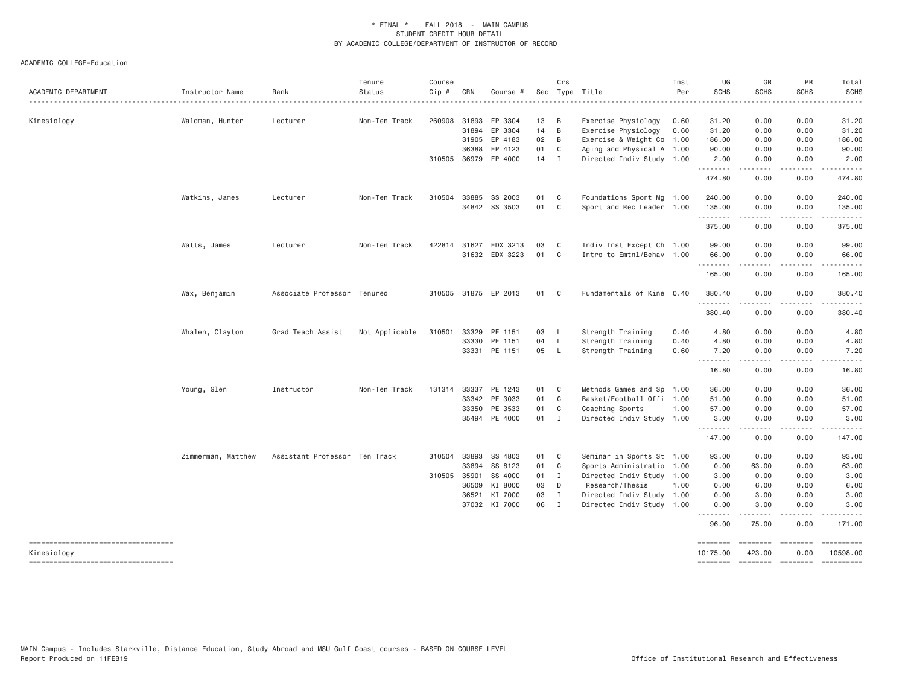| ACADEMIC DEPARTMENT                 | Instructor Name    | Rank                          | Tenure<br>Status | Course<br>Cip # | CRN          | Course #                 |          | Crs                 | Sec Type Title                             | Inst<br>Per  | UG<br><b>SCHS</b>                     | GR<br><b>SCHS</b> | PR<br><b>SCHS</b>                   | Total<br><b>SCHS</b><br>. |
|-------------------------------------|--------------------|-------------------------------|------------------|-----------------|--------------|--------------------------|----------|---------------------|--------------------------------------------|--------------|---------------------------------------|-------------------|-------------------------------------|---------------------------|
|                                     |                    |                               |                  |                 |              |                          |          |                     |                                            |              |                                       |                   |                                     | 31.20                     |
| Kinesiology                         | Waldman, Hunter    | Lecturer                      | Non-Ten Track    | 260908          | 31893        | EP 3304<br>31894 EP 3304 | 13<br>14 | $\overline{B}$<br>B | Exercise Physiology<br>Exercise Physiology | 0.60<br>0.60 | 31.20<br>31.20                        | 0.00<br>0.00      | 0.00<br>0.00                        | 31.20                     |
|                                     |                    |                               |                  |                 | 31905        | EP 4183                  | 02       | $\overline{B}$      | Exercise & Weight Co 1.00                  |              | 186.00                                | 0.00              | 0.00                                | 186.00                    |
|                                     |                    |                               |                  |                 | 36388        | EP 4123                  | 01       | C                   | Aging and Physical A 1.00                  |              | 90.00                                 | 0.00              | 0.00                                | 90.00                     |
|                                     |                    |                               |                  |                 |              | 310505 36979 EP 4000     | 14 I     |                     | Directed Indiv Study 1.00                  |              | 2.00                                  | 0.00              | 0.00                                | 2.00                      |
|                                     |                    |                               |                  |                 |              |                          |          |                     |                                            |              | .<br>474.80                           | 0.00              | $\frac{1}{2}$<br>0.00               | .<br>474.80               |
|                                     | Watkins, James     | Lecturer                      | Non-Ten Track    | 310504          | 33885        | SS 2003                  | 01       | $\mathbf{C}$        | Foundations Sport Mg 1.00                  |              | 240.00                                | 0.00              | 0.00                                | 240.00                    |
|                                     |                    |                               |                  |                 |              | 34842 SS 3503            | 01 C     |                     | Sport and Rec Leader 1.00                  |              | 135.00<br>.                           | 0.00<br>.         | 0.00                                | 135.00<br>.               |
|                                     |                    |                               |                  |                 |              |                          |          |                     |                                            |              | 375.00                                | 0.00              | 0.00                                | 375.00                    |
|                                     | Watts, James       | Lecturer                      | Non-Ten Track    |                 | 422814 31627 | EDX 3213                 | 03       | C.                  | Indiv Inst Except Ch 1.00                  |              | 99.00                                 | 0.00              | 0.00                                | 99.00                     |
|                                     |                    |                               |                  |                 |              | 31632 EDX 3223           | 01 C     |                     | Intro to Emtnl/Behav 1.00                  |              | 66.00<br>.                            | 0.00<br>-----     | 0.00<br>.                           | 66.00<br>------           |
|                                     |                    |                               |                  |                 |              |                          |          |                     |                                            |              | 165.00                                | 0.00              | 0.00                                | 165.00                    |
|                                     | Wax, Benjamin      | Associate Professor Tenured   |                  |                 |              | 310505 31875 EP 2013     | 01 C     |                     | Fundamentals of Kine 0.40                  |              | 380.40                                | 0.00              | 0.00                                | 380.40                    |
|                                     |                    |                               |                  |                 |              |                          |          |                     |                                            |              | $\sim$ $\sim$ $\sim$ $\sim$<br>380.40 | 0.00              | 0.00                                | 380.40                    |
|                                     | Whalen, Clayton    | Grad Teach Assist             | Not Applicable   |                 |              | 310501 33329 PE 1151     | 03 L     |                     | Strength Training                          | 0.40         | 4.80                                  | 0.00              | 0.00                                | 4.80                      |
|                                     |                    |                               |                  |                 | 33330        | PE 1151                  | 04 L     |                     | Strength Training                          | 0.40         | 4.80                                  | 0.00              | 0.00                                | 4.80                      |
|                                     |                    |                               |                  |                 |              | 33331 PE 1151            | 05 L     |                     | Strength Training                          | 0.60         | 7.20<br>.                             | 0.00              | 0.00                                | 7.20                      |
|                                     |                    |                               |                  |                 |              |                          |          |                     |                                            |              | 16.80                                 | 0.00              | 0.00                                | 16.80                     |
|                                     | Young, Glen        | Instructor                    | Non-Ten Track    | 131314          | 33337        | PE 1243                  | 01       | $\mathbf{C}$        | Methods Games and Sp 1.00                  |              | 36.00                                 | 0.00              | 0.00                                | 36.00                     |
|                                     |                    |                               |                  |                 |              | 33342 PE 3033            | 01       | $\mathbf{C}$        | Basket/Football Offi 1.00                  |              | 51.00                                 | 0.00              | 0.00                                | 51.00                     |
|                                     |                    |                               |                  |                 | 33350        | PE 3533                  | 01       | $\mathbf{C}$        | Coaching Sports                            | 1.00         | 57.00                                 | 0.00              | 0.00                                | 57.00                     |
|                                     |                    |                               |                  |                 |              | 35494 PE 4000            | $01$ I   |                     | Directed Indiv Study 1.00                  |              | 3.00<br>.                             | 0.00              | 0.00<br>$\sim$ $\sim$ $\sim$ $\sim$ | 3.00                      |
|                                     |                    |                               |                  |                 |              |                          |          |                     |                                            |              | 147.00                                | 0.00              | 0.00                                | 147.00                    |
|                                     | Zimmerman, Matthew | Assistant Professor Ten Track |                  |                 | 310504 33893 | SS 4803                  | 01       | $\mathbf{C}$        | Seminar in Sports St 1.00                  |              | 93.00                                 | 0.00              | 0.00                                | 93.00                     |
|                                     |                    |                               |                  |                 | 33894        | SS 8123                  | 01 C     |                     | Sports Administratio 1.00                  |              | 0.00                                  | 63.00             | 0.00                                | 63.00                     |
|                                     |                    |                               |                  | 310505 35901    |              | SS 4000                  | 01 I     |                     | Directed Indiv Study 1.00                  |              | 3.00                                  | 0.00              | 0.00                                | 3.00                      |
|                                     |                    |                               |                  |                 | 36509        | KI 8000                  | 03 D     |                     | Research/Thesis                            | 1.00         | 0.00                                  | 6.00              | 0.00                                | 6.00                      |
|                                     |                    |                               |                  |                 | 36521        | KI 7000                  | 03       | $\mathbf{I}$        | Directed Indiv Study 1.00                  |              | 0.00                                  | 3.00              | 0.00                                | 3.00                      |
|                                     |                    |                               |                  |                 |              | 37032 KI 7000            | 06 I     |                     | Directed Indiv Study 1.00                  |              | 0.00<br>.                             | 3.00<br>-----     | 0.00<br>.                           | 3.00                      |
|                                     |                    |                               |                  |                 |              |                          |          |                     |                                            |              | 96.00                                 | 75.00             | 0.00                                | 171.00                    |
| ----------------------------------- |                    |                               |                  |                 |              |                          |          |                     |                                            |              | <b>SESSESSE</b>                       |                   |                                     | ==========                |
| Kinesiology                         |                    |                               |                  |                 |              |                          |          |                     |                                            |              | 10175.00                              | 423.00            | 0.00                                | 10598.00                  |
| ----------------------------------  |                    |                               |                  |                 |              |                          |          |                     |                                            |              | ========                              |                   | ======== ========                   | ==========                |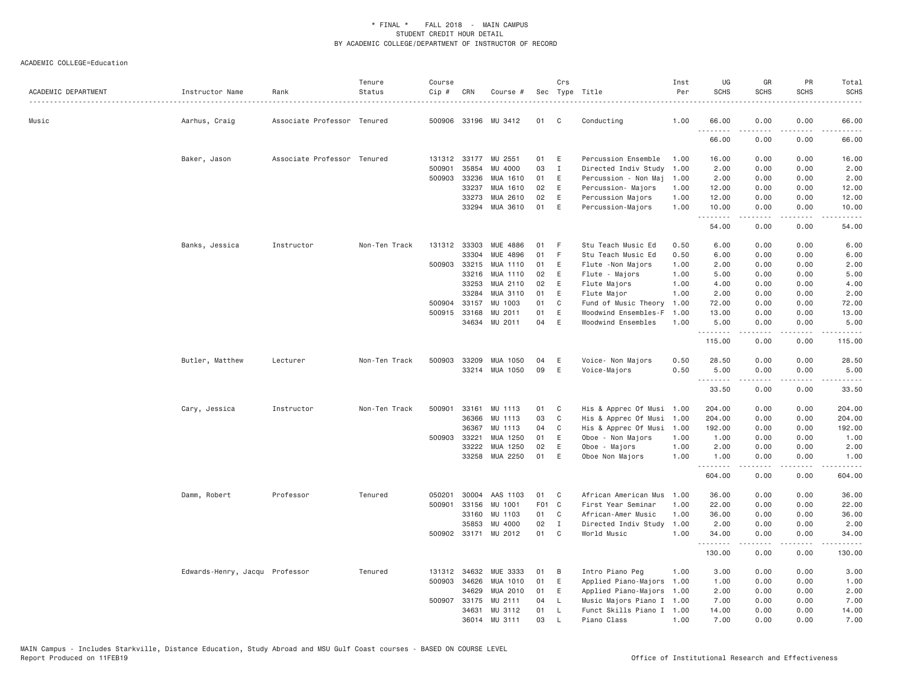| ACADEMIC DEPARTMENT | Instructor Name                | Rank                        | Tenure<br>Status | Course<br>Cip # | CRN          | Course #             |       | Crs          | Sec Type Title<br>.       | Inst<br>Per | UG<br><b>SCHS</b> | GR<br><b>SCHS</b> | PR<br><b>SCHS</b>                   | Total<br><b>SCHS</b><br>$\frac{1}{2}$                                                                                                                        |
|---------------------|--------------------------------|-----------------------------|------------------|-----------------|--------------|----------------------|-------|--------------|---------------------------|-------------|-------------------|-------------------|-------------------------------------|--------------------------------------------------------------------------------------------------------------------------------------------------------------|
| Music               | Aarhus, Craig                  | Associate Professor Tenured |                  |                 |              | 500906 33196 MU 3412 | 01    | C            | Conducting                | 1.00        | 66.00             | 0.00              | 0.00                                | 66.00                                                                                                                                                        |
|                     |                                |                             |                  |                 |              |                      |       |              |                           |             | .<br>66.00        | .<br>0.00         | $\sim$ $\sim$ $\sim$<br>0.00        | المتماما<br>66.00                                                                                                                                            |
|                     | Baker, Jason                   | Associate Professor Tenured |                  |                 | 131312 33177 | MU 2551              | 01    | Ε            | Percussion Ensemble       | 1.00        | 16.00             | 0.00              | 0.00                                | 16.00                                                                                                                                                        |
|                     |                                |                             |                  | 500901          | 35854        | MU 4000              | 03    | $\mathbf{I}$ | Directed Indiv Study      | 1.00        | 2.00              | 0.00              | 0.00                                | 2.00                                                                                                                                                         |
|                     |                                |                             |                  | 500903          | 33236        | MUA 1610             | 01    | Ε            | Percussion - Non Maj      | 1.00        | 2.00              | 0.00              | 0.00                                | 2.00                                                                                                                                                         |
|                     |                                |                             |                  |                 | 33237        | MUA 1610             | 02    | Ε            | Percussion- Majors        | 1.00        | 12.00             | 0.00              | 0.00                                | 12.00                                                                                                                                                        |
|                     |                                |                             |                  |                 | 33273        | MUA 2610             | 02    | E            | Percussion Majors         | 1.00        | 12.00             | 0.00              | 0.00                                | 12.00                                                                                                                                                        |
|                     |                                |                             |                  |                 | 33294        | MUA 3610             | 01    | E            | Percussion-Majors         | 1.00        | 10.00<br>.        | 0.00<br>.         | 0.00<br>$\cdots$                    | 10.00<br>.                                                                                                                                                   |
|                     |                                |                             |                  |                 |              |                      |       |              |                           |             | 54.00             | 0.00              | 0.00                                | 54.00                                                                                                                                                        |
|                     | Banks, Jessica                 | Instructor                  | Non-Ten Track    |                 | 131312 33303 | MUE 4886             | 01    | F            | Stu Teach Music Ed        | 0.50        | 6.00              | 0.00              | 0.00                                | 6.00                                                                                                                                                         |
|                     |                                |                             |                  |                 | 33304        | MUE 4896             | 01    | F            | Stu Teach Music Ed        | 0.50        | 6.00              | 0.00              | 0.00                                | 6.00                                                                                                                                                         |
|                     |                                |                             |                  | 500903          | 33215        | MUA 1110             | 01    | E            | Flute - Non Majors        | 1.00        | 2.00              | 0.00              | 0.00                                | 2.00                                                                                                                                                         |
|                     |                                |                             |                  |                 | 33216        | MUA 1110             | 02    | Ε            | Flute - Majors            | 1.00        | 5.00              | 0.00              | 0.00                                | 5.00                                                                                                                                                         |
|                     |                                |                             |                  |                 | 33253        | MUA 2110             | 02    | E            | Flute Majors              | 1.00        | 4.00              | 0.00              | 0.00                                | 4.00                                                                                                                                                         |
|                     |                                |                             |                  |                 | 33284        | MUA 3110             | 01    | E            | Flute Major               | 1.00        | 2.00              | 0.00              | 0.00                                | 2.00                                                                                                                                                         |
|                     |                                |                             |                  | 500904          | 33157        | MU 1003              | 01    | C            | Fund of Music Theory      | 1.00        | 72.00             | 0.00              | 0.00                                | 72.00                                                                                                                                                        |
|                     |                                |                             |                  |                 | 500915 33168 | MU 2011              | 01    | Ε            | Woodwind Ensembles-F      | 1.00        | 13.00             | 0.00              | 0.00                                | 13.00                                                                                                                                                        |
|                     |                                |                             |                  |                 | 34634        | MU 2011              | 04    | E            | Woodwind Ensembles        | 1.00        | 5.00<br>.         | 0.00<br>.         | 0.00<br>.                           | 5.00<br>.                                                                                                                                                    |
|                     |                                |                             |                  |                 |              |                      |       |              |                           |             | 115.00            | 0.00              | 0.00                                | 115.00                                                                                                                                                       |
|                     | Butler, Matthew                | Lecturer                    | Non-Ten Track    | 500903          | 33209        | MUA 1050             | 04    | Ε            | Voice- Non Majors         | 0.50        | 28.50             | 0.00              | 0.00                                | 28.50                                                                                                                                                        |
|                     |                                |                             |                  |                 |              | 33214 MUA 1050       | 09    | Ε            | Voice-Majors              | 0.50        | 5.00<br>.         | 0.00<br>.         | 0.00<br>$\sim$ $\sim$ $\sim$ $\sim$ | 5.00<br>المستبدا                                                                                                                                             |
|                     |                                |                             |                  |                 |              |                      |       |              |                           |             | 33.50             | 0.00              | 0.00                                | 33.50                                                                                                                                                        |
|                     | Cary, Jessica                  | Instructor                  | Non-Ten Track    | 500901          | 33161        | MU 1113              | 01    | C            | His & Apprec Of Musi 1.00 |             | 204.00            | 0.00              | 0.00                                | 204.00                                                                                                                                                       |
|                     |                                |                             |                  |                 | 36366        | MU 1113              | 03    | $\mathsf{C}$ | His & Apprec Of Musi      | 1.00        | 204.00            | 0.00              | 0.00                                | 204.00                                                                                                                                                       |
|                     |                                |                             |                  |                 | 36367        | MU 1113              | 04    | C            | His & Apprec Of Musi      | 1.00        | 192.00            | 0.00              | 0.00                                | 192.00                                                                                                                                                       |
|                     |                                |                             |                  |                 | 500903 33221 | MUA 1250             | 01    | E            | Oboe - Non Majors         | 1.00        | 1.00              | 0.00              | 0.00                                | 1.00                                                                                                                                                         |
|                     |                                |                             |                  |                 | 33222        | MUA 1250             | 02    | Ε            | Oboe - Majors             | 1.00        | 2.00              | 0.00              | 0.00                                | 2.00                                                                                                                                                         |
|                     |                                |                             |                  |                 | 33258        | MUA 2250             | 01    | Ε            | Oboe Non Majors           | 1.00        | 1.00<br>.         | 0.00<br>.         | 0.00<br>$\sim$ $\sim$ $\sim$        | 1.00<br>$\frac{1}{2} \left( \frac{1}{2} \right) \left( \frac{1}{2} \right) \left( \frac{1}{2} \right) \left( \frac{1}{2} \right) \left( \frac{1}{2} \right)$ |
|                     |                                |                             |                  |                 |              |                      |       |              |                           |             | 604.00            | 0.00              | 0.00                                | 604.00                                                                                                                                                       |
|                     | Damm, Robert                   | Professor                   | Tenured          | 050201          | 30004        | AAS 1103             | 01    | C            | African American Mus      | 1.00        | 36.00             | 0.00              | 0.00                                | 36.00                                                                                                                                                        |
|                     |                                |                             |                  | 500901          | 33156        | MU 1001              | F01 C |              | First Year Seminar        | 1.00        | 22.00             | 0.00              | 0.00                                | 22.00                                                                                                                                                        |
|                     |                                |                             |                  |                 | 33160        | MU 1103              | 01    | C            | African-Amer Music        | 1.00        | 36.00             | 0.00              | 0.00                                | 36.00                                                                                                                                                        |
|                     |                                |                             |                  |                 | 35853        | MU 4000              | 02    | $\mathbf{I}$ | Directed Indiv Study      | 1.00        | 2.00              | 0.00              | 0.00                                | 2.00                                                                                                                                                         |
|                     |                                |                             |                  |                 |              | 500902 33171 MU 2012 | 01    | C            | World Music               | 1.00        | 34.00             | 0.00              | 0.00                                | 34.00                                                                                                                                                        |
|                     |                                |                             |                  |                 |              |                      |       |              |                           |             | .<br>130.00       | .<br>0.00         | .<br>0.00                           | .<br>130.00                                                                                                                                                  |
|                     | Edwards-Henry, Jacqu Professor |                             | Tenured          | 131312          | 34632        | MUE 3333             | 01    | B            | Intro Piano Peg           | 1.00        | 3.00              | 0.00              | 0.00                                | 3.00                                                                                                                                                         |
|                     |                                |                             |                  | 500903          | 34626        | MUA 1010             | 01    | Ε            | Applied Piano-Majors      | 1.00        | 1.00              | 0.00              | 0.00                                | 1.00                                                                                                                                                         |
|                     |                                |                             |                  |                 | 34629        | MUA 2010             | 01    | E            | Applied Piano-Majors      | 1.00        | 2.00              | 0.00              | 0.00                                | 2.00                                                                                                                                                         |
|                     |                                |                             |                  | 500907          | 33175        | MU 2111              | 04    | L            | Music Majors Piano I 1.00 |             | 7.00              | 0.00              | 0.00                                | 7.00                                                                                                                                                         |
|                     |                                |                             |                  |                 | 34631        | MU 3112              | 01    | L            | Funct Skills Piano I 1.00 |             | 14.00             | 0.00              | 0.00                                | 14.00                                                                                                                                                        |
|                     |                                |                             |                  |                 | 36014 MU     | 3111                 | 03    |              | Piano Class               | 1.00        | 7.00              | 0.00              | 0.00                                | 7.00                                                                                                                                                         |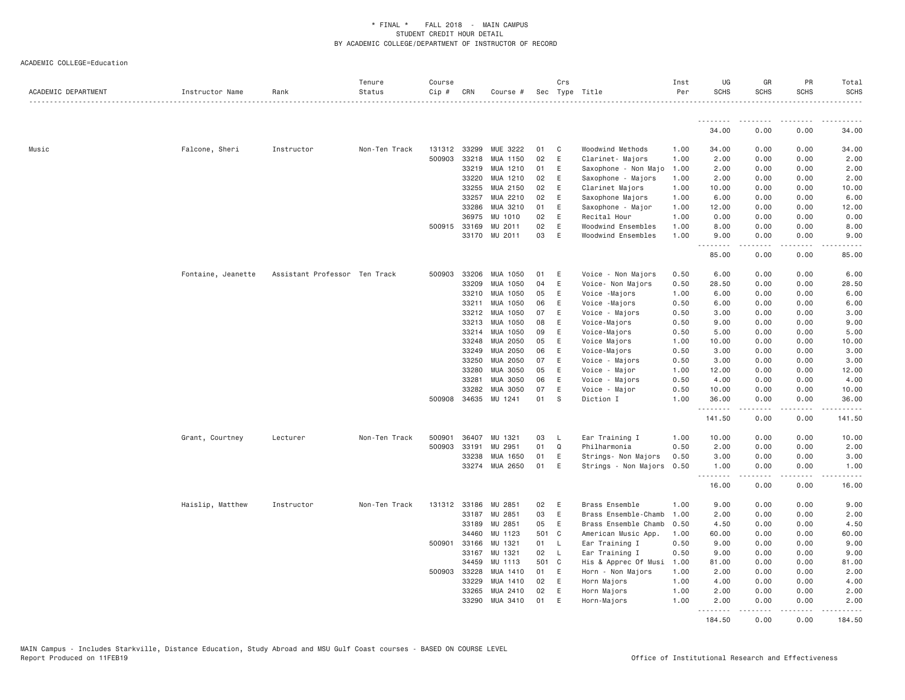| ACADEMIC DEPARTMENT | Instructor Name    | Rank                          | Tenure<br>Status | Course<br>Cip # | CRN          | Course #      |       | Crs          | Sec Type Title       | Inst<br>Per | UG<br><b>SCHS</b>                     | GR<br><b>SCHS</b>  | PR<br><b>SCHS</b>                   | Total<br><b>SCHS</b> |
|---------------------|--------------------|-------------------------------|------------------|-----------------|--------------|---------------|-------|--------------|----------------------|-------------|---------------------------------------|--------------------|-------------------------------------|----------------------|
|                     |                    |                               |                  |                 |              |               |       |              |                      |             | .                                     | <u>.</u>           | -----                               | <u>.</u>             |
|                     |                    |                               |                  |                 |              |               |       |              |                      |             | 34.00                                 | 0.00               | 0.00                                | 34.00                |
| Music               | Falcone, Sheri     | Instructor                    | Non-Ten Track    | 131312          | 33299        | MUE 3222      | 01    | C            | Woodwind Methods     | 1.00        | 34.00                                 | 0.00               | 0.00                                | 34.00                |
|                     |                    |                               |                  | 500903          | 33218        | MUA 1150      | 02    | Ε            | Clarinet- Majors     | 1.00        | 2.00                                  | 0.00               | 0.00                                | 2.00                 |
|                     |                    |                               |                  |                 | 33219        | MUA 1210      | 01    | E            | Saxophone - Non Majo | 1.00        | 2.00                                  | 0.00               | 0.00                                | 2.00                 |
|                     |                    |                               |                  |                 | 33220        | MUA 1210      | 02    | E            | Saxophone - Majors   | 1.00        | 2.00                                  | 0.00               | 0.00                                | 2.00                 |
|                     |                    |                               |                  |                 | 33255        | MUA 2150      | 02    | Ε            | Clarinet Majors      | 1.00        | 10.00                                 | 0.00               | 0.00                                | 10.00                |
|                     |                    |                               |                  |                 | 33257        | MUA 2210      | 02    | E            | Saxophone Majors     | 1.00        | 6.00                                  | 0.00               | 0.00                                | 6.00                 |
|                     |                    |                               |                  |                 | 33286        | MUA 3210      | 01    | Ε            | Saxophone - Major    | 1.00        | 12.00                                 | 0.00               | 0.00                                | 12.00                |
|                     |                    |                               |                  |                 | 36975        | MU 1010       | 02    | E            | Recital Hour         | 1.00        | 0.00                                  | 0.00               | 0.00                                | 0.00                 |
|                     |                    |                               |                  |                 | 500915 33169 | MU 2011       | 02    | Ε            | Woodwind Ensembles   | 1.00        | 8.00                                  | 0.00               | 0.00                                | 8.00                 |
|                     |                    |                               |                  |                 |              | 33170 MU 2011 | 03    | $\mathsf E$  | Woodwind Ensembles   | 1.00        | 9.00                                  | 0.00<br>.          | 0.00<br>$\sim$ $\sim$ $\sim$ $\sim$ | 9.00                 |
|                     |                    |                               |                  |                 |              |               |       |              |                      |             | 85,00                                 | 0.00               | 0.00                                | 85,00                |
|                     | Fontaine, Jeanette | Assistant Professor Ten Track |                  | 500903          | 33206        | MUA 1050      | 01    | Ε            | Voice - Non Majors   | 0.50        | 6.00                                  | 0.00               | 0.00                                | 6.00                 |
|                     |                    |                               |                  |                 | 33209        | MUA 1050      | 04    | E            | Voice- Non Majors    | 0.50        | 28.50                                 | 0.00               | 0.00                                | 28.50                |
|                     |                    |                               |                  |                 | 33210        | MUA 1050      | 05    | E            | Voice - Majors       | 1.00        | 6.00                                  | 0.00               | 0.00                                | 6.00                 |
|                     |                    |                               |                  |                 | 33211        | MUA 1050      | 06    | Ε            | Voice -Majors        | 0.50        | 6.00                                  | 0.00               | 0.00                                | 6.00                 |
|                     |                    |                               |                  |                 | 33212        | MUA 1050      | 07    | E            | Voice - Majors       | 0.50        | 3.00                                  | 0.00               | 0.00                                | 3.00                 |
|                     |                    |                               |                  |                 | 33213        | MUA 1050      | 08    | Ε            | Voice-Majors         | 0.50        | 9.00                                  | 0.00               | 0.00                                | 9.00                 |
|                     |                    |                               |                  |                 | 33214        | MUA 1050      | 09    | E            | Voice-Majors         | 0.50        | 5.00                                  | 0.00               | 0.00                                | 5.00                 |
|                     |                    |                               |                  |                 | 33248        | MUA 2050      | 05    | E            | Voice Majors         | 1.00        | 10.00                                 | 0.00               | 0.00                                | 10.00                |
|                     |                    |                               |                  |                 | 33249        | MUA 2050      | 06    | E            | Voice-Majors         | 0.50        | 3.00                                  | 0.00               | 0.00                                | 3.00                 |
|                     |                    |                               |                  |                 | 33250        | MUA 2050      | 07    | Ε            | Voice - Majors       | 0.50        | 3.00                                  | 0.00               | 0.00                                | 3.00                 |
|                     |                    |                               |                  |                 | 33280        | MUA 3050      | 05    | $\mathsf E$  | Voice - Major        | 1.00        | 12.00                                 | 0.00               | 0.00                                | 12.00                |
|                     |                    |                               |                  |                 | 33281        | MUA 3050      | 06    | Ε            | Voice - Majors       | 0.50        | 4.00                                  | 0.00               | 0.00                                | 4.00                 |
|                     |                    |                               |                  |                 | 33282        | MUA 3050      | 07    | E            | Voice - Major        | 0.50        | 10.00                                 | 0.00               | 0.00                                | 10.00                |
|                     |                    |                               |                  |                 | 500908 34635 | MU 1241       | 01    | S            | Diction I            | 1.00        | 36.00<br>.                            | 0.00<br><b>.</b>   | 0.00<br>.                           | 36.00<br>.           |
|                     |                    |                               |                  |                 |              |               |       |              |                      |             | 141.50                                | 0.00               | 0.00                                | 141.50               |
|                     | Grant, Courtney    | Lecturer                      | Non-Ten Track    | 500901          | 36407        | MU 1321       | 03    | L            | Ear Training I       | 1.00        | 10.00                                 | 0.00               | 0.00                                | 10.00                |
|                     |                    |                               |                  | 500903          | 33191        | MU 2951       | 01    | Q            | Philharmonia         | 0.50        | 2.00                                  | 0.00               | 0.00                                | 2.00                 |
|                     |                    |                               |                  |                 | 33238        | MUA 1650      | 01    | E            | Strings- Non Majors  | 0.50        | 3.00                                  | 0.00               | 0.00                                | 3.00                 |
|                     |                    |                               |                  |                 | 33274        | MUA 2650      | 01    | Ε            | Strings - Non Majors | 0.50        | 1.00                                  | 0.00<br>.          | 0.00<br>.                           | 1.00<br>.            |
|                     |                    |                               |                  |                 |              |               |       |              |                      |             | 16.00                                 | 0.00               | 0.00                                | 16.00                |
|                     | Haislip, Matthew   | Instructor                    | Non-Ten Track    |                 | 131312 33186 | ΜU<br>2851    | 02    | Ε            | Brass Ensemble       | 1.00        | 9.00                                  | 0.00               | 0.00                                | 9.00                 |
|                     |                    |                               |                  |                 | 33187        | MU 2851       | 03    | E            | Brass Ensemble-Chamb | 1,00        | 2.00                                  | 0.00               | 0.00                                | 2.00                 |
|                     |                    |                               |                  |                 | 33189        | MU 2851       | 05    | Ε            | Brass Ensemble Chamb | 0.50        | 4.50                                  | 0.00               | 0.00                                | 4.50                 |
|                     |                    |                               |                  |                 | 34460        | MU 1123       | 501 C |              | American Music App.  | 1.00        | 60.00                                 | 0.00               | 0.00                                | 60.00                |
|                     |                    |                               |                  | 500901          | 33166        | MU 1321       | 01    | L            | Ear Training I       | 0.50        | 9.00                                  | 0.00               | 0.00                                | 9.00                 |
|                     |                    |                               |                  |                 | 33167        | MU 1321       | 02    | $\mathsf{L}$ | Ear Training I       | 0.50        | 9.00                                  | 0.00               | 0.00                                | 9.00                 |
|                     |                    |                               |                  |                 | 34459        | MU 1113       | 501 C |              | His & Apprec Of Musi | 1.00        | 81.00                                 | 0.00               | 0.00                                | 81.00                |
|                     |                    |                               |                  | 500903          | 33228        | MUA 1410      | 01    | E            | Horn - Non Majors    | 1.00        | 2.00                                  | 0.00               | 0.00                                | 2.00                 |
|                     |                    |                               |                  |                 | 33229        | MUA 1410      | 02    | Ε            | Horn Majors          | 1.00        | 4.00                                  | 0.00               | 0.00                                | 4.00                 |
|                     |                    |                               |                  |                 | 33265        | MUA 2410      | 02    | E            | Horn Majors          | 1.00        | 2.00                                  | 0.00               | 0.00                                | 2.00                 |
|                     |                    |                               |                  |                 | 33290        | MUA 3410      | 01    | Ε            | Horn-Majors          | 1.00        | 2.00<br><b><i><u><u>.</u></u></i></b> | 0.00<br>. <b>.</b> | 0.00<br>.                           | 2.00<br>.            |
|                     |                    |                               |                  |                 |              |               |       |              |                      |             | 184.50                                | 0.00               | 0.00                                | 184.50               |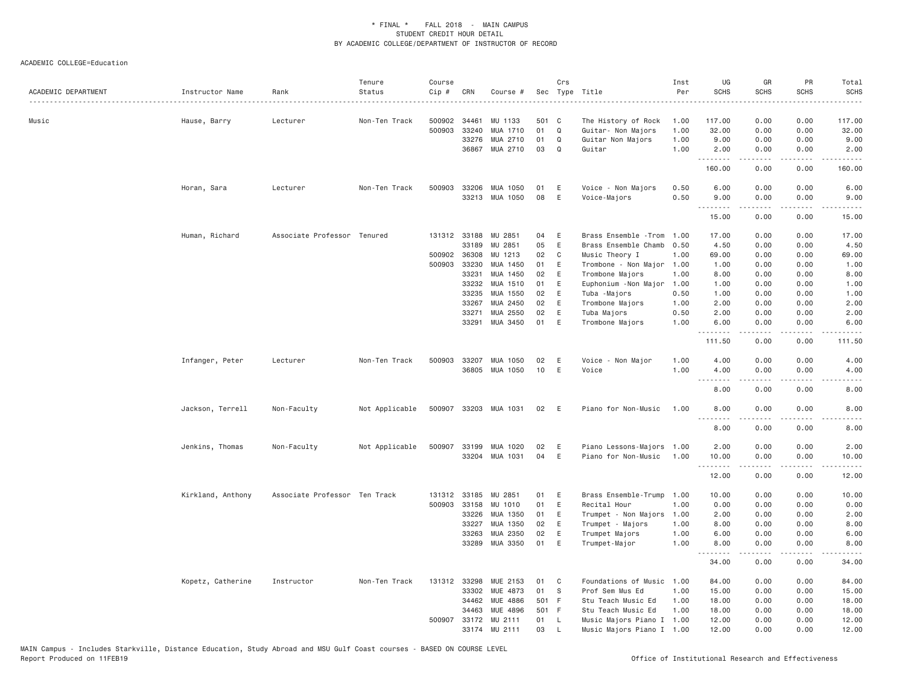| ACADEMIC DEPARTMENT | Instructor Name   | Rank                          | Tenure<br>Status | Course<br>Cip # | CRN          | Course #              |       | Crs          | Sec Type Title            | Inst<br>Per | UG<br><b>SCHS</b> | GR<br><b>SCHS</b>                                                                                                                                            | PR<br><b>SCHS</b>            | Total<br><b>SCHS</b>                                                                                                                           |
|---------------------|-------------------|-------------------------------|------------------|-----------------|--------------|-----------------------|-------|--------------|---------------------------|-------------|-------------------|--------------------------------------------------------------------------------------------------------------------------------------------------------------|------------------------------|------------------------------------------------------------------------------------------------------------------------------------------------|
| Music               | Hause, Barry      | Lecturer                      | Non-Ten Track    | 500902          | 34461        | MU 1133               | 501 C |              | The History of Rock       | 1.00        | 117.00            | 0.00                                                                                                                                                         | 0.00                         | 117.00                                                                                                                                         |
|                     |                   |                               |                  | 500903          | 33240        | MUA 1710              | 01    | Q            | Guitar- Non Majors        | 1.00        | 32.00             | 0.00                                                                                                                                                         | 0.00                         | 32.00                                                                                                                                          |
|                     |                   |                               |                  |                 | 33276        | MUA 2710              | 01    | Q            | Guitar Non Majors         | 1.00        | 9.00              | 0.00                                                                                                                                                         | 0.00                         | 9.00                                                                                                                                           |
|                     |                   |                               |                  |                 | 36867        | MUA 2710              | 03    | $\Omega$     | Guitar                    | 1.00        | 2.00              | 0.00                                                                                                                                                         | 0.00                         | 2.00                                                                                                                                           |
|                     |                   |                               |                  |                 |              |                       |       |              |                           |             | .<br>160.00       | 0.00                                                                                                                                                         | 0.00                         | 160.00                                                                                                                                         |
|                     | Horan, Sara       | Lecturer                      | Non-Ten Track    |                 | 500903 33206 | MUA 1050              | 01    | Ε            | Voice - Non Majors        | 0.50        | 6.00              | 0.00                                                                                                                                                         | 0.00                         | 6.00                                                                                                                                           |
|                     |                   |                               |                  |                 |              | 33213 MUA 1050        | 08    | E            | Voice-Majors              | 0.50        | 9.00              | 0.00<br><u>.</u>                                                                                                                                             | 0.00<br>.                    | 9.00<br>$\frac{1}{2}$                                                                                                                          |
|                     |                   |                               |                  |                 |              |                       |       |              |                           |             | .<br>15.00        | 0.00                                                                                                                                                         | 0.00                         | 15.00                                                                                                                                          |
|                     | Human, Richard    | Associate Professor Tenured   |                  |                 | 131312 33188 | MU 2851               | 04    | E            | Brass Ensemble - Trom     | 1.00        | 17.00             | 0.00                                                                                                                                                         | 0.00                         | 17.00                                                                                                                                          |
|                     |                   |                               |                  |                 | 33189        | MU 2851               | 05    | $\mathsf E$  | Brass Ensemble Chamb      | 0.50        | 4.50              | 0.00                                                                                                                                                         | 0.00                         | 4.50                                                                                                                                           |
|                     |                   |                               |                  | 500902 36308    |              | MU 1213               | 02    | C            | Music Theory I            | 1.00        | 69.00             | 0.00                                                                                                                                                         | 0.00                         | 69.00                                                                                                                                          |
|                     |                   |                               |                  |                 | 500903 33230 | MUA 1450              | 01    | E            | Trombone - Non Major      | 1.00        | 1.00              | 0.00                                                                                                                                                         | 0.00                         | 1.00                                                                                                                                           |
|                     |                   |                               |                  |                 | 33231        | MUA 1450              | 02    | E            | Trombone Majors           | 1.00        | 8.00              | 0.00                                                                                                                                                         | 0.00                         | 8.00                                                                                                                                           |
|                     |                   |                               |                  |                 | 33232        | MUA 1510              | 01    | Ε            | Euphonium - Non Major     | 1.00        | 1.00              | 0.00                                                                                                                                                         | 0.00                         | 1.00                                                                                                                                           |
|                     |                   |                               |                  |                 | 33235        | MUA 1550              | 02    | $\mathsf E$  | Tuba -Majors              | 0.50        | 1.00              | 0.00                                                                                                                                                         | 0.00                         | 1.00                                                                                                                                           |
|                     |                   |                               |                  |                 | 33267        | MUA 2450              | 02    | E            | Trombone Majors           | 1.00        | 2.00              | 0.00                                                                                                                                                         | 0.00                         | 2.00                                                                                                                                           |
|                     |                   |                               |                  |                 | 33271        | MUA 2550              | 02    | E            | Tuba Majors               | 0.50        | 2.00              | 0.00                                                                                                                                                         | 0.00                         | 2.00                                                                                                                                           |
|                     |                   |                               |                  |                 | 33291        | MUA 3450              | 01    | E            | Trombone Majors           | 1.00        | 6.00              | 0.00                                                                                                                                                         | 0.00                         | 6.00                                                                                                                                           |
|                     |                   |                               |                  |                 |              |                       |       |              |                           |             | .<br>111.50       | .<br>0.00                                                                                                                                                    | $\sim$ $\sim$ $\sim$<br>0.00 | $\mathcal{L}^{\mathcal{L}}\left( \mathcal{L}^{\mathcal{L}}\right) =\mathcal{L}^{\mathcal{L}}\left( \mathcal{L}^{\mathcal{L}}\right)$<br>111.50 |
|                     | Infanger, Peter   | Lecturer                      | Non-Ten Track    | 500903          | 33207        | MUA 1050              | 02    | E            | Voice - Non Major         | 1.00        | 4.00              | 0.00                                                                                                                                                         | 0.00                         | 4.00                                                                                                                                           |
|                     |                   |                               |                  |                 | 36805        | MUA 1050              | 10    | $\mathsf E$  | Voice                     | 1.00        | 4.00              | 0.00                                                                                                                                                         | 0.00                         | 4.00                                                                                                                                           |
|                     |                   |                               |                  |                 |              |                       |       |              |                           |             | .<br>8.00         | -----<br>0.00                                                                                                                                                | .<br>0.00                    | ----<br>8.00                                                                                                                                   |
|                     | Jackson, Terrell  | Non-Faculty                   | Not Applicable   |                 |              | 500907 33203 MUA 1031 | 02    | E            | Piano for Non-Music       | 1.00        | 8.00<br>.         | 0.00<br>.                                                                                                                                                    | 0.00<br>$\frac{1}{2}$        | 8.00<br>$\frac{1}{2} \left( \frac{1}{2} \right) \left( \frac{1}{2} \right) \left( \frac{1}{2} \right) \left( \frac{1}{2} \right)$              |
|                     |                   |                               |                  |                 |              |                       |       |              |                           |             | 8.00              | 0.00                                                                                                                                                         | 0.00                         | 8.00                                                                                                                                           |
|                     | Jenkins, Thomas   | Non-Faculty                   | Not Applicable   | 500907          | 33199        | MUA 1020              | 02    | Ε            | Piano Lessons-Majors      | 1.00        | 2.00              | 0.00                                                                                                                                                         | 0.00                         | 2.00                                                                                                                                           |
|                     |                   |                               |                  |                 |              | 33204 MUA 1031        | 04    | E            | Piano for Non-Music       | 1.00        | 10.00             | 0.00                                                                                                                                                         | 0.00                         | 10.00                                                                                                                                          |
|                     |                   |                               |                  |                 |              |                       |       |              |                           |             | .<br>12.00        | $\frac{1}{2} \left( \frac{1}{2} \right) \left( \frac{1}{2} \right) \left( \frac{1}{2} \right) \left( \frac{1}{2} \right) \left( \frac{1}{2} \right)$<br>0.00 | .<br>0.00                    | .<br>12.00                                                                                                                                     |
|                     | Kirkland, Anthony | Associate Professor Ten Track |                  | 131312          | 33185        | MU 2851               | 01    | Ε            | Brass Ensemble-Trump      | 1.00        | 10.00             | 0.00                                                                                                                                                         | 0.00                         | 10.00                                                                                                                                          |
|                     |                   |                               |                  |                 | 500903 33158 | MU 1010               | 01    | Ε            | Recital Hour              | 1.00        | 0.00              | 0.00                                                                                                                                                         | 0.00                         | 0.00                                                                                                                                           |
|                     |                   |                               |                  |                 | 33226        | MUA 1350              | 01    | E            | Trumpet - Non Majors      | 1.00        | 2.00              | 0.00                                                                                                                                                         | 0.00                         | 2.00                                                                                                                                           |
|                     |                   |                               |                  |                 | 33227        | MUA 1350              | 02    | Ε            | Trumpet - Majors          | 1.00        | 8.00              | 0.00                                                                                                                                                         | 0.00                         | 8.00                                                                                                                                           |
|                     |                   |                               |                  |                 | 33263        | MUA 2350              | 02    | Ε            | Trumpet Majors            | 1.00        | 6.00              | 0.00                                                                                                                                                         | 0.00                         | 6.00                                                                                                                                           |
|                     |                   |                               |                  |                 | 33289        | MUA 3350              | 01    | E            | Trumpet-Major             | 1.00        | 8.00              | 0.00                                                                                                                                                         | 0.00                         | 8.00                                                                                                                                           |
|                     |                   |                               |                  |                 |              |                       |       |              |                           |             | .<br>34.00        | .<br>0.00                                                                                                                                                    | .<br>0.00                    | .<br>34.00                                                                                                                                     |
|                     | Kopetz, Catherine | Instructor                    | Non-Ten Track    |                 | 131312 33298 | MUE 2153              | 01    | C            | Foundations of Music      | 1.00        | 84.00             | 0.00                                                                                                                                                         | 0.00                         | 84.00                                                                                                                                          |
|                     |                   |                               |                  |                 | 33302        | MUE 4873              | 01    | S            | Prof Sem Mus Ed           | 1.00        | 15.00             | 0.00                                                                                                                                                         | 0.00                         | 15.00                                                                                                                                          |
|                     |                   |                               |                  |                 | 34462        | MUE 4886              | 501 F |              | Stu Teach Music Ed        | 1.00        | 18.00             | 0.00                                                                                                                                                         | 0.00                         | 18.00                                                                                                                                          |
|                     |                   |                               |                  |                 | 34463        | <b>MUE 4896</b>       | 501 F |              | Stu Teach Music Ed        | 1.00        | 18.00             | 0.00                                                                                                                                                         | 0.00                         | 18.00                                                                                                                                          |
|                     |                   |                               |                  |                 | 500907 33172 | MU 2111               | 01    | $\mathsf{L}$ | Music Majors Piano I 1.00 |             | 12.00             | 0.00                                                                                                                                                         | 0.00                         | 12.00                                                                                                                                          |
|                     |                   |                               |                  |                 |              | 33174 MU 2111         | 03    | $\mathbf{I}$ | Music Majors Piano I 1.00 |             | 12.00             | 0.00                                                                                                                                                         | 0.00                         | 12.00                                                                                                                                          |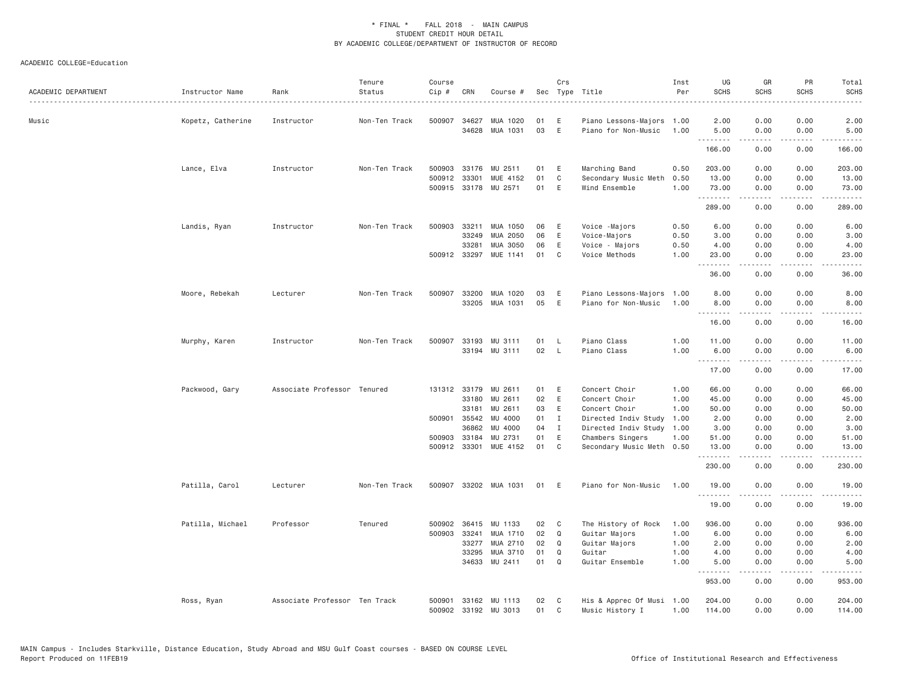| ACADEMIC DEPARTMENT | Instructor Name<br>. | Rank                          | Tenure<br>Status | Course<br>Cip # | CRN          | Course #                         |          | Crs          | Sec Type Title                                | Inst<br>Per | UG<br><b>SCHS</b> | GR<br><b>SCHS</b>                   | PR<br>SCHS                          | Total<br><b>SCHS</b> |
|---------------------|----------------------|-------------------------------|------------------|-----------------|--------------|----------------------------------|----------|--------------|-----------------------------------------------|-------------|-------------------|-------------------------------------|-------------------------------------|----------------------|
| Music               | Kopetz, Catherine    | Instructor                    | Non-Ten Track    |                 | 500907 34627 | MUA 1020                         | 01       | Ε            | Piano Lessons-Majors                          | 1.00        | 2.00              | 0.00                                | 0.00                                | 2.00                 |
|                     |                      |                               |                  |                 | 34628        | MUA 1031                         | 03       | E            | Piano for Non-Music                           | 1.00        | 5.00<br>.         | 0.00<br>-----                       | 0.00<br>.                           | 5.00<br>.            |
|                     |                      |                               |                  |                 |              |                                  |          |              |                                               |             | 166.00            | 0.00                                | 0.00                                | 166.00               |
|                     | Lance, Elva          | Instructor                    | Non-Ten Track    | 500903          | 33176        | MU 2511                          | 01       | Ε            | Marching Band                                 | 0.50        | 203.00            | 0.00                                | 0.00                                | 203.00               |
|                     |                      |                               |                  | 500912          | 33301        | MUE 4152                         | 01       | C            | Secondary Music Meth                          | 0.50        | 13.00             | 0.00                                | 0.00                                | 13.00                |
|                     |                      |                               |                  |                 |              | 500915 33178 MU 2571             | 01       | E            | Wind Ensemble                                 | 1.00        | 73.00<br>.        | 0.00<br>$\sim$ $\sim$ $\sim$ $\sim$ | 0.00<br>.                           | 73.00<br>.           |
|                     |                      |                               |                  |                 |              |                                  |          |              |                                               |             | 289.00            | 0.00                                | 0.00                                | 289.00               |
|                     | Landis, Ryan         | Instructor                    | Non-Ten Track    | 500903          | 33211        | MUA 1050                         | 06       | Ε            | Voice -Majors                                 | 0.50        | 6.00              | 0.00                                | 0.00                                | 6.00                 |
|                     |                      |                               |                  |                 | 33249        | MUA 2050                         | 06       | $\mathsf E$  | Voice-Majors                                  | 0.50        | 3.00              | 0.00                                | 0.00                                | 3.00                 |
|                     |                      |                               |                  |                 | 33281        | MUA 3050                         | 06       | Ε            | Voice - Majors                                | 0.50        | 4.00              | 0.00                                | 0.00                                | 4.00                 |
|                     |                      |                               |                  |                 | 500912 33297 | MUE 1141                         | 01       | C            | Voice Methods                                 | 1.00        | 23.00<br>.        | 0.00<br>.                           | 0.00<br>$\sim$ $\sim$ $\sim$ $\sim$ | 23.00                |
|                     |                      |                               |                  |                 |              |                                  |          |              |                                               |             | 36.00             | 0.00                                | 0.00                                | 36.00                |
|                     | Moore, Rebekah       | Lecturer                      | Non-Ten Track    |                 | 500907 33200 | MUA 1020                         | 03       | Ε            | Piano Lessons-Majors                          | 1.00        | 8.00              | 0.00                                | 0.00                                | 8.00                 |
|                     |                      |                               |                  |                 |              | 33205 MUA 1031                   | 05       | E            | Piano for Non-Music                           | 1.00        | 8.00<br>.         | 0.00<br><u>.</u>                    | 0.00<br>.                           | 8.00<br>.            |
|                     |                      |                               |                  |                 |              |                                  |          |              |                                               |             | 16.00             | 0.00                                | 0.00                                | 16.00                |
|                     | Murphy, Karen        | Instructor                    | Non-Ten Track    | 500907          | 33193        | MU 3111                          | 01       | L            | Piano Class                                   | 1.00        | 11.00             | 0.00                                | 0.00                                | 11.00                |
|                     |                      |                               |                  |                 |              | 33194 MU 3111                    | 02       | L            | Piano Class                                   | 1.00        | 6.00<br>.         | 0.00                                | 0.00                                | 6.00                 |
|                     |                      |                               |                  |                 |              |                                  |          |              |                                               |             | 17.00             | 0.00                                | 0.00                                | 17.00                |
|                     | Packwood, Gary       | Associate Professor Tenured   |                  |                 |              | 131312 33179 MU 2611             | 01       | Ε            | Concert Choir                                 | 1.00        | 66.00             | 0.00                                | 0.00                                | 66.00                |
|                     |                      |                               |                  |                 | 33180        | MU 2611                          | 02       | E            | Concert Choir                                 | 1.00        | 45.00             | 0.00                                | 0.00                                | 45.00                |
|                     |                      |                               |                  |                 | 33181        | MU 2611                          | 03       | Ε            | Concert Choir                                 | 1.00        | 50.00             | 0.00                                | 0.00                                | 50.00                |
|                     |                      |                               |                  |                 | 500901 35542 | MU 4000                          | 01       | $\mathbf I$  | Directed Indiv Study                          | 1.00        | 2.00              | 0.00                                | 0.00                                | 2.00                 |
|                     |                      |                               |                  |                 | 36862        | MU 4000                          | 04       | $\mathbf{I}$ | Directed Indiv Study                          | 1.00        | 3.00              | 0.00                                | 0.00                                | 3.00                 |
|                     |                      |                               |                  |                 | 500903 33184 | MU 2731<br>500912 33301 MUE 4152 | 01<br>01 | Ε<br>C       | Chambers Singers<br>Secondary Music Meth 0.50 | 1.00        | 51.00<br>13.00    | 0.00<br>0.00                        | 0.00<br>0.00                        | 51.00<br>13.00       |
|                     |                      |                               |                  |                 |              |                                  |          |              |                                               |             | .<br>230.00       | <u>.</u><br>0.00                    | $- - - -$<br>0.00                   | .<br>230.00          |
|                     |                      |                               |                  |                 |              |                                  |          |              |                                               |             |                   |                                     |                                     |                      |
|                     | Patilla, Carol       | Lecturer                      | Non-Ten Track    |                 |              | 500907 33202 MUA 1031            | 01       | E            | Piano for Non-Music                           | 1.00        | 19.00<br>.        | 0.00<br><u>.</u>                    | 0.00<br>$\cdots$                    | 19.00<br>.           |
|                     |                      |                               |                  |                 |              |                                  |          |              |                                               |             | 19.00             | 0.00                                | 0.00                                | 19.00                |
|                     | Patilla, Michael     | Professor                     | Tenured          |                 | 500902 36415 | MU 1133                          | 02       | C            | The History of Rock                           | 1.00        | 936.00            | 0.00                                | 0.00                                | 936.00               |
|                     |                      |                               |                  |                 | 500903 33241 | MUA 1710                         | 02       | Q            | Guitar Majors                                 | 1.00        | 6.00              | 0.00                                | 0.00                                | 6.00                 |
|                     |                      |                               |                  |                 | 33277        | MUA 2710                         | 02       | Q            | Guitar Majors                                 | 1.00        | 2.00              | 0.00                                | 0.00                                | 2.00                 |
|                     |                      |                               |                  |                 | 33295        | MUA 3710                         | 01       | Q            | Guitar                                        | 1.00        | 4.00              | 0.00                                | 0.00                                | 4.00                 |
|                     |                      |                               |                  |                 |              | 34633 MU 2411                    | 01       | Q            | Guitar Ensemble                               | 1.00        | 5.00              | 0.00                                | 0.00                                | 5.00                 |
|                     |                      |                               |                  |                 |              |                                  |          |              |                                               |             | 953.00            | 0.00                                | 0.00                                | 953.00               |
|                     | Ross, Ryan           | Associate Professor Ten Track |                  | 500901          |              | 33162 MU 1113                    | 02       | C            | His & Apprec Of Musi                          | 1.00        | 204.00            | 0.00                                | 0.00                                | 204.00               |
|                     |                      |                               |                  |                 |              | 500902 33192 MU 3013             | 01       | C            | Music History I                               | 1.00        | 114.00            | 0.00                                | 0.00                                | 114.00               |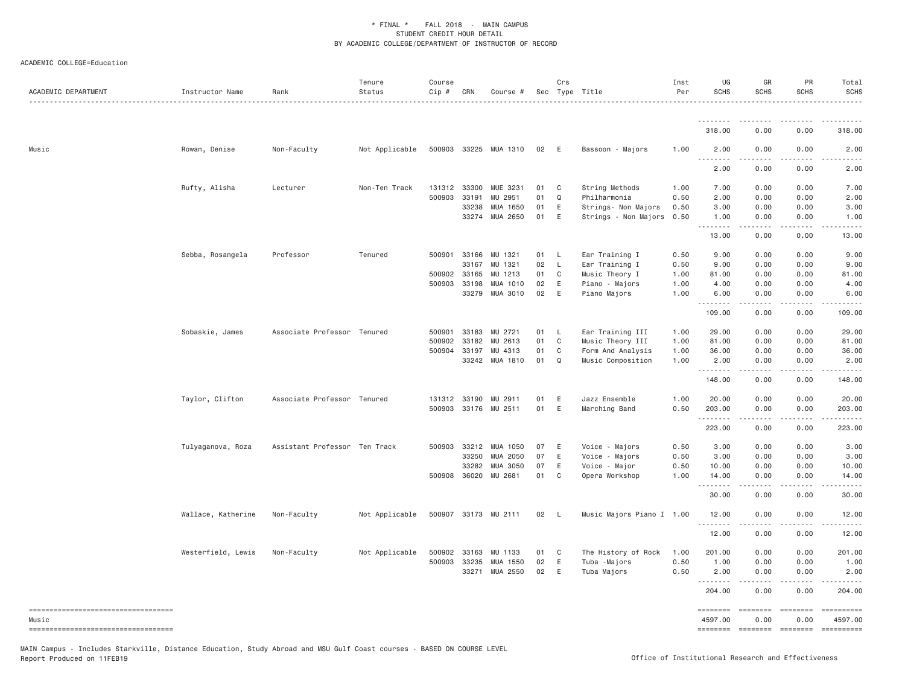ACADEMIC COLLEGE=Education

| ACADEMIC DEPARTMENT                    | Instructor Name    | Rank                          | Tenure<br>Status<br>. | Course<br>Cip# | CRN          | Course #              |      | Crs          | Sec Type Title            | Inst<br>Per | UG<br><b>SCHS</b> | GR<br><b>SCHS</b> | PR<br><b>SCHS</b>                                                                                                                                                                                                                                                                                                                                                                                                                                                                                                  | Total<br><b>SCHS</b> |
|----------------------------------------|--------------------|-------------------------------|-----------------------|----------------|--------------|-----------------------|------|--------------|---------------------------|-------------|-------------------|-------------------|--------------------------------------------------------------------------------------------------------------------------------------------------------------------------------------------------------------------------------------------------------------------------------------------------------------------------------------------------------------------------------------------------------------------------------------------------------------------------------------------------------------------|----------------------|
|                                        |                    |                               |                       |                |              |                       |      |              |                           |             |                   |                   |                                                                                                                                                                                                                                                                                                                                                                                                                                                                                                                    |                      |
|                                        |                    |                               |                       |                |              |                       |      |              |                           |             | 318,00            | 0.00              | 0.00                                                                                                                                                                                                                                                                                                                                                                                                                                                                                                               | 318.00               |
| Music                                  | Rowan, Denise      | Non-Faculty                   | Not Applicable        |                |              | 500903 33225 MUA 1310 | 02   | E            | Bassoon - Majors          | 1.00        | 2.00<br><u>.</u>  | 0.00<br>.         | 0.00                                                                                                                                                                                                                                                                                                                                                                                                                                                                                                               | 2.00                 |
|                                        |                    |                               |                       |                |              |                       |      |              |                           |             | 2.00              | 0.00              | 0.00                                                                                                                                                                                                                                                                                                                                                                                                                                                                                                               | 2.00                 |
|                                        | Rufty, Alisha      | Lecturer                      | Non-Ten Track         |                | 131312 33300 | MUE 3231              | 01   | $\mathbf{C}$ | String Methods            | 1.00        | 7.00              | 0.00              | 0.00                                                                                                                                                                                                                                                                                                                                                                                                                                                                                                               | 7.00                 |
|                                        |                    |                               |                       | 500903         | 33191        | MU 2951               | 01   | Q            | Philharmonia              | 0.50        | 2.00              | 0.00              | 0.00                                                                                                                                                                                                                                                                                                                                                                                                                                                                                                               | 2.00                 |
|                                        |                    |                               |                       |                | 33238        | MUA 1650              | 01   | E            | Strings- Non Majors       | 0.50        | 3.00              | 0.00              | 0.00                                                                                                                                                                                                                                                                                                                                                                                                                                                                                                               | 3.00                 |
|                                        |                    |                               |                       |                | 33274        | MUA 2650              | 01   | E            | Strings - Non Majors      | 0.50        | 1.00<br>.         | 0.00<br>.         | 0.00<br>$\cdots$                                                                                                                                                                                                                                                                                                                                                                                                                                                                                                   | 1.00                 |
|                                        |                    |                               |                       |                |              |                       |      |              |                           |             | 13.00             | 0.00              | 0.00                                                                                                                                                                                                                                                                                                                                                                                                                                                                                                               | 13.00                |
|                                        | Sebba, Rosangela   | Professor                     | Tenured               | 500901         | 33166        | MU 1321               | 01   | $\mathsf{L}$ | Ear Training I            | 0.50        | 9.00              | 0.00              | 0.00                                                                                                                                                                                                                                                                                                                                                                                                                                                                                                               | 9.00                 |
|                                        |                    |                               |                       |                | 33167        | MU 1321               | 02   | $\mathsf{L}$ | Ear Training I            | 0.50        | 9.00              | 0.00              | 0.00                                                                                                                                                                                                                                                                                                                                                                                                                                                                                                               | 9.00                 |
|                                        |                    |                               |                       | 500902         | 33165        | MU 1213               | 01   | C            | Music Theory I            | 1.00        | 81.00             | 0.00              | 0.00                                                                                                                                                                                                                                                                                                                                                                                                                                                                                                               | 81.00                |
|                                        |                    |                               |                       |                | 500903 33198 | MUA 1010              | 02   | E            | Piano - Majors            | 1.00        | 4.00              | 0.00              | 0.00                                                                                                                                                                                                                                                                                                                                                                                                                                                                                                               | 4.00                 |
|                                        |                    |                               |                       |                | 33279        | MUA 3010              | 02   | E            | Piano Majors              | 1.00        | 6.00              | 0.00              | 0.00                                                                                                                                                                                                                                                                                                                                                                                                                                                                                                               | 6.00                 |
|                                        |                    |                               |                       |                |              |                       |      |              |                           |             | 109.00            | 0.00              | 0.00                                                                                                                                                                                                                                                                                                                                                                                                                                                                                                               | 109.00               |
|                                        | Sobaskie, James    | Associate Professor Tenured   |                       | 500901         | 33183        | MU 2721               | 01 L |              | Ear Training III          | 1.00        | 29.00             | 0.00              | 0.00                                                                                                                                                                                                                                                                                                                                                                                                                                                                                                               | 29.00                |
|                                        |                    |                               |                       | 500902         | 33182        | MU 2613               | 01   | $\mathbf{C}$ | Music Theory III          | 1.00        | 81.00             | 0.00              | 0.00                                                                                                                                                                                                                                                                                                                                                                                                                                                                                                               | 81.00                |
|                                        |                    |                               |                       |                | 500904 33197 | MU 4313               | 01   | $\mathbf C$  | Form And Analysis         | 1.00        | 36.00             | 0.00              | 0.00                                                                                                                                                                                                                                                                                                                                                                                                                                                                                                               | 36.00                |
|                                        |                    |                               |                       |                | 33242        | MUA 1810              | 01   | Q            | Music Composition         | 1.00        | 2.00<br>.         | 0.00              | 0.00                                                                                                                                                                                                                                                                                                                                                                                                                                                                                                               | 2.00                 |
|                                        |                    |                               |                       |                |              |                       |      |              |                           |             | 148.00            | 0.00              | 0.00                                                                                                                                                                                                                                                                                                                                                                                                                                                                                                               | 148.00               |
|                                        | Taylor, Clifton    | Associate Professor Tenured   |                       |                | 131312 33190 | MU 2911               | 01   | E            | Jazz Ensemble             | 1.00        | 20.00             | 0.00              | 0.00                                                                                                                                                                                                                                                                                                                                                                                                                                                                                                               | 20.00                |
|                                        |                    |                               |                       |                | 500903 33176 | MU 2511               | 01   | E            | Marching Band             | 0.50        | 203.00            | 0.00              | 0.00                                                                                                                                                                                                                                                                                                                                                                                                                                                                                                               | 203.00               |
|                                        |                    |                               |                       |                |              |                       |      |              |                           |             | .<br>223.00       | -----<br>0.00     | .<br>0.00                                                                                                                                                                                                                                                                                                                                                                                                                                                                                                          | 1.1.1.1.1<br>223.00  |
|                                        |                    |                               |                       |                |              |                       |      |              |                           |             |                   |                   |                                                                                                                                                                                                                                                                                                                                                                                                                                                                                                                    |                      |
|                                        | Tulyaganova, Roza  | Assistant Professor Ten Track |                       |                | 500903 33212 | MUA 1050              | 07   | E            | Voice - Majors            | 0.50        | 3.00              | 0.00              | 0.00                                                                                                                                                                                                                                                                                                                                                                                                                                                                                                               | 3.00                 |
|                                        |                    |                               |                       |                | 33250        | MUA 2050              | 07   | E            | Voice - Majors            | 0.50        | 3.00              | 0.00              | 0.00                                                                                                                                                                                                                                                                                                                                                                                                                                                                                                               | 3.00                 |
|                                        |                    |                               |                       |                | 33282        | MUA 3050              | 07   | E            | Voice - Major             | 0.50        | 10.00             | 0.00              | 0.00                                                                                                                                                                                                                                                                                                                                                                                                                                                                                                               | 10.00                |
|                                        |                    |                               |                       |                | 500908 36020 | MU 2681               | 01   | C            | Opera Workshop            | 1.00        | 14.00<br>.        | 0.00              | 0.00<br>$- - - -$                                                                                                                                                                                                                                                                                                                                                                                                                                                                                                  | 14.00<br>$    -$     |
|                                        |                    |                               |                       |                |              |                       |      |              |                           |             | 30.00             | 0.00              | 0.00                                                                                                                                                                                                                                                                                                                                                                                                                                                                                                               | 30.00                |
|                                        | Wallace, Katherine | Non-Faculty                   | Not Applicable        |                |              | 500907 33173 MU 2111  | 02   | <b>L</b>     | Music Majors Piano I 1.00 |             | 12.00<br>.        | 0.00<br>.         | 0.00<br>.                                                                                                                                                                                                                                                                                                                                                                                                                                                                                                          | 12.00<br>.           |
|                                        |                    |                               |                       |                |              |                       |      |              |                           |             | 12.00             | 0.00              | 0.00                                                                                                                                                                                                                                                                                                                                                                                                                                                                                                               | 12.00                |
|                                        | Westerfield, Lewis | Non-Faculty                   | Not Applicable        | 500902         | 33163        | MU 1133               | 01   | C            | The History of Rock       | 1.00        | 201.00            | 0.00              | 0.00                                                                                                                                                                                                                                                                                                                                                                                                                                                                                                               | 201.00               |
|                                        |                    |                               |                       |                | 500903 33235 | MUA 1550              | 02   | E            | Tuba - Majors             | 0.50        | 1.00              | 0.00              | 0.00                                                                                                                                                                                                                                                                                                                                                                                                                                                                                                               | 1.00                 |
|                                        |                    |                               |                       |                | 33271        | MUA 2550              | 02   | E            | Tuba Majors               | 0.50        | 2.00<br><u>.</u>  | 0.00              | 0.00                                                                                                                                                                                                                                                                                                                                                                                                                                                                                                               | 2.00                 |
|                                        |                    |                               |                       |                |              |                       |      |              |                           |             | 204.00            | 0.00              | 0.00                                                                                                                                                                                                                                                                                                                                                                                                                                                                                                               | 204.00               |
| ----------------------------------     |                    |                               |                       |                |              |                       |      |              |                           |             | ========          | $= 222222222$     | $\begin{aligned} \mathcal{L} &= \mathcal{L} \mathcal{L} = \mathcal{L} = \mathcal{L} = \mathcal{L} \end{aligned}$                                                                                                                                                                                                                                                                                                                                                                                                   | <b>SEREESERE</b>     |
| Music                                  |                    |                               |                       |                |              |                       |      |              |                           |             | 4597.00           | 0.00              | 0.00                                                                                                                                                                                                                                                                                                                                                                                                                                                                                                               | 4597.00              |
| ====================================== |                    |                               |                       |                |              |                       |      |              |                           |             | ========          | $=$ ========      | $\begin{tabular}{ll} \multicolumn{3}{l}{{\color{red}\textbf{1}}}\\ \multicolumn{3}{l}{\color{blue}\textbf{2}}\\ \multicolumn{3}{l}{\color{blue}\textbf{2}}\\ \multicolumn{3}{l}{\color{blue}\textbf{3}}\\ \multicolumn{3}{l}{\color{blue}\textbf{4}}\\ \multicolumn{3}{l}{\color{blue}\textbf{5}}\\ \multicolumn{3}{l}{\color{blue}\textbf{4}}\\ \multicolumn{3}{l}{\color{blue}\textbf{5}}\\ \multicolumn{3}{l}{\color{blue}\textbf{6}}\\ \multicolumn{3}{l}{\color{blue}\textbf{6}}\\ \multicolumn{3}{l}{\color$ | $=$ ==========       |

MAIN Campus - Includes Starkville, Distance Education, Study Abroad and MSU Gulf Coast courses - BASED ON COURSE LEVEL<br>Report Produced on 11FEB19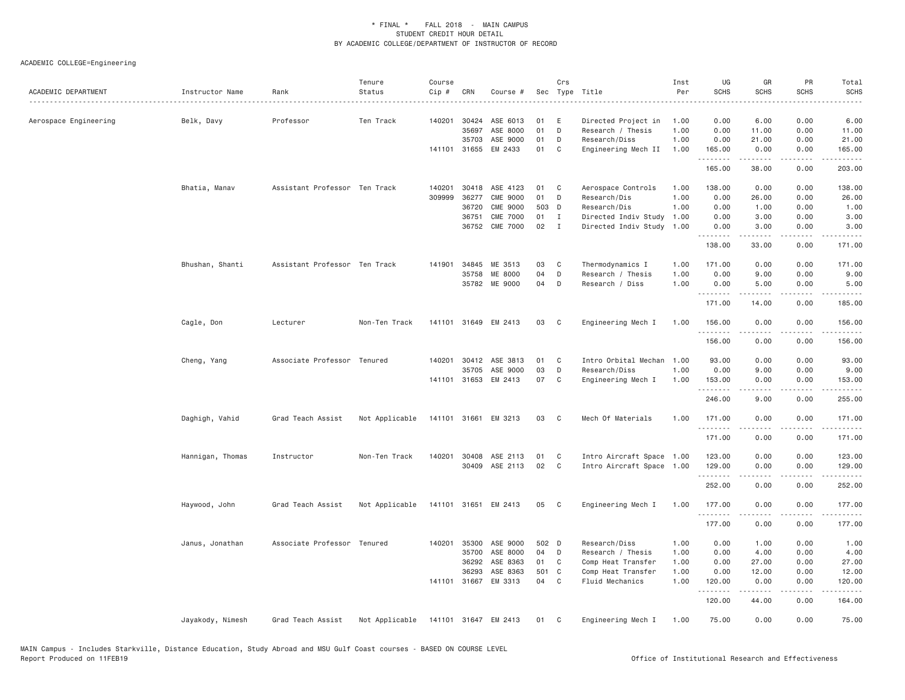ACADEMIC COLLEGE=Engineering

| ACADEMIC DEPARTMENT   | Instructor Name  | Rank                          | Tenure<br>Status | Course<br>Cip # | CRN   | Course #             |       | Crs          | Sec Type Title            | Inst<br>Per | UG<br><b>SCHS</b> | GR<br>SCHS       | PR<br><b>SCHS</b> | Total<br><b>SCHS</b><br>-----                                                                                                                                                             |
|-----------------------|------------------|-------------------------------|------------------|-----------------|-------|----------------------|-------|--------------|---------------------------|-------------|-------------------|------------------|-------------------|-------------------------------------------------------------------------------------------------------------------------------------------------------------------------------------------|
| Aerospace Engineering | Belk, Davy       | Professor                     | Ten Track        | 140201          | 30424 | ASE 6013             | 01    | E            | Directed Project in       | 1.00        | 0.00              | 6.00             | 0.00              | 6.00                                                                                                                                                                                      |
|                       |                  |                               |                  |                 | 35697 | ASE 8000             | 01    | D            | Research / Thesis         | 1.00        | 0.00              | 11.00            | 0.00              | 11.00                                                                                                                                                                                     |
|                       |                  |                               |                  |                 | 35703 | ASE 9000             | 01    | D            | Research/Diss             | 1.00        | 0.00              | 21.00            | 0.00              | 21.00                                                                                                                                                                                     |
|                       |                  |                               |                  |                 |       | 141101 31655 EM 2433 | 01    | C            | Engineering Mech II       | 1.00        | 165.00<br>.       | 0.00<br>.        | 0.00<br>.         | 165.00<br>$\frac{1}{2} \left( \frac{1}{2} \right) \left( \frac{1}{2} \right) \left( \frac{1}{2} \right) \left( \frac{1}{2} \right) \left( \frac{1}{2} \right) \left( \frac{1}{2} \right)$ |
|                       |                  |                               |                  |                 |       |                      |       |              |                           |             | 165.00            | 38.00            | 0.00              | 203.00                                                                                                                                                                                    |
|                       | Bhatia, Manav    | Assistant Professor Ten Track |                  | 140201          |       | 30418 ASE 4123       | 01    | C            | Aerospace Controls        | 1.00        | 138.00            | 0.00             | 0.00              | 138.00                                                                                                                                                                                    |
|                       |                  |                               |                  | 309999          | 36277 | <b>CME 9000</b>      | 01    | D            | Research/Dis              | 1.00        | 0.00              | 26.00            | 0.00              | 26.00                                                                                                                                                                                     |
|                       |                  |                               |                  |                 | 36720 | <b>CME 9000</b>      | 503 D |              | Research/Dis              | 1.00        | 0.00              | 1.00             | 0.00              | 1.00                                                                                                                                                                                      |
|                       |                  |                               |                  |                 | 36751 | <b>CME 7000</b>      | 01    | $\mathbf{I}$ | Directed Indiv Study      | 1.00        | 0.00              | 3.00             | 0.00              | 3.00                                                                                                                                                                                      |
|                       |                  |                               |                  |                 |       | 36752 CME 7000       | 02    | $\mathbf{I}$ | Directed Indiv Study 1.00 |             | 0.00<br>.         | 3.00<br>.        | 0.00<br>.         | 3.00<br>.                                                                                                                                                                                 |
|                       |                  |                               |                  |                 |       |                      |       |              |                           |             | 138.00            | 33.00            | 0.00              | 171.00                                                                                                                                                                                    |
|                       | Bhushan, Shanti  | Assistant Professor Ten Track |                  | 141901          | 34845 | ME 3513              | 03    | C            | Thermodynamics I          | 1.00        | 171.00            | 0.00             | 0.00              | 171.00                                                                                                                                                                                    |
|                       |                  |                               |                  |                 | 35758 | ME 8000              | 04    | D            | Research / Thesis         | 1.00        | 0.00              | 9.00             | 0.00              | 9.00                                                                                                                                                                                      |
|                       |                  |                               |                  |                 |       | 35782 ME 9000        | 04    | D            | Research / Diss           | 1.00        | 0.00<br><u>.</u>  | 5.00<br>.        | 0.00<br>.         | 5.00<br>.                                                                                                                                                                                 |
|                       |                  |                               |                  |                 |       |                      |       |              |                           |             | 171.00            | 14.00            | 0.00              | 185.00                                                                                                                                                                                    |
|                       | Cagle, Don       | Lecturer                      | Non-Ten Track    |                 |       | 141101 31649 EM 2413 | 03    | C            | Engineering Mech I        | 1.00        | 156.00<br>.       | 0.00<br><u>.</u> | 0.00<br>.         | 156.00<br>$\frac{1}{2} \left( \frac{1}{2} \right) \left( \frac{1}{2} \right) \left( \frac{1}{2} \right) \left( \frac{1}{2} \right) \left( \frac{1}{2} \right)$                            |
|                       |                  |                               |                  |                 |       |                      |       |              |                           |             | 156.00            | 0.00             | 0.00              | 156.00                                                                                                                                                                                    |
|                       | Cheng, Yang      | Associate Professor Tenured   |                  | 140201          | 30412 | ASE 3813             | 01    | C            | Intro Orbital Mechan      | 1.00        | 93.00             | 0.00             | 0.00              | 93.00                                                                                                                                                                                     |
|                       |                  |                               |                  |                 | 35705 | ASE 9000             | 03    | D            | Research/Diss             | 1.00        | 0.00              | 9.00             | 0.00              | 9.00                                                                                                                                                                                      |
|                       |                  |                               |                  |                 |       | 141101 31653 EM 2413 | 07    | C            | Engineering Mech I        | 1.00        | 153.00            | 0.00             | 0.00              | 153.00                                                                                                                                                                                    |
|                       |                  |                               |                  |                 |       |                      |       |              |                           |             | .                 | .                | .                 | <u>.</u>                                                                                                                                                                                  |
|                       |                  |                               |                  |                 |       |                      |       |              |                           |             | 246.00            | 9.00             | 0.00              | 255.00                                                                                                                                                                                    |
|                       | Daghigh, Vahid   | Grad Teach Assist             | Not Applicable   |                 |       | 141101 31661 EM 3213 | 03 C  |              | Mech Of Materials         | 1.00        | 171.00<br>.       | 0.00<br><b>.</b> | 0.00<br>.         | 171.00<br>.                                                                                                                                                                               |
|                       |                  |                               |                  |                 |       |                      |       |              |                           |             | 171.00            | 0.00             | 0.00              | 171.00                                                                                                                                                                                    |
|                       | Hannigan, Thomas | Instructor                    | Non-Ten Track    | 140201          |       | 30408 ASE 2113       | 01    | C            | Intro Aircraft Space 1.00 |             | 123.00            | 0.00             | 0.00              | 123.00                                                                                                                                                                                    |
|                       |                  |                               |                  |                 |       | 30409 ASE 2113       | 02    | $\mathbf{C}$ | Intro Aircraft Space 1.00 |             | 129.00            | 0.00             | 0.00              | 129.00                                                                                                                                                                                    |
|                       |                  |                               |                  |                 |       |                      |       |              |                           |             | .                 | <u>.</u>         | .                 | $\begin{array}{cccccccccc} \bullet & \bullet & \bullet & \bullet & \bullet & \bullet & \bullet \end{array}$                                                                               |
|                       |                  |                               |                  |                 |       |                      |       |              |                           |             | 252.00            | 0.00             | 0.00              | 252.00                                                                                                                                                                                    |
|                       | Haywood, John    | Grad Teach Assist             | Not Applicable   |                 |       | 141101 31651 EM 2413 | 05    | C            | Engineering Mech I        | 1.00        | 177.00<br>.       | 0.00<br>.        | 0.00<br>.         | 177.00<br>.                                                                                                                                                                               |
|                       |                  |                               |                  |                 |       |                      |       |              |                           |             | 177.00            | 0.00             | 0.00              | 177.00                                                                                                                                                                                    |
|                       | Janus, Jonathan  | Associate Professor Tenured   |                  | 140201          |       | 35300 ASE 9000       | 502 D |              | Research/Diss             | 1.00        | 0.00              | 1.00             | 0.00              | 1.00                                                                                                                                                                                      |
|                       |                  |                               |                  |                 | 35700 | ASE 8000             | 04    | D            | Research / Thesis         | 1.00        | 0.00              | 4.00             | 0.00              | 4.00                                                                                                                                                                                      |
|                       |                  |                               |                  |                 | 36292 | ASE 8363             | 01    | C            | Comp Heat Transfer        | 1.00        | 0.00              | 27.00            | 0.00              | 27.00                                                                                                                                                                                     |
|                       |                  |                               |                  |                 | 36293 | ASE 8363             | 501   | $\mathbf{C}$ | Comp Heat Transfer        | 1.00        | 0.00              | 12.00            | 0.00              | 12.00                                                                                                                                                                                     |
|                       |                  |                               |                  |                 |       | 141101 31667 EM 3313 | 04    | $\mathsf{C}$ | Fluid Mechanics           | 1.00        | 120.00<br>.       | 0.00<br>.        | 0.00<br>.         | 120.00<br>$\omega$ is $\omega$ in $\omega$ .                                                                                                                                              |
|                       |                  |                               |                  |                 |       |                      |       |              |                           |             | 120.00            | 44.00            | 0.00              | 164.00                                                                                                                                                                                    |
|                       | Jayakody, Nimesh | Grad Teach Assist             | Not Applicable   |                 |       | 141101 31647 EM 2413 | 01    | C            | Engineering Mech I        | 1.00        | 75.00             | 0.00             | 0.00              | 75.00                                                                                                                                                                                     |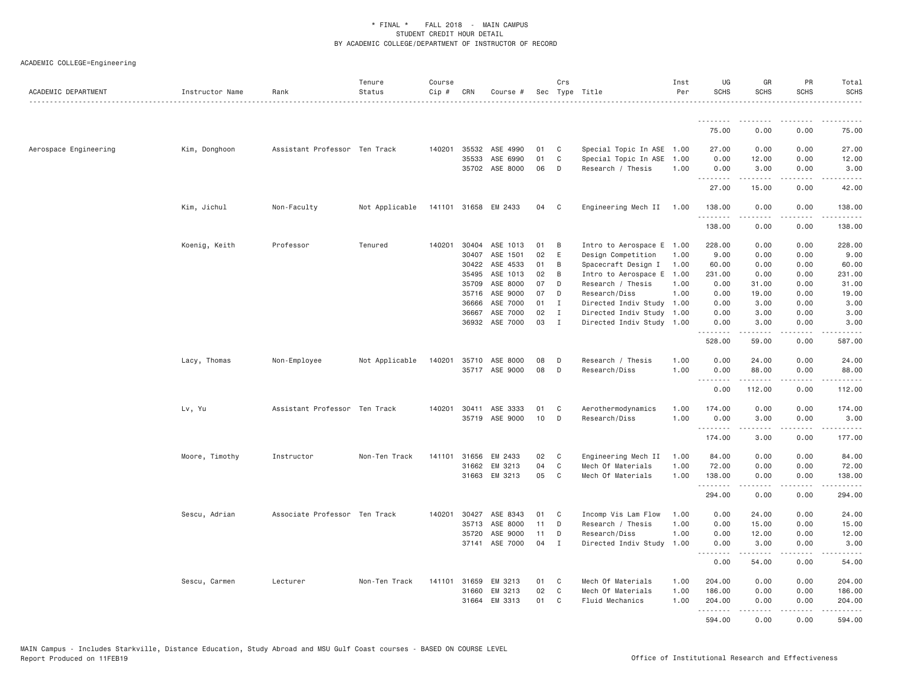## ACADEMIC COLLEGE=Engineering

| ACADEMIC DEPARTMENT   | Instructor Name | Rank                          | Tenure<br>Status | Course<br>Cip # | CRN            | Course #              |          | Crs          | Sec Type Title                        | Inst<br>Per  | UG<br><b>SCHS</b>  | GR<br><b>SCHS</b>                                                                                                                             | PR<br><b>SCHS</b>            | Total<br><b>SCHS</b>                                                                                                              |
|-----------------------|-----------------|-------------------------------|------------------|-----------------|----------------|-----------------------|----------|--------------|---------------------------------------|--------------|--------------------|-----------------------------------------------------------------------------------------------------------------------------------------------|------------------------------|-----------------------------------------------------------------------------------------------------------------------------------|
|                       |                 |                               |                  |                 |                |                       |          |              |                                       |              | .                  | -----                                                                                                                                         |                              |                                                                                                                                   |
|                       |                 |                               |                  |                 |                |                       |          |              |                                       |              | 75.00              | 0.00                                                                                                                                          | 0.00                         | 75.00                                                                                                                             |
| Aerospace Engineering | Kim, Donghoon   | Assistant Professor Ten Track |                  | 140201          | 35532          | ASE 4990              | 01       | C            | Special Topic In ASE 1.00             |              | 27,00              | 0.00                                                                                                                                          | 0.00                         | 27.00                                                                                                                             |
|                       |                 |                               |                  |                 | 35533          | ASE 6990              | 01       | C            | Special Topic In ASE                  | 1.00         | 0.00               | 12.00                                                                                                                                         | 0.00                         | 12.00                                                                                                                             |
|                       |                 |                               |                  |                 |                | 35702 ASE 8000        | 06       | D            | Research / Thesis                     | 1.00         | 0.00<br>.          | 3.00<br>.                                                                                                                                     | 0.00<br>.                    | 3.00<br>.                                                                                                                         |
|                       |                 |                               |                  |                 |                |                       |          |              |                                       |              | 27.00              | 15.00                                                                                                                                         | 0.00                         | 42.00                                                                                                                             |
|                       | Kim, Jichul     | Non-Faculty                   | Not Applicable   |                 |                | 141101 31658 EM 2433  | 04       | $\mathbf{C}$ | Engineering Mech II 1.00              |              | 138.00<br>.        | 0.00                                                                                                                                          | 0.00<br>.                    | 138.00<br>$- - - - - -$                                                                                                           |
|                       |                 |                               |                  |                 |                |                       |          |              |                                       |              | 138.00             | 0.00                                                                                                                                          | 0.00                         | 138.00                                                                                                                            |
|                       | Koenig, Keith   | Professor                     | Tenured          | 140201          |                | 30404 ASE 1013        | 01       | B            | Intro to Aerospace E 1.00             |              | 228.00             | 0.00                                                                                                                                          | 0.00                         | 228.00                                                                                                                            |
|                       |                 |                               |                  |                 | 30407          | ASE 1501              | 02       | E            | Design Competition                    | 1.00         | 9.00               | 0.00                                                                                                                                          | 0.00                         | 9.00                                                                                                                              |
|                       |                 |                               |                  |                 | 30422          | ASE 4533              | 01       | B            | Spacecraft Design I                   | 1.00         | 60.00              | 0.00                                                                                                                                          | 0.00                         | 60.00                                                                                                                             |
|                       |                 |                               |                  |                 | 35495          | ASE 1013              | 02       | B            | Intro to Aerospace E                  | 1,00         | 231.00             | 0.00                                                                                                                                          | 0.00                         | 231.00                                                                                                                            |
|                       |                 |                               |                  |                 | 35709          | ASE 8000<br>ASE 9000  | 07<br>07 | D            | Research / Thesis                     | 1.00         | 0.00               | 31.00                                                                                                                                         | 0.00                         | 31.00                                                                                                                             |
|                       |                 |                               |                  |                 | 35716<br>36666 | ASE 7000              | 01       | D<br>Ι.      | Research/Diss<br>Directed Indiv Study | 1.00<br>1.00 | 0.00<br>0.00       | 19.00<br>3.00                                                                                                                                 | 0.00<br>0.00                 | 19.00<br>3.00                                                                                                                     |
|                       |                 |                               |                  |                 | 36667          | ASE 7000              | 02       | I            | Directed Indiv Study                  | 1.00         | 0.00               | 3.00                                                                                                                                          | 0.00                         | 3.00                                                                                                                              |
|                       |                 |                               |                  |                 | 36932          | ASE 7000              | 03       | $\mathbf{I}$ | Directed Indiv Study 1.00             |              | 0.00               | 3.00                                                                                                                                          | 0.00                         | 3.00                                                                                                                              |
|                       |                 |                               |                  |                 |                |                       |          |              |                                       |              | .<br>528.00        | $\mathcal{L}^{\mathcal{A}}\left( \mathcal{A}^{\mathcal{A}}\right) =\mathcal{L}^{\mathcal{A}}\left( \mathcal{A}^{\mathcal{A}}\right)$<br>59.00 | .<br>0.00                    | .<br>587.00                                                                                                                       |
|                       | Lacy, Thomas    | Non-Employee                  | Not Applicable   | 140201          |                | 35710 ASE 8000        | 08       | D            | Research / Thesis                     | 1.00         | 0.00               | 24.00                                                                                                                                         | 0.00                         | 24.00                                                                                                                             |
|                       |                 |                               |                  |                 |                | 35717 ASE 9000        | 08       | D            | Research/Diss                         | 1.00         | 0.00               | 88.00                                                                                                                                         | 0.00                         | 88.00                                                                                                                             |
|                       |                 |                               |                  |                 |                |                       |          |              |                                       |              | . <i>.</i>         | . <u>.</u>                                                                                                                                    | .                            | .                                                                                                                                 |
|                       |                 |                               |                  |                 |                |                       |          |              |                                       |              | 0.00               | 112.00                                                                                                                                        | 0.00                         | 112.00                                                                                                                            |
|                       | Lv, Yu          | Assistant Professor Ten Track |                  |                 |                | 140201 30411 ASE 3333 | 01       | C            | Aerothermodynamics                    | 1.00         | 174.00             | 0.00                                                                                                                                          | 0.00                         | 174.00                                                                                                                            |
|                       |                 |                               |                  |                 |                | 35719 ASE 9000        | 10       | D            | Research/Diss                         | 1.00         | 0.00<br>.          | 3.00<br>$2 - 2 - 2 - 2$                                                                                                                       | 0.00<br>.                    | 3.00<br>.                                                                                                                         |
|                       |                 |                               |                  |                 |                |                       |          |              |                                       |              | 174.00             | 3.00                                                                                                                                          | 0.00                         | 177.00                                                                                                                            |
|                       | Moore, Timothy  | Instructor                    | Non-Ten Track    | 141101          | 31656          | EM 2433               | 02       | C            | Engineering Mech II                   | 1.00         | 84.00              | 0.00                                                                                                                                          | 0.00                         | 84.00                                                                                                                             |
|                       |                 |                               |                  |                 | 31662          | EM 3213               | 04       | $\mathsf{C}$ | Mech Of Materials                     | 1.00         | 72.00              | 0.00                                                                                                                                          | 0.00                         | 72.00                                                                                                                             |
|                       |                 |                               |                  |                 |                | 31663 EM 3213         | 05       | C            | Mech Of Materials                     | 1.00         | 138.00<br><u>.</u> | 0.00<br>.                                                                                                                                     | 0.00<br>.                    | 138.00<br>.                                                                                                                       |
|                       |                 |                               |                  |                 |                |                       |          |              |                                       |              | 294.00             | 0.00                                                                                                                                          | 0.00                         | 294.00                                                                                                                            |
|                       | Sescu, Adrian   | Associate Professor Ten Track |                  | 140201          | 30427          | ASE 8343              | 01       | C            | Incomp Vis Lam Flow                   | 1.00         | 0.00               | 24.00                                                                                                                                         | 0.00                         | 24.00                                                                                                                             |
|                       |                 |                               |                  |                 | 35713          | ASE 8000              | 11       | D            | Research / Thesis                     | 1.00         | 0.00               | 15.00                                                                                                                                         | 0.00                         | 15.00                                                                                                                             |
|                       |                 |                               |                  |                 | 35720          | ASE 9000              | 11       | D            | Research/Diss                         | 1.00         | 0.00               | 12.00                                                                                                                                         | 0.00                         | 12.00                                                                                                                             |
|                       |                 |                               |                  |                 | 37141          | ASE 7000              | 04       | I            | Directed Indiv Study                  | 1.00         | 0.00               | 3.00<br>.                                                                                                                                     | 0.00<br>$\sim$ $\sim$ $\sim$ | 3.00<br>$\frac{1}{2} \left( \frac{1}{2} \right) \left( \frac{1}{2} \right) \left( \frac{1}{2} \right) \left( \frac{1}{2} \right)$ |
|                       |                 |                               |                  |                 |                |                       |          |              |                                       |              | 0.00               | 54.00                                                                                                                                         | 0.00                         | 54.00                                                                                                                             |
|                       | Sescu, Carmen   | Lecturer                      | Non-Ten Track    | 141101          | 31659          | EM 3213               | 01       | C            | Mech Of Materials                     | 1.00         | 204.00             | 0.00                                                                                                                                          | 0.00                         | 204.00                                                                                                                            |
|                       |                 |                               |                  |                 | 31660          | EM 3213               | 02       | C            | Mech Of Materials                     | 1.00         | 186.00             | 0.00                                                                                                                                          | 0.00                         | 186.00                                                                                                                            |
|                       |                 |                               |                  |                 | 31664          | EM 3313               | 01       | C            | <b>Fluid Mechanics</b>                | 1.00         | 204.00<br>.        | 0.00<br>$\mathcal{L}^{\mathcal{A}}\left( \mathcal{A}^{\mathcal{A}}\right) =\mathcal{L}^{\mathcal{A}}\left( \mathcal{A}^{\mathcal{A}}\right)$  | 0.00<br>.                    | 204.00<br>.                                                                                                                       |
|                       |                 |                               |                  |                 |                |                       |          |              |                                       |              | 594.00             | 0.00                                                                                                                                          | 0.00                         | 594.00                                                                                                                            |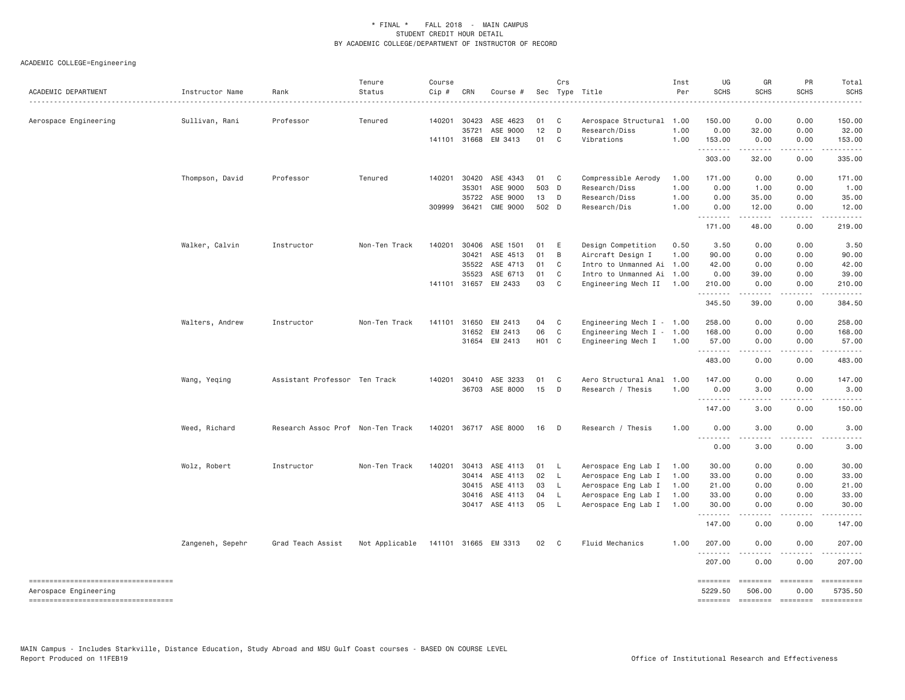| ACADEMIC DEPARTMENT                                          | Instructor Name<br>. | Rank                              | Tenure<br>Status | Course<br>Cip # | CRN          | Course #                         |                    | Crs                          | Sec Type Title<br>.         | Inst<br>Per | UG<br><b>SCHS</b>   | GR<br><b>SCHS</b>                                                                                                                                            | PR<br><b>SCHS</b>                                                                                                                                            | Total<br><b>SCHS</b>  |
|--------------------------------------------------------------|----------------------|-----------------------------------|------------------|-----------------|--------------|----------------------------------|--------------------|------------------------------|-----------------------------|-------------|---------------------|--------------------------------------------------------------------------------------------------------------------------------------------------------------|--------------------------------------------------------------------------------------------------------------------------------------------------------------|-----------------------|
| Aerospace Engineering                                        | Sullivan, Rani       | Professor                         | Tenured          |                 | 140201 30423 | ASE 4623                         | 01                 | $\mathbf{C}$                 | Aerospace Structural 1.00   |             | 150.00              | 0.00                                                                                                                                                         | 0.00                                                                                                                                                         | 150.00                |
|                                                              |                      |                                   |                  |                 | 35721        | ASE 9000                         | 12                 | D                            | Research/Diss               | 1.00        | 0.00                | 32.00                                                                                                                                                        | 0.00                                                                                                                                                         | 32.00                 |
|                                                              |                      |                                   |                  |                 | 141101 31668 | EM 3413                          | 01                 | C <sub>1</sub>               | Vibrations                  | 1.00        | 153.00<br>.         | 0.00<br>------                                                                                                                                               | 0.00<br>.                                                                                                                                                    | 153.00<br>.           |
|                                                              |                      |                                   |                  |                 |              |                                  |                    |                              |                             |             | 303.00              | 32.00                                                                                                                                                        | 0.00                                                                                                                                                         | 335.00                |
|                                                              | Thompson, David      | Professor                         | Tenured          | 140201          | 30420        | ASE 4343                         | 01                 | $\mathbf{C}$                 | Compressible Aerody         | 1.00        | 171.00              | 0.00                                                                                                                                                         | 0.00                                                                                                                                                         | 171.00                |
|                                                              |                      |                                   |                  |                 | 35301        | ASE 9000                         | 503 D              |                              | Research/Diss               | 1.00        | 0.00                | 1.00                                                                                                                                                         | 0.00                                                                                                                                                         | 1.00                  |
|                                                              |                      |                                   |                  |                 | 35722        | ASE 9000                         | 13 D               |                              | Research/Diss               | 1.00        | 0.00                | 35,00                                                                                                                                                        | 0.00                                                                                                                                                         | 35.00                 |
|                                                              |                      |                                   |                  |                 | 309999 36421 | <b>CME 9000</b>                  | 502 D              |                              | Research/Dis                | 1.00        | 0.00                | 12.00                                                                                                                                                        | 0.00<br>$\frac{1}{2} \left( \frac{1}{2} \right) \left( \frac{1}{2} \right) \left( \frac{1}{2} \right) \left( \frac{1}{2} \right) \left( \frac{1}{2} \right)$ | 12.00                 |
|                                                              |                      |                                   |                  |                 |              |                                  |                    |                              |                             |             | 171.00              | 48.00                                                                                                                                                        | 0.00                                                                                                                                                         | 219.00                |
|                                                              | Walker, Calvin       | Instructor                        | Non-Ten Track    | 140201          | 30406        | ASE 1501                         | 01                 | E                            | Design Competition          | 0.50        | 3.50                | 0.00                                                                                                                                                         | 0.00                                                                                                                                                         | 3.50                  |
|                                                              |                      |                                   |                  |                 | 30421        | ASE 4513                         | 01                 | $\mathsf B$                  | Aircraft Design I           | 1.00        | 90.00               | 0.00                                                                                                                                                         | 0.00                                                                                                                                                         | 90.00                 |
|                                                              |                      |                                   |                  |                 | 35522        | ASE 4713                         | 01                 | $\mathbf{C}$                 | Intro to Unmanned Ai 1.00   |             | 42.00               | 0.00                                                                                                                                                         | 0.00                                                                                                                                                         | 42.00                 |
|                                                              |                      |                                   |                  |                 | 35523        | ASE 6713<br>141101 31657 EM 2433 | 01<br>03           | $\mathbf{C}$<br>$\mathbf{C}$ | Intro to Unmanned Ai 1.00   |             | 0.00<br>210.00      | 39.00<br>0.00                                                                                                                                                | 0.00<br>0.00                                                                                                                                                 | 39.00<br>210.00       |
|                                                              |                      |                                   |                  |                 |              |                                  |                    |                              | Engineering Mech II 1.00    |             | .                   | .                                                                                                                                                            | .                                                                                                                                                            | .                     |
|                                                              |                      |                                   |                  |                 |              |                                  |                    |                              |                             |             | 345.50              | 39.00                                                                                                                                                        | 0.00                                                                                                                                                         | 384.50                |
|                                                              | Walters, Andrew      | Instructor                        | Non-Ten Track    | 141101          | 31650        | EM 2413                          | 04                 | $\overline{C}$               | Engineering Mech $I - 1.00$ |             | 258.00              | 0.00                                                                                                                                                         | 0.00                                                                                                                                                         | 258.00                |
|                                                              |                      |                                   |                  |                 | 31652        | EM 2413                          | 06                 | $\mathbf{C}$                 | Engineering Mech $I - 1.00$ |             | 168.00              | 0.00                                                                                                                                                         | 0.00                                                                                                                                                         | 168.00                |
|                                                              |                      |                                   |                  |                 |              | 31654 EM 2413                    | H <sub>0</sub> 1 C |                              | Engineering Mech I          | 1.00        | 57.00<br>.          | 0.00<br>.                                                                                                                                                    | 0.00<br>.                                                                                                                                                    | 57.00<br><u>.</u>     |
|                                                              |                      |                                   |                  |                 |              |                                  |                    |                              |                             |             | 483.00              | 0.00                                                                                                                                                         | 0.00                                                                                                                                                         | 483.00                |
|                                                              | Wang, Yeqing         | Assistant Professor Ten Track     |                  |                 | 140201 30410 | ASE 3233                         | 01                 | C <sub>1</sub>               | Aero Structural Anal 1.00   |             | 147,00              | 0.00                                                                                                                                                         | 0.00                                                                                                                                                         | 147.00                |
|                                                              |                      |                                   |                  |                 |              | 36703 ASE 8000                   | 15                 | $\Box$                       | Research / Thesis           | 1.00        | 0.00<br>.           | 3.00                                                                                                                                                         | 0.00                                                                                                                                                         | 3.00                  |
|                                                              |                      |                                   |                  |                 |              |                                  |                    |                              |                             |             | 147.00              | 3.00                                                                                                                                                         | 0.00                                                                                                                                                         | 150.00                |
|                                                              | Weed, Richard        | Research Assoc Prof Non-Ten Track |                  |                 |              | 140201 36717 ASE 8000            | 16                 | D D                          | Research / Thesis           | 1.00        | 0.00                | 3.00                                                                                                                                                         | 0.00                                                                                                                                                         | 3.00                  |
|                                                              |                      |                                   |                  |                 |              |                                  |                    |                              |                             |             | .<br>0.00           | .<br>3.00                                                                                                                                                    | $   -$<br>0.00                                                                                                                                               | 3.00                  |
|                                                              | Wolz, Robert         | Instructor                        | Non-Ten Track    | 140201          | 30413        | ASE 4113                         | 01                 | - L                          | Aerospace Eng Lab I         | 1.00        | 30.00               | 0.00                                                                                                                                                         | 0.00                                                                                                                                                         | 30.00                 |
|                                                              |                      |                                   |                  |                 |              | 30414 ASE 4113                   | 02 L               |                              | Aerospace Eng Lab I         | 1.00        | 33.00               | 0.00                                                                                                                                                         | 0.00                                                                                                                                                         | 33.00                 |
|                                                              |                      |                                   |                  |                 | 30415        | ASE 4113                         | 03                 | - L                          | Aerospace Eng Lab I         | 1.00        | 21.00               | 0.00                                                                                                                                                         | 0.00                                                                                                                                                         | 21.00                 |
|                                                              |                      |                                   |                  |                 | 30416        | ASE 4113                         | 04                 | $\mathsf{L}$                 | Aerospace Eng Lab I         | 1.00        | 33.00               | 0.00                                                                                                                                                         | 0.00                                                                                                                                                         | 33.00                 |
|                                                              |                      |                                   |                  |                 |              | 30417 ASE 4113                   | 05                 | $\mathsf{L}$                 | Aerospace Eng Lab I 1.00    |             | 30.00<br>.          | 0.00<br>$\frac{1}{2} \left( \frac{1}{2} \right) \left( \frac{1}{2} \right) \left( \frac{1}{2} \right) \left( \frac{1}{2} \right) \left( \frac{1}{2} \right)$ | 0.00<br>.                                                                                                                                                    | 30.00<br>. <b>.</b>   |
|                                                              |                      |                                   |                  |                 |              |                                  |                    |                              |                             |             | 147.00              | 0.00                                                                                                                                                         | 0.00                                                                                                                                                         | 147.00                |
|                                                              | Zangeneh, Sepehr     | Grad Teach Assist                 | Not Applicable   |                 |              | 141101 31665 EM 3313             | 02 C               |                              | Fluid Mechanics             | 1,00        | 207.00<br>.         | 0.00                                                                                                                                                         | 0.00                                                                                                                                                         | 207.00                |
|                                                              |                      |                                   |                  |                 |              |                                  |                    |                              |                             |             | 207.00              | 0.00                                                                                                                                                         | 0.00                                                                                                                                                         | 207.00                |
| -----------------------------------<br>Aerospace Engineering |                      |                                   |                  |                 |              |                                  |                    |                              |                             |             | ========<br>5229.50 | ========<br>506.00                                                                                                                                           | ========<br>0.00                                                                                                                                             | ==========<br>5735.50 |
| ----------------------------------                           |                      |                                   |                  |                 |              |                                  |                    |                              |                             |             | <b>SEBERBER</b>     | <b>ESSESSE</b>                                                                                                                                               | ========                                                                                                                                                     |                       |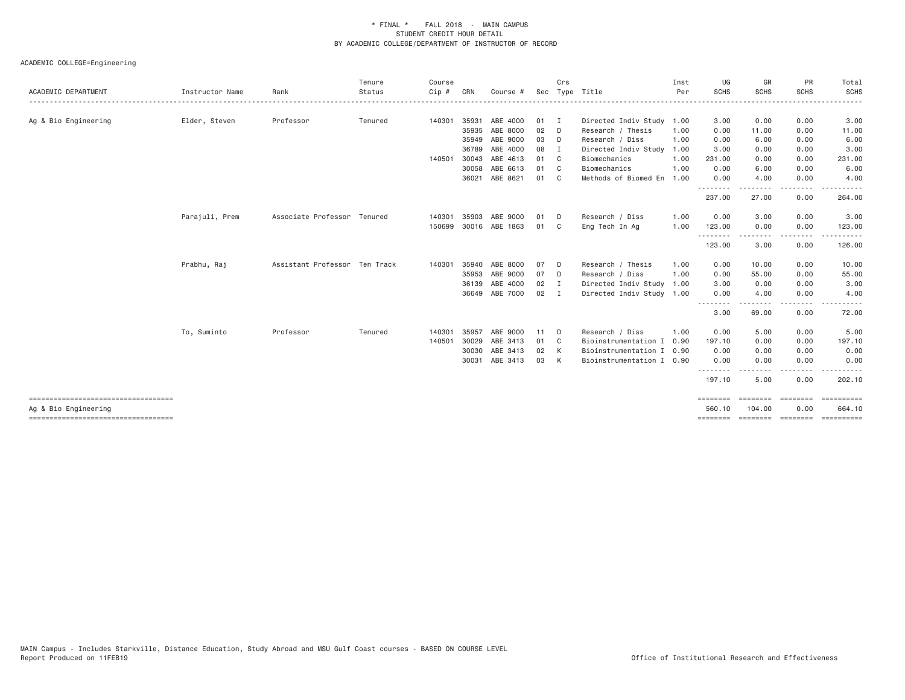| ACADEMIC DEPARTMENT                   | Instructor Name | Rank                          | Tenure<br>Status | Course<br>$Cip$ # | CRN   | Course #       |    | Crs            | Sec Type Title            | Inst<br>Per | UG<br><b>SCHS</b>  | GR<br><b>SCHS</b> | PR<br><b>SCHS</b> | Total<br><b>SCHS</b> |
|---------------------------------------|-----------------|-------------------------------|------------------|-------------------|-------|----------------|----|----------------|---------------------------|-------------|--------------------|-------------------|-------------------|----------------------|
|                                       |                 |                               |                  |                   |       |                |    |                |                           | .           |                    |                   | ---------         | .                    |
| Ag & Bio Engineering                  | Elder, Steven   | Professor                     | Tenured          | 140301            | 35931 | ABE 4000       | 01 | $\mathbf{I}$   | Directed Indiv Study 1.00 |             | 3.00               | 0.00              | 0.00              | 3.00                 |
|                                       |                 |                               |                  |                   | 35935 | ABE 8000       | 02 | - D            | Research / Thesis         | 1.00        | 0.00               | 11.00             | 0.00              | 11.00                |
|                                       |                 |                               |                  |                   | 35949 | ABE 9000       | 03 | D              | Research / Diss           | 1.00        | 0.00               | 6.00              | 0.00              | 6.00                 |
|                                       |                 |                               |                  |                   | 36789 | ABE 4000       | 08 | I              | Directed Indiv Study      | 1.00        | 3.00               | 0.00              | 0.00              | 3.00                 |
|                                       |                 |                               |                  | 140501            | 30043 | ABE 4613       | 01 | C <sub>c</sub> | Biomechanics              | 1.00        | 231.00             | 0.00              | 0.00              | 231.00               |
|                                       |                 |                               |                  |                   | 30058 | ABE 6613       | 01 | C.             | Biomechanics              | 1.00        | 0.00               | 6.00              | 0.00              | 6.00                 |
|                                       |                 |                               |                  |                   | 36021 | ABE 8621       | 01 | - C            | Methods of Biomed En      | 1.00        | 0.00<br><u>.</u>   | 4.00<br>.         | 0.00<br>.         | 4.00<br>------       |
|                                       |                 |                               |                  |                   |       |                |    |                |                           |             | 237.00             | 27.00             | 0.00              | 264.00               |
|                                       | Parajuli, Prem  | Associate Professor Tenured   |                  | 140301            | 35903 | ABE 9000       | 01 | - D            | Research / Diss           | 1.00        | 0.00               | 3.00              | 0.00              | 3.00                 |
|                                       |                 |                               |                  | 150699            |       | 30016 ABE 1863 | 01 | - C            | Eng Tech In Ag            | 1.00        | 123.00<br>.        | 0.00              | 0.00<br>.         | 123.00<br>.          |
|                                       |                 |                               |                  |                   |       |                |    |                |                           |             | 123.00             | .<br>3.00         | 0.00              | 126.00               |
|                                       | Prabhu, Raj     | Assistant Professor Ten Track |                  | 140301            | 35940 | ABE 8000       | 07 | - D            | Research / Thesis         | 1.00        | 0.00               | 10.00             | 0.00              | 10.00                |
|                                       |                 |                               |                  |                   | 35953 | ABE 9000       | 07 | D.             | Research / Diss           | 1,00        | 0.00               | 55.00             | 0.00              | 55.00                |
|                                       |                 |                               |                  |                   | 36139 | ABE 4000       | 02 | $\blacksquare$ | Directed Indiv Study      | 1.00        | 3.00               | 0.00              | 0.00              | 3.00                 |
|                                       |                 |                               |                  |                   |       | 36649 ABE 7000 | 02 | $\mathbf I$    | Directed Indiv Study 1.00 |             | 0.00               | 4.00              | 0.00              | 4.00                 |
|                                       |                 |                               |                  |                   |       |                |    |                |                           |             | 3.00               | 69.00             | .<br>0.00         | 72.00                |
|                                       | To, Suminto     | Professor                     | Tenured          | 140301            | 35957 | ABE 9000       | 11 | D              | Research / Diss           | 1.00        | 0.00               | 5.00              | 0.00              | 5.00                 |
|                                       |                 |                               |                  | 140501            | 30029 | ABE 3413       | 01 | C <sub>c</sub> | Bioinstrumentation I      | 0.90        | 197.10             | 0.00              | 0.00              | 197.10               |
|                                       |                 |                               |                  |                   | 30030 | ABE 3413       | 02 | K              | Bioinstrumentation I      | 0.90        | 0.00               | 0.00              | 0.00              | 0.00                 |
|                                       |                 |                               |                  |                   | 30031 | ABE 3413       | 03 | K              | Bioinstrumentation I 0.90 |             | 0.00               | 0.00              | 0.00              | 0.00                 |
|                                       |                 |                               |                  |                   |       |                |    |                |                           |             | --------<br>197.10 | 5.00              | $- - - -$<br>0.00 | 202.10               |
| ------------------------------------  |                 |                               |                  |                   |       |                |    |                |                           |             | ========           | ---------         | <b>CONSIDER</b>   | <b>Experience</b>    |
| Ag & Bio Engineering                  |                 |                               |                  |                   |       |                |    |                |                           |             | 560.10             | 104,00            | 0.00              | 664,10               |
| ===================================== |                 |                               |                  |                   |       |                |    |                |                           |             | ========           | ========          | ========          | ==========           |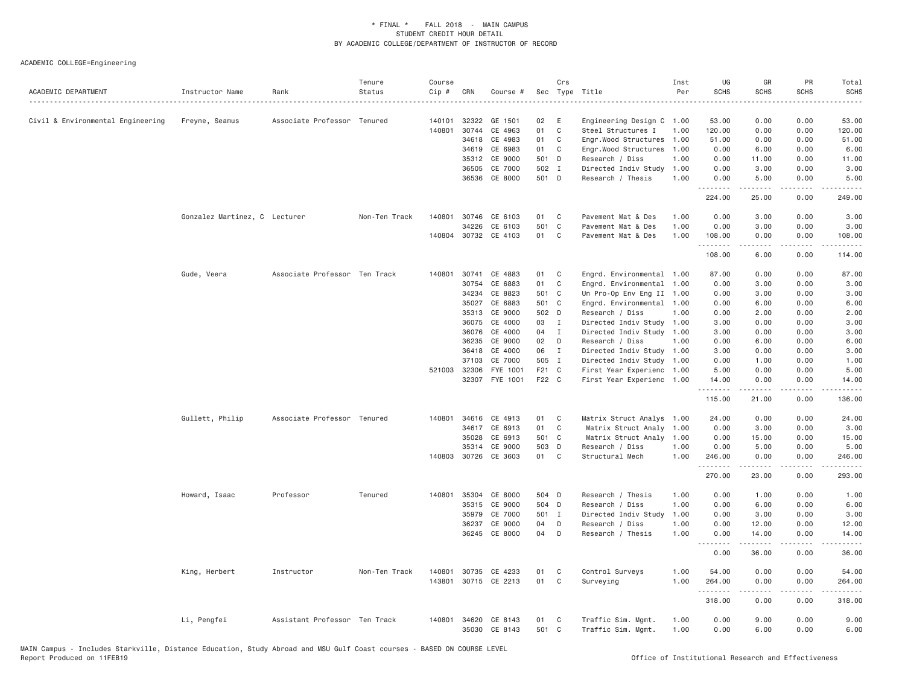| ACADEMIC DEPARTMENT               | Instructor Name               | Rank                          | Tenure<br>Status | Course<br>Cip # | CRN          | Course #             |       | Crs            | Sec Type Title            | Inst<br>Per | UG<br><b>SCHS</b>  | GR<br><b>SCHS</b>                                                                                                                                            | PR<br><b>SCHS</b><br>.              | Total<br>SCHS<br>$\sim$ $\sim$ $\sim$ $\sim$ $\sim$ |
|-----------------------------------|-------------------------------|-------------------------------|------------------|-----------------|--------------|----------------------|-------|----------------|---------------------------|-------------|--------------------|--------------------------------------------------------------------------------------------------------------------------------------------------------------|-------------------------------------|-----------------------------------------------------|
| Civil & Environmental Engineering | Freyne, Seamus                | Associate Professor Tenured   |                  | 140101          |              | 32322 GE 1501        | 02    | E              | Engineering Design C 1.00 |             | 53.00              | 0.00                                                                                                                                                         | 0.00                                | 53.00                                               |
|                                   |                               |                               |                  | 140801          | 30744        | CE 4963              | 01    | C              | Steel Structures I        | 1.00        | 120.00             | 0.00                                                                                                                                                         | 0.00                                | 120.00                                              |
|                                   |                               |                               |                  |                 |              | 34618 CE 4983        | 01    | $\mathbf{C}$   | Engr.Wood Structures      | 1.00        | 51.00              | 0.00                                                                                                                                                         | 0.00                                | 51.00                                               |
|                                   |                               |                               |                  |                 | 34619        | CE 6983              | 01    | C              | Engr.Wood Structures      | 1.00        | 0.00               | 6.00                                                                                                                                                         | 0.00                                | 6.00                                                |
|                                   |                               |                               |                  |                 |              | 35312 CE 9000        | 501 D |                | Research / Diss           | 1.00        | 0.00               | 11.00                                                                                                                                                        | 0.00                                | 11.00                                               |
|                                   |                               |                               |                  |                 | 36505        | CE 7000              | 502 I |                | Directed Indiv Study      | 1.00        | 0.00               | 3.00                                                                                                                                                         | 0.00                                | 3.00                                                |
|                                   |                               |                               |                  |                 |              | 36536 CE 8000        | 501 D |                | Research / Thesis         | 1.00        | 0.00<br>.          | 5.00<br>$\frac{1}{2} \left( \frac{1}{2} \right) \left( \frac{1}{2} \right) \left( \frac{1}{2} \right) \left( \frac{1}{2} \right) \left( \frac{1}{2} \right)$ | 0.00<br>$\sim$ $\sim$ $\sim$ $\sim$ | 5.00<br>.                                           |
|                                   |                               |                               |                  |                 |              |                      |       |                |                           |             | 224.00             | 25.00                                                                                                                                                        | 0.00                                | 249.00                                              |
|                                   | Gonzalez Martinez, C Lecturer |                               | Non-Ten Track    | 140801          |              | 30746 CE 6103        | 01    | $\mathbf{C}$   | Pavement Mat & Des        | 1.00        | 0.00               | 3.00                                                                                                                                                         | 0.00                                | 3.00                                                |
|                                   |                               |                               |                  |                 | 34226        | CE 6103              | 501 C |                | Pavement Mat & Des        | 1.00        | 0.00               | 3.00                                                                                                                                                         | 0.00                                | 3.00                                                |
|                                   |                               |                               |                  |                 |              | 140804 30732 CE 4103 | 01    | C              | Pavement Mat & Des        | 1.00        | 108.00<br><u>.</u> | 0.00<br>.                                                                                                                                                    | 0.00<br>د د د د                     | 108.00<br>.                                         |
|                                   |                               |                               |                  |                 |              |                      |       |                |                           |             | 108.00             | 6.00                                                                                                                                                         | 0.00                                | 114.00                                              |
|                                   | Gude, Veera                   | Associate Professor Ten Track |                  | 140801          |              | 30741 CE 4883        | 01    | C <sub>1</sub> | Engrd. Environmental 1.00 |             | 87.00              | 0.00                                                                                                                                                         | 0.00                                | 87.00                                               |
|                                   |                               |                               |                  |                 | 30754        | CE 6883              | 01    | C              | Engrd. Environmental      | 1.00        | 0.00               | 3.00                                                                                                                                                         | 0.00                                | 3.00                                                |
|                                   |                               |                               |                  |                 | 34234        | CE 8823              | 501 C |                | Un Pro-Op Env Eng II 1.00 |             | 0.00               | 3.00                                                                                                                                                         | 0.00                                | 3.00                                                |
|                                   |                               |                               |                  |                 | 35027        | CE 6883              | 501 C |                | Engrd. Environmental 1.00 |             | 0.00               | 6.00                                                                                                                                                         | 0.00                                | 6.00                                                |
|                                   |                               |                               |                  |                 |              | 35313 CE 9000        | 502 D |                | Research / Diss           | 1.00        | 0.00               | 2.00                                                                                                                                                         | 0.00                                | 2.00                                                |
|                                   |                               |                               |                  |                 | 36075        | CE 4000              | 03    | $\mathbf{I}$   | Directed Indiv Study 1.00 |             | 3.00               | 0.00                                                                                                                                                         | 0.00                                | 3.00                                                |
|                                   |                               |                               |                  |                 | 36076        | CE 4000              | 04    | $\mathbf{I}$   | Directed Indiv Study 1.00 |             | 3.00               | 0.00                                                                                                                                                         | 0.00                                | 3.00                                                |
|                                   |                               |                               |                  |                 | 36235        | CE 9000              | 02    | D              | Research / Diss           | 1.00        | 0.00               | 6.00                                                                                                                                                         | 0.00                                | 6.00                                                |
|                                   |                               |                               |                  |                 | 36418        | CE 4000              | 06    | $\mathbf{I}$   | Directed Indiv Study 1.00 |             | 3,00               | 0.00                                                                                                                                                         | 0.00                                | 3.00                                                |
|                                   |                               |                               |                  |                 | 37103        | CE 7000              | 505 I |                | Directed Indiv Study 1.00 |             | 0.00               | 1.00                                                                                                                                                         | 0.00                                | 1.00                                                |
|                                   |                               |                               |                  |                 | 521003 32306 | FYE 1001             | F21 C |                | First Year Experienc 1.00 |             | 5.00               | 0.00                                                                                                                                                         | 0.00                                | 5.00                                                |
|                                   |                               |                               |                  |                 |              | 32307 FYE 1001       | F22 C |                | First Year Experienc 1.00 |             | 14.00<br>.         | 0.00<br>.                                                                                                                                                    | 0.00<br>.                           | 14.00<br>.                                          |
|                                   |                               |                               |                  |                 |              |                      |       |                |                           |             | 115.00             | 21.00                                                                                                                                                        | 0.00                                | 136.00                                              |
|                                   | Gullett, Philip               | Associate Professor Tenured   |                  | 140801          |              | 34616 CE 4913        | 01    | $\mathbf{C}$   | Matrix Struct Analys 1.00 |             | 24.00              | 0.00                                                                                                                                                         | 0.00                                | 24.00                                               |
|                                   |                               |                               |                  |                 | 34617        | CE 6913              | 01    | C              | Matrix Struct Analy       | 1.00        | 0.00               | 3.00                                                                                                                                                         | 0.00                                | 3.00                                                |
|                                   |                               |                               |                  |                 | 35028        | CE 6913              | 501 C |                | Matrix Struct Analy 1.00  |             | 0.00               | 15.00                                                                                                                                                        | 0.00                                | 15.00                                               |
|                                   |                               |                               |                  |                 |              | 35314 CE 9000        | 503 D |                | Research / Diss           | 1.00        | 0.00               | 5.00                                                                                                                                                         | 0.00                                | 5.00                                                |
|                                   |                               |                               |                  |                 |              | 140803 30726 CE 3603 | 01    | C              | Structural Mech           | 1.00        | 246.00<br>.        | 0.00<br>.                                                                                                                                                    | 0.00<br>.                           | 246.00<br>$\sim$                                    |
|                                   |                               |                               |                  |                 |              |                      |       |                |                           |             | 270.00             | 23.00                                                                                                                                                        | 0.00                                | 293.00                                              |
|                                   | Howard, Isaac                 | Professor                     | Tenured          | 140801          | 35304        | CE 8000              | 504 D |                | Research / Thesis         | 1.00        | 0.00               | 1.00                                                                                                                                                         | 0.00                                | 1.00                                                |
|                                   |                               |                               |                  |                 |              | 35315 CE 9000        | 504 D |                | Research / Diss           | 1.00        | 0.00               | 6.00                                                                                                                                                         | 0.00                                | 6.00                                                |
|                                   |                               |                               |                  |                 |              | 35979 CE 7000        | 501 I |                | Directed Indiv Study      | 1.00        | 0.00               | 3.00                                                                                                                                                         | 0.00                                | 3.00                                                |
|                                   |                               |                               |                  |                 | 36237        | CE 9000              | 04    | D              | Research / Diss           | 1.00        | 0.00               | 12.00                                                                                                                                                        | 0.00                                | 12.00                                               |
|                                   |                               |                               |                  |                 |              | 36245 CE 8000        | 04    | D              | Research / Thesis         | 1.00        | 0.00<br>.          | 14.00<br>.                                                                                                                                                   | 0.00<br>-----                       | 14.00<br>.                                          |
|                                   |                               |                               |                  |                 |              |                      |       |                |                           |             | 0.00               | 36.00                                                                                                                                                        | 0.00                                | 36.00                                               |
|                                   | King, Herbert                 | Instructor                    | Non-Ten Track    | 140801          | 30735        | CE 4233              | 01    | C              | Control Surveys           | 1.00        | 54.00              | 0.00                                                                                                                                                         | 0.00                                | 54.00                                               |
|                                   |                               |                               |                  |                 |              | 143801 30715 CE 2213 | 01    | C              | Surveying                 | 1.00        | 264.00<br>.        | 0.00                                                                                                                                                         | 0.00<br>د د د د                     | 264.00<br>.                                         |
|                                   |                               |                               |                  |                 |              |                      |       |                |                           |             | 318.00             | 0.00                                                                                                                                                         | 0.00                                | 318.00                                              |
|                                   | Li, Pengfei                   | Assistant Professor Ten Track |                  |                 |              | 140801 34620 CE 8143 | 01    | C              | Traffic Sim. Mgmt.        | 1.00        | 0.00               | 9,00                                                                                                                                                         | 0.00                                | 9.00                                                |
|                                   |                               |                               |                  |                 | 35030        | CE 8143              | 501 C |                | Traffic Sim. Mgmt.        | 1.00        | 0.00               | 6.00                                                                                                                                                         | 0.00                                | 6.00                                                |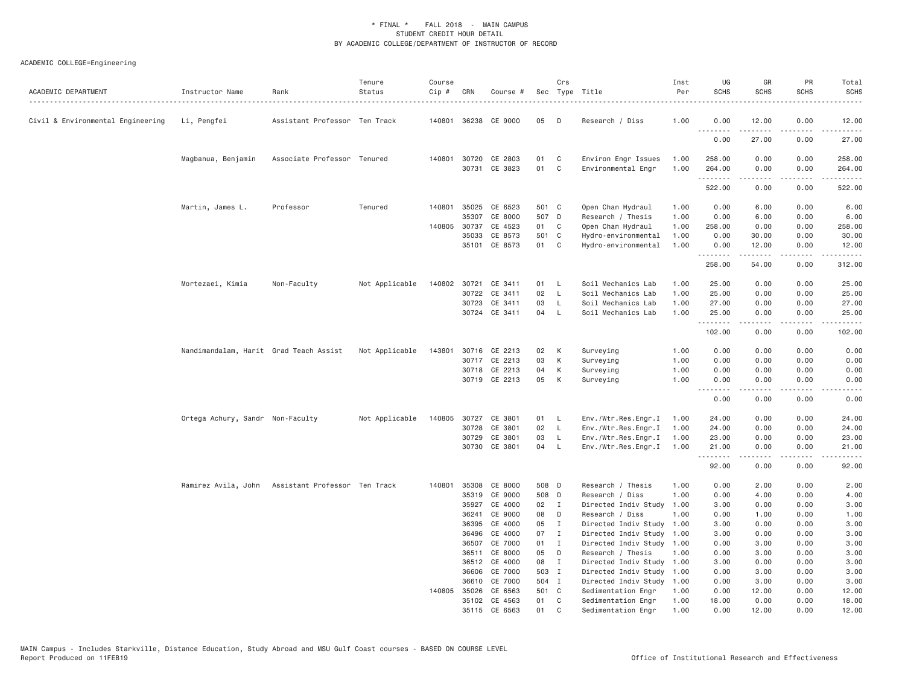| ACADEMIC DEPARTMENT               | Instructor Name                        | Rank                                              | Tenure<br>Status | Course<br>Cip # | CRN                   | Course #             |          | Crs          | Sec Type Title                            | Inst<br>Per  | UG<br><b>SCHS</b>                                                                                      | GR<br><b>SCHS</b> | PR<br><b>SCHS</b>            | Total<br><b>SCHS</b> |
|-----------------------------------|----------------------------------------|---------------------------------------------------|------------------|-----------------|-----------------------|----------------------|----------|--------------|-------------------------------------------|--------------|--------------------------------------------------------------------------------------------------------|-------------------|------------------------------|----------------------|
| Civil & Environmental Engineering | Li, Pengfei                            | Assistant Professor Ten Track                     |                  | 140801          |                       | 36238 CE 9000        | 05       | D            | Research / Diss                           | 1.00         | 0.00<br>$\frac{1}{2} \left( \frac{1}{2} \right) \left( \frac{1}{2} \right) \left( \frac{1}{2} \right)$ | 12.00             | 0.00                         | 12.00                |
|                                   |                                        |                                                   |                  |                 |                       |                      |          |              |                                           |              | 0.00                                                                                                   | 27.00             | 0.00                         | 27.00                |
|                                   | Magbanua, Benjamin                     | Associate Professor Tenured                       |                  |                 | 140801 30720<br>30731 | CE 2803<br>CE 3823   | 01<br>01 | C<br>C       | Environ Engr Issues<br>Environmental Engr | 1.00<br>1.00 | 258.00<br>264.00                                                                                       | 0.00<br>0.00      | 0.00<br>0.00                 | 258.00<br>264.00     |
|                                   |                                        |                                                   |                  |                 |                       |                      |          |              |                                           |              | .<br>522.00                                                                                            | 0.00              | .<br>0.00                    | .<br>522.00          |
|                                   | Martin, James L.                       | Professor                                         | Tenured          | 140801          | 35025                 | CE 6523              | 501 C    |              | Open Chan Hydraul                         | 1.00         | 0.00                                                                                                   | 6.00              | 0.00                         | 6.00                 |
|                                   |                                        |                                                   |                  |                 | 35307                 | CE 8000              | 507 D    |              | Research / Thesis                         | 1.00         | 0.00                                                                                                   | 6.00              | 0.00                         | 6.00                 |
|                                   |                                        |                                                   |                  |                 | 140805 30737          | CE 4523              | 01       | $\mathbf{C}$ | Open Chan Hydraul                         | 1.00         | 258.00                                                                                                 | 0.00              | 0.00                         | 258.00               |
|                                   |                                        |                                                   |                  |                 | 35033                 | CE 8573              | 501 C    |              | Hydro-environmental                       | 1.00         | 0.00                                                                                                   | 30.00             | 0.00                         | 30.00                |
|                                   |                                        |                                                   |                  |                 | 35101                 | CE 8573              | 01       | C            | Hydro-environmental                       | 1.00         | 0.00<br>.                                                                                              | 12.00<br>.        | 0.00<br>.                    | 12.00<br><u>.</u>    |
|                                   |                                        |                                                   |                  |                 |                       |                      |          |              |                                           |              | 258.00                                                                                                 | 54.00             | 0.00                         | 312.00               |
|                                   | Mortezaei, Kimia                       | Non-Faculty                                       | Not Applicable   |                 |                       | 140802 30721 CE 3411 | 01 L     |              | Soil Mechanics Lab                        | 1.00         | 25.00                                                                                                  | 0.00              | 0.00                         | 25.00                |
|                                   |                                        |                                                   |                  |                 | 30722                 | CE 3411              | 02       | <b>L</b>     | Soil Mechanics Lab                        | 1.00         | 25.00                                                                                                  | 0.00              | 0.00                         | 25.00                |
|                                   |                                        |                                                   |                  |                 | 30723                 | CE 3411              | 03       | L.           | Soil Mechanics Lab                        | 1.00         | 27.00                                                                                                  | 0.00              | 0.00                         | 27.00                |
|                                   |                                        |                                                   |                  |                 |                       | 30724 CE 3411        | 04       | - L          | Soil Mechanics Lab                        | 1.00         | 25.00<br>.                                                                                             | 0.00<br>.         | 0.00<br>.                    | 25.00<br>.           |
|                                   |                                        |                                                   |                  |                 |                       |                      |          |              |                                           |              | 102.00                                                                                                 | 0.00              | 0.00                         | 102.00               |
|                                   | Nandimandalam, Harit Grad Teach Assist |                                                   | Not Applicable   | 143801          |                       | 30716 CE 2213        | 02       | K            | Surveying                                 | 1.00         | 0.00                                                                                                   | 0.00              | 0.00                         | 0.00                 |
|                                   |                                        |                                                   |                  |                 |                       | 30717 CE 2213        | 03       | К            | Surveying                                 | 1.00         | 0.00                                                                                                   | 0.00              | 0.00                         | 0.00                 |
|                                   |                                        |                                                   |                  |                 |                       | 30718 CE 2213        | 04       | К            | Surveying                                 | 1.00         | 0.00                                                                                                   | 0.00              | 0.00                         | 0.00                 |
|                                   |                                        |                                                   |                  |                 |                       | 30719 CE 2213        | 05       | K            | Surveying                                 | 1.00         | 0.00                                                                                                   | 0.00              | 0.00                         | 0.00                 |
|                                   |                                        |                                                   |                  |                 |                       |                      |          |              |                                           |              | .<br>0.00                                                                                              | .<br>0.00         | $\sim$ $\sim$ $\sim$<br>0.00 | ----<br>0.00         |
|                                   | Ortega Achury, Sandr Non-Faculty       |                                                   | Not Applicable   | 140805          |                       | 30727 CE 3801        | 01       | L.           | Env./Wtr.Res.Engr.I                       | 1.00         | 24.00                                                                                                  | 0.00              | 0.00                         | 24.00                |
|                                   |                                        |                                                   |                  |                 | 30728                 | CE 3801              | 02       | $\mathsf{L}$ | Env./Wtr.Res.Engr.I                       | 1.00         | 24.00                                                                                                  | 0.00              | 0.00                         | 24.00                |
|                                   |                                        |                                                   |                  |                 | 30729                 | CE 3801              | 03       | L            | Env./Wtr.Res.Engr.I                       | 1.00         | 23.00                                                                                                  | 0.00              | 0.00                         | 23.00                |
|                                   |                                        |                                                   |                  |                 | 30730                 | CE 3801              | 04       | $\mathsf{L}$ | Env./Wtr.Res.Engr.I                       | 1.00         | 21.00<br><b><i><u><u>.</u></u></i></b>                                                                 | 0.00<br>.         | 0.00<br>.                    | 21.00<br>.           |
|                                   |                                        |                                                   |                  |                 |                       |                      |          |              |                                           |              | 92.00                                                                                                  | 0.00              | 0.00                         | 92.00                |
|                                   |                                        | Ramirez Avila, John Assistant Professor Ten Track |                  | 140801          | 35308                 | CE 8000              | 508 D    |              | Research / Thesis                         | 1.00         | 0.00                                                                                                   | 2.00              | 0.00                         | 2.00                 |
|                                   |                                        |                                                   |                  |                 | 35319                 | CE 9000              | 508 D    |              | Research / Diss                           | 1.00         | 0.00                                                                                                   | 4.00              | 0.00                         | 4.00                 |
|                                   |                                        |                                                   |                  |                 | 35927                 | CE 4000              | 02       | $\mathbf{I}$ | Directed Indiv Study                      | 1.00         | 3.00                                                                                                   | 0.00              | 0.00                         | 3.00                 |
|                                   |                                        |                                                   |                  |                 | 36241                 | CE 9000              | 08       | D            | Research / Diss                           | 1.00         | 0.00                                                                                                   | 1.00              | 0.00                         | 1.00                 |
|                                   |                                        |                                                   |                  |                 | 36395                 | CE 4000              | 05       | $\mathbf{I}$ | Directed Indiv Study                      | 1.00         | 3.00                                                                                                   | 0.00              | 0.00                         | 3.00                 |
|                                   |                                        |                                                   |                  |                 | 36496                 | CE 4000              | 07       | $\mathbf{I}$ | Directed Indiv Study                      | 1.00         | 3.00                                                                                                   | 0.00              | 0.00                         | 3.00                 |
|                                   |                                        |                                                   |                  |                 | 36507                 | CE 7000              | 01       | $\mathbf{I}$ | Directed Indiv Study 1.00                 |              | 0.00                                                                                                   | 3.00              | 0.00                         | 3.00                 |
|                                   |                                        |                                                   |                  |                 | 36511                 | CE 8000              | 05       | D            | Research / Thesis                         | 1.00         | 0.00                                                                                                   | 3.00              | 0.00                         | 3.00                 |
|                                   |                                        |                                                   |                  |                 | 36512                 | CE 4000              | 08       | $\mathbf{I}$ | Directed Indiv Study 1.00                 |              | 3.00                                                                                                   | 0.00              | 0.00                         | 3.00                 |
|                                   |                                        |                                                   |                  |                 | 36606                 | CE 7000              | 503 I    |              | Directed Indiv Study 1.00                 |              | 0.00                                                                                                   | 3.00              | 0.00                         | 3.00                 |
|                                   |                                        |                                                   |                  |                 | 36610                 | CE 7000              | 504 I    |              | Directed Indiv Study                      | 1.00         | 0.00                                                                                                   | 3.00              | 0.00                         | 3.00                 |
|                                   |                                        |                                                   |                  | 140805          | 35026                 | CE 6563              | 501 C    |              | Sedimentation Engr                        | 1.00         | 0.00                                                                                                   | 12.00             | 0.00                         | 12.00                |
|                                   |                                        |                                                   |                  |                 |                       | 35102 CE 4563        | 01       | C            | Sedimentation Engr                        | 1.00         | 18.00                                                                                                  | 0.00              | 0.00                         | 18.00                |
|                                   |                                        |                                                   |                  |                 |                       | 35115 CE 6563        | 01       | $\mathsf{C}$ | Sedimentation Engr                        | 1.00         | 0.00                                                                                                   | 12.00             | 0.00                         | 12.00                |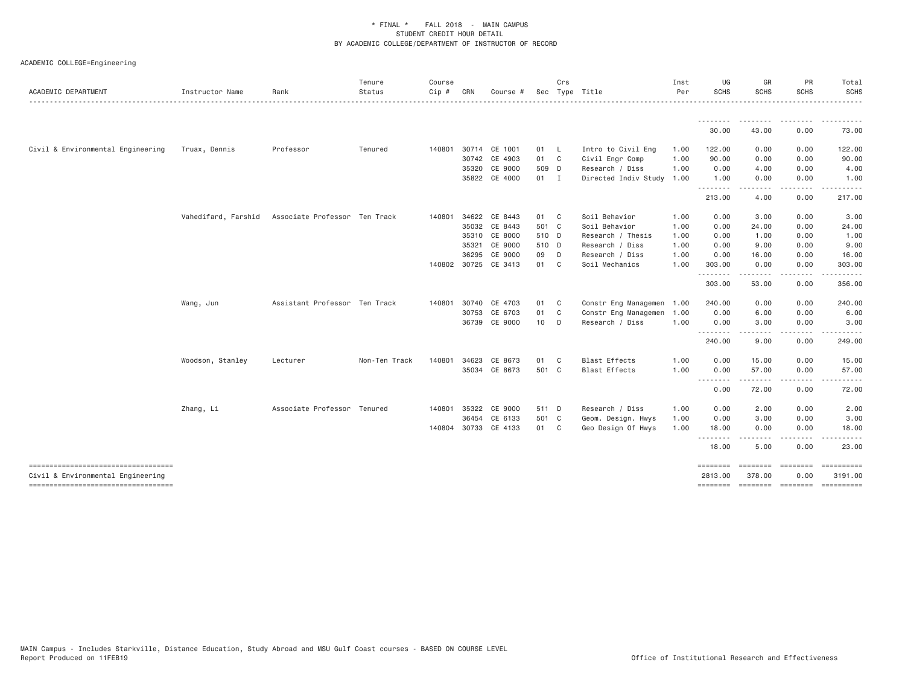| ACADEMIC DEPARTMENT                                                     | Instructor Name     | Rank                          | Tenure<br>Status | Course<br>Cip # | CRN   | Course #             |       | Crs            | Sec Type Title            | Inst<br>Per | UG<br><b>SCHS</b>   | GR<br><b>SCHS</b>              | PR<br><b>SCHS</b> | Total<br><b>SCHS</b>  |
|-------------------------------------------------------------------------|---------------------|-------------------------------|------------------|-----------------|-------|----------------------|-------|----------------|---------------------------|-------------|---------------------|--------------------------------|-------------------|-----------------------|
|                                                                         |                     |                               |                  |                 |       |                      |       |                |                           |             | .                   |                                |                   |                       |
|                                                                         |                     |                               |                  |                 |       |                      |       |                |                           |             | 30.00               | 43.00                          | 0.00              | 73.00                 |
| Civil & Environmental Engineering                                       | Truax, Dennis       | Professor                     | Tenured          | 140801          |       | 30714 CE 1001        | 01 L  |                | Intro to Civil Eng        | 1.00        | 122.00              | 0.00                           | 0.00              | 122.00                |
|                                                                         |                     |                               |                  |                 |       | 30742 CE 4903        | 01 C  |                | Civil Engr Comp           | 1.00        | 90.00               | 0.00                           | 0.00              | 90.00                 |
|                                                                         |                     |                               |                  |                 | 35320 | CE 9000              | 509 D |                | Research / Diss           | 1.00        | 0.00                | 4.00                           | 0.00              | 4.00                  |
|                                                                         |                     |                               |                  |                 |       | 35822 CE 4000        | 01 I  |                | Directed Indiv Study      | 1.00        | 1.00<br>.           | 0.00<br>$\cdots \cdots \cdots$ | 0.00<br>.         | 1.00                  |
|                                                                         |                     |                               |                  |                 |       |                      |       |                |                           |             | 213.00              | 4.00                           | 0.00              | 217.00                |
|                                                                         | Vahedifard, Farshid | Associate Professor Ten Track |                  | 140801          |       | 34622 CE 8443        | 01 C  |                | Soil Behavior             | 1.00        | 0.00                | 3.00                           | 0.00              | 3.00                  |
|                                                                         |                     |                               |                  |                 | 35032 | CE 8443              | 501 C |                | Soil Behavior             | 1.00        | 0.00                | 24.00                          | 0.00              | 24.00                 |
|                                                                         |                     |                               |                  |                 |       | 35310 CE 8000        | 510 D |                | Research / Thesis         | 1.00        | 0.00                | 1.00                           | 0.00              | 1.00                  |
|                                                                         |                     |                               |                  |                 | 35321 | CE 9000              | 510 D |                | Research / Diss           | 1.00        | 0.00                | 9.00                           | 0.00              | 9.00                  |
|                                                                         |                     |                               |                  |                 | 36295 | CE 9000              | 09    | $\Box$         | Research / Diss           | 1.00        | 0.00                | 16.00                          | 0.00              | 16.00                 |
|                                                                         |                     |                               |                  |                 |       | 140802 30725 CE 3413 | 01    | C <sub>c</sub> | Soil Mechanics            | 1.00        | 303.00<br>.         | 0.00                           | 0.00<br>$\cdots$  | 303.00                |
|                                                                         |                     |                               |                  |                 |       |                      |       |                |                           |             | 303.00              | 53.00                          | 0.00              | 356.00                |
|                                                                         | Wang, Jun           | Assistant Professor Ten Track |                  | 140801          | 30740 | CE 4703              | 01    | $\mathbb C$    | Constr Eng Managemen 1.00 |             | 240.00              | 0.00                           | 0.00              | 240.00                |
|                                                                         |                     |                               |                  |                 |       | 30753 CE 6703        | 01 C  |                | Constr Eng Managemen 1.00 |             | 0.00                | 6.00                           | 0.00              | 6.00                  |
|                                                                         |                     |                               |                  |                 |       | 36739 CE 9000        | 10 D  |                | Research / Diss           | 1.00        | 0.00<br>.           | 3.00                           | 0.00              | 3.00                  |
|                                                                         |                     |                               |                  |                 |       |                      |       |                |                           |             | 240.00              | 9.00                           | 0.00              | 249.00                |
|                                                                         | Woodson, Stanley    | Lecturer                      | Non-Ten Track    | 140801          | 34623 | CE 8673              | 01 C  |                | <b>Blast Effects</b>      | 1.00        | 0.00                | 15.00                          | 0.00              | 15.00                 |
|                                                                         |                     |                               |                  |                 |       | 35034 CE 8673        | 501 C |                | <b>Blast Effects</b>      | 1.00        | 0.00<br>.           | 57.00<br>---------             | 0.00<br>.         | 57.00<br>.            |
|                                                                         |                     |                               |                  |                 |       |                      |       |                |                           |             | 0.00                | 72.00                          | 0.00              | 72.00                 |
|                                                                         | Zhang, Li           | Associate Professor Tenured   |                  | 140801          | 35322 | CE 9000              | 511 D |                | Research / Diss           | 1.00        | 0.00                | 2.00                           | 0.00              | 2.00                  |
|                                                                         |                     |                               |                  |                 | 36454 | CE 6133              | 501 C |                | Geom. Design. Hwys        | 1.00        | 0.00                | 3.00                           | 0.00              | 3.00                  |
|                                                                         |                     |                               |                  |                 |       | 140804 30733 CE 4133 | 01 C  |                | Geo Design Of Hwys        | 1.00        | 18.00<br><u>.</u>   | 0.00                           | 0.00              | 18.00                 |
|                                                                         |                     |                               |                  |                 |       |                      |       |                |                           |             | 18.00               | 5.00                           | .<br>0.00         | 23.00                 |
| ----------------------------------<br>Civil & Environmental Engineering |                     |                               |                  |                 |       |                      |       |                |                           |             | ========<br>2813.00 | -------- -------<br>378.00     | 0.00              | ----------<br>3191.00 |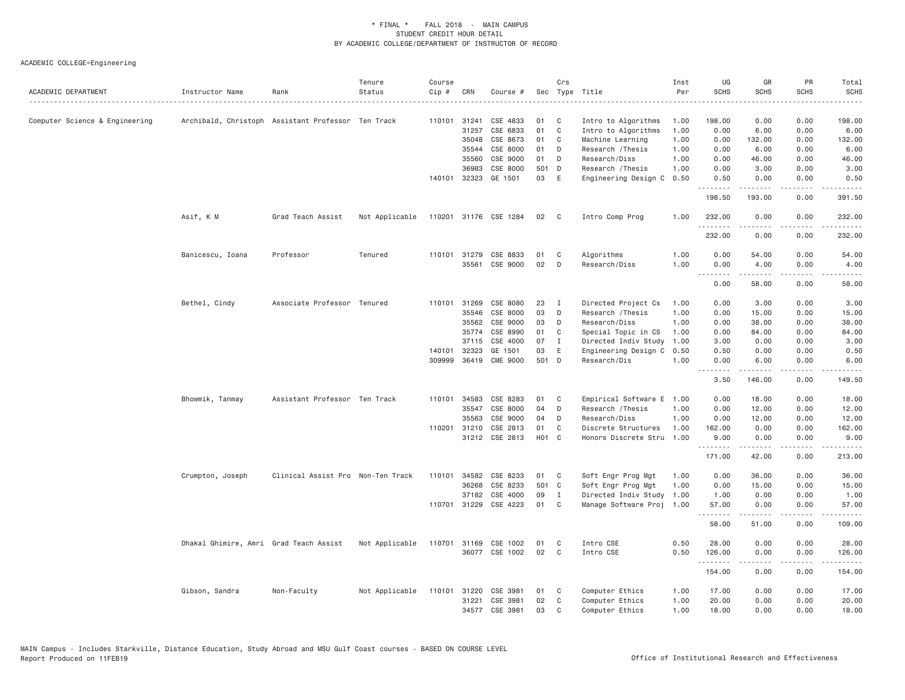| ACADEMIC DEPARTMENT            | Instructor Name                        | Rank                                               | Tenure<br>Status | Course<br>Cip # | CRN          | Course #              |                   | Crs          | Sec Type Title            | Inst<br>Per | UG<br><b>SCHS</b>                           | GR<br><b>SCHS</b>                   | PR<br><b>SCHS</b> | Total<br><b>SCHS</b>   |
|--------------------------------|----------------------------------------|----------------------------------------------------|------------------|-----------------|--------------|-----------------------|-------------------|--------------|---------------------------|-------------|---------------------------------------------|-------------------------------------|-------------------|------------------------|
| Computer Science & Engineering |                                        | Archibald, Christoph Assistant Professor Ten Track |                  | 110101          | 31241        | CSE 4833              | 01                | C            | Intro to Algorithms       | 1.00        | 198.00                                      | 0.00                                | 0.00              | 198.00                 |
|                                |                                        |                                                    |                  |                 | 31257        | CSE 6833              | 01                | C            | Intro to Algorithms       | 1.00        | 0.00                                        | 6.00                                | 0.00              | 6.00                   |
|                                |                                        |                                                    |                  |                 | 35048        | CSE 8673              | 01                | C            | Machine Learning          | 1.00        | 0.00                                        | 132.00                              | 0.00              | 132.00                 |
|                                |                                        |                                                    |                  |                 | 35544        | CSE 8000              | 01                | D            | Research / Thesis         | 1.00        | 0.00                                        | 6.00                                | 0.00              | 6.00                   |
|                                |                                        |                                                    |                  |                 | 35560        | CSE 9000              | 01                | D            | Research/Diss             | 1.00        | 0.00                                        | 46.00                               | 0.00              | 46.00                  |
|                                |                                        |                                                    |                  |                 | 36983        | CSE 8000              | 501               | D            | Research / Thesis         | 1.00        | 0.00                                        | 3.00                                | 0.00              | 3.00                   |
|                                |                                        |                                                    |                  | 140101          | 32323        | GE 1501               | 03                | E            | Engineering Design C      | 0.50        | 0.50<br>.                                   | 0.00<br>.                           | 0.00<br>.         | 0.50<br>.              |
|                                |                                        |                                                    |                  |                 |              |                       |                   |              |                           |             | 198.50                                      | 193.00                              | 0.00              | 391.50                 |
|                                | Asif, K M                              | Grad Teach Assist                                  | Not Applicable   |                 |              | 110201 31176 CSE 1284 | 02                | $\mathbf{C}$ | Intro Comp Prog           | 1.00        | 232.00<br>.                                 | 0.00                                | 0.00<br>.         | 232.00<br>.            |
|                                |                                        |                                                    |                  |                 |              |                       |                   |              |                           |             | 232.00                                      | 0.00                                | 0.00              | 232.00                 |
|                                | Banicescu, Ioana                       | Professor                                          | Tenured          | 110101          | 31279        | CSE 8833              | 01                | C            | Algorithms                | 1.00        | 0.00                                        | 54.00                               | 0.00              | 54.00                  |
|                                |                                        |                                                    |                  |                 | 35561        | CSE 9000              | 02                | D            | Research/Diss             | 1.00        | 0.00<br>.                                   | 4.00<br>$- - - - -$                 | 0.00<br>$\cdots$  | 4.00<br>.              |
|                                |                                        |                                                    |                  |                 |              |                       |                   |              |                           |             | 0.00                                        | 58.00                               | 0.00              | 58.00                  |
|                                | Bethel, Cindy                          | Associate Professor Tenured                        |                  |                 | 110101 31269 | CSE 8080              | 23                | $\mathbf{I}$ | Directed Project Cs       | 1.00        | 0.00                                        | 3.00                                | 0.00              | 3.00                   |
|                                |                                        |                                                    |                  |                 | 35546        | CSE 8000              | 03                | D            | Research / Thesis         | 1.00        | 0.00                                        | 15.00                               | 0.00              | 15.00                  |
|                                |                                        |                                                    |                  |                 | 35562        | CSE 9000              | 03                | D            | Research/Diss             | 1.00        | 0.00                                        | 38.00                               | 0.00              | 38.00                  |
|                                |                                        |                                                    |                  |                 | 35774        | CSE 8990              | 01                | C            | Special Topic in CS       | 1.00        | 0.00                                        | 84.00                               | 0.00              | 84.00                  |
|                                |                                        |                                                    |                  |                 | 37115        | CSE 4000              | 07                | I            | Directed Indiv Study      | 1.00        | 3.00                                        | 0.00                                | 0.00              | 3.00                   |
|                                |                                        |                                                    |                  | 140101          | 32323        | GE 1501               | 03                | E            | Engineering Design C      | 0.50        | 0.50                                        | 0.00                                | 0.00              | 0.50                   |
|                                |                                        |                                                    |                  |                 |              | 309999 36419 CME 9000 | 501 D             |              | Research/Dis              | 1.00        | 0.00                                        | 6.00<br>.                           | 0.00<br>.         | 6.00<br>.              |
|                                |                                        |                                                    |                  |                 |              |                       |                   |              |                           |             | 3.50                                        | 146.00                              | 0.00              | 149.50                 |
|                                | Bhowmik, Tanmay                        | Assistant Professor Ten Track                      |                  | 110101          | 34583        | CSE 8283              | 01                | C            | Empirical Software E      | 1.00        | 0.00                                        | 18.00                               | 0.00              | 18.00                  |
|                                |                                        |                                                    |                  |                 | 35547        | CSE 8000              | 04                | D            | Research / Thesis         | 1.00        | 0.00                                        | 12.00                               | 0.00              | 12.00                  |
|                                |                                        |                                                    |                  |                 | 35563        | CSE 9000              | 04                | D            | Research/Diss             | 1.00        | 0.00                                        | 12.00                               | 0.00              | 12.00                  |
|                                |                                        |                                                    |                  | 110201          | 31210        | CSE 2813              | 01                | C            | Discrete Structures       | 1.00        | 162.00                                      | 0.00                                | 0.00              | 162.00                 |
|                                |                                        |                                                    |                  |                 |              | 31212 CSE 2813        | H <sub>01</sub> C |              | Honors Discrete Stru      | 1.00        | 9.00<br>.                                   | 0.00                                | 0.00              | 9.00                   |
|                                |                                        |                                                    |                  |                 |              |                       |                   |              |                           |             | 171.00                                      | . <u>.</u><br>42.00                 | .<br>0.00         | . <u>.</u> .<br>213.00 |
|                                | Crumpton, Joseph                       | Clinical Assist Pro Non-Ten Track                  |                  |                 |              | 110101 34582 CSE 8233 | 01                | C            | Soft Engr Prog Mgt        | 1.00        | 0.00                                        | 36.00                               | 0.00              | 36.00                  |
|                                |                                        |                                                    |                  |                 | 36268        | CSE 8233              | 501 C             |              | Soft Engr Prog Mgt        | 1.00        | 0.00                                        | 15.00                               | 0.00              | 15.00                  |
|                                |                                        |                                                    |                  |                 | 37182        | CSE 4000              | 09                | I            | Directed Indiv Study      | 1.00        | 1.00                                        | 0.00                                | 0.00              | 1.00                   |
|                                |                                        |                                                    |                  |                 |              | 110701 31229 CSE 4223 | 01                | C            | Manage Software Proj 1.00 |             | 57.00<br>$\omega$ is a $\omega$ in $\omega$ | 0.00<br>$\sim$ $\sim$ $\sim$ $\sim$ | 0.00<br>.         | 57.00<br>.             |
|                                |                                        |                                                    |                  |                 |              |                       |                   |              |                           |             | 58.00                                       | 51.00                               | 0.00              | 109.00                 |
|                                | Dhakal Ghimire, Amri Grad Teach Assist |                                                    | Not Applicable   | 110701          | 31169        | CSE 1002              | 01                | C            | Intro CSE                 | 0.50        | 28.00                                       | 0.00                                | 0.00              | 28.00                  |
|                                |                                        |                                                    |                  |                 |              | 36077 CSE 1002        | 02                | C            | Intro CSE                 | 0.50        | 126.00<br><u>.</u>                          | 0.00<br>.                           | 0.00<br>$\cdots$  | 126.00<br>.            |
|                                |                                        |                                                    |                  |                 |              |                       |                   |              |                           |             | 154.00                                      | 0.00                                | 0.00              | 154.00                 |
|                                | Gibson, Sandra                         | Non-Faculty                                        | Not Applicable   |                 | 110101 31220 | CSE 3981              | 01                | C            | Computer Ethics           | 1.00        | 17.00                                       | 0.00                                | 0.00              | 17.00                  |
|                                |                                        |                                                    |                  |                 | 31221        | CSE 3981              | 02                | C            | Computer Ethics           | 1.00        | 20.00                                       | 0.00                                | 0.00              | 20.00                  |
|                                |                                        |                                                    |                  |                 |              | 34577 CSE 3981        | 03                | $\mathsf{C}$ | Computer Ethics           | 1.00        | 18,00                                       | 0.00                                | 0.00              | 18.00                  |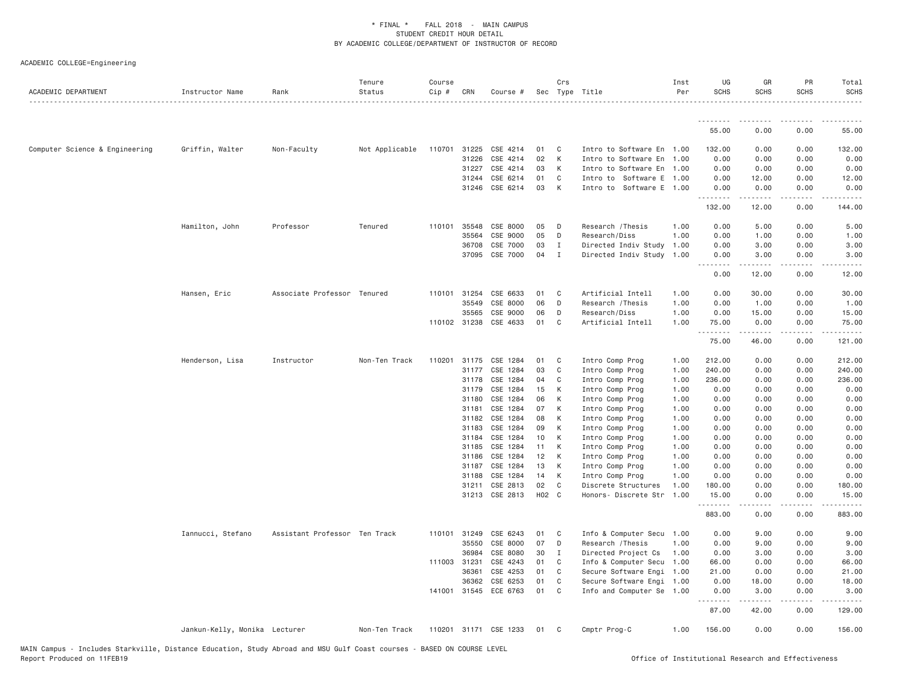| ACADEMIC DEPARTMENT            | Instructor Name               | Rank                          | Tenure<br>Status | Course<br>Cip # | CRN            | Course #              |          | Crs          | Sec Type Title                     | Inst<br>Per  | UG<br><b>SCHS</b>            | GR<br>SCHS   | PR<br><b>SCHS</b> | Total<br><b>SCHS</b> |
|--------------------------------|-------------------------------|-------------------------------|------------------|-----------------|----------------|-----------------------|----------|--------------|------------------------------------|--------------|------------------------------|--------------|-------------------|----------------------|
|                                |                               |                               |                  |                 |                |                       |          |              |                                    |              | ---------                    |              |                   |                      |
|                                |                               |                               |                  |                 |                |                       |          |              |                                    |              | 55.00                        | 0.00         | 0.00              | 55.00                |
| Computer Science & Engineering | Griffin, Walter               | Non-Faculty                   | Not Applicable   | 110701 31225    |                | CSE 4214              | 01       | C            | Intro to Software En 1.00          |              | 132.00                       | 0.00         | 0.00              | 132.00               |
|                                |                               |                               |                  |                 | 31226          | CSE 4214              | 02       | К            | Intro to Software En 1.00          |              | 0.00                         | 0.00         | 0.00              | 0.00                 |
|                                |                               |                               |                  |                 | 31227          | CSE 4214              | 03       | K            | Intro to Software En 1.00          |              | 0.00                         | 0.00         | 0.00              | 0.00                 |
|                                |                               |                               |                  |                 | 31244          | CSE 6214              | 01       | C            | Intro to Software E 1.00           |              | 0.00                         | 12.00        | 0.00              | 12.00                |
|                                |                               |                               |                  |                 | 31246          | CSE 6214              | 03       | K            | Intro to Software E 1.00           |              | 0.00<br>.                    | 0.00<br>.    | 0.00<br>.         | 0.00                 |
|                                |                               |                               |                  |                 |                |                       |          |              |                                    |              | 132.00                       | 12.00        | 0.00              | 144.00               |
|                                | Hamilton, John                | Professor                     | Tenured          |                 | 110101 35548   | CSE 8000              | 05       | D            | Research / Thesis                  | 1.00         | 0.00                         | 5.00         | 0.00              | 5.00                 |
|                                |                               |                               |                  |                 | 35564          | CSE 9000              | 05       | D            | Research/Diss                      | 1.00         | 0.00                         | 1.00         | 0.00              | 1.00                 |
|                                |                               |                               |                  |                 | 36708          | CSE 7000              | 03       | $\mathbf{I}$ | Directed Indiv Study               | 1.00         | 0.00                         | 3.00         | 0.00              | 3.00                 |
|                                |                               |                               |                  |                 | 37095          | CSE 7000              | 04       | $\mathbf{I}$ | Directed Indiv Study 1.00          |              | 0.00<br>$\sim$ $\sim$ $\sim$ | 3.00         | 0.00              | 3.00                 |
|                                |                               |                               |                  |                 |                |                       |          |              |                                    |              | 0.00                         | 12.00        | 0.00              | 12.00                |
|                                | Hansen, Eric                  | Associate Professor Tenured   |                  |                 | 110101 31254   | CSE 6633              | 01       | C            | Artificial Intell                  | 1.00         | 0.00                         | 30.00        | 0.00              | 30.00                |
|                                |                               |                               |                  |                 | 35549          | CSE 8000              | 06       | D            | Research / Thesis                  | 1.00         | 0.00                         | 1.00         | 0.00              | 1.00                 |
|                                |                               |                               |                  |                 | 35565          | CSE 9000              | 06       | D            | Research/Diss                      | 1.00         | 0.00                         | 15.00        | 0.00              | 15.00                |
|                                |                               |                               |                  |                 | 110102 31238   | CSE 4633              | 01       | C            | Artificial Intell                  | 1.00         | 75.00<br>.                   | 0.00<br>.    | 0.00<br>.         | 75.00                |
|                                |                               |                               |                  |                 |                |                       |          |              |                                    |              | 75.00                        | 46.00        | 0.00              | 121.00               |
|                                | Henderson, Lisa               | Instructor                    | Non-Ten Track    |                 | 110201 31175   | CSE 1284              | 01       | C            | Intro Comp Prog                    | 1.00         | 212.00                       | 0.00         | 0.00              | 212.00               |
|                                |                               |                               |                  |                 | 31177          | CSE 1284              | 03       | $\mathbb C$  | Intro Comp Prog                    | 1.00         | 240.00                       | 0.00         | 0.00              | 240.00               |
|                                |                               |                               |                  |                 | 31178          | CSE 1284              | 04       | C            | Intro Comp Prog                    | 1.00         | 236.00                       | 0.00         | 0.00              | 236.00               |
|                                |                               |                               |                  |                 | 31179          | CSE 1284              | 15       | К            | Intro Comp Prog                    | 1.00         | 0.00                         | 0.00         | 0.00              | 0.00                 |
|                                |                               |                               |                  |                 | 31180          | CSE 1284              | 06<br>07 | К<br>К       | Intro Comp Prog                    | 1.00         | 0.00<br>0.00                 | 0.00         | 0.00<br>0.00      | 0.00<br>0.00         |
|                                |                               |                               |                  |                 | 31181<br>31182 | CSE 1284<br>CSE 1284  | 08       | К            | Intro Comp Prog<br>Intro Comp Prog | 1.00<br>1.00 | 0.00                         | 0.00<br>0.00 | 0.00              | 0.00                 |
|                                |                               |                               |                  |                 | 31183          | CSE 1284              | 09       | К            | Intro Comp Prog                    | 1.00         | 0.00                         | 0.00         | 0.00              | 0.00                 |
|                                |                               |                               |                  |                 | 31184          | CSE 1284              | 10       | К            | Intro Comp Prog                    | 1.00         | 0.00                         | 0.00         | 0.00              | 0.00                 |
|                                |                               |                               |                  |                 | 31185          | CSE 1284              | 11       | К            | Intro Comp Prog                    | 1.00         | 0.00                         | 0.00         | 0.00              | 0.00                 |
|                                |                               |                               |                  |                 | 31186          | CSE 1284              | 12       | K            | Intro Comp Prog                    | 1.00         | 0.00                         | 0.00         | 0.00              | 0.00                 |
|                                |                               |                               |                  |                 | 31187          | CSE 1284              | 13       | K            | Intro Comp Prog                    | 1.00         | 0.00                         | 0.00         | 0.00              | 0.00                 |
|                                |                               |                               |                  |                 | 31188          | CSE 1284              | 14       | K            | Intro Comp Prog                    | 1.00         | 0.00                         | 0.00         | 0.00              | 0.00                 |
|                                |                               |                               |                  |                 | 31211          | CSE 2813              | 02       | $\mathbb C$  | Discrete Structures                | 1.00         | 180.00                       | 0.00         | 0.00              | 180.00               |
|                                |                               |                               |                  |                 | 31213          | CSE 2813              | H02 C    |              | Honors- Discrete Str               | 1.00         | 15.00<br>.                   | 0.00<br>.    | 0.00<br>.         | 15.00                |
|                                |                               |                               |                  |                 |                |                       |          |              |                                    |              | 883.00                       | 0.00         | 0.00              | 883.00               |
|                                | Iannucci, Stefano             | Assistant Professor Ten Track |                  |                 | 110101 31249   | CSE 6243              | 01       | C            | Info & Computer Secu 1.00          |              | 0.00                         | 9.00         | 0.00              | 9.00                 |
|                                |                               |                               |                  |                 | 35550          | CSE 8000              | 07       | D            | Research / Thesis                  | 1.00         | 0.00                         | 9.00         | 0.00              | 9.00                 |
|                                |                               |                               |                  |                 | 36984          | CSE 8080              | 30       | I            | Directed Project Cs                | 1.00         | 0.00                         | 3.00         | 0.00              | 3.00                 |
|                                |                               |                               |                  | 111003 31231    |                | CSE 4243              | 01       | C            | Info & Computer Secu 1.00          |              | 66.00                        | 0.00         | 0.00              | 66.00                |
|                                |                               |                               |                  |                 | 36361          | CSE 4253              | 01       | C            | Secure Software Engi 1.00          |              | 21.00                        | 0.00         | 0.00              | 21.00                |
|                                |                               |                               |                  |                 | 36362          | CSE 6253              | 01<br>01 | C<br>C       | Secure Software Engi 1.00          |              | 0.00                         | 18.00        | 0.00<br>0.00      | 18.00                |
|                                |                               |                               |                  |                 | 141001 31545   | ECE 6763              |          |              | Info and Computer Se 1.00          |              | 0.00<br><u>.</u>             | 3.00<br>.    | .                 | 3.00                 |
|                                |                               |                               |                  |                 |                |                       |          |              |                                    |              | 87.00                        | 42.00        | 0.00              | 129.00               |
|                                | Jankun-Kelly, Monika Lecturer |                               | Non-Ten Track    |                 |                | 110201 31171 CSE 1233 | 01       | $\mathbf{C}$ | Cmptr Prog-C                       | 1.00         | 156.00                       | 0.00         | 0.00              | 156.00               |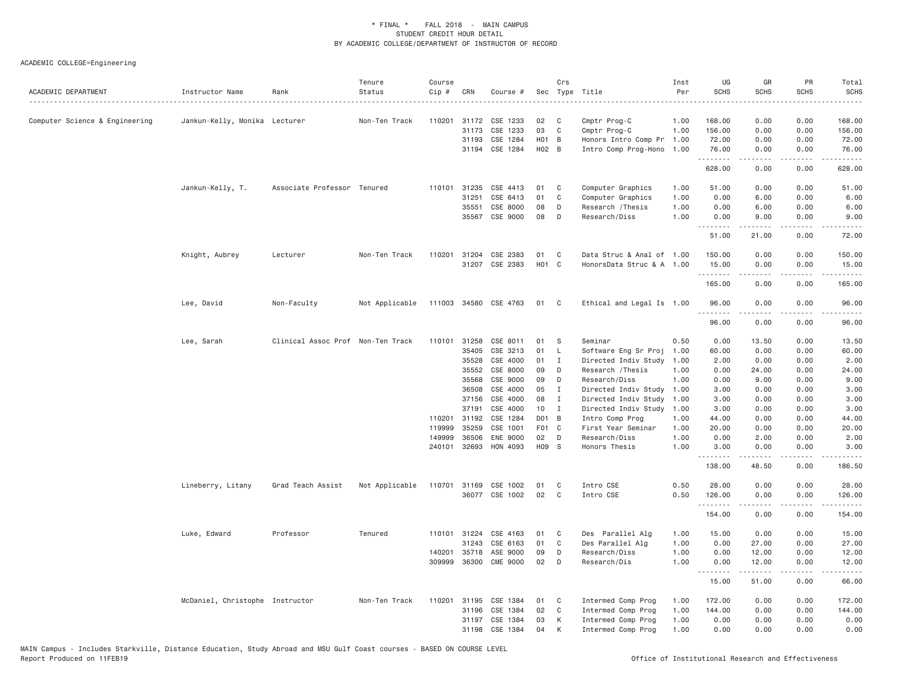| ACADEMIC DEPARTMENT            | Instructor Name                 | Rank                              | Tenure<br>Status | Course<br>Cip # | CRN          | Course #              |                   | Crs          | Sec Type Title            | Inst<br>Per | UG<br><b>SCHS</b> | GR<br><b>SCHS</b>   | PR<br><b>SCHS</b> | Total<br><b>SCHS</b><br>$- - - -$                                                                                                                              |
|--------------------------------|---------------------------------|-----------------------------------|------------------|-----------------|--------------|-----------------------|-------------------|--------------|---------------------------|-------------|-------------------|---------------------|-------------------|----------------------------------------------------------------------------------------------------------------------------------------------------------------|
| Computer Science & Engineering | Jankun-Kelly, Monika Lecturer   |                                   | Non-Ten Track    |                 | 110201 31172 | CSE 1233              | 02                | C            | Cmptr Prog-C              | 1.00        | 168.00            | 0.00                | 0.00              | 168.00                                                                                                                                                         |
|                                |                                 |                                   |                  |                 | 31173        | CSE 1233              | 03                | $\mathsf{C}$ | Cmptr Prog-C              | 1.00        | 156.00            | 0.00                | 0.00              | 156.00                                                                                                                                                         |
|                                |                                 |                                   |                  |                 | 31193        | CSE 1284              | H <sub>01</sub> B |              | Honors Intro Comp Pr      | 1.00        | 72.00             | 0.00                | 0.00              | 72.00                                                                                                                                                          |
|                                |                                 |                                   |                  |                 | 31194        | CSE 1284              | $H02$ B           |              | Intro Comp Prog-Hono      | 1.00        | 76.00<br>.        | 0.00                | 0.00              | 76.00                                                                                                                                                          |
|                                |                                 |                                   |                  |                 |              |                       |                   |              |                           |             | 628.00            | 0.00                | 0.00              | 628.00                                                                                                                                                         |
|                                | Jankun-Kelly, T.                | Associate Professor Tenured       |                  |                 | 110101 31235 | CSE 4413              | 01                | C            | Computer Graphics         | 1.00        | 51.00             | 0.00                | 0.00              | 51.00                                                                                                                                                          |
|                                |                                 |                                   |                  |                 | 31251        | CSE 6413              | 01                | C            | Computer Graphics         | 1.00        | 0.00              | 6.00                | 0.00              | 6.00                                                                                                                                                           |
|                                |                                 |                                   |                  |                 | 35551        | CSE 8000              | 08                | D            | Research / Thesis         | 1.00        | 0.00              | 6.00                | 0.00              | 6.00                                                                                                                                                           |
|                                |                                 |                                   |                  |                 | 35567        | CSE 9000              | 08                | D            | Research/Diss             | 1,00        | 0.00<br>.         | 9.00<br>$- - - - -$ | 0.00<br>.         | 9.00<br>.                                                                                                                                                      |
|                                |                                 |                                   |                  |                 |              |                       |                   |              |                           |             | 51.00             | 21.00               | 0.00              | 72.00                                                                                                                                                          |
|                                | Knight, Aubrey                  | Lecturer                          | Non-Ten Track    |                 | 110201 31204 | CSE 2383              | 01                | C            | Data Struc & Anal of 1.00 |             | 150.00            | 0.00                | 0.00              | 150.00                                                                                                                                                         |
|                                |                                 |                                   |                  |                 |              | 31207 CSE 2383        | H <sub>01</sub> C |              | HonorsData Struc & A 1.00 |             | 15.00<br>.        | 0.00<br>-----       | 0.00<br>.         | 15.00<br>.                                                                                                                                                     |
|                                |                                 |                                   |                  |                 |              |                       |                   |              |                           |             | 165.00            | 0.00                | 0.00              | 165.00                                                                                                                                                         |
|                                | Lee, David                      | Non-Faculty                       | Not Applicable   |                 |              | 111003 34580 CSE 4763 | 01 C              |              | Ethical and Legal Is 1.00 |             | 96.00<br>.        | 0.00<br>.           | 0.00<br>.         | 96.00<br>.                                                                                                                                                     |
|                                |                                 |                                   |                  |                 |              |                       |                   |              |                           |             | 96.00             | 0.00                | 0.00              | 96.00                                                                                                                                                          |
|                                | Lee, Sarah                      | Clinical Assoc Prof Non-Ten Track |                  |                 | 110101 31258 | CSE 8011              | 01                | S            | Seminar                   | 0.50        | 0.00              | 13.50               | 0.00              | 13.50                                                                                                                                                          |
|                                |                                 |                                   |                  |                 | 35405        | CSE 3213              | 01                | L            | Software Eng Sr Proj      | 1.00        | 60.00             | 0.00                | 0.00              | 60.00                                                                                                                                                          |
|                                |                                 |                                   |                  |                 | 35528        | CSE 4000              | 01                | $\mathbf{I}$ | Directed Indiv Study      | 1.00        | 2.00              | 0.00                | 0.00              | 2.00                                                                                                                                                           |
|                                |                                 |                                   |                  |                 | 35552        | CSE 8000              | 09                | D            | Research / Thesis         | 1.00        | 0.00              | 24.00               | 0.00              | 24.00                                                                                                                                                          |
|                                |                                 |                                   |                  |                 | 35568        | CSE 9000              | 09                | D            | Research/Diss             | 1.00        | 0.00              | 9.00                | 0.00              | 9.00                                                                                                                                                           |
|                                |                                 |                                   |                  |                 | 36508        | CSE 4000              | 05                | I            | Directed Indiv Study      | 1.00        | 3.00              | 0.00                | 0.00              | 3.00                                                                                                                                                           |
|                                |                                 |                                   |                  |                 | 37156        | CSE 4000              | 08                | $\mathbf I$  | Directed Indiv Study      | 1.00        | 3.00              | 0.00                | 0.00              | 3.00                                                                                                                                                           |
|                                |                                 |                                   |                  |                 | 37191        | CSE 4000              | 10                | $\mathbf{I}$ | Directed Indiv Study      | 1.00        | 3.00              | 0.00                | 0.00              | 3.00                                                                                                                                                           |
|                                |                                 |                                   |                  | 110201          | 31192        | CSE 1284              | D01 B             |              | Intro Comp Prog           | 1.00        | 44.00             | 0.00                | 0.00              | 44.00                                                                                                                                                          |
|                                |                                 |                                   |                  | 119999          | 35259        | CSE 1001              | F01 C             |              | First Year Seminar        | 1.00        | 20.00             | 0.00                | 0.00              | 20.00                                                                                                                                                          |
|                                |                                 |                                   |                  | 149999          | 36506        | ENE 9000              | 02                | D            | Research/Diss             | 1.00        | 0.00              | 2.00                | 0.00              | 2.00                                                                                                                                                           |
|                                |                                 |                                   |                  | 240101          | 32693        | HON 4093              | H09 S             |              | Honors Thesis             | 1.00        | 3.00<br>.         | 0.00                | 0.00              | 3.00                                                                                                                                                           |
|                                |                                 |                                   |                  |                 |              |                       |                   |              |                           |             | 138.00            | 48.50               | 0.00              | 186.50                                                                                                                                                         |
|                                | Lineberry, Litany               | Grad Teach Assist                 | Not Applicable   |                 |              | 110701 31169 CSE 1002 | 01                | C            | Intro CSE                 | 0.50        | 28.00             | 0.00                | 0.00              | 28.00                                                                                                                                                          |
|                                |                                 |                                   |                  |                 |              | 36077 CSE 1002        | 02                | C            | Intro CSE                 | 0.50        | 126.00<br>.       | 0.00<br>$- - - - -$ | 0.00<br>.         | 126.00<br>$\frac{1}{2} \left( \frac{1}{2} \right) \left( \frac{1}{2} \right) \left( \frac{1}{2} \right) \left( \frac{1}{2} \right) \left( \frac{1}{2} \right)$ |
|                                |                                 |                                   |                  |                 |              |                       |                   |              |                           |             | 154.00            | 0.00                | 0.00              | 154.00                                                                                                                                                         |
|                                | Luke, Edward                    | Professor                         | Tenured          |                 |              | 110101 31224 CSE 4163 | 01                | C            | Des Parallel Alg          | 1.00        | 15.00             | 0.00                | 0.00              | 15.00                                                                                                                                                          |
|                                |                                 |                                   |                  |                 | 31243        | CSE 6163              | 01                | C            | Des Parallel Alg          | 1.00        | 0.00              | 27.00               | 0.00              | 27.00                                                                                                                                                          |
|                                |                                 |                                   |                  | 140201          | 35718        | ASE 9000              | 09                | D            | Research/Diss             | 1.00        | 0.00              | 12.00               | 0.00              | 12.00                                                                                                                                                          |
|                                |                                 |                                   |                  | 309999          | 36300        | <b>CME 9000</b>       | 02                | D            | Research/Dis              | 1.00        | 0.00<br>.         | 12.00<br>.          | 0.00<br>.         | 12.00<br>.                                                                                                                                                     |
|                                |                                 |                                   |                  |                 |              |                       |                   |              |                           |             | 15.00             | 51.00               | 0.00              | 66.00                                                                                                                                                          |
|                                | McDaniel, Christophe Instructor |                                   | Non-Ten Track    |                 | 110201 31195 | CSE 1384              | 01                | C            | Intermed Comp Prog        | 1.00        | 172.00            | 0.00                | 0.00              | 172.00                                                                                                                                                         |
|                                |                                 |                                   |                  |                 | 31196        | CSE 1384              | 02                | C            | Intermed Comp Prog        | 1.00        | 144.00            | 0.00                | 0.00              | 144.00                                                                                                                                                         |
|                                |                                 |                                   |                  |                 |              | 31197 CSE 1384        | 03                | К            | Intermed Comp Prog        | 1.00        | 0.00              | 0.00                | 0.00              | 0.00                                                                                                                                                           |
|                                |                                 |                                   |                  |                 | 31198        | CSE 1384              | 04                | K            | Intermed Comp Prog        | 1.00        | 0.00              | 0.00                | 0.00              | 0.00                                                                                                                                                           |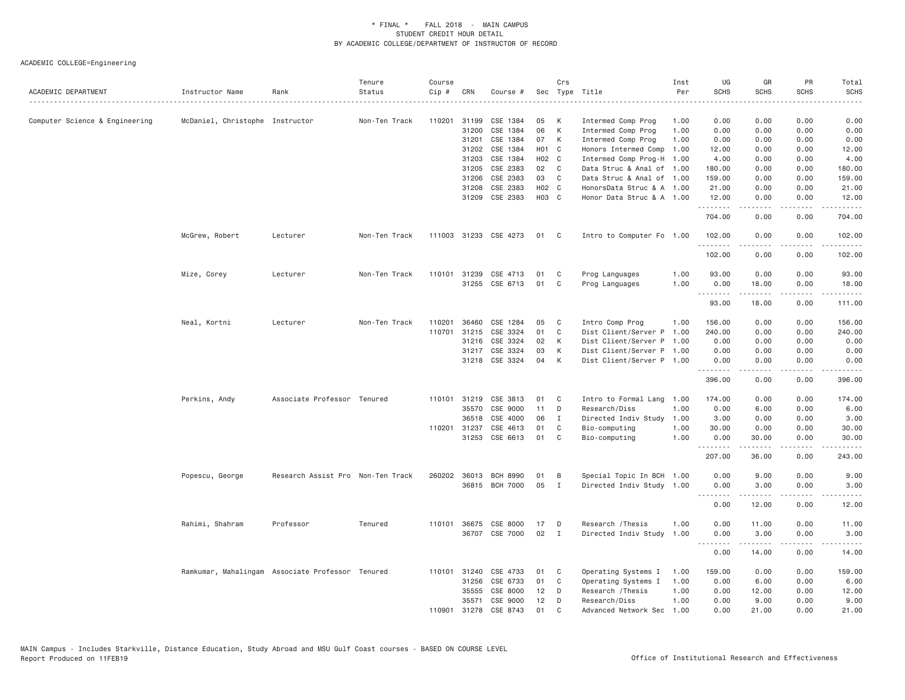| ACADEMIC DEPARTMENT            | Instructor Name                 | Rank                                             | Tenure<br>Status | Course<br>Cip # | CRN          | Course #              |       | Crs            | Sec Type Title            | Inst<br>Per | UG<br><b>SCHS</b> | GR<br><b>SCHS</b> | PR<br><b>SCHS</b>     | Total<br><b>SCHS</b> |
|--------------------------------|---------------------------------|--------------------------------------------------|------------------|-----------------|--------------|-----------------------|-------|----------------|---------------------------|-------------|-------------------|-------------------|-----------------------|----------------------|
|                                |                                 |                                                  |                  |                 |              |                       |       |                |                           |             |                   |                   |                       | -----                |
| Computer Science & Engineering | McDaniel, Christophe Instructor |                                                  | Non-Ten Track    | 110201          | 31199        | CSE 1384              | 05    | K              | Intermed Comp Prog        | 1,00        | 0.00              | 0.00              | 0.00                  | 0.00                 |
|                                |                                 |                                                  |                  |                 | 31200        | CSE 1384              | 06    | К              | Intermed Comp Prog        | 1.00        | 0.00              | 0.00              | 0.00                  | 0.00                 |
|                                |                                 |                                                  |                  |                 | 31201        | CSE 1384              | 07    | К              | Intermed Comp Prog        | 1,00        | 0.00              | 0.00              | 0.00                  | 0.00                 |
|                                |                                 |                                                  |                  |                 | 31202        | CSE 1384              | H01 C |                | Honors Intermed Comp      | 1.00        | 12.00             | 0.00              | 0.00                  | 12.00                |
|                                |                                 |                                                  |                  |                 | 31203        | CSE 1384              | H02 C |                | Intermed Comp Prog-H 1.00 |             | 4.00              | 0.00              | 0.00                  | 4.00                 |
|                                |                                 |                                                  |                  |                 | 31205        | CSE 2383              | 02    | C              | Data Struc & Anal of 1.00 |             | 180.00            | 0.00              | 0.00                  | 180.00               |
|                                |                                 |                                                  |                  |                 | 31206        | CSE 2383              | 03    | C.             | Data Struc & Anal of 1.00 |             | 159.00            | 0.00              | 0.00                  | 159.00               |
|                                |                                 |                                                  |                  |                 | 31208        | CSE 2383              | H02 C |                | HonorsData Struc & A 1.00 |             | 21.00             | 0.00              | 0.00                  | 21.00                |
|                                |                                 |                                                  |                  |                 | 31209        | CSE 2383              | H03 C |                | Honor Data Struc & A 1.00 |             | 12.00             | 0.00              | 0.00                  | 12.00                |
|                                |                                 |                                                  |                  |                 |              |                       |       |                |                           |             | .<br>704.00       | <u>.</u><br>0.00  | .<br>0.00             | .<br>704.00          |
|                                | McGrew, Robert                  | Lecturer                                         | Non-Ten Track    |                 |              | 111003 31233 CSE 4273 | 01    | C <sub>c</sub> | Intro to Computer Fo 1.00 |             | 102.00<br>.       | 0.00<br>.         | 0.00<br>$\frac{1}{2}$ | 102.00<br><u>.</u>   |
|                                |                                 |                                                  |                  |                 |              |                       |       |                |                           |             | 102.00            | 0.00              | 0.00                  | 102.00               |
|                                | Mize, Corey                     | Lecturer                                         | Non-Ten Track    |                 | 110101 31239 | CSE 4713              | 01    | C              | Prog Languages            | 1.00        | 93.00             | 0.00              | 0.00                  | 93.00                |
|                                |                                 |                                                  |                  |                 |              | 31255 CSE 6713        | 01    | C              | Prog Languages            | 1,00        | 0.00              | 18.00             | 0.00                  | 18,00                |
|                                |                                 |                                                  |                  |                 |              |                       |       |                |                           |             | <b></b>           | . <u>.</u>        | .                     | . <u>.</u> .         |
|                                |                                 |                                                  |                  |                 |              |                       |       |                |                           |             | 93.00             | 18.00             | 0.00                  | 111.00               |
|                                | Neal, Kortni                    | Lecturer                                         | Non-Ten Track    | 110201          | 36460        | CSE 1284              | 05    | C              | Intro Comp Prog           | 1.00        | 156.00            | 0.00              | 0.00                  | 156.00               |
|                                |                                 |                                                  |                  | 110701          | 31215        | CSE 3324              | 01    | C              | Dist Client/Server P 1.00 |             | 240.00            | 0.00              | 0.00                  | 240.00               |
|                                |                                 |                                                  |                  |                 | 31216        | CSE 3324              | 02    | К              | Dist Client/Server P 1.00 |             | 0.00              | 0.00              | 0.00                  | 0.00                 |
|                                |                                 |                                                  |                  |                 |              | 31217 CSE 3324        | 03    | К              | Dist Client/Server P 1.00 |             | 0.00              | 0.00              | 0.00                  | 0.00                 |
|                                |                                 |                                                  |                  |                 |              | 31218 CSE 3324        | 04    | K              | Dist Client/Server P 1.00 |             | 0.00              | 0.00              | 0.00                  | 0.00                 |
|                                |                                 |                                                  |                  |                 |              |                       |       |                |                           |             | 396.00            | -----<br>0.00     | .<br>0.00             | .<br>396.00          |
|                                | Perkins, Andy                   | Associate Professor Tenured                      |                  |                 | 110101 31219 | CSE 3813              | 01    | C              | Intro to Formal Lang 1.00 |             | 174.00            | 0.00              | 0.00                  | 174.00               |
|                                |                                 |                                                  |                  |                 | 35570        | CSE 9000              | 11    | D              | Research/Diss             | 1.00        | 0.00              | 6.00              | 0.00                  | 6.00                 |
|                                |                                 |                                                  |                  |                 | 36518        | CSE 4000              | 06    | $\mathbf{I}$   | Directed Indiv Study      | 1.00        | 3.00              | 0.00              | 0.00                  | 3.00                 |
|                                |                                 |                                                  |                  |                 | 110201 31237 | CSE 4613              | 01    | C              | Bio-computing             | 1.00        | 30.00             | 0.00              | 0.00                  | 30.00                |
|                                |                                 |                                                  |                  |                 | 31253        | CSE 6613              | 01    | C              | Bio-computing             | 1.00        | 0.00              | 30.00             | 0.00                  | 30.00                |
|                                |                                 |                                                  |                  |                 |              |                       |       |                |                           |             | .                 | .                 |                       |                      |
|                                |                                 |                                                  |                  |                 |              |                       |       |                |                           |             | 207.00            | 36.00             | 0.00                  | 243.00               |
|                                | Popescu, George                 | Research Assist Pro Non-Ten Track                |                  | 260202          |              | 36013 BCH 8990        | 01    | B              | Special Topic In BCH 1.00 |             | 0.00              | 9,00              | 0.00                  | 9.00                 |
|                                |                                 |                                                  |                  |                 |              | 36815 BCH 7000        | 05    | $\mathbf{I}$   | Directed Indiv Study 1.00 |             | 0.00              | 3.00              | 0.00                  | 3.00                 |
|                                |                                 |                                                  |                  |                 |              |                       |       |                |                           |             | .<br>0.00         | .<br>12.00        | .<br>0.00             | .<br>12.00           |
|                                | Rahimi, Shahram                 | Professor                                        | Tenured          | 110101          | 36675        | CSE 8000              | 17    | D              | Research / Thesis         | 1.00        | 0.00              | 11.00             | 0.00                  | 11.00                |
|                                |                                 |                                                  |                  |                 |              | 36707 CSE 7000        | 02    | $\mathbf{I}$   | Directed Indiv Study      | 1.00        | 0.00              | 3,00              | 0.00                  | 3.00                 |
|                                |                                 |                                                  |                  |                 |              |                       |       |                |                           |             | .                 | .                 | .                     | .                    |
|                                |                                 |                                                  |                  |                 |              |                       |       |                |                           |             | 0.00              | 14.00             | 0.00                  | 14.00                |
|                                |                                 | Ramkumar, Mahalingam Associate Professor Tenured |                  |                 |              | 110101 31240 CSE 4733 | 01    | C              | Operating Systems I       | 1.00        | 159.00            | 0.00              | 0.00                  | 159.00               |
|                                |                                 |                                                  |                  |                 | 31256        | CSE 6733              | 01    | C              | Operating Systems I       | 1.00        | 0.00              | 6.00              | 0.00                  | 6.00                 |
|                                |                                 |                                                  |                  |                 | 35555        | CSE 8000              | 12    | D              | Research / Thesis         | 1.00        | 0.00              | 12.00             | 0.00                  | 12.00                |
|                                |                                 |                                                  |                  |                 | 35571        | CSE 9000              | 12    | D              | Research/Diss             | 1.00        | 0.00              | 9.00              | 0.00                  | 9.00                 |
|                                |                                 |                                                  |                  | 110901          | 31278        | CSE 8743              | 01    | $\mathsf{C}$   | Advanced Network Sec      | 1.00        | 0.00              | 21,00             | 0.00                  | 21,00                |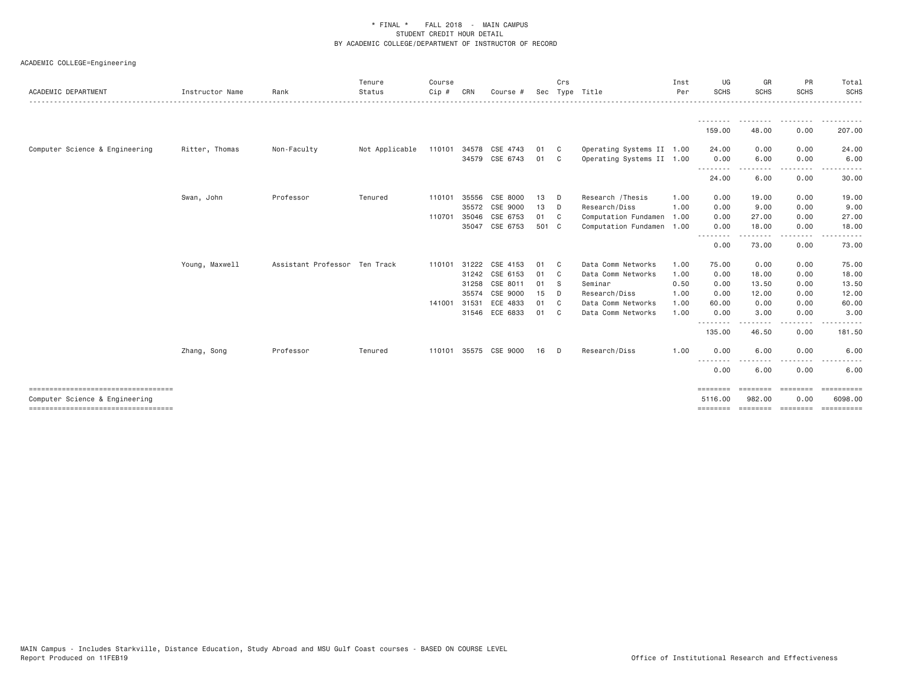| ACADEMIC DEPARTMENT                                                                                             | Instructor Name | Rank                          | Tenure<br>Status | Course<br>$Cip$ #      | CRN                              | Course #                                                 |                            | Crs                                           | Sec Type Title                                                                     | Inst<br>Per                  | UG<br>SCHS                      | GR<br><b>SCHS</b>               | PR<br><b>SCHS</b>            | Total<br><b>SCHS</b>                                                                                   |
|-----------------------------------------------------------------------------------------------------------------|-----------------|-------------------------------|------------------|------------------------|----------------------------------|----------------------------------------------------------|----------------------------|-----------------------------------------------|------------------------------------------------------------------------------------|------------------------------|---------------------------------|---------------------------------|------------------------------|--------------------------------------------------------------------------------------------------------|
|                                                                                                                 |                 |                               |                  |                        |                                  |                                                          |                            |                                               |                                                                                    |                              | 159.00                          | --------<br>48.00               | .<br>0.00                    | .<br>207.00                                                                                            |
| Computer Science & Engineering                                                                                  | Ritter, Thomas  | Non-Faculty                   | Not Applicable   |                        |                                  | 110101 34578 CSE 4743<br>34579 CSE 6743                  | 01<br>01                   | $\mathbf{C}$<br>- C                           | Operating Systems II 1.00<br>Operating Systems II 1.00                             |                              | 24.00<br>0.00                   | 0.00<br>6.00                    | 0.00<br>0.00                 | 24.00<br>6.00                                                                                          |
|                                                                                                                 |                 |                               |                  |                        |                                  |                                                          |                            |                                               |                                                                                    |                              | --------<br>24.00               | .<br>6.00                       | .<br>0.00                    | 30.00                                                                                                  |
|                                                                                                                 | Swan, John      | Professor                     | Tenured          | 110101<br>110701       | 35556<br>35046                   | CSE 8000<br>35572 CSE 9000<br>CSE 6753<br>35047 CSE 6753 | 13<br>13<br>01<br>501 C    | D<br>D<br>- C                                 | Research / Thesis<br>Research/Diss<br>Computation Fundamen<br>Computation Fundamen | 1.00<br>1.00<br>1.00<br>1.00 | 0.00<br>0.00<br>0.00<br>0.00    | 19.00<br>9.00<br>27.00<br>18,00 | 0.00<br>0.00<br>0.00<br>0.00 | 19.00<br>9.00<br>27.00<br>18.00                                                                        |
|                                                                                                                 |                 |                               |                  |                        |                                  |                                                          |                            |                                               |                                                                                    |                              | --------<br>0.00                | --------<br>73.00               | .<br>0.00                    | ------<br>73.00                                                                                        |
|                                                                                                                 | Young, Maxwell  | Assistant Professor Ten Track |                  | 110101<br>141001 31531 | 31222<br>31242<br>31258<br>35574 | CSE 4153<br>CSE 6153<br>CSE 8011<br>CSE 9000<br>ECE 4833 | 01<br>01<br>01<br>15<br>01 | - C<br>- C<br><b>S</b><br>D<br>C <sub>c</sub> | Data Comm Networks<br>Data Comm Networks<br>Seminar<br>Research/Diss               | 1.00<br>1.00<br>0.50<br>1.00 | 75.00<br>0.00<br>0.00<br>0.00   | 0.00<br>18.00<br>13.50<br>12.00 | 0.00<br>0.00<br>0.00<br>0.00 | 75.00<br>18.00<br>13.50<br>12.00<br>60.00                                                              |
|                                                                                                                 |                 |                               |                  |                        |                                  | 31546 ECE 6833                                           | 01                         | C.                                            | Data Comm Networks<br>Data Comm Networks                                           | 1.00<br>1.00                 | 60.00<br>0.00<br>.              | 0.00<br>3.00                    | 0.00<br>0.00<br>----         | 3.00                                                                                                   |
|                                                                                                                 | Zhang, Song     | Professor                     | Tenured          |                        |                                  | 110101 35575 CSE 9000                                    | 16                         | D.                                            | Research/Diss                                                                      | 1.00                         | 135.00<br>0.00                  | 46.50<br>6.00                   | 0.00<br>0.00                 | 181.50<br>6.00                                                                                         |
|                                                                                                                 |                 |                               |                  |                        |                                  |                                                          |                            |                                               |                                                                                    |                              | --------<br>0.00                | 6.00                            | .<br>0.00                    | $\frac{1}{2} \left( \frac{1}{2} \right) \left( \frac{1}{2} \right) \left( \frac{1}{2} \right)$<br>6.00 |
| ------------------------------------<br>Computer Science & Engineering<br>===================================== |                 |                               |                  |                        |                                  |                                                          |                            |                                               |                                                                                    |                              | ========<br>5116.00<br>======== | ========<br>982.00<br>========  | ========<br>0.00<br>======== | ==========<br>6098,00<br>==========                                                                    |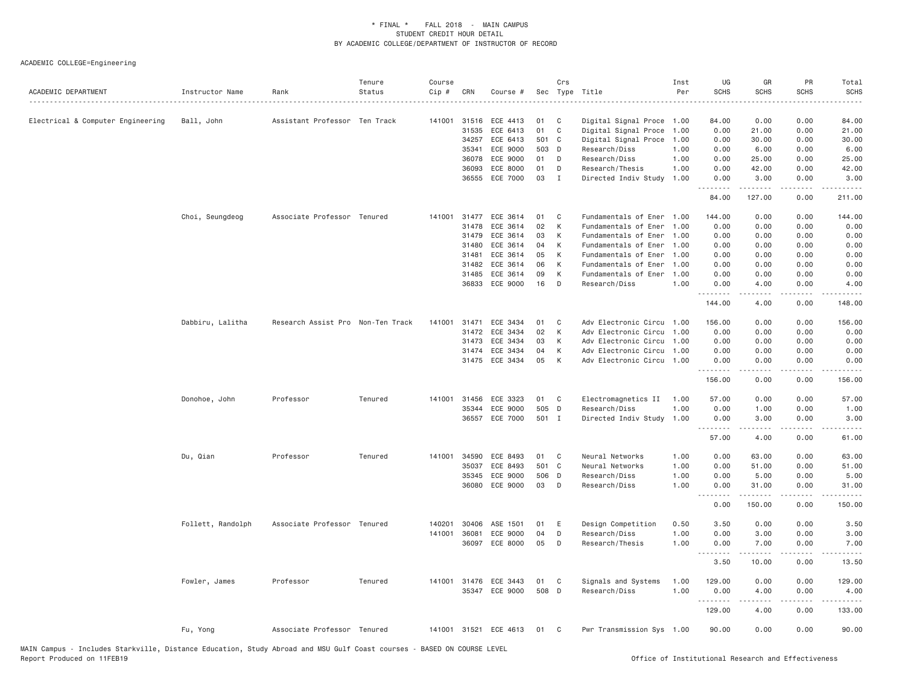| ACADEMIC DEPARTMENT               | Instructor Name   | Rank                              | Tenure<br>Status | Course<br>$Cip \#$ | CRN            | Course #              | Sec      | Crs          | Type Title                            | Inst<br>Per  | UG<br><b>SCHS</b>  | GR<br><b>SCHS</b> | PR<br><b>SCHS</b><br>. | Total<br><b>SCHS</b><br>$\omega$ is a set |
|-----------------------------------|-------------------|-----------------------------------|------------------|--------------------|----------------|-----------------------|----------|--------------|---------------------------------------|--------------|--------------------|-------------------|------------------------|-------------------------------------------|
| Electrical & Computer Engineering | Ball, John        | Assistant Professor Ten Track     |                  | 141001             | 31516          | ECE 4413              | 01       | C            | Digital Signal Proce                  | 1.00         | 84.00              | 0.00              | 0.00                   | 84.00                                     |
|                                   |                   |                                   |                  |                    | 31535          | ECE 6413              | 01       | C            | Digital Signal Proce                  | 1.00         | 0.00               | 21.00             | 0.00                   | 21.00                                     |
|                                   |                   |                                   |                  |                    | 34257          | ECE 6413              | 501 C    |              | Digital Signal Proce                  | 1.00         | 0.00               | 30.00             | 0.00                   | 30.00                                     |
|                                   |                   |                                   |                  |                    | 35341          | ECE 9000              | 503      | D            | Research/Diss                         | 1.00         | 0.00               | 6.00              | 0.00                   | 6.00                                      |
|                                   |                   |                                   |                  |                    | 36078          | ECE 9000              | 01       | D            | Research/Diss                         | 1.00         | 0.00               | 25.00             | 0.00                   | 25.00                                     |
|                                   |                   |                                   |                  |                    | 36093          | ECE 8000              | 01       | D            | Research/Thesis                       | 1.00         | 0.00               | 42.00             | 0.00                   | 42.00                                     |
|                                   |                   |                                   |                  |                    | 36555          | ECE 7000              | 03       | $\mathbf{I}$ | Directed Indiv Study                  | 1.00         | 0.00<br>. <u>.</u> | 3.00<br>.         | 0.00<br>.              | 3.00<br>.                                 |
|                                   |                   |                                   |                  |                    |                |                       |          |              |                                       |              | 84.00              | 127.00            | 0.00                   | 211.00                                    |
|                                   | Choi, Seungdeog   | Associate Professor Tenured       |                  | 141001             | 31477          | ECE 3614              | 01       | C            | Fundamentals of Ener                  | 1.00         | 144.00             | 0.00              | 0.00                   | 144.00                                    |
|                                   |                   |                                   |                  |                    | 31478          | ECE 3614              | 02       | К            | Fundamentals of Ener                  | 1.00         | 0.00               | 0.00              | 0.00                   | 0.00                                      |
|                                   |                   |                                   |                  |                    | 31479          | ECE 3614              | 03       | К            | Fundamentals of Ener                  | 1.00         | 0.00               | 0.00              | 0.00                   | 0.00                                      |
|                                   |                   |                                   |                  |                    | 31480          | ECE 3614              | 04       | K            | Fundamentals of Ener                  | 1,00         | 0.00               | 0.00              | 0.00                   | 0.00                                      |
|                                   |                   |                                   |                  |                    | 31481          | ECE 3614              | 05       | K            | Fundamentals of Ener                  | 1.00         | 0.00               | 0.00              | 0.00                   | 0.00                                      |
|                                   |                   |                                   |                  |                    | 31482<br>31485 | ECE 3614<br>ECE 3614  | 06<br>09 | K<br>К       | Fundamentals of Ener                  | 1,00<br>1.00 | 0.00               | 0.00<br>0.00      | 0.00                   | 0.00<br>0.00                              |
|                                   |                   |                                   |                  |                    |                | 36833 ECE 9000        | 16       | D            | Fundamentals of Ener<br>Research/Diss | 1.00         | 0.00<br>0.00       | 4.00              | 0.00<br>0.00           | 4.00                                      |
|                                   |                   |                                   |                  |                    |                |                       |          |              |                                       |              | .<br>144.00        | <u>.</u><br>4.00  | .<br>0.00              | .<br>148.00                               |
|                                   | Dabbiru, Lalitha  | Research Assist Pro Non-Ten Track |                  | 141001             | 31471          | ECE 3434              | 01       | C            | Adv Electronic Circu                  | 1.00         | 156.00             | 0.00              | 0.00                   | 156.00                                    |
|                                   |                   |                                   |                  |                    | 31472          | ECE 3434              | 02       | К            | Adv Electronic Circu                  | 1.00         | 0.00               | 0.00              | 0.00                   | 0.00                                      |
|                                   |                   |                                   |                  |                    | 31473          | ECE 3434              | 03       | К            | Adv Electronic Circu                  | 1.00         | 0.00               | 0.00              | 0.00                   | 0.00                                      |
|                                   |                   |                                   |                  |                    | 31474          | ECE 3434              | 04       | К            | Adv Electronic Circu 1.00             |              | 0.00               | 0.00              | 0.00                   | 0.00                                      |
|                                   |                   |                                   |                  |                    |                | 31475 ECE 3434        | 05       | K            | Adv Electronic Circu 1.00             |              | 0.00               | 0.00              | 0.00                   | 0.00                                      |
|                                   |                   |                                   |                  |                    |                |                       |          |              |                                       |              | .<br>156.00        | .<br>0.00         | .<br>0.00              | .<br>156.00                               |
|                                   | Donohoe, John     | Professor                         | Tenured          | 141001             | 31456          | ECE 3323              | 01       | C            | Electromagnetics II                   | 1.00         | 57.00              | 0.00              | 0.00                   | 57.00                                     |
|                                   |                   |                                   |                  |                    | 35344          | ECE 9000              | 505      | D            | Research/Diss                         | 1.00         | 0.00               | 1.00              | 0.00                   | 1.00                                      |
|                                   |                   |                                   |                  |                    |                | 36557 ECE 7000        | 501 I    |              | Directed Indiv Study                  | 1.00         | 0.00<br>.          | 3.00<br>.         | 0.00<br>.              | 3.00<br>وبالمسامين                        |
|                                   |                   |                                   |                  |                    |                |                       |          |              |                                       |              | 57.00              | 4.00              | 0.00                   | 61.00                                     |
|                                   | Du, Qian          | Professor                         | Tenured          | 141001             | 34590          | ECE 8493              | 01       | C            | Neural Networks                       | 1.00         | 0.00               | 63.00             | 0.00                   | 63.00                                     |
|                                   |                   |                                   |                  |                    | 35037          | ECE 8493              | 501 C    |              | Neural Networks                       | 1.00         | 0.00               | 51.00             | 0.00                   | 51.00                                     |
|                                   |                   |                                   |                  |                    | 35345          | ECE 9000              | 506 D    |              | Research/Diss                         | 1.00         | 0.00               | 5.00              | 0.00                   | 5.00                                      |
|                                   |                   |                                   |                  |                    | 36080          | ECE 9000              | 03       | D            | Research/Diss                         | 1.00         | 0.00<br>.          | 31.00<br>-----    | 0.00<br>. <u>. .</u>   | 31.00<br>.                                |
|                                   |                   |                                   |                  |                    |                |                       |          |              |                                       |              | 0.00               | 150.00            | 0.00                   | 150.00                                    |
|                                   | Follett, Randolph | Associate Professor Tenured       |                  | 140201             | 30406          | ASE 1501              | 01       | Ε            | Design Competition                    | 0.50         | 3.50               | 0.00              | 0.00                   | 3.50                                      |
|                                   |                   |                                   |                  | 141001             | 36081          | ECE 9000              | 04       | D            | Research/Diss                         | 1.00         | 0.00               | 3.00              | 0.00                   | 3.00                                      |
|                                   |                   |                                   |                  |                    | 36097          | ECE 8000              | 05       | D            | Research/Thesis                       | 1.00         | 0.00<br>. <b>.</b> | 7.00<br>-----     | 0.00<br>.              | 7.00<br>$- - - - -$                       |
|                                   |                   |                                   |                  |                    |                |                       |          |              |                                       |              | 3.50               | 10.00             | 0.00                   | 13.50                                     |
|                                   | Fowler, James     | Professor                         | Tenured          | 141001             | 31476          | ECE 3443              | 01       | C            | Signals and Systems                   | 1.00         | 129.00             | 0.00              | 0.00                   | 129.00                                    |
|                                   |                   |                                   |                  |                    | 35347          | ECE 9000              | 508 D    |              | Research/Diss                         | 1.00         | 0.00<br>.          | 4.00              | 0.00                   | 4.00                                      |
|                                   |                   |                                   |                  |                    |                |                       |          |              |                                       |              | 129.00             | 4.00              | 0.00                   | 133.00                                    |
|                                   | Fu, Yong          | Associate Professor Tenured       |                  |                    |                | 141001 31521 ECE 4613 | 01       | C            | Pwr Transmission Sys 1.00             |              | 90.00              | 0.00              | 0.00                   | 90.00                                     |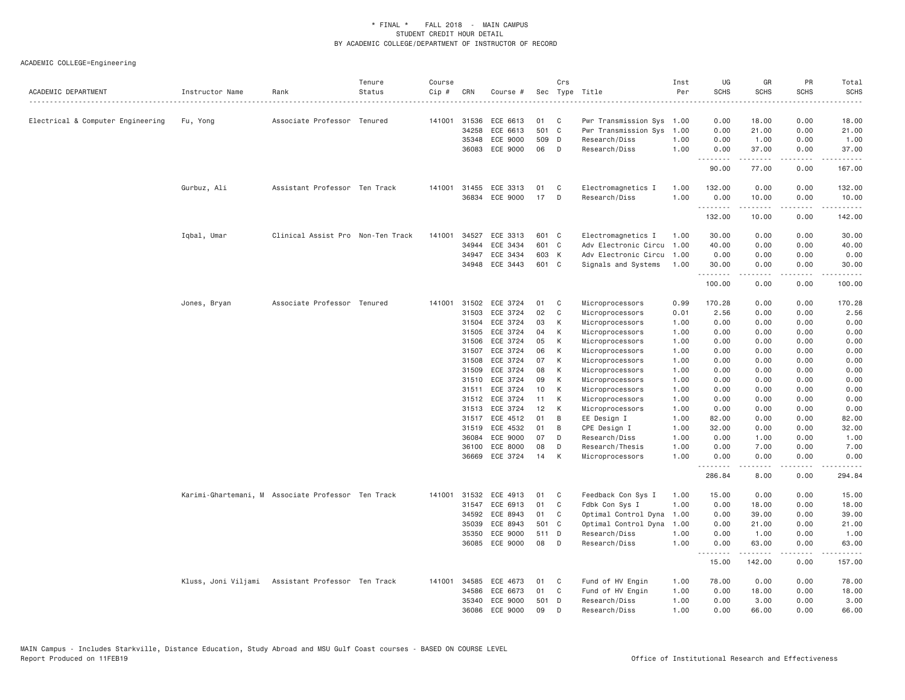| ACADEMIC DEPARTMENT               | Instructor Name | Rank                                               | Tenure<br>Status | Course<br>Cip # | CRN          | Course #              |       | Crs | Sec Type Title            | Inst<br>Per | UG<br><b>SCHS</b><br>المتمامين | GR<br><b>SCHS</b> | PR<br><b>SCHS</b><br>---- | Total<br><b>SCHS</b><br>.                                                                                                                                                                 |
|-----------------------------------|-----------------|----------------------------------------------------|------------------|-----------------|--------------|-----------------------|-------|-----|---------------------------|-------------|--------------------------------|-------------------|---------------------------|-------------------------------------------------------------------------------------------------------------------------------------------------------------------------------------------|
| Electrical & Computer Engineering | Fu, Yong        | Associate Professor Tenured                        |                  |                 | 141001 31536 | ECE 6613              | 01    | C   | Pwr Transmission Sys 1.00 |             | 0.00                           | 18.00             | 0.00                      | 18.00                                                                                                                                                                                     |
|                                   |                 |                                                    |                  |                 | 34258        | ECE 6613              | 501 C |     | Pwr Transmission Sys      | 1.00        | 0.00                           | 21.00             | 0.00                      | 21.00                                                                                                                                                                                     |
|                                   |                 |                                                    |                  |                 | 35348        | ECE 9000              | 509 D |     | Research/Diss             | 1.00        | 0.00                           | 1.00              | 0.00                      | 1.00                                                                                                                                                                                      |
|                                   |                 |                                                    |                  |                 | 36083        | ECE 9000              | 06    | D   | Research/Diss             | 1.00        | 0.00                           | 37.00             | 0.00                      | 37.00                                                                                                                                                                                     |
|                                   |                 |                                                    |                  |                 |              |                       |       |     |                           |             | .                              | .                 | .                         | .                                                                                                                                                                                         |
|                                   |                 |                                                    |                  |                 |              |                       |       |     |                           |             | 90.00                          | 77.00             | 0.00                      | 167.00                                                                                                                                                                                    |
|                                   | Gurbuz, Ali     | Assistant Professor Ten Track                      |                  |                 | 141001 31455 | ECE 3313              | 01    | C   | Electromagnetics I        | 1.00        | 132.00                         | 0.00              | 0.00                      | 132.00                                                                                                                                                                                    |
|                                   |                 |                                                    |                  |                 | 36834        | ECE 9000              | 17    | D   | Research/Diss             | 1,00        | 0.00<br>.                      | 10.00<br>.        | 0.00<br>.                 | 10.00<br>.                                                                                                                                                                                |
|                                   |                 |                                                    |                  |                 |              |                       |       |     |                           |             | 132.00                         | 10.00             | 0.00                      | 142.00                                                                                                                                                                                    |
|                                   | Iqbal, Umar     | Clinical Assist Pro Non-Ten Track                  |                  | 141001          | 34527        | ECE 3313              | 601 C |     | Electromagnetics I        | 1.00        | 30.00                          | 0.00              | 0.00                      | 30.00                                                                                                                                                                                     |
|                                   |                 |                                                    |                  |                 | 34944        | ECE 3434              | 601 C |     | Adv Electronic Circu      | 1.00        | 40.00                          | 0.00              | 0.00                      | 40.00                                                                                                                                                                                     |
|                                   |                 |                                                    |                  |                 | 34947        | ECE 3434              | 603 K |     | Adv Electronic Circu      | 1.00        | 0.00                           | 0.00              | 0.00                      | 0.00                                                                                                                                                                                      |
|                                   |                 |                                                    |                  |                 | 34948        | ECE 3443              | 601 C |     | Signals and Systems       | 1.00        | 30.00                          | 0.00              | 0.00                      | 30.00                                                                                                                                                                                     |
|                                   |                 |                                                    |                  |                 |              |                       |       |     |                           |             | .<br>100.00                    | .<br>0.00         | $  -$<br>0.00             | $\sim$ $\sim$ $\sim$ $\sim$<br>100.00                                                                                                                                                     |
|                                   | Jones, Bryan    | Associate Professor Tenured                        |                  |                 |              | 141001 31502 ECE 3724 | 01    | C   | Microprocessors           | 0.99        | 170.28                         | 0.00              | 0.00                      | 170.28                                                                                                                                                                                    |
|                                   |                 |                                                    |                  |                 | 31503        | ECE 3724              | 02    | C   | Microprocessors           | 0.01        | 2.56                           | 0.00              | 0.00                      | 2.56                                                                                                                                                                                      |
|                                   |                 |                                                    |                  |                 | 31504        | ECE 3724              | 03    | К   | Microprocessors           | 1.00        | 0.00                           | 0.00              | 0.00                      | 0.00                                                                                                                                                                                      |
|                                   |                 |                                                    |                  |                 | 31505        | ECE 3724              | 04    | К   | Microprocessors           | 1.00        | 0.00                           | 0.00              | 0.00                      | 0.00                                                                                                                                                                                      |
|                                   |                 |                                                    |                  |                 | 31506        | ECE 3724              | 05    | К   | Microprocessors           | 1.00        | 0.00                           | 0.00              | 0.00                      | 0.00                                                                                                                                                                                      |
|                                   |                 |                                                    |                  |                 | 31507        | ECE 3724              | 06    | К   | Microprocessors           | 1.00        | 0.00                           | 0.00              | 0.00                      | 0.00                                                                                                                                                                                      |
|                                   |                 |                                                    |                  |                 | 31508        | ECE 3724              | 07    | К   | Microprocessors           | 1.00        | 0.00                           | 0.00              | 0.00                      | 0.00                                                                                                                                                                                      |
|                                   |                 |                                                    |                  |                 | 31509        | ECE 3724              | 08    | К   | Microprocessors           | 1.00        | 0.00                           | 0.00              | 0.00                      | 0.00                                                                                                                                                                                      |
|                                   |                 |                                                    |                  |                 | 31510        | ECE 3724              | 09    | К   | Microprocessors           | 1.00        | 0.00                           | 0.00              | 0.00                      | 0.00                                                                                                                                                                                      |
|                                   |                 |                                                    |                  |                 | 31511        | ECE 3724              | 10    | К   | Microprocessors           | 1.00        | 0.00                           | 0.00              | 0.00                      | 0.00                                                                                                                                                                                      |
|                                   |                 |                                                    |                  |                 | 31512        | ECE 3724              | 11    | К   | Microprocessors           | 1.00        | 0.00                           | 0.00              | 0.00                      | 0.00                                                                                                                                                                                      |
|                                   |                 |                                                    |                  |                 | 31513        | ECE 3724              | 12    | К   | Microprocessors           | 1.00        | 0.00                           | 0.00              | 0.00                      | 0.00                                                                                                                                                                                      |
|                                   |                 |                                                    |                  |                 | 31517        | ECE 4512              | 01    | B   | EE Design I               | 1.00        | 82.00                          | 0.00              | 0.00                      | 82.00                                                                                                                                                                                     |
|                                   |                 |                                                    |                  |                 | 31519        | ECE 4532              | 01    | B   | CPE Design I              | 1.00        | 32.00                          | 0.00              | 0.00                      | 32.00                                                                                                                                                                                     |
|                                   |                 |                                                    |                  |                 | 36084        | ECE 9000              | 07    | D   | Research/Diss             | 1.00        | 0.00                           | 1.00              | 0.00                      | 1.00                                                                                                                                                                                      |
|                                   |                 |                                                    |                  |                 | 36100        | ECE 8000              | 08    | D   | Research/Thesis           | 1.00        | 0.00                           | 7.00              | 0.00                      | 7.00                                                                                                                                                                                      |
|                                   |                 |                                                    |                  |                 | 36669        | ECE 3724              | 14    | К   | Microprocessors           | 1,00        | 0.00                           | 0.00              | 0.00                      | 0.00                                                                                                                                                                                      |
|                                   |                 |                                                    |                  |                 |              |                       |       |     |                           |             | <u>.</u><br>286.84             | -----<br>8.00     | .<br>0.00                 | .<br>294.84                                                                                                                                                                               |
|                                   |                 | Karimi-Ghartemani, M Associate Professor Ten Track |                  |                 | 141001 31532 | ECE 4913              | 01    | C   | Feedback Con Sys I        | 1.00        | 15.00                          | 0.00              | 0.00                      | 15.00                                                                                                                                                                                     |
|                                   |                 |                                                    |                  |                 | 31547        | ECE 6913              | 01    | C   | Fdbk Con Sys I            | 1.00        | 0.00                           | 18.00             | 0.00                      | 18.00                                                                                                                                                                                     |
|                                   |                 |                                                    |                  |                 | 34592        | ECE 8943              | 01    | C   | Optimal Control Dyna      | 1.00        | 0.00                           | 39.00             | 0.00                      | 39.00                                                                                                                                                                                     |
|                                   |                 |                                                    |                  |                 | 35039        | ECE 8943              | 501 C |     | Optimal Control Dyna      | 1.00        | 0.00                           | 21.00             | 0.00                      | 21.00                                                                                                                                                                                     |
|                                   |                 |                                                    |                  |                 | 35350        | ECE 9000              | 511 D |     | Research/Diss             | 1.00        | 0.00                           | 1.00              | 0.00                      | 1.00                                                                                                                                                                                      |
|                                   |                 |                                                    |                  |                 | 36085        | ECE 9000              | 08    | D   | Research/Diss             | 1,00        | 0.00                           | 63.00             | 0.00                      | 63.00                                                                                                                                                                                     |
|                                   |                 |                                                    |                  |                 |              |                       |       |     |                           |             | .<br>15.00                     | .<br>142.00       | .<br>0.00                 | $\frac{1}{2} \left( \frac{1}{2} \right) \left( \frac{1}{2} \right) \left( \frac{1}{2} \right) \left( \frac{1}{2} \right) \left( \frac{1}{2} \right) \left( \frac{1}{2} \right)$<br>157.00 |
|                                   |                 | Kluss, Joni Viljami Assistant Professor Ten Track  |                  | 141001          | 34585        | ECE 4673              | 01    | C   | Fund of HV Engin          | 1.00        | 78.00                          | 0.00              | 0.00                      | 78.00                                                                                                                                                                                     |
|                                   |                 |                                                    |                  |                 | 34586        | ECE 6673              | 01    | C   | Fund of HV Engin          | 1.00        | 0.00                           | 18.00             | 0.00                      | 18.00                                                                                                                                                                                     |
|                                   |                 |                                                    |                  |                 | 35340        | ECE 9000              | 501 D |     | Research/Diss             | 1,00        | 0.00                           | 3,00              | 0.00                      | 3.00                                                                                                                                                                                      |
|                                   |                 |                                                    |                  |                 | 36086        | ECE 9000              | 09    | D   | Research/Diss             | 1,00        | 0.00                           | 66.00             | 0.00                      | 66.00                                                                                                                                                                                     |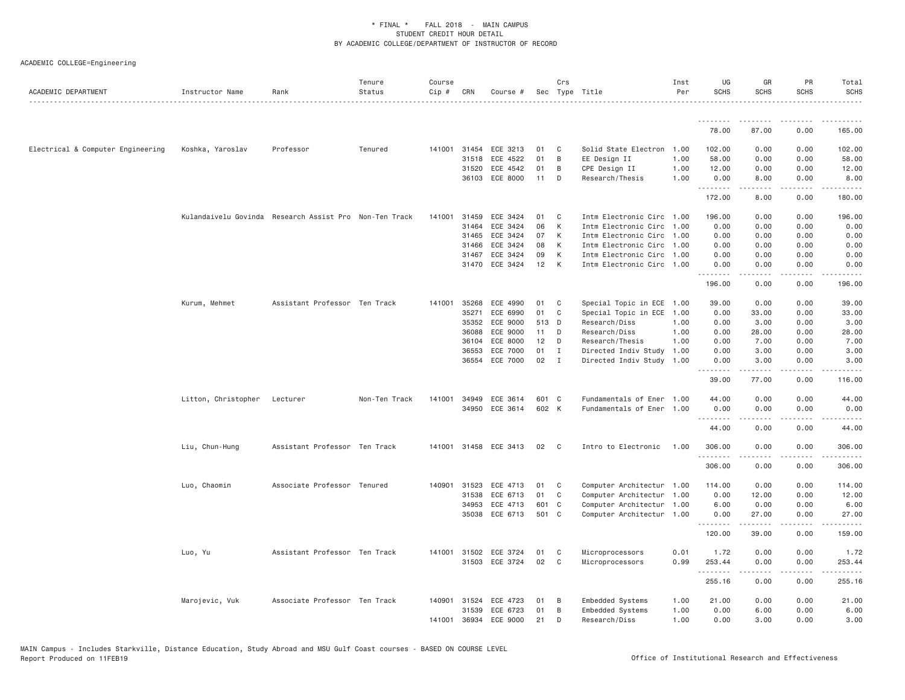| ACADEMIC DEPARTMENT               | Instructor Name     | Rank                                                   | Tenure<br>Status | Course<br>Cip # | CRN          | Course #              |       | Crs | Sec Type Title            | Inst<br>Per | UG<br><b>SCHS</b> | GR<br><b>SCHS</b>                                                                                                                                            | PR<br><b>SCHS</b> | Total<br><b>SCHS</b>                                                                                                                                           |
|-----------------------------------|---------------------|--------------------------------------------------------|------------------|-----------------|--------------|-----------------------|-------|-----|---------------------------|-------------|-------------------|--------------------------------------------------------------------------------------------------------------------------------------------------------------|-------------------|----------------------------------------------------------------------------------------------------------------------------------------------------------------|
|                                   |                     |                                                        |                  |                 |              |                       |       |     |                           |             | .                 |                                                                                                                                                              |                   |                                                                                                                                                                |
|                                   |                     |                                                        |                  |                 |              |                       |       |     |                           |             | 78.00             | 87.00                                                                                                                                                        | 0.00              | 165.00                                                                                                                                                         |
| Electrical & Computer Engineering | Koshka, Yaroslav    | Professor                                              | Tenured          |                 | 141001 31454 | ECE 3213              | 01    | C   | Solid State Electron      | 1.00        | 102.00            | 0.00                                                                                                                                                         | 0.00              | 102.00                                                                                                                                                         |
|                                   |                     |                                                        |                  |                 | 31518        | ECE 4522              | 01    | B   | EE Design II              | 1.00        | 58.00             | 0.00                                                                                                                                                         | 0.00              | 58.00                                                                                                                                                          |
|                                   |                     |                                                        |                  |                 | 31520        | ECE 4542              | 01    | B   | CPE Design II             | 1.00        | 12.00             | 0.00                                                                                                                                                         | 0.00              | 12.00                                                                                                                                                          |
|                                   |                     |                                                        |                  |                 | 36103        | ECE 8000              | 11    | D   | Research/Thesis           | 1.00        | 0.00<br>.         | 8.00<br>$\frac{1}{2} \left( \frac{1}{2} \right) \left( \frac{1}{2} \right) \left( \frac{1}{2} \right) \left( \frac{1}{2} \right) \left( \frac{1}{2} \right)$ | 0.00              | 8.00                                                                                                                                                           |
|                                   |                     |                                                        |                  |                 |              |                       |       |     |                           |             | 172.00            | 8.00                                                                                                                                                         | 0.00              | 180.00                                                                                                                                                         |
|                                   |                     | Kulandaivelu Govinda Research Assist Pro Non-Ten Track |                  |                 | 141001 31459 | ECE 3424              | 01    | C   | Intm Electronic Circ 1.00 |             | 196.00            | 0.00                                                                                                                                                         | 0.00              | 196.00                                                                                                                                                         |
|                                   |                     |                                                        |                  |                 | 31464        | ECE 3424              | 06    | K   | Intm Electronic Circ      | 1.00        | 0.00              | 0.00                                                                                                                                                         | 0.00              | 0.00                                                                                                                                                           |
|                                   |                     |                                                        |                  |                 | 31465        | ECE 3424              | 07    | K   | Intm Electronic Circ      | 1.00        | 0.00              | 0.00                                                                                                                                                         | 0.00              | 0.00                                                                                                                                                           |
|                                   |                     |                                                        |                  |                 | 31466        | ECE 3424              | 08    | К   | Intm Electronic Circ 1.00 |             | 0.00              | 0.00                                                                                                                                                         | 0.00              | 0.00                                                                                                                                                           |
|                                   |                     |                                                        |                  |                 | 31467        | ECE 3424              | 09    | K   | Intm Electronic Circ 1.00 |             | 0.00              | 0.00                                                                                                                                                         | 0.00              | 0.00                                                                                                                                                           |
|                                   |                     |                                                        |                  |                 | 31470        | ECE 3424              | 12    | К   | Intm Electronic Circ 1.00 |             | 0.00<br>.         | 0.00                                                                                                                                                         | 0.00              | 0.00                                                                                                                                                           |
|                                   |                     |                                                        |                  |                 |              |                       |       |     |                           |             | 196.00            | 0.00                                                                                                                                                         | 0.00              | 196.00                                                                                                                                                         |
|                                   | Kurum, Mehmet       | Assistant Professor Ten Track                          |                  | 141001          | 35268        | ECE 4990              | 01    | C   | Special Topic in ECE 1.00 |             | 39.00             | 0.00                                                                                                                                                         | 0.00              | 39.00                                                                                                                                                          |
|                                   |                     |                                                        |                  |                 | 35271        | ECE 6990              | 01    | C   | Special Topic in ECE      | 1.00        | 0.00              | 33.00                                                                                                                                                        | 0.00              | 33.00                                                                                                                                                          |
|                                   |                     |                                                        |                  |                 | 35352        | ECE 9000              | 513 D |     | Research/Diss             | 1.00        | 0.00              | 3.00                                                                                                                                                         | 0.00              | 3.00                                                                                                                                                           |
|                                   |                     |                                                        |                  |                 | 36088        | ECE 9000              | 11    | D   | Research/Diss             | 1.00        | 0.00              | 28.00                                                                                                                                                        | 0.00              | 28.00                                                                                                                                                          |
|                                   |                     |                                                        |                  |                 | 36104        | ECE 8000              | 12    | D   | Research/Thesis           | 1.00        | 0.00              | 7.00                                                                                                                                                         | 0.00              | 7.00                                                                                                                                                           |
|                                   |                     |                                                        |                  |                 | 36553        | ECE 7000              | 01    | I   | Directed Indiv Study      | 1.00        | 0.00              | 3.00                                                                                                                                                         | 0.00              | 3.00                                                                                                                                                           |
|                                   |                     |                                                        |                  |                 | 36554        | ECE 7000              | 02    | I   | Directed Indiv Study      | 1.00        | 0.00              | 3.00                                                                                                                                                         | 0.00              | 3.00                                                                                                                                                           |
|                                   |                     |                                                        |                  |                 |              |                       |       |     |                           |             | <u>.</u><br>39.00 | .<br>77.00                                                                                                                                                   | .<br>0.00         | $\frac{1}{2} \left( \frac{1}{2} \right) \left( \frac{1}{2} \right) \left( \frac{1}{2} \right) \left( \frac{1}{2} \right) \left( \frac{1}{2} \right)$<br>116.00 |
|                                   |                     |                                                        |                  |                 |              |                       |       |     |                           |             |                   |                                                                                                                                                              |                   |                                                                                                                                                                |
|                                   | Litton, Christopher | Lecturer                                               | Non-Ten Track    | 141001          | 34949        | ECE 3614              | 601 C |     | Fundamentals of Ener      | 1.00        | 44.00             | 0.00                                                                                                                                                         | 0.00              | 44.00                                                                                                                                                          |
|                                   |                     |                                                        |                  |                 |              | 34950 ECE 3614        | 602 K |     | Fundamentals of Ener 1.00 |             | 0.00<br>.         | 0.00<br>$\frac{1}{2} \left( \frac{1}{2} \right) \left( \frac{1}{2} \right) \left( \frac{1}{2} \right) \left( \frac{1}{2} \right) \left( \frac{1}{2} \right)$ | 0.00<br>.         | 0.00<br>.                                                                                                                                                      |
|                                   |                     |                                                        |                  |                 |              |                       |       |     |                           |             | 44.00             | 0.00                                                                                                                                                         | 0.00              | 44.00                                                                                                                                                          |
|                                   | Liu, Chun-Hung      | Assistant Professor Ten Track                          |                  |                 |              | 141001 31458 ECE 3413 | 02    | C.  | Intro to Electronic       | 1.00        | 306,00<br>.       | 0.00<br>$- - - - -$                                                                                                                                          | 0.00<br>.         | 306.00<br>.                                                                                                                                                    |
|                                   |                     |                                                        |                  |                 |              |                       |       |     |                           |             | 306.00            | 0.00                                                                                                                                                         | 0.00              | 306.00                                                                                                                                                         |
|                                   | Luo, Chaomin        | Associate Professor Tenured                            |                  |                 | 140901 31523 | ECE 4713              | 01    | C   | Computer Architectur 1.00 |             | 114.00            | 0.00                                                                                                                                                         | 0.00              | 114.00                                                                                                                                                         |
|                                   |                     |                                                        |                  |                 | 31538        | ECE 6713              | 01    | C   | Computer Architectur 1.00 |             | 0.00              | 12.00                                                                                                                                                        | 0.00              | 12.00                                                                                                                                                          |
|                                   |                     |                                                        |                  |                 | 34953        | ECE 4713              | 601 C |     | Computer Architectur 1.00 |             | 6.00              | 0.00                                                                                                                                                         | 0.00              | 6.00                                                                                                                                                           |
|                                   |                     |                                                        |                  |                 | 35038        | ECE 6713              | 501 C |     | Computer Architectur 1.00 |             | 0.00              | 27,00                                                                                                                                                        | 0.00              | 27.00                                                                                                                                                          |
|                                   |                     |                                                        |                  |                 |              |                       |       |     |                           |             | .                 |                                                                                                                                                              |                   |                                                                                                                                                                |
|                                   |                     |                                                        |                  |                 |              |                       |       |     |                           |             | 120.00            | 39.00                                                                                                                                                        | 0.00              | 159.00                                                                                                                                                         |
|                                   | Luo, Yu             | Assistant Professor Ten Track                          |                  |                 | 141001 31502 | ECE 3724              | 01    | C   | Microprocessors           | 0.01        | 1.72              | 0.00                                                                                                                                                         | 0.00              | 1.72                                                                                                                                                           |
|                                   |                     |                                                        |                  |                 |              | 31503 ECE 3724        | 02    | C   | Microprocessors           | 0.99        | 253.44<br>.       | 0.00<br>.                                                                                                                                                    | 0.00<br>.         | 253.44<br>.                                                                                                                                                    |
|                                   |                     |                                                        |                  |                 |              |                       |       |     |                           |             | 255.16            | 0.00                                                                                                                                                         | 0.00              | 255.16                                                                                                                                                         |
|                                   | Marojevic, Vuk      | Associate Professor Ten Track                          |                  | 140901          | 31524        | ECE 4723              | 01    | -B  | Embedded Systems          | 1.00        | 21.00             | 0.00                                                                                                                                                         | 0.00              | 21.00                                                                                                                                                          |
|                                   |                     |                                                        |                  |                 | 31539        | ECE 6723              | 01    | B   | Embedded Systems          | 1.00        | 0.00              | 6.00                                                                                                                                                         | 0.00              | 6.00                                                                                                                                                           |
|                                   |                     |                                                        |                  | 141001          | 36934        | ECE 9000              | 21    | D   | Research/Diss             | 1.00        | 0.00              | 3,00                                                                                                                                                         | 0.00              | 3.00                                                                                                                                                           |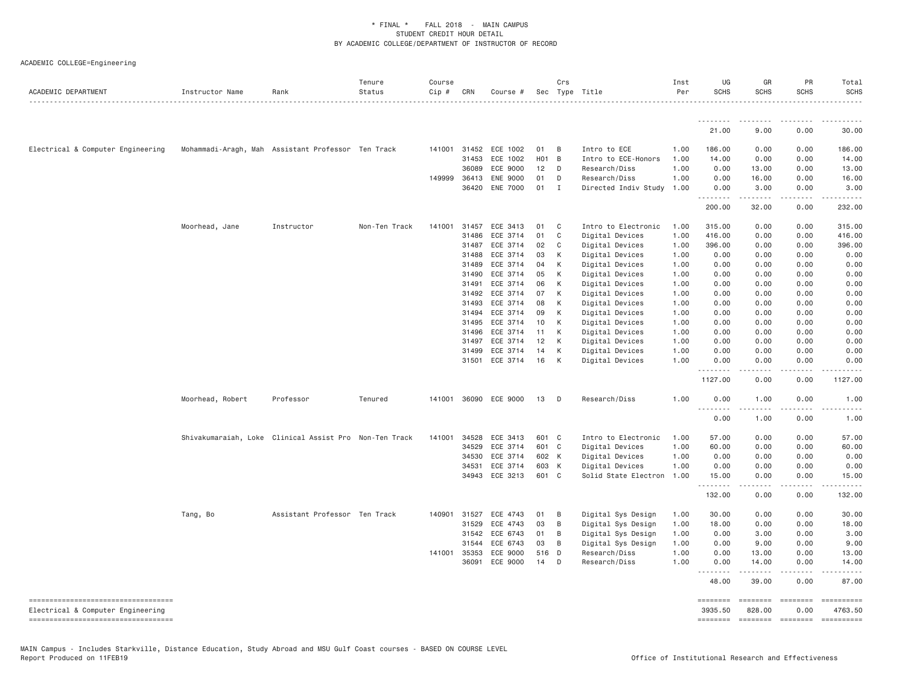| ACADEMIC DEPARTMENT                                                        | Instructor Name                                    | Rank                                                   | Tenure<br>Status | Course<br>$Cip \#$ | CRN          | Course #        |            | Crs            | Sec Type Title       | Inst<br>Per | UG<br><b>SCHS</b> | GR<br><b>SCHS</b>                                                                                                                                                                       | PR<br><b>SCHS</b> | Total<br><b>SCHS</b>                                                                                                                                         |
|----------------------------------------------------------------------------|----------------------------------------------------|--------------------------------------------------------|------------------|--------------------|--------------|-----------------|------------|----------------|----------------------|-------------|-------------------|-----------------------------------------------------------------------------------------------------------------------------------------------------------------------------------------|-------------------|--------------------------------------------------------------------------------------------------------------------------------------------------------------|
|                                                                            |                                                    |                                                        |                  |                    |              |                 |            |                |                      |             | <u>.</u>          |                                                                                                                                                                                         |                   |                                                                                                                                                              |
|                                                                            |                                                    |                                                        |                  |                    |              |                 |            |                |                      |             | 21.00             | 9.00                                                                                                                                                                                    | 0.00              | 30.00                                                                                                                                                        |
| Electrical & Computer Engineering                                          | Mohammadi-Aragh, Mah Assistant Professor Ten Track |                                                        |                  |                    | 141001 31452 | ECE 1002        | 01         | B              | Intro to ECE         | 1.00        | 186.00            | 0.00                                                                                                                                                                                    | 0.00              | 186.00                                                                                                                                                       |
|                                                                            |                                                    |                                                        |                  |                    | 31453        | ECE 1002        | <b>HO1</b> | $\overline{B}$ | Intro to ECE-Honors  | 1.00        | 14.00             | 0.00                                                                                                                                                                                    | 0.00              | 14.00                                                                                                                                                        |
|                                                                            |                                                    |                                                        |                  |                    | 36089        | ECE 9000        | 12         | D              | Research/Diss        | 1.00        | 0.00              | 13.00                                                                                                                                                                                   | 0.00              | 13.00                                                                                                                                                        |
|                                                                            |                                                    |                                                        |                  | 149999             | 36413        | <b>ENE 9000</b> | 01         | D              | Research/Diss        | 1.00        | 0.00              | 16.00                                                                                                                                                                                   | 0.00              | 16.00                                                                                                                                                        |
|                                                                            |                                                    |                                                        |                  |                    | 36420        | <b>ENE 7000</b> | 01         | Ι.             | Directed Indiv Study | 1.00        | 0.00<br>.         | 3.00<br>.                                                                                                                                                                               | 0.00<br>.         | 3.00<br>$\frac{1}{2} \left( \frac{1}{2} \right) \left( \frac{1}{2} \right) \left( \frac{1}{2} \right) \left( \frac{1}{2} \right) \left( \frac{1}{2} \right)$ |
|                                                                            |                                                    |                                                        |                  |                    |              |                 |            |                |                      |             | 200.00            | 32.00                                                                                                                                                                                   | 0.00              | 232.00                                                                                                                                                       |
|                                                                            | Moorhead, Jane                                     | Instructor                                             | Non-Ten Track    | 141001             | 31457        | ECE 3413        | 01         | C              | Intro to Electronic  | 1.00        | 315.00            | 0.00                                                                                                                                                                                    | 0.00              | 315.00                                                                                                                                                       |
|                                                                            |                                                    |                                                        |                  |                    | 31486        | ECE 3714        | 01         | C              | Digital Devices      | 1.00        | 416.00            | 0.00                                                                                                                                                                                    | 0.00              | 416.00                                                                                                                                                       |
|                                                                            |                                                    |                                                        |                  |                    | 31487        | ECE 3714        | 02         | C              | Digital Devices      | 1.00        | 396.00            | 0.00                                                                                                                                                                                    | 0.00              | 396.00                                                                                                                                                       |
|                                                                            |                                                    |                                                        |                  |                    | 31488        | ECE 3714        | 03         | К              | Digital Devices      | 1.00        | 0.00              | 0.00                                                                                                                                                                                    | 0.00              | 0.00                                                                                                                                                         |
|                                                                            |                                                    |                                                        |                  |                    | 31489        | ECE 3714        | 04         | К              | Digital Devices      | 1.00        | 0.00              | 0.00                                                                                                                                                                                    | 0.00              | 0.00                                                                                                                                                         |
|                                                                            |                                                    |                                                        |                  |                    | 31490        | ECE 3714        | 05         | К              | Digital Devices      | 1.00        | 0.00              | 0.00                                                                                                                                                                                    | 0.00              | 0.00                                                                                                                                                         |
|                                                                            |                                                    |                                                        |                  |                    | 31491        | ECE 3714        | 06         | К              | Digital Devices      | 1.00        | 0.00              | 0.00                                                                                                                                                                                    | 0.00              | 0.00                                                                                                                                                         |
|                                                                            |                                                    |                                                        |                  |                    | 31492        | ECE 3714        | 07         | К              | Digital Devices      | 1.00        | 0.00              | 0.00                                                                                                                                                                                    | 0.00              | 0.00                                                                                                                                                         |
|                                                                            |                                                    |                                                        |                  |                    | 31493        | ECE 3714        | 08         | К              | Digital Devices      | 1.00        | 0.00              | 0.00                                                                                                                                                                                    | 0.00              | 0.00                                                                                                                                                         |
|                                                                            |                                                    |                                                        |                  |                    | 31494        | ECE 3714        | 09         | К              | Digital Devices      | 1.00        | 0.00              | 0.00                                                                                                                                                                                    | 0.00              | 0.00                                                                                                                                                         |
|                                                                            |                                                    |                                                        |                  |                    | 31495        | ECE 3714        | 10         | К              | Digital Devices      | 1.00        | 0.00              | 0.00                                                                                                                                                                                    | 0.00              | 0.00                                                                                                                                                         |
|                                                                            |                                                    |                                                        |                  |                    | 31496        | ECE 3714        | 11         | К              | Digital Devices      | 1.00        | 0.00              | 0.00                                                                                                                                                                                    | 0.00              | 0.00                                                                                                                                                         |
|                                                                            |                                                    |                                                        |                  |                    | 31497        | ECE 3714        | 12         | К              | Digital Devices      | 1.00        | 0.00              | 0.00                                                                                                                                                                                    | 0.00              | 0.00                                                                                                                                                         |
|                                                                            |                                                    |                                                        |                  |                    | 31499        | ECE 3714        | 14         | К              | Digital Devices      | 1.00        | 0.00              | 0.00                                                                                                                                                                                    | 0.00              | 0.00                                                                                                                                                         |
|                                                                            |                                                    |                                                        |                  |                    | 31501        | ECE 3714        | 16         | К              | Digital Devices      | 1.00        | 0.00<br>.         | 0.00<br>$\frac{1}{2} \left( \frac{1}{2} \right) \left( \frac{1}{2} \right) \left( \frac{1}{2} \right) \left( \frac{1}{2} \right) \left( \frac{1}{2} \right) \left( \frac{1}{2} \right)$ | 0.00<br>.         | 0.00<br>.                                                                                                                                                    |
|                                                                            |                                                    |                                                        |                  |                    |              |                 |            |                |                      |             | 1127.00           | 0.00                                                                                                                                                                                    | 0.00              | 1127.00                                                                                                                                                      |
|                                                                            | Moorhead, Robert                                   | Professor                                              | Tenured          | 141001             |              | 36090 ECE 9000  | 13         | D              | Research/Diss        | 1.00        | 0.00              | 1.00<br>.                                                                                                                                                                               | 0.00<br>.         | 1.00<br>$\frac{1}{2} \left( \frac{1}{2} \right) \left( \frac{1}{2} \right) \left( \frac{1}{2} \right) \left( \frac{1}{2} \right)$                            |
|                                                                            |                                                    |                                                        |                  |                    |              |                 |            |                |                      |             | 0.00              | 1.00                                                                                                                                                                                    | 0.00              | 1.00                                                                                                                                                         |
|                                                                            |                                                    | Shivakumaraiah, Loke Clinical Assist Pro Non-Ten Track |                  |                    | 141001 34528 | ECE 3413        | 601 C      |                | Intro to Electronic  | 1.00        | 57.00             | 0.00                                                                                                                                                                                    | 0.00              | 57.00                                                                                                                                                        |
|                                                                            |                                                    |                                                        |                  |                    | 34529        | ECE 3714        | 601        | $\mathbf{C}$   | Digital Devices      | 1.00        | 60.00             | 0.00                                                                                                                                                                                    | 0.00              | 60.00                                                                                                                                                        |
|                                                                            |                                                    |                                                        |                  |                    | 34530        | ECE 3714        | 602 K      |                | Digital Devices      | 1.00        | 0.00              | 0.00                                                                                                                                                                                    | 0.00              | 0.00                                                                                                                                                         |
|                                                                            |                                                    |                                                        |                  |                    | 34531        | ECE 3714        | 603 K      |                | Digital Devices      | 1.00        | 0.00              | 0.00                                                                                                                                                                                    | 0.00              | 0.00                                                                                                                                                         |
|                                                                            |                                                    |                                                        |                  |                    | 34943        | ECE 3213        | 601 C      |                | Solid State Electron | 1.00        | 15.00             | 0.00                                                                                                                                                                                    | 0.00              | 15.00                                                                                                                                                        |
|                                                                            |                                                    |                                                        |                  |                    |              |                 |            |                |                      |             | .<br>132.00       | -----<br>0.00                                                                                                                                                                           | .<br>0.00         | .<br>132.00                                                                                                                                                  |
|                                                                            | Tang, Bo                                           | Assistant Professor Ten Track                          |                  | 140901             | 31527        | ECE 4743        | 01         | B              | Digital Sys Design   | 1.00        | 30.00             | 0.00                                                                                                                                                                                    | 0.00              | 30.00                                                                                                                                                        |
|                                                                            |                                                    |                                                        |                  |                    | 31529        | ECE 4743        | 03         | B              | Digital Sys Design   | 1.00        | 18.00             | 0.00                                                                                                                                                                                    | 0.00              | 18.00                                                                                                                                                        |
|                                                                            |                                                    |                                                        |                  |                    | 31542        | ECE 6743        | 01         | B              | Digital Sys Design   | 1.00        | 0.00              | 3.00                                                                                                                                                                                    | 0.00              | 3.00                                                                                                                                                         |
|                                                                            |                                                    |                                                        |                  |                    | 31544        | ECE 6743        | 03         | B              | Digital Sys Design   | 1.00        | 0.00              | 9.00                                                                                                                                                                                    | 0.00              | 9.00                                                                                                                                                         |
|                                                                            |                                                    |                                                        |                  |                    | 141001 35353 | ECE 9000        | 516        | D              | Research/Diss        | 1.00        | 0.00              | 13.00                                                                                                                                                                                   | 0.00              | 13.00                                                                                                                                                        |
|                                                                            |                                                    |                                                        |                  |                    | 36091        | ECE 9000        | 14         | D              | Research/Diss        | 1.00        | 0.00<br>.         | 14.00<br>.                                                                                                                                                                              | 0.00<br>.         | 14.00<br>.                                                                                                                                                   |
|                                                                            |                                                    |                                                        |                  |                    |              |                 |            |                |                      |             | 48.00             | 39.00                                                                                                                                                                                   | 0.00              | 87,00                                                                                                                                                        |
| -------------------------------------<br>Electrical & Computer Engineering |                                                    |                                                        |                  |                    |              |                 |            |                |                      |             | 3935.50           | <b>EDESSEDE</b><br>828.00                                                                                                                                                               | 0.00              | 4763.50                                                                                                                                                      |
| ----------------------------------                                         |                                                    |                                                        |                  |                    |              |                 |            |                |                      |             | <b>EEEEEEE</b>    | <b>EBBEERE</b>                                                                                                                                                                          | ========          | ==========                                                                                                                                                   |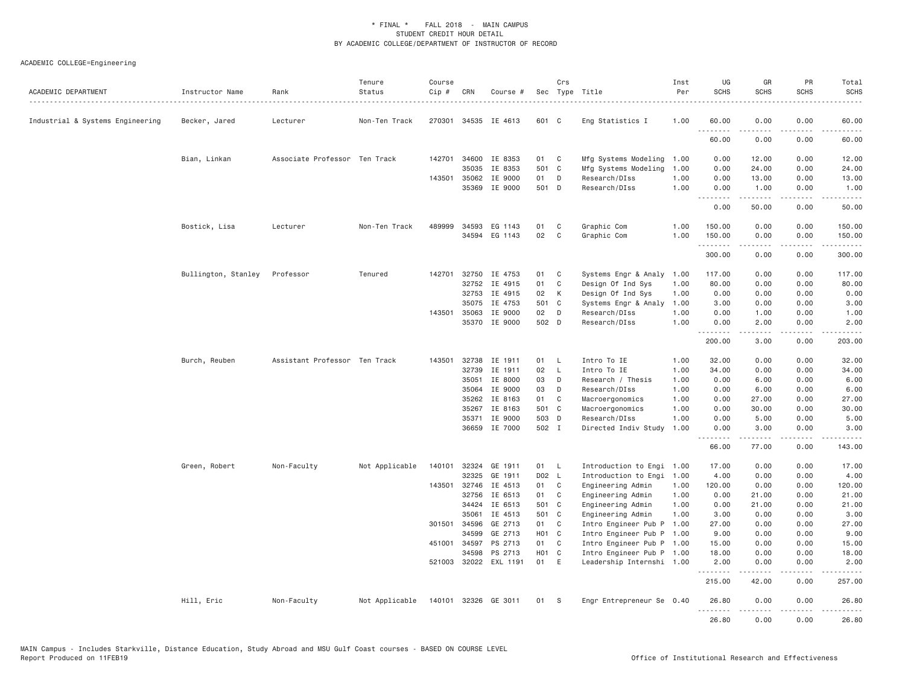| ACADEMIC DEPARTMENT              | Instructor Name     | Rank                          | Tenure<br>Status | Course<br>Cip # | CRN            | Course #                         |               | Crs          | Sec Type Title<br>.                                    | Inst<br>Per  | UG<br><b>SCHS</b>  | GR<br><b>SCHS</b>   | PR<br><b>SCHS</b>                   | Total<br><b>SCHS</b> |
|----------------------------------|---------------------|-------------------------------|------------------|-----------------|----------------|----------------------------------|---------------|--------------|--------------------------------------------------------|--------------|--------------------|---------------------|-------------------------------------|----------------------|
| Industrial & Systems Engineering | Becker, Jared       | Lecturer                      | Non-Ten Track    | 270301          |                | 34535 IE 4613                    | 601 C         |              | Eng Statistics I                                       | 1.00         | 60.00              | 0.00                | 0.00                                | 60.00                |
|                                  |                     |                               |                  |                 |                |                                  |               |              |                                                        |              | .<br>60.00         | .<br>0.00           | $\sim$ $\sim$ $\sim$ $\sim$<br>0.00 | 60.00                |
|                                  | Bian, Linkan        | Associate Professor Ten Track |                  | 142701          | 34600          | IE 8353                          | 01            | C            | Mfg Systems Modeling 1.00                              |              | 0.00               | 12.00               | 0.00                                | 12.00                |
|                                  |                     |                               |                  |                 | 35035          | IE 8353                          | 501 C         |              | Mfg Systems Modeling                                   | 1.00         | 0.00               | 24.00               | 0.00                                | 24.00                |
|                                  |                     |                               |                  | 143501          | 35062          | IE 9000                          | 01            | D            | Research/DIss                                          | 1.00         | 0.00               | 13.00               | 0.00                                | 13.00                |
|                                  |                     |                               |                  |                 |                | 35369 IE 9000                    | 501 D         |              | Research/DIss                                          | 1.00         | 0.00<br>$  -$      | 1.00                | 0.00<br>$\sim$ $\sim$ $\sim$ $\sim$ | 1.00                 |
|                                  |                     |                               |                  |                 |                |                                  |               |              |                                                        |              | 0.00               | 50.00               | 0.00                                | 50.00                |
|                                  | Bostick, Lisa       | Lecturer                      | Non-Ten Track    | 489999          | 34593          | EG 1143                          | 01            | C            | Graphic Com                                            | 1.00         | 150.00             | 0.00                | 0.00                                | 150.00               |
|                                  |                     |                               |                  |                 |                | 34594 EG 1143                    | 02            | $\mathsf{C}$ | Graphic Com                                            | 1.00         | 150.00<br>.        | 0.00                | 0.00                                | 150.00               |
|                                  |                     |                               |                  |                 |                |                                  |               |              |                                                        |              | 300.00             | 0.00                | 0.00                                | 300.00               |
|                                  | Bullington, Stanley | Professor                     | Tenured          | 142701          | 32750          | IE 4753                          | 01            | C            | Systems Engr & Analy 1.00                              |              | 117.00             | 0.00                | 0.00                                | 117.00               |
|                                  |                     |                               |                  |                 | 32752          | IE 4915                          | 01            | C            | Design Of Ind Sys                                      | 1.00         | 80.00              | 0.00                | 0.00                                | 80.00                |
|                                  |                     |                               |                  |                 | 32753          | IE 4915                          | 02            | K            | Design Of Ind Sys                                      | 1.00         | 0.00               | 0.00                | 0.00                                | 0.00                 |
|                                  |                     |                               |                  |                 | 35075          | IE 4753                          | 501 C         |              | Systems Engr & Analy                                   | 1.00         | 3.00               | 0.00                | 0.00                                | 3.00                 |
|                                  |                     |                               |                  | 143501          | 35063<br>35370 | IE 9000<br>IE 9000               | 02<br>502 D   | D            | Research/DIss<br>Research/DIss                         | 1.00<br>1.00 | 0.00<br>0.00       | 1.00<br>2.00        | 0.00<br>0.00                        | 1.00<br>2.00         |
|                                  |                     |                               |                  |                 |                |                                  |               |              |                                                        |              | .<br>200.00        | .<br>3.00           | $\omega$ is a $\omega$<br>0.00      | .<br>203.00          |
|                                  | Burch, Reuben       | Assistant Professor Ten Track |                  | 143501          | 32738          | IE 1911                          | 01            | L.           | Intro To IE                                            | 1.00         | 32.00              | 0.00                | 0.00                                | 32.00                |
|                                  |                     |                               |                  |                 | 32739          | IE 1911                          | 02            | $\mathsf{L}$ | Intro To IE                                            | 1.00         | 34.00              | 0.00                | 0.00                                | 34.00                |
|                                  |                     |                               |                  |                 | 35051          | IE 8000                          | 03            | D            | Research / Thesis                                      | 1.00         | 0.00               | 6.00                | 0.00                                | 6.00                 |
|                                  |                     |                               |                  |                 | 35064          | IE 9000                          | 03            | D            | Research/DIss                                          | 1.00         | 0.00               | 6.00                | 0.00                                | 6.00                 |
|                                  |                     |                               |                  |                 | 35262          | IE 8163                          | 01            | C            | Macroergonomics                                        | 1.00         | 0.00               | 27.00               | 0.00                                | 27.00                |
|                                  |                     |                               |                  |                 | 35267          | IE 8163                          | 501 C         |              | Macroergonomics                                        | 1.00         | 0.00               | 30.00               | 0.00                                | 30.00                |
|                                  |                     |                               |                  |                 | 35371          | IE 9000                          | 503 D         |              | Research/DIss                                          | 1.00         | 0.00               | 5.00                | 0.00                                | 5.00                 |
|                                  |                     |                               |                  |                 | 36659          | IE 7000                          | 502 I         |              | Directed Indiv Study                                   | 1.00         | 0.00<br>.          | 3.00<br>$- - - - -$ | 0.00<br>د د د د                     | 3.00<br>.            |
|                                  |                     |                               |                  |                 |                |                                  |               |              |                                                        |              | 66.00              | 77.00               | 0.00                                | 143.00               |
|                                  | Green, Robert       | Non-Faculty                   | Not Applicable   | 140101          | 32324          | GE 1911                          | 01            | - L          | Introduction to Engi 1.00                              |              | 17.00              | 0.00                | 0.00                                | 17.00                |
|                                  |                     |                               |                  |                 | 32325          | GE 1911                          | D02 L         |              | Introduction to Engi                                   | 1.00         | 4.00               | 0.00                | 0.00                                | 4.00                 |
|                                  |                     |                               |                  | 143501          | 32746          | IE 4513                          | 01            | C            | Engineering Admin                                      | 1.00         | 120.00             | 0.00                | 0.00                                | 120.00               |
|                                  |                     |                               |                  |                 | 32756          | IE 6513                          | 01            | $\mathsf{C}$ | Engineering Admin                                      | 1.00         | 0.00               | 21.00               | 0.00                                | 21.00                |
|                                  |                     |                               |                  |                 | 34424          | IE 6513                          | 501 C         |              | Engineering Admin                                      | 1.00         | 0.00               | 21.00               | 0.00                                | 21.00                |
|                                  |                     |                               |                  |                 | 35061          | IE 4513                          | 501 C         |              | Engineering Admin                                      | 1.00         | 3.00               | 0.00                | 0.00                                | 3.00                 |
|                                  |                     |                               |                  |                 | 301501 34596   | GE 2713                          | 01            | C            | Intro Engineer Pub P                                   | 1.00         | 27.00              | 0.00                | 0.00                                | 27.00                |
|                                  |                     |                               |                  |                 | 34599          | GE 2713                          | H01 C         |              | Intro Engineer Pub P 1.00                              |              | 9.00               | 0.00                | 0.00                                | 9.00                 |
|                                  |                     |                               |                  | 451001          | 34597          | PS 2713                          | 01            | C            | Intro Engineer Pub P 1.00                              |              | 15.00              | 0.00                | 0.00                                | 15.00                |
|                                  |                     |                               |                  |                 | 34598          | PS 2713<br>521003 32022 EXL 1191 | HO1 C<br>01 E |              | Intro Engineer Pub P 1.00<br>Leadership Internshi 1.00 |              | 18.00<br>2.00      | 0.00<br>0.00        | 0.00<br>0.00                        | 18.00<br>2.00        |
|                                  |                     |                               |                  |                 |                |                                  |               |              |                                                        |              | <u>.</u><br>215.00 | .<br>42.00          | .<br>0.00                           | .<br>257.00          |
|                                  | Hill, Eric          | Non-Faculty                   | Not Applicable   | 140101          |                | 32326 GE 3011                    | 01            | -S           | Engr Entrepreneur Se 0.40                              |              | 26.80              | 0.00                | 0.00                                | 26.80                |
|                                  |                     |                               |                  |                 |                |                                  |               |              |                                                        |              | .<br>26.80         | .<br>0.00           | $\sim$ $\sim$ $\sim$ $\sim$<br>0.00 | 26,80                |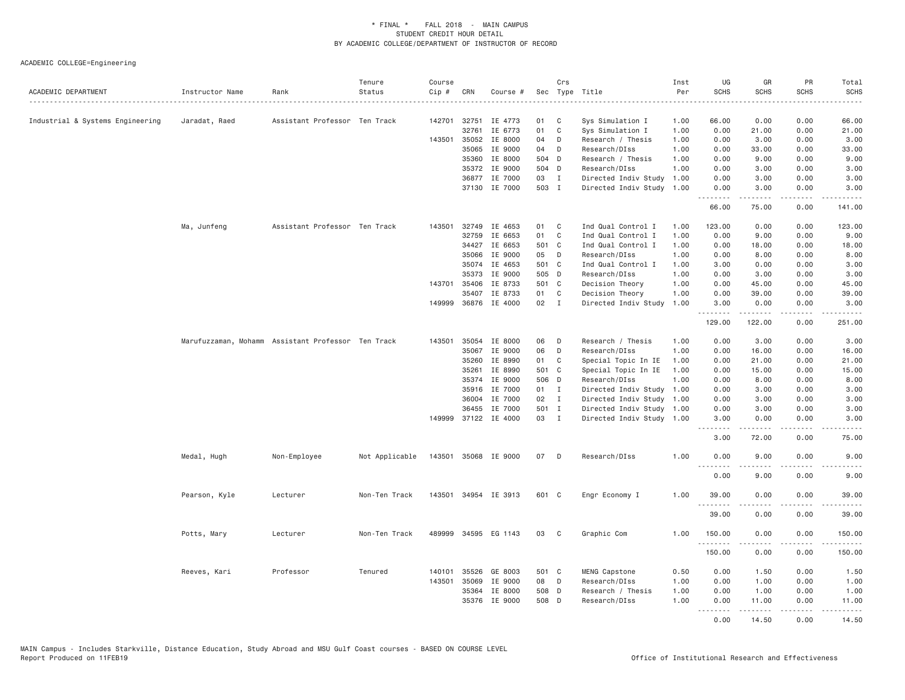| ACADEMIC DEPARTMENT              | Instructor Name                                    | Rank                          | Tenure<br>Status | Course<br>Cip # | CRN   | Course #             |       | Crs          | Sec Type Title            | Inst<br>Per | UG<br>SCHS        | GR<br><b>SCHS</b>   | PR<br><b>SCHS</b>              | Total<br><b>SCHS</b>                                                                                                                                          |
|----------------------------------|----------------------------------------------------|-------------------------------|------------------|-----------------|-------|----------------------|-------|--------------|---------------------------|-------------|-------------------|---------------------|--------------------------------|---------------------------------------------------------------------------------------------------------------------------------------------------------------|
| Industrial & Systems Engineering | Jaradat, Raed                                      | Assistant Professor Ten Track |                  | 142701          | 32751 | IE 4773              | 01    | C            | Sys Simulation I          | 1.00        | 66.00             | 0.00                | 0.00                           | 66.00                                                                                                                                                         |
|                                  |                                                    |                               |                  |                 | 32761 | IE 6773              | 01    | C            | Sys Simulation I          | 1.00        | 0.00              | 21.00               | 0.00                           | 21.00                                                                                                                                                         |
|                                  |                                                    |                               |                  | 143501          | 35052 | IE 8000              | 04    | D            | Research / Thesis         | 1.00        | 0.00              | 3.00                | 0.00                           | 3.00                                                                                                                                                          |
|                                  |                                                    |                               |                  |                 | 35065 | IE 9000              | 04    | D            | Research/DIss             | 1.00        | 0.00              | 33.00               | 0.00                           | 33.00                                                                                                                                                         |
|                                  |                                                    |                               |                  |                 |       | 35360 IE 8000        | 504 D |              | Research / Thesis         | 1.00        | 0.00              | 9.00                | 0.00                           | 9.00                                                                                                                                                          |
|                                  |                                                    |                               |                  |                 | 35372 | IE 9000              | 504 D |              | Research/DIss             | 1.00        | 0.00              | 3.00                | 0.00                           | 3.00                                                                                                                                                          |
|                                  |                                                    |                               |                  |                 |       | 36877 IE 7000        | 03    | $\mathbf{I}$ | Directed Indiv Study      | 1.00        | 0.00              | 3.00                | 0.00                           | 3.00                                                                                                                                                          |
|                                  |                                                    |                               |                  |                 |       | 37130 IE 7000        | 503 I |              | Directed Indiv Study 1.00 |             | 0.00<br>.         | 3,00<br>.           | 0.00<br>.                      | 3,00<br>.                                                                                                                                                     |
|                                  |                                                    |                               |                  |                 |       |                      |       |              |                           |             | 66.00             | 75.00               | 0.00                           | 141.00                                                                                                                                                        |
|                                  | Ma, Junfeng                                        | Assistant Professor Ten Track |                  | 143501          | 32749 | IE 4653              | 01    | C            | Ind Qual Control I        | 1.00        | 123,00            | 0.00                | 0.00                           | 123.00                                                                                                                                                        |
|                                  |                                                    |                               |                  |                 | 32759 | IE 6653              | 01    | C            | Ind Qual Control I        | 1.00        | 0.00              | 9.00                | 0.00                           | 9.00                                                                                                                                                          |
|                                  |                                                    |                               |                  |                 | 34427 | IE 6653              | 501 C |              | Ind Qual Control I        | 1.00        | 0.00              | 18.00               | 0.00                           | 18.00                                                                                                                                                         |
|                                  |                                                    |                               |                  |                 | 35066 | IE 9000              | 05    | D            | Research/DIss             | 1.00        | 0.00              | 8.00                | 0.00                           | 8.00                                                                                                                                                          |
|                                  |                                                    |                               |                  |                 | 35074 | IE 4653              | 501 C |              | Ind Qual Control I        | 1.00        | 3.00              | 0.00                | 0.00                           | 3.00                                                                                                                                                          |
|                                  |                                                    |                               |                  |                 | 35373 | IE 9000              | 505 D |              | Research/DIss             | 1.00        | 0.00              | 3.00                | 0.00                           | 3.00                                                                                                                                                          |
|                                  |                                                    |                               |                  | 143701          | 35406 | IE 8733              | 501 C |              | Decision Theory           | 1.00        | 0.00              | 45.00               | 0.00                           | 45.00                                                                                                                                                         |
|                                  |                                                    |                               |                  |                 | 35407 | IE 8733              | 01    | $\mathbf{C}$ | Decision Theory           | 1.00        | 0.00              | 39.00               | 0.00                           | 39.00                                                                                                                                                         |
|                                  |                                                    |                               |                  |                 |       | 149999 36876 IE 4000 | 02    | $\mathbf{I}$ | Directed Indiv Study      | 1.00        | 3.00<br>.         | 0.00<br>.           | 0.00<br>.                      | 3.00<br>.                                                                                                                                                     |
|                                  |                                                    |                               |                  |                 |       |                      |       |              |                           |             | 129.00            | 122.00              | 0.00                           | 251.00                                                                                                                                                        |
|                                  | Marufuzzaman, Mohamm Assistant Professor Ten Track |                               |                  | 143501          | 35054 | IE 8000              | 06    | D            | Research / Thesis         | 1.00        | 0.00              | 3.00                | 0.00                           | 3.00                                                                                                                                                          |
|                                  |                                                    |                               |                  |                 | 35067 | IE 9000              | 06    | D            | Research/DIss             | 1.00        | 0.00              | 16.00               | 0.00                           | 16.00                                                                                                                                                         |
|                                  |                                                    |                               |                  |                 | 35260 | IE 8990              | 01    | C            | Special Topic In IE       | 1.00        | 0.00              | 21.00               | 0.00                           | 21.00                                                                                                                                                         |
|                                  |                                                    |                               |                  |                 | 35261 | IE 8990              | 501 C |              | Special Topic In IE       | 1.00        | 0.00              | 15.00               | 0.00                           | 15.00                                                                                                                                                         |
|                                  |                                                    |                               |                  |                 | 35374 | IE 9000              | 506 D |              | Research/DIss             | 1.00        | 0.00              | 8.00                | 0.00                           | 8.00                                                                                                                                                          |
|                                  |                                                    |                               |                  |                 | 35916 | IE 7000              | 01 I  |              | Directed Indiv Study      | 1.00        | 0.00              | 3.00                | 0.00                           | 3.00                                                                                                                                                          |
|                                  |                                                    |                               |                  |                 | 36004 | IE 7000              | 02    | $\mathbf{I}$ | Directed Indiv Study 1.00 |             | 0.00              | 3.00                | 0.00                           | 3.00                                                                                                                                                          |
|                                  |                                                    |                               |                  |                 | 36455 | IE 7000              | 501 I |              | Directed Indiv Study 1.00 |             | 0.00              | 3.00                | 0.00                           | 3.00                                                                                                                                                          |
|                                  |                                                    |                               |                  | 149999          |       | 37122 IE 4000        | 03    | $\mathbf{I}$ | Directed Indiv Study 1.00 |             | 3.00<br><u>.</u>  | 0.00<br>.           | 0.00<br>$\frac{1}{2}$          | 3.00<br>.                                                                                                                                                     |
|                                  |                                                    |                               |                  |                 |       |                      |       |              |                           |             | 3.00              | 72.00               | 0.00                           | 75.00                                                                                                                                                         |
|                                  | Medal, Hugh                                        | Non-Employee                  | Not Applicable   |                 |       | 143501 35068 IE 9000 | 07 D  |              | Research/DIss             | 1.00        | 0.00<br>$- - -$   | 9.00                | 0.00                           | 9.00                                                                                                                                                          |
|                                  |                                                    |                               |                  |                 |       |                      |       |              |                           |             | 0.00              | 9.00                | 0.00                           | 9.00                                                                                                                                                          |
|                                  | Pearson, Kyle                                      | Lecturer                      | Non-Ten Track    |                 |       | 143501 34954 IE 3913 | 601 C |              | Engr Economy I            | 1.00        | 39.00             | 0.00                | 0.00                           | 39.00                                                                                                                                                         |
|                                  |                                                    |                               |                  |                 |       |                      |       |              |                           |             | <u>.</u><br>39.00 | 0.00                | $- - - -$<br>0.00              | $- - - - -$<br>39.00                                                                                                                                          |
|                                  | Potts, Mary                                        | Lecturer                      | Non-Ten Track    |                 |       | 489999 34595 EG 1143 | 03    | C            | Graphic Com               | 1.00        | 150.00            | 0.00                | 0.00                           | 150.00                                                                                                                                                        |
|                                  |                                                    |                               |                  |                 |       |                      |       |              |                           |             | .                 | $- - - - -$<br>0.00 | .<br>0.00                      | $- - - - - - -$                                                                                                                                               |
|                                  |                                                    |                               |                  |                 |       |                      |       |              |                           |             | 150.00            |                     |                                | 150.00                                                                                                                                                        |
|                                  | Reeves, Kari                                       | Professor                     | Tenured          | 140101          | 35526 | GE 8003              | 501 C |              | MENG Capstone             | 0.50        | 0.00              | 1.50                | 0.00                           | 1.50                                                                                                                                                          |
|                                  |                                                    |                               |                  | 143501          | 35069 | IE 9000              | 08    | D            | Research/DIss             | 1.00        | 0.00              | 1.00                | 0.00                           | 1.00                                                                                                                                                          |
|                                  |                                                    |                               |                  |                 | 35364 | IE 8000              | 508 D |              | Research / Thesis         | 1.00        | 0.00              | 1.00                | 0.00                           | 1.00                                                                                                                                                          |
|                                  |                                                    |                               |                  |                 |       | 35376 IE 9000        | 508 D |              | Research/DIss             | 1.00        | 0.00              | 11.00<br>المتمالين  | 0.00<br>$\omega$ is a $\omega$ | 11.00<br>$\frac{1}{2} \left( \frac{1}{2} \right) \left( \frac{1}{2} \right) \left( \frac{1}{2} \right) \left( \frac{1}{2} \right) \left( \frac{1}{2} \right)$ |
|                                  |                                                    |                               |                  |                 |       |                      |       |              |                           |             | .<br>0.00         | 14.50               | 0.00                           | 14.50                                                                                                                                                         |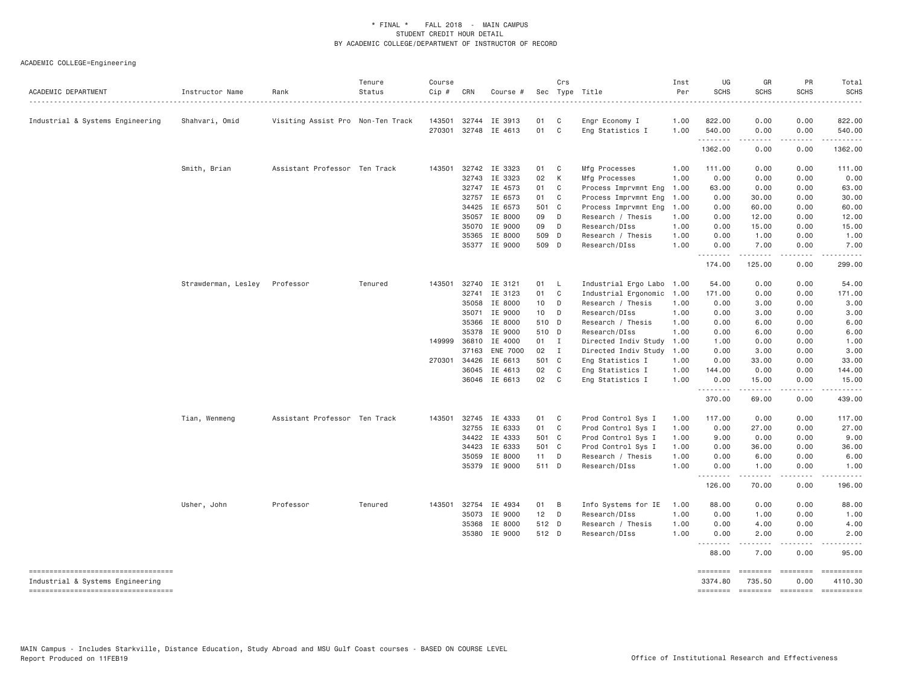| ACADEMIC DEPARTMENT                                                    | Instructor Name     | Rank                              | Tenure<br>Status | Course<br>Cip # | CRN          | Course #             |        | Crs          | Sec Type Title            | Inst<br>Per | UG<br><b>SCHS</b>          | GR<br>SCHS                 | PR<br><b>SCHS</b>     | Total<br><b>SCHS</b>                                                                                                                |
|------------------------------------------------------------------------|---------------------|-----------------------------------|------------------|-----------------|--------------|----------------------|--------|--------------|---------------------------|-------------|----------------------------|----------------------------|-----------------------|-------------------------------------------------------------------------------------------------------------------------------------|
| Industrial & Systems Engineering                                       | Shahvari, Omid      | Visiting Assist Pro Non-Ten Track |                  | 143501          | 32744        | IE 3913              | 01     | $\mathbf{C}$ | Engr Economy I            | 1.00        | 822.00                     | 0.00                       | 0.00                  | 822.00                                                                                                                              |
|                                                                        |                     |                                   |                  | 270301          | 32748        | IE 4613              | 01     | $\mathbf{C}$ | Eng Statistics I          | 1.00        | 540.00                     | 0.00                       | 0.00                  | 540.00                                                                                                                              |
|                                                                        |                     |                                   |                  |                 |              |                      |        |              |                           |             | 1362.00                    | 0.00                       | 0.00                  | 1362.00                                                                                                                             |
|                                                                        | Smith, Brian        | Assistant Professor Ten Track     |                  |                 | 143501 32742 | IE 3323              | 01     | $\mathbf{C}$ | Mfg Processes             | 1.00        | 111.00                     | 0.00                       | 0.00                  | 111.00                                                                                                                              |
|                                                                        |                     |                                   |                  |                 | 32743        | IE 3323              | 02     | K            | Mfg Processes             | 1.00        | 0.00                       | 0.00                       | 0.00                  | 0.00                                                                                                                                |
|                                                                        |                     |                                   |                  |                 | 32747        | IE 4573              | 01     | $\mathbf C$  | Process Imprvmnt Eng      | 1.00        | 63.00                      | 0.00                       | 0.00                  | 63.00                                                                                                                               |
|                                                                        |                     |                                   |                  |                 | 32757        | IE 6573              | 01     | $\mathbf{C}$ | Process Imprvmnt Eng      | 1.00        | 0.00                       | 30.00                      | 0.00                  | 30.00                                                                                                                               |
|                                                                        |                     |                                   |                  |                 | 34425        | IE 6573              | 501 C  |              | Process Imprvmnt Eng      | 1.00        | 0.00                       | 60.00                      | 0.00                  | 60.00                                                                                                                               |
|                                                                        |                     |                                   |                  |                 | 35057        | IE 8000              | 09     | D            | Research / Thesis         | 1.00        | 0.00                       | 12.00                      | 0.00                  | 12.00                                                                                                                               |
|                                                                        |                     |                                   |                  |                 | 35070        | IE 9000              | 09     | $\Box$       | Research/DIss             | 1.00        | 0.00                       | 15.00                      | 0.00                  | 15.00                                                                                                                               |
|                                                                        |                     |                                   |                  |                 | 35365        | IE 8000              | 509 D  |              | Research / Thesis         | 1.00        | 0.00                       | 1.00                       | 0.00                  | 1.00                                                                                                                                |
|                                                                        |                     |                                   |                  |                 |              | 35377 IE 9000        | 509 D  |              | Research/DIss             | 1.00        | 0.00<br>.                  | 7.00<br>.                  | 0.00<br>.             | 7.00<br>.                                                                                                                           |
|                                                                        |                     |                                   |                  |                 |              |                      |        |              |                           |             | 174.00                     | 125.00                     | 0.00                  | 299.00                                                                                                                              |
|                                                                        | Strawderman, Lesley | Professor                         | Tenured          | 143501          | 32740        | IE 3121              | 01     | - L          | Industrial Ergo Labo 1.00 |             | 54.00                      | 0.00                       | 0.00                  | 54.00                                                                                                                               |
|                                                                        |                     |                                   |                  |                 | 32741        | IE 3123              | 01     | $\mathbf{C}$ | Industrial Ergonomic      | 1.00        | 171.00                     | 0.00                       | 0.00                  | 171.00                                                                                                                              |
|                                                                        |                     |                                   |                  |                 | 35058        | IE 8000              | 10 D   |              | Research / Thesis         | 1.00        | 0.00                       | 3.00                       | 0.00                  | 3.00                                                                                                                                |
|                                                                        |                     |                                   |                  |                 | 35071        | IE 9000              | 10 D   |              | Research/DIss             | 1.00        | 0.00                       | 3.00                       | 0.00                  | 3.00                                                                                                                                |
|                                                                        |                     |                                   |                  |                 | 35366        | IE 8000              | 510 D  |              | Research / Thesis         | 1.00        | 0.00                       | 6.00                       | 0.00                  | 6.00                                                                                                                                |
|                                                                        |                     |                                   |                  |                 | 35378        | IE 9000              | 510 D  |              | Research/DIss             | 1.00        | 0.00                       | 6.00                       | 0.00                  | 6.00                                                                                                                                |
|                                                                        |                     |                                   |                  | 149999          | 36810        | IE 4000              | 01 I   |              | Directed Indiv Study      | 1.00        | 1.00                       | 0.00                       | 0.00                  | 1.00                                                                                                                                |
|                                                                        |                     |                                   |                  |                 | 37163        | <b>ENE 7000</b>      | 02 I   |              | Directed Indiv Study      | 1.00        | 0.00                       | 3.00                       | 0.00                  | 3.00                                                                                                                                |
|                                                                        |                     |                                   |                  |                 | 270301 34426 | IE 6613              | 501 C  |              | Eng Statistics I          | 1.00        | 0.00                       | 33.00                      | 0.00                  | 33.00                                                                                                                               |
|                                                                        |                     |                                   |                  |                 | 36045        | IE 4613              | 02     | C            | Eng Statistics I          | 1.00        | 144.00                     | 0.00                       | 0.00                  | 144.00                                                                                                                              |
|                                                                        |                     |                                   |                  |                 | 36046        | IE 6613              | 02 C   |              | Eng Statistics I          | 1.00        | 0.00<br>.                  | 15.00<br>$- - - - - -$     | 0.00<br>.             | 15.00<br>.                                                                                                                          |
|                                                                        |                     |                                   |                  |                 |              |                      |        |              |                           |             | 370.00                     | 69.00                      | 0.00                  | 439.00                                                                                                                              |
|                                                                        | Tian, Wenmeng       | Assistant Professor Ten Track     |                  |                 | 143501 32745 | IE 4333              | 01     | $\mathbf{C}$ | Prod Control Sys I        | 1.00        | 117.00                     | 0.00                       | 0.00                  | 117.00                                                                                                                              |
|                                                                        |                     |                                   |                  |                 | 32755        | IE 6333              | 01 C   |              | Prod Control Sys I        | 1.00        | 0.00                       | 27.00                      | 0.00                  | 27.00                                                                                                                               |
|                                                                        |                     |                                   |                  |                 | 34422        | IE 4333              | 501 C  |              | Prod Control Sys I        | 1.00        | 9.00                       | 0.00                       | 0.00                  | 9.00                                                                                                                                |
|                                                                        |                     |                                   |                  |                 | 34423        | IE 6333              | 501 C  |              | Prod Control Sys I        | 1.00        | 0.00                       | 36.00                      | 0.00                  | 36.00                                                                                                                               |
|                                                                        |                     |                                   |                  |                 | 35059        | IE 8000              | 11 D   |              | Research / Thesis         | 1.00        | 0.00                       | 6.00                       | 0.00                  | 6.00                                                                                                                                |
|                                                                        |                     |                                   |                  |                 | 35379        | IE 9000              | 511 D  |              | Research/DIss             | 1.00        | 0.00                       | 1.00                       | 0.00                  | 1.00                                                                                                                                |
|                                                                        |                     |                                   |                  |                 |              |                      |        |              |                           |             | <u>.</u><br>126.00         | .<br>70.00                 | .<br>0.00             | $\begin{array}{cccccccccccccc} \bullet & \bullet & \bullet & \bullet & \bullet & \bullet & \bullet & \bullet \end{array}$<br>196.00 |
|                                                                        | Usher, John         | Professor                         | Tenured          |                 |              | 143501 32754 IE 4934 | 01 B   |              | Info Systems for IE       | 1.00        | 88.00                      | 0.00                       | 0.00                  | 88.00                                                                                                                               |
|                                                                        |                     |                                   |                  |                 | 35073        | IE 9000              | $12$ D |              | Research/DIss             | 1.00        | 0.00                       | 1.00                       | 0.00                  | 1.00                                                                                                                                |
|                                                                        |                     |                                   |                  |                 | 35368        | IE 8000              | 512 D  |              | Research / Thesis         | 1.00        | 0.00                       | 4.00                       | 0.00                  | 4.00                                                                                                                                |
|                                                                        |                     |                                   |                  |                 | 35380        | IE 9000              | 512 D  |              | Research/DIss             | 1.00        | 0.00                       | 2.00                       | 0.00                  | 2.00                                                                                                                                |
|                                                                        |                     |                                   |                  |                 |              |                      |        |              |                           |             | 88.00                      | .<br>7.00                  | $   -$<br>0.00        | $- - - - -$<br>95.00                                                                                                                |
| ----------------------------------                                     |                     |                                   |                  |                 |              |                      |        |              |                           |             | ========                   | ========                   | $=$ =======           | ==========                                                                                                                          |
| Industrial & Systems Engineering<br>---------------------------------- |                     |                                   |                  |                 |              |                      |        |              |                           |             | 3374.80<br><b>SEBSEBED</b> | 735.50<br><b>COOPERDER</b> | 0.00<br>$= 222222222$ | 4110.30                                                                                                                             |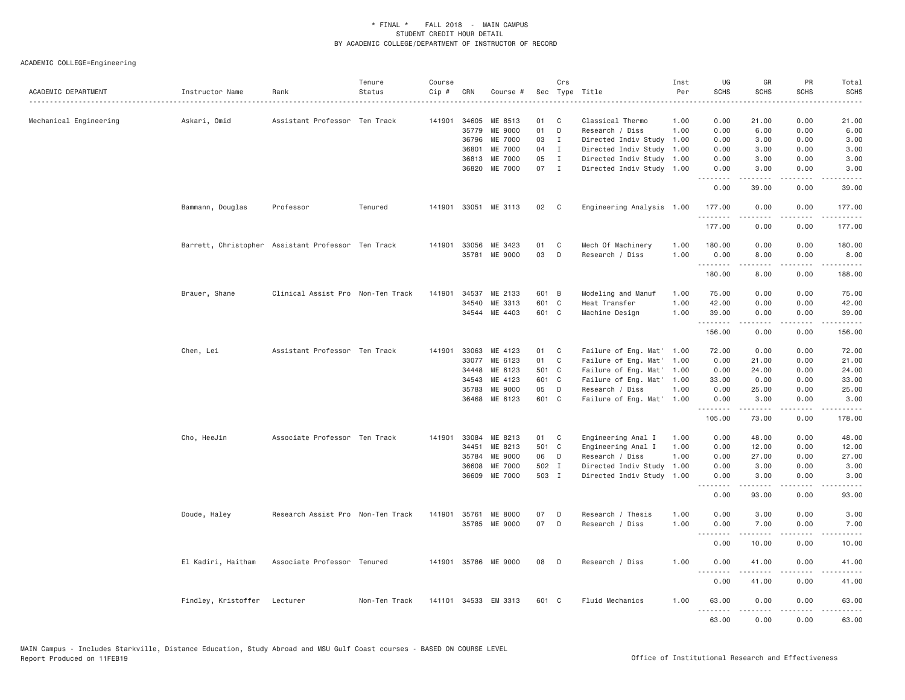| ACADEMIC DEPARTMENT    | Instructor Name                                    | Rank                              | Tenure<br>Status | Course<br>$Cip \#$ | CRN          | Course #             |       | Crs          | Sec Type Title            | Inst<br>Per | UG<br><b>SCHS</b> | GR<br><b>SCHS</b>                                                                                                                                                                       | PR<br><b>SCHS</b> | Total<br><b>SCHS</b> |
|------------------------|----------------------------------------------------|-----------------------------------|------------------|--------------------|--------------|----------------------|-------|--------------|---------------------------|-------------|-------------------|-----------------------------------------------------------------------------------------------------------------------------------------------------------------------------------------|-------------------|----------------------|
| Mechanical Engineering | Askari, Omid                                       | Assistant Professor Ten Track     |                  | 141901             | 34605        | ME 8513              | 01    | C            | Classical Thermo          | 1.00        | 0.00              | 21.00                                                                                                                                                                                   | 0.00              | 21.00                |
|                        |                                                    |                                   |                  |                    | 35779        | ME 9000              | 01    | D            | Research / Diss           | 1.00        | 0.00              | 6.00                                                                                                                                                                                    | 0.00              | 6.00                 |
|                        |                                                    |                                   |                  |                    | 36796        | ME 7000              | 03    | $\mathbf{I}$ | Directed Indiv Study      | 1.00        | 0.00              | 3.00                                                                                                                                                                                    | 0.00              | 3.00                 |
|                        |                                                    |                                   |                  |                    | 36801        | ME 7000              | 04    | $\mathbf{I}$ | Directed Indiv Study 1.00 |             | 0.00              | 3.00                                                                                                                                                                                    | 0.00              | 3.00                 |
|                        |                                                    |                                   |                  |                    | 36813        | ME 7000              | 05    | $\mathbf{I}$ | Directed Indiv Study 1.00 |             | 0.00              | 3.00                                                                                                                                                                                    | 0.00              | 3.00                 |
|                        |                                                    |                                   |                  |                    |              | 36820 ME 7000        | 07    | $\mathbf{I}$ | Directed Indiv Study 1.00 |             | 0.00<br>.         | 3.00<br>.                                                                                                                                                                               | 0.00<br>.         | 3.00<br>.            |
|                        |                                                    |                                   |                  |                    |              |                      |       |              |                           |             | 0.00              | 39.00                                                                                                                                                                                   | 0.00              | 39.00                |
|                        | Bammann, Douglas                                   | Professor                         | Tenured          | 141901             | 33051        | ME 3113              | 02    | C            | Engineering Analysis 1.00 |             | 177.00            | 0.00                                                                                                                                                                                    | 0.00<br>$- - - -$ | 177.00<br>2.2.2.2.2. |
|                        |                                                    |                                   |                  |                    |              |                      |       |              |                           |             | 177.00            | 0.00                                                                                                                                                                                    | 0.00              | 177.00               |
|                        | Barrett, Christopher Assistant Professor Ten Track |                                   |                  |                    | 141901 33056 | ME 3423              | 01    | C            | Mech Of Machinery         | 1.00        | 180.00            | 0.00                                                                                                                                                                                    | 0.00              | 180.00               |
|                        |                                                    |                                   |                  |                    |              | 35781 ME 9000        | 03    | D            | Research / Diss           | 1.00        | 0.00<br><u>.</u>  | 8.00                                                                                                                                                                                    | 0.00<br>.         | 8.00<br>.            |
|                        |                                                    |                                   |                  |                    |              |                      |       |              |                           |             | 180.00            | 8.00                                                                                                                                                                                    | 0.00              | 188.00               |
|                        | Brauer, Shane                                      | Clinical Assist Pro Non-Ten Track |                  | 141901             | 34537        | ME 2133              | 601 B |              | Modeling and Manuf        | 1.00        | 75.00             | 0.00                                                                                                                                                                                    | 0.00              | 75.00                |
|                        |                                                    |                                   |                  |                    | 34540        | ME 3313              | 601 C |              | Heat Transfer             | 1.00        | 42.00             | 0.00                                                                                                                                                                                    | 0.00              | 42.00                |
|                        |                                                    |                                   |                  |                    |              | 34544 ME 4403        | 601 C |              | Machine Design            | 1.00        | 39.00<br>.        | 0.00<br>.                                                                                                                                                                               | 0.00<br>.         | 39.00<br>.           |
|                        |                                                    |                                   |                  |                    |              |                      |       |              |                           |             | 156.00            | 0.00                                                                                                                                                                                    | 0.00              | 156.00               |
|                        | Chen, Lei                                          | Assistant Professor Ten Track     |                  |                    |              | 141901 33063 ME 4123 | 01    | C            | Failure of Eng. Mat' 1.00 |             | 72.00             | 0.00                                                                                                                                                                                    | 0.00              | 72.00                |
|                        |                                                    |                                   |                  |                    | 33077        | ME 6123              | 01    | C            | Failure of Eng. Mat'      | 1.00        | 0.00              | 21.00                                                                                                                                                                                   | 0.00              | 21.00                |
|                        |                                                    |                                   |                  |                    | 34448        | ME 6123              | 501 C |              | Failure of Eng. Mat'      | 1.00        | 0.00              | 24.00                                                                                                                                                                                   | 0.00              | 24.00                |
|                        |                                                    |                                   |                  |                    | 34543        | ME 4123              | 601 C |              | Failure of Eng. Mat'      | 1.00        | 33.00             | 0.00                                                                                                                                                                                    | 0.00              | 33.00                |
|                        |                                                    |                                   |                  |                    | 35783        | ME 9000              | 05    | D            | Research / Diss           | 1.00        | 0.00              | 25.00                                                                                                                                                                                   | 0.00              | 25.00                |
|                        |                                                    |                                   |                  |                    | 36468        | ME 6123              | 601 C |              | Failure of Eng. Mat'      | 1.00        | 0.00              | 3.00<br>$\frac{1}{2} \left( \frac{1}{2} \right) \left( \frac{1}{2} \right) \left( \frac{1}{2} \right) \left( \frac{1}{2} \right) \left( \frac{1}{2} \right) \left( \frac{1}{2} \right)$ | 0.00<br>.         | 3.00<br>.            |
|                        |                                                    |                                   |                  |                    |              |                      |       |              |                           |             | 105.00            | 73.00                                                                                                                                                                                   | 0.00              | 178.00               |
|                        | Cho, HeeJin                                        | Associate Professor Ten Track     |                  | 141901             | 33084        | ME 8213              | 01    | C            | Engineering Anal I        | 1.00        | 0.00              | 48.00                                                                                                                                                                                   | 0.00              | 48.00                |
|                        |                                                    |                                   |                  |                    | 34451        | ME 8213              | 501 C |              | Engineering Anal I        | 1.00        | 0.00              | 12.00                                                                                                                                                                                   | 0.00              | 12.00                |
|                        |                                                    |                                   |                  |                    | 35784        | ME 9000              | 06    | D            | Research / Diss           | 1.00        | 0.00              | 27.00                                                                                                                                                                                   | 0.00              | 27.00                |
|                        |                                                    |                                   |                  |                    | 36608        | ME 7000              | 502 I |              | Directed Indiv Study      | 1.00        | 0.00              | 3.00                                                                                                                                                                                    | 0.00              | 3.00                 |
|                        |                                                    |                                   |                  |                    |              | 36609 ME 7000        | 503 I |              | Directed Indiv Study 1.00 |             | 0.00<br><u>.</u>  | 3.00<br>.                                                                                                                                                                               | 0.00<br>.         | 3.00<br>.            |
|                        |                                                    |                                   |                  |                    |              |                      |       |              |                           |             | 0.00              | 93.00                                                                                                                                                                                   | 0.00              | 93.00                |
|                        | Doude, Haley                                       | Research Assist Pro Non-Ten Track |                  | 141901             | 35761        | ME 8000              | 07    | D            | Research / Thesis         | 1.00        | 0.00              | 3.00                                                                                                                                                                                    | 0.00              | 3.00                 |
|                        |                                                    |                                   |                  |                    |              | 35785 ME 9000        | 07    | D            | Research / Diss           | 1.00        | 0.00<br>.         | 7.00<br>.                                                                                                                                                                               | 0.00<br>.         | 7.00<br>.            |
|                        |                                                    |                                   |                  |                    |              |                      |       |              |                           |             | 0.00              | 10.00                                                                                                                                                                                   | 0.00              | 10.00                |
|                        | El Kadiri, Haitham                                 | Associate Professor Tenured       |                  |                    |              | 141901 35786 ME 9000 | 08    | D            | Research / Diss           | 1.00        | 0.00<br><u>.</u>  | 41.00<br>.                                                                                                                                                                              | 0.00<br>.         | 41.00<br>.           |
|                        |                                                    |                                   |                  |                    |              |                      |       |              |                           |             | 0.00              | 41.00                                                                                                                                                                                   | 0.00              | 41.00                |
|                        | Findley, Kristoffer                                | Lecturer                          | Non-Ten Track    |                    |              | 141101 34533 EM 3313 | 601 C |              | Fluid Mechanics           | 1.00        | 63,00<br><u>.</u> | 0.00<br>-----                                                                                                                                                                           | 0.00<br>.         | 63,00<br>.           |
|                        |                                                    |                                   |                  |                    |              |                      |       |              |                           |             | 63.00             | 0.00                                                                                                                                                                                    | 0.00              | 63.00                |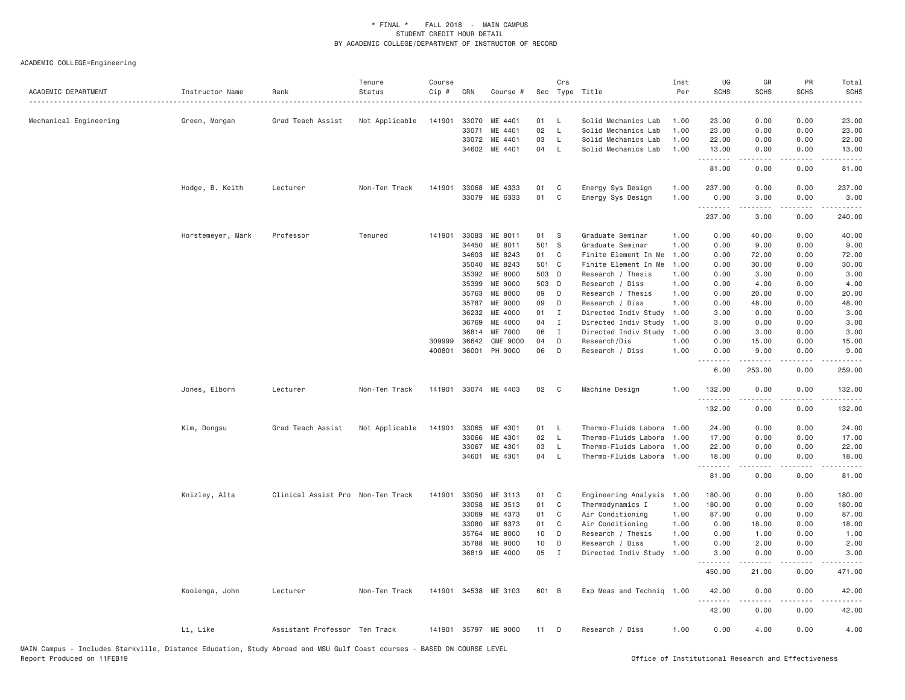| ACADEMIC DEPARTMENT    | Instructor Name   | Rank                              | Tenure<br>Status | Course<br>Cip #  | CRN            | Course #             |          | Crs          | Sec Type Title                  | Inst<br>Per  | UG<br><b>SCHS</b> | GR<br><b>SCHS</b> | PR<br><b>SCHS</b>     | Total<br><b>SCHS</b><br>$\omega$ is $\omega$ in |
|------------------------|-------------------|-----------------------------------|------------------|------------------|----------------|----------------------|----------|--------------|---------------------------------|--------------|-------------------|-------------------|-----------------------|-------------------------------------------------|
| Mechanical Engineering | Green, Morgan     | Grad Teach Assist                 | Not Applicable   | 141901           | 33070          | ME 4401              | 01       | <b>L</b>     | Solid Mechanics Lab             | 1.00         | 23.00             | 0.00              | 0.00                  | 23.00                                           |
|                        |                   |                                   |                  |                  | 33071          | ME 4401              | 02       | $\mathsf{L}$ | Solid Mechanics Lab             | 1.00         | 23.00             | 0.00              | 0.00                  | 23.00                                           |
|                        |                   |                                   |                  |                  | 33072          | ME 4401              | 03       | $\mathsf{L}$ | Solid Mechanics Lab             | 1.00         | 22.00             | 0.00              | 0.00                  | 22.00                                           |
|                        |                   |                                   |                  |                  | 34602          | ME 4401              | 04       | L            | Solid Mechanics Lab             | 1.00         | 13.00             | 0.00              | 0.00                  | 13.00                                           |
|                        |                   |                                   |                  |                  |                |                      |          |              |                                 |              | .<br>81.00        | .<br>0.00         | $\frac{1}{2}$<br>0.00 | .<br>81.00                                      |
|                        | Hodge, B. Keith   | Lecturer                          | Non-Ten Track    | 141901           | 33068          | ME 4333              | 01       | C            | Energy Sys Design               | 1.00         | 237.00            | 0.00              | 0.00                  | 237.00                                          |
|                        |                   |                                   |                  |                  | 33079          | ME 6333              | 01       | C            | Energy Sys Design               | 1.00         | 0.00<br>.         | 3.00<br>.         | 0.00                  | 3.00                                            |
|                        |                   |                                   |                  |                  |                |                      |          |              |                                 |              | 237.00            | 3,00              | 0.00                  | 240.00                                          |
|                        | Horstemeyer, Mark | Professor                         | Tenured          | 141901           | 33083          | ME 8011              | 01       | S            | Graduate Seminar                | 1.00         | 0.00              | 40.00             | 0.00                  | 40.00                                           |
|                        |                   |                                   |                  |                  | 34450          | ME 8011              | 501 S    |              | Graduate Seminar                | 1.00         | 0.00              | 9.00              | 0.00                  | 9.00                                            |
|                        |                   |                                   |                  |                  | 34603          | ME 8243              | 01       | C            | Finite Element In Me            | 1.00         | 0.00              | 72.00             | 0.00                  | 72.00                                           |
|                        |                   |                                   |                  |                  | 35040          | ME 8243              | 501 C    |              | Finite Element In Me            | 1.00         | 0.00              | 30.00             | 0.00                  | 30.00                                           |
|                        |                   |                                   |                  |                  | 35392          | ME 8000              | 503      | D            | Research / Thesis               | 1.00         | 0.00              | 3.00              | 0.00                  | 3.00                                            |
|                        |                   |                                   |                  |                  | 35399          | ME 9000              | 503 D    |              | Research / Diss                 | 1.00         | 0.00              | 4.00              | 0.00                  | 4.00                                            |
|                        |                   |                                   |                  |                  | 35763          | ME 8000              | 09       | D            | Research / Thesis               | 1,00         | 0.00              | 20.00             | 0.00                  | 20.00                                           |
|                        |                   |                                   |                  |                  | 35787          | <b>ME 9000</b>       | 09       | D            | Research / Diss                 | 1,00         | 0.00              | 48.00             | 0.00                  | 48.00                                           |
|                        |                   |                                   |                  |                  | 36232          | ME 4000              | 01       | Ι.           | Directed Indiv Study            | 1.00         | 3.00              | 0.00              | 0.00                  | 3.00                                            |
|                        |                   |                                   |                  |                  | 36769<br>36814 | ME 4000<br>ME 7000   | 04<br>06 | $\mathbf I$  | Directed Indiv Study            | 1.00<br>1.00 | 3.00              | 0.00<br>3.00      | 0.00<br>0.00          | 3.00                                            |
|                        |                   |                                   |                  |                  | 36642          | <b>CME 9000</b>      | 04       | I<br>D       | Directed Indiv Study            | 1.00         | 0.00<br>0.00      |                   | 0.00                  | 3.00                                            |
|                        |                   |                                   |                  | 309999<br>400801 | 36001          | PH 9000              | 06       | D            | Research/Dis<br>Research / Diss | 1.00         | 0.00              | 15.00<br>9.00     | 0.00                  | 15.00<br>9.00                                   |
|                        |                   |                                   |                  |                  |                |                      |          |              |                                 |              | .<br>6.00         | .<br>253.00       | .<br>0.00             | .<br>259.00                                     |
|                        | Jones, Elborn     | Lecturer                          | Non-Ten Track    | 141901           |                | 33074 ME 4403        | 02       | C            | Machine Design                  | 1,00         | 132.00<br>.       | 0.00              | 0.00<br>.             | 132.00<br>$\omega$ is a set of                  |
|                        |                   |                                   |                  |                  |                |                      |          |              |                                 |              | 132.00            | 0.00              | 0.00                  | 132.00                                          |
|                        | Kim, Dongsu       | Grad Teach Assist                 | Not Applicable   | 141901           | 33065          | ME 4301              | 01       | L            | Thermo-Fluids Labora            | 1.00         | 24.00             | 0.00              | 0.00                  | 24.00                                           |
|                        |                   |                                   |                  |                  | 33066          | ME 4301              | 02       | L            | Thermo-Fluids Labora            | 1.00         | 17.00             | 0.00              | 0.00                  | 17.00                                           |
|                        |                   |                                   |                  |                  | 33067          | ME 4301              | 03       | L            | Thermo-Fluids Labora            | 1.00         | 22.00             | 0.00              | 0.00                  | 22.00                                           |
|                        |                   |                                   |                  |                  | 34601          | ME 4301              | 04       | $\mathsf{L}$ | Thermo-Fluids Labora            | 1.00         | 18.00             | 0.00              | 0.00                  | 18.00                                           |
|                        |                   |                                   |                  |                  |                |                      |          |              |                                 |              | .<br>81.00        | .<br>0.00         | .<br>0.00             | .<br>81.00                                      |
|                        | Knizley, Alta     | Clinical Assist Pro Non-Ten Track |                  | 141901           | 33050          | ME 3113              | 01       | C            | Engineering Analysis            | 1.00         | 180.00            | 0.00              | 0.00                  | 180.00                                          |
|                        |                   |                                   |                  |                  | 33058          | ME 3513              | 01       | C            | Thermodynamics I                | 1.00         | 180.00            | 0.00              | 0.00                  | 180.00                                          |
|                        |                   |                                   |                  |                  | 33069          | ME 4373              | 01       | C            | Air Conditioning                | 1.00         | 87.00             | 0.00              | 0.00                  | 87.00                                           |
|                        |                   |                                   |                  |                  | 33080          | ME 6373              | 01       | C            | Air Conditioning                | 1.00         | 0.00              | 18.00             | 0.00                  | 18.00                                           |
|                        |                   |                                   |                  |                  | 35764          | ME 8000              | 10       | D            | Research / Thesis               | 1.00         | 0.00              | 1.00              | 0.00                  | 1.00                                            |
|                        |                   |                                   |                  |                  | 35788          | <b>ME 9000</b>       | 10       | D            | Research / Diss                 | 1.00         | 0.00              | 2.00              | 0.00                  | 2.00                                            |
|                        |                   |                                   |                  |                  | 36819          | ME 4000              | 05       | I            | Directed Indiv Study            | 1.00         | 3.00              | 0.00              | 0.00                  | 3.00                                            |
|                        |                   |                                   |                  |                  |                |                      |          |              |                                 |              | 450.00            | 21.00             | 0.00                  | 471.00                                          |
|                        | Kooienga, John    | Lecturer                          | Non-Ten Track    |                  |                | 141901 34538 ME 3103 | 601 B    |              | Exp Meas and Techniq 1.00       |              | 42.00<br>.        | 0.00<br>-----     | 0.00<br>.             | 42.00                                           |
|                        |                   |                                   |                  |                  |                |                      |          |              |                                 |              | 42.00             | 0.00              | 0.00                  | 42.00                                           |
|                        | Li, Like          | Assistant Professor Ten Track     |                  |                  |                | 141901 35797 ME 9000 | 11       | D            | Research / Diss                 | 1.00         | 0.00              | 4.00              | 0.00                  | 4.00                                            |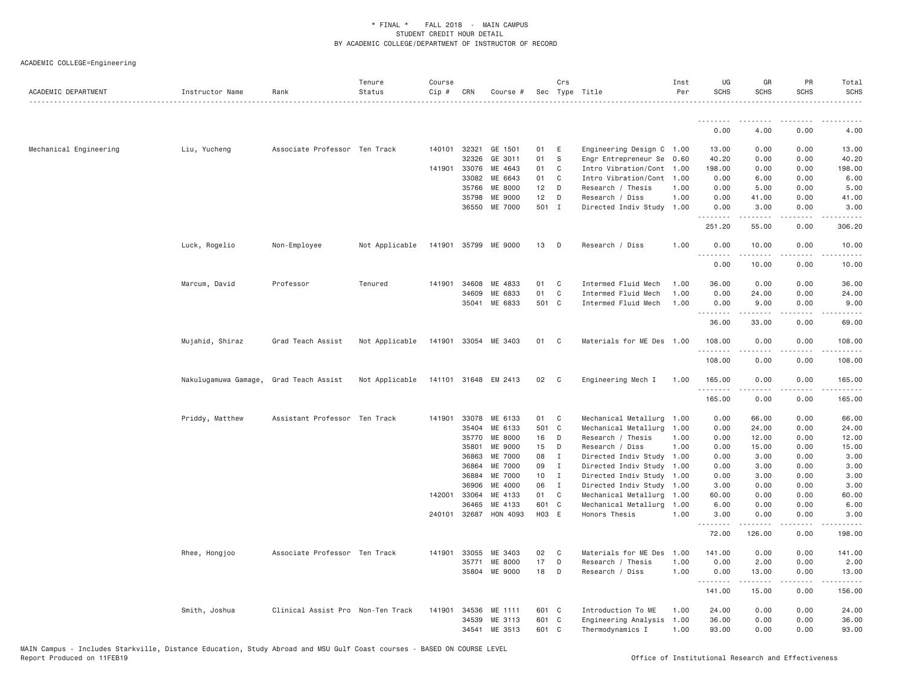| ACADEMIC DEPARTMENT    | Instructor Name      | Rank                              | Tenure<br>Status | Course<br>Cip # | CRN                   | Course #             |                | Crs            | Sec Type Title                        | Inst<br>Per  | UG<br><b>SCHS</b> | GR<br>SCHS   | PR<br><b>SCHS</b> | Total<br><b>SCHS</b> |
|------------------------|----------------------|-----------------------------------|------------------|-----------------|-----------------------|----------------------|----------------|----------------|---------------------------------------|--------------|-------------------|--------------|-------------------|----------------------|
|                        |                      |                                   |                  |                 |                       |                      |                |                |                                       |              | .                 |              |                   |                      |
|                        |                      |                                   |                  |                 |                       |                      |                |                |                                       |              | 0.00              | 4.00         | 0.00              | 4.00                 |
| Mechanical Engineering | Liu, Yucheng         | Associate Professor Ten Track     |                  |                 | 140101 32321          | GE 1501              | 01             | E              | Engineering Design C 1.00             |              | 13.00             | 0.00         | 0.00              | 13.00                |
|                        |                      |                                   |                  |                 | 32326                 | GE 3011              | 01             | S.             | Engr Entrepreneur Se 0.60             |              | 40.20             | 0.00         | 0.00              | 40.20                |
|                        |                      |                                   |                  |                 | 141901 33076          | ME 4643              | 01             | $\mathbf{C}$   | Intro Vibration/Cont 1.00             |              | 198.00            | 0.00         | 0.00              | 198.00               |
|                        |                      |                                   |                  |                 | 33082                 | ME 6643              | 01             | $\mathbf{C}$   | Intro Vibration/Cont 1.00             |              | 0.00              | 6.00         | 0.00              | 6.00                 |
|                        |                      |                                   |                  |                 | 35766                 | ME 8000              | 12             | D              | Research / Thesis                     | 1.00         | 0.00              | 5.00         | 0.00              | 5.00                 |
|                        |                      |                                   |                  |                 | 35798                 | ME 9000              | 12             | D              | Research / Diss                       | 1.00         | 0.00              | 41.00        | 0.00              | 41.00                |
|                        |                      |                                   |                  |                 | 36550                 | ME 7000              | 501 I          |                | Directed Indiv Study 1.00             |              | 0.00<br>.         | 3.00<br>.    | 0.00<br>.         | 3.00<br>.            |
|                        |                      |                                   |                  |                 |                       |                      |                |                |                                       |              | 251.20            | 55.00        | 0.00              | 306.20               |
|                        | Luck, Rogelio        | Non-Employee                      | Not Applicable   | 141901          | 35799                 | ME 9000              | 13             | $\Box$         | Research / Diss                       | 1.00         | 0.00<br>.         | 10.00<br>.   | 0.00<br>.         | 10.00<br>.           |
|                        |                      |                                   |                  |                 |                       |                      |                |                |                                       |              | 0.00              | 10.00        | 0.00              | 10.00                |
|                        | Marcum, David        | Professor                         | Tenured          | 141901          | 34608                 | ME 4833              | 01             | C              | Intermed Fluid Mech                   | 1.00         | 36.00             | 0.00         | 0.00              | 36.00                |
|                        |                      |                                   |                  |                 | 34609                 | ME 6833              | 01             | C              | Intermed Fluid Mech                   | 1.00         | 0.00              | 24.00        | 0.00              | 24.00                |
|                        |                      |                                   |                  |                 | 35041                 | ME 6833              | 501 C          |                | Intermed Fluid Mech                   | 1.00         | 0.00<br>.         | 9.00<br>.    | 0.00<br>.         | 9.00<br>.            |
|                        |                      |                                   |                  |                 |                       |                      |                |                |                                       |              | 36.00             | 33.00        | 0.00              | 69.00                |
|                        | Mujahid, Shiraz      | Grad Teach Assist                 | Not Applicable   | 141901          |                       | 33054 ME 3403        | 01             | $\mathbf{C}$   | Materials for ME Des 1.00             |              | 108.00<br>.       | 0.00         | 0.00              | 108.00<br>.          |
|                        |                      |                                   |                  |                 |                       |                      |                |                |                                       |              | 108.00            | 0.00         | 0.00              | 108.00               |
|                        | Nakulugamuwa Gamage, | Grad Teach Assist                 | Not Applicable   |                 |                       | 141101 31648 EM 2413 | 02 C           |                | Engineering Mech I                    | 1.00         | 165.00<br>.       | 0.00         | 0.00<br>$   -$    | 165.00               |
|                        |                      |                                   |                  |                 |                       |                      |                |                |                                       |              | 165.00            | 0.00         | 0.00              | 165.00               |
|                        | Priddy, Matthew      | Assistant Professor Ten Track     |                  | 141901          | 33078                 | ME 6133              | 01             | C <sub>1</sub> | Mechanical Metallurg                  | 1.00         | 0.00              | 66.00        | 0.00              | 66.00                |
|                        |                      |                                   |                  |                 | 35404                 | ME 6133              | 501 C          |                | Mechanical Metallurg                  | 1.00         | 0.00              | 24.00        | 0.00              | 24.00                |
|                        |                      |                                   |                  |                 | 35770                 | ME 8000              | 16 D           |                | Research / Thesis                     | 1.00         | 0.00              | 12.00        | 0.00              | 12.00                |
|                        |                      |                                   |                  |                 | 35801                 | ME 9000              | 15             | D              | Research / Diss                       | 1.00         | 0.00              | 15.00        | 0.00              | 15.00                |
|                        |                      |                                   |                  |                 | 36863                 | ME 7000              | 08             | $\mathbf{I}$   | Directed Indiv Study 1.00             |              | 0.00              | 3.00         | 0.00              | 3.00                 |
|                        |                      |                                   |                  |                 | 36864                 | ME 7000              | 09             | $\mathbf{I}$   | Directed Indiv Study 1.00             |              | 0.00              | 3.00         | 0.00              | 3.00                 |
|                        |                      |                                   |                  |                 | 36884                 | ME 7000              | 10             | $\blacksquare$ | Directed Indiv Study 1.00             |              | 0.00              | 3.00         | 0.00              | 3.00                 |
|                        |                      |                                   |                  |                 | 36906                 | ME 4000              | 06             | $\mathbf{I}$   | Directed Indiv Study 1.00             |              | 3.00              | 0.00         | 0.00              | 3.00                 |
|                        |                      |                                   |                  | 142001          | 33064                 | ME 4133              | 01             | C <sub>1</sub> | Mechanical Metallurg 1.00             |              | 60.00             | 0.00         | 0.00              | 60.00                |
|                        |                      |                                   |                  |                 | 36465<br>240101 32687 | ME 4133<br>HON 4093  | 601 C<br>H03 E |                | Mechanical Metallurg<br>Honors Thesis | 1.00<br>1.00 | 6.00<br>3.00      | 0.00<br>0.00 | 0.00<br>0.00      | 6.00<br>3.00         |
|                        |                      |                                   |                  |                 |                       |                      |                |                |                                       |              | .<br>72.00        | .<br>126.00  | .<br>0.00         | <u>.</u><br>198.00   |
|                        | Rhee, Hongjoo        | Associate Professor Ten Track     |                  | 141901          | 33055                 | ME 3403              | 02             | $\mathbf{C}$   | Materials for ME Des                  | 1.00         | 141.00            | 0.00         | 0.00              | 141.00               |
|                        |                      |                                   |                  |                 | 35771                 | ME 8000              | 17             | D              | Research / Thesis                     | 1.00         | 0.00              | 2.00         | 0.00              | 2.00                 |
|                        |                      |                                   |                  |                 |                       | 35804 ME 9000        | 18             | $\Box$         | Research / Diss                       | 1.00         | 0.00<br>.         | 13.00<br>.   | 0.00<br>.         | 13.00                |
|                        |                      |                                   |                  |                 |                       |                      |                |                |                                       |              | 141.00            | 15.00        | 0.00              | 156.00               |
|                        | Smith, Joshua        | Clinical Assist Pro Non-Ten Track |                  | 141901          | 34536                 | ME 1111              | 601 C          |                | Introduction To ME                    | 1.00         | 24.00             | 0.00         | 0.00              | 24.00                |
|                        |                      |                                   |                  |                 | 34539                 | ME 3113              | 601 C          |                | Engineering Analysis                  | 1.00         | 36.00             | 0.00         | 0.00              | 36.00                |
|                        |                      |                                   |                  |                 | 34541                 | ME 3513              | 601 C          |                | Thermodynamics I                      | 1.00         | 93,00             | 0.00         | 0.00              | 93.00                |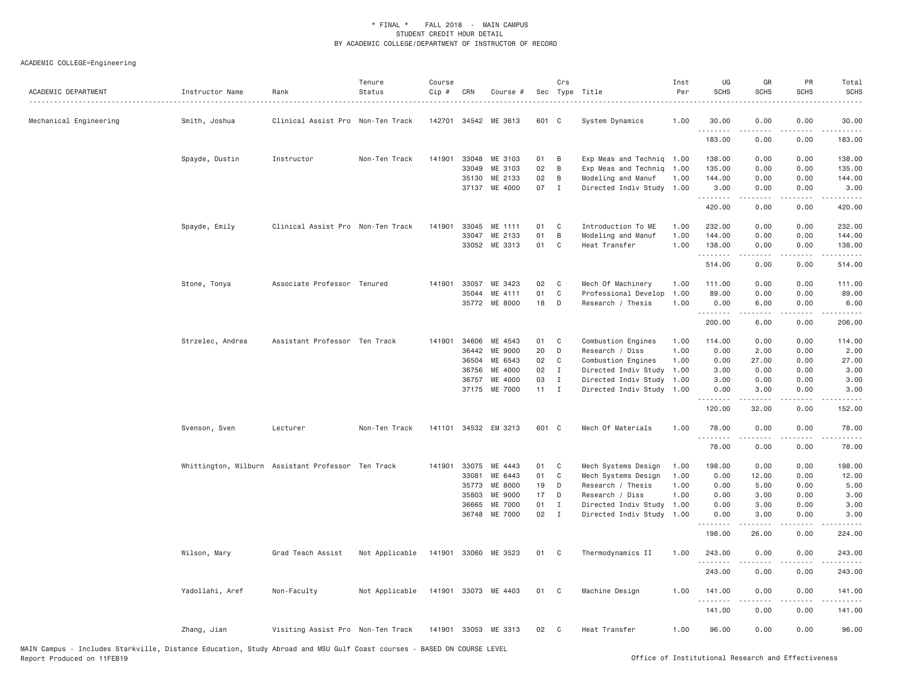| ACADEMIC DEPARTMENT    | Instructor Name<br>. | Rank                                               | Tenure<br>Status | Course<br>Cip # | CRN          | Course #             |              | Crs<br>Sec Type Title |                           | Inst<br>Per | UG<br><b>SCHS</b>        | GR<br><b>SCHS</b>                        | PR<br>SCHS                   | Total<br><b>SCHS</b>                                                                                                                                           |
|------------------------|----------------------|----------------------------------------------------|------------------|-----------------|--------------|----------------------|--------------|-----------------------|---------------------------|-------------|--------------------------|------------------------------------------|------------------------------|----------------------------------------------------------------------------------------------------------------------------------------------------------------|
| Mechanical Engineering | Smith, Joshua        | Clinical Assist Pro Non-Ten Track                  |                  |                 |              | 142701 34542 ME 3613 | 601 C        |                       | System Dynamics           | 1.00        | 30.00<br>$- - - - - - -$ | 0.00                                     | 0.00                         | 30.00                                                                                                                                                          |
|                        |                      |                                                    |                  |                 |              |                      |              |                       |                           |             | 183.00                   | 0.00                                     | 0.00                         | 183.00                                                                                                                                                         |
|                        | Spayde, Dustin       | Instructor                                         | Non-Ten Track    | 141901          | 33048        | ME 3103              | 01           | B                     | Exp Meas and Techniq 1.00 |             | 138.00                   | 0.00                                     | 0.00                         | 138.00                                                                                                                                                         |
|                        |                      |                                                    |                  |                 | 33049        | ME 3103              | 02           | B                     | Exp Meas and Techniq      | 1.00        | 135.00                   | 0.00                                     | 0.00                         | 135.00                                                                                                                                                         |
|                        |                      |                                                    |                  |                 | 35130        | ME 2133              | 02           | B                     | Modeling and Manuf        | 1.00        | 144.00                   | 0.00                                     | 0.00                         | 144.00                                                                                                                                                         |
|                        |                      |                                                    |                  |                 | 37137        | ME 4000              | 07           | $\mathbf{I}$          | Directed Indiv Study 1.00 |             | 3.00<br>.                | 0.00<br>.                                | 0.00<br>.                    | 3.00<br>$\begin{array}{cccccccccc} \bullet & \bullet & \bullet & \bullet & \bullet & \bullet & \bullet \end{array}$                                            |
|                        |                      |                                                    |                  |                 |              |                      |              |                       |                           |             | 420.00                   | 0.00                                     | 0.00                         | 420.00                                                                                                                                                         |
|                        | Spayde, Emily        | Clinical Assist Pro Non-Ten Track                  |                  | 141901          | 33045        | ME 1111              | 01           | C                     | Introduction To ME        | 1.00        | 232.00                   | 0.00                                     | 0.00                         | 232.00                                                                                                                                                         |
|                        |                      |                                                    |                  |                 | 33047        | ME 2133              | 01           | B                     | Modeling and Manuf        | 1.00        | 144.00                   | 0.00                                     | 0.00                         | 144.00                                                                                                                                                         |
|                        |                      |                                                    |                  |                 |              | 33052 ME 3313        | 01           | $\mathbf{C}$          | Heat Transfer             | 1.00        | 138.00<br>.              | 0.00                                     | 0.00<br>$\sim$ $\sim$ $\sim$ | 138.00<br>$\frac{1}{2} \left( \frac{1}{2} \right) \left( \frac{1}{2} \right) \left( \frac{1}{2} \right) \left( \frac{1}{2} \right) \left( \frac{1}{2} \right)$ |
|                        |                      |                                                    |                  |                 |              |                      |              |                       |                           |             | 514.00                   | 0.00                                     | 0.00                         | 514.00                                                                                                                                                         |
|                        | Stone, Tonya         | Associate Professor Tenured                        |                  |                 |              | 141901 33057 ME 3423 | 02           | $\mathbf{C}$          | Mech Of Machinery         | 1.00        | 111.00                   | 0.00                                     | 0.00                         | 111.00                                                                                                                                                         |
|                        |                      |                                                    |                  |                 | 35044        | ME 4111              | 01           | $\mathbf{C}$          | Professional Develop      | 1.00        | 89.00                    | 0.00                                     | 0.00                         | 89.00                                                                                                                                                          |
|                        |                      |                                                    |                  |                 |              | 35772 ME 8000        | 18           | D                     | Research / Thesis         | 1.00        | 0.00                     | 6.00                                     | 0.00                         | 6.00                                                                                                                                                           |
|                        |                      |                                                    |                  |                 |              |                      |              |                       |                           |             | .<br>200.00              | .<br>6.00                                | 0.00                         | .<br>206.00                                                                                                                                                    |
|                        | Strzelec, Andrea     | Assistant Professor Ten Track                      |                  |                 | 141901 34606 | ME 4543              | 01           | C                     | Combustion Engines        | 1.00        | 114.00                   | 0.00                                     | 0.00                         | 114.00                                                                                                                                                         |
|                        |                      |                                                    |                  |                 | 36442        | ME 9000              | 20           | D                     | Research / Diss           | 1.00        | 0.00                     | 2.00                                     | 0.00                         | 2.00                                                                                                                                                           |
|                        |                      |                                                    |                  |                 | 36504        | ME 6543              | 02           | C                     | Combustion Engines        | 1.00        | 0.00                     | 27.00                                    | 0.00                         | 27.00                                                                                                                                                          |
|                        |                      |                                                    |                  |                 | 36756        | ME 4000              | 02           | $\mathbf{I}$          | Directed Indiv Study      | 1.00        | 3.00                     | 0.00                                     | 0.00                         | 3.00                                                                                                                                                           |
|                        |                      |                                                    |                  |                 | 36757        | ME 4000              | 03           | $\mathbf{I}$          | Directed Indiv Study      | 1.00        | 3.00                     | 0.00                                     | 0.00                         | 3.00                                                                                                                                                           |
|                        |                      |                                                    |                  |                 |              | 37175 ME 7000        | $11 \quad I$ |                       | Directed Indiv Study 1.00 |             | 0.00<br><u>.</u>         | 3.00<br>.                                | 0.00<br>.                    | 3.00<br>$- - - - -$                                                                                                                                            |
|                        |                      |                                                    |                  |                 |              |                      |              |                       |                           |             | 120.00                   | 32.00                                    | 0.00                         | 152.00                                                                                                                                                         |
|                        | Svenson, Sven        | Lecturer                                           | Non-Ten Track    |                 |              | 141101 34532 EM 3213 | 601 C        |                       | Mech Of Materials         | 1.00        | 78.00<br>.               | 0.00<br>$\omega$ is $\omega$ in $\omega$ | 0.00<br>.                    | 78.00<br>.                                                                                                                                                     |
|                        |                      |                                                    |                  |                 |              |                      |              |                       |                           |             | 78.00                    | 0.00                                     | 0.00                         | 78.00                                                                                                                                                          |
|                        |                      | Whittington, Wilburn Assistant Professor Ten Track |                  |                 | 141901 33075 | ME 4443              | 01           | C                     | Mech Systems Design       | 1.00        | 198.00                   | 0.00                                     | 0.00                         | 198.00                                                                                                                                                         |
|                        |                      |                                                    |                  |                 | 33081        | ME 6443              | 01           | C                     | Mech Systems Design       | 1.00        | 0.00                     | 12.00                                    | 0.00                         | 12.00                                                                                                                                                          |
|                        |                      |                                                    |                  |                 | 35773        | ME 8000              | 19           | D                     | Research / Thesis         | 1.00        | 0.00                     | 5.00                                     | 0.00                         | 5.00                                                                                                                                                           |
|                        |                      |                                                    |                  |                 | 35803        | ME 9000              | 17           | D                     | Research / Diss           | 1.00        | 0.00                     | 3.00                                     | 0.00                         | 3.00                                                                                                                                                           |
|                        |                      |                                                    |                  |                 | 36665        | ME 7000              | 01           | $\mathbf{I}$          | Directed Indiv Study      | 1.00        | 0.00                     | 3.00                                     | 0.00                         | 3.00                                                                                                                                                           |
|                        |                      |                                                    |                  |                 | 36748        | ME 7000              | 02           | $\mathbf{I}$          | Directed Indiv Study      | 1.00        | 0.00                     | 3.00                                     | 0.00                         | 3.00                                                                                                                                                           |
|                        |                      |                                                    |                  |                 |              |                      |              |                       |                           |             | 198.00                   | 26.00                                    | 0.00                         | 224.00                                                                                                                                                         |
|                        | Wilson, Mary         | Grad Teach Assist                                  | Not Applicable   |                 |              | 141901 33060 ME 3523 | 01           | C <sub>1</sub>        | Thermodynamics II         | 1.00        | 243.00<br>.              | 0.00                                     | 0.00                         | 243.00                                                                                                                                                         |
|                        |                      |                                                    |                  |                 |              |                      |              |                       |                           |             | 243.00                   | 0.00                                     | 0.00                         | 243.00                                                                                                                                                         |
|                        | Yadollahi, Aref      | Non-Faculty                                        | Not Applicable   |                 |              | 141901 33073 ME 4403 | 01           | $\mathbf{C}$          | Machine Design            | 1.00        | 141.00<br>.              | 0.00                                     | 0.00                         | 141.00<br>$- - - - - -$                                                                                                                                        |
|                        |                      |                                                    |                  |                 |              |                      |              |                       |                           |             | 141.00                   | 0.00                                     | 0.00                         | 141.00                                                                                                                                                         |
|                        | Zhang, Jian          | Visiting Assist Pro Non-Ten Track                  |                  |                 |              | 141901 33053 ME 3313 | 02           | - C                   | Heat Transfer             | 1.00        | 96.00                    | 0.00                                     | 0.00                         | 96.00                                                                                                                                                          |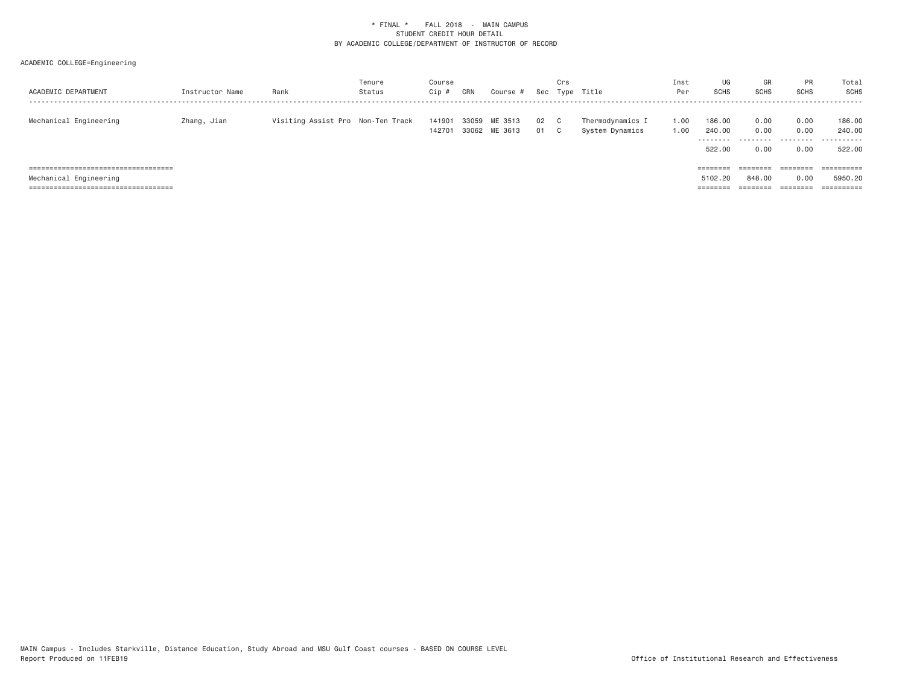| ACADEMIC DEPARTMENT                                                          | Instructor Name | Rank                              | Tenure<br>Status | Course<br>Cip    | CRN   | Course #                 |              | Crs<br>Sec Type | Title                               | Inst<br>Per  | UG<br>SCHS                 | GR<br><b>SCHS</b>     | <b>PR</b><br><b>SCHS</b> | Total<br>SCHS<br>.         |
|------------------------------------------------------------------------------|-----------------|-----------------------------------|------------------|------------------|-------|--------------------------|--------------|-----------------|-------------------------------------|--------------|----------------------------|-----------------------|--------------------------|----------------------------|
| Mechanical Engineering                                                       | Zhang, Jian     | Visiting Assist Pro Non-Ten Track |                  | 141901<br>142701 | 33059 | ME 3513<br>33062 ME 3613 | 02 C<br>01 C |                 | Thermodynamics I<br>System Dynamics | 1.00<br>1.00 | 186.00<br>240,00<br>522,00 | 0.00<br>0.00<br>0.00  | 0.00<br>0.00<br>0.00     | 186.00<br>240.00<br>522.00 |
| ======================================                                       |                 |                                   |                  |                  |       |                          |              |                 |                                     |              | $=$ = = = = = = =          | ========              | ========                 | $=$ = = = = = = = = =      |
| Mechanical Engineering                                                       |                 |                                   |                  |                  |       |                          |              |                 |                                     |              | 5102.20                    | 848,00                | 0.00                     | 5950.20                    |
| -------------------------------------<br>----------------------------------- |                 |                                   |                  |                  |       |                          |              |                 |                                     |              | --------<br>--------       | ---------<br>-------- | --------<br>--------     | ----------<br>----------   |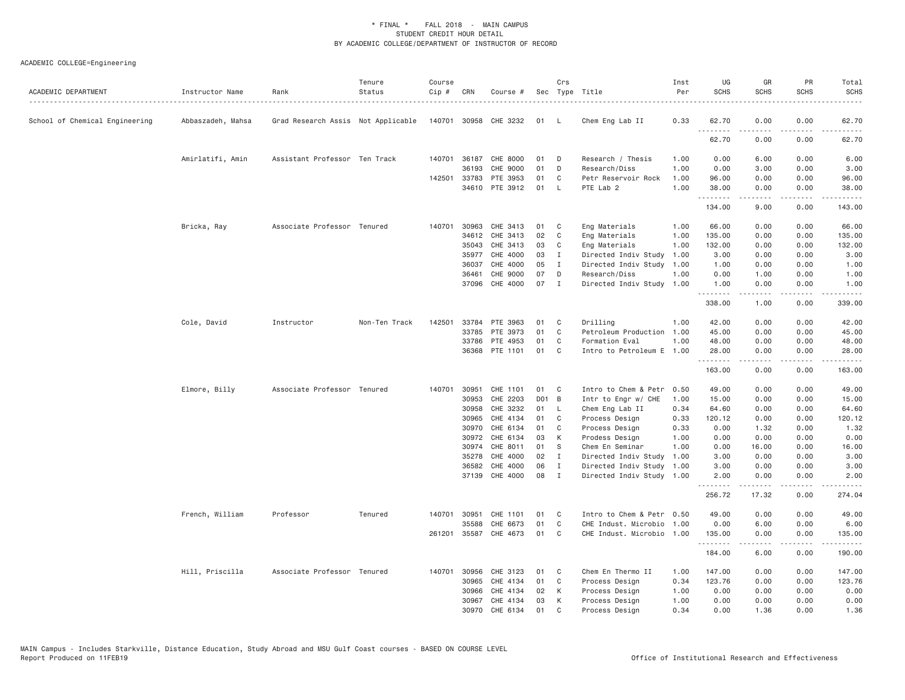| ACADEMIC DEPARTMENT            | Instructor Name   | Rank                               | Tenure<br>Status | Course<br>Cip # | CRN          | Course #              |       | Crs          | Sec Type Title            | Inst<br>Per | UG<br><b>SCHS</b> | GR<br><b>SCHS</b>                          | PR<br><b>SCHS</b>     | Total<br><b>SCHS</b>                                                                                                                                           |
|--------------------------------|-------------------|------------------------------------|------------------|-----------------|--------------|-----------------------|-------|--------------|---------------------------|-------------|-------------------|--------------------------------------------|-----------------------|----------------------------------------------------------------------------------------------------------------------------------------------------------------|
| School of Chemical Engineering | Abbaszadeh, Mahsa | Grad Research Assis Not Applicable |                  |                 |              | 140701 30958 CHE 3232 | 01 L  |              | Chem Eng Lab II           | 0.33        | 62.70             | 0.00                                       | 0.00                  | 62.70                                                                                                                                                          |
|                                |                   |                                    |                  |                 |              |                       |       |              |                           |             | .<br>62.70        | -----<br>0.00                              | .<br>0.00             | 62.70                                                                                                                                                          |
|                                | Amirlatifi, Amin  | Assistant Professor Ten Track      |                  |                 |              | 140701 36187 CHE 8000 | 01    | D            | Research / Thesis         | 1.00        | 0.00              | 6.00                                       | 0.00                  | 6.00                                                                                                                                                           |
|                                |                   |                                    |                  |                 | 36193        | CHE 9000              | 01    | D            | Research/Diss             | 1.00        | 0.00              | 3.00                                       | 0.00                  | 3.00                                                                                                                                                           |
|                                |                   |                                    |                  | 142501          | 33783        | PTE 3953              | 01    | C            | Petr Reservoir Rock       | 1.00        | 96.00             | 0.00                                       | 0.00                  | 96.00                                                                                                                                                          |
|                                |                   |                                    |                  |                 | 34610        | PTE 3912              | 01    | L.           | PTE Lab 2                 | 1,00        | 38.00<br>.        | 0.00<br>.                                  | 0.00<br>.             | 38.00<br>.                                                                                                                                                     |
|                                |                   |                                    |                  |                 |              |                       |       |              |                           |             | 134.00            | 9.00                                       | 0.00                  | 143.00                                                                                                                                                         |
|                                | Bricka, Ray       | Associate Professor Tenured        |                  | 140701          | 30963        | CHE 3413              | 01    | C.           | Eng Materials             | 1.00        | 66.00             | 0.00                                       | 0.00                  | 66.00                                                                                                                                                          |
|                                |                   |                                    |                  |                 | 34612        | CHE 3413              | 02    | C            | Eng Materials             | 1.00        | 135.00            | 0.00                                       | 0.00                  | 135.00                                                                                                                                                         |
|                                |                   |                                    |                  |                 | 35043        | CHE 3413              | 03    | C            | Eng Materials             | 1.00        | 132.00            | 0.00                                       | 0.00                  | 132.00                                                                                                                                                         |
|                                |                   |                                    |                  |                 | 35977        | CHE 4000              | 03    | $\mathbf{I}$ | Directed Indiv Study      | 1.00        | 3.00              | 0.00                                       | 0.00                  | 3.00                                                                                                                                                           |
|                                |                   |                                    |                  |                 | 36037        | CHE 4000              | 05    | Ι            | Directed Indiv Study      | 1.00        | 1.00              | 0.00                                       | 0.00                  | 1.00                                                                                                                                                           |
|                                |                   |                                    |                  |                 | 36461        | CHE 9000              | 07    | D            | Research/Diss             | 1.00        | 0.00              | 1.00                                       | 0.00                  | 1.00                                                                                                                                                           |
|                                |                   |                                    |                  |                 |              | 37096 CHE 4000        | 07    | $\mathbf I$  | Directed Indiv Study      | 1.00        | 1.00              | 0.00                                       | 0.00                  | 1.00                                                                                                                                                           |
|                                |                   |                                    |                  |                 |              |                       |       |              |                           |             | .<br>338.00       | $\sim$ $\sim$ $\sim$ $\sim$ $\sim$<br>1.00 | .<br>0.00             | $\frac{1}{2} \left( \frac{1}{2} \right) \left( \frac{1}{2} \right) \left( \frac{1}{2} \right) \left( \frac{1}{2} \right) \left( \frac{1}{2} \right)$<br>339.00 |
|                                | Cole, David       | Instructor                         | Non-Ten Track    | 142501          | 33784        | PTE 3963              | 01    | C            | Drilling                  | 1.00        | 42.00             | 0.00                                       | 0.00                  | 42.00                                                                                                                                                          |
|                                |                   |                                    |                  |                 | 33785        | PTE 3973              | 01    | C            | Petroleum Production      | 1.00        | 45.00             | 0.00                                       | 0.00                  | 45.00                                                                                                                                                          |
|                                |                   |                                    |                  |                 | 33786        | PTE 4953              | 01    | C            | Formation Eval            | 1.00        | 48.00             | 0.00                                       | 0.00                  | 48.00                                                                                                                                                          |
|                                |                   |                                    |                  |                 | 36368        | PTE 1101              | 01    | C            | Intro to Petroleum E 1.00 |             | 28.00             | 0.00                                       | 0.00                  | 28.00                                                                                                                                                          |
|                                |                   |                                    |                  |                 |              |                       |       |              |                           |             | .<br>163.00       | .<br>0.00                                  | د د د د<br>0.00       | $\frac{1}{2} \left( \frac{1}{2} \right) \left( \frac{1}{2} \right) \left( \frac{1}{2} \right) \left( \frac{1}{2} \right) \left( \frac{1}{2} \right)$<br>163.00 |
|                                | Elmore, Billy     | Associate Professor Tenured        |                  |                 | 140701 30951 | CHE 1101              | 01    | C            | Intro to Chem & Petr      | 0.50        | 49.00             | 0.00                                       | 0.00                  | 49.00                                                                                                                                                          |
|                                |                   |                                    |                  |                 | 30953        | CHE 2203              | D01 B |              | Intr to Engr w/ CHE       | 1.00        | 15.00             | 0.00                                       | 0.00                  | 15.00                                                                                                                                                          |
|                                |                   |                                    |                  |                 | 30958        | CHE 3232              | 01    | - L          | Chem Eng Lab II           | 0.34        | 64.60             | 0.00                                       | 0.00                  | 64.60                                                                                                                                                          |
|                                |                   |                                    |                  |                 | 30965        | CHE 4134              | 01    | C            | Process Design            | 0.33        | 120.12            | 0.00                                       | 0.00                  | 120.12                                                                                                                                                         |
|                                |                   |                                    |                  |                 | 30970        | CHE 6134              | 01    | C            | Process Design            | 0.33        | 0.00              | 1.32                                       | 0.00                  | 1.32                                                                                                                                                           |
|                                |                   |                                    |                  |                 | 30972        | CHE 6134              | 03    | К            | Prodess Design            | 1.00        | 0.00              | 0.00                                       | 0.00                  | 0.00                                                                                                                                                           |
|                                |                   |                                    |                  |                 | 30974        | CHE 8011              | 01    | S            | Chem En Seminar           | 1.00        | 0.00              | 16.00                                      | 0.00                  | 16.00                                                                                                                                                          |
|                                |                   |                                    |                  |                 | 35278        | CHE 4000              | 02    | $\mathbf{I}$ | Directed Indiv Study      | 1.00        | 3.00              | 0.00                                       | 0.00                  | 3.00                                                                                                                                                           |
|                                |                   |                                    |                  |                 | 36582        | CHE 4000              | 06    | Ι.           | Directed Indiv Study      | 1.00        | 3.00              | 0.00                                       | 0.00                  | 3.00                                                                                                                                                           |
|                                |                   |                                    |                  |                 | 37139        | CHE 4000              | 08    | $\mathbf{I}$ | Directed Indiv Study 1.00 |             | 2.00              | 0.00<br>-----                              | 0.00<br>$\frac{1}{2}$ | 2.00<br>.                                                                                                                                                      |
|                                |                   |                                    |                  |                 |              |                       |       |              |                           |             | .<br>256.72       | 17.32                                      | 0.00                  | 274.04                                                                                                                                                         |
|                                | French, William   | Professor                          | Tenured          |                 | 140701 30951 | CHE 1101              | 01    | C            | Intro to Chem & Petr 0.50 |             | 49.00             | 0.00                                       | 0.00                  | 49.00                                                                                                                                                          |
|                                |                   |                                    |                  |                 | 35588        | CHE 6673              | 01    | C            | CHE Indust. Microbio      | 1.00        | 0.00              | 6.00                                       | 0.00                  | 6.00                                                                                                                                                           |
|                                |                   |                                    |                  |                 | 261201 35587 | CHE 4673              | 01    | C            | CHE Indust. Microbio      | 1.00        | 135.00<br>.       | 0.00<br>.                                  | 0.00<br>.             | 135.00<br>.                                                                                                                                                    |
|                                |                   |                                    |                  |                 |              |                       |       |              |                           |             | 184.00            | 6.00                                       | 0.00                  | 190.00                                                                                                                                                         |
|                                | Hill, Priscilla   | Associate Professor Tenured        |                  |                 | 140701 30956 | CHE 3123              | 01    | C            | Chem En Thermo II         | 1.00        | 147.00            | 0.00                                       | 0.00                  | 147.00                                                                                                                                                         |
|                                |                   |                                    |                  |                 | 30965        | CHE 4134              | 01    | C            | Process Design            | 0.34        | 123.76            | 0.00                                       | 0.00                  | 123.76                                                                                                                                                         |
|                                |                   |                                    |                  |                 | 30966        | CHE 4134              | 02    | К            | Process Design            | 1.00        | 0.00              | 0.00                                       | 0.00                  | 0.00                                                                                                                                                           |
|                                |                   |                                    |                  |                 | 30967        | CHE 4134              | 03    | К            | Process Design            | 1.00        | 0.00              | 0.00                                       | 0.00                  | 0.00                                                                                                                                                           |
|                                |                   |                                    |                  |                 | 30970        | CHE 6134              | 01    | $\mathsf{C}$ | Process Design            | 0.34        | 0.00              | 1.36                                       | 0.00                  | 1.36                                                                                                                                                           |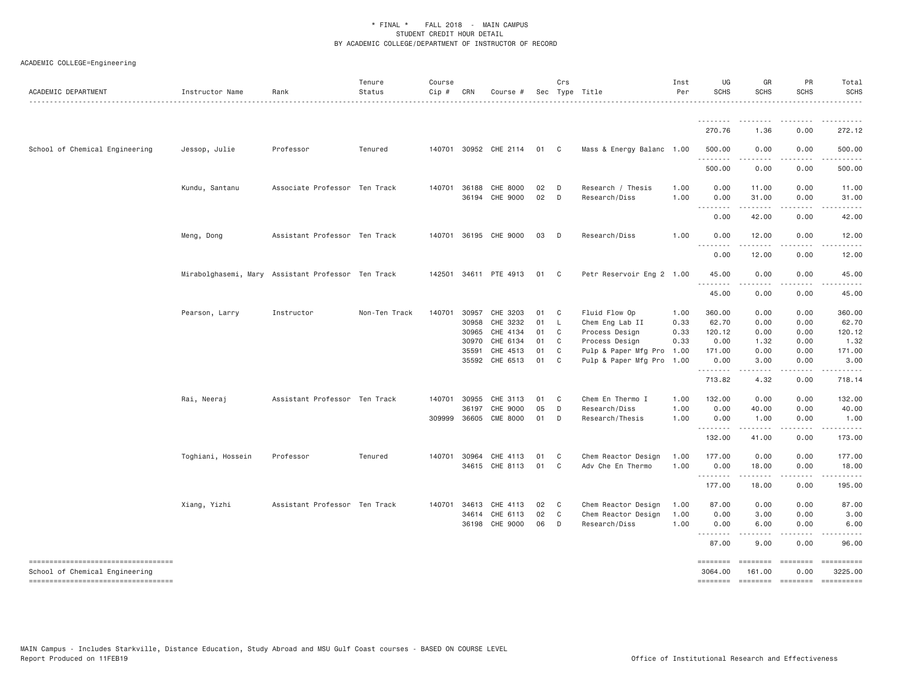| ACADEMIC DEPARTMENT                 | Instructor Name   | Rank                                               | Tenure<br>Status | Course<br>Cip # | CRN          | Course #              |    | Crs            | Sec Type Title            | Inst<br>Per | UG<br><b>SCHS</b>                                                                                                                               | GR<br><b>SCHS</b>    | PR<br><b>SCHS</b> | Total<br><b>SCHS</b> |
|-------------------------------------|-------------------|----------------------------------------------------|------------------|-----------------|--------------|-----------------------|----|----------------|---------------------------|-------------|-------------------------------------------------------------------------------------------------------------------------------------------------|----------------------|-------------------|----------------------|
|                                     |                   |                                                    |                  |                 |              |                       |    |                |                           |             |                                                                                                                                                 |                      |                   |                      |
|                                     |                   |                                                    |                  |                 |              |                       |    |                |                           |             | 270.76                                                                                                                                          | 1.36                 | 0.00              | 272.12               |
| School of Chemical Engineering      | Jessop, Julie     | Professor                                          | Tenured          |                 |              | 140701 30952 CHE 2114 | 01 | $\overline{C}$ | Mass & Energy Balanc 1.00 |             | 500.00<br>.                                                                                                                                     | 0.00                 | 0.00              | 500.00               |
|                                     |                   |                                                    |                  |                 |              |                       |    |                |                           |             | 500.00                                                                                                                                          | 0.00                 | 0.00              | 500.00               |
|                                     | Kundu, Santanu    | Associate Professor Ten Track                      |                  |                 | 140701 36188 | CHE 8000              | 02 | $\Box$         | Research / Thesis         | 1.00        | 0.00                                                                                                                                            | 11.00                | 0.00              | 11.00                |
|                                     |                   |                                                    |                  |                 |              | 36194 CHE 9000        | 02 | $\Box$         | Research/Diss             | 1.00        | 0.00<br>.                                                                                                                                       | 31.00                | 0.00              | 31.00                |
|                                     |                   |                                                    |                  |                 |              |                       |    |                |                           |             | 0.00                                                                                                                                            | 42.00                | 0.00              | 42.00                |
|                                     | Meng, Dong        | Assistant Professor Ten Track                      |                  |                 |              | 140701 36195 CHE 9000 | 03 | $\Box$         | Research/Diss             | 1.00        | 0.00<br>-----                                                                                                                                   | 12.00<br>$- - - - -$ | 0.00              | 12.00                |
|                                     |                   |                                                    |                  |                 |              |                       |    |                |                           |             | 0.00                                                                                                                                            | 12.00                | 0.00              | 12.00                |
|                                     |                   | Mirabolghasemi, Mary Assistant Professor Ten Track |                  |                 |              | 142501 34611 PTE 4913 | 01 | $\mathbf{C}$   | Petr Reservoir Eng 2 1.00 |             | 45.00                                                                                                                                           | 0.00                 | 0.00              | 45.00                |
|                                     |                   |                                                    |                  |                 |              |                       |    |                |                           |             | $- - - -$<br>$\frac{1}{2} \left( \frac{1}{2} \right) \left( \frac{1}{2} \right) \left( \frac{1}{2} \right) \left( \frac{1}{2} \right)$<br>45.00 | 0.00                 | 0.00              | 45.00                |
|                                     | Pearson, Larry    | Instructor                                         | Non-Ten Track    | 140701          | 30957        | CHE 3203              | 01 | $\mathbf{C}$   | Fluid Flow Op             | 1.00        | 360.00                                                                                                                                          | 0.00                 | 0.00              | 360.00               |
|                                     |                   |                                                    |                  |                 | 30958        | CHE 3232              | 01 | - L            | Chem Eng Lab II           | 0.33        | 62.70                                                                                                                                           | 0.00                 | 0.00              | 62.70                |
|                                     |                   |                                                    |                  |                 | 30965        | CHE 4134              | 01 | C              | Process Design            | 0.33        | 120.12                                                                                                                                          | 0.00                 | 0.00              | 120.12               |
|                                     |                   |                                                    |                  |                 | 30970        | CHE 6134              | 01 | $\mathbf{C}$   | Process Design            | 0.33        | 0.00                                                                                                                                            | 1.32                 | 0.00              | 1.32                 |
|                                     |                   |                                                    |                  |                 | 35591        | CHE 4513              | 01 | C <sub>1</sub> | Pulp & Paper Mfg Pro      | 1.00        | 171.00                                                                                                                                          | 0.00                 | 0.00              | 171.00               |
|                                     |                   |                                                    |                  |                 | 35592        | CHE 6513              | 01 | $\mathbf{C}$   | Pulp & Paper Mfg Pro 1.00 |             | 0.00<br>.                                                                                                                                       | 3.00                 | 0.00              | 3.00                 |
|                                     |                   |                                                    |                  |                 |              |                       |    |                |                           |             | 713.82                                                                                                                                          | 4.32                 | 0.00              | 718.14               |
|                                     | Rai, Neeraj       | Assistant Professor Ten Track                      |                  |                 | 140701 30955 | CHE 3113              | 01 | C <sub>1</sub> | Chem En Thermo I          | 1.00        | 132.00                                                                                                                                          | 0.00                 | 0.00              | 132.00               |
|                                     |                   |                                                    |                  |                 | 36197        | CHE 9000              | 05 | D              | Research/Diss             | 1.00        | 0.00                                                                                                                                            | 40.00                | 0.00              | 40.00                |
|                                     |                   |                                                    |                  | 309999          | 36605        | <b>CME 8000</b>       | 01 | D              | Research/Thesis           | 1.00        | 0.00<br>.                                                                                                                                       | 1.00                 | 0.00              | 1.00                 |
|                                     |                   |                                                    |                  |                 |              |                       |    |                |                           |             | 132.00                                                                                                                                          | 41.00                | 0.00              | 173.00               |
|                                     | Toghiani, Hossein | Professor                                          | Tenured          | 140701          | 30964        | CHE 4113              | 01 | C.             | Chem Reactor Design       | 1.00        | 177.00                                                                                                                                          | 0.00                 | 0.00              | 177.00               |
|                                     |                   |                                                    |                  |                 |              | 34615 CHE 8113        | 01 | $\mathbf{C}$   | Adv Che En Thermo         | 1.00        | 0.00<br>.                                                                                                                                       | 18.00                | 0.00              | 18.00                |
|                                     |                   |                                                    |                  |                 |              |                       |    |                |                           |             | 177.00                                                                                                                                          | 18.00                | 0.00              | 195.00               |
|                                     | Xiang, Yizhi      | Assistant Professor Ten Track                      |                  | 140701          | 34613        | CHE 4113              | 02 | $\mathbf{C}$   | Chem Reactor Design       | 1.00        | 87.00                                                                                                                                           | 0.00                 | 0.00              | 87.00                |
|                                     |                   |                                                    |                  |                 | 34614        | CHE 6113              | 02 | $\mathbf{C}$   | Chem Reactor Design       | 1.00        | 0.00                                                                                                                                            | 3.00                 | 0.00              | 3.00                 |
|                                     |                   |                                                    |                  |                 | 36198        | CHE 9000              | 06 | D              | Research/Diss             | 1.00        | 0.00<br>.                                                                                                                                       | 6.00                 | 0.00              | 6.00                 |
|                                     |                   |                                                    |                  |                 |              |                       |    |                |                           |             | 87.00                                                                                                                                           | 9.00                 | 0.00              | 96.00                |
| ----------------------------------- |                   |                                                    |                  |                 |              |                       |    |                |                           |             | $=$ =======                                                                                                                                     | ========             | ========          | ==========           |
| School of Chemical Engineering      |                   |                                                    |                  |                 |              |                       |    |                |                           |             | 3064.00                                                                                                                                         | 161.00               | 0.00              | 3225.00              |
| ----------------------------------  |                   |                                                    |                  |                 |              |                       |    |                |                           |             | ========                                                                                                                                        |                      | ======== ======== | $= 222222222222$     |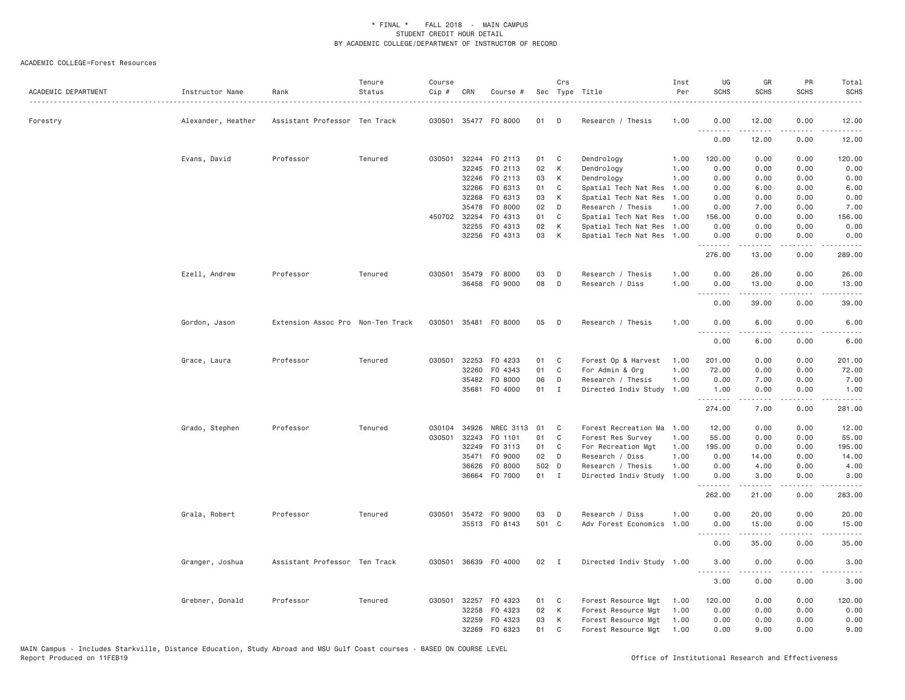| ACADEMIC DEPARTMENT | Instructor Name    | Rank                              | Tenure<br>Status | Course<br>$Cip \#$ | CRN          | Course #             |       | Crs          | Sec Type Title            | Inst<br>Per | UG<br><b>SCHS</b> | GR<br><b>SCHS</b>   | PR<br><b>SCHS</b> | Total<br><b>SCHS</b><br>$\omega$ is $\omega$ in |
|---------------------|--------------------|-----------------------------------|------------------|--------------------|--------------|----------------------|-------|--------------|---------------------------|-------------|-------------------|---------------------|-------------------|-------------------------------------------------|
| Forestry            | Alexander, Heather | Assistant Professor Ten Track     |                  |                    |              | 030501 35477 F0 8000 | 01    | D            | Research / Thesis         | 1.00        | 0.00<br><b></b>   | 12.00               | 0.00<br>.         | 12.00<br>.                                      |
|                     |                    |                                   |                  |                    |              |                      |       |              |                           |             | 0.00              | 12.00               | 0.00              | 12.00                                           |
|                     | Evans, David       | Professor                         | Tenured          | 030501             |              | 32244 FO 2113        | 01    | C            | Dendrology                | 1.00        | 120.00            | 0.00                | 0.00              | 120.00                                          |
|                     |                    |                                   |                  |                    | 32245        | FO 2113              | 02    | К            | Dendrology                | 1.00        | 0.00              | 0.00                | 0.00              | 0.00                                            |
|                     |                    |                                   |                  |                    | 32246        | FO 2113              | 03    | К            | Dendrology                | 1.00        | 0.00              | 0.00                | 0.00              | 0.00                                            |
|                     |                    |                                   |                  |                    | 32266        | F0 6313              | 01    | C            | Spatial Tech Nat Res      | 1.00        | 0.00              | 6.00                | 0.00              | 6.00                                            |
|                     |                    |                                   |                  |                    | 32268        | FO 6313              | 03    | К            | Spatial Tech Nat Res      | 1.00        | 0.00              | 0.00                | 0.00              | 0.00                                            |
|                     |                    |                                   |                  |                    | 35478        | F0 8000              | 02    | D            | Research / Thesis         | 1.00        | 0.00              | 7.00                | 0.00              | 7.00                                            |
|                     |                    |                                   |                  |                    | 450702 32254 | F0 4313              | 01    | C            | Spatial Tech Nat Res      | 1.00        | 156.00            | 0.00                | 0.00              | 156.00                                          |
|                     |                    |                                   |                  |                    | 32255        | F0 4313              | 02    | К            | Spatial Tech Nat Res      | 1.00        | 0.00              | 0.00                | 0.00              | 0.00                                            |
|                     |                    |                                   |                  |                    |              | 32256 F0 4313        | 03    | К            | Spatial Tech Nat Res 1.00 |             | 0.00<br><u>.</u>  | 0.00<br>$- - - - -$ | 0.00<br>.         | 0.00                                            |
|                     |                    |                                   |                  |                    |              |                      |       |              |                           |             | 276.00            | 13.00               | 0.00              | 289.00                                          |
|                     | Ezell, Andrew      | Professor                         | Tenured          | 030501             |              | 35479 FO 8000        | 03    | D            | Research / Thesis         | 1.00        | 0.00              | 26.00               | 0.00              | 26.00                                           |
|                     |                    |                                   |                  |                    | 36458        | F0 9000              | 08    | D            | Research / Diss           | 1.00        | 0.00              | 13.00               | 0.00              | 13.00                                           |
|                     |                    |                                   |                  |                    |              |                      |       |              |                           |             | ----              |                     |                   |                                                 |
|                     |                    |                                   |                  |                    |              |                      |       |              |                           |             | 0.00              | 39.00               | 0.00              | 39.00                                           |
|                     | Gordon, Jason      | Extension Assoc Pro Non-Ten Track |                  |                    |              | 030501 35481 FO 8000 | 05    | D            | Research / Thesis         | 1.00        | 0.00<br><u>.</u>  | 6.00                | 0.00              | 6.00                                            |
|                     |                    |                                   |                  |                    |              |                      |       |              |                           |             | 0.00              | 6.00                | 0.00              | 6.00                                            |
|                     | Grace, Laura       | Professor                         | Tenured          | 030501             | 32253        | F0 4233              | 01    | C            | Forest Op & Harvest       | 1.00        | 201.00            | 0.00                | 0.00              | 201.00                                          |
|                     |                    |                                   |                  |                    | 32260        | F0 4343              | 01    | $\mathsf{C}$ | For Admin & Org           | 1.00        | 72.00             | 0.00                | 0.00              | 72.00                                           |
|                     |                    |                                   |                  |                    | 35482        | F0 8000              | 06    | D            | Research / Thesis         | 1.00        | 0.00              | 7.00                | 0.00              | 7.00                                            |
|                     |                    |                                   |                  |                    | 35681        | F0 4000              | 01    | $\mathbf{I}$ | Directed Indiv Study      | 1.00        | 1.00<br>.         | 0.00<br>.           | 0.00<br>.         | 1.00<br>.                                       |
|                     |                    |                                   |                  |                    |              |                      |       |              |                           |             | 274.00            | 7.00                | 0.00              | 281.00                                          |
|                     | Grado, Stephen     | Professor                         | Tenured          | 030104             | 34926        | <b>NREC 3113</b>     | 01    | C            | Forest Recreation Ma      | 1.00        | 12.00             | 0.00                | 0.00              | 12.00                                           |
|                     |                    |                                   |                  | 030501             | 32243        | FO 1101              | 01    | C            | Forest Res Survey         | 1.00        | 55.00             | 0.00                | 0.00              | 55.00                                           |
|                     |                    |                                   |                  |                    | 32249        | FO 3113              | 01    | C            | For Recreation Mgt        | 1.00        | 195.00            | 0.00                | 0.00              | 195.00                                          |
|                     |                    |                                   |                  |                    | 35471        | F0 9000              | 02    | D            | Research / Diss           | 1.00        | 0.00              | 14.00               | 0.00              | 14.00                                           |
|                     |                    |                                   |                  |                    | 36626        | F0 8000              | 502 D |              | Research / Thesis         | 1.00        | 0.00              | 4.00                | 0.00              | 4.00                                            |
|                     |                    |                                   |                  |                    |              | 36664 F0 7000        | 01 I  |              | Directed Indiv Study      | 1.00        | 0.00<br>.         | 3.00<br>.           | 0.00<br>.         | 3.00<br>.                                       |
|                     |                    |                                   |                  |                    |              |                      |       |              |                           |             | 262.00            | 21.00               | 0.00              | 283.00                                          |
|                     | Grala, Robert      | Professor                         | Tenured          | 030501             |              | 35472 FO 9000        | 03    | D            | Research / Diss           | 1.00        | 0.00              | 20.00               | 0.00              | 20.00                                           |
|                     |                    |                                   |                  |                    |              | 35513 FO 8143        | 501 C |              | Adv Forest Economics      | 1.00        | 0.00              | 15.00               | 0.00              | 15.00                                           |
|                     |                    |                                   |                  |                    |              |                      |       |              |                           |             | <u>.</u><br>0.00  | 35.00               | .<br>0.00         | .<br>35.00                                      |
|                     | Granger, Joshua    | Assistant Professor Ten Track     |                  | 030501             |              | 36639 F0 4000        | 02    | $\mathbf{I}$ | Directed Indiv Study 1.00 |             | 3.00              | 0.00                | 0.00              | 3.00                                            |
|                     |                    |                                   |                  |                    |              |                      |       |              |                           |             | .                 |                     |                   |                                                 |
|                     |                    |                                   |                  |                    |              |                      |       |              |                           |             | 3.00              | 0.00                | 0.00              | 3.00                                            |
|                     | Grebner, Donald    | Professor                         | Tenured          | 030501             |              | 32257 F0 4323        | 01    | C            | Forest Resource Mgt       | 1.00        | 120.00            | 0.00                | 0.00              | 120.00                                          |
|                     |                    |                                   |                  |                    | 32258        | F0 4323              | 02    | К            | Forest Resource Mgt       | 1.00        | 0.00              | 0.00                | 0.00              | 0.00                                            |
|                     |                    |                                   |                  |                    | 32259        | F0 4323              | 03    | К            | Forest Resource Mgt       | 1.00        | 0.00              | 0.00                | 0.00              | 0.00                                            |
|                     |                    |                                   |                  |                    | 32269        | FO 6323              | 01    | C            | Forest Resource Mgt       | 1.00        | 0.00              | 9.00                | 0.00              | 9.00                                            |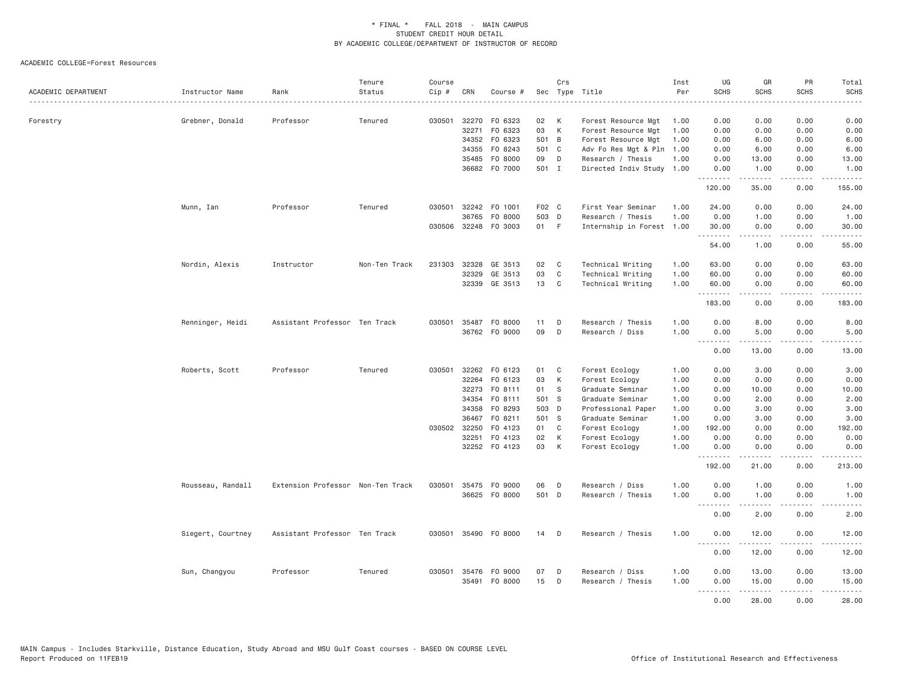| ACADEMIC DEPARTMENT | Instructor Name   | Rank<br>.                         | Tenure<br>Status | Course<br>Cip # | CRN          | Course #             |       | Crs          | Sec Type Title            | Inst<br>Per | UG<br><b>SCHS</b><br>. | GR<br><b>SCHS</b>                                                                                                                                            | PR<br><b>SCHS</b><br>$- - - - - -$  | Total<br><b>SCHS</b><br>$\frac{1}{2} \left( \frac{1}{2} \right) \left( \frac{1}{2} \right) \left( \frac{1}{2} \right) \left( \frac{1}{2} \right) \left( \frac{1}{2} \right)$ |
|---------------------|-------------------|-----------------------------------|------------------|-----------------|--------------|----------------------|-------|--------------|---------------------------|-------------|------------------------|--------------------------------------------------------------------------------------------------------------------------------------------------------------|-------------------------------------|------------------------------------------------------------------------------------------------------------------------------------------------------------------------------|
| Forestry            | Grebner, Donald   | Professor                         | Tenured          | 030501          |              | 32270 F0 6323        | 02    | K            | Forest Resource Mgt       | 1.00        | 0.00                   | 0.00                                                                                                                                                         | 0.00                                | 0.00                                                                                                                                                                         |
|                     |                   |                                   |                  |                 | 32271        | F0 6323              | 03    | K            | Forest Resource Mgt       | 1.00        | 0.00                   | 0.00                                                                                                                                                         | 0.00                                | 0.00                                                                                                                                                                         |
|                     |                   |                                   |                  |                 |              | 34352 FO 6323        | 501 B |              | Forest Resource Mgt       | 1.00        | 0.00                   | 6.00                                                                                                                                                         | 0.00                                | 6.00                                                                                                                                                                         |
|                     |                   |                                   |                  |                 | 34355        | F0 8243              | 501 C |              | Adv Fo Res Mgt & Pln      | 1.00        | 0.00                   | 6.00                                                                                                                                                         | 0.00                                | 6.00                                                                                                                                                                         |
|                     |                   |                                   |                  |                 | 35485        | F0 8000              | 09    | D            | Research / Thesis         | 1.00        | 0.00                   | 13.00                                                                                                                                                        | 0.00                                | 13,00                                                                                                                                                                        |
|                     |                   |                                   |                  |                 |              | 36682 F0 7000        | 501 I |              | Directed Indiv Study 1.00 |             | 0.00<br>.              | 1.00<br>-----                                                                                                                                                | 0.00<br>$\sim$ $\sim$ $\sim$        | 1.00<br>.                                                                                                                                                                    |
|                     |                   |                                   |                  |                 |              |                      |       |              |                           |             | 120.00                 | 35.00                                                                                                                                                        | 0.00                                | 155.00                                                                                                                                                                       |
|                     | Munn, Ian         | Professor                         | Tenured          | 030501          |              | 32242 F0 1001        | F02 C |              | First Year Seminar        | 1.00        | 24.00                  | 0.00                                                                                                                                                         | 0.00                                | 24.00                                                                                                                                                                        |
|                     |                   |                                   |                  |                 | 36765        | F0 8000              | 503 D |              | Research / Thesis         | 1.00        | 0.00                   | 1.00                                                                                                                                                         | 0.00                                | 1.00                                                                                                                                                                         |
|                     |                   |                                   |                  |                 |              | 030506 32248 F0 3003 | 01 F  |              | Internship in Forest 1.00 |             | 30.00<br>--------      | 0.00<br>-----                                                                                                                                                | 0.00<br>.                           | 30.00<br>$\frac{1}{2} \left( \frac{1}{2} \right) \left( \frac{1}{2} \right) \left( \frac{1}{2} \right) \left( \frac{1}{2} \right) \left( \frac{1}{2} \right)$                |
|                     |                   |                                   |                  |                 |              |                      |       |              |                           |             | 54.00                  | 1.00                                                                                                                                                         | 0.00                                | 55.00                                                                                                                                                                        |
|                     | Nordin, Alexis    | Instructor                        | Non-Ten Track    | 231303          | 32328        | GE 3513              | 02    | C            | Technical Writing         | 1.00        | 63.00                  | 0.00                                                                                                                                                         | 0.00                                | 63.00                                                                                                                                                                        |
|                     |                   |                                   |                  |                 | 32329        | GE 3513              | 03    | C            | Technical Writing         | 1.00        | 60.00                  | 0.00                                                                                                                                                         | 0.00                                | 60.00                                                                                                                                                                        |
|                     |                   |                                   |                  |                 |              | 32339 GE 3513        | 13    | $\mathbf{C}$ | Technical Writing         | 1.00        | 60.00<br>.             | 0.00<br>$\frac{1}{2} \left( \frac{1}{2} \right) \left( \frac{1}{2} \right) \left( \frac{1}{2} \right) \left( \frac{1}{2} \right) \left( \frac{1}{2} \right)$ | 0.00<br>.                           | 60.00<br>.                                                                                                                                                                   |
|                     |                   |                                   |                  |                 |              |                      |       |              |                           |             | 183.00                 | 0.00                                                                                                                                                         | 0.00                                | 183.00                                                                                                                                                                       |
|                     | Renninger, Heidi  | Assistant Professor Ten Track     |                  | 030501          |              | 35487 FO 8000        | 11    | D            | Research / Thesis         | 1.00        | 0.00                   | 8.00                                                                                                                                                         | 0.00                                | 8.00                                                                                                                                                                         |
|                     |                   |                                   |                  |                 |              | 36762 FO 9000        | 09    | D            | Research / Diss           | 1.00        | 0.00<br><u>.</u>       | 5.00                                                                                                                                                         | 0.00<br>.                           | 5.00                                                                                                                                                                         |
|                     |                   |                                   |                  |                 |              |                      |       |              |                           |             | 0.00                   | 13.00                                                                                                                                                        | 0.00                                | 13.00                                                                                                                                                                        |
|                     | Roberts, Scott    | Professor                         | Tenured          | 030501          |              | 32262 FO 6123        | 01    | C            | Forest Ecology            | 1.00        | 0.00                   | 3.00                                                                                                                                                         | 0.00                                | 3.00                                                                                                                                                                         |
|                     |                   |                                   |                  |                 | 32264        | F0 6123              | 03    | K            | Forest Ecology            | 1.00        | 0.00                   | 0.00                                                                                                                                                         | 0.00                                | 0.00                                                                                                                                                                         |
|                     |                   |                                   |                  |                 | 32273        | FO 8111              | 01    | - S          | Graduate Seminar          | 1.00        | 0.00                   | 10.00                                                                                                                                                        | 0.00                                | 10.00                                                                                                                                                                        |
|                     |                   |                                   |                  |                 | 34354        | FO 8111              | 501 S |              | Graduate Seminar          | 1.00        | 0.00                   | 2.00                                                                                                                                                         | 0.00                                | 2.00                                                                                                                                                                         |
|                     |                   |                                   |                  |                 | 34358        | F0 8293              | 503 D |              | Professional Paper        | 1.00        | 0.00                   | 3.00                                                                                                                                                         | 0.00                                | 3.00                                                                                                                                                                         |
|                     |                   |                                   |                  |                 | 36467        | FO 8211              | 501 S |              | Graduate Seminar          | 1.00        | 0.00                   | 3.00                                                                                                                                                         | 0.00                                | 3.00                                                                                                                                                                         |
|                     |                   |                                   |                  |                 | 030502 32250 | F0 4123              | 01    | C            | Forest Ecology            | 1.00        | 192.00                 | 0.00                                                                                                                                                         | 0.00                                | 192.00                                                                                                                                                                       |
|                     |                   |                                   |                  |                 | 32251        | F0 4123              | 02    | K            | Forest Ecology            | 1.00        | 0.00                   | 0.00                                                                                                                                                         | 0.00                                | 0.00                                                                                                                                                                         |
|                     |                   |                                   |                  |                 |              | 32252 F0 4123        | 03    | K            | Forest Ecology            | 1.00        | 0.00<br><b></b>        | 0.00<br>.                                                                                                                                                    | 0.00<br>.                           | 0.00<br>.                                                                                                                                                                    |
|                     |                   |                                   |                  |                 |              |                      |       |              |                           |             | 192.00                 | 21.00                                                                                                                                                        | 0.00                                | 213.00                                                                                                                                                                       |
|                     | Rousseau, Randall | Extension Professor Non-Ten Track |                  | 030501          |              | 35475 FO 9000        | 06    | D            | Research / Diss           | 1.00        | 0.00                   | 1.00                                                                                                                                                         | 0.00                                | 1.00                                                                                                                                                                         |
|                     |                   |                                   |                  |                 |              | 36625 F0 8000        | 501 D |              | Research / Thesis         | 1.00        | 0.00<br>.              | 1.00<br><u>.</u>                                                                                                                                             | 0.00<br>$\sim$ $\sim$ $\sim$ $\sim$ | 1.00<br>-----                                                                                                                                                                |
|                     |                   |                                   |                  |                 |              |                      |       |              |                           |             | 0.00                   | 2,00                                                                                                                                                         | 0.00                                | 2.00                                                                                                                                                                         |
|                     | Siegert, Courtney | Assistant Professor Ten Track     |                  |                 |              | 030501 35490 F0 8000 | 14    | D            | Research / Thesis         | 1.00        | 0.00                   | 12.00                                                                                                                                                        | 0.00                                | 12.00                                                                                                                                                                        |
|                     |                   |                                   |                  |                 |              |                      |       |              |                           |             | .<br>0.00              | . <b>.</b><br>12.00                                                                                                                                          | .<br>0.00                           | .<br>12.00                                                                                                                                                                   |
|                     | Sun, Changyou     | Professor                         | Tenured          |                 |              | 030501 35476 F0 9000 | 07    | D            | Research / Diss           | 1.00        | 0.00                   | 13.00                                                                                                                                                        | 0.00                                | 13.00                                                                                                                                                                        |
|                     |                   |                                   |                  |                 |              | 35491 F0 8000        | 15    | D            | Research / Thesis         | 1.00        | 0.00<br><b></b>        | 15.00<br>.                                                                                                                                                   | 0.00<br>.                           | 15.00<br>.                                                                                                                                                                   |
|                     |                   |                                   |                  |                 |              |                      |       |              |                           |             | 0.00                   | 28.00                                                                                                                                                        | 0.00                                | 28.00                                                                                                                                                                        |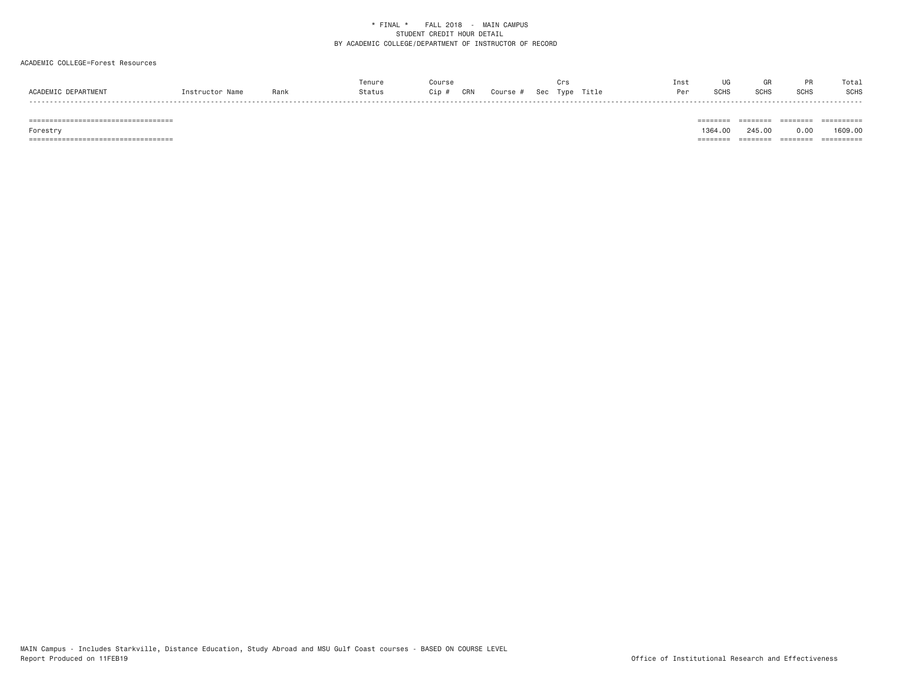# ACADEMIC COLLEGE=Forest Resources

|                     |                 |      | Tenure | ours;      |        |     | ت⊺ ن          | Inst |              |             |      | Tota. |
|---------------------|-----------------|------|--------|------------|--------|-----|---------------|------|--------------|-------------|------|-------|
| ACADEMIC DEPARTMENT | Thetructor Name | Ranl | Status | CRN<br>Cip | Course | Sec | Title<br>Type | Dor  | 0010<br>っしけこ | <b>COUC</b> | SCH: | SCHS  |
|                     |                 |      |        |            |        |     |               |      |              |             |      | ----- |

 =================================== ======== ======== ======== ========== Forestry 1364.00 245.00 0.00 1609.00 =================================== ======== ======== ======== ==========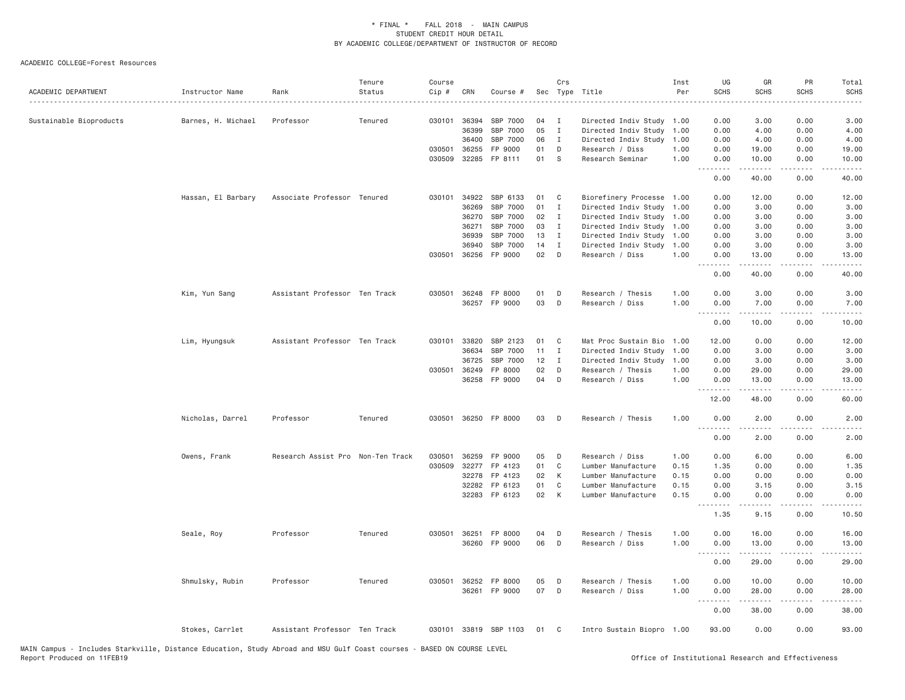| ACADEMIC DEPARTMENT     | Instructor Name    | Rank                              | Tenure<br>Status | Course<br>Cip # | CRN          | Course #              |    | Crs          | Sec Type Title            | Inst<br>Per | UG<br><b>SCHS</b>                          | GR<br><b>SCHS</b>                                                                                                                                            | PR<br><b>SCHS</b> | Total<br><b>SCHS</b><br>----         |
|-------------------------|--------------------|-----------------------------------|------------------|-----------------|--------------|-----------------------|----|--------------|---------------------------|-------------|--------------------------------------------|--------------------------------------------------------------------------------------------------------------------------------------------------------------|-------------------|--------------------------------------|
| Sustainable Bioproducts | Barnes, H. Michael | Professor                         | Tenured          |                 | 030101 36394 | SBP 7000              | 04 | $\mathbf{I}$ | Directed Indiv Study 1.00 |             | 0.00                                       | 3.00                                                                                                                                                         | 0.00              | 3.00                                 |
|                         |                    |                                   |                  |                 | 36399        | SBP 7000              | 05 | $\mathbf{I}$ | Directed Indiv Study      | 1.00        | 0.00                                       | 4.00                                                                                                                                                         | 0.00              | 4.00                                 |
|                         |                    |                                   |                  |                 | 36400        | SBP 7000              | 06 | $\mathbf I$  | Directed Indiv Study      | 1.00        | 0.00                                       | 4.00                                                                                                                                                         | 0.00              | 4.00                                 |
|                         |                    |                                   |                  |                 | 030501 36255 | FP 9000               | 01 | D            | Research / Diss           | 1.00        | 0.00                                       | 19.00                                                                                                                                                        | 0.00              | 19.00                                |
|                         |                    |                                   |                  |                 | 030509 32285 | FP 8111               | 01 | S            | Research Seminar          | 1.00        | 0.00<br>.                                  | 10.00<br>$- - - - -$                                                                                                                                         | 0.00<br>$- - - -$ | 10.00<br>.                           |
|                         |                    |                                   |                  |                 |              |                       |    |              |                           |             | 0.00                                       | 40.00                                                                                                                                                        | 0.00              | 40.00                                |
|                         | Hassan, El Barbary | Associate Professor Tenured       |                  |                 | 030101 34922 | SBP 6133              | 01 | C            | Biorefinery Processe 1.00 |             | 0.00                                       | 12.00                                                                                                                                                        | 0.00              | 12.00                                |
|                         |                    |                                   |                  |                 | 36269        | SBP 7000              | 01 | I            | Directed Indiv Study      | 1.00        | 0.00                                       | 3.00                                                                                                                                                         | 0.00              | 3.00                                 |
|                         |                    |                                   |                  |                 | 36270        | SBP 7000              | 02 | I            | Directed Indiv Study      | 1.00        | 0.00                                       | 3.00                                                                                                                                                         | 0.00              | 3.00                                 |
|                         |                    |                                   |                  |                 | 36271        | SBP 7000              | 03 | I            | Directed Indiv Study      | 1.00        | 0.00                                       | 3.00                                                                                                                                                         | 0.00              | 3.00                                 |
|                         |                    |                                   |                  |                 | 36939        | SBP 7000              | 13 | I            | Directed Indiv Study      | 1.00        | 0.00                                       | 3.00                                                                                                                                                         | 0.00              | 3.00                                 |
|                         |                    |                                   |                  |                 | 36940        | SBP 7000              | 14 | $\mathbf I$  | Directed Indiv Study      | 1.00        | 0.00                                       | 3.00                                                                                                                                                         | 0.00              | 3.00                                 |
|                         |                    |                                   |                  |                 | 030501 36256 | FP 9000               | 02 | D            | Research / Diss           | 1.00        | 0.00<br>$\sim$ $\sim$ $\sim$ $\sim$ $\sim$ | 13.00<br>.                                                                                                                                                   | 0.00<br>.         | 13.00<br>.                           |
|                         |                    |                                   |                  |                 |              |                       |    |              |                           |             | 0.00                                       | 40.00                                                                                                                                                        | 0.00              | 40.00                                |
|                         | Kim, Yun Sang      | Assistant Professor Ten Track     |                  | 030501          | 36248        | FP 8000               | 01 | D            | Research / Thesis         | 1.00        | 0.00                                       | 3.00                                                                                                                                                         | 0.00              | 3.00                                 |
|                         |                    |                                   |                  |                 |              | 36257 FP 9000         | 03 | D            | Research / Diss           | 1.00        | 0.00<br>.                                  | 7.00                                                                                                                                                         | 0.00              | 7.00                                 |
|                         |                    |                                   |                  |                 |              |                       |    |              |                           |             | 0.00                                       | 10.00                                                                                                                                                        | 0.00              | 10.00                                |
|                         | Lim, Hyungsuk      | Assistant Professor Ten Track     |                  |                 | 030101 33820 | SBP 2123              | 01 | C            | Mat Proc Sustain Bio      | 1.00        | 12.00                                      | 0.00                                                                                                                                                         | 0.00              | 12.00                                |
|                         |                    |                                   |                  |                 | 36634        | SBP 7000              | 11 | I            | Directed Indiv Study      | 1.00        | 0.00                                       | 3.00                                                                                                                                                         | 0.00              | 3.00                                 |
|                         |                    |                                   |                  |                 | 36725        | SBP 7000              | 12 | $\mathbf{I}$ | Directed Indiv Study      | 1.00        | 0.00                                       | 3.00                                                                                                                                                         | 0.00              | 3.00                                 |
|                         |                    |                                   |                  |                 | 030501 36249 | FP 8000               | 02 | D            | Research / Thesis         | 1.00        | 0.00                                       | 29.00                                                                                                                                                        | 0.00              | 29.00                                |
|                         |                    |                                   |                  |                 | 36258        | FP 9000               | 04 | D            | Research / Diss           | 1.00        | 0.00                                       | 13.00                                                                                                                                                        | 0.00              | 13.00                                |
|                         |                    |                                   |                  |                 |              |                       |    |              |                           |             | .<br>12.00                                 | 48.00                                                                                                                                                        | 0.00              | 60.00                                |
|                         | Nicholas, Darrel   | Professor                         | Tenured          |                 |              | 030501 36250 FP 8000  | 03 | D            | Research / Thesis         | 1.00        | 0.00<br>----                               | 2.00                                                                                                                                                         | 0.00              | 2.00                                 |
|                         |                    |                                   |                  |                 |              |                       |    |              |                           |             | 0.00                                       | 2.00                                                                                                                                                         | 0.00              | 2.00                                 |
|                         | Owens, Frank       | Research Assist Pro Non-Ten Track |                  | 030501          | 36259        | FP 9000               | 05 | D            | Research / Diss           | 1.00        | 0.00                                       | 6.00                                                                                                                                                         | 0.00              | 6.00                                 |
|                         |                    |                                   |                  | 030509          | 32277        | FP 4123               | 01 | C            | Lumber Manufacture        | 0.15        | 1.35                                       | 0.00                                                                                                                                                         | 0.00              | 1.35                                 |
|                         |                    |                                   |                  |                 | 32278        | FP 4123               | 02 | К            | Lumber Manufacture        | 0.15        | 0.00                                       | 0.00                                                                                                                                                         | 0.00              | 0.00                                 |
|                         |                    |                                   |                  |                 | 32282        | FP 6123               | 01 | C            | Lumber Manufacture        | 0.15        | 0.00                                       | 3.15                                                                                                                                                         | 0.00              | 3.15                                 |
|                         |                    |                                   |                  |                 |              | 32283 FP 6123         | 02 | K            | Lumber Manufacture        | 0.15        | 0.00                                       | 0.00                                                                                                                                                         | 0.00              | 0.00                                 |
|                         |                    |                                   |                  |                 |              |                       |    |              |                           |             | .<br>1.35                                  | $\frac{1}{2} \left( \frac{1}{2} \right) \left( \frac{1}{2} \right) \left( \frac{1}{2} \right) \left( \frac{1}{2} \right) \left( \frac{1}{2} \right)$<br>9.15 | 0.00              | $\sim$ $\sim$ $\sim$ $\sim$<br>10.50 |
|                         | Seale, Roy         | Professor                         | Tenured          |                 | 030501 36251 | FP 8000               | 04 | D            | Research / Thesis         | 1.00        | 0.00                                       | 16.00                                                                                                                                                        | 0.00              | 16.00                                |
|                         |                    |                                   |                  |                 |              | 36260 FP 9000         | 06 | D            | Research / Diss           | 1.00        | 0.00<br>.                                  | 13.00<br>.                                                                                                                                                   | 0.00<br>.         | 13.00<br>.                           |
|                         |                    |                                   |                  |                 |              |                       |    |              |                           |             | 0.00                                       | 29.00                                                                                                                                                        | 0.00              | 29.00                                |
|                         | Shmulsky, Rubin    | Professor                         | Tenured          |                 | 030501 36252 | FP 8000               | 05 | D            | Research / Thesis         | 1.00        | 0.00                                       | 10.00                                                                                                                                                        | 0.00              | 10.00                                |
|                         |                    |                                   |                  |                 | 36261        | FP 9000               | 07 | D            | Research / Diss           | 1.00        | 0.00<br><u>.</u>                           | 28.00<br>$- - - - - -$                                                                                                                                       | 0.00<br>$\cdots$  | 28.00<br>.                           |
|                         |                    |                                   |                  |                 |              |                       |    |              |                           |             | 0.00                                       | 38.00                                                                                                                                                        | 0.00              | 38.00                                |
|                         | Stokes, Carrlet    | Assistant Professor Ten Track     |                  |                 |              | 030101 33819 SBP 1103 | 01 | C            | Intro Sustain Biopro 1.00 |             | 93.00                                      | 0.00                                                                                                                                                         | 0.00              | 93.00                                |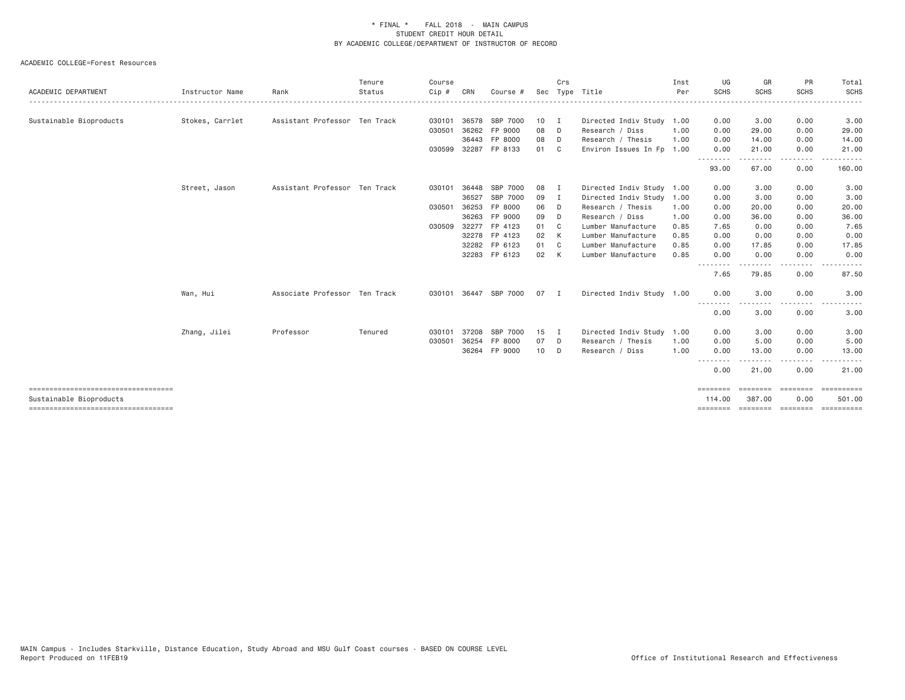|                                      |                 |                               | Tenure  | Course  |       |                       |      | Crs            |                           | Inst | UG                    | GR                                                                                                                                                                                                                                                                                                                                                                                                                                                                                                                                                                                | <b>PR</b>             | Total                                                                                                                                                        |
|--------------------------------------|-----------------|-------------------------------|---------|---------|-------|-----------------------|------|----------------|---------------------------|------|-----------------------|-----------------------------------------------------------------------------------------------------------------------------------------------------------------------------------------------------------------------------------------------------------------------------------------------------------------------------------------------------------------------------------------------------------------------------------------------------------------------------------------------------------------------------------------------------------------------------------|-----------------------|--------------------------------------------------------------------------------------------------------------------------------------------------------------|
| ACADEMIC DEPARTMENT                  | Instructor Name | Rank                          | Status  | $Cip$ # | CRN   | Course #              | Sec  |                | Type Title                | Per  | <b>SCHS</b>           | <b>SCHS</b>                                                                                                                                                                                                                                                                                                                                                                                                                                                                                                                                                                       | SCHS                  | <b>SCHS</b>                                                                                                                                                  |
| Sustainable Bioproducts              | Stokes, Carrlet | Assistant Professor Ten Track |         | 030101  |       | 36578 SBP 7000        | 10 I |                | Directed Indiv Study 1.00 |      | 0.00                  | 3.00                                                                                                                                                                                                                                                                                                                                                                                                                                                                                                                                                                              | 0.00                  | 3.00                                                                                                                                                         |
|                                      |                 |                               |         | 030501  | 36262 | FP 9000               | 08   | D              | Research / Diss           | 1.00 | 0.00                  | 29.00                                                                                                                                                                                                                                                                                                                                                                                                                                                                                                                                                                             | 0.00                  | 29.00                                                                                                                                                        |
|                                      |                 |                               |         |         |       | 36443 FP 8000         | 08   | D              | Research / Thesis         | 1.00 | 0.00                  | 14.00                                                                                                                                                                                                                                                                                                                                                                                                                                                                                                                                                                             | 0.00                  | 14.00                                                                                                                                                        |
|                                      |                 |                               |         | 030599  |       | 32287 FP 8133         | 01   | C <sub>1</sub> | Environ Issues In Fp 1.00 |      | 0.00<br>---------     | 21.00<br>.                                                                                                                                                                                                                                                                                                                                                                                                                                                                                                                                                                        | 0.00<br>.             | 21.00<br>------                                                                                                                                              |
|                                      |                 |                               |         |         |       |                       |      |                |                           |      | 93.00                 | 67.00                                                                                                                                                                                                                                                                                                                                                                                                                                                                                                                                                                             | 0.00                  | 160.00                                                                                                                                                       |
|                                      | Street, Jason   | Assistant Professor Ten Track |         | 030101  | 36448 | SBP 7000              | 08   | I              | Directed Indiv Study 1.00 |      | 0.00                  | 3.00                                                                                                                                                                                                                                                                                                                                                                                                                                                                                                                                                                              | 0.00                  | 3.00                                                                                                                                                         |
|                                      |                 |                               |         |         | 36527 | SBP 7000              | 09   | $\mathbf{I}$   | Directed Indiv Study 1.00 |      | 0.00                  | 3.00                                                                                                                                                                                                                                                                                                                                                                                                                                                                                                                                                                              | 0.00                  | 3.00                                                                                                                                                         |
|                                      |                 |                               |         | 030501  | 36253 | FP 8000               | 06   | D              | Research / Thesis         | 1.00 | 0.00                  | 20.00                                                                                                                                                                                                                                                                                                                                                                                                                                                                                                                                                                             | 0.00                  | 20.00                                                                                                                                                        |
|                                      |                 |                               |         |         | 36263 | FP 9000               | 09   | D              | Research / Diss           | 1.00 | 0.00                  | 36.00                                                                                                                                                                                                                                                                                                                                                                                                                                                                                                                                                                             | 0.00                  | 36.00                                                                                                                                                        |
|                                      |                 |                               |         | 030509  | 32277 | FP 4123               | 01 C |                | Lumber Manufacture        | 0.85 | 7.65                  | 0.00                                                                                                                                                                                                                                                                                                                                                                                                                                                                                                                                                                              | 0.00                  | 7.65                                                                                                                                                         |
|                                      |                 |                               |         |         |       | 32278 FP 4123         | 02   | K              | Lumber Manufacture        | 0.85 | 0.00                  | 0.00                                                                                                                                                                                                                                                                                                                                                                                                                                                                                                                                                                              | 0.00                  | 0.00                                                                                                                                                         |
|                                      |                 |                               |         |         |       | 32282 FP 6123         | 01   | C <sub>1</sub> | Lumber Manufacture        | 0.85 | 0.00                  | 17.85                                                                                                                                                                                                                                                                                                                                                                                                                                                                                                                                                                             | 0.00                  | 17.85                                                                                                                                                        |
|                                      |                 |                               |         |         |       | 32283 FP 6123         | 02   | $\mathsf{K}$   | Lumber Manufacture        | 0.85 | 0.00                  | 0.00                                                                                                                                                                                                                                                                                                                                                                                                                                                                                                                                                                              | 0.00                  | 0.00                                                                                                                                                         |
|                                      |                 |                               |         |         |       |                       |      |                |                           |      | $\frac{1}{2}$<br>7.65 | -----<br>79.85                                                                                                                                                                                                                                                                                                                                                                                                                                                                                                                                                                    | ----<br>0.00          | 87.50                                                                                                                                                        |
|                                      | Wan, Hui        | Associate Professor Ten Track |         |         |       | 030101 36447 SBP 7000 | 07 I |                | Directed Indiv Study 1.00 |      | 0.00                  | 3,00                                                                                                                                                                                                                                                                                                                                                                                                                                                                                                                                                                              | 0.00                  | 3.00                                                                                                                                                         |
|                                      |                 |                               |         |         |       |                       |      |                |                           |      | <u>.</u><br>0.00      | - - - - -<br>3.00                                                                                                                                                                                                                                                                                                                                                                                                                                                                                                                                                                 | . <b>.</b><br>0.00    | $\frac{1}{2} \left( \frac{1}{2} \right) \left( \frac{1}{2} \right) \left( \frac{1}{2} \right) \left( \frac{1}{2} \right) \left( \frac{1}{2} \right)$<br>3.00 |
|                                      | Zhang, Jilei    | Professor                     | Tenured | 030101  | 37208 | SBP 7000              | 15   | $\blacksquare$ | Directed Indiv Study 1.00 |      | 0.00                  | 3.00                                                                                                                                                                                                                                                                                                                                                                                                                                                                                                                                                                              | 0.00                  | 3.00                                                                                                                                                         |
|                                      |                 |                               |         | 030501  | 36254 | FP 8000               | 07   | D              | Research / Thesis         | 1.00 | 0.00                  | 5.00                                                                                                                                                                                                                                                                                                                                                                                                                                                                                                                                                                              | 0.00                  | 5.00                                                                                                                                                         |
|                                      |                 |                               |         |         |       | 36264 FP 9000         | 10   | D              | Research / Diss           | 1.00 | 0.00                  | 13.00                                                                                                                                                                                                                                                                                                                                                                                                                                                                                                                                                                             | 0.00                  | 13.00                                                                                                                                                        |
|                                      |                 |                               |         |         |       |                       |      |                |                           |      | --------<br>0.00      | 21.00                                                                                                                                                                                                                                                                                                                                                                                                                                                                                                                                                                             | $\frac{1}{2}$<br>0.00 | 21.00                                                                                                                                                        |
| Sustainable Bioproducts              |                 |                               |         |         |       |                       |      |                |                           |      | ========<br>114,00    | $\begin{minipage}{0.03\textwidth} \centering \begin{minipage}{0.03\textwidth} \centering \centering \end{minipage} \begin{minipage}{0.03\textwidth} \centering \centering \end{minipage} \begin{minipage}{0.03\textwidth} \centering \centering \begin{minipage}{0.03\textwidth} \centering \centering \end{minipage} \end{minipage} \begin{minipage}{0.03\textwidth} \centering \centering \end{minipage} \begin{minipage}{0.03\textwidth} \centering \centering \end{minipage} \begin{minipage}{0.03\textwidth} \centering \centering \end{minipage} \begin{minipage$<br>387,00 | 0.00                  | 501.00                                                                                                                                                       |
| ------------------------------------ |                 |                               |         |         |       |                       |      |                |                           |      | ========              |                                                                                                                                                                                                                                                                                                                                                                                                                                                                                                                                                                                   |                       | ========= ========= ==========                                                                                                                               |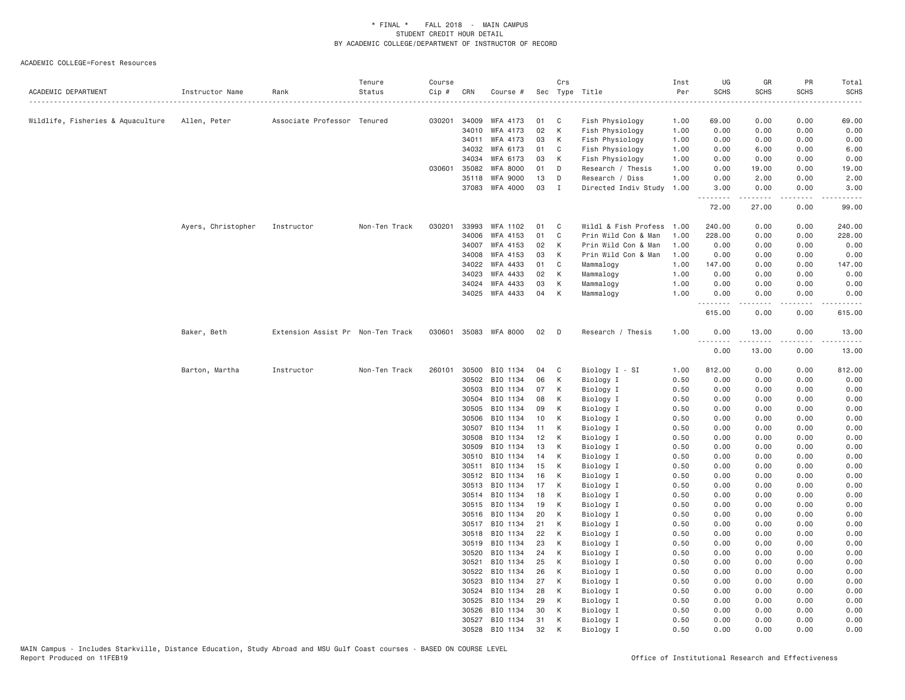| ACADEMIC DEPARTMENT               | Instructor Name    | Rank                              | Tenure<br>Status | Course<br>$Cip$ # | CRN            | Course #                    |          | Crs            | Sec Type Title                          | Inst<br>Per  | UG<br><b>SCHS</b> | GR<br><b>SCHS</b>                                                                                                                                            | PR<br><b>SCHS</b>                   | Total<br><b>SCHS</b> |
|-----------------------------------|--------------------|-----------------------------------|------------------|-------------------|----------------|-----------------------------|----------|----------------|-----------------------------------------|--------------|-------------------|--------------------------------------------------------------------------------------------------------------------------------------------------------------|-------------------------------------|----------------------|
|                                   |                    |                                   |                  |                   |                |                             |          |                |                                         |              |                   |                                                                                                                                                              |                                     |                      |
| Wildlife, Fisheries & Aquaculture | Allen, Peter       | Associate Professor Tenured       |                  |                   | 030201 34009   | WFA 4173                    | 01       | C              | Fish Physiology                         | 1.00         | 69.00             | 0.00                                                                                                                                                         | 0.00                                | 69.00                |
|                                   |                    |                                   |                  |                   | 34010          | WFA 4173                    | 02       | K              | Fish Physiology                         | 1.00         | 0.00              | 0.00                                                                                                                                                         | 0.00                                | 0.00                 |
|                                   |                    |                                   |                  |                   | 34011          | WFA 4173                    | 03       | K              | Fish Physiology                         | 1.00         | 0.00              | 0.00                                                                                                                                                         | 0.00                                | 0.00                 |
|                                   |                    |                                   |                  |                   | 34032          | WFA 6173                    | 01       | C              | Fish Physiology                         | 1.00         | 0.00              | 6.00                                                                                                                                                         | 0.00                                | 6.00                 |
|                                   |                    |                                   |                  | 030601            | 34034<br>35082 | WFA 6173<br><b>WFA 8000</b> | 03<br>01 | K<br>D         | Fish Physiology                         | 1.00<br>1.00 | 0.00<br>0.00      | 0.00<br>19.00                                                                                                                                                | 0.00<br>0.00                        | 0.00                 |
|                                   |                    |                                   |                  |                   | 35118          | <b>WFA 9000</b>             | 13       | D              | Research / Thesis                       | 1.00         | 0.00              | 2.00                                                                                                                                                         | 0.00                                | 19.00<br>2.00        |
|                                   |                    |                                   |                  |                   | 37083          | WFA 4000                    | 03       | I              | Research / Diss<br>Directed Indiv Study | 1.00         | 3.00              | 0.00                                                                                                                                                         | 0.00                                | 3.00                 |
|                                   |                    |                                   |                  |                   |                |                             |          |                |                                         |              | .<br>72.00        | .<br>27.00                                                                                                                                                   | .<br>0.00                           | .<br>99.00           |
|                                   | Ayers, Christopher | Instructor                        | Non-Ten Track    | 030201            | 33993          | WFA 1102                    | 01       | C <sub>c</sub> | Wildl & Fish Profess                    | 1.00         | 240.00            | 0.00                                                                                                                                                         | 0.00                                | 240.00               |
|                                   |                    |                                   |                  |                   | 34006          | WFA 4153                    | 01       | C              | Prin Wild Con & Man                     | 1.00         | 228.00            | 0.00                                                                                                                                                         | 0.00                                | 228.00               |
|                                   |                    |                                   |                  |                   | 34007          | WFA 4153                    | 02       | K              | Prin Wild Con & Man                     | 1.00         | 0.00              | 0.00                                                                                                                                                         | 0.00                                | 0.00                 |
|                                   |                    |                                   |                  |                   | 34008          | WFA 4153                    | 03       | K              | Prin Wild Con & Man                     | 1.00         | 0.00              | 0.00                                                                                                                                                         | 0.00                                | 0.00                 |
|                                   |                    |                                   |                  |                   | 34022          | WFA 4433                    | 01       | C              | Mammalogy                               | 1.00         | 147.00            | 0.00                                                                                                                                                         | 0.00                                | 147.00               |
|                                   |                    |                                   |                  |                   | 34023          | WFA 4433                    | 02       | K              | Mammalogy                               | 1.00         | 0.00              | 0.00                                                                                                                                                         | 0.00                                | 0.00                 |
|                                   |                    |                                   |                  |                   | 34024          | WFA 4433                    | 03       | К              | Mammalogy                               | 1.00         | 0.00              | 0.00                                                                                                                                                         | 0.00                                | 0.00                 |
|                                   |                    |                                   |                  |                   |                | 34025 WFA 4433              | 04       | K              | Mammalogy                               | 1.00         | 0.00              | 0.00                                                                                                                                                         | 0.00                                | 0.00                 |
|                                   |                    |                                   |                  |                   |                |                             |          |                |                                         |              | .<br>615.00       | $\frac{1}{2} \left( \frac{1}{2} \right) \left( \frac{1}{2} \right) \left( \frac{1}{2} \right) \left( \frac{1}{2} \right) \left( \frac{1}{2} \right)$<br>0.00 | $\sim$ $\sim$ $\sim$ $\sim$<br>0.00 | 615.00               |
|                                   | Baker, Beth        | Extension Assist Pr Non-Ten Track |                  | 030601            |                | 35083 WFA 8000              | 02       | $\Box$         | Research / Thesis                       | 1.00         | 0.00<br>.         | 13.00<br>.                                                                                                                                                   | 0.00<br>.                           | 13.00<br>.           |
|                                   |                    |                                   |                  |                   |                |                             |          |                |                                         |              | 0.00              | 13.00                                                                                                                                                        | 0.00                                | 13.00                |
|                                   | Barton, Martha     | Instructor                        | Non-Ten Track    | 260101            | 30500          | BIO 1134                    | 04       | C              | Biology I - SI                          | 1.00         | 812.00            | 0.00                                                                                                                                                         | 0.00                                | 812.00               |
|                                   |                    |                                   |                  |                   | 30502          | BIO 1134                    | 06       | K              | Biology I                               | 0.50         | 0.00              | 0.00                                                                                                                                                         | 0.00                                | 0.00                 |
|                                   |                    |                                   |                  |                   | 30503          | BIO 1134                    | 07       | K              | Biology I                               | 0.50         | 0.00              | 0.00                                                                                                                                                         | 0.00                                | 0.00                 |
|                                   |                    |                                   |                  |                   | 30504          | BIO 1134                    | 08       | K              | Biology I                               | 0.50         | 0.00              | 0.00                                                                                                                                                         | 0.00                                | 0.00                 |
|                                   |                    |                                   |                  |                   | 30505          | BIO 1134                    | 09       | K              | Biology I                               | 0.50         | 0.00              | 0.00                                                                                                                                                         | 0.00                                | 0.00                 |
|                                   |                    |                                   |                  |                   | 30506          | BIO 1134                    | 10       | K              | Biology I                               | 0.50         | 0.00              | 0.00                                                                                                                                                         | 0.00                                | 0.00                 |
|                                   |                    |                                   |                  |                   | 30507          | BIO 1134                    | 11       | K              | Biology I                               | 0.50         | 0.00              | 0.00                                                                                                                                                         | 0.00                                | 0.00                 |
|                                   |                    |                                   |                  |                   | 30508          | BIO 1134                    | 12       | $\mathsf{K}$   | Biology I                               | 0.50         | 0.00              | 0.00                                                                                                                                                         | 0.00                                | 0.00                 |
|                                   |                    |                                   |                  |                   | 30509          | BIO 1134                    | 13       | K              | Biology I                               | 0.50         | 0.00              | 0.00                                                                                                                                                         | 0.00                                | 0.00                 |
|                                   |                    |                                   |                  |                   | 30510          | BIO 1134<br>BIO 1134        | 14<br>15 | K<br>K         | Biology I                               | 0.50<br>0.50 | 0.00<br>0.00      | 0.00<br>0.00                                                                                                                                                 | 0.00<br>0.00                        | 0.00<br>0.00         |
|                                   |                    |                                   |                  |                   | 30511<br>30512 | BIO 1134                    | 16       | K              | Biology I<br>Biology I                  | 0.50         | 0.00              | 0.00                                                                                                                                                         | 0.00                                | 0.00                 |
|                                   |                    |                                   |                  |                   | 30513          | BIO 1134                    | 17       | К              | Biology I                               | 0.50         | 0.00              | 0.00                                                                                                                                                         | 0.00                                | 0.00                 |
|                                   |                    |                                   |                  |                   | 30514          | BIO 1134                    | 18       | К              | Biology I                               | 0.50         | 0.00              | 0.00                                                                                                                                                         | 0.00                                | 0.00                 |
|                                   |                    |                                   |                  |                   | 30515          | BIO 1134                    | 19       | K              | Biology I                               | 0.50         | 0.00              | 0.00                                                                                                                                                         | 0.00                                | 0.00                 |
|                                   |                    |                                   |                  |                   | 30516          | BIO 1134                    | 20       | K              | Biology I                               | 0.50         | 0.00              | 0.00                                                                                                                                                         | 0.00                                | 0.00                 |
|                                   |                    |                                   |                  |                   |                | 30517 BIO 1134              | 21       | К              | Biology I                               | 0.50         | 0.00              | 0.00                                                                                                                                                         | 0.00                                | 0.00                 |
|                                   |                    |                                   |                  |                   | 30518          | BIO 1134                    | 22       | K              | Biology I                               | 0.50         | 0.00              | 0.00                                                                                                                                                         | 0.00                                | 0.00                 |
|                                   |                    |                                   |                  |                   | 30519          | BIO 1134                    | 23       | K              | Biology I                               | 0.50         | 0.00              | 0.00                                                                                                                                                         | 0.00                                | 0.00                 |
|                                   |                    |                                   |                  |                   | 30520          | BIO 1134                    | 24       | К              | Biology I                               | 0.50         | 0.00              | 0.00                                                                                                                                                         | 0.00                                | 0.00                 |
|                                   |                    |                                   |                  |                   | 30521          | BIO 1134                    | 25       | К              | Biology I                               | 0.50         | 0.00              | 0.00                                                                                                                                                         | 0.00                                | 0.00                 |
|                                   |                    |                                   |                  |                   | 30522          | BIO 1134                    | 26       | K              | Biology I                               | 0.50         | 0.00              | 0.00                                                                                                                                                         | 0.00                                | 0.00                 |
|                                   |                    |                                   |                  |                   | 30523          | BIO 1134                    | 27       | K              | Biology I                               | 0.50         | 0.00              | 0.00                                                                                                                                                         | 0.00                                | 0.00                 |
|                                   |                    |                                   |                  |                   | 30524          | BIO 1134                    | 28       | K              | Biology I                               | 0.50         | 0.00              | 0.00                                                                                                                                                         | 0.00                                | 0.00                 |
|                                   |                    |                                   |                  |                   | 30525          | BIO 1134                    | 29       | K              | Biology I                               | 0.50         | 0.00              | 0.00                                                                                                                                                         | 0.00                                | 0.00                 |
|                                   |                    |                                   |                  |                   | 30526          | BIO 1134                    | 30       | К              | Biology I                               | 0.50         | 0.00              | 0.00                                                                                                                                                         | 0.00                                | 0.00                 |
|                                   |                    |                                   |                  |                   | 30527          | BIO 1134                    | 31       | K              | Biology I                               | 0.50         | 0.00              | 0.00                                                                                                                                                         | 0.00                                | 0.00                 |
|                                   |                    |                                   |                  |                   | 30528          | BIO 1134                    | 32       | K              | Biology I                               | 0.50         | 0.00              | 0.00                                                                                                                                                         | 0.00                                | 0.00                 |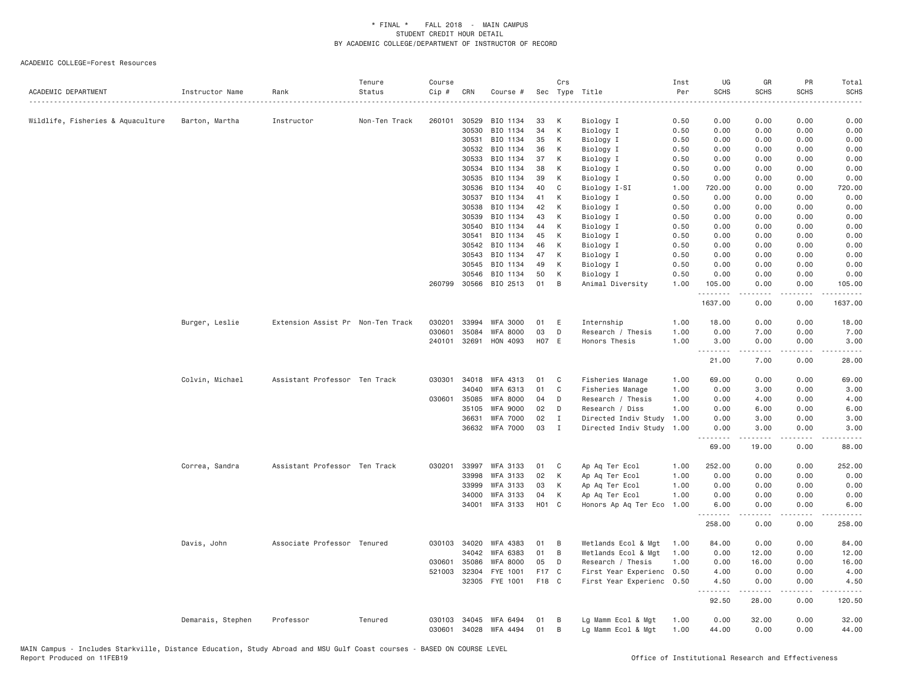| ACADEMIC DEPARTMENT               | Instructor Name   | Rank                              | Tenure<br>Status | Course<br>Cip # | CRN          | Course #        | Sec   | Crs          | Type Title           | Inst<br>Per | UG<br><b>SCHS</b> | GR<br><b>SCHS</b>                                                                                                                                             | PR<br><b>SCHS</b>                   | Total<br><b>SCHS</b>   |
|-----------------------------------|-------------------|-----------------------------------|------------------|-----------------|--------------|-----------------|-------|--------------|----------------------|-------------|-------------------|---------------------------------------------------------------------------------------------------------------------------------------------------------------|-------------------------------------|------------------------|
|                                   |                   |                                   |                  |                 |              |                 |       |              |                      |             |                   |                                                                                                                                                               |                                     | .                      |
| Wildlife, Fisheries & Aquaculture | Barton, Martha    | Instructor                        | Non-Ten Track    | 260101          | 30529        | BIO 1134        | 33    | К            | Biology I            | 0.50        | 0.00              | 0.00                                                                                                                                                          | 0.00                                | 0.00                   |
|                                   |                   |                                   |                  |                 | 30530        | BIO 1134        | 34    | К            | Biology I            | 0.50        | 0.00              | 0.00                                                                                                                                                          | 0.00                                | 0.00                   |
|                                   |                   |                                   |                  |                 | 30531        | BIO 1134        | 35    | К            | Biology I            | 0.50        | 0.00              | 0.00                                                                                                                                                          | 0.00                                | 0.00                   |
|                                   |                   |                                   |                  |                 | 30532        | BIO 1134        | 36    | К            | Biology I            | 0.50        | 0.00              | 0.00                                                                                                                                                          | 0.00                                | 0.00                   |
|                                   |                   |                                   |                  |                 | 30533        | BIO 1134        | 37    | К            | Biology I            | 0.50        | 0.00              | 0.00                                                                                                                                                          | 0.00                                | 0.00                   |
|                                   |                   |                                   |                  |                 | 30534        | BIO 1134        | 38    | К            | Biology I            | 0.50        | 0.00              | 0.00                                                                                                                                                          | 0.00                                | 0.00                   |
|                                   |                   |                                   |                  |                 | 30535        | BIO 1134        | 39    | К            | Biology I            | 0.50        | 0.00              | 0.00                                                                                                                                                          | 0.00                                | 0.00                   |
|                                   |                   |                                   |                  |                 | 30536        | BIO 1134        | 40    | C            | Biology I-SI         | 1.00        | 720.00            | 0.00                                                                                                                                                          | 0.00                                | 720.00                 |
|                                   |                   |                                   |                  |                 | 30537        | BIO 1134        | 41    | К            | Biology I            | 0.50        | 0.00              | 0.00                                                                                                                                                          | 0.00                                | 0.00                   |
|                                   |                   |                                   |                  |                 | 30538        | BIO 1134        | 42    | К            | Biology I            | 0.50        | 0.00              | 0.00                                                                                                                                                          | 0.00                                | 0.00                   |
|                                   |                   |                                   |                  |                 | 30539        | BIO 1134        | 43    | К            | Biology I            | 0.50        | 0.00              | 0.00                                                                                                                                                          | 0.00                                | 0.00                   |
|                                   |                   |                                   |                  |                 | 30540        | BIO 1134        | 44    | К            | Biology I            | 0.50        | 0.00              | 0.00                                                                                                                                                          | 0.00                                | 0.00                   |
|                                   |                   |                                   |                  |                 | 30541        | BIO 1134        | 45    | К            | Biology I            | 0.50        | 0.00              | 0.00                                                                                                                                                          | 0.00                                | 0.00                   |
|                                   |                   |                                   |                  |                 | 30542        | BIO 1134        | 46    | К            | Biology I            | 0.50        | 0.00              | 0.00                                                                                                                                                          | 0.00                                | 0.00                   |
|                                   |                   |                                   |                  |                 | 30543        | BIO 1134        | 47    | К            | Biology I            | 0.50        | 0.00              | 0.00                                                                                                                                                          | 0.00                                | 0.00                   |
|                                   |                   |                                   |                  |                 | 30545        | BIO 1134        | 49    | К            | Biology I            | 0.50        | 0.00              | 0.00                                                                                                                                                          | 0.00                                | 0.00                   |
|                                   |                   |                                   |                  |                 | 30546        | BIO 1134        | 50    | К            | Biology I            | 0.50        | 0.00              | 0.00                                                                                                                                                          | 0.00                                | 0.00                   |
|                                   |                   |                                   |                  | 260799          | 30566        | BIO 2513        | 01    | B            | Animal Diversity     | 1.00        | 105.00<br>.       | 0.00                                                                                                                                                          | 0.00<br>$\sim$ $\sim$ $\sim$ $\sim$ | 105.00                 |
|                                   |                   |                                   |                  |                 |              |                 |       |              |                      |             | 1637.00           | 0.00                                                                                                                                                          | 0.00                                | 1637.00                |
|                                   | Burger, Leslie    | Extension Assist Pr Non-Ten Track |                  | 030201          | 33994        | <b>WFA 3000</b> | 01    | E            | Internship           | 1.00        | 18.00             | 0.00                                                                                                                                                          | 0.00                                | 18.00                  |
|                                   |                   |                                   |                  | 030601          | 35084        | <b>WFA 8000</b> | 03    | D            | Research / Thesis    | 1.00        | 0.00              | 7.00                                                                                                                                                          | 0.00                                | 7.00                   |
|                                   |                   |                                   |                  | 240101          | 32691        | HON 4093        |       | HO7 E        | Honors Thesis        | 1.00        | 3.00              | 0.00                                                                                                                                                          | 0.00                                | 3.00                   |
|                                   |                   |                                   |                  |                 |              |                 |       |              |                      |             | .<br>21.00        | .<br>7.00                                                                                                                                                     | .<br>0.00                           | $\frac{1}{2}$<br>28.00 |
|                                   | Colvin, Michael   | Assistant Professor Ten Track     |                  | 030301          | 34018        | WFA 4313        | 01    | C            | Fisheries Manage     | 1.00        | 69.00             | 0.00                                                                                                                                                          | 0.00                                | 69.00                  |
|                                   |                   |                                   |                  |                 | 34040        | WFA 6313        | 01    | C            | Fisheries Manage     | 1.00        | 0.00              | 3.00                                                                                                                                                          | 0.00                                | 3.00                   |
|                                   |                   |                                   |                  | 030601          | 35085        | <b>WFA 8000</b> | 04    | D            | Research / Thesis    | 1.00        | 0.00              | 4.00                                                                                                                                                          | 0.00                                | 4.00                   |
|                                   |                   |                                   |                  |                 | 35105        | <b>WFA 9000</b> | 02    | D            | Research / Diss      | 1.00        | 0.00              | 6.00                                                                                                                                                          | 0.00                                | 6.00                   |
|                                   |                   |                                   |                  |                 | 36631        | <b>WFA 7000</b> | 02    | I            | Directed Indiv Study | 1.00        | 0.00              | 3.00                                                                                                                                                          | 0.00                                | 3.00                   |
|                                   |                   |                                   |                  |                 |              | 36632 WFA 7000  | 03    | $\mathbf{I}$ | Directed Indiv Study | 1.00        | 0.00              | 3.00                                                                                                                                                          | 0.00                                | 3.00                   |
|                                   |                   |                                   |                  |                 |              |                 |       |              |                      |             | .<br>69.00        | .<br>19.00                                                                                                                                                    | .<br>0.00                           | .<br>88.00             |
|                                   | Correa, Sandra    | Assistant Professor Ten Track     |                  | 030201          | 33997        | <b>WFA 3133</b> | 01    | C            | Ap Aq Ter Ecol       | 1.00        | 252.00            | 0.00                                                                                                                                                          | 0.00                                | 252.00                 |
|                                   |                   |                                   |                  |                 | 33998        | WFA 3133        | 02    | К            | Ap Aq Ter Ecol       | 1.00        | 0.00              | 0.00                                                                                                                                                          | 0.00                                | 0.00                   |
|                                   |                   |                                   |                  |                 | 33999        | WFA 3133        | 03    | К            | Ap Aq Ter Ecol       | 1.00        | 0.00              | 0.00                                                                                                                                                          | 0.00                                | 0.00                   |
|                                   |                   |                                   |                  |                 | 34000        | <b>WFA 3133</b> | 04    | К            | Ap Aq Ter Ecol       | 1.00        | 0.00              | 0.00                                                                                                                                                          | 0.00                                | 0.00                   |
|                                   |                   |                                   |                  |                 |              | 34001 WFA 3133  | HO1 C |              | Honors Ap Aq Ter Eco | 1.00        | 6.00              | 0.00                                                                                                                                                          | 0.00                                | 6.00                   |
|                                   |                   |                                   |                  |                 |              |                 |       |              |                      |             | 258.00            | 0.00                                                                                                                                                          | .<br>0.00                           | 258.00                 |
|                                   | Davis, John       | Associate Professor Tenured       |                  |                 | 030103 34020 | WFA 4383        | 01    | B            | Wetlands Ecol & Mgt  | 1.00        | 84.00             | 0.00                                                                                                                                                          | 0.00                                | 84.00                  |
|                                   |                   |                                   |                  |                 | 34042        | WFA 6383        | 01    | B            | Wetlands Ecol & Mgt  | 1.00        | 0.00              | 12.00                                                                                                                                                         | 0.00                                | 12.00                  |
|                                   |                   |                                   |                  | 030601          | 35086        | WFA 8000        | 05    | D            | Research / Thesis    | 1.00        | 0.00              | 16.00                                                                                                                                                         | 0.00                                | 16.00                  |
|                                   |                   |                                   |                  | 521003          | 32304        | FYE 1001        | F17   | $\mathbf{C}$ | First Year Experienc | 0.50        | 4.00              | 0.00                                                                                                                                                          | 0.00                                | 4.00                   |
|                                   |                   |                                   |                  |                 | 32305        | FYE 1001        | F18 C |              | First Year Experienc | 0.50        | 4.50              | 0.00                                                                                                                                                          | 0.00                                | 4.50                   |
|                                   |                   |                                   |                  |                 |              |                 |       |              |                      |             | .<br>92.50        | $\frac{1}{2} \left( \frac{1}{2} \right) \left( \frac{1}{2} \right) \left( \frac{1}{2} \right) \left( \frac{1}{2} \right) \left( \frac{1}{2} \right)$<br>28.00 | .<br>0.00                           | .<br>120.50            |
|                                   | Demarais, Stephen | Professor                         | Tenured          | 030103          | 34045        | WFA 6494        | 01    | B            | Lg Mamm Ecol & Mgt   | 1.00        | 0.00              | 32.00                                                                                                                                                         | 0.00                                | 32.00                  |
|                                   |                   |                                   |                  | 030601          | 34028        | WFA 4494        | 01    | B            | Lg Mamm Ecol & Mgt   | 1.00        | 44.00             | 0.00                                                                                                                                                          | 0.00                                | 44.00                  |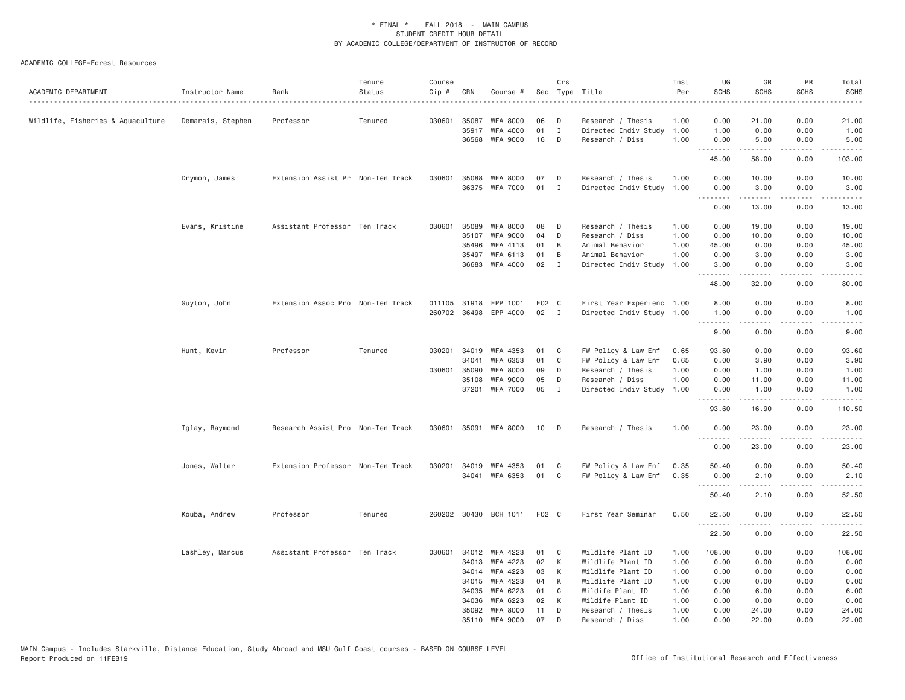| ACADEMIC DEPARTMENT               | Instructor Name   | Rank                              | Tenure<br>Status | Course<br>Cip # | CRN   | Course #              |                   | Crs          | Sec Type Title            | Inst<br>Per | UG<br><b>SCHS</b>                                                                                                                                                                                                                                                                                                                                                                                                                                                                              | GR<br><b>SCHS</b> | PR<br><b>SCHS</b> | Total<br><b>SCHS</b>                                                                                                              |
|-----------------------------------|-------------------|-----------------------------------|------------------|-----------------|-------|-----------------------|-------------------|--------------|---------------------------|-------------|------------------------------------------------------------------------------------------------------------------------------------------------------------------------------------------------------------------------------------------------------------------------------------------------------------------------------------------------------------------------------------------------------------------------------------------------------------------------------------------------|-------------------|-------------------|-----------------------------------------------------------------------------------------------------------------------------------|
| Wildlife, Fisheries & Aquaculture | Demarais, Stephen | Professor                         | Tenured          | 030601          | 35087 | <b>WFA 8000</b>       | 06                | D            | Research / Thesis         | 1.00        | 0.00                                                                                                                                                                                                                                                                                                                                                                                                                                                                                           | 21.00             | 0.00              | 21.00                                                                                                                             |
|                                   |                   |                                   |                  |                 | 35917 | WFA 4000              | 01                | I            | Directed Indiv Study      | 1.00        | 1.00                                                                                                                                                                                                                                                                                                                                                                                                                                                                                           | 0.00              | 0.00              | 1.00                                                                                                                              |
|                                   |                   |                                   |                  |                 |       | 36568 WFA 9000        | 16                | D            | Research / Diss           | 1.00        | 0.00                                                                                                                                                                                                                                                                                                                                                                                                                                                                                           | 5.00              | 0.00              | 5.00                                                                                                                              |
|                                   |                   |                                   |                  |                 |       |                       |                   |              |                           |             | .<br>45.00                                                                                                                                                                                                                                                                                                                                                                                                                                                                                     | .<br>58.00        | .<br>0.00         | .<br>103.00                                                                                                                       |
|                                   | Drymon, James     | Extension Assist Pr Non-Ten Track |                  | 030601          | 35088 | WFA 8000              | 07                | D            | Research / Thesis         | 1.00        | 0.00                                                                                                                                                                                                                                                                                                                                                                                                                                                                                           | 10.00             | 0.00              | 10.00                                                                                                                             |
|                                   |                   |                                   |                  |                 |       | 36375 WFA 7000        | 01                | $\mathbf{I}$ | Directed Indiv Study 1.00 |             | 0.00<br>.                                                                                                                                                                                                                                                                                                                                                                                                                                                                                      | 3.00<br><u>.</u>  | 0.00<br>.         | 3.00<br>.                                                                                                                         |
|                                   |                   |                                   |                  |                 |       |                       |                   |              |                           |             | 0.00                                                                                                                                                                                                                                                                                                                                                                                                                                                                                           | 13.00             | 0.00              | 13.00                                                                                                                             |
|                                   | Evans, Kristine   | Assistant Professor Ten Track     |                  | 030601          | 35089 | <b>WFA 8000</b>       | 08                | D            | Research / Thesis         | 1.00        | 0.00                                                                                                                                                                                                                                                                                                                                                                                                                                                                                           | 19.00             | 0.00              | 19.00                                                                                                                             |
|                                   |                   |                                   |                  |                 | 35107 | <b>WFA 9000</b>       | 04                | D            | Research / Diss           | 1.00        | 0.00                                                                                                                                                                                                                                                                                                                                                                                                                                                                                           | 10.00             | 0.00              | 10.00                                                                                                                             |
|                                   |                   |                                   |                  |                 | 35496 | WFA 4113              | 01                | B            | Animal Behavior           | 1.00        | 45.00                                                                                                                                                                                                                                                                                                                                                                                                                                                                                          | 0.00              | 0.00              | 45.00                                                                                                                             |
|                                   |                   |                                   |                  |                 | 35497 | WFA 6113              | 01                | B            | Animal Behavior           | 1.00        | 0.00                                                                                                                                                                                                                                                                                                                                                                                                                                                                                           | 3.00              | 0.00              | 3.00                                                                                                                              |
|                                   |                   |                                   |                  |                 |       | 36683 WFA 4000        | 02                | $\mathbf{I}$ | Directed Indiv Study      | 1.00        | 3.00<br>.                                                                                                                                                                                                                                                                                                                                                                                                                                                                                      | 0.00<br>-----     | 0.00<br>.         | 3.00<br>.                                                                                                                         |
|                                   |                   |                                   |                  |                 |       |                       |                   |              |                           |             | 48.00                                                                                                                                                                                                                                                                                                                                                                                                                                                                                          | 32.00             | 0.00              | 80.00                                                                                                                             |
|                                   | Guyton, John      | Extension Assoc Pro Non-Ten Track |                  |                 |       | 011105 31918 EPP 1001 | F <sub>02</sub> C |              | First Year Experienc 1.00 |             | 8,00                                                                                                                                                                                                                                                                                                                                                                                                                                                                                           | 0.00              | 0.00              | 8.00                                                                                                                              |
|                                   |                   |                                   |                  |                 |       | 260702 36498 EPP 4000 | 02 I              |              | Directed Indiv Study 1.00 |             | 1.00                                                                                                                                                                                                                                                                                                                                                                                                                                                                                           | 0.00              | 0.00              | 1.00                                                                                                                              |
|                                   |                   |                                   |                  |                 |       |                       |                   |              |                           |             | $\begin{array}{cccccccccccccc} \multicolumn{2}{c}{} & \multicolumn{2}{c}{} & \multicolumn{2}{c}{} & \multicolumn{2}{c}{} & \multicolumn{2}{c}{} & \multicolumn{2}{c}{} & \multicolumn{2}{c}{} & \multicolumn{2}{c}{} & \multicolumn{2}{c}{} & \multicolumn{2}{c}{} & \multicolumn{2}{c}{} & \multicolumn{2}{c}{} & \multicolumn{2}{c}{} & \multicolumn{2}{c}{} & \multicolumn{2}{c}{} & \multicolumn{2}{c}{} & \multicolumn{2}{c}{} & \multicolumn{2}{c}{} & \multicolumn{2}{c}{} & \$<br>9.00 | .<br>0.00         | .<br>0.00         | $\frac{1}{2} \left( \frac{1}{2} \right) \left( \frac{1}{2} \right) \left( \frac{1}{2} \right) \left( \frac{1}{2} \right)$<br>9.00 |
|                                   | Hunt, Kevin       | Professor                         | Tenured          | 030201          |       | 34019 WFA 4353        | 01                | C            | FW Policy & Law Enf       | 0.65        | 93.60                                                                                                                                                                                                                                                                                                                                                                                                                                                                                          | 0.00              | 0.00              | 93.60                                                                                                                             |
|                                   |                   |                                   |                  |                 | 34041 | WFA 6353              | 01                | C            | FW Policy & Law Enf       | 0.65        | 0.00                                                                                                                                                                                                                                                                                                                                                                                                                                                                                           | 3.90              | 0.00              | 3.90                                                                                                                              |
|                                   |                   |                                   |                  | 030601          | 35090 | <b>WFA 8000</b>       | 09                | D            | Research / Thesis         | 1.00        | 0.00                                                                                                                                                                                                                                                                                                                                                                                                                                                                                           | 1.00              | 0.00              | 1.00                                                                                                                              |
|                                   |                   |                                   |                  |                 | 35108 | <b>WFA 9000</b>       | 05                | D            | Research / Diss           | 1.00        | 0.00                                                                                                                                                                                                                                                                                                                                                                                                                                                                                           | 11.00             | 0.00              | 11.00                                                                                                                             |
|                                   |                   |                                   |                  |                 |       | 37201 WFA 7000        | 05                | $\mathbf{I}$ | Directed Indiv Study      | 1.00        | 0.00                                                                                                                                                                                                                                                                                                                                                                                                                                                                                           | 1.00              | 0.00              | 1.00                                                                                                                              |
|                                   |                   |                                   |                  |                 |       |                       |                   |              |                           |             | .<br>93.60                                                                                                                                                                                                                                                                                                                                                                                                                                                                                     | .<br>16.90        | .<br>0.00         | .<br>110.50                                                                                                                       |
|                                   | Iglay, Raymond    | Research Assist Pro Non-Ten Track |                  |                 |       | 030601 35091 WFA 8000 | 10                | D            | Research / Thesis         | 1.00        | 0.00                                                                                                                                                                                                                                                                                                                                                                                                                                                                                           | 23.00             | 0.00              | 23.00                                                                                                                             |
|                                   |                   |                                   |                  |                 |       |                       |                   |              |                           |             | <u>.</u>                                                                                                                                                                                                                                                                                                                                                                                                                                                                                       | .                 | .                 | .                                                                                                                                 |
|                                   |                   |                                   |                  |                 |       |                       |                   |              |                           |             | 0.00                                                                                                                                                                                                                                                                                                                                                                                                                                                                                           | 23.00             | 0.00              | 23.00                                                                                                                             |
|                                   | Jones, Walter     | Extension Professor Non-Ten Track |                  |                 |       | 030201 34019 WFA 4353 | 01                | C            | FW Policy & Law Enf       | 0.35        | 50.40                                                                                                                                                                                                                                                                                                                                                                                                                                                                                          | 0.00              | 0.00              | 50.40                                                                                                                             |
|                                   |                   |                                   |                  |                 |       | 34041 WFA 6353        | 01                | C            | FW Policy & Law Enf       | 0.35        | 0.00                                                                                                                                                                                                                                                                                                                                                                                                                                                                                           | 2.10              | 0.00              | 2.10                                                                                                                              |
|                                   |                   |                                   |                  |                 |       |                       |                   |              |                           |             | .<br>50.40                                                                                                                                                                                                                                                                                                                                                                                                                                                                                     | .<br>2.10         | .<br>0.00         | .<br>52.50                                                                                                                        |
|                                   | Kouba, Andrew     | Professor                         | Tenured          |                 |       | 260202 30430 BCH 1011 | F <sub>02</sub> C |              | First Year Seminar        | 0.50        | 22.50                                                                                                                                                                                                                                                                                                                                                                                                                                                                                          | 0.00              | 0.00              | 22.50                                                                                                                             |
|                                   |                   |                                   |                  |                 |       |                       |                   |              |                           |             | 22.50                                                                                                                                                                                                                                                                                                                                                                                                                                                                                          | 0.00              | 0.00              | 22.50                                                                                                                             |
|                                   | Lashley, Marcus   | Assistant Professor Ten Track     |                  |                 |       | 030601 34012 WFA 4223 | 01                | C            | Wildlife Plant ID         | 1.00        | 108.00                                                                                                                                                                                                                                                                                                                                                                                                                                                                                         | 0.00              | 0.00              | 108.00                                                                                                                            |
|                                   |                   |                                   |                  |                 |       | 34013 WFA 4223        | 02                | К            | Wildlife Plant ID         | 1.00        | 0.00                                                                                                                                                                                                                                                                                                                                                                                                                                                                                           | 0.00              | 0.00              | 0.00                                                                                                                              |
|                                   |                   |                                   |                  |                 | 34014 | WFA 4223              | 03                | К            | Wildlife Plant ID         | 1.00        | 0.00                                                                                                                                                                                                                                                                                                                                                                                                                                                                                           | 0.00              | 0.00              | 0.00                                                                                                                              |
|                                   |                   |                                   |                  |                 | 34015 | WFA 4223              | 04                | К            | Wildlife Plant ID         | 1.00        | 0.00                                                                                                                                                                                                                                                                                                                                                                                                                                                                                           | 0.00              | 0.00              | 0.00                                                                                                                              |
|                                   |                   |                                   |                  |                 | 34035 | WFA 6223              | 01                | C            | Wildife Plant ID          | 1.00        | 0.00                                                                                                                                                                                                                                                                                                                                                                                                                                                                                           | 6.00              | 0.00              | 6.00                                                                                                                              |
|                                   |                   |                                   |                  |                 | 34036 | WFA 6223              | 02                | К            | Wildife Plant ID          | 1.00        | 0.00                                                                                                                                                                                                                                                                                                                                                                                                                                                                                           | 0.00              | 0.00              | 0.00                                                                                                                              |
|                                   |                   |                                   |                  |                 |       | 35092 WFA 8000        | 11                | D            | Research / Thesis         | 1.00        | 0.00                                                                                                                                                                                                                                                                                                                                                                                                                                                                                           | 24.00             | 0.00              | 24.00                                                                                                                             |
|                                   |                   |                                   |                  |                 |       | 35110 WFA 9000        | 07                | D            | Research / Diss           | 1.00        | 0.00                                                                                                                                                                                                                                                                                                                                                                                                                                                                                           | 22.00             | 0.00              | 22.00                                                                                                                             |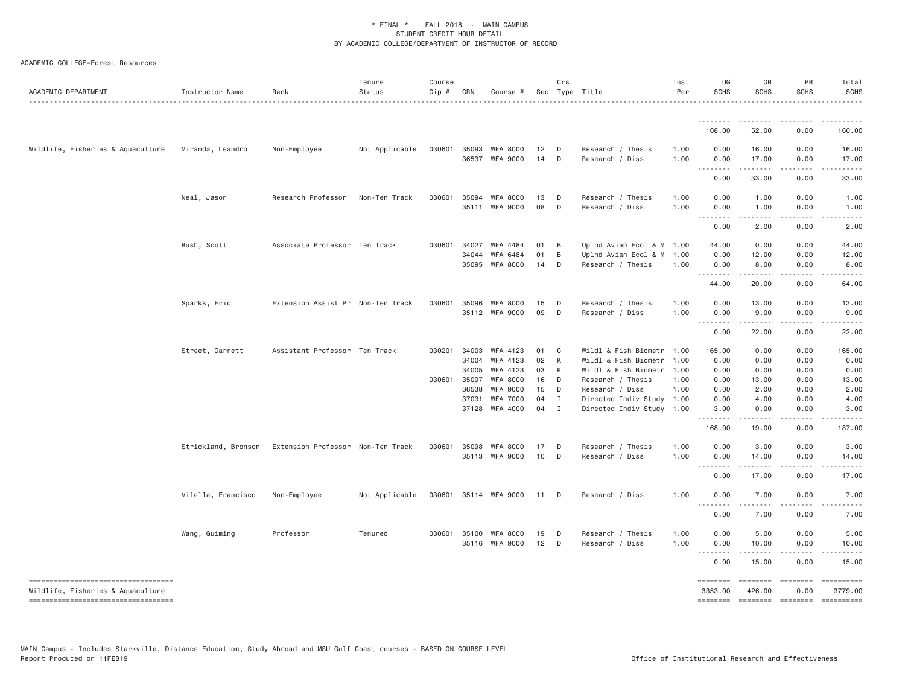| ACADEMIC DEPARTMENT                                                     | Instructor Name     | Rank                              | Tenure<br>Status | Course<br>Cip # | CRN            | Course #                                |          | Crs               | Sec Type Title                                         | Inst<br>Per  | UG<br><b>SCHS</b>                                                                                                                                                                                                                                                                                                                                                                                                                                                                              | GR<br><b>SCHS</b>        | PR<br>SCHS            | Total<br><b>SCHS</b>                                                                                                                                                                                                                                                                                                                                                                                                                           |
|-------------------------------------------------------------------------|---------------------|-----------------------------------|------------------|-----------------|----------------|-----------------------------------------|----------|-------------------|--------------------------------------------------------|--------------|------------------------------------------------------------------------------------------------------------------------------------------------------------------------------------------------------------------------------------------------------------------------------------------------------------------------------------------------------------------------------------------------------------------------------------------------------------------------------------------------|--------------------------|-----------------------|------------------------------------------------------------------------------------------------------------------------------------------------------------------------------------------------------------------------------------------------------------------------------------------------------------------------------------------------------------------------------------------------------------------------------------------------|
|                                                                         |                     |                                   |                  |                 |                |                                         |          |                   |                                                        |              |                                                                                                                                                                                                                                                                                                                                                                                                                                                                                                |                          |                       |                                                                                                                                                                                                                                                                                                                                                                                                                                                |
|                                                                         |                     |                                   |                  |                 |                |                                         |          |                   |                                                        |              | 108.00                                                                                                                                                                                                                                                                                                                                                                                                                                                                                         | 52.00                    | 0.00                  | 160.00                                                                                                                                                                                                                                                                                                                                                                                                                                         |
| Wildlife, Fisheries & Aquaculture                                       | Miranda, Leandro    | Non-Employee                      | Not Applicable   | 030601          | 35093          | WFA 8000                                | 12       | D                 | Research / Thesis                                      | 1.00         | 0.00                                                                                                                                                                                                                                                                                                                                                                                                                                                                                           | 16.00                    | 0.00                  | 16.00                                                                                                                                                                                                                                                                                                                                                                                                                                          |
|                                                                         |                     |                                   |                  |                 | 36537          | <b>WFA 9000</b>                         | 14       | D                 | Research / Diss                                        | 1.00         | 0.00<br>$\sim$ $\sim$ .<br>$\sim$ $\sim$ $\sim$                                                                                                                                                                                                                                                                                                                                                                                                                                                | 17.00                    | 0.00                  | 17.00                                                                                                                                                                                                                                                                                                                                                                                                                                          |
|                                                                         |                     |                                   |                  |                 |                |                                         |          |                   |                                                        |              | 0.00                                                                                                                                                                                                                                                                                                                                                                                                                                                                                           | 33.00                    | 0.00                  | 33.00                                                                                                                                                                                                                                                                                                                                                                                                                                          |
|                                                                         | Neal, Jason         | Research Professor                | Non-Ten Track    | 030601          | 35094          | WFA 8000                                | 13       | D                 | Research / Thesis                                      | 1.00         | 0.00                                                                                                                                                                                                                                                                                                                                                                                                                                                                                           | 1.00                     | 0.00                  | 1.00                                                                                                                                                                                                                                                                                                                                                                                                                                           |
|                                                                         |                     |                                   |                  |                 |                | 35111 WFA 9000                          | 08       | D                 | Research / Diss                                        | 1.00         | 0.00<br>$\begin{array}{cccccccccccccc} \multicolumn{2}{c}{} & \multicolumn{2}{c}{} & \multicolumn{2}{c}{} & \multicolumn{2}{c}{} & \multicolumn{2}{c}{} & \multicolumn{2}{c}{} & \multicolumn{2}{c}{} & \multicolumn{2}{c}{} & \multicolumn{2}{c}{} & \multicolumn{2}{c}{} & \multicolumn{2}{c}{} & \multicolumn{2}{c}{} & \multicolumn{2}{c}{} & \multicolumn{2}{c}{} & \multicolumn{2}{c}{} & \multicolumn{2}{c}{} & \multicolumn{2}{c}{} & \multicolumn{2}{c}{} & \multicolumn{2}{c}{} & \$ | 1.00<br>.                | 0.00<br>.             | 1.00<br>.                                                                                                                                                                                                                                                                                                                                                                                                                                      |
|                                                                         |                     |                                   |                  |                 |                |                                         |          |                   |                                                        |              | 0.00                                                                                                                                                                                                                                                                                                                                                                                                                                                                                           | 2.00                     | 0.00                  | 2.00                                                                                                                                                                                                                                                                                                                                                                                                                                           |
|                                                                         | Rush, Scott         | Associate Professor Ten Track     |                  | 030601          | 34027          | WFA 4484                                | 01       | B                 | Uplnd Avian Ecol & M 1.00                              |              | 44.00                                                                                                                                                                                                                                                                                                                                                                                                                                                                                          | 0.00                     | 0.00                  | 44.00                                                                                                                                                                                                                                                                                                                                                                                                                                          |
|                                                                         |                     |                                   |                  |                 | 34044          | WFA 6484                                | 01       | B                 | Uplnd Avian Ecol & M                                   | 1.00         | 0.00                                                                                                                                                                                                                                                                                                                                                                                                                                                                                           | 12.00                    | 0.00                  | 12.00                                                                                                                                                                                                                                                                                                                                                                                                                                          |
|                                                                         |                     |                                   |                  |                 | 35095          | WFA 8000                                | 14       | D                 | Research / Thesis                                      | 1.00         | 0.00<br>.                                                                                                                                                                                                                                                                                                                                                                                                                                                                                      | 8.00<br>.                | 0.00<br>.             | 8.00<br>$- - - - -$                                                                                                                                                                                                                                                                                                                                                                                                                            |
|                                                                         |                     |                                   |                  |                 |                |                                         |          |                   |                                                        |              | 44.00                                                                                                                                                                                                                                                                                                                                                                                                                                                                                          | 20.00                    | 0.00                  | 64.00                                                                                                                                                                                                                                                                                                                                                                                                                                          |
|                                                                         | Sparks, Eric        | Extension Assist Pr Non-Ten Track |                  | 030601          | 35096          | WFA 8000                                | 15       | $\mathsf{D}$      | Research / Thesis                                      | 1.00         | 0.00                                                                                                                                                                                                                                                                                                                                                                                                                                                                                           | 13.00                    | 0.00                  | 13.00                                                                                                                                                                                                                                                                                                                                                                                                                                          |
|                                                                         |                     |                                   |                  |                 |                | 35112 WFA 9000                          | 09       | D                 | Research / Diss                                        | 1,00         | 0.00                                                                                                                                                                                                                                                                                                                                                                                                                                                                                           | 9.00                     | 0.00                  | 9.00                                                                                                                                                                                                                                                                                                                                                                                                                                           |
|                                                                         |                     |                                   |                  |                 |                |                                         |          |                   |                                                        |              | .<br>$- - -$<br>0.00                                                                                                                                                                                                                                                                                                                                                                                                                                                                           | <b></b><br>22.00         | .<br>0.00             | 22.00                                                                                                                                                                                                                                                                                                                                                                                                                                          |
|                                                                         | Street, Garrett     | Assistant Professor Ten Track     |                  | 030201          | 34003          | WFA 4123                                | 01       | $\mathbf{C}$      | Wildl & Fish Biometr 1.00                              |              | 165.00                                                                                                                                                                                                                                                                                                                                                                                                                                                                                         | 0.00                     | 0.00                  | 165.00                                                                                                                                                                                                                                                                                                                                                                                                                                         |
|                                                                         |                     |                                   |                  |                 | 34004          | WFA 4123                                | 02       | K                 | Wildl & Fish Biometr                                   | 1.00         | 0.00                                                                                                                                                                                                                                                                                                                                                                                                                                                                                           | 0.00                     | 0.00                  | 0.00                                                                                                                                                                                                                                                                                                                                                                                                                                           |
|                                                                         |                     |                                   |                  |                 | 34005          | WFA 4123                                | 03       | K                 | Wildl & Fish Biometr                                   | 1.00         | 0.00                                                                                                                                                                                                                                                                                                                                                                                                                                                                                           | 0.00                     | 0.00                  | 0.00                                                                                                                                                                                                                                                                                                                                                                                                                                           |
|                                                                         |                     |                                   |                  |                 | 030601 35097   | <b>WFA 8000</b>                         | 16       | D                 | Research / Thesis                                      | 1.00         | 0.00                                                                                                                                                                                                                                                                                                                                                                                                                                                                                           | 13.00                    | 0.00                  | 13.00                                                                                                                                                                                                                                                                                                                                                                                                                                          |
|                                                                         |                     |                                   |                  |                 | 36538          | WFA 9000                                | 15<br>04 | D<br>$\mathbf{I}$ | Research / Diss                                        | 1.00         | 0.00<br>0.00                                                                                                                                                                                                                                                                                                                                                                                                                                                                                   | 2.00<br>4.00             | 0.00<br>0.00          | 2.00<br>4.00                                                                                                                                                                                                                                                                                                                                                                                                                                   |
|                                                                         |                     |                                   |                  |                 | 37031<br>37128 | <b>WFA 7000</b><br>WFA 4000             | 04       | $\blacksquare$    | Directed Indiv Study 1.00<br>Directed Indiv Study 1.00 |              | 3.00                                                                                                                                                                                                                                                                                                                                                                                                                                                                                           | 0.00                     | 0.00                  | 3.00                                                                                                                                                                                                                                                                                                                                                                                                                                           |
|                                                                         |                     |                                   |                  |                 |                |                                         |          |                   |                                                        |              | .<br>168.00                                                                                                                                                                                                                                                                                                                                                                                                                                                                                    | 19.00                    | 0.00                  | 187.00                                                                                                                                                                                                                                                                                                                                                                                                                                         |
|                                                                         |                     |                                   |                  |                 |                |                                         |          | D                 |                                                        |              | 0.00                                                                                                                                                                                                                                                                                                                                                                                                                                                                                           |                          | 0.00                  | 3.00                                                                                                                                                                                                                                                                                                                                                                                                                                           |
|                                                                         | Strickland, Bronson | Extension Professor Non-Ten Track |                  | 030601          | 35098          | WFA 8000<br>35113 WFA 9000              | 17<br>10 | $\mathsf{D}$      | Research / Thesis<br>Research / Diss                   | 1.00<br>1.00 | 0.00                                                                                                                                                                                                                                                                                                                                                                                                                                                                                           | 3.00<br>14.00            | 0.00                  | 14.00                                                                                                                                                                                                                                                                                                                                                                                                                                          |
|                                                                         |                     |                                   |                  |                 |                |                                         |          |                   |                                                        |              | .<br>0.00                                                                                                                                                                                                                                                                                                                                                                                                                                                                                      | .<br>17.00               | .<br>0.00             | 17.00                                                                                                                                                                                                                                                                                                                                                                                                                                          |
|                                                                         | Vilella, Francisco  | Non-Employee                      | Not Applicable   |                 |                | 030601 35114 WFA 9000                   | 11       | $\Box$            | Research / Diss                                        | 1.00         | 0.00                                                                                                                                                                                                                                                                                                                                                                                                                                                                                           | 7.00                     | 0.00                  | 7.00                                                                                                                                                                                                                                                                                                                                                                                                                                           |
|                                                                         |                     |                                   |                  |                 |                |                                         |          |                   |                                                        |              | .<br>0.00                                                                                                                                                                                                                                                                                                                                                                                                                                                                                      | .<br>7.00                | 0.00                  | 7.00                                                                                                                                                                                                                                                                                                                                                                                                                                           |
|                                                                         |                     |                                   |                  |                 |                |                                         |          |                   |                                                        |              |                                                                                                                                                                                                                                                                                                                                                                                                                                                                                                |                          |                       |                                                                                                                                                                                                                                                                                                                                                                                                                                                |
|                                                                         | Wang, Guiming       | Professor                         | Tenured          |                 |                | 030601 35100 WFA 8000<br>35116 WFA 9000 | 19<br>12 | D<br>D            | Research / Thesis<br>Research / Diss                   | 1.00<br>1.00 | 0.00<br>0.00                                                                                                                                                                                                                                                                                                                                                                                                                                                                                   | 5.00<br>10.00            | 0.00<br>0.00          | 5.00<br>10.00                                                                                                                                                                                                                                                                                                                                                                                                                                  |
|                                                                         |                     |                                   |                  |                 |                |                                         |          |                   |                                                        |              | .                                                                                                                                                                                                                                                                                                                                                                                                                                                                                              |                          |                       |                                                                                                                                                                                                                                                                                                                                                                                                                                                |
|                                                                         |                     |                                   |                  |                 |                |                                         |          |                   |                                                        |              | 0.00                                                                                                                                                                                                                                                                                                                                                                                                                                                                                           | 15.00                    | 0.00                  | 15.00                                                                                                                                                                                                                                                                                                                                                                                                                                          |
| ----------------------------------<br>Wildlife, Fisheries & Aquaculture |                     |                                   |                  |                 |                |                                         |          |                   |                                                        |              | 3353.00                                                                                                                                                                                                                                                                                                                                                                                                                                                                                        | <b>ESSESSE</b><br>426.00 | $= 222222222$<br>0.00 | $\begin{minipage}{0.9\linewidth} \hspace*{-0.2cm} \textbf{1} & \textbf{2} & \textbf{3} & \textbf{5} & \textbf{6} & \textbf{7} & \textbf{8} \\ \textbf{1} & \textbf{2} & \textbf{3} & \textbf{5} & \textbf{6} & \textbf{7} & \textbf{8} & \textbf{8} \\ \textbf{3} & \textbf{4} & \textbf{5} & \textbf{5} & \textbf{6} & \textbf{7} & \textbf{8} & \textbf{8} \\ \textbf{5} & \textbf{5} & \textbf{6} & \textbf{7} & \textbf{8} & \$<br>3779.00 |
| ======================================                                  |                     |                                   |                  |                 |                |                                         |          |                   |                                                        |              | ========                                                                                                                                                                                                                                                                                                                                                                                                                                                                                       | $=$ ========             | $=$ ========          | ==========                                                                                                                                                                                                                                                                                                                                                                                                                                     |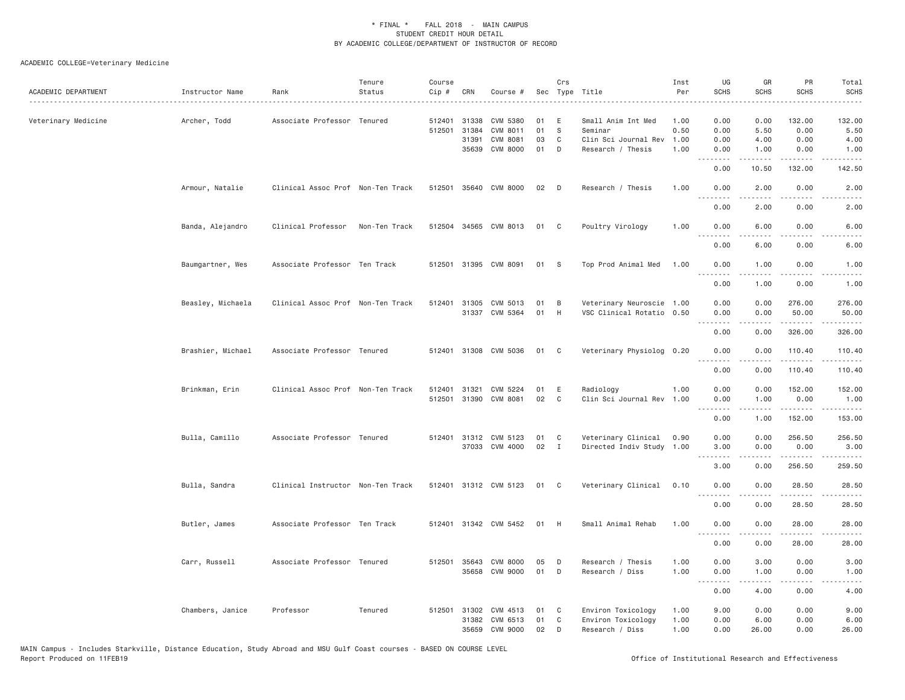# ACADEMIC COLLEGE=Veterinary Medicine

| ACADEMIC DEPARTMENT | Instructor Name   | Rank                              | Tenure<br>Status | Course<br>Cip #  | CRN                            | Course #                                       |                | Crs                    | Sec Type Title                                              | Inst<br>Per          | UG<br><b>SCHS</b>                                                                                                                                                                                                                                                                                                                                                                                                                                                                              | GR<br><b>SCHS</b>                                                                                                                                            | PR<br><b>SCHS</b>      | Total<br><b>SCHS</b>            |
|---------------------|-------------------|-----------------------------------|------------------|------------------|--------------------------------|------------------------------------------------|----------------|------------------------|-------------------------------------------------------------|----------------------|------------------------------------------------------------------------------------------------------------------------------------------------------------------------------------------------------------------------------------------------------------------------------------------------------------------------------------------------------------------------------------------------------------------------------------------------------------------------------------------------|--------------------------------------------------------------------------------------------------------------------------------------------------------------|------------------------|---------------------------------|
| Veterinary Medicine | Archer, Todd      | Associate Professor Tenured       |                  | 512401<br>512501 | 31338<br>31384<br>31391        | <b>CVM 5380</b><br>CVM 8011<br><b>CVM 8081</b> | 01<br>01<br>03 | E<br><sub>S</sub><br>C | Small Anim Int Med<br>Seminar<br>Clin Sci Journal Rev       | 1.00<br>0.50<br>1.00 | 0.00<br>0.00<br>0.00                                                                                                                                                                                                                                                                                                                                                                                                                                                                           | 0.00<br>5.50<br>4.00                                                                                                                                         | 132.00<br>0.00<br>0.00 | 132.00<br>5.50<br>4.00          |
|                     |                   |                                   |                  |                  | 35639                          | <b>CVM 8000</b>                                | 01             | D                      | Research / Thesis                                           | 1.00                 | 0.00<br>.<br>0.00                                                                                                                                                                                                                                                                                                                                                                                                                                                                              | 1.00<br><u>.</u><br>10.50                                                                                                                                    | 0.00<br>.<br>132.00    | 1.00<br>.<br>142.50             |
|                     | Armour, Natalie   | Clinical Assoc Prof Non-Ten Track |                  |                  |                                | 512501 35640 CVM 8000                          | 02             | D                      | Research / Thesis                                           | 1.00                 | 0.00                                                                                                                                                                                                                                                                                                                                                                                                                                                                                           | 2.00                                                                                                                                                         | 0.00                   | 2.00                            |
|                     |                   |                                   |                  |                  |                                |                                                |                |                        |                                                             |                      | <u>.</u><br>0.00                                                                                                                                                                                                                                                                                                                                                                                                                                                                               | 2.00                                                                                                                                                         | 0.00                   | 2.00                            |
|                     | Banda, Alejandro  | Clinical Professor                | Non-Ten Track    |                  |                                | 512504 34565 CVM 8013                          | 01             | C <sub>1</sub>         | Poultry Virology                                            | 1.00                 | 0.00<br>.                                                                                                                                                                                                                                                                                                                                                                                                                                                                                      | 6.00                                                                                                                                                         | 0.00                   | 6.00                            |
|                     |                   |                                   |                  |                  |                                |                                                |                |                        |                                                             |                      | 0.00                                                                                                                                                                                                                                                                                                                                                                                                                                                                                           | 6.00                                                                                                                                                         | 0.00                   | 6.00                            |
|                     | Baumgartner, Wes  | Associate Professor Ten Track     |                  |                  |                                | 512501 31395 CVM 8091                          | 01             | $\mathbf{s}$           | Top Prod Animal Med                                         | 1.00                 | 0.00<br>$- - - -$                                                                                                                                                                                                                                                                                                                                                                                                                                                                              | 1.00<br>.                                                                                                                                                    | 0.00<br>----           | 1.00<br>$\frac{1}{2}$           |
|                     |                   |                                   |                  |                  |                                |                                                |                |                        |                                                             |                      | 0.00                                                                                                                                                                                                                                                                                                                                                                                                                                                                                           | 1.00                                                                                                                                                         | 0.00                   | 1.00                            |
|                     | Beasley, Michaela | Clinical Assoc Prof Non-Ten Track |                  | 512401           | 31305                          | CVM 5013<br>31337 CVM 5364                     | 01<br>01       | B<br>H                 | Veterinary Neuroscie 1.00<br>VSC Clinical Rotatio 0.50      |                      | 0.00<br>0.00<br>.                                                                                                                                                                                                                                                                                                                                                                                                                                                                              | 0.00<br>0.00<br>.                                                                                                                                            | 276.00<br>50,00<br>.   | 276.00<br>50.00                 |
|                     |                   |                                   |                  |                  |                                |                                                |                |                        |                                                             |                      | 0.00                                                                                                                                                                                                                                                                                                                                                                                                                                                                                           | 0.00                                                                                                                                                         | 326.00                 | 326.00                          |
|                     | Brashier, Michael | Associate Professor Tenured       |                  |                  |                                | 512401 31308 CVM 5036                          | 01             | $\mathbf{C}$           | Veterinary Physiolog 0.20                                   |                      | 0.00<br>----                                                                                                                                                                                                                                                                                                                                                                                                                                                                                   | 0.00                                                                                                                                                         | 110.40<br>.            | 110.40<br>$- - - - - -$         |
|                     |                   |                                   |                  |                  |                                |                                                |                |                        |                                                             |                      | 0.00                                                                                                                                                                                                                                                                                                                                                                                                                                                                                           | 0.00                                                                                                                                                         | 110.40                 | 110.40                          |
|                     | Brinkman, Erin    | Clinical Assoc Prof Non-Ten Track |                  | 512401<br>512501 | 31321                          | CVM 5224<br>31390 CVM 8081                     | 01<br>02       | E<br>C                 | Radiology<br>Clin Sci Journal Rev 1.00                      | 1.00                 | 0.00<br>0.00<br><u>.</u>                                                                                                                                                                                                                                                                                                                                                                                                                                                                       | 0.00<br>1.00<br>.                                                                                                                                            | 152.00<br>0.00<br>.    | 152.00<br>1.00<br>.             |
|                     |                   |                                   |                  |                  |                                |                                                |                |                        |                                                             |                      | 0.00                                                                                                                                                                                                                                                                                                                                                                                                                                                                                           | 1.00                                                                                                                                                         | 152.00                 | 153.00                          |
|                     | Bulla, Camillo    | Associate Professor Tenured       |                  |                  | 37033                          | 512401 31312 CVM 5123<br>CVM 4000              | 01<br>02       | C<br>$\mathbf{I}$      | Veterinary Clinical<br>Directed Indiv Study 1.00            | 0.90                 | 0.00<br>3.00<br>.                                                                                                                                                                                                                                                                                                                                                                                                                                                                              | 0.00<br>0.00<br>.                                                                                                                                            | 256.50<br>0.00<br>.    | 256.50<br>3.00<br>$- - - - - -$ |
|                     |                   |                                   |                  |                  |                                |                                                |                |                        |                                                             |                      | 3.00                                                                                                                                                                                                                                                                                                                                                                                                                                                                                           | 0.00                                                                                                                                                         | 256.50                 | 259.50                          |
|                     | Bulla, Sandra     | Clinical Instructor Non-Ten Track |                  |                  |                                | 512401 31312 CVM 5123                          | 01             | $\mathbf{C}$           | Veterinary Clinical                                         | 0.10                 | 0.00                                                                                                                                                                                                                                                                                                                                                                                                                                                                                           | 0.00                                                                                                                                                         | 28.50                  | 28.50                           |
|                     |                   |                                   |                  |                  |                                |                                                |                |                        |                                                             |                      | 0.00                                                                                                                                                                                                                                                                                                                                                                                                                                                                                           | 0.00                                                                                                                                                         | 28.50                  | 28.50                           |
|                     | Butler, James     | Associate Professor Ten Track     |                  |                  |                                | 512401 31342 CVM 5452                          | 01             | H                      | Small Animal Rehab                                          | 1.00                 | 0.00                                                                                                                                                                                                                                                                                                                                                                                                                                                                                           | 0.00                                                                                                                                                         | 28.00<br>.             | 28.00<br>.                      |
|                     |                   |                                   |                  |                  |                                |                                                |                |                        |                                                             |                      | 0.00                                                                                                                                                                                                                                                                                                                                                                                                                                                                                           | 0.00                                                                                                                                                         | 28.00                  | 28.00                           |
|                     | Carr, Russell     | Associate Professor Tenured       |                  |                  |                                | 512501 35643 CVM 8000<br>35658 CVM 9000        | 05<br>01       | D<br>D                 | Research / Thesis<br>Research / Diss                        | 1.00<br>1,00         | 0.00<br>0.00                                                                                                                                                                                                                                                                                                                                                                                                                                                                                   | 3,00<br>1.00                                                                                                                                                 | 0.00<br>0.00           | 3.00<br>1.00                    |
|                     |                   |                                   |                  |                  |                                |                                                |                |                        |                                                             |                      | $\begin{array}{cccccccccccccc} \multicolumn{2}{c}{} & \multicolumn{2}{c}{} & \multicolumn{2}{c}{} & \multicolumn{2}{c}{} & \multicolumn{2}{c}{} & \multicolumn{2}{c}{} & \multicolumn{2}{c}{} & \multicolumn{2}{c}{} & \multicolumn{2}{c}{} & \multicolumn{2}{c}{} & \multicolumn{2}{c}{} & \multicolumn{2}{c}{} & \multicolumn{2}{c}{} & \multicolumn{2}{c}{} & \multicolumn{2}{c}{} & \multicolumn{2}{c}{} & \multicolumn{2}{c}{} & \multicolumn{2}{c}{} & \multicolumn{2}{c}{} & \$<br>0.00 | $\frac{1}{2} \left( \frac{1}{2} \right) \left( \frac{1}{2} \right) \left( \frac{1}{2} \right) \left( \frac{1}{2} \right) \left( \frac{1}{2} \right)$<br>4.00 | .<br>0.00              | $- - - -$<br>4.00               |
|                     | Chambers, Janice  | Professor                         | Tenured          |                  | 512501 31302<br>31382<br>35659 | CVM 4513<br>CVM 6513<br>CVM 9000               | 01<br>01<br>02 | C<br>C<br>D            | Environ Toxicology<br>Environ Toxicology<br>Research / Diss | 1.00<br>1.00<br>1,00 | 9.00<br>0.00<br>0.00                                                                                                                                                                                                                                                                                                                                                                                                                                                                           | 0.00<br>6.00<br>26,00                                                                                                                                        | 0.00<br>0.00<br>0.00   | 9.00<br>6.00<br>26.00           |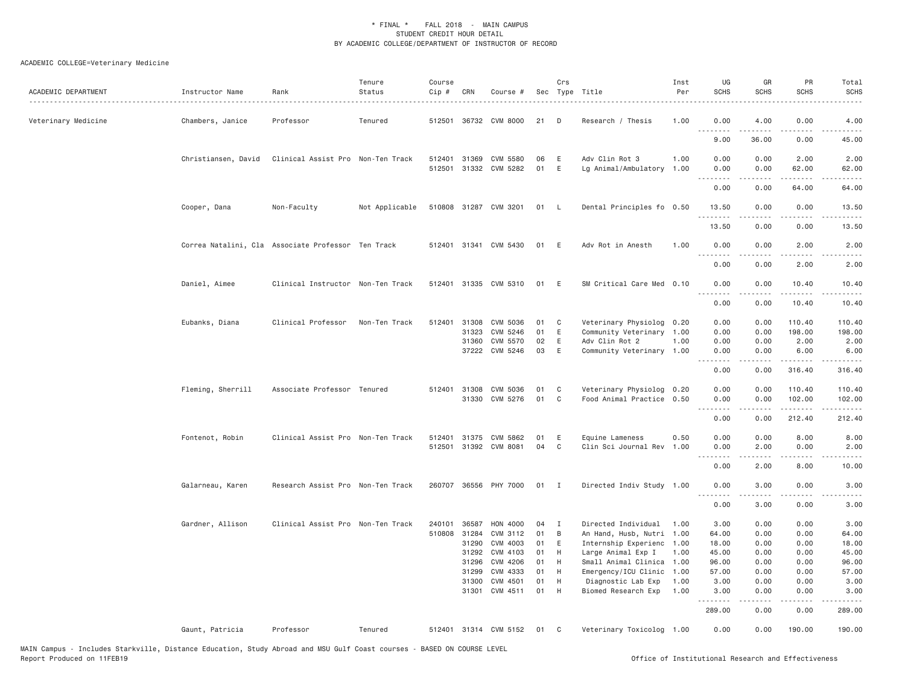# ACADEMIC COLLEGE=Veterinary Medicine

| ACADEMIC DEPARTMENT | Instructor Name                                    | Rank                              | Tenure<br>Status | Course<br>Cip # | CRN   | Course #              |      | Crs          | Sec Type Title            | Inst<br>Per<br>. | UG<br><b>SCHS</b>  | GR<br>SCHS       | PR<br><b>SCHS</b>       | Total<br><b>SCHS</b><br>$- - - -$                                                                                                                    |
|---------------------|----------------------------------------------------|-----------------------------------|------------------|-----------------|-------|-----------------------|------|--------------|---------------------------|------------------|--------------------|------------------|-------------------------|------------------------------------------------------------------------------------------------------------------------------------------------------|
| Veterinary Medicine | Chambers, Janice                                   | Professor                         | Tenured          | 512501          |       | 36732 CVM 8000        | 21   | D            | Research / Thesis         | 1.00             | 0.00<br>.          | 4.00             | 0.00<br>$- - -$         | 4.00<br>.                                                                                                                                            |
|                     |                                                    |                                   |                  |                 |       |                       |      |              |                           |                  | 9.00               | 36.00            | 0.00                    | 45.00                                                                                                                                                |
|                     | Christiansen, David                                | Clinical Assist Pro Non-Ten Track |                  | 512401          | 31369 | CVM 5580              | 06   | E            | Adv Clin Rot 3            | 1.00             | 0.00               | 0.00             | 2.00                    | 2.00                                                                                                                                                 |
|                     |                                                    |                                   |                  |                 |       | 512501 31332 CVM 5282 | 01   | Ε            | Lg Animal/Ambulatory      | 1.00             | 0.00               | 0.00             | 62.00                   | 62.00                                                                                                                                                |
|                     |                                                    |                                   |                  |                 |       |                       |      |              |                           |                  | <u>.</u><br>0.00   | .<br>0.00        | .<br>64.00              | $\sim$ $\sim$ $\sim$ $\sim$                                                                                                                          |
|                     |                                                    |                                   |                  |                 |       |                       |      |              |                           |                  |                    |                  |                         | 64.00                                                                                                                                                |
|                     | Cooper, Dana                                       | Non-Faculty                       | Not Applicable   |                 |       | 510808 31287 CVM 3201 | 01 L |              | Dental Principles fo 0.50 |                  | 13.50              | 0.00             | 0.00                    | 13.50                                                                                                                                                |
|                     |                                                    |                                   |                  |                 |       |                       |      |              |                           |                  | . <u>.</u>         | .                | .                       | .                                                                                                                                                    |
|                     |                                                    |                                   |                  |                 |       |                       |      |              |                           |                  | 13.50              | 0.00             | 0.00                    | 13.50                                                                                                                                                |
|                     | Correa Natalini, Cla Associate Professor Ten Track |                                   |                  |                 |       | 512401 31341 CVM 5430 | 01   | E            | Adv Rot in Anesth         | 1.00             | 0.00               | 0.00             | 2.00                    | 2.00                                                                                                                                                 |
|                     |                                                    |                                   |                  |                 |       |                       |      |              |                           |                  | . <i>.</i><br>0.00 | <u>.</u><br>0.00 | .<br>2.00               | $\frac{1}{2} \left( \frac{1}{2} \right) \left( \frac{1}{2} \right) \left( \frac{1}{2} \right) \left( \frac{1}{2} \right)$<br>2.00                    |
|                     |                                                    |                                   |                  |                 |       |                       |      |              |                           |                  |                    |                  |                         |                                                                                                                                                      |
|                     | Daniel, Aimee                                      | Clinical Instructor Non-Ten Track |                  |                 |       | 512401 31335 CVM 5310 | 01   | Ε            | SM Critical Care Med 0.10 |                  | 0.00               | 0.00             | 10.40                   | 10.40                                                                                                                                                |
|                     |                                                    |                                   |                  |                 |       |                       |      |              |                           |                  | .<br>0.00          | .<br>0.00        | .<br>10.40              | الداعات الدار<br>10.40                                                                                                                               |
|                     |                                                    |                                   |                  |                 |       |                       |      |              |                           |                  |                    |                  |                         |                                                                                                                                                      |
|                     | Eubanks, Diana                                     | Clinical Professor                | Non-Ten Track    | 512401          | 31308 | CVM 5036              | 01   | C            | Veterinary Physiolog 0.20 |                  | 0.00               | 0.00             | 110.40                  | 110.40                                                                                                                                               |
|                     |                                                    |                                   |                  |                 | 31323 | CVM 5246              | 01   | E            | Community Veterinary 1.00 |                  | 0.00               | 0.00             | 198.00                  | 198.00                                                                                                                                               |
|                     |                                                    |                                   |                  |                 | 31360 | CVM 5570              | 02   | E            | Adv Clin Rot 2            | 1.00             | 0.00               | 0.00             | 2.00                    | 2.00                                                                                                                                                 |
|                     |                                                    |                                   |                  |                 |       | 37222 CVM 5246        | 03   | E            | Community Veterinary 1.00 |                  | 0.00<br>.          | 0.00<br>.        | 6.00<br>$- - - - - - -$ | 6.00<br><u>.</u>                                                                                                                                     |
|                     |                                                    |                                   |                  |                 |       |                       |      |              |                           |                  | 0.00               | 0.00             | 316.40                  | 316.40                                                                                                                                               |
|                     | Fleming, Sherrill                                  | Associate Professor Tenured       |                  |                 |       | 512401 31308 CVM 5036 | 01   | C            | Veterinary Physiolog 0.20 |                  | 0.00               | 0.00             | 110.40                  | 110.40                                                                                                                                               |
|                     |                                                    |                                   |                  |                 |       | 31330 CVM 5276        | 01   | C            | Food Animal Practice 0.50 |                  | 0.00               | 0.00             | 102.00                  | 102.00                                                                                                                                               |
|                     |                                                    |                                   |                  |                 |       |                       |      |              |                           |                  |                    |                  |                         | $\frac{1}{2} \left( \frac{1}{2} \right) \left( \frac{1}{2} \right) \left( \frac{1}{2} \right) \left( \frac{1}{2} \right) \left( \frac{1}{2} \right)$ |
|                     |                                                    |                                   |                  |                 |       |                       |      |              |                           |                  | 0.00               | 0.00             | 212.40                  | 212.40                                                                                                                                               |
|                     | Fontenot, Robin                                    | Clinical Assist Pro Non-Ten Track |                  | 512401          |       | 31375 CVM 5862        | 01   | E            | Equine Lameness           | 0.50             | 0.00               | 0.00             | 8.00                    | 8.00                                                                                                                                                 |
|                     |                                                    |                                   |                  | 512501          |       | 31392 CVM 8081        | 04   | $\mathsf{C}$ | Clin Sci Journal Rev      | 1.00             | 0.00               | 2.00             | 0.00                    | 2.00                                                                                                                                                 |
|                     |                                                    |                                   |                  |                 |       |                       |      |              |                           |                  | .                  | .                | .                       | $- - - - -$                                                                                                                                          |
|                     |                                                    |                                   |                  |                 |       |                       |      |              |                           |                  | 0.00               | 2.00             | 8.00                    | 10.00                                                                                                                                                |
|                     | Galarneau, Karen                                   | Research Assist Pro Non-Ten Track |                  |                 |       | 260707 36556 PHY 7000 | 01 I |              | Directed Indiv Study 1.00 |                  | 0.00               | 3.00             | 0.00                    | 3.00                                                                                                                                                 |
|                     |                                                    |                                   |                  |                 |       |                       |      |              |                           |                  |                    |                  |                         |                                                                                                                                                      |
|                     |                                                    |                                   |                  |                 |       |                       |      |              |                           |                  | 0.00               | 3.00             | 0.00                    | 3.00                                                                                                                                                 |
|                     | Gardner, Allison                                   | Clinical Assist Pro Non-Ten Track |                  | 240101          | 36587 | HON 4000              | 04   | I            | Directed Individual       | 1.00             | 3.00               | 0.00             | 0.00                    | 3.00                                                                                                                                                 |
|                     |                                                    |                                   |                  | 510808          | 31284 | CVM 3112              | 01   | B            | An Hand, Husb, Nutri 1.00 |                  | 64.00              | 0.00             | 0.00                    | 64.00                                                                                                                                                |
|                     |                                                    |                                   |                  |                 | 31290 | CVM 4003              | 01   | E            | Internship Experienc      | 1.00             | 18.00              | 0.00             | 0.00                    | 18.00                                                                                                                                                |
|                     |                                                    |                                   |                  |                 | 31292 | CVM 4103              | 01   | H            | Large Animal Exp I        | 1.00             | 45.00              | 0.00             | 0.00                    | 45.00                                                                                                                                                |
|                     |                                                    |                                   |                  |                 | 31296 | CVM 4206              | 01   | H            | Small Animal Clinica 1.00 |                  | 96.00              | 0.00             | 0.00                    | 96.00                                                                                                                                                |
|                     |                                                    |                                   |                  |                 | 31299 | CVM 4333              | 01   | H            | Emergency/ICU Clinic      | 1.00             | 57.00              | 0.00             | 0.00                    | 57.00                                                                                                                                                |
|                     |                                                    |                                   |                  |                 | 31300 | CVM 4501              | 01   | H            | Diagnostic Lab Exp        | 1.00             | 3.00               | 0.00             | 0.00                    | 3.00                                                                                                                                                 |
|                     |                                                    |                                   |                  |                 |       | 31301 CVM 4511        | 01   | H            | Biomed Research Exp       | 1.00             | 3.00               | 0.00             | 0.00                    | 3.00                                                                                                                                                 |
|                     |                                                    |                                   |                  |                 |       |                       |      |              |                           |                  | .<br>289.00        | 0.00             | $\frac{1}{2}$<br>0.00   | .<br>289.00                                                                                                                                          |
|                     | Gaunt, Patricia                                    | Professor                         | Tenured          |                 |       | 512401 31314 CVM 5152 | 01   | - C          | Veterinary Toxicolog 1.00 |                  | 0.00               | 0.00             | 190.00                  | 190.00                                                                                                                                               |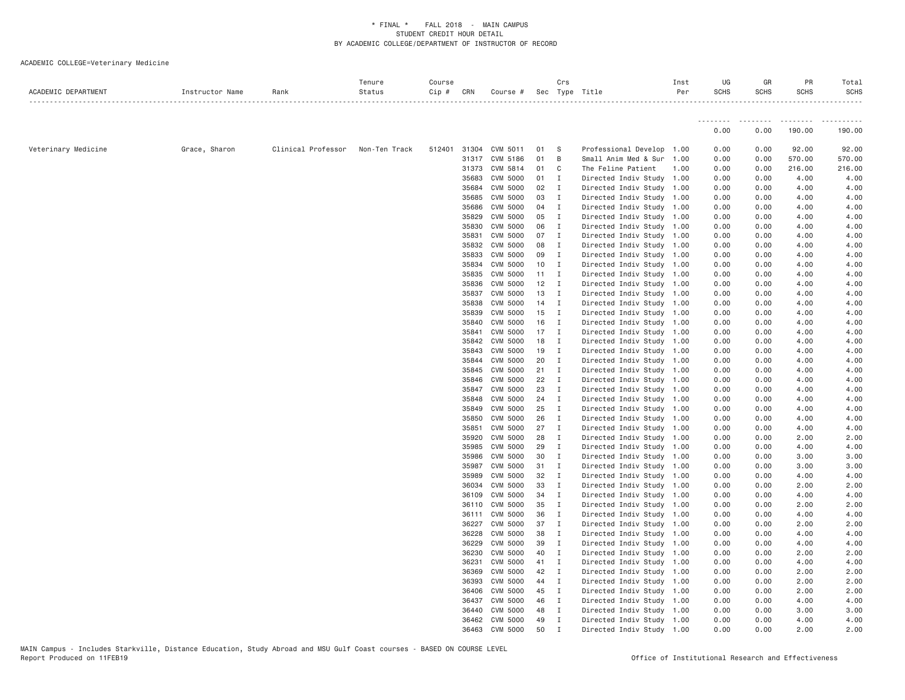ACADEMIC COLLEGE=Veterinary Medicine

| ACADEMIC DEPARTMENT | Instructor Name | Rank               | Tenure<br>Status | Course<br>Cip # CRN |                | Course # Sec Type Title |                | Crs            |                                                        | Inst<br>Per | UG<br><b>SCHS</b> | GR<br><b>SCHS</b> | PR<br><b>SCHS</b> | Total<br><b>SCHS</b> |
|---------------------|-----------------|--------------------|------------------|---------------------|----------------|-------------------------|----------------|----------------|--------------------------------------------------------|-------------|-------------------|-------------------|-------------------|----------------------|
|                     |                 |                    |                  |                     |                |                         |                |                |                                                        |             | --------          | .                 | .                 |                      |
|                     |                 |                    |                  |                     |                |                         |                |                |                                                        |             | 0.00              | 0.00              | 190.00            | 190.00               |
| Veterinary Medicine | Grace, Sharon   | Clinical Professor | Non-Ten Track    |                     |                | 512401 31304 CVM 5011   | 01             | - S            | Professional Develop 1.00                              |             | 0.00              | 0.00              | 92.00             | 92.00                |
|                     |                 |                    |                  |                     |                | 31317 CVM 5186          | 01             | $\overline{B}$ | Small Anim Med & Sur 1.00                              |             | 0.00              | 0.00              | 570.00            | 570.00               |
|                     |                 |                    |                  |                     | 31373          | CVM 5814                | 01 C           |                | The Feline Patient                                     | 1.00        | 0.00              | 0.00              | 216.00            | 216.00               |
|                     |                 |                    |                  |                     | 35683          | CVM 5000                | 01 I           |                | Directed Indiv Study 1.00                              |             | 0.00              | 0.00              | 4.00              | 4.00                 |
|                     |                 |                    |                  |                     | 35684          | CVM 5000                | 02 I           |                | Directed Indiv Study 1.00                              |             | 0.00              | 0.00              | 4.00              | 4.00                 |
|                     |                 |                    |                  |                     | 35685          | CVM 5000                | 03             | $\mathbf{I}$   | Directed Indiv Study 1.00                              |             | 0.00              | 0.00              | 4.00              | 4.00                 |
|                     |                 |                    |                  |                     | 35686          | CVM 5000                | 04 I           |                | Directed Indiv Study 1.00                              |             | 0.00              | 0.00              | 4.00              | 4.00                 |
|                     |                 |                    |                  |                     | 35829          | CVM 5000                | 05             | $\blacksquare$ | Directed Indiv Study 1.00                              |             | 0.00              | 0.00              | 4.00              | 4.00                 |
|                     |                 |                    |                  |                     | 35830          | CVM 5000                | 06             | $\mathbf{I}$   | Directed Indiv Study 1.00                              |             | 0.00              | 0.00              | 4.00              | 4.00                 |
|                     |                 |                    |                  |                     | 35831          | CVM 5000                | 07 I           |                | Directed Indiv Study 1.00                              |             | 0.00              | 0.00              | 4.00              | 4.00                 |
|                     |                 |                    |                  |                     | 35832          | CVM 5000                | 08             | $\mathbf{I}$   | Directed Indiv Study 1.00                              |             | 0.00              | 0.00              | 4.00              | 4.00                 |
|                     |                 |                    |                  |                     | 35833          | CVM 5000                | 09             | $\mathbf{I}$   | Directed Indiv Study 1.00                              |             | 0.00              | 0.00              | 4.00              | 4.00                 |
|                     |                 |                    |                  |                     | 35834          | CVM 5000                | 10 I           |                | Directed Indiv Study 1.00                              |             | 0.00              | 0.00              | 4.00              | 4.00                 |
|                     |                 |                    |                  |                     | 35835          | CVM 5000                | $11 \quad I$   |                | Directed Indiv Study 1.00                              |             | 0.00              | 0.00              | 4.00              | 4.00                 |
|                     |                 |                    |                  |                     | 35836          | CVM 5000                | $12$ I         |                | Directed Indiv Study 1.00                              |             | 0.00              | 0.00              | 4.00              | 4.00                 |
|                     |                 |                    |                  |                     | 35837          | CVM 5000                | 13             | $\mathbf{I}$   | Directed Indiv Study 1.00                              |             | 0.00              | 0.00              | 4.00              | 4.00                 |
|                     |                 |                    |                  |                     | 35838          | CVM 5000                | 14 I           |                | Directed Indiv Study 1.00                              |             | 0.00              | 0.00              | 4.00              | 4.00<br>4.00         |
|                     |                 |                    |                  |                     | 35839          | CVM 5000                | 15 I           |                | Directed Indiv Study 1.00                              |             | 0.00              | 0.00              | 4.00              | 4.00                 |
|                     |                 |                    |                  |                     | 35840<br>35841 | CVM 5000<br>CVM 5000    | 16 I<br>$17$ I |                | Directed Indiv Study 1.00<br>Directed Indiv Study 1.00 |             | 0.00<br>0.00      | 0.00<br>0.00      | 4.00<br>4.00      | 4.00                 |
|                     |                 |                    |                  |                     | 35842          | CVM 5000                | 18             | $\blacksquare$ | Directed Indiv Study 1.00                              |             | 0.00              | 0.00              | 4.00              | 4.00                 |
|                     |                 |                    |                  |                     | 35843          | CVM 5000                | 19             | $\blacksquare$ | Directed Indiv Study 1.00                              |             | 0.00              | 0.00              | 4.00              | 4.00                 |
|                     |                 |                    |                  |                     | 35844          | CVM 5000                | 20 I           |                | Directed Indiv Study 1.00                              |             | 0.00              | 0.00              | 4.00              | 4.00                 |
|                     |                 |                    |                  |                     | 35845          | CVM 5000                | $21 \quad I$   |                | Directed Indiv Study 1.00                              |             | 0.00              | 0.00              | 4.00              | 4.00                 |
|                     |                 |                    |                  |                     | 35846          | CVM 5000                | 22 I           |                | Directed Indiv Study 1.00                              |             | 0.00              | 0.00              | 4.00              | 4.00                 |
|                     |                 |                    |                  |                     | 35847          | CVM 5000                | 23             | $\mathbf{I}$   | Directed Indiv Study 1.00                              |             | 0.00              | 0.00              | 4.00              | 4.00                 |
|                     |                 |                    |                  |                     | 35848          | CVM 5000                | 24 I           |                | Directed Indiv Study 1.00                              |             | 0.00              | 0.00              | 4.00              | 4.00                 |
|                     |                 |                    |                  |                     | 35849          | CVM 5000                | 25             | $\blacksquare$ | Directed Indiv Study 1.00                              |             | 0.00              | 0.00              | 4.00              | 4.00                 |
|                     |                 |                    |                  |                     | 35850          | CVM 5000                | 26             | $\mathbf{I}$   | Directed Indiv Study 1.00                              |             | 0.00              | 0.00              | 4.00              | 4.00                 |
|                     |                 |                    |                  |                     | 35851          | CVM 5000                | 27 I           |                | Directed Indiv Study 1.00                              |             | 0.00              | 0.00              | 4.00              | 4.00                 |
|                     |                 |                    |                  |                     | 35920          | CVM 5000                | 28             | $\mathbf{I}$   | Directed Indiv Study 1.00                              |             | 0.00              | 0.00              | 2.00              | 2.00                 |
|                     |                 |                    |                  |                     | 35985          | CVM 5000                | 29             | $\mathbf{I}$   | Directed Indiv Study 1.00                              |             | 0.00              | 0.00              | 4.00              | 4.00                 |
|                     |                 |                    |                  |                     | 35986          | CVM 5000                | 30 I           |                | Directed Indiv Study 1.00                              |             | 0.00              | 0.00              | 3.00              | 3.00                 |
|                     |                 |                    |                  |                     | 35987          | CVM 5000                | 31 I           |                | Directed Indiv Study 1.00                              |             | 0.00              | 0.00              | 3.00              | 3.00                 |
|                     |                 |                    |                  |                     | 35989          | CVM 5000                | 32 I           |                | Directed Indiv Study 1.00                              |             | 0.00              | 0.00              | 4.00              | 4.00                 |
|                     |                 |                    |                  |                     | 36034          | CVM 5000                | 33             | $\mathbf{I}$   | Directed Indiv Study 1.00                              |             | 0.00              | 0.00              | 2.00              | 2.00                 |
|                     |                 |                    |                  |                     | 36109          | CVM 5000                | 34 I           |                | Directed Indiv Study 1.00                              |             | 0.00              | 0.00              | 4.00              | 4.00                 |
|                     |                 |                    |                  |                     | 36110          | <b>CVM 5000</b>         | 35             | $\mathbf{I}$   | Directed Indiv Study 1.00                              |             | 0.00              | 0.00              | 2.00              | 2.00                 |
|                     |                 |                    |                  |                     | 36111          | CVM 5000                | 36             | $\mathbf{I}$   | Directed Indiv Study 1.00                              |             | 0.00              | 0.00              | 4.00              | 4.00                 |
|                     |                 |                    |                  |                     | 36227          | CVM 5000                | 37 I           |                | Directed Indiv Study 1.00                              |             | 0.00              | 0.00              | 2.00              | 2.00                 |
|                     |                 |                    |                  |                     | 36228          | CVM 5000                | 38             | $\mathbf{I}$   | Directed Indiv Study 1.00                              |             | 0.00              | 0.00              | 4.00              | 4.00                 |
|                     |                 |                    |                  |                     | 36229          | CVM 5000                | 39             | $\mathbf{I}$   | Directed Indiv Study 1.00                              |             | 0.00              | 0.00              | 4.00              | 4.00                 |
|                     |                 |                    |                  |                     | 36230          | CVM 5000                | 40             | $\blacksquare$ | Directed Indiv Study 1.00                              |             | 0.00              | 0.00              | 2.00              | 2.00                 |
|                     |                 |                    |                  |                     | 36231          | CVM 5000                | 41 I           |                | Directed Indiv Study 1.00                              |             | 0.00              | 0.00              | 4.00              | 4.00                 |
|                     |                 |                    |                  |                     | 36369          | CVM 5000                | 42 I           |                | Directed Indiv Study 1.00                              |             | 0.00              | 0.00              | 2.00              | 2.00                 |
|                     |                 |                    |                  |                     | 36393          | CVM 5000                | 44 I           |                | Directed Indiv Study 1.00                              |             | 0.00              | 0.00              | 2.00              | 2.00                 |
|                     |                 |                    |                  |                     | 36406          | CVM 5000                | 45             | $\mathbf{I}$   | Directed Indiv Study 1.00                              |             | 0.00              | 0.00              | 2.00              | 2.00                 |
|                     |                 |                    |                  |                     | 36437          | CVM 5000                | 46 I           |                | Directed Indiv Study 1.00                              |             | 0.00              | 0.00              | 4.00              | 4.00                 |
|                     |                 |                    |                  |                     | 36440          | CVM 5000                | 48             | $\mathbf{I}$   | Directed Indiv Study 1.00                              |             | 0.00              | 0.00              | 3.00              | 3.00                 |
|                     |                 |                    |                  |                     | 36462          | CVM 5000                | 49             | $\mathbf{I}$   | Directed Indiv Study 1.00                              |             | 0.00              | 0.00              | 4.00              | 4.00                 |
|                     |                 |                    |                  |                     | 36463          | CVM 5000                | 50             | $\mathbf I$    | Directed Indiv Study 1.00                              |             | 0.00              | 0.00              | 2,00              | 2.00                 |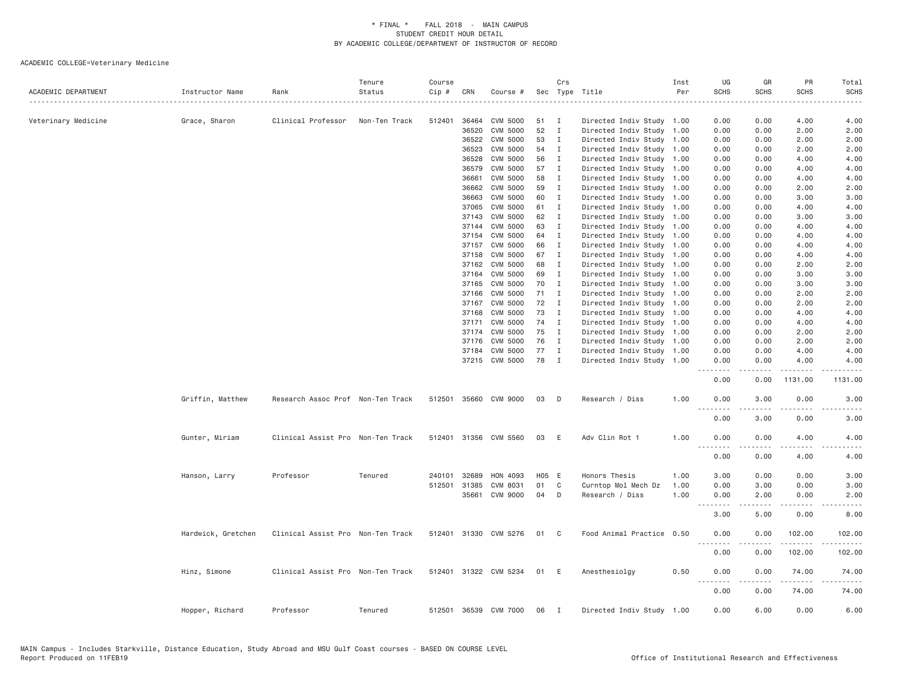| ACADEMIC DEPARTMENT | Instructor Name    | Rank                              | Tenure<br>Status | Course<br>Cip # | CRN          | Course #              |       | Crs          | Sec Type Title                                         | Inst<br>Per | UG<br><b>SCHS</b>                                                                                                                                            | GR<br><b>SCHS</b> | PR<br><b>SCHS</b> | Total<br><b>SCHS</b> |
|---------------------|--------------------|-----------------------------------|------------------|-----------------|--------------|-----------------------|-------|--------------|--------------------------------------------------------|-------------|--------------------------------------------------------------------------------------------------------------------------------------------------------------|-------------------|-------------------|----------------------|
|                     |                    | Clinical Professor                | Non-Ten Track    | 512401          | 36464        | CVM 5000              | 51    | I            |                                                        |             | 0.00                                                                                                                                                         | 0.00              | 4.00              | .<br>4.00            |
| Veterinary Medicine | Grace, Sharon      |                                   |                  |                 | 36520        | CVM 5000              | 52    | $\mathbf{I}$ | Directed Indiv Study 1.00<br>Directed Indiv Study 1.00 |             | 0.00                                                                                                                                                         | 0.00              | 2.00              | 2.00                 |
|                     |                    |                                   |                  |                 | 36522        | CVM 5000              | 53    | $\mathbf{I}$ | Directed Indiv Study 1.00                              |             | 0.00                                                                                                                                                         | 0.00              | 2.00              | 2.00                 |
|                     |                    |                                   |                  |                 | 36523        | CVM 5000              | 54    | I            | Directed Indiv Study 1.00                              |             | 0.00                                                                                                                                                         | 0.00              | 2.00              | 2.00                 |
|                     |                    |                                   |                  |                 | 36528        | CVM 5000              | 56    | $\mathbf I$  | Directed Indiv Study 1.00                              |             | 0.00                                                                                                                                                         | 0.00              | 4.00              | 4.00                 |
|                     |                    |                                   |                  |                 | 36579        | CVM 5000              | 57    | $\mathbf{I}$ | Directed Indiv Study 1.00                              |             | 0.00                                                                                                                                                         | 0.00              | 4.00              | 4.00                 |
|                     |                    |                                   |                  |                 | 36661        | CVM 5000              | 58    | $\mathbf{I}$ | Directed Indiv Study 1.00                              |             | 0.00                                                                                                                                                         | 0.00              | 4.00              | 4.00                 |
|                     |                    |                                   |                  |                 | 36662        | CVM 5000              | 59    | $\mathbf{I}$ | Directed Indiv Study                                   | 1.00        | 0.00                                                                                                                                                         | 0.00              | 2.00              | 2.00                 |
|                     |                    |                                   |                  |                 | 36663        | CVM 5000              | 60    | $\mathbf{I}$ | Directed Indiv Study 1.00                              |             | 0.00                                                                                                                                                         | 0.00              | 3.00              | 3.00                 |
|                     |                    |                                   |                  |                 | 37065        | CVM 5000              | 61    | $\mathbf{I}$ | Directed Indiv Study 1.00                              |             | 0.00                                                                                                                                                         | 0.00              | 4.00              | 4.00                 |
|                     |                    |                                   |                  |                 | 37143        | CVM 5000              | 62    | $\mathbf{I}$ | Directed Indiv Study                                   | 1.00        | 0.00                                                                                                                                                         | 0.00              | 3.00              | 3.00                 |
|                     |                    |                                   |                  |                 | 37144        | CVM 5000              | 63    | $\mathbf{I}$ | Directed Indiv Study 1.00                              |             | 0.00                                                                                                                                                         | 0.00              | 4.00              | 4.00                 |
|                     |                    |                                   |                  |                 | 37154        | CVM 5000              | 64    | I            | Directed Indiv Study 1.00                              |             | 0.00                                                                                                                                                         | 0.00              | 4.00              | 4.00                 |
|                     |                    |                                   |                  |                 | 37157        | CVM 5000              | 66    | $\mathbf{I}$ | Directed Indiv Study 1.00                              |             | 0.00                                                                                                                                                         | 0.00              | 4.00              | 4.00                 |
|                     |                    |                                   |                  |                 | 37158        | CVM 5000              | 67    | $\mathbf{I}$ | Directed Indiv Study 1.00                              |             | 0.00                                                                                                                                                         | 0.00              | 4.00              | 4.00                 |
|                     |                    |                                   |                  |                 |              | 37162 CVM 5000        | 68    | $\mathbf I$  | Directed Indiv Study 1.00                              |             | 0.00                                                                                                                                                         | 0.00              | 2.00              | 2.00                 |
|                     |                    |                                   |                  |                 | 37164        | CVM 5000              | 69    | $\mathbf{I}$ | Directed Indiv Study 1.00                              |             | 0.00                                                                                                                                                         | 0.00              | 3.00              | 3.00                 |
|                     |                    |                                   |                  |                 | 37165        | CVM 5000              | 70    | $\mathbf{I}$ | Directed Indiv Study 1.00                              |             | 0.00                                                                                                                                                         | 0.00              | 3.00              | 3.00                 |
|                     |                    |                                   |                  |                 | 37166        | CVM 5000              | 71    | I            | Directed Indiv Study 1.00                              |             | 0.00                                                                                                                                                         | 0.00              | 2.00              | 2.00                 |
|                     |                    |                                   |                  |                 |              | 37167 CVM 5000        | 72    | I            | Directed Indiv Study 1.00                              |             | 0.00                                                                                                                                                         | 0.00              | 2.00              | 2.00                 |
|                     |                    |                                   |                  |                 | 37168        | CVM 5000              | 73    | $\mathbf{I}$ | Directed Indiv Study 1.00                              |             | 0.00                                                                                                                                                         | 0.00              | 4.00              | 4.00                 |
|                     |                    |                                   |                  |                 | 37171        | CVM 5000              | 74    | $\mathbf I$  | Directed Indiv Study 1.00                              |             | 0.00                                                                                                                                                         | 0.00              | 4.00              | 4.00                 |
|                     |                    |                                   |                  |                 |              | 37174 CVM 5000        | 75    | $\mathbf I$  | Directed Indiv Study 1.00                              |             | 0.00                                                                                                                                                         | 0.00              | 2.00              | 2.00                 |
|                     |                    |                                   |                  |                 | 37176        | CVM 5000              | 76    | $\mathbf{I}$ | Directed Indiv Study 1.00                              |             | 0.00                                                                                                                                                         | 0.00              | 2.00              | 2.00                 |
|                     |                    |                                   |                  |                 | 37184        | CVM 5000              | 77    | $\mathbf I$  | Directed Indiv Study 1.00                              |             | 0.00                                                                                                                                                         | 0.00              | 4.00              | 4.00                 |
|                     |                    |                                   |                  |                 |              | 37215 CVM 5000        | 78    | $\mathbf{I}$ | Directed Indiv Study 1.00                              |             | 0.00<br>--------                                                                                                                                             | 0.00<br>-----     | 4.00<br>.         | 4.00<br>.            |
|                     |                    |                                   |                  |                 |              |                       |       |              |                                                        |             | 0.00                                                                                                                                                         | 0.00              | 1131.00           | 1131.00              |
|                     | Griffin, Matthew   | Research Assoc Prof Non-Ten Track |                  |                 |              | 512501 35660 CVM 9000 | 03    | D            | Research / Diss                                        | 1.00        | 0.00<br><u>.</u>                                                                                                                                             | 3.00<br>.         | 0.00<br>.         | 3.00<br>$- - - - -$  |
|                     |                    |                                   |                  |                 |              |                       |       |              |                                                        |             | 0.00                                                                                                                                                         | 3.00              | 0.00              | 3.00                 |
|                     | Gunter, Miriam     | Clinical Assist Pro Non-Ten Track |                  |                 |              | 512401 31356 CVM 5560 | 03    | E            | Adv Clin Rot 1                                         | 1.00        | 0.00                                                                                                                                                         | 0.00              | 4.00              | 4.00                 |
|                     |                    |                                   |                  |                 |              |                       |       |              |                                                        |             | 0.00                                                                                                                                                         | 0.00              | 4.00              | 4.00                 |
|                     | Hanson, Larry      | Professor                         | Tenured          | 240101          | 32689        | HON 4093              | H05 E |              | Honors Thesis                                          | 1.00        | 3.00                                                                                                                                                         | 0.00              | 0.00              | 3.00                 |
|                     |                    |                                   |                  |                 | 512501 31385 | CVM 8031              | 01    | C            | Curntop Mol Mech Dz                                    | 1.00        | 0.00                                                                                                                                                         | 3.00              | 0.00              | 3.00                 |
|                     |                    |                                   |                  |                 | 35661        | CVM 9000              | 04    | D            | Research / Diss                                        | 1.00        | 0.00<br>.                                                                                                                                                    | 2.00              | 0.00<br>.         | 2.00                 |
|                     |                    |                                   |                  |                 |              |                       |       |              |                                                        |             | 3.00                                                                                                                                                         | 5.00              | 0.00              | 8.00                 |
|                     | Hardwick, Gretchen | Clinical Assist Pro Non-Ten Track |                  |                 |              | 512401 31330 CVM 5276 | 01 C  |              | Food Animal Practice 0.50                              |             | 0.00<br>$\frac{1}{2} \left( \frac{1}{2} \right) \left( \frac{1}{2} \right) \left( \frac{1}{2} \right) \left( \frac{1}{2} \right) \left( \frac{1}{2} \right)$ | 0.00              | 102.00<br>.       | 102.00<br>.          |
|                     |                    |                                   |                  |                 |              |                       |       |              |                                                        |             | 0.00                                                                                                                                                         | 0.00              | 102.00            | 102.00               |
|                     | Hinz, Simone       | Clinical Assist Pro Non-Ten Track |                  |                 |              | 512401 31322 CVM 5234 | 01 E  |              | Anesthesiolgy                                          | 0.50        | 0.00<br><u>.</u>                                                                                                                                             | 0.00<br>.         | 74.00<br>.        | 74.00<br>.           |
|                     |                    |                                   |                  |                 |              |                       |       |              |                                                        |             | 0.00                                                                                                                                                         | 0.00              | 74.00             | 74.00                |
|                     | Hopper, Richard    | Professor                         | Tenured          |                 |              | 512501 36539 CVM 7000 | 06    | $\mathbf{I}$ | Directed Indiv Study 1.00                              |             | 0.00                                                                                                                                                         | 6.00              | 0.00              | 6.00                 |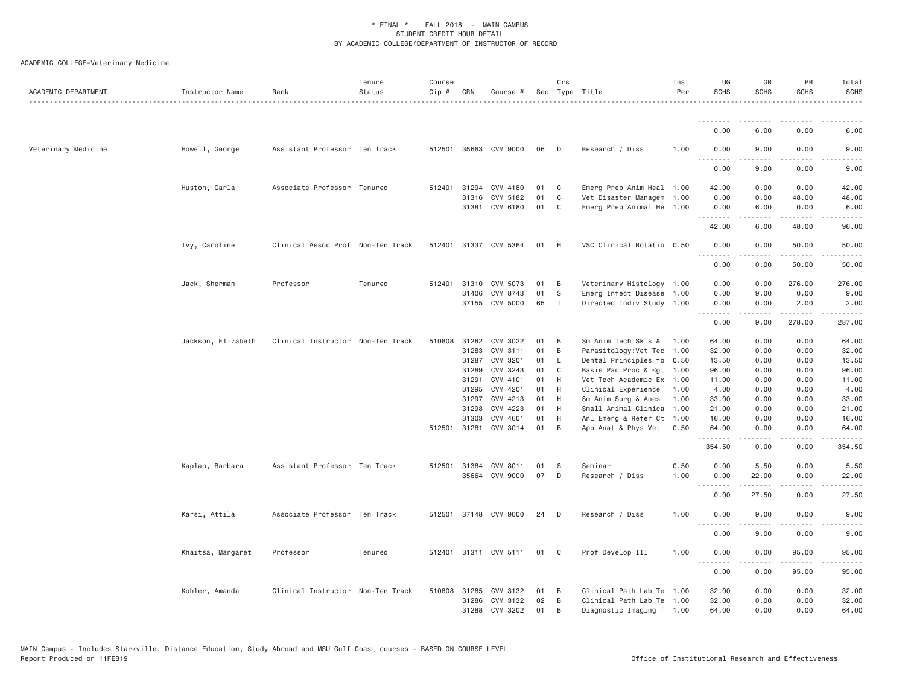| ACADEMIC DEPARTMENT | Instructor Name    | Rank                              | Tenure<br>Status | Course<br>Cip # | CRN          | Course #                          |          | Crs          | Sec Type Title                                                                                           | Inst<br>Per | UG<br><b>SCHS</b>                    | GR<br><b>SCHS</b> | PR<br><b>SCHS</b>     | Total<br><b>SCHS</b>                                                                                                                         |
|---------------------|--------------------|-----------------------------------|------------------|-----------------|--------------|-----------------------------------|----------|--------------|----------------------------------------------------------------------------------------------------------|-------------|--------------------------------------|-------------------|-----------------------|----------------------------------------------------------------------------------------------------------------------------------------------|
|                     |                    |                                   |                  |                 |              |                                   |          |              |                                                                                                          |             | .                                    |                   |                       |                                                                                                                                              |
|                     |                    |                                   |                  |                 |              |                                   |          |              |                                                                                                          |             | 0.00                                 | 6.00              | 0.00                  | 6.00                                                                                                                                         |
| Veterinary Medicine | Howell, George     | Assistant Professor Ten Track     |                  |                 |              | 512501 35663 CVM 9000             | 06       | D            | Research / Diss                                                                                          | 1.00        | 0.00<br>.                            | 9.00              | 0.00                  | 9.00                                                                                                                                         |
|                     |                    |                                   |                  |                 |              |                                   |          |              |                                                                                                          |             | 0.00                                 | .<br>9.00         | 0.00                  | 9.00                                                                                                                                         |
|                     | Huston, Carla      | Associate Professor Tenured       |                  |                 | 512401 31294 | CVM 4180                          | 01       | C            | Emerg Prep Anim Heal 1.00                                                                                |             | 42.00                                | 0.00              | 0.00                  | 42.00                                                                                                                                        |
|                     |                    |                                   |                  |                 | 31316        | CVM 5182                          | 01       | C            | Vet Disaster Managem 1.00                                                                                |             | 0.00                                 | 0.00              | 48.00                 | 48.00                                                                                                                                        |
|                     |                    |                                   |                  |                 |              | 31381 CVM 6180                    | 01       | C            | Emerg Prep Animal He 1.00                                                                                |             | 0.00<br>.                            | 6.00<br>.         | 0.00<br>.             | 6.00                                                                                                                                         |
|                     |                    |                                   |                  |                 |              |                                   |          |              |                                                                                                          |             | 42.00                                | 6.00              | 48.00                 | 96.00                                                                                                                                        |
|                     | Ivy, Caroline      | Clinical Assoc Prof Non-Ten Track |                  |                 |              | 512401 31337 CVM 5364             | 01       | H            | VSC Clinical Rotatio 0.50                                                                                |             | 0.00<br>.                            | 0.00<br>-----     | 50.00<br>.            | 50.00<br>.                                                                                                                                   |
|                     |                    |                                   |                  |                 |              |                                   |          |              |                                                                                                          |             | 0.00                                 | 0.00              | 50.00                 | 50.00                                                                                                                                        |
|                     | Jack, Sherman      | Professor                         | Tenured          | 512401          | 31310        | CVM 5073                          | 01       | B            | Veterinary Histology 1.00                                                                                |             | 0.00                                 | 0.00              | 276.00                | 276.00                                                                                                                                       |
|                     |                    |                                   |                  |                 | 31406        | CVM 8743                          | 01       | S            | Emerg Infect Disease 1.00                                                                                |             | 0.00                                 | 9.00              | 0.00                  | 9.00                                                                                                                                         |
|                     |                    |                                   |                  |                 |              | 37155 CVM 5000                    | 65       | I            | Directed Indiv Study 1.00                                                                                |             | 0.00<br>.                            | 0.00<br>.         | 2.00<br>.             | 2.00<br>$\mathcal{L}^{\mathcal{L}}\left( \mathcal{L}^{\mathcal{L}}\right) =\mathcal{L}^{\mathcal{L}}\left( \mathcal{L}^{\mathcal{L}}\right)$ |
|                     |                    |                                   |                  |                 |              |                                   |          |              |                                                                                                          |             | 0.00                                 | 9.00              | 278.00                | 287.00                                                                                                                                       |
|                     | Jackson, Elizabeth | Clinical Instructor Non-Ten Track |                  |                 | 510808 31282 | CVM 3022                          | 01       | B            | Sm Anim Tech Skls &                                                                                      | 1.00        | 64.00                                | 0.00              | 0.00                  | 64.00                                                                                                                                        |
|                     |                    |                                   |                  |                 | 31283        | CVM 3111                          | 01       | B            | Parasitology: Vet Tec                                                                                    | 1.00        | 32.00                                | 0.00              | 0.00                  | 32.00                                                                                                                                        |
|                     |                    |                                   |                  |                 | 31287        | CVM 3201                          | 01       | L            | Dental Principles fo 0.50                                                                                |             | 13.50                                | 0.00              | 0.00                  | 13.50                                                                                                                                        |
|                     |                    |                                   |                  |                 | 31289        | CVM 3243                          | 01       | C            | Basis Pac Proc & <gt 1.00<="" td=""><td></td><td>96.00</td><td>0.00</td><td>0.00</td><td>96.00</td></gt> |             | 96.00                                | 0.00              | 0.00                  | 96.00                                                                                                                                        |
|                     |                    |                                   |                  |                 | 31291        | CVM 4101                          | 01       | H            | Vet Tech Academic Ex 1.00                                                                                |             | 11.00                                | 0.00              | 0.00                  | 11.00                                                                                                                                        |
|                     |                    |                                   |                  |                 | 31295        | CVM 4201                          | 01       | H            | Clinical Experience                                                                                      | 1.00        | 4.00                                 | 0.00              | 0.00                  | 4.00                                                                                                                                         |
|                     |                    |                                   |                  |                 | 31297        | CVM 4213                          | 01       | H            | Sm Anim Surg & Anes                                                                                      | 1.00        | 33.00                                | 0.00              | 0.00                  | 33.00                                                                                                                                        |
|                     |                    |                                   |                  |                 | 31298        | CVM 4223                          | 01       | H            | Small Animal Clinica                                                                                     | 1.00        | 21.00                                | 0.00              | 0.00                  | 21.00                                                                                                                                        |
|                     |                    |                                   |                  |                 | 31303        | CVM 4601<br>512501 31281 CVM 3014 | 01<br>01 | H<br>B       | Anl Emerg & Refer Ct 1.00<br>App Anat & Phys Vet                                                         | 0.50        | 16.00<br>64.00                       | 0.00<br>0.00      | 0.00<br>0.00          | 16.00<br>64.00                                                                                                                               |
|                     |                    |                                   |                  |                 |              |                                   |          |              |                                                                                                          |             | .<br>354.50                          | 0.00              | 0.00                  | 354.50                                                                                                                                       |
|                     |                    |                                   |                  |                 |              |                                   |          |              |                                                                                                          |             |                                      |                   |                       |                                                                                                                                              |
|                     | Kaplan, Barbara    | Assistant Professor Ten Track     |                  |                 | 512501 31384 | CVM 8011                          | 01       | S            | Seminar                                                                                                  | 0.50        | 0.00                                 | 5.50              | 0.00                  | 5.50                                                                                                                                         |
|                     |                    |                                   |                  |                 | 35664        | CVM 9000                          | 07       | D            | Research / Diss                                                                                          | 1.00        | 0.00<br>.                            | 22.00<br>.        | 0.00<br>$\frac{1}{2}$ | 22.00<br>.                                                                                                                                   |
|                     |                    |                                   |                  |                 |              |                                   |          |              |                                                                                                          |             | 0.00                                 | 27.50             | 0.00                  | 27.50                                                                                                                                        |
|                     | Karsi, Attila      | Associate Professor Ten Track     |                  |                 |              | 512501 37148 CVM 9000             | 24       | D            | Research / Diss                                                                                          | 1,00        | 0.00<br><u>.</u>                     | 9.00              | 0.00                  | 9.00                                                                                                                                         |
|                     |                    |                                   |                  |                 |              |                                   |          |              |                                                                                                          |             | 0.00                                 | 9.00              | 0.00                  | 9.00                                                                                                                                         |
|                     | Khaitsa, Margaret  | Professor                         | Tenured          |                 |              | 512401 31311 CVM 5111             | 01       | $\mathbf{C}$ | Prof Develop III                                                                                         | 1.00        | 0.00                                 | 0.00              | 95.00                 | 95.00                                                                                                                                        |
|                     |                    |                                   |                  |                 |              |                                   |          |              |                                                                                                          |             | $ -$<br>$\sim$ $\sim$ $\sim$<br>0.00 | 0.00              | 95.00                 | 95.00                                                                                                                                        |
|                     | Kohler, Amanda     | Clinical Instructor Non-Ten Track |                  |                 | 510808 31285 | CVM 3132                          | 01       | B            | Clinical Path Lab Te 1.00                                                                                |             | 32.00                                | 0.00              | 0.00                  | 32.00                                                                                                                                        |
|                     |                    |                                   |                  |                 | 31286        | CVM 3132                          | 02       | B            | Clinical Path Lab Te 1.00                                                                                |             | 32.00                                | 0.00              | 0.00                  | 32.00                                                                                                                                        |
|                     |                    |                                   |                  |                 | 31288        | CVM 3202                          | 01       | B            | Diagnostic Imaging f 1.00                                                                                |             | 64.00                                | 0.00              | 0.00                  | 64.00                                                                                                                                        |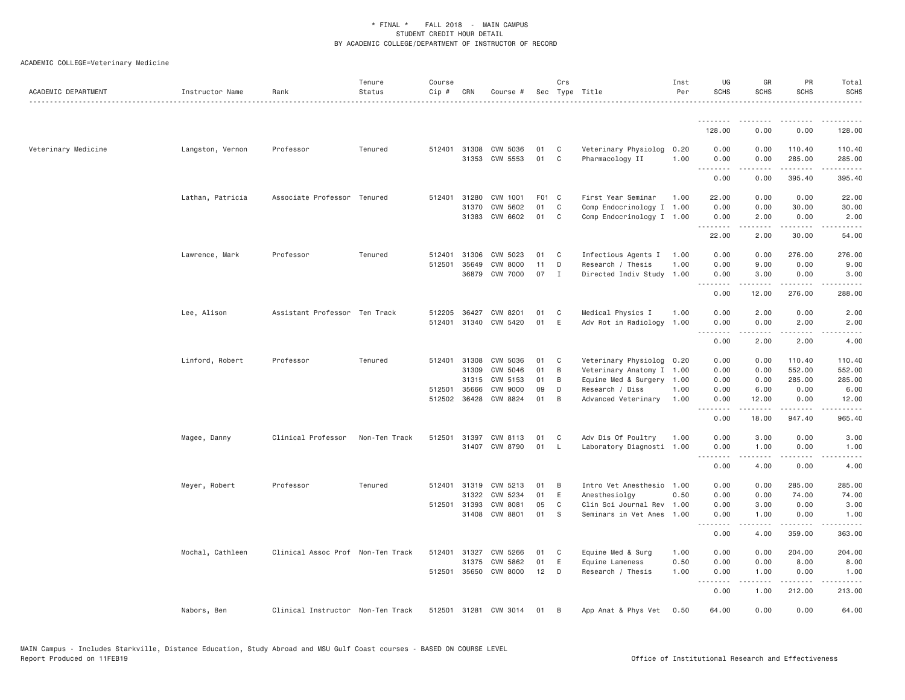| ACADEMIC DEPARTMENT | Instructor Name  | Rank                              | Tenure<br>Status | Course<br>Cip #  | CRN            | Course #                    |          | Crs          | Sec Type Title                                         | Inst<br>Per  | UG<br><b>SCHS</b>            | GR<br><b>SCHS</b>     | PR<br><b>SCHS</b>     | Total<br><b>SCHS</b>  |
|---------------------|------------------|-----------------------------------|------------------|------------------|----------------|-----------------------------|----------|--------------|--------------------------------------------------------|--------------|------------------------------|-----------------------|-----------------------|-----------------------|
|                     |                  |                                   |                  |                  |                |                             |          |              |                                                        |              |                              |                       |                       |                       |
|                     |                  |                                   |                  |                  |                |                             |          |              |                                                        |              | 128.00                       | 0.00                  | 0.00                  | 128.00                |
| Veterinary Medicine | Langston, Vernon | Professor                         | Tenured          | 512401           | 31308<br>31353 | CVM 5036<br>CVM 5553        | 01<br>01 | C<br>C       | Veterinary Physiolog<br>Pharmacology II                | 0.20<br>1.00 | 0.00<br>0.00<br>.            | 0.00<br>0.00<br>----- | 110.40<br>285,00<br>. | 110.40<br>285.00<br>. |
|                     |                  |                                   |                  |                  |                |                             |          |              |                                                        |              | 0.00                         | 0.00                  | 395.40                | 395.40                |
|                     | Lathan, Patricia | Associate Professor Tenured       |                  |                  | 512401 31280   | CVM 1001                    | F01 C    |              | First Year Seminar                                     | 1.00         | 22.00                        | 0.00                  | 0.00                  | 22.00                 |
|                     |                  |                                   |                  |                  | 31370<br>31383 | CVM 5602<br>CVM 6602        | 01<br>01 | C<br>C       | Comp Endocrinology I 1.00<br>Comp Endocrinology I 1.00 |              | 0.00<br>0.00                 | 0.00<br>2.00          | 30.00<br>0.00         | 30.00<br>2.00         |
|                     |                  |                                   |                  |                  |                |                             |          |              |                                                        |              | 22.00                        | .<br>2.00             | .<br>30.00            | .<br>54.00            |
|                     |                  |                                   |                  |                  |                |                             |          |              |                                                        |              |                              |                       |                       |                       |
|                     | Lawrence, Mark   | Professor                         | Tenured          | 512401<br>512501 | 31306<br>35649 | CVM 5023<br>CVM 8000        | 01<br>11 | C<br>D       | Infectious Agents I<br>Research / Thesis               | 1.00<br>1.00 | 0.00<br>0.00                 | 0.00<br>9.00          | 276.00<br>0.00        | 276.00<br>9.00        |
|                     |                  |                                   |                  |                  | 36879          | CVM 7000                    | 07       | I            | Directed Indiv Study 1.00                              |              | 0.00                         | 3.00                  | 0.00                  | 3.00                  |
|                     |                  |                                   |                  |                  |                |                             |          |              |                                                        |              | .<br>0.00                    | -----<br>12.00        | .<br>276.00           | د د د د د<br>288.00   |
|                     |                  |                                   |                  |                  |                |                             |          |              |                                                        |              |                              |                       |                       |                       |
|                     | Lee, Alison      | Assistant Professor Ten Track     |                  | 512205<br>512401 | 36427          | CVM 8201<br>31340 CVM 5420  | 01<br>01 | C<br>E       | Medical Physics I<br>Adv Rot in Radiology 1.00         | 1.00         | 0.00<br>0.00                 | 2.00<br>0.00          | 0.00<br>2.00          | 2.00<br>2.00          |
|                     |                  |                                   |                  |                  |                |                             |          |              |                                                        |              | <u>.</u>                     | .                     | .                     | .                     |
|                     |                  |                                   |                  |                  |                |                             |          |              |                                                        |              | 0.00                         | 2,00                  | 2,00                  | 4.00                  |
|                     | Linford, Robert  | Professor                         | Tenured          |                  |                | 512401 31308 CVM 5036       | 01       | $\mathbf{C}$ | Veterinary Physiolog 0.20                              |              | 0.00                         | 0.00                  | 110.40                | 110.40                |
|                     |                  |                                   |                  |                  | 31309<br>31315 | CVM 5046                    | 01<br>01 | B<br>B       | Veterinary Anatomy I 1.00                              |              | 0.00                         | 0.00                  | 552.00                | 552.00                |
|                     |                  |                                   |                  |                  | 512501 35666   | CVM 5153<br><b>CVM 9000</b> | 09       | D            | Equine Med & Surgery 1.00<br>Research / Diss           | 1.00         | 0.00<br>0.00                 | 0.00<br>6.00          | 285.00<br>0.00        | 285.00<br>6.00        |
|                     |                  |                                   |                  |                  | 512502 36428   | CVM 8824                    | 01       | B            | Advanced Veterinary                                    | 1.00         | 0.00                         | 12.00                 | 0.00                  | 12.00                 |
|                     |                  |                                   |                  |                  |                |                             |          |              |                                                        |              | $\sim$ $\sim$ $\sim$<br>0.00 | 18.00                 | $- - - - -$<br>947.40 | .<br>965.40           |
|                     | Magee, Danny     | Clinical Professor                | Non-Ten Track    | 512501           | 31397          | CVM 8113                    | 01       | C            | Adv Dis Of Poultry                                     | 1.00         | 0.00                         | 3.00                  | 0.00                  | 3.00                  |
|                     |                  |                                   |                  |                  |                | 31407 CVM 8790              | 01       | <b>L</b>     | Laboratory Diagnosti 1.00                              |              | 0.00                         | 1.00                  | 0.00                  | 1.00                  |
|                     |                  |                                   |                  |                  |                |                             |          |              |                                                        |              | <u>.</u><br>0.00             | .<br>4.00             | .<br>0.00             | $- - - - -$<br>4.00   |
|                     | Meyer, Robert    | Professor                         | Tenured          | 512401           | 31319          | CVM 5213                    | 01       | B            | Intro Vet Anesthesio 1.00                              |              | 0.00                         | 0.00                  | 285.00                | 285.00                |
|                     |                  |                                   |                  |                  | 31322          | CVM 5234                    | 01       | E            | Anesthesiolay                                          | 0.50         | 0.00                         | 0.00                  | 74.00                 | 74.00                 |
|                     |                  |                                   |                  |                  | 512501 31393   | <b>CVM 8081</b>             | 05       | C            | Clin Sci Journal Rev 1.00                              |              | 0.00                         | 3.00                  | 0.00                  | 3.00                  |
|                     |                  |                                   |                  |                  | 31408          | CVM 8801                    | 01       | -S           | Seminars in Vet Anes 1.00                              |              | 0.00                         | 1.00<br>.             | 0.00                  | 1.00                  |
|                     |                  |                                   |                  |                  |                |                             |          |              |                                                        |              | .<br>0.00                    | 4.00                  | .<br>359.00           | .<br>363.00           |
|                     | Mochal, Cathleen | Clinical Assoc Prof Non-Ten Track |                  | 512401           | 31327          | CVM 5266                    | 01       | C            | Equine Med & Surg                                      | 1.00         | 0.00                         | 0.00                  | 204.00                | 204.00                |
|                     |                  |                                   |                  |                  | 31375          | CVM 5862                    | 01       | E            | Equine Lameness                                        | 0.50         | 0.00                         | 0.00                  | 8.00                  | 8.00                  |
|                     |                  |                                   |                  |                  | 512501 35650   | CVM 8000                    | 12       | D            | Research / Thesis                                      | 1.00         | 0.00                         | 1.00                  | 0.00                  | 1.00                  |
|                     |                  |                                   |                  |                  |                |                             |          |              |                                                        |              | .<br>0.00                    | $- - - - -$<br>1.00   | .<br>212.00           | .<br>213.00           |
|                     | Nabors, Ben      | Clinical Instructor Non-Ten Track |                  |                  |                | 512501 31281 CVM 3014       | 01       | B            | App Anat & Phys Vet                                    | 0.50         | 64.00                        | 0.00                  | 0.00                  | 64.00                 |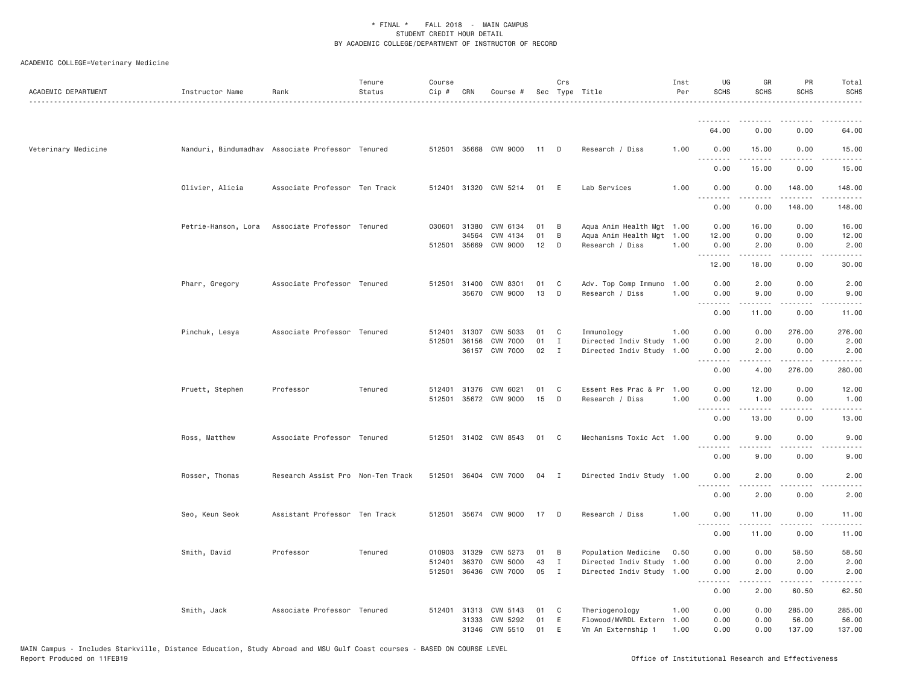| ACADEMIC DEPARTMENT | Instructor Name                                  | Rank                              | Tenure<br>Status | Course<br>Cip # | CRN          | Course #              |      | Crs          | Sec Type Title            | Inst<br>Per | UG<br><b>SCHS</b>           | GR<br><b>SCHS</b>    | PR<br><b>SCHS</b>                   | Total<br>SCHS                                                                                                                                                                             |
|---------------------|--------------------------------------------------|-----------------------------------|------------------|-----------------|--------------|-----------------------|------|--------------|---------------------------|-------------|-----------------------------|----------------------|-------------------------------------|-------------------------------------------------------------------------------------------------------------------------------------------------------------------------------------------|
|                     |                                                  |                                   |                  |                 |              |                       |      |              |                           |             | <u>.</u>                    |                      |                                     |                                                                                                                                                                                           |
|                     |                                                  |                                   |                  |                 |              |                       |      |              |                           |             | 64.00                       | 0.00                 | 0.00                                | 64.00                                                                                                                                                                                     |
| Veterinary Medicine | Nanduri, Bindumadhav Associate Professor Tenured |                                   |                  |                 |              | 512501 35668 CVM 9000 | 11 D |              | Research / Diss           | 1.00        | 0.00<br><u>.</u>            | 15.00<br>$- - - - -$ | 0.00<br>.                           | 15.00<br>.                                                                                                                                                                                |
|                     |                                                  |                                   |                  |                 |              |                       |      |              |                           |             | 0.00                        | 15.00                | 0.00                                | 15.00                                                                                                                                                                                     |
|                     | Olivier, Alicia                                  | Associate Professor Ten Track     |                  |                 |              | 512401 31320 CVM 5214 | 01   | E            | Lab Services              | 1.00        | 0.00<br>.                   | 0.00                 | 148.00<br>.                         | 148.00<br>$\frac{1}{2} \left( \frac{1}{2} \right) \left( \frac{1}{2} \right) \left( \frac{1}{2} \right) \left( \frac{1}{2} \right) \left( \frac{1}{2} \right) \left( \frac{1}{2} \right)$ |
|                     |                                                  |                                   |                  |                 |              |                       |      |              |                           |             | 0.00                        | 0.00                 | 148.00                              | 148.00                                                                                                                                                                                    |
|                     | Petrie-Hanson, Lora Associate Professor Tenured  |                                   |                  |                 | 030601 31380 | CVM 6134              | 01   | B            | Aqua Anim Health Mgt 1.00 |             | 0.00                        | 16.00                | 0.00                                | 16.00                                                                                                                                                                                     |
|                     |                                                  |                                   |                  |                 | 34564        | CVM 4134              | 01   | $\, {\sf B}$ | Aqua Anim Health Mgt 1.00 |             | 12.00                       | 0.00                 | 0.00                                | 12.00                                                                                                                                                                                     |
|                     |                                                  |                                   |                  |                 |              | 512501 35669 CVM 9000 | 12   | D            | Research / Diss           | 1.00        | 0.00<br>.                   | 2.00<br>.            | 0.00<br>$\sim$ $\sim$ $\sim$ $\sim$ | 2.00<br>-----                                                                                                                                                                             |
|                     |                                                  |                                   |                  |                 |              |                       |      |              |                           |             | 12.00                       | 18.00                | 0.00                                | 30.00                                                                                                                                                                                     |
|                     | Pharr, Gregory                                   | Associate Professor Tenured       |                  |                 |              | 512501 31400 CVM 8301 | 01   | C            | Adv. Top Comp Immuno      | 1.00        | 0.00                        | 2.00                 | 0.00                                | 2.00                                                                                                                                                                                      |
|                     |                                                  |                                   |                  |                 |              | 35670 CVM 9000        | 13   | D            | Research / Diss           | 1.00        | 0.00                        | 9.00                 | 0.00                                | 9.00                                                                                                                                                                                      |
|                     |                                                  |                                   |                  |                 |              |                       |      |              |                           |             | .<br>0.00                   | .<br>11.00           | .<br>0.00                           | .<br>11.00                                                                                                                                                                                |
|                     | Pinchuk, Lesya                                   | Associate Professor Tenured       |                  | 512401          | 31307        | CVM 5033              | 01   | C            | Immunology                | 1.00        | 0.00                        | 0.00                 | 276.00                              | 276.00                                                                                                                                                                                    |
|                     |                                                  |                                   |                  | 512501          | 36156        | CVM 7000              | 01   | $\mathbf{I}$ | Directed Indiv Study      | 1.00        | 0.00                        | 2.00                 | 0.00                                | 2.00                                                                                                                                                                                      |
|                     |                                                  |                                   |                  |                 |              | 36157 CVM 7000        | 02   | $\mathbf{I}$ | Directed Indiv Study 1.00 |             | 0.00                        | 2.00                 | 0.00                                | 2.00                                                                                                                                                                                      |
|                     |                                                  |                                   |                  |                 |              |                       |      |              |                           |             | <u>.</u><br>0.00            | <u>.</u><br>4.00     | .<br>276.00                         | $- - - - - -$<br>280.00                                                                                                                                                                   |
|                     | Pruett, Stephen                                  | Professor                         | Tenured          | 512401          |              | 31376 CVM 6021        | 01   | C            | Essent Res Prac & Pr      | 1.00        | 0.00                        | 12.00                | 0.00                                | 12.00                                                                                                                                                                                     |
|                     |                                                  |                                   |                  |                 |              | 512501 35672 CVM 9000 | 15   | D            | Research / Diss           | 1.00        | 0.00                        | 1.00                 | 0.00                                | 1.00                                                                                                                                                                                      |
|                     |                                                  |                                   |                  |                 |              |                       |      |              |                           |             | $\sim$ $\sim$ $\sim$ $\sim$ | .                    | $\sim$ $\sim$ $\sim$                |                                                                                                                                                                                           |
|                     |                                                  |                                   |                  |                 |              |                       |      |              |                           |             | 0.00                        | 13.00                | 0.00                                | 13.00                                                                                                                                                                                     |
|                     | Ross, Matthew                                    | Associate Professor Tenured       |                  |                 |              | 512501 31402 CVM 8543 | 01 C |              | Mechanisms Toxic Act 1.00 |             | 0.00                        | 9.00                 | 0.00                                | 9.00                                                                                                                                                                                      |
|                     |                                                  |                                   |                  |                 |              |                       |      |              |                           |             | <b></b><br>0.00             | $- - - - -$<br>9.00  | .<br>0.00                           | .<br>9.00                                                                                                                                                                                 |
|                     |                                                  |                                   |                  |                 |              |                       |      |              |                           |             |                             |                      |                                     |                                                                                                                                                                                           |
|                     | Rosser, Thomas                                   | Research Assist Pro Non-Ten Track |                  |                 |              | 512501 36404 CVM 7000 | 04   | $\mathbf{I}$ | Directed Indiv Study 1.00 |             | 0.00                        | 2.00                 | 0.00                                | 2.00                                                                                                                                                                                      |
|                     |                                                  |                                   |                  |                 |              |                       |      |              |                           |             | <u>.</u><br>0.00            | .<br>2.00            | د د د د<br>0.00                     | $- - - - -$<br>2.00                                                                                                                                                                       |
|                     | Seo, Keun Seok                                   | Assistant Professor Ten Track     |                  |                 |              | 512501 35674 CVM 9000 | 17   | D            | Research / Diss           | 1.00        | 0.00                        | 11.00                | 0.00                                | 11.00                                                                                                                                                                                     |
|                     |                                                  |                                   |                  |                 |              |                       |      |              |                           |             | .<br>0.00                   | .<br>11.00           | . <b>.</b><br>0.00                  | .<br>11.00                                                                                                                                                                                |
|                     | Smith, David                                     | Professor                         | Tenured          | 010903          | 31329        | CVM 5273              | 01   | B            | Population Medicine       | 0.50        | 0.00                        | 0.00                 | 58.50                               | 58.50                                                                                                                                                                                     |
|                     |                                                  |                                   |                  | 512401          | 36370        | CVM 5000              | 43   | $\mathbf{I}$ | Directed Indiv Study 1.00 |             | 0.00                        | 0.00                 | 2.00                                | 2.00                                                                                                                                                                                      |
|                     |                                                  |                                   |                  |                 |              | 512501 36436 CVM 7000 | 05   | $\mathbf{I}$ | Directed Indiv Study 1.00 |             | 0.00                        | 2.00                 | 0.00                                | 2.00                                                                                                                                                                                      |
|                     |                                                  |                                   |                  |                 |              |                       |      |              |                           |             | .<br>0.00                   | $- - - - -$<br>2.00  | .<br>60.50                          | .<br>62.50                                                                                                                                                                                |
|                     | Smith, Jack                                      | Associate Professor Tenured       |                  |                 |              | 512401 31313 CVM 5143 | 01   | C            | Theriogenology            | 1.00        | 0.00                        | 0.00                 | 285.00                              | 285.00                                                                                                                                                                                    |
|                     |                                                  |                                   |                  |                 | 31333        | CVM 5292              | 01   | E            | Flowood/MVRDL Extern      | 1.00        | 0.00                        | 0.00                 | 56.00                               | 56.00                                                                                                                                                                                     |
|                     |                                                  |                                   |                  |                 |              | 31346 CVM 5510        | 01   | E            | Vm An Externship 1        | 1.00        | 0.00                        | 0.00                 | 137.00                              | 137.00                                                                                                                                                                                    |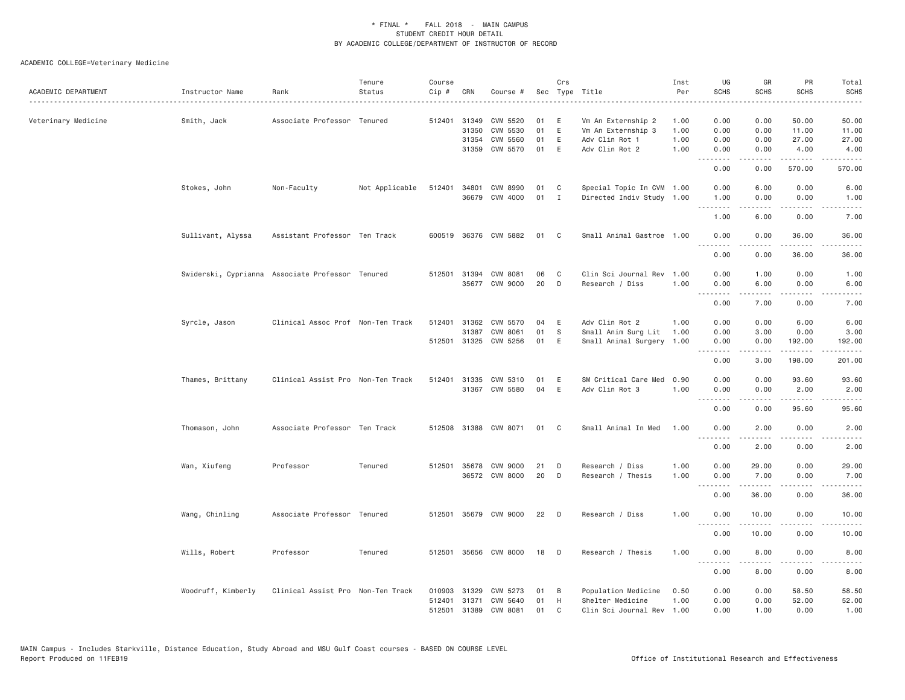| ACADEMIC DEPARTMENT | Instructor Name    | Rank                                             | Tenure<br>Status | Course<br>Cip # | CRN          | Course #              |    | Crs          | Sec Type Title            | Inst<br>Per | UG<br><b>SCHS</b>  | GR<br>SCHS                                | PR<br><b>SCHS</b>                   | Total<br><b>SCHS</b><br>$\frac{1}{2}$                                                                                             |
|---------------------|--------------------|--------------------------------------------------|------------------|-----------------|--------------|-----------------------|----|--------------|---------------------------|-------------|--------------------|-------------------------------------------|-------------------------------------|-----------------------------------------------------------------------------------------------------------------------------------|
| Veterinary Medicine | Smith, Jack        | Associate Professor Tenured                      |                  |                 | 512401 31349 | CVM 5520              | 01 | Е            | Vm An Externship 2        | 1.00        | 0.00               | 0.00                                      | 50.00                               | 50.00                                                                                                                             |
|                     |                    |                                                  |                  |                 | 31350        | CVM 5530              | 01 | E            | Vm An Externship 3        | 1.00        | 0.00               | 0.00                                      | 11.00                               | 11.00                                                                                                                             |
|                     |                    |                                                  |                  |                 | 31354        | CVM 5560              | 01 | E            | Adv Clin Rot 1            | 1.00        | 0.00               | 0.00                                      | 27.00                               | 27.00                                                                                                                             |
|                     |                    |                                                  |                  |                 | 31359        | CVM 5570              | 01 | E            | Adv Clin Rot 2            | 1.00        | 0.00<br><u>.</u>   | 0.00<br>.                                 | 4.00<br>.                           | 4.00<br>$\begin{array}{cccccccccc} \bullet & \bullet & \bullet & \bullet & \bullet & \bullet & \bullet \end{array}$               |
|                     |                    |                                                  |                  |                 |              |                       |    |              |                           |             | 0.00               | 0.00                                      | 570.00                              | 570.00                                                                                                                            |
|                     | Stokes, John       | Non-Faculty                                      | Not Applicable   | 512401          | 34801        | CVM 8990              | 01 | C            | Special Topic In CVM 1.00 |             | 0.00               | 6.00                                      | 0.00                                | 6.00                                                                                                                              |
|                     |                    |                                                  |                  |                 | 36679        | CVM 4000              | 01 | $\mathbf{I}$ | Directed Indiv Study 1.00 |             | 1.00<br>.          | 0.00                                      | 0.00<br>.                           | 1.00<br>$\frac{1}{2} \left( \frac{1}{2} \right) \left( \frac{1}{2} \right) \left( \frac{1}{2} \right) \left( \frac{1}{2} \right)$ |
|                     |                    |                                                  |                  |                 |              |                       |    |              |                           |             | 1.00               | 6.00                                      | 0.00                                | 7.00                                                                                                                              |
|                     | Sullivant, Alyssa  | Assistant Professor Ten Track                    |                  |                 |              | 600519 36376 CVM 5882 | 01 | C            | Small Animal Gastroe 1.00 |             | 0.00<br>. <i>.</i> | 0.00<br>.                                 | 36.00<br>.                          | 36.00<br>.                                                                                                                        |
|                     |                    |                                                  |                  |                 |              |                       |    |              |                           |             | 0.00               | 0.00                                      | 36.00                               | 36.00                                                                                                                             |
|                     |                    | Swiderski, Cyprianna Associate Professor Tenured |                  |                 |              | 512501 31394 CVM 8081 | 06 | C            | Clin Sci Journal Rev 1.00 |             | 0.00               | 1.00                                      | 0.00                                | 1.00                                                                                                                              |
|                     |                    |                                                  |                  |                 |              | 35677 CVM 9000        | 20 | D            | Research / Diss           | 1.00        | 0.00               | 6.00                                      | 0.00                                | 6.00                                                                                                                              |
|                     |                    |                                                  |                  |                 |              |                       |    |              |                           |             | 0.00               | <u>.</u><br>7.00                          | .<br>0.00                           | $\frac{1}{2} \left( \frac{1}{2} \right) \left( \frac{1}{2} \right) \left( \frac{1}{2} \right) \left( \frac{1}{2} \right)$<br>7.00 |
|                     | Syrcle, Jason      | Clinical Assoc Prof Non-Ten Track                |                  | 512401          | 31362        | CVM 5570              | 04 | Ε            | Adv Clin Rot 2            | 1.00        | 0.00               | 0.00                                      | 6.00                                | 6.00                                                                                                                              |
|                     |                    |                                                  |                  |                 | 31387        | CVM 8061              | 01 | S            | Small Anim Surg Lit       | 1.00        | 0.00               | 3.00                                      | 0.00                                | 3.00                                                                                                                              |
|                     |                    |                                                  |                  |                 |              | 512501 31325 CVM 5256 | 01 | E            | Small Animal Surgery 1.00 |             | 0.00               | 0.00                                      | 192.00                              | 192.00                                                                                                                            |
|                     |                    |                                                  |                  |                 |              |                       |    |              |                           |             | 0.00               | 3.00                                      | 198.00                              | 201.00                                                                                                                            |
|                     | Thames, Brittany   | Clinical Assist Pro Non-Ten Track                |                  | 512401          | 31335        | CVM 5310              | 01 | E            | SM Critical Care Med      | 0.90        | 0.00               | 0.00                                      | 93.60                               | 93.60                                                                                                                             |
|                     |                    |                                                  |                  |                 |              | 31367 CVM 5580        | 04 | E            | Adv Clin Rot 3            | 1.00        | 0.00               | 0.00                                      | 2.00                                | 2.00                                                                                                                              |
|                     |                    |                                                  |                  |                 |              |                       |    |              |                           |             | .<br>0.00          | .<br>0.00                                 | .<br>95.60                          | .<br>95.60                                                                                                                        |
|                     |                    |                                                  |                  |                 |              |                       |    |              |                           | 1.00        |                    |                                           |                                     |                                                                                                                                   |
|                     | Thomason, John     | Associate Professor Ten Track                    |                  |                 |              | 512508 31388 CVM 8071 | 01 | C            | Small Animal In Med       |             | 0.00<br>- - - -    | 2.00                                      | 0.00                                | 2.00                                                                                                                              |
|                     |                    |                                                  |                  |                 |              |                       |    |              |                           |             | 0.00               | 2.00                                      | 0.00                                | 2.00                                                                                                                              |
|                     | Wan, Xiufeng       | Professor                                        | Tenured          | 512501          | 35678        | CVM 9000              | 21 | D            | Research / Diss           | 1.00        | 0.00               | 29.00                                     | 0.00                                | 29.00                                                                                                                             |
|                     |                    |                                                  |                  |                 |              | 36572 CVM 8000        | 20 | D            | Research / Thesis         | 1.00        | 0.00               | 7.00                                      | 0.00                                | 7.00                                                                                                                              |
|                     |                    |                                                  |                  |                 |              |                       |    |              |                           |             | 0.00               | $\omega$ is $\omega$ in $\omega$<br>36.00 | $\sim$ $\sim$ $\sim$ $\sim$<br>0.00 | المتماما<br>36.00                                                                                                                 |
|                     | Wang, Chinling     | Associate Professor Tenured                      |                  |                 |              | 512501 35679 CVM 9000 | 22 | D            | Research / Diss           | 1.00        | 0.00               | 10.00                                     | 0.00                                | 10.00                                                                                                                             |
|                     |                    |                                                  |                  |                 |              |                       |    |              |                           |             | .<br>0.00          | 10.00                                     | 0.00                                | 10.00                                                                                                                             |
|                     | Wills, Robert      | Professor                                        | Tenured          |                 |              | 512501 35656 CVM 8000 | 18 | D            | Research / Thesis         | 1.00        | 0.00               | 8.00                                      | 0.00                                | 8.00                                                                                                                              |
|                     |                    |                                                  |                  |                 |              |                       |    |              |                           |             | <b></b><br>0.00    | 8.00                                      | 0.00                                | 8.00                                                                                                                              |
|                     | Woodruff, Kimberly | Clinical Assist Pro Non-Ten Track                |                  | 010903          | 31329        | CVM 5273              | 01 | В            | Population Medicine       | 0.50        | 0.00               | 0.00                                      | 58.50                               | 58.50                                                                                                                             |
|                     |                    |                                                  |                  | 512401          | 31371        | CVM 5640              | 01 | H            | Shelter Medicine          | 1.00        | 0.00               | 0.00                                      | 52.00                               | 52.00                                                                                                                             |
|                     |                    |                                                  |                  | 512501          | 31389        | CVM 8081              | 01 | $\mathsf{C}$ | Clin Sci Journal Rev 1.00 |             | 0.00               | 1.00                                      | 0.00                                | 1.00                                                                                                                              |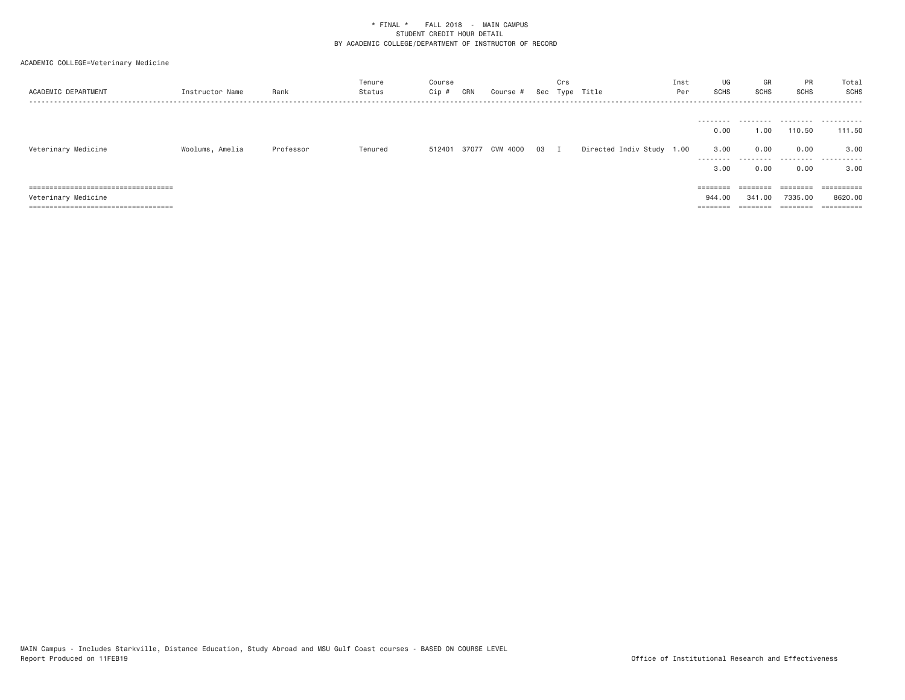# ACADEMIC COLLEGE=Veterinary Medicine

| ACADEMIC DEPARTMENT                   | Instructor Name | Rank      | Tenure<br>Status | Course<br>Cip # | CRN | Course #       |    | Crs | Sec Type Title            | Inst<br>Per | UG<br>SCHS                                     | GR<br><b>SCHS</b>                      | PR<br>SCHS                  | Total<br>SCHS                    |
|---------------------------------------|-----------------|-----------|------------------|-----------------|-----|----------------|----|-----|---------------------------|-------------|------------------------------------------------|----------------------------------------|-----------------------------|----------------------------------|
| Veterinary Medicine                   | Woolums, Amelia | Professor | Tenured          | 512401          |     | 37077 CVM 4000 | 03 | I   | Directed Indiv Study 1.00 |             | ---------<br>0.00<br>3.00<br>---------<br>3,00 | .<br>1,00<br>0.00<br>---------<br>0.00 | 110.50<br>0.00<br>.<br>0.00 | .<br>111.50<br>3,00<br>.<br>3,00 |
| ====================================  |                 |           |                  |                 |     |                |    |     |                           |             | ========                                       | ========                               | ========                    |                                  |
| Veterinary Medicine                   |                 |           |                  |                 |     |                |    |     |                           |             | 944,00                                         | 341,00                                 | 7335,00                     | 8620,00                          |
| ===================================== |                 |           |                  |                 |     |                |    |     |                           |             | ========                                       |                                        | ========                    |                                  |

MAIN Campus - Includes Starkville, Distance Education, Study Abroad and MSU Gulf Coast courses - BASED ON COURSE LEVEL<br>Report Produced on 11FEB19